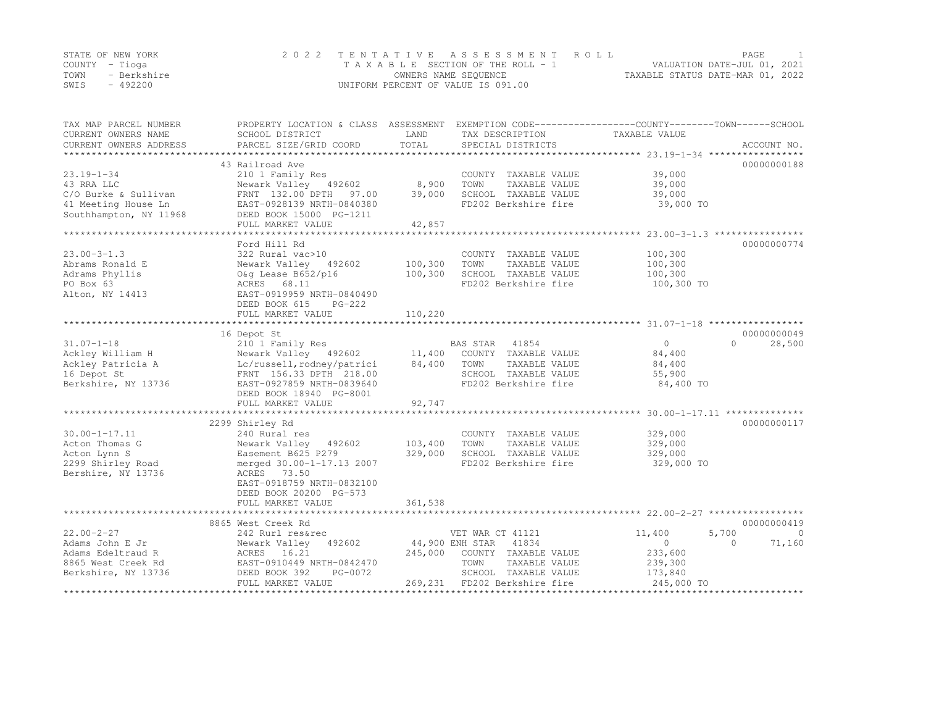|      | STATE OF NEW YORK | 2022 TENTATIVE ASSESSMENT ROLL     |                                  | PAGE |  |
|------|-------------------|------------------------------------|----------------------------------|------|--|
|      | COUNTY – Tioqa    | TAXABLE SECTION OF THE ROLL - 1    | VALUATION DATE-JUL 01, 2021      |      |  |
| TOWN | - Berkshire       | OWNERS NAME SEQUENCE               | TAXABLE STATUS DATE-MAR 01, 2022 |      |  |
| SWIS | $-492200$         | UNIFORM PERCENT OF VALUE IS 091.00 |                                  |      |  |

| TAX MAP PARCEL NUMBER<br>CURRENT OWNERS NAME | SCHOOL DISTRICT            | LAND    | TAX DESCRIPTION          | PROPERTY LOCATION & CLASS ASSESSMENT EXEMPTION CODE---------------COUNTY-------TOWN-----SCHOOL<br>TAXABLE VALUE |             |
|----------------------------------------------|----------------------------|---------|--------------------------|-----------------------------------------------------------------------------------------------------------------|-------------|
| CURRENT OWNERS ADDRESS                       | PARCEL SIZE/GRID COORD     | TOTAL   | SPECIAL DISTRICTS        |                                                                                                                 | ACCOUNT NO. |
|                                              |                            |         |                          |                                                                                                                 |             |
|                                              | 43 Railroad Ave            |         |                          |                                                                                                                 | 00000000188 |
| $23.19 - 1 - 34$                             | 210 1 Family Res           |         | COUNTY TAXABLE VALUE     | 39,000                                                                                                          |             |
| 43 RRA LLC                                   | Newark Valley 492602       | 8,900   | TOWN<br>TAXABLE VALUE    | 39,000                                                                                                          |             |
| C/O Burke & Sullivan                         | FRNT 132.00 DPTH 97.00     | 39,000  | SCHOOL TAXABLE VALUE     | 39,000                                                                                                          |             |
| 41 Meeting House Ln                          | EAST-0928139 NRTH-0840380  |         | FD202 Berkshire fire     | 39,000 TO                                                                                                       |             |
| Southhampton, NY 11968                       | DEED BOOK 15000 PG-1211    |         |                          |                                                                                                                 |             |
|                                              | FULL MARKET VALUE          | 42,857  |                          |                                                                                                                 |             |
|                                              |                            |         |                          |                                                                                                                 |             |
|                                              | Ford Hill Rd               |         |                          |                                                                                                                 | 00000000774 |
| $23.00 - 3 - 1.3$                            | 322 Rural vac>10           |         | COUNTY TAXABLE VALUE     | 100,300                                                                                                         |             |
| Abrams Ronald E                              | Newark Valley 492602       | 100,300 | TOWN<br>TAXABLE VALUE    | 100,300                                                                                                         |             |
| Adrams Phyllis                               | O&q Lease B652/p16         | 100,300 | SCHOOL TAXABLE VALUE     | 100,300                                                                                                         |             |
| PO Box 63                                    | ACRES<br>68.11             |         | FD202 Berkshire fire     | 100,300 TO                                                                                                      |             |
| Alton, NY 14413                              | EAST-0919959 NRTH-0840490  |         |                          |                                                                                                                 |             |
|                                              | DEED BOOK 615<br>$PG-222$  |         |                          |                                                                                                                 |             |
|                                              | FULL MARKET VALUE          | 110,220 |                          |                                                                                                                 |             |
|                                              |                            |         |                          |                                                                                                                 |             |
|                                              | 16 Depot St                |         |                          |                                                                                                                 | 00000000049 |
|                                              |                            |         |                          | $\bigcirc$<br>$\Omega$                                                                                          |             |
| $31.07 - 1 - 18$                             | 210 1 Family Res           |         | 41854<br>BAS STAR        |                                                                                                                 | 28,500      |
| Ackley William H                             | Newark Valley 492602       | 11,400  | COUNTY TAXABLE VALUE     | 84,400                                                                                                          |             |
| Ackley Patricia A                            | Lc/russell, rodney/patrici | 84,400  | TOWN<br>TAXABLE VALUE    | 84,400                                                                                                          |             |
| 16 Depot St                                  | FRNT 156.33 DPTH 218.00    |         | SCHOOL TAXABLE VALUE     | 55,900                                                                                                          |             |
| Berkshire, NY 13736                          | EAST-0927859 NRTH-0839640  |         | FD202 Berkshire fire     | 84,400 TO                                                                                                       |             |
|                                              | DEED BOOK 18940 PG-8001    |         |                          |                                                                                                                 |             |
|                                              | FULL MARKET VALUE          | 92,747  |                          |                                                                                                                 |             |
|                                              |                            |         |                          |                                                                                                                 |             |
|                                              | 2299 Shirley Rd            |         |                          |                                                                                                                 | 00000000117 |
| $30.00 - 1 - 17.11$                          | 240 Rural res              |         | COUNTY TAXABLE VALUE     | 329,000                                                                                                         |             |
| Acton Thomas G                               | Newark Valley<br>492602    | 103,400 | TOWN<br>TAXABLE VALUE    | 329,000                                                                                                         |             |
| Acton Lynn S                                 | Easement B625 P279         | 329,000 | SCHOOL TAXABLE VALUE     | 329,000                                                                                                         |             |
| 2299 Shirley Road                            | merged 30.00-1-17.13 2007  |         | FD202 Berkshire fire     | 329,000 TO                                                                                                      |             |
| Bershire, NY 13736                           | ACRES 73.50                |         |                          |                                                                                                                 |             |
|                                              | EAST-0918759 NRTH-0832100  |         |                          |                                                                                                                 |             |
|                                              | DEED BOOK 20200 PG-573     |         |                          |                                                                                                                 |             |
|                                              |                            |         |                          |                                                                                                                 |             |
|                                              | FULL MARKET VALUE          | 361,538 |                          |                                                                                                                 |             |
|                                              |                            |         |                          |                                                                                                                 |             |
|                                              | 8865 West Creek Rd         |         |                          |                                                                                                                 | 00000000419 |
| $22.00 - 2 - 27$                             | 242 Rurl res&rec           |         | VET WAR CT 41121         | 11,400<br>5,700                                                                                                 | $\Omega$    |
| Adams John E Jr                              | Newark Valley 492602       |         | 44,900 ENH STAR<br>41834 | $\circ$<br>$\Omega$                                                                                             | 71,160      |
| Adams Edeltraud R                            | 16.21<br>ACRES             | 245,000 | COUNTY TAXABLE VALUE     | 233,600                                                                                                         |             |
| 8865 West Creek Rd                           | EAST-0910449 NRTH-0842470  |         | TOWN<br>TAXABLE VALUE    | 239,300                                                                                                         |             |
| Berkshire, NY 13736                          | DEED BOOK 392<br>PG-0072   |         | SCHOOL TAXABLE VALUE     | 173,840                                                                                                         |             |
|                                              | FULL MARKET VALUE          | 269,231 | FD202 Berkshire fire     | 245,000 TO                                                                                                      |             |
|                                              |                            |         |                          |                                                                                                                 |             |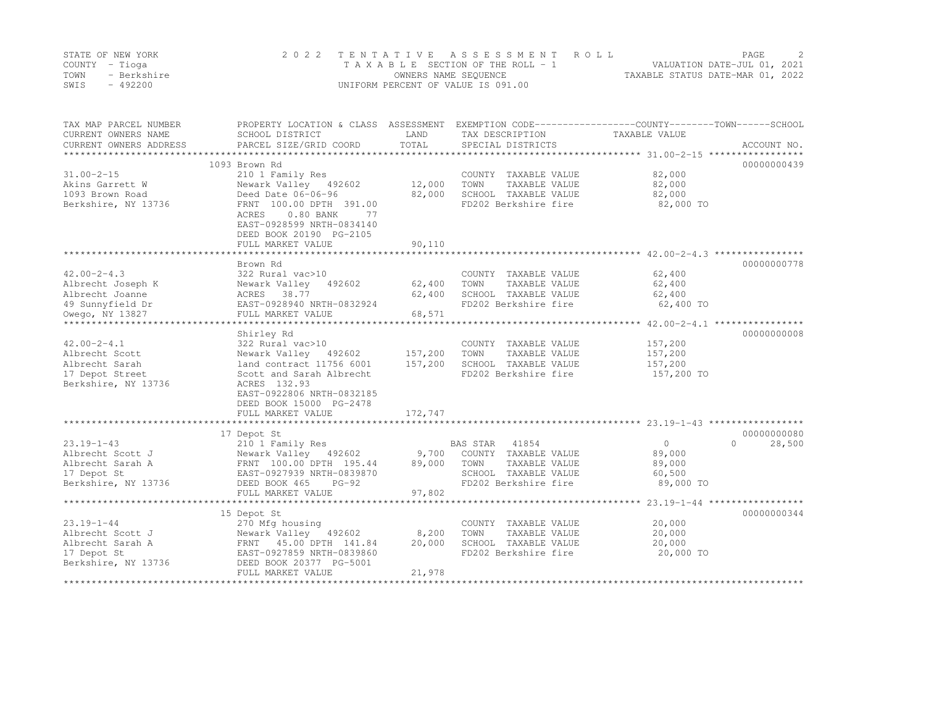|      | STATE OF NEW YORK | 2022 TENTATIVE ASSESSMENT ROLL     |                                  | PAGE. | $\bigcirc$ |
|------|-------------------|------------------------------------|----------------------------------|-------|------------|
|      | COUNTY – Tioga    | TAXABLE SECTION OF THE ROLL - 1    | VALUATION DATE-JUL 01, 2021      |       |            |
| TOWN | - Berkshire       | OWNERS NAME SEOUENCE               | TAXABLE STATUS DATE-MAR 01, 2022 |       |            |
| SWIS | $-492200$         | UNIFORM PERCENT OF VALUE IS 091.00 |                                  |       |            |

| TAX MAP PARCEL NUMBER<br>CURRENT OWNERS NAME<br>CURRENT OWNERS ADDRESS | PROPERTY LOCATION & CLASS ASSESSMENT EXEMPTION CODE----------------COUNTY-------TOWN-----SCHOOL<br>SCHOOL DISTRICT<br>PARCEL SIZE/GRID COORD | LAND<br>TOTAL | TAX DESCRIPTION<br>SPECIAL DISTRICTS | TAXABLE VALUE                                    | ACCOUNT NO.        |
|------------------------------------------------------------------------|----------------------------------------------------------------------------------------------------------------------------------------------|---------------|--------------------------------------|--------------------------------------------------|--------------------|
|                                                                        |                                                                                                                                              |               |                                      |                                                  |                    |
|                                                                        | 1093 Brown Rd                                                                                                                                |               |                                      |                                                  | 00000000439        |
| $31.00 - 2 - 15$                                                       | 210 1 Family Res                                                                                                                             |               | COUNTY TAXABLE VALUE                 | 82,000                                           |                    |
| Akins Garrett W                                                        | Newark Valley 492602                                                                                                                         | 12,000        | TOWN<br>TAXABLE VALUE                | 82,000                                           |                    |
| 1093 Brown Road                                                        | Deed Date 06-06-96                                                                                                                           | 82,000        | SCHOOL TAXABLE VALUE                 | 82,000                                           |                    |
| Berkshire, NY 13736                                                    | FRNT 100.00 DPTH 391.00<br>$0.80$ BANK<br>ACRES<br>77<br>EAST-0928599 NRTH-0834140<br>DEED BOOK 20190 PG-2105<br>FULL MARKET VALUE           | 90,110        | FD202 Berkshire fire                 | 82,000 TO                                        |                    |
|                                                                        |                                                                                                                                              |               |                                      |                                                  |                    |
|                                                                        | Brown Rd                                                                                                                                     |               |                                      |                                                  | 00000000778        |
| $42.00 - 2 - 4.3$                                                      | 322 Rural vac>10                                                                                                                             |               | COUNTY TAXABLE VALUE                 | 62,400                                           |                    |
| Albrecht Joseph K                                                      | 492602<br>Newark Valley                                                                                                                      | 62,400        | TAXABLE VALUE<br>TOWN                | 62,400                                           |                    |
| Albrecht Joanne                                                        | ACRES 38.77                                                                                                                                  | 62,400        | SCHOOL TAXABLE VALUE                 | 62,400                                           |                    |
|                                                                        |                                                                                                                                              |               | FD202 Berkshire fire                 |                                                  |                    |
| 49 Sunnyfield Dr                                                       | EAST-0928940 NRTH-0832924                                                                                                                    |               |                                      | 62,400 TO                                        |                    |
| Owego, NY 13827<br>**********************                              | FULL MARKET VALUE<br>*****************************                                                                                           | 68,571        |                                      |                                                  |                    |
|                                                                        |                                                                                                                                              |               |                                      |                                                  |                    |
|                                                                        | Shirley Rd                                                                                                                                   |               |                                      |                                                  | 00000000008        |
| $42.00 - 2 - 4.1$                                                      | 322 Rural vac>10                                                                                                                             |               | COUNTY TAXABLE VALUE                 | 157,200                                          |                    |
| Albrecht Scott                                                         | Newark Valley 492602                                                                                                                         | 157,200       | TOWN<br>TAXABLE VALUE                | 157,200                                          |                    |
| Albrecht Sarah                                                         | land contract 11756 6001                                                                                                                     | 157,200       | SCHOOL TAXABLE VALUE                 | 157,200                                          |                    |
| 17 Depot Street<br>Berkshire, NY 13736                                 | Scott and Sarah Albrecht<br>ACRES 132.93<br>EAST-0922806 NRTH-0832185<br>DEED BOOK 15000 PG-2478<br>FULL MARKET VALUE                        | 172,747       | FD202 Berkshire fire                 | 157,200 TO                                       |                    |
|                                                                        |                                                                                                                                              |               |                                      |                                                  |                    |
|                                                                        | 17 Depot St                                                                                                                                  |               |                                      |                                                  | 00000000080        |
| $23.19 - 1 - 43$                                                       | 210 1 Family Res                                                                                                                             |               | BAS STAR 41854                       | $\circ$                                          | $\Omega$<br>28,500 |
| Albrecht Scott J                                                       | Newark Valley 492602                                                                                                                         | 9,700         | COUNTY TAXABLE VALUE                 | 89,000                                           |                    |
|                                                                        |                                                                                                                                              | 89,000        | TOWN<br>TAXABLE VALUE                | 89,000                                           |                    |
| Albrecht Sarah A                                                       | FRNT 100.00 DPTH 195.44<br>FAST-0927939 NRTH-0839870                                                                                         |               |                                      |                                                  |                    |
| 17 Depot St                                                            | EAST-0927939 NRTH-0839870                                                                                                                    |               | SCHOOL TAXABLE VALUE                 | 60,500                                           |                    |
| Berkshire, NY 13736                                                    | DEED BOOK 465<br>$PG-92$                                                                                                                     |               | FD202 Berkshire fire                 | 89,000 TO                                        |                    |
|                                                                        | FULL MARKET VALUE                                                                                                                            | 97,802        |                                      |                                                  |                    |
|                                                                        |                                                                                                                                              |               |                                      | ****************** 23.19-1-44 ****************** |                    |
|                                                                        | 15 Depot St                                                                                                                                  |               |                                      |                                                  | 00000000344        |
| $23.19 - 1 - 44$                                                       | 270 Mfg housing                                                                                                                              |               | COUNTY TAXABLE VALUE                 | 20,000                                           |                    |
| Albrecht Scott J                                                       | Newark Valley 492602                                                                                                                         | 8,200         | TOWN<br>TAXABLE VALUE                | 20,000                                           |                    |
| Albrecht Sarah A                                                       | FRNT 45.00 DPTH 141.84                                                                                                                       | 20,000        | SCHOOL TAXABLE VALUE                 | 20,000                                           |                    |
| 17 Depot St                                                            | EAST-0927859 NRTH-0839860                                                                                                                    |               | FD202 Berkshire fire                 | 20,000 TO                                        |                    |
| Berkshire, NY 13736                                                    | DEED BOOK 20377 PG-5001                                                                                                                      |               |                                      |                                                  |                    |
|                                                                        | FULL MARKET VALUE                                                                                                                            | 21,978        |                                      |                                                  |                    |
|                                                                        |                                                                                                                                              |               |                                      |                                                  |                    |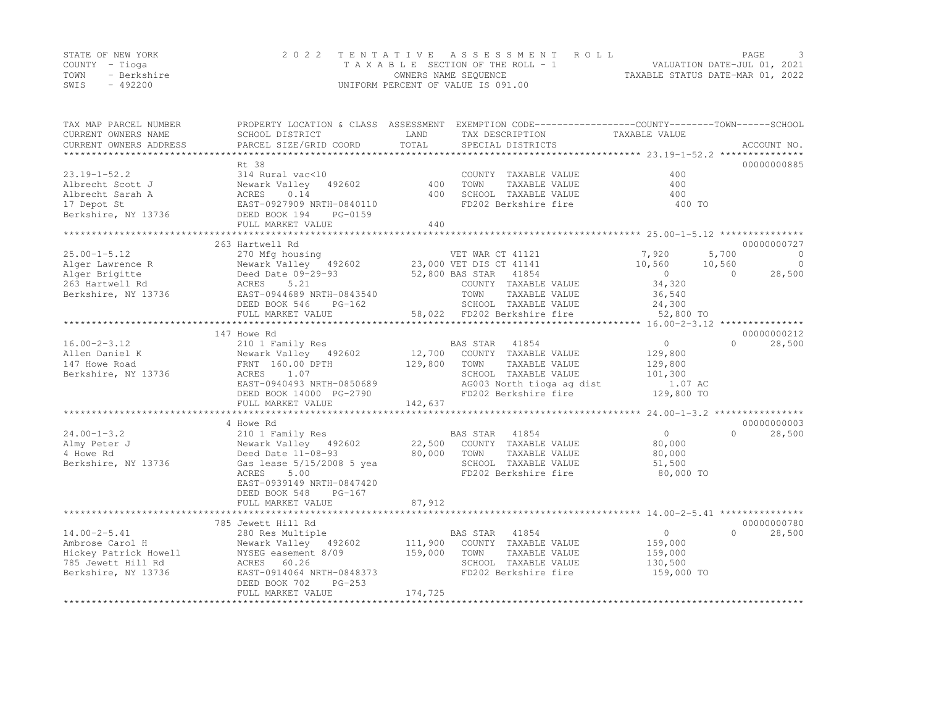|      | STATE OF NEW YORK | 2022 TENTATIVE ASSESSMENT ROLL                                 | PAGE |  |
|------|-------------------|----------------------------------------------------------------|------|--|
|      | COUNTY – Tioga    | VALUATION DATE-JUL 01, 2021<br>TAXABLE SECTION OF THE ROLL - 1 |      |  |
| TOWN | - Berkshire       | TAXABLE STATUS DATE-MAR 01, 2022<br>OWNERS NAME SEQUENCE       |      |  |
| SWIS | $-492200$         | UNIFORM PERCENT OF VALUE IS 091.00                             |      |  |

| TAX MAP PARCEL NUMBER<br>CURRENT OWNERS NAME<br>CURRENT OWNERS ADDRESS<br>*************************         | PROPERTY LOCATION & CLASS ASSESSMENT<br>SCHOOL DISTRICT<br>PARCEL SIZE/GRID COORD                                                                                                   | LAND<br>TOTAL                | TAX DESCRIPTION<br>SPECIAL DISTRICTS                                                                                                                                         | EXEMPTION CODE-----------------COUNTY-------TOWN------SCHOOL<br>TAXABLE VALUE                   | ACCOUNT NO.                                                    |
|-------------------------------------------------------------------------------------------------------------|-------------------------------------------------------------------------------------------------------------------------------------------------------------------------------------|------------------------------|------------------------------------------------------------------------------------------------------------------------------------------------------------------------------|-------------------------------------------------------------------------------------------------|----------------------------------------------------------------|
|                                                                                                             | Rt 38                                                                                                                                                                               |                              |                                                                                                                                                                              |                                                                                                 | 00000000885                                                    |
| $23.19 - 1 - 52.2$<br>Albrecht Scott J<br>Albrecht Sarah A<br>17 Depot St<br>Berkshire, NY 13736            | 314 Rural vac<10<br>Newark Valley<br>492602<br>0.14<br>ACRES<br>EAST-0927909 NRTH-0840110<br>DEED BOOK 194<br>PG-0159<br>FULL MARKET VALUE                                          | 400<br>400<br>440            | COUNTY TAXABLE VALUE<br>TOWN<br>TAXABLE VALUE<br>SCHOOL TAXABLE VALUE<br>FD202 Berkshire fire                                                                                | 400<br>400<br>400<br>400 TO                                                                     |                                                                |
|                                                                                                             |                                                                                                                                                                                     |                              |                                                                                                                                                                              |                                                                                                 |                                                                |
| $25.00 - 1 - 5.12$<br>Alger Lawrence R<br>Alger Brigitte<br>263 Hartwell Rd<br>Berkshire, NY 13736          | 263 Hartwell Rd<br>270 Mfg housing<br>Newark Valley 492602<br>Deed Date 09-29-93<br>ACRES<br>5.21<br>EAST-0944689 NRTH-0843540<br>DEED BOOK 546<br>$PG-162$<br>FULL MARKET VALUE    |                              | VET WAR CT 41121<br>23,000 VET DIS CT 41141<br>52,800 BAS STAR 41854<br>COUNTY TAXABLE VALUE<br>TAXABLE VALUE<br>TOWN<br>SCHOOL TAXABLE VALUE<br>58,022 FD202 Berkshire fire | 7,920<br>5,700<br>10,560<br>10,560<br>$\overline{0}$<br>34,320<br>36,540<br>24,300<br>52,800 TO | 00000000727<br>$\overline{0}$<br>$\circ$<br>28,500<br>$\Omega$ |
|                                                                                                             |                                                                                                                                                                                     |                              |                                                                                                                                                                              |                                                                                                 | 00000000212                                                    |
| $16.00 - 2 - 3.12$<br>Allen Daniel K<br>147 Howe Road<br>Berkshire, NY 13736                                | 147 Howe Rd<br>210 1 Family Res<br>Newark Valley 492602<br>FRNT 160.00 DPTH<br>1.07<br>ACRES<br>EAST-0940493 NRTH-0850689<br>DEED BOOK 14000 PG-2790<br>FULL MARKET VALUE           | 12,700<br>129,800<br>142,637 | BAS STAR 41854<br>COUNTY TAXABLE VALUE<br>TOWN<br>TAXABLE VALUE<br>SCHOOL TAXABLE VALUE<br>AG003 North tioga ag dist<br>FD202 Berkshire fire                                 | $\overline{0}$<br>129,800<br>129,800<br>101,300<br>1.07 AC<br>129,800 TO                        | $\bigcap$<br>28,500                                            |
|                                                                                                             |                                                                                                                                                                                     |                              |                                                                                                                                                                              |                                                                                                 |                                                                |
| $24.00 - 1 - 3.2$<br>Almy Peter J<br>4 Howe Rd<br>Berkshire, NY 13736                                       | 4 Howe Rd<br>210 1 Family Res<br>Newark Valley 492602<br>Deed Date 11-08-93<br>Gas lease 5/15/2008 5 yea<br>5.00<br>ACRES<br>EAST-0939149 NRTH-0847420<br>DEED BOOK 548<br>$PG-167$ | 22,500<br>80,000             | BAS STAR 41854<br>COUNTY TAXABLE VALUE<br>TOWN<br>TAXABLE VALUE<br>SCHOOL TAXABLE VALUE<br>FD202 Berkshire fire                                                              | $\overline{0}$<br>80,000<br>80,000<br>51,500<br>80,000 TO                                       | 00000000003<br>28,500<br>$\cap$                                |
|                                                                                                             | FULL MARKET VALUE                                                                                                                                                                   | 87,912                       |                                                                                                                                                                              |                                                                                                 |                                                                |
|                                                                                                             | *******************************<br>785 Jewett Hill Rd                                                                                                                               |                              |                                                                                                                                                                              |                                                                                                 | 00000000780                                                    |
| $14.00 - 2 - 5.41$<br>Ambrose Carol H<br>Hickey Patrick Howell<br>785 Jewett Hill Rd<br>Berkshire, NY 13736 | 280 Res Multiple<br>Newark Valley 492602<br>NYSEG easement 8/09<br>ACRES 60.26<br>EAST-0914064 NRTH-0848373<br>PG-253<br>DEED BOOK 702                                              | 111,900<br>159,000           | BAS STAR 41854<br>COUNTY TAXABLE VALUE<br>TOWN<br>TAXABLE VALUE<br>SCHOOL TAXABLE VALUE<br>FD202 Berkshire fire                                                              | $\overline{0}$<br>159,000<br>159,000<br>130,500<br>159,000 TO                                   | $\Omega$<br>28,500                                             |
|                                                                                                             | FULL MARKET VALUE                                                                                                                                                                   | 174,725                      |                                                                                                                                                                              |                                                                                                 |                                                                |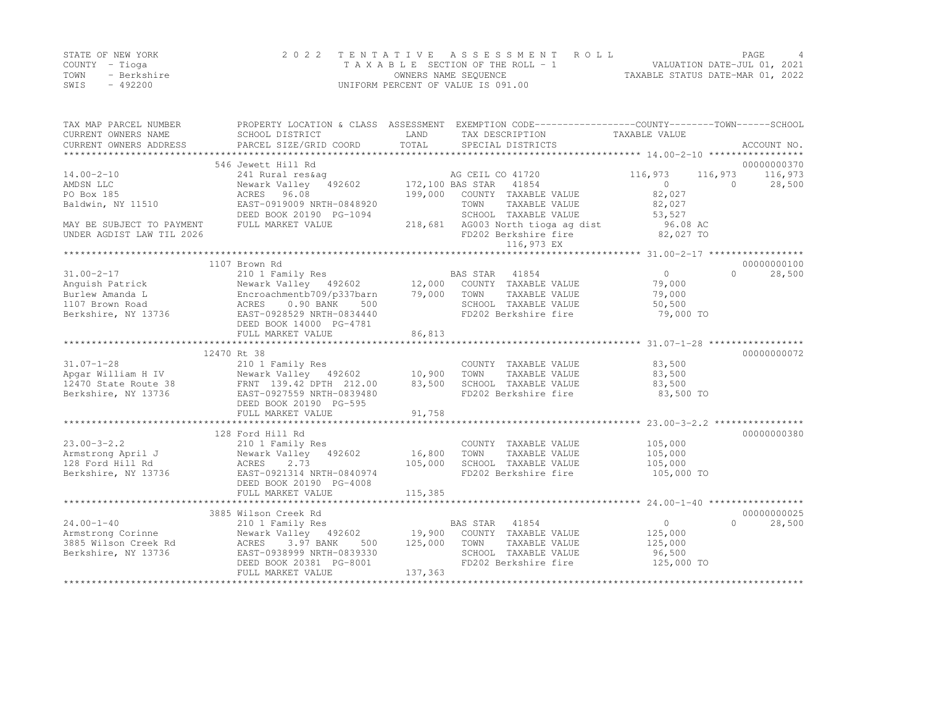|      | STATE OF NEW YORK | 2022 TENTATIVE ASSESSMENT ROLL        | PAGE                             |  |
|------|-------------------|---------------------------------------|----------------------------------|--|
|      | COUNTY – Tioga    | T A X A B L E SECTION OF THE ROLL - 1 | VALUATION DATE-JUL 01, 2021      |  |
| TOWN | - Berkshire       | OWNERS NAME SEQUENCE                  | TAXABLE STATUS DATE-MAR 01, 2022 |  |
| SWIS | - 492200          | UNIFORM PERCENT OF VALUE IS 091.00    |                                  |  |

| TAX MAP PARCEL NUMBER<br>CURRENT OWNERS NAME<br>CURRENT OWNERS ADDRESS | SCHOOL DISTRICT<br>PARCEL SIZE/GRID COORD                            | LAND<br>TOTAL | PROPERTY LOCATION & CLASS ASSESSMENT EXEMPTION CODE----------------COUNTY-------TOWN-----SCHOOL<br>TAX DESCRIPTION<br>SPECIAL DISTRICTS | TAXABLE VALUE | ACCOUNT NO.          |
|------------------------------------------------------------------------|----------------------------------------------------------------------|---------------|-----------------------------------------------------------------------------------------------------------------------------------------|---------------|----------------------|
|                                                                        |                                                                      |               |                                                                                                                                         |               |                      |
|                                                                        | 546 Jewett Hill Rd                                                   |               |                                                                                                                                         |               | 00000000370          |
| $14.00 - 2 - 10$                                                       | 241 Rural res&aq                                                     |               |                                                                                                                                         | 116,973       | 116,973<br>116,973   |
| AMDSN LLC                                                              | Newark Valley 492602                                                 |               | AG CEIL CO 41720<br>2602 172,100 BAS STAR 41854                                                                                         | $\Omega$      | 28,500<br>$\bigcirc$ |
| PO Box 185                                                             | ACRES 96.08                                                          | 199,000       | COUNTY TAXABLE VALUE                                                                                                                    | 82,027        |                      |
| Baldwin, NY 11510                                                      | EAST-0919009 NRTH-0848920                                            |               | TOWN<br>TAXABLE VALUE                                                                                                                   | 82,027        |                      |
|                                                                        | DEED BOOK 20190 PG-1094                                              |               | SCHOOL TAXABLE VALUE                                                                                                                    | 53,527        |                      |
| MAY BE SUBJECT TO PAYMENT                                              | FULL MARKET VALUE                                                    | 218,681       | AG003 North tioga ag dist                                                                                                               | 96.08 AC      |                      |
| UNDER AGDIST LAW TIL 2026                                              |                                                                      |               | FD202 Berkshire fire                                                                                                                    | 82,027 TO     |                      |
|                                                                        |                                                                      |               | 116,973 EX                                                                                                                              |               |                      |
|                                                                        |                                                                      |               |                                                                                                                                         |               |                      |
|                                                                        | 1107 Brown Rd                                                        |               |                                                                                                                                         |               | 00000000100          |
|                                                                        |                                                                      |               |                                                                                                                                         | $\Omega$      | $\Omega$             |
| $31.00 - 2 - 17$                                                       | 210 1 Family Res<br>Newark Valley 492602 12,000 COUNTY TAXABLE VALUE |               |                                                                                                                                         |               | 28,500               |
| Anquish Patrick                                                        |                                                                      |               |                                                                                                                                         | 79,000        |                      |
| Burlew Amanda L                                                        | Encroachmentb709/p337barn                                            | 79,000 TOWN   | TAXABLE VALUE                                                                                                                           | 79,000        |                      |
| 1107 Brown Road                                                        | 0.90 BANK<br>500<br>ACRES                                            |               | SCHOOL TAXABLE VALUE                                                                                                                    | 50,500        |                      |
| Berkshire, NY 13736                                                    | EAST-0928529 NRTH-0834440                                            |               | FD202 Berkshire fire                                                                                                                    | 79,000 TO     |                      |
|                                                                        | DEED BOOK 14000 PG-4781                                              |               |                                                                                                                                         |               |                      |
|                                                                        | FULL MARKET VALUE                                                    | 86,813        |                                                                                                                                         |               |                      |
|                                                                        |                                                                      |               |                                                                                                                                         |               |                      |
|                                                                        | 12470 Rt 38                                                          |               |                                                                                                                                         |               | 00000000072          |
| $31.07 - 1 - 28$                                                       | 210 1 Family Res                                                     |               | COUNTY TAXABLE VALUE                                                                                                                    | 83,500        |                      |
|                                                                        |                                                                      |               | TAXABLE VALUE<br>TOWN                                                                                                                   | 83,500        |                      |
|                                                                        |                                                                      |               | SCHOOL TAXABLE VALUE                                                                                                                    | 83,500        |                      |
|                                                                        |                                                                      |               | FD202 Berkshire fire                                                                                                                    | 83,500 TO     |                      |
|                                                                        | DEED BOOK 20190 PG-595                                               |               |                                                                                                                                         |               |                      |
|                                                                        | FULL MARKET VALUE                                                    | 91,758        |                                                                                                                                         |               |                      |
|                                                                        |                                                                      |               |                                                                                                                                         |               |                      |
|                                                                        | 128 Ford Hill Rd                                                     |               |                                                                                                                                         |               | 00000000380          |
| $23.00 - 3 - 2.2$                                                      | 210 1 Family Res                                                     |               | COUNTY TAXABLE VALUE                                                                                                                    | 105,000       |                      |
| Armstrong April J                                                      | Newark Valley 492602                                                 | 16,800        | TOWN<br>TAXABLE VALUE                                                                                                                   | 105,000       |                      |
| 128 Ford Hill Rd                                                       | 2.73<br>ACRES                                                        | 105,000       | SCHOOL TAXABLE VALUE                                                                                                                    | 105,000       |                      |
|                                                                        | EAST-0921314 NRTH-0840974                                            |               | FD202 Berkshire fire                                                                                                                    | 105,000 TO    |                      |
| Berkshire, NY 13736                                                    |                                                                      |               |                                                                                                                                         |               |                      |
|                                                                        | DEED BOOK 20190 PG-4008                                              |               |                                                                                                                                         |               |                      |
|                                                                        | FULL MARKET VALUE                                                    | 115,385       |                                                                                                                                         |               |                      |
|                                                                        |                                                                      |               |                                                                                                                                         |               |                      |
|                                                                        | 3885 Wilson Creek Rd                                                 |               |                                                                                                                                         |               | 00000000025          |
| $24.00 - 1 - 40$                                                       | 210 1 Family Res<br>Newark Valley 492602 19,900 COUNTY TAXABLE VALUE |               | BAS STAR 41854                                                                                                                          | $\Omega$      | 28,500<br>$\cap$     |
| Armstrong Corinne                                                      |                                                                      |               |                                                                                                                                         | 125,000       |                      |
| 3885 Wilson Creek Rd                                                   | ACRES<br>3.97 BANK<br>500                                            | 125,000       | TOWN<br>TAXABLE VALUE                                                                                                                   | 125,000       |                      |
| Berkshire, NY 13736                                                    | EAST-0938999 NRTH-0839330                                            |               | SCHOOL TAXABLE VALUE                                                                                                                    | 96,500        |                      |
|                                                                        | DEED BOOK 20381 PG-8001                                              |               | FD202 Berkshire fire                                                                                                                    | 125,000 TO    |                      |
|                                                                        | FULL MARKET VALUE                                                    | 137,363       |                                                                                                                                         |               |                      |
|                                                                        |                                                                      |               |                                                                                                                                         |               |                      |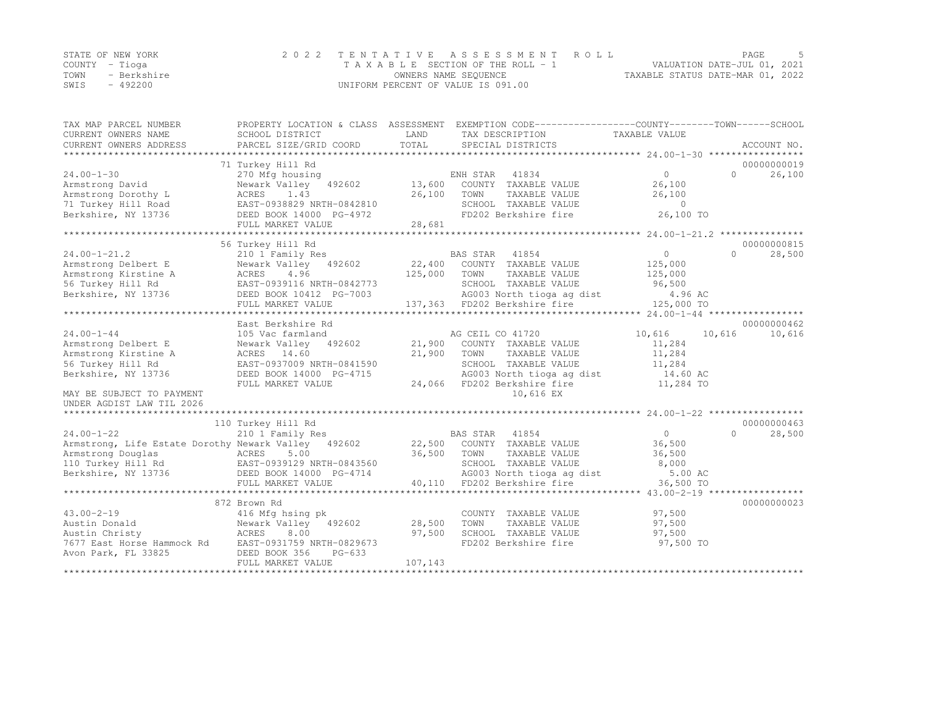|      | STATE OF NEW YORK | 2022 TENTATIVE ASSESSMENT ROLL                                 | PAGE |  |
|------|-------------------|----------------------------------------------------------------|------|--|
|      | COUNTY – Tioga    | VALUATION DATE-JUL 01, 2021<br>TAXABLE SECTION OF THE ROLL - 1 |      |  |
| TOWN | - Berkshire       | TAXABLE STATUS DATE-MAR 01, 2022<br>OWNERS NAME SEQUENCE       |      |  |
| SWIS | $-492200$         | UNIFORM PERCENT OF VALUE IS 091.00                             |      |  |

| TAX MAP PARCEL NUMBER                                                          |                                                                                                                                                                                                                                                                                                                |         | PROPERTY LOCATION & CLASS ASSESSMENT EXEMPTION CODE----------------COUNTY-------TOWN------SCHOOL |                |                    |
|--------------------------------------------------------------------------------|----------------------------------------------------------------------------------------------------------------------------------------------------------------------------------------------------------------------------------------------------------------------------------------------------------------|---------|--------------------------------------------------------------------------------------------------|----------------|--------------------|
| CURRENT OWNERS NAME                                                            | SCHOOL DISTRICT                                                                                                                                                                                                                                                                                                | LAND    | TAX DESCRIPTION                                                                                  | TAXABLE VALUE  |                    |
| CURRENT OWNERS ADDRESS                                                         | PARCEL SIZE/GRID COORD                                                                                                                                                                                                                                                                                         | TOTAL   | SPECIAL DISTRICTS                                                                                |                | ACCOUNT NO.        |
|                                                                                | 71 Turkey Hill Rd                                                                                                                                                                                                                                                                                              |         |                                                                                                  |                | 00000000019        |
| $24.00 - 1 - 30$                                                               | 270 Mfg housing                                                                                                                                                                                                                                                                                                |         |                                                                                                  | $\Omega$       | $\Omega$<br>26,100 |
| Armstrong David                                                                | Newark Valley 492602                                                                                                                                                                                                                                                                                           |         | ENH STAR 41834<br>13,600 COUNTY TAXABLE VALUE                                                    | 26,100         |                    |
| Armstrong Dorothy L                                                            | ACRES 1.43                                                                                                                                                                                                                                                                                                     | 26,100  | TOWN<br>TAXABLE VALUE                                                                            | 26,100         |                    |
| 71 Turkey Hill Road                                                            |                                                                                                                                                                                                                                                                                                                |         |                                                                                                  | $\overline{0}$ |                    |
| Berkshire, NY 13736                                                            | EAST-0938829 NRTH-0842810<br>DEED BOOK 14000 PG-4972                                                                                                                                                                                                                                                           |         | SCHOOL TAXABLE VALUE<br>FD202 Berkshire fire                                                     | 26,100 TO      |                    |
|                                                                                | FULL MARKET VALUE                                                                                                                                                                                                                                                                                              | 28,681  |                                                                                                  |                |                    |
|                                                                                |                                                                                                                                                                                                                                                                                                                |         |                                                                                                  |                |                    |
|                                                                                | 56 Turkey Hill Rd                                                                                                                                                                                                                                                                                              |         |                                                                                                  |                | 00000000815        |
| $24.00 - 1 - 21.2$                                                             | 210 1 Family Res                                                                                                                                                                                                                                                                                               |         | BAS STAR 41854                                                                                   | $\overline{0}$ | $\cap$<br>28,500   |
| Armstrong Delbert E                                                            | $\frac{210}{1}$ $\frac{1}{2}$ $\frac{200}{100}$ $\frac{2}{10}$ $\frac{2}{10}$ $\frac{2}{10}$ $\frac{2}{10}$ $\frac{2}{10}$ $\frac{2}{10}$ $\frac{2}{10}$ $\frac{2}{10}$ $\frac{2}{10}$ $\frac{2}{10}$ $\frac{2}{10}$ $\frac{2}{10}$ $\frac{2}{10}$ $\frac{2}{10}$ $\frac{2}{10}$ $\frac{2}{10}$ $\frac{2}{10}$ |         | BAS STAR 41854<br>22,400 COUNTY TAXABLE VALUE                                                    | 125,000        |                    |
| Armstrong Kirstine A                                                           |                                                                                                                                                                                                                                                                                                                | 125,000 | TOWN<br>TAXABLE VALUE                                                                            | 125,000        |                    |
| 56 Turkey Hill Rd                                                              |                                                                                                                                                                                                                                                                                                                |         |                                                                                                  | 96,500         |                    |
| Berkshire, NY 13736                                                            | ACRES 4.96 125,<br>EAST-0939116 NRTH-0842773<br>DEED BOOK 10412 PG-7003                                                                                                                                                                                                                                        |         | SCHOOL TAXABLE VALUE<br>AG003 North tioga ag dist                                                | 4.96 AC        |                    |
|                                                                                | FULL MARKET VALUE                                                                                                                                                                                                                                                                                              |         | 137,363 FD202 Berkshire fire                                                                     | 125,000 TO     |                    |
|                                                                                |                                                                                                                                                                                                                                                                                                                |         |                                                                                                  |                |                    |
|                                                                                | East Berkshire Rd                                                                                                                                                                                                                                                                                              |         |                                                                                                  |                | 00000000462        |
| $24.00 - 1 - 44$                                                               | 105 Vac farmland                                                                                                                                                                                                                                                                                               |         | AG CEIL CO 41720                                                                                 | 10,616         | 10,616<br>10,616   |
| Armstrong Delbert E                                                            | Newark Valley 492602                                                                                                                                                                                                                                                                                           |         | 21,900 COUNTY TAXABLE VALUE                                                                      | 11,284         |                    |
| Armstrong Kirstine A                                                           | ACRES 14.60                                                                                                                                                                                                                                                                                                    | 21,900  | TOWN<br>TAXABLE VALUE                                                                            | 11,284         |                    |
| 56 Turkey Hill Rd                                                              | EAST-0937009 NRTH-0841590                                                                                                                                                                                                                                                                                      |         | SCHOOL TAXABLE VALUE                                                                             | 11,284         |                    |
| Berkshire, NY 13736                                                            | DEED BOOK 14000 PG-4715                                                                                                                                                                                                                                                                                        |         | AG003 North tioga ag dist                                                                        | 14.60 AC       |                    |
|                                                                                | FULL MARKET VALUE                                                                                                                                                                                                                                                                                              |         | 24,066 FD202 Berkshire fire                                                                      | 11,284 TO      |                    |
| MAY BE SUBJECT TO PAYMENT                                                      |                                                                                                                                                                                                                                                                                                                |         | 10,616 EX                                                                                        |                |                    |
| UNDER AGDIST LAW TIL 2026                                                      |                                                                                                                                                                                                                                                                                                                |         |                                                                                                  |                |                    |
| ***************                                                                |                                                                                                                                                                                                                                                                                                                |         |                                                                                                  |                |                    |
|                                                                                | 110 Turkey Hill Rd                                                                                                                                                                                                                                                                                             |         |                                                                                                  |                | 00000000463        |
| $24.00 - 1 - 22$                                                               | 210 1 Family Res                                                                                                                                                                                                                                                                                               |         | BAS STAR 41854                                                                                   | $\overline{0}$ | 28,500<br>$\cap$   |
| Armstrong, Life Estate Dorothy Newark Valley 492602                            |                                                                                                                                                                                                                                                                                                                |         | 22,500 COUNTY TAXABLE VALUE                                                                      | 36,500         |                    |
|                                                                                |                                                                                                                                                                                                                                                                                                                | 36,500  | TOWN<br>TAXABLE VALUE                                                                            | 36,500         |                    |
| Armstrong Douglas (ACRES 5.00<br>110 Turkey Hill Rd (BAST-0939129 NRTH-0843560 |                                                                                                                                                                                                                                                                                                                |         | SCHOOL TAXABLE VALUE                                                                             | 8,000          |                    |
|                                                                                |                                                                                                                                                                                                                                                                                                                |         | AG003 North tioga ag dist                                                                        | 5.00 AC        |                    |
| Berkshire, NY 13736 DEED BOOK 14000 PG-4714                                    | FULL MARKET VALUE                                                                                                                                                                                                                                                                                              |         | 40,110 FD202 Berkshire fire                                                                      |                |                    |
|                                                                                | ********************************                                                                                                                                                                                                                                                                               |         |                                                                                                  | 36,500 TO      |                    |
|                                                                                | 872 Brown Rd                                                                                                                                                                                                                                                                                                   |         |                                                                                                  |                | 00000000023        |
| $43.00 - 2 - 19$                                                               |                                                                                                                                                                                                                                                                                                                |         |                                                                                                  | 97,500         |                    |
| Austin Donald                                                                  | 416 Mfg hsing pk<br>Newark Valley 492602                                                                                                                                                                                                                                                                       | 28,500  | COUNTY TAXABLE VALUE<br>TOWN<br>TAXABLE VALUE                                                    | 97,500         |                    |
| Austin Christy                                                                 | 8.00                                                                                                                                                                                                                                                                                                           | 97,500  | SCHOOL TAXABLE VALUE                                                                             | 97,500         |                    |
|                                                                                | ACRES                                                                                                                                                                                                                                                                                                          |         | FD202 Berkshire fire                                                                             | 97,500 TO      |                    |
| 7677 East Horse Hammock Rd                                                     | EAST-0931759 NRTH-0829673<br>$PG-633$                                                                                                                                                                                                                                                                          |         |                                                                                                  |                |                    |
| Avon Park, FL 33825                                                            | DEED BOOK 356<br>FULL MARKET VALUE                                                                                                                                                                                                                                                                             | 107,143 |                                                                                                  |                |                    |
|                                                                                |                                                                                                                                                                                                                                                                                                                |         |                                                                                                  |                |                    |
|                                                                                |                                                                                                                                                                                                                                                                                                                |         |                                                                                                  |                |                    |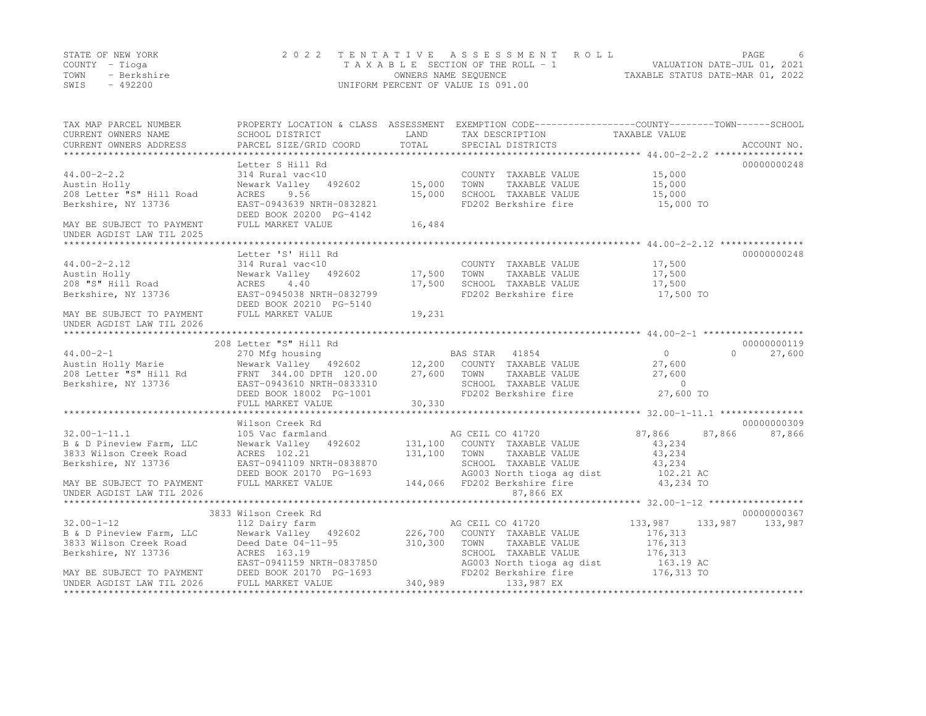|      | STATE OF NEW YORK | 2022 TENTATIVE ASSESSMENT ROLL     |                                  | PAGE. |  |
|------|-------------------|------------------------------------|----------------------------------|-------|--|
|      | COUNTY – Tioga    | TAXABLE SECTION OF THE ROLL - 1    | VALUATION DATE-JUL 01, 2021      |       |  |
| TOWN | - Berkshire       | OWNERS NAME SEOUENCE               | TAXABLE STATUS DATE-MAR 01, 2022 |       |  |
| SWIS | $-492200$         | UNIFORM PERCENT OF VALUE IS 091.00 |                                  |       |  |

| TAX MAP PARCEL NUMBER<br>CURRENT OWNERS NAME<br>CURRENT OWNERS ADDRESS | SCHOOL DISTRICT                                                                                                                                                                                                                        | <b>EXAMPLE SERVICE STATE</b> | PROPERTY LOCATION & CLASS ASSESSMENT EXEMPTION CODE----------------COUNTY-------TOWN------SCHOOL<br>TAX DESCRIPTION TAXABLE VALUE SPECIAL DISTRICTS |                                        |                             |
|------------------------------------------------------------------------|----------------------------------------------------------------------------------------------------------------------------------------------------------------------------------------------------------------------------------------|------------------------------|-----------------------------------------------------------------------------------------------------------------------------------------------------|----------------------------------------|-----------------------------|
|                                                                        | -CURRENT OWNERS ADDRESS PARCEL SIZE/GRID COORD TOTAL SPECIAL DISTRICTS (2 ACCOUNT NO ACCOUNT NO ACCOUNT NO ACCOUNT NO ACCOUNT NO ACCOUNT NO ACCOUNT NO A SERVER A LATA AND A LATA AND A LATA A LATA A LATA AND A LATA A LATA A         |                              |                                                                                                                                                     |                                        |                             |
|                                                                        | Letter S Hill Rd                                                                                                                                                                                                                       |                              |                                                                                                                                                     |                                        | 00000000248                 |
| $44.00 - 2 - 2.2$                                                      | 314 Rural vac<10                                                                                                                                                                                                                       |                              |                                                                                                                                                     |                                        |                             |
| Austin Holly                                                           | Newark Valley 492602 15,000                                                                                                                                                                                                            |                              | COUNTY TAXABLE VALUE 15,000<br>TOWN TAXABLE VALUE 15,000<br>TOWN                                                                                    |                                        |                             |
| 208 Letter "S" Hill Road                                               | 9.56<br>ACRES                                                                                                                                                                                                                          | 15,000                       |                                                                                                                                                     | 15,000                                 |                             |
| Berkshire, NY 13736                                                    | EAST-0943639 NRTH-0832821                                                                                                                                                                                                              |                              | SCHOOL TAXABLE VALUE<br>FD202 Berkshire fire                                                                                                        | 15,000 TO                              |                             |
|                                                                        | DEED BOOK 20200 PG-4142                                                                                                                                                                                                                |                              |                                                                                                                                                     |                                        |                             |
| MAY BE SUBJECT TO PAYMENT                                              | FULL MARKET VALUE                                                                                                                                                                                                                      | 16,484                       |                                                                                                                                                     |                                        |                             |
| UNDER AGDIST LAW TIL 2025                                              |                                                                                                                                                                                                                                        |                              |                                                                                                                                                     |                                        |                             |
|                                                                        |                                                                                                                                                                                                                                        |                              |                                                                                                                                                     |                                        |                             |
|                                                                        | Letter 'S' Hill Rd                                                                                                                                                                                                                     |                              |                                                                                                                                                     |                                        | 00000000248                 |
| $44.00 - 2 - 2.12$                                                     | 314 Rural vac<10                                                                                                                                                                                                                       |                              |                                                                                                                                                     |                                        |                             |
| Austin Holly                                                           | Newark Valley 492602 17,500                                                                                                                                                                                                            |                              | COUNTY TAXABLE VALUE 17,500<br>TOWN TAXABLE VALUE 17,500<br>TOWN                                                                                    |                                        |                             |
| 208 "S" Hill Road<br>Berkshire. NY 13736                               | 4.40<br>ACRES                                                                                                                                                                                                                          | 17,500                       | SCHOOL TAXABLE VALUE 17,500                                                                                                                         |                                        |                             |
| Berkshire, NY 13736                                                    | EAST-0945038 NRTH-0832799                                                                                                                                                                                                              |                              | FD202 Berkshire fire                                                                                                                                | 17,500 TO                              |                             |
|                                                                        | DEED BOOK 20210 PG-5140                                                                                                                                                                                                                |                              |                                                                                                                                                     |                                        |                             |
| MAY BE SUBJECT TO PAYMENT                                              | FULL MARKET VALUE                                                                                                                                                                                                                      | 19,231                       |                                                                                                                                                     |                                        |                             |
| UNDER AGDIST LAW TIL 2026                                              |                                                                                                                                                                                                                                        |                              |                                                                                                                                                     |                                        |                             |
|                                                                        |                                                                                                                                                                                                                                        |                              |                                                                                                                                                     |                                        |                             |
|                                                                        | 208 Letter "S" Hill Rd                                                                                                                                                                                                                 |                              |                                                                                                                                                     | $\begin{array}{c} 0 \\ 27 \end{array}$ | 00000000119                 |
|                                                                        | 44.00-2-1<br>Austin Holly Marie 200 270 Mfg housing<br>200 200 21,200 COUNTY TAXABLE VALUE<br>208 Letter "S" Hill Rd FRNT 344.00 DPTH 120.00 27,600 TOWN TAXABLE VALUE<br>208 Letter "S" Hill Rd FRNT 344.00 DPTH 120.00 27,600 TOWN T |                              |                                                                                                                                                     |                                        | $0 \qquad \qquad$<br>27,600 |
|                                                                        |                                                                                                                                                                                                                                        |                              |                                                                                                                                                     |                                        |                             |
|                                                                        |                                                                                                                                                                                                                                        |                              | TAXABLE VALUE                                                                                                                                       | 27,600                                 |                             |
|                                                                        |                                                                                                                                                                                                                                        |                              | SCHOOL TAXABLE VALUE 0<br>FD202 Berkshire fire 27,600 TO                                                                                            |                                        |                             |
|                                                                        | EAST-0943610 NRTH-0833310<br>DEED BOOK 18002 PG-1001                                                                                                                                                                                   |                              |                                                                                                                                                     |                                        |                             |
|                                                                        | FULL MARKET VALUE                                                                                                                                                                                                                      | 30, 330                      |                                                                                                                                                     |                                        |                             |
|                                                                        |                                                                                                                                                                                                                                        |                              |                                                                                                                                                     |                                        |                             |
|                                                                        | Wilson Creek Rd                                                                                                                                                                                                                        |                              |                                                                                                                                                     |                                        | 00000000309                 |
| $32.00 - 1 - 11.1$                                                     | 105 Vac farmland                                                                                                                                                                                                                       |                              | AG CEIL CO 41720                                                                                                                                    | 87,866                                 | 87,866 87,866               |
| B & D Pineview Farm, LLC                                               |                                                                                                                                                                                                                                        |                              | Newark Valley 492602 131,100 COUNTY TAXABLE VALUE                                                                                                   | 43,234                                 |                             |
| 3833 Wilson Creek Road                                                 | ACRES 102.21                                                                                                                                                                                                                           | 131,100 TOWN                 | TAXABLE VALUE                                                                                                                                       | 43,234                                 |                             |
| Berkshire, NY 13736                                                    | EAST-0941109 NRTH-0838870                                                                                                                                                                                                              |                              | SCHOOL TAXABLE VALUE                                                                                                                                | 43,234                                 |                             |
|                                                                        |                                                                                                                                                                                                                                        |                              | DEED BOOK 20170 PG-1693<br>FULL MARKET VALUE 144,066 FD202 Berkshire fire 43,234 TO                                                                 |                                        |                             |
| MAY BE SUBJECT TO PAYMENT                                              |                                                                                                                                                                                                                                        |                              |                                                                                                                                                     |                                        |                             |
| UNDER AGDIST LAW TIL 2026                                              |                                                                                                                                                                                                                                        |                              | 87,866 EX                                                                                                                                           |                                        |                             |
|                                                                        |                                                                                                                                                                                                                                        |                              |                                                                                                                                                     |                                        |                             |
|                                                                        | 3833 Wilson Creek Rd                                                                                                                                                                                                                   |                              |                                                                                                                                                     |                                        | 00000000367                 |
| $32.00 - 1 - 12$                                                       | 112 Dairy farm                                                                                                                                                                                                                         |                              | AG CEIL CO 41720                                                                                                                                    | 133,987                                | 133,987 133,987             |
|                                                                        | EXAMPLE POSTAGE THE VALUE METAL METAL METAL METAL METAL METAL METAL METAL METAL METAL METAL METAL METAL METAL<br>3833 Wilson Creek Road Deed Date 04-11-95 310,300 TOWN TAXABLE VALUE<br>Berkshire, NY 13736 ACRES 163.19 SCHOOL TAX   |                              |                                                                                                                                                     | 176, 313                               |                             |
|                                                                        |                                                                                                                                                                                                                                        |                              |                                                                                                                                                     | 176,313                                |                             |
|                                                                        |                                                                                                                                                                                                                                        |                              | SCHOOL TAXABLE VALUE 176, 313                                                                                                                       |                                        |                             |
|                                                                        |                                                                                                                                                                                                                                        |                              | AG003 North tioga ag dist<br>FD202 Berkshire fire 176,313 TO                                                                                        |                                        |                             |
|                                                                        | EAST-0941159 NRTH-0837850<br>MAY BE SUBJECT TO PAYMENT DEED BOOK 20170 PG-1693<br>UNDER AGDIST LAW TIL 2026                                                                                                                            |                              |                                                                                                                                                     |                                        |                             |
|                                                                        |                                                                                                                                                                                                                                        | 340,989                      | 133,987 EX                                                                                                                                          |                                        |                             |
|                                                                        |                                                                                                                                                                                                                                        |                              |                                                                                                                                                     |                                        |                             |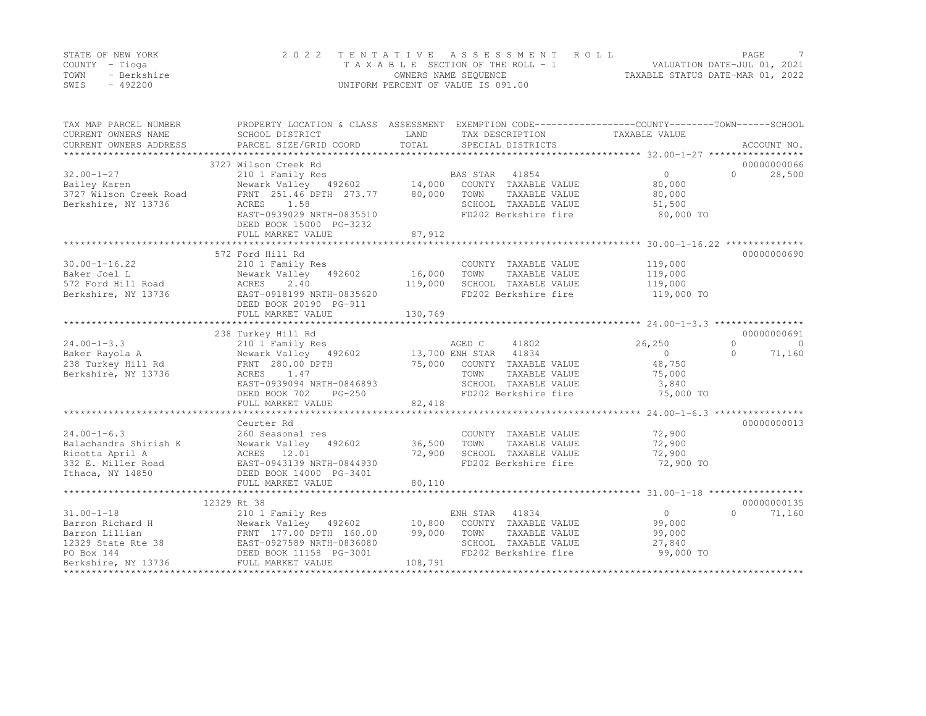|      | STATE OF NEW YORK | 2022 TENTATIVE ASSESSMENT ROLL     |                                  | PAGE. |  |
|------|-------------------|------------------------------------|----------------------------------|-------|--|
|      | COUNTY – Tioga    | TAXABLE SECTION OF THE ROLL - 1    | VALUATION DATE-JUL 01, 2021      |       |  |
| TOWN | - Berkshire       | OWNERS NAME SEQUENCE               | TAXABLE STATUS DATE-MAR 01, 2022 |       |  |
| SWIS | $-492200$         | UNIFORM PERCENT OF VALUE IS 091.00 |                                  |       |  |

| TAX MAP PARCEL NUMBER               | PROPERTY LOCATION & CLASS ASSESSMENT EXEMPTION CODE---------------COUNTY-------TOWN-----SCHOOL |         |                                |                |                       |
|-------------------------------------|------------------------------------------------------------------------------------------------|---------|--------------------------------|----------------|-----------------------|
| CURRENT OWNERS NAME                 | SCHOOL DISTRICT                                                                                | LAND    | TAX DESCRIPTION                | TAXABLE VALUE  |                       |
| CURRENT OWNERS ADDRESS              |                                                                                                |         |                                |                |                       |
|                                     |                                                                                                |         |                                |                |                       |
|                                     | 3727 Wilson Creek Rd                                                                           |         |                                |                | 00000000066           |
| $32.00 - 1 - 27$                    | 210 1 Family Res<br>Newark Valley 492602 14,000 COUNTY TAXABLE VALUE                           |         |                                | $\overline{0}$ | 28,500<br>$\cap$      |
| Bailey Karen                        |                                                                                                |         |                                | 80,000         |                       |
| 3727 Wilson Creek Road              | FRNT 251.46 DPTH 273.77 80,000                                                                 |         | TOWN<br>TAXABLE VALUE          | 80,000         |                       |
| Berkshire, NY 13736                 | ACRES<br>1.58                                                                                  |         | SCHOOL TAXABLE VALUE           | 51,500         |                       |
|                                     | EAST-0939029 NRTH-0835510                                                                      |         | FD202 Berkshire fire           | 80,000 TO      |                       |
|                                     | DEED BOOK 15000 PG-3232                                                                        |         |                                |                |                       |
|                                     | FULL MARKET VALUE                                                                              | 87,912  |                                |                |                       |
|                                     |                                                                                                |         |                                |                |                       |
|                                     | 572 Ford Hill Rd                                                                               |         |                                |                | 00000000690           |
| $30.00 - 1 - 16.22$                 | 210 1 Family Res                                                                               |         | COUNTY TAXABLE VALUE           | 119,000        |                       |
| Baker Joel L                        | Newark Valley 492602 16,000                                                                    |         | TOWN<br>TAXABLE VALUE          | 119,000        |                       |
| 572 Ford Hill Road                  | ACRES<br>2.40                                                                                  | 119,000 | SCHOOL TAXABLE VALUE           | 119,000        |                       |
| Berkshire, NY 13736                 | EAST-0918199 NRTH-0835620                                                                      |         | FD202 Berkshire fire           | 119,000 TO     |                       |
|                                     | DEED BOOK 20190 PG-911                                                                         |         |                                |                |                       |
|                                     | FULL MARKET VALUE                                                                              | 130,769 |                                |                |                       |
|                                     |                                                                                                |         |                                |                |                       |
|                                     | 238 Turkey Hill Rd                                                                             |         |                                |                | 00000000691           |
| $24.00 - 1 - 3.3$                   | 210 1 Family Res                                                                               |         | AGED C<br>41802                | 26,250         | $\circ$<br>$\bigcirc$ |
| Baker Rayola A                      | Newark Valley 492602 13,700 ENH STAR 41834                                                     |         |                                | $\Omega$       | 71,160<br>$\bigcap$   |
| 238 Turkey Hill Rd FRNT 280.00 DPTH |                                                                                                |         | 75,000 COUNTY TAXABLE VALUE    | 48,750         |                       |
| Berkshire, NY 13736                 | ACRES 1.47                                                                                     |         | TOWN<br>TAXABLE VALUE          | 75,000         |                       |
|                                     | EAST-0939094 NRTH-0846893                                                                      |         | SCHOOL TAXABLE VALUE           | 3,840          |                       |
|                                     | DEED BOOK 702<br>$PG-250$                                                                      |         | FD202 Berkshire fire 75,000 TO |                |                       |
|                                     | FULL MARKET VALUE                                                                              | 82,418  |                                |                |                       |
|                                     |                                                                                                |         |                                |                |                       |
|                                     | Ceurter Rd                                                                                     |         |                                |                | 00000000013           |
| $24.00 - 1 - 6.3$                   | 260 Seasonal res                                                                               |         | COUNTY TAXABLE VALUE           | 72,900         |                       |
| Balachandra Shirish K               | Newark Valley 492602                                                                           | 36,500  | TOWN<br>TAXABLE VALUE          | 72,900         |                       |
| Ricotta April A                     | ACRES 12.01                                                                                    | 72,900  | SCHOOL TAXABLE VALUE           | 72,900         |                       |
| 332 E. Miller Road                  | EAST-0943139 NRTH-0844930                                                                      |         | FD202 Berkshire fire           | 72,900 TO      |                       |
| Ithaca, NY 14850                    | DEED BOOK 14000 PG-3401                                                                        |         |                                |                |                       |
|                                     | FULL MARKET VALUE                                                                              | 80,110  |                                |                |                       |
|                                     |                                                                                                |         |                                |                |                       |
|                                     | 12329 Rt 38                                                                                    |         |                                |                | 00000000135           |
| $31.00 - 1 - 18$                    | 210 1 Family Res                                                                               |         | ENH STAR 41834                 | $\overline{0}$ | $\bigcap$<br>71,160   |
| Barron Richard H                    | Newark Valley 492602 10,800 COUNTY TAXABLE VALUE                                               |         |                                | 99,000         |                       |
| Barron Lillian                      |                                                                                                | 99,000  | TOWN<br>TAXABLE VALUE          | 99,000         |                       |
| 12329 State Rte 38                  | FRNT 177.00 DPTH 160.00<br>EAST-0927589 NRTH-0836080<br>DEED BOOK 11158 PG-3001                |         | SCHOOL TAXABLE VALUE           | 27,840         |                       |
| PO Box 144                          |                                                                                                |         | FD202 Berkshire fire           | 99,000 TO      |                       |
| Berkshire, NY 13736                 | FULL MARKET VALUE                                                                              | 108,791 |                                |                |                       |
|                                     |                                                                                                |         |                                |                |                       |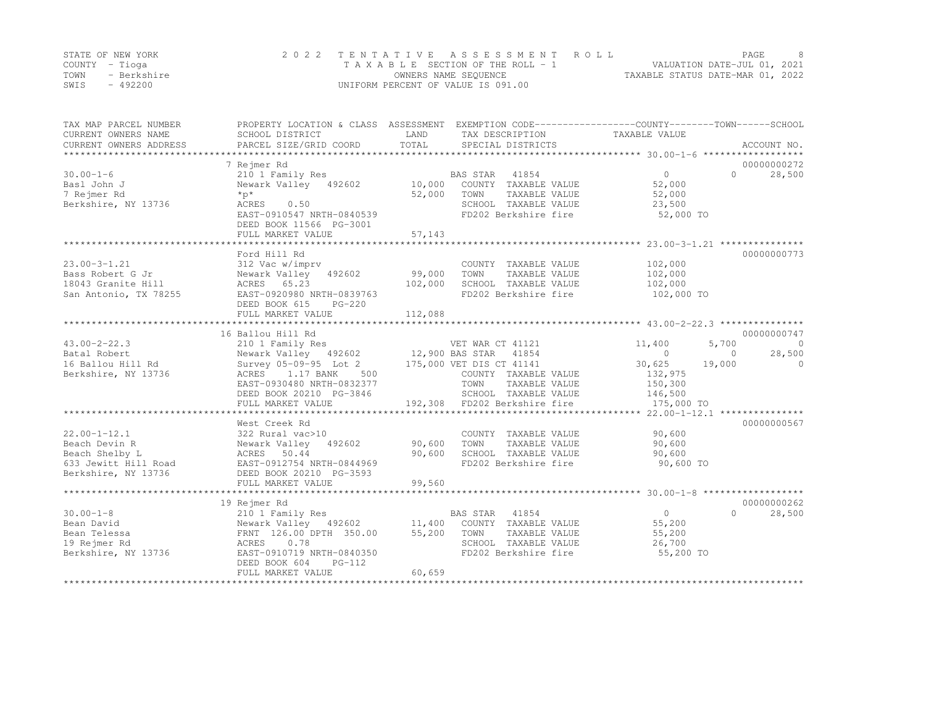|      | STATE OF NEW YORK | 2022 TENTATIVE ASSESSMENT ROLL     |                                  | PAGE. |  |
|------|-------------------|------------------------------------|----------------------------------|-------|--|
|      | COUNTY – Tioga    | TAXABLE SECTION OF THE ROLL - 1    | VALUATION DATE-JUL 01, 2021      |       |  |
| TOWN | - Berkshire       | OWNERS NAME SEQUENCE               | TAXABLE STATUS DATE-MAR 01, 2022 |       |  |
| SWIS | $-492200$         | UNIFORM PERCENT OF VALUE IS 091.00 |                                  |       |  |

| TAX MAP PARCEL NUMBER<br>CURRENT OWNERS NAME | SCHOOL DISTRICT                                        | LAND    | TAX DESCRIPTION                               | PROPERTY LOCATION & CLASS ASSESSMENT EXEMPTION CODE----------------COUNTY-------TOWN-----SCHOOL<br>TAXABLE VALUE |             |
|----------------------------------------------|--------------------------------------------------------|---------|-----------------------------------------------|------------------------------------------------------------------------------------------------------------------|-------------|
| CURRENT OWNERS ADDRESS                       | PARCEL SIZE/GRID COORD                                 | TOTAL   | SPECIAL DISTRICTS                             |                                                                                                                  | ACCOUNT NO. |
|                                              | 7 Rejmer Rd                                            |         |                                               |                                                                                                                  | 00000000272 |
| $30.00 - 1 - 6$                              | 210 1 Family Res                                       |         | 41854<br>BAS STAR                             | $0 \qquad \qquad$<br>$\Omega$                                                                                    | 28,500      |
| Basl John J                                  | Newark Valley 492602                                   | 10,000  | COUNTY TAXABLE VALUE                          | 52,000                                                                                                           |             |
| 7 Rejmer Rd                                  | $*_{p*}$                                               | 52,000  | TOWN<br>TAXABLE VALUE                         | 52,000                                                                                                           |             |
| Berkshire, NY 13736                          | 0.50<br>ACRES                                          |         | SCHOOL TAXABLE VALUE                          | 23,500                                                                                                           |             |
|                                              | EAST-0910547 NRTH-0840539<br>DEED BOOK 11566 PG-3001   |         | FD202 Berkshire fire                          | 52,000 TO                                                                                                        |             |
|                                              | FULL MARKET VALUE                                      | 57,143  |                                               |                                                                                                                  |             |
|                                              |                                                        |         |                                               |                                                                                                                  |             |
|                                              | Ford Hill Rd                                           |         |                                               |                                                                                                                  | 00000000773 |
| $23.00 - 3 - 1.21$                           | 312 Vac w/imprv                                        |         | COUNTY TAXABLE VALUE                          | 102,000                                                                                                          |             |
| Bass Robert G Jr                             | Newark Valley 492602                                   | 99,000  | TAXABLE VALUE<br>TOWN                         | 102,000                                                                                                          |             |
| 18043 Granite Hill                           | ACRES 65.23                                            | 102,000 | SCHOOL TAXABLE VALUE                          | 102,000                                                                                                          |             |
| San Antonio, TX 78255                        | EAST-0920980 NRTH-0839763<br>DEED BOOK 615<br>$PG-220$ |         | FD202 Berkshire fire                          | 102,000 TO                                                                                                       |             |
|                                              | FULL MARKET VALUE                                      | 112,088 |                                               |                                                                                                                  |             |
|                                              | 16 Ballou Hill Rd                                      |         |                                               |                                                                                                                  | 00000000747 |
| $43.00 - 2 - 22.3$                           | 210 1 Family Res                                       |         | VET WAR CT 41121                              | 11,400<br>5,700                                                                                                  | $\circ$     |
| Batal Robert                                 | Newark Valley 492602                                   |         | 12,900 BAS STAR 41854                         | $\circ$<br>$\circ$                                                                                               | 28,500      |
| 16 Ballou Hill Rd                            | Survey 05-09-95 Lot 2                                  |         | 175,000 VET DIS CT 41141                      | 30,625<br>19,000                                                                                                 | $\circ$     |
| Berkshire, NY 13736                          | ACRES<br>1.17 BANK<br>500                              |         | COUNTY TAXABLE VALUE                          | 132,975                                                                                                          |             |
|                                              | EAST-0930480 NRTH-0832377                              |         | TOWN<br>TAXABLE VALUE                         | 150,300                                                                                                          |             |
|                                              | DEED BOOK 20210 PG-3846                                |         | SCHOOL TAXABLE VALUE                          | 146,500                                                                                                          |             |
|                                              | FULL MARKET VALUE                                      |         | 192,308 FD202 Berkshire fire                  | 175,000 TO                                                                                                       |             |
|                                              |                                                        |         |                                               |                                                                                                                  |             |
|                                              | West Creek Rd                                          |         |                                               |                                                                                                                  | 00000000567 |
| $22.00 - 1 - 12.1$                           | 322 Rural vac>10                                       |         | COUNTY TAXABLE VALUE                          | 90,600                                                                                                           |             |
| Beach Devin R                                | Newark Valley 492602                                   | 90,600  | TOWN<br>TAXABLE VALUE                         | 90,600                                                                                                           |             |
| Beach Shelby L                               | ACRES 50.44                                            | 90,600  | SCHOOL TAXABLE VALUE                          | 90,600                                                                                                           |             |
| 633 Jewitt Hill Road                         | EAST-0912754 NRTH-0844969                              |         | FD202 Berkshire fire                          | 90,600 TO                                                                                                        |             |
| Berkshire, NY 13736                          | DEED BOOK 20210 PG-3593                                |         |                                               |                                                                                                                  |             |
|                                              | FULL MARKET VALUE                                      | 99,560  |                                               |                                                                                                                  |             |
|                                              |                                                        |         |                                               |                                                                                                                  |             |
|                                              | 19 Rejmer Rd                                           |         |                                               |                                                                                                                  | 00000000262 |
| $30.00 - 1 - 8$                              | 210 1 Family Res                                       |         | BAS STAR 41854                                | $\overline{0}$<br>$\cap$                                                                                         | 28,500      |
| Bean David                                   | Newark Valley 492602 11,400                            |         | COUNTY TAXABLE VALUE                          | 55,200                                                                                                           |             |
| Bean Telessa<br>19 Rejmer Rd                 | FRNT 126.00 DPTH 350.00<br>0.78<br>ACRES               | 55,200  | TAXABLE VALUE<br>TOWN<br>SCHOOL TAXABLE VALUE | 55,200<br>26,700                                                                                                 |             |
| Berkshire, NY 13736                          | EAST-0910719 NRTH-0840350                              |         | FD202 Berkshire fire                          | 55,200 TO                                                                                                        |             |
|                                              | DEED BOOK 604<br>$PG-112$                              | 60,659  |                                               |                                                                                                                  |             |
|                                              | FULL MARKET VALUE                                      |         |                                               |                                                                                                                  |             |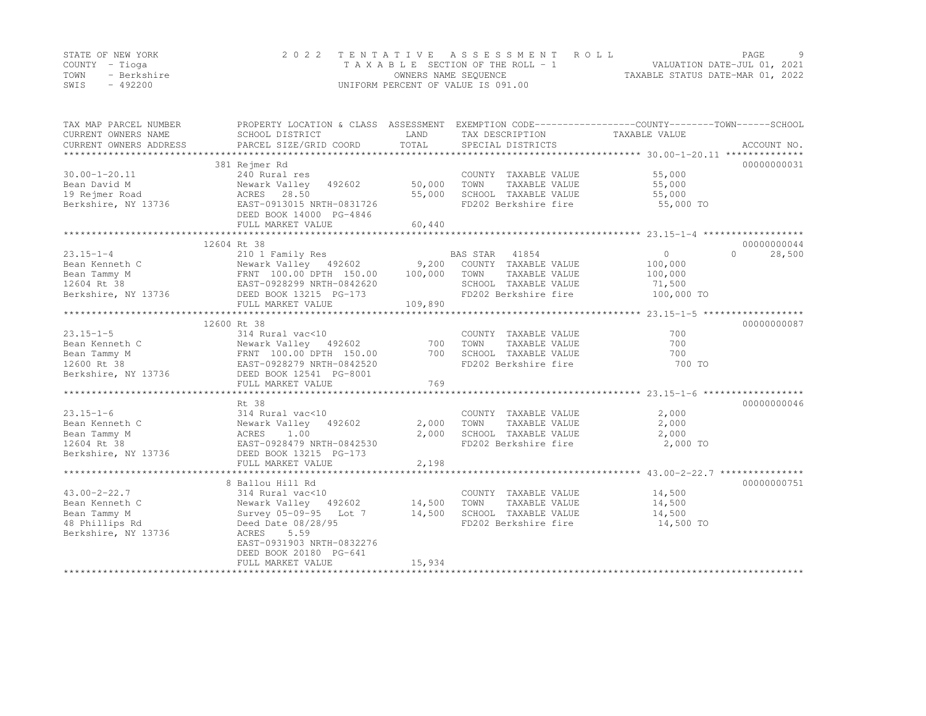|      | STATE OF NEW YORK | 2022 TENTATIVE ASSESSMENT ROLL     | <b>PAGE</b>                      |  |
|------|-------------------|------------------------------------|----------------------------------|--|
|      | COUNTY – Tioga    | TAXABLE SECTION OF THE ROLL - 1    | VALUATION DATE-JUL 01, 2021      |  |
| TOWN | - Berkshire       | OWNERS NAME SEQUENCE               | TAXABLE STATUS DATE-MAR 01, 2022 |  |
| SWIS | - 492200          | UNIFORM PERCENT OF VALUE IS 091.00 |                                  |  |

| 00000000031<br>381 Rejmer Rd<br>$30.00 - 1 - 20.11$<br>240 Rural res<br>COUNTY TAXABLE VALUE<br>55,000<br>Bean David M<br>Newark Valley 492602<br>50,000<br>TOWN<br>TAXABLE VALUE<br>55,000<br>ACRES 28.50<br>55,000<br>SCHOOL TAXABLE VALUE<br>55,000<br>19 Rejmer Road<br>Berkshire, NY 13736<br>EAST-0913015 NRTH-0831726<br>FD202 Berkshire fire<br>55,000 TO<br>DEED BOOK 14000 PG-4846<br>FULL MARKET VALUE<br>60,440<br>12604 Rt 38<br>00000000044<br>$23.15 - 1 - 4$<br>210 1 Family Res<br>$\overline{0}$<br>28,500<br>BAS STAR<br>41854<br>$\cap$<br>Newark Valley 492602 9,200 COUNTY TAXABLE VALUE<br>Bean Kenneth C<br>100,000<br>Newark Valley 492602 9,200<br>FRNT 100.00 DPTH 150.00 100,000<br>EAST-0928299 NRTH-0940600<br>Bean Tammy M<br>TOWN<br>TAXABLE VALUE<br>100,000<br>12604 Rt 38<br>SCHOOL TAXABLE VALUE<br>71,500<br>Berkshire, NY 13736<br>DEED BOOK 13215 PG-173<br>FD202 Berkshire fire<br>100,000 TO<br>109,890<br>FULL MARKET VALUE<br>12600 Rt 38<br>00000000087<br>$23.15 - 1 - 5$<br>700<br>314 Rural vac<10<br>COUNTY TAXABLE VALUE<br>Bean Kenneth C<br>700<br>Newark Valley 492602<br>700<br>TOWN<br>TAXABLE VALUE<br>Newark Valley - 492602<br>FRNT - 100.00 DPTH - 150.00<br>EAST-0928279 NRTH-0842520<br>Bean Tammy M<br>700<br>SCHOOL TAXABLE VALUE<br>700<br>FD202 Berkshire fire<br>12600 Rt 38<br>700 TO<br>Berkshire, NY 13736<br>DEED BOOK 12541 PG-8001<br>769<br>FULL MARKET VALUE<br>Rt 38<br>00000000046<br>2,000<br>314 Rural vac<10<br>COUNTY TAXABLE VALUE<br>2,000<br>Newark Valley 492602<br>2,000<br>TOWN<br>TAXABLE VALUE<br>1.00<br>2,000<br>SCHOOL TAXABLE VALUE<br>2,000<br>ACRES<br>EAST-0928479 NRTH-0842530<br>FD202 Berkshire fire<br>2,000 TO<br>DEED BOOK 13215 PG-173<br>FULL MARKET VALUE<br>2,198<br>00000000751<br>8 Ballou Hill Rd<br>314 Rural vac<10<br>COUNTY TAXABLE VALUE<br>14,500<br>Newark Valley 492602<br>14,500<br>TOWN<br>TAXABLE VALUE<br>14,500<br>14,500<br>Survey 05-09-95 Lot 7<br>SCHOOL TAXABLE VALUE<br>14,500<br>48 Phillips Rd<br>Deed Date 08/28/95<br>FD202 Berkshire fire<br>14,500 TO<br>5.59<br>ACRES<br>EAST-0931903 NRTH-0832276<br>DEED BOOK 20180 PG-641<br>15,934<br>FULL MARKET VALUE<br>********************************** | TAX MAP PARCEL NUMBER<br>CURRENT OWNERS NAME | SCHOOL DISTRICT        | LAND  | TAX DESCRIPTION   | PROPERTY LOCATION & CLASS ASSESSMENT EXEMPTION CODE----------------COUNTY-------TOWN-----SCHOOL<br>TAXABLE VALUE |
|----------------------------------------------------------------------------------------------------------------------------------------------------------------------------------------------------------------------------------------------------------------------------------------------------------------------------------------------------------------------------------------------------------------------------------------------------------------------------------------------------------------------------------------------------------------------------------------------------------------------------------------------------------------------------------------------------------------------------------------------------------------------------------------------------------------------------------------------------------------------------------------------------------------------------------------------------------------------------------------------------------------------------------------------------------------------------------------------------------------------------------------------------------------------------------------------------------------------------------------------------------------------------------------------------------------------------------------------------------------------------------------------------------------------------------------------------------------------------------------------------------------------------------------------------------------------------------------------------------------------------------------------------------------------------------------------------------------------------------------------------------------------------------------------------------------------------------------------------------------------------------------------------------------------------------------------------------------------------------------------------------------------------------------------------------------------------------------------------------------------------------------------------------------------------------------------------------------------------------------|----------------------------------------------|------------------------|-------|-------------------|------------------------------------------------------------------------------------------------------------------|
|                                                                                                                                                                                                                                                                                                                                                                                                                                                                                                                                                                                                                                                                                                                                                                                                                                                                                                                                                                                                                                                                                                                                                                                                                                                                                                                                                                                                                                                                                                                                                                                                                                                                                                                                                                                                                                                                                                                                                                                                                                                                                                                                                                                                                                        | CURRENT OWNERS ADDRESS                       | PARCEL SIZE/GRID COORD | TOTAL | SPECIAL DISTRICTS | ACCOUNT NO.                                                                                                      |
|                                                                                                                                                                                                                                                                                                                                                                                                                                                                                                                                                                                                                                                                                                                                                                                                                                                                                                                                                                                                                                                                                                                                                                                                                                                                                                                                                                                                                                                                                                                                                                                                                                                                                                                                                                                                                                                                                                                                                                                                                                                                                                                                                                                                                                        |                                              |                        |       |                   |                                                                                                                  |
|                                                                                                                                                                                                                                                                                                                                                                                                                                                                                                                                                                                                                                                                                                                                                                                                                                                                                                                                                                                                                                                                                                                                                                                                                                                                                                                                                                                                                                                                                                                                                                                                                                                                                                                                                                                                                                                                                                                                                                                                                                                                                                                                                                                                                                        |                                              |                        |       |                   |                                                                                                                  |
|                                                                                                                                                                                                                                                                                                                                                                                                                                                                                                                                                                                                                                                                                                                                                                                                                                                                                                                                                                                                                                                                                                                                                                                                                                                                                                                                                                                                                                                                                                                                                                                                                                                                                                                                                                                                                                                                                                                                                                                                                                                                                                                                                                                                                                        |                                              |                        |       |                   |                                                                                                                  |
|                                                                                                                                                                                                                                                                                                                                                                                                                                                                                                                                                                                                                                                                                                                                                                                                                                                                                                                                                                                                                                                                                                                                                                                                                                                                                                                                                                                                                                                                                                                                                                                                                                                                                                                                                                                                                                                                                                                                                                                                                                                                                                                                                                                                                                        |                                              |                        |       |                   |                                                                                                                  |
|                                                                                                                                                                                                                                                                                                                                                                                                                                                                                                                                                                                                                                                                                                                                                                                                                                                                                                                                                                                                                                                                                                                                                                                                                                                                                                                                                                                                                                                                                                                                                                                                                                                                                                                                                                                                                                                                                                                                                                                                                                                                                                                                                                                                                                        |                                              |                        |       |                   |                                                                                                                  |
|                                                                                                                                                                                                                                                                                                                                                                                                                                                                                                                                                                                                                                                                                                                                                                                                                                                                                                                                                                                                                                                                                                                                                                                                                                                                                                                                                                                                                                                                                                                                                                                                                                                                                                                                                                                                                                                                                                                                                                                                                                                                                                                                                                                                                                        |                                              |                        |       |                   |                                                                                                                  |
|                                                                                                                                                                                                                                                                                                                                                                                                                                                                                                                                                                                                                                                                                                                                                                                                                                                                                                                                                                                                                                                                                                                                                                                                                                                                                                                                                                                                                                                                                                                                                                                                                                                                                                                                                                                                                                                                                                                                                                                                                                                                                                                                                                                                                                        |                                              |                        |       |                   |                                                                                                                  |
|                                                                                                                                                                                                                                                                                                                                                                                                                                                                                                                                                                                                                                                                                                                                                                                                                                                                                                                                                                                                                                                                                                                                                                                                                                                                                                                                                                                                                                                                                                                                                                                                                                                                                                                                                                                                                                                                                                                                                                                                                                                                                                                                                                                                                                        |                                              |                        |       |                   |                                                                                                                  |
|                                                                                                                                                                                                                                                                                                                                                                                                                                                                                                                                                                                                                                                                                                                                                                                                                                                                                                                                                                                                                                                                                                                                                                                                                                                                                                                                                                                                                                                                                                                                                                                                                                                                                                                                                                                                                                                                                                                                                                                                                                                                                                                                                                                                                                        |                                              |                        |       |                   |                                                                                                                  |
|                                                                                                                                                                                                                                                                                                                                                                                                                                                                                                                                                                                                                                                                                                                                                                                                                                                                                                                                                                                                                                                                                                                                                                                                                                                                                                                                                                                                                                                                                                                                                                                                                                                                                                                                                                                                                                                                                                                                                                                                                                                                                                                                                                                                                                        |                                              |                        |       |                   |                                                                                                                  |
|                                                                                                                                                                                                                                                                                                                                                                                                                                                                                                                                                                                                                                                                                                                                                                                                                                                                                                                                                                                                                                                                                                                                                                                                                                                                                                                                                                                                                                                                                                                                                                                                                                                                                                                                                                                                                                                                                                                                                                                                                                                                                                                                                                                                                                        |                                              |                        |       |                   |                                                                                                                  |
|                                                                                                                                                                                                                                                                                                                                                                                                                                                                                                                                                                                                                                                                                                                                                                                                                                                                                                                                                                                                                                                                                                                                                                                                                                                                                                                                                                                                                                                                                                                                                                                                                                                                                                                                                                                                                                                                                                                                                                                                                                                                                                                                                                                                                                        |                                              |                        |       |                   |                                                                                                                  |
|                                                                                                                                                                                                                                                                                                                                                                                                                                                                                                                                                                                                                                                                                                                                                                                                                                                                                                                                                                                                                                                                                                                                                                                                                                                                                                                                                                                                                                                                                                                                                                                                                                                                                                                                                                                                                                                                                                                                                                                                                                                                                                                                                                                                                                        |                                              |                        |       |                   |                                                                                                                  |
|                                                                                                                                                                                                                                                                                                                                                                                                                                                                                                                                                                                                                                                                                                                                                                                                                                                                                                                                                                                                                                                                                                                                                                                                                                                                                                                                                                                                                                                                                                                                                                                                                                                                                                                                                                                                                                                                                                                                                                                                                                                                                                                                                                                                                                        |                                              |                        |       |                   |                                                                                                                  |
|                                                                                                                                                                                                                                                                                                                                                                                                                                                                                                                                                                                                                                                                                                                                                                                                                                                                                                                                                                                                                                                                                                                                                                                                                                                                                                                                                                                                                                                                                                                                                                                                                                                                                                                                                                                                                                                                                                                                                                                                                                                                                                                                                                                                                                        |                                              |                        |       |                   |                                                                                                                  |
|                                                                                                                                                                                                                                                                                                                                                                                                                                                                                                                                                                                                                                                                                                                                                                                                                                                                                                                                                                                                                                                                                                                                                                                                                                                                                                                                                                                                                                                                                                                                                                                                                                                                                                                                                                                                                                                                                                                                                                                                                                                                                                                                                                                                                                        |                                              |                        |       |                   |                                                                                                                  |
|                                                                                                                                                                                                                                                                                                                                                                                                                                                                                                                                                                                                                                                                                                                                                                                                                                                                                                                                                                                                                                                                                                                                                                                                                                                                                                                                                                                                                                                                                                                                                                                                                                                                                                                                                                                                                                                                                                                                                                                                                                                                                                                                                                                                                                        |                                              |                        |       |                   |                                                                                                                  |
|                                                                                                                                                                                                                                                                                                                                                                                                                                                                                                                                                                                                                                                                                                                                                                                                                                                                                                                                                                                                                                                                                                                                                                                                                                                                                                                                                                                                                                                                                                                                                                                                                                                                                                                                                                                                                                                                                                                                                                                                                                                                                                                                                                                                                                        |                                              |                        |       |                   |                                                                                                                  |
|                                                                                                                                                                                                                                                                                                                                                                                                                                                                                                                                                                                                                                                                                                                                                                                                                                                                                                                                                                                                                                                                                                                                                                                                                                                                                                                                                                                                                                                                                                                                                                                                                                                                                                                                                                                                                                                                                                                                                                                                                                                                                                                                                                                                                                        |                                              |                        |       |                   |                                                                                                                  |
|                                                                                                                                                                                                                                                                                                                                                                                                                                                                                                                                                                                                                                                                                                                                                                                                                                                                                                                                                                                                                                                                                                                                                                                                                                                                                                                                                                                                                                                                                                                                                                                                                                                                                                                                                                                                                                                                                                                                                                                                                                                                                                                                                                                                                                        |                                              |                        |       |                   |                                                                                                                  |
|                                                                                                                                                                                                                                                                                                                                                                                                                                                                                                                                                                                                                                                                                                                                                                                                                                                                                                                                                                                                                                                                                                                                                                                                                                                                                                                                                                                                                                                                                                                                                                                                                                                                                                                                                                                                                                                                                                                                                                                                                                                                                                                                                                                                                                        |                                              |                        |       |                   |                                                                                                                  |
|                                                                                                                                                                                                                                                                                                                                                                                                                                                                                                                                                                                                                                                                                                                                                                                                                                                                                                                                                                                                                                                                                                                                                                                                                                                                                                                                                                                                                                                                                                                                                                                                                                                                                                                                                                                                                                                                                                                                                                                                                                                                                                                                                                                                                                        |                                              |                        |       |                   |                                                                                                                  |
|                                                                                                                                                                                                                                                                                                                                                                                                                                                                                                                                                                                                                                                                                                                                                                                                                                                                                                                                                                                                                                                                                                                                                                                                                                                                                                                                                                                                                                                                                                                                                                                                                                                                                                                                                                                                                                                                                                                                                                                                                                                                                                                                                                                                                                        |                                              |                        |       |                   |                                                                                                                  |
|                                                                                                                                                                                                                                                                                                                                                                                                                                                                                                                                                                                                                                                                                                                                                                                                                                                                                                                                                                                                                                                                                                                                                                                                                                                                                                                                                                                                                                                                                                                                                                                                                                                                                                                                                                                                                                                                                                                                                                                                                                                                                                                                                                                                                                        |                                              |                        |       |                   |                                                                                                                  |
|                                                                                                                                                                                                                                                                                                                                                                                                                                                                                                                                                                                                                                                                                                                                                                                                                                                                                                                                                                                                                                                                                                                                                                                                                                                                                                                                                                                                                                                                                                                                                                                                                                                                                                                                                                                                                                                                                                                                                                                                                                                                                                                                                                                                                                        |                                              |                        |       |                   |                                                                                                                  |
|                                                                                                                                                                                                                                                                                                                                                                                                                                                                                                                                                                                                                                                                                                                                                                                                                                                                                                                                                                                                                                                                                                                                                                                                                                                                                                                                                                                                                                                                                                                                                                                                                                                                                                                                                                                                                                                                                                                                                                                                                                                                                                                                                                                                                                        | $23.15 - 1 - 6$                              |                        |       |                   |                                                                                                                  |
|                                                                                                                                                                                                                                                                                                                                                                                                                                                                                                                                                                                                                                                                                                                                                                                                                                                                                                                                                                                                                                                                                                                                                                                                                                                                                                                                                                                                                                                                                                                                                                                                                                                                                                                                                                                                                                                                                                                                                                                                                                                                                                                                                                                                                                        | Bean Kenneth C                               |                        |       |                   |                                                                                                                  |
|                                                                                                                                                                                                                                                                                                                                                                                                                                                                                                                                                                                                                                                                                                                                                                                                                                                                                                                                                                                                                                                                                                                                                                                                                                                                                                                                                                                                                                                                                                                                                                                                                                                                                                                                                                                                                                                                                                                                                                                                                                                                                                                                                                                                                                        | Bean Tammy M                                 |                        |       |                   |                                                                                                                  |
|                                                                                                                                                                                                                                                                                                                                                                                                                                                                                                                                                                                                                                                                                                                                                                                                                                                                                                                                                                                                                                                                                                                                                                                                                                                                                                                                                                                                                                                                                                                                                                                                                                                                                                                                                                                                                                                                                                                                                                                                                                                                                                                                                                                                                                        | 12604 Rt 38                                  |                        |       |                   |                                                                                                                  |
|                                                                                                                                                                                                                                                                                                                                                                                                                                                                                                                                                                                                                                                                                                                                                                                                                                                                                                                                                                                                                                                                                                                                                                                                                                                                                                                                                                                                                                                                                                                                                                                                                                                                                                                                                                                                                                                                                                                                                                                                                                                                                                                                                                                                                                        | Berkshire, NY 13736                          |                        |       |                   |                                                                                                                  |
|                                                                                                                                                                                                                                                                                                                                                                                                                                                                                                                                                                                                                                                                                                                                                                                                                                                                                                                                                                                                                                                                                                                                                                                                                                                                                                                                                                                                                                                                                                                                                                                                                                                                                                                                                                                                                                                                                                                                                                                                                                                                                                                                                                                                                                        |                                              |                        |       |                   |                                                                                                                  |
|                                                                                                                                                                                                                                                                                                                                                                                                                                                                                                                                                                                                                                                                                                                                                                                                                                                                                                                                                                                                                                                                                                                                                                                                                                                                                                                                                                                                                                                                                                                                                                                                                                                                                                                                                                                                                                                                                                                                                                                                                                                                                                                                                                                                                                        |                                              |                        |       |                   |                                                                                                                  |
|                                                                                                                                                                                                                                                                                                                                                                                                                                                                                                                                                                                                                                                                                                                                                                                                                                                                                                                                                                                                                                                                                                                                                                                                                                                                                                                                                                                                                                                                                                                                                                                                                                                                                                                                                                                                                                                                                                                                                                                                                                                                                                                                                                                                                                        |                                              |                        |       |                   |                                                                                                                  |
|                                                                                                                                                                                                                                                                                                                                                                                                                                                                                                                                                                                                                                                                                                                                                                                                                                                                                                                                                                                                                                                                                                                                                                                                                                                                                                                                                                                                                                                                                                                                                                                                                                                                                                                                                                                                                                                                                                                                                                                                                                                                                                                                                                                                                                        | $43.00 - 2 - 22.7$                           |                        |       |                   |                                                                                                                  |
|                                                                                                                                                                                                                                                                                                                                                                                                                                                                                                                                                                                                                                                                                                                                                                                                                                                                                                                                                                                                                                                                                                                                                                                                                                                                                                                                                                                                                                                                                                                                                                                                                                                                                                                                                                                                                                                                                                                                                                                                                                                                                                                                                                                                                                        | Bean Kenneth C                               |                        |       |                   |                                                                                                                  |
|                                                                                                                                                                                                                                                                                                                                                                                                                                                                                                                                                                                                                                                                                                                                                                                                                                                                                                                                                                                                                                                                                                                                                                                                                                                                                                                                                                                                                                                                                                                                                                                                                                                                                                                                                                                                                                                                                                                                                                                                                                                                                                                                                                                                                                        | Bean Tammy M                                 |                        |       |                   |                                                                                                                  |
|                                                                                                                                                                                                                                                                                                                                                                                                                                                                                                                                                                                                                                                                                                                                                                                                                                                                                                                                                                                                                                                                                                                                                                                                                                                                                                                                                                                                                                                                                                                                                                                                                                                                                                                                                                                                                                                                                                                                                                                                                                                                                                                                                                                                                                        |                                              |                        |       |                   |                                                                                                                  |
|                                                                                                                                                                                                                                                                                                                                                                                                                                                                                                                                                                                                                                                                                                                                                                                                                                                                                                                                                                                                                                                                                                                                                                                                                                                                                                                                                                                                                                                                                                                                                                                                                                                                                                                                                                                                                                                                                                                                                                                                                                                                                                                                                                                                                                        | Berkshire, NY 13736                          |                        |       |                   |                                                                                                                  |
|                                                                                                                                                                                                                                                                                                                                                                                                                                                                                                                                                                                                                                                                                                                                                                                                                                                                                                                                                                                                                                                                                                                                                                                                                                                                                                                                                                                                                                                                                                                                                                                                                                                                                                                                                                                                                                                                                                                                                                                                                                                                                                                                                                                                                                        |                                              |                        |       |                   |                                                                                                                  |
|                                                                                                                                                                                                                                                                                                                                                                                                                                                                                                                                                                                                                                                                                                                                                                                                                                                                                                                                                                                                                                                                                                                                                                                                                                                                                                                                                                                                                                                                                                                                                                                                                                                                                                                                                                                                                                                                                                                                                                                                                                                                                                                                                                                                                                        |                                              |                        |       |                   |                                                                                                                  |
|                                                                                                                                                                                                                                                                                                                                                                                                                                                                                                                                                                                                                                                                                                                                                                                                                                                                                                                                                                                                                                                                                                                                                                                                                                                                                                                                                                                                                                                                                                                                                                                                                                                                                                                                                                                                                                                                                                                                                                                                                                                                                                                                                                                                                                        |                                              |                        |       |                   |                                                                                                                  |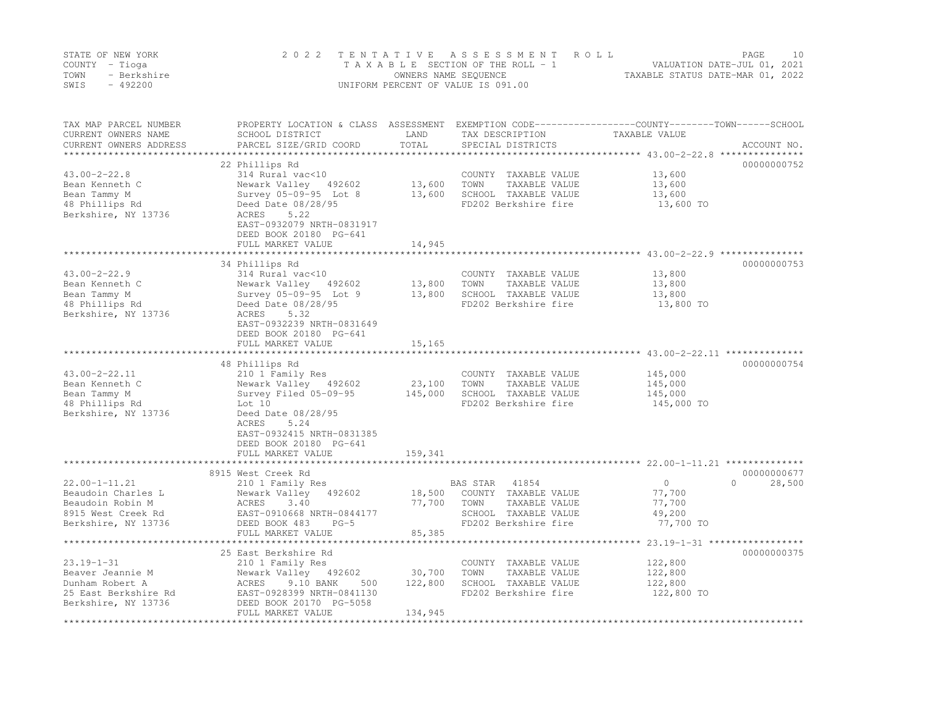|      | STATE OF NEW YORK | 2022 TENTATIVE ASSESSMENT ROLL     | PAGE.                            | 10 |
|------|-------------------|------------------------------------|----------------------------------|----|
|      | COUNTY – Tioga    | TAXABLE SECTION OF THE ROLL - 1    | VALUATION DATE-JUL 01, 2021      |    |
| TOWN | - Berkshire       | OWNERS NAME SEOUENCE               | TAXABLE STATUS DATE-MAR 01, 2022 |    |
| SWIS | $-492200$         | UNIFORM PERCENT OF VALUE IS 091.00 |                                  |    |

| TAX MAP PARCEL NUMBER<br>CURRENT OWNERS NAME      | PROPERTY LOCATION & CLASS ASSESSMENT EXEMPTION CODE----------------COUNTY-------TOWN-----SCHOOL<br>SCHOOL DISTRICT | LAND<br>TOTAL     | TAX DESCRIPTION                               | TAXABLE VALUE                                            |                    |
|---------------------------------------------------|--------------------------------------------------------------------------------------------------------------------|-------------------|-----------------------------------------------|----------------------------------------------------------|--------------------|
| CURRENT OWNERS ADDRESS<br>*********************** | PARCEL SIZE/GRID COORD                                                                                             |                   | SPECIAL DISTRICTS                             |                                                          | ACCOUNT NO.        |
|                                                   | 22 Phillips Rd                                                                                                     |                   |                                               |                                                          | 00000000752        |
| $43.00 - 2 - 22.8$                                | 314 Rural vac<10                                                                                                   |                   | COUNTY TAXABLE VALUE                          | 13,600                                                   |                    |
| Bean Kenneth C                                    | Newark Valley 492602                                                                                               | 13,600            | TOWN<br>TAXABLE VALUE                         | 13,600                                                   |                    |
| Bean Tammy M                                      | Survey 05-09-95 Lot 8                                                                                              | 13,600            | SCHOOL TAXABLE VALUE                          | 13,600                                                   |                    |
| 48 Phillips Rd                                    | Deed Date 08/28/95                                                                                                 |                   | FD202 Berkshire fire                          | 13,600 TO                                                |                    |
| Berkshire, NY 13736                               | 5.22<br>ACRES                                                                                                      |                   |                                               |                                                          |                    |
|                                                   | EAST-0932079 NRTH-0831917                                                                                          |                   |                                               |                                                          |                    |
|                                                   | DEED BOOK 20180 PG-641                                                                                             |                   |                                               |                                                          |                    |
|                                                   | FULL MARKET VALUE                                                                                                  | 14,945            |                                               |                                                          |                    |
|                                                   | ***************************                                                                                        |                   |                                               | ****************************** 43.00-2-22.9 ************ |                    |
|                                                   | 34 Phillips Rd                                                                                                     |                   |                                               |                                                          | 00000000753        |
| $43.00 - 2 - 22.9$                                | 314 Rural vac<10                                                                                                   |                   | COUNTY TAXABLE VALUE                          | 13,800                                                   |                    |
| Bean Kenneth C                                    | Newark Valley 492602                                                                                               | 13,800            | TOWN<br>TAXABLE VALUE                         | 13,800                                                   |                    |
| Bean Tammy M                                      | Survey 05-09-95 Lot 9                                                                                              | 13,800            | SCHOOL TAXABLE VALUE                          | 13,800                                                   |                    |
| 48 Phillips Rd                                    | Deed Date 08/28/95                                                                                                 |                   | FD202 Berkshire fire                          | 13,800 TO                                                |                    |
| Berkshire, NY 13736                               | 5.32<br>ACRES                                                                                                      |                   |                                               |                                                          |                    |
|                                                   | EAST-0932239 NRTH-0831649                                                                                          |                   |                                               |                                                          |                    |
|                                                   | DEED BOOK 20180 PG-641                                                                                             |                   |                                               |                                                          |                    |
|                                                   | FULL MARKET VALUE<br>***********************                                                                       | 15,165            |                                               |                                                          |                    |
|                                                   | 48 Phillips Rd                                                                                                     |                   |                                               |                                                          | 00000000754        |
| $43.00 - 2 - 22.11$                               | 210 1 Family Res                                                                                                   |                   | COUNTY TAXABLE VALUE                          | 145,000                                                  |                    |
| Bean Kenneth C                                    | Newark Valley 492602                                                                                               | 23,100            | TAXABLE VALUE<br>TOWN                         | 145,000                                                  |                    |
| Bean Tammy M                                      | Survey Filed 05-09-95                                                                                              | 145,000           | SCHOOL TAXABLE VALUE                          | 145,000                                                  |                    |
| 48 Phillips Rd                                    | Lot 10                                                                                                             |                   | FD202 Berkshire fire                          | 145,000 TO                                               |                    |
| Berkshire, NY 13736                               | Deed Date 08/28/95                                                                                                 |                   |                                               |                                                          |                    |
|                                                   | ACRES<br>5.24                                                                                                      |                   |                                               |                                                          |                    |
|                                                   | EAST-0932415 NRTH-0831385                                                                                          |                   |                                               |                                                          |                    |
|                                                   | DEED BOOK 20180 PG-641                                                                                             |                   |                                               |                                                          |                    |
|                                                   | FULL MARKET VALUE                                                                                                  | 159,341           |                                               |                                                          |                    |
|                                                   | ***************************                                                                                        | *************     |                                               |                                                          |                    |
|                                                   | 8915 West Creek Rd                                                                                                 |                   |                                               |                                                          | 00000000677        |
| 22.00-1-11.21                                     | 210 1 Family Res                                                                                                   |                   | 41854<br>BAS STAR                             | 0                                                        | $\Omega$<br>28,500 |
| Beaudoin Charles L                                | Newark Valley<br>492602                                                                                            | 18,500            | COUNTY TAXABLE VALUE                          | 77,700                                                   |                    |
| Beaudoin Robin M                                  | ACRES<br>3.40                                                                                                      | 77,700            | TOWN<br>TAXABLE VALUE                         | 77,700                                                   |                    |
| 8915 West Creek Rd                                | EAST-0910668 NRTH-0844177                                                                                          |                   | SCHOOL TAXABLE VALUE                          | 49,200                                                   |                    |
| Berkshire, NY 13736                               | DEED BOOK 483<br>$PG-5$                                                                                            |                   | FD202 Berkshire fire                          | 77,700 TO                                                |                    |
|                                                   | FULL MARKET VALUE<br>*****************************                                                                 | 85,385            |                                               |                                                          |                    |
|                                                   |                                                                                                                    |                   |                                               |                                                          |                    |
|                                                   | 25 East Berkshire Rd                                                                                               |                   |                                               |                                                          | 00000000375        |
| $23.19 - 1 - 31$                                  | 210 1 Family Res                                                                                                   |                   | COUNTY TAXABLE VALUE                          | 122,800                                                  |                    |
| Beaver Jeannie M<br>Dunham Robert A               | Newark Valley 492602<br>ACRES<br>9.10 BANK<br>500                                                                  | 30,700<br>122,800 | TOWN<br>TAXABLE VALUE<br>SCHOOL TAXABLE VALUE | 122,800<br>122,800                                       |                    |
| 25 East Berkshire Rd                              | EAST-0928399 NRTH-0841130                                                                                          |                   | FD202 Berkshire fire                          | 122,800 TO                                               |                    |
| Berkshire, NY 13736                               | DEED BOOK 20170 PG-5058                                                                                            |                   |                                               |                                                          |                    |
|                                                   | FULL MARKET VALUE                                                                                                  | 134,945           |                                               |                                                          |                    |
|                                                   |                                                                                                                    |                   |                                               |                                                          |                    |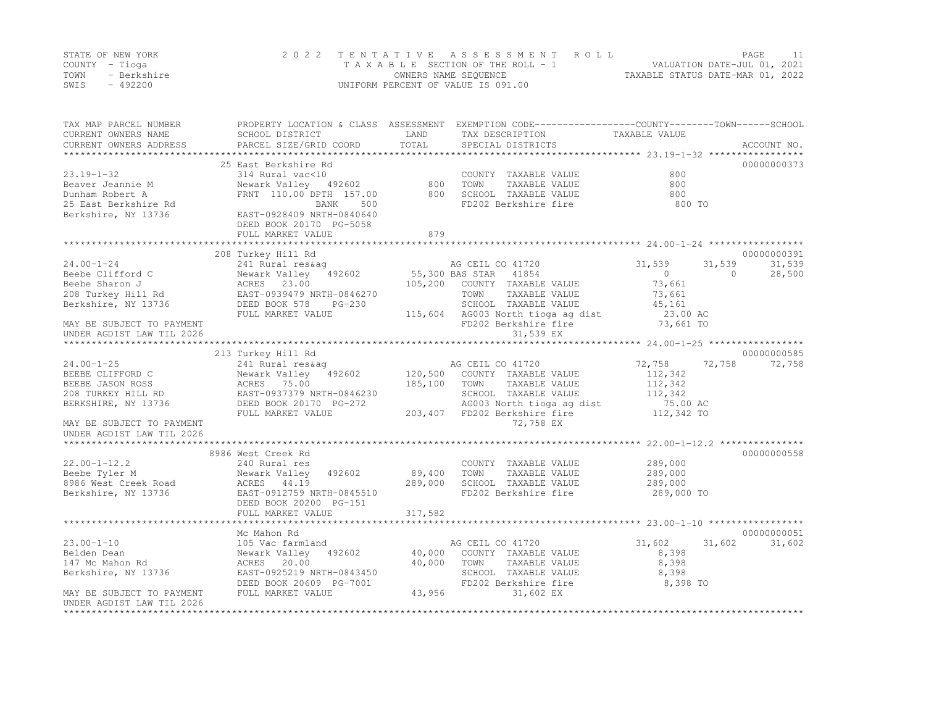|      | STATE OF NEW YORK | 2022 TENTATIVE ASSESSMENT ROLL     |                                  | PAGE                        |  |
|------|-------------------|------------------------------------|----------------------------------|-----------------------------|--|
|      | COUNTY – Tioga    | TAXABLE SECTION OF THE ROLL - 1    |                                  | VALUATION DATE-JUL 01, 2021 |  |
| TOWN | - Berkshire       | OWNERS NAME SEQUENCE               | TAXABLE STATUS DATE-MAR 01, 2022 |                             |  |
| SWIS | - 492200          | UNIFORM PERCENT OF VALUE IS 091.00 |                                  |                             |  |

| TAX MAP PARCEL NUMBER<br>CURRENT OWNERS NAME           | SCHOOL DISTRICT<br>PARCEL SIZE/GRID COORD    | LAND<br>TOTAL | PROPERTY LOCATION & CLASS ASSESSMENT EXEMPTION CODE----------------COUNTY-------TOWN------SCHOOL<br>TAX DESCRIPTION | TAXABLE VALUE    | ACCOUNT NO.        |
|--------------------------------------------------------|----------------------------------------------|---------------|---------------------------------------------------------------------------------------------------------------------|------------------|--------------------|
| CURRENT OWNERS ADDRESS                                 |                                              |               | SPECIAL DISTRICTS                                                                                                   |                  |                    |
|                                                        | 25 East Berkshire Rd                         |               |                                                                                                                     |                  | 00000000373        |
| $23.19 - 1 - 32$                                       | 314 Rural vac<10                             |               | COUNTY TAXABLE VALUE                                                                                                | 800              |                    |
| Beaver Jeannie M                                       | Newark Valley 492602                         | 800           | TOWN<br>TAXABLE VALUE                                                                                               | 800              |                    |
| Dunham Robert A                                        | FRNT 110.00 DPTH 157.00                      | 800           | SCHOOL TAXABLE VALUE                                                                                                | 800              |                    |
| 25 East Berkshire Rd                                   | BANK<br>500                                  |               | FD202 Berkshire fire                                                                                                | 800 TO           |                    |
| Berkshire, NY 13736                                    | EAST-0928409 NRTH-0840640                    |               |                                                                                                                     |                  |                    |
|                                                        | DEED BOOK 20170 PG-5058                      |               |                                                                                                                     |                  |                    |
|                                                        | FULL MARKET VALUE                            | 879           |                                                                                                                     |                  |                    |
|                                                        |                                              |               |                                                                                                                     |                  | 00000000391        |
| $24.00 - 1 - 24$                                       | 208 Turkey Hill Rd<br>241 Rural res&aq       |               | AG CEIL CO 41720                                                                                                    | 31,539<br>31,539 | 31,539             |
| Beebe Clifford C                                       | Newark Valley 492602                         |               | 55,300 BAS STAR 41854                                                                                               | $\circ$          | $\Omega$<br>28,500 |
| Beebe Sharon J                                         | ACRES 23.00                                  | 105,200       | COUNTY TAXABLE VALUE                                                                                                | 73,661           |                    |
| 208 Turkey Hill Rd                                     | EAST-0939479 NRTH-0846270                    |               | TOWN<br>TAXABLE VALUE                                                                                               | 73,661           |                    |
| Berkshire, NY 13736                                    | DEED BOOK 578<br>$PG-230$                    |               | SCHOOL TAXABLE VALUE                                                                                                | 45,161           |                    |
|                                                        | FULL MARKET VALUE                            | 115,604       | AG003 North tioga ag dist                                                                                           | 23.00 AC         |                    |
| MAY BE SUBJECT TO PAYMENT                              |                                              |               | FD202 Berkshire fire                                                                                                | 73,661 TO        |                    |
| UNDER AGDIST LAW TIL 2026                              |                                              |               | 31,539 EX                                                                                                           |                  |                    |
|                                                        |                                              |               |                                                                                                                     |                  |                    |
|                                                        | 213 Turkey Hill Rd                           |               |                                                                                                                     |                  | 00000000585        |
| $24.00 - 1 - 25$                                       | 241 Rural res&aq                             |               | AG CEIL CO 41720                                                                                                    | 72,758<br>72,758 | 72,758             |
| BEEBE CLIFFORD C                                       | Newark Valley 492602                         | 120,500       | COUNTY TAXABLE VALUE                                                                                                | 112,342          |                    |
| BEEBE JASON ROSS                                       | ACRES 75.00                                  | 185,100       | TAXABLE VALUE<br>TOWN                                                                                               | 112,342          |                    |
| 208 TURKEY HILL RD                                     | EAST-0937379 NRTH-0846230                    |               | SCHOOL TAXABLE VALUE                                                                                                | 112,342          |                    |
| BERKSHIRE, NY 13736                                    | DEED BOOK 20170 PG-272                       |               | AG003 North tioga ag dist                                                                                           | 75.00 AC         |                    |
|                                                        | FULL MARKET VALUE                            | 203,407       | FD202 Berkshire fire                                                                                                | 112,342 TO       |                    |
| MAY BE SUBJECT TO PAYMENT<br>UNDER AGDIST LAW TIL 2026 |                                              |               | 72,758 EX                                                                                                           |                  |                    |
|                                                        |                                              |               |                                                                                                                     |                  |                    |
|                                                        | 8986 West Creek Rd                           |               |                                                                                                                     |                  | 00000000558        |
| $22.00 - 1 - 12.2$                                     | 240 Rural res                                |               | COUNTY TAXABLE VALUE                                                                                                | 289,000          |                    |
| Beebe Tyler M                                          | 492602<br>Newark Valley                      | 89,400        | TOWN<br>TAXABLE VALUE                                                                                               | 289,000          |                    |
| 8986 West Creek Road                                   | ACRES 44.19                                  | 289,000       | SCHOOL TAXABLE VALUE                                                                                                | 289,000          |                    |
| Berkshire, NY 13736                                    | EAST-0912759 NRTH-0845510                    |               | FD202 Berkshire fire                                                                                                | 289,000 TO       |                    |
|                                                        | DEED BOOK 20200 PG-151                       |               |                                                                                                                     |                  |                    |
|                                                        | FULL MARKET VALUE                            | 317,582       |                                                                                                                     |                  |                    |
|                                                        |                                              |               |                                                                                                                     |                  |                    |
|                                                        | Mc Mahon Rd                                  |               |                                                                                                                     |                  | 00000000051        |
| $23.00 - 1 - 10$                                       | 105 Vac farmland                             |               | AG CEIL CO 41720                                                                                                    | 31,602<br>31,602 | 31,602             |
| Belden Dean                                            | Newark Valley<br>492602                      | 40,000        | COUNTY TAXABLE VALUE                                                                                                | 8,398            |                    |
| 147 Mc Mahon Rd                                        | ACRES 20.00                                  | 40,000        | TAXABLE VALUE<br>TOWN                                                                                               | 8,398            |                    |
| Berkshire, NY 13736                                    | EAST-0925219 NRTH-0843450                    |               | SCHOOL TAXABLE VALUE                                                                                                | 8,398            |                    |
| MAY BE SUBJECT TO PAYMENT                              | DEED BOOK 20609 PG-7001<br>FULL MARKET VALUE | 43,956        | FD202 Berkshire fire<br>31,602 EX                                                                                   | 8,398 TO         |                    |
| UNDER AGDIST LAW TIL 2026                              |                                              |               |                                                                                                                     |                  |                    |
| *********************                                  |                                              |               |                                                                                                                     |                  |                    |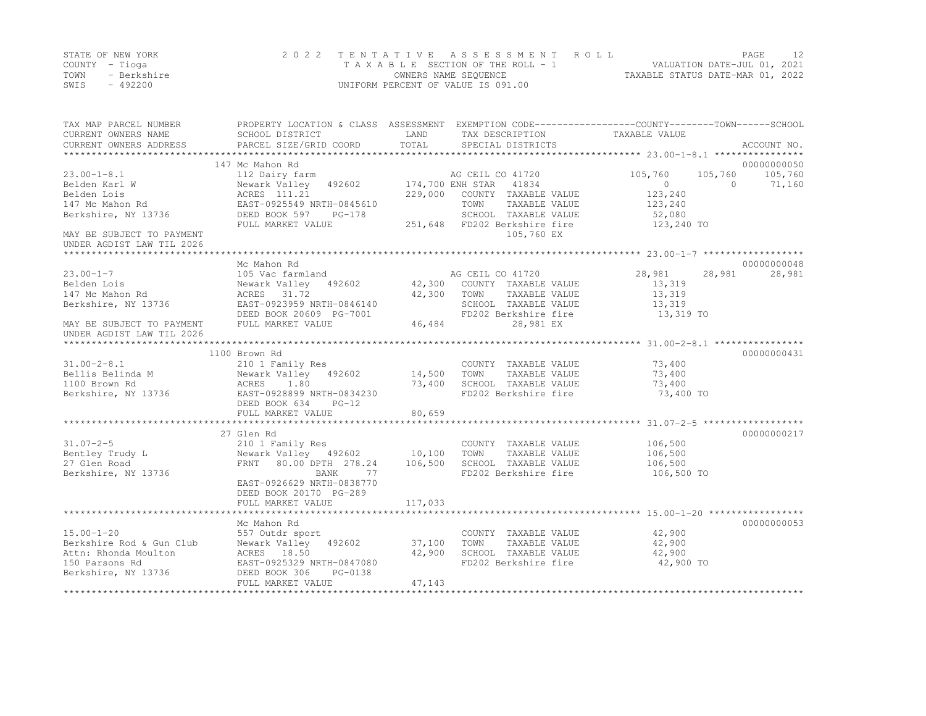|      | STATE OF NEW YORK | 2022 TENTATIVE ASSESSMENT ROLL     |                                  | PAGE.                       | 12. |
|------|-------------------|------------------------------------|----------------------------------|-----------------------------|-----|
|      | COUNTY – Tioga    | TAXABLE SECTION OF THE ROLL - 1    |                                  | VALUATION DATE-JUL 01, 2021 |     |
| TOWN | - Berkshire       | OWNERS NAME SEQUENCE               | TAXABLE STATUS DATE-MAR 01, 2022 |                             |     |
| SWIS | - 492200          | UNIFORM PERCENT OF VALUE IS 091.00 |                                  |                             |     |

| TAX MAP PARCEL NUMBER                         | PROPERTY LOCATION & CLASS ASSESSMENT EXEMPTION CODE---------------COUNTY-------TOWN-----SCHOOL |         |                              |                |                    |
|-----------------------------------------------|------------------------------------------------------------------------------------------------|---------|------------------------------|----------------|--------------------|
| CURRENT OWNERS NAME                           | SCHOOL DISTRICT                                                                                | LAND    | TAX DESCRIPTION              | TAXABLE VALUE  |                    |
| CURRENT OWNERS ADDRESS                        | PARCEL SIZE/GRID COORD                                                                         | TOTAL   | SPECIAL DISTRICTS            |                | ACCOUNT NO.        |
|                                               |                                                                                                |         |                              |                |                    |
|                                               | 147 Mc Mahon Rd                                                                                |         |                              |                | 00000000050        |
| $23.00 - 1 - 8.1$                             | 112 Dairy farm                                                                                 |         | AG CEIL CO 41720             | 105,760        | 105,760<br>105,760 |
| Belden Karl W                                 | Newark Valley 492602                                                                           |         | 174,700 ENH STAR 41834       | $\overline{0}$ | $\Omega$<br>71,160 |
| Belden Lois                                   | ACRES 111.21                                                                                   |         | 229,000 COUNTY TAXABLE VALUE | 123,240        |                    |
| 147 Mc Mahon Rd                               | EAST-0925549 NRTH-0845610                                                                      |         | TOWN<br>TAXABLE VALUE        | 123,240        |                    |
| Berkshire, NY 13736                           | DEED BOOK 597<br>$PG-178$                                                                      |         | SCHOOL TAXABLE VALUE         | 52,080         |                    |
|                                               | FULL MARKET VALUE                                                                              |         | 251,648 FD202 Berkshire fire | 123,240 TO     |                    |
| MAY BE SUBJECT TO PAYMENT                     |                                                                                                |         | 105,760 EX                   |                |                    |
| UNDER AGDIST LAW TIL 2026                     |                                                                                                |         |                              |                |                    |
|                                               |                                                                                                |         |                              |                |                    |
|                                               | Mc Mahon Rd                                                                                    |         |                              |                | 00000000048        |
| $23.00 - 1 - 7$                               | 105 Vac farmland                                                                               |         | AG CEIL CO 41720             | 28,981         | 28,981<br>28,981   |
| Belden Lois                                   | Newark Valley 492602 42,300 COUNTY TAXABLE VALUE                                               |         |                              | 13,319         |                    |
| 147 Mc Mahon Rd                               | ACRES 31.72                                                                                    | 42,300  | TOWN<br>TAXABLE VALUE        | 13,319         |                    |
| Berkshire, NY 13736                           | EAST-0923959 NRTH-0846140                                                                      |         | SCHOOL TAXABLE VALUE         | 13,319         |                    |
|                                               | DEED BOOK 20609 PG-7001                                                                        |         | FD202 Berkshire fire         | 13,319 TO      |                    |
| MAY BE SUBJECT TO PAYMENT                     | FULL MARKET VALUE                                                                              | 46,484  | 28,981 EX                    |                |                    |
| UNDER AGDIST LAW TIL 2026                     |                                                                                                |         |                              |                |                    |
|                                               |                                                                                                |         |                              |                |                    |
|                                               |                                                                                                |         |                              |                |                    |
|                                               | 1100 Brown Rd                                                                                  |         |                              |                | 00000000431        |
| $31.00 - 2 - 8.1$                             | 210 1 Family Res                                                                               |         | COUNTY TAXABLE VALUE 73,400  |                |                    |
| Bellis Belinda M                              | Newark Valley 492602 14,500                                                                    |         | TOWN<br>TAXABLE VALUE        | 73,400         |                    |
| 1100 Brown Rd                                 | 1.80<br>ACRES                                                                                  | 73,400  | SCHOOL TAXABLE VALUE         | 73,400         |                    |
| Berkshire, NY 13736 EAST-0928899 NRTH-0834230 |                                                                                                |         | FD202 Berkshire fire         | 73,400 TO      |                    |
|                                               | DEED BOOK 634<br>$PG-12$                                                                       |         |                              |                |                    |
|                                               | FULL MARKET VALUE                                                                              | 80,659  |                              |                |                    |
|                                               |                                                                                                |         |                              |                |                    |
|                                               | 27 Glen Rd                                                                                     |         |                              |                | 00000000217        |
| $31.07 - 2 - 5$                               | 210 1 Family Res                                                                               |         | COUNTY TAXABLE VALUE         | 106,500        |                    |
| Bentley Trudy L                               | Newark Valley 492602 10,100                                                                    |         | TAXABLE VALUE<br>TOWN        | 106,500        |                    |
| 27 Glen Road                                  | FRNT 80.00 DPTH 278.24                                                                         | 106,500 | SCHOOL TAXABLE VALUE         | 106,500        |                    |
| Berkshire, NY 13736                           | 77<br>BANK                                                                                     |         | FD202 Berkshire fire         | 106,500 TO     |                    |
|                                               | EAST-0926629 NRTH-0838770                                                                      |         |                              |                |                    |
|                                               | DEED BOOK 20170 PG-289                                                                         |         |                              |                |                    |
|                                               |                                                                                                |         |                              |                |                    |
|                                               |                                                                                                |         |                              |                |                    |
|                                               | Mc Mahon Rd                                                                                    |         |                              |                | 00000000053        |
| $15.00 - 1 - 20$                              | 557 Outdr sport                                                                                |         | COUNTY TAXABLE VALUE         | 42,900         |                    |
| Berkshire Rod & Gun Club                      | Newark Valley 492602                                                                           | 37,100  | TOWN<br>TAXABLE VALUE        | 42,900         |                    |
| Attn: Rhonda Moulton                          | ACRES 18.50                                                                                    | 42,900  | SCHOOL TAXABLE VALUE         | 42,900         |                    |
| 150 Parsons Rd                                | EAST-0925329 NRTH-0847080                                                                      |         | FD202 Berkshire fire         | 42,900 TO      |                    |
|                                               |                                                                                                |         |                              |                |                    |
| Berkshire, NY 13736                           | DEED BOOK 306<br>PG-0138                                                                       |         |                              |                |                    |
|                                               | FULL MARKET VALUE                                                                              | 47,143  |                              |                |                    |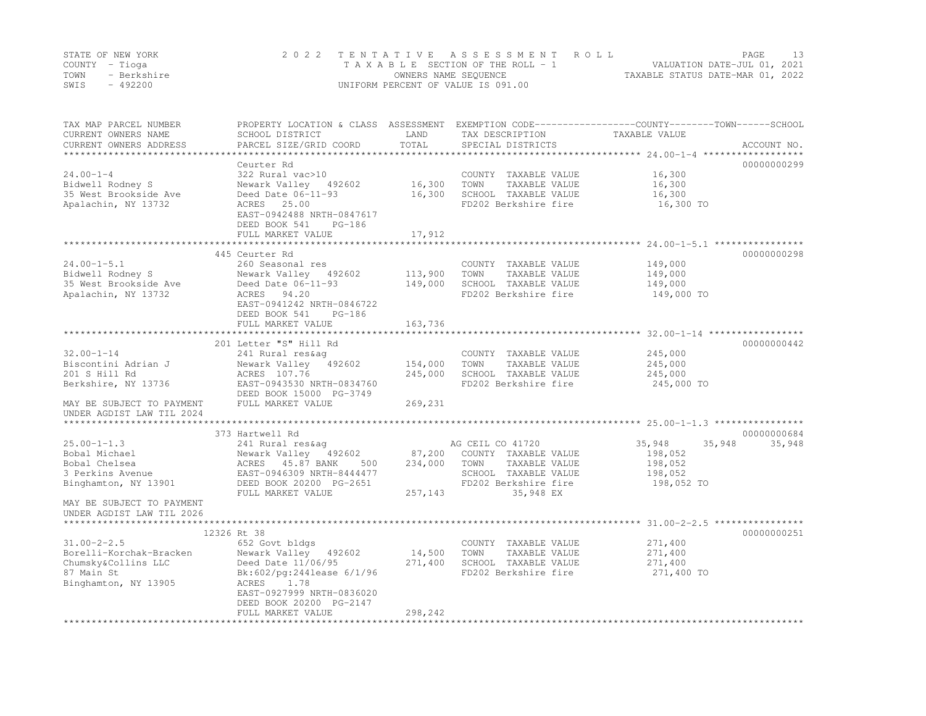|      | STATE OF NEW YORK | 2022 TENTATIVE ASSESSMENT ROLL     | PAGE                             |  |
|------|-------------------|------------------------------------|----------------------------------|--|
|      | COUNTY – Tioga    | TAXABLE SECTION OF THE ROLL - 1    | VALUATION DATE-JUL 01, 2021      |  |
| TOWN | - Berkshire       | OWNERS NAME SEOUENCE               | TAXABLE STATUS DATE-MAR 01, 2022 |  |
| SWIS | $-492200$         | UNIFORM PERCENT OF VALUE IS 091.00 |                                  |  |

| TAX MAP PARCEL NUMBER<br>CURRENT OWNERS NAME        | PROPERTY LOCATION & CLASS ASSESSMENT<br>SCHOOL DISTRICT | LAND    | TAX DESCRIPTION                 | EXEMPTION CODE-----------------COUNTY-------TOWN------SCHOOL<br>TAXABLE VALUE |             |
|-----------------------------------------------------|---------------------------------------------------------|---------|---------------------------------|-------------------------------------------------------------------------------|-------------|
| CURRENT OWNERS ADDRESS<br>************************* | PARCEL SIZE/GRID COORD                                  | TOTAL   | SPECIAL DISTRICTS               |                                                                               | ACCOUNT NO. |
|                                                     | Ceurter Rd                                              |         |                                 |                                                                               | 00000000299 |
| $24.00 - 1 - 4$                                     | 322 Rural vac>10                                        |         | COUNTY TAXABLE VALUE            | 16,300                                                                        |             |
| Bidwell Rodney S                                    | Newark Valley 492602                                    | 16,300  | TOWN<br>TAXABLE VALUE           | 16,300                                                                        |             |
| 35 West Brookside Ave                               | Deed Date 06-11-93                                      | 16,300  | SCHOOL TAXABLE VALUE            | 16,300                                                                        |             |
| Apalachin, NY 13732                                 | ACRES 25.00                                             |         | FD202 Berkshire fire            | 16,300 TO                                                                     |             |
|                                                     | EAST-0942488 NRTH-0847617                               |         |                                 |                                                                               |             |
|                                                     | DEED BOOK 541<br>PG-186                                 |         |                                 |                                                                               |             |
|                                                     | FULL MARKET VALUE                                       | 17,912  |                                 |                                                                               |             |
|                                                     |                                                         |         |                                 |                                                                               |             |
|                                                     | 445 Ceurter Rd                                          |         |                                 |                                                                               | 00000000298 |
| $24.00 - 1 - 5.1$                                   | 260 Seasonal res                                        |         | COUNTY TAXABLE VALUE            | 149,000                                                                       |             |
| Bidwell Rodney S                                    | Newark Valley 492602                                    | 113,900 | TOWN<br>TAXABLE VALUE           | 149,000                                                                       |             |
| 35 West Brookside Ave                               | Deed Date 06-11-93                                      | 149,000 | SCHOOL TAXABLE VALUE            | 149,000                                                                       |             |
| Apalachin, NY 13732                                 | ACRES 94.20                                             |         | FD202 Berkshire fire            | 149,000 TO                                                                    |             |
|                                                     | EAST-0941242 NRTH-0846722                               |         |                                 |                                                                               |             |
|                                                     | DEED BOOK 541<br>PG-186                                 |         |                                 |                                                                               |             |
|                                                     | FULL MARKET VALUE                                       | 163,736 |                                 |                                                                               |             |
|                                                     | 201 Letter "S" Hill Rd                                  |         |                                 |                                                                               | 00000000442 |
| $32.00 - 1 - 14$                                    | 241 Rural res&aq                                        |         | COUNTY TAXABLE VALUE            | 245,000                                                                       |             |
| Biscontini Adrian J                                 | Newark Valley 492602                                    | 154,000 | TOWN<br>TAXABLE VALUE           | 245,000                                                                       |             |
| 201 S Hill Rd                                       | ACRES 107.76                                            | 245,000 | SCHOOL TAXABLE VALUE            | 245,000                                                                       |             |
| Berkshire, NY 13736                                 | EAST-0943530 NRTH-0834760                               |         | FD202 Berkshire fire            | 245,000 TO                                                                    |             |
|                                                     | DEED BOOK 15000 PG-3749                                 |         |                                 |                                                                               |             |
| MAY BE SUBJECT TO PAYMENT                           | FULL MARKET VALUE                                       | 269,231 |                                 |                                                                               |             |
| UNDER AGDIST LAW TIL 2024                           |                                                         |         |                                 |                                                                               |             |
|                                                     |                                                         |         |                                 |                                                                               |             |
|                                                     | 373 Hartwell Rd                                         |         |                                 |                                                                               | 00000000684 |
| $25.00 - 1 - 1.3$                                   | 241 Rural res&aq                                        |         | AG CEIL CO 41720                | 35,948<br>35,948                                                              | 35,948      |
| Bobal Michael                                       | Newark Valley 492602                                    | 87,200  | COUNTY TAXABLE VALUE            | 198,052                                                                       |             |
| Bobal Chelsea                                       | ACRES 45.87 BANK<br>500                                 | 234,000 | TOWN<br>TAXABLE VALUE           | 198,052                                                                       |             |
| 3 Perkins Avenue                                    | EAST-0946309 NRTH-8444477                               |         | SCHOOL TAXABLE VALUE            | 198,052                                                                       |             |
| Binghamton, NY 13901                                | DEED BOOK 20200 PG-2651                                 |         | FD202 Berkshire fire            | 198,052 TO                                                                    |             |
|                                                     | FULL MARKET VALUE                                       | 257,143 | 35,948 EX                       |                                                                               |             |
| MAY BE SUBJECT TO PAYMENT                           |                                                         |         |                                 |                                                                               |             |
| UNDER AGDIST LAW TIL 2026                           |                                                         |         |                                 |                                                                               |             |
|                                                     | 12326 Rt 38                                             |         |                                 |                                                                               | 00000000251 |
| $31.00 - 2 - 2.5$                                   | 652 Govt bldgs                                          |         | COUNTY TAXABLE VALUE            | 271,400                                                                       |             |
| Borelli-Korchak-Bracken                             | Newark Valley 492602                                    | 14,500  | TOWN<br>TAXABLE VALUE           | 271,400                                                                       |             |
| Chumsky&Collins LLC                                 | Deed Date 11/06/95                                      | 271,400 | SCHOOL TAXABLE VALUE            | 271,400                                                                       |             |
| 87 Main St                                          | $Bk:602/pq:244$ lease $6/1/96$                          |         | FD202 Berkshire fire            | 271,400 TO                                                                    |             |
| Binghamton, NY 13905                                | ACRES<br>1.78                                           |         |                                 |                                                                               |             |
|                                                     | EAST-0927999 NRTH-0836020                               |         |                                 |                                                                               |             |
|                                                     | DEED BOOK 20200 PG-2147                                 |         |                                 |                                                                               |             |
|                                                     | FULL MARKET VALUE                                       | 298,242 |                                 |                                                                               |             |
|                                                     |                                                         |         | ******************************* |                                                                               |             |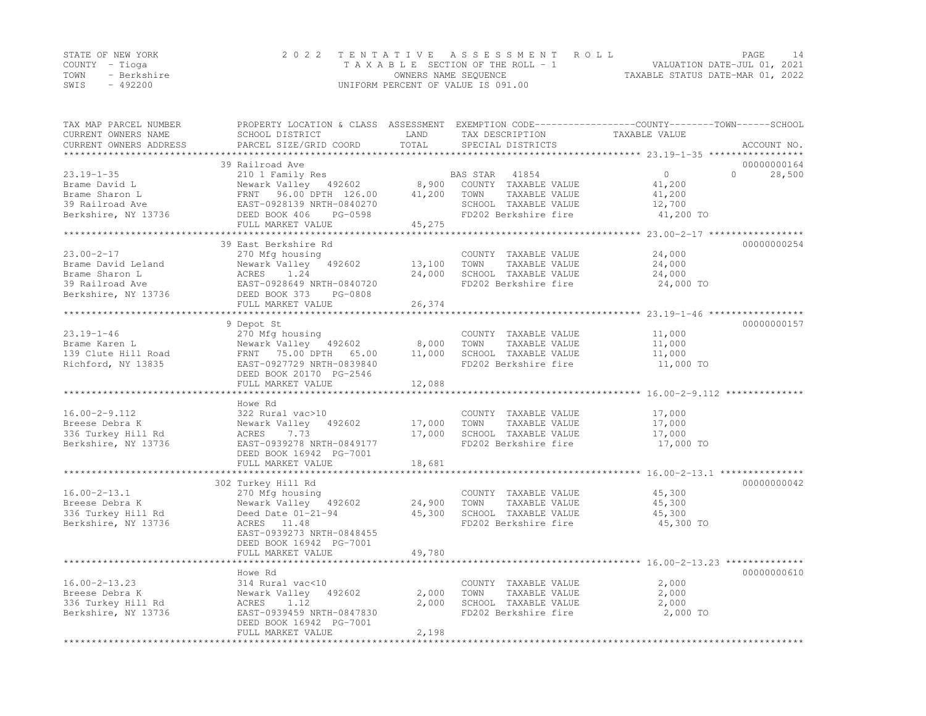| STATE OF NEW YORK   | 2022 TENTATIVE ASSESSMENT ROLL     | PAGE                             |
|---------------------|------------------------------------|----------------------------------|
| COUNTY – Tioga      | TAXABLE SECTION OF THE ROLL - 1    | VALUATION DATE-JUL 01, 2021      |
| TOWN<br>- Berkshire | OWNERS NAME SEQUENCE               | TAXABLE STATUS DATE-MAR 01, 2022 |
| SWIS<br>- 492200    | UNIFORM PERCENT OF VALUE IS 091.00 |                                  |

| TAX MAP PARCEL NUMBER<br>CURRENT OWNERS NAME     | PROPERTY LOCATION & CLASS ASSESSMENT EXEMPTION CODE----------------COUNTY-------TOWN------SCHOOL<br>SCHOOL DISTRICT | LAND            | TAX DESCRIPTION       | TAXABLE VALUE                     |             |
|--------------------------------------------------|---------------------------------------------------------------------------------------------------------------------|-----------------|-----------------------|-----------------------------------|-------------|
| CURRENT OWNERS ADDRESS<br>********************** | PARCEL SIZE/GRID COORD                                                                                              | TOTAL           | SPECIAL DISTRICTS     |                                   | ACCOUNT NO. |
|                                                  | 39 Railroad Ave                                                                                                     |                 |                       |                                   | 00000000164 |
| $23.19 - 1 - 35$                                 | 210 1 Family Res                                                                                                    |                 | 41854<br>BAS STAR     | $\circ$<br>$\Omega$               | 28,500      |
| Brame David L                                    | Newark Valley 492602                                                                                                | 8,900           | COUNTY TAXABLE VALUE  | 41,200                            |             |
| Brame Sharon L                                   | FRNT 96.00 DPTH 126.00                                                                                              | 41,200          | TAXABLE VALUE<br>TOWN | 41,200                            |             |
| 39 Railroad Ave                                  | EAST-0928139 NRTH-0840270                                                                                           |                 | SCHOOL TAXABLE VALUE  | 12,700                            |             |
| Berkshire, NY 13736                              | DEED BOOK 406<br>PG-0598                                                                                            |                 | FD202 Berkshire fire  | 41,200 TO                         |             |
|                                                  | FULL MARKET VALUE                                                                                                   | 45,275          |                       |                                   |             |
|                                                  | 39 East Berkshire Rd                                                                                                |                 |                       |                                   | 00000000254 |
| $23.00 - 2 - 17$                                 | 270 Mfg housing                                                                                                     |                 | COUNTY TAXABLE VALUE  | 24,000                            |             |
| Brame David Leland                               | Newark Valley 492602                                                                                                | 13,100          | TOWN<br>TAXABLE VALUE | 24,000                            |             |
| Brame Sharon L                                   | ACRES<br>1.24                                                                                                       | 24,000          | SCHOOL TAXABLE VALUE  | 24,000                            |             |
| 39 Railroad Ave                                  | EAST-0928649 NRTH-0840720                                                                                           |                 | FD202 Berkshire fire  | 24,000 TO                         |             |
| Berkshire, NY 13736                              | DEED BOOK 373<br>PG-0808                                                                                            |                 |                       |                                   |             |
|                                                  | FULL MARKET VALUE                                                                                                   | 26,374          |                       |                                   |             |
|                                                  |                                                                                                                     |                 |                       |                                   |             |
|                                                  | 9 Depot St                                                                                                          |                 |                       |                                   | 00000000157 |
| $23.19 - 1 - 46$                                 | 270 Mfg housing                                                                                                     |                 | COUNTY TAXABLE VALUE  | 11,000                            |             |
| Brame Karen L                                    | Newark Valley 492602                                                                                                | 8,000           | TOWN<br>TAXABLE VALUE | 11,000                            |             |
| 139 Clute Hill Road                              | FRNT 75.00 DPTH 65.00                                                                                               | 11,000          | SCHOOL TAXABLE VALUE  | 11,000                            |             |
| Richford, NY 13835                               | EAST-0927729 NRTH-0839840<br>DEED BOOK 20170 PG-2546                                                                |                 | FD202 Berkshire fire  | 11,000 TO                         |             |
|                                                  | FULL MARKET VALUE                                                                                                   | 12,088          |                       |                                   |             |
|                                                  |                                                                                                                     |                 |                       | ******** 16.00-2-9.112 ********** |             |
|                                                  | Howe Rd                                                                                                             |                 |                       |                                   |             |
| $16.00 - 2 - 9.112$                              | 322 Rural vac>10                                                                                                    |                 | COUNTY TAXABLE VALUE  | 17,000                            |             |
| Breese Debra K                                   | Newark Valley 492602                                                                                                | 17,000          | TAXABLE VALUE<br>TOWN | 17,000                            |             |
| 336 Turkey Hill Rd                               | ACRES<br>7.73                                                                                                       | 17,000          | SCHOOL TAXABLE VALUE  | 17,000                            |             |
| Berkshire, NY 13736                              | EAST-0939278 NRTH-0849177                                                                                           |                 | FD202 Berkshire fire  | 17,000 TO                         |             |
|                                                  | DEED BOOK 16942 PG-7001                                                                                             |                 |                       |                                   |             |
|                                                  | FULL MARKET VALUE                                                                                                   | 18,681          |                       |                                   |             |
|                                                  |                                                                                                                     |                 |                       |                                   |             |
|                                                  | 302 Turkey Hill Rd                                                                                                  |                 |                       |                                   | 00000000042 |
| $16.00 - 2 - 13.1$                               | 270 Mfg housing                                                                                                     |                 | COUNTY TAXABLE VALUE  | 45,300                            |             |
| Breese Debra K                                   | Newark Valley 492602                                                                                                | 24,900          | TOWN<br>TAXABLE VALUE | 45,300                            |             |
| 336 Turkey Hill Rd                               | Deed Date $01-21-94$                                                                                                | 45,300          | SCHOOL TAXABLE VALUE  | 45,300                            |             |
| Berkshire, NY 13736                              | ACRES 11.48                                                                                                         |                 | FD202 Berkshire fire  | 45,300 TO                         |             |
|                                                  | EAST-0939273 NRTH-0848455                                                                                           |                 |                       |                                   |             |
|                                                  | DEED BOOK 16942 PG-7001                                                                                             |                 |                       |                                   |             |
|                                                  | FULL MARKET VALUE                                                                                                   | 49,780          |                       |                                   |             |
|                                                  | Howe Rd                                                                                                             |                 |                       |                                   | 00000000610 |
| $16.00 - 2 - 13.23$                              | 314 Rural vac<10                                                                                                    |                 | COUNTY TAXABLE VALUE  | 2,000                             |             |
| Breese Debra K                                   | Newark Valley 492602                                                                                                | 2,000           | TOWN<br>TAXABLE VALUE | 2,000                             |             |
| 336 Turkey Hill Rd                               | 1.12<br>ACRES                                                                                                       | 2,000           | SCHOOL TAXABLE VALUE  | 2,000                             |             |
| Berkshire, NY 13736                              | EAST-0939459 NRTH-0847830                                                                                           |                 | FD202 Berkshire fire  | 2,000 TO                          |             |
|                                                  | DEED BOOK 16942 PG-7001                                                                                             |                 |                       |                                   |             |
|                                                  | FULL MARKET VALUE                                                                                                   | 2,198           |                       |                                   |             |
|                                                  | ******************************                                                                                      | *************** |                       |                                   |             |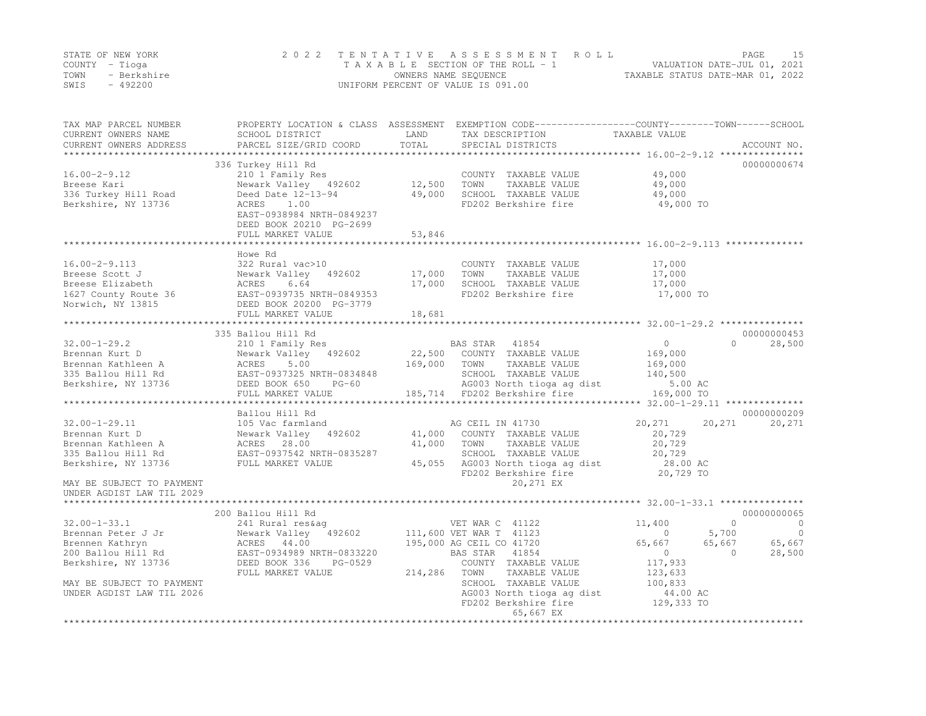|      | STATE OF NEW YORK | 2022 TENTATIVE ASSESSMENT ROLL     | PAGE                             |  |
|------|-------------------|------------------------------------|----------------------------------|--|
|      | COUNTY – Tioga    | TAXABLE SECTION OF THE ROLL - 1    | VALUATION DATE-JUL 01, 2021      |  |
| TOWN | - Berkshire       | OWNERS NAME SEOUENCE               | TAXABLE STATUS DATE-MAR 01, 2022 |  |
| SWIS | $-492200$         | UNIFORM PERCENT OF VALUE IS 091.00 |                                  |  |

| TAX MAP PARCEL NUMBER<br>CURRENT OWNERS NAME<br>CURRENT OWNERS ADDRESS | SCHOOL DISTRICT<br>PARCEL SIZE/GRID COORD    | LAND<br>TOTAL | PROPERTY LOCATION & CLASS ASSESSMENT EXEMPTION CODE----------------COUNTY-------TOWN------SCHOOL<br>TAX DESCRIPTION<br>SPECIAL DISTRICTS | TAXABLE VALUE  | ACCOUNT NO.                |
|------------------------------------------------------------------------|----------------------------------------------|---------------|------------------------------------------------------------------------------------------------------------------------------------------|----------------|----------------------------|
|                                                                        |                                              |               |                                                                                                                                          |                |                            |
|                                                                        | 336 Turkey Hill Rd                           |               |                                                                                                                                          |                | 00000000674                |
| $16.00 - 2 - 9.12$                                                     | 210 1 Family Res                             |               | COUNTY TAXABLE VALUE                                                                                                                     | 49,000         |                            |
| Breese Kari                                                            | Newark Valley 492602                         | 12,500        | TOWN<br>TAXABLE VALUE                                                                                                                    | 49,000         |                            |
| 336 Turkey Hill Road                                                   | Deed Date 12-13-94                           | 49,000        | SCHOOL TAXABLE VALUE                                                                                                                     | 49,000         |                            |
| Berkshire, NY 13736                                                    | ACRES<br>1.00                                |               | FD202 Berkshire fire                                                                                                                     | 49,000 TO      |                            |
|                                                                        | EAST-0938984 NRTH-0849237                    |               |                                                                                                                                          |                |                            |
|                                                                        | DEED BOOK 20210 PG-2699                      |               |                                                                                                                                          |                |                            |
|                                                                        | FULL MARKET VALUE                            | 53,846        |                                                                                                                                          |                |                            |
|                                                                        |                                              |               |                                                                                                                                          |                |                            |
|                                                                        | Howe Rd                                      |               |                                                                                                                                          |                |                            |
| $16.00 - 2 - 9.113$                                                    | 322 Rural vac>10                             |               | COUNTY TAXABLE VALUE                                                                                                                     | 17,000         |                            |
| Breese Scott J                                                         | Newark Valley 492602                         | 17,000        | TOWN<br>TAXABLE VALUE                                                                                                                    | 17,000         |                            |
| Breese Elizabeth                                                       | ACRES<br>6.64                                | 17,000        | SCHOOL TAXABLE VALUE                                                                                                                     | 17,000         |                            |
| 1627 County Route 36                                                   | EAST-0939735 NRTH-0849353                    |               | FD202 Berkshire fire                                                                                                                     | 17,000 TO      |                            |
| Norwich, NY 13815                                                      | DEED BOOK 20200 PG-3779<br>FULL MARKET VALUE |               |                                                                                                                                          |                |                            |
|                                                                        |                                              | 18,681        |                                                                                                                                          |                |                            |
|                                                                        | 335 Ballou Hill Rd                           |               |                                                                                                                                          |                | 00000000453                |
| $32.00 - 1 - 29.2$                                                     | 210 1 Family Res                             |               | BAS STAR 41854                                                                                                                           | $\circ$        | $\Omega$<br>28,500         |
| Brennan Kurt D                                                         | Newark Valley 492602                         |               | 22,500 COUNTY TAXABLE VALUE                                                                                                              | 169,000        |                            |
| Brennan Kathleen A                                                     | 5.00<br>ACRES                                | 169,000       | TOWN<br>TAXABLE VALUE                                                                                                                    | 169,000        |                            |
| 335 Ballou Hill Rd                                                     | EAST-0937325 NRTH-0834848                    |               | SCHOOL TAXABLE VALUE                                                                                                                     | 140,500        |                            |
| Berkshire, NY 13736                                                    | DEED BOOK 650<br>$PG-60$                     |               | AG003 North tioga ag dist                                                                                                                | 5.00 AC        |                            |
|                                                                        | FULL MARKET VALUE                            |               | 185,714 FD202 Berkshire fire                                                                                                             | 169,000 TO     |                            |
|                                                                        |                                              |               |                                                                                                                                          |                |                            |
|                                                                        | Ballou Hill Rd                               |               |                                                                                                                                          |                | 00000000209                |
| $32.00 - 1 - 29.11$                                                    | 105 Vac farmland                             |               | AG CEIL IN 41730                                                                                                                         | 20,271         | 20,271<br>20,271           |
| Brennan Kurt D                                                         | Newark Valley 492602                         | 41,000        | COUNTY TAXABLE VALUE                                                                                                                     | 20,729         |                            |
| Brennan Kathleen A                                                     | ACRES 28.00                                  | 41,000        | TOWN<br>TAXABLE VALUE                                                                                                                    | 20,729         |                            |
| 335 Ballou Hill Rd                                                     | EAST-0937542 NRTH-0835287                    |               | SCHOOL TAXABLE VALUE                                                                                                                     | 20,729         |                            |
| Berkshire, NY 13736                                                    | FULL MARKET VALUE                            | 45,055        | AG003 North tioga ag dist                                                                                                                | 28.00 AC       |                            |
|                                                                        |                                              |               | FD202 Berkshire fire                                                                                                                     | 20,729 TO      |                            |
| MAY BE SUBJECT TO PAYMENT                                              |                                              |               | 20,271 EX                                                                                                                                |                |                            |
| UNDER AGDIST LAW TIL 2029                                              |                                              |               |                                                                                                                                          |                |                            |
|                                                                        |                                              |               |                                                                                                                                          |                |                            |
|                                                                        | 200 Ballou Hill Rd                           |               |                                                                                                                                          |                | 00000000065                |
| $32.00 - 1 - 33.1$                                                     | 241 Rural res&aq                             |               | VET WAR C 41122                                                                                                                          | 11,400         | $\Omega$<br>$\overline{0}$ |
| Brennan Peter J Jr                                                     | Newark Valley 492602                         |               | 111,600 VET WAR T 41123                                                                                                                  | $\overline{0}$ | 5,700<br>$\overline{0}$    |
| Brennen Kathryn                                                        | ACRES 44.00                                  |               | 195,000 AG CEIL CO 41720                                                                                                                 | 65,667         | 65,667<br>65,667           |
| 200 Ballou Hill Rd                                                     | EAST-0934989 NRTH-0833220                    |               | BAS STAR<br>41854                                                                                                                        | $\Omega$       | 28,500<br>$\Omega$         |
| Berkshire, NY 13736                                                    | DEED BOOK 336<br>PG-0529                     |               | COUNTY TAXABLE VALUE                                                                                                                     | 117,933        |                            |
|                                                                        | FULL MARKET VALUE                            | 214,286       | TAXABLE VALUE<br>TOWN                                                                                                                    | 123,633        |                            |
| MAY BE SUBJECT TO PAYMENT                                              |                                              |               | SCHOOL TAXABLE VALUE                                                                                                                     | 100,833        |                            |
| UNDER AGDIST LAW TIL 2026                                              |                                              |               | AG003 North tioga ag dist                                                                                                                | 44.00 AC       |                            |
|                                                                        |                                              |               | FD202 Berkshire fire                                                                                                                     | 129,333 TO     |                            |
|                                                                        |                                              |               | 65,667 EX                                                                                                                                |                |                            |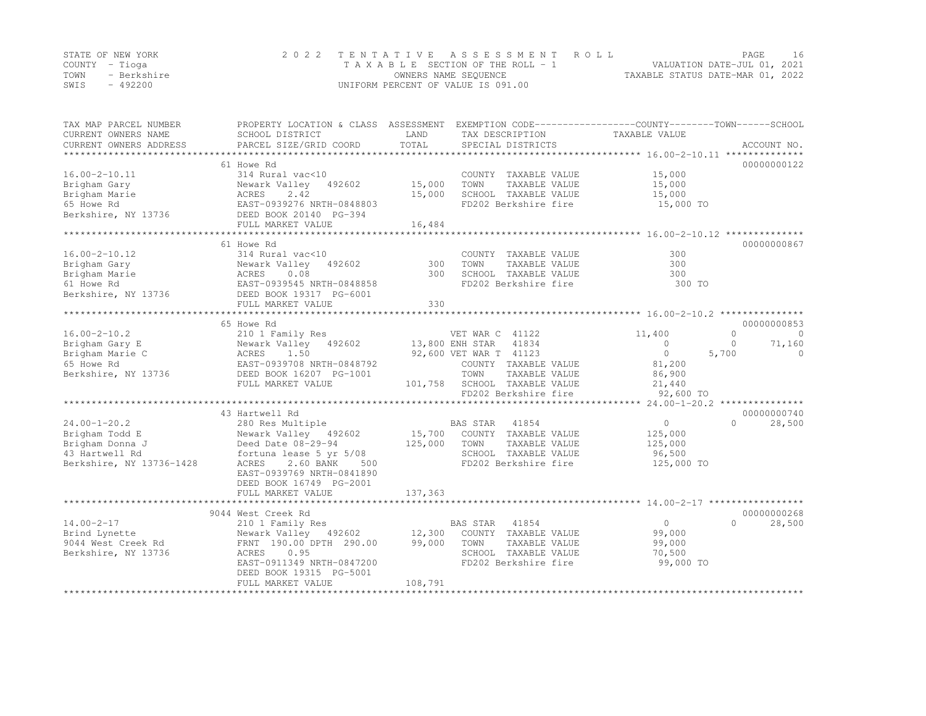|      | STATE OF NEW YORK | 2022 TENTATIVE ASSESSMENT ROLL     |                                  | PAGE |  |
|------|-------------------|------------------------------------|----------------------------------|------|--|
|      | COUNTY – Tioga    | TAXABLE SECTION OF THE ROLL - 1    | VALUATION DATE-JUL 01, 2021      |      |  |
| TOWN | - Berkshire       | OWNERS NAME SEQUENCE               | TAXABLE STATUS DATE-MAR 01, 2022 |      |  |
| SWIS | $-492200$         | UNIFORM PERCENT OF VALUE IS 091.00 |                                  |      |  |

| TAX MAP PARCEL NUMBER<br>CURRENT OWNERS NAME<br>CURRENT OWNERS ADDRESS | SCHOOL DISTRICT<br>PARCEL SIZE/GRID COORD                                                  | LAND<br>TAX DESCRIPTION<br>TOTAL<br>SPECIAL DISTRICTS | PROPERTY LOCATION & CLASS ASSESSMENT EXEMPTION CODE----------------COUNTY-------TOWN------SCHOOL<br>TAXABLE VALUE<br>ACCOUNT NO. |
|------------------------------------------------------------------------|--------------------------------------------------------------------------------------------|-------------------------------------------------------|----------------------------------------------------------------------------------------------------------------------------------|
|                                                                        |                                                                                            |                                                       |                                                                                                                                  |
|                                                                        | 61 Howe Rd                                                                                 |                                                       | 00000000122                                                                                                                      |
| $16.00 - 2 - 10.11$                                                    | 314 Rural vac<10                                                                           | COUNTY TAXABLE VALUE                                  | 15,000                                                                                                                           |
| Brigham Gary                                                           | Newark Valley 492602                                                                       | 15,000<br>TOWN<br>TAXABLE VALUE                       | 15,000                                                                                                                           |
| Brigham Marie                                                          | ACRES<br>2.42                                                                              | 15,000<br>SCHOOL TAXABLE VALUE                        | 15,000                                                                                                                           |
| 65 Howe Rd                                                             | EAST-0939276 NRTH-0848803                                                                  | FD202 Berkshire fire                                  | 15,000 TO                                                                                                                        |
| Berkshire, NY 13736                                                    | DEED BOOK 20140 PG-394                                                                     |                                                       |                                                                                                                                  |
|                                                                        | FULL MARKET VALUE                                                                          | 16,484                                                |                                                                                                                                  |
|                                                                        |                                                                                            |                                                       |                                                                                                                                  |
|                                                                        | 61 Howe Rd                                                                                 |                                                       | 00000000867                                                                                                                      |
| $16.00 - 2 - 10.12$                                                    | 314 Rural vac<10                                                                           | COUNTY TAXABLE VALUE                                  | 300                                                                                                                              |
| Brigham Gary                                                           | Newark Valley 492602                                                                       | 300<br>TAXABLE VALUE<br>TOWN                          | 300                                                                                                                              |
| Brigham Marie                                                          |                                                                                            | 300<br>SCHOOL TAXABLE VALUE                           | 300                                                                                                                              |
| 61 Howe Rd                                                             |                                                                                            | FD202 Berkshire fire                                  | 300 TO                                                                                                                           |
| Berkshire, NY 13736                                                    | Newark Valley 492602<br>ACRES 0.08<br>EAST-0939545 NRTH-0848858<br>DEED BOOK 19317 PG-6001 |                                                       |                                                                                                                                  |
|                                                                        | FULL MARKET VALUE                                                                          | 330                                                   |                                                                                                                                  |
|                                                                        |                                                                                            |                                                       |                                                                                                                                  |
|                                                                        | 65 Howe Rd                                                                                 |                                                       | 00000000853                                                                                                                      |
| $16.00 - 2 - 10.2$                                                     | 210 1 Family Res                                                                           | VET WAR C 41122                                       | 11,400<br>$\circ$<br>$\circ$                                                                                                     |
| Brigham Gary E                                                         |                                                                                            | 13,800 ENH STAR 41834                                 | 71,160<br>$\Omega$<br>$\Omega$                                                                                                   |
| Brigham Marie C                                                        | Newark Valley 492602<br>ACRES 1.50<br>EAST-0939708 NRTH-0848792                            | 92,600 VET WAR T 41123                                | $\overline{0}$<br>5,700<br>$\Omega$                                                                                              |
| 65 Howe Rd                                                             |                                                                                            | COUNTY TAXABLE VALUE                                  | 81,200                                                                                                                           |
| Berkshire, NY 13736                                                    | DEED BOOK 16207 PG-1001                                                                    | TOWN<br>TAXABLE VALUE                                 | 86,900                                                                                                                           |
|                                                                        | FULL MARKET VALUE                                                                          | 101,758 SCHOOL TAXABLE VALUE                          | 21,440                                                                                                                           |
|                                                                        |                                                                                            | FD202 Berkshire fire                                  | 92,600 TO                                                                                                                        |
|                                                                        |                                                                                            |                                                       |                                                                                                                                  |
|                                                                        | 43 Hartwell Rd                                                                             |                                                       | 00000000740                                                                                                                      |
| $24.00 - 1 - 20.2$                                                     | 280 Res Multiple                                                                           |                                                       | $\circ$<br>28,500<br>$\Omega$                                                                                                    |
| Brigham Todd E                                                         | Newark Valley 492602                                                                       | BAS STAR 41854<br>15,700 COUNTY TAXABLE VALUE         | 125,000                                                                                                                          |
| Brigham Donna J                                                        | Newark Valley 492<br>Deed Date 08-29-94<br>fortuna lease 5 yr                              | 125,000<br>TOWN<br>TAXABLE VALUE                      | 125,000                                                                                                                          |
| 43 Hartwell Rd                                                         | fortuna lease 5 yr 5/08                                                                    | SCHOOL TAXABLE VALUE                                  | 96,500                                                                                                                           |
| Berkshire, NY 13736-1428                                               | 2.60 BANK<br>ACRES<br>500                                                                  | FD202 Berkshire fire                                  | 125,000 TO                                                                                                                       |
|                                                                        | EAST-0939769 NRTH-0841890                                                                  |                                                       |                                                                                                                                  |
|                                                                        | DEED BOOK 16749 PG-2001                                                                    |                                                       |                                                                                                                                  |
|                                                                        | FULL MARKET VALUE                                                                          | 137,363                                               |                                                                                                                                  |
|                                                                        |                                                                                            |                                                       |                                                                                                                                  |
|                                                                        | 9044 West Creek Rd                                                                         |                                                       | 00000000268                                                                                                                      |
| $14.00 - 2 - 17$                                                       | 210 1 Family Res                                                                           | BAS STAR 41854                                        | 28,500<br>$\circ$<br>$\cap$                                                                                                      |
| Brind Lynette                                                          | Newark Valley 492602 12,300                                                                | COUNTY TAXABLE VALUE                                  | 99,000                                                                                                                           |
| 9044 West Creek Rd                                                     | FRNT 190.00 DPTH 290.00                                                                    | 99,000<br>TOWN<br>TAXABLE VALUE                       | 99,000                                                                                                                           |
| Berkshire, NY 13736                                                    | 0.95<br>ACRES                                                                              | SCHOOL TAXABLE VALUE                                  | 70,500                                                                                                                           |
|                                                                        | EAST-0911349 NRTH-0847200                                                                  | FD202 Berkshire fire                                  | 99,000 TO                                                                                                                        |
|                                                                        | DEED BOOK 19315 PG-5001                                                                    |                                                       |                                                                                                                                  |
|                                                                        | FULL MARKET VALUE                                                                          | 108,791                                               |                                                                                                                                  |
|                                                                        |                                                                                            |                                                       |                                                                                                                                  |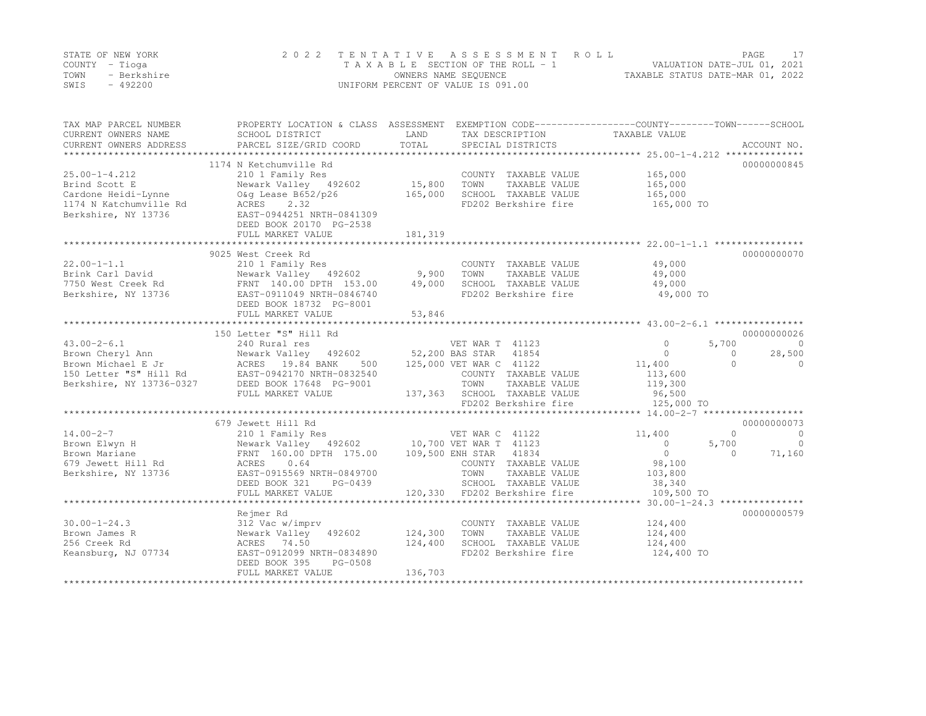|      | STATE OF NEW YORK | 2022 TENTATIVE ASSESSMENT ROLL     | PAGE                             |  |
|------|-------------------|------------------------------------|----------------------------------|--|
|      | COUNTY – Tioga    | TAXABLE SECTION OF THE ROLL - 1    | VALUATION DATE-JUL 01, 2021      |  |
| TOWN | - Berkshire       | OWNERS NAME SEQUENCE               | TAXABLE STATUS DATE-MAR 01, 2022 |  |
| SWIS | - 492200          | UNIFORM PERCENT OF VALUE IS 091.00 |                                  |  |

| TAX MAP PARCEL NUMBER<br>CURRENT OWNERS NAME<br>CURRENT OWNERS ADDRESS | PROPERTY LOCATION & CLASS ASSESSMENT EXEMPTION CODE---------------COUNTY-------TOWN-----SCHOOL<br>SCHOOL DISTRICT<br>PARCEL SIZE/GRID COORD | LAND<br>TOTAL | TAX DESCRIPTION<br>SPECIAL DISTRICTS | TAXABLE VALUE  | ACCOUNT NO.             |
|------------------------------------------------------------------------|---------------------------------------------------------------------------------------------------------------------------------------------|---------------|--------------------------------------|----------------|-------------------------|
|                                                                        |                                                                                                                                             |               |                                      |                |                         |
|                                                                        | 1174 N Ketchumville Rd                                                                                                                      |               |                                      |                | 00000000845             |
| $25.00 - 1 - 4.212$                                                    | 210 1 Family Res                                                                                                                            |               | COUNTY TAXABLE VALUE                 | 165,000        |                         |
| Brind Scott E                                                          | Newark Valley 492602                                                                                                                        | 15,800        | TAXABLE VALUE<br>TOWN                | 165,000        |                         |
| Cardone Heidi-Lynne                                                    | O&q Lease B652/p26                                                                                                                          | 165,000       | SCHOOL TAXABLE VALUE                 | 165,000        |                         |
| 1174 N Katchumville Rd                                                 | ACRES<br>2.32                                                                                                                               |               | FD202 Berkshire fire                 | 165,000 TO     |                         |
| Berkshire, NY 13736                                                    | EAST-0944251 NRTH-0841309                                                                                                                   |               |                                      |                |                         |
|                                                                        | DEED BOOK 20170 PG-2538                                                                                                                     |               |                                      |                |                         |
|                                                                        | FULL MARKET VALUE                                                                                                                           | 181,319       |                                      |                |                         |
|                                                                        |                                                                                                                                             |               |                                      |                |                         |
|                                                                        | 9025 West Creek Rd                                                                                                                          |               |                                      |                | 00000000070             |
| $22.00 - 1 - 1.1$                                                      | 210 1 Family Res                                                                                                                            |               | COUNTY TAXABLE VALUE                 | 49,000         |                         |
| Brink Carl David                                                       | Newark Valley 492602                                                                                                                        | 9,900         | TAXABLE VALUE<br>TOWN                | 49,000         |                         |
| 7750 West Creek Rd                                                     | FRNT 140.00 DPTH 153.00                                                                                                                     | 49,000        | SCHOOL TAXABLE VALUE                 | 49,000         |                         |
| Berkshire, NY 13736                                                    | EAST-0911049 NRTH-0846740                                                                                                                   |               | FD202 Berkshire fire                 | 49,000 TO      |                         |
|                                                                        | DEED BOOK 18732 PG-8001                                                                                                                     |               |                                      |                |                         |
|                                                                        | FULL MARKET VALUE                                                                                                                           | 53,846        |                                      |                |                         |
|                                                                        |                                                                                                                                             |               |                                      |                |                         |
|                                                                        | 150 Letter "S" Hill Rd                                                                                                                      |               |                                      |                | 00000000026             |
| $43.00 - 2 - 6.1$                                                      | 240 Rural res                                                                                                                               |               | VET WAR T 41123                      | $\circ$        | 5,700<br>$\circ$        |
| Brown Cheryl Ann                                                       | Newark Valley 492602                                                                                                                        |               | 52,200 BAS STAR 41854                | $\circ$        | 28,500<br>$\Omega$      |
| Brown Michael E Jr                                                     | ACRES 19.84 BANK<br>500                                                                                                                     |               | 125,000 VET WAR C 41122              | 11,400         | $\bigcap$<br>$\Omega$   |
| 150 Letter "S" Hill Rd                                                 | EAST-0942170 NRTH-0832540                                                                                                                   |               | COUNTY TAXABLE VALUE                 | 113,600        |                         |
| Berkshire, NY 13736-0327                                               | DEED BOOK 17648 PG-9001                                                                                                                     |               | TOWN<br>TAXABLE VALUE                | 119,300        |                         |
|                                                                        | FULL MARKET VALUE                                                                                                                           |               | 137,363 SCHOOL TAXABLE VALUE         | 96,500         |                         |
|                                                                        |                                                                                                                                             |               | FD202 Berkshire fire                 | 125,000 TO     |                         |
|                                                                        |                                                                                                                                             |               |                                      |                |                         |
|                                                                        | 679 Jewett Hill Rd                                                                                                                          |               |                                      |                | 00000000073             |
| $14.00 - 2 - 7$                                                        | 210 1 Family Res                                                                                                                            |               | VET WAR C 41122                      | 11,400         | $\Omega$<br>$\circ$     |
| Brown Elwyn H                                                          | Newark Valley 492602 10,700 VET WAR T 41123                                                                                                 |               |                                      | $\circ$        | 5,700<br>$\overline{0}$ |
| Brown Mariane                                                          | FRNT 160.00 DPTH 175.00                                                                                                                     |               | 109,500 ENH STAR 41834               | $\overline{0}$ | 71,160<br>$\Omega$      |
| 679 Jewett Hill Rd                                                     | 0.64<br>ACRES                                                                                                                               |               | COUNTY TAXABLE VALUE                 | 98,100         |                         |
| Berkshire, NY 13736                                                    | EAST-0915569 NRTH-0849700                                                                                                                   |               | TOWN<br>TAXABLE VALUE                | 103,800        |                         |
|                                                                        | DEED BOOK 321<br>PG-0439                                                                                                                    |               | SCHOOL TAXABLE VALUE                 | 38,340         |                         |
|                                                                        | FULL MARKET VALUE                                                                                                                           |               | 120,330 FD202 Berkshire fire         | 109,500 TO     |                         |
|                                                                        |                                                                                                                                             |               |                                      |                |                         |
|                                                                        | Rejmer Rd                                                                                                                                   |               |                                      |                | 00000000579             |
| $30.00 - 1 - 24.3$                                                     | 312 Vac w/imprv                                                                                                                             |               | COUNTY TAXABLE VALUE                 | 124,400        |                         |
| Brown James R                                                          | Newark Valley 492602                                                                                                                        | 124,300       | TOWN<br>TAXABLE VALUE                | 124,400        |                         |
| 256 Creek Rd                                                           | ACRES 74.50                                                                                                                                 | 124,400       | SCHOOL TAXABLE VALUE                 | 124,400        |                         |
| Keansburg, NJ 07734                                                    | EAST-0912099 NRTH-0834890                                                                                                                   |               | FD202 Berkshire fire                 | 124,400 TO     |                         |
|                                                                        | DEED BOOK 395<br>PG-0508                                                                                                                    |               |                                      |                |                         |
|                                                                        | FULL MARKET VALUE                                                                                                                           | 136,703       |                                      |                |                         |
|                                                                        |                                                                                                                                             |               |                                      |                |                         |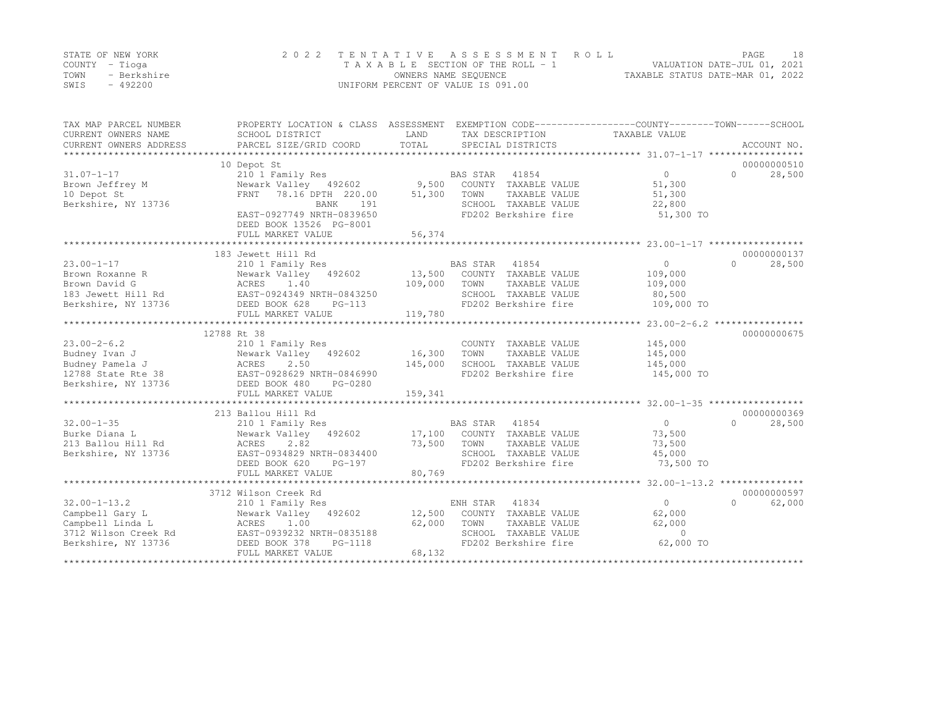|      | STATE OF NEW YORK | 2022 TENTATIVE ASSESSMENT ROLL     |                                  | PAGE | 18 |
|------|-------------------|------------------------------------|----------------------------------|------|----|
|      | COUNTY – Tioga    | TAXABLE SECTION OF THE ROLL - 1    | VALUATION DATE-JUL 01, 2021      |      |    |
| TOWN | - Berkshire       | OWNERS NAME SEQUENCE               | TAXABLE STATUS DATE-MAR 01, 2022 |      |    |
| SWIS | $-492200$         | UNIFORM PERCENT OF VALUE IS 091.00 |                                  |      |    |

| TAX MAP PARCEL NUMBER<br>CURRENT OWNERS NAME<br>CURRENT OWNERS ADDRESS | PROPERTY LOCATION & CLASS ASSESSMENT EXEMPTION CODE---------------COUNTY-------TOWN-----SCHOOL<br>SCHOOL DISTRICT<br>PARCEL SIZE/GRID COORD | LAND<br>TOTAL    | TAX DESCRIPTION<br>SPECIAL DISTRICTS | TAXABLE VALUE                                           | ACCOUNT NO.                     |
|------------------------------------------------------------------------|---------------------------------------------------------------------------------------------------------------------------------------------|------------------|--------------------------------------|---------------------------------------------------------|---------------------------------|
| $31.07 - 1 - 17$                                                       | 10 Depot St<br>210 1 Family Res                                                                                                             |                  | BAS STAR 41854                       | $\Omega$                                                | 00000000510<br>$\cap$<br>28,500 |
| Brown Jeffrey M                                                        | Newark Valley 492602                                                                                                                        | 9,500            | COUNTY TAXABLE VALUE                 | 51,300                                                  |                                 |
| 10 Depot St                                                            | 78.16 DPTH 220.00<br>FRNT                                                                                                                   | 51,300           | TOWN<br>TAXABLE VALUE                | 51,300                                                  |                                 |
| Berkshire, NY 13736                                                    | BANK<br>191                                                                                                                                 |                  | SCHOOL TAXABLE VALUE                 | 22,800                                                  |                                 |
|                                                                        | EAST-0927749 NRTH-0839650<br>DEED BOOK 13526 PG-8001<br>FULL MARKET VALUE                                                                   | 56,374           | FD202 Berkshire fire                 | 51,300 TO                                               |                                 |
|                                                                        | ************************                                                                                                                    | ************     |                                      | ************************ 23.00-1-17 ******************* |                                 |
|                                                                        | 183 Jewett Hill Rd                                                                                                                          |                  |                                      |                                                         | 00000000137                     |
| $23.00 - 1 - 17$                                                       | 210 1 Family Res                                                                                                                            |                  | BAS STAR<br>41854                    | $\circ$                                                 | $\Omega$<br>28,500              |
| Brown Roxanne R                                                        | 492602<br>Newark Valley                                                                                                                     | 13,500           | COUNTY TAXABLE VALUE                 | 109,000                                                 |                                 |
| Brown David G                                                          | ACRES<br>1.40                                                                                                                               | 109,000          | TOWN<br>TAXABLE VALUE                | 109,000                                                 |                                 |
| 183 Jewett Hill Rd                                                     | EAST-0924349 NRTH-0843250                                                                                                                   |                  | SCHOOL TAXABLE VALUE                 | 80,500                                                  |                                 |
| Berkshire, NY 13736                                                    | DEED BOOK 628<br>$PG-113$                                                                                                                   |                  | FD202 Berkshire fire                 | 109,000 TO                                              |                                 |
|                                                                        | FULL MARKET VALUE                                                                                                                           | 119,780          |                                      |                                                         |                                 |
|                                                                        |                                                                                                                                             |                  |                                      |                                                         |                                 |
|                                                                        | 12788 Rt 38                                                                                                                                 |                  |                                      |                                                         | 00000000675                     |
| $23.00 - 2 - 6.2$                                                      | 210 1 Family Res                                                                                                                            |                  | COUNTY TAXABLE VALUE                 | 145,000                                                 |                                 |
| Budney Ivan J                                                          | Newark Valley 492602                                                                                                                        | 16,300           | TOWN<br>TAXABLE VALUE                | 145,000                                                 |                                 |
| Budney Pamela J                                                        | ACRES<br>2.50                                                                                                                               | 145,000          | SCHOOL TAXABLE VALUE                 | 145,000                                                 |                                 |
| 12788 State Rte 38                                                     | EAST-0928629 NRTH-0846990                                                                                                                   |                  | FD202 Berkshire fire                 | 145,000 TO                                              |                                 |
| Berkshire, NY 13736                                                    | DEED BOOK 480<br>PG-0280                                                                                                                    |                  |                                      |                                                         |                                 |
|                                                                        | FULL MARKET VALUE                                                                                                                           | 159,341          |                                      |                                                         |                                 |
|                                                                        |                                                                                                                                             |                  |                                      |                                                         | 00000000369                     |
| $32.00 - 1 - 35$                                                       | 213 Ballou Hill Rd                                                                                                                          |                  | BAS STAR<br>41854                    | $\Omega$                                                | $\Omega$                        |
| Burke Diana L                                                          | 210 1 Family Res<br>Newark Valley 492602                                                                                                    |                  | COUNTY TAXABLE VALUE                 |                                                         | 28,500                          |
| 213 Ballou Hill Rd                                                     | ACRES<br>2.82                                                                                                                               | 17,100<br>73,500 | TOWN<br>TAXABLE VALUE                | 73,500<br>73,500                                        |                                 |
| Berkshire, NY 13736                                                    | EAST-0934829 NRTH-0834400                                                                                                                   |                  | SCHOOL TAXABLE VALUE                 | 45,000                                                  |                                 |
|                                                                        | DEED BOOK 620<br>PG-197                                                                                                                     |                  | FD202 Berkshire fire                 | 73,500 TO                                               |                                 |
|                                                                        | FULL MARKET VALUE                                                                                                                           | 80,769           |                                      |                                                         |                                 |
|                                                                        | *****************************                                                                                                               | *************    |                                      | ******************** 32.00-1-13.2 ****************      |                                 |
|                                                                        | 3712 Wilson Creek Rd                                                                                                                        |                  |                                      |                                                         | 00000000597                     |
| $32.00 - 1 - 13.2$                                                     | 210 1 Family Res                                                                                                                            |                  | ENH STAR<br>41834                    | $\overline{0}$                                          | $\Omega$<br>62,000              |
| Campbell Gary L                                                        | Newark Valley 492602                                                                                                                        | 12,500           | COUNTY TAXABLE VALUE                 | 62,000                                                  |                                 |
| Campbell Linda L                                                       | ACRES<br>1.00                                                                                                                               | 62,000           | TOWN<br>TAXABLE VALUE                | 62,000                                                  |                                 |
| 3712 Wilson Creek Rd                                                   | EAST-0939232 NRTH-0835188                                                                                                                   |                  | SCHOOL TAXABLE VALUE                 | $\Omega$                                                |                                 |
| Berkshire, NY 13736                                                    | DEED BOOK 378<br>PG-1118                                                                                                                    |                  | FD202 Berkshire fire                 | 62,000 TO                                               |                                 |
|                                                                        | FULL MARKET VALUE                                                                                                                           | 68,132           |                                      |                                                         |                                 |
|                                                                        |                                                                                                                                             |                  |                                      |                                                         |                                 |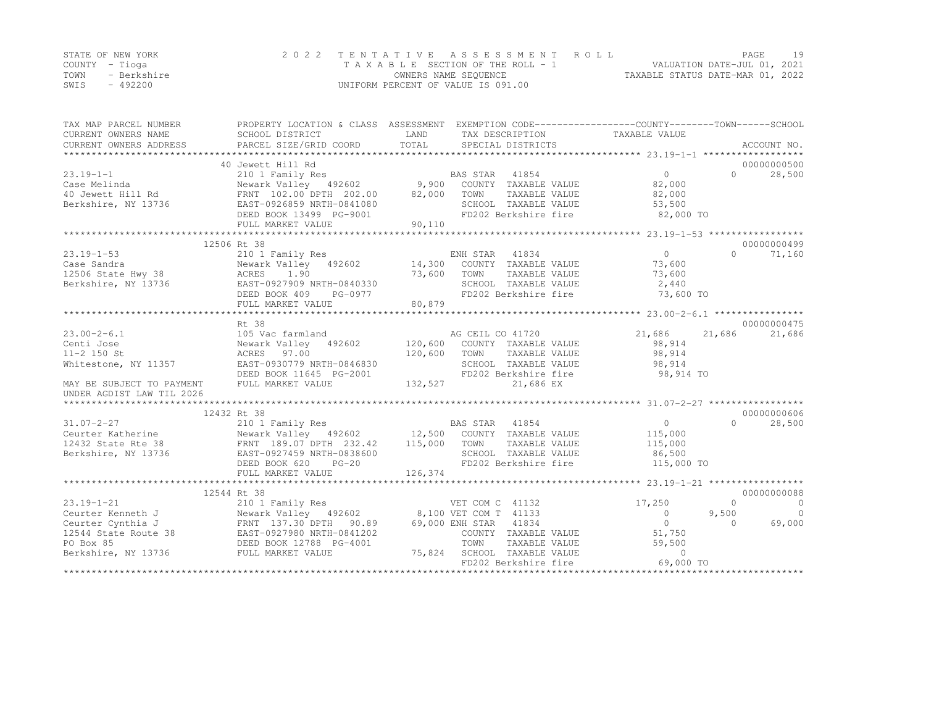|      | STATE OF NEW YORK | 2022 TENTATIVE ASSESSMENT ROLL     |                                  | PAGE | 19 |
|------|-------------------|------------------------------------|----------------------------------|------|----|
|      | COUNTY – Tioga    | TAXABLE SECTION OF THE ROLL - 1    | VALUATION DATE-JUL 01, 2021      |      |    |
| TOWN | - Berkshire       | OWNERS NAME SEQUENCE               | TAXABLE STATUS DATE-MAR 01, 2022 |      |    |
| SWIS | - 492200          | UNIFORM PERCENT OF VALUE IS 091.00 |                                  |      |    |

| TAX MAP PARCEL NUMBER<br>CURRENT OWNERS NAME<br>CURRENT OWNERS ADDRESS | PROPERTY LOCATION & CLASS ASSESSMENT EXEMPTION CODE---------------COUNTY-------TOWN------SCHOOL<br>SCHOOL DISTRICT<br>PARCEL SIZE/GRID COORD | LAND<br>TOTAL | TAX DESCRIPTION TAXABLE VALUE<br>SPECIAL DISTRICTS |                          |           | ACCOUNT NO.    |
|------------------------------------------------------------------------|----------------------------------------------------------------------------------------------------------------------------------------------|---------------|----------------------------------------------------|--------------------------|-----------|----------------|
|                                                                        | 40 Jewett Hill Rd                                                                                                                            |               |                                                    |                          |           | 00000000500    |
| $23.19 - 1 - 1$                                                        | 210 1 Family Res                                                                                                                             |               | BAS STAR 41854                                     | $\Omega$                 | $\Omega$  | 28,500         |
| Case Melinda                                                           |                                                                                                                                              |               |                                                    | 82,000                   |           |                |
| 40 Jewett Hill Rd                                                      | Newark Valley 492602 9,900 COUNTY TAXABLE VALUE<br>FRNT 102.00 DPTH 202.00 82,000 TOWN TAXABLE VALUE<br>FRNT 102.00 DPTH 202.00              |               |                                                    | 82,000                   |           |                |
| Berkshire, NY 13736                                                    | EAST-0926859 NRTH-0841080                                                                                                                    |               | SCHOOL TAXABLE VALUE                               | 53,500                   |           |                |
|                                                                        | DEED BOOK 13499 PG-9001                                                                                                                      |               | FD202 Berkshire fire                               | 82,000 TO                |           |                |
|                                                                        | FULL MARKET VALUE                                                                                                                            | 90,110        |                                                    |                          |           |                |
|                                                                        |                                                                                                                                              |               |                                                    |                          |           |                |
|                                                                        | 12506 Rt 38                                                                                                                                  |               |                                                    |                          |           | 00000000499    |
| $23.19 - 1 - 53$                                                       | 210 1 Family Res                                                                                                                             |               | ENH STAR 41834                                     | $\overline{0}$           | $\bigcap$ | 71,160         |
| Case Sandra                                                            | Newark Valley 492602 14,300 COUNTY TAXABLE VALUE                                                                                             |               |                                                    | 73,600                   |           |                |
| Case Sandra<br>12506 State Hwy 38                                      | 1.90<br>ACRES                                                                                                                                | 73,600        | TOWN<br>TAXABLE VALUE                              | 73,600                   |           |                |
| Berkshire, NY 13736                                                    | EAST-0927909 NRTH-0840330                                                                                                                    |               | SCHOOL TAXABLE VALUE                               | 2,440                    |           |                |
|                                                                        | DEED BOOK 409<br>PG-0977                                                                                                                     |               | FD202 Berkshire fire                               | 73,600 TO                |           |                |
|                                                                        | FULL MARKET VALUE                                                                                                                            | 80,879        |                                                    |                          |           |                |
|                                                                        |                                                                                                                                              |               |                                                    |                          |           |                |
|                                                                        | Rt 38                                                                                                                                        |               |                                                    |                          |           | 00000000475    |
| $23.00 - 2 - 6.1$                                                      | 105 Vac farmland                                                                                                                             |               | AG CEIL CO 41720                                   | 21,686                   | 21,686    | 21,686         |
| Centi Jose                                                             | Newark Valley 492602 120,600 COUNTY TAXABLE VALUE                                                                                            |               |                                                    | 98,914                   |           |                |
| $11 - 2$ 150 St                                                        | ACRES 97.00                                                                                                                                  | 120,600       | TOWN<br>TAXABLE VALUE                              | 98,914                   |           |                |
| Whitestone, NY 11357                                                   | EAST-0930779 NRTH-0846830                                                                                                                    |               | SCHOOL TAXABLE VALUE                               | 98,914                   |           |                |
|                                                                        | DEED BOOK 11645 PG-2001                                                                                                                      |               | FD202 Berkshire fire                               | 98,914 TO                |           |                |
| MAY BE SUBJECT TO PAYMENT                                              | FULL MARKET VALUE                                                                                                                            | 132,527       | 21,686 EX                                          |                          |           |                |
| UNDER AGDIST LAW TIL 2026                                              |                                                                                                                                              |               |                                                    |                          |           |                |
| **********************                                                 |                                                                                                                                              |               |                                                    |                          |           |                |
|                                                                        | 12432 Rt 38                                                                                                                                  |               |                                                    |                          |           | 00000000606    |
| $31.07 - 2 - 27$                                                       |                                                                                                                                              |               |                                                    | $\overline{0}$           | $\Omega$  | 28,500         |
| Ceurter Katherine                                                      |                                                                                                                                              |               |                                                    | 115,000                  |           |                |
| 12432 State Rte 38                                                     |                                                                                                                                              |               |                                                    | 115,000                  |           |                |
| Berkshire, NY 13736                                                    | EAST-0927459 NRTH-0838600                                                                                                                    |               | SCHOOL TAXABLE VALUE                               | 86,500                   |           |                |
|                                                                        | DEED BOOK 620<br>$PG-20$                                                                                                                     |               | FD202 Berkshire fire                               | 115,000 TO               |           |                |
|                                                                        | FULL MARKET VALUE                                                                                                                            | 126,374       |                                                    |                          |           |                |
|                                                                        |                                                                                                                                              |               |                                                    |                          |           |                |
|                                                                        | 12544 Rt 38                                                                                                                                  |               |                                                    |                          |           | 00000000088    |
| $23.19 - 1 - 21$                                                       |                                                                                                                                              |               | VET COM C 41132                                    | 17,250                   | $\Omega$  | $\overline{0}$ |
| Ceurter Kenneth J                                                      |                                                                                                                                              |               | 8,100 VET COM T 41133                              | $\Omega$                 | 9,500     | $\Omega$       |
| Ceurter Cynthia J                                                      | 210 1 Family Res<br>Newark Valley 492602<br>FRNT 137.30 DPTH 90.89<br>28 EAST-0927980 NRTH-0841202<br>DEED BOOK 12788 PG-4001                |               | 69,000 ENH STAR 41834                              | $\Omega$                 | $\Omega$  | 69,000         |
| 12544 State Route 38                                                   |                                                                                                                                              |               | COUNTY TAXABLE VALUE                               | 51,750                   |           |                |
| PO Box 85                                                              |                                                                                                                                              |               | TOWN<br>TAXABLE VALUE                              | 59,500                   |           |                |
| Berkshire, NY 13736                                                    | FULL MARKET VALUE                                                                                                                            |               | 75,824 SCHOOL TAXABLE VALUE                        | $\Omega$                 |           |                |
|                                                                        |                                                                                                                                              |               | FD202 Berkshire fire                               | 69,000 TO                |           |                |
|                                                                        |                                                                                                                                              |               | ***********************                            | ************************ |           |                |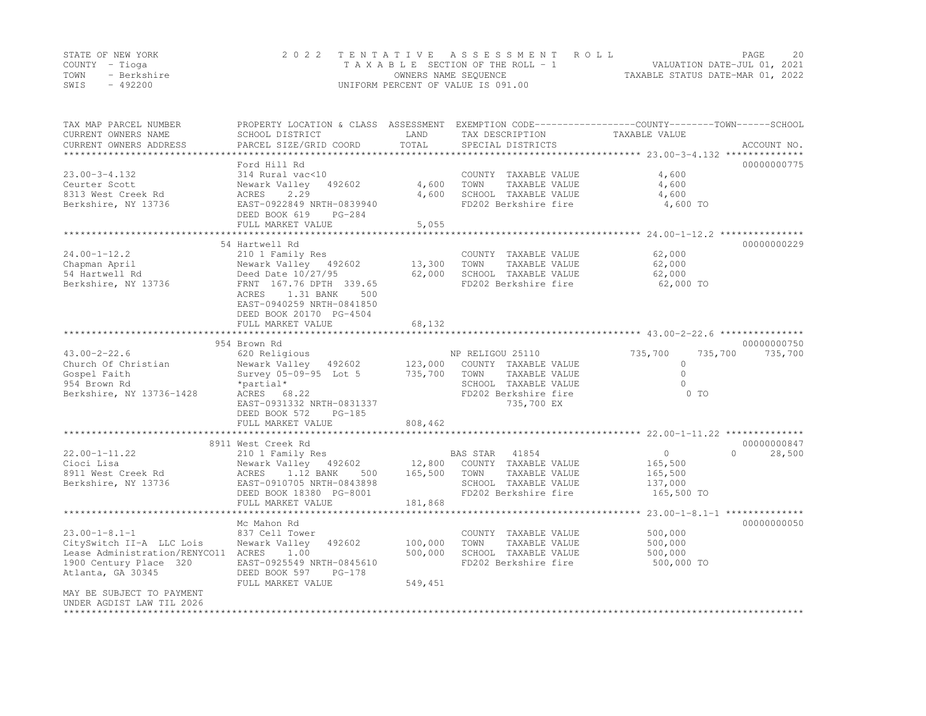|      | STATE OF NEW YORK | 2022 TENTATIVE ASSESSMENT ROLL     | PAGE                             | 20 |
|------|-------------------|------------------------------------|----------------------------------|----|
|      | COUNTY – Tioga    | TAXABLE SECTION OF THE ROLL - 1    | VALUATION DATE-JUL 01, 2021      |    |
| TOWN | - Berkshire       | OWNERS NAME SEOUENCE               | TAXABLE STATUS DATE-MAR 01, 2022 |    |
| SWIS | $-492200$         | UNIFORM PERCENT OF VALUE IS 091.00 |                                  |    |

| TAX MAP PARCEL NUMBER<br>CURRENT OWNERS NAME<br>CURRENT OWNERS ADDRESS               | PROPERTY LOCATION & CLASS ASSESSMENT<br>SCHOOL DISTRICT<br>PARCEL SIZE/GRID COORD | LAND<br>TOTAL  | TAX DESCRIPTION<br>SPECIAL DISTRICTS          | EXEMPTION CODE-----------------COUNTY-------TOWN------SCHOOL<br>TAXABLE VALUE | ACCOUNT NO. |
|--------------------------------------------------------------------------------------|-----------------------------------------------------------------------------------|----------------|-----------------------------------------------|-------------------------------------------------------------------------------|-------------|
| *********************                                                                |                                                                                   |                |                                               |                                                                               |             |
|                                                                                      | Ford Hill Rd                                                                      |                |                                               |                                                                               | 00000000775 |
| $23.00 - 3 - 4.132$                                                                  | 314 Rural vac<10                                                                  |                | COUNTY TAXABLE VALUE                          | 4,600                                                                         |             |
| Ceurter Scott<br>8313 West Creek Rd                                                  | Newark Valley<br>492602<br>2.29<br>ACRES                                          | 4,600<br>4,600 | TOWN<br>TAXABLE VALUE<br>SCHOOL TAXABLE VALUE | 4,600                                                                         |             |
| Berkshire, NY 13736                                                                  | EAST-0922849 NRTH-0839940                                                         |                | FD202 Berkshire fire                          | 4,600<br>4,600 TO                                                             |             |
|                                                                                      | DEED BOOK 619<br>$PG-284$<br>FULL MARKET VALUE                                    | 5,055          |                                               |                                                                               |             |
|                                                                                      |                                                                                   |                |                                               | $24.00 - 1 - 12.2$                                                            |             |
|                                                                                      | 54 Hartwell Rd                                                                    |                |                                               |                                                                               | 00000000229 |
| $24.00 - 1 - 12.2$                                                                   | 210 1 Family Res                                                                  |                | COUNTY TAXABLE VALUE                          | 62,000                                                                        |             |
| Chapman April                                                                        | Newark Valley 492602                                                              | 13,300         | TOWN<br>TAXABLE VALUE                         | 62,000                                                                        |             |
| 54 Hartwell Rd                                                                       | Deed Date 10/27/95                                                                | 62,000         | SCHOOL TAXABLE VALUE                          | 62,000                                                                        |             |
| Berkshire, NY 13736                                                                  | FRNT 167.76 DPTH 339.65                                                           |                | FD202 Berkshire fire                          | 62,000 TO                                                                     |             |
|                                                                                      | ACRES<br>1.31 BANK<br>500                                                         |                |                                               |                                                                               |             |
|                                                                                      | EAST-0940259 NRTH-0841850                                                         |                |                                               |                                                                               |             |
|                                                                                      | DEED BOOK 20170 PG-4504                                                           |                |                                               |                                                                               |             |
|                                                                                      | FULL MARKET VALUE<br>**************************************                       | 68,132         |                                               | ************************************ 43.00-2-22.6 ****************            |             |
|                                                                                      | 954 Brown Rd                                                                      |                |                                               |                                                                               | 00000000750 |
| $43.00 - 2 - 22.6$                                                                   | 620 Religious                                                                     |                | NP RELIGOU 25110                              | 735,700<br>735,700                                                            | 735,700     |
| Church Of Christian                                                                  | Newark Valley<br>492602                                                           | 123,000        | COUNTY TAXABLE VALUE                          | $\Omega$                                                                      |             |
| Gospel Faith                                                                         | Survey 05-09-95 Lot 5                                                             | 735,700        | TOWN<br>TAXABLE VALUE                         | $\Omega$                                                                      |             |
| 954 Brown Rd                                                                         | *partial*                                                                         |                | SCHOOL TAXABLE VALUE                          | $\Omega$                                                                      |             |
| Berkshire, NY 13736-1428                                                             | ACRES 68.22                                                                       |                | FD202 Berkshire fire                          | $0$ TO                                                                        |             |
|                                                                                      | EAST-0931332 NRTH-0831337                                                         |                | 735,700 EX                                    |                                                                               |             |
|                                                                                      | DEED BOOK 572<br>$PG-185$<br>FULL MARKET VALUE                                    | 808,462        |                                               |                                                                               |             |
|                                                                                      |                                                                                   |                |                                               |                                                                               |             |
|                                                                                      | 8911 West Creek Rd                                                                |                |                                               |                                                                               | 00000000847 |
| $22.00 - 1 - 11.22$                                                                  | 210 1 Family Res                                                                  |                | 41854<br>BAS STAR                             | $\circ$<br>$\Omega$                                                           | 28,500      |
| Cioci Lisa                                                                           | Newark Valley 492602                                                              | 12,800         | COUNTY TAXABLE VALUE                          | 165,500                                                                       |             |
| 8911 West Creek Rd                                                                   | ACRES<br>1.12 BANK<br>500                                                         | 165,500        | TOWN<br>TAXABLE VALUE                         | 165,500                                                                       |             |
| Berkshire, NY 13736                                                                  | EAST-0910705 NRTH-0843898                                                         |                | SCHOOL TAXABLE VALUE                          | 137,000                                                                       |             |
|                                                                                      | DEED BOOK 18380 PG-8001                                                           |                | FD202 Berkshire fire                          | 165,500 TO                                                                    |             |
|                                                                                      | FULL MARKET VALUE<br>*****************                                            | 181,868        |                                               | $23.00 - 1 - 8.1 - 1$ **************                                          |             |
|                                                                                      | Mc Mahon Rd                                                                       |                |                                               |                                                                               | 00000000050 |
| $23.00 - 1 - 8.1 - 1$                                                                | 837 Cell Tower                                                                    |                | COUNTY TAXABLE VALUE                          | 500,000                                                                       |             |
| CitySwitch II-A LLC Lois                                                             | Newark Valley<br>492602                                                           | 100,000        | TOWN<br>TAXABLE VALUE                         | 500,000                                                                       |             |
| Lease Administration/RENYCO11                                                        | ACRES<br>1.00                                                                     | 500,000        | SCHOOL TAXABLE VALUE                          | 500,000                                                                       |             |
| 1900 Century Place 320                                                               | EAST-0925549 NRTH-0845610                                                         |                | FD202 Berkshire fire                          | 500,000 TO                                                                    |             |
| Atlanta, GA 30345                                                                    | DEED BOOK 597<br>$PG-178$                                                         |                |                                               |                                                                               |             |
|                                                                                      | FULL MARKET VALUE                                                                 | 549,451        |                                               |                                                                               |             |
| MAY BE SUBJECT TO PAYMENT<br>UNDER AGDIST LAW TIL 2026<br>************************** |                                                                                   |                |                                               |                                                                               |             |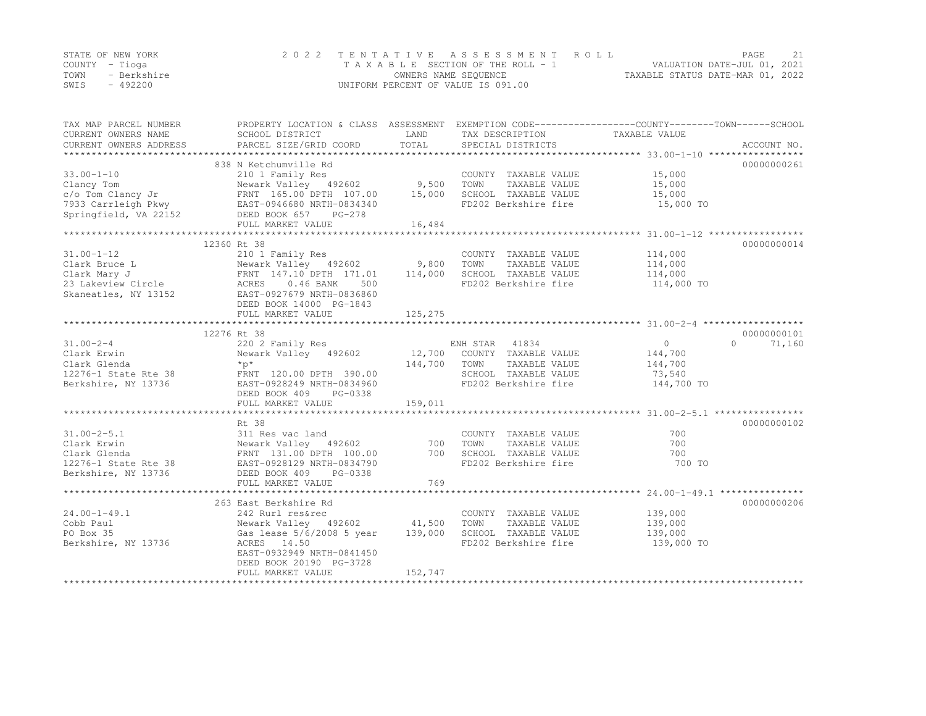|      | STATE OF NEW YORK | 2022 TENTATIVE ASSESSMENT ROLL     | PAGE                             | 21 |
|------|-------------------|------------------------------------|----------------------------------|----|
|      | COUNTY – Tioga    | TAXABLE SECTION OF THE ROLL - 1    | VALUATION DATE-JUL 01, 2021      |    |
| TOWN | - Berkshire       | OWNERS NAME SEOUENCE               | TAXABLE STATUS DATE-MAR 01, 2022 |    |
| SWIS | $-492200$         | UNIFORM PERCENT OF VALUE IS 091.00 |                                  |    |

| TAX MAP PARCEL NUMBER                                                                                                                                                                              | PROPERTY LOCATION & CLASS ASSESSMENT EXEMPTION CODE---------------COUNTY-------TOWN-----SCHOOL |              |                                              |            |                    |
|----------------------------------------------------------------------------------------------------------------------------------------------------------------------------------------------------|------------------------------------------------------------------------------------------------|--------------|----------------------------------------------|------------|--------------------|
|                                                                                                                                                                                                    |                                                                                                |              |                                              |            |                    |
|                                                                                                                                                                                                    | 838 N Ketchumville Rd                                                                          |              |                                              |            | 00000000261        |
| Clancy Tom Mewark Valley 192602 9,500 TOWN<br>C/o Tom Clancy Jr FRNT 165.00 DPTH 107.00 15,000 SCHOO<br>School School School EAST-0946680 NRTH-0834340<br>Springfield Theory<br>Springfield Theory |                                                                                                |              | COUNTY TAXABLE VALUE                         | 15,000     |                    |
|                                                                                                                                                                                                    |                                                                                                |              | TAXABLE VALUE                                | 15,000     |                    |
|                                                                                                                                                                                                    |                                                                                                |              | SCHOOL TAXABLE VALUE                         | 15,000     |                    |
|                                                                                                                                                                                                    |                                                                                                |              | FD202 Berkshire fire                         | 15,000 TO  |                    |
| 7933 Carrleigh Pkwy EAST-0946680 NRTH-0834340<br>Springfield, VA 22152 DEED BOOK 657 PG-278                                                                                                        |                                                                                                |              |                                              |            |                    |
|                                                                                                                                                                                                    | FULL MARKET VALUE                                                                              | 16,484       |                                              |            |                    |
|                                                                                                                                                                                                    |                                                                                                |              |                                              |            |                    |
|                                                                                                                                                                                                    | 12360 Rt 38                                                                                    |              |                                              |            | 00000000014        |
| $31.00 - 1 - 12$                                                                                                                                                                                   | 210 1 Family Res                                                                               |              | COUNTY TAXABLE VALUE                         | 114,000    |                    |
|                                                                                                                                                                                                    | 210 1 Family Res<br>Newark Valley   492602                9,800                                |              | TOWN<br>TAXABLE VALUE                        | 114,000    |                    |
|                                                                                                                                                                                                    |                                                                                                | 114,000      | SCHOOL TAXABLE VALUE                         | 114,000    |                    |
|                                                                                                                                                                                                    |                                                                                                |              | FD202 Berkshire fire                         | 114,000 TO |                    |
| Skaneatles, NY 13152 EAST-0927679 NRTH-0836860                                                                                                                                                     |                                                                                                |              |                                              |            |                    |
|                                                                                                                                                                                                    | DEED BOOK 14000 PG-1843                                                                        |              |                                              |            |                    |
|                                                                                                                                                                                                    | FULL MARKET VALUE                                                                              | 125,275      |                                              |            |                    |
|                                                                                                                                                                                                    |                                                                                                |              |                                              |            |                    |
|                                                                                                                                                                                                    | 12276 Rt 38                                                                                    |              |                                              |            | 00000000101        |
| $31.00 - 2 - 4$                                                                                                                                                                                    |                                                                                                |              |                                              | 0          | $\Omega$<br>71,160 |
| Clark Erwin                                                                                                                                                                                        | 220 2 Family Res<br>Newark Valley 492602 12,700 COUNTY TAXABLE VALUE                           |              |                                              | 144,700    |                    |
| Clark Glenda                                                                                                                                                                                       | $*_{p*}$                                                                                       | 144,700 TOWN | TAXABLE VALUE                                | 144,700    |                    |
|                                                                                                                                                                                                    | FRNT 120.00 DPTH 390.00                                                                        |              | SCHOOL TAXABLE VALUE                         | 73,540     |                    |
|                                                                                                                                                                                                    |                                                                                                |              | FD202 Berkshire fire                         | 144,700 TO |                    |
|                                                                                                                                                                                                    | DEED BOOK 409<br>PG-0338                                                                       |              |                                              |            |                    |
|                                                                                                                                                                                                    | FULL MARKET VALUE                                                                              | 159,011      |                                              |            |                    |
|                                                                                                                                                                                                    |                                                                                                |              |                                              |            |                    |
|                                                                                                                                                                                                    | Rt 38                                                                                          |              |                                              |            | 00000000102        |
| $31.00 - 2 - 5.1$                                                                                                                                                                                  | 311 Res vac land                                                                               |              | COUNTY TAXABLE VALUE                         | 700        |                    |
| Clark Erwin                                                                                                                                                                                        |                                                                                                |              | TAXABLE VALUE                                | 700        |                    |
| Clark Glenda                                                                                                                                                                                       | Newark Valley 492602 100 TOWN<br>FRNT 131.00 DPTH 100.00 700 SCHOO                             |              |                                              | 700        |                    |
| 12276-1 State Rte 38                                                                                                                                                                               | EAST-0928129 NRTH-0834790                                                                      |              | SCHOOL TAXABLE VALUE<br>FD202 Berkshire fire | 700 TO     |                    |
| Berkshire, NY 13736                                                                                                                                                                                | DEED BOOK 409<br>PG-0338                                                                       |              |                                              |            |                    |
|                                                                                                                                                                                                    | FULL MARKET VALUE                                                                              | 769          |                                              |            |                    |
|                                                                                                                                                                                                    |                                                                                                |              |                                              |            |                    |
|                                                                                                                                                                                                    | 263 East Berkshire Rd                                                                          |              |                                              |            | 00000000206        |
| $24.00 - 1 - 49.1$                                                                                                                                                                                 | 242 Rurl res&rec                                                                               |              | COUNTY TAXABLE VALUE                         | 139,000    |                    |
| Cobb Paul                                                                                                                                                                                          | Newark Valley 492602 41,500                                                                    |              | TOWN<br>TAXABLE VALUE                        | 139,000    |                    |
| PO Box 35                                                                                                                                                                                          | Gas lease 5/6/2008 5 year 139,000                                                              |              | SCHOOL TAXABLE VALUE                         | 139,000    |                    |
| Berkshire, NY 13736                                                                                                                                                                                | ACRES 14.50                                                                                    |              | FD202 Berkshire fire                         | 139,000 TO |                    |
|                                                                                                                                                                                                    | EAST-0932949 NRTH-0841450                                                                      |              |                                              |            |                    |
|                                                                                                                                                                                                    | DEED BOOK 20190 PG-3728                                                                        |              |                                              |            |                    |
|                                                                                                                                                                                                    | FULL MARKET VALUE                                                                              | 152,747      |                                              |            |                    |
|                                                                                                                                                                                                    |                                                                                                |              |                                              |            |                    |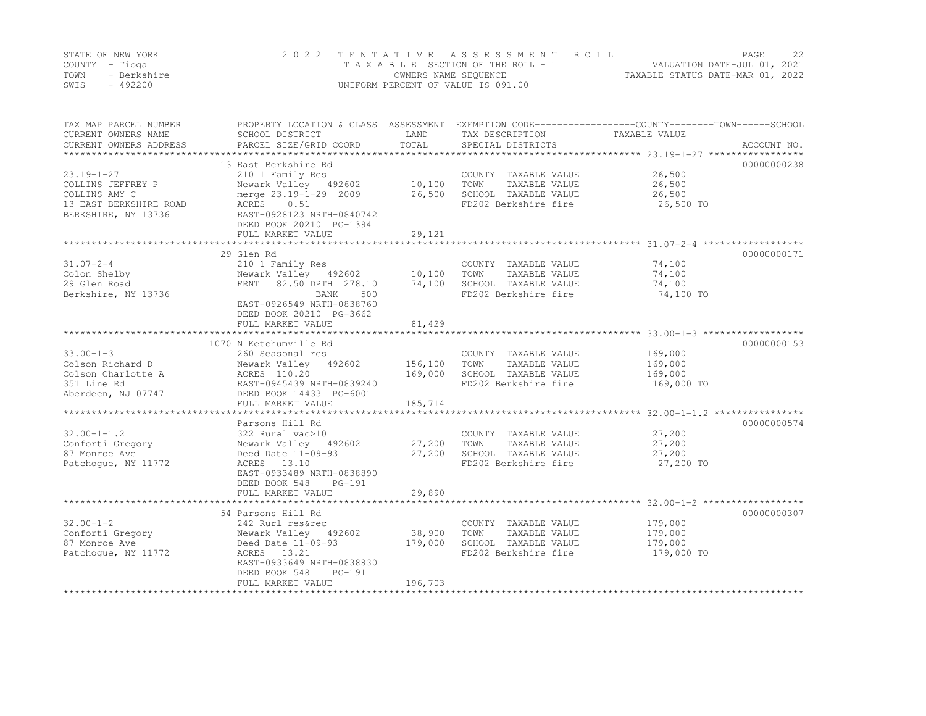|      | STATE OF NEW YORK | 2022 TENTATIVE ASSESSMENT ROLL     | 2.2.<br>PAGE                     |
|------|-------------------|------------------------------------|----------------------------------|
|      | COUNTY – Tioga    | TAXABLE SECTION OF THE ROLL - 1    | VALUATION DATE-JUL 01, 2021      |
| TOWN | - Berkshire       | OWNERS NAME SEQUENCE               | TAXABLE STATUS DATE-MAR 01, 2022 |
| SWIS | - 492200          | UNIFORM PERCENT OF VALUE IS 091.00 |                                  |

| TAX MAP PARCEL NUMBER<br>CURRENT OWNERS NAME<br>CURRENT OWNERS ADDRESS                                  | SCHOOL DISTRICT<br>PARCEL SIZE/GRID COORD                                                                                                                                               | LAND<br>TOTAL                 | TAX DESCRIPTION<br>SPECIAL DISTRICTS                                                          | PROPERTY LOCATION & CLASS ASSESSMENT EXEMPTION CODE----------------COUNTY-------TOWN-----SCHOOL<br>TAXABLE VALUE<br>ACCOUNT NO. |
|---------------------------------------------------------------------------------------------------------|-----------------------------------------------------------------------------------------------------------------------------------------------------------------------------------------|-------------------------------|-----------------------------------------------------------------------------------------------|---------------------------------------------------------------------------------------------------------------------------------|
| $23.19 - 1 - 27$<br>COLLINS JEFFREY P<br>COLLINS AMY C<br>13 EAST BERKSHIRE ROAD<br>BERKSHIRE, NY 13736 | 13 East Berkshire Rd<br>210 1 Family Res<br>Newark Valley 492602<br>merge 23.19-1-29 2009<br>ACRES<br>0.51<br>EAST-0928123 NRTH-0840742<br>DEED BOOK 20210 PG-1394<br>FULL MARKET VALUE | 10,100<br>26,500<br>29,121    | COUNTY TAXABLE VALUE<br>TOWN<br>TAXABLE VALUE<br>SCHOOL TAXABLE VALUE<br>FD202 Berkshire fire | 00000000238<br>26,500<br>26,500<br>26,500<br>26,500 TO                                                                          |
| $31.07 - 2 - 4$<br>Colon Shelby<br>29 Glen Road<br>Berkshire, NY 13736                                  | 29 Glen Rd<br>210 1 Family Res<br>Newark Valley 492602 10,100<br>FRNT 82.50 DPTH 278.10<br>BANK<br>500<br>EAST-0926549 NRTH-0838760<br>DEED BOOK 20210 PG-3662<br>FULL MARKET VALUE     | 74,100<br>81,429              | COUNTY TAXABLE VALUE<br>TOWN<br>TAXABLE VALUE<br>SCHOOL TAXABLE VALUE<br>FD202 Berkshire fire | 00000000171<br>74,100<br>74,100<br>74,100<br>74,100 TO                                                                          |
|                                                                                                         | 1070 N Ketchumville Rd                                                                                                                                                                  |                               |                                                                                               | 00000000153                                                                                                                     |
| $33.00 - 1 - 3$<br>Colson Richard D<br>Colson Charlotte A<br>351 Line Rd<br>Aberdeen, NJ 07747          | 260 Seasonal res<br>Newark Valley 492602<br>ACRES 110.20<br>EAST-0945439 NRTH-0839240<br>DEED BOOK 14433 PG-6001<br>FULL MARKET VALUE                                                   | 156,100<br>169,000<br>185,714 | COUNTY TAXABLE VALUE<br>TAXABLE VALUE<br>TOWN<br>SCHOOL TAXABLE VALUE<br>FD202 Berkshire fire | 169,000<br>169,000<br>169,000<br>169,000 TO                                                                                     |
|                                                                                                         | Parsons Hill Rd                                                                                                                                                                         |                               |                                                                                               | 00000000574                                                                                                                     |
| $32.00 - 1 - 1.2$<br>Conforti Gregory<br>87 Monroe Ave<br>Patchoque, NY 11772                           | 322 Rural vac>10<br>Newark Valley 492602<br>Deed Date 11-09-93<br>ACRES 13.10<br>EAST-0933489 NRTH-0838890<br>DEED BOOK 548<br>PG-191<br>FULL MARKET VALUE                              | 27,200<br>27,200<br>29,890    | COUNTY TAXABLE VALUE<br>TAXABLE VALUE<br>TOWN<br>SCHOOL TAXABLE VALUE<br>FD202 Berkshire fire | 27,200<br>27,200<br>27,200<br>27,200 TO                                                                                         |
|                                                                                                         | 54 Parsons Hill Rd                                                                                                                                                                      |                               |                                                                                               | 00000000307                                                                                                                     |
| $32.00 - 1 - 2$<br>Conforti Gregory<br>87 Monroe Ave<br>Patchoque, NY 11772                             | 242 Rurl res&rec<br>Newark Valley 492602<br>Deed Date 11-09-93<br>ACRES 13.21<br>EAST-0933649 NRTH-0838830<br>DEED BOOK 548<br>$PG-191$<br>FULL MARKET VALUE                            | 38,900<br>179,000<br>196,703  | COUNTY TAXABLE VALUE<br>TOWN<br>TAXABLE VALUE<br>SCHOOL TAXABLE VALUE<br>FD202 Berkshire fire | 179,000<br>179,000<br>179,000<br>179,000 TO                                                                                     |
|                                                                                                         |                                                                                                                                                                                         |                               |                                                                                               |                                                                                                                                 |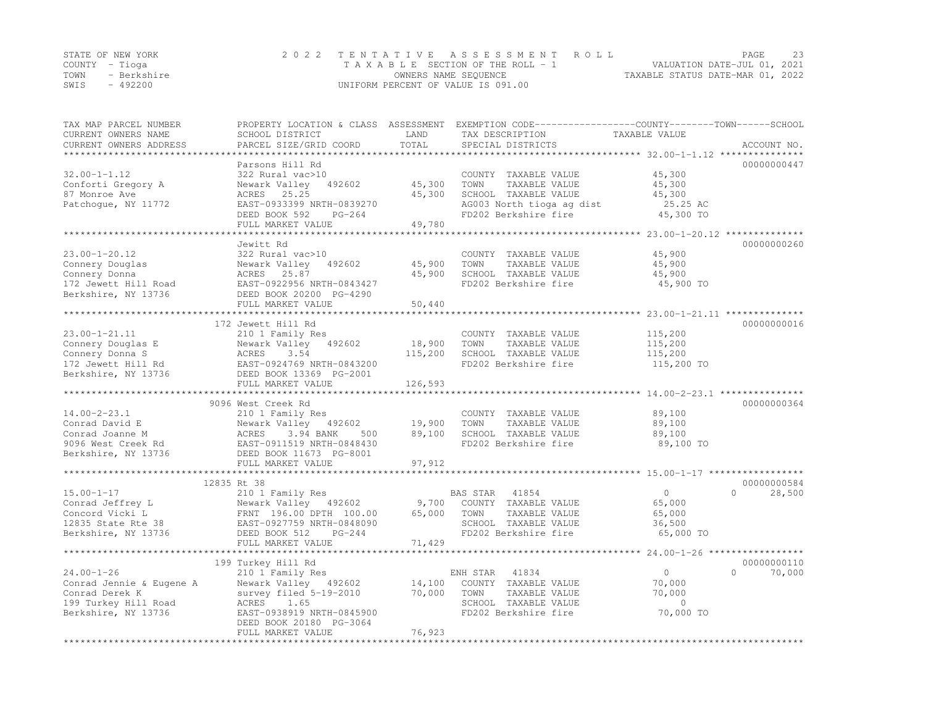|      | STATE OF NEW YORK | 2022 TENTATIVE ASSESSMENT ROLL     | PAGE                             | 23 |
|------|-------------------|------------------------------------|----------------------------------|----|
|      | COUNTY – Tioga    | TAXABLE SECTION OF THE ROLL - 1    | VALUATION DATE-JUL 01, 2021      |    |
| TOWN | - Berkshire       | OWNERS NAME SEQUENCE               | TAXABLE STATUS DATE-MAR 01, 2022 |    |
| SWIS | $-492200$         | UNIFORM PERCENT OF VALUE IS 091.00 |                                  |    |

| TAX MAP PARCEL NUMBER<br>CURRENT OWNERS NAME | PROPERTY LOCATION & CLASS ASSESSMENT EXEMPTION CODE----------------COUNTY-------TOWN-----SCHOOL<br>SCHOOL DISTRICT | LAND                         | TAX DESCRIPTION                                   | TAXABLE VALUE |                    |
|----------------------------------------------|--------------------------------------------------------------------------------------------------------------------|------------------------------|---------------------------------------------------|---------------|--------------------|
| CURRENT OWNERS ADDRESS                       | PARCEL SIZE/GRID COORD                                                                                             | TOTAL<br>* * * * * * * * * * | SPECIAL DISTRICTS                                 |               | ACCOUNT NO.        |
|                                              |                                                                                                                    |                              |                                                   |               |                    |
|                                              | Parsons Hill Rd                                                                                                    |                              |                                                   |               | 00000000447        |
| $32.00 - 1 - 1.12$                           | 322 Rural vac>10                                                                                                   |                              | COUNTY TAXABLE VALUE                              | 45,300        |                    |
| Conforti Gregory A<br>87 Monroe Ave          | Newark Valley<br>492602<br>ACRES 25.25                                                                             | 45,300                       | TAXABLE VALUE<br>TOWN                             | 45,300        |                    |
|                                              |                                                                                                                    | 45,300                       | SCHOOL TAXABLE VALUE                              | 45,300        |                    |
| Patchoque, NY 11772                          | EAST-0933399 NRTH-0839270<br>PG-264                                                                                |                              | AG003 North tioga ag dist<br>FD202 Berkshire fire | 25.25 AC      |                    |
|                                              | DEED BOOK 592<br>FULL MARKET VALUE                                                                                 | 49,780                       |                                                   | 45,300 TO     |                    |
|                                              |                                                                                                                    |                              |                                                   |               |                    |
|                                              | Jewitt Rd                                                                                                          |                              |                                                   |               | 00000000260        |
| $23.00 - 1 - 20.12$                          | 322 Rural vac>10                                                                                                   |                              | COUNTY TAXABLE VALUE                              | 45,900        |                    |
| Connery Douglas                              | 492602<br>Newark Valley                                                                                            | 45,900                       | TOWN<br>TAXABLE VALUE                             | 45,900        |                    |
| Connery Donna                                | ACRES<br>25.87                                                                                                     | 45,900                       | SCHOOL TAXABLE VALUE                              | 45,900        |                    |
| 172 Jewett Hill Road                         | EAST-0922956 NRTH-0843427                                                                                          |                              | FD202 Berkshire fire                              | 45,900 TO     |                    |
| Berkshire, NY 13736                          | DEED BOOK 20200 PG-4290                                                                                            |                              |                                                   |               |                    |
|                                              | FULL MARKET VALUE                                                                                                  | 50,440                       |                                                   |               |                    |
|                                              |                                                                                                                    |                              |                                                   |               |                    |
|                                              | 172 Jewett Hill Rd                                                                                                 |                              |                                                   |               | 00000000016        |
| $23.00 - 1 - 21.11$                          | 210 1 Family Res                                                                                                   |                              | COUNTY TAXABLE VALUE                              | 115,200       |                    |
| Connery Douglas E                            | Newark Valley 492602                                                                                               | 18,900                       | TOWN<br>TAXABLE VALUE                             | 115,200       |                    |
| Connery Donna S                              | 3.54<br>ACRES                                                                                                      | 115,200                      | SCHOOL TAXABLE VALUE                              | 115,200       |                    |
| 172 Jewett Hill Rd                           | EAST-0924769 NRTH-0843200                                                                                          |                              | FD202 Berkshire fire                              | 115,200 TO    |                    |
| Berkshire, NY 13736                          | DEED BOOK 13369 PG-2001                                                                                            |                              |                                                   |               |                    |
|                                              | FULL MARKET VALUE                                                                                                  | 126,593                      |                                                   |               |                    |
|                                              |                                                                                                                    |                              |                                                   |               |                    |
|                                              | 9096 West Creek Rd                                                                                                 |                              |                                                   |               | 00000000364        |
| $14.00 - 2 - 23.1$                           | 210 1 Family Res                                                                                                   |                              | COUNTY TAXABLE VALUE                              | 89,100        |                    |
| Conrad David E                               | Newark Valley 492602                                                                                               | 19,900                       | TOWN<br>TAXABLE VALUE                             | 89,100        |                    |
| Conrad Joanne M                              | ACRES<br>3.94 BANK<br>500                                                                                          | 89,100                       | SCHOOL TAXABLE VALUE                              | 89,100        |                    |
| 9096 West Creek Rd                           | EAST-0911519 NRTH-0848430                                                                                          |                              | FD202 Berkshire fire                              | 89,100 TO     |                    |
| Berkshire, NY 13736                          | DEED BOOK 11673 PG-8001                                                                                            |                              |                                                   |               |                    |
|                                              | FULL MARKET VALUE                                                                                                  | 97,912                       |                                                   |               |                    |
|                                              |                                                                                                                    |                              |                                                   |               |                    |
|                                              | 12835 Rt 38                                                                                                        |                              |                                                   |               | 00000000584        |
| $15.00 - 1 - 17$                             | 210 1 Family Res                                                                                                   |                              | BAS STAR 41854                                    | $\circ$       | $\Omega$<br>28,500 |
| Conrad Jeffrey L                             | Newark Valley 492602                                                                                               | 9,700                        | COUNTY TAXABLE VALUE                              | 65,000        |                    |
| Concord Vicki L                              | FRNT 196.00 DPTH 100.00                                                                                            | 65,000                       | TOWN<br>TAXABLE VALUE                             | 65,000        |                    |
| 12835 State Rte 38                           | EAST-0927759 NRTH-0848090                                                                                          |                              | SCHOOL TAXABLE VALUE                              | 36,500        |                    |
| Berkshire, NY 13736                          | DEED BOOK 512<br>$PG-244$                                                                                          |                              | FD202 Berkshire fire                              | 65,000 TO     |                    |
|                                              | FULL MARKET VALUE                                                                                                  | 71,429                       |                                                   |               |                    |
|                                              | *****************************                                                                                      |                              |                                                   |               |                    |
|                                              | 199 Turkey Hill Rd                                                                                                 |                              |                                                   |               | 00000000110        |
| $24.00 - 1 - 26$                             | 210 1 Family Res                                                                                                   |                              | 41834<br>ENH STAR                                 | $\circ$       | $\Omega$<br>70,000 |
| Conrad Jennie & Eugene A                     | Newark Valley 492602                                                                                               | 14,100                       | COUNTY TAXABLE VALUE                              | 70,000        |                    |
| Conrad Derek K                               | survey filed 5-19-2010                                                                                             | 70,000                       | TOWN<br>TAXABLE VALUE                             | 70,000        |                    |
| 199 Turkey Hill Road                         | ACRES<br>1.65                                                                                                      |                              | SCHOOL TAXABLE VALUE                              | $\circ$       |                    |
| Berkshire, NY 13736                          | EAST-0938919 NRTH-0845900                                                                                          |                              | FD202 Berkshire fire                              | 70,000 TO     |                    |
|                                              | DEED BOOK 20180 PG-3064                                                                                            |                              |                                                   |               |                    |
|                                              | FULL MARKET VALUE                                                                                                  | 76,923                       |                                                   |               |                    |
|                                              |                                                                                                                    | *****************            |                                                   |               |                    |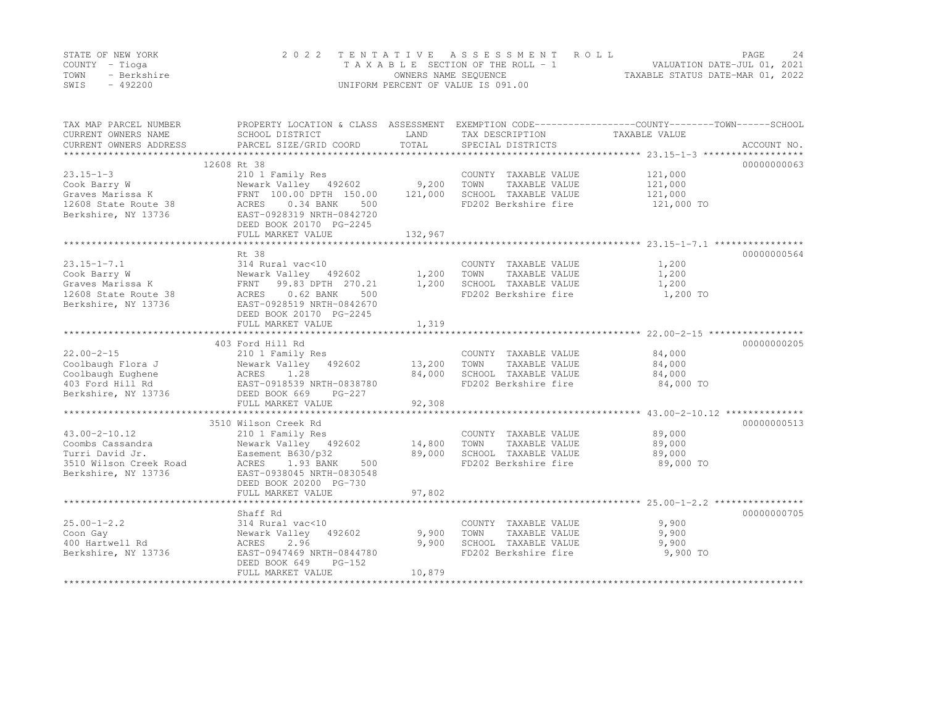|      | STATE OF NEW YORK | 2022 TENTATIVE ASSESSMENT ROLL     |                                  | PAGE                        | 2.4 |
|------|-------------------|------------------------------------|----------------------------------|-----------------------------|-----|
|      | COUNTY – Tioga    | TAXABLE SECTION OF THE ROLL - 1    |                                  | VALUATION DATE-JUL 01, 2021 |     |
| TOWN | - Berkshire       | OWNERS NAME SEQUENCE               | TAXABLE STATUS DATE-MAR 01, 2022 |                             |     |
| SWIS | - 492200          | UNIFORM PERCENT OF VALUE IS 091.00 |                                  |                             |     |

| TAX MAP PARCEL NUMBER<br>CURRENT OWNERS NAME<br>CURRENT OWNERS ADDRESS                               | SCHOOL DISTRICT<br>PARCEL SIZE/GRID COORD                                                                                                                 | LAND<br>TOTAL                | TAX DESCRIPTION<br>SPECIAL DISTRICTS                                                          | PROPERTY LOCATION & CLASS ASSESSMENT EXEMPTION CODE----------------COUNTY-------TOWN-----SCHOOL<br>TAXABLE VALUE<br>ACCOUNT NO. |
|------------------------------------------------------------------------------------------------------|-----------------------------------------------------------------------------------------------------------------------------------------------------------|------------------------------|-----------------------------------------------------------------------------------------------|---------------------------------------------------------------------------------------------------------------------------------|
|                                                                                                      |                                                                                                                                                           |                              |                                                                                               |                                                                                                                                 |
| $23.15 - 1 - 3$<br>Cook Barry W                                                                      | 12608 Rt 38<br>210 1 Family Res<br>Newark Valley 492602                                                                                                   | 9,200                        | COUNTY TAXABLE VALUE<br>TOWN<br>TAXABLE VALUE                                                 | 00000000063<br>121,000<br>121,000                                                                                               |
| Graves Marissa K<br>12608 State Route 38<br>Berkshire, NY 13736                                      | FRNT 100.00 DPTH 150.00<br>ACRES 0.34 BANK<br>500<br>EAST-0928319 NRTH-0842720<br>DEED BOOK 20170 PG-2245                                                 | 121,000                      | SCHOOL TAXABLE VALUE<br>FD202 Berkshire fire                                                  | 121,000<br>121,000 TO                                                                                                           |
|                                                                                                      | FULL MARKET VALUE                                                                                                                                         | 132,967                      |                                                                                               |                                                                                                                                 |
|                                                                                                      | Rt 38                                                                                                                                                     |                              |                                                                                               | 00000000564                                                                                                                     |
| $23.15 - 1 - 7.1$<br>Cook Barry W<br>Graves Marissa K<br>12608 State Route 38<br>Berkshire, NY 13736 | 314 Rural vac<10<br>Newark Valley 492602<br>FRNT 99.83 DPTH 270.21<br>ACRES<br>$0.62$ BANK<br>500<br>EAST-0928519 NRTH-0842670<br>DEED BOOK 20170 PG-2245 | $\frac{1}{2}$ , 200<br>1,200 | COUNTY TAXABLE VALUE<br>TAXABLE VALUE<br>TOWN<br>SCHOOL TAXABLE VALUE<br>FD202 Berkshire fire | 1,200<br>1,200<br>1,200<br>1,200 TO                                                                                             |
|                                                                                                      | FULL MARKET VALUE                                                                                                                                         | 1,319                        |                                                                                               |                                                                                                                                 |
|                                                                                                      |                                                                                                                                                           |                              |                                                                                               |                                                                                                                                 |
|                                                                                                      | 403 Ford Hill Rd                                                                                                                                          |                              |                                                                                               | 00000000205                                                                                                                     |
| $22.00 - 2 - 15$                                                                                     | 210 1 Family Res                                                                                                                                          |                              | COUNTY TAXABLE VALUE                                                                          | 84,000                                                                                                                          |
| Coolbaugh Flora J                                                                                    | Newark Valley 492602                                                                                                                                      | 13,200                       | TOWN<br>TAXABLE VALUE                                                                         | 84,000                                                                                                                          |
| Coolbaugh Eughene                                                                                    |                                                                                                                                                           | 84,000                       | SCHOOL TAXABLE VALUE                                                                          | 84,000                                                                                                                          |
| 403 Ford Hill Rd<br>Berkshire, NY 13736                                                              | ACRES 1.28<br>EAST-0918539 NRTH-0838780<br>DEED BOOK 669<br>$PG-227$<br>FULL MARKET VALUE                                                                 | 92,308                       | FD202 Berkshire fire                                                                          | 84,000 TO                                                                                                                       |
|                                                                                                      |                                                                                                                                                           |                              |                                                                                               |                                                                                                                                 |
|                                                                                                      | 3510 Wilson Creek Rd                                                                                                                                      |                              |                                                                                               | 00000000513                                                                                                                     |
| $43.00 - 2 - 10.12$<br>Coombs Cassandra                                                              | 210 1 Family Res<br>Newark Valley 492602 14,800                                                                                                           |                              | COUNTY TAXABLE VALUE<br>TOWN<br>TAXABLE VALUE                                                 | 89,000<br>89,000                                                                                                                |
| Turri David Jr.<br>3510 Wilson Creek Road<br>Berkshire, NY 13736                                     | Easement B630/p32<br>ACRES<br>1.93 BANK<br>500<br>EAST-0938045 NRTH-0830548<br>DEED BOOK 20200 PG-730<br>FULL MARKET VALUE                                | 89,000<br>97,802             | SCHOOL TAXABLE VALUE<br>FD202 Berkshire fire                                                  | 89,000<br>89,000 TO                                                                                                             |
|                                                                                                      |                                                                                                                                                           |                              |                                                                                               |                                                                                                                                 |
|                                                                                                      | Shaff Rd                                                                                                                                                  |                              |                                                                                               | 00000000705                                                                                                                     |
| $25.00 - 1 - 2.2$<br>Coon Gay<br>400 Hartwell Rd<br>Berkshire, NY 13736                              | 314 Rural vac<10<br>Newark Valley 492602<br>2.96<br>ACRES<br>EAST-0947469 NRTH-0844780<br>$PG-152$<br>DEED BOOK 649                                       | 9,900<br>9,900               | COUNTY TAXABLE VALUE<br>TOWN<br>TAXABLE VALUE<br>SCHOOL TAXABLE VALUE<br>FD202 Berkshire fire | 9,900<br>9,900<br>9,900<br>9,900 TO                                                                                             |
|                                                                                                      | FULL MARKET VALUE                                                                                                                                         | 10,879                       |                                                                                               |                                                                                                                                 |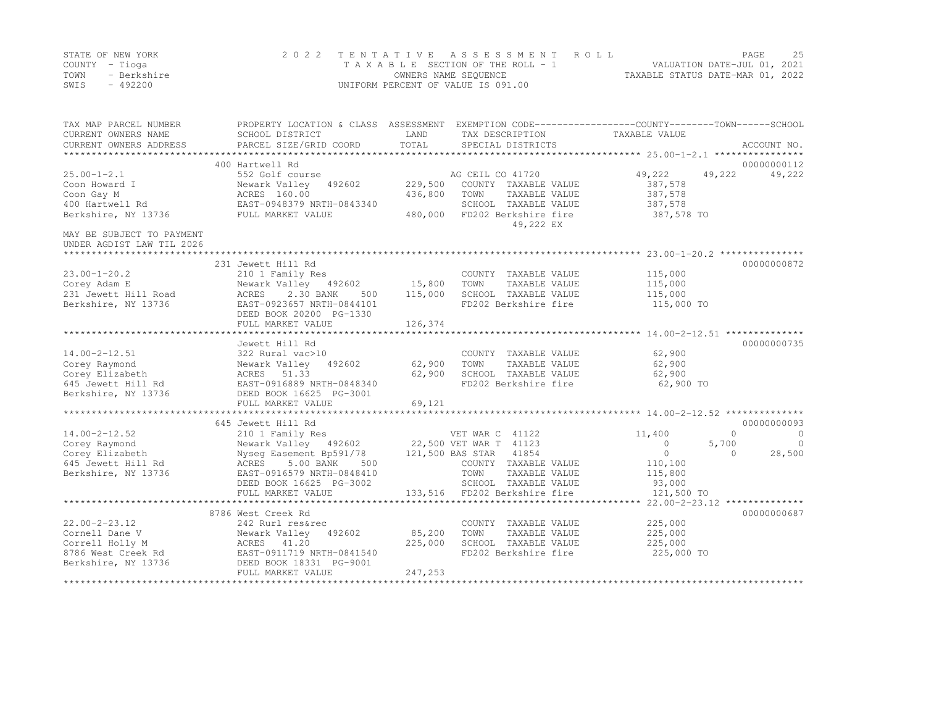|      | STATE OF NEW YORK | 2022 TENTATIVE ASSESSMENT ROLL     | 25<br>PAGE                       |
|------|-------------------|------------------------------------|----------------------------------|
|      | COUNTY – Tioga    | TAXABLE SECTION OF THE ROLL - 1    | VALUATION DATE-JUL 01, 2021      |
| TOWN | - Berkshire       | OWNERS NAME SEQUENCE               | TAXABLE STATUS DATE-MAR 01, 2022 |
| SWIS | - 492200          | UNIFORM PERCENT OF VALUE IS 091.00 |                                  |

| TAX MAP PARCEL NUMBER     | PROPERTY LOCATION & CLASS ASSESSMENT EXEMPTION CODE----------------COUNTY-------TOWN-----SCHOOL |         |                              |                |                         |
|---------------------------|-------------------------------------------------------------------------------------------------|---------|------------------------------|----------------|-------------------------|
| CURRENT OWNERS NAME       | SCHOOL DISTRICT                                                                                 | LAND    | TAX DESCRIPTION              | TAXABLE VALUE  |                         |
| CURRENT OWNERS ADDRESS    | PARCEL SIZE/GRID COORD                                                                          | TOTAL   | SPECIAL DISTRICTS            |                | ACCOUNT NO.             |
|                           |                                                                                                 |         |                              |                |                         |
|                           | 400 Hartwell Rd                                                                                 |         |                              |                | 00000000112             |
| $25.00 - 1 - 2.1$         | 552 Golf course                                                                                 |         | AG CEIL CO 41720             | 49,222         | 49,222<br>49,222        |
| Coon Howard I             | Newark Valley<br>492602                                                                         | 229,500 | COUNTY TAXABLE VALUE         | 387,578        |                         |
| Coon Gay M                | ACRES 160.00                                                                                    | 436,800 | TOWN<br>TAXABLE VALUE        | 387,578        |                         |
| 400 Hartwell Rd           | EAST-0948379 NRTH-0843340                                                                       |         | SCHOOL TAXABLE VALUE         | 387,578        |                         |
| Berkshire, NY 13736       | FULL MARKET VALUE                                                                               | 480,000 | FD202 Berkshire fire         | 387,578 TO     |                         |
|                           |                                                                                                 |         | 49,222 EX                    |                |                         |
| MAY BE SUBJECT TO PAYMENT |                                                                                                 |         |                              |                |                         |
| UNDER AGDIST LAW TIL 2026 |                                                                                                 |         |                              |                |                         |
|                           |                                                                                                 |         |                              |                |                         |
|                           | 231 Jewett Hill Rd                                                                              |         |                              |                | 00000000872             |
| $23.00 - 1 - 20.2$        | 210 1 Family Res                                                                                |         | COUNTY TAXABLE VALUE         | 115,000        |                         |
| Corey Adam E              | Newark Valley 492602                                                                            | 15,800  | TOWN<br>TAXABLE VALUE        | 115,000        |                         |
| 231 Jewett Hill Road      | ACRES<br>2.30 BANK<br>500                                                                       | 115,000 | SCHOOL TAXABLE VALUE         | 115,000        |                         |
| Berkshire, NY 13736       | EAST-0923657 NRTH-0844101                                                                       |         | FD202 Berkshire fire         | 115,000 TO     |                         |
|                           | DEED BOOK 20200 PG-1330                                                                         |         |                              |                |                         |
|                           | FULL MARKET VALUE                                                                               | 126,374 |                              |                |                         |
|                           |                                                                                                 |         |                              |                |                         |
|                           | Jewett Hill Rd                                                                                  |         |                              |                | 00000000735             |
| $14.00 - 2 - 12.51$       | 322 Rural vac>10                                                                                |         | COUNTY TAXABLE VALUE         | 62,900         |                         |
| Corey Raymond             | Newark Valley<br>492602                                                                         | 62,900  | TOWN<br>TAXABLE VALUE        | 62,900         |                         |
| Corey Elizabeth           | ACRES 51.33                                                                                     | 62,900  | SCHOOL TAXABLE VALUE         | 62,900         |                         |
| 645 Jewett Hill Rd        | EAST-0916889 NRTH-0848340                                                                       |         | FD202 Berkshire fire         | 62,900 TO      |                         |
| Berkshire, NY 13736       | DEED BOOK 16625 PG-3001                                                                         |         |                              |                |                         |
|                           | FULL MARKET VALUE                                                                               | 69,121  |                              |                |                         |
|                           |                                                                                                 |         |                              |                |                         |
|                           | 645 Jewett Hill Rd                                                                              |         |                              |                | 00000000093             |
| $14.00 - 2 - 12.52$       | 210 1 Family Res                                                                                |         | VET WAR C 41122              | 11,400         | $\Omega$<br>$\bigcirc$  |
| Corey Raymond             | Newark Valley 492602 22,500 VET WAR T 41123                                                     |         |                              | $\circ$        | 5,700<br>$\overline{0}$ |
| Corey Elizabeth           | Nyseq Easement Bp591/78                                                                         |         | 121,500 BAS STAR 41854       | $\overline{0}$ | 28,500<br>$\Omega$      |
| 645 Jewett Hill Rd        | 5.00 BANK<br>500<br>ACRES                                                                       |         | COUNTY TAXABLE VALUE         | 110,100        |                         |
| Berkshire, NY 13736       | EAST-0916579 NRTH-0848410                                                                       |         | TOWN<br>TAXABLE VALUE        | 115,800        |                         |
|                           | DEED BOOK 16625 PG-3002                                                                         |         | SCHOOL TAXABLE VALUE         | 93,000         |                         |
|                           | FULL MARKET VALUE                                                                               |         | 133,516 FD202 Berkshire fire | 121,500 TO     |                         |
|                           | **************************                                                                      |         |                              |                |                         |
|                           | 8786 West Creek Rd                                                                              |         |                              |                | 00000000687             |
| $22.00 - 2 - 23.12$       | 242 Rurl res&rec                                                                                |         | COUNTY TAXABLE VALUE         | 225,000        |                         |
| Cornell Dane V            | Newark Valley<br>492602                                                                         | 85,200  | TOWN<br>TAXABLE VALUE        | 225,000        |                         |
| Correll Holly M           | ACRES 41.20                                                                                     | 225,000 | SCHOOL TAXABLE VALUE         | 225,000        |                         |
| 8786 West Creek Rd        | EAST-0911719 NRTH-0841540                                                                       |         | FD202 Berkshire fire         | 225,000 TO     |                         |
| Berkshire, NY 13736       | DEED BOOK 18331 PG-9001                                                                         |         |                              |                |                         |
|                           | FULL MARKET VALUE                                                                               | 247,253 |                              |                |                         |
|                           |                                                                                                 |         |                              |                |                         |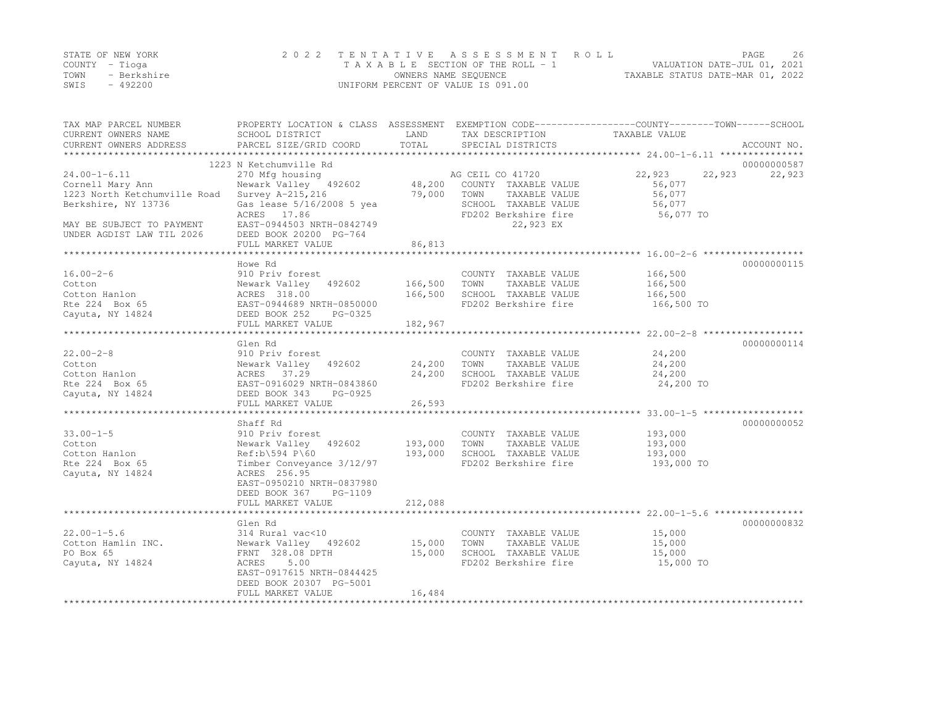|      | STATE OF NEW YORK | 2022 TENTATIVE ASSESSMENT ROLL     | PAGE                             | 26 |
|------|-------------------|------------------------------------|----------------------------------|----|
|      | COUNTY – Tioga    | TAXABLE SECTION OF THE ROLL - 1    | VALUATION DATE-JUL 01, 2021      |    |
| TOWN | - Berkshire       | OWNERS NAME SEQUENCE               | TAXABLE STATUS DATE-MAR 01, 2022 |    |
| SWIS | - 492200          | UNIFORM PERCENT OF VALUE IS 091.00 |                                  |    |

| TAX MAP PARCEL NUMBER<br>CURRENT OWNERS NAME<br>CURRENT OWNERS ADDRESS | PROPERTY LOCATION & CLASS ASSESSMENT<br>SCHOOL DISTRICT<br>PARCEL SIZE/GRID COORD | LAND<br>TOTAL    | TAX DESCRIPTION<br>SPECIAL DISTRICTS                              | EXEMPTION CODE-----------------COUNTY-------TOWN------SCHOOL<br>TAXABLE VALUE<br>ACCOUNT NO. |
|------------------------------------------------------------------------|-----------------------------------------------------------------------------------|------------------|-------------------------------------------------------------------|----------------------------------------------------------------------------------------------|
| ***********************                                                |                                                                                   |                  |                                                                   |                                                                                              |
|                                                                        | 1223 N Ketchumville Rd                                                            |                  |                                                                   | 00000000587                                                                                  |
| $24.00 - 1 - 6.11$<br>Cornell Mary Ann<br>1223 North Ketchumville Road | 270 Mfg housing<br>Newark Valley 492602<br>Survey A-215, 216                      | 48,200<br>79,000 | AG CEIL CO 41720<br>COUNTY TAXABLE VALUE<br>TOWN<br>TAXABLE VALUE | 22,923<br>22,923<br>22,923<br>56,077<br>56,077                                               |
| Berkshire, NY 13736                                                    | Gas lease 5/16/2008 5 yea<br>ACRES 17.86                                          |                  | SCHOOL TAXABLE VALUE<br>FD202 Berkshire fire                      | 56,077<br>56,077 TO                                                                          |
| MAY BE SUBJECT TO PAYMENT<br>UNDER AGDIST LAW TIL 2026                 | EAST-0944503 NRTH-0842749<br>DEED BOOK 20200 PG-764<br>FULL MARKET VALUE          | 86,813           | 22,923 EX                                                         |                                                                                              |
|                                                                        |                                                                                   |                  |                                                                   |                                                                                              |
|                                                                        | Howe Rd                                                                           |                  |                                                                   | 00000000115                                                                                  |
| $16.00 - 2 - 6$                                                        | 910 Priv forest                                                                   |                  | COUNTY TAXABLE VALUE                                              | 166,500                                                                                      |
| Cotton                                                                 | Newark Valley 492602                                                              | 166,500          | TAXABLE VALUE<br>TOWN                                             | 166,500                                                                                      |
| Cotton Hanlon                                                          | ACRES 318.00                                                                      | 166,500          | SCHOOL TAXABLE VALUE                                              | 166,500                                                                                      |
| Rte 224 Box 65                                                         | EAST-0944689 NRTH-0850000                                                         |                  | FD202 Berkshire fire                                              | 166,500 TO                                                                                   |
| Cayuta, NY 14824                                                       | DEED BOOK 252<br>PG-0325                                                          |                  |                                                                   |                                                                                              |
|                                                                        | FULL MARKET VALUE                                                                 | 182,967          |                                                                   |                                                                                              |
|                                                                        |                                                                                   |                  |                                                                   |                                                                                              |
|                                                                        | Glen Rd                                                                           |                  |                                                                   | 00000000114                                                                                  |
| $22.00 - 2 - 8$                                                        | 910 Priv forest                                                                   |                  | COUNTY TAXABLE VALUE                                              | 24,200                                                                                       |
| Cotton                                                                 | Newark Valley 492602                                                              | 24,200           | TOWN<br>TAXABLE VALUE                                             | 24,200                                                                                       |
| Cotton Hanlon                                                          | ACRES 37.29                                                                       | 24,200           | SCHOOL TAXABLE VALUE                                              | 24,200                                                                                       |
| Rte 224 Box 65                                                         | EAST-0916029 NRTH-0843860                                                         |                  | FD202 Berkshire fire                                              | 24,200 TO                                                                                    |
| Cayuta, NY 14824                                                       | DEED BOOK 343<br>PG-0925                                                          |                  |                                                                   |                                                                                              |
|                                                                        | FULL MARKET VALUE                                                                 | 26,593           |                                                                   |                                                                                              |
|                                                                        |                                                                                   |                  |                                                                   |                                                                                              |
|                                                                        | Shaff Rd                                                                          |                  |                                                                   | 00000000052                                                                                  |
| $33.00 - 1 - 5$                                                        | 910 Priv forest                                                                   |                  | COUNTY TAXABLE VALUE                                              | 193,000                                                                                      |
| Cotton                                                                 | Newark Valley 492602                                                              | 193,000          | TOWN<br>TAXABLE VALUE                                             | 193,000                                                                                      |
| Cotton Hanlon                                                          | $Ref:b\394 P\60$                                                                  | 193,000          | SCHOOL TAXABLE VALUE                                              | 193,000                                                                                      |
| Rte 224 Box 65                                                         | Timber Conveyance 3/12/97                                                         |                  | FD202 Berkshire fire                                              | 193,000 TO                                                                                   |
| Cayuta, NY 14824                                                       | ACRES 256.95                                                                      |                  |                                                                   |                                                                                              |
|                                                                        | EAST-0950210 NRTH-0837980                                                         |                  |                                                                   |                                                                                              |
|                                                                        | DEED BOOK 367<br>PG-1109                                                          |                  |                                                                   |                                                                                              |
|                                                                        | FULL MARKET VALUE                                                                 | 212,088          |                                                                   |                                                                                              |
|                                                                        |                                                                                   |                  |                                                                   |                                                                                              |
|                                                                        | Glen Rd                                                                           |                  |                                                                   | 00000000832                                                                                  |
| $22.00 - 1 - 5.6$                                                      | 314 Rural vac<10                                                                  |                  | COUNTY TAXABLE VALUE                                              | 15,000                                                                                       |
| Cotton Hamlin INC.                                                     | Newark Valley 492602                                                              | 15,000           | TOWN<br>TAXABLE VALUE                                             | 15,000                                                                                       |
| PO Box 65                                                              | FRNT 328.08 DPTH                                                                  | 15,000           | SCHOOL TAXABLE VALUE                                              | 15,000                                                                                       |
| Cayuta, NY 14824                                                       | 5.00<br>ACRES                                                                     |                  | FD202 Berkshire fire                                              | 15,000 TO                                                                                    |
|                                                                        | EAST-0917615 NRTH-0844425                                                         |                  |                                                                   |                                                                                              |
|                                                                        | DEED BOOK 20307 PG-5001                                                           |                  |                                                                   |                                                                                              |
|                                                                        | FULL MARKET VALUE                                                                 | 16,484           |                                                                   |                                                                                              |
|                                                                        |                                                                                   |                  |                                                                   |                                                                                              |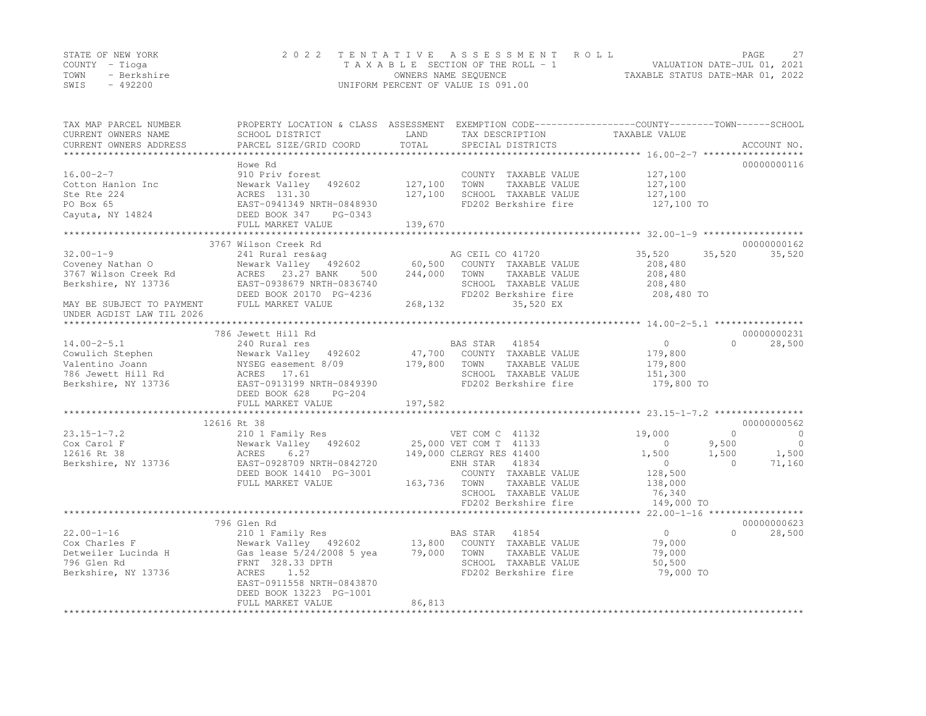|      | STATE OF NEW YORK | 2022 TENTATIVE ASSESSMENT ROLL     |                                  | PAGE | 27 |
|------|-------------------|------------------------------------|----------------------------------|------|----|
|      | COUNTY – Tioga    | TAXABLE SECTION OF THE ROLL - 1    | VALUATION DATE-JUL 01, 2021      |      |    |
| TOWN | - Berkshire       | OWNERS NAME SEQUENCE               | TAXABLE STATUS DATE-MAR 01, 2022 |      |    |
| SWIS | $-492200$         | UNIFORM PERCENT OF VALUE IS 091.00 |                                  |      |    |

| TAX MAP PARCEL NUMBER<br>CURRENT OWNERS NAME<br>CURRENT OWNERS ADDRESS                                                                       | PROPERTY LOCATION & CLASS ASSESSMENT<br>SCHOOL DISTRICT<br>PARCEL SIZE/GRID COORD                                                                                                                      | LAND<br>TOTAL                | EXEMPTION CODE-----------------COUNTY-------TOWN------SCHOOL<br>TAX DESCRIPTION<br>SPECIAL DISTRICTS                                                                                        | TAXABLE VALUE                                                                                         | ACCOUNT NO.                                                                      |
|----------------------------------------------------------------------------------------------------------------------------------------------|--------------------------------------------------------------------------------------------------------------------------------------------------------------------------------------------------------|------------------------------|---------------------------------------------------------------------------------------------------------------------------------------------------------------------------------------------|-------------------------------------------------------------------------------------------------------|----------------------------------------------------------------------------------|
|                                                                                                                                              |                                                                                                                                                                                                        |                              |                                                                                                                                                                                             |                                                                                                       |                                                                                  |
| $16.00 - 2 - 7$<br>Cotton Hanlon Inc<br>Ste Rte 224<br>PO Box 65<br>Cayuta, NY 14824                                                         | Howe Rd<br>910 Priv forest<br>Newark Valley 492602<br>ACRES 131.30<br>EAST-0941349 NRTH-0848930<br>DEED BOOK 347<br>PG-0343                                                                            | 127,100<br>127,100           | COUNTY TAXABLE VALUE<br>TOWN<br>TAXABLE VALUE<br>SCHOOL TAXABLE VALUE<br>FD202 Berkshire fire                                                                                               | 127,100<br>127,100<br>127,100<br>127,100 TO                                                           | 00000000116                                                                      |
|                                                                                                                                              | FULL MARKET VALUE                                                                                                                                                                                      | 139,670                      |                                                                                                                                                                                             |                                                                                                       |                                                                                  |
|                                                                                                                                              |                                                                                                                                                                                                        |                              |                                                                                                                                                                                             |                                                                                                       |                                                                                  |
|                                                                                                                                              | 3767 Wilson Creek Rd                                                                                                                                                                                   |                              |                                                                                                                                                                                             |                                                                                                       | 00000000162                                                                      |
| $32.00 - 1 - 9$<br>Coveney Nathan O<br>3767 Wilson Creek Rd<br>Berkshire, NY 13736<br>MAY BE SUBJECT TO PAYMENT<br>UNDER AGDIST LAW TIL 2026 | 241 Rural res&aq<br>Newark Valley 492602<br>23.27 BANK<br>ACRES<br>500<br>EAST-0938679 NRTH-0836740<br>DEED BOOK 20170 PG-4236<br>FULL MARKET VALUE                                                    | 60,500<br>244,000<br>268,132 | AG CEIL CO 41720<br>COUNTY TAXABLE VALUE<br>TOWN<br>TAXABLE VALUE<br>SCHOOL TAXABLE VALUE<br>FD202 Berkshire fire<br>35,520 EX                                                              | 35,520<br>35,520<br>208,480<br>208,480<br>208,480<br>208,480 TO                                       | 35,520                                                                           |
|                                                                                                                                              |                                                                                                                                                                                                        |                              |                                                                                                                                                                                             |                                                                                                       |                                                                                  |
| $14.00 - 2 - 5.1$<br>Cowulich Stephen<br>Valentino Joann<br>786 Jewett Hill Rd<br>Berkshire, NY 13736                                        | 786 Jewett Hill Rd<br>240 Rural res<br>Newark Valley<br>492602<br>NYSEG easement 8/09<br>ACRES 17.61<br>EAST-0913199 NRTH-0849390<br>DEED BOOK 628<br>$PG-204$                                         | 47,700<br>179,800            | BAS STAR<br>41854<br>COUNTY TAXABLE VALUE<br>TOWN<br>TAXABLE VALUE<br>SCHOOL TAXABLE VALUE<br>FD202 Berkshire fire                                                                          | $\circ$<br>179,800<br>179,800<br>151,300<br>179,800 TO                                                | 00000000231<br>$\Omega$<br>28,500                                                |
|                                                                                                                                              | FULL MARKET VALUE                                                                                                                                                                                      | 197,582                      |                                                                                                                                                                                             |                                                                                                       |                                                                                  |
| $23.15 - 1 - 7.2$<br>Cox Carol F<br>12616 Rt 38<br>Berkshire, NY 13736                                                                       | 12616 Rt 38<br>210 1 Family Res<br>Newark Valley 492602<br>ACRES<br>6.27<br>EAST-0928709 NRTH-0842720<br>DEED BOOK 14410 PG-3001<br>FULL MARKET VALUE                                                  | 163,736                      | VET COM C 41132<br>25,000 VET COM T 41133<br>149,000 CLERGY RES 41400<br>ENH STAR<br>41834<br>COUNTY TAXABLE VALUE<br>TAXABLE VALUE<br>TOWN<br>SCHOOL TAXABLE VALUE<br>FD202 Berkshire fire | 19,000<br>$\circ$<br>9,500<br>1,500<br>1,500<br>$\circ$<br>128,500<br>138,000<br>76,340<br>149,000 TO | 00000000562<br>$\mathbf{0}$<br>$\circ$<br>$\circ$<br>1,500<br>$\Omega$<br>71,160 |
|                                                                                                                                              | ********************************                                                                                                                                                                       |                              | ****************************                                                                                                                                                                | 22.00-1-16 *******************                                                                        |                                                                                  |
| $22.00 - 1 - 16$<br>Cox Charles F<br>Detweiler Lucinda H<br>796 Glen Rd<br>Berkshire, NY 13736                                               | 796 Glen Rd<br>210 1 Family Res<br>Newark Valley 492602<br>Gas lease 5/24/2008 5 yea<br>FRNT 328.33 DPTH<br>1.52<br>ACRES<br>EAST-0911558 NRTH-0843870<br>DEED BOOK 13223 PG-1001<br>FULL MARKET VALUE | 13,800<br>79,000<br>86,813   | BAS STAR<br>41854<br>COUNTY TAXABLE VALUE<br>TOWN<br>TAXABLE VALUE<br>SCHOOL TAXABLE VALUE<br>FD202 Berkshire fire                                                                          | $\circ$<br>79,000<br>79,000<br>50,500<br>79,000 TO                                                    | 00000000623<br>$\Omega$<br>28,500                                                |
|                                                                                                                                              |                                                                                                                                                                                                        |                              |                                                                                                                                                                                             |                                                                                                       |                                                                                  |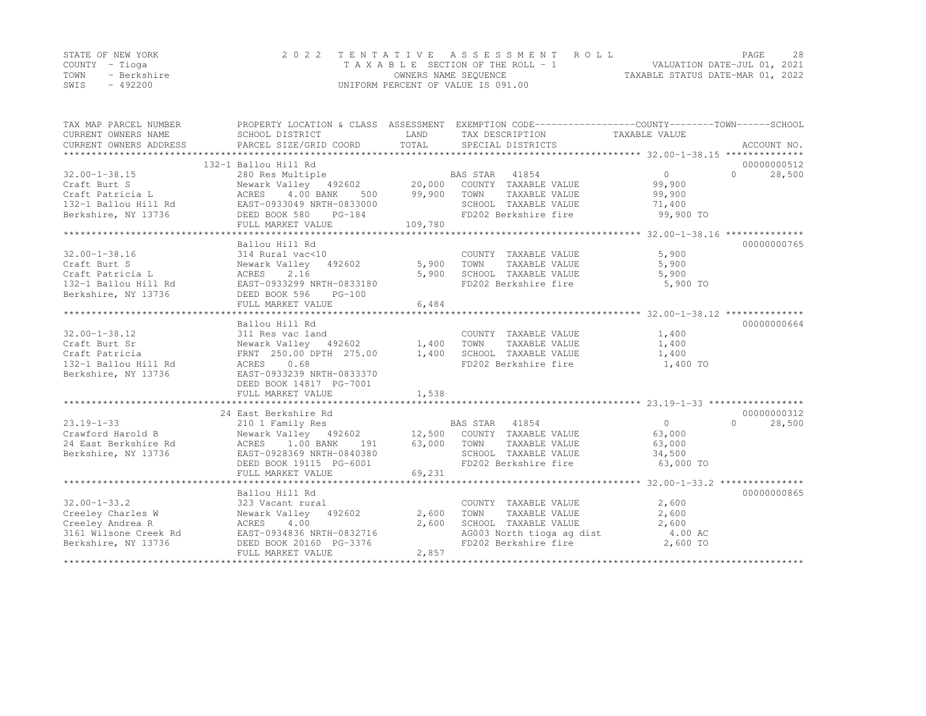|      | STATE OF NEW YORK | 2022 TENTATIVE ASSESSMENT ROLL     |                                  | PAGE | 28 |
|------|-------------------|------------------------------------|----------------------------------|------|----|
|      | COUNTY – Tioga    | TAXABLE SECTION OF THE ROLL - 1    | VALUATION DATE-JUL 01, 2021      |      |    |
| TOWN | - Berkshire       | OWNERS NAME SEQUENCE               | TAXABLE STATUS DATE-MAR 01, 2022 |      |    |
| SWIS | $-492200$         | UNIFORM PERCENT OF VALUE IS 091.00 |                                  |      |    |

| TAX MAP PARCEL NUMBER<br>CURRENT OWNERS NAME                                                                                                                                                                                                           | PROPERTY LOCATION & CLASS ASSESSMENT EXEMPTION CODE----------------COUNTY-------TOWN-----SCHOOL<br>SCHOOL DISTRICT                                                                     | LAND        | TAX DESCRIPTION TAXABLE VALUE                                                                    |                |                     |
|--------------------------------------------------------------------------------------------------------------------------------------------------------------------------------------------------------------------------------------------------------|----------------------------------------------------------------------------------------------------------------------------------------------------------------------------------------|-------------|--------------------------------------------------------------------------------------------------|----------------|---------------------|
|                                                                                                                                                                                                                                                        |                                                                                                                                                                                        |             |                                                                                                  |                |                     |
|                                                                                                                                                                                                                                                        | 132-1 Ballou Hill Rd                                                                                                                                                                   |             |                                                                                                  |                | 00000000512         |
| $32.00 - 1 - 38.15$                                                                                                                                                                                                                                    | BALLOU NILL NU<br>280 Res Multiple (20,000 COUNTY TAXABLE VALUE (99,900 Newark Valley 492602 )<br>20,000 TOUNTY TAXABLE VALUE (99,900 )                                                |             |                                                                                                  |                | 28,500<br>$\Omega$  |
| Craft Burt S<br>Craft Patricia L<br>132-1 Ballou Hill Rd<br>Berkshire, NY 13736<br>Craft Patricia L<br>2008 Berkshire, NY 13736<br>2008 Berkshire, NY 13736<br>2008 Berkshire, NY 13736<br>2008 Berkshire, NY 13736<br>2008 Berkshire, NY 13736        |                                                                                                                                                                                        |             |                                                                                                  |                |                     |
|                                                                                                                                                                                                                                                        |                                                                                                                                                                                        | 500 99,900  | TOWN<br>TAXABLE VALUE                                                                            | 99,900         |                     |
|                                                                                                                                                                                                                                                        |                                                                                                                                                                                        |             | SCHOOL TAXABLE VALUE                                                                             | 71,400         |                     |
|                                                                                                                                                                                                                                                        |                                                                                                                                                                                        |             | FD202 Berkshire fire 99,900 TO                                                                   |                |                     |
|                                                                                                                                                                                                                                                        | FULL MARKET VALUE                                                                                                                                                                      | 109,780     |                                                                                                  |                |                     |
|                                                                                                                                                                                                                                                        |                                                                                                                                                                                        |             |                                                                                                  |                |                     |
| Craft Burt S<br>Craft Burt S<br>Craft Patricia L<br>132-1 Ballou Hill Rd<br>Berkshire, NY 13736<br>132-1 Ballou Hill Rd<br>Berkshire, NY 13736<br>EED BOOK 596<br>PG-100<br>THILL MADYPE 100<br>THILL MADYPE 100<br>THILL MADYPE 100<br>THILL MADYPE 1 | Ballou Hill Rd                                                                                                                                                                         |             |                                                                                                  |                | 00000000765         |
|                                                                                                                                                                                                                                                        |                                                                                                                                                                                        |             | COUNTY TAXABLE VALUE<br>TOWN TAXABLE VALUE                                                       | 5,900          |                     |
|                                                                                                                                                                                                                                                        |                                                                                                                                                                                        |             | 5,900 TOWN                                                                                       | 5,900          |                     |
|                                                                                                                                                                                                                                                        |                                                                                                                                                                                        | 5,900       | SCHOOL TAXABLE VALUE 5,900                                                                       |                |                     |
|                                                                                                                                                                                                                                                        |                                                                                                                                                                                        |             | FD202 Berkshire fire                                                                             | 5,900 TO       |                     |
|                                                                                                                                                                                                                                                        |                                                                                                                                                                                        |             |                                                                                                  |                |                     |
|                                                                                                                                                                                                                                                        |                                                                                                                                                                                        |             |                                                                                                  |                |                     |
|                                                                                                                                                                                                                                                        |                                                                                                                                                                                        |             |                                                                                                  |                |                     |
|                                                                                                                                                                                                                                                        | Ballou Hill Rd<br>311 Res vac land<br>Newark Valley 492602 1,400 TOWN TAXABLE VALUE 1,400<br>FRNT 250.00 DPTH 275.00 1,400 SCHOOL TAXABLE VALUE 1,400<br>FD202 Berkshire fire 1,400 TO |             |                                                                                                  |                | 00000000664         |
| $32.00 - 1 - 38.12$                                                                                                                                                                                                                                    |                                                                                                                                                                                        |             |                                                                                                  |                |                     |
| Craft Burt Sr                                                                                                                                                                                                                                          |                                                                                                                                                                                        |             |                                                                                                  |                |                     |
| Craft Patricia                                                                                                                                                                                                                                         |                                                                                                                                                                                        |             |                                                                                                  |                |                     |
| 132-1 Ballou Hill Rd ACRES                                                                                                                                                                                                                             |                                                                                                                                                                                        |             |                                                                                                  |                |                     |
| Berkshire, NY 13736                                                                                                                                                                                                                                    |                                                                                                                                                                                        |             |                                                                                                  |                |                     |
|                                                                                                                                                                                                                                                        | DEED BOOK 14817 PG-7001                                                                                                                                                                |             |                                                                                                  |                |                     |
|                                                                                                                                                                                                                                                        | FULL MARKET VALUE                                                                                                                                                                      | 1,538       |                                                                                                  |                |                     |
|                                                                                                                                                                                                                                                        |                                                                                                                                                                                        |             |                                                                                                  |                |                     |
|                                                                                                                                                                                                                                                        | 24 East Berkshire Rd                                                                                                                                                                   |             |                                                                                                  |                | 00000000312         |
| $23.19 - 1 - 33$                                                                                                                                                                                                                                       | 210 1 Family Res                                                                                                                                                                       |             | BAS STAR 41854                                                                                   | $\overline{0}$ | $\bigcap$<br>28,500 |
| Crawford Harold B                  Newark Valley    492<br>24 East Berkshire Rd                ACRES    1.00 BANK                                                                                                                                      | Newark Valley $492602$ $12,500$ COUNTY TAXABLE VALUE                                                                                                                                   |             |                                                                                                  | 63,000         |                     |
|                                                                                                                                                                                                                                                        | 191                                                                                                                                                                                    | 63,000 TOWN | TAXABLE VALUE                                                                                    | 63,000         |                     |
| Berkshire, NY 13736                                                                                                                                                                                                                                    | EAST-0928369 NRTH-0840380                                                                                                                                                              |             | SCHOOL TAXABLE VALUE 34,500                                                                      |                |                     |
|                                                                                                                                                                                                                                                        | DEED BOOK 19115 PG-6001                                                                                                                                                                |             | FD202 Berkshire fire                                                                             | 63,000 TO      |                     |
|                                                                                                                                                                                                                                                        | FULL MARKET VALUE                                                                                                                                                                      | 69,231      |                                                                                                  |                |                     |
|                                                                                                                                                                                                                                                        |                                                                                                                                                                                        |             |                                                                                                  |                |                     |
|                                                                                                                                                                                                                                                        | Ballou Hill Rd                                                                                                                                                                         |             |                                                                                                  |                | 00000000865         |
| $32.00 - 1 - 33.2$                                                                                                                                                                                                                                     | 323 Vacant rural                                                                                                                                                                       |             | COUNTY TAXABLE VALUE                                                                             | 2,600          |                     |
| Creeley Charles W Mewark Valley 492602                                                                                                                                                                                                                 |                                                                                                                                                                                        | 2,600       | TAXABLE VALUE<br>TOWN                                                                            | 2,600          |                     |
| Creeley Andrea R                                                                                                                                                                                                                                       | ACRES 4.00                                                                                                                                                                             | 2,600       | SCHOOL TAXABLE VALUE 2,600<br>AG003 North tioga ag dist 4.00 AC<br>FD202 Berkshire fire 2,600 TO |                |                     |
|                                                                                                                                                                                                                                                        |                                                                                                                                                                                        |             |                                                                                                  |                |                     |
|                                                                                                                                                                                                                                                        |                                                                                                                                                                                        |             |                                                                                                  |                |                     |
|                                                                                                                                                                                                                                                        | FULL MARKET VALUE                                                                                                                                                                      | 2,857       |                                                                                                  |                |                     |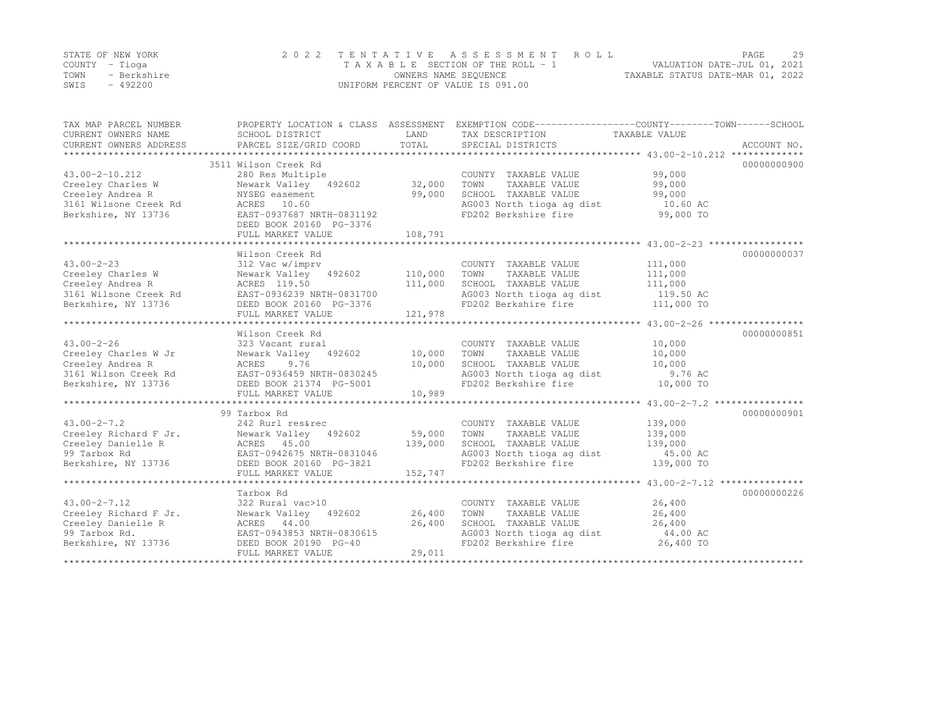|      | STATE OF NEW YORK | 2022 TENTATIVE ASSESSMENT ROLL     |                                  | PAGE | 29 |
|------|-------------------|------------------------------------|----------------------------------|------|----|
|      | COUNTY – Tioga    | TAXABLE SECTION OF THE ROLL - 1    | VALUATION DATE-JUL 01, 2021      |      |    |
| TOWN | - Berkshire       | OWNERS NAME SEQUENCE               | TAXABLE STATUS DATE-MAR 01, 2022 |      |    |
| SWIS | $-492200$         | UNIFORM PERCENT OF VALUE IS 091.00 |                                  |      |    |

| TAX MAP PARCEL NUMBER<br>CURRENT OWNERS NAME<br>CURRENT OWNERS ADDRESS                                    | PROPERTY LOCATION & CLASS ASSESSMENT<br>SCHOOL DISTRICT<br>PARCEL SIZE/GRID COORD                                                               | LAND<br>TOTAL                | EXEMPTION CODE-----------------COUNTY-------TOWN------SCHOOL<br>TAX DESCRIPTION<br>SPECIAL DISTRICTS                                | TAXABLE VALUE                                            | ACCOUNT NO. |
|-----------------------------------------------------------------------------------------------------------|-------------------------------------------------------------------------------------------------------------------------------------------------|------------------------------|-------------------------------------------------------------------------------------------------------------------------------------|----------------------------------------------------------|-------------|
| $43.00 - 2 - 10.212$                                                                                      | 3511 Wilson Creek Rd<br>280 Res Multiple                                                                                                        |                              | COUNTY TAXABLE VALUE                                                                                                                | 99,000                                                   | 00000000900 |
| Creeley Charles W<br>Creeley Andrea R<br>3161 Wilsone Creek Rd<br>Berkshire, NY 13736                     | Newark Valley 492602<br>NYSEG easement<br>ACRES 10.60<br>EAST-0937687 NRTH-0831192                                                              | 32,000<br>99,000             | TOWN<br>TAXABLE VALUE<br>SCHOOL TAXABLE VALUE<br>AG003 North tioga ag dist<br>FD202 Berkshire fire                                  | 99,000<br>99,000<br>10.60 AC<br>99,000 TO                |             |
|                                                                                                           | DEED BOOK 20160 PG-3376<br>FULL MARKET VALUE                                                                                                    | 108,791                      |                                                                                                                                     |                                                          |             |
|                                                                                                           |                                                                                                                                                 |                              |                                                                                                                                     |                                                          |             |
| $43.00 - 2 - 23$<br>Creeley Charles W<br>Creeley Andrea R<br>3161 Wilsone Creek Rd<br>Berkshire, NY 13736 | Wilson Creek Rd<br>312 Vac w/imprv<br>Newark Valley 492602<br>ACRES 119.50<br>EAST-0936239 NRTH-0831700<br>DEED BOOK 20160 PG-3376              | 110,000<br>111,000           | COUNTY TAXABLE VALUE<br>TOWN<br>TAXABLE VALUE<br>SCHOOL TAXABLE VALUE<br>AG003 North tioga ag dist<br>FD202 Berkshire fire          | 111,000<br>111,000<br>111,000<br>119.50 AC<br>111,000 TO | 00000000037 |
|                                                                                                           | FULL MARKET VALUE                                                                                                                               | 121,978                      |                                                                                                                                     |                                                          |             |
|                                                                                                           |                                                                                                                                                 |                              |                                                                                                                                     |                                                          |             |
| $43.00 - 2 - 26$                                                                                          | Wilson Creek Rd<br>323 Vacant rural                                                                                                             |                              | COUNTY TAXABLE VALUE                                                                                                                | 10,000                                                   | 00000000851 |
| Creeley Charles W Jr<br>Creeley Andrea R<br>3161 Wilson Creek Rd                                          | Newark Valley 492602<br>ACRES<br>9.76<br>EAST-0936459 NRTH-0830245                                                                              | 10,000<br>10,000             | TOWN<br>TAXABLE VALUE<br>SCHOOL TAXABLE VALUE<br>AG003 North tioga ag dist                                                          | 10,000<br>10,000<br>9.76 AC                              |             |
| Berkshire, NY 13736                                                                                       | DEED BOOK 21374 PG-5001<br>FULL MARKET VALUE                                                                                                    | 10,989                       | FD202 Berkshire fire                                                                                                                | 10,000 TO                                                |             |
|                                                                                                           |                                                                                                                                                 |                              |                                                                                                                                     |                                                          |             |
|                                                                                                           | 99 Tarbox Rd                                                                                                                                    |                              |                                                                                                                                     |                                                          | 00000000901 |
| $43.00 - 2 - 7.2$<br>Creeley Richard F Jr.<br>Creeley Danielle R<br>99 Tarbox Rd<br>Berkshire, NY 13736   | 242 Rurl res&rec<br>Newark Valley 492602<br>ACRES 45.00<br>EAST-0942675 NRTH-0831046<br>DEED BOOK 20160 PG-3821<br>FULL MARKET VALUE            | 59,000<br>139,000<br>152,747 | COUNTY TAXABLE VALUE<br>TOWN<br>TAXABLE VALUE<br>SCHOOL TAXABLE VALUE<br>AG003 North tioga ag dist 45.00 AC<br>FD202 Berkshire fire | 139,000<br>139,000<br>139,000<br>139,000 TO              |             |
|                                                                                                           |                                                                                                                                                 |                              |                                                                                                                                     |                                                          |             |
| $43.00 - 2 - 7.12$<br>Creeley Richard F Jr.<br>Creeley Danielle R<br>99 Tarbox Rd.<br>Berkshire, NY 13736 | Tarbox Rd<br>322 Rural vac>10<br>Newark Valley 492602<br>ACRES 44.00<br>EAST-0943853 NRTH-0830615<br>DEED BOOK 20190 PG-40<br>FULL MARKET VALUE | 26,400<br>26,400<br>29,011   | COUNTY TAXABLE VALUE<br>TOWN<br>TAXABLE VALUE<br>SCHOOL TAXABLE VALUE<br>AG003 North tioga ag dist<br>FD202 Berkshire fire          | 26,400<br>26,400<br>26,400<br>44.00 AC<br>26,400 TO      | 00000000226 |
|                                                                                                           |                                                                                                                                                 |                              |                                                                                                                                     |                                                          |             |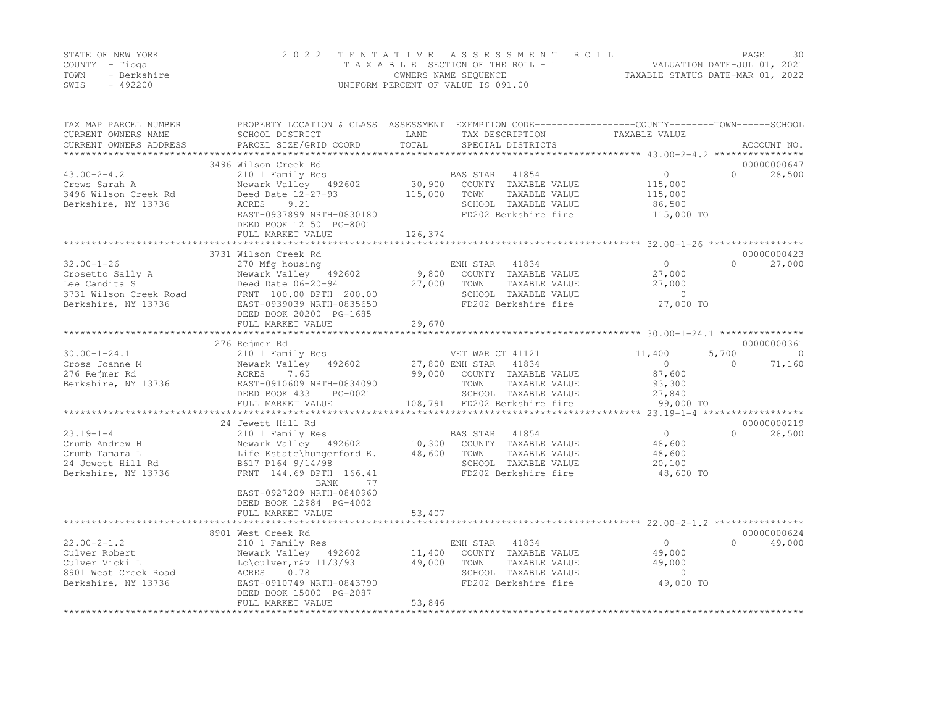|      | STATE OF NEW YORK | 2022 TENTATIVE ASSESSMENT ROLL     | PAGE.                            | 30 |
|------|-------------------|------------------------------------|----------------------------------|----|
|      | COUNTY – Tioga    | TAXABLE SECTION OF THE ROLL - 1    | VALUATION DATE-JUL 01, 2021      |    |
| TOWN | - Berkshire       | OWNERS NAME SEOUENCE               | TAXABLE STATUS DATE-MAR 01, 2022 |    |
| SWIS | $-492200$         | UNIFORM PERCENT OF VALUE IS 091.00 |                                  |    |

| TAX MAP PARCEL NUMBER<br>CURRENT OWNERS NAME<br>CURRENT OWNERS ADDRESS                                 | PROPERTY LOCATION & CLASS ASSESSMENT EXEMPTION CODE----------------COUNTY-------TOWN------SCHOOL<br>SCHOOL DISTRICT<br>PARCEL SIZE/GRID COORD                                               | LAND<br>TOTAL              | TAX DESCRIPTION<br>SPECIAL DISTRICTS                                                                                                               | TAXABLE VALUE                                                                     | ACCOUNT NO.              |
|--------------------------------------------------------------------------------------------------------|---------------------------------------------------------------------------------------------------------------------------------------------------------------------------------------------|----------------------------|----------------------------------------------------------------------------------------------------------------------------------------------------|-----------------------------------------------------------------------------------|--------------------------|
|                                                                                                        |                                                                                                                                                                                             |                            |                                                                                                                                                    |                                                                                   |                          |
| $43.00 - 2 - 4.2$<br>Crews Sarah A<br>3496 Wilson Creek Rd<br>Berkshire, NY 13736                      | 3496 Wilson Creek Rd<br>210 1 Family Res<br>Newark Valley 492602<br>Deed Date 12-27-93<br>9.21<br>ACRES<br>EAST-0937899 NRTH-0830180<br>DEED BOOK 12150 PG-8001<br>FULL MARKET VALUE        | 115,000<br>126,374         | BAS STAR 41854<br>30,900 COUNTY TAXABLE VALUE<br>TOWN<br>TAXABLE VALUE<br>SCHOOL TAXABLE VALUE<br>FD202 Berkshire fire                             | $\overline{0}$<br>$\Omega$<br>115,000<br>115,000<br>86,500<br>115,000 TO          | 00000000647<br>28,500    |
|                                                                                                        |                                                                                                                                                                                             |                            |                                                                                                                                                    |                                                                                   |                          |
| $32.00 - 1 - 26$<br>Crosetto Sally A<br>Lee Candita S<br>3731 Wilson Creek Road<br>Berkshire, NY 13736 | 3731 Wilson Creek Rd<br>270 Mfg housing<br>Newark Valley 492602<br>Deed Date 06-20-94<br>FRNT 100.00 DPTH 200.00<br>EAST-0939039 NRTH-0835650<br>DEED BOOK 20200 PG-1685                    | 9,800<br>27,000            | ENH STAR 41834<br>COUNTY TAXABLE VALUE<br>TAXABLE VALUE<br>TOWN<br>SCHOOL TAXABLE VALUE<br>FD202 Berkshire fire                                    | $\circ$<br>$\Omega$<br>27,000<br>27,000<br>$\circ$<br>27,000 TO                   | 00000000423<br>27,000    |
|                                                                                                        | FULL MARKET VALUE                                                                                                                                                                           | 29,670                     |                                                                                                                                                    |                                                                                   |                          |
|                                                                                                        | 276 Rejmer Rd                                                                                                                                                                               |                            |                                                                                                                                                    |                                                                                   | 00000000361              |
| $30.00 - 1 - 24.1$<br>Cross Joanne M<br>276 Rejmer Rd<br>Berkshire, NY 13736                           | 210 1 Family Res<br>Newark Valley 492602<br>ACRES<br>7.65<br>EAST-0910609 NRTH-0834090<br>DEED BOOK 433<br>PG-0021<br>FULL MARKET VALUE                                                     | 99,000                     | VET WAR CT 41121<br>27,800 ENH STAR 41834<br>COUNTY TAXABLE VALUE<br>TOWN<br>TAXABLE VALUE<br>SCHOOL TAXABLE VALUE<br>108,791 FD202 Berkshire fire | 5,700<br>11,400<br>$\circ$<br>$\Omega$<br>87,600<br>93,300<br>27,840<br>99,000 TO | $\overline{0}$<br>71,160 |
|                                                                                                        | 24 Jewett Hill Rd                                                                                                                                                                           |                            |                                                                                                                                                    | ************************* 23.19-1-4 *******************                           | 00000000219              |
| $23.19 - 1 - 4$<br>Crumb Andrew H<br>Crumb Tamara L<br>24 Jewett Hill Rd<br>Berkshire, NY 13736        | 210 1 Family Res<br>Newark Valley 492602<br>Life Estate\hungerford E.<br>B617 P164 9/14/98<br>FRNT 144.69 DPTH 166.41<br>BANK<br>77<br>EAST-0927209 NRTH-0840960<br>DEED BOOK 12984 PG-4002 | 48,600                     | BAS STAR<br>41854<br>10,300 COUNTY TAXABLE VALUE<br>TOWN<br>TAXABLE VALUE<br>SCHOOL TAXABLE VALUE<br>FD202 Berkshire fire                          | $\circ$<br>$\cap$<br>48,600<br>48,600<br>20,100<br>48,600 TO                      | 28,500                   |
|                                                                                                        | FULL MARKET VALUE                                                                                                                                                                           | 53,407                     |                                                                                                                                                    |                                                                                   |                          |
|                                                                                                        | 8901 West Creek Rd                                                                                                                                                                          |                            |                                                                                                                                                    |                                                                                   | 00000000624              |
| $22.00 - 2 - 1.2$<br>Culver Robert<br>Culver Vicki L<br>8901 West Creek Road<br>Berkshire, NY 13736    | 210 1 Family Res<br>Newark Valley 492602<br>$Lc\culver, r$ $V$ $11/3/93$<br>0.78<br>ACRES<br>EAST-0910749 NRTH-0843790<br>DEED BOOK 15000 PG-2087<br>FULL MARKET VALUE                      | 11,400<br>49,000<br>53,846 | ENH STAR 41834<br>COUNTY TAXABLE VALUE<br>TOWN<br>TAXABLE VALUE<br>SCHOOL TAXABLE VALUE<br>FD202 Berkshire fire                                    | $\circ$<br>$\Omega$<br>49,000<br>49,000<br>$\Omega$<br>49,000 TO                  | 49,000                   |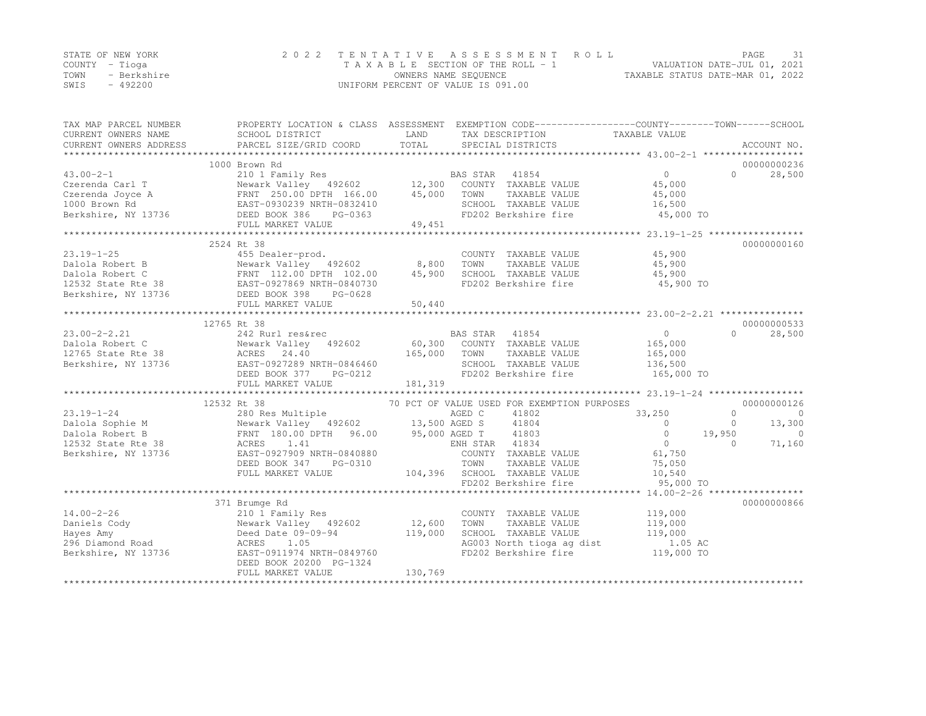|      | STATE OF NEW YORK | 2022 TENTATIVE ASSESSMENT ROLL     |                                  | PAGE |  |
|------|-------------------|------------------------------------|----------------------------------|------|--|
|      | COUNTY – Tioga    | TAXABLE SECTION OF THE ROLL - 1    | VALUATION DATE-JUL 01, 2021      |      |  |
| TOWN | - Berkshire       | OWNERS NAME SEQUENCE               | TAXABLE STATUS DATE-MAR 01, 2022 |      |  |
| SWIS | $-492200$         | UNIFORM PERCENT OF VALUE IS 091.00 |                                  |      |  |

| TAX MAP PARCEL NUMBER<br>CURRENT OWNERS NAME | PROPERTY LOCATION & CLASS ASSESSMENT EXEMPTION CODE----------------COUNTY-------TOWN------SCHOOL<br>SCHOOL DISTRICT | LAND          | TAX DESCRIPTION                                      | TAXABLE VALUE       |                     |
|----------------------------------------------|---------------------------------------------------------------------------------------------------------------------|---------------|------------------------------------------------------|---------------------|---------------------|
| CURRENT OWNERS ADDRESS                       | PARCEL SIZE/GRID COORD                                                                                              | TOTAL         | SPECIAL DISTRICTS                                    |                     | ACCOUNT NO.         |
|                                              | 1000 Brown Rd                                                                                                       |               |                                                      |                     | 00000000236         |
| $43.00 - 2 - 1$                              |                                                                                                                     |               |                                                      | $0 \qquad \qquad$   | $\Omega$<br>28,500  |
| Czerenda Carl T                              | 210 1 Family Res<br>Newark Valley 492602 12,300 COUNTY TAXABLE VALUE                                                |               |                                                      | 45,000              |                     |
|                                              |                                                                                                                     |               | TOWN<br>TAXABLE VALUE                                | 45,000              |                     |
|                                              |                                                                                                                     |               | SCHOOL TAXABLE VALUE                                 | 16,500              |                     |
|                                              | FULL MARKET VALUE                                                                                                   | 49,451        | FD202 Berkshire fire                                 | 45,000 TO           |                     |
|                                              |                                                                                                                     |               |                                                      |                     |                     |
|                                              | 2524 Rt 38                                                                                                          |               |                                                      |                     | 00000000160         |
| $23.19 - 1 - 25$                             | 455 Dealer-prod.                                                                                                    |               | COUNTY TAXABLE VALUE                                 | 45,900              |                     |
|                                              | Newark Valley 492602 8,800                                                                                          |               | TOWN<br>TAXABLE VALUE                                | 45,900              |                     |
|                                              |                                                                                                                     | 45,900        | SCHOOL TAXABLE VALUE                                 | 45,900              |                     |
|                                              |                                                                                                                     |               | FD202 Berkshire fire                                 | 45,900 TO           |                     |
|                                              | FULL MARKET VALUE                                                                                                   | 50,440        |                                                      |                     |                     |
|                                              |                                                                                                                     |               |                                                      |                     |                     |
|                                              | 12765 Rt 38                                                                                                         |               |                                                      |                     | 00000000533         |
| $23.00 - 2 - 2.21$                           | 242 Rurl res&rec                                                                                                    |               | BAS STAR 41854                                       | $\overline{0}$      | $\Omega$<br>28,500  |
| Dalola Robert C                              |                                                                                                                     |               | 60,300 COUNTY TAXABLE VALUE                          | 165,000             |                     |
| 12765 State Rte 38                           |                                                                                                                     | 165,000       | TOWN<br>TAXABLE VALUE                                | 165,000             |                     |
| Berkshire, NY 13736                          | EAST-0927289 NRTH-0846460                                                                                           |               | SCHOOL TAXABLE VALUE                                 | 136,500             |                     |
|                                              | DEED BOOK 377<br>PG-0212                                                                                            |               | FD202 Berkshire fire                                 | 165,000 TO          |                     |
|                                              | FULL MARKET VALUE                                                                                                   | 181,319       |                                                      |                     |                     |
|                                              |                                                                                                                     |               |                                                      |                     |                     |
|                                              | 12532 Rt 38                                                                                                         |               | 70 PCT OF VALUE USED FOR EXEMPTION PURPOSES          |                     | 00000000126         |
| $23.19 - 1 - 24$                             | 280 Res Multiple                                                                                                    |               | AGED C<br>41802                                      | 33,250              | $\Omega$<br>$\circ$ |
| Dalola Sophie M                              | Newark Valley 492602 13,500 AGED S<br>Newark Valley 492602<br>FRNT 180.00 DPTH 96.00                                |               | 41804                                                | $\Omega$            | $\circ$<br>13,300   |
| Dalola Robert B                              |                                                                                                                     | 95,000 AGED T | 41803                                                | $\circ$             | 19,950<br>$\Omega$  |
| 12532 State Rte 38                           | ACRES 1.41                                                                                                          |               | ENH STAR 41834                                       | $\overline{0}$      | 71,160<br>$\Omega$  |
| Berkshire, NY 13736                          | EAST-0927909 NRTH-0840880                                                                                           |               | COUNTY TAXABLE VALUE                                 | 61,750              |                     |
|                                              | DEED BOOK 347<br>PG-0310                                                                                            |               | TAXABLE VALUE<br>TOWN                                | 75,050              |                     |
|                                              | FULL MARKET VALUE                                                                                                   |               | 104,396 SCHOOL TAXABLE VALUE<br>FD202 Berkshire fire | 10,540<br>95,000 TO |                     |
|                                              |                                                                                                                     |               |                                                      |                     |                     |
|                                              | 371 Brumge Rd                                                                                                       |               |                                                      |                     | 00000000866         |
| $14.00 - 2 - 26$                             | 210 1 Family Res                                                                                                    |               | COUNTY TAXABLE VALUE                                 | 119,000             |                     |
| Daniels Cody                                 | Newark Valley 492602                                                                                                | 12,600        | TAXABLE VALUE<br>TOWN                                | 119,000             |                     |
| Hayes Amy                                    | Deed Date 09-09-94                                                                                                  | 119,000       | SCHOOL TAXABLE VALUE                                 | 119,000             |                     |
| 296 Diamond Road                             | ACRES<br>1.05                                                                                                       |               | AG003 North tioga ag dist                            | 1.05 AC             |                     |
| Berkshire, NY 13736                          | EAST-0911974 NRTH-0849760                                                                                           |               | FD202 Berkshire fire                                 | 119,000 TO          |                     |
|                                              | DEED BOOK 20200 PG-1324                                                                                             |               |                                                      |                     |                     |
|                                              | FULL MARKET VALUE                                                                                                   | 130,769       |                                                      |                     |                     |
|                                              |                                                                                                                     |               |                                                      |                     |                     |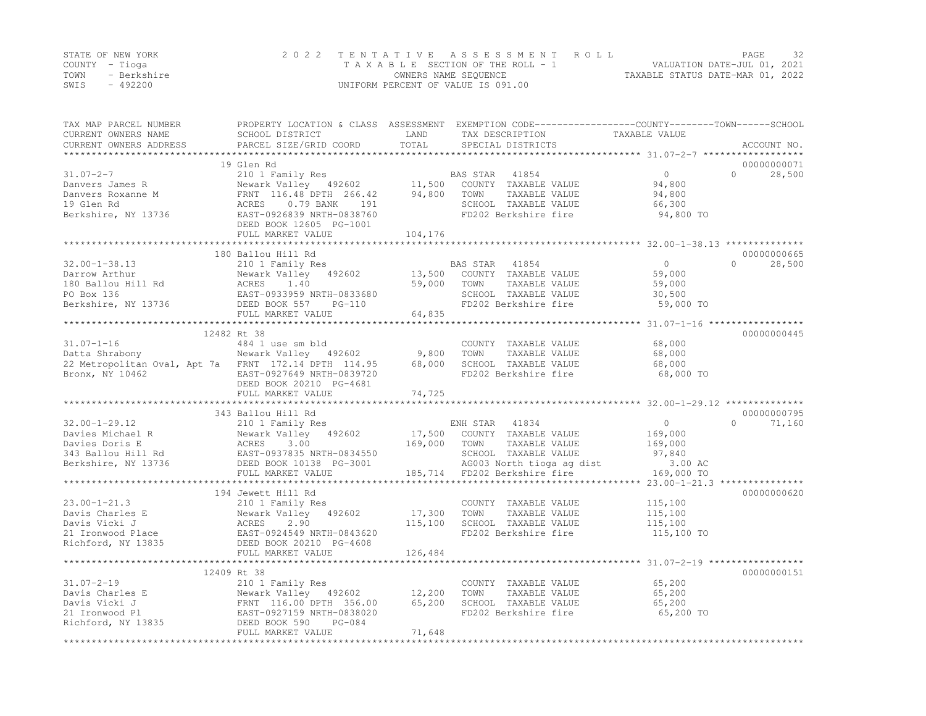|      | STATE OF NEW YORK | 2022 TENTATIVE ASSESSMENT ROLL                                 | PAGE | 32 |
|------|-------------------|----------------------------------------------------------------|------|----|
|      | COUNTY – Tioga    | VALUATION DATE-JUL 01, 2021<br>TAXABLE SECTION OF THE ROLL - 1 |      |    |
| TOWN | - Berkshire       | TAXABLE STATUS DATE-MAR 01, 2022<br>OWNERS NAME SEQUENCE       |      |    |
| SWIS | $-492200$         | UNIFORM PERCENT OF VALUE IS 091.00                             |      |    |

| TAX MAP PARCEL NUMBER<br>CURRENT OWNERS NAME<br>CURRENT OWNERS ADDRESS    | PROPERTY LOCATION & CLASS ASSESSMENT EXEMPTION CODE----------------COUNTY-------TOWN-----SCHOOL<br>SCHOOL DISTRICT<br>PARCEL SIZE/GRID COORD | LAND<br>TOTAL       | TAX DESCRIPTION<br>SPECIAL DISTRICTS                                  | TAXABLE VALUE                                                 | ACCOUNT NO.                       |
|---------------------------------------------------------------------------|----------------------------------------------------------------------------------------------------------------------------------------------|---------------------|-----------------------------------------------------------------------|---------------------------------------------------------------|-----------------------------------|
| $31.07 - 2 - 7$                                                           | 19 Glen Rd<br>210 1 Family Res<br>Newark Valley 492602                                                                                       | *********<br>11,500 | BAS STAR<br>41854<br>COUNTY TAXABLE VALUE                             | *********************** 31.07-2-7 ******<br>$\circ$<br>94,800 | 00000000071<br>$\Omega$<br>28,500 |
| Danvers James R<br>Danvers Roxanne M<br>19 Glen Rd<br>Berkshire, NY 13736 | FRNT 116.48 DPTH 266.42<br>ACRES<br>$0.79$ BANK<br>191<br>EAST-0926839 NRTH-0838760                                                          | 94,800              | TOWN<br>TAXABLE VALUE<br>SCHOOL TAXABLE VALUE<br>FD202 Berkshire fire | 94,800<br>66,300<br>94,800 TO                                 |                                   |
|                                                                           | DEED BOOK 12605 PG-1001<br>FULL MARKET VALUE                                                                                                 | 104,176             |                                                                       |                                                               |                                   |
|                                                                           |                                                                                                                                              |                     |                                                                       |                                                               | 00000000665                       |
| $32.00 - 1 - 38.13$                                                       | 180 Ballou Hill Rd<br>210 1 Family Res                                                                                                       |                     | BAS STAR<br>41854                                                     | $\Omega$                                                      | $\Omega$<br>28,500                |
| Darrow Arthur                                                             | 492602<br>Newark Valley                                                                                                                      | 13,500              | COUNTY TAXABLE VALUE                                                  | 59,000                                                        |                                   |
| 180 Ballou Hill Rd                                                        | 1.40<br>ACRES                                                                                                                                | 59,000              | TAXABLE VALUE<br>TOWN                                                 | 59,000                                                        |                                   |
| PO Box 136                                                                | EAST-0933959 NRTH-0833680                                                                                                                    |                     | SCHOOL TAXABLE VALUE                                                  | 30,500                                                        |                                   |
| Berkshire, NY 13736                                                       | DEED BOOK 557<br>$PG-110$                                                                                                                    |                     | FD202 Berkshire fire                                                  | 59,000 TO                                                     |                                   |
|                                                                           | FULL MARKET VALUE                                                                                                                            | 64,835              |                                                                       |                                                               |                                   |
|                                                                           |                                                                                                                                              |                     |                                                                       |                                                               |                                   |
| $31.07 - 1 - 16$                                                          | 12482 Rt 38<br>484 1 use sm bld                                                                                                              |                     | COUNTY TAXABLE VALUE                                                  | 68,000                                                        | 00000000445                       |
| Datta Shrabony                                                            | Newark Valley 492602                                                                                                                         | 9,800               | TOWN<br>TAXABLE VALUE                                                 | 68,000                                                        |                                   |
| 22 Metropolitan Oval, Apt 7a FRNT 172.14 DPTH 114.95                      |                                                                                                                                              | 68,000              | SCHOOL TAXABLE VALUE                                                  | 68,000                                                        |                                   |
| Bronx, NY 10462                                                           | EAST-0927649 NRTH-0839720                                                                                                                    |                     | FD202 Berkshire fire                                                  | 68,000 TO                                                     |                                   |
|                                                                           | DEED BOOK 20210 PG-4681                                                                                                                      |                     |                                                                       |                                                               |                                   |
|                                                                           | FULL MARKET VALUE                                                                                                                            | 74,725              |                                                                       |                                                               |                                   |
|                                                                           |                                                                                                                                              |                     |                                                                       |                                                               |                                   |
|                                                                           | 343 Ballou Hill Rd                                                                                                                           |                     |                                                                       |                                                               | 00000000795                       |
| $32.00 - 1 - 29.12$                                                       | 210 1 Family Res                                                                                                                             |                     | 41834<br>ENH STAR                                                     | $\circ$                                                       | $\Omega$<br>71,160                |
| Davies Michael R                                                          | Newark Valley 492602                                                                                                                         | 17,500              | COUNTY TAXABLE VALUE                                                  | 169,000                                                       |                                   |
| Davies Doris E                                                            | ACRES<br>3.00                                                                                                                                | 169,000             | TOWN<br>TAXABLE VALUE                                                 | 169,000                                                       |                                   |
| 343 Ballou Hill Rd                                                        | EAST-0937835 NRTH-0834550                                                                                                                    |                     | SCHOOL TAXABLE VALUE                                                  | 97,840                                                        |                                   |
| Berkshire, NY 13736                                                       | DEED BOOK 10138 PG-3001                                                                                                                      |                     | AG003 North tioga ag dist                                             | 3.00 AC                                                       |                                   |
|                                                                           | FULL MARKET VALUE<br>*************************                                                                                               |                     | 185,714 FD202 Berkshire fire                                          | 169,000 TO                                                    |                                   |
|                                                                           | 194 Jewett Hill Rd                                                                                                                           |                     |                                                                       |                                                               | 00000000620                       |
| $23.00 - 1 - 21.3$                                                        | 210 1 Family Res                                                                                                                             |                     | COUNTY TAXABLE VALUE                                                  | 115,100                                                       |                                   |
| Davis Charles E                                                           | Newark Valley 492602                                                                                                                         | 17,300              | TOWN<br>TAXABLE VALUE                                                 | 115,100                                                       |                                   |
| Davis Vicki J                                                             | ACRES<br>2.90                                                                                                                                | 115,100             | SCHOOL TAXABLE VALUE                                                  | 115,100                                                       |                                   |
| 21 Ironwood Place                                                         | EAST-0924549 NRTH-0843620                                                                                                                    |                     | FD202 Berkshire fire                                                  | 115,100 TO                                                    |                                   |
| Richford, NY 13835                                                        | DEED BOOK 20210 PG-4608                                                                                                                      |                     |                                                                       |                                                               |                                   |
|                                                                           | FULL MARKET VALUE                                                                                                                            | 126,484             |                                                                       |                                                               |                                   |
|                                                                           |                                                                                                                                              |                     |                                                                       |                                                               |                                   |
|                                                                           | 12409 Rt 38                                                                                                                                  |                     |                                                                       |                                                               | 00000000151                       |
| $31.07 - 2 - 19$                                                          | 210 1 Family Res                                                                                                                             |                     | COUNTY TAXABLE VALUE                                                  | 65,200                                                        |                                   |
| Davis Charles E                                                           | Newark Valley 492602                                                                                                                         | 12,200              | TOWN<br>TAXABLE VALUE                                                 | 65,200                                                        |                                   |
| Davis Vicki J                                                             | FRNT 116.00 DPTH 356.00                                                                                                                      | 65,200              | SCHOOL TAXABLE VALUE                                                  | 65,200                                                        |                                   |
| 21 Ironwood Pl<br>Richford, NY 13835                                      | EAST-0927159 NRTH-0838020<br>$PG-084$                                                                                                        |                     | FD202 Berkshire fire                                                  | 65,200 TO                                                     |                                   |
|                                                                           | DEED BOOK 590<br>FULL MARKET VALUE                                                                                                           | 71,648              |                                                                       |                                                               |                                   |
|                                                                           |                                                                                                                                              |                     |                                                                       |                                                               |                                   |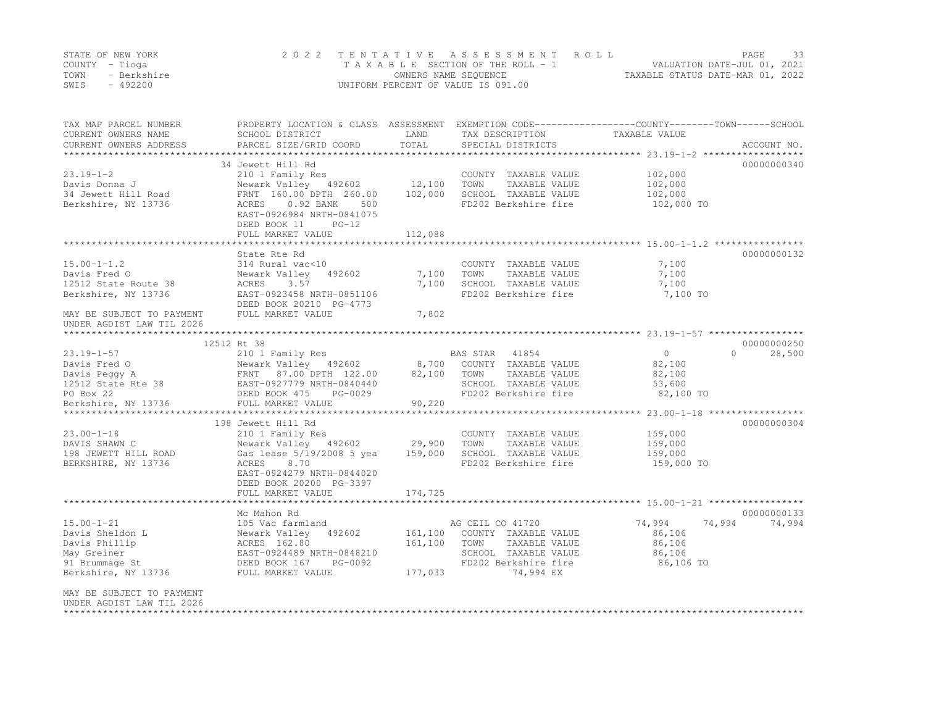|      | STATE OF NEW YORK | 2022 TENTATIVE ASSESSMENT ROLL     |                                  | PAGE                        |  |
|------|-------------------|------------------------------------|----------------------------------|-----------------------------|--|
|      | COUNTY – Tioga    | TAXABLE SECTION OF THE ROLL - 1    |                                  | VALUATION DATE-JUL 01, 2021 |  |
| TOWN | - Berkshire       | OWNERS NAME SEQUENCE               | TAXABLE STATUS DATE-MAR 01, 2022 |                             |  |
| SWIS | - 492200          | UNIFORM PERCENT OF VALUE IS 091.00 |                                  |                             |  |

| TAX MAP PARCEL NUMBER<br>CURRENT OWNERS NAME<br>CURRENT OWNERS ADDRESS | SCHOOL DISTRICT<br>PARCEL SIZE/GRID COORD            | LAND<br>TOTAL | TAX DESCRIPTION<br>SPECIAL DISTRICTS | PROPERTY LOCATION & CLASS ASSESSMENT EXEMPTION CODE----------------COUNTY-------TOWN-----SCHOOL<br>TAXABLE VALUE | ACCOUNT NO. |
|------------------------------------------------------------------------|------------------------------------------------------|---------------|--------------------------------------|------------------------------------------------------------------------------------------------------------------|-------------|
| *************************                                              |                                                      |               |                                      |                                                                                                                  |             |
|                                                                        | 34 Jewett Hill Rd                                    |               |                                      |                                                                                                                  | 00000000340 |
| $23.19 - 1 - 2$                                                        | 210 1 Family Res                                     |               | COUNTY TAXABLE VALUE                 | 102,000                                                                                                          |             |
| Davis Donna J                                                          | Newark Valley 492602 12,100                          |               | TOWN<br>TAXABLE VALUE                | 102,000                                                                                                          |             |
| 34 Jewett Hill Road                                                    | FRNT 160.00 DPTH 260.00                              | 102,000       | SCHOOL TAXABLE VALUE                 | 102,000                                                                                                          |             |
| Berkshire, NY 13736                                                    | $0.92$ BANK<br>500<br>ACRES                          |               | FD202 Berkshire fire                 | 102,000 TO                                                                                                       |             |
|                                                                        | EAST-0926984 NRTH-0841075                            |               |                                      |                                                                                                                  |             |
|                                                                        | DEED BOOK 11<br>$PG-12$                              |               |                                      |                                                                                                                  |             |
|                                                                        | FULL MARKET VALUE                                    | 112,088       |                                      |                                                                                                                  |             |
|                                                                        |                                                      |               |                                      |                                                                                                                  |             |
|                                                                        | State Rte Rd                                         |               |                                      |                                                                                                                  | 00000000132 |
| $15.00 - 1 - 1.2$                                                      | 314 Rural vac<10                                     |               | COUNTY TAXABLE VALUE                 | 7,100                                                                                                            |             |
| Davis Fred O                                                           | Newark Valley<br>492602                              | 7,100         | TOWN<br>TAXABLE VALUE                | 7,100                                                                                                            |             |
| 12512 State Route 38                                                   | ACRES<br>3.57                                        | 7,100         | SCHOOL TAXABLE VALUE                 | 7,100                                                                                                            |             |
| Berkshire, NY 13736                                                    | EAST-0923458 NRTH-0851106                            |               | FD202 Berkshire fire                 | 7,100 TO                                                                                                         |             |
|                                                                        | DEED BOOK 20210 PG-4773                              |               |                                      |                                                                                                                  |             |
| MAY BE SUBJECT TO PAYMENT                                              | FULL MARKET VALUE                                    | 7,802         |                                      |                                                                                                                  |             |
| UNDER AGDIST LAW TIL 2026                                              |                                                      |               |                                      |                                                                                                                  |             |
|                                                                        |                                                      |               |                                      |                                                                                                                  |             |
|                                                                        |                                                      |               |                                      |                                                                                                                  | 00000000250 |
|                                                                        |                                                      |               | BAS STAR<br>41854                    | $\overline{0}$<br>$\cap$                                                                                         | 28,500      |
|                                                                        |                                                      |               | 8,700 COUNTY TAXABLE VALUE           | 82,100                                                                                                           |             |
|                                                                        |                                                      | 82,100        | TOWN<br>TAXABLE VALUE                | 82,100                                                                                                           |             |
|                                                                        |                                                      |               | SCHOOL TAXABLE VALUE                 | 53,600                                                                                                           |             |
|                                                                        |                                                      |               | FD202 Berkshire fire                 | 82,100 TO                                                                                                        |             |
|                                                                        |                                                      | 90,220        |                                      |                                                                                                                  |             |
|                                                                        |                                                      |               |                                      | ***************** 23.00-1-18 ******************                                                                  |             |
|                                                                        | 198 Jewett Hill Rd                                   |               |                                      |                                                                                                                  | 00000000304 |
| $23.00 - 1 - 18$                                                       | 210 1 Family Res                                     |               | COUNTY TAXABLE VALUE                 | 159,000                                                                                                          |             |
| DAVIS SHAWN C                                                          | Newark Valley 492602                                 | 29,900        | TOWN<br>TAXABLE VALUE                | 159,000                                                                                                          |             |
| 198 JEWETT HILL ROAD                                                   | Gas lease 5/19/2008 5 yea                            | 159,000       | SCHOOL TAXABLE VALUE                 | 159,000                                                                                                          |             |
| BERKSHIRE, NY 13736                                                    | 8.70<br>ACRES                                        |               | FD202 Berkshire fire                 | 159,000 TO                                                                                                       |             |
|                                                                        | EAST-0924279 NRTH-0844020<br>DEED BOOK 20200 PG-3397 |               |                                      |                                                                                                                  |             |
|                                                                        | FULL MARKET VALUE                                    | 174,725       |                                      |                                                                                                                  |             |
|                                                                        | ********************************                     |               |                                      |                                                                                                                  |             |
|                                                                        | Mc Mahon Rd                                          |               |                                      |                                                                                                                  | 00000000133 |
| $15.00 - 1 - 21$                                                       | 105 Vac farmland                                     |               | AG CEIL CO 41720                     | 74,994<br>74,994                                                                                                 | 74,994      |
| Davis Sheldon L                                                        | Newark Valley 492602                                 |               | 161,100 COUNTY TAXABLE VALUE         | 86,106                                                                                                           |             |
| Davis Phillip                                                          | ACRES 162.80                                         | 161,100       | TOWN<br>TAXABLE VALUE                | 86,106                                                                                                           |             |
| May Greiner                                                            | EAST-0924489 NRTH-0848210                            |               | SCHOOL TAXABLE VALUE                 | 86,106                                                                                                           |             |
| 91 Brummage St                                                         | DEED BOOK 167 PG-0092                                |               | FD202 Berkshire fire                 | 86,106 TO                                                                                                        |             |
| Berkshire, NY 13736                                                    | FULL MARKET VALUE                                    | 177,033       | 74,994 EX                            |                                                                                                                  |             |
|                                                                        |                                                      |               |                                      |                                                                                                                  |             |
| MAY BE SUBJECT TO PAYMENT                                              |                                                      |               |                                      |                                                                                                                  |             |
| UNDER AGDIST LAW TIL 2026                                              |                                                      |               |                                      |                                                                                                                  |             |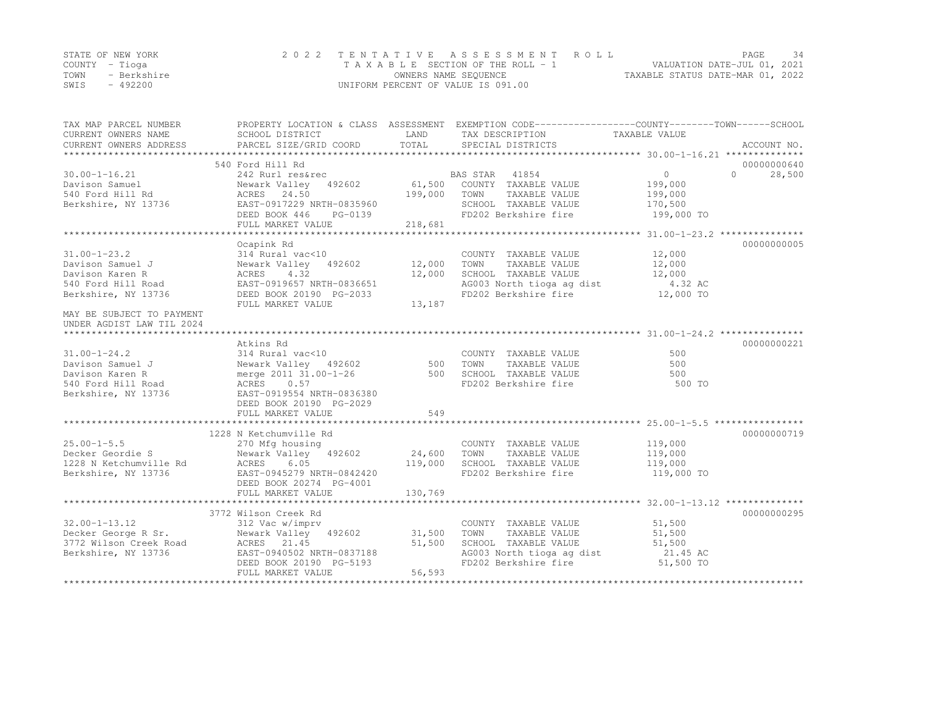|      | STATE OF NEW YORK | 2022 TENTATIVE ASSESSMENT ROLL     |                                  | PAGE | 34 |
|------|-------------------|------------------------------------|----------------------------------|------|----|
|      | COUNTY – Tioga    | TAXABLE SECTION OF THE ROLL - 1    | VALUATION DATE-JUL 01, 2021      |      |    |
| TOWN | - Berkshire       | OWNERS NAME SEQUENCE               | TAXABLE STATUS DATE-MAR 01, 2022 |      |    |
| SWIS | $-492200$         | UNIFORM PERCENT OF VALUE IS 091.00 |                                  |      |    |

| TOTAL<br>CURRENT OWNERS ADDRESS<br>PARCEL SIZE/GRID COORD<br>SPECIAL DISTRICTS<br>ACCOUNT NO.<br>540 Ford Hill Rd<br>00000000640<br>$\overline{0}$<br>BAS STAR<br>41854<br>$\Omega$<br>28,500<br>$30.00 - 1 - 16.21$<br>242 Rurl res&rec<br>61,500<br>Davison Samuel<br>Newark Valley 492602<br>COUNTY TAXABLE VALUE<br>199,000<br>199,000<br>540 Ford Hill Rd<br>ACRES 24.50<br>TOWN<br>TAXABLE VALUE<br>199,000<br>EAST-0917229 NRTH-0835960<br>Berkshire, NY 13736<br>SCHOOL TAXABLE VALUE<br>170,500<br>DEED BOOK 446<br>FD202 Berkshire fire<br>199,000 TO<br>PG-0139<br>FULL MARKET VALUE<br>218,681<br>00000000005<br>Ocapink Rd<br>$31.00 - 1 - 23.2$<br>314 Rural vac<10<br>12,000<br>COUNTY TAXABLE VALUE<br>Newark Valley 492602<br>12,000<br>TOWN<br>TAXABLE VALUE<br>12,000<br>Davison Samuel J<br>4.32<br>12,000<br>SCHOOL TAXABLE VALUE<br>Davison Karen R<br>ACRES<br>12,000<br>AG003 North tioga ag dist<br>540 Ford Hill Road<br>EAST-0919657 NRTH-0836651<br>4.32 AC<br>12,000 TO<br>FD202 Berkshire fire<br>Berkshire, NY 13736<br>DEED BOOK 20190 PG-2033<br>FULL MARKET VALUE<br>13,187<br>MAY BE SUBJECT TO PAYMENT<br>UNDER AGDIST LAW TIL 2024<br>Atkins Rd<br>00000000221<br>314 Rural vac<10<br>500<br>$31.00 - 1 - 24.2$<br>COUNTY TAXABLE VALUE<br>Newark Valley 492602 500<br>TOWN<br>TAXABLE VALUE<br>500<br>Davison Samuel J<br>merge 2011 31.00-1-26 500<br>SCHOOL TAXABLE VALUE<br>500<br>Davison Karen R<br>ACRES 0.57<br>FD202 Berkshire fire<br>540 Ford Hill Road<br>500 TO<br>EAST-0919554 NRTH-0836380<br>Berkshire, NY 13736<br>DEED BOOK 20190 PG-2029<br>549<br>FULL MARKET VALUE |
|------------------------------------------------------------------------------------------------------------------------------------------------------------------------------------------------------------------------------------------------------------------------------------------------------------------------------------------------------------------------------------------------------------------------------------------------------------------------------------------------------------------------------------------------------------------------------------------------------------------------------------------------------------------------------------------------------------------------------------------------------------------------------------------------------------------------------------------------------------------------------------------------------------------------------------------------------------------------------------------------------------------------------------------------------------------------------------------------------------------------------------------------------------------------------------------------------------------------------------------------------------------------------------------------------------------------------------------------------------------------------------------------------------------------------------------------------------------------------------------------------------------------------------------------------------------------------------------------------------------------------|
|                                                                                                                                                                                                                                                                                                                                                                                                                                                                                                                                                                                                                                                                                                                                                                                                                                                                                                                                                                                                                                                                                                                                                                                                                                                                                                                                                                                                                                                                                                                                                                                                                              |
|                                                                                                                                                                                                                                                                                                                                                                                                                                                                                                                                                                                                                                                                                                                                                                                                                                                                                                                                                                                                                                                                                                                                                                                                                                                                                                                                                                                                                                                                                                                                                                                                                              |
|                                                                                                                                                                                                                                                                                                                                                                                                                                                                                                                                                                                                                                                                                                                                                                                                                                                                                                                                                                                                                                                                                                                                                                                                                                                                                                                                                                                                                                                                                                                                                                                                                              |
|                                                                                                                                                                                                                                                                                                                                                                                                                                                                                                                                                                                                                                                                                                                                                                                                                                                                                                                                                                                                                                                                                                                                                                                                                                                                                                                                                                                                                                                                                                                                                                                                                              |
|                                                                                                                                                                                                                                                                                                                                                                                                                                                                                                                                                                                                                                                                                                                                                                                                                                                                                                                                                                                                                                                                                                                                                                                                                                                                                                                                                                                                                                                                                                                                                                                                                              |
|                                                                                                                                                                                                                                                                                                                                                                                                                                                                                                                                                                                                                                                                                                                                                                                                                                                                                                                                                                                                                                                                                                                                                                                                                                                                                                                                                                                                                                                                                                                                                                                                                              |
|                                                                                                                                                                                                                                                                                                                                                                                                                                                                                                                                                                                                                                                                                                                                                                                                                                                                                                                                                                                                                                                                                                                                                                                                                                                                                                                                                                                                                                                                                                                                                                                                                              |
|                                                                                                                                                                                                                                                                                                                                                                                                                                                                                                                                                                                                                                                                                                                                                                                                                                                                                                                                                                                                                                                                                                                                                                                                                                                                                                                                                                                                                                                                                                                                                                                                                              |
|                                                                                                                                                                                                                                                                                                                                                                                                                                                                                                                                                                                                                                                                                                                                                                                                                                                                                                                                                                                                                                                                                                                                                                                                                                                                                                                                                                                                                                                                                                                                                                                                                              |
|                                                                                                                                                                                                                                                                                                                                                                                                                                                                                                                                                                                                                                                                                                                                                                                                                                                                                                                                                                                                                                                                                                                                                                                                                                                                                                                                                                                                                                                                                                                                                                                                                              |
|                                                                                                                                                                                                                                                                                                                                                                                                                                                                                                                                                                                                                                                                                                                                                                                                                                                                                                                                                                                                                                                                                                                                                                                                                                                                                                                                                                                                                                                                                                                                                                                                                              |
|                                                                                                                                                                                                                                                                                                                                                                                                                                                                                                                                                                                                                                                                                                                                                                                                                                                                                                                                                                                                                                                                                                                                                                                                                                                                                                                                                                                                                                                                                                                                                                                                                              |
|                                                                                                                                                                                                                                                                                                                                                                                                                                                                                                                                                                                                                                                                                                                                                                                                                                                                                                                                                                                                                                                                                                                                                                                                                                                                                                                                                                                                                                                                                                                                                                                                                              |
|                                                                                                                                                                                                                                                                                                                                                                                                                                                                                                                                                                                                                                                                                                                                                                                                                                                                                                                                                                                                                                                                                                                                                                                                                                                                                                                                                                                                                                                                                                                                                                                                                              |
|                                                                                                                                                                                                                                                                                                                                                                                                                                                                                                                                                                                                                                                                                                                                                                                                                                                                                                                                                                                                                                                                                                                                                                                                                                                                                                                                                                                                                                                                                                                                                                                                                              |
|                                                                                                                                                                                                                                                                                                                                                                                                                                                                                                                                                                                                                                                                                                                                                                                                                                                                                                                                                                                                                                                                                                                                                                                                                                                                                                                                                                                                                                                                                                                                                                                                                              |
|                                                                                                                                                                                                                                                                                                                                                                                                                                                                                                                                                                                                                                                                                                                                                                                                                                                                                                                                                                                                                                                                                                                                                                                                                                                                                                                                                                                                                                                                                                                                                                                                                              |
|                                                                                                                                                                                                                                                                                                                                                                                                                                                                                                                                                                                                                                                                                                                                                                                                                                                                                                                                                                                                                                                                                                                                                                                                                                                                                                                                                                                                                                                                                                                                                                                                                              |
|                                                                                                                                                                                                                                                                                                                                                                                                                                                                                                                                                                                                                                                                                                                                                                                                                                                                                                                                                                                                                                                                                                                                                                                                                                                                                                                                                                                                                                                                                                                                                                                                                              |
|                                                                                                                                                                                                                                                                                                                                                                                                                                                                                                                                                                                                                                                                                                                                                                                                                                                                                                                                                                                                                                                                                                                                                                                                                                                                                                                                                                                                                                                                                                                                                                                                                              |
|                                                                                                                                                                                                                                                                                                                                                                                                                                                                                                                                                                                                                                                                                                                                                                                                                                                                                                                                                                                                                                                                                                                                                                                                                                                                                                                                                                                                                                                                                                                                                                                                                              |
|                                                                                                                                                                                                                                                                                                                                                                                                                                                                                                                                                                                                                                                                                                                                                                                                                                                                                                                                                                                                                                                                                                                                                                                                                                                                                                                                                                                                                                                                                                                                                                                                                              |
|                                                                                                                                                                                                                                                                                                                                                                                                                                                                                                                                                                                                                                                                                                                                                                                                                                                                                                                                                                                                                                                                                                                                                                                                                                                                                                                                                                                                                                                                                                                                                                                                                              |
|                                                                                                                                                                                                                                                                                                                                                                                                                                                                                                                                                                                                                                                                                                                                                                                                                                                                                                                                                                                                                                                                                                                                                                                                                                                                                                                                                                                                                                                                                                                                                                                                                              |
|                                                                                                                                                                                                                                                                                                                                                                                                                                                                                                                                                                                                                                                                                                                                                                                                                                                                                                                                                                                                                                                                                                                                                                                                                                                                                                                                                                                                                                                                                                                                                                                                                              |
|                                                                                                                                                                                                                                                                                                                                                                                                                                                                                                                                                                                                                                                                                                                                                                                                                                                                                                                                                                                                                                                                                                                                                                                                                                                                                                                                                                                                                                                                                                                                                                                                                              |
| 1228 N Ketchumville Rd<br>00000000719                                                                                                                                                                                                                                                                                                                                                                                                                                                                                                                                                                                                                                                                                                                                                                                                                                                                                                                                                                                                                                                                                                                                                                                                                                                                                                                                                                                                                                                                                                                                                                                        |
| $25.00 - 1 - 5.5$<br>119,000<br>270 Mfg housing<br>COUNTY TAXABLE VALUE                                                                                                                                                                                                                                                                                                                                                                                                                                                                                                                                                                                                                                                                                                                                                                                                                                                                                                                                                                                                                                                                                                                                                                                                                                                                                                                                                                                                                                                                                                                                                      |
| Newark Valley 492602<br>Decker Geordie S<br>24,600<br>TOWN<br>TAXABLE VALUE<br>119,000                                                                                                                                                                                                                                                                                                                                                                                                                                                                                                                                                                                                                                                                                                                                                                                                                                                                                                                                                                                                                                                                                                                                                                                                                                                                                                                                                                                                                                                                                                                                       |
| 1228 N Ketchumville Rd<br>ACRES<br>6.05<br>119,000<br>SCHOOL TAXABLE VALUE<br>119,000                                                                                                                                                                                                                                                                                                                                                                                                                                                                                                                                                                                                                                                                                                                                                                                                                                                                                                                                                                                                                                                                                                                                                                                                                                                                                                                                                                                                                                                                                                                                        |
| Berkshire, NY 13736<br>EAST-0945279 NRTH-0842420<br>FD202 Berkshire fire<br>119,000 TO                                                                                                                                                                                                                                                                                                                                                                                                                                                                                                                                                                                                                                                                                                                                                                                                                                                                                                                                                                                                                                                                                                                                                                                                                                                                                                                                                                                                                                                                                                                                       |
| DEED BOOK 20274 PG-4001                                                                                                                                                                                                                                                                                                                                                                                                                                                                                                                                                                                                                                                                                                                                                                                                                                                                                                                                                                                                                                                                                                                                                                                                                                                                                                                                                                                                                                                                                                                                                                                                      |
| 130,769<br>FULL MARKET VALUE                                                                                                                                                                                                                                                                                                                                                                                                                                                                                                                                                                                                                                                                                                                                                                                                                                                                                                                                                                                                                                                                                                                                                                                                                                                                                                                                                                                                                                                                                                                                                                                                 |
|                                                                                                                                                                                                                                                                                                                                                                                                                                                                                                                                                                                                                                                                                                                                                                                                                                                                                                                                                                                                                                                                                                                                                                                                                                                                                                                                                                                                                                                                                                                                                                                                                              |
| 3772 Wilson Creek Rd<br>00000000295                                                                                                                                                                                                                                                                                                                                                                                                                                                                                                                                                                                                                                                                                                                                                                                                                                                                                                                                                                                                                                                                                                                                                                                                                                                                                                                                                                                                                                                                                                                                                                                          |
| $32.00 - 1 - 13.12$<br>312 Vac w/imprv<br>51,500<br>COUNTY TAXABLE VALUE                                                                                                                                                                                                                                                                                                                                                                                                                                                                                                                                                                                                                                                                                                                                                                                                                                                                                                                                                                                                                                                                                                                                                                                                                                                                                                                                                                                                                                                                                                                                                     |
| Decker George R Sr.<br>Newark Valley 492602<br>31,500<br>TAXABLE VALUE<br>TOWN<br>51,500                                                                                                                                                                                                                                                                                                                                                                                                                                                                                                                                                                                                                                                                                                                                                                                                                                                                                                                                                                                                                                                                                                                                                                                                                                                                                                                                                                                                                                                                                                                                     |
| 51,500<br>SCHOOL TAXABLE VALUE<br>3772 Wilson Creek Road<br>ACRES 21.45<br>51,500                                                                                                                                                                                                                                                                                                                                                                                                                                                                                                                                                                                                                                                                                                                                                                                                                                                                                                                                                                                                                                                                                                                                                                                                                                                                                                                                                                                                                                                                                                                                            |
| AG003 North tioga ag dist<br>Berkshire, NY 13736<br>EAST-0940502 NRTH-0837188<br>21.45 AC                                                                                                                                                                                                                                                                                                                                                                                                                                                                                                                                                                                                                                                                                                                                                                                                                                                                                                                                                                                                                                                                                                                                                                                                                                                                                                                                                                                                                                                                                                                                    |
| FD202 Berkshire fire<br>DEED BOOK 20190 PG-5193<br>51,500 TO                                                                                                                                                                                                                                                                                                                                                                                                                                                                                                                                                                                                                                                                                                                                                                                                                                                                                                                                                                                                                                                                                                                                                                                                                                                                                                                                                                                                                                                                                                                                                                 |
| 56,593<br>FULL MARKET VALUE                                                                                                                                                                                                                                                                                                                                                                                                                                                                                                                                                                                                                                                                                                                                                                                                                                                                                                                                                                                                                                                                                                                                                                                                                                                                                                                                                                                                                                                                                                                                                                                                  |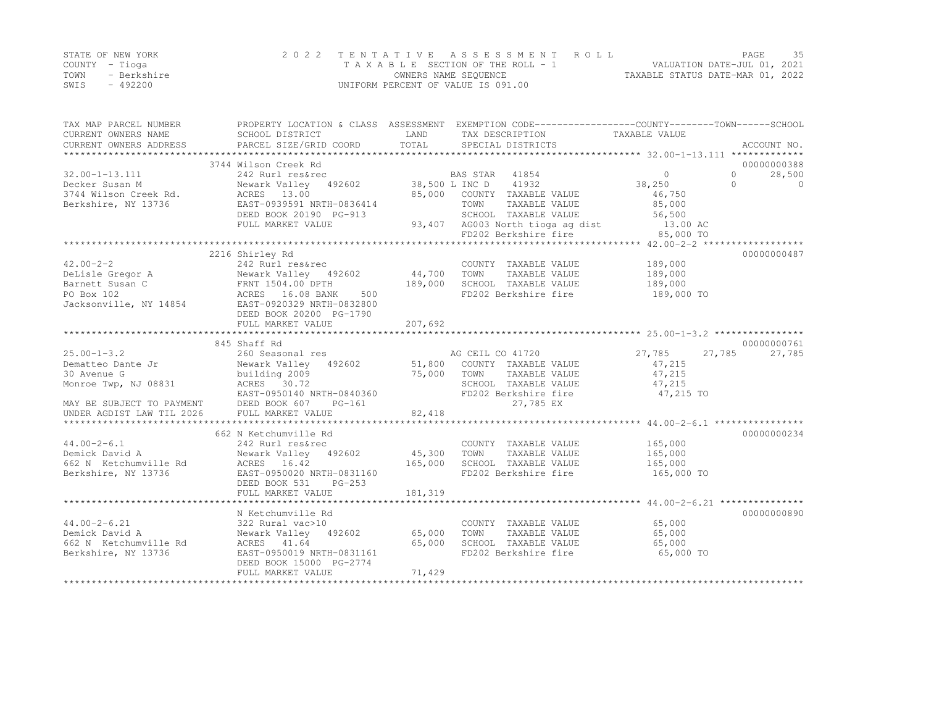|      | STATE OF NEW YORK | 2022 TENTATIVE ASSESSMENT ROLL     | PAGE                             | 35 |
|------|-------------------|------------------------------------|----------------------------------|----|
|      | COUNTY – Tioga    | TAXABLE SECTION OF THE ROLL - 1    | VALUATION DATE-JUL 01, 2021      |    |
| TOWN | - Berkshire       | OWNERS NAME SEQUENCE               | TAXABLE STATUS DATE-MAR 01, 2022 |    |
| SWIS | - 492200          | UNIFORM PERCENT OF VALUE IS 091.00 |                                  |    |

| TAX MAP PARCEL NUMBER<br>CURRENT OWNERS NAME<br>CURRENT OWNERS ADDRESS | SCHOOL DISTRICT<br>PARCEL SIZE/GRID COORD            | LAND<br>TOTAL | PROPERTY LOCATION & CLASS ASSESSMENT EXEMPTION CODE----------------COUNTY-------TOWN-----SCHOOL<br>TAX DESCRIPTION<br>SPECIAL DISTRICTS | TAXABLE VALUE | ACCOUNT NO.           |
|------------------------------------------------------------------------|------------------------------------------------------|---------------|-----------------------------------------------------------------------------------------------------------------------------------------|---------------|-----------------------|
|                                                                        |                                                      |               |                                                                                                                                         |               |                       |
|                                                                        | 3744 Wilson Creek Rd                                 |               |                                                                                                                                         |               | 00000000388           |
| $32.00 - 1 - 13.111$                                                   | 242 Rurl res&rec                                     |               | BAS STAR<br>41854                                                                                                                       | $\circ$       | $\circ$<br>28,500     |
| Decker Susan M                                                         | Newark Valley 492602                                 |               | 38,500 L INC D 41932                                                                                                                    | 38,250        | $\bigcap$<br>$\Omega$ |
| 3744 Wilson Creek Rd.                                                  | ACRES 13.00                                          |               | 85,000 COUNTY TAXABLE VALUE                                                                                                             | 46,750        |                       |
| Berkshire, NY 13736                                                    | EAST-0939591 NRTH-0836414                            |               | TOWN<br>TAXABLE VALUE                                                                                                                   | 85,000        |                       |
|                                                                        | DEED BOOK 20190 PG-913                               |               | SCHOOL TAXABLE VALUE                                                                                                                    | 56,500        |                       |
|                                                                        | FULL MARKET VALUE                                    |               | 93,407 AG003 North tioga ag dist 13.00 AC                                                                                               |               |                       |
|                                                                        |                                                      |               | FD202 Berkshire fire                                                                                                                    | 85,000 TO     |                       |
|                                                                        |                                                      |               |                                                                                                                                         |               |                       |
|                                                                        | 2216 Shirley Rd                                      |               |                                                                                                                                         |               | 00000000487           |
| $42.00 - 2 - 2$                                                        | 242 Rurl res&rec                                     |               | COUNTY TAXABLE VALUE                                                                                                                    | 189,000       |                       |
| DeLisle Gregor A                                                       | Newark Valley 492602                                 | 44,700        | TOWN<br>TAXABLE VALUE                                                                                                                   | 189,000       |                       |
| Barnett Susan C                                                        | FRNT 1504.00 DPTH                                    | 189,000       | SCHOOL TAXABLE VALUE                                                                                                                    | 189,000       |                       |
| <b>The Community</b><br>PO Box 102                                     | ACRES 16.08 BANK<br>500                              |               | FD202 Berkshire fire                                                                                                                    | 189,000 TO    |                       |
| Jacksonville, NY 14854                                                 | EAST-0920329 NRTH-0832800<br>DEED BOOK 20200 PG-1790 |               |                                                                                                                                         |               |                       |
|                                                                        | FULL MARKET VALUE                                    | 207,692       |                                                                                                                                         |               |                       |
|                                                                        |                                                      |               |                                                                                                                                         |               |                       |
|                                                                        | 845 Shaff Rd                                         |               |                                                                                                                                         |               | 00000000761           |
| $25.00 - 1 - 3.2$                                                      | 260 Seasonal res                                     |               | AG CEIL CO 41720                                                                                                                        | 27,785        | 27,785<br>27,785      |
| Dematteo Dante Jr                                                      | Newark Valley 492602                                 |               | 51,800 COUNTY TAXABLE VALUE                                                                                                             | 47,215        |                       |
| 30 Avenue G                                                            | building 2009                                        | 75,000        | TOWN<br>TAXABLE VALUE                                                                                                                   | 47,215        |                       |
| Monroe Twp, NJ 08831                                                   | ACRES 30.72                                          |               | SCHOOL TAXABLE VALUE                                                                                                                    | 47,215        |                       |
|                                                                        | EAST-0950140 NRTH-0840360                            |               | FD202 Berkshire fire                                                                                                                    | 47,215 TO     |                       |
| MAY BE SUBJECT TO PAYMENT                                              | DEED BOOK 607<br>$PG-161$                            |               | 27,785 EX                                                                                                                               |               |                       |
| UNDER AGDIST LAW TIL 2026                                              | FULL MARKET VALUE                                    | 82,418        |                                                                                                                                         |               |                       |
|                                                                        |                                                      |               |                                                                                                                                         |               |                       |
|                                                                        | 662 N Ketchumville Rd                                |               |                                                                                                                                         |               | 00000000234           |
| $44.00 - 2 - 6.1$                                                      | 242 Rurl res&rec                                     |               | COUNTY TAXABLE VALUE                                                                                                                    | 165,000       |                       |
| Demick David A                                                         | Newark Valley 492602                                 | 45,300        | TAXABLE VALUE<br>TOWN                                                                                                                   | 165,000       |                       |
| 662 N Ketchumville Rd                                                  | ACRES 16.42                                          | 165,000       | SCHOOL TAXABLE VALUE                                                                                                                    | 165,000       |                       |
| Berkshire, NY 13736                                                    | EAST-0950020 NRTH-0831160                            |               | FD202 Berkshire fire                                                                                                                    | 165,000 TO    |                       |
|                                                                        | DEED BOOK 531<br>$PG-253$                            |               |                                                                                                                                         |               |                       |
|                                                                        | FULL MARKET VALUE                                    | 181,319       |                                                                                                                                         |               |                       |
|                                                                        |                                                      |               |                                                                                                                                         |               |                       |
|                                                                        | N Ketchumville Rd                                    |               |                                                                                                                                         |               | 00000000890           |
| $44.00 - 2 - 6.21$                                                     | 322 Rural vac>10                                     |               | COUNTY TAXABLE VALUE                                                                                                                    | 65,000        |                       |
| Demick David A                                                         | Newark Valley 492602                                 | 65,000        | TAXABLE VALUE<br>TOWN                                                                                                                   | 65,000        |                       |
| 662 N Ketchumville Rd                                                  | ACRES 41.64                                          | 65,000        | SCHOOL TAXABLE VALUE                                                                                                                    | 65,000        |                       |
| Berkshire, NY 13736                                                    | EAST-0950019 NRTH-0831161                            |               | FD202 Berkshire fire                                                                                                                    | 65,000 TO     |                       |
|                                                                        | DEED BOOK 15000 PG-2774                              |               |                                                                                                                                         |               |                       |
|                                                                        | FULL MARKET VALUE                                    | 71,429        |                                                                                                                                         |               |                       |
|                                                                        |                                                      |               |                                                                                                                                         |               |                       |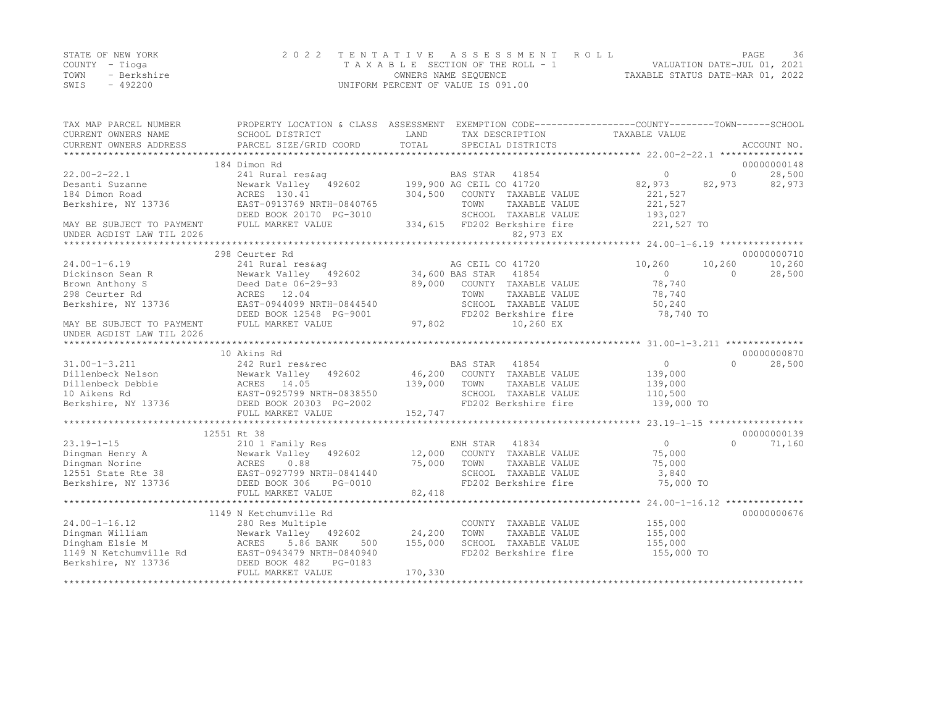|      | STATE OF NEW YORK | 2022 TENTATIVE ASSESSMENT ROLL     | PAGE.                            | 36 |
|------|-------------------|------------------------------------|----------------------------------|----|
|      | COUNTY – Tioga    | TAXABLE SECTION OF THE ROLL - 1    | VALUATION DATE-JUL 01, 2021      |    |
| TOWN | - Berkshire       | OWNERS NAME SEOUENCE               | TAXABLE STATUS DATE-MAR 01, 2022 |    |
| SWIS | $-492200$         | UNIFORM PERCENT OF VALUE IS 091.00 |                                  |    |

| TAX MAP PARCEL NUMBER     | PROPERTY LOCATION & CLASS ASSESSMENT EXEMPTION CODE----------------COUNTY-------TOWN------SCHOOL                                                                                                                                     |         |                                                |                |                   |                   |
|---------------------------|--------------------------------------------------------------------------------------------------------------------------------------------------------------------------------------------------------------------------------------|---------|------------------------------------------------|----------------|-------------------|-------------------|
| CURRENT OWNERS NAME       | SCHOOL DISTRICT                                                                                                                                                                                                                      | LAND    | TAX DESCRIPTION                                | TAXABLE VALUE  |                   |                   |
| CURRENT OWNERS ADDRESS    | PARCEL SIZE/GRID COORD                                                                                                                                                                                                               | TOTAL   | SPECIAL DISTRICTS                              |                |                   | ACCOUNT NO.       |
|                           |                                                                                                                                                                                                                                      |         |                                                |                |                   |                   |
|                           | 184 Dimon Rd                                                                                                                                                                                                                         |         |                                                |                |                   | 00000000148       |
| $22.00 - 2 - 22.1$        | 241 Rural res&aq                                                                                                                                                                                                                     |         | BAS STAR 41854<br>602 199,900 AG CEIL CO 41720 | $\circ$        | $\overline{0}$    | 28,500            |
| Desanti Suzanne           | Newark Valley 492602                                                                                                                                                                                                                 |         |                                                | 82,973         |                   | $82,973$ $82,973$ |
| 184 Dimon Road            | ACRES 130.41                                                                                                                                                                                                                         |         | 304,500 COUNTY TAXABLE VALUE                   | 221,527        |                   |                   |
| Berkshire, NY 13736       | EAST-0913769 NRTH-0840765                                                                                                                                                                                                            |         | TOWN<br>TAXABLE VALUE                          | 221,527        |                   |                   |
|                           | DEED BOOK 20170 PG-3010                                                                                                                                                                                                              |         | SCHOOL TAXABLE VALUE                           | 193,027        |                   |                   |
| MAY BE SUBJECT TO PAYMENT | FULL MARKET VALUE                                                                                                                                                                                                                    |         | 334,615 FD202 Berkshire fire                   | 221,527 TO     |                   |                   |
| UNDER AGDIST LAW TIL 2026 |                                                                                                                                                                                                                                      |         | 82,973 EX                                      |                |                   |                   |
|                           |                                                                                                                                                                                                                                      |         |                                                |                |                   |                   |
|                           | 298 Ceurter Rd                                                                                                                                                                                                                       |         |                                                |                |                   | 00000000710       |
| $24.00 - 1 - 6.19$        | 241 Rural res&ag                                                                                                                                                                                                                     |         | AG CEIL CO 41720                               | 10,260         | 10,260            | 10,260            |
| Dickinson Sean R          | Newark Valley 192602<br>Deed Date 06-29-93                                                                                                                                                                                           |         | 34,600 BAS STAR 41854                          | $\overline{0}$ | $\circ$           | 28,500            |
| Brown Anthony S           |                                                                                                                                                                                                                                      | 89,000  | COUNTY TAXABLE VALUE                           | 78,740         |                   |                   |
| 298 Ceurter Rd            | ACRES 12.04                                                                                                                                                                                                                          |         | TAXABLE VALUE<br>TOWN                          | 78,740         |                   |                   |
| Berkshire, NY 13736       | EAST-0944099 NRTH-0844540                                                                                                                                                                                                            |         | SCHOOL TAXABLE VALUE                           | 50,240         |                   |                   |
|                           | DEED BOOK 12548 PG-9001                                                                                                                                                                                                              |         | FD202 Berkshire fire                           | 78,740 TO      |                   |                   |
| MAY BE SUBJECT TO PAYMENT | FULL MARKET VALUE                                                                                                                                                                                                                    | 97,802  | 10,260 EX                                      |                |                   |                   |
| UNDER AGDIST LAW TIL 2026 |                                                                                                                                                                                                                                      |         |                                                |                |                   |                   |
|                           |                                                                                                                                                                                                                                      |         |                                                |                |                   |                   |
|                           | 10 Akins Rd                                                                                                                                                                                                                          |         |                                                |                |                   | 00000000870       |
| $31.00 - 1 - 3.211$       | 242 Rurl res&rec                                                                                                                                                                                                                     |         | BAS STAR 41854                                 | 0              | $0 \qquad \qquad$ | 28,500            |
|                           |                                                                                                                                                                                                                                      |         |                                                | 139,000        |                   |                   |
|                           |                                                                                                                                                                                                                                      |         |                                                | 139,000        |                   |                   |
|                           |                                                                                                                                                                                                                                      |         |                                                | 110,500        |                   |                   |
|                           | Dillenbeck Nelson Mewark Valley 492602 46,200 COUNTY TAXABLE VALUE<br>Dillenbeck Debbie ACRES 14.05 139,000 TOWN TAXABLE VALUE<br>10 Aikens Rd EAST-0925799 NRTH-0838550 SCHOOL TAXABLE VALUE<br>Berkshire, NY 13736 DEED BOOK 20303 |         |                                                | 139,000 TO     |                   |                   |
|                           | FULL MARKET VALUE                                                                                                                                                                                                                    | 152,747 |                                                |                |                   |                   |
|                           |                                                                                                                                                                                                                                      |         |                                                |                |                   |                   |
|                           | 12551 Rt 38                                                                                                                                                                                                                          |         |                                                |                |                   | 00000000139       |
| $23.19 - 1 - 15$          | 210 1 Family Res                                                                                                                                                                                                                     |         | ENH STAR 41834                                 | $\overline{0}$ | $\Omega$          | 71,160            |
| Dingman Henry A           | Newark Valley 492602 12,000 COUNTY TAXABLE VALUE<br>ACRES 0.88 75,000 TOWN TAXABLE VALUE                                                                                                                                             |         |                                                | 75,000         |                   |                   |
| Dingman Norine            |                                                                                                                                                                                                                                      |         | TAXABLE VALUE                                  | 75,000         |                   |                   |
|                           | 12551 State Rte 38<br>BAST-0927799 NRTH-0841440<br>Berkshire, NY 13736 DEED BOOK 306 PG-0010                                                                                                                                         |         | SCHOOL TAXABLE VALUE                           | 3,840          |                   |                   |
| Berkshire, NY 13736       | DEED BOOK 306<br>PG-0010                                                                                                                                                                                                             |         | FD202 Berkshire fire                           | 75,000 TO      |                   |                   |
|                           | FULL MARKET VALUE                                                                                                                                                                                                                    | 82,418  |                                                |                |                   |                   |
|                           |                                                                                                                                                                                                                                      |         |                                                |                |                   |                   |
|                           | 1149 N Ketchumville Rd                                                                                                                                                                                                               |         |                                                |                |                   | 00000000676       |
| $24.00 - 1 - 16.12$       | 280 Res Multiple                                                                                                                                                                                                                     |         | COUNTY TAXABLE VALUE                           | 155,000        |                   |                   |
| Dingman William           |                                                                                                                                                                                                                                      | 24,200  | TAXABLE VALUE<br>TOWN                          | 155,000        |                   |                   |
| Dingham Elsie M           |                                                                                                                                                                                                                                      | 155,000 | SCHOOL TAXABLE VALUE                           | 155,000        |                   |                   |
| 1149 N Ketchumville Rd    |                                                                                                                                                                                                                                      |         | FD202 Berkshire fire                           | 155,000 TO     |                   |                   |
| Berkshire, NY 13736       | 200 Kes Multiple<br>Newark Valley 492602<br>ACRES 5.86 BANK 500<br>Le Rd EAST-0943479 NRTH-0840940<br>36 DEED BOOK 482 PG-0183                                                                                                       |         |                                                |                |                   |                   |
|                           | FULL MARKET VALUE                                                                                                                                                                                                                    | 170,330 |                                                |                |                   |                   |
|                           |                                                                                                                                                                                                                                      |         |                                                |                |                   |                   |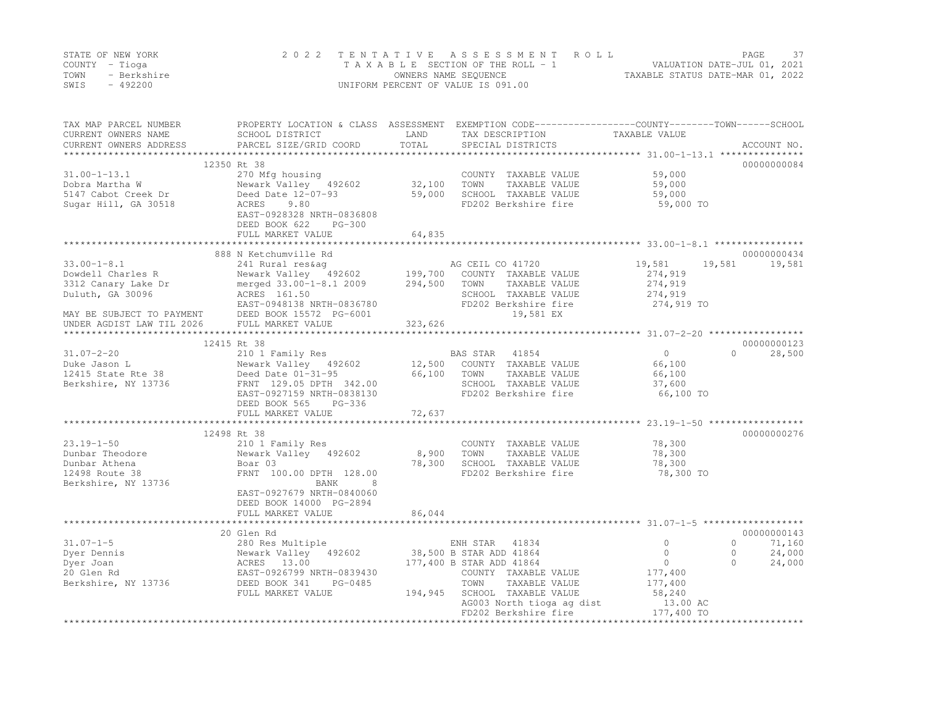|      | STATE OF NEW YORK | 2022 TENTATIVE ASSESSMENT ROLL     |                                  | PAGE                        |  |
|------|-------------------|------------------------------------|----------------------------------|-----------------------------|--|
|      | COUNTY – Tioga    | TAXABLE SECTION OF THE ROLL - 1    |                                  | VALUATION DATE-JUL 01, 2021 |  |
| TOWN | - Berkshire       | OWNERS NAME SEQUENCE               | TAXABLE STATUS DATE-MAR 01, 2022 |                             |  |
| SWIS | - 492200          | UNIFORM PERCENT OF VALUE IS 091.00 |                                  |                             |  |

| TAX MAP PARCEL NUMBER<br>CURRENT OWNERS NAME | SCHOOL DISTRICT<br>PARCEL SIZE/GRID COORD             | LAND<br>TOTAL | PROPERTY LOCATION & CLASS ASSESSMENT EXEMPTION CODE---------------COUNTY-------TOWN------SCHOOL<br>TAX DESCRIPTION<br>SPECIAL DISTRICTS | TAXABLE VALUE     | ACCOUNT NO.         |
|----------------------------------------------|-------------------------------------------------------|---------------|-----------------------------------------------------------------------------------------------------------------------------------------|-------------------|---------------------|
| CURRENT OWNERS ADDRESS                       |                                                       |               |                                                                                                                                         |                   |                     |
|                                              | 12350 Rt 38                                           |               |                                                                                                                                         |                   | 00000000084         |
| $31.00 - 1 - 13.1$                           | 270 Mfg housing                                       |               | COUNTY TAXABLE VALUE                                                                                                                    | 59,000            |                     |
| Dobra Martha W                               | Newark Valley 492602                                  | 32,100        | TOWN<br>TAXABLE VALUE                                                                                                                   | 59,000            |                     |
| 5147 Cabot Creek Dr                          | Deed Date 12-07-93                                    | 59,000        | SCHOOL TAXABLE VALUE                                                                                                                    | 59,000            |                     |
| Sugar Hill, GA 30518                         | ACRES 9.80                                            |               | FD202 Berkshire fire                                                                                                                    | 59,000 TO         |                     |
|                                              | EAST-0928328 NRTH-0836808                             |               |                                                                                                                                         |                   |                     |
|                                              | DEED BOOK 622<br>$PG-300$                             |               |                                                                                                                                         |                   |                     |
|                                              | FULL MARKET VALUE                                     | 64,835        |                                                                                                                                         |                   |                     |
|                                              |                                                       |               |                                                                                                                                         |                   |                     |
|                                              | 888 N Ketchumville Rd                                 |               |                                                                                                                                         |                   | 00000000434         |
| $33.00 - 1 - 8.1$                            | 241 Rural res&aq                                      |               | AG CEIL CO 41720                                                                                                                        | 19,581            | 19,581<br>19,581    |
| Dowdell Charles R                            | Newark Valley 492602                                  | 199,700       | COUNTY TAXABLE VALUE                                                                                                                    | 274,919           |                     |
| 3312 Canary Lake Dr                          | merged 33.00-1-8.1 2009                               | 294,500       | TOWN<br>TAXABLE VALUE                                                                                                                   | 274,919           |                     |
| Duluth, GA 30096                             | ACRES 161.50                                          |               | SCHOOL TAXABLE VALUE                                                                                                                    | 274,919           |                     |
|                                              | EAST-0948138 NRTH-0836780                             |               | FD202 Berkshire fire                                                                                                                    | 274,919 TO        |                     |
| MAY BE SUBJECT TO PAYMENT                    | DEED BOOK 15572 PG-6001                               |               | 19,581 EX                                                                                                                               |                   |                     |
| UNDER AGDIST LAW TIL 2026                    | FULL MARKET VALUE                                     | 323,626       |                                                                                                                                         |                   |                     |
|                                              | 12415 Rt 38                                           |               |                                                                                                                                         |                   | 00000000123         |
| $31.07 - 2 - 20$                             | 210 1 Family Res                                      |               | BAS STAR 41854                                                                                                                          | $\circ$           | 28,500<br>$\bigcap$ |
| Duke Jason L                                 | Newark Valley 492602                                  | 12,500        | COUNTY TAXABLE VALUE                                                                                                                    | 66,100            |                     |
| 12415 State Rte 38                           | Deed Date 01-31-95                                    | 66,100        | TOWN<br>TAXABLE VALUE                                                                                                                   | 66,100            |                     |
| Berkshire, NY 13736                          | FRNT 129.05 DPTH 342.00                               |               | SCHOOL TAXABLE VALUE                                                                                                                    | 37,600            |                     |
|                                              | EAST-0927159 NRTH-0838130                             |               | FD202 Berkshire fire                                                                                                                    | 66,100 TO         |                     |
|                                              | DEED BOOK 565<br>PG-336                               |               |                                                                                                                                         |                   |                     |
|                                              | FULL MARKET VALUE                                     | 72,637        |                                                                                                                                         |                   |                     |
|                                              |                                                       | ************* |                                                                                                                                         |                   |                     |
|                                              | 12498 Rt 38                                           |               |                                                                                                                                         |                   | 00000000276         |
| $23.19 - 1 - 50$                             | 210 1 Family Res                                      |               | COUNTY TAXABLE VALUE                                                                                                                    | 78,300            |                     |
| Dunbar Theodore                              | Newark Valley 492602                                  | 8,900         | TOWN<br>TAXABLE VALUE                                                                                                                   | 78,300            |                     |
| Dunbar Athena                                | Boar 03                                               | 78,300        | SCHOOL TAXABLE VALUE                                                                                                                    | 78,300            |                     |
| 12498 Route 38                               | FRNT 100.00 DPTH 128.00                               |               | FD202 Berkshire fire                                                                                                                    | 78,300 TO         |                     |
| Berkshire, NY 13736                          | BANK<br>8                                             |               |                                                                                                                                         |                   |                     |
|                                              | EAST-0927679 NRTH-0840060                             |               |                                                                                                                                         |                   |                     |
|                                              | DEED BOOK 14000 PG-2894                               |               |                                                                                                                                         |                   |                     |
|                                              | FULL MARKET VALUE                                     | 86,044        |                                                                                                                                         |                   |                     |
|                                              |                                                       |               |                                                                                                                                         |                   |                     |
|                                              | 20 Glen Rd                                            |               |                                                                                                                                         |                   | 00000000143         |
| $31.07 - 1 - 5$                              | 280 Res Multiple                                      |               | ENH STAR 41834                                                                                                                          | $\circ$           | $\circ$<br>71,160   |
| Dyer Dennis                                  | Newark Valley 492602                                  |               | 38,500 B STAR ADD 41864                                                                                                                 | $\circ$           | $\circ$<br>24,000   |
| Dyer Joan                                    | ACRES 13.00                                           |               | 177,400 B STAR ADD 41864                                                                                                                | $\circ$           | $\Omega$<br>24,000  |
| 20 Glen Rd                                   | EAST-0926799 NRTH-0839430<br>DEED BOOK 341<br>PG-0485 |               | COUNTY TAXABLE VALUE<br>TOWN                                                                                                            | 177,400           |                     |
| Berkshire, NY 13736                          |                                                       | 194,945       | TAXABLE VALUE<br>SCHOOL TAXABLE VALUE                                                                                                   | 177,400<br>58,240 |                     |
|                                              | FULL MARKET VALUE                                     |               | AG003 North tioga ag dist                                                                                                               | 13.00 AC          |                     |
|                                              |                                                       |               | FD202 Berkshire fire                                                                                                                    | 177,400 TO        |                     |
|                                              |                                                       |               |                                                                                                                                         | ****************  |                     |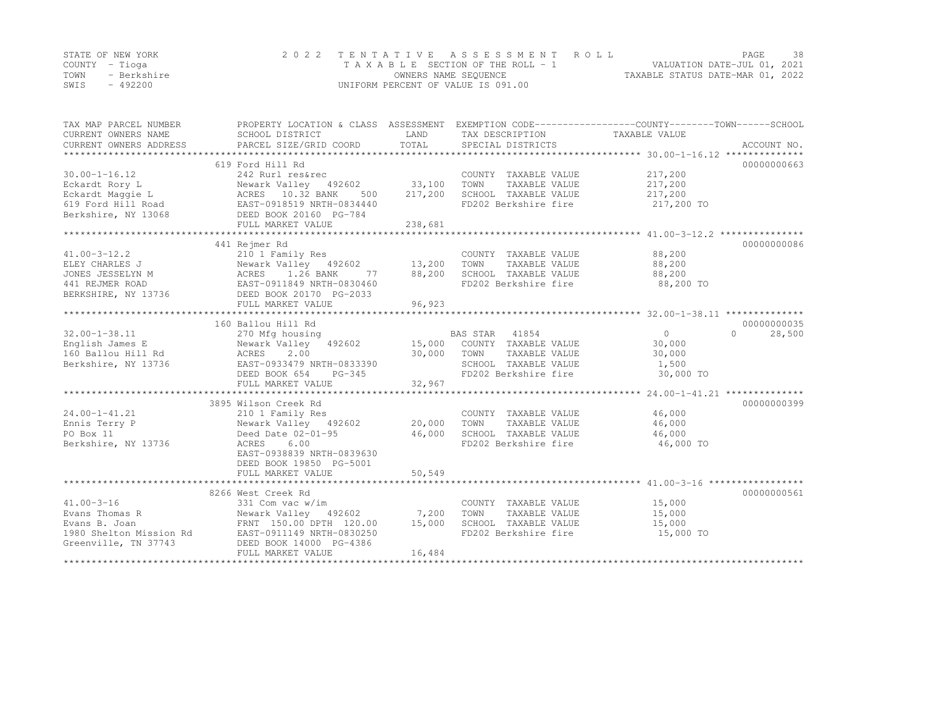|      | STATE OF NEW YORK | 2022 TENTATIVE ASSESSMENT ROLL     |                                  | PAGE | 38 |
|------|-------------------|------------------------------------|----------------------------------|------|----|
|      | COUNTY – Tioga    | TAXABLE SECTION OF THE ROLL - 1    | VALUATION DATE-JUL 01, 2021      |      |    |
| TOWN | - Berkshire       | OWNERS NAME SEQUENCE               | TAXABLE STATUS DATE-MAR 01, 2022 |      |    |
| SWIS | $-492200$         | UNIFORM PERCENT OF VALUE IS 091.00 |                                  |      |    |

| TAX MAP PARCEL NUMBER<br>CURRENT OWNERS NAME<br>CURRENT OWNERS ADDRESS | SCHOOL DISTRICT<br>PARCEL SIZE/GRID COORD                                                                                                                                                                             | LAND<br>TOTAL | TAX DESCRIPTION TAXABLE VALUE<br>SPECIAL DISTRICTS | PROPERTY LOCATION & CLASS ASSESSMENT EXEMPTION CODE---------------COUNTY-------TOWN-----SCHOOL | ACCOUNT NO. |
|------------------------------------------------------------------------|-----------------------------------------------------------------------------------------------------------------------------------------------------------------------------------------------------------------------|---------------|----------------------------------------------------|------------------------------------------------------------------------------------------------|-------------|
|                                                                        |                                                                                                                                                                                                                       |               |                                                    |                                                                                                |             |
|                                                                        | 619 Ford Hill Rd                                                                                                                                                                                                      |               |                                                    |                                                                                                | 00000000663 |
| $30.00 - 1 - 16.12$                                                    | 242 Rurl res&rec                                                                                                                                                                                                      |               | COUNTY TAXABLE VALUE                               | 217,200                                                                                        |             |
|                                                                        |                                                                                                                                                                                                                       |               | TOWN<br>TAXABLE VALUE                              | 217,200                                                                                        |             |
|                                                                        |                                                                                                                                                                                                                       |               | SCHOOL TAXABLE VALUE                               | 217,200                                                                                        |             |
|                                                                        | Eckardt Rory L<br>Eckardt Maggie L<br>Eckardt Maggie L<br>619 Ford Hill Road<br>Berkshire, NY 13068<br>EAST-0918519 NRTH-0834440<br>DEED BOOK 20160 PG-784                                                            |               | FD202 Berkshire fire                               | 217,200 TO                                                                                     |             |
|                                                                        | FULL MARKET VALUE                                                                                                                                                                                                     | 238,681       |                                                    |                                                                                                |             |
|                                                                        |                                                                                                                                                                                                                       |               |                                                    |                                                                                                |             |
|                                                                        | 441 Rejmer Rd                                                                                                                                                                                                         |               |                                                    |                                                                                                | 00000000086 |
|                                                                        | ELEY CHARLES J<br>ISLAM MEWARK Valley (192602)<br>JONES JESSELYN M (192602)<br>ACRES 1.26 BANK 77 (193,200<br>2011 REJMER ROAD (193736)<br>EAST-0911849 NRTH-0830460<br>EERKSHIRE, NY 13736 (DEED BOOK 20170 PG-2033) |               | COUNTY TAXABLE VALUE                               |                                                                                                |             |
|                                                                        |                                                                                                                                                                                                                       |               | TOWN TAXABLE VALUE                                 | 88,200<br>88,200                                                                               |             |
|                                                                        |                                                                                                                                                                                                                       |               | SCHOOL TAXABLE VALUE 88,200                        |                                                                                                |             |
|                                                                        |                                                                                                                                                                                                                       |               | FD202 Berkshire fire                               | 88,200 TO                                                                                      |             |
|                                                                        |                                                                                                                                                                                                                       |               |                                                    |                                                                                                |             |
|                                                                        |                                                                                                                                                                                                                       |               |                                                    |                                                                                                |             |
|                                                                        |                                                                                                                                                                                                                       |               |                                                    |                                                                                                |             |
|                                                                        | 160 Ballou Hill Rd                                                                                                                                                                                                    |               |                                                    |                                                                                                | 00000000035 |
| $32.00 - 1 - 38.11$                                                    | 270 Mfg housing                                                                                                                                                                                                       |               | BAS STAR 41854                                     | $\overline{0}$<br>$\Omega$                                                                     | 28,500      |
| English James E                                                        | Newark Valley 492602 15,000 COUNTY TAXABLE VALUE                                                                                                                                                                      |               |                                                    | 30,000                                                                                         |             |
|                                                                        | 2.00                                                                                                                                                                                                                  | 30,000        | TOWN<br>TAXABLE VALUE                              | 30,000                                                                                         |             |
| Berkshire, NY 13736                                                    | EAST-0933479 NRTH-0833390                                                                                                                                                                                             |               | SCHOOL TAXABLE VALUE 1,500                         |                                                                                                |             |
|                                                                        | DEED BOOK 654<br>PG-345                                                                                                                                                                                               |               | FD202 Berkshire fire 30,000 TO                     |                                                                                                |             |
|                                                                        |                                                                                                                                                                                                                       |               |                                                    |                                                                                                |             |
|                                                                        |                                                                                                                                                                                                                       |               |                                                    |                                                                                                |             |
|                                                                        | 3895 Wilson Creek Rd                                                                                                                                                                                                  |               |                                                    |                                                                                                | 00000000399 |
| 24.00-1-41.21                                                          |                                                                                                                                                                                                                       |               | COUNTY TAXABLE VALUE                               | 46,000                                                                                         |             |
| Ennis Terry P                                                          | 210 1 Family Res<br>Newark Valley 492602 20,000                                                                                                                                                                       |               | TOWN<br>TAXABLE VALUE                              | 46,000                                                                                         |             |
| PO Box 11                                                              | Deed Date 02-01-95                                                                                                                                                                                                    | 46,000        | SCHOOL TAXABLE VALUE                               |                                                                                                |             |
| Berkshire, NY 13736                                                    | 6.00<br>ACRES                                                                                                                                                                                                         |               | FD202 Berkshire fire                               | 46,000<br>46,000 TO                                                                            |             |
|                                                                        | EAST-0938839 NRTH-0839630                                                                                                                                                                                             |               |                                                    |                                                                                                |             |
|                                                                        | DEED BOOK 19850 PG-5001                                                                                                                                                                                               |               |                                                    |                                                                                                |             |
|                                                                        | FULL MARKET VALUE                                                                                                                                                                                                     | 50,549        |                                                    |                                                                                                |             |
|                                                                        |                                                                                                                                                                                                                       |               |                                                    |                                                                                                |             |
|                                                                        | 8266 West Creek Rd                                                                                                                                                                                                    |               |                                                    |                                                                                                | 00000000561 |
| $41.00 - 3 - 16$                                                       | 331 Com vac w/im                                                                                                                                                                                                      |               | COUNTY TAXABLE VALUE                               | 15,000                                                                                         |             |
| Evans Thomas R                                                         | Newark Valley 492602 7,200 TOWN                                                                                                                                                                                       |               | TAXABLE VALUE                                      | 15,000                                                                                         |             |
| Evans B. Joan                                                          |                                                                                                                                                                                                                       |               | SCHOOL TAXABLE VALUE                               | 15,000                                                                                         |             |
| 1980 Shelton Mission Rd                                                |                                                                                                                                                                                                                       |               | FD202 Berkshire fire                               | 15,000 TO                                                                                      |             |
| Greenville, TN 37743                                                   |                                                                                                                                                                                                                       |               |                                                    |                                                                                                |             |
|                                                                        | FULL MARKET VALUE                                                                                                                                                                                                     | 16,484        |                                                    |                                                                                                |             |
|                                                                        |                                                                                                                                                                                                                       |               |                                                    |                                                                                                |             |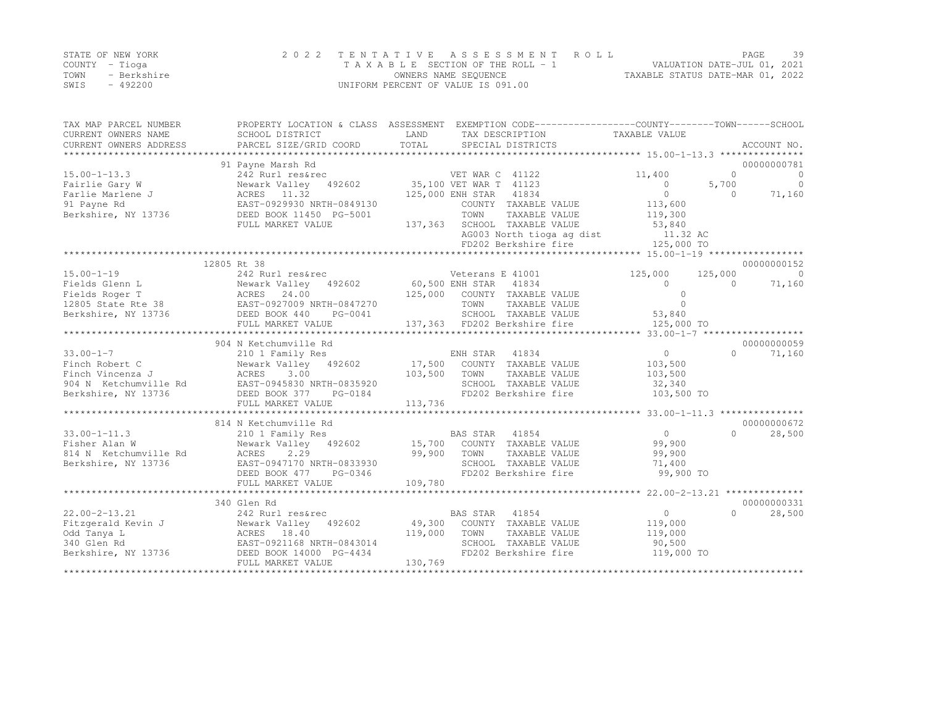|      | STATE OF NEW YORK | 2022 TENTATIVE ASSESSMENT ROLL     | 39<br>PAGE                       |
|------|-------------------|------------------------------------|----------------------------------|
|      | COUNTY – Tioga    | TAXABLE SECTION OF THE ROLL - 1    | VALUATION DATE-JUL 01, 2021      |
| TOWN | - Berkshire       | OWNERS NAME SEQUENCE               | TAXABLE STATUS DATE-MAR 01, 2022 |
| SWIS | - 492200          | UNIFORM PERCENT OF VALUE IS 091.00 |                                  |

| TAX MAP PARCEL NUMBER<br>CURRENT OWNERS NAME | PROPERTY LOCATION & CLASS ASSESSMENT EXEMPTION CODE----------------COUNTY-------TOWN-----SCHOOL<br>SCHOOL DISTRICT | LAND    |                        | TAX DESCRIPTION              | TAXABLE VALUE  |           |                         |
|----------------------------------------------|--------------------------------------------------------------------------------------------------------------------|---------|------------------------|------------------------------|----------------|-----------|-------------------------|
| CURRENT OWNERS ADDRESS                       | PARCEL SIZE/GRID COORD                                                                                             | TOTAL   |                        | SPECIAL DISTRICTS            |                |           | ACCOUNT NO.             |
|                                              |                                                                                                                    |         |                        |                              |                |           |                         |
| $15.00 - 1 - 13.3$                           | 91 Payne Marsh Rd<br>242 Rurl res&rec                                                                              |         | VET WAR C 41122        |                              | 11,400         | $\Omega$  | 00000000781<br>$\Omega$ |
| Fairlie Gary W                               | Newark Valley 492602                                                                                               |         | 35,100 VET WAR T 41123 |                              | $\circ$        | 5,700     | $\Omega$                |
| Farlie Marlene J                             | ACRES 11.32                                                                                                        |         | 125,000 ENH STAR       | 41834                        | $\circ$        | $\Omega$  | 71,160                  |
| 91 Payne Rd                                  | EAST-0929930 NRTH-0849130                                                                                          |         |                        | COUNTY TAXABLE VALUE         | 113,600        |           |                         |
| Berkshire, NY 13736                          | DEED BOOK 11450 PG-5001                                                                                            |         | TOWN                   | TAXABLE VALUE                | 119,300        |           |                         |
|                                              | FULL MARKET VALUE                                                                                                  | 137,363 |                        | SCHOOL TAXABLE VALUE         | 53,840         |           |                         |
|                                              |                                                                                                                    |         |                        | AG003 North tioga ag dist    | 11.32 AC       |           |                         |
|                                              |                                                                                                                    |         |                        | FD202 Berkshire fire         | 125,000 TO     |           |                         |
|                                              |                                                                                                                    |         |                        |                              |                |           |                         |
|                                              | 12805 Rt 38                                                                                                        |         |                        |                              |                |           | 00000000152             |
| $15.00 - 1 - 19$                             | 242 Rurl res&rec                                                                                                   |         | Veterans E 41001       |                              | 125,000        | 125,000   | $\overline{0}$          |
| Fields Glenn L                               | Newark Valley<br>492602                                                                                            |         | 60,500 ENH STAR        | 41834                        | $\cap$         | $\bigcap$ | 71,160                  |
| Fields Roger T                               | ACRES<br>24.00                                                                                                     | 125,000 |                        | COUNTY TAXABLE VALUE         | $\Omega$       |           |                         |
| 12805 State Rte 38                           | EAST-0927009 NRTH-0847270                                                                                          |         | TOWN                   | TAXABLE VALUE                | $\cap$         |           |                         |
| Berkshire, NY 13736                          | DEED BOOK 440<br>PG-0041                                                                                           |         |                        | SCHOOL TAXABLE VALUE         | 53,840         |           |                         |
|                                              | FULL MARKET VALUE                                                                                                  |         |                        | 137,363 FD202 Berkshire fire | 125,000 TO     |           |                         |
|                                              |                                                                                                                    |         |                        |                              |                |           |                         |
|                                              | 904 N Ketchumville Rd                                                                                              |         |                        |                              |                |           | 00000000059             |
| $33.00 - 1 - 7$                              | 210 1 Family Res                                                                                                   |         | ENH STAR               | 41834                        | $\overline{0}$ | $\Omega$  | 71,160                  |
| Finch Robert C                               | Newark Valley<br>492602                                                                                            | 17,500  |                        | COUNTY TAXABLE VALUE         | 103,500        |           |                         |
| Finch Vincenza J                             | ACRES<br>3.00                                                                                                      | 103,500 | TOWN                   | TAXABLE VALUE                | 103,500        |           |                         |
| 904 N Ketchumville Rd                        | EAST-0945830 NRTH-0835920                                                                                          |         |                        | SCHOOL TAXABLE VALUE         | 32,340         |           |                         |
| Berkshire, NY 13736                          | DEED BOOK 377<br>PG-0184                                                                                           |         |                        | FD202 Berkshire fire         | 103,500 TO     |           |                         |
|                                              | FULL MARKET VALUE                                                                                                  | 113,736 |                        |                              |                |           |                         |
|                                              |                                                                                                                    |         |                        |                              |                |           |                         |
|                                              | 814 N Ketchumville Rd                                                                                              |         |                        |                              |                |           | 00000000672             |
| $33.00 - 1 - 11.3$                           | 210 1 Family Res                                                                                                   |         | BAS STAR               | 41854                        | $\circ$        | $\Omega$  | 28,500                  |
| Fisher Alan W                                | Newark Valley<br>492602                                                                                            | 15,700  |                        | COUNTY TAXABLE VALUE         | 99,900         |           |                         |
| 814 N Ketchumville Rd                        | ACRES<br>2.29                                                                                                      | 99,900  | TOWN                   | TAXABLE VALUE                | 99,900         |           |                         |
| Berkshire, NY 13736                          | EAST-0947170 NRTH-0833930                                                                                          |         |                        | SCHOOL TAXABLE VALUE         | 71,400         |           |                         |
|                                              | DEED BOOK 477<br>PG-0346                                                                                           |         |                        | FD202 Berkshire fire         | 99,900 TO      |           |                         |
|                                              | FULL MARKET VALUE                                                                                                  | 109,780 |                        |                              |                |           |                         |
|                                              |                                                                                                                    |         |                        |                              |                |           |                         |
|                                              | 340 Glen Rd                                                                                                        |         |                        |                              |                |           | 00000000331             |
| $22.00 - 2 - 13.21$                          | 242 Rurl res&rec                                                                                                   |         | BAS STAR               | 41854                        | $\circ$        | $\cap$    | 28,500                  |
| Fitzgerald Kevin J                           | Newark Valley<br>492602                                                                                            | 49,300  |                        | COUNTY TAXABLE VALUE         | 119,000        |           |                         |
| Odd Tanya L                                  | ACRES<br>18.40                                                                                                     | 119,000 | TOWN                   | TAXABLE VALUE                | 119,000        |           |                         |
| 340 Glen Rd                                  | EAST-0921168 NRTH-0843014                                                                                          |         |                        | SCHOOL TAXABLE VALUE         | 90,500         |           |                         |
| Berkshire, NY 13736                          | DEED BOOK 14000 PG-4434                                                                                            |         |                        | FD202 Berkshire fire         | 119,000 TO     |           |                         |
|                                              | FULL MARKET VALUE                                                                                                  | 130,769 |                        |                              |                |           |                         |
|                                              |                                                                                                                    |         |                        |                              |                |           |                         |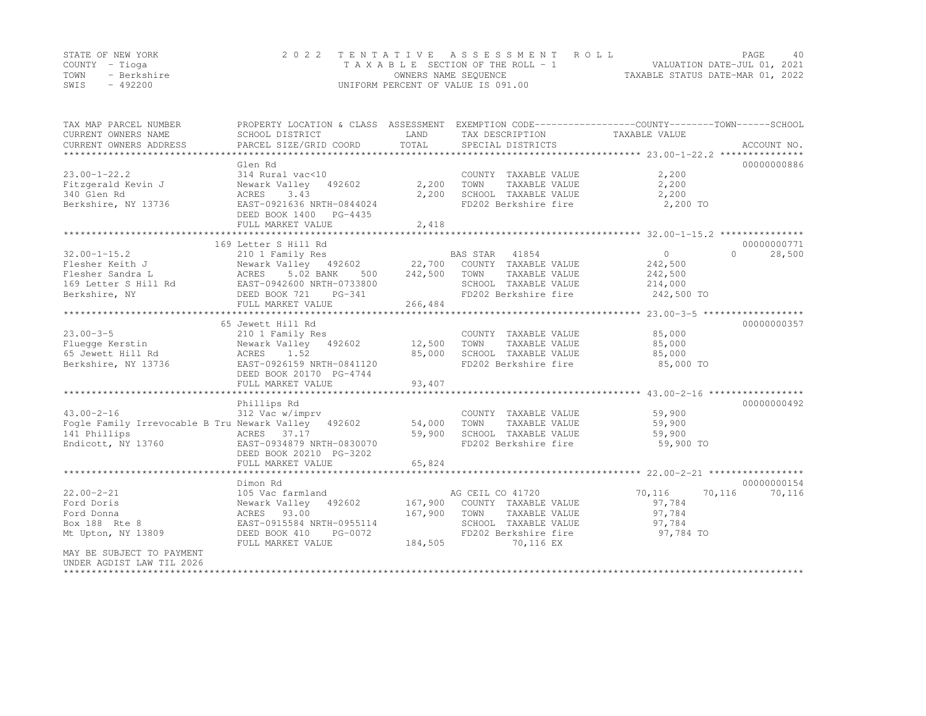|                | STATE OF NEW YORK | 2022 TENTATIVE ASSESSMENT ROLL     |                                  | PAGE.                       | 40 |
|----------------|-------------------|------------------------------------|----------------------------------|-----------------------------|----|
| COUNTY – Tioga |                   | TAXABLE SECTION OF THE ROLL - 1    |                                  | VALUATION DATE-JUL 01, 2021 |    |
| TOWN           | - Berkshire       | OWNERS NAME SEQUENCE               | TAXABLE STATUS DATE-MAR 01, 2022 |                             |    |
| SWIS           | $-492200$         | UNIFORM PERCENT OF VALUE IS 091.00 |                                  |                             |    |

| TAX MAP PARCEL NUMBER<br>CURRENT OWNERS NAME<br>CURRENT OWNERS ADDRESS                                                                                                                                                                                           | SCHOOL DISTRICT                                                                                                                                                                                             | LAND               | TAX DESCRIPTION TAXABLE VALUE                                                                         | PROPERTY LOCATION & CLASS ASSESSMENT EXEMPTION CODE---------------COUNTY-------TOWN-----SCHOOL |
|------------------------------------------------------------------------------------------------------------------------------------------------------------------------------------------------------------------------------------------------------------------|-------------------------------------------------------------------------------------------------------------------------------------------------------------------------------------------------------------|--------------------|-------------------------------------------------------------------------------------------------------|------------------------------------------------------------------------------------------------|
| $23.00 - 1 - 22.2$<br>Berkshire, NY 13736 EAST-0921636 NRTH-0844024                                                                                                                                                                                              | Glen Rd<br>314 Rural vac<10<br>DEED BOOK 1400 PG-4435<br>FULL MARKET VALUE                                                                                                                                  | 2,418              | COUNTY TAXABLE VALUE<br>TOWN<br>TAXABLE VALUE<br>SCHOOL TAXABLE VALUE<br>FD202 Berkshire fire         | 00000000886<br>2,200<br>2,200<br>2,200<br>2,200 TO                                             |
|                                                                                                                                                                                                                                                                  |                                                                                                                                                                                                             |                    |                                                                                                       |                                                                                                |
| $32.00 - 1 - 15.2$<br>Flesher Keith J<br>Flesher Keith J<br>Flesher Sandra L<br>ACRES 5.02 BANK 500 242,500 TOWN TAXABLE VALUE<br>Reflesher Section Later S Hill Rd<br>Berkshire, NY DEED BOOK 721 PG-341 FD202 Berkshire fire<br>MERS 5.02 BANK 500 242,500 TOW | 169 Letter S Hill Rd<br>210 1 Family Res<br>FULL MARKET VALUE                                                                                                                                               | 266,484            | BAS STAR 41854<br>FD202 Berkshire fire 242,500 TO                                                     | 00000000771<br>$\overline{0}$<br>$\cap$<br>28,500<br>242,500<br>242,500<br>214,000             |
|                                                                                                                                                                                                                                                                  | 65 Jewett Hill Rd                                                                                                                                                                                           |                    |                                                                                                       | 00000000357                                                                                    |
| $23.00 - 3 - 5$<br>Fluegge Kerstin<br>Berkshire, NY 13736                                                                                                                                                                                                        | 210 1 Family Res<br>Newark Valley 492602 12,500<br>EAST-0926159 NRTH-0841120<br>DEED BOOK 20170 PG-4744<br>FULL MARKET VALUE                                                                                | 85,000<br>93,407   | COUNTY TAXABLE VALUE<br>TAXABLE VALUE<br>TOWN<br>SCHOOL TAXABLE VALUE<br>FD202 Berkshire fire         | 85,000<br>85,000<br>85,000<br>85,000 TO                                                        |
|                                                                                                                                                                                                                                                                  | Phillips Rd                                                                                                                                                                                                 |                    |                                                                                                       | 00000000492                                                                                    |
| $43.00 - 2 - 16$<br>Fogle Family Irrevocable B Tru Newark Valley 492602 54,000<br>141 Phillips<br>Endicott, NY 13760 EAST-0934879 NRTH-0830070                                                                                                                   | 312 Vac w/imprv<br>ACRES 37.17<br>DEED BOOK 20210 PG-3202<br>FULL MARKET VALUE                                                                                                                              | 59,900<br>65,824   | COUNTY TAXABLE VALUE<br>TOWN<br>TAXABLE VALUE<br>SCHOOL TAXABLE VALUE<br>FD202 Berkshire fire         | 59,900<br>59,900<br>59,900<br>59,900 TO                                                        |
|                                                                                                                                                                                                                                                                  |                                                                                                                                                                                                             |                    |                                                                                                       |                                                                                                |
| $22.00 - 2 - 21$<br>Ford Doris<br>Ford Donna<br>Box 188 Rte 8<br>Mt Upton, NY 13809<br>MAY BE SUBJECT TO PAYMENT<br>UNDER AGDIST LAW TIL 2026                                                                                                                    | Dimon Rd<br>105 Vac farmland<br>Newark Valley 492602 167,900 COUNTY TAXABLE VALUE<br>ACRES 93.00 167,900 TOUNTY TAXABLE VALUE<br>EAST-0915584 NRTH-0955114<br>DEED BOOK 410<br>PG-0072<br>FULL MARKET VALUE | 167,900<br>184,505 | AG CEIL CO 41720<br>TAXABLE VALUE<br>SCHOOL TAXABLE VALUE 97,784<br>FD202 Berkshire fire<br>70,116 EX | 00000000154<br>70,116<br>70,116<br>70,116<br>97,784<br>97,784<br>97,784 TO                     |

\*\*\*\*\*\*\*\*\*\*\*\*\*\*\*\*\*\*\*\*\*\*\*\*\*\*\*\*\*\*\*\*\*\*\*\*\*\*\*\*\*\*\*\*\*\*\*\*\*\*\*\*\*\*\*\*\*\*\*\*\*\*\*\*\*\*\*\*\*\*\*\*\*\*\*\*\*\*\*\*\*\*\*\*\*\*\*\*\*\*\*\*\*\*\*\*\*\*\*\*\*\*\*\*\*\*\*\*\*\*\*\*\*\*\*\*\*\*\*\*\*\*\*\*\*\*\*\*\*\*\*\*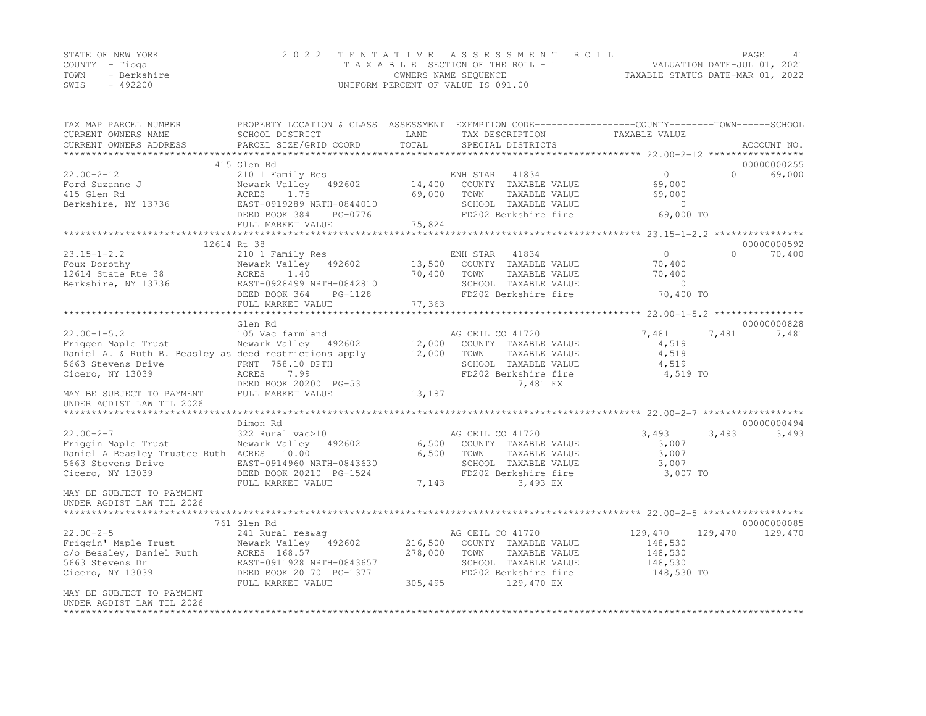|      | STATE OF NEW YORK | 2022 TENTATIVE ASSESSMENT ROLL     |                                  | PAGE. |  |
|------|-------------------|------------------------------------|----------------------------------|-------|--|
|      | COUNTY – Tioga    | TAXABLE SECTION OF THE ROLL - 1    | VALUATION DATE-JUL 01, 2021      |       |  |
| TOWN | - Berkshire       | OWNERS NAME SEQUENCE               | TAXABLE STATUS DATE-MAR 01, 2022 |       |  |
| SWIS | - 492200          | UNIFORM PERCENT OF VALUE IS 091.00 |                                  |       |  |

| TAX MAP PARCEL NUMBER<br>CURRENT OWNERS NAME<br>CURRENT OWNERS ADDRESS | SCHOOL DISTRICT<br>PARCEL SIZE/GRID COORD     | LAND<br>TOTAL      | TAX DESCRIPTION<br>SPECIAL DISTRICTS  | PROPERTY LOCATION & CLASS ASSESSMENT EXEMPTION CODE----------------COUNTY-------TOWN-----SCHOOL<br>TAXABLE VALUE | ACCOUNT NO. |
|------------------------------------------------------------------------|-----------------------------------------------|--------------------|---------------------------------------|------------------------------------------------------------------------------------------------------------------|-------------|
| *************************                                              |                                               |                    |                                       |                                                                                                                  | *****       |
|                                                                        | 415 Glen Rd                                   |                    |                                       |                                                                                                                  | 00000000255 |
| $22.00 - 2 - 12$                                                       | 210 1 Family Res                              |                    | ENH STAR<br>41834                     | $\circ$<br>$\Omega$                                                                                              | 69,000      |
| Ford Suzanne J                                                         | Newark Valley<br>492602                       | 14,400             | COUNTY TAXABLE VALUE                  | 69,000                                                                                                           |             |
| 415 Glen Rd                                                            | 1.75<br>ACRES                                 | 69,000             | TOWN<br>TAXABLE VALUE                 | 69,000                                                                                                           |             |
| Berkshire, NY 13736                                                    | EAST-0919289 NRTH-0844010                     |                    | SCHOOL TAXABLE VALUE                  | $\overline{0}$                                                                                                   |             |
|                                                                        | DEED BOOK 384<br>PG-0776<br>FULL MARKET VALUE | 75,824             | FD202 Berkshire fire                  | 69,000 TO                                                                                                        |             |
|                                                                        | ****************                              |                    |                                       |                                                                                                                  |             |
|                                                                        | 12614 Rt 38                                   |                    |                                       |                                                                                                                  | 00000000592 |
| $23.15 - 1 - 2.2$                                                      | 210 1 Family Res                              |                    | 41834<br>ENH STAR                     | $\circ$<br>$\Omega$                                                                                              | 70,400      |
| Foux Dorothy                                                           | Newark Valley 492602                          | 13,500             | COUNTY TAXABLE VALUE                  | 70,400                                                                                                           |             |
| 12614 State Rte 38                                                     | 1.40<br>ACRES                                 | 70,400             | TAXABLE VALUE<br>TOWN                 | 70,400                                                                                                           |             |
| Berkshire, NY 13736                                                    | EAST-0928499 NRTH-0842810                     |                    | SCHOOL TAXABLE VALUE                  | $\Omega$                                                                                                         |             |
|                                                                        | DEED BOOK 364<br>PG-1128                      |                    | FD202 Berkshire fire                  | 70,400 TO                                                                                                        |             |
|                                                                        | FULL MARKET VALUE                             | 77,363             |                                       |                                                                                                                  |             |
|                                                                        | ************************                      | **********         |                                       | ********************** 22.00-1-5.2 ****************                                                              |             |
|                                                                        | Glen Rd                                       |                    |                                       |                                                                                                                  | 00000000828 |
| $22.00 - 1 - 5.2$                                                      | 105 Vac farmland                              |                    | AG CEIL CO 41720                      | 7,481<br>7,481                                                                                                   | 7,481       |
| Friggen Maple Trust                                                    | Newark Valley 492602                          | 12,000             | COUNTY TAXABLE VALUE                  | 4,519                                                                                                            |             |
| Daniel A. & Ruth B. Beasley as deed restrictions apply                 |                                               | 12,000             | TAXABLE VALUE<br>TOWN                 | 4,519                                                                                                            |             |
| 5663 Stevens Drive                                                     | FRNT 758.10 DPTH                              |                    | SCHOOL TAXABLE VALUE                  | 4,519                                                                                                            |             |
| Cicero, NY 13039                                                       | 7.99<br>ACRES                                 |                    | FD202 Berkshire fire                  | 4,519 TO                                                                                                         |             |
|                                                                        | DEED BOOK 20200 PG-53                         |                    | 7,481 EX                              |                                                                                                                  |             |
| MAY BE SUBJECT TO PAYMENT<br>UNDER AGDIST LAW TIL 2026                 | FULL MARKET VALUE                             | 13,187             |                                       |                                                                                                                  |             |
|                                                                        |                                               |                    |                                       |                                                                                                                  |             |
|                                                                        | Dimon Rd                                      |                    |                                       |                                                                                                                  | 00000000494 |
| $22.00 - 2 - 7$                                                        | 322 Rural vac>10                              |                    | AG CEIL CO 41720                      | 3,493<br>3,493                                                                                                   | 3,493       |
| Friggin Maple Trust                                                    | Newark Valley<br>492602                       | 6,500              | COUNTY TAXABLE VALUE                  | 3,007                                                                                                            |             |
| Daniel A Beasley Trustee Ruth ACRES 10.00                              |                                               | 6,500              | TOWN<br>TAXABLE VALUE                 | 3,007                                                                                                            |             |
| 5663 Stevens Drive                                                     | EAST-0914960 NRTH-0843630                     |                    | SCHOOL TAXABLE VALUE                  | 3,007                                                                                                            |             |
| Cicero, NY 13039                                                       | DEED BOOK 20210 PG-1524                       |                    | FD202 Berkshire fire                  | 3,007 TO                                                                                                         |             |
|                                                                        | FULL MARKET VALUE                             | 7,143              | 3,493 EX                              |                                                                                                                  |             |
| MAY BE SUBJECT TO PAYMENT                                              |                                               |                    |                                       |                                                                                                                  |             |
| UNDER AGDIST LAW TIL 2026                                              |                                               |                    |                                       |                                                                                                                  |             |
|                                                                        |                                               |                    |                                       |                                                                                                                  |             |
|                                                                        | 761 Glen Rd                                   |                    |                                       |                                                                                                                  | 00000000085 |
| $22.00 - 2 - 5$                                                        | 241 Rural res&aq                              |                    | AG CEIL CO 41720                      | 129,470<br>129,470                                                                                               | 129,470     |
| Friggin' Maple Trust<br>c/o Beasley, Daniel Ruth                       | Newark Valley 492602                          | 216,500<br>278,000 | COUNTY TAXABLE VALUE<br>TOWN          | 148,530<br>148,530                                                                                               |             |
| 5663 Stevens Dr                                                        | ACRES 168.57<br>EAST-0911928 NRTH-0843657     |                    | TAXABLE VALUE<br>SCHOOL TAXABLE VALUE | 148,530                                                                                                          |             |
| Cicero, NY 13039                                                       | DEED BOOK 20170 PG-1377                       |                    | FD202 Berkshire fire                  | 148,530 TO                                                                                                       |             |
|                                                                        | FULL MARKET VALUE                             | 305,495            | 129,470 EX                            |                                                                                                                  |             |
| MAY BE SUBJECT TO PAYMENT                                              |                                               |                    |                                       |                                                                                                                  |             |
| UNDER AGDIST LAW TIL 2026                                              |                                               |                    |                                       |                                                                                                                  |             |
|                                                                        |                                               |                    |                                       |                                                                                                                  |             |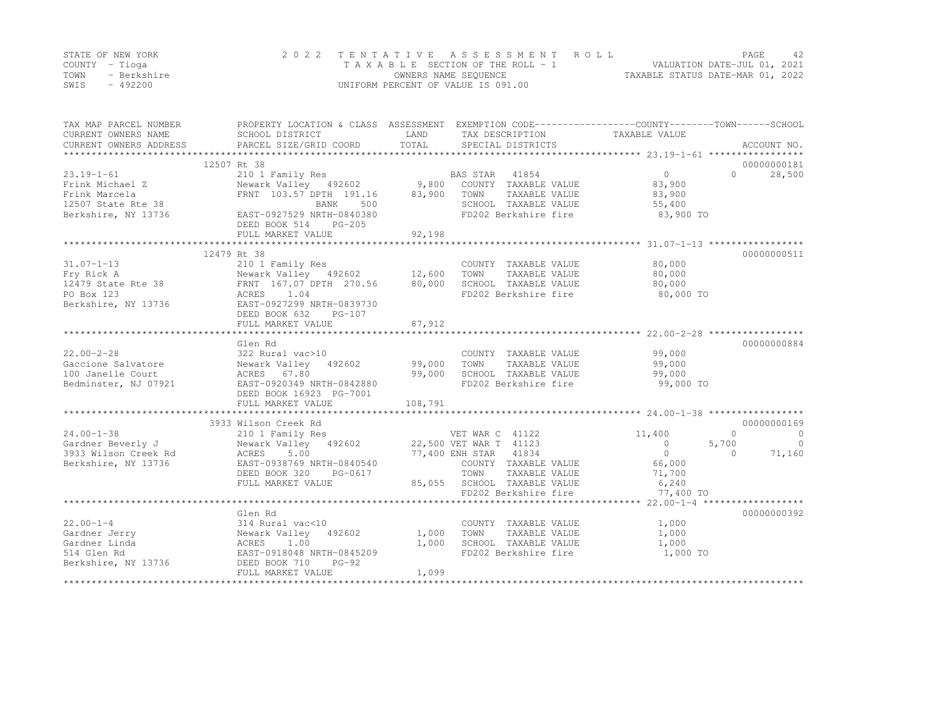|      | STATE OF NEW YORK | 2022 TENTATIVE ASSESSMENT ROLL     | PAGE.                            |  |
|------|-------------------|------------------------------------|----------------------------------|--|
|      | COUNTY – Tioga    | TAXABLE SECTION OF THE ROLL - 1    | VALUATION DATE-JUL 01, 2021      |  |
| TOWN | - Berkshire       | OWNERS NAME SEQUENCE               | TAXABLE STATUS DATE-MAR 01, 2022 |  |
| SWIS | $-492200$         | UNIFORM PERCENT OF VALUE IS 091.00 |                                  |  |

| TAX MAP PARCEL NUMBER<br>CURRENT OWNERS NAME<br>CURRENT OWNERS ADDRESS | SCHOOL DISTRICT<br>PARCEL SIZE/GRID COORD              | LAND<br>TOTAL | TAX DESCRIPTION<br>SPECIAL DISTRICTS | PROPERTY LOCATION & CLASS ASSESSMENT EXEMPTION CODE----------------COUNTY-------TOWN-----SCHOOL<br>TAXABLE VALUE | ACCOUNT NO. |
|------------------------------------------------------------------------|--------------------------------------------------------|---------------|--------------------------------------|------------------------------------------------------------------------------------------------------------------|-------------|
|                                                                        |                                                        |               |                                      |                                                                                                                  |             |
|                                                                        | 12507 Rt 38                                            |               |                                      |                                                                                                                  | 00000000181 |
| $23.19 - 1 - 61$                                                       | 210 1 Family Res                                       |               | 41854<br>BAS STAR                    | 0<br>$\cap$                                                                                                      | 28,500      |
| Frink Michael Z                                                        | Newark Valley 492602                                   | 9,800         | COUNTY TAXABLE VALUE                 | 83,900                                                                                                           |             |
| Frink Marcela                                                          | FRNT 103.57 DPTH 191.16                                | 83,900        | TOWN<br>TAXABLE VALUE                | 83,900                                                                                                           |             |
| 12507 State Rte 38                                                     | BANK<br>500                                            |               | SCHOOL TAXABLE VALUE                 | 55,400                                                                                                           |             |
| Berkshire, NY 13736                                                    | EAST-0927529 NRTH-0840380<br>DEED BOOK 514<br>$PG-205$ |               | FD202 Berkshire fire                 | 83,900 TO                                                                                                        |             |
|                                                                        | FULL MARKET VALUE                                      | 92,198        |                                      |                                                                                                                  |             |
|                                                                        | *********************************                      |               |                                      |                                                                                                                  |             |
|                                                                        | 12479 Rt 38                                            |               |                                      |                                                                                                                  | 00000000511 |
| $31.07 - 1 - 13$                                                       | 210 1 Family Res                                       |               | COUNTY TAXABLE VALUE                 | 80,000                                                                                                           |             |
| Fry Rick A                                                             | Newark Valley 492602 12,600                            |               | TOWN<br>TAXABLE VALUE                | 80,000                                                                                                           |             |
| 12479 State Rte 38                                                     | FRNT 167.07 DPTH 270.56                                | 80,000        | SCHOOL TAXABLE VALUE                 | 80,000                                                                                                           |             |
| PO Box 123                                                             | ACRES<br>1.04                                          |               | FD202 Berkshire fire                 | 80,000 TO                                                                                                        |             |
| Berkshire, NY 13736                                                    | EAST-0927299 NRTH-0839730<br>DEED BOOK 632<br>PG-107   |               |                                      |                                                                                                                  |             |
|                                                                        | FULL MARKET VALUE                                      | 87,912        |                                      |                                                                                                                  |             |
|                                                                        |                                                        |               |                                      |                                                                                                                  |             |
|                                                                        | Glen Rd                                                |               |                                      |                                                                                                                  | 00000000884 |
| $22.00 - 2 - 28$                                                       | 322 Rural vac>10                                       |               | COUNTY TAXABLE VALUE                 | 99,000                                                                                                           |             |
| Gaccione Salvatore                                                     | Newark Valley<br>492602                                | 99,000        | TOWN<br>TAXABLE VALUE                | 99,000                                                                                                           |             |
| 100 Janelle Court                                                      | ACRES 67.80                                            | 99,000        | SCHOOL TAXABLE VALUE                 | 99,000                                                                                                           |             |
| Bedminster, NJ 07921                                                   | EAST-0920349 NRTH-0842880                              |               | FD202 Berkshire fire                 | 99,000 TO                                                                                                        |             |
|                                                                        | DEED BOOK 16923 PG-7001                                |               |                                      |                                                                                                                  |             |
|                                                                        | FULL MARKET VALUE                                      | 108,791       |                                      |                                                                                                                  |             |
|                                                                        |                                                        |               |                                      |                                                                                                                  |             |
|                                                                        | 3933 Wilson Creek Rd                                   |               |                                      |                                                                                                                  | 00000000169 |
| $24.00 - 1 - 38$                                                       | 210 1 Family Res                                       |               | VET WAR C 41122                      | $\Omega$<br>11,400                                                                                               | $\bigcirc$  |
| Gardner Beverly J                                                      | Newark Valley 492602                                   |               | 22,500 VET WAR T 41123               | 5,700<br>$\Omega$                                                                                                | $\bigcirc$  |
| 3933 Wilson Creek Rd                                                   | ACRES<br>5.00                                          |               | 77,400 ENH STAR 41834                | $\circ$<br>$\Omega$                                                                                              | 71,160      |
| Berkshire, NY 13736                                                    | EAST-0938769 NRTH-0840540                              |               | COUNTY TAXABLE VALUE                 | 66,000                                                                                                           |             |
|                                                                        | DEED BOOK 320<br>PG-0617                               |               | TOWN<br>TAXABLE VALUE                | 71,700                                                                                                           |             |
|                                                                        | FULL MARKET VALUE                                      | 85,055        | SCHOOL TAXABLE VALUE                 | 6,240                                                                                                            |             |
|                                                                        |                                                        |               | FD202 Berkshire fire                 | 77,400 TO                                                                                                        |             |
|                                                                        |                                                        |               |                                      |                                                                                                                  |             |
|                                                                        | Glen Rd                                                |               |                                      |                                                                                                                  | 00000000392 |
| $22.00 - 1 - 4$                                                        | 314 Rural vac<10                                       |               | COUNTY TAXABLE VALUE                 | 1,000                                                                                                            |             |
| Gardner Jerry                                                          | Newark Valley 492602                                   | 1,000         | TAXABLE VALUE<br>TOWN                | 1,000                                                                                                            |             |
| Gardner Linda                                                          | ACRES<br>1.00                                          | 1,000         | SCHOOL TAXABLE VALUE                 | 1,000                                                                                                            |             |
| 514 Glen Rd                                                            | EAST-0918048 NRTH-0845209                              |               | FD202 Berkshire fire                 | 1,000 TO                                                                                                         |             |
| Berkshire, NY 13736                                                    | DEED BOOK 710<br>$PG-92$                               |               |                                      |                                                                                                                  |             |
|                                                                        | FULL MARKET VALUE                                      | 1,099         |                                      |                                                                                                                  |             |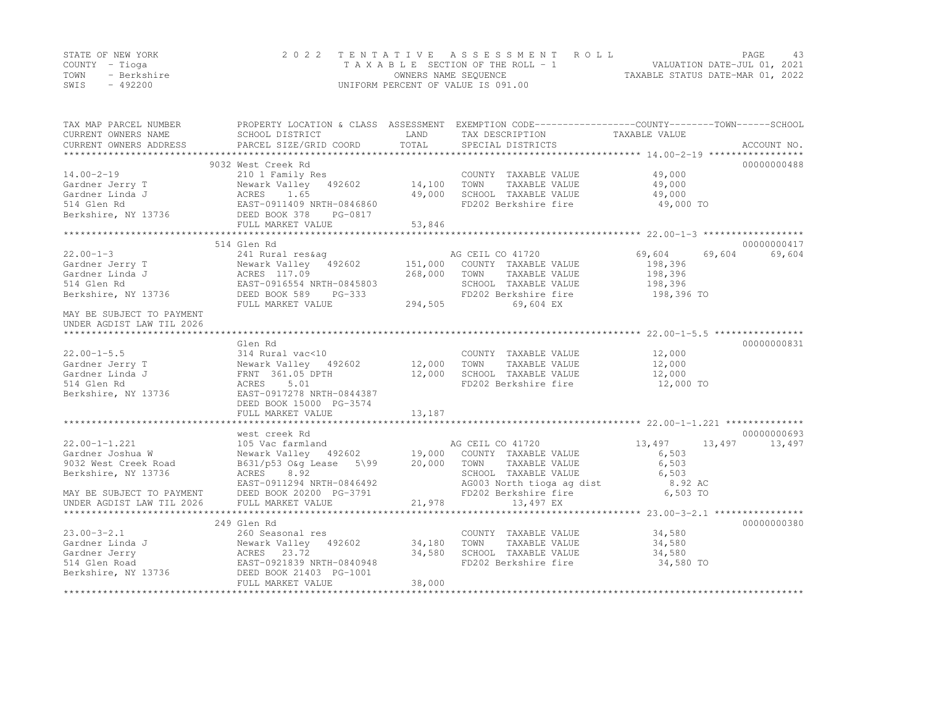|      | STATE OF NEW YORK | 2022 TENTATIVE ASSESSMENT ROLL     | PAGE                             | -43 |
|------|-------------------|------------------------------------|----------------------------------|-----|
|      | COUNTY – Tioga    | TAXABLE SECTION OF THE ROLL - 1    | VALUATION DATE-JUL 01, 2021      |     |
| TOWN | - Berkshire       | OWNERS NAME SEQUENCE               | TAXABLE STATUS DATE-MAR 01, 2022 |     |
| SWIS | - 492200          | UNIFORM PERCENT OF VALUE IS 091.00 |                                  |     |

| TAX MAP PARCEL NUMBER<br>CURRENT OWNERS NAME<br>CURRENT OWNERS ADDRESS                                                                                | PROPERTY LOCATION & CLASS ASSESSMENT<br>SCHOOL DISTRICT<br>PARCEL SIZE/GRID COORD                                                                                                    | LAND<br>TOTAL                 | TAX DESCRIPTION<br>SPECIAL DISTRICTS                                                                                                                | EXEMPTION CODE-----------------COUNTY-------TOWN------SCHOOL<br>TAXABLE VALUE | ACCOUNT NO. |
|-------------------------------------------------------------------------------------------------------------------------------------------------------|--------------------------------------------------------------------------------------------------------------------------------------------------------------------------------------|-------------------------------|-----------------------------------------------------------------------------------------------------------------------------------------------------|-------------------------------------------------------------------------------|-------------|
| $14.00 - 2 - 19$<br>Gardner Jerry T<br>Gardner Linda J<br>514 Glen Rd<br>Berkshire, NY 13736 DEED BOOK 378                                            | 9032 West Creek Rd<br>210 1 Family Res<br>Newark Valley 492602<br>ACRES 1.65<br>EAST-0911409 NRTH-0846860<br>PG-0817<br>FULL MARKET VALUE                                            | 14,100<br>49,000<br>53,846    | COUNTY TAXABLE VALUE<br>TOWN<br>TAXABLE VALUE<br>SCHOOL TAXABLE VALUE<br>FD202 Berkshire fire                                                       | 49,000<br>49,000<br>49,000<br>49,000 TO                                       | 00000000488 |
|                                                                                                                                                       | 514 Glen Rd                                                                                                                                                                          |                               |                                                                                                                                                     |                                                                               | 00000000417 |
| $22.00 - 1 - 3$<br>Gardner Jerry T<br>Gardner Linda J<br>514 Glen Rd<br>Berkshire, NY 13736<br>MAY BE SUBJECT TO PAYMENT<br>UNDER AGDIST LAW TIL 2026 | 241 Rural res&aq<br>Newark Valley 192602<br>ACRES 117.09<br>EAST-0916554 NRTH-0845803<br>DEED BOOK 589<br>PG-333<br>FULL MARKET VALUE                                                | 151,000<br>268,000<br>294,505 | AG CEIL CO 41720<br>COUNTY TAXABLE VALUE<br>TOWN<br>TAXABLE VALUE<br>SCHOOL TAXABLE VALUE<br>FD202 Berkshire fire<br>69,604 EX                      | 69,604<br>69,604<br>198,396<br>198,396<br>198,396<br>198,396 TO               | 69,604      |
|                                                                                                                                                       | Glen Rd                                                                                                                                                                              |                               |                                                                                                                                                     |                                                                               | 00000000831 |
| $22.00 - 1 - 5.5$<br>Gardner Jerry T<br>Gardner Linda J<br>514 Glen Rd<br>Berkshire, NY 13736                                                         | 314 Rural vac<10<br>Newark Valley 492602 12,000 TOWN<br>FRNT 361.05 DPTH<br>5.01<br>ACRES<br>EAST-0917278 NRTH-0844387<br>DEED BOOK 15000 PG-3574<br>FULL MARKET VALUE               | 12,000<br>13,187              | COUNTY TAXABLE VALUE<br>TAXABLE VALUE<br>SCHOOL TAXABLE VALUE<br>FD202 Berkshire fire                                                               | 12,000<br>12,000<br>12,000<br>12,000 TO                                       |             |
|                                                                                                                                                       | west creek Rd                                                                                                                                                                        |                               |                                                                                                                                                     |                                                                               | 00000000693 |
| $22.00 - 1 - 1.221$<br>Gardner Joshua W<br>9032 West Creek Road<br>Berkshire, NY 13736<br>MAY BE SUBJECT TO PAYMENT<br>UNDER AGDIST LAW TIL 2026      | 105 Vac farmland<br>Newark Valley 492602 19,000<br>B631/p53 O&g Lease 5\99 20,000 TOWN<br>ACRES<br>8.92<br>EAST-0911294 NRTH-0846492<br>DEED BOOK 20200 PG-3791<br>FULL MARKET VALUE | 21,978                        | AG CEIL CO 41720<br>COUNTY TAXABLE VALUE<br>TAXABLE VALUE<br>SCHOOL TAXABLE VALUE<br>AG003 North tioga ag dist<br>FD202 Berkshire fire<br>13,497 EX | 13,497<br>13,497<br>6,503<br>6,503<br>6,503<br>8.92 AC<br>6,503 TO            | 13,497      |
|                                                                                                                                                       | 249 Glen Rd                                                                                                                                                                          |                               |                                                                                                                                                     |                                                                               | 00000000380 |
| $23.00 - 3 - 2.1$<br>Gardner Linda J Newark Valley 492602<br>Gardner Jerry<br>514 Glen Road<br>Berkshire, NY 13736                                    | 260 Seasonal res<br>ACRES 23.72<br>EAST-0921839 NRTH-0840948<br>DEED BOOK 21403 PG-1001<br>FULL MARKET VALUE                                                                         | 34,180<br>34,580<br>38,000    | COUNTY TAXABLE VALUE<br>TOWN<br>TAXABLE VALUE<br>SCHOOL TAXABLE VALUE<br>FD202 Berkshire fire                                                       | 34,580<br>34,580<br>34,580<br>34,580 TO                                       |             |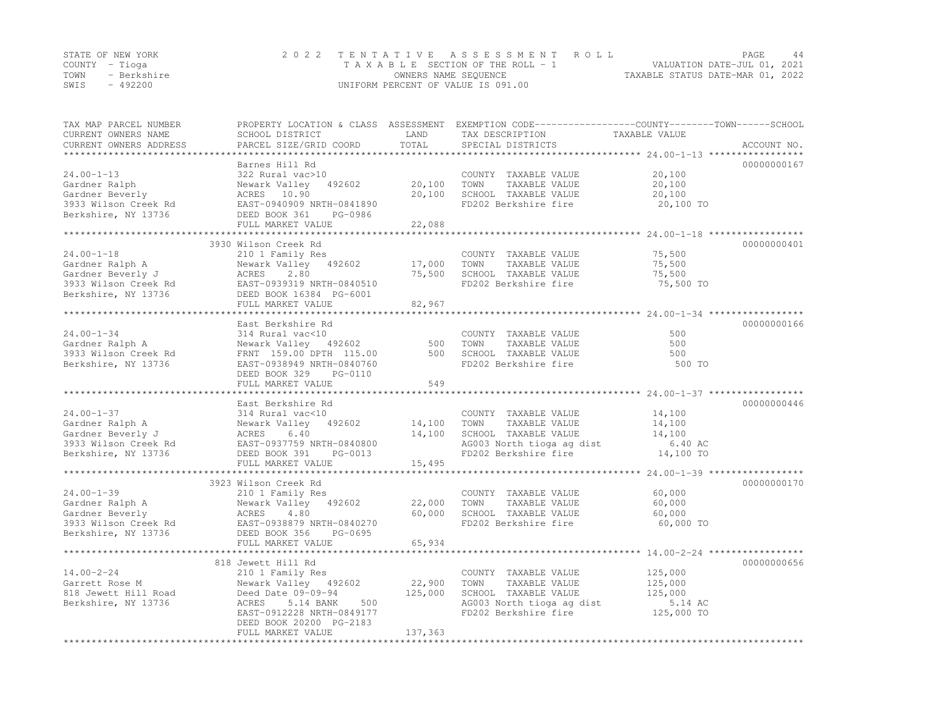|      | STATE OF NEW YORK | 2022 TENTATIVE ASSESSMENT ROLL                           | <b>PAGE</b>                 |  |
|------|-------------------|----------------------------------------------------------|-----------------------------|--|
|      | COUNTY – Tioga    | TAXABLE SECTION OF THE ROLL - 1                          | VALUATION DATE-JUL 01, 2021 |  |
| TOWN | - Berkshire       | TAXABLE STATUS DATE-MAR 01, 2022<br>OWNERS NAME SEQUENCE |                             |  |
| SWIS | - 492200          | UNIFORM PERCENT OF VALUE IS 091.00                       |                             |  |

| TAX MAP PARCEL NUMBER<br>CURRENT OWNERS NAME<br>CURRENT OWNERS ADDRESS                                                                                                                                                   | PROPERTY LOCATION & CLASS ASSESSMENT EXEMPTION CODE----------------COUNTY-------TOWN-----SCHOOL<br>SCHOOL DISTRICT<br>PARCEL SIZE/GRID COORD                                                   | LAND<br>TOTAL                | TAX DESCRIPTION<br>SPECIAL DISTRICTS                                                                                                               | TAXABLE VALUE                                                                 | ACCOUNT NO. |
|--------------------------------------------------------------------------------------------------------------------------------------------------------------------------------------------------------------------------|------------------------------------------------------------------------------------------------------------------------------------------------------------------------------------------------|------------------------------|----------------------------------------------------------------------------------------------------------------------------------------------------|-------------------------------------------------------------------------------|-------------|
| $24.00 - 1 - 13$<br>Gardner Ralph<br>Gardner Beverly<br>3933 Wilson Creek Rd<br>Berkshire, NY 13736                                                                                                                      | Barnes Hill Rd<br>322 Rural vac>10<br>Newark Valley 492602<br>ACRES 10.90<br>EAST-0940909 NRTH-0841890<br>DEED BOOK 361<br>PG-0986<br>FULL MARKET VALUE                                        | 20,100<br>20,100<br>22,088   | COUNTY TAXABLE VALUE<br>TAXABLE VALUE<br>TOWN<br>SCHOOL TAXABLE VALUE<br>FD202 Berkshire fire                                                      | 20,100<br>20,100<br>20,100<br>20,100 TO                                       | 00000000167 |
| $24.00 - 1 - 18$<br>Gardner Ralph A<br>Gardner Beverly J<br>3933 Wilson Creek Rd<br>Berkshire, NY 13736<br>EAST-0939319 NRTH-0840510<br>DEED BOOK 16384<br>DEED BOOK 16384<br>PG-6001<br>FUII MAPKET VALUE               | 3930 Wilson Creek Rd<br>210 1 Family Res<br>Newark Valley 492602<br>FULL MARKET VALUE                                                                                                          | 17,000<br>82,967             | COUNTY TAXABLE VALUE<br>TOWN<br>TAXABLE VALUE<br>75,500 SCHOOL TAXABLE VALUE<br>FD202 Berkshire fire                                               | 75,500<br>75,500<br>75,500<br>75,500 TO                                       | 00000000401 |
| $24.00 - 1 - 34$<br>Gardner Ralph A<br>3933 Wilson Creek Rd<br>Berkshire, NY 13736                                                                                                                                       | East Berkshire Rd<br>314 Rural vac<10<br>Newark Valley 492602 500<br>FRNT 159.00 DPTH 115.00 500<br>EAST-0938949 NRTH-0840760<br>DEED BOOK 329<br>PG-0110<br>FULL MARKET VALUE                 | 500<br>549<br>************** | COUNTY TAXABLE VALUE<br>TOWN<br>TAXABLE VALUE<br>TOWN       TAXABLE  VALUE<br>SCHOOL    TAXABLE  VALUE<br>FD202 Berkshire fire                     | 500<br>500<br>500<br>500 TO<br>**************** 24.00-1-37 ****************** | 00000000166 |
| $24.00 - 1 - 37$<br>Gardner Ralph A<br>Gardner Beverly J<br>3933 Wilson Creek Rd<br>Berkshire, NY 13736                                                                                                                  | East Berkshire Rd<br>314 Rural vac<10<br>Newark Valley 492602<br>Newark Valley 492602<br>ACRES 6.40<br>EAST-0937759 NRTH-0840800<br>DEED BOOK 391 PG-0013<br>FULL MARKET VALUE                 | 14,100<br>14,100<br>15,495   | COUNTY TAXABLE VALUE<br>TAXABLE VALUE<br>TOWN<br>SCHOOL TAXABLE VALUE<br>SCHOOL TAXABLE VALUE<br>AG003 North tioga ag dist<br>FD202 Berkshire fire | 14,100<br>14,100<br>14,100<br>6.40 AC<br>14,100 TO                            | 00000000446 |
| % 21.00-1-39 210 1 Family Res<br>Gardner Ralph A Newark Valley 492602<br>Gardner Beverly ACRES 4.80<br>3933 Wilson Creek Rd EAST-0938879 NRTH-0840270<br>Berkshire, NY 13736 DEED BOOK 356 PG-0695<br>FIILL MARKET VALUE | 3923 Wilson Creek Rd<br>FULL MARKET VALUE                                                                                                                                                      | 22,000<br>60,000<br>65,934   | COUNTY TAXABLE VALUE<br>TOWN<br>TAXABLE VALUE<br>SCHOOL TAXABLE VALUE<br>FD202 Berkshire fire                                                      | 60,000<br>60,000<br>60,000<br>60,000 TO                                       | 00000000170 |
| $14.00 - 2 - 24$<br>Garrett Rose M<br>818 Jewett Hill Road<br>Berkshire, NY 13736                                                                                                                                        | 818 Jewett Hill Rd<br>210 1 Family Res<br>Newark Valley 492602<br>Deed Date 09-09-94<br>ACRES<br>5.14 BANK<br>500<br>EAST-0912228 NRTH-0849177<br>DEED BOOK 20200 PG-2183<br>FULL MARKET VALUE | 22,900<br>125,000<br>137,363 | COUNTY TAXABLE VALUE<br>TOWN<br>TAXABLE VALUE<br>SCHOOL TAXABLE VALUE<br>AG003 North tioga ag dist<br>FD202 Berkshire fire                         | 125,000<br>125,000<br>125,000<br>5.14 AC<br>125,000 TO                        | 00000000656 |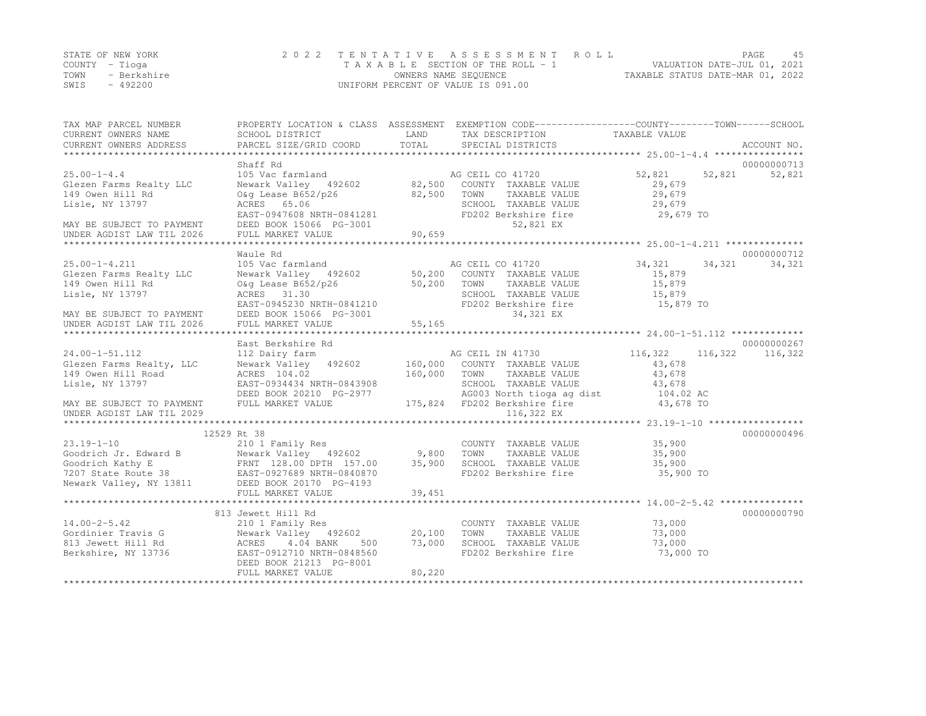|      | STATE OF NEW YORK | 2022 TENTATIVE ASSESSMENT ROLL                                 | PAGE |  |
|------|-------------------|----------------------------------------------------------------|------|--|
|      | COUNTY – Tioga    | VALUATION DATE-JUL 01, 2021<br>TAXABLE SECTION OF THE ROLL - 1 |      |  |
| TOWN | - Berkshire       | TAXABLE STATUS DATE-MAR 01, 2022<br>OWNERS NAME SEQUENCE       |      |  |
| SWIS | - 492200          | UNIFORM PERCENT OF VALUE IS 091.00                             |      |  |

| TAX MAP PARCEL NUMBER<br>CURRENT OWNERS NAME<br>CURRENT OWNERS ADDRESS | SCHOOL DISTRICT<br>PARCEL SIZE/GRID COORD            | LAND<br>TOTAL    | PROPERTY LOCATION & CLASS ASSESSMENT EXEMPTION CODE---------------COUNTY-------TOWN-----SCHOOL<br>TAX DESCRIPTION<br>SPECIAL DISTRICTS | TAXABLE VALUE      | ACCOUNT NO.           |
|------------------------------------------------------------------------|------------------------------------------------------|------------------|----------------------------------------------------------------------------------------------------------------------------------------|--------------------|-----------------------|
|                                                                        |                                                      |                  |                                                                                                                                        |                    |                       |
| $25.00 - 1 - 4.4$                                                      | Shaff Rd<br>105 Vac farmland                         |                  | AG CEIL CO 41720                                                                                                                       | 52,821<br>52,821   | 00000000713<br>52,821 |
| Glezen Farms Realty LLC<br>149 Owen Hill Rd                            | Newark Valley 492602<br>O&q Lease B652/p26           | 82,500<br>82,500 | COUNTY TAXABLE VALUE<br>TOWN<br>TAXABLE VALUE                                                                                          | 29,679<br>29,679   |                       |
| Lisle, NY 13797                                                        | ACRES 65.06                                          |                  | SCHOOL TAXABLE VALUE                                                                                                                   | 29,679             |                       |
| MAY BE SUBJECT TO PAYMENT                                              | EAST-0947608 NRTH-0841281<br>DEED BOOK 15066 PG-3001 |                  | FD202 Berkshire fire<br>52,821 EX                                                                                                      | 29,679 TO          |                       |
| UNDER AGDIST LAW TIL 2026                                              | FULL MARKET VALUE                                    | 90,659           |                                                                                                                                        |                    |                       |
|                                                                        |                                                      |                  |                                                                                                                                        |                    |                       |
| $25.00 - 1 - 4.211$                                                    | Waule Rd<br>105 Vac farmland                         |                  | AG CEIL CO 41720                                                                                                                       | 34,321<br>34,321   | 00000000712<br>34,321 |
| Glezen Farms Realty LLC                                                | Newark Valley 492602                                 | 50,200           | COUNTY TAXABLE VALUE                                                                                                                   | 15,879             |                       |
| 149 Owen Hill Rd                                                       | O&g Lease B652/p26                                   | 50,200           | TOWN<br>TAXABLE VALUE                                                                                                                  | 15,879             |                       |
| Lisle, NY 13797                                                        | ACRES 31.30                                          |                  | SCHOOL TAXABLE VALUE                                                                                                                   | 15,879             |                       |
|                                                                        | EAST-0945230 NRTH-0841210                            |                  | FD202 Berkshire fire                                                                                                                   | 15,879 TO          |                       |
| MAY BE SUBJECT TO PAYMENT                                              | DEED BOOK 15066 PG-3001                              |                  | 34,321 EX                                                                                                                              |                    |                       |
| UNDER AGDIST LAW TIL 2026                                              | FULL MARKET VALUE                                    | 55,165           |                                                                                                                                        |                    |                       |
|                                                                        |                                                      |                  |                                                                                                                                        |                    |                       |
|                                                                        | East Berkshire Rd                                    |                  |                                                                                                                                        |                    | 00000000267           |
| 24.00-1-51.112                                                         | 112 Dairy farm                                       |                  | AG CEIL IN 41730                                                                                                                       | 116,322<br>116,322 | 116,322               |
| Glezen Farms Realty, LLC                                               | Newark Valley 492602                                 | 160,000          | COUNTY TAXABLE VALUE                                                                                                                   | 43,678             |                       |
| 149 Owen Hill Road                                                     | ACRES 104.02                                         | 160,000          | TAXABLE VALUE<br>TOWN                                                                                                                  | 43,678             |                       |
| Lisle, NY 13797                                                        | EAST-0934434 NRTH-0843908                            |                  | SCHOOL TAXABLE VALUE                                                                                                                   | 43,678             |                       |
|                                                                        | DEED BOOK 20210 PG-2977                              |                  | AG003 North tioga ag dist 104.02 AC                                                                                                    |                    |                       |
| MAY BE SUBJECT TO PAYMENT                                              | FULL MARKET VALUE                                    |                  | 175,824 FD202 Berkshire fire                                                                                                           | 43,678 TO          |                       |
| UNDER AGDIST LAW TIL 2029                                              |                                                      |                  | 116,322 EX                                                                                                                             |                    |                       |
|                                                                        |                                                      |                  |                                                                                                                                        |                    |                       |
|                                                                        | 12529 Rt 38                                          |                  |                                                                                                                                        |                    | 00000000496           |
| $23.19 - 1 - 10$                                                       | 210 1 Family Res                                     |                  | COUNTY TAXABLE VALUE                                                                                                                   | 35,900             |                       |
| Goodrich Jr. Edward B                                                  | Newark Valley 492602                                 | 9,800            | TOWN<br>TAXABLE VALUE                                                                                                                  | 35,900             |                       |
| Goodrich Kathy E                                                       | FRNT 128.00 DPTH 157.00                              | 35,900           | SCHOOL TAXABLE VALUE                                                                                                                   | 35,900             |                       |
| 7207 State Route 38                                                    | EAST-0927689 NRTH-0840870                            |                  | FD202 Berkshire fire                                                                                                                   | 35,900 TO          |                       |
| Newark Valley, NY 13811                                                | DEED BOOK 20170 PG-4193                              |                  |                                                                                                                                        |                    |                       |
|                                                                        | FULL MARKET VALUE                                    | 39,451           |                                                                                                                                        |                    |                       |
|                                                                        | 813 Jewett Hill Rd                                   |                  |                                                                                                                                        |                    | 00000000790           |
| $14.00 - 2 - 5.42$                                                     | 210 1 Family Res                                     |                  | COUNTY TAXABLE VALUE                                                                                                                   | 73,000             |                       |
| Gordinier Travis G                                                     | Newark Valley 492602                                 | 20,100           | TOWN<br>TAXABLE VALUE                                                                                                                  | 73,000             |                       |
| 813 Jewett Hill Rd                                                     | ACRES<br>4.04 BANK<br>500                            | 73,000           | SCHOOL TAXABLE VALUE                                                                                                                   | 73,000             |                       |
| Berkshire, NY 13736                                                    | EAST-0912710 NRTH-0848560                            |                  | FD202 Berkshire fire                                                                                                                   | 73,000 TO          |                       |
|                                                                        | DEED BOOK 21213 PG-8001                              |                  |                                                                                                                                        |                    |                       |
|                                                                        | FULL MARKET VALUE                                    | 80,220           |                                                                                                                                        |                    |                       |
|                                                                        |                                                      |                  |                                                                                                                                        |                    |                       |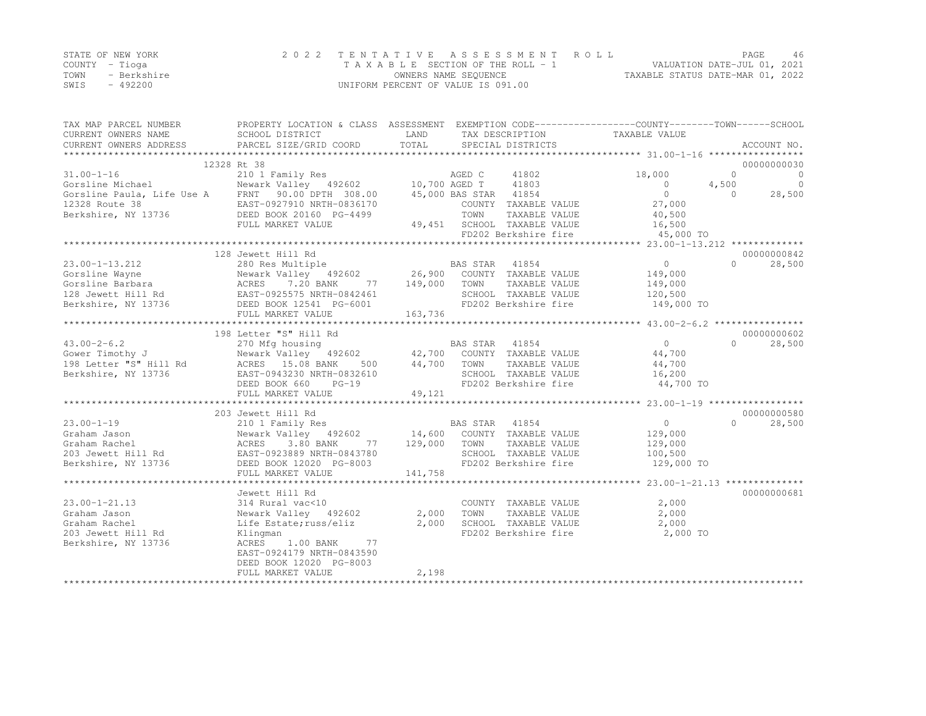|      | STATE OF NEW YORK | 2022 TENTATIVE ASSESSMENT ROLL     | <b>PAGE</b>                      |  |
|------|-------------------|------------------------------------|----------------------------------|--|
|      | COUNTY – Tioga    | TAXABLE SECTION OF THE ROLL - 1    | VALUATION DATE-JUL 01, 2021      |  |
| TOWN | - Berkshire       | OWNERS NAME SEQUENCE               | TAXABLE STATUS DATE-MAR 01, 2022 |  |
| SWIS | - 492200          | UNIFORM PERCENT OF VALUE IS 091.00 |                                  |  |

| TAX MAP PARCEL NUMBER  | PROPERTY LOCATION & CLASS ASSESSMENT EXEMPTION CODE---------------COUNTY-------TOWN-----SCHOOL                                                                             |             |                                                                      |                                 |                           |
|------------------------|----------------------------------------------------------------------------------------------------------------------------------------------------------------------------|-------------|----------------------------------------------------------------------|---------------------------------|---------------------------|
| CURRENT OWNERS NAME    | SCHOOL DISTRICT                                                                                                                                                            | LAND        | TAX DESCRIPTION                                                      | TAXABLE VALUE                   |                           |
| CURRENT OWNERS ADDRESS | PARCEL SIZE/GRID COORD                                                                                                                                                     | TOTAL       | SPECIAL DISTRICTS                                                    |                                 | ACCOUNT NO.               |
|                        |                                                                                                                                                                            |             |                                                                      |                                 |                           |
|                        | 12328 Rt 38                                                                                                                                                                |             |                                                                      |                                 | 00000000030               |
| $31.00 - 1 - 16$       | 210 1 Family Res                                                                                                                                                           |             | AGED C<br>41802                                                      | 18,000                          | $\circ$<br>$\overline{0}$ |
|                        | Gorsline Michael Mewark Valley 492602 10,700 AGED T                                                                                                                        |             | 41803                                                                | $\overline{0}$                  | $\overline{0}$<br>4,500   |
|                        | Gorsline Paula, Life Use A FRNT 90.00 DPTH 308.00                                                                                                                          |             | 45,000 BAS STAR 41854                                                | $\overline{0}$                  | 28,500<br>$\cap$          |
| 12328 Route 38         | EAST-0927910 NRTH-0836170                                                                                                                                                  |             | COUNTY TAXABLE VALUE                                                 | 27,000                          |                           |
| Berkshire, NY 13736    | DEED BOOK 20160 PG-4499                                                                                                                                                    |             | TOWN                                                                 | TAXABLE VALUE 40,500            |                           |
|                        | FULL MARKET VALUE                                                                                                                                                          |             |                                                                      |                                 |                           |
|                        |                                                                                                                                                                            |             | 49,451 SCHOOL TAXABLE VALUE 16,500<br>FD202 Berkshire fire 45,000 TO |                                 |                           |
|                        |                                                                                                                                                                            |             |                                                                      |                                 |                           |
|                        | 128 Jewett Hill Rd                                                                                                                                                         |             |                                                                      |                                 | 00000000842               |
| $23.00 - 1 - 13.212$   |                                                                                                                                                                            |             |                                                                      | $\overline{0}$                  | $\bigcap$<br>28,500       |
|                        | 280 Res Multiple<br>280 Res Multiple 26,900 BAS STAR 41854<br>Newark Valley 492602 26,900 COUNTY TAXABLE VALUE                                                             |             |                                                                      | 149,000                         |                           |
|                        |                                                                                                                                                                            | 149,000     | TAXABLE VALUE<br>TOWN                                                | 149,000                         |                           |
|                        |                                                                                                                                                                            |             | SCHOOL TAXABLE VALUE                                                 | 120,500                         |                           |
|                        |                                                                                                                                                                            |             | FD202 Berkshire fire                                                 | 149,000 TO                      |                           |
|                        | Corsline Wayne<br>Corsline Barbara<br>128 Jewett Hill Rd<br>Berkshire, NY 13736<br>EED BOOK 12541 PG-6001<br>FIILL MARKET VALUE<br>FIILL MARKET VALUE<br>FULL MARKET VALUE | 163,736     |                                                                      |                                 |                           |
|                        |                                                                                                                                                                            |             |                                                                      |                                 |                           |
|                        | 198 Letter "S" Hill Rd                                                                                                                                                     |             |                                                                      |                                 | 00000000602               |
| $43.00 - 2 - 6.2$      | 270 Mfg housing                                                                                                                                                            |             |                                                                      | $\overline{0}$                  | $\Omega$<br>28,500        |
| Gower Timothy J        | 270 Mig nousing<br>Newark Valley 492602<br>ACRES 15.08 BANK                                                                                                                |             | BAS STAR 41854<br>42,700 COUNTY TAXABLE VALUE                        | 44,700                          |                           |
| 198 Letter "S" Hill Rd | 500                                                                                                                                                                        | 44,700 TOWN | TAXABLE VALUE                                                        | 44,700                          |                           |
| Berkshire, NY 13736    | EAST-0943230 NRTH-0832610                                                                                                                                                  |             |                                                                      |                                 |                           |
|                        |                                                                                                                                                                            |             | SCHOOL TAXABLE VALUE<br>FD202 Berkshire fire                         | 16,200<br>44,700 TO             |                           |
|                        | DEED BOOK 660<br>$PG-19$                                                                                                                                                   |             |                                                                      |                                 |                           |
|                        | FULL MARKET VALUE                                                                                                                                                          | 49,121      |                                                                      |                                 |                           |
|                        | 203 Jewett Hill Rd                                                                                                                                                         |             |                                                                      |                                 | 00000000580               |
| $23.00 - 1 - 19$       |                                                                                                                                                                            |             | BAS STAR 41854                                                       | $\overline{0}$                  | $\Omega$<br>28,500        |
|                        | 210 1 Family Res<br>Newark Valley 492602 14,600 COUNTY TAXABLE VALUE                                                                                                       |             |                                                                      |                                 |                           |
|                        | Graham Jason<br>Graham Rachel Mewark Valley 492602<br>203 Jewett Hill Rd EAST-0923889 NRTH-0843780                                                                         |             |                                                                      | 129,000                         |                           |
|                        |                                                                                                                                                                            | 77 129,000  | TOWN<br>TAXABLE VALUE                                                | 129,000                         |                           |
|                        |                                                                                                                                                                            |             | SCHOOL TAXABLE VALUE                                                 | 100, 500                        |                           |
| Berkshire, NY 13736    | DEED BOOK 12020 PG-8003                                                                                                                                                    |             |                                                                      | FD202 Berkshire fire 129,000 TO |                           |
|                        | FULL MARKET VALUE                                                                                                                                                          | 141,758     |                                                                      |                                 |                           |
|                        |                                                                                                                                                                            |             |                                                                      |                                 |                           |
|                        | Jewett Hill Rd                                                                                                                                                             |             |                                                                      |                                 | 00000000681               |
| $23.00 - 1 - 21.13$    | 314 Rural vac<10                                                                                                                                                           |             | COUNTY TAXABLE VALUE                                                 | 2,000                           |                           |
| Graham Jason           | Newark Valley 492602                                                                                                                                                       | 2,000       | TOWN<br>TAXABLE VALUE                                                | 2,000                           |                           |
| Graham Rachel          | Life Estate; russ/eliz                                                                                                                                                     | 2,000       | SCHOOL TAXABLE VALUE                                                 | 2,000                           |                           |
| 203 Jewett Hill Rd     | Klingman                                                                                                                                                                   |             | FD202 Berkshire fire                                                 | 2,000 TO                        |                           |
| Berkshire, NY 13736    | ACRES 1.00 BANK<br>77                                                                                                                                                      |             |                                                                      |                                 |                           |
|                        | EAST-0924179 NRTH-0843590                                                                                                                                                  |             |                                                                      |                                 |                           |
|                        | DEED BOOK 12020 PG-8003                                                                                                                                                    |             |                                                                      |                                 |                           |
|                        | FULL MARKET VALUE                                                                                                                                                          | 2,198       |                                                                      |                                 |                           |
|                        | **************************************                                                                                                                                     |             |                                                                      |                                 |                           |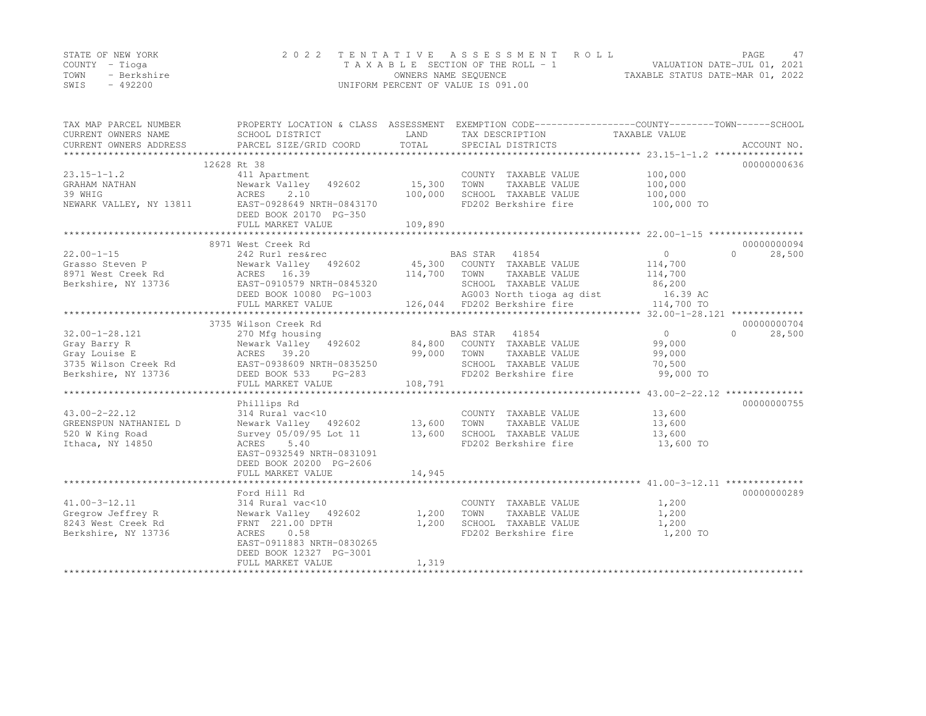|      | STATE OF NEW YORK | 2022 TENTATIVE ASSESSMENT ROLL     |                                  | PAGE. |  |
|------|-------------------|------------------------------------|----------------------------------|-------|--|
|      | COUNTY – Tioga    | TAXABLE SECTION OF THE ROLL - 1    | VALUATION DATE-JUL 01, 2021      |       |  |
| TOWN | - Berkshire       | OWNERS NAME SEQUENCE               | TAXABLE STATUS DATE-MAR 01, 2022 |       |  |
| SWIS | - 492200          | UNIFORM PERCENT OF VALUE IS 091.00 |                                  |       |  |

| TAX MAP PARCEL NUMBER<br>CURRENT OWNERS NAME<br>CURRENT OWNERS ADDRESS | PROPERTY LOCATION & CLASS ASSESSMENT<br>SCHOOL DISTRICT<br>PARCEL SIZE/GRID COORD | LAND<br>TOTAL  | EXEMPTION CODE-----------------COUNTY-------TOWN------SCHOOL<br>TAX DESCRIPTION<br>SPECIAL DISTRICTS | TAXABLE VALUE  | ACCOUNT NO.        |
|------------------------------------------------------------------------|-----------------------------------------------------------------------------------|----------------|------------------------------------------------------------------------------------------------------|----------------|--------------------|
|                                                                        | 12628 Rt 38                                                                       |                |                                                                                                      |                | 00000000636        |
| $23.15 - 1 - 1.2$                                                      | 411 Apartment                                                                     |                | COUNTY TAXABLE VALUE                                                                                 | 100,000        |                    |
| GRAHAM NATHAN                                                          | Newark Valley<br>492602                                                           | 15,300         | TOWN<br>TAXABLE VALUE                                                                                | 100,000        |                    |
| 39 WHIG                                                                | ACRES<br>2.10                                                                     | 100,000        | SCHOOL TAXABLE VALUE                                                                                 | 100,000        |                    |
| NEWARK VALLEY, NY 13811                                                | EAST-0928649 NRTH-0843170                                                         |                | FD202 Berkshire fire                                                                                 | 100,000 TO     |                    |
|                                                                        | DEED BOOK 20170 PG-350                                                            |                |                                                                                                      |                |                    |
|                                                                        | FULL MARKET VALUE                                                                 | 109,890        |                                                                                                      |                |                    |
|                                                                        |                                                                                   |                |                                                                                                      |                |                    |
|                                                                        | 8971 West Creek Rd                                                                |                |                                                                                                      |                | 00000000094        |
| $22.00 - 1 - 15$                                                       | 242 Rurl res&rec                                                                  |                | BAS STAR 41854                                                                                       | $\circ$        | 28,500<br>$\cap$   |
| Grasso Steven P                                                        | Newark Valley 492602                                                              |                | 45,300 COUNTY TAXABLE VALUE                                                                          | 114,700        |                    |
| 8971 West Creek Rd                                                     | ACRES 16.39                                                                       | 114,700        | TOWN<br>TAXABLE VALUE                                                                                | 114,700        |                    |
| Berkshire, NY 13736                                                    | EAST-0910579 NRTH-0845320                                                         |                | SCHOOL TAXABLE VALUE                                                                                 | 86,200         |                    |
|                                                                        | DEED BOOK 10080 PG-1003                                                           |                | AG003 North tioga ag dist                                                                            | 16.39 AC       |                    |
|                                                                        | FULL MARKET VALUE                                                                 |                | 126,044 FD202 Berkshire fire                                                                         | 114,700 TO     |                    |
|                                                                        |                                                                                   |                |                                                                                                      |                |                    |
|                                                                        | 3735 Wilson Creek Rd                                                              |                |                                                                                                      |                | 00000000704        |
| $32.00 - 1 - 28.121$                                                   | 270 Mfg housing                                                                   |                | BAS STAR 41854                                                                                       | $\circ$        | $\Omega$<br>28,500 |
| Gray Barry R                                                           | Newark Valley 492602                                                              | 84,800         | COUNTY TAXABLE VALUE                                                                                 | 99,000         |                    |
| Gray Louise E                                                          | ACRES 39.20                                                                       | 99,000         | TOWN<br>TAXABLE VALUE                                                                                | 99,000         |                    |
| 3735 Wilson Creek Rd                                                   | EAST-0938609 NRTH-0835250                                                         |                | SCHOOL TAXABLE VALUE                                                                                 | 70,500         |                    |
| Berkshire, NY 13736                                                    | DEED BOOK 533<br>$PG-283$                                                         |                | FD202 Berkshire fire                                                                                 | 99,000 TO      |                    |
|                                                                        | FULL MARKET VALUE                                                                 | 108,791        |                                                                                                      |                |                    |
|                                                                        |                                                                                   |                |                                                                                                      |                |                    |
|                                                                        | Phillips Rd                                                                       |                |                                                                                                      |                | 00000000755        |
| $43.00 - 2 - 22.12$                                                    | 314 Rural vac<10                                                                  |                | COUNTY TAXABLE VALUE                                                                                 | 13,600         |                    |
| GREENSPUN NATHANIEL D                                                  | Newark Valley 492602                                                              | 13,600         | TOWN<br>TAXABLE VALUE                                                                                | 13,600         |                    |
| 520 W King Road                                                        | Survey 05/09/95 Lot 11                                                            | 13,600         | SCHOOL TAXABLE VALUE                                                                                 | 13,600         |                    |
| Ithaca, NY 14850                                                       | ACRES<br>5.40                                                                     |                | FD202 Berkshire fire                                                                                 | 13,600 TO      |                    |
|                                                                        | EAST-0932549 NRTH-0831091                                                         |                |                                                                                                      |                |                    |
|                                                                        | DEED BOOK 20200 PG-2606                                                           |                |                                                                                                      |                |                    |
|                                                                        | FULL MARKET VALUE                                                                 | 14,945         |                                                                                                      |                |                    |
|                                                                        |                                                                                   |                |                                                                                                      |                |                    |
|                                                                        | Ford Hill Rd                                                                      |                |                                                                                                      |                | 00000000289        |
| $41.00 - 3 - 12.11$                                                    | 314 Rural vac<10                                                                  |                | COUNTY TAXABLE VALUE                                                                                 | 1,200          |                    |
| Gregrow Jeffrey R                                                      | Newark Valley 492602                                                              | 1,200<br>1,200 | TOWN<br>TAXABLE VALUE<br>SCHOOL TAXABLE VALUE                                                        | 1,200<br>1,200 |                    |
| 8243 West Creek Rd                                                     | FRNT 221.00 DPTH<br>0.58                                                          |                | FD202 Berkshire fire                                                                                 | 1,200 TO       |                    |
| Berkshire, NY 13736                                                    | ACRES<br>EAST-0911883 NRTH-0830265                                                |                |                                                                                                      |                |                    |
|                                                                        | DEED BOOK 12327 PG-3001                                                           |                |                                                                                                      |                |                    |
|                                                                        | FULL MARKET VALUE                                                                 | 1,319          |                                                                                                      |                |                    |
|                                                                        |                                                                                   |                |                                                                                                      |                |                    |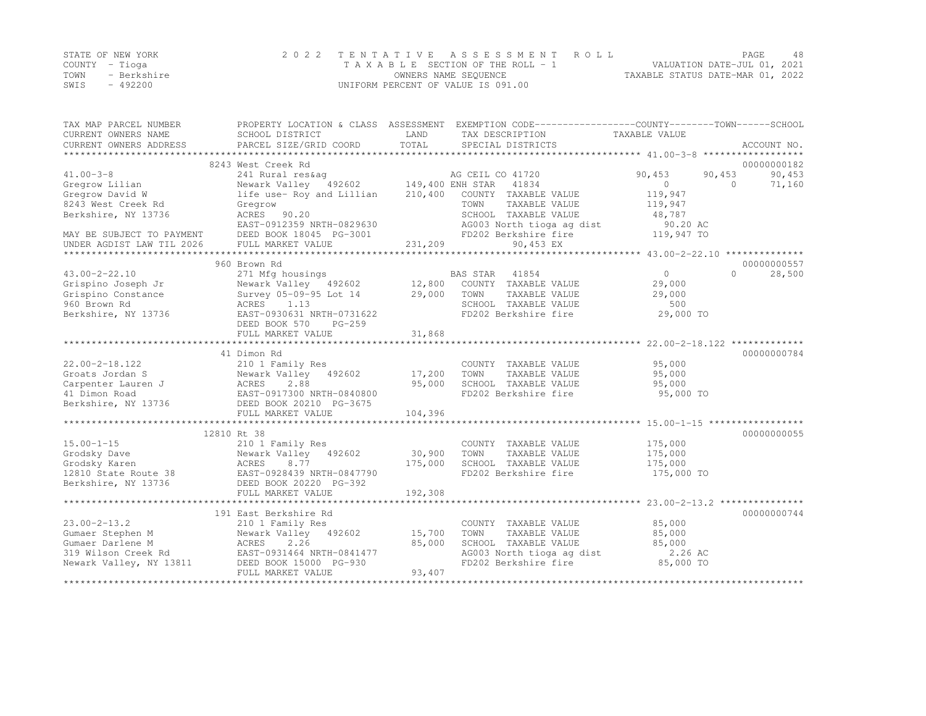|      | STATE OF NEW YORK | 2022 TENTATIVE ASSESSMENT ROLL     | PAGE.                            | 48 |
|------|-------------------|------------------------------------|----------------------------------|----|
|      | COUNTY – Tioga    | TAXABLE SECTION OF THE ROLL - 1    | VALUATION DATE-JUL 01, 2021      |    |
| TOWN | - Berkshire       | OWNERS NAME SEQUENCE               | TAXABLE STATUS DATE-MAR 01, 2022 |    |
| SWIS | $-492200$         | UNIFORM PERCENT OF VALUE IS 091.00 |                                  |    |

| TAX MAP PARCEL NUMBER<br>CURRENT OWNERS NAME | SCHOOL DISTRICT           | LAND             | PROPERTY LOCATION & CLASS ASSESSMENT EXEMPTION CODE----------------COUNTY-------TOWN-----SCHOOL<br>TAX DESCRIPTION | TAXABLE VALUE    |                    |
|----------------------------------------------|---------------------------|------------------|--------------------------------------------------------------------------------------------------------------------|------------------|--------------------|
| CURRENT OWNERS ADDRESS                       | PARCEL SIZE/GRID COORD    | TOTAL            | SPECIAL DISTRICTS                                                                                                  |                  | ACCOUNT NO.        |
|                                              | 8243 West Creek Rd        |                  |                                                                                                                    |                  | 00000000182        |
| $41.00 - 3 - 8$                              | 241 Rural res&aq          |                  | AG CEIL CO 41720                                                                                                   | 90,453<br>90,453 | 90,453             |
| Gregrow Lilian                               | Newark Valley 492602      | 149,400 ENH STAR | 41834                                                                                                              | $\circ$          | 71,160<br>$\Omega$ |
| Gregrow David W                              | life use- Roy and Lillian | 210,400          | COUNTY TAXABLE VALUE                                                                                               | 119,947          |                    |
| 8243 West Creek Rd                           | Gregrow                   |                  | TOWN<br>TAXABLE VALUE                                                                                              | 119,947          |                    |
| Berkshire, NY 13736                          | ACRES 90.20               |                  | SCHOOL TAXABLE VALUE                                                                                               | 48,787           |                    |
|                                              | EAST-0912359 NRTH-0829630 |                  | AG003 North tioga ag dist                                                                                          | 90.20 AC         |                    |
| MAY BE SUBJECT TO PAYMENT                    | DEED BOOK 18045 PG-3001   |                  | FD202 Berkshire fire                                                                                               | 119,947 TO       |                    |
| UNDER AGDIST LAW TIL 2026                    | FULL MARKET VALUE         | 231,209          | 90,453 EX                                                                                                          |                  |                    |
|                                              |                           |                  |                                                                                                                    |                  |                    |
|                                              | 960 Brown Rd              |                  |                                                                                                                    |                  | 00000000557        |
| $43.00 - 2 - 22.10$                          | 271 Mfg housings          |                  | BAS STAR 41854                                                                                                     | $\overline{0}$   | 28,500<br>$\Omega$ |
| Grispino Joseph Jr                           | Newark Valley 492602      | 12,800           | COUNTY TAXABLE VALUE                                                                                               | 29,000           |                    |
| Grispino Constance                           | Survey 05-09-95 Lot 14    | 29,000           | TOWN<br>TAXABLE VALUE                                                                                              | 29,000           |                    |
| 960 Brown Rd                                 | ACRES<br>1.13             |                  | SCHOOL TAXABLE VALUE                                                                                               | 500              |                    |
| Berkshire, NY 13736                          | EAST-0930631 NRTH-0731622 |                  | FD202 Berkshire fire                                                                                               | 29,000 TO        |                    |
|                                              | DEED BOOK 570<br>$PG-259$ |                  |                                                                                                                    |                  |                    |
|                                              | FULL MARKET VALUE         | 31,868           |                                                                                                                    |                  |                    |
|                                              |                           |                  |                                                                                                                    |                  |                    |
|                                              | 41 Dimon Rd               |                  |                                                                                                                    |                  | 00000000784        |
| $22.00 - 2 - 18.122$                         | 210 1 Family Res          |                  | COUNTY TAXABLE VALUE                                                                                               | 95,000           |                    |
| Groats Jordan S                              | Newark Valley<br>492602   | 17,200           | TOWN<br>TAXABLE VALUE                                                                                              | 95,000           |                    |
| Carpenter Lauren J                           | 2.88<br>ACRES             | 95,000           | SCHOOL TAXABLE VALUE                                                                                               | 95,000           |                    |
| 41 Dimon Road                                | EAST-0917300 NRTH-0840800 |                  | FD202 Berkshire fire                                                                                               | 95,000 TO        |                    |
| Berkshire, NY 13736                          | DEED BOOK 20210 PG-3675   |                  |                                                                                                                    |                  |                    |
|                                              | FULL MARKET VALUE         | 104,396          |                                                                                                                    |                  |                    |
|                                              |                           |                  |                                                                                                                    |                  |                    |
|                                              | 12810 Rt 38               |                  |                                                                                                                    |                  | 00000000055        |
| $15.00 - 1 - 15$                             | 210 1 Family Res          |                  | COUNTY TAXABLE VALUE                                                                                               | 175,000          |                    |
| Grodsky Dave                                 | Newark Valley 492602      | 30,900           | TOWN<br>TAXABLE VALUE                                                                                              | 175,000          |                    |
| Grodsky Karen                                | ACRES<br>8.77             | 175,000          | SCHOOL TAXABLE VALUE                                                                                               | 175,000          |                    |
| 12810 State Route 38                         | EAST-0928439 NRTH-0847790 |                  | FD202 Berkshire fire                                                                                               | 175,000 TO       |                    |
| Berkshire, NY 13736                          | DEED BOOK 20220 PG-392    |                  |                                                                                                                    |                  |                    |
|                                              | FULL MARKET VALUE         | 192,308          |                                                                                                                    |                  |                    |
|                                              |                           |                  |                                                                                                                    |                  |                    |
|                                              | 191 East Berkshire Rd     |                  |                                                                                                                    |                  | 00000000744        |
| $23.00 - 2 - 13.2$                           | 210 1 Family Res          |                  | COUNTY TAXABLE VALUE                                                                                               | 85,000           |                    |
| Gumaer Stephen M                             | Newark Valley 492602      | 15,700           | TOWN<br>TAXABLE VALUE                                                                                              | 85,000           |                    |
| Gumaer Darlene M                             | ACRES<br>2.26             | 85,000           | SCHOOL TAXABLE VALUE                                                                                               | 85,000           |                    |
| 319 Wilson Creek Rd                          | EAST-0931464 NRTH-0841477 |                  | AG003 North tioga ag dist                                                                                          | 2.26 AC          |                    |
| Newark Valley, NY 13811                      | DEED BOOK 15000 PG-930    |                  | FD202 Berkshire fire                                                                                               | 85,000 TO        |                    |
|                                              | FULL MARKET VALUE         | 93,407           |                                                                                                                    |                  |                    |
|                                              |                           |                  |                                                                                                                    |                  |                    |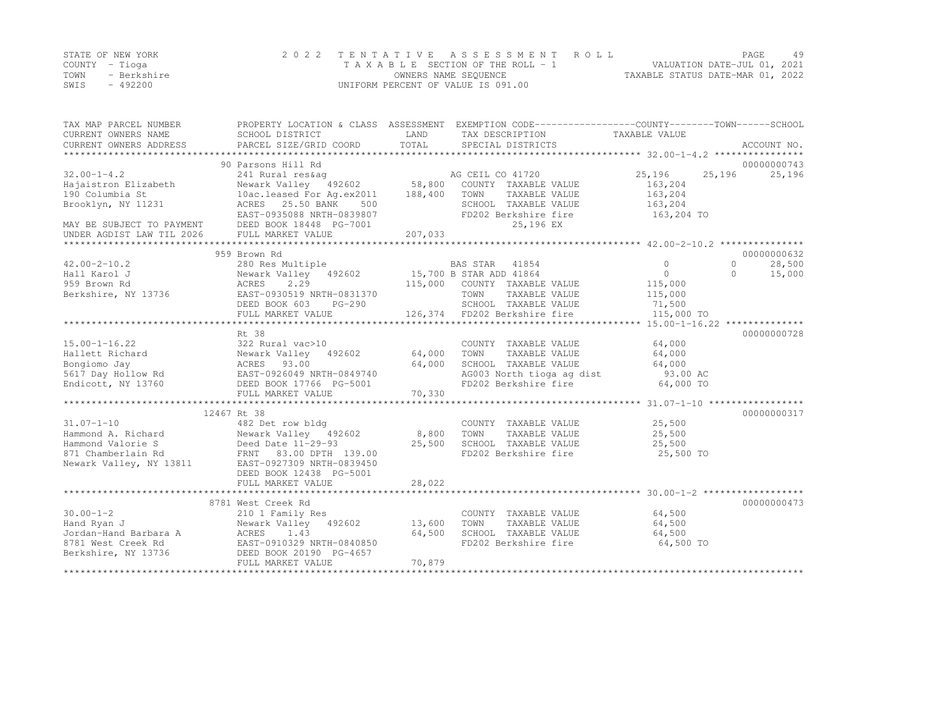|      | STATE OF NEW YORK | 2022 TENTATIVE ASSESSMENT ROLL     |                                  | PAGE. | 49 |
|------|-------------------|------------------------------------|----------------------------------|-------|----|
|      | COUNTY – Tioga    | TAXABLE SECTION OF THE ROLL - 1    | VALUATION DATE-JUL 01, 2021      |       |    |
| TOWN | - Berkshire       | OWNERS NAME SEQUENCE               | TAXABLE STATUS DATE-MAR 01, 2022 |       |    |
| SWIS | - 492200          | UNIFORM PERCENT OF VALUE IS 091.00 |                                  |       |    |

| TAX MAP PARCEL NUMBER<br>CURRENT OWNERS NAME<br>CURRENT OWNERS ADDRESS                                       | SCHOOL DISTRICT                                                                                                                                                                                                                              | LAND                       | PROPERTY LOCATION & CLASS ASSESSMENT EXEMPTION CODE----------------COUNTY-------TOWN-----SCHOOL<br>TAX DESCRIPTION TAXABLE VALUE |                                                         |                                                          |
|--------------------------------------------------------------------------------------------------------------|----------------------------------------------------------------------------------------------------------------------------------------------------------------------------------------------------------------------------------------------|----------------------------|----------------------------------------------------------------------------------------------------------------------------------|---------------------------------------------------------|----------------------------------------------------------|
| $32.00 - 1 - 4.2$<br>Hajaistron Elizabeth<br>190 Columbia St<br>Brooklyn, NY 11231                           | 90 Parsons Hill Rd<br>241 Rural res&aq<br>Newark Valley 492602 58,800<br>10ac.leased For Ag.ex2011 188,400<br>Newark valley<br>10ac.leased For Ag.ex2011<br>10ac.leased For DANK 500<br>ACRES 25.50 BANK<br>500<br>EAST-0935088 NRTH-0839807 |                            | AG CEIL CO 41720<br>COUNTY TAXABLE VALUE<br>TOWN<br>TAXABLE VALUE<br>SCHOOL TAXABLE VALUE<br>FD202 Berkshire fire                | 25,196<br>163,204<br>163,204<br>163,204<br>163,204 TO   | 00000000743<br>25,196<br>25,196                          |
| MAY BE SUBJECT TO PAYMENT DEED BOOK 18448 PG-7001<br>UNDER AGDIST LAW TIL 2026                               | FULL MARKET VALUE                                                                                                                                                                                                                            | 207,033                    | 25,196 EX                                                                                                                        |                                                         |                                                          |
|                                                                                                              |                                                                                                                                                                                                                                              |                            |                                                                                                                                  |                                                         |                                                          |
| $42.00 - 2 - 10.2$<br>Hall Karol J<br>959 Brown Rd<br>Berkshire, NY 13736                                    | 959 Brown Rd<br>280 Res Multiple<br>280 Res Multiple 61 BAS STAR 41854<br>Newark Valley 492602 15,700 B STAR ADD 41864<br>ACRES<br>2.29<br>EAST-0930519 NRTH-0831370<br>DEED BOOK 603<br>PG-290                                              |                            | 115,000 COUNTY TAXABLE VALUE<br>TOWN<br>TAXABLE VALUE<br>SCHOOL TAXABLE VALUE                                                    | $\mathbf{0}$<br>$\circ$<br>115,000<br>115,000<br>71,500 | 00000000632<br>28,500<br>$\Omega$<br>$\bigcap$<br>15,000 |
|                                                                                                              | FULL MARKET VALUE                                                                                                                                                                                                                            |                            | 126,374 FD202 Berkshire fire                                                                                                     | 115,000 TO                                              |                                                          |
|                                                                                                              |                                                                                                                                                                                                                                              |                            |                                                                                                                                  |                                                         | 00000000728                                              |
| $15.00 - 1 - 16.22$<br>Hallett Richard<br>Bongiomo Jay<br>5617 Day Hollow Rd<br>Endicott, NY 13760           | Rt 38<br>322 Rural vac>10<br>322 Rural Vac>10<br>Newark Valley 492602<br>ACRES 93.00<br>EAST-0926049 NRTH-0849740<br>DEED BOOK 17766 PG-5001<br>FULL MARKET VALUE                                                                            | 64,000<br>64,000<br>70,330 | COUNTY TAXABLE VALUE<br>TOWN<br>TAXABLE VALUE<br>SCHOOL TAXABLE VALUE<br>AG003 North tioga ag dist<br>FD202 Berkshire fire       | 64,000<br>64,000<br>64,000<br>93.00 AC<br>64,000 TO     |                                                          |
|                                                                                                              |                                                                                                                                                                                                                                              |                            |                                                                                                                                  |                                                         |                                                          |
| $31.07 - 1 - 10$<br>Hammond A. Richard<br>Hammond Valorie S<br>871 Chamberlain Rd<br>Newark Valley, NY 13811 | 12467 Rt 38<br>482 Det row bldg<br>482 Det row blay<br>Newark Valley 492602<br>Deed Date 11-29-93<br>FRNT 83.00 DPTH 139.00<br>8311 EAST-0927309 NRTH-0839450<br>FRNT 93.00 DC-5001<br>DEED BOOK 12438 PG-5001<br>FULL MARKET VALUE          | 8,800<br>25,500<br>28,022  | COUNTY TAXABLE VALUE<br>TOWN<br>TAXABLE VALUE<br>SCHOOL TAXABLE VALUE 25,500<br>FD202 Berkshire fire                             | 25,500<br>25,500<br>25,500 TO                           | 00000000317                                              |
|                                                                                                              |                                                                                                                                                                                                                                              |                            |                                                                                                                                  |                                                         |                                                          |
| $30.00 - 1 - 2$<br>Hand Ryan J<br>Jordan-Hand Barbara A<br>8781 West Creek Rd<br>Berkshire, NY 13736         | 8781 West Creek Rd<br>210 1 Family Res<br>Newark Valley 492602 13,600<br>ACRES 1.43<br>EAST-0910329 NRTH-0840850<br>DEED BOOK 20190 PG-4657<br>FULL MARKET VALUE                                                                             | 64,500<br>70,879           | COUNTY TAXABLE VALUE<br>TOWN<br>TAXABLE VALUE<br>SCHOOL TAXABLE VALUE<br>FD202 Berkshire fire                                    | 64,500<br>64,500<br>64,500<br>64,500 TO                 | 00000000473                                              |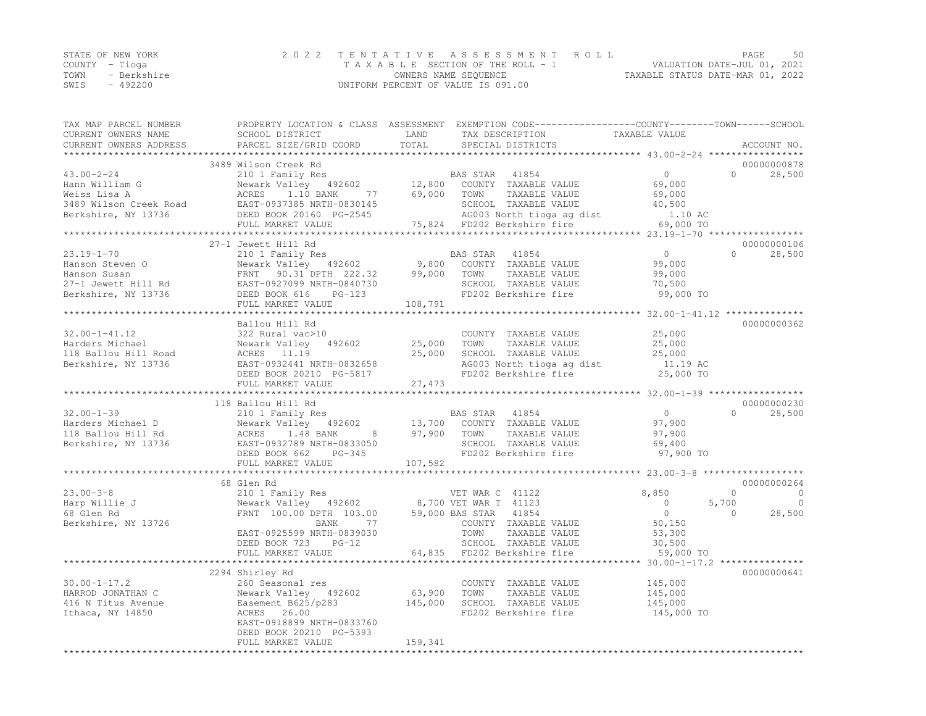|      | STATE OF NEW YORK | 2022 TENTATIVE ASSESSMENT ROLL                                 | PAGE | 50 |
|------|-------------------|----------------------------------------------------------------|------|----|
|      | COUNTY – Tioga    | VALUATION DATE-JUL 01, 2021<br>TAXABLE SECTION OF THE ROLL - 1 |      |    |
| TOWN | - Berkshire       | TAXABLE STATUS DATE-MAR 01, 2022<br>OWNERS NAME SEQUENCE       |      |    |
| SWIS | $-492200$         | UNIFORM PERCENT OF VALUE IS 091.00                             |      |    |

| TAX MAP PARCEL NUMBER    | PROPERTY LOCATION & CLASS ASSESSMENT EXEMPTION CODE-----------------COUNTY-------TOWN------SCHOOL |                  |                                                   |                                     |          |                |
|--------------------------|---------------------------------------------------------------------------------------------------|------------------|---------------------------------------------------|-------------------------------------|----------|----------------|
| CURRENT OWNERS NAME      | SCHOOL DISTRICT                                                                                   | LAND             | TAX DESCRIPTION                                   | TAXABLE VALUE                       |          |                |
| CURRENT OWNERS ADDRESS   | PARCEL SIZE/GRID COORD                                                                            | TOTAL            | SPECIAL DISTRICTS                                 |                                     |          | ACCOUNT NO.    |
|                          |                                                                                                   |                  |                                                   |                                     |          |                |
|                          | 3489 Wilson Creek Rd                                                                              |                  |                                                   |                                     |          | 00000000878    |
| $43.00 - 2 - 24$         | 210 1 Family Res                                                                                  |                  | BAS STAR 41854                                    | $\circ$                             | $\Omega$ | 28,500         |
| Hann William G           | Newark Valley 492602                                                                              |                  | COUNTY TAXABLE VALUE                              | 69,000                              |          |                |
| Weiss Lisa A             | 77<br>ACRES 1.10 BANK                                                                             | 12,800<br>69,000 | TOWN<br>TAXABLE VALUE                             | 69,000                              |          |                |
| 3489 Wilson Creek Road   | EAST-0937385 NRTH-0830145                                                                         |                  | SCHOOL TAXABLE VALUE                              | 40,500                              |          |                |
| Berkshire, NY 13736      | DEED BOOK 20160 PG-2545                                                                           |                  | AG003 North tioga ag dist                         | 1.10 AC                             |          |                |
|                          | FULL MARKET VALUE                                                                                 |                  | 75,824 FD202 Berkshire fire                       | 69,000 TO                           |          |                |
|                          |                                                                                                   |                  |                                                   |                                     |          |                |
|                          | 27-1 Jewett Hill Rd                                                                               |                  |                                                   |                                     |          | 00000000106    |
| $23.19 - 1 - 70$         | 210 1 Family Res                                                                                  |                  | BAS STAR<br>41854                                 | $\overline{0}$                      | $\cap$   | 28,500         |
| Hanson Steven O          | Newark Valley 492602 9,800                                                                        |                  | COUNTY TAXABLE VALUE                              | 99,000                              |          |                |
| Hanson Susan             | FRNT 90.31 DPTH 222.32                                                                            | 99,000           | TOWN<br>TAXABLE VALUE                             | 99,000                              |          |                |
| 27-1 Jewett Hill Rd      | EAST-0927099 NRTH-0840730                                                                         |                  | SCHOOL TAXABLE VALUE                              | 70,500                              |          |                |
| Berkshire, NY 13736      | DEED BOOK 616<br>$PG-123$                                                                         |                  | FD202 Berkshire fire                              | 99,000 TO                           |          |                |
|                          | FULL MARKET VALUE                                                                                 | 108,791          |                                                   |                                     |          |                |
|                          |                                                                                                   |                  |                                                   |                                     |          |                |
|                          | Ballou Hill Rd                                                                                    |                  |                                                   |                                     |          | 00000000362    |
| $32.00 - 1 - 41.12$      | 322 Rural vac>10                                                                                  |                  | COUNTY TAXABLE VALUE                              | 25,000                              |          |                |
| Harders Michael          |                                                                                                   |                  | TOWN                                              |                                     |          |                |
|                          | Newark Valley 492602                                                                              | 25,000           | TAXABLE VALUE                                     | 25,000                              |          |                |
| 118 Ballou Hill Road     | ACRES 11.19                                                                                       | 25,000           | SCHOOL TAXABLE VALUE<br>AG003 North tioga ag dist | 25,000                              |          |                |
| Berkshire, NY 13736      | EAST-0932441 NRTH-0832658                                                                         |                  |                                                   | 11.19 AC                            |          |                |
|                          | DEED BOOK 20210 PG-5817                                                                           |                  | FD202 Berkshire fire                              | 25,000 TO                           |          |                |
|                          | FULL MARKET VALUE                                                                                 | 27,473           |                                                   |                                     |          |                |
|                          |                                                                                                   |                  |                                                   |                                     |          |                |
|                          | 118 Ballou Hill Rd                                                                                |                  |                                                   |                                     |          | 00000000230    |
| $32.00 - 1 - 39$         | 210 1 Family Res                                                                                  |                  | BAS STAR<br>41854                                 | $\overline{0}$                      | $\Omega$ | 28,500         |
| Harders Michael D        | Newark Valley 492602                                                                              | 13,700           | COUNTY TAXABLE VALUE                              | 97,900                              |          |                |
| 118 Ballou Hill Rd       | 8 <sup>2</sup><br>ACRES 1.48 BANK                                                                 | 97,900           | TOWN<br>TAXABLE VALUE                             | 97,900                              |          |                |
| Berkshire, NY 13736      | EAST-0932789 NRTH-0833050                                                                         |                  | SCHOOL TAXABLE VALUE                              | 69,400                              |          |                |
|                          | DEED BOOK 662<br>PG-345                                                                           |                  | FD202 Berkshire fire                              | 97,900 TO                           |          |                |
|                          | FULL MARKET VALUE                                                                                 | 107,582          |                                                   |                                     |          |                |
|                          |                                                                                                   |                  |                                                   |                                     |          |                |
|                          | 68 Glen Rd                                                                                        |                  |                                                   |                                     |          | 00000000264    |
| $23.00 - 3 - 8$          | 210 1 Family Res                                                                                  |                  | VET WAR C 41122                                   | 8,850                               | $\Omega$ | $\overline{0}$ |
| Harp Willie J            | Newark Valley 492602                                                                              |                  | 8,700 VET WAR T 41123                             | $\overline{0}$                      | 5,700    | $\overline{0}$ |
| 68 Glen Rd               | FRNT 100.00 DPTH 103.00 59,000 BAS STAR                                                           |                  | 41854                                             | $\overline{0}$                      | $\Omega$ | 28,500         |
| Berkshire, NY 13726      | 77<br>BANK                                                                                        |                  | COUNTY TAXABLE VALUE                              | 50,150                              |          |                |
|                          | EAST-0925599 NRTH-0839030                                                                         |                  | TOWN<br>TAXABLE VALUE                             | 53,300                              |          |                |
|                          | DEED BOOK 723 PG-12                                                                               |                  | SCHOOL TAXABLE VALUE                              | 30,500                              |          |                |
|                          | FULL MARKET VALUE                                                                                 |                  | 64,835 FD202 Berkshire fire                       | 59,000 TO                           |          |                |
|                          | *******************                                                                               |                  |                                                   | ******* 30.00-1-17.2 ************** |          |                |
|                          | 2294 Shirley Rd                                                                                   |                  |                                                   |                                     |          | 00000000641    |
| $30.00 - 1 - 17.2$       | 260 Seasonal res                                                                                  |                  | COUNTY TAXABLE VALUE                              | 145,000                             |          |                |
| HARROD JONATHAN C        | Newark Valley 492602                                                                              | 63,900           | TOWN<br>TAXABLE VALUE                             | 145,000                             |          |                |
| 416 N Titus Avenue       | Easement B625/p283                                                                                | 145,000          | SCHOOL TAXABLE VALUE                              | 145,000                             |          |                |
| Ithaca, NY 14850         | ACRES 26.00                                                                                       |                  | FD202 Berkshire fire                              | 145,000 TO                          |          |                |
|                          | EAST-0918899 NRTH-0833760                                                                         |                  |                                                   |                                     |          |                |
|                          | DEED BOOK 20210 PG-5393                                                                           |                  |                                                   |                                     |          |                |
|                          | FULL MARKET VALUE                                                                                 | 159,341          |                                                   |                                     |          |                |
| ************************ |                                                                                                   |                  |                                                   |                                     |          |                |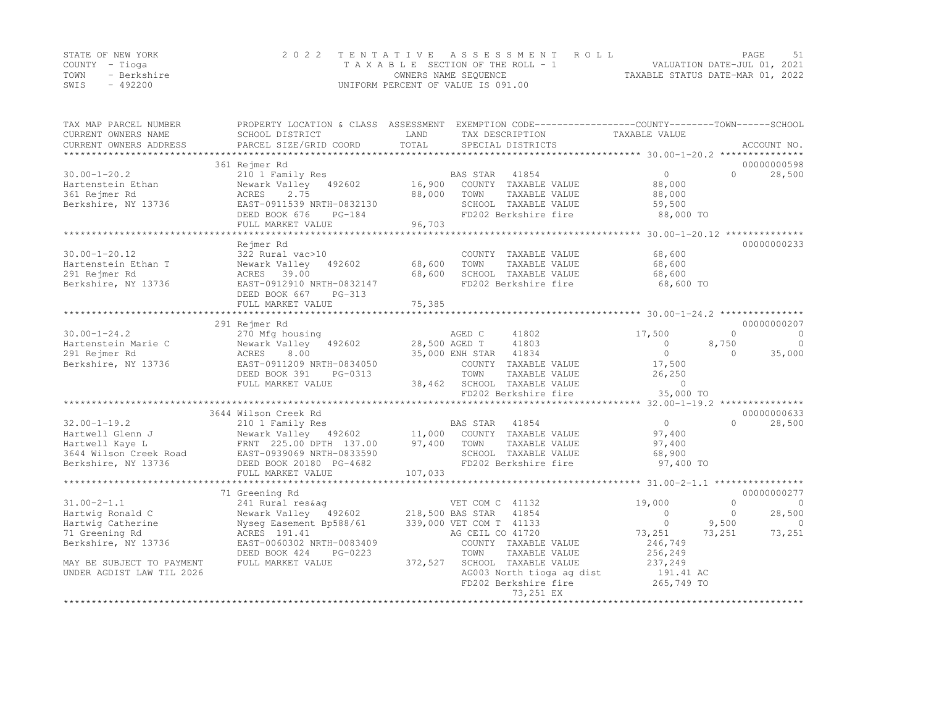|      | STATE OF NEW YORK | 2022 TENTATIVE ASSESSMENT ROLL     |                                  | PAGE                        |  |
|------|-------------------|------------------------------------|----------------------------------|-----------------------------|--|
|      | COUNTY – Tioga    | TAXABLE SECTION OF THE ROLL - 1    |                                  | VALUATION DATE-JUL 01, 2021 |  |
| TOWN | - Berkshire       | OWNERS NAME SEOUENCE               | TAXABLE STATUS DATE-MAR 01, 2022 |                             |  |
| SWIS | $-492200$         | UNIFORM PERCENT OF VALUE IS 091.00 |                                  |                             |  |

| TAX MAP PARCEL NUMBER                         | PROPERTY LOCATION & CLASS ASSESSMENT EXEMPTION CODE----------------COUNTY-------TOWN------SCHOOL |               |                                      |                                               |                      |
|-----------------------------------------------|--------------------------------------------------------------------------------------------------|---------------|--------------------------------------|-----------------------------------------------|----------------------|
| CURRENT OWNERS NAME<br>CURRENT OWNERS ADDRESS | SCHOOL DISTRICT<br>PARCEL SIZE/GRID COORD                                                        | LAND<br>TOTAL | TAX DESCRIPTION<br>SPECIAL DISTRICTS | TAXABLE VALUE                                 | ACCOUNT NO.          |
| **********************                        |                                                                                                  |               |                                      |                                               |                      |
|                                               | 361 Rejmer Rd                                                                                    |               |                                      |                                               | 00000000598          |
| $30.00 - 1 - 20.2$                            | 210 1 Family Res                                                                                 |               | BAS STAR<br>41854                    | $\overline{0}$                                | $\Omega$<br>28,500   |
| Hartenstein Ethan                             | Newark Valley 492602                                                                             | 16,900        | COUNTY TAXABLE VALUE                 | 88,000                                        |                      |
| 361 Rejmer Rd                                 | 2.75<br>ACRES                                                                                    | 88,000        | TOWN<br>TAXABLE VALUE                | 88,000                                        |                      |
| Berkshire, NY 13736                           | EAST-0911539 NRTH-0832130                                                                        |               | SCHOOL TAXABLE VALUE                 | 59,500                                        |                      |
|                                               | DEED BOOK 676<br>$PG-184$                                                                        |               | FD202 Berkshire fire                 | 88,000 TO                                     |                      |
|                                               | FULL MARKET VALUE                                                                                | 96,703        |                                      |                                               |                      |
|                                               |                                                                                                  |               |                                      |                                               |                      |
|                                               | Rejmer Rd                                                                                        |               |                                      |                                               | 00000000233          |
| $30.00 - 1 - 20.12$                           | 322 Rural vac>10                                                                                 |               | COUNTY TAXABLE VALUE                 | 68,600                                        |                      |
| Hartenstein Ethan T                           | Newark Valley<br>492602                                                                          | 68,600        | TOWN<br>TAXABLE VALUE                | 68,600                                        |                      |
| 291 Rejmer Rd                                 | ACRES 39.00                                                                                      | 68,600        | SCHOOL TAXABLE VALUE                 | 68,600                                        |                      |
| Berkshire, NY 13736                           | EAST-0912910 NRTH-0832147                                                                        |               | FD202 Berkshire fire                 | 68,600 TO                                     |                      |
|                                               | DEED BOOK 667<br>PG-313                                                                          |               |                                      |                                               |                      |
|                                               | FULL MARKET VALUE                                                                                | 75,385        |                                      |                                               |                      |
|                                               |                                                                                                  |               |                                      |                                               |                      |
|                                               | 291 Rejmer Rd                                                                                    |               |                                      |                                               | 00000000207          |
| $30.00 - 1 - 24.2$                            | 270 Mfg housing                                                                                  |               | 41802<br>AGED C                      | 17,500                                        | $\Omega$<br>$\Omega$ |
| Hartenstein Marie C                           | Newark Valley<br>492602                                                                          |               | 41803<br>28,500 AGED T               | $\circ$                                       | 8,750<br>$\circ$     |
| 291 Rejmer Rd                                 | ACRES<br>8.00                                                                                    |               | 35,000 ENH STAR<br>41834             | $\circ$                                       | 35,000<br>$\Omega$   |
| Berkshire, NY 13736                           | EAST-0911209 NRTH-0834050                                                                        |               | COUNTY TAXABLE VALUE                 | 17,500                                        |                      |
|                                               | DEED BOOK 391<br>PG-0313                                                                         |               | TOWN<br>TAXABLE VALUE                | 26,250                                        |                      |
|                                               | FULL MARKET VALUE                                                                                | 38,462        | SCHOOL TAXABLE VALUE                 | $\Omega$                                      |                      |
|                                               |                                                                                                  |               | FD202 Berkshire fire                 | 35,000 TO                                     |                      |
|                                               |                                                                                                  |               |                                      |                                               |                      |
|                                               | 3644 Wilson Creek Rd                                                                             |               |                                      |                                               | 00000000633          |
| $32.00 - 1 - 19.2$                            | 210 1 Family Res                                                                                 |               | BAS STAR<br>41854                    | $\overline{0}$                                | 28,500<br>$\Omega$   |
| Hartwell Glenn J                              | Newark Valley 492602                                                                             | 11,000        | COUNTY TAXABLE VALUE                 | 97,400                                        |                      |
| Hartwell Kaye L                               | FRNT 225.00 DPTH 137.00                                                                          | 97,400        | TOWN<br>TAXABLE VALUE                | 97,400                                        |                      |
| 3644 Wilson Creek Road                        | EAST-0939069 NRTH-0833590                                                                        |               | SCHOOL TAXABLE VALUE                 | 68,900                                        |                      |
| Berkshire, NY 13736                           | DEED BOOK 20180 PG-4682                                                                          |               | FD202 Berkshire fire                 | 97,400 TO                                     |                      |
|                                               | FULL MARKET VALUE                                                                                | 107,033       |                                      |                                               |                      |
|                                               | *********************                                                                            |               |                                      | *********************** 31.00-2-1.1 ********* |                      |
|                                               | 71 Greening Rd                                                                                   |               |                                      |                                               | 00000000277          |
| $31.00 - 2 - 1.1$                             | 241 Rural res&aq                                                                                 |               | VET COM C 41132                      | 19,000                                        | $\Omega$<br>0        |
| Hartwig Ronald C                              | Newark Valley 492602                                                                             |               | 218,500 BAS STAR<br>41854            | $\Omega$                                      | $\Omega$<br>28,500   |
| Hartwig Catherine                             | Nyseq Easement Bp588/61                                                                          |               | 339,000 VET COM T 41133              | $\Omega$                                      | 9,500<br>$\Omega$    |
| 71 Greening Rd                                | ACRES 191.41                                                                                     |               | AG CEIL CO 41720                     | 73,251                                        | 73,251<br>73,251     |
| Berkshire, NY 13736                           | EAST-0060302 NRTH-0083409                                                                        |               | COUNTY TAXABLE VALUE                 | 246,749                                       |                      |
|                                               | DEED BOOK 424<br>PG-0223                                                                         |               | TAXABLE VALUE<br>TOWN                | 256,249                                       |                      |
| MAY BE SUBJECT TO PAYMENT                     | FULL MARKET VALUE                                                                                | 372,527       | SCHOOL TAXABLE VALUE                 | 237,249                                       |                      |
| UNDER AGDIST LAW TIL 2026                     |                                                                                                  |               | AG003 North tioga ag dist            | 191.41 AC                                     |                      |
|                                               |                                                                                                  |               | FD202 Berkshire fire                 | 265,749 TO                                    |                      |
|                                               |                                                                                                  |               | 73,251 EX                            |                                               |                      |
|                                               | **************************                                                                       |               | *****************                    |                                               |                      |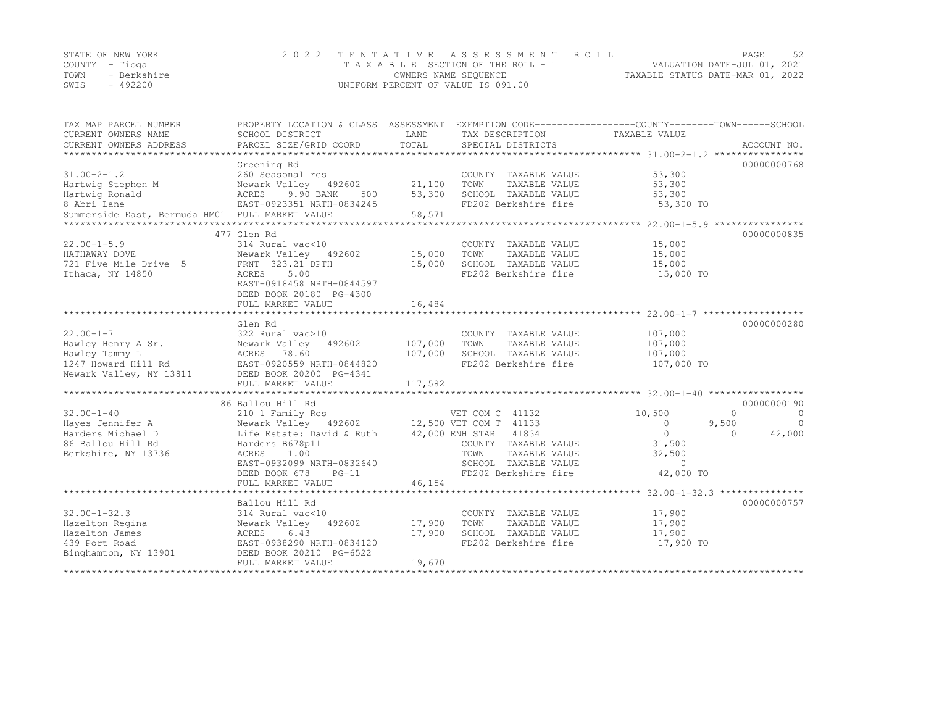|      | STATE OF NEW YORK | 2022 TENTATIVE ASSESSMENT ROLL     |                                  | PAGE | 52 |
|------|-------------------|------------------------------------|----------------------------------|------|----|
|      | COUNTY – Tioga    | TAXABLE SECTION OF THE ROLL - 1    | VALUATION DATE-JUL 01, 2021      |      |    |
| TOWN | - Berkshire       | OWNERS NAME SEQUENCE               | TAXABLE STATUS DATE-MAR 01, 2022 |      |    |
| SWIS | $-492200$         | UNIFORM PERCENT OF VALUE IS 091.00 |                                  |      |    |

| TAX MAP PARCEL NUMBER                           | PROPERTY LOCATION & CLASS ASSESSMENT EXEMPTION CODE---------------COUNTY-------TOWN-----SCHOOL |         |                       |               |                     |
|-------------------------------------------------|------------------------------------------------------------------------------------------------|---------|-----------------------|---------------|---------------------|
| CURRENT OWNERS NAME                             | SCHOOL DISTRICT                                                                                | LAND    | TAX DESCRIPTION       | TAXABLE VALUE |                     |
| CURRENT OWNERS ADDRESS                          | PARCEL SIZE/GRID COORD                                                                         | TOTAL   | SPECIAL DISTRICTS     |               | ACCOUNT NO.         |
|                                                 |                                                                                                |         |                       |               |                     |
|                                                 | Greening Rd                                                                                    |         |                       |               | 00000000768         |
| $31.00 - 2 - 1.2$                               | 260 Seasonal res                                                                               |         | COUNTY TAXABLE VALUE  | 53,300        |                     |
| Hartwig Stephen M                               | Newark Valley 492602                                                                           | 21,100  | TOWN<br>TAXABLE VALUE | 53,300        |                     |
| Hartwig Ronald                                  | ACRES<br>9.90 BANK<br>500                                                                      | 53,300  | SCHOOL TAXABLE VALUE  | 53,300        |                     |
| 8 Abri Lane                                     | EAST-0923351 NRTH-0834245                                                                      |         | FD202 Berkshire fire  | 53,300 TO     |                     |
| Summerside East, Bermuda HM01 FULL MARKET VALUE |                                                                                                | 58,571  |                       |               |                     |
|                                                 |                                                                                                |         |                       |               |                     |
|                                                 | 477 Glen Rd                                                                                    |         |                       |               | 00000000835         |
| $22.00 - 1 - 5.9$                               | 314 Rural vac<10                                                                               |         | COUNTY TAXABLE VALUE  | 15,000        |                     |
| HATHAWAY DOVE                                   | Newark Valley 492602                                                                           | 15,000  | TOWN<br>TAXABLE VALUE | 15,000        |                     |
| 721 Five Mile Drive 5                           | FRNT 323.21 DPTH                                                                               | 15,000  | SCHOOL TAXABLE VALUE  | 15,000        |                     |
| Ithaca, NY 14850                                | 5.00<br>ACRES                                                                                  |         | FD202 Berkshire fire  | 15,000 TO     |                     |
|                                                 | EAST-0918458 NRTH-0844597                                                                      |         |                       |               |                     |
|                                                 | DEED BOOK 20180 PG-4300                                                                        |         |                       |               |                     |
|                                                 | FULL MARKET VALUE                                                                              | 16,484  |                       |               |                     |
|                                                 |                                                                                                |         |                       |               |                     |
|                                                 | Glen Rd                                                                                        |         |                       |               | 00000000280         |
| $22.00 - 1 - 7$                                 | 322 Rural vac>10                                                                               |         | COUNTY TAXABLE VALUE  | 107,000       |                     |
| Hawley Henry A Sr.                              | Newark Valley 492602                                                                           | 107,000 | TOWN<br>TAXABLE VALUE | 107,000       |                     |
| Hawley Tammy L                                  | ACRES 78.60                                                                                    | 107,000 | SCHOOL TAXABLE VALUE  | 107,000       |                     |
| 1247 Howard Hill Rd                             | EAST-0920559 NRTH-0844820                                                                      |         | FD202 Berkshire fire  | 107,000 TO    |                     |
| Newark Valley, NY 13811                         | DEED BOOK 20200 PG-4341                                                                        |         |                       |               |                     |
|                                                 | FULL MARKET VALUE                                                                              | 117,582 |                       |               |                     |
|                                                 |                                                                                                |         |                       |               |                     |
|                                                 | 86 Ballou Hill Rd                                                                              |         |                       |               | 00000000190         |
| $32.00 - 1 - 40$                                | 210 1 Family Res                                                                               |         | VET COM C 41132       | 10,500        | $\Omega$<br>$\circ$ |
| Hayes Jennifer A                                | Newark Valley 492602 12,500 VET COM T 41133                                                    |         |                       | $\circ$       | 9,500<br>$\bigcirc$ |
| Harders Michael D                               | Life Estate: David & Ruth                                                                      |         | 42,000 ENH STAR 41834 | $\circ$       | 42,000<br>$\bigcap$ |
| 86 Ballou Hill Rd                               | Harders B678p11                                                                                |         | COUNTY TAXABLE VALUE  | 31,500        |                     |
| Berkshire, NY 13736                             | ACRES<br>1.00                                                                                  |         | TOWN<br>TAXABLE VALUE | 32,500        |                     |
|                                                 | EAST-0932099 NRTH-0832640                                                                      |         | SCHOOL TAXABLE VALUE  | $\Omega$      |                     |
|                                                 | $PG-11$                                                                                        |         | FD202 Berkshire fire  | 42,000 TO     |                     |
|                                                 | DEED BOOK 678                                                                                  | 46,154  |                       |               |                     |
|                                                 | FULL MARKET VALUE                                                                              |         |                       |               |                     |
|                                                 |                                                                                                |         |                       |               | 00000000757         |
| $32.00 - 1 - 32.3$                              | Ballou Hill Rd                                                                                 |         |                       |               |                     |
|                                                 | 314 Rural vac<10                                                                               |         | COUNTY TAXABLE VALUE  | 17,900        |                     |
| Hazelton Regina                                 | Newark Valley 492602                                                                           | 17,900  | TOWN<br>TAXABLE VALUE | 17,900        |                     |
| Hazelton James                                  | 6.43<br>ACRES                                                                                  | 17,900  | SCHOOL TAXABLE VALUE  | 17,900        |                     |
| 439 Port Road                                   | EAST-0938290 NRTH-0834120                                                                      |         | FD202 Berkshire fire  | 17,900 TO     |                     |
| Binghamton, NY 13901                            | DEED BOOK 20210 PG-6522                                                                        |         |                       |               |                     |
|                                                 | FULL MARKET VALUE                                                                              | 19,670  |                       |               |                     |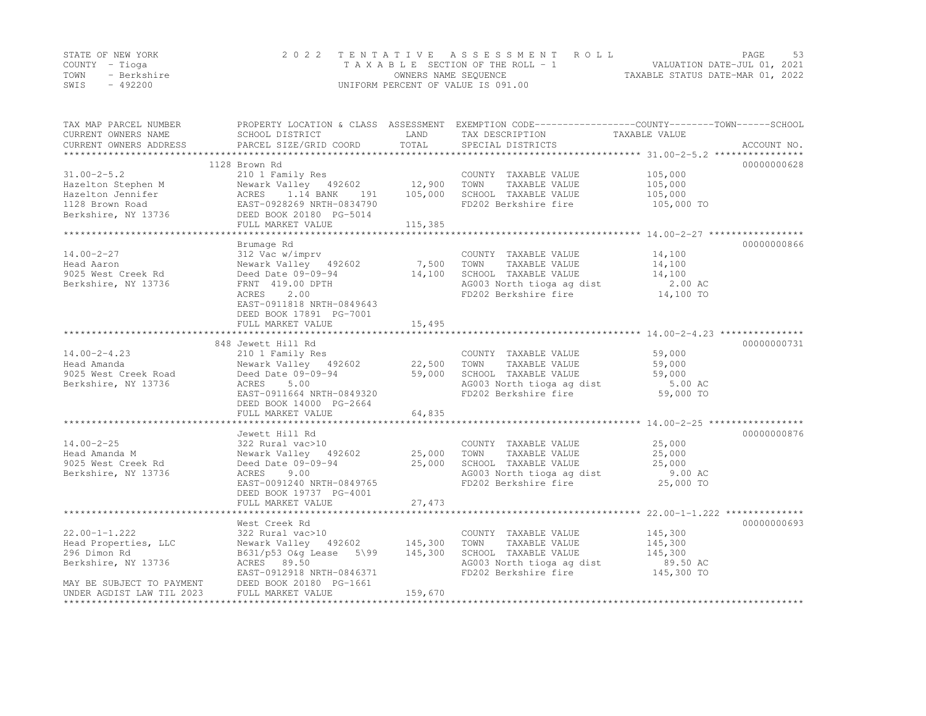|      | STATE OF NEW YORK | 2022 TENTATIVE ASSESSMENT ROLL     | PAGE.                            | -53 |
|------|-------------------|------------------------------------|----------------------------------|-----|
|      | COUNTY – Tioga    | TAXABLE SECTION OF THE ROLL - 1    | VALUATION DATE-JUL 01, 2021      |     |
| TOWN | - Berkshire       | OWNERS NAME SEQUENCE               | TAXABLE STATUS DATE-MAR 01, 2022 |     |
| SWIS | $-492200$         | UNIFORM PERCENT OF VALUE IS 091.00 |                                  |     |

| TAX MAP PARCEL NUMBER<br>CURRENT OWNERS NAME<br>CURRENT OWNERS ADDRESS                                                                             | PROPERTY LOCATION & CLASS ASSESSMENT EXEMPTION CODE---------------COUNTY-------TOWN------SCHOOL<br>SCHOOL DISTRICT<br>PARCEL SIZE/GRID COORD                  | LAND<br>TOTAL                        | TAX DESCRIPTION<br>SPECIAL DISTRICTS                                                                                                                   | TAXABLE VALUE                                      | ACCOUNT NO. |
|----------------------------------------------------------------------------------------------------------------------------------------------------|---------------------------------------------------------------------------------------------------------------------------------------------------------------|--------------------------------------|--------------------------------------------------------------------------------------------------------------------------------------------------------|----------------------------------------------------|-------------|
|                                                                                                                                                    |                                                                                                                                                               |                                      |                                                                                                                                                        |                                                    | 00000000628 |
| $31.00 - 2 - 5.2$<br>Fazelton Stephen M<br>Hazelton Jennifer<br>1.14 BANK 191<br>1128 Brown Road<br>Berkshire, NY 13736<br>DEED BOOK 20180 PG-5014 | 1128 Brown Rd<br>210 1 Family Res<br>Newark Valley 492602 12,900<br>ACRES 1.14 BANK 191 105,000<br>FULL MARKET VALUE                                          | 115,385                              | COUNTY TAXABLE VALUE 105,000<br>TOWN<br>TAXABLE VALUE<br>SCHOOL TAXABLE VALUE<br>FD202 Berkshire fire                                                  | 105,000<br>105,000<br>105,000 TO                   |             |
|                                                                                                                                                    |                                                                                                                                                               |                                      |                                                                                                                                                        |                                                    |             |
| $14.00 - 2 - 27$<br>Head Aaron<br>9025 West Creek Rd Deed Date 09-09-94<br>Berkshire, NY 13736                                                     | Brumage Rd<br>312 Vac w/imprv<br>Newark Valley 492602<br>FRNT 419.00 DPTH<br>ACRES<br>2.00<br>EAST-0911818 NRTH-0849643<br>DEED BOOK 17891 PG-7001            | 7,500 TOWN<br>14,100                 | COUNTY TAXABLE VALUE<br>TAXABLE VALUE<br>SCHOOL TAXABLE VALUE<br>AG003 North tioga ag dist 2.00 AC<br>FD202 Berkshire fire 14,100 TO                   | 14,100<br>14,100<br>14,100                         | 00000000866 |
|                                                                                                                                                    | FULL MARKET VALUE                                                                                                                                             | 15,495                               |                                                                                                                                                        |                                                    |             |
|                                                                                                                                                    |                                                                                                                                                               |                                      |                                                                                                                                                        |                                                    |             |
| $14.00 - 2 - 4.23$<br>Head Amanda<br>9025 West Creek Road<br>Berkshire, NY 13736                                                                   | 848 Jewett Hill Rd<br>210 1 Family Res<br>Newark Valley 492602<br>Deed Date 09-09-94<br>ACRES<br>5.00<br>EAST-0911664 NRTH-0849320<br>DEED BOOK 14000 PG-2664 | 22,500 TOWN<br>59,000                | COUNTY TAXABLE VALUE 59,000<br>TAXABLE VALUE<br>SCHOOL TAXABLE VALUE<br>AG003 North tioga ag dist<br>FD202 Berkshire fire                              | 59,000<br>59,000<br>5.00 AC<br>$59,000$ TO         | 00000000731 |
|                                                                                                                                                    | FULL MARKET VALUE                                                                                                                                             | 64,835                               |                                                                                                                                                        |                                                    |             |
| $14.00 - 2 - 25$<br>Head Amanda M<br>9025 West Creek Rd<br>Berkshire, NY 13736                                                                     | Jewett Hill Rd<br>322 Rural vac>10<br>Newark Valley 492602<br>Deed Date 09-09-94<br>ACRES 9.00<br>EAST-0091240 NRTH-0849765<br>DEED BOOK 19737 PG-4001        | COUNTY<br>25,000      TOWN<br>25,000 | COUNTY TAXABLE VALUE<br>TAXABLE VALUE<br>SCHOOL TAXABLE VALUE<br>AG003 North tioga ag dist<br>FD202 Berkshire fire                                     | 25,000<br>25,000<br>25,000<br>9.00 AC<br>25,000 TO | 00000000876 |
|                                                                                                                                                    | FULL MARKET VALUE                                                                                                                                             | 27,473                               |                                                                                                                                                        |                                                    |             |
|                                                                                                                                                    | West Creek Rd                                                                                                                                                 |                                      |                                                                                                                                                        |                                                    | 00000000693 |
| $22.00 - 1 - 1.222$<br>Head Properties, LLC<br>296 Dimon Rd<br>Berkshire, NY 13736<br>MAY BE SUBJECT TO PAYMENT                                    | 322 Rural vac>10<br>Newark Valley 492602 145,300<br>B631/p53 O&q Lease 5\99 145,300<br>ACRES 89.50<br>EAST-0912918 NRTH-0846371<br>DEED BOOK 20180 PG-1661    |                                      | COUNTY TAXABLE VALUE<br>TOWN<br>TAXABLE VALUE<br>SCHOOL TAXABLE VALUE 145,300<br>AG003 North tioga ag dist 89.50 AC<br>FD202 Berkshire fire 145,300 TO | 145,300<br>145,300                                 |             |
| UNDER AGDIST LAW TIL 2023                                                                                                                          | FULL MARKET VALUE                                                                                                                                             | 159,670                              |                                                                                                                                                        |                                                    |             |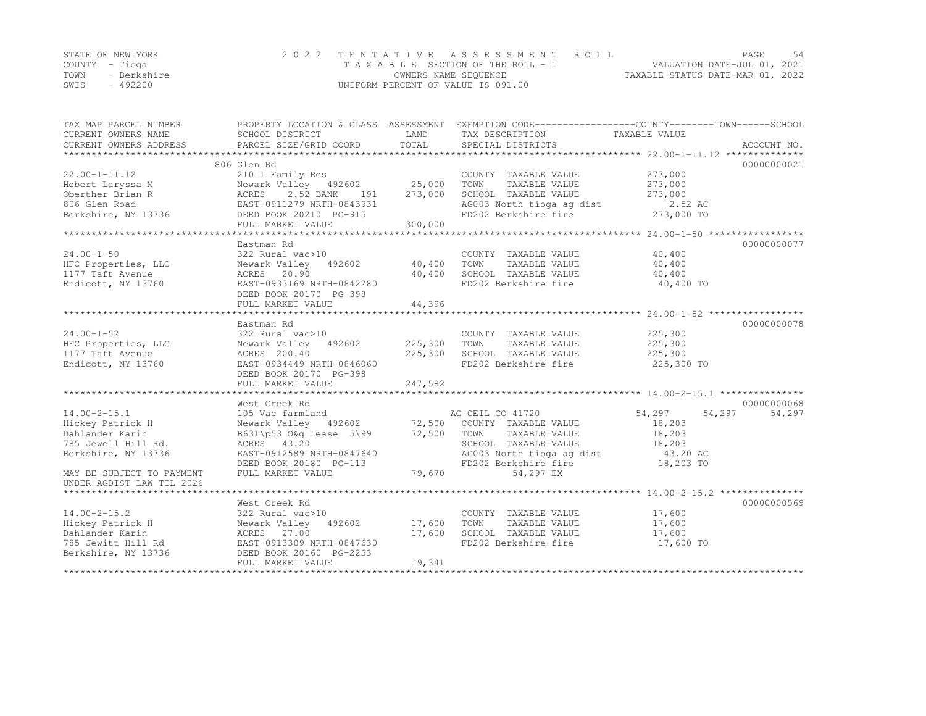|      | STATE OF NEW YORK | 2022 TENTATIVE ASSESSMENT ROLL     |                                  | PAGE | .54 |
|------|-------------------|------------------------------------|----------------------------------|------|-----|
|      | COUNTY – Tioga    | TAXABLE SECTION OF THE ROLL - 1    | VALUATION DATE-JUL 01, 2021      |      |     |
| TOWN | - Berkshire       | OWNERS NAME SEQUENCE               | TAXABLE STATUS DATE-MAR 01, 2022 |      |     |
| SWIS | $-492200$         | UNIFORM PERCENT OF VALUE IS 091.00 |                                  |      |     |

| TAX MAP PARCEL NUMBER<br>CURRENT OWNERS NAME | SCHOOL DISTRICT<br>PARCEL SIZE/GRID COORD        | LAND<br>TOTAL | PROPERTY LOCATION & CLASS ASSESSMENT EXEMPTION CODE---------------COUNTY-------TOWN-----SCHOOL<br>TAX DESCRIPTION<br>SPECIAL DISTRICTS | TAXABLE VALUE    |             |
|----------------------------------------------|--------------------------------------------------|---------------|----------------------------------------------------------------------------------------------------------------------------------------|------------------|-------------|
| CURRENT OWNERS ADDRESS                       |                                                  |               |                                                                                                                                        |                  | ACCOUNT NO. |
|                                              | 806 Glen Rd                                      |               |                                                                                                                                        |                  | 00000000021 |
| $22.00 - 1 - 11.12$                          | 210 1 Family Res                                 |               | COUNTY TAXABLE VALUE                                                                                                                   | 273,000          |             |
| Hebert Laryssa M                             | Newark Valley 492602 25,000                      |               | TAXABLE VALUE<br>TOWN                                                                                                                  | 273,000          |             |
| Oberther Brian R                             | ACRES<br>2.52 BANK<br>191                        | 273,000       | SCHOOL TAXABLE VALUE                                                                                                                   | 273,000          |             |
| 806 Glen Road                                | EAST-0911279 NRTH-0843931                        |               | AG003 North tioga ag dist                                                                                                              | 2.52 AC          |             |
| Berkshire, NY 13736 DEED BOOK 20210 PG-915   |                                                  |               | FD202 Berkshire fire                                                                                                                   | 273,000 TO       |             |
|                                              | FULL MARKET VALUE                                | 300,000       |                                                                                                                                        |                  |             |
|                                              |                                                  |               |                                                                                                                                        |                  |             |
|                                              | Eastman Rd                                       |               |                                                                                                                                        |                  | 00000000077 |
| $24.00 - 1 - 50$                             | 322 Rural vac>10                                 |               | COUNTY TAXABLE VALUE                                                                                                                   | 40,400           |             |
| HFC Properties, LLC                          | Newark Valley 492602                             | 40,400        | TOWN<br>TAXABLE VALUE                                                                                                                  | 40,400           |             |
| 1177 Taft Avenue                             | ACRES 20.90                                      | 40,400        | SCHOOL TAXABLE VALUE                                                                                                                   | 40,400           |             |
| Endicott, NY 13760                           | EAST-0933169 NRTH-0842280                        |               | FD202 Berkshire fire                                                                                                                   | 40,400 TO        |             |
|                                              | DEED BOOK 20170 PG-398                           |               |                                                                                                                                        |                  |             |
|                                              | FULL MARKET VALUE                                | 44,396        |                                                                                                                                        |                  |             |
|                                              |                                                  |               |                                                                                                                                        |                  |             |
|                                              | Eastman Rd                                       |               |                                                                                                                                        |                  | 00000000078 |
| $24.00 - 1 - 52$                             | 322 Rural vac>10                                 |               | COUNTY TAXABLE VALUE                                                                                                                   | 225,300          |             |
| HFC Properties, LLC                          | Newark Valley 492602                             | 225,300       | TOWN<br>TAXABLE VALUE                                                                                                                  | 225,300          |             |
| 1177 Taft Avenue                             | ACRES 200.40                                     | 225,300       | SCHOOL TAXABLE VALUE                                                                                                                   | 225,300          |             |
| Endicott, NY 13760                           | EAST-0934449 NRTH-0846060                        |               | FD202 Berkshire fire                                                                                                                   | 225,300 TO       |             |
|                                              | DEED BOOK 20170 PG-398                           |               |                                                                                                                                        |                  |             |
|                                              | FULL MARKET VALUE                                | 247,582       |                                                                                                                                        |                  |             |
|                                              |                                                  |               |                                                                                                                                        |                  |             |
|                                              | West Creek Rd                                    |               |                                                                                                                                        |                  | 00000000068 |
| $14.00 - 2 - 15.1$                           | 105 Vac farmland                                 |               | AG CEIL CO 41720                                                                                                                       | 54,297<br>54,297 | 54,297      |
| Hickey Patrick H                             | Newark Valley 492602 72,500 COUNTY TAXABLE VALUE |               |                                                                                                                                        | 18,203           |             |
| Dahlander Karin                              | B631\p53 O&q Lease 5\99                          | 72,500        | TOWN<br>TAXABLE VALUE                                                                                                                  | 18,203           |             |
| 785 Jewell Hill Rd.                          | ACRES 43.20                                      |               | SCHOOL TAXABLE VALUE                                                                                                                   | 18,203           |             |
| Berkshire, NY 13736                          | EAST-0912589 NRTH-0847640                        |               | AG003 North tioga ag dist                                                                                                              | 43.20 AC         |             |
|                                              | DEED BOOK 20180 PG-113                           |               | FD202 Berkshire fire                                                                                                                   | 18,203 TO        |             |
| MAY BE SUBJECT TO PAYMENT                    | FULL MARKET VALUE                                | 79,670        | 54,297 EX                                                                                                                              |                  |             |
| UNDER AGDIST LAW TIL 2026                    |                                                  |               |                                                                                                                                        |                  |             |
|                                              |                                                  |               |                                                                                                                                        |                  | 00000000569 |
| $14.00 - 2 - 15.2$                           | West Creek Rd<br>322 Rural vac>10                |               | COUNTY TAXABLE VALUE                                                                                                                   | 17,600           |             |
| Hickey Patrick H                             | Newark Valley 492602                             | 17,600        | TOWN<br>TAXABLE VALUE                                                                                                                  | 17,600           |             |
| Dahlander Karin                              | ACRES 27.00                                      | 17,600        | SCHOOL TAXABLE VALUE                                                                                                                   | 17,600           |             |
| 785 Jewitt Hill Rd                           | EAST-0913309 NRTH-0847630                        |               | FD202 Berkshire fire                                                                                                                   | 17,600 TO        |             |
| Berkshire, NY 13736                          | DEED BOOK 20160 PG-2253                          |               |                                                                                                                                        |                  |             |
|                                              | FULL MARKET VALUE                                | 19,341        |                                                                                                                                        |                  |             |
|                                              |                                                  |               |                                                                                                                                        |                  |             |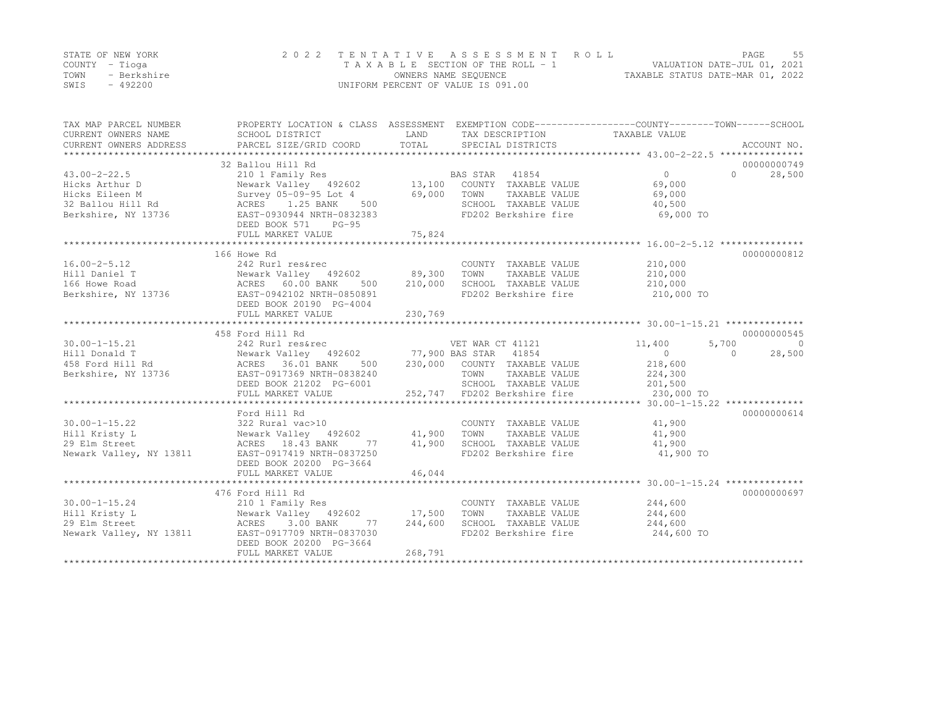|      | STATE OF NEW YORK | 2022 TENTATIVE ASSESSMENT ROLL     | PAGE.                            |  |
|------|-------------------|------------------------------------|----------------------------------|--|
|      | COUNTY – Tioga    | TAXABLE SECTION OF THE ROLL - 1    | VALUATION DATE-JUL 01, 2021      |  |
| TOWN | - Berkshire       | OWNERS NAME SEQUENCE               | TAXABLE STATUS DATE-MAR 01, 2022 |  |
| SWIS | - 492200          | UNIFORM PERCENT OF VALUE IS 091.00 |                                  |  |

| TAX MAP PARCEL NUMBER<br>CURRENT OWNERS NAME<br>CURRENT OWNERS ADDRESS | PROPERTY LOCATION & CLASS ASSESSMENT EXEMPTION CODE---------------COUNTY-------TOWN-----SCHOOL<br>SCHOOL DISTRICT                                                              | LAND       | TAX DESCRIPTION<br>SERCIAI DISTRICTS |                            |                     |
|------------------------------------------------------------------------|--------------------------------------------------------------------------------------------------------------------------------------------------------------------------------|------------|--------------------------------------|----------------------------|---------------------|
|                                                                        |                                                                                                                                                                                |            |                                      |                            |                     |
|                                                                        | 32 Ballou Hill Rd                                                                                                                                                              |            |                                      |                            | 00000000749         |
| $43.00 - 2 - 22.5$                                                     | 210 1 Family Res                                                                                                                                                               |            | BAS STAR 41854                       | $\overline{0}$             | $\Omega$<br>28,500  |
| Hicks Arthur D                                                         | Newark Valley 492602 13,100                                                                                                                                                    |            | COUNTY TAXABLE VALUE                 | 69,000                     |                     |
| Hicks Eileen M                                                         | Survey 05-09-95 Lot 4                                                                                                                                                          | 69,000     | TOWN<br>TAXABLE VALUE                | 69,000                     |                     |
| 32 Ballou Hill Rd                                                      | ACRES 1.25 BANK<br>500                                                                                                                                                         |            | SCHOOL TAXABLE VALUE                 | 40,500                     |                     |
| Berkshire, NY 13736                                                    | EAST-0930944 NRTH-0832383<br>DEED BOOK 571<br>$PG-95$                                                                                                                          |            | FD202 Berkshire fire                 | 69,000 TO                  |                     |
|                                                                        | FULL MARKET VALUE                                                                                                                                                              | 75,824     |                                      |                            |                     |
|                                                                        |                                                                                                                                                                                |            |                                      |                            |                     |
|                                                                        | 166 Howe Rd                                                                                                                                                                    |            |                                      |                            | 00000000812         |
| $16.00 - 2 - 5.12$                                                     | 242 Rurl res&rec                                                                                                                                                               |            | COUNTY TAXABLE VALUE                 | 210,000                    |                     |
|                                                                        | Hill Daniel T<br>166 Howe Road                                 ACRES     60.00 BANK     500       210,000<br>Berkshire, NY 13736                     EAST-0942102 NRTH-0850891 |            | TOWN<br>TAXABLE VALUE                | 210,000                    |                     |
|                                                                        |                                                                                                                                                                                |            | SCHOOL TAXABLE VALUE                 | 210,000                    |                     |
|                                                                        | DEED BOOK 20190 PG-4004                                                                                                                                                        |            | FD202 Berkshire fire                 | $210,000$ TO<br>210,000 TO |                     |
|                                                                        | FULL MARKET VALUE                                                                                                                                                              | 230,769    |                                      |                            |                     |
|                                                                        |                                                                                                                                                                                |            |                                      |                            |                     |
|                                                                        | 458 Ford Hill Rd                                                                                                                                                               |            |                                      |                            | 00000000545         |
|                                                                        |                                                                                                                                                                                |            |                                      | 11,400<br>5,700            | $\overline{0}$      |
|                                                                        |                                                                                                                                                                                |            |                                      | $\overline{0}$             | $\bigcap$<br>28,500 |
|                                                                        |                                                                                                                                                                                |            | 230,000 COUNTY TAXABLE VALUE         | 218,600                    |                     |
|                                                                        |                                                                                                                                                                                |            | TAXABLE VALUE                        | 224,300                    |                     |
|                                                                        |                                                                                                                                                                                |            | SCHOOL TAXABLE VALUE                 | 201,500                    |                     |
|                                                                        | FULL MARKET VALUE                                                                                                                                                              |            | 252,747 FD202 Berkshire fire         | 230,000 TO                 |                     |
|                                                                        |                                                                                                                                                                                |            |                                      |                            |                     |
|                                                                        | Ford Hill Rd                                                                                                                                                                   |            |                                      |                            | 00000000614         |
| $30.00 - 1 - 15.22$                                                    | 322 Rural vac>10                                                                                                                                                               |            | COUNTY TAXABLE VALUE                 | 41,900                     |                     |
| Hill Kristy L                                                          | Newark Valley 492602                                                                                                                                                           | 41,900     | TAXABLE VALUE<br>TOWN                | 41,900                     |                     |
| 29 Elm Street                                                          | ACRES 18.43 BANK<br>77                                                                                                                                                         | 41,900     | SCHOOL TAXABLE VALUE                 | 41,900                     |                     |
| Newark Valley, NY 13811                                                | EAST-0917419 NRTH-0837250                                                                                                                                                      |            | FD202 Berkshire fire                 | 41,900 TO                  |                     |
|                                                                        | DEED BOOK 20200 PG-3664                                                                                                                                                        |            |                                      |                            |                     |
|                                                                        | FULL MARKET VALUE                                                                                                                                                              | 46,044     |                                      |                            |                     |
|                                                                        |                                                                                                                                                                                |            |                                      |                            |                     |
|                                                                        | 476 Ford Hill Rd                                                                                                                                                               |            |                                      |                            | 00000000697         |
| $30.00 - 1 - 15.24$                                                    | 210 1 Family Res                                                                                                                                                               |            | COUNTY TAXABLE VALUE                 | 244,600                    |                     |
| Hill Kristy L                                                          | Newark Valley 492602 17,500                                                                                                                                                    |            | TOWN<br>TAXABLE VALUE                | 244,600                    |                     |
| 29 Elm Street                                                          | 3.00 BANK<br>ACRES                                                                                                                                                             | 77 244,600 | SCHOOL TAXABLE VALUE                 | 244,600                    |                     |
| $\sim$ 1981]<br>Newark Valley, NY 13811                                | EAST-0917709 NRTH-0837030                                                                                                                                                      |            | FD202 Berkshire fire                 | 244,600 TO                 |                     |
|                                                                        | DEED BOOK 20200 PG-3664                                                                                                                                                        |            |                                      |                            |                     |
|                                                                        | FULL MARKET VALUE                                                                                                                                                              | 268,791    |                                      |                            |                     |
|                                                                        |                                                                                                                                                                                |            |                                      |                            |                     |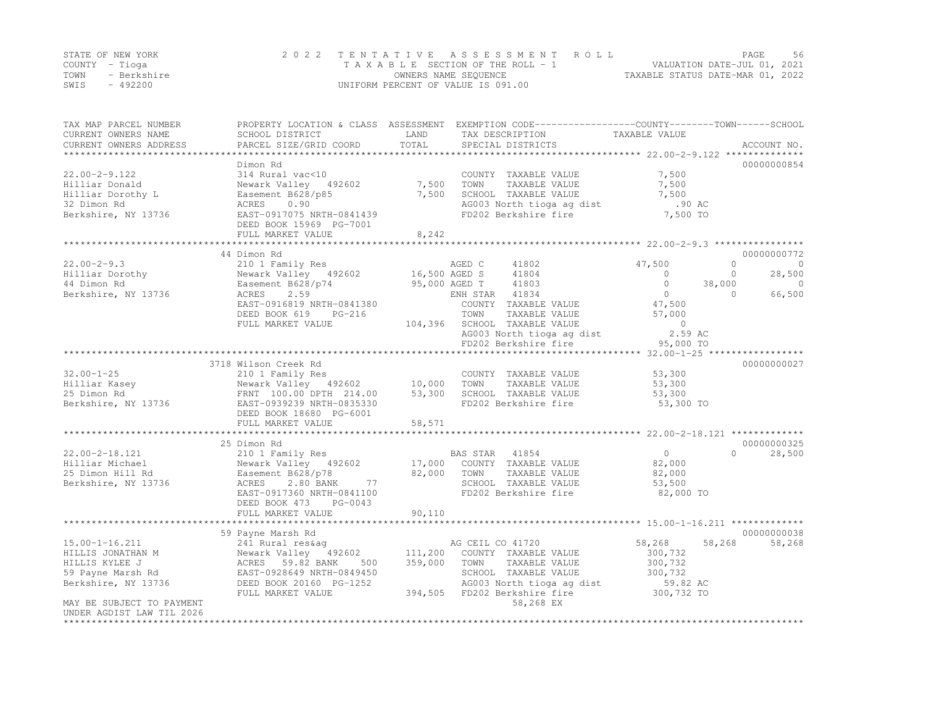|      | STATE OF NEW YORK | 2022 TENTATIVE ASSESSMENT ROLL     | PAGE.                            | 56 |
|------|-------------------|------------------------------------|----------------------------------|----|
|      | COUNTY – Tioga    | TAXABLE SECTION OF THE ROLL - 1    | VALUATION DATE-JUL 01, 2021      |    |
| TOWN | - Berkshire       | OWNERS NAME SEQUENCE               | TAXABLE STATUS DATE-MAR 01, 2022 |    |
| SWIS | $-492200$         | UNIFORM PERCENT OF VALUE IS 091.00 |                                  |    |

| ************************<br>00000000854<br>Dimon Rd<br>$22.00 - 2 - 9.122$<br>7,500<br>314 Rural vac<10<br>COUNTY TAXABLE VALUE<br>7,500 TOWN<br>7,500<br>Newark Valley 492602<br>TAXABLE VALUE<br>Hilliar Donald<br>7,500<br>SCHOOL TAXABLE VALUE<br>7,500<br>Hilliar Dorothy L<br>Easement B628/p85<br>32 Dimon Rd<br>AG003 North tioga ag dist<br>.90 AC<br>ACRES 0.90<br>EAST-0917075 NRTH-0841439<br>FD202 Berkshire fire<br>7,500 TO<br>DEED BOOK 15969 PG-7001<br>8,242<br>FULL MARKET VALUE<br>44 Dimon Rd<br>00000000772<br>$22.00 - 2 - 9.3$<br>47,500<br>$\Omega$<br>210 1 Family Res<br>AGED C<br>41802<br>$\overline{0}$<br>16,500 AGED S<br>95,000 AGED T<br>Hilliar Dorothy<br>Newark Valley 492602<br>41804<br>28,500<br>$\overline{0}$<br>$\circ$<br>44 Dimon Rd<br>Easement B628/p74<br>ACRES     2.59<br>41803<br>$\circ$<br>38,000<br>$\overline{0}$<br>66,500<br>Berkshire, NY 13736<br>ENH STAR 41834<br>$\overline{0}$<br>$\Omega$<br>47,500<br>EAST-0916819 NRTH-0841380<br>COUNTY TAXABLE VALUE<br>DEED BOOK 619<br>TAXABLE VALUE<br>PG-216<br>TOWN<br>57,000<br>104,396 SCHOOL TAXABLE VALUE<br>FULL MARKET VALUE<br>$\overline{0}$<br>2.59 AC<br>AG003 North tioga ag dist<br>FD202 Berkshire fire<br>95,000 TO<br>3718 Wilson Creek Rd<br>00000000027<br>$32.00 - 1 - 25$<br>53,300<br>210 1 Family Res<br>COUNTY TAXABLE VALUE<br>Newark Valley 492602 10,000 TOWN<br>Hilliar Kasey<br>Newark Valley 492002<br>FRNT 100.00 DPTH 214.00 53,300<br>100000 NPTH-0835330<br>TAXABLE VALUE<br>53,300<br>25 Dimon Rd<br>SCHOOL TAXABLE VALUE<br>53,300<br>Berkshire, NY 13736<br>FD202 Berkshire fire<br>53,300 TO<br>DEED BOOK 18680 PG-6001<br>FULL MARKET VALUE<br>58,571<br>00000000325<br>25 Dimon Rd<br>$22.00 - 2 - 18.121$<br>210 1 Family Res<br>$\overline{0}$<br>BAS STAR 41854<br>$\cap$<br>28,500<br>17,000 COUNTY TAXABLE VALUE<br>82,000 TOWN TAXABLE VALUE<br>Newark Valley 492602<br>Hilliar Michael<br>82,000<br>Easement B628/p78<br>25 Dimon Hill Rd<br>82,000<br>77<br>2.80 BANK<br>SCHOOL TAXABLE VALUE<br>Berkshire, NY 13736<br>ACRES<br>53,500<br>FD202 Berkshire fire<br>82,000 TO<br>EAST-0917360 NRTH-0841100<br>DEED BOOK 473 PG-0043<br>90,110<br>FULL MARKET VALUE<br>00000000038<br>59 Payne Marsh Rd<br>$15.00 - 1 - 16.211$<br>AG CEIL CO 41720<br>58,268<br>58,268<br>58,268<br>241 Rural res&ag<br>HILLIS JONATHAN M<br>Newark Valley 492602 111,200 COUNTY TAXABLE VALUE<br>300,732<br>500 359,000<br>HILLIS KYLEE J<br>ACRES 59.82 BANK<br>TOWN<br>TAXABLE VALUE<br>300,732<br>SCHOOL TAXABLE VALUE<br>300,732<br>59.82 AC<br>59 Payne Marsh Rd<br>EAST-0928649 NRTH-0849450<br>AG003 North tioga ag dist<br>Berkshire, NY 13736<br>DEED BOOK 20160 PG-1252<br>394,505 FD202 Berkshire fire<br>300,732 TO<br>FULL MARKET VALUE<br>MAY BE SUBJECT TO PAYMENT<br>58,268 EX<br>UNDER AGDIST LAW TIL 2026 | TAX MAP PARCEL NUMBER<br>CURRENT OWNERS NAME<br>CURRENT OWNERS ADDRESS | SCHOOL DISTRICT<br>PARCEL SIZE/GRID COORD | LAND<br>TOTAL | PROPERTY LOCATION & CLASS ASSESSMENT EXEMPTION CODE----------------COUNTY-------TOWN-----SCHOOL<br>TAX DESCRIPTION<br>SPECIAL DISTRICTS | TAXABLE VALUE | ACCOUNT NO. |
|--------------------------------------------------------------------------------------------------------------------------------------------------------------------------------------------------------------------------------------------------------------------------------------------------------------------------------------------------------------------------------------------------------------------------------------------------------------------------------------------------------------------------------------------------------------------------------------------------------------------------------------------------------------------------------------------------------------------------------------------------------------------------------------------------------------------------------------------------------------------------------------------------------------------------------------------------------------------------------------------------------------------------------------------------------------------------------------------------------------------------------------------------------------------------------------------------------------------------------------------------------------------------------------------------------------------------------------------------------------------------------------------------------------------------------------------------------------------------------------------------------------------------------------------------------------------------------------------------------------------------------------------------------------------------------------------------------------------------------------------------------------------------------------------------------------------------------------------------------------------------------------------------------------------------------------------------------------------------------------------------------------------------------------------------------------------------------------------------------------------------------------------------------------------------------------------------------------------------------------------------------------------------------------------------------------------------------------------------------------------------------------------------------------------------------------------------------------------------------------------------------------------------------------------------------------------------------------------------------------------------------------------------------------------------------------------------------------------------------------------------------------------------------------------------------------------------------------------------------------------|------------------------------------------------------------------------|-------------------------------------------|---------------|-----------------------------------------------------------------------------------------------------------------------------------------|---------------|-------------|
|                                                                                                                                                                                                                                                                                                                                                                                                                                                                                                                                                                                                                                                                                                                                                                                                                                                                                                                                                                                                                                                                                                                                                                                                                                                                                                                                                                                                                                                                                                                                                                                                                                                                                                                                                                                                                                                                                                                                                                                                                                                                                                                                                                                                                                                                                                                                                                                                                                                                                                                                                                                                                                                                                                                                                                                                                                                                    |                                                                        |                                           |               |                                                                                                                                         |               |             |
|                                                                                                                                                                                                                                                                                                                                                                                                                                                                                                                                                                                                                                                                                                                                                                                                                                                                                                                                                                                                                                                                                                                                                                                                                                                                                                                                                                                                                                                                                                                                                                                                                                                                                                                                                                                                                                                                                                                                                                                                                                                                                                                                                                                                                                                                                                                                                                                                                                                                                                                                                                                                                                                                                                                                                                                                                                                                    |                                                                        |                                           |               |                                                                                                                                         |               |             |
|                                                                                                                                                                                                                                                                                                                                                                                                                                                                                                                                                                                                                                                                                                                                                                                                                                                                                                                                                                                                                                                                                                                                                                                                                                                                                                                                                                                                                                                                                                                                                                                                                                                                                                                                                                                                                                                                                                                                                                                                                                                                                                                                                                                                                                                                                                                                                                                                                                                                                                                                                                                                                                                                                                                                                                                                                                                                    |                                                                        |                                           |               |                                                                                                                                         |               |             |
|                                                                                                                                                                                                                                                                                                                                                                                                                                                                                                                                                                                                                                                                                                                                                                                                                                                                                                                                                                                                                                                                                                                                                                                                                                                                                                                                                                                                                                                                                                                                                                                                                                                                                                                                                                                                                                                                                                                                                                                                                                                                                                                                                                                                                                                                                                                                                                                                                                                                                                                                                                                                                                                                                                                                                                                                                                                                    |                                                                        |                                           |               |                                                                                                                                         |               |             |
|                                                                                                                                                                                                                                                                                                                                                                                                                                                                                                                                                                                                                                                                                                                                                                                                                                                                                                                                                                                                                                                                                                                                                                                                                                                                                                                                                                                                                                                                                                                                                                                                                                                                                                                                                                                                                                                                                                                                                                                                                                                                                                                                                                                                                                                                                                                                                                                                                                                                                                                                                                                                                                                                                                                                                                                                                                                                    |                                                                        |                                           |               |                                                                                                                                         |               |             |
|                                                                                                                                                                                                                                                                                                                                                                                                                                                                                                                                                                                                                                                                                                                                                                                                                                                                                                                                                                                                                                                                                                                                                                                                                                                                                                                                                                                                                                                                                                                                                                                                                                                                                                                                                                                                                                                                                                                                                                                                                                                                                                                                                                                                                                                                                                                                                                                                                                                                                                                                                                                                                                                                                                                                                                                                                                                                    |                                                                        |                                           |               |                                                                                                                                         |               |             |
|                                                                                                                                                                                                                                                                                                                                                                                                                                                                                                                                                                                                                                                                                                                                                                                                                                                                                                                                                                                                                                                                                                                                                                                                                                                                                                                                                                                                                                                                                                                                                                                                                                                                                                                                                                                                                                                                                                                                                                                                                                                                                                                                                                                                                                                                                                                                                                                                                                                                                                                                                                                                                                                                                                                                                                                                                                                                    | Berkshire, NY 13736                                                    |                                           |               |                                                                                                                                         |               |             |
|                                                                                                                                                                                                                                                                                                                                                                                                                                                                                                                                                                                                                                                                                                                                                                                                                                                                                                                                                                                                                                                                                                                                                                                                                                                                                                                                                                                                                                                                                                                                                                                                                                                                                                                                                                                                                                                                                                                                                                                                                                                                                                                                                                                                                                                                                                                                                                                                                                                                                                                                                                                                                                                                                                                                                                                                                                                                    |                                                                        |                                           |               |                                                                                                                                         |               |             |
|                                                                                                                                                                                                                                                                                                                                                                                                                                                                                                                                                                                                                                                                                                                                                                                                                                                                                                                                                                                                                                                                                                                                                                                                                                                                                                                                                                                                                                                                                                                                                                                                                                                                                                                                                                                                                                                                                                                                                                                                                                                                                                                                                                                                                                                                                                                                                                                                                                                                                                                                                                                                                                                                                                                                                                                                                                                                    |                                                                        |                                           |               |                                                                                                                                         |               |             |
|                                                                                                                                                                                                                                                                                                                                                                                                                                                                                                                                                                                                                                                                                                                                                                                                                                                                                                                                                                                                                                                                                                                                                                                                                                                                                                                                                                                                                                                                                                                                                                                                                                                                                                                                                                                                                                                                                                                                                                                                                                                                                                                                                                                                                                                                                                                                                                                                                                                                                                                                                                                                                                                                                                                                                                                                                                                                    |                                                                        |                                           |               |                                                                                                                                         |               |             |
|                                                                                                                                                                                                                                                                                                                                                                                                                                                                                                                                                                                                                                                                                                                                                                                                                                                                                                                                                                                                                                                                                                                                                                                                                                                                                                                                                                                                                                                                                                                                                                                                                                                                                                                                                                                                                                                                                                                                                                                                                                                                                                                                                                                                                                                                                                                                                                                                                                                                                                                                                                                                                                                                                                                                                                                                                                                                    |                                                                        |                                           |               |                                                                                                                                         |               |             |
|                                                                                                                                                                                                                                                                                                                                                                                                                                                                                                                                                                                                                                                                                                                                                                                                                                                                                                                                                                                                                                                                                                                                                                                                                                                                                                                                                                                                                                                                                                                                                                                                                                                                                                                                                                                                                                                                                                                                                                                                                                                                                                                                                                                                                                                                                                                                                                                                                                                                                                                                                                                                                                                                                                                                                                                                                                                                    |                                                                        |                                           |               |                                                                                                                                         |               |             |
|                                                                                                                                                                                                                                                                                                                                                                                                                                                                                                                                                                                                                                                                                                                                                                                                                                                                                                                                                                                                                                                                                                                                                                                                                                                                                                                                                                                                                                                                                                                                                                                                                                                                                                                                                                                                                                                                                                                                                                                                                                                                                                                                                                                                                                                                                                                                                                                                                                                                                                                                                                                                                                                                                                                                                                                                                                                                    |                                                                        |                                           |               |                                                                                                                                         |               |             |
|                                                                                                                                                                                                                                                                                                                                                                                                                                                                                                                                                                                                                                                                                                                                                                                                                                                                                                                                                                                                                                                                                                                                                                                                                                                                                                                                                                                                                                                                                                                                                                                                                                                                                                                                                                                                                                                                                                                                                                                                                                                                                                                                                                                                                                                                                                                                                                                                                                                                                                                                                                                                                                                                                                                                                                                                                                                                    |                                                                        |                                           |               |                                                                                                                                         |               |             |
|                                                                                                                                                                                                                                                                                                                                                                                                                                                                                                                                                                                                                                                                                                                                                                                                                                                                                                                                                                                                                                                                                                                                                                                                                                                                                                                                                                                                                                                                                                                                                                                                                                                                                                                                                                                                                                                                                                                                                                                                                                                                                                                                                                                                                                                                                                                                                                                                                                                                                                                                                                                                                                                                                                                                                                                                                                                                    |                                                                        |                                           |               |                                                                                                                                         |               |             |
|                                                                                                                                                                                                                                                                                                                                                                                                                                                                                                                                                                                                                                                                                                                                                                                                                                                                                                                                                                                                                                                                                                                                                                                                                                                                                                                                                                                                                                                                                                                                                                                                                                                                                                                                                                                                                                                                                                                                                                                                                                                                                                                                                                                                                                                                                                                                                                                                                                                                                                                                                                                                                                                                                                                                                                                                                                                                    |                                                                        |                                           |               |                                                                                                                                         |               |             |
|                                                                                                                                                                                                                                                                                                                                                                                                                                                                                                                                                                                                                                                                                                                                                                                                                                                                                                                                                                                                                                                                                                                                                                                                                                                                                                                                                                                                                                                                                                                                                                                                                                                                                                                                                                                                                                                                                                                                                                                                                                                                                                                                                                                                                                                                                                                                                                                                                                                                                                                                                                                                                                                                                                                                                                                                                                                                    |                                                                        |                                           |               |                                                                                                                                         |               |             |
|                                                                                                                                                                                                                                                                                                                                                                                                                                                                                                                                                                                                                                                                                                                                                                                                                                                                                                                                                                                                                                                                                                                                                                                                                                                                                                                                                                                                                                                                                                                                                                                                                                                                                                                                                                                                                                                                                                                                                                                                                                                                                                                                                                                                                                                                                                                                                                                                                                                                                                                                                                                                                                                                                                                                                                                                                                                                    |                                                                        |                                           |               |                                                                                                                                         |               |             |
|                                                                                                                                                                                                                                                                                                                                                                                                                                                                                                                                                                                                                                                                                                                                                                                                                                                                                                                                                                                                                                                                                                                                                                                                                                                                                                                                                                                                                                                                                                                                                                                                                                                                                                                                                                                                                                                                                                                                                                                                                                                                                                                                                                                                                                                                                                                                                                                                                                                                                                                                                                                                                                                                                                                                                                                                                                                                    |                                                                        |                                           |               |                                                                                                                                         |               |             |
|                                                                                                                                                                                                                                                                                                                                                                                                                                                                                                                                                                                                                                                                                                                                                                                                                                                                                                                                                                                                                                                                                                                                                                                                                                                                                                                                                                                                                                                                                                                                                                                                                                                                                                                                                                                                                                                                                                                                                                                                                                                                                                                                                                                                                                                                                                                                                                                                                                                                                                                                                                                                                                                                                                                                                                                                                                                                    |                                                                        |                                           |               |                                                                                                                                         |               |             |
|                                                                                                                                                                                                                                                                                                                                                                                                                                                                                                                                                                                                                                                                                                                                                                                                                                                                                                                                                                                                                                                                                                                                                                                                                                                                                                                                                                                                                                                                                                                                                                                                                                                                                                                                                                                                                                                                                                                                                                                                                                                                                                                                                                                                                                                                                                                                                                                                                                                                                                                                                                                                                                                                                                                                                                                                                                                                    |                                                                        |                                           |               |                                                                                                                                         |               |             |
|                                                                                                                                                                                                                                                                                                                                                                                                                                                                                                                                                                                                                                                                                                                                                                                                                                                                                                                                                                                                                                                                                                                                                                                                                                                                                                                                                                                                                                                                                                                                                                                                                                                                                                                                                                                                                                                                                                                                                                                                                                                                                                                                                                                                                                                                                                                                                                                                                                                                                                                                                                                                                                                                                                                                                                                                                                                                    |                                                                        |                                           |               |                                                                                                                                         |               |             |
|                                                                                                                                                                                                                                                                                                                                                                                                                                                                                                                                                                                                                                                                                                                                                                                                                                                                                                                                                                                                                                                                                                                                                                                                                                                                                                                                                                                                                                                                                                                                                                                                                                                                                                                                                                                                                                                                                                                                                                                                                                                                                                                                                                                                                                                                                                                                                                                                                                                                                                                                                                                                                                                                                                                                                                                                                                                                    |                                                                        |                                           |               |                                                                                                                                         |               |             |
|                                                                                                                                                                                                                                                                                                                                                                                                                                                                                                                                                                                                                                                                                                                                                                                                                                                                                                                                                                                                                                                                                                                                                                                                                                                                                                                                                                                                                                                                                                                                                                                                                                                                                                                                                                                                                                                                                                                                                                                                                                                                                                                                                                                                                                                                                                                                                                                                                                                                                                                                                                                                                                                                                                                                                                                                                                                                    |                                                                        |                                           |               |                                                                                                                                         |               |             |
|                                                                                                                                                                                                                                                                                                                                                                                                                                                                                                                                                                                                                                                                                                                                                                                                                                                                                                                                                                                                                                                                                                                                                                                                                                                                                                                                                                                                                                                                                                                                                                                                                                                                                                                                                                                                                                                                                                                                                                                                                                                                                                                                                                                                                                                                                                                                                                                                                                                                                                                                                                                                                                                                                                                                                                                                                                                                    |                                                                        |                                           |               |                                                                                                                                         |               |             |
|                                                                                                                                                                                                                                                                                                                                                                                                                                                                                                                                                                                                                                                                                                                                                                                                                                                                                                                                                                                                                                                                                                                                                                                                                                                                                                                                                                                                                                                                                                                                                                                                                                                                                                                                                                                                                                                                                                                                                                                                                                                                                                                                                                                                                                                                                                                                                                                                                                                                                                                                                                                                                                                                                                                                                                                                                                                                    |                                                                        |                                           |               |                                                                                                                                         |               |             |
|                                                                                                                                                                                                                                                                                                                                                                                                                                                                                                                                                                                                                                                                                                                                                                                                                                                                                                                                                                                                                                                                                                                                                                                                                                                                                                                                                                                                                                                                                                                                                                                                                                                                                                                                                                                                                                                                                                                                                                                                                                                                                                                                                                                                                                                                                                                                                                                                                                                                                                                                                                                                                                                                                                                                                                                                                                                                    |                                                                        |                                           |               |                                                                                                                                         |               |             |
|                                                                                                                                                                                                                                                                                                                                                                                                                                                                                                                                                                                                                                                                                                                                                                                                                                                                                                                                                                                                                                                                                                                                                                                                                                                                                                                                                                                                                                                                                                                                                                                                                                                                                                                                                                                                                                                                                                                                                                                                                                                                                                                                                                                                                                                                                                                                                                                                                                                                                                                                                                                                                                                                                                                                                                                                                                                                    |                                                                        |                                           |               |                                                                                                                                         |               |             |
|                                                                                                                                                                                                                                                                                                                                                                                                                                                                                                                                                                                                                                                                                                                                                                                                                                                                                                                                                                                                                                                                                                                                                                                                                                                                                                                                                                                                                                                                                                                                                                                                                                                                                                                                                                                                                                                                                                                                                                                                                                                                                                                                                                                                                                                                                                                                                                                                                                                                                                                                                                                                                                                                                                                                                                                                                                                                    |                                                                        |                                           |               |                                                                                                                                         |               |             |
|                                                                                                                                                                                                                                                                                                                                                                                                                                                                                                                                                                                                                                                                                                                                                                                                                                                                                                                                                                                                                                                                                                                                                                                                                                                                                                                                                                                                                                                                                                                                                                                                                                                                                                                                                                                                                                                                                                                                                                                                                                                                                                                                                                                                                                                                                                                                                                                                                                                                                                                                                                                                                                                                                                                                                                                                                                                                    |                                                                        |                                           |               |                                                                                                                                         |               |             |
|                                                                                                                                                                                                                                                                                                                                                                                                                                                                                                                                                                                                                                                                                                                                                                                                                                                                                                                                                                                                                                                                                                                                                                                                                                                                                                                                                                                                                                                                                                                                                                                                                                                                                                                                                                                                                                                                                                                                                                                                                                                                                                                                                                                                                                                                                                                                                                                                                                                                                                                                                                                                                                                                                                                                                                                                                                                                    |                                                                        |                                           |               |                                                                                                                                         |               |             |
|                                                                                                                                                                                                                                                                                                                                                                                                                                                                                                                                                                                                                                                                                                                                                                                                                                                                                                                                                                                                                                                                                                                                                                                                                                                                                                                                                                                                                                                                                                                                                                                                                                                                                                                                                                                                                                                                                                                                                                                                                                                                                                                                                                                                                                                                                                                                                                                                                                                                                                                                                                                                                                                                                                                                                                                                                                                                    |                                                                        |                                           |               |                                                                                                                                         |               |             |
|                                                                                                                                                                                                                                                                                                                                                                                                                                                                                                                                                                                                                                                                                                                                                                                                                                                                                                                                                                                                                                                                                                                                                                                                                                                                                                                                                                                                                                                                                                                                                                                                                                                                                                                                                                                                                                                                                                                                                                                                                                                                                                                                                                                                                                                                                                                                                                                                                                                                                                                                                                                                                                                                                                                                                                                                                                                                    |                                                                        |                                           |               |                                                                                                                                         |               |             |
|                                                                                                                                                                                                                                                                                                                                                                                                                                                                                                                                                                                                                                                                                                                                                                                                                                                                                                                                                                                                                                                                                                                                                                                                                                                                                                                                                                                                                                                                                                                                                                                                                                                                                                                                                                                                                                                                                                                                                                                                                                                                                                                                                                                                                                                                                                                                                                                                                                                                                                                                                                                                                                                                                                                                                                                                                                                                    |                                                                        |                                           |               |                                                                                                                                         |               |             |
|                                                                                                                                                                                                                                                                                                                                                                                                                                                                                                                                                                                                                                                                                                                                                                                                                                                                                                                                                                                                                                                                                                                                                                                                                                                                                                                                                                                                                                                                                                                                                                                                                                                                                                                                                                                                                                                                                                                                                                                                                                                                                                                                                                                                                                                                                                                                                                                                                                                                                                                                                                                                                                                                                                                                                                                                                                                                    |                                                                        |                                           |               |                                                                                                                                         |               |             |
|                                                                                                                                                                                                                                                                                                                                                                                                                                                                                                                                                                                                                                                                                                                                                                                                                                                                                                                                                                                                                                                                                                                                                                                                                                                                                                                                                                                                                                                                                                                                                                                                                                                                                                                                                                                                                                                                                                                                                                                                                                                                                                                                                                                                                                                                                                                                                                                                                                                                                                                                                                                                                                                                                                                                                                                                                                                                    |                                                                        |                                           |               |                                                                                                                                         |               |             |
|                                                                                                                                                                                                                                                                                                                                                                                                                                                                                                                                                                                                                                                                                                                                                                                                                                                                                                                                                                                                                                                                                                                                                                                                                                                                                                                                                                                                                                                                                                                                                                                                                                                                                                                                                                                                                                                                                                                                                                                                                                                                                                                                                                                                                                                                                                                                                                                                                                                                                                                                                                                                                                                                                                                                                                                                                                                                    |                                                                        |                                           |               |                                                                                                                                         |               |             |
|                                                                                                                                                                                                                                                                                                                                                                                                                                                                                                                                                                                                                                                                                                                                                                                                                                                                                                                                                                                                                                                                                                                                                                                                                                                                                                                                                                                                                                                                                                                                                                                                                                                                                                                                                                                                                                                                                                                                                                                                                                                                                                                                                                                                                                                                                                                                                                                                                                                                                                                                                                                                                                                                                                                                                                                                                                                                    |                                                                        |                                           |               |                                                                                                                                         |               |             |
|                                                                                                                                                                                                                                                                                                                                                                                                                                                                                                                                                                                                                                                                                                                                                                                                                                                                                                                                                                                                                                                                                                                                                                                                                                                                                                                                                                                                                                                                                                                                                                                                                                                                                                                                                                                                                                                                                                                                                                                                                                                                                                                                                                                                                                                                                                                                                                                                                                                                                                                                                                                                                                                                                                                                                                                                                                                                    |                                                                        |                                           |               |                                                                                                                                         |               |             |
|                                                                                                                                                                                                                                                                                                                                                                                                                                                                                                                                                                                                                                                                                                                                                                                                                                                                                                                                                                                                                                                                                                                                                                                                                                                                                                                                                                                                                                                                                                                                                                                                                                                                                                                                                                                                                                                                                                                                                                                                                                                                                                                                                                                                                                                                                                                                                                                                                                                                                                                                                                                                                                                                                                                                                                                                                                                                    |                                                                        |                                           |               |                                                                                                                                         |               |             |
|                                                                                                                                                                                                                                                                                                                                                                                                                                                                                                                                                                                                                                                                                                                                                                                                                                                                                                                                                                                                                                                                                                                                                                                                                                                                                                                                                                                                                                                                                                                                                                                                                                                                                                                                                                                                                                                                                                                                                                                                                                                                                                                                                                                                                                                                                                                                                                                                                                                                                                                                                                                                                                                                                                                                                                                                                                                                    |                                                                        |                                           |               |                                                                                                                                         |               |             |
|                                                                                                                                                                                                                                                                                                                                                                                                                                                                                                                                                                                                                                                                                                                                                                                                                                                                                                                                                                                                                                                                                                                                                                                                                                                                                                                                                                                                                                                                                                                                                                                                                                                                                                                                                                                                                                                                                                                                                                                                                                                                                                                                                                                                                                                                                                                                                                                                                                                                                                                                                                                                                                                                                                                                                                                                                                                                    |                                                                        |                                           |               |                                                                                                                                         |               |             |
|                                                                                                                                                                                                                                                                                                                                                                                                                                                                                                                                                                                                                                                                                                                                                                                                                                                                                                                                                                                                                                                                                                                                                                                                                                                                                                                                                                                                                                                                                                                                                                                                                                                                                                                                                                                                                                                                                                                                                                                                                                                                                                                                                                                                                                                                                                                                                                                                                                                                                                                                                                                                                                                                                                                                                                                                                                                                    |                                                                        |                                           |               |                                                                                                                                         |               |             |
|                                                                                                                                                                                                                                                                                                                                                                                                                                                                                                                                                                                                                                                                                                                                                                                                                                                                                                                                                                                                                                                                                                                                                                                                                                                                                                                                                                                                                                                                                                                                                                                                                                                                                                                                                                                                                                                                                                                                                                                                                                                                                                                                                                                                                                                                                                                                                                                                                                                                                                                                                                                                                                                                                                                                                                                                                                                                    |                                                                        |                                           |               |                                                                                                                                         |               |             |
|                                                                                                                                                                                                                                                                                                                                                                                                                                                                                                                                                                                                                                                                                                                                                                                                                                                                                                                                                                                                                                                                                                                                                                                                                                                                                                                                                                                                                                                                                                                                                                                                                                                                                                                                                                                                                                                                                                                                                                                                                                                                                                                                                                                                                                                                                                                                                                                                                                                                                                                                                                                                                                                                                                                                                                                                                                                                    |                                                                        |                                           |               |                                                                                                                                         |               |             |
|                                                                                                                                                                                                                                                                                                                                                                                                                                                                                                                                                                                                                                                                                                                                                                                                                                                                                                                                                                                                                                                                                                                                                                                                                                                                                                                                                                                                                                                                                                                                                                                                                                                                                                                                                                                                                                                                                                                                                                                                                                                                                                                                                                                                                                                                                                                                                                                                                                                                                                                                                                                                                                                                                                                                                                                                                                                                    |                                                                        |                                           |               |                                                                                                                                         |               |             |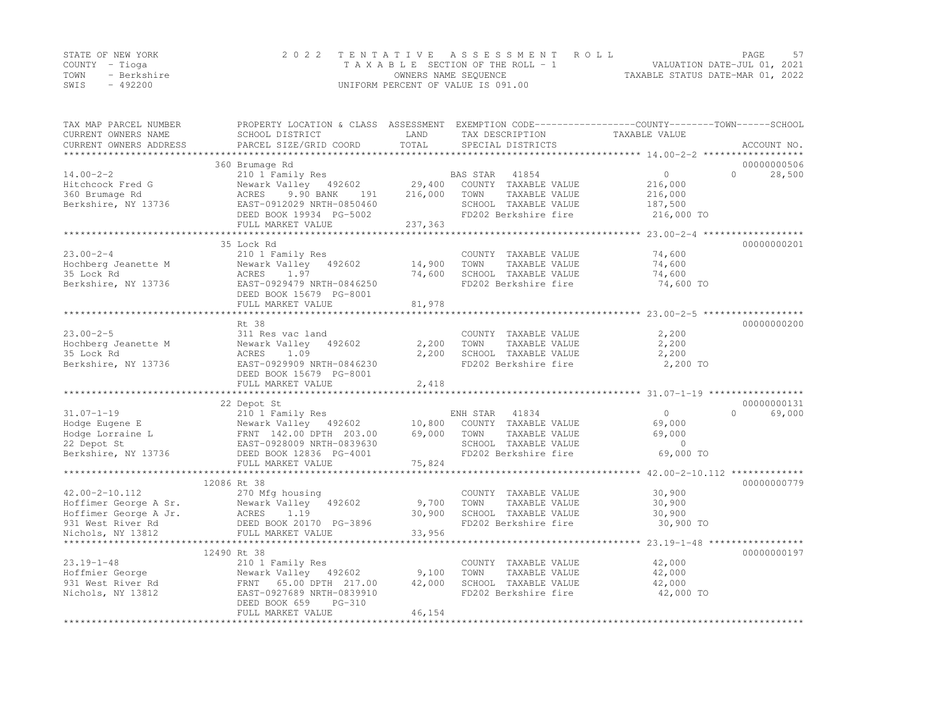|      | STATE OF NEW YORK | 2022 TENTATIVE ASSESSMENT ROLL                                 | PAGE | 57 |
|------|-------------------|----------------------------------------------------------------|------|----|
|      | COUNTY – Tioga    | VALUATION DATE-JUL 01, 2021<br>TAXABLE SECTION OF THE ROLL - 1 |      |    |
| TOWN | - Berkshire       | TAXABLE STATUS DATE-MAR 01, 2022<br>OWNERS NAME SEQUENCE       |      |    |
| SWIS | $-492200$         | UNIFORM PERCENT OF VALUE IS 091.00                             |      |    |

| TAX MAP PARCEL NUMBER<br>CURRENT OWNERS NAME   | PROPERTY LOCATION & CLASS ASSESSMENT EXEMPTION CODE---------------COUNTY-------TOWN------SCHOOL<br>SCHOOL DISTRICT | LAND            | TAX DESCRIPTION                               | TAXABLE VALUE                              |                    |
|------------------------------------------------|--------------------------------------------------------------------------------------------------------------------|-----------------|-----------------------------------------------|--------------------------------------------|--------------------|
| CURRENT OWNERS ADDRESS                         | PARCEL SIZE/GRID COORD                                                                                             | TOTAL           | SPECIAL DISTRICTS                             |                                            | ACCOUNT NO.        |
| *************************                      |                                                                                                                    |                 |                                               |                                            |                    |
|                                                | 360 Brumage Rd                                                                                                     |                 |                                               |                                            | 00000000506        |
| $14.00 - 2 - 2$                                | 210 1 Family Res                                                                                                   |                 | 41854<br>BAS STAR                             | $\circ$                                    | $\Omega$<br>28,500 |
| Hitchcock Fred G                               | Newark Valley 492602                                                                                               | 29,400          | COUNTY TAXABLE VALUE                          | 216,000                                    |                    |
| 360 Brumage Rd                                 | ACRES<br>9.90 BANK<br>191                                                                                          | 216,000         | TOWN<br>TAXABLE VALUE                         | 216,000                                    |                    |
| Berkshire, NY 13736                            | EAST-0912029 NRTH-0850460                                                                                          |                 | SCHOOL TAXABLE VALUE                          | 187,500                                    |                    |
|                                                | DEED BOOK 19934 PG-5002                                                                                            |                 | FD202 Berkshire fire                          | 216,000 TO                                 |                    |
|                                                | FULL MARKET VALUE                                                                                                  | 237,363         |                                               |                                            |                    |
|                                                | *********************                                                                                              | ***********     |                                               | *********** 23.00-2-4 ******************   |                    |
|                                                | 35 Lock Rd                                                                                                         |                 |                                               |                                            | 00000000201        |
| $23.00 - 2 - 4$                                | 210 1 Family Res                                                                                                   |                 | COUNTY TAXABLE VALUE                          | 74,600                                     |                    |
| Hochberg Jeanette M                            | Newark Valley 492602                                                                                               | 14,900          | TOWN<br>TAXABLE VALUE                         | 74,600                                     |                    |
| 35 Lock Rd                                     | ACRES<br>1.97                                                                                                      | 74,600          | SCHOOL TAXABLE VALUE                          | 74,600                                     |                    |
| Berkshire, NY 13736                            | EAST-0929479 NRTH-0846250                                                                                          |                 | FD202 Berkshire fire                          | 74,600 TO                                  |                    |
|                                                | DEED BOOK 15679 PG-8001                                                                                            |                 |                                               |                                            |                    |
|                                                | FULL MARKET VALUE                                                                                                  | 81,978          |                                               |                                            |                    |
|                                                | ********************************                                                                                   |                 |                                               |                                            |                    |
|                                                | Rt 38                                                                                                              |                 |                                               |                                            | 00000000200        |
| $23.00 - 2 - 5$                                | 311 Res vac land                                                                                                   |                 | COUNTY TAXABLE VALUE                          | 2,200                                      |                    |
| Hochberg Jeanette M                            | Newark Valley<br>492602                                                                                            | 2,200           | TOWN<br>TAXABLE VALUE                         | 2,200                                      |                    |
| 35 Lock Rd                                     | ACRES<br>1.09                                                                                                      | 2,200           | SCHOOL TAXABLE VALUE                          | 2,200                                      |                    |
| Berkshire, NY 13736                            | EAST-0929909 NRTH-0846230                                                                                          |                 | FD202 Berkshire fire                          | 2,200 TO                                   |                    |
|                                                | DEED BOOK 15679 PG-8001                                                                                            |                 |                                               |                                            |                    |
|                                                | FULL MARKET VALUE                                                                                                  | 2,418           |                                               |                                            |                    |
|                                                |                                                                                                                    |                 |                                               |                                            |                    |
|                                                | 22 Depot St                                                                                                        |                 |                                               |                                            | 00000000131        |
| $31.07 - 1 - 19$                               | 210 1 Family Res                                                                                                   |                 | ENH STAR<br>41834                             | $\circ$                                    | $\Omega$<br>69,000 |
| Hodge Eugene E                                 | Newark Valley 492602                                                                                               | 10,800          | COUNTY TAXABLE VALUE                          | 69,000                                     |                    |
| Hodge Lorraine L                               | FRNT 142.00 DPTH 203.00                                                                                            | 69,000          | TOWN<br>TAXABLE VALUE                         | 69,000                                     |                    |
| 22 Depot St                                    | EAST-0928009 NRTH-0839630                                                                                          |                 | SCHOOL TAXABLE VALUE                          | $\circ$                                    |                    |
| Berkshire, NY 13736                            | DEED BOOK 12836 PG-4001                                                                                            |                 | FD202 Berkshire fire                          | 69,000 TO                                  |                    |
|                                                | FULL MARKET VALUE                                                                                                  | 75,824          |                                               |                                            |                    |
|                                                |                                                                                                                    |                 |                                               |                                            |                    |
|                                                | 12086 Rt 38                                                                                                        |                 |                                               |                                            | 00000000779        |
| 42.00-2-10.112                                 | 270 Mfg housing<br>492602                                                                                          |                 | COUNTY TAXABLE VALUE                          | 30,900                                     |                    |
| Hoffimer George A Sr.<br>Hoffimer George A Jr. | Newark Valley<br>ACRES<br>1.19                                                                                     | 9,700<br>30,900 | TAXABLE VALUE<br>TOWN<br>SCHOOL TAXABLE VALUE | 30,900<br>30,900                           |                    |
| 931 West River Rd                              | DEED BOOK 20170 PG-3896                                                                                            |                 | FD202 Berkshire fire                          | 30,900 TO                                  |                    |
| Nichols, NY 13812                              | DEED BOOK 20170 :<br>FULL MARKET VALUE                                                                             | 33,956          |                                               |                                            |                    |
|                                                |                                                                                                                    |                 |                                               | ************ 23.19-1-48 ****************** |                    |
|                                                | 12490 Rt 38                                                                                                        |                 |                                               |                                            | 00000000197        |
| $23.19 - 1 - 48$                               | 210 1 Family Res                                                                                                   |                 | COUNTY TAXABLE VALUE                          | 42,000                                     |                    |
| Hoffmier George                                | Newark Valley 492602                                                                                               | 9,100           | TOWN<br>TAXABLE VALUE                         | 42,000                                     |                    |
| 931 West River Rd                              | FRNT 65.00 DPTH 217.00                                                                                             | 42,000          | SCHOOL TAXABLE VALUE                          | 42,000                                     |                    |
| Nichols, NY 13812                              | EAST-0927689 NRTH-0839910                                                                                          |                 | FD202 Berkshire fire                          | 42,000 TO                                  |                    |
|                                                | DEED BOOK 659<br>$PG-310$                                                                                          |                 |                                               |                                            |                    |
|                                                | FULL MARKET VALUE                                                                                                  | 46,154          |                                               |                                            |                    |
|                                                |                                                                                                                    |                 |                                               |                                            |                    |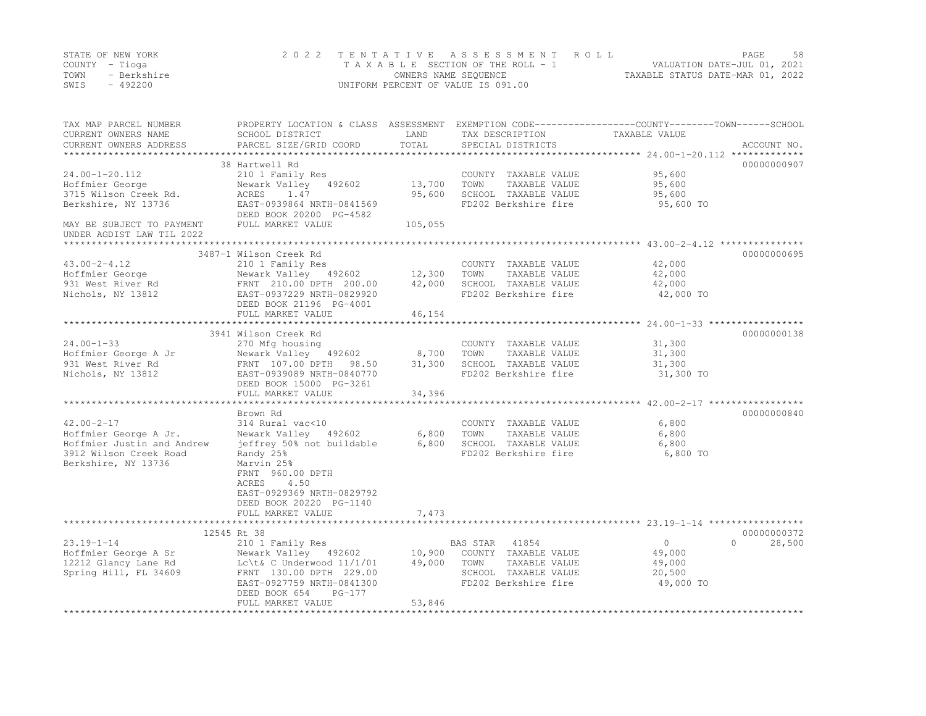|      | STATE OF NEW YORK | 2022 TENTATIVE ASSESSMENT ROLL     |                                  | PAGE | 58 |
|------|-------------------|------------------------------------|----------------------------------|------|----|
|      | COUNTY – Tioga    | TAXABLE SECTION OF THE ROLL - 1    | VALUATION DATE-JUL 01, 2021      |      |    |
| TOWN | - Berkshire       | OWNERS NAME SEQUENCE               | TAXABLE STATUS DATE-MAR 01, 2022 |      |    |
| SWIS | $-492200$         | UNIFORM PERCENT OF VALUE IS 091.00 |                                  |      |    |

| TAX MAP PARCEL NUMBER<br>CURRENT OWNERS NAME                                                                             | PROPERTY LOCATION & CLASS ASSESSMENT<br>SCHOOL DISTRICT                                                                                                                                                                        | LAND                      | TAX DESCRIPTION                                                                               | EXEMPTION CODE-----------------COUNTY-------TOWN------SCHOOL<br>TAXABLE VALUE |
|--------------------------------------------------------------------------------------------------------------------------|--------------------------------------------------------------------------------------------------------------------------------------------------------------------------------------------------------------------------------|---------------------------|-----------------------------------------------------------------------------------------------|-------------------------------------------------------------------------------|
| CURRENT OWNERS ADDRESS<br>************************                                                                       | PARCEL SIZE/GRID COORD                                                                                                                                                                                                         | TOTAL                     | SPECIAL DISTRICTS                                                                             | ACCOUNT NO.                                                                   |
|                                                                                                                          | 38 Hartwell Rd                                                                                                                                                                                                                 |                           |                                                                                               | 00000000907                                                                   |
| 24.00-1-20.112<br>Hoffmier George<br>3715 Wilson Creek Rd.<br>Berkshire, NY 13736                                        | 210 1 Family Res<br>Newark Valley 492602<br>1.47<br>ACRES<br>EAST-0939864 NRTH-0841569<br>DEED BOOK 20200 PG-4582                                                                                                              | 13,700<br>95,600          | COUNTY TAXABLE VALUE<br>TOWN<br>TAXABLE VALUE<br>SCHOOL TAXABLE VALUE<br>FD202 Berkshire fire | 95,600<br>95,600<br>95,600<br>95,600 TO                                       |
| MAY BE SUBJECT TO PAYMENT<br>UNDER AGDIST LAW TIL 2022                                                                   | FULL MARKET VALUE                                                                                                                                                                                                              | 105,055                   |                                                                                               |                                                                               |
|                                                                                                                          |                                                                                                                                                                                                                                |                           |                                                                                               | 00000000695                                                                   |
| $43.00 - 2 - 4.12$<br>Hoffmier George<br>931 West River Rd<br>Nichols, NY 13812                                          | 3487-1 Wilson Creek Rd<br>210 1 Family Res<br>Newark Valley 492602<br>FRNT 210.00 DPTH 200.00<br>EAST-0937229 NRTH-0829920<br>DEED BOOK 21196 PG-4001                                                                          | 12,300<br>42,000          | COUNTY TAXABLE VALUE<br>TAXABLE VALUE<br>TOWN<br>SCHOOL TAXABLE VALUE<br>FD202 Berkshire fire | 42,000<br>42,000<br>42,000<br>42,000 TO                                       |
|                                                                                                                          | FULL MARKET VALUE                                                                                                                                                                                                              | 46,154                    |                                                                                               |                                                                               |
|                                                                                                                          | ***************************<br>3941 Wilson Creek Rd                                                                                                                                                                            | *************             |                                                                                               | 00000000138                                                                   |
| $24.00 - 1 - 33$<br>Hoffmier George A Jr<br>931 West River Rd<br>Nichols, NY 13812                                       | 270 Mfg housing<br>Newark Valley 492602<br>FRNT 107.00 DPTH 98.50<br>EAST-0939089 NRTH-0840770<br>DEED BOOK 15000 PG-3261<br>FULL MARKET VALUE                                                                                 | 8,700<br>31,300<br>34,396 | COUNTY TAXABLE VALUE<br>TAXABLE VALUE<br>TOWN<br>SCHOOL TAXABLE VALUE<br>FD202 Berkshire fire | 31,300<br>31,300<br>31,300<br>31,300 TO                                       |
|                                                                                                                          |                                                                                                                                                                                                                                |                           |                                                                                               |                                                                               |
| $42.00 - 2 - 17$<br>Hoffmier George A Jr.<br>Hoffmier Justin and Andrew<br>3912 Wilson Creek Road<br>Berkshire, NY 13736 | Brown Rd<br>314 Rural vac<10<br>Newark Valley 492602<br>jeffrey 50% not buildable<br>Randy 25%<br>Marvin 25%<br>FRNT 960.00 DPTH<br>4.50<br>ACRES<br>EAST-0929369 NRTH-0829792<br>DEED BOOK 20220 PG-1140<br>FULL MARKET VALUE | 6,800<br>6,800<br>7,473   | COUNTY TAXABLE VALUE<br>TAXABLE VALUE<br>TOWN<br>SCHOOL TAXABLE VALUE<br>FD202 Berkshire fire | 00000000840<br>6,800<br>6,800<br>6,800<br>6,800 TO                            |
|                                                                                                                          | *************************                                                                                                                                                                                                      |                           |                                                                                               | **************************** 23.19-1-14 *****************                     |
| $23.19 - 1 - 14$<br>Hoffmier George A Sr<br>12212 Glancy Lane Rd<br>Spring Hill, FL 34609                                | 12545 Rt 38<br>210 1 Family Res<br>Newark Valley 492602<br>Lc $\text{C}$ Underwood $11/1/01$<br>FRNT 130.00 DPTH 229.00                                                                                                        | 10,900<br>49,000          | BAS STAR 41854<br>COUNTY TAXABLE VALUE<br>TOWN<br>TAXABLE VALUE<br>SCHOOL TAXABLE VALUE       | 00000000372<br>$\circ$<br>$\bigcap$<br>28,500<br>49,000<br>49,000<br>20,500   |
|                                                                                                                          | EAST-0927759 NRTH-0841300<br>DEED BOOK 654<br>PG-177<br>FULL MARKET VALUE                                                                                                                                                      | 53,846                    | FD202 Berkshire fire                                                                          | 49,000 TO                                                                     |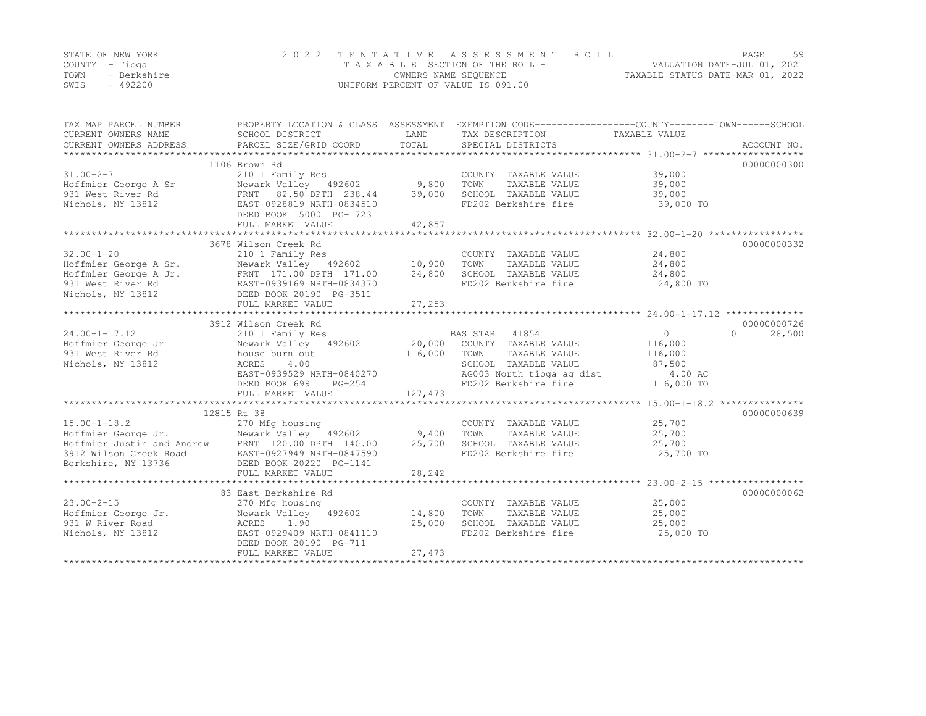|      | STATE OF NEW YORK | 2022 TENTATIVE ASSESSMENT ROLL     |                                  | PAGE | 59 |
|------|-------------------|------------------------------------|----------------------------------|------|----|
|      | COUNTY – Tioga    | TAXABLE SECTION OF THE ROLL - 1    | VALUATION DATE-JUL 01, 2021      |      |    |
| TOWN | - Berkshire       | OWNERS NAME SEQUENCE               | TAXABLE STATUS DATE-MAR 01, 2022 |      |    |
| SWIS | $-492200$         | UNIFORM PERCENT OF VALUE IS 091.00 |                                  |      |    |

| TAX MAP PARCEL NUMBER<br>CURRENT OWNERS NAME<br>CURRENT OWNERS ADDRESS                                                                                                                                                         | PROPERTY LOCATION & CLASS ASSESSMENT<br>SCHOOL DISTRICT<br>PARCEL SIZE/GRID COORD                        | LAND<br>TOTAL | EXEMPTION CODE-----------------COUNTY-------TOWN------SCHOOL<br>TAX DESCRIPTION TAXABLE VALUE<br>SPECIAL DISTRICTS                                                                     |                                                | ACCOUNT NO.        |
|--------------------------------------------------------------------------------------------------------------------------------------------------------------------------------------------------------------------------------|----------------------------------------------------------------------------------------------------------|---------------|----------------------------------------------------------------------------------------------------------------------------------------------------------------------------------------|------------------------------------------------|--------------------|
| $31.00 - 2 - 7$<br>For the Hoffmier George A Sr<br>The Newark Valley 492602 9,800<br>931 West River Rd<br>REAST-0928819 NRTH-0834510<br>REAST-0928819 NRTH-0834510                                                             | 1106 Brown Rd<br>210 1 Family Res                                                                        |               | COUNTY TAXABLE VALUE<br>TOWN<br>TAXABLE VALUE 39,000<br>SCHOOL TAXABLE VALUE                                                                                                           | 39,000<br>39,000                               | 00000000300        |
|                                                                                                                                                                                                                                | DEED BOOK 15000 PG-1723<br>FULL MARKET VALUE                                                             | 42,857        | FD202 Berkshire fire                                                                                                                                                                   | 39,000 TO                                      |                    |
|                                                                                                                                                                                                                                | 3678 Wilson Creek Rd                                                                                     |               |                                                                                                                                                                                        |                                                | 00000000332        |
| $32.00 - 1 - 20$<br>Hoffmier George A Sr. Newark Valley 492602 10,900<br>Hoffmier George A Jr.<br>Hoffmier George A Jr.<br>931 West River Rd<br>931 West River Rd<br>931 Michols, NY 13812<br>13812<br>DEED BOOK 20190 PG-3511 | 210 1 Family Res<br>FULL MARKET VALUE                                                                    | 24,800        | COUNTY TAXABLE VALUE<br>TOWN<br>TAXABLE VALUE<br>SCHOOL TAXABLE VALUE 24,800<br>FD202 Berkshire fire                                                                                   | $24,800$<br>$24.800$<br>24,800<br>24,800 TO    |                    |
|                                                                                                                                                                                                                                |                                                                                                          | 27,253        |                                                                                                                                                                                        |                                                |                    |
|                                                                                                                                                                                                                                | 3912 Wilson Creek Rd                                                                                     |               |                                                                                                                                                                                        |                                                | 00000000726        |
| $24.00 - 1 - 17.12$<br>Hoffmier George Jr           Newark Valley   492602<br>931 West River Rd               house burn out<br>Nichols, NY 13812                                                                              | 210 1 Family Res<br>ACRES<br>4.00<br>EAST-0939529 NRTH-0840270<br>RTH-0840270<br>PG-254<br>DEED BOOK 699 |               | BAS STAR 41854<br>20,000 COUNTY TAXABLE VALUE<br>116,000 TOWN TAXABLE VALUE<br>SCHOOL TAXABLE VALUE<br>SCHOOL IAAADDE<br>AG003 North tioga ag dist 4.00 AC<br>116,000 TO<br>116,000 TO | $\overline{0}$<br>116,000<br>116,000<br>87,500 | $\Omega$<br>28,500 |
|                                                                                                                                                                                                                                | FULL MARKET VALUE                                                                                        | 127, 473      |                                                                                                                                                                                        |                                                |                    |
|                                                                                                                                                                                                                                | 12815 Rt 38                                                                                              |               |                                                                                                                                                                                        |                                                | 00000000639        |
| 15.00-1-18.2 270 Mfg housing<br>Hoffmier George Jr.           Newark Valley 492602           9,400<br>Hoffmier Justin and Andrew       FRNT 120.00 DPTH 140.00         25,700<br>3912 Wilson Creek Road<br>Berkshire, NY 13736 | EAST-0927949 NRTH-0847590<br>DEED BOOK 20220 PG-1141<br>FULL MARKET VALUE                                | 28,242        | COUNTY TAXABLE VALUE<br>TAXABLE VALUE<br>TOWN<br>SCHOOL TAXABLE VALUE<br>FD202 Berkshire fire                                                                                          | 25,700<br>25,700<br>25,700<br>25,700 TO        |                    |
|                                                                                                                                                                                                                                |                                                                                                          |               |                                                                                                                                                                                        |                                                |                    |
| $23.00 - 2 - 15$<br>Hoffmier George Jr.                                                                                                                                                                                        | 83 East Berkshire Rd<br>270 Mfg housing<br>Newark Valley 492602 14,800<br>DEED BOOK 20190 PG-711         | 25,000        | COUNTY TAXABLE VALUE 25,000<br>TOWN<br>TAXABLE VALUE<br>SCHOOL TAXABLE VALUE<br>FD202 Berkshire fire                                                                                   | 25,000<br>25,000<br>25,000 TO                  | 00000000062        |
|                                                                                                                                                                                                                                | FULL MARKET VALUE                                                                                        | 27,473        |                                                                                                                                                                                        |                                                |                    |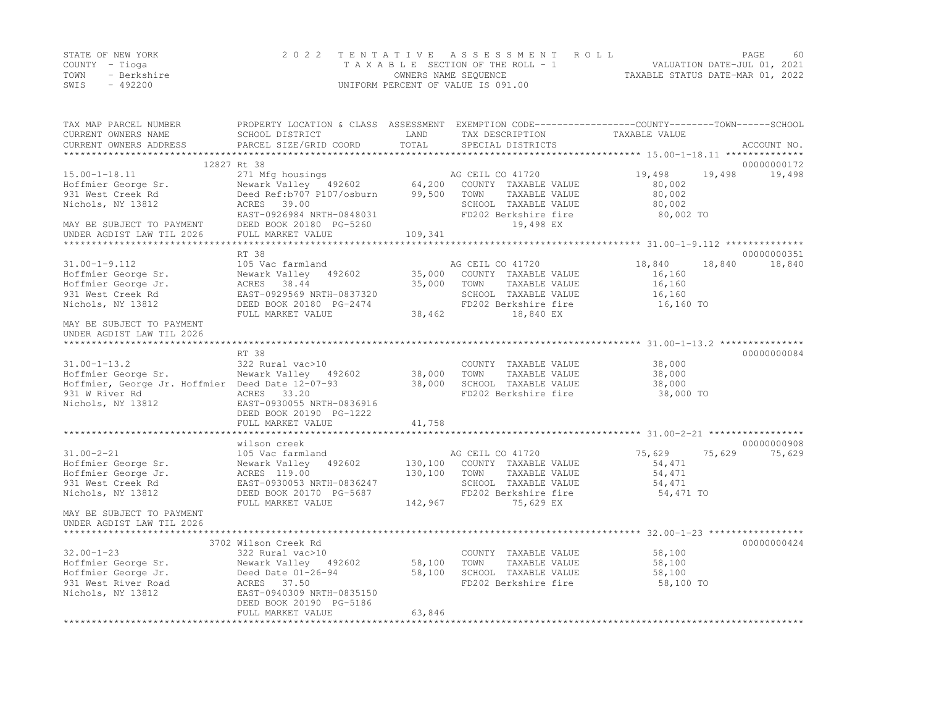|      | STATE OF NEW YORK | 2022 TENTATIVE ASSESSMENT ROLL     |                                  | PAGE                        | 60 |
|------|-------------------|------------------------------------|----------------------------------|-----------------------------|----|
|      | COUNTY – Tioga    | TAXABLE SECTION OF THE ROLL - 1    |                                  | VALUATION DATE-JUL 01, 2021 |    |
| TOWN | - Berkshire       | OWNERS NAME SEQUENCE               | TAXABLE STATUS DATE-MAR 01, 2022 |                             |    |
| SWIS | - 492200          | UNIFORM PERCENT OF VALUE IS 091.00 |                                  |                             |    |

| TAX MAP PARCEL NUMBER<br>CURRENT OWNERS NAME<br>CURRENT OWNERS ADDRESS                                                                                                                                                                                                                                                                                                   | PROPERTY LOCATION & CLASS ASSESSMENT EXEMPTION CODE----------------COUNTY-------TOWN-----SCHOOL<br>SCHOOL DISTRICT<br>PARCEL SIZE/GRID COORD                                                                                             | LAND<br>TOTAL | TAX DESCRIPTION<br>SPECIAL DISTRICTS                                                           | TAXABLE VALUE                                       | ACCOUNT NO.                     |
|--------------------------------------------------------------------------------------------------------------------------------------------------------------------------------------------------------------------------------------------------------------------------------------------------------------------------------------------------------------------------|------------------------------------------------------------------------------------------------------------------------------------------------------------------------------------------------------------------------------------------|---------------|------------------------------------------------------------------------------------------------|-----------------------------------------------------|---------------------------------|
|                                                                                                                                                                                                                                                                                                                                                                          |                                                                                                                                                                                                                                          |               |                                                                                                |                                                     |                                 |
|                                                                                                                                                                                                                                                                                                                                                                          | 12827 Rt 38                                                                                                                                                                                                                              |               |                                                                                                |                                                     | 00000000172                     |
| $15.00 - 1 - 18.11$<br>15.00-1-18.11 18.00-1-18.11 16 271 Mfg housings 15.00-1-18.11 16<br>Hoffmier George Sr. Newark Valley 192602 64,200 COUNT<br>1931 West Creek Rd 18.00 Deed Ref:b707 P107/osburn 99,500 TOWN<br>Nichols, NY 13812<br>EAST-0926984 NRTH-0848031<br>MAY BE SUBJECT TO PAYMENT DEED BOOK 20180 PG-5260<br>UNDER AGDIST LAW TIL 2026 FULL MARKET VALUE | 271 Mfg housings<br>Newark Valley 492602 64,200 COUNTY TAXABLE VALUE<br>ACRES 39.00                                                                                                                                                      | 109,341       | TAXABLE VALUE<br>SCHOOL TAXABLE VALUE<br>FD202 Berkshire fire<br>19,498 EX                     | 19,498<br>80,002<br>80,002<br>80,002<br>80,002 TO   | 19,498<br>19,498                |
|                                                                                                                                                                                                                                                                                                                                                                          |                                                                                                                                                                                                                                          |               |                                                                                                |                                                     |                                 |
| $31.00 - 1 - 9.112$<br>Hoffmier George Sr.<br>Hoffmier George Jr.<br>931 West Creek Rd<br>Nichols, NY 13812                                                                                                                                                                                                                                                              | AND 105 Vac farmland<br>105 Vac farmland<br>105 Vac farmland<br>192602 35,000 COUNTY TAXABLE VALUE<br>192602 35,000 COUNTY TAXABLE VALUE<br>1929569 NRTH-0837320<br>1929569 NRTH-0837320<br>DEED BOOK 20180 PG-2474<br>FULL MARKET VALUE | 38,462        | TAXABLE VALUE<br>SCHOOL TAXABLE VALUE<br>FD202 Berkshire fire<br>18,840 EX                     | 18,840<br>16,160<br>16,160<br>16,160<br>$16,160$ TO | 00000000351<br>18,840<br>18,840 |
| MAY BE SUBJECT TO PAYMENT<br>UNDER AGDIST LAW TIL 2026                                                                                                                                                                                                                                                                                                                   |                                                                                                                                                                                                                                          |               |                                                                                                |                                                     |                                 |
|                                                                                                                                                                                                                                                                                                                                                                          | RT 38                                                                                                                                                                                                                                    |               |                                                                                                |                                                     | 00000000084                     |
| $31.00 - 1 - 13.2$<br>Hoffmier George Sr.<br>Hoffmier, George Jr. Hoffmier Deed Date 12-07-93 38,000<br>931 W River Rd<br>Nichols, NY 13812                                                                                                                                                                                                                              | 322 Rural vac>10<br>Newark Valley 492602 38,000 TOWN TAXABLE VALUE<br>322 Rural vac>10<br>ACRES 33.20<br>EAST-0930055 NRTH-0836916<br>DEED BOOK 20190 PG-1222<br>FULL MARKET VALUE                                                       | 41,758        | COUNTY TAXABLE VALUE<br>SCHOOL TAXABLE VALUE<br>FD202 Berkshire fire                           | 38,000<br>38,000<br>38,000<br>38,000 TO             |                                 |
|                                                                                                                                                                                                                                                                                                                                                                          |                                                                                                                                                                                                                                          |               |                                                                                                |                                                     |                                 |
| $31.00 - 2 - 21$<br>Hoffmier George Sr.<br>Hoffmier George Jr.<br>931 West Creek Rd<br>Nichols, NY 13812<br>MAY BE SUBJECT TO PAYMENT<br>UNDER AGDIST LAW TIL 2026                                                                                                                                                                                                       | wilson creek<br>105 Vac farmland<br>Newark Valley 492602 130,100 COUNTY TAXABLE VALUE<br>ACRES 119.00<br>EAST-0930053<br>DEED BOOK 20170 PG-5687<br>FULL MARKET VALUE 142,967                                                            | 130,100 TOWN  | AG CEIL CO 41720<br>TAXABLE VALUE<br>SCHOOL TAXABLE VALUE<br>FD202 Berkshire fire<br>75,629 EX | 75,629<br>54,471<br>54,471<br>54,471<br>54,471 TO   | 00000000908<br>75,629<br>75,629 |
|                                                                                                                                                                                                                                                                                                                                                                          |                                                                                                                                                                                                                                          |               |                                                                                                |                                                     |                                 |
| $32.00 - 1 - 23$<br>Hoffmier George Sr.<br>Hoffmier George Jr. Deed Date $01-26-94$ 58,100<br>931 West River Road<br>Nichols, NY 13812                                                                                                                                                                                                                                   | 3702 Wilson Creek Rd<br>ACRES 37.50<br>EAST-0940309 NRTH-0835150<br>DEED BOOK 20190 PG-5186<br>FULL MARKET VALUE                                                                                                                         | 63,846        | SCHOOL TAXABLE VALUE<br>FD202 Berkshire fire                                                   | 58,100<br>58,100<br>58,100<br>58,100 TO             | 00000000424                     |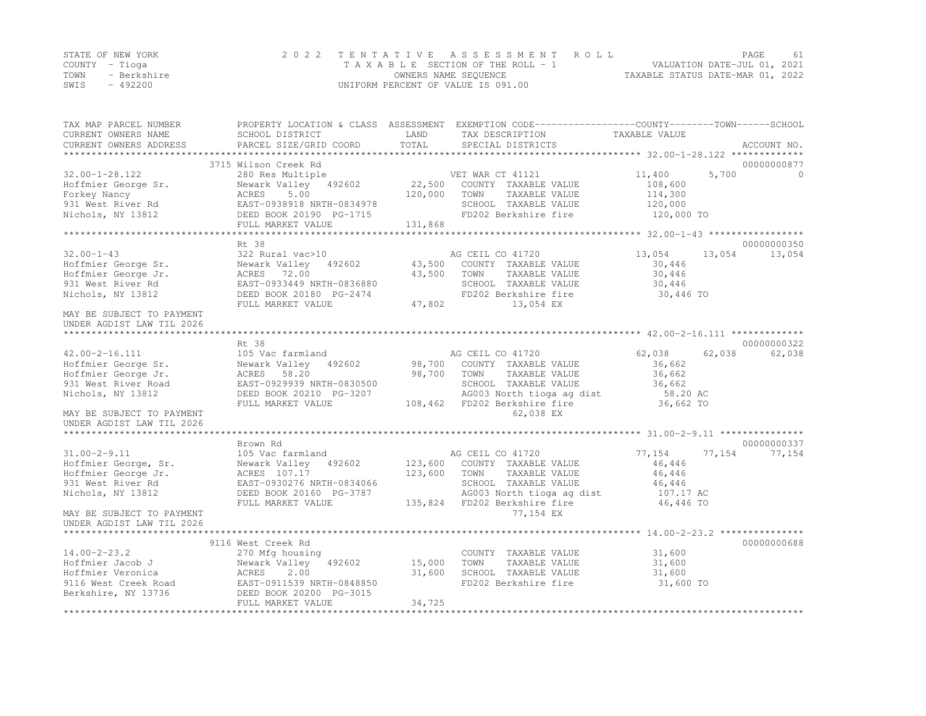|                | STATE OF NEW YORK | 2022 TENTATIVE ASSESSMENT ROLL     |                                  | PAGE. | -61 |
|----------------|-------------------|------------------------------------|----------------------------------|-------|-----|
| COUNTY – Tioga |                   | TAXABLE SECTION OF THE ROLL - 1    | VALUATION DATE-JUL 01, 2021      |       |     |
| TOWN           | - Berkshire       | OWNERS NAME SEQUENCE               | TAXABLE STATUS DATE-MAR 01, 2022 |       |     |
| SWIS           | $-492200$         | UNIFORM PERCENT OF VALUE IS 091.00 |                                  |       |     |

| TAX MAP PARCEL NUMBER<br>CURRENT OWNERS NAME                                                                   | SCHOOL DISTRICT                                                                                                                                | LAND               | PROPERTY LOCATION & CLASS ASSESSMENT EXEMPTION CODE----------------COUNTY-------TOWN------SCHOOL<br>TAX DESCRIPTION                   | TAXABLE VALUE                                               |                       |
|----------------------------------------------------------------------------------------------------------------|------------------------------------------------------------------------------------------------------------------------------------------------|--------------------|---------------------------------------------------------------------------------------------------------------------------------------|-------------------------------------------------------------|-----------------------|
| CURRENT OWNERS ADDRESS<br>*************************                                                            | PARCEL SIZE/GRID COORD                                                                                                                         | TOTAL              | SPECIAL DISTRICTS                                                                                                                     |                                                             | ACCOUNT NO.           |
|                                                                                                                | 3715 Wilson Creek Rd                                                                                                                           |                    |                                                                                                                                       |                                                             | 00000000877           |
| $32.00 - 1 - 28.122$<br>Hoffmier George Sr.<br>Forkey Nancy                                                    | 280 Res Multiple<br>Newark Valley 492602<br>5.00<br>ACRES                                                                                      | 22,500<br>120,000  | VET WAR CT 41121<br>COUNTY TAXABLE VALUE<br>TOWN<br>TAXABLE VALUE                                                                     | 11,400<br>5,700<br>108,600<br>114,300                       | $\Omega$              |
| 931 West River Rd<br>Nichols, NY 13812                                                                         | EAST-0938918 NRTH-0834978<br>DEED BOOK 20190 PG-1715<br>FULL MARKET VALUE                                                                      | 131,868            | SCHOOL TAXABLE VALUE<br>FD202 Berkshire fire                                                                                          | 120,000<br>120,000 TO                                       |                       |
|                                                                                                                |                                                                                                                                                |                    |                                                                                                                                       |                                                             |                       |
| $32.00 - 1 - 43$<br>Hoffmier George Sr.<br>Hoffmier George Jr.<br>931 West River Rd<br>Nichols, NY 13812       | Rt. 38<br>322 Rural vac>10<br>Newark Valley 492602<br>ACRES 72.00<br>EAST-0933449 NRTH-0836880<br>DEED BOOK 20180 PG-2474<br>FULL MARKET VALUE | 43,500<br>47,802   | AG CEIL CO 41720<br>43,500 COUNTY TAXABLE VALUE<br>TOWN<br>TAXABLE VALUE<br>SCHOOL TAXABLE VALUE<br>FD202 Berkshire fire<br>13,054 EX | 13,054<br>13,054<br>30,446<br>30,446<br>30,446<br>30,446 TO | 00000000350<br>13,054 |
| MAY BE SUBJECT TO PAYMENT<br>UNDER AGDIST LAW TIL 2026                                                         |                                                                                                                                                |                    |                                                                                                                                       |                                                             |                       |
|                                                                                                                | Rt 38                                                                                                                                          |                    |                                                                                                                                       |                                                             | 00000000322           |
| $42.00 - 2 - 16.111$<br>Hoffmier George Sr.<br>Hoffmier George Jr.<br>931 West River Road<br>Nichols, NY 13812 | 105 Vac farmland<br>Newark Valley 492602<br>ACRES 58.20<br>EAST-0929939 NRTH-0830500<br>DEED BOOK 20210 PG-3207                                | 98,700<br>98,700   | AG CEIL CO 41720<br>COUNTY TAXABLE VALUE<br>TOWN<br>TAXABLE VALUE<br>SCHOOL TAXABLE VALUE<br>AG003 North tioga ag dist                | 62,038<br>62,038<br>36,662<br>36,662<br>36,662<br>58.20 AC  | 62,038                |
| MAY BE SUBJECT TO PAYMENT<br>UNDER AGDIST LAW TIL 2026                                                         | FULL MARKET VALUE                                                                                                                              | 108,462            | FD202 Berkshire fire<br>62,038 EX                                                                                                     | 36,662 TO                                                   |                       |
|                                                                                                                | Brown Rd                                                                                                                                       |                    |                                                                                                                                       |                                                             | 00000000337           |
| $31.00 - 2 - 9.11$<br>Hoffmier George, Sr.<br>Hoffmier George Jr.<br>931 West River Rd                         | 105 Vac farmland<br>Newark Valley 492602<br>ACRES 107.17<br>EAST-0930276 NRTH-0834066                                                          | 123,600<br>123,600 | AG CEIL CO 41720<br>COUNTY TAXABLE VALUE<br>TAXABLE VALUE<br>TOWN<br>SCHOOL TAXABLE VALUE                                             | 77,154<br>77,154<br>46,446<br>46,446<br>46,446              | 77,154                |
| Nichols, NY 13812<br>MAY BE SUBJECT TO PAYMENT                                                                 | DEED BOOK 20160 PG-3787<br>FULL MARKET VALUE                                                                                                   | 135,824            | AG003 North tioga ag dist<br>FD202 Berkshire fire<br>77,154 EX                                                                        | 107.17 AC<br>46,446 TO                                      |                       |
| UNDER AGDIST LAW TIL 2026                                                                                      |                                                                                                                                                |                    |                                                                                                                                       |                                                             |                       |
| **********************                                                                                         |                                                                                                                                                |                    |                                                                                                                                       |                                                             |                       |
| $14.00 - 2 - 23.2$<br>Hoffmier Jacob J<br>Hoffmier Veronica                                                    | 9116 West Creek Rd<br>270 Mfg housing<br>Newark Valley<br>492602<br>2.00<br>ACRES                                                              | 15,000<br>31,600   | COUNTY TAXABLE VALUE<br>TOWN<br>TAXABLE VALUE<br>SCHOOL TAXABLE VALUE                                                                 | 31,600<br>31,600<br>31,600                                  | 00000000688           |
| 9116 West Creek Road<br>Berkshire, NY 13736                                                                    | EAST-0911539 NRTH-0848850<br>DEED BOOK 20200 PG-3015<br>FULL MARKET VALUE                                                                      | 34,725             | FD202 Berkshire fire                                                                                                                  | 31,600 TO                                                   |                       |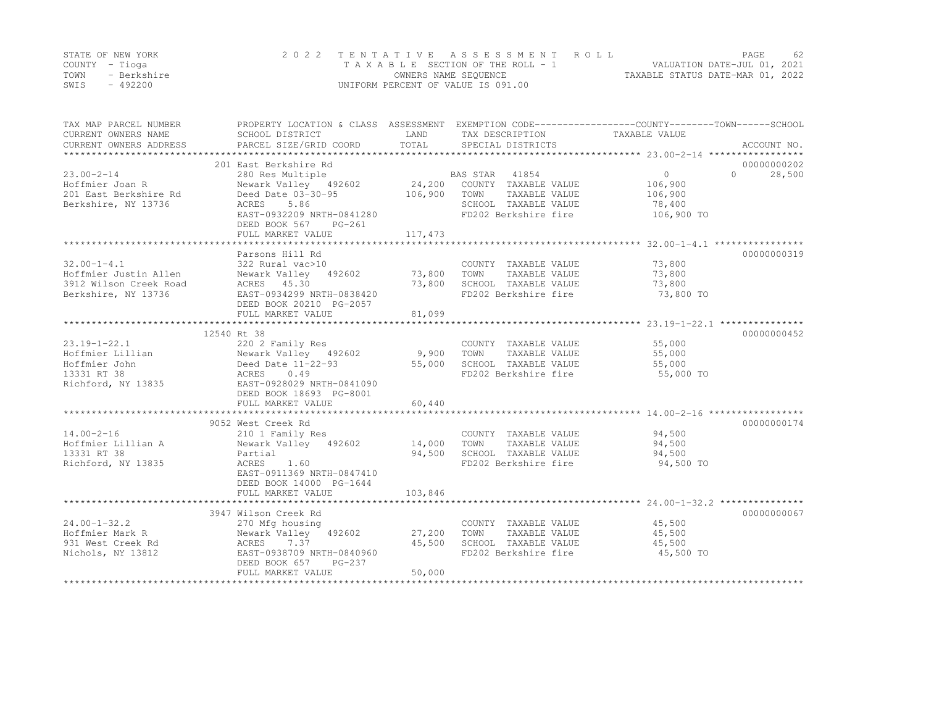|      | STATE OF NEW YORK | 2022 TENTATIVE ASSESSMENT ROLL     |                                  | PAGE. | 62 |
|------|-------------------|------------------------------------|----------------------------------|-------|----|
|      | COUNTY – Tioga    | TAXABLE SECTION OF THE ROLL - 1    | VALUATION DATE-JUL 01, 2021      |       |    |
| TOWN | - Berkshire       | OWNERS NAME SEQUENCE               | TAXABLE STATUS DATE-MAR 01, 2022 |       |    |
| SWIS | $-492200$         | UNIFORM PERCENT OF VALUE IS 091.00 |                                  |       |    |

| TAX MAP PARCEL NUMBER<br>CURRENT OWNERS NAME<br>CURRENT OWNERS ADDRESS | PROPERTY LOCATION & CLASS ASSESSMENT EXEMPTION CODE---------------COUNTY-------TOWN-----SCHOOL<br>SCHOOL DISTRICT<br>PARCEL SIZE/GRID COORD | LAND<br>TOTAL | TAX DESCRIPTION<br>SPECIAL DISTRICTS | TAXABLE VALUE | ACCOUNT NO.        |
|------------------------------------------------------------------------|---------------------------------------------------------------------------------------------------------------------------------------------|---------------|--------------------------------------|---------------|--------------------|
|                                                                        |                                                                                                                                             |               |                                      |               |                    |
|                                                                        | 201 East Berkshire Rd                                                                                                                       |               |                                      |               | 00000000202        |
| $23.00 - 2 - 14$                                                       | 280 Res Multiple                                                                                                                            |               | BAS STAR<br>41854                    | $\Omega$      | 28,500<br>$\Omega$ |
| Hoffmier Joan R                                                        | Newark Valley 492602                                                                                                                        | 24,200        | COUNTY TAXABLE VALUE                 | 106,900       |                    |
| 201 East Berkshire Rd                                                  | Deed Date 03-30-95                                                                                                                          | 106,900       | TAXABLE VALUE<br>TOWN                | 106,900       |                    |
| Berkshire, NY 13736                                                    | 5.86<br>ACRES                                                                                                                               |               | SCHOOL TAXABLE VALUE                 | 78,400        |                    |
|                                                                        | EAST-0932209 NRTH-0841280                                                                                                                   |               | FD202 Berkshire fire                 | 106,900 TO    |                    |
|                                                                        | DEED BOOK 567<br>PG-261                                                                                                                     |               |                                      |               |                    |
|                                                                        | FULL MARKET VALUE                                                                                                                           | 117,473       |                                      |               |                    |
|                                                                        |                                                                                                                                             |               |                                      |               |                    |
|                                                                        | Parsons Hill Rd                                                                                                                             |               |                                      |               | 00000000319        |
| $32.00 - 1 - 4.1$                                                      | 322 Rural vac>10                                                                                                                            |               | COUNTY TAXABLE VALUE                 | 73,800        |                    |
| Hoffmier Justin Allen                                                  | Newark Valley 492602                                                                                                                        | 73,800        | TOWN<br>TAXABLE VALUE                | 73,800        |                    |
| 3912 Wilson Creek Road                                                 | ACRES 45.30                                                                                                                                 | 73,800        | SCHOOL TAXABLE VALUE                 | 73,800        |                    |
| Berkshire, NY 13736                                                    | EAST-0934299 NRTH-0838420                                                                                                                   |               | FD202 Berkshire fire                 | 73,800 TO     |                    |
|                                                                        | DEED BOOK 20210 PG-2057                                                                                                                     |               |                                      |               |                    |
|                                                                        | FULL MARKET VALUE                                                                                                                           | 81,099        |                                      |               |                    |
|                                                                        |                                                                                                                                             |               |                                      |               |                    |
| 12540 Rt 38                                                            |                                                                                                                                             |               |                                      |               | 00000000452        |
| $23.19 - 1 - 22.1$                                                     | 220 2 Family Res                                                                                                                            |               | COUNTY TAXABLE VALUE                 | 55,000        |                    |
| Hoffmier Lillian                                                       | Newark Valley 492602                                                                                                                        | 9,900         | TOWN<br>TAXABLE VALUE                | 55,000        |                    |
| Hoffmier John                                                          | Deed Date 11-22-93                                                                                                                          | 55,000        | SCHOOL TAXABLE VALUE                 | 55,000        |                    |
| 13331 RT 38                                                            | 0.49<br>ACRES                                                                                                                               |               | FD202 Berkshire fire                 | 55,000 TO     |                    |
| Richford, NY 13835                                                     | EAST-0928029 NRTH-0841090                                                                                                                   |               |                                      |               |                    |
|                                                                        | DEED BOOK 18693 PG-8001                                                                                                                     |               |                                      |               |                    |
|                                                                        | FULL MARKET VALUE                                                                                                                           | 60,440        |                                      |               |                    |
|                                                                        |                                                                                                                                             |               |                                      |               |                    |
|                                                                        | 9052 West Creek Rd                                                                                                                          |               |                                      |               | 00000000174        |
| $14.00 - 2 - 16$                                                       | 210 1 Family Res                                                                                                                            |               | COUNTY TAXABLE VALUE                 | 94,500        |                    |
| Hoffmier Lillian A                                                     | Newark Valley 492602                                                                                                                        | 14,000        | TOWN<br>TAXABLE VALUE                | 94,500        |                    |
| 13331 RT 38                                                            | Partial                                                                                                                                     | 94,500        | SCHOOL TAXABLE VALUE                 | 94,500        |                    |
| Richford, NY 13835                                                     | 1.60<br>ACRES                                                                                                                               |               | FD202 Berkshire fire                 | 94,500 TO     |                    |
|                                                                        | EAST-0911369 NRTH-0847410                                                                                                                   |               |                                      |               |                    |
|                                                                        | DEED BOOK 14000 PG-1644                                                                                                                     |               |                                      |               |                    |
|                                                                        | FULL MARKET VALUE                                                                                                                           | 103,846       |                                      |               |                    |
|                                                                        |                                                                                                                                             |               |                                      |               |                    |
|                                                                        | 3947 Wilson Creek Rd                                                                                                                        |               |                                      |               | 00000000067        |
| $24.00 - 1 - 32.2$                                                     | 270 Mfg housing                                                                                                                             |               | COUNTY TAXABLE VALUE                 | 45,500        |                    |
| Hoffmier Mark R                                                        | Newark Valley 492602                                                                                                                        | 27,200        | TOWN<br>TAXABLE VALUE                | 45,500        |                    |
| 931 West Creek Rd                                                      | ACRES<br>7.37                                                                                                                               | 45,500        | SCHOOL TAXABLE VALUE                 | 45,500        |                    |
| Nichols, NY 13812                                                      | EAST-0938709 NRTH-0840960                                                                                                                   |               | FD202 Berkshire fire                 | 45,500 TO     |                    |
|                                                                        | DEED BOOK 657<br>PG-237                                                                                                                     |               |                                      |               |                    |
|                                                                        | FULL MARKET VALUE                                                                                                                           | 50,000        |                                      |               |                    |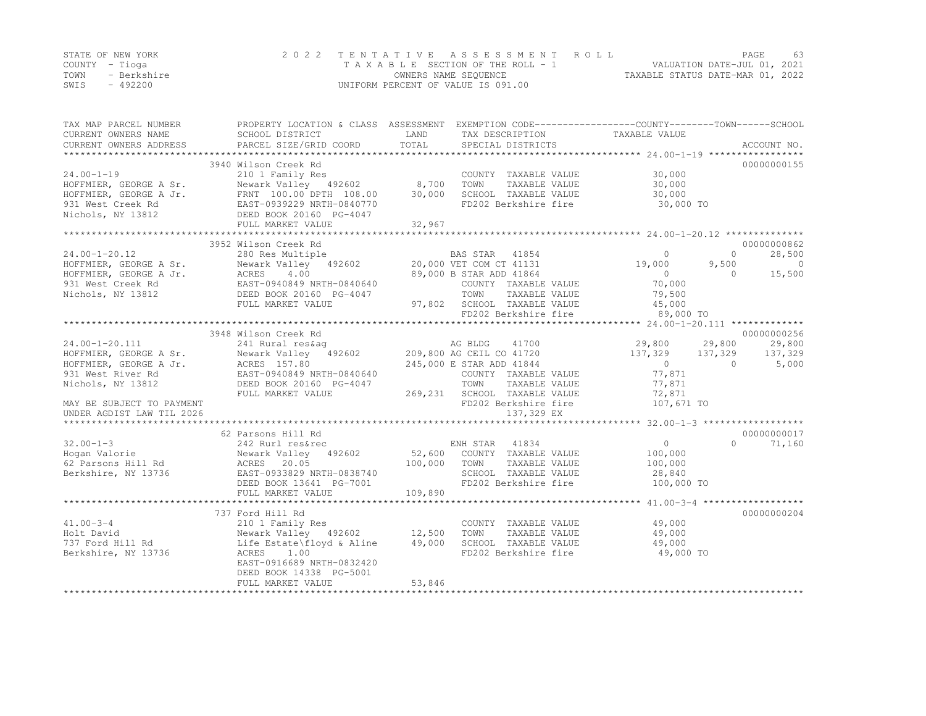|      | STATE OF NEW YORK | 2022 TENTATIVE ASSESSMENT ROLL     | PAGE                             | 63 |
|------|-------------------|------------------------------------|----------------------------------|----|
|      | COUNTY – Tioga    | TAXABLE SECTION OF THE ROLL - 1    | VALUATION DATE-JUL 01, 2021      |    |
| TOWN | - Berkshire       | OWNERS NAME SEQUENCE               | TAXABLE STATUS DATE-MAR 01, 2022 |    |
| SWIS | - 492200          | UNIFORM PERCENT OF VALUE IS 091.00 |                                  |    |

| TAX MAP PARCEL NUMBER<br>CURRENT OWNERS NAME | SCHOOL DISTRICT                                      | LAND<br>TAX DESCRIPTION                                           | PROPERTY LOCATION & CLASS ASSESSMENT EXEMPTION CODE----------------COUNTY-------TOWN-----SCHOOL<br>TAXABLE VALUE |
|----------------------------------------------|------------------------------------------------------|-------------------------------------------------------------------|------------------------------------------------------------------------------------------------------------------|
| CURRENT OWNERS ADDRESS                       | PARCEL SIZE/GRID COORD                               | TOTAL<br>SPECIAL DISTRICTS                                        | ACCOUNT NO.                                                                                                      |
|                                              |                                                      |                                                                   |                                                                                                                  |
|                                              | 3940 Wilson Creek Rd                                 |                                                                   | 00000000155                                                                                                      |
| $24.00 - 1 - 19$                             | 210 1 Family Res                                     | COUNTY TAXABLE VALUE                                              | 30,000                                                                                                           |
| HOFFMIER, GEORGE A Sr.                       | Newark Valley 492602                                 | 8,700<br>TOWN<br>TAXABLE VALUE                                    | 30,000                                                                                                           |
| HOFFMIER, GEORGE A Jr.                       | FRNT 100.00 DPTH 108.00<br>EAST-0939229 NRTH-0840770 | 30,000<br>SCHOOL TAXABLE VALUE                                    | 30,000                                                                                                           |
| 931 West Creek Rd                            |                                                      | FD202 Berkshire fire                                              | 30,000 TO                                                                                                        |
| Nichols, NY 13812                            | DEED BOOK 20160 PG-4047                              |                                                                   |                                                                                                                  |
|                                              | FULL MARKET VALUE                                    | 32,967                                                            |                                                                                                                  |
|                                              |                                                      |                                                                   |                                                                                                                  |
|                                              | 3952 Wilson Creek Rd                                 |                                                                   | 00000000862                                                                                                      |
| $24.00 - 1 - 20.12$                          | 280 Res Multiple                                     | BAS STAR 41854                                                    | 28,500<br>$\Omega$<br>$\Omega$                                                                                   |
| HOFFMIER, GEORGE A Sr.                       |                                                      | Newark Valley 492602 20,000 VET COM CT 41131                      | 19,000<br>9,500<br>$\overline{0}$                                                                                |
| HOFFMIER, GEORGE A Jr.                       | ACRES 4.00                                           | 89,000 B STAR ADD 41864                                           | 15,500<br>$\overline{0}$<br>$\Omega$                                                                             |
| 931 West Creek Rd                            | EAST-0940849 NRTH-0840640<br>DEED BOOK 20160 PG-4047 | COUNTY TAXABLE VALUE                                              | 70,000                                                                                                           |
| Nichols, NY 13812                            |                                                      | TOWN<br>TAXABLE VALUE                                             | 79,500                                                                                                           |
|                                              | FULL MARKET VALUE                                    | 97,802 SCHOOL TAXABLE VALUE                                       | 45,000                                                                                                           |
|                                              |                                                      | FD202 Berkshire fire                                              | 89,000 TO                                                                                                        |
|                                              |                                                      |                                                                   |                                                                                                                  |
|                                              | 3948 Wilson Creek Rd                                 |                                                                   | 00000000256                                                                                                      |
| 24.00-1-20.111                               | 241 Rural res&aq                                     | AG BLDG<br>41700                                                  | 29,800<br>29,800<br>29,800                                                                                       |
| HOFFMIER, GEORGE A Sr.                       | Newark Valley 492602                                 | 209,800 AG CEIL CO 41720                                          | 137,329<br>137,329<br>137,329                                                                                    |
| HOFFMIER, GEORGE A Jr.                       | ACRES 157.80                                         | 245,000 E STAR ADD 41844                                          | $\overline{0}$<br>$\overline{0}$<br>5,000                                                                        |
| 931 West River Rd                            | EAST-0940849 NRTH-0840640                            | COUNTY TAXABLE VALUE                                              | 77,871                                                                                                           |
| Nichols, NY 13812                            | DEED BOOK 20160 PG-4047                              | TOWN<br>TAXABLE VALUE                                             | 77,871                                                                                                           |
|                                              | FULL MARKET VALUE                                    | 269,231 SCHOOL TAXABLE VALUE                                      | 72,871                                                                                                           |
| MAY BE SUBJECT TO PAYMENT                    |                                                      | FD202 Berkshire fire                                              | 107,671 TO                                                                                                       |
| UNDER AGDIST LAW TIL 2026                    |                                                      | 137,329 EX                                                        |                                                                                                                  |
|                                              |                                                      |                                                                   |                                                                                                                  |
|                                              | 62 Parsons Hill Rd                                   |                                                                   | 00000000017                                                                                                      |
| $32.00 - 1 - 3$                              | 242 Rurl res&rec                                     | ENH STAR 41834                                                    | $\overline{0}$<br>$\Omega$<br>71,160                                                                             |
| Hogan Valorie                                | Newark Valley 492602                                 | 52,600 COUNTY TAXABLE VALUE                                       | 100,000                                                                                                          |
| 62 Parsons Hill Rd                           | ACRES 20.05                                          | 100,000<br>TOWN<br>TAXABLE VALUE                                  | 100,000                                                                                                          |
| Berkshire, NY 13736                          | EAST-0933829 NRTH-0838740                            | SCHOOL TAXABLE VALUE                                              | 28,840                                                                                                           |
|                                              | DEED BOOK 13641 PG-7001                              | FD202 Berkshire fire                                              | 100,000 TO                                                                                                       |
|                                              | FULL MARKET VALUE                                    | 109,890                                                           |                                                                                                                  |
|                                              |                                                      |                                                                   |                                                                                                                  |
|                                              | 737 Ford Hill Rd                                     |                                                                   | 00000000204                                                                                                      |
| $41.00 - 3 - 4$                              | 210 1 Family Res                                     | COUNTY TAXABLE VALUE                                              | 49,000                                                                                                           |
|                                              |                                                      |                                                                   |                                                                                                                  |
| Holt David                                   | Newark Valley 492602                                 | 12,500<br>TOWN<br>TAXABLE VALUE<br>49,000<br>SCHOOL TAXABLE VALUE | 49,000                                                                                                           |
| 737 Ford Hill Rd                             | Life Estate\floyd & Aline                            |                                                                   | 49,000                                                                                                           |
| Berkshire, NY 13736                          | 1.00<br>ACRES                                        | FD202 Berkshire fire                                              | 49,000 TO                                                                                                        |
|                                              | EAST-0916689 NRTH-0832420                            |                                                                   |                                                                                                                  |
|                                              | DEED BOOK 14338 PG-5001                              |                                                                   |                                                                                                                  |
|                                              | FULL MARKET VALUE                                    | 53,846                                                            |                                                                                                                  |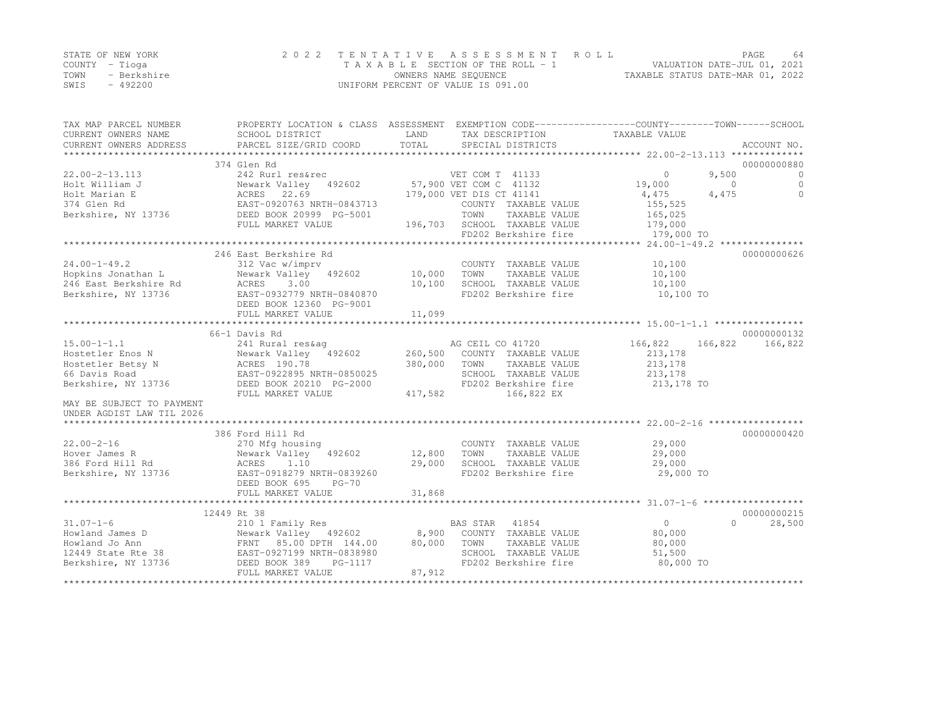|      | STATE OF NEW YORK | 2022 TENTATIVE ASSESSMENT ROLL     | PAGE                             | 64 |
|------|-------------------|------------------------------------|----------------------------------|----|
|      | COUNTY – Tioga    | TAXABLE SECTION OF THE ROLL - 1    | VALUATION DATE-JUL 01, 2021      |    |
| TOWN | - Berkshire       | OWNERS NAME SEQUENCE               | TAXABLE STATUS DATE-MAR 01, 2022 |    |
| SWIS | - 492200          | UNIFORM PERCENT OF VALUE IS 091.00 |                                  |    |

| TAX MAP PARCEL NUMBER                                                                                                                                                                                                                                                                                                                                                                                                                   | PROPERTY LOCATION & CLASS ASSESSMENT EXEMPTION CODE----------------COUNTY-------TOWN------SCHOOL |         |                                                                         |                       |          |             |
|-----------------------------------------------------------------------------------------------------------------------------------------------------------------------------------------------------------------------------------------------------------------------------------------------------------------------------------------------------------------------------------------------------------------------------------------|--------------------------------------------------------------------------------------------------|---------|-------------------------------------------------------------------------|-----------------------|----------|-------------|
| CURRENT OWNERS NAME                                                                                                                                                                                                                                                                                                                                                                                                                     | SCHOOL DISTRICT                                                                                  | LAND    | TAX DESCRIPTION                                                         | TAXABLE VALUE         |          |             |
| CURRENT OWNERS ADDRESS                                                                                                                                                                                                                                                                                                                                                                                                                  | PARCEL SIZE/GRID COORD                                                                           | TOTAL   | SPECIAL DISTRICTS                                                       |                       |          | ACCOUNT NO. |
|                                                                                                                                                                                                                                                                                                                                                                                                                                         |                                                                                                  |         |                                                                         |                       |          |             |
|                                                                                                                                                                                                                                                                                                                                                                                                                                         | 374 Glen Rd                                                                                      |         |                                                                         |                       |          | 00000000880 |
| $22.00 - 2 - 13.113$                                                                                                                                                                                                                                                                                                                                                                                                                    |                                                                                                  |         |                                                                         | $\sim$ 0              | 9,500    | $\bigcirc$  |
| Holt William J                                                                                                                                                                                                                                                                                                                                                                                                                          |                                                                                                  |         |                                                                         | 19,000                | $\Omega$ | $\Omega$    |
| Holt Marian E                                                                                                                                                                                                                                                                                                                                                                                                                           | ACRES 22.69                                                                                      |         | 179,000 VET DIS CT 41141                                                | 4,475                 | 4,475    | $\circ$     |
| 374 Glen Rd                                                                                                                                                                                                                                                                                                                                                                                                                             | EAST-0920763 NRTH-0843713                                                                        |         | COUNTY TAXABLE VALUE                                                    | 155,525               |          |             |
| Berkshire, NY 13736                                                                                                                                                                                                                                                                                                                                                                                                                     | DEED BOOK 20999 PG-5001                                                                          |         | TOWN<br>TAXABLE VALUE                                                   | 165,025               |          |             |
|                                                                                                                                                                                                                                                                                                                                                                                                                                         | FULL MARKET VALUE                                                                                |         |                                                                         |                       |          |             |
|                                                                                                                                                                                                                                                                                                                                                                                                                                         |                                                                                                  |         | 196,703 SCHOOL TAXABLE VALUE 179,000<br>FD202 Berkshire fire 179,000 TO |                       |          |             |
|                                                                                                                                                                                                                                                                                                                                                                                                                                         |                                                                                                  |         |                                                                         |                       |          |             |
|                                                                                                                                                                                                                                                                                                                                                                                                                                         | 246 East Berkshire Rd                                                                            |         |                                                                         |                       |          | 00000000626 |
| $24.00 - 1 - 49.2$                                                                                                                                                                                                                                                                                                                                                                                                                      | 312 Vac w/imprv                                                                                  |         | COUNTY TAXABLE VALUE                                                    | 10,100                |          |             |
| Hopkins Jonathan L                                                                                                                                                                                                                                                                                                                                                                                                                      |                                                                                                  |         | TOWN<br>TAXABLE VALUE                                                   | 10,100                |          |             |
| 246 East Berkshire Rd                                                                                                                                                                                                                                                                                                                                                                                                                   | Newark Valley 492602 10,000<br>Rd ACRES 3.00 10,100                                              |         | SCHOOL TAXABLE VALUE                                                    | 10,100                |          |             |
| Berkshire, NY 13736                                                                                                                                                                                                                                                                                                                                                                                                                     | EAST-0932779 NRTH-0840870                                                                        |         | FD202 Berkshire fire                                                    | 10,100 TO             |          |             |
|                                                                                                                                                                                                                                                                                                                                                                                                                                         | DEED BOOK 12360 PG-9001                                                                          |         |                                                                         |                       |          |             |
|                                                                                                                                                                                                                                                                                                                                                                                                                                         | FULL MARKET VALUE                                                                                | 11,099  |                                                                         |                       |          |             |
|                                                                                                                                                                                                                                                                                                                                                                                                                                         |                                                                                                  |         |                                                                         |                       |          |             |
|                                                                                                                                                                                                                                                                                                                                                                                                                                         | 66-1 Davis Rd                                                                                    |         |                                                                         |                       |          | 00000000132 |
| $\begin{array}{lllllllllllllll} \text{15.00--1-1.1} & \text{241 Rural res\&a & \text{AG CEIL CO 41720} \\ \text{Hostetler Enos N} & \text{Newark Valley} & \text{492602} & \text{260,500} & \text{COUNTY TAXABLE VALUE} \\ \text{Hostetler Betsy N} & \text{ACRES 190.78} & \text{380,000} & \text{TOWN} & \text{TAXABLE VALUE} \\ \text{66 Davis Road} & \text{EAST-0922895 NRTH-0850025} & \text{SCHOOL TAXABLE VALUE} & \text{260,5$ |                                                                                                  |         |                                                                         | 166,822 166,822       |          | 166,822     |
|                                                                                                                                                                                                                                                                                                                                                                                                                                         |                                                                                                  |         |                                                                         | 213,178               |          |             |
|                                                                                                                                                                                                                                                                                                                                                                                                                                         |                                                                                                  |         |                                                                         | 213,178               |          |             |
|                                                                                                                                                                                                                                                                                                                                                                                                                                         |                                                                                                  |         | SCHOOL TAXABLE VALUE                                                    |                       |          |             |
|                                                                                                                                                                                                                                                                                                                                                                                                                                         |                                                                                                  |         | FD202 Berkshire fire                                                    | 213,178<br>213,178 TO |          |             |
|                                                                                                                                                                                                                                                                                                                                                                                                                                         | FULL MARKET VALUE                                                                                | 417,582 | 166,822 EX                                                              |                       |          |             |
| MAY BE SUBJECT TO PAYMENT                                                                                                                                                                                                                                                                                                                                                                                                               |                                                                                                  |         |                                                                         |                       |          |             |
| UNDER AGDIST LAW TIL 2026                                                                                                                                                                                                                                                                                                                                                                                                               |                                                                                                  |         |                                                                         |                       |          |             |
|                                                                                                                                                                                                                                                                                                                                                                                                                                         |                                                                                                  |         |                                                                         |                       |          |             |
|                                                                                                                                                                                                                                                                                                                                                                                                                                         | 386 Ford Hill Rd                                                                                 |         |                                                                         |                       |          | 00000000420 |
| $22.00 - 2 - 16$                                                                                                                                                                                                                                                                                                                                                                                                                        |                                                                                                  |         | COUNTY TAXABLE VALUE                                                    | 29,000                |          |             |
| Hover James R                                                                                                                                                                                                                                                                                                                                                                                                                           | 270 Mfg housing<br>Newark Valley 492602 12,800 TOWN                                              |         | TAXABLE VALUE                                                           | 29,000                |          |             |
| 386 Ford Hill Rd                                                                                                                                                                                                                                                                                                                                                                                                                        | Newark<br>ACRES<br>1.10                                                                          | 29,000  | SCHOOL TAXABLE VALUE 29,000                                             |                       |          |             |
| Berkshire, NY 13736                                                                                                                                                                                                                                                                                                                                                                                                                     | EAST-0918279 NRTH-0839260                                                                        |         | FD202 Berkshire fire                                                    | 29,000 TO             |          |             |
|                                                                                                                                                                                                                                                                                                                                                                                                                                         | DEED BOOK 695<br>$PG-70$                                                                         |         |                                                                         |                       |          |             |
|                                                                                                                                                                                                                                                                                                                                                                                                                                         |                                                                                                  |         |                                                                         |                       |          |             |
|                                                                                                                                                                                                                                                                                                                                                                                                                                         |                                                                                                  |         |                                                                         |                       |          |             |
|                                                                                                                                                                                                                                                                                                                                                                                                                                         | 12449 Rt 38                                                                                      |         |                                                                         |                       |          | 00000000215 |
| $31.07 - 1 - 6$                                                                                                                                                                                                                                                                                                                                                                                                                         | 210 1 Family Res                                                                                 |         | BAS STAR 41854                                                          | $\Omega$              | $\Omega$ | 28,500      |
| 31.07-1-6<br>Howland James D<br>Howland Jo Ann<br>12449 State Rte 38<br>12449 State Rte 38<br>12449 State Rte 38<br>12449 State Rte 38<br>12449 State Rte 38<br>12449 School COUNTY TAXABLE VALUE<br>12449 School COUNTY CRABLE VALUE<br>12449 Sch                                                                                                                                                                                      |                                                                                                  |         |                                                                         | 80,000                |          |             |
|                                                                                                                                                                                                                                                                                                                                                                                                                                         |                                                                                                  |         |                                                                         | 80,000                |          |             |
|                                                                                                                                                                                                                                                                                                                                                                                                                                         |                                                                                                  |         | SCHOOL TAXABLE VALUE                                                    | 51,500                |          |             |
|                                                                                                                                                                                                                                                                                                                                                                                                                                         |                                                                                                  |         | FD202 Berkshire fire                                                    | 80,000 TO             |          |             |
|                                                                                                                                                                                                                                                                                                                                                                                                                                         | FULL MARKET VALUE                                                                                | 87,912  |                                                                         |                       |          |             |
|                                                                                                                                                                                                                                                                                                                                                                                                                                         |                                                                                                  |         |                                                                         |                       |          |             |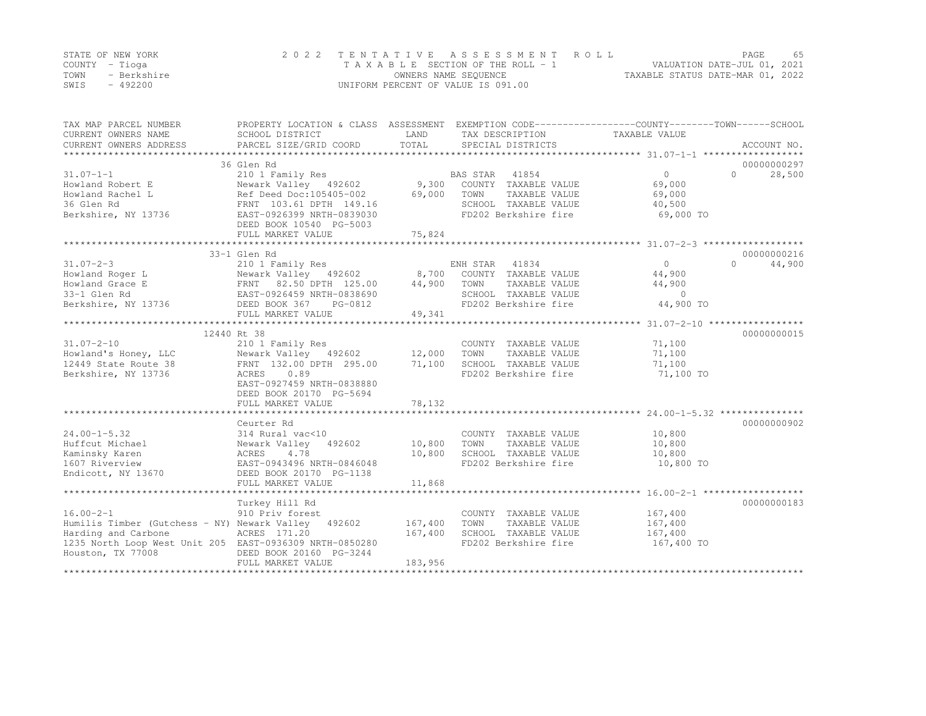|      | STATE OF NEW YORK | 2022 TENTATIVE ASSESSMENT ROLL     |                                  | PAGE | 65 |
|------|-------------------|------------------------------------|----------------------------------|------|----|
|      | COUNTY – Tioga    | TAXABLE SECTION OF THE ROLL - 1    | VALUATION DATE-JUL 01, 2021      |      |    |
| TOWN | - Berkshire       | OWNERS NAME SEQUENCE               | TAXABLE STATUS DATE-MAR 01, 2022 |      |    |
| SWIS | $-492200$         | UNIFORM PERCENT OF VALUE IS 091.00 |                                  |      |    |

| TAX MAP PARCEL NUMBER<br>CURRENT OWNERS NAME<br>CURRENT OWNERS ADDRESS                                                                                                                                                                                 | PROPERTY LOCATION & CLASS ASSESSMENT EXEMPTION CODE----------------COUNTY-------TOWN------SCHOOL<br>SCHOOL DISTRICT<br>PARCEL SIZE/GRID COORD | LAND<br>TOTAL    | TAX DESCRIPTION TAXABLE VALUE<br>SPECIAL DISTRICTS |                    | ACCOUNT NO.        |
|--------------------------------------------------------------------------------------------------------------------------------------------------------------------------------------------------------------------------------------------------------|-----------------------------------------------------------------------------------------------------------------------------------------------|------------------|----------------------------------------------------|--------------------|--------------------|
|                                                                                                                                                                                                                                                        | 36 Glen Rd                                                                                                                                    |                  |                                                    |                    | 00000000297        |
| $31.07 - 1 - 1$                                                                                                                                                                                                                                        | 210 1 Family Res                                                                                                                              |                  | BAS STAR<br>41854                                  | $\Omega$           | $\Omega$<br>28,500 |
| Howland Robert E                                                                                                                                                                                                                                       | Newark Valley 492602                                                                                                                          | $9,300$<br>69.00 | COUNTY TAXABLE VALUE                               | 69,000             |                    |
| Howland Rachel L                                                                                                                                                                                                                                       | Newark Valley 492602<br>Ref Deed Doc:105405-002                                                                                               |                  | TOWN<br>TAXABLE VALUE                              | 69,000             |                    |
| 36 Glen Rd                                                                                                                                                                                                                                             | FRNT 103.61 DPTH 149.16                                                                                                                       |                  | SCHOOL TAXABLE VALUE                               | 40,500             |                    |
| Berkshire, NY 13736                                                                                                                                                                                                                                    | EAST-0926399 NRTH-0839030                                                                                                                     |                  | FD202 Berkshire fire                               | 69,000 TO          |                    |
|                                                                                                                                                                                                                                                        | DEED BOOK 10540 PG-5003                                                                                                                       |                  |                                                    |                    |                    |
|                                                                                                                                                                                                                                                        |                                                                                                                                               |                  |                                                    |                    |                    |
|                                                                                                                                                                                                                                                        |                                                                                                                                               |                  |                                                    |                    |                    |
|                                                                                                                                                                                                                                                        | 33-1 Glen Rd                                                                                                                                  |                  |                                                    |                    | 00000000216        |
|                                                                                                                                                                                                                                                        |                                                                                                                                               |                  |                                                    | $\Omega$           | $\Omega$<br>44,900 |
|                                                                                                                                                                                                                                                        |                                                                                                                                               |                  |                                                    | 44,900             |                    |
|                                                                                                                                                                                                                                                        |                                                                                                                                               |                  |                                                    | 44,900             |                    |
|                                                                                                                                                                                                                                                        |                                                                                                                                               |                  |                                                    | $\Omega$           |                    |
| 31.07-2-3<br>Howland Roger L<br>Howland Grace E<br>Howland Grace E<br>Sextence B<br>ENH STAR 41834<br>Newark Valley 492602<br>FRNT 82.50 DPTH 125.00<br>21 Glen Rd<br>EAST-0926459 NRTH-0838690<br>Berkshire, NY 13736<br>DEED BOOK 367 PG-0812<br>TED |                                                                                                                                               |                  | SCHOOL TAXABLE VALUE<br>FD202 Berkshire fire       | 44,900 TO          |                    |
|                                                                                                                                                                                                                                                        | FULL MARKET VALUE                                                                                                                             | 49, 341          |                                                    |                    |                    |
|                                                                                                                                                                                                                                                        |                                                                                                                                               |                  |                                                    |                    |                    |
|                                                                                                                                                                                                                                                        | 12440 Rt 38                                                                                                                                   |                  |                                                    |                    | 00000000015        |
| $31.07 - 2 - 10$                                                                                                                                                                                                                                       | 210 1 Family Res                                                                                                                              |                  | COUNTY TAXABLE VALUE                               | 71,100             |                    |
| Howland's Honey, LLC                                                                                                                                                                                                                                   | 210 1 Family Res<br>Newark Valley   492602         12,000<br>FRNT  132.00 DPTH  295.00       71,100                                           |                  | TOWN<br>TAXABLE VALUE                              | 71,100             |                    |
| 12449 State Route 38                                                                                                                                                                                                                                   |                                                                                                                                               |                  | SCHOOL TAXABLE VALUE                               | 71,100             |                    |
| Berkshire, NY 13736                                                                                                                                                                                                                                    | ACRES<br>0.89                                                                                                                                 |                  | FD202 Berkshire fire                               | 71,100 TO          |                    |
|                                                                                                                                                                                                                                                        | EAST-0927459 NRTH-0838880                                                                                                                     |                  |                                                    |                    |                    |
|                                                                                                                                                                                                                                                        | DEED BOOK 20170 PG-5694                                                                                                                       |                  |                                                    |                    |                    |
|                                                                                                                                                                                                                                                        | FULL MARKET VALUE                                                                                                                             | 78,132           |                                                    |                    |                    |
|                                                                                                                                                                                                                                                        |                                                                                                                                               |                  |                                                    |                    |                    |
|                                                                                                                                                                                                                                                        | Ceurter Rd                                                                                                                                    |                  |                                                    |                    | 00000000902        |
| $24.00 - 1 - 5.32$                                                                                                                                                                                                                                     | 314 Rural vac<10                                                                                                                              |                  | COUNTY TAXABLE VALUE                               | 10,800             |                    |
| Huffcut Michael                                                                                                                                                                                                                                        | Newark Valley 492602                                                                                                                          | 10,800           | TAXABLE VALUE<br>TOWN                              | 10,800             |                    |
| Kaminsky Karen                                                                                                                                                                                                                                         | 4.78<br>ACRES                                                                                                                                 | 10,800           | SCHOOL TAXABLE VALUE                               | 10,800             |                    |
| 1607 Riverview                                                                                                                                                                                                                                         | EAST-0943496 NRTH-0846048                                                                                                                     |                  | FD202 Berkshire fire                               | 10,800 TO          |                    |
| Endicott, NY 13670                                                                                                                                                                                                                                     | DEED BOOK 20170 PG-1138                                                                                                                       |                  |                                                    |                    |                    |
|                                                                                                                                                                                                                                                        | FULL MARKET VALUE                                                                                                                             | 11,868           |                                                    |                    |                    |
|                                                                                                                                                                                                                                                        |                                                                                                                                               |                  |                                                    |                    |                    |
|                                                                                                                                                                                                                                                        | Turkey Hill Rd                                                                                                                                |                  |                                                    |                    | 00000000183        |
| $16.00 - 2 - 1$                                                                                                                                                                                                                                        | 910 Priv forest                                                                                                                               |                  | COUNTY TAXABLE VALUE                               | 167,400<br>167,400 |                    |
| Humilis Timber (Gutchess - NY) Newark Valley 492602 167,400                                                                                                                                                                                            |                                                                                                                                               |                  | TOWN<br>TAXABLE VALUE                              |                    |                    |
| Harding and Carbone                                                                                                                                                                                                                                    | ACRES 171.20                                                                                                                                  | 167,400          | SCHOOL TAXABLE VALUE                               | 167,400            |                    |
| 1235 North Loop West Unit 205 EAST-0936309 NRTH-0850280                                                                                                                                                                                                |                                                                                                                                               |                  | FD202 Berkshire fire                               | 167,400 TO         |                    |
| Houston, TX 77008                                                                                                                                                                                                                                      | DEED BOOK 20160 PG-3244                                                                                                                       |                  |                                                    |                    |                    |
|                                                                                                                                                                                                                                                        | FULL MARKET VALUE                                                                                                                             | 183,956          |                                                    |                    |                    |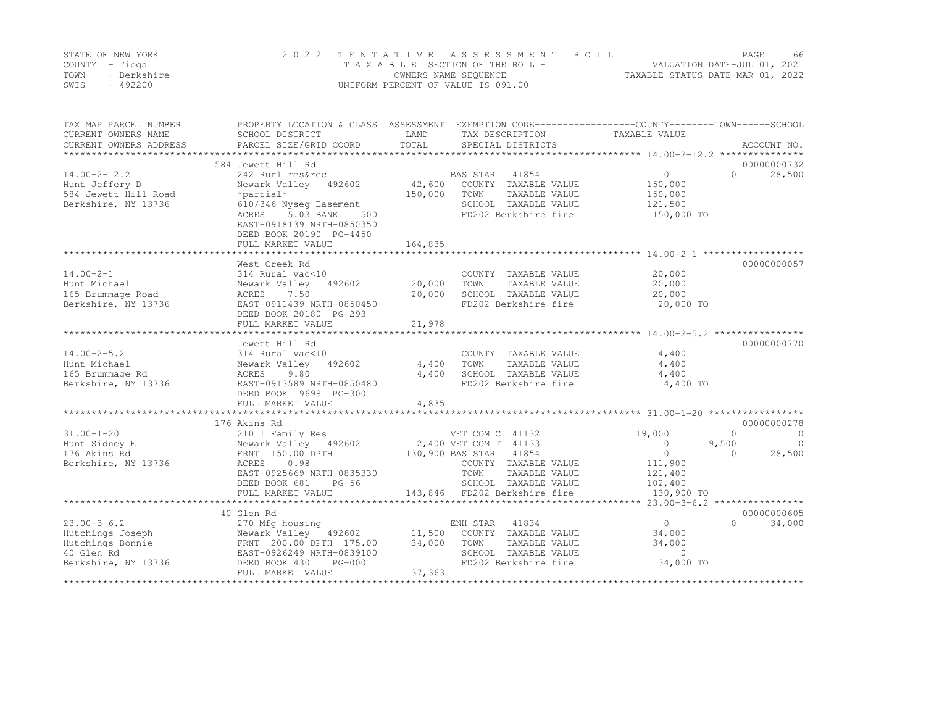|      | STATE OF NEW YORK | 2022 TENTATIVE ASSESSMENT ROLL     | PAGE.                            | 66 |
|------|-------------------|------------------------------------|----------------------------------|----|
|      | COUNTY – Tioga    | TAXABLE SECTION OF THE ROLL - 1    | VALUATION DATE-JUL 01, 2021      |    |
| TOWN | - Berkshire       | OWNERS NAME SEOUENCE               | TAXABLE STATUS DATE-MAR 01, 2022 |    |
| SWIS | $-492200$         | UNIFORM PERCENT OF VALUE IS 091.00 |                                  |    |

| TAX MAP PARCEL NUMBER<br>CURRENT OWNERS NAME<br>CURRENT OWNERS ADDRESS                         | PROPERTY LOCATION & CLASS ASSESSMENT EXEMPTION CODE----------------COUNTY-------TOWN-----SCHOOL<br>SCHOOL DISTRICT<br>PARCEL SIZE/GRID COORD                   | LAND<br>TOTAL              | TAX DESCRIPTION<br>SPECIAL DISTRICTS                                                                                                                                         | TAXABLE VALUE                                                               | ACCOUNT NO.                                                             |
|------------------------------------------------------------------------------------------------|----------------------------------------------------------------------------------------------------------------------------------------------------------------|----------------------------|------------------------------------------------------------------------------------------------------------------------------------------------------------------------------|-----------------------------------------------------------------------------|-------------------------------------------------------------------------|
| $14.00 - 2 - 12.2$<br>Hunt Jeffery D<br>584 Jewett Hill Road<br>Berkshire, NY 13736            | 584 Jewett Hill Rd<br>242 Rurl res&rec<br>Newark Valley 492602<br>*partial*<br>610/346 Nyseq Easement<br>ACRES 15.03 BANK<br>500<br>EAST-0918139 NRTH-0850350  | 42,600<br>150,000          | BAS STAR<br>41854<br>COUNTY TAXABLE VALUE<br>TOWN<br>TAXABLE VALUE<br>SCHOOL TAXABLE VALUE<br>FD202 Berkshire fire                                                           | $\overline{0}$<br>150,000<br>150,000<br>121,500<br>150,000 TO               | 00000000732<br>$\Omega$<br>28,500                                       |
|                                                                                                | DEED BOOK 20190 PG-4450<br>FULL MARKET VALUE                                                                                                                   | 164,835                    |                                                                                                                                                                              |                                                                             |                                                                         |
| $14.00 - 2 - 1$<br>Hunt Michael<br>165 Brummage Road<br>Berkshire, NY 13736                    | West Creek Rd<br>314 Rural vac<10<br>Newark Valley<br>492602<br>ACRES<br>7.50<br>EAST-0911439 NRTH-0850450<br>DEED BOOK 20180 PG-293                           | 20,000<br>20,000           | COUNTY TAXABLE VALUE<br>TOWN<br>TAXABLE VALUE<br>SCHOOL TAXABLE VALUE<br>FD202 Berkshire fire                                                                                | 20,000<br>20,000<br>20,000<br>20,000 TO                                     | 00000000057                                                             |
|                                                                                                | FULL MARKET VALUE                                                                                                                                              | 21,978                     |                                                                                                                                                                              |                                                                             |                                                                         |
| $14.00 - 2 - 5.2$<br>Hunt Michael<br>165 Brummage Rd<br>Berkshire, NY 13736                    | Jewett Hill Rd<br>314 Rural vac<10<br>Newark Valley<br>492602<br>9.80<br>ACRES<br>EAST-0913589 NRTH-0850480<br>DEED BOOK 19698 PG-3001<br>FULL MARKET VALUE    | 4,400<br>4,400<br>4,835    | COUNTY TAXABLE VALUE<br>TOWN<br>TAXABLE VALUE<br>SCHOOL TAXABLE VALUE<br>FD202 Berkshire fire                                                                                | 4,400<br>4,400<br>4,400<br>4,400 TO                                         | 00000000770                                                             |
|                                                                                                | 176 Akins Rd                                                                                                                                                   |                            |                                                                                                                                                                              |                                                                             | 00000000278                                                             |
| $31.00 - 1 - 20$<br>Hunt Sidney E<br>176 Akins Rd<br>Berkshire, NY 13736                       | 210 1 Family Res<br>Newark Valley 492602<br>FRNT 150.00 DPTH<br>ACRES<br>0.98<br>EAST-0925669 NRTH-0835330<br>DEED BOOK 681<br>$PG-56$<br>FULL MARKET VALUE    |                            | VET COM C 41132<br>12,400 VET COM T 41133<br>130,900 BAS STAR 41854<br>COUNTY TAXABLE VALUE<br>TOWN<br>TAXABLE VALUE<br>SCHOOL TAXABLE VALUE<br>143,846 FD202 Berkshire fire | 19,000<br>$\circ$<br>$\circ$<br>111,900<br>121,400<br>102,400<br>130,900 TO | $\Omega$<br>$\overline{0}$<br>9,500<br>$\bigcirc$<br>28,500<br>$\Omega$ |
|                                                                                                |                                                                                                                                                                |                            |                                                                                                                                                                              | **** 23.00-3-6.2 *****************                                          |                                                                         |
| $23.00 - 3 - 6.2$<br>Hutchings Joseph<br>Hutchings Bonnie<br>40 Glen Rd<br>Berkshire, NY 13736 | 40 Glen Rd<br>270 Mfg housing<br>Newark Valley 492602<br>FRNT 200.00 DPTH 175.00<br>EAST-0926249 NRTH-0839100<br>DEED BOOK 430<br>PG-0001<br>FULL MARKET VALUE | 11,500<br>34,000<br>37,363 | ENH STAR 41834<br>COUNTY TAXABLE VALUE<br>TOWN<br>TAXABLE VALUE<br>SCHOOL TAXABLE VALUE<br>FD202 Berkshire fire                                                              | $\Omega$<br>34,000<br>34,000<br>$\circ$<br>34,000 TO                        | 00000000605<br>$\bigcap$<br>34,000                                      |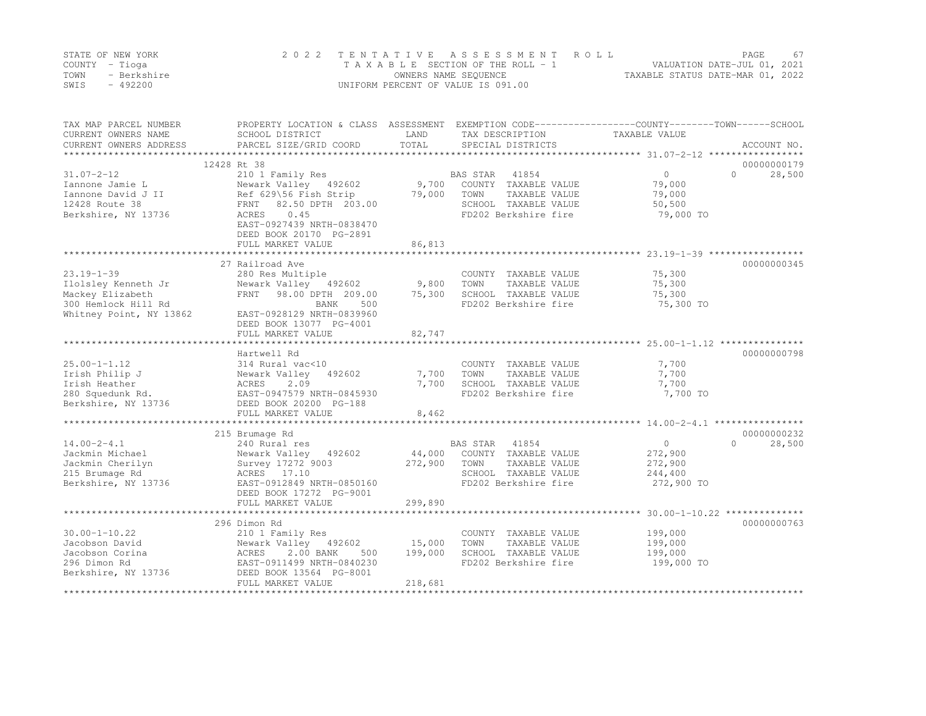|      | STATE OF NEW YORK | 2022 TENTATIVE ASSESSMENT ROLL     |                                  | PAGE. | 67 |
|------|-------------------|------------------------------------|----------------------------------|-------|----|
|      | COUNTY – Tioga    | TAXABLE SECTION OF THE ROLL - 1    | VALUATION DATE-JUL 01, 2021      |       |    |
| TOWN | - Berkshire       | OWNERS NAME SEQUENCE               | TAXABLE STATUS DATE-MAR 01, 2022 |       |    |
| SWIS | $-492200$         | UNIFORM PERCENT OF VALUE IS 091.00 |                                  |       |    |

| LAND<br>TAXABLE VALUE<br>CURRENT OWNERS NAME<br>SCHOOL DISTRICT<br>TAX DESCRIPTION<br>TOTAL<br>CURRENT OWNERS ADDRESS<br>PARCEL SIZE/GRID COORD<br>SPECIAL DISTRICTS<br>ACCOUNT NO.<br>*********************************<br>12428 Rt 38<br>00000000179<br>$\Omega$<br>$\bigcap$<br>$31.07 - 2 - 12$<br>210 1 Family Res<br>41854<br>28,500<br>BAS STAR<br>9,700<br>79,000<br>Newark Valley 492602<br>COUNTY TAXABLE VALUE<br>Iannone Jamie L<br>Iannone David J II<br>Ref 629\56 Fish Strip<br>79,000<br>TOWN<br>TAXABLE VALUE<br>79,000<br>82.50 DPTH 203.00<br>SCHOOL TAXABLE VALUE<br>50,500<br>12428 Route 38<br>FRNT<br>Berkshire, NY 13736<br>ACRES<br>0.45<br>FD202 Berkshire fire<br>79,000 TO<br>EAST-0927439 NRTH-0838470<br>DEED BOOK 20170 PG-2891<br>86,813<br>FULL MARKET VALUE<br>**************************************<br>27 Railroad Ave<br>00000000345<br>$23.19 - 1 - 39$<br>75,300<br>280 Res Multiple<br>COUNTY TAXABLE VALUE<br>9,800<br>Ilolsley Kenneth Jr<br>TOWN<br>75,300<br>Newark Valley 492602<br>TAXABLE VALUE<br>75,300<br>75,300<br>Mackey Elizabeth<br>98.00 DPTH 209.00<br>SCHOOL TAXABLE VALUE<br>FRNT<br>300 Hemlock Hill Rd<br>FD202 Berkshire fire<br>75,300 TO<br>BANK<br>500<br>EAST-0928129 NRTH-0839960<br>DEED BOOK 13077 PG-4001<br>82,747<br>FULL MARKET VALUE<br>**********************<br>00000000798<br>Hartwell Rd<br>$25.00 - 1 - 1.12$<br>COUNTY TAXABLE VALUE<br>7,700<br>314 Rural vac<10<br>7,700<br>7,700<br>Newark Valley<br>492602<br>TOWN<br>TAXABLE VALUE<br>2.09<br>7,700<br>7,700<br>ACRES<br>SCHOOL TAXABLE VALUE<br>FD202 Berkshire fire<br>7,700 TO<br>280 Squedunk Rd.<br>EAST-0947579 NRTH-0845930<br>Berkshire, NY 13736<br>DEED BOOK 20200 PG-188<br>8,462<br>FULL MARKET VALUE<br>00000000232<br>215 Brumage Rd<br>$14.00 - 2 - 4.1$<br><b>BAS STAR</b><br>41854<br>$\circ$<br>$\Omega$<br>28,500<br>240 Rural res<br>Jackmin Michael<br>44,000<br>COUNTY TAXABLE VALUE<br>272,900<br>Newark Valley<br>492602<br>Jackmin Cherilyn<br>Survey 17272 9003<br>272,900<br>TOWN<br>TAXABLE VALUE<br>272,900<br>SCHOOL TAXABLE VALUE<br>244,400<br>215 Brumage Rd<br>ACRES 17.10<br>EAST-0912849 NRTH-0850160<br>FD202 Berkshire fire<br>272,900 TO<br>Berkshire, NY 13736<br>DEED BOOK 17272 PG-9001<br>299,890<br>FULL MARKET VALUE | TAX MAP PARCEL NUMBER   | PROPERTY LOCATION & CLASS ASSESSMENT |  | EXEMPTION CODE-----------------COUNTY-------TOWN------SCHOOL |
|-------------------------------------------------------------------------------------------------------------------------------------------------------------------------------------------------------------------------------------------------------------------------------------------------------------------------------------------------------------------------------------------------------------------------------------------------------------------------------------------------------------------------------------------------------------------------------------------------------------------------------------------------------------------------------------------------------------------------------------------------------------------------------------------------------------------------------------------------------------------------------------------------------------------------------------------------------------------------------------------------------------------------------------------------------------------------------------------------------------------------------------------------------------------------------------------------------------------------------------------------------------------------------------------------------------------------------------------------------------------------------------------------------------------------------------------------------------------------------------------------------------------------------------------------------------------------------------------------------------------------------------------------------------------------------------------------------------------------------------------------------------------------------------------------------------------------------------------------------------------------------------------------------------------------------------------------------------------------------------------------------------------------------------------------------------------------------------------------------------------------------------------------------------------------------------------------------------------------------------------------------------------------------------------------------|-------------------------|--------------------------------------|--|--------------------------------------------------------------|
|                                                                                                                                                                                                                                                                                                                                                                                                                                                                                                                                                                                                                                                                                                                                                                                                                                                                                                                                                                                                                                                                                                                                                                                                                                                                                                                                                                                                                                                                                                                                                                                                                                                                                                                                                                                                                                                                                                                                                                                                                                                                                                                                                                                                                                                                                                       |                         |                                      |  |                                                              |
|                                                                                                                                                                                                                                                                                                                                                                                                                                                                                                                                                                                                                                                                                                                                                                                                                                                                                                                                                                                                                                                                                                                                                                                                                                                                                                                                                                                                                                                                                                                                                                                                                                                                                                                                                                                                                                                                                                                                                                                                                                                                                                                                                                                                                                                                                                       |                         |                                      |  |                                                              |
|                                                                                                                                                                                                                                                                                                                                                                                                                                                                                                                                                                                                                                                                                                                                                                                                                                                                                                                                                                                                                                                                                                                                                                                                                                                                                                                                                                                                                                                                                                                                                                                                                                                                                                                                                                                                                                                                                                                                                                                                                                                                                                                                                                                                                                                                                                       |                         |                                      |  |                                                              |
|                                                                                                                                                                                                                                                                                                                                                                                                                                                                                                                                                                                                                                                                                                                                                                                                                                                                                                                                                                                                                                                                                                                                                                                                                                                                                                                                                                                                                                                                                                                                                                                                                                                                                                                                                                                                                                                                                                                                                                                                                                                                                                                                                                                                                                                                                                       |                         |                                      |  |                                                              |
|                                                                                                                                                                                                                                                                                                                                                                                                                                                                                                                                                                                                                                                                                                                                                                                                                                                                                                                                                                                                                                                                                                                                                                                                                                                                                                                                                                                                                                                                                                                                                                                                                                                                                                                                                                                                                                                                                                                                                                                                                                                                                                                                                                                                                                                                                                       |                         |                                      |  |                                                              |
|                                                                                                                                                                                                                                                                                                                                                                                                                                                                                                                                                                                                                                                                                                                                                                                                                                                                                                                                                                                                                                                                                                                                                                                                                                                                                                                                                                                                                                                                                                                                                                                                                                                                                                                                                                                                                                                                                                                                                                                                                                                                                                                                                                                                                                                                                                       |                         |                                      |  |                                                              |
|                                                                                                                                                                                                                                                                                                                                                                                                                                                                                                                                                                                                                                                                                                                                                                                                                                                                                                                                                                                                                                                                                                                                                                                                                                                                                                                                                                                                                                                                                                                                                                                                                                                                                                                                                                                                                                                                                                                                                                                                                                                                                                                                                                                                                                                                                                       |                         |                                      |  |                                                              |
|                                                                                                                                                                                                                                                                                                                                                                                                                                                                                                                                                                                                                                                                                                                                                                                                                                                                                                                                                                                                                                                                                                                                                                                                                                                                                                                                                                                                                                                                                                                                                                                                                                                                                                                                                                                                                                                                                                                                                                                                                                                                                                                                                                                                                                                                                                       |                         |                                      |  |                                                              |
|                                                                                                                                                                                                                                                                                                                                                                                                                                                                                                                                                                                                                                                                                                                                                                                                                                                                                                                                                                                                                                                                                                                                                                                                                                                                                                                                                                                                                                                                                                                                                                                                                                                                                                                                                                                                                                                                                                                                                                                                                                                                                                                                                                                                                                                                                                       |                         |                                      |  |                                                              |
|                                                                                                                                                                                                                                                                                                                                                                                                                                                                                                                                                                                                                                                                                                                                                                                                                                                                                                                                                                                                                                                                                                                                                                                                                                                                                                                                                                                                                                                                                                                                                                                                                                                                                                                                                                                                                                                                                                                                                                                                                                                                                                                                                                                                                                                                                                       |                         |                                      |  |                                                              |
|                                                                                                                                                                                                                                                                                                                                                                                                                                                                                                                                                                                                                                                                                                                                                                                                                                                                                                                                                                                                                                                                                                                                                                                                                                                                                                                                                                                                                                                                                                                                                                                                                                                                                                                                                                                                                                                                                                                                                                                                                                                                                                                                                                                                                                                                                                       |                         |                                      |  |                                                              |
|                                                                                                                                                                                                                                                                                                                                                                                                                                                                                                                                                                                                                                                                                                                                                                                                                                                                                                                                                                                                                                                                                                                                                                                                                                                                                                                                                                                                                                                                                                                                                                                                                                                                                                                                                                                                                                                                                                                                                                                                                                                                                                                                                                                                                                                                                                       |                         |                                      |  |                                                              |
|                                                                                                                                                                                                                                                                                                                                                                                                                                                                                                                                                                                                                                                                                                                                                                                                                                                                                                                                                                                                                                                                                                                                                                                                                                                                                                                                                                                                                                                                                                                                                                                                                                                                                                                                                                                                                                                                                                                                                                                                                                                                                                                                                                                                                                                                                                       |                         |                                      |  |                                                              |
|                                                                                                                                                                                                                                                                                                                                                                                                                                                                                                                                                                                                                                                                                                                                                                                                                                                                                                                                                                                                                                                                                                                                                                                                                                                                                                                                                                                                                                                                                                                                                                                                                                                                                                                                                                                                                                                                                                                                                                                                                                                                                                                                                                                                                                                                                                       |                         |                                      |  |                                                              |
|                                                                                                                                                                                                                                                                                                                                                                                                                                                                                                                                                                                                                                                                                                                                                                                                                                                                                                                                                                                                                                                                                                                                                                                                                                                                                                                                                                                                                                                                                                                                                                                                                                                                                                                                                                                                                                                                                                                                                                                                                                                                                                                                                                                                                                                                                                       |                         |                                      |  |                                                              |
|                                                                                                                                                                                                                                                                                                                                                                                                                                                                                                                                                                                                                                                                                                                                                                                                                                                                                                                                                                                                                                                                                                                                                                                                                                                                                                                                                                                                                                                                                                                                                                                                                                                                                                                                                                                                                                                                                                                                                                                                                                                                                                                                                                                                                                                                                                       |                         |                                      |  |                                                              |
|                                                                                                                                                                                                                                                                                                                                                                                                                                                                                                                                                                                                                                                                                                                                                                                                                                                                                                                                                                                                                                                                                                                                                                                                                                                                                                                                                                                                                                                                                                                                                                                                                                                                                                                                                                                                                                                                                                                                                                                                                                                                                                                                                                                                                                                                                                       |                         |                                      |  |                                                              |
|                                                                                                                                                                                                                                                                                                                                                                                                                                                                                                                                                                                                                                                                                                                                                                                                                                                                                                                                                                                                                                                                                                                                                                                                                                                                                                                                                                                                                                                                                                                                                                                                                                                                                                                                                                                                                                                                                                                                                                                                                                                                                                                                                                                                                                                                                                       |                         |                                      |  |                                                              |
|                                                                                                                                                                                                                                                                                                                                                                                                                                                                                                                                                                                                                                                                                                                                                                                                                                                                                                                                                                                                                                                                                                                                                                                                                                                                                                                                                                                                                                                                                                                                                                                                                                                                                                                                                                                                                                                                                                                                                                                                                                                                                                                                                                                                                                                                                                       | Whitney Point, NY 13862 |                                      |  |                                                              |
|                                                                                                                                                                                                                                                                                                                                                                                                                                                                                                                                                                                                                                                                                                                                                                                                                                                                                                                                                                                                                                                                                                                                                                                                                                                                                                                                                                                                                                                                                                                                                                                                                                                                                                                                                                                                                                                                                                                                                                                                                                                                                                                                                                                                                                                                                                       |                         |                                      |  |                                                              |
|                                                                                                                                                                                                                                                                                                                                                                                                                                                                                                                                                                                                                                                                                                                                                                                                                                                                                                                                                                                                                                                                                                                                                                                                                                                                                                                                                                                                                                                                                                                                                                                                                                                                                                                                                                                                                                                                                                                                                                                                                                                                                                                                                                                                                                                                                                       |                         |                                      |  |                                                              |
|                                                                                                                                                                                                                                                                                                                                                                                                                                                                                                                                                                                                                                                                                                                                                                                                                                                                                                                                                                                                                                                                                                                                                                                                                                                                                                                                                                                                                                                                                                                                                                                                                                                                                                                                                                                                                                                                                                                                                                                                                                                                                                                                                                                                                                                                                                       |                         |                                      |  |                                                              |
|                                                                                                                                                                                                                                                                                                                                                                                                                                                                                                                                                                                                                                                                                                                                                                                                                                                                                                                                                                                                                                                                                                                                                                                                                                                                                                                                                                                                                                                                                                                                                                                                                                                                                                                                                                                                                                                                                                                                                                                                                                                                                                                                                                                                                                                                                                       |                         |                                      |  |                                                              |
|                                                                                                                                                                                                                                                                                                                                                                                                                                                                                                                                                                                                                                                                                                                                                                                                                                                                                                                                                                                                                                                                                                                                                                                                                                                                                                                                                                                                                                                                                                                                                                                                                                                                                                                                                                                                                                                                                                                                                                                                                                                                                                                                                                                                                                                                                                       |                         |                                      |  |                                                              |
|                                                                                                                                                                                                                                                                                                                                                                                                                                                                                                                                                                                                                                                                                                                                                                                                                                                                                                                                                                                                                                                                                                                                                                                                                                                                                                                                                                                                                                                                                                                                                                                                                                                                                                                                                                                                                                                                                                                                                                                                                                                                                                                                                                                                                                                                                                       | Irish Philip J          |                                      |  |                                                              |
|                                                                                                                                                                                                                                                                                                                                                                                                                                                                                                                                                                                                                                                                                                                                                                                                                                                                                                                                                                                                                                                                                                                                                                                                                                                                                                                                                                                                                                                                                                                                                                                                                                                                                                                                                                                                                                                                                                                                                                                                                                                                                                                                                                                                                                                                                                       | Irish Heather           |                                      |  |                                                              |
|                                                                                                                                                                                                                                                                                                                                                                                                                                                                                                                                                                                                                                                                                                                                                                                                                                                                                                                                                                                                                                                                                                                                                                                                                                                                                                                                                                                                                                                                                                                                                                                                                                                                                                                                                                                                                                                                                                                                                                                                                                                                                                                                                                                                                                                                                                       |                         |                                      |  |                                                              |
|                                                                                                                                                                                                                                                                                                                                                                                                                                                                                                                                                                                                                                                                                                                                                                                                                                                                                                                                                                                                                                                                                                                                                                                                                                                                                                                                                                                                                                                                                                                                                                                                                                                                                                                                                                                                                                                                                                                                                                                                                                                                                                                                                                                                                                                                                                       |                         |                                      |  |                                                              |
|                                                                                                                                                                                                                                                                                                                                                                                                                                                                                                                                                                                                                                                                                                                                                                                                                                                                                                                                                                                                                                                                                                                                                                                                                                                                                                                                                                                                                                                                                                                                                                                                                                                                                                                                                                                                                                                                                                                                                                                                                                                                                                                                                                                                                                                                                                       |                         |                                      |  |                                                              |
|                                                                                                                                                                                                                                                                                                                                                                                                                                                                                                                                                                                                                                                                                                                                                                                                                                                                                                                                                                                                                                                                                                                                                                                                                                                                                                                                                                                                                                                                                                                                                                                                                                                                                                                                                                                                                                                                                                                                                                                                                                                                                                                                                                                                                                                                                                       |                         |                                      |  |                                                              |
|                                                                                                                                                                                                                                                                                                                                                                                                                                                                                                                                                                                                                                                                                                                                                                                                                                                                                                                                                                                                                                                                                                                                                                                                                                                                                                                                                                                                                                                                                                                                                                                                                                                                                                                                                                                                                                                                                                                                                                                                                                                                                                                                                                                                                                                                                                       |                         |                                      |  |                                                              |
|                                                                                                                                                                                                                                                                                                                                                                                                                                                                                                                                                                                                                                                                                                                                                                                                                                                                                                                                                                                                                                                                                                                                                                                                                                                                                                                                                                                                                                                                                                                                                                                                                                                                                                                                                                                                                                                                                                                                                                                                                                                                                                                                                                                                                                                                                                       |                         |                                      |  |                                                              |
|                                                                                                                                                                                                                                                                                                                                                                                                                                                                                                                                                                                                                                                                                                                                                                                                                                                                                                                                                                                                                                                                                                                                                                                                                                                                                                                                                                                                                                                                                                                                                                                                                                                                                                                                                                                                                                                                                                                                                                                                                                                                                                                                                                                                                                                                                                       |                         |                                      |  |                                                              |
|                                                                                                                                                                                                                                                                                                                                                                                                                                                                                                                                                                                                                                                                                                                                                                                                                                                                                                                                                                                                                                                                                                                                                                                                                                                                                                                                                                                                                                                                                                                                                                                                                                                                                                                                                                                                                                                                                                                                                                                                                                                                                                                                                                                                                                                                                                       |                         |                                      |  |                                                              |
|                                                                                                                                                                                                                                                                                                                                                                                                                                                                                                                                                                                                                                                                                                                                                                                                                                                                                                                                                                                                                                                                                                                                                                                                                                                                                                                                                                                                                                                                                                                                                                                                                                                                                                                                                                                                                                                                                                                                                                                                                                                                                                                                                                                                                                                                                                       |                         |                                      |  |                                                              |
|                                                                                                                                                                                                                                                                                                                                                                                                                                                                                                                                                                                                                                                                                                                                                                                                                                                                                                                                                                                                                                                                                                                                                                                                                                                                                                                                                                                                                                                                                                                                                                                                                                                                                                                                                                                                                                                                                                                                                                                                                                                                                                                                                                                                                                                                                                       |                         |                                      |  |                                                              |
|                                                                                                                                                                                                                                                                                                                                                                                                                                                                                                                                                                                                                                                                                                                                                                                                                                                                                                                                                                                                                                                                                                                                                                                                                                                                                                                                                                                                                                                                                                                                                                                                                                                                                                                                                                                                                                                                                                                                                                                                                                                                                                                                                                                                                                                                                                       |                         |                                      |  |                                                              |
|                                                                                                                                                                                                                                                                                                                                                                                                                                                                                                                                                                                                                                                                                                                                                                                                                                                                                                                                                                                                                                                                                                                                                                                                                                                                                                                                                                                                                                                                                                                                                                                                                                                                                                                                                                                                                                                                                                                                                                                                                                                                                                                                                                                                                                                                                                       |                         |                                      |  |                                                              |
|                                                                                                                                                                                                                                                                                                                                                                                                                                                                                                                                                                                                                                                                                                                                                                                                                                                                                                                                                                                                                                                                                                                                                                                                                                                                                                                                                                                                                                                                                                                                                                                                                                                                                                                                                                                                                                                                                                                                                                                                                                                                                                                                                                                                                                                                                                       |                         |                                      |  |                                                              |
| 00000000763<br>296 Dimon Rd                                                                                                                                                                                                                                                                                                                                                                                                                                                                                                                                                                                                                                                                                                                                                                                                                                                                                                                                                                                                                                                                                                                                                                                                                                                                                                                                                                                                                                                                                                                                                                                                                                                                                                                                                                                                                                                                                                                                                                                                                                                                                                                                                                                                                                                                           |                         |                                      |  |                                                              |
| $30.00 - 1 - 10.22$                                                                                                                                                                                                                                                                                                                                                                                                                                                                                                                                                                                                                                                                                                                                                                                                                                                                                                                                                                                                                                                                                                                                                                                                                                                                                                                                                                                                                                                                                                                                                                                                                                                                                                                                                                                                                                                                                                                                                                                                                                                                                                                                                                                                                                                                                   |                         |                                      |  |                                                              |
| 210 1 Family Res<br>199,000<br>COUNTY TAXABLE VALUE                                                                                                                                                                                                                                                                                                                                                                                                                                                                                                                                                                                                                                                                                                                                                                                                                                                                                                                                                                                                                                                                                                                                                                                                                                                                                                                                                                                                                                                                                                                                                                                                                                                                                                                                                                                                                                                                                                                                                                                                                                                                                                                                                                                                                                                   |                         |                                      |  |                                                              |
| 15,000<br>199,000<br>Jacobson David<br>Newark Valley 492602<br>TOWN<br>TAXABLE VALUE                                                                                                                                                                                                                                                                                                                                                                                                                                                                                                                                                                                                                                                                                                                                                                                                                                                                                                                                                                                                                                                                                                                                                                                                                                                                                                                                                                                                                                                                                                                                                                                                                                                                                                                                                                                                                                                                                                                                                                                                                                                                                                                                                                                                                  |                         |                                      |  |                                                              |
| Jacobson Corina<br>500<br>199,000<br>SCHOOL TAXABLE VALUE<br>199,000<br>ACRES<br>2.00 BANK                                                                                                                                                                                                                                                                                                                                                                                                                                                                                                                                                                                                                                                                                                                                                                                                                                                                                                                                                                                                                                                                                                                                                                                                                                                                                                                                                                                                                                                                                                                                                                                                                                                                                                                                                                                                                                                                                                                                                                                                                                                                                                                                                                                                            |                         |                                      |  |                                                              |
| EAST-0911499 NRTH-0840230<br>FD202 Berkshire fire<br>199,000 TO                                                                                                                                                                                                                                                                                                                                                                                                                                                                                                                                                                                                                                                                                                                                                                                                                                                                                                                                                                                                                                                                                                                                                                                                                                                                                                                                                                                                                                                                                                                                                                                                                                                                                                                                                                                                                                                                                                                                                                                                                                                                                                                                                                                                                                       | 296 Dimon Rd            |                                      |  |                                                              |
| Berkshire, NY 13736<br>DEED BOOK 13564 PG-8001                                                                                                                                                                                                                                                                                                                                                                                                                                                                                                                                                                                                                                                                                                                                                                                                                                                                                                                                                                                                                                                                                                                                                                                                                                                                                                                                                                                                                                                                                                                                                                                                                                                                                                                                                                                                                                                                                                                                                                                                                                                                                                                                                                                                                                                        |                         |                                      |  |                                                              |
| 218,681<br>FULL MARKET VALUE                                                                                                                                                                                                                                                                                                                                                                                                                                                                                                                                                                                                                                                                                                                                                                                                                                                                                                                                                                                                                                                                                                                                                                                                                                                                                                                                                                                                                                                                                                                                                                                                                                                                                                                                                                                                                                                                                                                                                                                                                                                                                                                                                                                                                                                                          |                         |                                      |  |                                                              |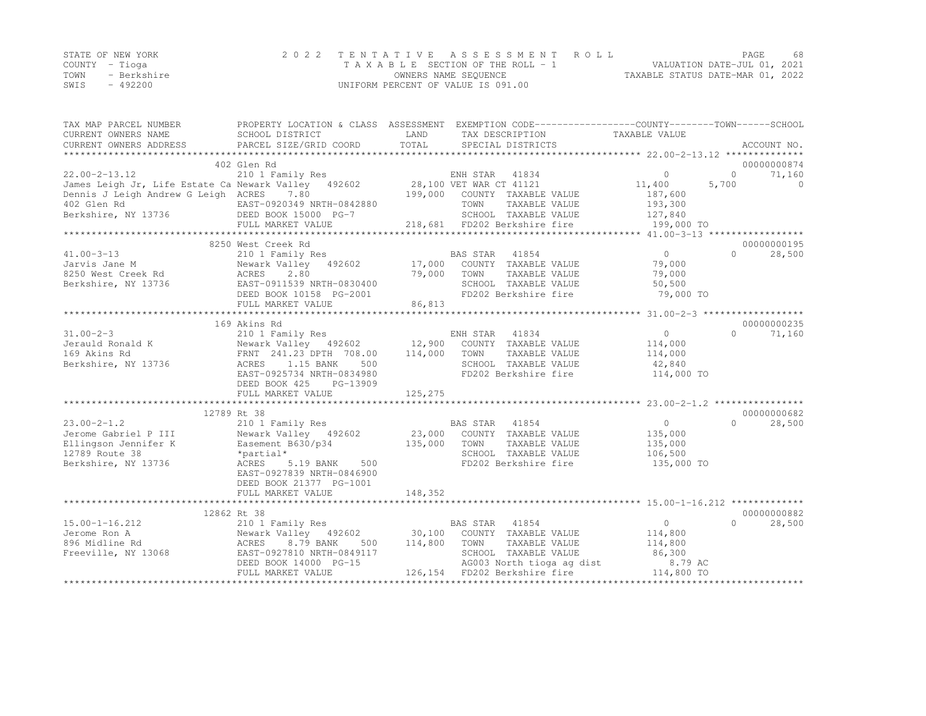|                | STATE OF NEW YORK | 2022 TENTATIVE ASSESSMENT ROLL     |                                  | PAGE.                       | 68 |
|----------------|-------------------|------------------------------------|----------------------------------|-----------------------------|----|
| COUNTY – Tioga |                   | TAXABLE SECTION OF THE ROLL - 1    |                                  | VALUATION DATE-JUL 01, 2021 |    |
| TOWN           | - Berkshire       | OWNERS NAME SEQUENCE               | TAXABLE STATUS DATE-MAR 01, 2022 |                             |    |
| SWIS           | $-492200$         | UNIFORM PERCENT OF VALUE IS 091.00 |                                  |                             |    |

| TAX MAP PARCEL NUMBER                                                                                                     | PROPERTY LOCATION & CLASS ASSESSMENT EXEMPTION CODE----------------COUNTY-------TOWN------SCHOOL |              |                                 |                       |                    |
|---------------------------------------------------------------------------------------------------------------------------|--------------------------------------------------------------------------------------------------|--------------|---------------------------------|-----------------------|--------------------|
| CURRENT OWNERS NAME                                                                                                       | SCHOOL DISTRICT                                                                                  | LAND         | TAX DESCRIPTION                 | TAXABLE VALUE         |                    |
| CURRENT OWNERS ADDRESS                                                                                                    | PARCEL SIZE/GRID COORD                                                                           | TOTAL        | SPECIAL DISTRICTS               |                       | ACCOUNT NO.        |
|                                                                                                                           |                                                                                                  |              |                                 |                       |                    |
|                                                                                                                           | 402 Glen Rd                                                                                      |              |                                 |                       | 00000000874        |
|                                                                                                                           |                                                                                                  |              |                                 | $\circ$               | 71,160<br>$\Omega$ |
|                                                                                                                           |                                                                                                  |              |                                 | 11,400<br>5,700       | $\Omega$           |
| Dennis J Leigh Andrew G Leigh ACRES 7.80                                                                                  |                                                                                                  |              | 199,000 COUNTY TAXABLE VALUE    | 187,600               |                    |
|                                                                                                                           | EAST-0920349 NRTH-0842880                                                                        |              | TOWN<br>TAXABLE VALUE           | 193,300               |                    |
|                                                                                                                           |                                                                                                  |              | SCHOOL TAXABLE VALUE 127,840    |                       |                    |
|                                                                                                                           |                                                                                                  |              |                                 |                       |                    |
|                                                                                                                           |                                                                                                  |              |                                 |                       |                    |
|                                                                                                                           | 8250 West Creek Rd                                                                               |              |                                 |                       | 00000000195        |
| $41.00 - 3 - 13$                                                                                                          | 210 1 Family Res                                                                                 |              | BAS STAR 41854                  | $\overline{0}$        | $\Omega$<br>28,500 |
| First State Mewark Valley 492602<br>Jarvis Jane M<br>8250 West Creek Rd<br>Berkshire, NY 13736<br>BEED BOOK 10158 PG-2001 | Newark Valley 492602 17,000 COUNTY TAXABLE VALUE                                                 |              |                                 | 79,000                |                    |
|                                                                                                                           |                                                                                                  | 79,000       | TOWN<br>TAXABLE VALUE           | 79,000                |                    |
|                                                                                                                           |                                                                                                  |              | SCHOOL TAXABLE VALUE            | 50,500                |                    |
|                                                                                                                           |                                                                                                  |              | FD202 Berkshire fire            | 79,000 TO             |                    |
|                                                                                                                           | FULL MARKET VALUE                                                                                | 86,813       |                                 |                       |                    |
|                                                                                                                           |                                                                                                  |              |                                 |                       |                    |
|                                                                                                                           | 169 Akins Rd                                                                                     |              |                                 |                       | 00000000235        |
| $31.00 - 2 - 3$                                                                                                           | 210 1 Family Res                                                                                 |              | ENH STAR 41834                  | $\overline{0}$        | $\Omega$<br>71,160 |
|                                                                                                                           |                                                                                                  |              |                                 | 114,000               |                    |
|                                                                                                                           |                                                                                                  |              |                                 | 114,000               |                    |
|                                                                                                                           |                                                                                                  |              | SCHOOL TAXABLE VALUE 42,840     |                       |                    |
|                                                                                                                           | EAST-0925734 NRTH-0834980                                                                        |              | FD202 Berkshire fire 114,000 TO |                       |                    |
|                                                                                                                           | DEED BOOK 425<br>PG-13909                                                                        |              |                                 |                       |                    |
|                                                                                                                           | FULL MARKET VALUE                                                                                | 125,275      |                                 |                       |                    |
|                                                                                                                           |                                                                                                  |              |                                 |                       |                    |
|                                                                                                                           | 12789 Rt 38                                                                                      |              |                                 |                       | 00000000682        |
| $23.00 - 2 - 1.2$                                                                                                         |                                                                                                  |              |                                 | 0                     | 28,500<br>$\Omega$ |
| Jerome Gabriel P III                                                                                                      |                                                                                                  |              |                                 | 135,000               |                    |
| Ellingson Jennifer K                                                                                                      | Easement B630/p34                                                                                | 135,000 TOWN | TAXABLE VALUE                   | 135,000               |                    |
| 12789 Route 38                                                                                                            | *partial*                                                                                        |              | SCHOOL TAXABLE VALUE            | 106,500               |                    |
| Berkshire, NY 13736                                                                                                       | ACRES<br>5.19 BANK<br>500                                                                        |              | FD202 Berkshire fire            | 135,000 TO            |                    |
|                                                                                                                           | EAST-0927839 NRTH-0846900                                                                        |              |                                 |                       |                    |
|                                                                                                                           | DEED BOOK 21377 PG-1001                                                                          |              |                                 |                       |                    |
|                                                                                                                           | FULL MARKET VALUE                                                                                | 148,352      |                                 |                       |                    |
|                                                                                                                           |                                                                                                  |              |                                 |                       |                    |
|                                                                                                                           | 12862 Rt 38                                                                                      |              |                                 |                       | 00000000882        |
| $15.00 - 1 - 16.212$                                                                                                      | 210 1 Family Res                                                                                 |              | BAS STAR 41854                  | $\overline{0}$        | 28,500<br>$\Omega$ |
|                                                                                                                           |                                                                                                  |              |                                 |                       |                    |
|                                                                                                                           |                                                                                                  |              |                                 | 114,800<br>114,800    |                    |
|                                                                                                                           |                                                                                                  |              |                                 | 86,300                |                    |
|                                                                                                                           |                                                                                                  |              | AG003 North tioga ag dist       |                       |                    |
|                                                                                                                           | DEED BOOK 14000 PG-15                                                                            |              |                                 | 8.79 AC<br>114,800 TO |                    |
|                                                                                                                           | FULL MARKET VALUE                                                                                |              | 126,154 FD202 Berkshire fire    |                       |                    |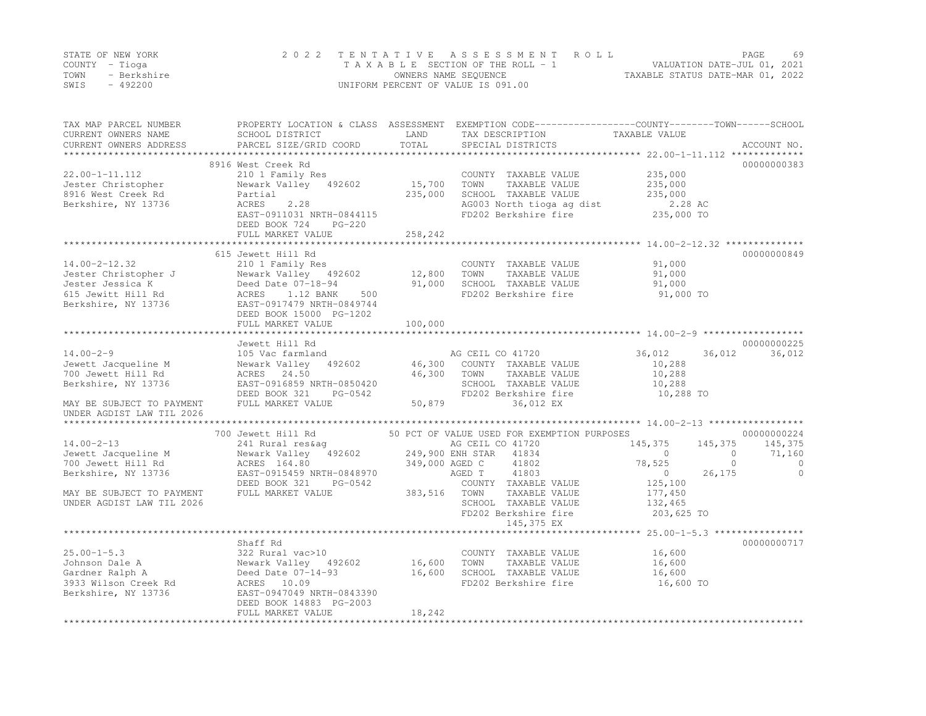|      | STATE OF NEW YORK | 2022 TENTATIVE ASSESSMENT ROLL     |                                  | PAGE. | 69 |
|------|-------------------|------------------------------------|----------------------------------|-------|----|
|      | COUNTY – Tioga    | TAXABLE SECTION OF THE ROLL - 1    | VALUATION DATE-JUL 01, 2021      |       |    |
| TOWN | - Berkshire       | OWNERS NAME SEQUENCE               | TAXABLE STATUS DATE-MAR 01, 2022 |       |    |
| SWIS | $-492200$         | UNIFORM PERCENT OF VALUE IS 091.00 |                                  |       |    |

| TAX MAP PARCEL NUMBER<br>CURRENT OWNERS NAME<br>CURRENT OWNERS ADDRESS | SCHOOL DISTRICT<br>PARCEL SIZE/GRID COORD                                                                                      | LAND<br>TOTAL  | PROPERTY LOCATION & CLASS ASSESSMENT EXEMPTION CODE----------------COUNTY-------TOWN------SCHOOL<br>TAX DESCRIPTION<br>SPECIAL DISTRICTS | TAXABLE VALUE             | ACCOUNT NO. |
|------------------------------------------------------------------------|--------------------------------------------------------------------------------------------------------------------------------|----------------|------------------------------------------------------------------------------------------------------------------------------------------|---------------------------|-------------|
| *************************                                              |                                                                                                                                |                |                                                                                                                                          |                           |             |
|                                                                        | 8916 West Creek Rd                                                                                                             |                |                                                                                                                                          |                           | 00000000383 |
| 22.00-1-11.112                                                         | 210 1 Family Res                                                                                                               |                | COUNTY TAXABLE VALUE                                                                                                                     | 235,000                   |             |
| Jester Christopher                                                     | Newark Valley 492602                                                                                                           | 15,700         | TOWN<br>TAXABLE VALUE                                                                                                                    | 235,000                   |             |
| 8916 West Creek Rd                                                     | Partial                                                                                                                        | 235,000        | SCHOOL TAXABLE VALUE                                                                                                                     | 235,000                   |             |
| Berkshire, NY 13736                                                    | 2.28<br>ACRES                                                                                                                  |                | AG003 North tioga ag dist                                                                                                                | 2.28 AC                   |             |
|                                                                        | EAST-0911031 NRTH-0844115                                                                                                      |                | FD202 Berkshire fire                                                                                                                     | 235,000 TO                |             |
|                                                                        | DEED BOOK 724<br>$PG-220$                                                                                                      |                |                                                                                                                                          |                           |             |
|                                                                        | FULL MARKET VALUE                                                                                                              | 258,242        |                                                                                                                                          |                           |             |
|                                                                        | 615 Jewett Hill Rd                                                                                                             |                |                                                                                                                                          |                           | 00000000849 |
| $14.00 - 2 - 12.32$                                                    | 210 1 Family Res                                                                                                               |                | COUNTY TAXABLE VALUE                                                                                                                     | 91,000                    |             |
| Jester Christopher J                                                   | Newark Valley 492602                                                                                                           | 12,800         | TOWN<br>TAXABLE VALUE                                                                                                                    | 91,000                    |             |
| Jester Jessica K                                                       | Deed Date 07-18-94                                                                                                             | 91,000         | SCHOOL TAXABLE VALUE                                                                                                                     | 91,000                    |             |
| 615 Jewitt Hill Rd                                                     | 1.12 BANK<br>500<br>ACRES                                                                                                      |                | FD202 Berkshire fire                                                                                                                     | 91,000 TO                 |             |
| Berkshire, NY 13736                                                    | EAST-0917479 NRTH-0849744                                                                                                      |                |                                                                                                                                          |                           |             |
|                                                                        | DEED BOOK 15000 PG-1202                                                                                                        |                |                                                                                                                                          |                           |             |
|                                                                        | FULL MARKET VALUE                                                                                                              | 100,000        |                                                                                                                                          |                           |             |
|                                                                        |                                                                                                                                |                |                                                                                                                                          |                           |             |
|                                                                        | Jewett Hill Rd                                                                                                                 |                |                                                                                                                                          |                           | 00000000225 |
| $14.00 - 2 - 9$                                                        | 105 Vac farmland                                                                                                               |                | AG CEIL CO 41720                                                                                                                         | 36,012<br>36,012          | 36,012      |
| Jewett Jacqueline M                                                    | 492602<br>Newark Valley                                                                                                        |                | 46,300 COUNTY TAXABLE VALUE                                                                                                              | 10,288                    |             |
| 700 Jewett Hill Rd                                                     | ACRES 24.50                                                                                                                    | 46,300         | TOWN<br>TAXABLE VALUE                                                                                                                    | 10,288                    |             |
| Berkshire, NY 13736                                                    | EAST-0916859 NRTH-0850420                                                                                                      |                | SCHOOL TAXABLE VALUE                                                                                                                     | 10,288                    |             |
|                                                                        | DEED BOOK 321<br>PG-0542                                                                                                       | 50,879         | FD202 Berkshire fire                                                                                                                     | 10,288 TO                 |             |
| MAY BE SUBJECT TO PAYMENT<br>UNDER AGDIST LAW TIL 2026                 | FULL MARKET VALUE                                                                                                              |                | 36,012 EX                                                                                                                                |                           |             |
|                                                                        |                                                                                                                                |                |                                                                                                                                          |                           |             |
|                                                                        | 700 Jewett Hill Rd                                                                                                             |                | 50 PCT OF VALUE USED FOR EXEMPTION PURPOSES                                                                                              |                           | 00000000224 |
| $14.00 - 2 - 13$                                                       |                                                                                                                                |                |                                                                                                                                          | 145,375<br>145,375        | 145,375     |
| Jewett Jacqueline M                                                    | 241 Rural res&ag                                 AG CEIL CO 41720<br>Newark Valley   492602           249,900 ENH STAR   41834 |                |                                                                                                                                          | $\overline{0}$<br>$\circ$ | 71,160      |
| 700 Jewett Hill Rd                                                     | ACRES 164.80                                                                                                                   | 349,000 AGED C | 41802                                                                                                                                    | 78,525<br>$\circ$         | $\circ$     |
| Berkshire, NY 13736                                                    | EAST-0915459 NRTH-0848970                                                                                                      |                | 41803<br>AGED T                                                                                                                          | 26,175<br>$\circ$         | $\Omega$    |
|                                                                        | DEED BOOK 321<br>PG-0542                                                                                                       |                | COUNTY TAXABLE VALUE                                                                                                                     | 125,100                   |             |
| MAY BE SUBJECT TO PAYMENT                                              | FULL MARKET VALUE                                                                                                              | 383,516 TOWN   | TAXABLE VALUE                                                                                                                            | 177,450                   |             |
| UNDER AGDIST LAW TIL 2026                                              |                                                                                                                                |                | SCHOOL TAXABLE VALUE                                                                                                                     | 132,465                   |             |
|                                                                        |                                                                                                                                |                | FD202 Berkshire fire                                                                                                                     | 203,625 TO                |             |
|                                                                        |                                                                                                                                |                | 145,375 EX                                                                                                                               |                           |             |
|                                                                        |                                                                                                                                |                |                                                                                                                                          |                           |             |
|                                                                        | Shaff Rd                                                                                                                       |                |                                                                                                                                          |                           | 00000000717 |
| $25.00 - 1 - 5.3$                                                      | 322 Rural vac>10                                                                                                               |                | COUNTY TAXABLE VALUE                                                                                                                     | 16,600                    |             |
| Johnson Dale A                                                         | Newark Valley 492602                                                                                                           | 16,600         | TAXABLE VALUE<br>TOWN                                                                                                                    | 16,600                    |             |
| Gardner Ralph A                                                        | Deed Date 07-14-93                                                                                                             | 16,600         | SCHOOL TAXABLE VALUE<br>FD202 Berkshire fire                                                                                             | 16,600<br>16,600 TO       |             |
| 3933 Wilson Creek Rd<br>Berkshire, NY 13736                            | ACRES 10.09<br>EAST-0947049 NRTH-0843390                                                                                       |                |                                                                                                                                          |                           |             |
|                                                                        | DEED BOOK 14883 PG-2003                                                                                                        |                |                                                                                                                                          |                           |             |
|                                                                        | FULL MARKET VALUE                                                                                                              | 18,242         |                                                                                                                                          |                           |             |
|                                                                        |                                                                                                                                |                |                                                                                                                                          |                           |             |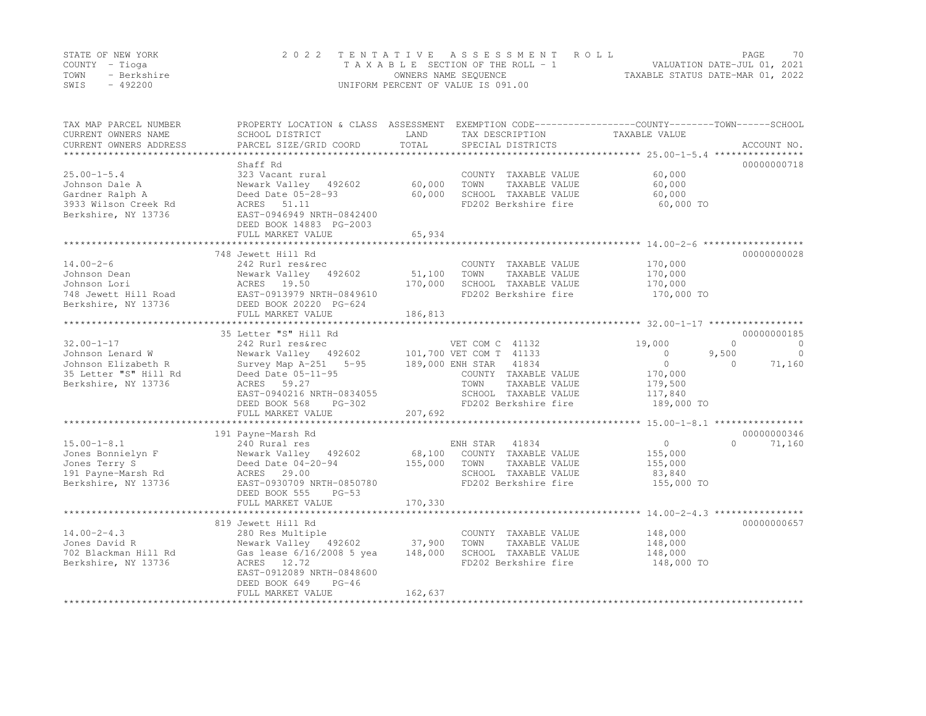|      | STATE OF NEW YORK | 2022 TENTATIVE ASSESSMENT ROLL     |                                  | PAGE. | 70 |
|------|-------------------|------------------------------------|----------------------------------|-------|----|
|      | COUNTY – Tioga    | TAXABLE SECTION OF THE ROLL - 1    | VALUATION DATE-JUL 01, 2021      |       |    |
| TOWN | - Berkshire       | OWNERS NAME SEQUENCE               | TAXABLE STATUS DATE-MAR 01, 2022 |       |    |
| SWIS | $-492200$         | UNIFORM PERCENT OF VALUE IS 091.00 |                                  |       |    |

| SCHOOL DISTRICT<br>PARCEL SIZE/GRID COORD                                                                                                                          | LAND<br>TOTAL                                                                                                                                                                     | TAX DESCRIPTION<br>SPECIAL DISTRICTS                                                                   | TAXABLE VALUE<br>ACCOUNT NO.                                                                                                                                                                                       |
|--------------------------------------------------------------------------------------------------------------------------------------------------------------------|-----------------------------------------------------------------------------------------------------------------------------------------------------------------------------------|--------------------------------------------------------------------------------------------------------|--------------------------------------------------------------------------------------------------------------------------------------------------------------------------------------------------------------------|
|                                                                                                                                                                    |                                                                                                                                                                                   |                                                                                                        |                                                                                                                                                                                                                    |
| 323 Vacant rural<br>Newark Valley 492602<br>Deed Date 05-28-93<br>ACRES 51.11                                                                                      | 60,000<br>60,000                                                                                                                                                                  | COUNTY TAXABLE VALUE<br>TOWN<br>TAXABLE VALUE<br>SCHOOL TAXABLE VALUE<br>FD202 Berkshire fire          | 00000000718<br>60,000<br>60,000<br>60,000<br>60,000 TO                                                                                                                                                             |
| DEED BOOK 14883 PG-2003<br>FULL MARKET VALUE                                                                                                                       | 65,934                                                                                                                                                                            |                                                                                                        |                                                                                                                                                                                                                    |
|                                                                                                                                                                    |                                                                                                                                                                                   |                                                                                                        | 00000000028                                                                                                                                                                                                        |
| 242 Rurl res&rec<br>Newark Valley 492602<br>ACRES 19.50<br>EAST-0913979 NRTH-0849610<br>DEED BOOK 20220 PG-624                                                     | 51,100<br>170,000                                                                                                                                                                 | COUNTY TAXABLE VALUE<br>TOWN<br>TAXABLE VALUE<br>SCHOOL TAXABLE VALUE<br>FD202 Berkshire fire          | 170,000<br>170,000<br>170,000<br>170,000 TO                                                                                                                                                                        |
|                                                                                                                                                                    |                                                                                                                                                                                   |                                                                                                        |                                                                                                                                                                                                                    |
| 242 Rurl res&rec<br>Survey Map $A-251$ 5-95<br>Deed Date 05-11-95<br>ACRES 59.27<br>EAST-0940216 NRTH-0834055<br>PG-302<br>DEED BOOK 568<br>FULL MARKET VALUE      | 207,692                                                                                                                                                                           | COUNTY TAXABLE VALUE<br>TOWN<br>TAXABLE VALUE<br>SCHOOL TAXABLE VALUE<br>FD202 Berkshire fire          | 00000000185<br>$\Omega$<br>$\overline{0}$<br>19,000<br>9,500<br>$\circ$<br>$\overline{0}$<br>$\circ$<br>71,160<br>$\Omega$<br>170,000<br>179,500<br>117,840<br>189,000 TO                                          |
|                                                                                                                                                                    |                                                                                                                                                                                   |                                                                                                        |                                                                                                                                                                                                                    |
| 240 Rural res<br>Newark Valley 492602<br>Deed Date $04-20-94$<br>ACRES 29.00<br>EAST-0930709 NRTH-0850780                                                          | 155,000                                                                                                                                                                           | 41834<br>COUNTY TAXABLE VALUE<br>TOWN<br>TAXABLE VALUE<br>SCHOOL TAXABLE VALUE<br>FD202 Berkshire fire | 00000000346<br>$\circ$<br>$\Omega$<br>71,160<br>155,000<br>155,000<br>83,840<br>155,000 TO                                                                                                                         |
| FULL MARKET VALUE                                                                                                                                                  | 170,330                                                                                                                                                                           |                                                                                                        |                                                                                                                                                                                                                    |
|                                                                                                                                                                    |                                                                                                                                                                                   |                                                                                                        | 00000000657                                                                                                                                                                                                        |
| 280 Res Multiple<br>Newark Valley 492602<br>Gas lease 6/16/2008 5 yea<br>ACRES 12.72<br>EAST-0912089 NRTH-0848600<br>DEED BOOK 649<br>$PG-46$<br>FULL MARKET VALUE | 37,900<br>148,000<br>162,637                                                                                                                                                      | COUNTY TAXABLE VALUE<br>TOWN<br>TAXABLE VALUE<br>SCHOOL TAXABLE VALUE<br>FD202 Berkshire fire          | 148,000<br>148,000<br>148,000<br>148,000 TO                                                                                                                                                                        |
|                                                                                                                                                                    | Shaff Rd<br>EAST-0946949 NRTH-0842400<br>748 Jewett Hill Rd<br>FULL MARKET VALUE<br>35 Letter "S" Hill Rd<br>191 Payne-Marsh Rd<br>DEED BOOK 555<br>$PG-53$<br>819 Jewett Hill Rd | 186,813                                                                                                | PROPERTY LOCATION & CLASS ASSESSMENT EXEMPTION CODE---------------COUNTY-------TOWN------SCHOOL<br>VET COM C 41132<br>Newark Valley 492602 101,700 VET COM T 41133<br>189,000 ENH STAR 41834<br>ENH STAR<br>68,100 |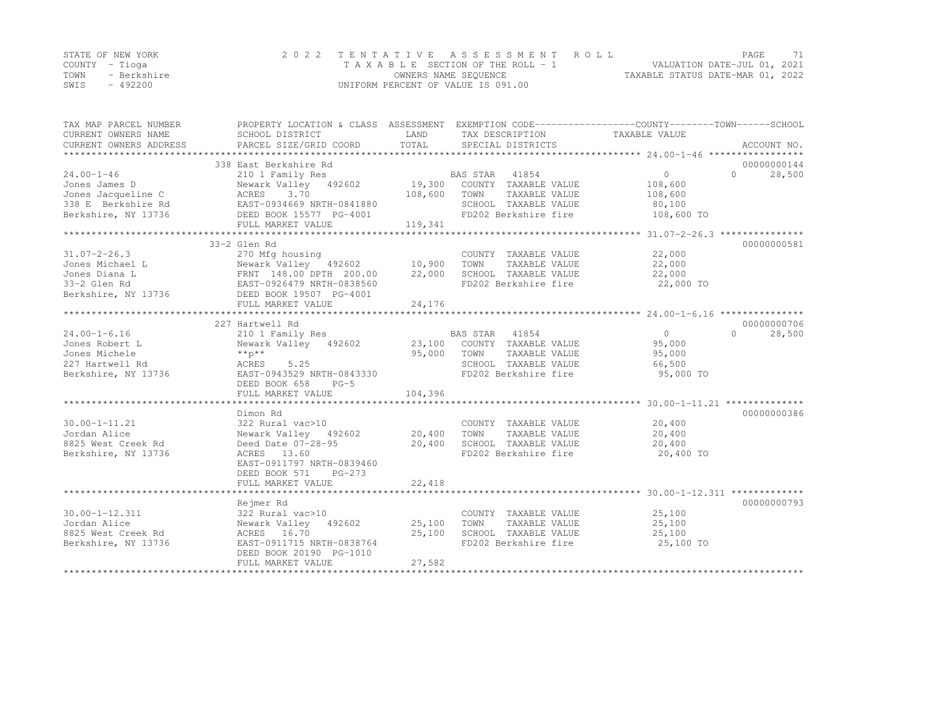|      | STATE OF NEW YORK | 2022 TENTATIVE ASSESSMENT ROLL     |                                  | PAGE | 71 |
|------|-------------------|------------------------------------|----------------------------------|------|----|
|      | COUNTY – Tioga    | TAXABLE SECTION OF THE ROLL - 1    | VALUATION DATE-JUL 01, 2021      |      |    |
| TOWN | - Berkshire       | OWNERS NAME SEOUENCE               | TAXABLE STATUS DATE-MAR 01, 2022 |      |    |
| SWIS | $-492200$         | UNIFORM PERCENT OF VALUE IS 091.00 |                                  |      |    |

| TAX MAP PARCEL NUMBER<br>CURRENT OWNERS NAME | PROPERTY LOCATION & CLASS ASSESSMENT EXEMPTION CODE----------------COUNTY-------TOWN-----SCHOOL<br>SCHOOL DISTRICT | LAND                 | TAX DESCRIPTION                      | TAXABLE VALUE        |                                   |
|----------------------------------------------|--------------------------------------------------------------------------------------------------------------------|----------------------|--------------------------------------|----------------------|-----------------------------------|
| CURRENT OWNERS ADDRESS                       | PARCEL SIZE/GRID COORD                                                                                             | TOTAL                | SPECIAL DISTRICTS                    |                      | ACCOUNT NO.                       |
|                                              |                                                                                                                    |                      |                                      |                      |                                   |
| $24.00 - 1 - 46$                             | 338 East Berkshire Rd<br>210 1 Family Res                                                                          |                      | BAS STAR                             | $\overline{0}$       | 00000000144<br>28,500<br>$\Omega$ |
| Jones James D                                | Newark Valley 492602                                                                                               |                      | 41854<br>19,300 COUNTY TAXABLE VALUE | 108,600              |                                   |
| Jones Jacqueline C                           | 3.70<br>ACRES                                                                                                      | 108,600              | TOWN<br>TAXABLE VALUE                | 108,600              |                                   |
| 338 E Berkshire Rd                           |                                                                                                                    |                      | SCHOOL TAXABLE VALUE                 |                      |                                   |
| Berkshire, NY 13736                          | EAST-0934669 NRTH-0841880<br>DEED BOOK 15577 PG-4001                                                               |                      | FD202 Berkshire fire                 | 80,100<br>108,600 TO |                                   |
|                                              | FULL MARKET VALUE                                                                                                  | 119,341              |                                      |                      |                                   |
|                                              |                                                                                                                    |                      |                                      |                      |                                   |
|                                              | 33-2 Glen Rd                                                                                                       |                      |                                      |                      | 00000000581                       |
| $31.07 - 2 - 26.3$                           | 270 Mfg housing                                                                                                    |                      | COUNTY TAXABLE VALUE                 | 22,000               |                                   |
| Jones Michael L                              | Newark Valley 492602 10,900                                                                                        |                      | TOWN<br>TAXABLE VALUE                | 22,000               |                                   |
| Jones Diana L                                |                                                                                                                    | 22,000               | SCHOOL TAXABLE VALUE                 | 22,000               |                                   |
| 33-2 Glen Rd                                 |                                                                                                                    |                      | FD202 Berkshire fire                 | 22,000 TO            |                                   |
| Berkshire, NY 13736                          | L<br>Mewark Valley 492602<br>FRNT 148.00 DPTH 200.00<br>EAST-0926479 NRTH-0838560<br>DEED BOOK 19507 PG-4001       |                      |                                      |                      |                                   |
|                                              |                                                                                                                    |                      |                                      |                      |                                   |
|                                              |                                                                                                                    |                      |                                      |                      |                                   |
|                                              | 227 Hartwell Rd                                                                                                    |                      |                                      |                      | 00000000706                       |
| $24.00 - 1 - 6.16$                           | 210 1 Family Res                                                                                                   |                      | BAS STAR 41854                       | $\overline{0}$       | $\cap$<br>28,500                  |
| Jones Robert L                               | Newark Valley 492602                                                                                               |                      | 23,100 COUNTY TAXABLE VALUE          | 95,000               |                                   |
| Jones Michele                                | $***p***$                                                                                                          | 95,000               | TOWN<br>TAXABLE VALUE                | 95,000               |                                   |
| 227 Hartwell Rd                              | ACRES<br>5.25                                                                                                      |                      | SCHOOL TAXABLE VALUE                 | 66,500               |                                   |
| Berkshire, NY 13736                          | EAST-0943529 NRTH-0843330                                                                                          |                      | FD202 Berkshire fire                 | 95,000 TO            |                                   |
|                                              | DEED BOOK 658<br>$PG-5$                                                                                            |                      |                                      |                      |                                   |
|                                              | FULL MARKET VALUE                                                                                                  | 104,396              |                                      |                      |                                   |
|                                              |                                                                                                                    |                      |                                      |                      |                                   |
|                                              | Dimon Rd                                                                                                           |                      |                                      |                      | 00000000386                       |
| $30.00 - 1 - 11.21$                          | 322 Rural vac>10                                                                                                   |                      | COUNTY TAXABLE VALUE                 | 20,400               |                                   |
| Jordan Alice                                 | Newark Valley 492602                                                                                               | COUNT<br>20,400 TOWN | TAXABLE VALUE                        | 20,400               |                                   |
| 8825 West Creek Rd                           | Deed Date 07-28-95 20,400                                                                                          |                      | SCHOOL TAXABLE VALUE                 | 20,400               |                                   |
| Berkshire, NY 13736                          | ACRES 13.60                                                                                                        |                      | FD202 Berkshire fire                 | 20,400 TO            |                                   |
|                                              | EAST-0911797 NRTH-0839460                                                                                          |                      |                                      |                      |                                   |
|                                              | DEED BOOK 571<br>$PG-273$                                                                                          |                      |                                      |                      |                                   |
|                                              | FULL MARKET VALUE                                                                                                  | 22,418               |                                      |                      |                                   |
|                                              |                                                                                                                    |                      |                                      |                      |                                   |
|                                              | Rejmer Rd                                                                                                          |                      |                                      |                      | 00000000793                       |
| $30.00 - 1 - 12.311$                         | 322 Rural vac>10                                                                                                   |                      | COUNTY TAXABLE VALUE                 | 25,100               |                                   |
| Jordan Alice                                 | Newark Valley 492602 25,100                                                                                        |                      | TAXABLE VALUE<br>TOWN                | 25,100               |                                   |
| 8825 West Creek Rd                           | ACRES 16.70                                                                                                        | 25,100               | SCHOOL TAXABLE VALUE                 | 25,100               |                                   |
| Berkshire, NY 13736                          | EAST-0911715 NRTH-0838764                                                                                          |                      | FD202 Berkshire fire                 | 25,100 TO            |                                   |
|                                              | DEED BOOK 20190 PG-1010                                                                                            |                      |                                      |                      |                                   |
|                                              | FULL MARKET VALUE                                                                                                  | 27,582               |                                      |                      |                                   |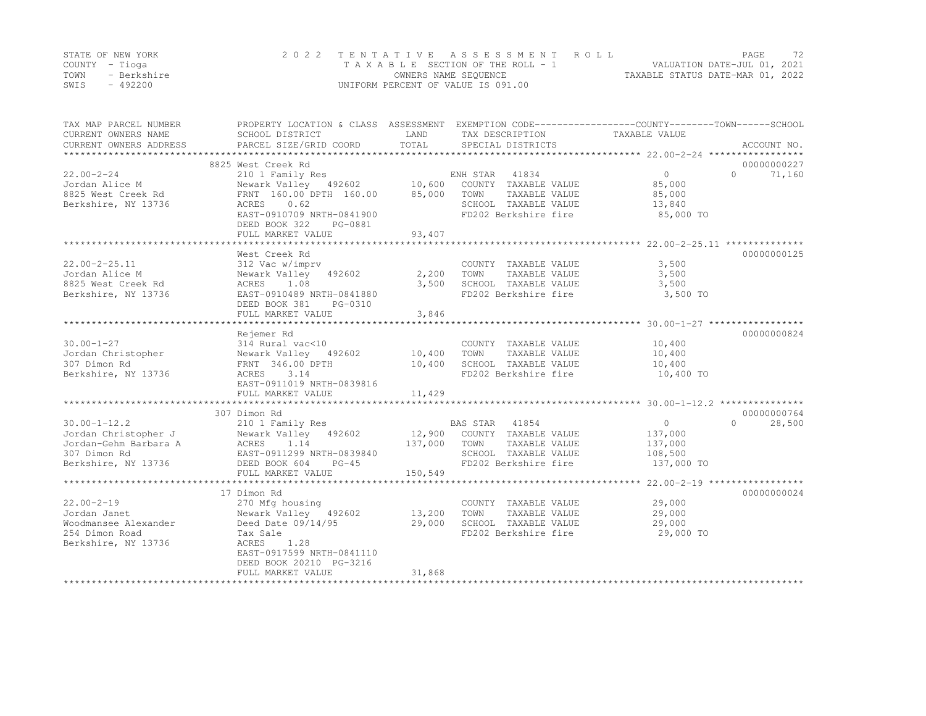|      | STATE OF NEW YORK | 2022 TENTATIVE ASSESSMENT ROLL     | PAGE.                            | 72 |
|------|-------------------|------------------------------------|----------------------------------|----|
|      | COUNTY – Tioga    | TAXABLE SECTION OF THE ROLL - 1    | VALUATION DATE-JUL 01, 2021      |    |
| TOWN | - Berkshire       | OWNERS NAME SEOUENCE               | TAXABLE STATUS DATE-MAR 01, 2022 |    |
| SWIS | $-492200$         | UNIFORM PERCENT OF VALUE IS 091.00 |                                  |    |

| TAX MAP PARCEL NUMBER<br>CURRENT OWNERS NAME | PROPERTY LOCATION & CLASS ASSESSMENT EXEMPTION CODE----------------COUNTY-------TOWN-----SCHOOL<br>SCHOOL DISTRICT | LAND    | TAX DESCRIPTION       | TAXABLE VALUE     |                         |
|----------------------------------------------|--------------------------------------------------------------------------------------------------------------------|---------|-----------------------|-------------------|-------------------------|
| CURRENT OWNERS ADDRESS                       | PARCEL SIZE/GRID COORD                                                                                             | TOTAL   | SPECIAL DISTRICTS     |                   | ACCOUNT NO.             |
|                                              |                                                                                                                    |         |                       |                   |                         |
|                                              | 8825 West Creek Rd                                                                                                 |         |                       |                   | 00000000227<br>$\Omega$ |
| $22.00 - 2 - 24$                             | 210 1 Family Res                                                                                                   |         | ENH STAR<br>41834     | $0 \qquad \qquad$ | 71,160                  |
| Jordan Alice M                               | Newark Valley 492602 10,600                                                                                        |         | COUNTY TAXABLE VALUE  | 85,000            |                         |
| 8825 West Creek Rd                           | FRNT 160.00 DPTH 160.00                                                                                            | 85,000  | TOWN<br>TAXABLE VALUE | 85,000            |                         |
| Berkshire, NY 13736                          | 0.62<br>ACRES                                                                                                      |         | SCHOOL TAXABLE VALUE  | 13,840            |                         |
|                                              | EAST-0910709 NRTH-0841900                                                                                          |         | FD202 Berkshire fire  | 85,000 TO         |                         |
|                                              | DEED BOOK 322<br>PG-0881                                                                                           |         |                       |                   |                         |
|                                              | FULL MARKET VALUE                                                                                                  | 93,407  |                       |                   |                         |
|                                              |                                                                                                                    |         |                       |                   |                         |
|                                              | West Creek Rd                                                                                                      |         |                       |                   | 00000000125             |
| $22.00 - 2 - 25.11$                          | 312 Vac w/imprv                                                                                                    |         | COUNTY TAXABLE VALUE  | 3,500             |                         |
| Jordan Alice M                               | Newark Valley 492602                                                                                               | 2,200   | TOWN<br>TAXABLE VALUE | 3,500             |                         |
| 8825 West Creek Rd                           | ACRES<br>1.08                                                                                                      | 3,500   | SCHOOL TAXABLE VALUE  | 3,500             |                         |
| Berkshire, NY 13736                          | EAST-0910489 NRTH-0841880                                                                                          |         | FD202 Berkshire fire  | 3,500 TO          |                         |
|                                              | DEED BOOK 381<br>PG-0310                                                                                           |         |                       |                   |                         |
|                                              | FULL MARKET VALUE                                                                                                  | 3,846   |                       |                   |                         |
|                                              |                                                                                                                    |         |                       |                   |                         |
|                                              | Rejemer Rd                                                                                                         |         |                       |                   | 00000000824             |
| $30.00 - 1 - 27$                             | 314 Rural vac<10                                                                                                   |         | COUNTY TAXABLE VALUE  | 10,400            |                         |
| Jordan Christopher                           | Newark Valley 492602                                                                                               | 10,400  | TOWN<br>TAXABLE VALUE | 10,400            |                         |
| 307 Dimon Rd                                 | FRNT 346.00 DPTH                                                                                                   | 10,400  | SCHOOL TAXABLE VALUE  | 10,400            |                         |
| Berkshire, NY 13736                          | ACRES<br>3.14                                                                                                      |         | FD202 Berkshire fire  | 10,400 TO         |                         |
|                                              | EAST-0911019 NRTH-0839816                                                                                          |         |                       |                   |                         |
|                                              | FULL MARKET VALUE                                                                                                  | 11,429  |                       |                   |                         |
|                                              |                                                                                                                    |         |                       |                   |                         |
|                                              | 307 Dimon Rd                                                                                                       |         |                       |                   | 00000000764             |
| $30.00 - 1 - 12.2$                           | 210 1 Family Res                                                                                                   |         | BAS STAR 41854        | 0                 | $\cap$<br>28,500        |
| Jordan Christopher J                         | Newark Valley 492602                                                                                               | 12,900  | COUNTY TAXABLE VALUE  | 137,000           |                         |
| Jordan-Gehm Barbara A                        | ACRES<br>1.14                                                                                                      | 137,000 | TOWN<br>TAXABLE VALUE | 137,000           |                         |
| 307 Dimon Rd                                 | EAST-0911299 NRTH-0839840                                                                                          |         | SCHOOL TAXABLE VALUE  | 108,500           |                         |
| Berkshire, NY 13736                          | DEED BOOK 604<br>$PG-45$                                                                                           |         | FD202 Berkshire fire  | 137,000 TO        |                         |
|                                              | FULL MARKET VALUE                                                                                                  | 150,549 |                       |                   |                         |
|                                              |                                                                                                                    |         |                       |                   |                         |
|                                              | 17 Dimon Rd                                                                                                        |         |                       |                   | 00000000024             |
| $22.00 - 2 - 19$                             | 270 Mfg housing                                                                                                    |         | COUNTY TAXABLE VALUE  | 29,000            |                         |
| Jordan Janet                                 | Newark Valley 492602                                                                                               | 13,200  | TOWN<br>TAXABLE VALUE | 29,000            |                         |
| Woodmansee Alexander                         | Deed Date 09/14/95                                                                                                 | 29,000  | SCHOOL TAXABLE VALUE  | 29,000            |                         |
| 254 Dimon Road                               | Tax Sale                                                                                                           |         | FD202 Berkshire fire  | 29,000 TO         |                         |
| Berkshire, NY 13736                          | ACRES<br>1.28                                                                                                      |         |                       |                   |                         |
|                                              | EAST-0917599 NRTH-0841110                                                                                          |         |                       |                   |                         |
|                                              | DEED BOOK 20210 PG-3216                                                                                            |         |                       |                   |                         |
|                                              | FULL MARKET VALUE                                                                                                  | 31,868  |                       |                   |                         |
|                                              |                                                                                                                    |         |                       |                   |                         |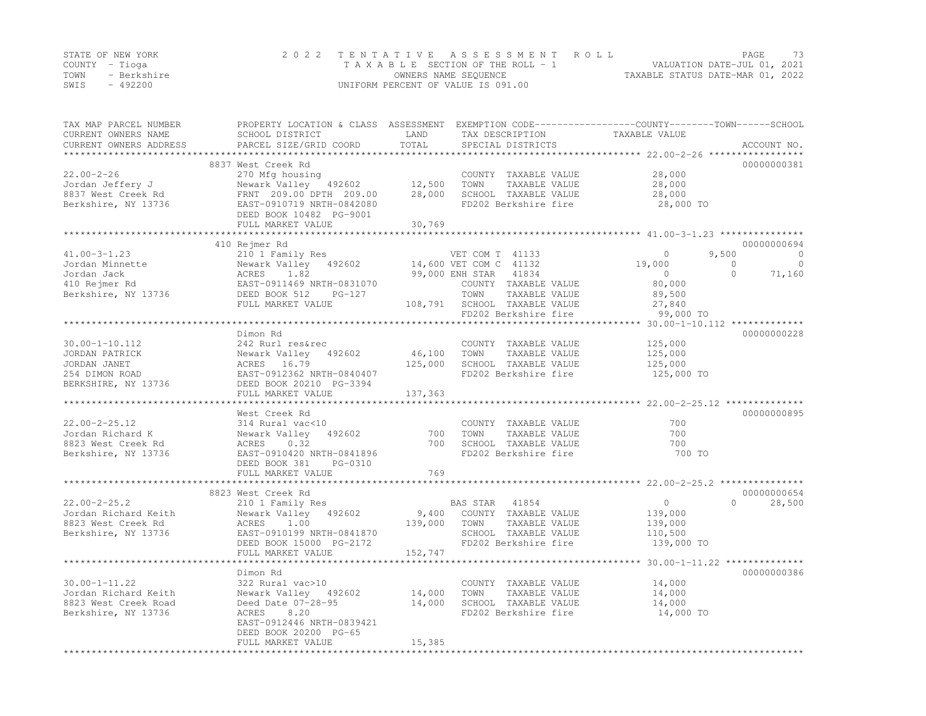|      | STATE OF NEW YORK | 2022 TENTATIVE ASSESSMENT ROLL     | PAGE.                            | 73 |
|------|-------------------|------------------------------------|----------------------------------|----|
|      | COUNTY – Tioga    | TAXABLE SECTION OF THE ROLL - 1    | VALUATION DATE-JUL 01, 2021      |    |
| TOWN | - Berkshire       | OWNERS NAME SEQUENCE               | TAXABLE STATUS DATE-MAR 01, 2022 |    |
| SWIS | $-492200$         | UNIFORM PERCENT OF VALUE IS 091.00 |                                  |    |

| TAX MAP PARCEL NUMBER<br>CURRENT OWNERS NAME<br>CURRENT OWNERS ADDRESS                          | SCHOOL DISTRICT<br>PARCEL SIZE/GRID COORD                                                                                                                                                                                                     | LAND<br>TOTAL           | TAX DESCRIPTION<br>SPECIAL DISTRICTS                                                                          | PROPERTY LOCATION & CLASS ASSESSMENT EXEMPTION CODE----------------COUNTY-------TOWN-----SCHOOL<br>TAXABLE VALUE | ACCOUNT NO.                                               |
|-------------------------------------------------------------------------------------------------|-----------------------------------------------------------------------------------------------------------------------------------------------------------------------------------------------------------------------------------------------|-------------------------|---------------------------------------------------------------------------------------------------------------|------------------------------------------------------------------------------------------------------------------|-----------------------------------------------------------|
|                                                                                                 |                                                                                                                                                                                                                                               |                         |                                                                                                               |                                                                                                                  |                                                           |
| $22.00 - 2 - 26$<br>Jordan Jeffery J<br>8837 West Creek Rd<br>Berkshire, NY 13736               | 8837 West Creek Rd<br>270 Mfg housing<br>Newark Valley 492602 12,500<br>Newark Valley 492002<br>FRNT 209.00 DPTH 209.00<br>EAST-0910719 NRTH-0842080<br>DEED BOOK 10482 PG-9001                                                               | 28,000                  | COUNTY TAXABLE VALUE<br>TAXABLE VALUE<br>TOWN<br>SCHOOL TAXABLE VALUE<br>FD202 Berkshire fire                 | 28,000<br>28,000<br>28,000<br>28,000 TO                                                                          | 00000000381                                               |
|                                                                                                 | FULL MARKET VALUE                                                                                                                                                                                                                             | 30,769                  |                                                                                                               |                                                                                                                  |                                                           |
|                                                                                                 |                                                                                                                                                                                                                                               |                         |                                                                                                               |                                                                                                                  |                                                           |
| $41.00 - 3 - 1.23$<br>Jordan Minnette<br>Jordan Jack<br>410 Rejmer Rd<br>Berkshire, NY 13736    | 410 Rejmer Rd<br>210 1 Family Res<br>VEI COM T 41133<br>Newark Valley 492602 14,600 VET COM C 41132<br>ACRES 1.82 99,000 ENH STAR 41834<br>EAST-0911469 NRTH-0831070 COUNTY TAXABLE<br>DEED BOOK 512 PG-127 TOWN TAXABLE<br>FULL MARKET VALUE |                         | VET COM T 41133<br>COUNTY TAXABLE VALUE<br>TAXABLE VALUE<br>108,791 SCHOOL TAXABLE VALUE                      | 9,500<br>$\circ$<br>19,000<br>$\overline{0}$<br>$\bigcirc$<br>$\sim$ 0<br>80,000<br>89,500<br>27,840             | 00000000694<br>$\overline{0}$<br>$\overline{0}$<br>71,160 |
|                                                                                                 |                                                                                                                                                                                                                                               |                         | FD202 Berkshire fire                                                                                          | 99,000 TO                                                                                                        |                                                           |
|                                                                                                 |                                                                                                                                                                                                                                               |                         |                                                                                                               |                                                                                                                  |                                                           |
| $30.00 - 1 - 10.112$<br>JORDAN PATRICK<br>JORDAN JANET<br>254 DIMON ROAD<br>BERKSHIRE, NY 13736 | Dimon Rd<br>242 Rurl res&rec<br>Newark Valley 492602<br>ACRES 16.79<br>EAST-0912362 NRTH-0840407<br>DEED BOOK 20210 PG-3394                                                                                                                   | 46,100 TOWN             | COUNTY TAXABLE VALUE<br>TAXABLE VALUE<br>125,000 SCHOOL TAXABLE VALUE<br>FD202 Berkshire fire                 | 125,000<br>125,000<br>125,000<br>125,000 TO                                                                      | 00000000228                                               |
|                                                                                                 | FULL MARKET VALUE                                                                                                                                                                                                                             | 137,363                 |                                                                                                               |                                                                                                                  |                                                           |
| $22.00 - 2 - 25.12$<br>Jordan Richard K<br>8823 West Creek Rd<br>Berkshire, NY 13736            | West Creek Rd<br>314 Rural vac<10<br>Newark Valley 492602<br>ACRES 0.32<br>EAST-0910420 NRTH-0841896<br>DEED BOOK 381<br>PG-0310                                                                                                              | 700<br>700              | COUNTY TAXABLE VALUE<br>TOWN<br>TAXABLE VALUE<br>SCHOOL TAXABLE VALUE<br>FD202 Berkshire fire                 | 700<br>700<br>700<br>700 TO                                                                                      | 00000000895                                               |
|                                                                                                 | FULL MARKET VALUE                                                                                                                                                                                                                             | 769                     |                                                                                                               |                                                                                                                  |                                                           |
| $22.00 - 2 - 25.2$<br>Jordan Richard Keith<br>8823 West Creek Rd<br>Berkshire, NY 13736         | 8823 West Creek Rd<br>210 1 Family Res<br>Newark Valley 492602<br>ACRES<br>1.00<br>EAST-0910199 NRTH-0841870<br>DEED BOOK 15000 PG-2172<br>FULL MARKET VALUE                                                                                  | 139,000 TOWN<br>152,747 | BAS STAR 41854<br>9,400 COUNTY TAXABLE VALUE<br>TAXABLE VALUE<br>SCHOOL TAXABLE VALUE<br>FD202 Berkshire fire | $\overline{0}$<br>$\cap$<br>139,000<br>139,000<br>110,500<br>139,000 TO                                          | 00000000654<br>28,500                                     |
|                                                                                                 |                                                                                                                                                                                                                                               |                         |                                                                                                               |                                                                                                                  |                                                           |
| $30.00 - 1 - 11.22$<br>Jordan Richard Keith<br>8823 West Creek Road<br>Berkshire, NY 13736      | Dimon Rd<br>322 Rural vac>10<br>Newark Valley 492602<br>Deed Date 07-28-95<br>8.20<br>ACRES<br>EAST-0912446 NRTH-0839421<br>DEED BOOK 20200 PG-65                                                                                             | 14,000<br>14,000        | COUNTY TAXABLE VALUE<br>TOWN<br>TAXABLE VALUE<br>SCHOOL TAXABLE VALUE<br>FD202 Berkshire fire                 | 14,000<br>14,000<br>14,000<br>14,000 TO                                                                          | 00000000386                                               |
|                                                                                                 | FULL MARKET VALUE                                                                                                                                                                                                                             | 15,385                  |                                                                                                               |                                                                                                                  |                                                           |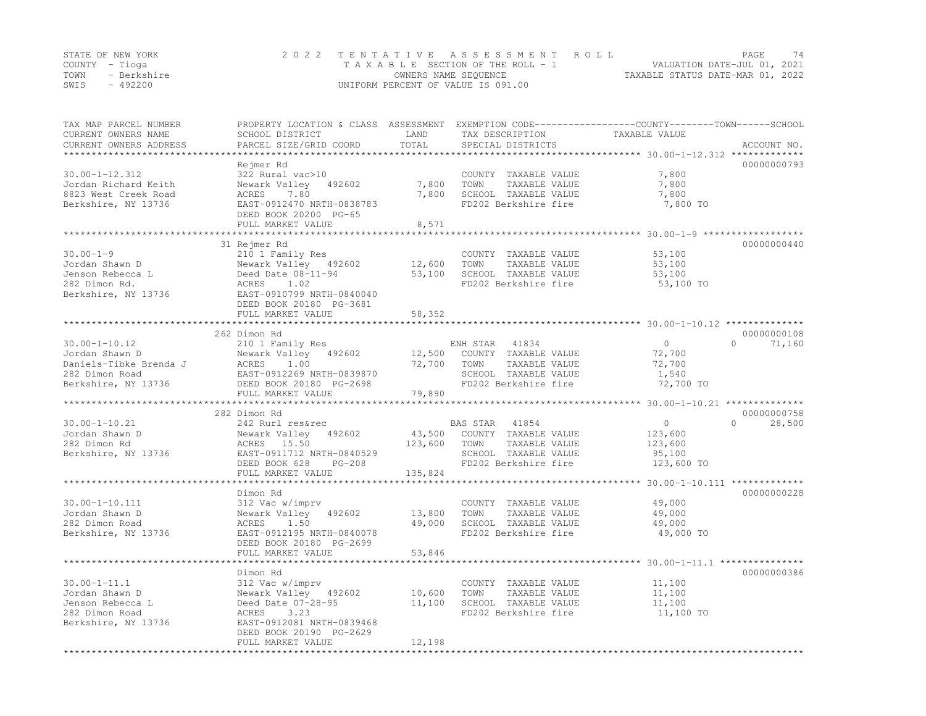| STATE OF NEW YORK |             | 2022 TENTATIVE ASSESSMENT ROLL     | PAGE                             | 74 |
|-------------------|-------------|------------------------------------|----------------------------------|----|
| COUNTY – Tioga    |             | TAXABLE SECTION OF THE ROLL - 1    | VALUATION DATE-JUL 01, 2021      |    |
| TOWN              | - Berkshire | OWNERS NAME SEQUENCE               | TAXABLE STATUS DATE-MAR 01, 2022 |    |
| SWIS              | $-492200$   | UNIFORM PERCENT OF VALUE IS 091.00 |                                  |    |

| TAX MAP PARCEL NUMBER<br>CURRENT OWNERS NAME | SCHOOL DISTRICT                                        | LAND          | TAX DESCRIPTION                               | PROPERTY LOCATION & CLASS ASSESSMENT EXEMPTION CODE-----------------COUNTY-------TOWN------SCHOOL<br>TAXABLE VALUE |
|----------------------------------------------|--------------------------------------------------------|---------------|-----------------------------------------------|--------------------------------------------------------------------------------------------------------------------|
| CURRENT OWNERS ADDRESS                       | PARCEL SIZE/GRID COORD                                 | TOTAL         | SPECIAL DISTRICTS                             | ACCOUNT NO.<br>**************************** 30.00–1–12.312 *************                                           |
|                                              | Rejmer Rd                                              |               |                                               | 00000000793                                                                                                        |
| $30.00 - 1 - 12.312$                         | 322 Rural vac>10                                       |               | COUNTY TAXABLE VALUE                          | 7,800                                                                                                              |
| Jordan Richard Keith                         | Newark Valley<br>492602                                | 7,800         | TAXABLE VALUE<br>TOWN                         | 7,800                                                                                                              |
| 8823 West Creek Road                         | 7.80<br>ACRES                                          | 7,800         | SCHOOL TAXABLE VALUE                          | 7,800                                                                                                              |
| Berkshire, NY 13736                          | EAST-0912470 NRTH-0838783                              |               | FD202 Berkshire fire                          | 7,800 TO                                                                                                           |
|                                              | DEED BOOK 20200 PG-65                                  |               |                                               |                                                                                                                    |
|                                              | FULL MARKET VALUE                                      | 8,571         |                                               |                                                                                                                    |
|                                              |                                                        |               |                                               |                                                                                                                    |
|                                              | 31 Rejmer Rd                                           |               |                                               | 00000000440                                                                                                        |
| $30.00 - 1 - 9$                              | 210 1 Family Res                                       |               | COUNTY TAXABLE VALUE                          | 53,100                                                                                                             |
| Jordan Shawn D                               | Newark Valley 492602                                   | 12,600        | TAXABLE VALUE<br>TOWN                         | 53,100                                                                                                             |
| Jenson Rebecca L<br>282 Dimon Rd.            | Deed Date 08-11-94<br>ACRES<br>1.02                    | 53,100        | SCHOOL TAXABLE VALUE<br>FD202 Berkshire fire  | 53,100                                                                                                             |
| Berkshire, NY 13736                          | EAST-0910799 NRTH-0840040                              |               |                                               | 53,100 TO                                                                                                          |
|                                              | DEED BOOK 20180 PG-3681                                |               |                                               |                                                                                                                    |
|                                              | FULL MARKET VALUE                                      | 58,352        |                                               |                                                                                                                    |
|                                              | **********************                                 | ************* |                                               |                                                                                                                    |
|                                              | 262 Dimon Rd                                           |               |                                               | 00000000108                                                                                                        |
| $30.00 - 1 - 10.12$                          | 210 1 Family Res                                       |               | ENH STAR 41834                                | $\circ$<br>$\Omega$<br>71,160                                                                                      |
| Jordan Shawn D                               | Newark Valley 492602                                   | 12,500        | COUNTY TAXABLE VALUE                          | 72,700                                                                                                             |
| Daniels-Tibke Brenda J                       | ACRES<br>1.00                                          | 72,700        | TOWN<br>TAXABLE VALUE                         | 72,700                                                                                                             |
| 282 Dimon Road                               | EAST-0912269 NRTH-0839870                              |               | SCHOOL TAXABLE VALUE                          | 1,540                                                                                                              |
| Berkshire, NY 13736                          | DEED BOOK 20180 PG-2698                                |               | FD202 Berkshire fire                          | 72,700 TO                                                                                                          |
|                                              | FULL MARKET VALUE                                      | 79,890        |                                               |                                                                                                                    |
|                                              | **********************                                 |               |                                               |                                                                                                                    |
|                                              | 282 Dimon Rd                                           |               |                                               | 00000000758                                                                                                        |
| $30.00 - 1 - 10.21$                          | 242 Rurl res&rec                                       |               | 41854<br>BAS STAR                             | $\circ$<br>$\bigcap$<br>28,500                                                                                     |
| Jordan Shawn D                               | 492602<br>Newark Valley                                | 43,500        | COUNTY TAXABLE VALUE                          | 123,600                                                                                                            |
| 282 Dimon Rd                                 | ACRES 15.50                                            | 123,600       | TOWN<br>TAXABLE VALUE<br>SCHOOL TAXABLE VALUE | 123,600                                                                                                            |
| Berkshire, NY 13736                          | EAST-0911712 NRTH-0840529<br>DEED BOOK 628<br>$PG-208$ |               | FD202 Berkshire fire                          | 95,100<br>123,600 TO                                                                                               |
|                                              | FULL MARKET VALUE                                      | 135,824       |                                               |                                                                                                                    |
|                                              |                                                        |               |                                               |                                                                                                                    |
|                                              | Dimon Rd                                               |               |                                               | 00000000228                                                                                                        |
| $30.00 - 1 - 10.111$                         | 312 Vac w/imprv                                        |               | COUNTY TAXABLE VALUE                          | 49,000                                                                                                             |
| Jordan Shawn D                               | Newark Valley<br>492602                                | 13,800        | TOWN<br>TAXABLE VALUE                         | 49,000                                                                                                             |
| 282 Dimon Road                               | 1.50<br>ACRES                                          | 49,000        | SCHOOL TAXABLE VALUE                          | 49,000                                                                                                             |
| Berkshire, NY 13736                          | EAST-0912195 NRTH-0840078                              |               | FD202 Berkshire fire                          | 49,000 TO                                                                                                          |
|                                              | DEED BOOK 20180 PG-2699                                |               |                                               |                                                                                                                    |
|                                              | FULL MARKET VALUE                                      | 53,846        |                                               |                                                                                                                    |
|                                              |                                                        |               |                                               | ********* 30.00-1-11.1 ***                                                                                         |
|                                              | Dimon Rd                                               |               |                                               | 00000000386                                                                                                        |
| $30.00 - 1 - 11.1$                           | 312 Vac w/imprv                                        |               | COUNTY TAXABLE VALUE                          | 11,100                                                                                                             |
| Jordan Shawn D                               | Newark Valley 492602                                   | 10,600        | TOWN<br>TAXABLE VALUE                         | 11,100                                                                                                             |
| Jenson Rebecca L                             | Deed Date 07-28-95                                     | 11,100        | SCHOOL TAXABLE VALUE                          | 11,100                                                                                                             |
| 282 Dimon Road                               | ACRES<br>3.23<br>EAST-0912081 NRTH-0839468             |               | FD202 Berkshire fire                          | 11,100 TO                                                                                                          |
| Berkshire, NY 13736                          | DEED BOOK 20190 PG-2629                                |               |                                               |                                                                                                                    |
|                                              | FULL MARKET VALUE                                      | 12,198        |                                               |                                                                                                                    |
|                                              | ******************                                     |               |                                               |                                                                                                                    |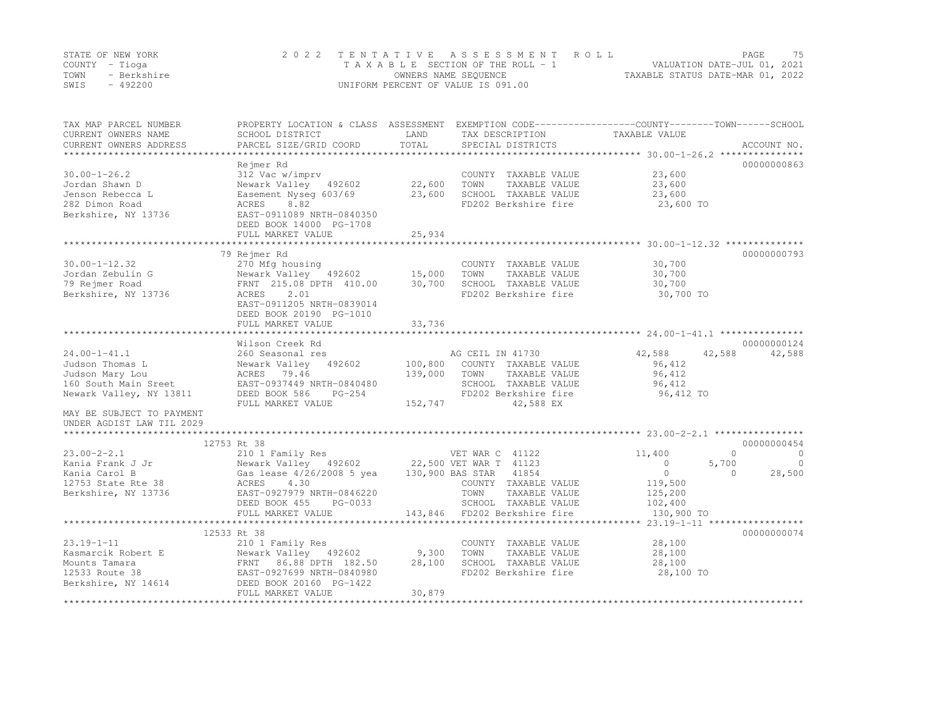|      | STATE OF NEW YORK | 2022 TENTATIVE ASSESSMENT ROLL     |                                  | PAGE                        | 75 |
|------|-------------------|------------------------------------|----------------------------------|-----------------------------|----|
|      | COUNTY – Tioga    | TAXABLE SECTION OF THE ROLL - 1    |                                  | VALUATION DATE-JUL 01, 2021 |    |
| TOWN | - Berkshire       | OWNERS NAME SEQUENCE               | TAXABLE STATUS DATE-MAR 01, 2022 |                             |    |
| SWIS | - 492200          | UNIFORM PERCENT OF VALUE IS 091.00 |                                  |                             |    |

| TAX MAP PARCEL NUMBER<br>CURRENT OWNERS NAME<br>CURRENT OWNERS ADDRESS                                                                                                | PROPERTY LOCATION & CLASS ASSESSMENT<br>SCHOOL DISTRICT<br>PARCEL SIZE/GRID COORD                                                                                                                                  | LAND<br>TOTAL              | TAX DESCRIPTION<br>SPECIAL DISTRICTS                                                                                                   | EXEMPTION CODE-----------------COUNTY-------TOWN------SCHOOL<br>TAXABLE VALUE     | ACCOUNT NO.                                                    |
|-----------------------------------------------------------------------------------------------------------------------------------------------------------------------|--------------------------------------------------------------------------------------------------------------------------------------------------------------------------------------------------------------------|----------------------------|----------------------------------------------------------------------------------------------------------------------------------------|-----------------------------------------------------------------------------------|----------------------------------------------------------------|
| $30.00 - 1 - 26.2$<br>Jordan Shawn D<br>Jenson Rebecca L<br>282 Dimon Road<br>Berkshire, NY 13736                                                                     | Rejmer Rd<br>312 Vac w/imprv<br>Newark Valley 492602<br>Easement Nyseq 603/69<br>8.82<br>ACRES<br>EAST-0911089 NRTH-0840350<br>DEED BOOK 14000 PG-1708<br>FULL MARKET VALUE                                        | 22,600<br>23,600<br>25,934 | COUNTY TAXABLE VALUE<br>TOWN<br>TAXABLE VALUE<br>SCHOOL TAXABLE VALUE<br>FD202 Berkshire fire                                          | 23,600<br>23,600<br>23,600<br>23,600 TO                                           | 00000000863                                                    |
|                                                                                                                                                                       | *************************                                                                                                                                                                                          | *************              |                                                                                                                                        | *************************************30.00-1-12.32 ****************************** |                                                                |
| $30.00 - 1 - 12.32$<br>Jordan Zebulin G<br>79 Rejmer Road<br>Berkshire, NY 13736                                                                                      | 79 Rejmer Rd<br>270 Mfg housing<br>Newark Valley 492602<br>FRNT 215.08 DPTH 410.00<br>ACRES<br>2.01<br>EAST-0911205 NRTH-0839014<br>DEED BOOK 20190 PG-1010<br>FULL MARKET VALUE                                   | 15,000<br>30,700<br>33,736 | COUNTY TAXABLE VALUE<br>TOWN<br>TAXABLE VALUE<br>SCHOOL TAXABLE VALUE<br>FD202 Berkshire fire                                          | 30,700<br>30,700<br>30,700<br>30,700 TO                                           | 00000000793                                                    |
|                                                                                                                                                                       | ****************<br>Wilson Creek Rd                                                                                                                                                                                |                            |                                                                                                                                        | *********************** 24.00-1-41.1 ****************                             | 00000000124                                                    |
| $24.00 - 1 - 41.1$<br>Judson Thomas L<br>Judson Mary Lou<br>160 South Main Sreet<br>Newark Valley, NY 13811<br>MAY BE SUBJECT TO PAYMENT<br>UNDER AGDIST LAW TIL 2029 | 260 Seasonal res<br>Newark Valley 492602<br>ACRES 79.46<br>EAST-0937449 NRTH-0840480<br>DEED BOOK 586<br>$PG-254$<br>FULL MARKET VALUE                                                                             | 139,000<br>152,747         | AG CEIL IN 41730<br>100,800 COUNTY TAXABLE VALUE<br>TOWN<br>TAXABLE VALUE<br>SCHOOL TAXABLE VALUE<br>FD202 Berkshire fire<br>42,588 EX | 42,588<br>42,588<br>96,412<br>96,412<br>96,412<br>96,412 TO                       | 42,588                                                         |
|                                                                                                                                                                       |                                                                                                                                                                                                                    |                            |                                                                                                                                        |                                                                                   |                                                                |
|                                                                                                                                                                       | 12753 Rt 38                                                                                                                                                                                                        |                            |                                                                                                                                        |                                                                                   | 00000000454                                                    |
| $23.00 - 2 - 2.1$<br>Kania Frank J Jr<br>Kania Carol B<br>12753 State Rte 38<br>Berkshire, NY 13736                                                                   | 210 1 Family Res<br>Newark Valley 492602 22,500 VET WAR T 41123<br>Gas lease 4/26/2008 5 yea 130,900 BAS STAR 41854<br>ACRES<br>4.30<br>EAST-0927979 NRTH-0846220<br>DEED BOOK 455<br>PG-0033<br>FULL MARKET VALUE |                            | VET WAR C 41122<br>COUNTY TAXABLE VALUE<br>TOWN<br>TAXABLE VALUE<br>SCHOOL TAXABLE VALUE<br>143,846 FD202 Berkshire fire               | 11,400<br>$\circ$<br>$\circ$<br>119,500<br>125,200<br>102,400<br>130,900 TO       | $\Omega$<br>$\circ$<br>5,700<br>$\Omega$<br>28,500<br>$\Omega$ |
|                                                                                                                                                                       | ***********************                                                                                                                                                                                            |                            |                                                                                                                                        |                                                                                   |                                                                |
| $23.19 - 1 - 11$<br>Kasmarcik Robert E<br>Mounts Tamara<br>12533 Route 38<br>Berkshire, NY 14614                                                                      | 12533 Rt 38<br>210 1 Family Res<br>Newark Valley 492602<br>86.88 DPTH 182.50<br>FRNT<br>EAST-0927699 NRTH-0840980<br>DEED BOOK 20160 PG-1422<br>FULL MARKET VALUE                                                  | 9,300<br>28,100<br>30,879  | COUNTY TAXABLE VALUE<br>TOWN<br>TAXABLE VALUE<br>SCHOOL TAXABLE VALUE<br>FD202 Berkshire fire                                          | 28,100<br>28,100<br>28,100<br>28,100 TO                                           | 00000000074                                                    |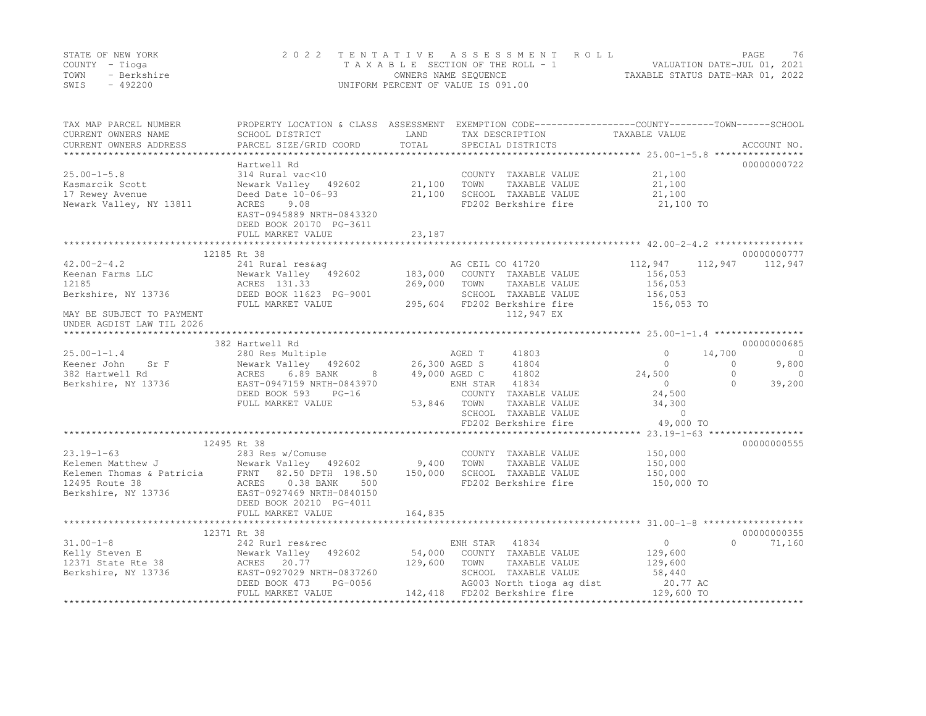|      | STATE OF NEW YORK | 2022 TENTATIVE ASSESSMENT ROLL     |                                  | PAGE                        | 76 |
|------|-------------------|------------------------------------|----------------------------------|-----------------------------|----|
|      | COUNTY – Tioga    | TAXABLE SECTION OF THE ROLL - 1    |                                  | VALUATION DATE-JUL 01, 2021 |    |
| TOWN | - Berkshire       | OWNERS NAME SEQUENCE               | TAXABLE STATUS DATE-MAR 01, 2022 |                             |    |
| SWIS | - 492200          | UNIFORM PERCENT OF VALUE IS 091.00 |                                  |                             |    |

| TAX MAP PARCEL NUMBER<br>CURRENT OWNERS NAME<br>CURRENT OWNERS ADDRESS                                                                                                                                                                                | SCHOOL DISTRICT<br>PARCEL SIZE/GRID COORD                             | LAND<br>TOTAL   | PROPERTY LOCATION & CLASS ASSESSMENT EXEMPTION CODE---------------COUNTY-------TOWN-----SCHOOL<br>TAX DESCRIPTION<br>SPECIAL DISTRICTS | TAXABLE VALUE         | ACCOUNT NO.         |
|-------------------------------------------------------------------------------------------------------------------------------------------------------------------------------------------------------------------------------------------------------|-----------------------------------------------------------------------|-----------------|----------------------------------------------------------------------------------------------------------------------------------------|-----------------------|---------------------|
|                                                                                                                                                                                                                                                       |                                                                       |                 |                                                                                                                                        |                       |                     |
|                                                                                                                                                                                                                                                       | Hartwell Rd                                                           |                 |                                                                                                                                        |                       | 00000000722         |
| $25.00 - 1 - 5.8$                                                                                                                                                                                                                                     | 314 Rural vac<10                                                      |                 | COUNTY TAXABLE VALUE 21,100                                                                                                            |                       |                     |
| Kasmarcik Scott                                                                                                                                                                                                                                       | Newark Valley 492602 21,100                                           |                 | TAXABLE VALUE 21,100<br>TOWN                                                                                                           |                       |                     |
| 17 Rewey Avenue                                                                                                                                                                                                                                       | Deed Date 10-06-93                                                    | 21,100          | SCHOOL TAXABLE VALUE                                                                                                                   | 21,100                |                     |
| Newark Valley, NY 13811                                                                                                                                                                                                                               | ACRES<br>9.08<br>EAST-0945889 NRTH-0843320<br>DEED BOOK 20170 PG-3611 |                 | FD202 Berkshire fire 21,100 TO                                                                                                         |                       |                     |
|                                                                                                                                                                                                                                                       | FULL MARKET VALUE                                                     | 23,187          |                                                                                                                                        |                       |                     |
|                                                                                                                                                                                                                                                       | 12185 Rt 38                                                           |                 |                                                                                                                                        |                       | 00000000777         |
| $42.00 - 2 - 4.2$                                                                                                                                                                                                                                     |                                                                       |                 |                                                                                                                                        |                       | 112,947 112,947     |
| Keenan Farms LLC                                                                                                                                                                                                                                      |                                                                       |                 |                                                                                                                                        |                       |                     |
| 12185                                                                                                                                                                                                                                                 |                                                                       |                 |                                                                                                                                        | 156,053<br>156,053    |                     |
|                                                                                                                                                                                                                                                       |                                                                       |                 | SCHOOL TAXABLE VALUE                                                                                                                   |                       |                     |
| Berkshire, NY 13736 DEED BOOK 11623 PG-9001                                                                                                                                                                                                           | FULL MARKET VALUE                                                     |                 | 295,604 FD202 Berkshire fire                                                                                                           | 156,053<br>156,053 TO |                     |
| MAY BE SUBJECT TO PAYMENT                                                                                                                                                                                                                             |                                                                       |                 | 112,947 EX                                                                                                                             |                       |                     |
| UNDER AGDIST LAW TIL 2026                                                                                                                                                                                                                             |                                                                       |                 |                                                                                                                                        |                       |                     |
|                                                                                                                                                                                                                                                       |                                                                       |                 |                                                                                                                                        |                       |                     |
|                                                                                                                                                                                                                                                       | 382 Hartwell Rd                                                       |                 |                                                                                                                                        |                       | 00000000685         |
| $25.00 - 1 - 1.4$                                                                                                                                                                                                                                     |                                                                       |                 |                                                                                                                                        | $\Omega$              | 14,700<br>$\circ$   |
| Keener John Sr F                                                                                                                                                                                                                                      |                                                                       |                 |                                                                                                                                        | $\Omega$              | $\Omega$<br>9,800   |
| 382 Hartwell Rd                                                                                                                                                                                                                                       | Newark<br>ACRES<br>6.89 BANK                                          | 8 49,000 AGED C | 41802                                                                                                                                  | 24,500                | $\Omega$<br>$\circ$ |
| Berkshire, NY 13736                                                                                                                                                                                                                                   | EAST-0947159 NRTH-0843970                                             |                 | ENH STAR 41834                                                                                                                         | $\overline{0}$        | $\bigcap$<br>39,200 |
|                                                                                                                                                                                                                                                       | DEED BOOK 593 PG-16                                                   |                 | COUNTY TAXABLE VALUE                                                                                                                   | 24,500                |                     |
|                                                                                                                                                                                                                                                       | FULL MARKET VALUE                                                     | 53,846 TOWN     | TAXABLE VALUE                                                                                                                          | 34,300                |                     |
|                                                                                                                                                                                                                                                       |                                                                       |                 | SCHOOL TAXABLE VALUE                                                                                                                   | $\sim$ 0              |                     |
|                                                                                                                                                                                                                                                       |                                                                       |                 | FD202 Berkshire fire                                                                                                                   | 49,000 TO             |                     |
|                                                                                                                                                                                                                                                       |                                                                       |                 |                                                                                                                                        |                       |                     |
|                                                                                                                                                                                                                                                       | 12495 Rt 38                                                           |                 |                                                                                                                                        |                       | 00000000555         |
| $23.19 - 1 - 63$                                                                                                                                                                                                                                      |                                                                       |                 | COUNTY TAXABLE VALUE                                                                                                                   | 150,000               |                     |
|                                                                                                                                                                                                                                                       |                                                                       |                 | TOWN<br>TAXABLE VALUE                                                                                                                  | 150,000               |                     |
|                                                                                                                                                                                                                                                       |                                                                       |                 | SCHOOL TAXABLE VALUE                                                                                                                   | 150,000               |                     |
|                                                                                                                                                                                                                                                       |                                                                       |                 | FD202 Berkshire fire                                                                                                                   | 150,000 TO            |                     |
| 23.19-1-63<br>Elemen Matthew J<br>Elemen Thomas & Patricia<br>ERNT 82.50 DPTH 198.50 150,000<br>12495 Route 38 2002<br>Berkshire, NY 13736 20038 BANK 500<br>283 Res w/Comuse<br>Newark Valley 492602 9,400<br>283 Res w/Comuse<br>283 Res w/Com      |                                                                       |                 |                                                                                                                                        |                       |                     |
|                                                                                                                                                                                                                                                       | DEED BOOK 20210 PG-4011                                               |                 |                                                                                                                                        |                       |                     |
|                                                                                                                                                                                                                                                       | FULL MARKET VALUE                                                     | 164,835         |                                                                                                                                        |                       |                     |
|                                                                                                                                                                                                                                                       |                                                                       |                 |                                                                                                                                        |                       |                     |
|                                                                                                                                                                                                                                                       |                                                                       |                 |                                                                                                                                        |                       | 00000000355         |
|                                                                                                                                                                                                                                                       |                                                                       |                 | ENH STAR 41834                                                                                                                         | $\overline{0}$        | $\Omega$<br>71,160  |
|                                                                                                                                                                                                                                                       |                                                                       |                 | 54,000 COUNTY TAXABLE VALUE                                                                                                            | 129,600               |                     |
|                                                                                                                                                                                                                                                       |                                                                       | 129,600         | TOWN<br>TAXABLE VALUE                                                                                                                  | 129,600               |                     |
|                                                                                                                                                                                                                                                       |                                                                       |                 | SCHOOL TAXABLE VALUE 58,440<br>AG003 North tioga ag dist 20.77 AC                                                                      | 58,440                |                     |
| 31.00-1-8<br>Elly Steven E<br>12371 State Rte 38<br>Berkshire, NY 13736<br>EED BOOK 473<br>Percent Manual Percent Contract CONTERT<br>PEED BOOK 473<br>PEED BOOK 473<br>PEED BOOK 473<br>PEED BOOK 473<br>PEED BOOK 473<br>PEED BOOK 473<br>PEED BOOK | $R = 1H - 083/260$<br>PG-0056                                         |                 |                                                                                                                                        |                       |                     |
|                                                                                                                                                                                                                                                       |                                                                       |                 | 142,418 FD202 Berkshire fire 129,600 TO                                                                                                |                       |                     |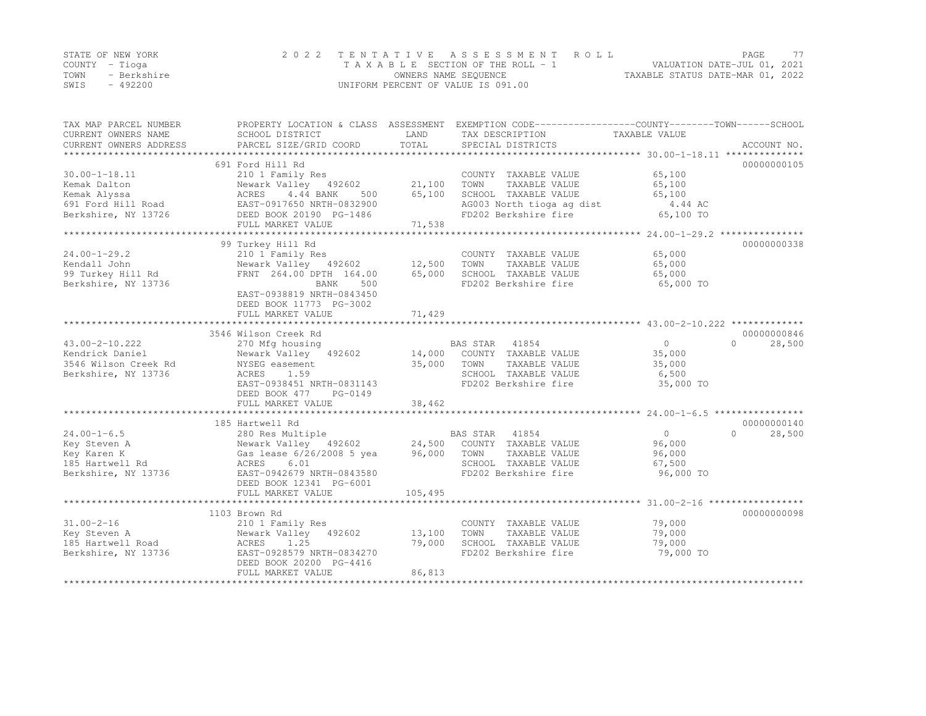|      | STATE OF NEW YORK | 2022 TENTATIVE ASSESSMENT ROLL     |                                  | PAGE. | 77 |
|------|-------------------|------------------------------------|----------------------------------|-------|----|
|      | COUNTY – Tioga    | TAXABLE SECTION OF THE ROLL - 1    | VALUATION DATE-JUL 01, 2021      |       |    |
| TOWN | - Berkshire       | OWNERS NAME SEQUENCE               | TAXABLE STATUS DATE-MAR 01, 2022 |       |    |
| SWIS | $-492200$         | UNIFORM PERCENT OF VALUE IS 091.00 |                                  |       |    |

| TAX MAP PARCEL NUMBER<br>CURRENT OWNERS NAME<br>CURRENT OWNERS ADDRESS | PROPERTY LOCATION & CLASS ASSESSMENT EXEMPTION CODE----------------COUNTY-------TOWN------SCHOOL<br>SCHOOL DISTRICT<br>PARCEL SIZE/GRID COORD | LAND<br>TOTAL | TAX DESCRIPTION<br>SPECIAL DISTRICTS          | TAXABLE VALUE    | ACCOUNT NO.        |
|------------------------------------------------------------------------|-----------------------------------------------------------------------------------------------------------------------------------------------|---------------|-----------------------------------------------|------------------|--------------------|
|                                                                        |                                                                                                                                               |               |                                               |                  |                    |
| $30.00 - 1 - 18.11$                                                    | 691 Ford Hill Rd<br>210 1 Family Res                                                                                                          | 21,100        | COUNTY TAXABLE VALUE                          | 65,100           | 00000000105        |
| Kemak Dalton<br>Kemak Alyssa                                           | Newark Valley 492602<br>ACRES<br>4.44 BANK<br>500                                                                                             | 65,100        | TOWN<br>TAXABLE VALUE<br>SCHOOL TAXABLE VALUE | 65,100<br>65,100 |                    |
| 691 Ford Hill Road                                                     | EAST-0917650 NRTH-0832900                                                                                                                     |               | AG003 North tioga ag dist                     | 4.44 AC          |                    |
| Berkshire, NY 13726                                                    | DEED BOOK 20190 PG-1486                                                                                                                       |               | FD202 Berkshire fire                          | 65,100 TO        |                    |
|                                                                        | FULL MARKET VALUE                                                                                                                             | 71,538        |                                               |                  |                    |
|                                                                        |                                                                                                                                               |               |                                               |                  |                    |
|                                                                        | 99 Turkey Hill Rd                                                                                                                             |               |                                               |                  | 00000000338        |
| $24.00 - 1 - 29.2$                                                     | 210 1 Family Res                                                                                                                              |               | COUNTY TAXABLE VALUE                          | 65,000           |                    |
| Kendall John                                                           | Newark Valley 492602                                                                                                                          | 12,500        | TOWN<br>TAXABLE VALUE                         | 65,000           |                    |
| 99 Turkey Hill Rd                                                      | FRNT 264.00 DPTH 164.00                                                                                                                       | 65,000        | SCHOOL TAXABLE VALUE                          | 65,000           |                    |
| Berkshire, NY 13736                                                    | 500<br>BANK                                                                                                                                   |               | FD202 Berkshire fire                          | 65,000 TO        |                    |
|                                                                        | EAST-0938819 NRTH-0843450<br>DEED BOOK 11773 PG-3002                                                                                          |               |                                               |                  |                    |
|                                                                        | FULL MARKET VALUE                                                                                                                             | 71,429        |                                               |                  |                    |
|                                                                        | 3546 Wilson Creek Rd                                                                                                                          |               |                                               |                  | 00000000846        |
| $43.00 - 2 - 10.222$                                                   | 270 Mfg housing                                                                                                                               |               | BAS STAR<br>41854                             | $\overline{0}$   | $\cap$<br>28,500   |
| Kendrick Daniel                                                        | Newark Valley 492602                                                                                                                          |               | 14,000 COUNTY TAXABLE VALUE                   | 35,000           |                    |
| 3546 Wilson Creek Rd                                                   | NYSEG easement                                                                                                                                | 35,000        | TOWN<br>TAXABLE VALUE                         | 35,000           |                    |
| Berkshire, NY 13736                                                    | 1.59<br>ACRES                                                                                                                                 |               | SCHOOL TAXABLE VALUE                          | 6,500            |                    |
|                                                                        | EAST-0938451 NRTH-0831143                                                                                                                     |               | FD202 Berkshire fire                          | 35,000 TO        |                    |
|                                                                        | DEED BOOK 477<br>PG-0149                                                                                                                      |               |                                               |                  |                    |
|                                                                        | FULL MARKET VALUE                                                                                                                             | 38,462        |                                               |                  |                    |
|                                                                        |                                                                                                                                               |               |                                               |                  |                    |
|                                                                        | 185 Hartwell Rd                                                                                                                               |               |                                               |                  | 00000000140        |
| $24.00 - 1 - 6.5$                                                      | 280 Res Multiple                                                                                                                              |               | BAS STAR 41854                                | $\circ$          | 28,500<br>$\Omega$ |
| Key Steven A                                                           | Newark Valley 492602 24,500 COUNTY TAXABLE VALUE                                                                                              |               |                                               | 96,000           |                    |
| Key Karen K                                                            | Gas lease 6/26/2008 5 yea                                                                                                                     | 96,000        | TOWN<br>TAXABLE VALUE                         | 96,000           |                    |
| 185 Hartwell Rd                                                        | 6.01<br>ACRES                                                                                                                                 |               | SCHOOL TAXABLE VALUE                          | 67,500           |                    |
| Berkshire, NY 13736                                                    | EAST-0942679 NRTH-0843580                                                                                                                     |               | FD202 Berkshire fire                          | 96,000 TO        |                    |
|                                                                        | DEED BOOK 12341 PG-6001                                                                                                                       |               |                                               |                  |                    |
|                                                                        | FULL MARKET VALUE                                                                                                                             | 105,495       |                                               |                  |                    |
|                                                                        |                                                                                                                                               |               |                                               |                  |                    |
|                                                                        | 1103 Brown Rd                                                                                                                                 |               |                                               |                  | 00000000098        |
| $31.00 - 2 - 16$                                                       | 210 1 Family Res                                                                                                                              |               | COUNTY TAXABLE VALUE                          | 79,000           |                    |
| Key Steven A                                                           | Newark Valley 492602                                                                                                                          | 13,100        | TOWN<br>TAXABLE VALUE                         | 79,000           |                    |
| 185 Hartwell Road                                                      | ACRES<br>1.25                                                                                                                                 | 79,000        | SCHOOL TAXABLE VALUE                          | 79,000           |                    |
| Berkshire, NY 13736                                                    | EAST-0928579 NRTH-0834270                                                                                                                     |               | FD202 Berkshire fire                          | 79,000 TO        |                    |
|                                                                        | DEED BOOK 20200 PG-4416                                                                                                                       |               |                                               |                  |                    |
|                                                                        | FULL MARKET VALUE                                                                                                                             | 86,813        |                                               |                  |                    |
|                                                                        |                                                                                                                                               |               |                                               |                  |                    |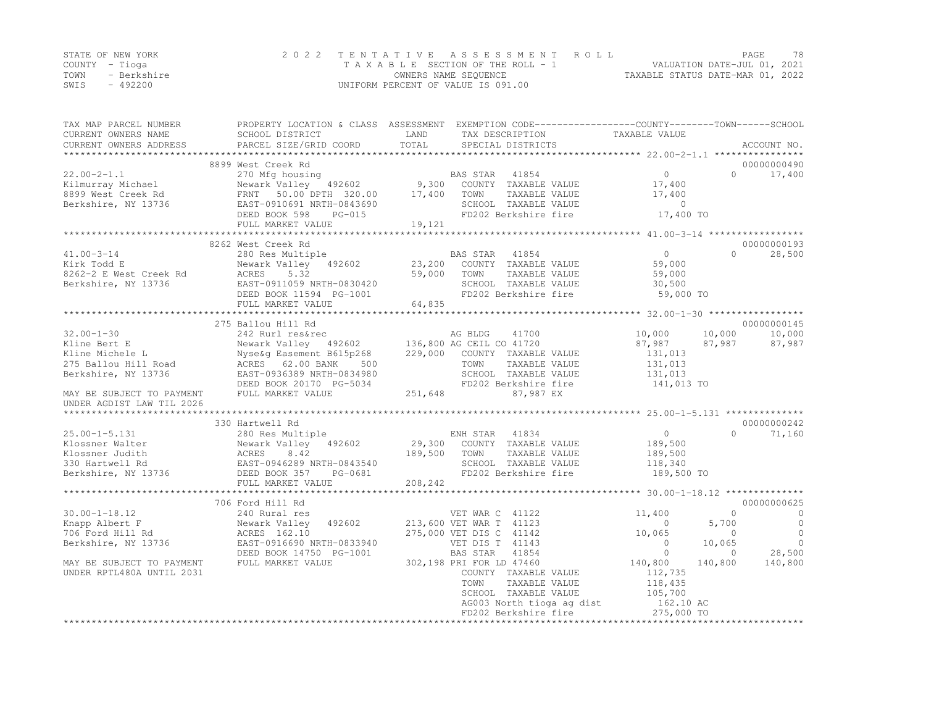|      | STATE OF NEW YORK | 2022 TENTATIVE ASSESSMENT ROLL                                 | <b>PAGE</b> | 78 |
|------|-------------------|----------------------------------------------------------------|-------------|----|
|      | COUNTY – Tioga    | VALUATION DATE-JUL 01, 2021<br>TAXABLE SECTION OF THE ROLL - 1 |             |    |
| TOWN | - Berkshire       | TAXABLE STATUS DATE-MAR 01, 2022<br>OWNERS NAME SEQUENCE       |             |    |
| SWIS | $-492200$         | UNIFORM PERCENT OF VALUE IS 091.00                             |             |    |

| TAX MAP PARCEL NUMBER<br>CURRENT OWNERS NAME                                                                                                                 | SCHOOL DISTRICT                                                                                                                                                              | PROPERTY LOCATION & CLASS ASSESSMENT EXEMPTION CODE----------------COUNTY-------TOWN------SCHOOL<br>LAND<br>TAX DESCRIPTION                                                           | TAXABLE VALUE                                                                                                                                                                                       |
|--------------------------------------------------------------------------------------------------------------------------------------------------------------|------------------------------------------------------------------------------------------------------------------------------------------------------------------------------|---------------------------------------------------------------------------------------------------------------------------------------------------------------------------------------|-----------------------------------------------------------------------------------------------------------------------------------------------------------------------------------------------------|
| CURRENT OWNERS ADDRESS                                                                                                                                       | PARCEL SIZE/GRID COORD                                                                                                                                                       | TOTAL<br>SPECIAL DISTRICTS                                                                                                                                                            | ACCOUNT NO.                                                                                                                                                                                         |
|                                                                                                                                                              | 8899 West Creek Rd                                                                                                                                                           |                                                                                                                                                                                       | 00000000490                                                                                                                                                                                         |
| $22.00 - 2 - 1.1$<br>Kilmurray Michael<br>8899 West Creek Rd<br>Berkshire, NY 13736                                                                          | 270 Mfg housing<br>Newark Valley 492602<br>FRNT 50.00 DPTH 320.00<br>EAST-0910691 NRTH-0843690<br>DEED BOOK 598<br>$PG-015$                                                  | BAS STAR 41854<br>9,300 COUNTY TAXABLE VALUE<br>17,400<br>TOWN<br>TAXABLE VALUE<br>SCHOOL TAXABLE VALUE<br>FD202 Berkshire fire                                                       | $\overline{0}$<br>$\Omega$<br>17,400<br>17,400<br>17,400<br>$\circ$<br>17,400 TO                                                                                                                    |
|                                                                                                                                                              | FULL MARKET VALUE                                                                                                                                                            | 19,121                                                                                                                                                                                |                                                                                                                                                                                                     |
|                                                                                                                                                              | ***********************                                                                                                                                                      | ***********                                                                                                                                                                           | ****************** 41.00-3-14 ******************                                                                                                                                                    |
| $41.00 - 3 - 14$<br>Kirk Todd E<br>8262-2 E West Creek Rd<br>Berkshire, NY 13736                                                                             | 8262 West Creek Rd<br>280 Res Multiple<br>Newark Valley 492602<br>ACRES<br>5.32<br>EAST-0911059 NRTH-0830420<br>DEED BOOK 11594 PG-1001                                      | BAS STAR<br>41854<br>23,200<br>COUNTY TAXABLE VALUE<br>59,000<br>TOWN<br>TAXABLE VALUE<br>SCHOOL TAXABLE VALUE<br>FD202 Berkshire fire<br>64,835                                      | 00000000193<br>$\overline{0}$<br>$\Omega$<br>28,500<br>59,000<br>59,000<br>30,500<br>59,000 TO                                                                                                      |
|                                                                                                                                                              | FULL MARKET VALUE                                                                                                                                                            |                                                                                                                                                                                       |                                                                                                                                                                                                     |
|                                                                                                                                                              | 275 Ballou Hill Rd                                                                                                                                                           |                                                                                                                                                                                       | 00000000145                                                                                                                                                                                         |
| $32.00 - 1 - 30$<br>Kline Bert E<br>Kline Michele L<br>275 Ballou Hill Road<br>Berkshire, NY 13736<br>MAY BE SUBJECT TO PAYMENT<br>UNDER AGDIST LAW TIL 2026 | 242 Rurl res&rec<br>Newark Valley 492602<br>Nyse&q Easement B615p268<br>ACRES 62.00 BANK<br>500<br>EAST-0936389 NRTH-0834980<br>DEED BOOK 20170 PG-5034<br>FULL MARKET VALUE | AG BLDG<br>41700<br>136,800 AG CEIL CO 41720<br>229,000<br>COUNTY TAXABLE VALUE<br>TOWN<br>TAXABLE VALUE<br>SCHOOL TAXABLE VALUE<br>FD202 Berkshire fire<br>251,648<br>87,987 EX      | 10,000<br>10,000<br>10,000<br>87,987<br>87,987<br>87,987<br>131,013<br>131,013<br>131,013<br>141,013 TO                                                                                             |
|                                                                                                                                                              | 330 Hartwell Rd                                                                                                                                                              |                                                                                                                                                                                       | 00000000242                                                                                                                                                                                         |
| $25.00 - 1 - 5.131$<br>Klossner Walter<br>Klossner Judith<br>330 Hartwell Rd<br>Berkshire, NY 13736                                                          | 280 Res Multiple<br>Newark Valley 492602<br>---<br>ACRES<br>EAST-0<br>8.42<br>EAST-0946289 NRTH-0843540<br>DEED BOOK 357<br>PG-0681<br>FULL MARKET VALUE                     | ENH STAR 41834<br>29,300 COUNTY TAXABLE VALUE<br>189,500<br>TOWN<br>TAXABLE VALUE<br>SCHOOL TAXABLE VALUE<br>FD202 Berkshire fire<br>208,242                                          | $\overline{0}$<br>$\Omega$<br>71,160<br>189,500<br>189,500<br>118,340<br>189,500 TO                                                                                                                 |
|                                                                                                                                                              |                                                                                                                                                                              |                                                                                                                                                                                       |                                                                                                                                                                                                     |
| $30.00 - 1 - 18.12$<br>Knapp Albert F<br>706 Ford Hill Rd<br>Berkshire, NY 13736                                                                             | 706 Ford Hill Rd<br>240 Rural res<br>492602<br>Newark Valley<br>ACRES 162.10<br>EAST-0916690 NRTH-0833940<br>DEED BOOK 14750 PG-1001                                         | VET WAR C 41122<br>213,600 VET WAR T 41123<br>275,000 VET DIS C 41142<br>VET DIS T 41143<br>41854<br>BAS STAR                                                                         | 00000000625<br>$\circ$<br>11,400<br>$\mathbf{0}$<br>$\overline{0}$<br>$\circ$<br>5,700<br>$\circ$<br>10,065<br>$\Omega$<br>$\overline{0}$<br>$\Omega$<br>10,065<br>$\bigcirc$<br>28,500<br>$\Omega$ |
| MAY BE SUBJECT TO PAYMENT<br>UNDER RPTL480A UNTIL 2031                                                                                                       | FULL MARKET VALUE                                                                                                                                                            | 302,198 PRI FOR LD 47460<br>COUNTY TAXABLE VALUE<br>TOWN<br>TAXABLE VALUE<br>SCHOOL TAXABLE VALUE<br>AG003 North tioga ag dist<br>FD202 Berkshire fire<br>*************************** | 140,800<br>140,800<br>140,800<br>112,735<br>118,435<br>105,700<br>162.10 AC<br>275,000 TO<br>***************                                                                                        |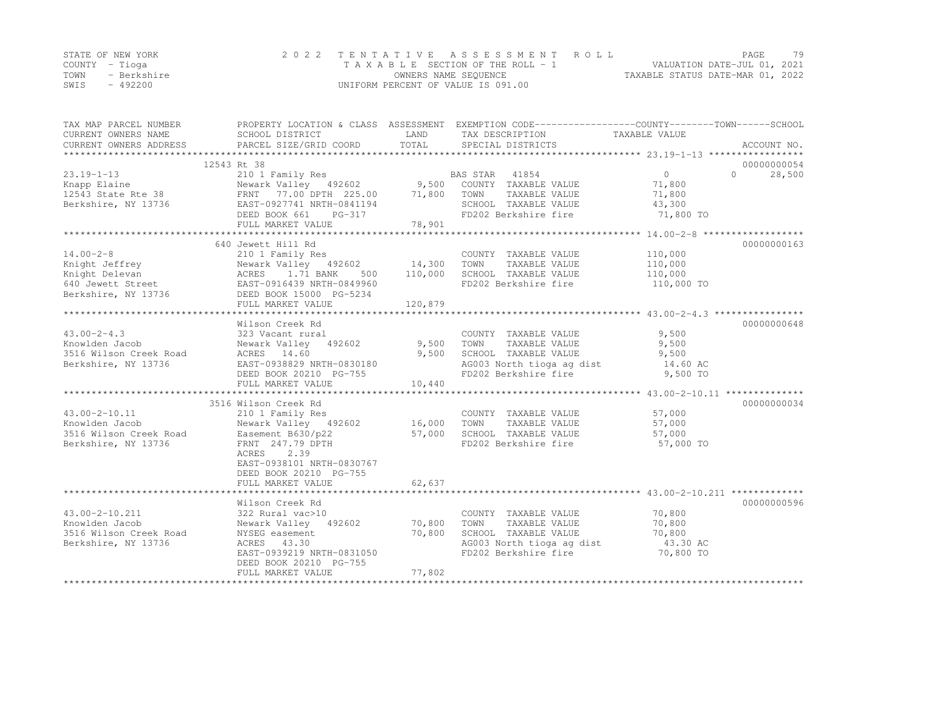|      | STATE OF NEW YORK | 2022 TENTATIVE ASSESSMENT ROLL     |                                  | PAGE. | 79 |
|------|-------------------|------------------------------------|----------------------------------|-------|----|
|      | COUNTY – Tioga    | TAXABLE SECTION OF THE ROLL - 1    | VALUATION DATE-JUL 01, 2021      |       |    |
| TOWN | - Berkshire       | OWNERS NAME SEQUENCE               | TAXABLE STATUS DATE-MAR 01, 2022 |       |    |
| SWIS | $-492200$         | UNIFORM PERCENT OF VALUE IS 091.00 |                                  |       |    |

| TAX MAP PARCEL NUMBER  | PROPERTY LOCATION & CLASS ASSESSMENT EXEMPTION CODE----------------COUNTY-------TOWN------SCHOOL                                                                                                                                                            |             |                                                                          |                       |                  |
|------------------------|-------------------------------------------------------------------------------------------------------------------------------------------------------------------------------------------------------------------------------------------------------------|-------------|--------------------------------------------------------------------------|-----------------------|------------------|
| CURRENT OWNERS NAME    | SCHOOL DISTRICT                                                                                                                                                                                                                                             | LAND        | TAX DESCRIPTION                                                          | TAXABLE VALUE         |                  |
| CURRENT OWNERS ADDRESS | PARCEL SIZE/GRID COORD TOTAL                                                                                                                                                                                                                                |             | SPECIAL DISTRICTS                                                        |                       | ACCOUNT NO.      |
|                        |                                                                                                                                                                                                                                                             |             |                                                                          |                       |                  |
|                        | 12543 Rt 38                                                                                                                                                                                                                                                 |             |                                                                          |                       | 00000000054      |
|                        |                                                                                                                                                                                                                                                             |             |                                                                          | $0 \qquad \qquad$     | 28,500<br>$\cap$ |
|                        |                                                                                                                                                                                                                                                             |             |                                                                          | 71,800                |                  |
|                        |                                                                                                                                                                                                                                                             |             |                                                                          |                       |                  |
|                        |                                                                                                                                                                                                                                                             |             | TAXABLE VALUE 71,800<br>TAXABLE VALUE 73,300<br>SCHOOL TAXABLE VALUE     |                       |                  |
|                        |                                                                                                                                                                                                                                                             |             | FD202 Berkshire fire 71,800 TO                                           |                       |                  |
|                        | 13.19-1-13<br>Knapp Elaine<br>12543 State Rte 38<br>Berkshire, NY 13736<br>EAST-0927741 NRTH-0841194<br>DEED BOOK 661 PG-317<br>PEED BOOK 661 PG-317<br>PEED BOOK 661 PG-317<br>PEED BOOK 661 PG-317<br>PEED BOOK 661 PG-317<br>PS.901<br>FULL MARKET VALUE | 78,901      |                                                                          |                       |                  |
|                        |                                                                                                                                                                                                                                                             |             |                                                                          |                       |                  |
|                        | 640 Jewett Hill Rd                                                                                                                                                                                                                                          |             |                                                                          |                       | 00000000163      |
| $14.00 - 2 - 8$        | 210 1 Family Res                                                                                                                                                                                                                                            |             | COUNTY TAXABLE VALUE                                                     | 110,000               |                  |
|                        | Newark Valley 492602 14,300                                                                                                                                                                                                                                 |             | TOWN<br>TAXABLE VALUE                                                    | 110,000               |                  |
|                        |                                                                                                                                                                                                                                                             | 500 110,000 | SCHOOL TAXABLE VALUE                                                     |                       |                  |
|                        |                                                                                                                                                                                                                                                             |             | FD202 Berkshire fire                                                     | 110,000<br>110,000 TO |                  |
|                        | Example Jeffrey<br>Example Jeffrey<br>Mewark Valley 492602<br>Example 1.71 BANK 500<br>640 Jewett Street<br>Berkshire, NY 13736<br>BEED BOOK 15000 PG-5234                                                                                                  |             |                                                                          |                       |                  |
|                        | FULL MARKET VALUE                                                                                                                                                                                                                                           | 120,879     |                                                                          |                       |                  |
|                        |                                                                                                                                                                                                                                                             |             |                                                                          |                       |                  |
|                        | Wilson Creek Rd                                                                                                                                                                                                                                             |             |                                                                          |                       | 00000000648      |
| $43.00 - 2 - 4.3$      | 323 Vacant rural                                                                                                                                                                                                                                            |             | COUNTY TAXABLE VALUE                                                     | 9,500                 |                  |
| Knowlden Jacob         | Newark Valley 492602 9,500                                                                                                                                                                                                                                  |             | TOWN<br>TAXABLE VALUE                                                    | 9,500                 |                  |
| 3516 Wilson Creek Road | ACRES 14.60                                                                                                                                                                                                                                                 | 9,500       | SCHOOL TAXABLE VALUE                                                     | 9,500                 |                  |
| Berkshire, NY 13736    | EAST-0938829 NRTH-0830180                                                                                                                                                                                                                                   |             | AG003 North tioga ag dist 14.60 AC                                       |                       |                  |
|                        | DEED BOOK 20210 PG-755                                                                                                                                                                                                                                      |             | FD202 Berkshire fire                                                     | 9,500 TO              |                  |
|                        | FULL MARKET VALUE                                                                                                                                                                                                                                           | 10,440      |                                                                          |                       |                  |
|                        |                                                                                                                                                                                                                                                             |             |                                                                          |                       |                  |
|                        | 3516 Wilson Creek Rd                                                                                                                                                                                                                                        |             |                                                                          |                       | 00000000034      |
| $43.00 - 2 - 10.11$    | 210 1 Family Res                                                                                                                                                                                                                                            |             | COUNTY TAXABLE VALUE                                                     | 57,000                |                  |
| Knowlden Jacob         |                                                                                                                                                                                                                                                             |             | TOWN<br>TAXABLE VALUE                                                    | 57,000                |                  |
| 3516 Wilson Creek Road | Newark Valley 492602 16,000<br>Road Easement B630/p22 57,000                                                                                                                                                                                                |             | SCHOOL TAXABLE VALUE                                                     | 57,000                |                  |
| Berkshire, NY 13736    | FRNT 247.79 DPTH                                                                                                                                                                                                                                            |             | FD202 Berkshire fire 57,000 TO                                           |                       |                  |
|                        | ACRES 2.39                                                                                                                                                                                                                                                  |             |                                                                          |                       |                  |
|                        | EAST-0938101 NRTH-0830767                                                                                                                                                                                                                                   |             |                                                                          |                       |                  |
|                        | DEED BOOK 20210 PG-755                                                                                                                                                                                                                                      |             |                                                                          |                       |                  |
|                        | FULL MARKET VALUE                                                                                                                                                                                                                                           | 62,637      |                                                                          |                       |                  |
|                        |                                                                                                                                                                                                                                                             |             |                                                                          |                       |                  |
|                        | Wilson Creek Rd                                                                                                                                                                                                                                             |             |                                                                          |                       | 00000000596      |
| $43.00 - 2 - 10.211$   | 322 Rural vac>10                                                                                                                                                                                                                                            |             | COUNTY TAXABLE VALUE                                                     | 70,800                |                  |
| Knowlden Jacob         | Newark Valley 492602                                                                                                                                                                                                                                        | 70,800      | TOWN<br>TAXABLE VALUE                                                    | 70,800                |                  |
| 3516 Wilson Creek Road | NYSEG easement                                                                                                                                                                                                                                              | 70,800      | SCHOOL TAXABLE VALUE                                                     | 70,800                |                  |
| Berkshire, NY 13736    | ACRES 43.30                                                                                                                                                                                                                                                 |             | AG003 North tioga ag dist (1,800)<br>AG003 North tioga ag dist (43.30 AC |                       |                  |
|                        | EAST-0939219 NRTH-0831050                                                                                                                                                                                                                                   |             | FD202 Berkshire fire                                                     | 70,800 TO             |                  |
|                        | DEED BOOK 20210 PG-755                                                                                                                                                                                                                                      |             |                                                                          |                       |                  |
|                        | FULL MARKET VALUE                                                                                                                                                                                                                                           | 77,802      |                                                                          |                       |                  |
|                        |                                                                                                                                                                                                                                                             |             |                                                                          |                       |                  |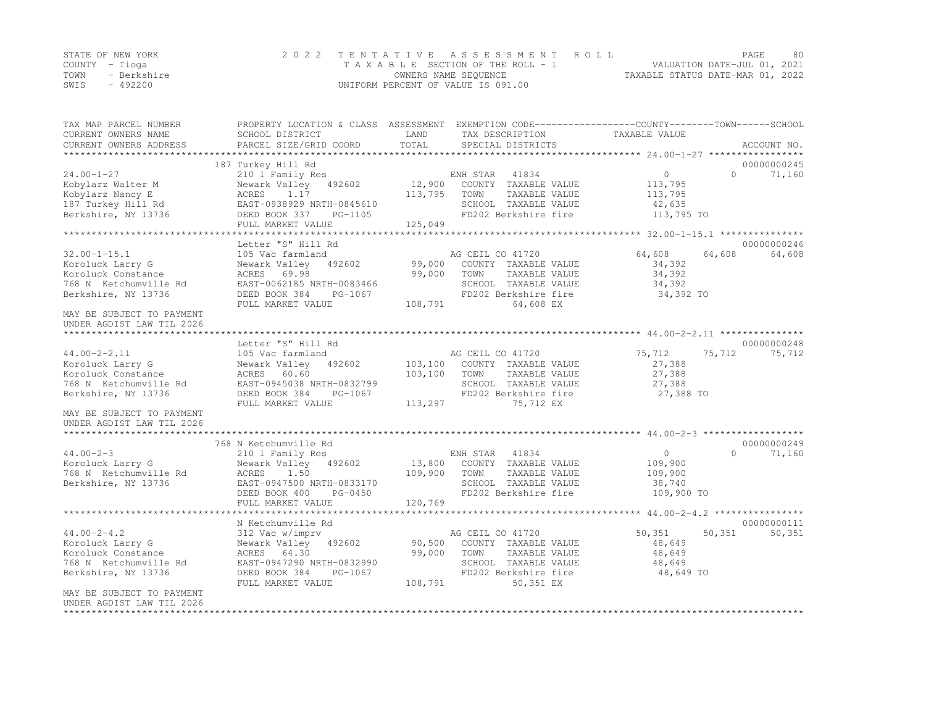|      | STATE OF NEW YORK | 2022 TENTATIVE ASSESSMENT ROLL     | PAGE.                            | 80 |
|------|-------------------|------------------------------------|----------------------------------|----|
|      | COUNTY – Tioga    | TAXABLE SECTION OF THE ROLL - 1    | VALUATION DATE-JUL 01, 2021      |    |
| TOWN | - Berkshire       | OWNERS NAME SEOUENCE               | TAXABLE STATUS DATE-MAR 01, 2022 |    |
| SWIS | $-492200$         | UNIFORM PERCENT OF VALUE IS 091.00 |                                  |    |

| TAX MAP PARCEL NUMBER                                                                   | PROPERTY LOCATION & CLASS ASSESSMENT EXEMPTION CODE----------------COUNTY-------TOWN------SCHOOL |         |                       |                                             |          |             |
|-----------------------------------------------------------------------------------------|--------------------------------------------------------------------------------------------------|---------|-----------------------|---------------------------------------------|----------|-------------|
| CURRENT OWNERS NAME                                                                     | SCHOOL DISTRICT                                                                                  | LAND    | TAX DESCRIPTION       | TAXABLE VALUE                               |          |             |
| CURRENT OWNERS ADDRESS                                                                  | PARCEL SIZE/GRID COORD                                                                           | TOTAL   | SPECIAL DISTRICTS     |                                             |          | ACCOUNT NO. |
| *************************                                                               |                                                                                                  |         |                       |                                             |          |             |
|                                                                                         | 187 Turkey Hill Rd                                                                               |         |                       |                                             |          | 00000000245 |
| $24.00 - 1 - 27$                                                                        | 210 1 Family Res                                                                                 |         | ENH STAR<br>41834     | $\circ$                                     | $\Omega$ | 71,160      |
| Kobylarz Walter M                                                                       | Newark Valley 492602                                                                             | 12,900  | COUNTY TAXABLE VALUE  | 113,795                                     |          |             |
| Kobylarz Nancy E                                                                        | ACRES<br>1.17                                                                                    | 113,795 | TOWN<br>TAXABLE VALUE | 113,795                                     |          |             |
| 187 Turkey Hill Rd                                                                      | EAST-0938929 NRTH-0845610                                                                        |         | SCHOOL TAXABLE VALUE  | 42,635                                      |          |             |
| Berkshire, NY 13736                                                                     | DEED BOOK 337<br>PG-1105                                                                         |         | FD202 Berkshire fire  | 113,795 TO                                  |          |             |
|                                                                                         | FULL MARKET VALUE                                                                                | 125,049 |                       |                                             |          |             |
|                                                                                         |                                                                                                  |         |                       |                                             |          |             |
|                                                                                         | Letter "S" Hill Rd                                                                               |         |                       |                                             |          | 00000000246 |
| $32.00 - 1 - 15.1$                                                                      | 105 Vac farmland                                                                                 |         | AG CEIL CO 41720      | 64,608                                      | 64,608   | 64,608      |
| Koroluck Larry G                                                                        | Newark Valley 492602                                                                             | 99,000  | COUNTY TAXABLE VALUE  | 34,392                                      |          |             |
| Koroluck Constance                                                                      | ACRES<br>69.98                                                                                   | 99,000  | TOWN<br>TAXABLE VALUE | 34,392                                      |          |             |
| 768 N Ketchumville Rd                                                                   | EAST-0062185 NRTH-0083466                                                                        |         | SCHOOL TAXABLE VALUE  | 34,392                                      |          |             |
| Berkshire, NY 13736                                                                     | DEED BOOK 384<br>PG-1067                                                                         |         | FD202 Berkshire fire  | 34,392 TO                                   |          |             |
|                                                                                         | FULL MARKET VALUE                                                                                | 108,791 | 64,608 EX             |                                             |          |             |
| MAY BE SUBJECT TO PAYMENT                                                               |                                                                                                  |         |                       |                                             |          |             |
| UNDER AGDIST LAW TIL 2026                                                               |                                                                                                  |         |                       |                                             |          |             |
|                                                                                         | Letter "S" Hill Rd                                                                               |         |                       |                                             |          | 00000000248 |
| $44.00 - 2 - 2.11$                                                                      | 105 Vac farmland                                                                                 |         | AG CEIL CO 41720      | 75,712                                      | 75,712   | 75,712      |
| Koroluck Larry G                                                                        | 492602<br>Newark Valley                                                                          | 103,100 | COUNTY TAXABLE VALUE  | 27,388                                      |          |             |
| Koroluck Constance                                                                      | ACRES 60.60                                                                                      | 103,100 | TOWN<br>TAXABLE VALUE | 27,388                                      |          |             |
| 768 N Ketchumville Rd                                                                   | EAST-0945038 NRTH-0832799                                                                        |         | SCHOOL TAXABLE VALUE  | 27,388                                      |          |             |
| Berkshire, NY 13736                                                                     | DEED BOOK 384<br>PG-1067                                                                         |         | FD202 Berkshire fire  | 27,388 TO                                   |          |             |
|                                                                                         | FULL MARKET VALUE                                                                                | 113,297 | 75,712 EX             |                                             |          |             |
| MAY BE SUBJECT TO PAYMENT                                                               |                                                                                                  |         |                       |                                             |          |             |
| UNDER AGDIST LAW TIL 2026                                                               |                                                                                                  |         |                       |                                             |          |             |
| ******************                                                                      |                                                                                                  |         |                       | ************* 44.00-2-3 ******************* |          |             |
|                                                                                         | 768 N Ketchumville Rd                                                                            |         |                       |                                             |          | 00000000249 |
| $44.00 - 2 - 3$                                                                         | 210 1 Family Res                                                                                 |         | ENH STAR<br>41834     | $\overline{0}$                              | $\Omega$ | 71,160      |
| Koroluck Larry G                                                                        | Newark Valley 492602                                                                             | 13,800  | COUNTY TAXABLE VALUE  | 109,900                                     |          |             |
| 768 N Ketchumville Rd                                                                   | ACRES<br>1.50                                                                                    | 109,900 | TAXABLE VALUE<br>TOWN | 109,900                                     |          |             |
| Berkshire, NY 13736                                                                     | EAST-0947500 NRTH-0833170                                                                        |         | SCHOOL TAXABLE VALUE  | 38,740                                      |          |             |
|                                                                                         | DEED BOOK 400<br>PG-0450                                                                         |         | FD202 Berkshire fire  | 109,900 TO                                  |          |             |
|                                                                                         | FULL MARKET VALUE                                                                                | 120,769 |                       |                                             |          |             |
|                                                                                         |                                                                                                  |         |                       |                                             |          |             |
|                                                                                         | N Ketchumville Rd                                                                                |         |                       |                                             |          | 00000000111 |
| $44.00 - 2 - 4.2$                                                                       | 312 Vac w/imprv                                                                                  |         | AG CEIL CO 41720      | 50,351                                      | 50, 351  | 50,351      |
| Koroluck Larry G                                                                        | Newark Valley 492602                                                                             | 90,500  | COUNTY TAXABLE VALUE  | 48,649                                      |          |             |
| Koroluck Constance                                                                      | ACRES 64.30                                                                                      | 99,000  | TOWN<br>TAXABLE VALUE | 48,649                                      |          |             |
| 768 N Ketchumville Rd                                                                   | EAST-0947290 NRTH-0832990                                                                        |         | SCHOOL TAXABLE VALUE  | 48,649                                      |          |             |
| Berkshire, NY 13736                                                                     | DEED BOOK 384<br>PG-1067                                                                         |         | FD202 Berkshire fire  | 48,649 TO                                   |          |             |
|                                                                                         | FULL MARKET VALUE                                                                                | 108,791 | 50,351 EX             |                                             |          |             |
| MAY BE SUBJECT TO PAYMENT<br>UNDER AGDIST LAW TIL 2026<br>***************************** |                                                                                                  |         |                       |                                             |          |             |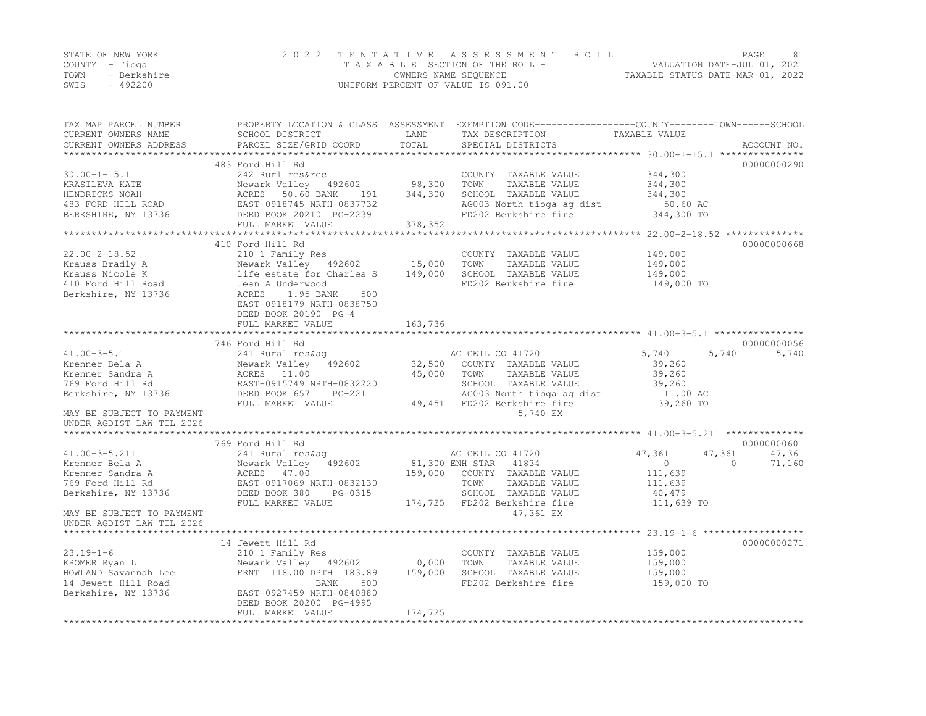|      | STATE OF NEW YORK | 2022 TENTATIVE ASSESSMENT ROLL     |                                  | PAGE | 81 |
|------|-------------------|------------------------------------|----------------------------------|------|----|
|      | COUNTY – Tioga    | TAXABLE SECTION OF THE ROLL - 1    | VALUATION DATE-JUL 01, 2021      |      |    |
| TOWN | - Berkshire       | OWNERS NAME SEQUENCE               | TAXABLE STATUS DATE-MAR 01, 2022 |      |    |
| SWIS | $-492200$         | UNIFORM PERCENT OF VALUE IS 091.00 |                                  |      |    |

| TAX MAP PARCEL NUMBER                | PROPERTY LOCATION & CLASS ASSESSMENT EXEMPTION CODE---------------COUNTY-------TOWN------SCHOOL |         |                                                                         |                                      |                    |
|--------------------------------------|-------------------------------------------------------------------------------------------------|---------|-------------------------------------------------------------------------|--------------------------------------|--------------------|
| CURRENT OWNERS NAME                  | SCHOOL DISTRICT                                                                                 | LAND    | TAX DESCRIPTION                                                         | TAXABLE VALUE                        |                    |
| CURRENT OWNERS ADDRESS               | PARCEL SIZE/GRID COORD                                                                          | TOTAL   | SPECIAL DISTRICTS                                                       |                                      | ACCOUNT NO.        |
|                                      |                                                                                                 |         |                                                                         |                                      |                    |
|                                      | 483 Ford Hill Rd                                                                                |         |                                                                         |                                      | 00000000290        |
| $30.00 - 1 - 15.1$                   | 242 Rurl res&rec                                                                                |         | COUNTY TAXABLE VALUE                                                    | 344,300                              |                    |
| KRASILEVA KATE                       | Newark Valley 492602                                                                            | 98,300  | TOWN<br>TAXABLE VALUE                                                   | 344,300                              |                    |
| HENDRICKS NOAH                       |                                                                                                 | 344,300 | SCHOOL TAXABLE VALUE                                                    | 344,300                              |                    |
| 483 FORD HILL ROAD                   |                                                                                                 |         | AG003 North tioga ag dist                                               | 50.60 AC                             |                    |
| BERKSHIRE, NY 13736                  | ACRES 50.60 BANK 191<br>EAST-0918745 NRTH-0837732<br>DEED BOOK 20210 PG-2239                    |         | FD202 Berkshire fire                                                    | 344,300 TO                           |                    |
|                                      | FULL MARKET VALUE                                                                               | 378,352 |                                                                         |                                      |                    |
|                                      |                                                                                                 |         |                                                                         |                                      |                    |
|                                      | 410 Ford Hill Rd                                                                                |         |                                                                         |                                      | 00000000668        |
| $22.00 - 2 - 18.52$                  |                                                                                                 |         | COUNTY TAXABLE VALUE                                                    | 149,000                              |                    |
| Krauss Bradly A                      |                                                                                                 |         | TOWN<br>TAXABLE VALUE                                                   | 149,000                              |                    |
| Krauss Nicole K                      | life estate for Charles S                                                                       | 149,000 | SCHOOL TAXABLE VALUE                                                    | 149,000                              |                    |
| 410 Ford Hill Road                   | Jean A Underwood                                                                                |         | FD202 Berkshire fire                                                    | 149,000 TO                           |                    |
| Berkshire, NY 13736                  | ACRES<br>1.95 BANK<br>500                                                                       |         |                                                                         |                                      |                    |
|                                      | EAST-0918179 NRTH-0838750                                                                       |         |                                                                         |                                      |                    |
|                                      | DEED BOOK 20190 PG-4                                                                            |         |                                                                         |                                      |                    |
|                                      | FULL MARKET VALUE                                                                               | 163,736 |                                                                         |                                      |                    |
|                                      |                                                                                                 |         |                                                                         |                                      | 00000000056        |
|                                      | 746 Ford Hill Rd                                                                                |         |                                                                         |                                      | 5,740              |
| $41.00 - 3 - 5.1$<br>Krenner Bela A  | 241 Rural res&aq<br>Newark Valley 492602                                                        |         | AG CEIL CO 41720<br>32,500 COUNTY TAXABLE VALUE                         | 5,740<br>5,740<br>39,260             |                    |
|                                      | Newark Valley<br>ACRES 11.00                                                                    | 45,000  | TOWN                                                                    | 39,260                               |                    |
| Krenner Sandra A<br>769 Ford Hill Rd |                                                                                                 |         | TAXABLE VALUE                                                           |                                      |                    |
|                                      |                                                                                                 |         | SCHOOL TAXABLE VALUE                                                    | 39,260                               |                    |
| Berkshire, NY 13736                  | AUKES 11.00<br>EAST-0915749 NRTH-0832220<br>DEED BOOK 657 PG-221<br>FULL MARKET VALUE           |         | AG003 North tioga ag dist<br>49,451 FD202 Berkshire fire                | $39,200$ AC<br>11.00 AC<br>39,260 TO |                    |
| MAY BE SUBJECT TO PAYMENT            |                                                                                                 |         | 5,740 EX                                                                |                                      |                    |
| UNDER AGDIST LAW TIL 2026            |                                                                                                 |         |                                                                         |                                      |                    |
|                                      |                                                                                                 |         |                                                                         |                                      |                    |
|                                      | 769 Ford Hill Rd                                                                                |         |                                                                         |                                      | 00000000601        |
| $41.00 - 3 - 5.211$                  | 241 Rural res&aq                                                                                |         | AG CEIL CO 41720                                                        | 47,361<br>47,361                     | 47,361             |
| Krenner Bela A                       | Newark Valley 492602                                                                            |         |                                                                         | $\circ$                              | $\Omega$<br>71,160 |
| Krenner Sandra A                     | ACRES 47.00                                                                                     | 159,000 | 81,300 ENH STAR 41834<br>159.000 COUNTY TAXARLI<br>COUNTY TAXABLE VALUE | 111,639                              |                    |
| 769 Ford Hill Rd                     | EAST-0917069 NRTH-0832130                                                                       |         | TOWN<br>TAXABLE VALUE                                                   | 111,639                              |                    |
| Berkshire, NY 13736                  | DEED BOOK 380<br>PG-0315                                                                        |         | SCHOOL TAXABLE VALUE                                                    | 40,479                               |                    |
|                                      | FULL MARKET VALUE                                                                               |         | 174,725 FD202 Berkshire fire                                            | 111,639 TO                           |                    |
| MAY BE SUBJECT TO PAYMENT            |                                                                                                 |         | 47,361 EX                                                               |                                      |                    |
| UNDER AGDIST LAW TIL 2026            |                                                                                                 |         |                                                                         |                                      |                    |
|                                      |                                                                                                 |         |                                                                         |                                      |                    |
|                                      | 14 Jewett Hill Rd                                                                               |         |                                                                         |                                      | 00000000271        |
| $23.19 - 1 - 6$                      | 210 1 Family Res                                                                                |         | COUNTY TAXABLE VALUE                                                    | 159,000                              |                    |
| KROMER Ryan L                        | Newark Valley 492602                                                                            | 10,000  | TOWN<br>TAXABLE VALUE                                                   | 159,000                              |                    |
| HOWLAND Savannah Lee                 | FRNT 118.00 DPTH 183.89                                                                         | 159,000 | SCHOOL TAXABLE VALUE                                                    | 159,000                              |                    |
| 14 Jewett Hill Road                  | BANK<br>500                                                                                     |         | FD202 Berkshire fire                                                    | 159,000 TO                           |                    |
| Berkshire, NY 13736                  | EAST-0927459 NRTH-0840880                                                                       |         |                                                                         |                                      |                    |
|                                      | DEED BOOK 20200 PG-4995                                                                         |         |                                                                         |                                      |                    |
|                                      | FULL MARKET VALUE                                                                               | 174,725 |                                                                         |                                      |                    |
|                                      |                                                                                                 |         |                                                                         |                                      |                    |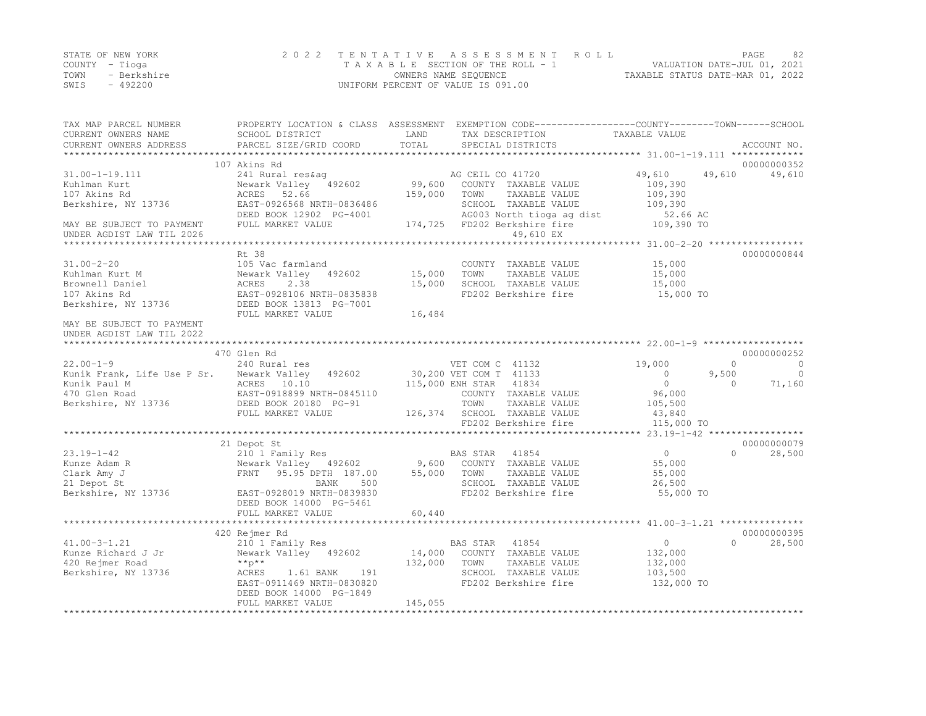|      | STATE OF NEW YORK | 2022 TENTATIVE ASSESSMENT ROLL     |                                  | PAGE                        | 82 |
|------|-------------------|------------------------------------|----------------------------------|-----------------------------|----|
|      | COUNTY – Tioga    | TAXABLE SECTION OF THE ROLL - 1    |                                  | VALUATION DATE-JUL 01, 2021 |    |
| TOWN | - Berkshire       | OWNERS NAME SEQUENCE               | TAXABLE STATUS DATE-MAR 01, 2022 |                             |    |
| SWIS | - 492200          | UNIFORM PERCENT OF VALUE IS 091.00 |                                  |                             |    |

| TAX MAP PARCEL NUMBER<br>CURRENT OWNERS NAME<br>CURRENT OWNERS ADDRESS | SCHOOL DISTRICT<br>PARCEL SIZE/GRID COORD | LAND<br>TOTAL | PROPERTY LOCATION & CLASS ASSESSMENT EXEMPTION CODE----------------COUNTY-------TOWN------SCHOOL<br>TAX DESCRIPTION<br>SPECIAL DISTRICTS | TAXABLE VALUE | ACCOUNT NO.                         |
|------------------------------------------------------------------------|-------------------------------------------|---------------|------------------------------------------------------------------------------------------------------------------------------------------|---------------|-------------------------------------|
|                                                                        |                                           |               |                                                                                                                                          |               |                                     |
|                                                                        | 107 Akins Rd                              |               |                                                                                                                                          |               | 00000000352                         |
| $31.00 - 1 - 19.111$                                                   | 241 Rural res&ag                          |               | AG CEIL CO 41720                                                                                                                         | 49,610        | 49,610<br>49,610                    |
| Kuhlman Kurt                                                           | Newark Valley 492602                      | 99,600        | COUNTY TAXABLE VALUE                                                                                                                     | 109,390       |                                     |
| 107 Akins Rd                                                           | 52.66<br>ACRES                            | 159,000       | TOWN<br>TAXABLE VALUE                                                                                                                    | 109,390       |                                     |
| Berkshire, NY 13736                                                    | EAST-0926568 NRTH-0836486                 |               | SCHOOL TAXABLE VALUE                                                                                                                     | 109,390       |                                     |
|                                                                        | DEED BOOK 12902 PG-4001                   |               | AG003 North tioga ag dist                                                                                                                | 52.66 AC      |                                     |
| MAY BE SUBJECT TO PAYMENT<br>UNDER AGDIST LAW TIL 2026                 | FULL MARKET VALUE                         | 174,725       | FD202 Berkshire fire<br>49,610 EX                                                                                                        | 109,390 TO    |                                     |
|                                                                        |                                           |               |                                                                                                                                          |               |                                     |
|                                                                        | Rt. 38                                    |               |                                                                                                                                          |               | 00000000844                         |
| $31.00 - 2 - 20$                                                       | 105 Vac farmland                          |               | COUNTY TAXABLE VALUE                                                                                                                     | 15,000        |                                     |
| Kuhlman Kurt M                                                         | Newark Valley 492602                      | 15,000        | TOWN<br>TAXABLE VALUE                                                                                                                    | 15,000        |                                     |
| Brownell Daniel                                                        | ACRES<br>2.38                             | 15,000        | SCHOOL TAXABLE VALUE                                                                                                                     | 15,000        |                                     |
| 107 Akins Rd                                                           | EAST-0928106 NRTH-0835838                 |               | FD202 Berkshire fire                                                                                                                     | 15,000 TO     |                                     |
| Berkshire, NY 13736                                                    | DEED BOOK 13813 PG-7001                   |               |                                                                                                                                          |               |                                     |
|                                                                        | FULL MARKET VALUE                         | 16,484        |                                                                                                                                          |               |                                     |
| MAY BE SUBJECT TO PAYMENT<br>UNDER AGDIST LAW TIL 2022                 |                                           |               |                                                                                                                                          |               |                                     |
|                                                                        |                                           |               |                                                                                                                                          |               |                                     |
|                                                                        | 470 Glen Rd                               |               |                                                                                                                                          |               | 00000000252                         |
| $22.00 - 1 - 9$                                                        | 240 Rural res                             |               | VET COM C 41132                                                                                                                          | 19,000        | $\Omega$<br>$\Omega$                |
| Kunik Frank, Life Use P Sr.                                            | Newark Valley<br>492602                   |               | 30,200 VET COM T 41133                                                                                                                   | $\circ$       | 9,500<br>$\overline{0}$             |
| Kunik Paul M                                                           | ACRES 10.10                               |               | 115,000 ENH STAR<br>41834                                                                                                                | $\circ$       | 71,160<br>$\Omega$                  |
| 470 Glen Road                                                          | EAST-0918899 NRTH-0845110                 |               | COUNTY TAXABLE VALUE                                                                                                                     | 96,000        |                                     |
| Berkshire, NY 13736                                                    | DEED BOOK 20180 PG-91                     |               | TOWN<br>TAXABLE VALUE                                                                                                                    | 105,500       |                                     |
|                                                                        | FULL MARKET VALUE                         | 126,374       | SCHOOL TAXABLE VALUE<br>FD202 Berkshire fire                                                                                             | 43,840        |                                     |
|                                                                        |                                           |               |                                                                                                                                          | 115,000 TO    | $23.19 - 1 - 42$ ****************** |
|                                                                        | 21 Depot St                               |               |                                                                                                                                          |               | 00000000079                         |
| $23.19 - 1 - 42$                                                       | 210 1 Family Res                          |               | 41854<br>BAS STAR                                                                                                                        | $\circ$       | $\Omega$<br>28,500                  |
| Kunze Adam R                                                           | Newark Valley 492602                      | 9,600         | COUNTY TAXABLE VALUE                                                                                                                     | 55,000        |                                     |
| Clark Amy J                                                            | 95.95 DPTH 187.00<br><b>FRNT</b>          | 55,000        | TOWN<br>TAXABLE VALUE                                                                                                                    | 55,000        |                                     |
| 21 Depot St                                                            | 500<br>BANK                               |               | SCHOOL TAXABLE VALUE                                                                                                                     | 26,500        |                                     |
| Berkshire, NY 13736                                                    | EAST-0928019 NRTH-0839830                 |               | FD202 Berkshire fire                                                                                                                     | 55,000 TO     |                                     |
|                                                                        | DEED BOOK 14000 PG-5461                   |               |                                                                                                                                          |               |                                     |
|                                                                        | FULL MARKET VALUE                         | 60,440        |                                                                                                                                          |               |                                     |
|                                                                        |                                           |               |                                                                                                                                          |               |                                     |
|                                                                        | 420 Rejmer Rd                             |               |                                                                                                                                          |               | 00000000395                         |
| $41.00 - 3 - 1.21$                                                     | 210 1 Family Res                          |               | BAS STAR<br>41854                                                                                                                        | $\circ$       | $\cap$<br>28,500                    |
| Kunze Richard J Jr                                                     | Newark Valley 492602                      | 14,000        | COUNTY TAXABLE VALUE                                                                                                                     | 132,000       |                                     |
| 420 Rejmer Road                                                        | $*$ $*$ $p$ $*$ $*$                       | 132,000       | TAXABLE VALUE<br>TOWN                                                                                                                    | 132,000       |                                     |
| Berkshire, NY 13736                                                    | ACRES<br>1.61 BANK<br>191                 |               | SCHOOL TAXABLE VALUE                                                                                                                     | 103,500       |                                     |
|                                                                        | EAST-0911469 NRTH-0830820                 |               | FD202 Berkshire fire                                                                                                                     | 132,000 TO    |                                     |
|                                                                        | DEED BOOK 14000 PG-1849                   |               |                                                                                                                                          |               |                                     |
|                                                                        | FULL MARKET VALUE                         | 145,055       |                                                                                                                                          |               |                                     |
|                                                                        |                                           |               |                                                                                                                                          |               |                                     |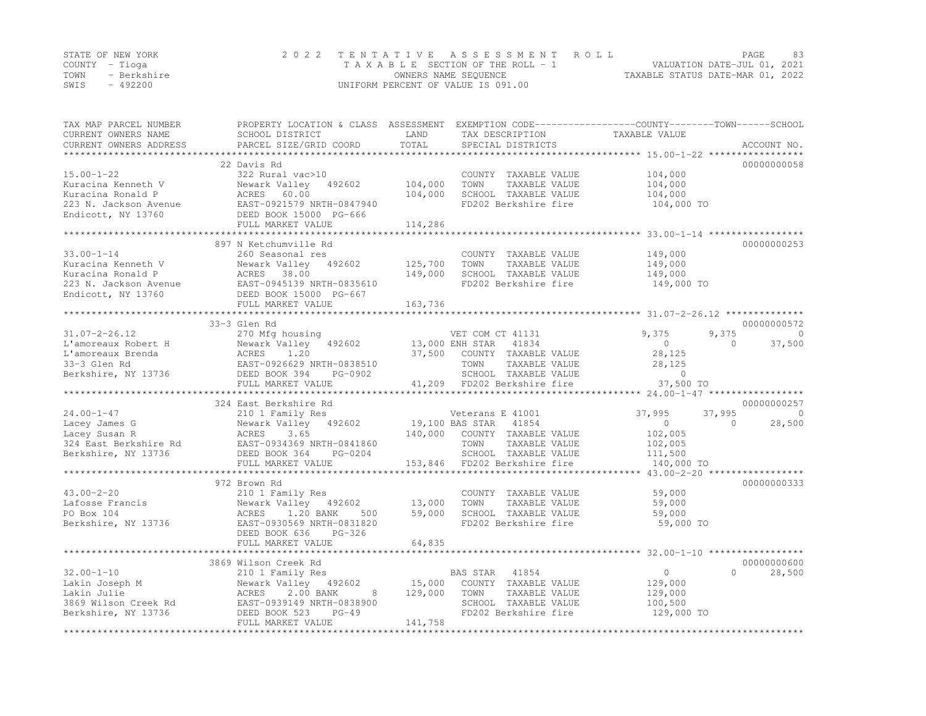|      | STATE OF NEW YORK | 2022 TENTATIVE ASSESSMENT ROLL     | PAGE.                            | 83 |
|------|-------------------|------------------------------------|----------------------------------|----|
|      | COUNTY – Tioga    | TAXABLE SECTION OF THE ROLL - 1    | VALUATION DATE-JUL 01, 2021      |    |
| TOWN | - Berkshire       | OWNERS NAME SEOUENCE               | TAXABLE STATUS DATE-MAR 01, 2022 |    |
| SWIS | $-492200$         | UNIFORM PERCENT OF VALUE IS 091.00 |                                  |    |

| TAX MAP PARCEL NUMBER<br>CURRENT OWNERS NAME<br>CURRENT OWNERS ADDRESS                                     | PROPERTY LOCATION & CLASS ASSESSMENT EXEMPTION CODE----------------COUNTY-------TOWN-----SCHOOL<br>SCHOOL DISTRICT<br>PARCEL SIZE/GRID COORD                                       | LAND<br>TOTAL                 | TAX DESCRIPTION<br>SPECIAL DISTRICTS                                                                                                                          | TAXABLE VALUE                                                                     | ACCOUNT NO.                                            |
|------------------------------------------------------------------------------------------------------------|------------------------------------------------------------------------------------------------------------------------------------------------------------------------------------|-------------------------------|---------------------------------------------------------------------------------------------------------------------------------------------------------------|-----------------------------------------------------------------------------------|--------------------------------------------------------|
| **************************                                                                                 |                                                                                                                                                                                    |                               |                                                                                                                                                               |                                                                                   |                                                        |
| $15.00 - 1 - 22$<br>Kuracina Kenneth V<br>Kuracina Ronald P<br>223 N. Jackson Avenue<br>Endicott, NY 13760 | 22 Davis Rd<br>322 Rural vac>10<br>Newark Valley 492602<br>ACRES 60.00<br>EAST-0921579 NRTH-0847940<br>DEED BOOK 15000 PG-666                                                      | 104,000<br>104,000            | COUNTY TAXABLE VALUE<br>TOWN<br>TAXABLE VALUE<br>SCHOOL TAXABLE VALUE<br>FD202 Berkshire fire                                                                 | 104,000<br>104,000<br>104,000<br>104,000 TO                                       | 00000000058                                            |
|                                                                                                            | FULL MARKET VALUE                                                                                                                                                                  | 114,286                       |                                                                                                                                                               |                                                                                   |                                                        |
|                                                                                                            |                                                                                                                                                                                    |                               |                                                                                                                                                               |                                                                                   |                                                        |
| $33.00 - 1 - 14$<br>Kuracina Kenneth V<br>Kuracina Ronald P<br>Endicott, NY 13760                          | 897 N Ketchumville Rd<br>260 Seasonal res<br>Newark Valley 492602<br>ACRES 38.00<br>223 N. Jackson Avenue EAST-0945139 NRTH-0835610<br>DEED BOOK 15000 PG-667<br>FULL MARKET VALUE | 125,700<br>149,000<br>163,736 | COUNTY TAXABLE VALUE<br>TOWN<br>TAXABLE VALUE<br>SCHOOL TAXABLE VALUE<br>FD202 Berkshire fire                                                                 | 149,000<br>149,000<br>149,000<br>149,000 TO                                       | 00000000253                                            |
|                                                                                                            |                                                                                                                                                                                    |                               |                                                                                                                                                               |                                                                                   |                                                        |
| $31.07 - 2 - 26.12$<br>L'amoreaux Robert H<br>L'amoreaux Brenda<br>33-3 Glen Rd<br>Berkshire, NY 13736     | 33-3 Glen Rd<br>270 Mfg housing<br>DEED BOOK 394<br>PG-0902<br>FULL MARKET VALUE                                                                                                   |                               | VET COM CT 41131<br>13,000 ENH STAR 41834<br>37,500 COUNTY TAXABLE VALUE<br>TOWN<br>TAXABLE VALUE<br>SCHOOL TAXABLE VALUE<br>41,209 FD202 Berkshire fire      | 9,375<br>$\circ$<br>28,125<br>28,125<br>$\Omega$<br>37,500 TO                     | 00000000572<br>9,375<br>$\Omega$<br>37,500<br>$\Omega$ |
|                                                                                                            |                                                                                                                                                                                    |                               |                                                                                                                                                               |                                                                                   |                                                        |
|                                                                                                            | 324 East Berkshire Rd                                                                                                                                                              |                               |                                                                                                                                                               |                                                                                   | 00000000257                                            |
| $24.00 - 1 - 47$<br>Lacey James G<br>Lacey Susan R<br>Berkshire, NY 13736                                  | 210 1 Family Res<br>Newark Valley 492602<br>3.65<br>ACRES<br>324 East Berkshire Rd<br>EAST-0934369 NRTH-0841860<br>DEED BOOK 364<br>PG-0204<br>FULL MARKET VALUE                   |                               | Veterans E 41001<br>19,100 BAS STAR<br>41854<br>140,000 COUNTY TAXABLE VALUE<br>TOWN<br>TAXABLE VALUE<br>SCHOOL TAXABLE VALUE<br>153,846 FD202 Berkshire fire | 37,995<br>37,995<br>$\overline{0}$<br>102,005<br>102,005<br>111,500<br>140,000 TO | $\Omega$<br>28,500<br>$\Omega$                         |
|                                                                                                            | 972 Brown Rd                                                                                                                                                                       |                               |                                                                                                                                                               |                                                                                   | 00000000333                                            |
| $43.00 - 2 - 20$<br>Lafosse Francis<br>PO Box 104<br>Berkshire, NY 13736                                   | 210 1 Family Res<br>Newark Valley 492602<br>ACRES<br>1.20 BANK<br>500<br>EAST-0930569 NRTH-0831820<br>DEED BOOK 636<br>PG-326                                                      | 13,000<br>59,000              | COUNTY TAXABLE VALUE<br>TOWN<br>TAXABLE VALUE<br>SCHOOL TAXABLE VALUE<br>FD202 Berkshire fire                                                                 | 59,000<br>59,000<br>59,000<br>59,000 TO                                           |                                                        |
|                                                                                                            | FULL MARKET VALUE                                                                                                                                                                  | 64,835                        |                                                                                                                                                               |                                                                                   |                                                        |
|                                                                                                            |                                                                                                                                                                                    |                               |                                                                                                                                                               |                                                                                   |                                                        |
| $32.00 - 1 - 10$<br>Lakin Joseph M<br>Lakin Julie<br>3869 Wilson Creek Rd<br>Berkshire, NY 13736           | 3869 Wilson Creek Rd<br>210 1 Family Res<br>Newark Valley 492602<br>ACRES<br>2.00 BANK<br>8<br>EAST-0939149 NRTH-0838900<br>DEED BOOK 523<br>$PG-49$                               | 15,000<br>129,000             | BAS STAR<br>41854<br>COUNTY TAXABLE VALUE<br>TOWN<br>TAXABLE VALUE<br>SCHOOL TAXABLE VALUE<br>FD202 Berkshire fire                                            | $\circ$<br>129,000<br>129,000<br>100,500<br>129,000 TO                            | 00000000600<br>28,500<br>$\Omega$                      |
|                                                                                                            | FULL MARKET VALUE                                                                                                                                                                  | 141,758                       |                                                                                                                                                               |                                                                                   |                                                        |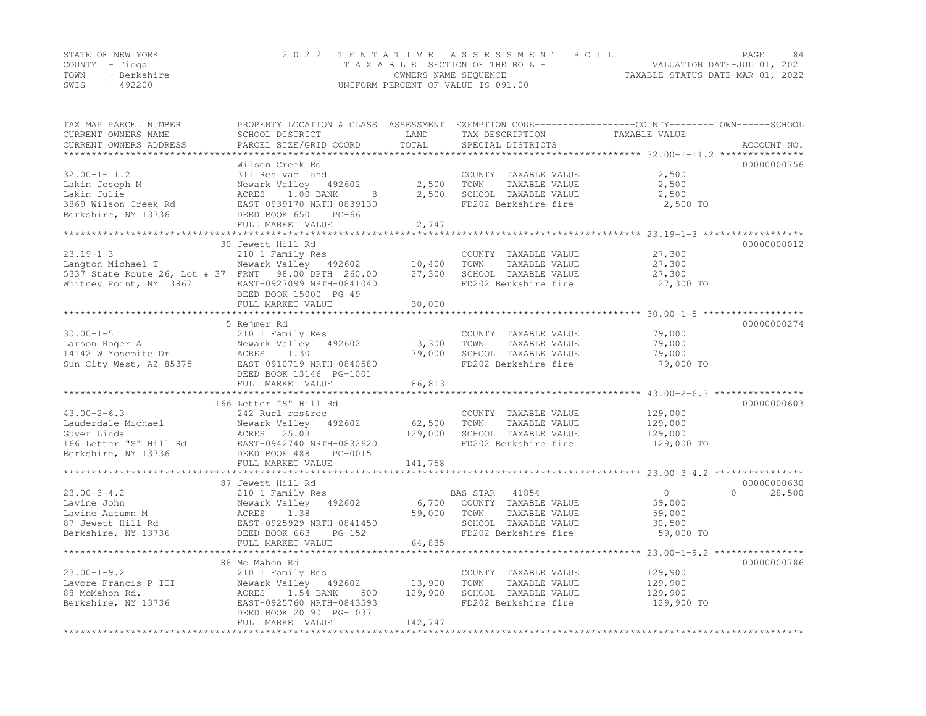| STATE OF NEW YORK |             | 2022 TENTATIVE ASSESSMENT ROLL                           | PAGE                        | -84 |
|-------------------|-------------|----------------------------------------------------------|-----------------------------|-----|
| COUNTY – Tioga    |             | TAXABLE SECTION OF THE ROLL - 1                          | VALUATION DATE-JUL 01, 2021 |     |
| TOWN              | - Berkshire | TAXABLE STATUS DATE-MAR 01, 2022<br>OWNERS NAME SEQUENCE |                             |     |
| SWIS              | $-492200$   | UNIFORM PERCENT OF VALUE IS 091.00                       |                             |     |

| TAX MAP PARCEL NUMBER<br>CURRENT OWNERS NAME<br>CURRENT OWNERS ADDRESS | PROPERTY LOCATION & CLASS ASSESSMENT<br>SCHOOL DISTRICT<br>PARCEL SIZE/GRID COORD | LAND<br>TOTAL | TAX DESCRIPTION<br>SPECIAL DISTRICTS         | EXEMPTION CODE-----------------COUNTY-------TOWN------SCHOOL<br>TAXABLE VALUE<br>ACCOUNT NO. |        |
|------------------------------------------------------------------------|-----------------------------------------------------------------------------------|---------------|----------------------------------------------|----------------------------------------------------------------------------------------------|--------|
| **********************                                                 |                                                                                   |               |                                              |                                                                                              |        |
|                                                                        | Wilson Creek Rd                                                                   |               |                                              | 00000000756                                                                                  |        |
| $32.00 - 1 - 11.2$                                                     | 311 Res vac land                                                                  |               | COUNTY TAXABLE VALUE                         | 2,500                                                                                        |        |
| Lakin Joseph M                                                         | Newark Valley 492602                                                              | 2,500         | TOWN<br>TAXABLE VALUE                        | 2,500                                                                                        |        |
| Lakin Julie                                                            | ACRES<br>1.00 BANK<br>8                                                           | 2,500         | SCHOOL TAXABLE VALUE                         | 2,500                                                                                        |        |
| 3869 Wilson Creek Rd                                                   | EAST-0939170 NRTH-0839130                                                         |               | FD202 Berkshire fire                         | 2,500 TO                                                                                     |        |
| Berkshire, NY 13736                                                    | DEED BOOK 650<br>$PG-66$                                                          |               |                                              |                                                                                              |        |
|                                                                        | FULL MARKET VALUE<br>***********************                                      | 2,747         |                                              |                                                                                              |        |
|                                                                        | 30 Jewett Hill Rd                                                                 | ************* |                                              | ******************* 23.19-1-3 ******************<br>00000000012                              |        |
| $23.19 - 1 - 3$                                                        | 210 1 Family Res                                                                  |               | COUNTY TAXABLE VALUE                         | 27,300                                                                                       |        |
| Langton Michael T                                                      | Newark Valley 492602                                                              | 10,400        | TAXABLE VALUE<br>TOWN                        | 27,300                                                                                       |        |
| 5337 State Route 26, Lot # 37 FRNT 98.00 DPTH 260.00                   |                                                                                   | 27,300        | SCHOOL TAXABLE VALUE                         | 27,300                                                                                       |        |
| Whitney Point, NY 13862                                                | EAST-0927099 NRTH-0841040                                                         |               | FD202 Berkshire fire                         | 27,300 TO                                                                                    |        |
|                                                                        | DEED BOOK 15000 PG-49                                                             |               |                                              |                                                                                              |        |
|                                                                        | FULL MARKET VALUE                                                                 | 30,000        |                                              |                                                                                              |        |
|                                                                        |                                                                                   |               |                                              | ******************************** 30.00-1-5 *******************                               |        |
|                                                                        | 5 Rejmer Rd                                                                       |               |                                              | 00000000274                                                                                  |        |
| $30.00 - 1 - 5$                                                        | 210 1 Family Res                                                                  |               | COUNTY TAXABLE VALUE                         | 79,000                                                                                       |        |
| Larson Roger A                                                         | Newark Valley<br>492602                                                           | 13,300        | TOWN<br>TAXABLE VALUE                        | 79,000                                                                                       |        |
| 14142 W Yosemite Dr                                                    | ACRES<br>1.30                                                                     | 79,000        | SCHOOL TAXABLE VALUE                         | 79,000                                                                                       |        |
| Sun City West, AZ 85375                                                | EAST-0910719 NRTH-0840580                                                         |               | FD202 Berkshire fire                         | 79,000 TO                                                                                    |        |
|                                                                        | DEED BOOK 13146 PG-1001                                                           |               |                                              |                                                                                              |        |
|                                                                        | FULL MARKET VALUE                                                                 | 86,813        |                                              |                                                                                              |        |
|                                                                        | ************************                                                          |               |                                              | ***************** 43.00-2-6.3 *****************                                              |        |
|                                                                        | 166 Letter "S" Hill Rd                                                            |               |                                              | 00000000603                                                                                  |        |
| $43.00 - 2 - 6.3$                                                      | 242 Rurl res&rec                                                                  |               | COUNTY TAXABLE VALUE                         | 129,000                                                                                      |        |
| Lauderdale Michael                                                     | Newark Valley<br>492602                                                           | 62,500        | TOWN<br>TAXABLE VALUE                        | 129,000                                                                                      |        |
| Guyer Linda<br>166 Letter "S" Hill Rd                                  | ACRES<br>25.03<br>EAST-0942740 NRTH-0832620                                       | 129,000       | SCHOOL TAXABLE VALUE<br>FD202 Berkshire fire | 129,000<br>129,000 TO                                                                        |        |
| Berkshire, NY 13736                                                    | DEED BOOK 488<br>PG-0015                                                          |               |                                              |                                                                                              |        |
|                                                                        | FULL MARKET VALUE                                                                 | 141,758       |                                              |                                                                                              |        |
|                                                                        |                                                                                   |               |                                              | *********************** 23.00-3-4.2 ****************                                         |        |
|                                                                        | 87 Jewett Hill Rd                                                                 |               |                                              | 00000000630                                                                                  |        |
| $23.00 - 3 - 4.2$                                                      | 210 1 Family Res                                                                  |               | BAS STAR<br>41854                            | $\circ$<br>$\Omega$                                                                          | 28,500 |
| Lavine John                                                            | Newark Valley<br>492602                                                           | 6,700         | COUNTY TAXABLE VALUE                         | 59,000                                                                                       |        |
| Lavine Autumn M                                                        | ACRES<br>1.38                                                                     | 59,000        | TAXABLE VALUE<br>TOWN                        | 59,000                                                                                       |        |
| 87 Jewett Hill Rd                                                      | EAST-0925929 NRTH-0841450                                                         |               | SCHOOL TAXABLE VALUE                         | 30,500                                                                                       |        |
| Berkshire, NY 13736                                                    | DEED BOOK 663<br>$PG-152$                                                         |               | FD202 Berkshire fire                         | 59,000 TO                                                                                    |        |
|                                                                        | FULL MARKET VALUE                                                                 | 64,835        |                                              |                                                                                              |        |
|                                                                        | **************************                                                        |               | ************************                     | **************** 23.00-1-9.2 *****************                                               |        |
|                                                                        | 88 Mc Mahon Rd                                                                    |               |                                              | 00000000786                                                                                  |        |
| $23.00 - 1 - 9.2$                                                      | 210 1 Family Res                                                                  |               | COUNTY TAXABLE VALUE                         | 129,900                                                                                      |        |
| Lavore Francis P III                                                   | Newark Valley<br>492602                                                           | 13,900        | TAXABLE VALUE<br>TOWN                        | 129,900                                                                                      |        |
| 88 McMahon Rd.                                                         | ACRES<br>1.54 BANK<br>500                                                         | 129,900       | SCHOOL TAXABLE VALUE                         | 129,900                                                                                      |        |
| Berkshire, NY 13736                                                    | EAST-0925760 NRTH-0843593                                                         |               | FD202 Berkshire fire                         | 129,900 TO                                                                                   |        |
|                                                                        | DEED BOOK 20190 PG-1037                                                           | 142,747       |                                              |                                                                                              |        |
|                                                                        | FULL MARKET VALUE                                                                 |               |                                              |                                                                                              |        |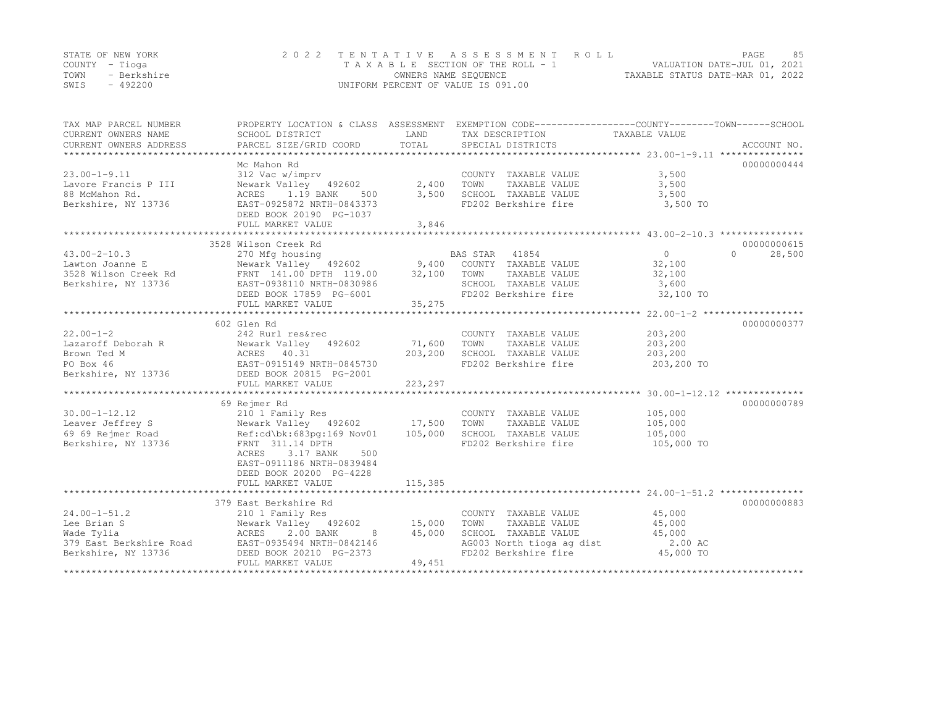|      | STATE OF NEW YORK | 2022 TENTATIVE ASSESSMENT ROLL     |                                  | PAGE. | 85 |
|------|-------------------|------------------------------------|----------------------------------|-------|----|
|      | COUNTY – Tioga    | TAXABLE SECTION OF THE ROLL - 1    | VALUATION DATE-JUL 01, 2021      |       |    |
| TOWN | - Berkshire       | OWNERS NAME SEQUENCE               | TAXABLE STATUS DATE-MAR 01, 2022 |       |    |
| SWIS | $-492200$         | UNIFORM PERCENT OF VALUE IS 091.00 |                                  |       |    |

| TAX MAP PARCEL NUMBER<br>CURRENT OWNERS NAME<br>CURRENT OWNERS ADDRESS | PROPERTY LOCATION & CLASS ASSESSMENT<br>SCHOOL DISTRICT<br>PARCEL SIZE/GRID COORD                    | LAND<br>TOTAL | EXEMPTION CODE-----------------COUNTY-------TOWN-----SCHOOL<br>TAX DESCRIPTION<br>SPECIAL DISTRICTS | TAXABLE VALUE                                               | ACCOUNT NO.        |
|------------------------------------------------------------------------|------------------------------------------------------------------------------------------------------|---------------|-----------------------------------------------------------------------------------------------------|-------------------------------------------------------------|--------------------|
|                                                                        |                                                                                                      |               |                                                                                                     |                                                             |                    |
|                                                                        | Mc Mahon Rd                                                                                          |               |                                                                                                     |                                                             | 00000000444        |
| $23.00 - 1 - 9.11$                                                     | 312 Vac w/imprv                                                                                      |               | COUNTY TAXABLE VALUE                                                                                | 3,500                                                       |                    |
| Lavore Francis P III                                                   | Newark Valley 492602                                                                                 | 2,400         | TOWN<br>TAXABLE VALUE                                                                               | 3,500                                                       |                    |
| 88 McMahon Rd.                                                         | ACRES 1.19 BANK<br>500                                                                               | 3,500         | SCHOOL TAXABLE VALUE                                                                                | 3,500                                                       |                    |
| Berkshire, NY 13736                                                    | EAST-0925872 NRTH-0843373                                                                            |               | FD202 Berkshire fire                                                                                | 3,500 TO                                                    |                    |
|                                                                        | DEED BOOK 20190 PG-1037                                                                              |               |                                                                                                     |                                                             |                    |
|                                                                        | FULL MARKET VALUE                                                                                    | 3,846         |                                                                                                     |                                                             |                    |
|                                                                        | ***************************                                                                          | **********    |                                                                                                     | *****************************43.00-2-10.3 ***************** |                    |
|                                                                        | 3528 Wilson Creek Rd                                                                                 |               |                                                                                                     |                                                             | 00000000615        |
| $43.00 - 2 - 10.3$                                                     | 270 Mfg housing                                                                                      |               | 41854<br>BAS STAR                                                                                   | $\overline{0}$                                              | $\Omega$<br>28,500 |
| Lawton Joanne E                                                        |                                                                                                      |               |                                                                                                     | 32,100                                                      |                    |
| 3528 Wilson Creek Rd                                                   | Newark Valley 492602 9,400 COUNTY TAXABLE VALUE<br>FRNT 141.00 DPTH 119.00 32,100 TOWN TAXABLE VALUE |               | TAXABLE VALUE                                                                                       | 32,100                                                      |                    |
| Berkshire, NY 13736                                                    | EAST-0938110 NRTH-0830986                                                                            |               | SCHOOL TAXABLE VALUE                                                                                | 3,600                                                       |                    |
|                                                                        | DEED BOOK 17859 PG-6001                                                                              |               | FD202 Berkshire fire                                                                                | 32,100 TO                                                   |                    |
|                                                                        | FULL MARKET VALUE                                                                                    | 35,275        |                                                                                                     |                                                             |                    |
|                                                                        |                                                                                                      |               |                                                                                                     |                                                             |                    |
|                                                                        | 602 Glen Rd                                                                                          |               |                                                                                                     |                                                             | 00000000377        |
| $22.00 - 1 - 2$                                                        | 242 Rurl res&rec                                                                                     |               | COUNTY TAXABLE VALUE                                                                                | 203,200                                                     |                    |
| Lazaroff Deborah R                                                     | Newark Valley<br>492602                                                                              | 71,600        | TOWN<br>TAXABLE VALUE                                                                               | 203,200                                                     |                    |
| Brown Ted M                                                            | ACRES 40.31                                                                                          | 203,200       | SCHOOL TAXABLE VALUE                                                                                | 203,200                                                     |                    |
| PO Box 46                                                              | EAST-0915149 NRTH-0845730                                                                            |               | FD202 Berkshire fire                                                                                | 203,200 TO                                                  |                    |
| Berkshire, NY 13736 DEED BOOK 20815 PG-2001                            |                                                                                                      |               |                                                                                                     |                                                             |                    |
|                                                                        | FULL MARKET VALUE                                                                                    | 223,297       |                                                                                                     |                                                             |                    |
|                                                                        |                                                                                                      |               |                                                                                                     |                                                             |                    |
|                                                                        | 69 Rejmer Rd                                                                                         |               |                                                                                                     |                                                             | 00000000789        |
| $30.00 - 1 - 12.12$                                                    | 210 1 Family Res                                                                                     |               | COUNTY TAXABLE VALUE                                                                                | 105,000                                                     |                    |
| Leaver Jeffrey S                                                       | Newark Valley 492602 17,500                                                                          |               | TOWN<br>TAXABLE VALUE                                                                               | 105,000                                                     |                    |
| 69 69 Rejmer Road                                                      | Ref:cd\bk:683pq:169 Nov01                                                                            | 105,000       | SCHOOL TAXABLE VALUE                                                                                | 105,000                                                     |                    |
| Berkshire, NY 13736                                                    | FRNT 311.14 DPTH                                                                                     |               | FD202 Berkshire fire                                                                                | 105,000 TO                                                  |                    |
|                                                                        | 500                                                                                                  |               |                                                                                                     |                                                             |                    |
|                                                                        | ACRES<br>3.17 BANK<br>EAST-0911186 NRTH-0839484                                                      |               |                                                                                                     |                                                             |                    |
|                                                                        |                                                                                                      |               |                                                                                                     |                                                             |                    |
|                                                                        | DEED BOOK 20200 PG-4228                                                                              |               |                                                                                                     |                                                             |                    |
|                                                                        | FULL MARKET VALUE<br>*****************************                                                   | 115,385       |                                                                                                     |                                                             |                    |
|                                                                        |                                                                                                      |               |                                                                                                     |                                                             |                    |
|                                                                        | 379 East Berkshire Rd                                                                                |               |                                                                                                     |                                                             | 00000000883        |
| $24.00 - 1 - 51.2$                                                     | 210 1 Family Res                                                                                     |               | COUNTY TAXABLE VALUE                                                                                | 45,000                                                      |                    |
| Lee Brian S                                                            | Newark Valley 492602                                                                                 | 15,000        | TOWN<br>TAXABLE VALUE                                                                               | 45,000                                                      |                    |
| Wade Tylia                                                             | ACRES<br>2.00 BANK<br>8 <sup>8</sup>                                                                 | 45,000        | SCHOOL TAXABLE VALUE                                                                                | 45,000                                                      |                    |
| 379 East Berkshire Road                                                | EAST-0935494 NRTH-0842146                                                                            |               | AG003 North tioga ag dist                                                                           | 2.00 AC                                                     |                    |
| Berkshire, NY 13736                                                    | DEED BOOK 20210 PG-2373                                                                              |               | FD202 Berkshire fire                                                                                | 45,000 TO                                                   |                    |
|                                                                        | FULL MARKET VALUE                                                                                    | 49,451        |                                                                                                     |                                                             |                    |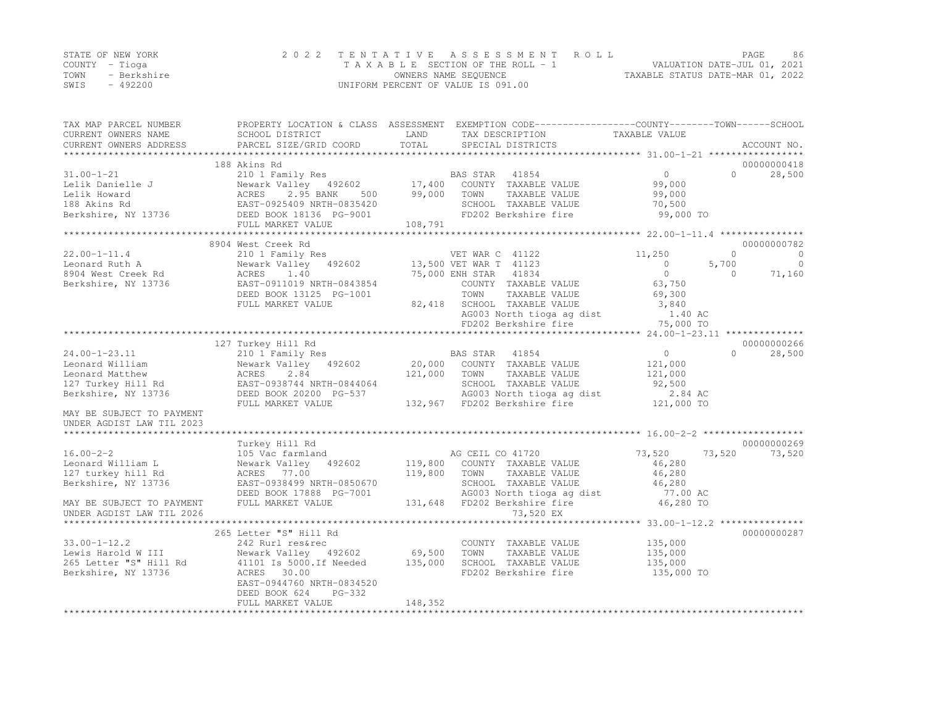|      | STATE OF NEW YORK | 2022 TENTATIVE ASSESSMENT ROLL     |                                  | PAGE | -86 |
|------|-------------------|------------------------------------|----------------------------------|------|-----|
|      | COUNTY – Tioga    | TAXABLE SECTION OF THE ROLL - 1    | VALUATION DATE-JUL 01, 2021      |      |     |
| TOWN | - Berkshire       | OWNERS NAME SEQUENCE               | TAXABLE STATUS DATE-MAR 01, 2022 |      |     |
| SWIS | $-492200$         | UNIFORM PERCENT OF VALUE IS 091.00 |                                  |      |     |

| 188 Akins Rd<br>00000000418<br>210 1 Family Res<br>BAS STAR 41854<br>$\overline{0}$<br>$\Omega$<br>28,500<br>Newark Valley 492602<br>17,400 COUNTY TAXABLE VALUE<br>99,000<br>2.95 BANK<br>99,000<br>500<br>TOWN<br>TAXABLE VALUE<br>99,000<br>ACRES<br>188 Akins Rd<br>EAST-0925409 NRTH-0835420<br>SCHOOL TAXABLE VALUE<br>70,500<br>FD202 Berkshire fire<br>99,000 TO<br>Berkshire, NY 13736<br>DEED BOOK 18136 PG-9001<br>108,791<br>FULL MARKET VALUE<br>8904 West Creek Rd<br>00000000782<br>$22.00 - 1 - 11.4$<br>210 1 Family Res<br>VET WAR C 41122<br>11,250<br>$\Omega$<br>$\overline{0}$<br>Newark Valley 492602<br>5,700<br>$\overline{0}$<br>13,500 VET WAR T 41123<br>$\Omega$<br>$\Omega$<br>8904 West Creek Rd<br>1.40<br>75,000 ENH STAR<br>41834<br>$\Omega$<br>71,160<br>ACRES<br>Berkshire, NY 13736<br>EAST-0911019 NRTH-0843854<br>COUNTY TAXABLE VALUE<br>63,750<br>TOWN<br>DEED BOOK 13125 PG-1001<br>TAXABLE VALUE<br>69,300<br>SCHOOL TAXABLE VALUE<br>FULL MARKET VALUE<br>82,418<br>3,840<br>AG003 North tioga ag dist<br>1.40 AC<br>FD202 Berkshire fire<br>75,000 TO<br>127 Turkey Hill Rd<br>00000000266<br>$24.00 - 1 - 23.11$<br>$\circ$<br>$\Omega$<br>210 1 Family Res<br>BAS STAR<br>41854<br>28,500<br>20,000 COUNTY TAXABLE VALUE<br>Newark Valley 492602<br>121,000<br>Leonard William<br>121,000<br>2.84<br>TOWN<br>121,000<br>Leonard Matthew<br>ACRES<br>TAXABLE VALUE<br>EAST-0938744 NRTH-0844064<br>SCHOOL TAXABLE VALUE<br>92,500<br>127 Turkey Hill Rd<br>AG003 North tioga ag dist<br>Berkshire, NY 13736<br>DEED BOOK 20200 PG-537<br>2.84 AC<br>132,967 FD202 Berkshire fire<br>121,000 TO<br>FULL MARKET VALUE<br>MAY BE SUBJECT TO PAYMENT<br>UNDER AGDIST LAW TIL 2023<br>00000000269<br>Turkey Hill Rd<br>73,520<br>AG CEIL CO 41720<br>73,520<br>73,520<br>105 Vac farmland<br>119,800 COUNTY TAXABLE VALUE<br>46,280<br>Newark Valley 492602<br>119,800<br>TAXABLE VALUE<br>46,280<br>ACRES 77.00<br>TOWN<br>EAST-0938499 NRTH-0850670<br>SCHOOL TAXABLE VALUE<br>46,280<br>DEED BOOK 17888 PG-7001<br>AG003 North tioga ag dist<br>77.00 AC<br>FULL MARKET VALUE<br>131,648 FD202 Berkshire fire<br>46,280 TO<br>73,520 EX<br>UNDER AGDIST LAW TIL 2026<br>****************************** 33.00-1-12.2 ***************<br>265 Letter "S" Hill Rd<br>00000000287<br>$33.00 - 1 - 12.2$<br>242 Rurl res&rec<br>COUNTY TAXABLE VALUE<br>135,000<br>69,500<br>Lewis Harold W III<br>Newark Valley 492602<br>TOWN<br>TAXABLE VALUE<br>135,000<br>265 Letter "S" Hill Rd<br>41101 Is 5000.If Needed<br>135,000<br>SCHOOL TAXABLE VALUE<br>135,000<br>Berkshire, NY 13736<br>ACRES 30.00<br>FD202 Berkshire fire<br>135,000 TO<br>EAST-0944760 NRTH-0834520<br>DEED BOOK 624<br>PG-332<br>148,352<br>FULL MARKET VALUE | TAX MAP PARCEL NUMBER<br>CURRENT OWNERS NAME<br>CURRENT OWNERS ADDRESS | PROPERTY LOCATION & CLASS ASSESSMENT EXEMPTION CODE---------------COUNTY-------TOWN------SCHOOL<br>SCHOOL DISTRICT<br>PARCEL SIZE/GRID COORD | LAND<br>TOTAL | TAX DESCRIPTION<br>SPECIAL DISTRICTS | TAXABLE VALUE | ACCOUNT NO. |
|---------------------------------------------------------------------------------------------------------------------------------------------------------------------------------------------------------------------------------------------------------------------------------------------------------------------------------------------------------------------------------------------------------------------------------------------------------------------------------------------------------------------------------------------------------------------------------------------------------------------------------------------------------------------------------------------------------------------------------------------------------------------------------------------------------------------------------------------------------------------------------------------------------------------------------------------------------------------------------------------------------------------------------------------------------------------------------------------------------------------------------------------------------------------------------------------------------------------------------------------------------------------------------------------------------------------------------------------------------------------------------------------------------------------------------------------------------------------------------------------------------------------------------------------------------------------------------------------------------------------------------------------------------------------------------------------------------------------------------------------------------------------------------------------------------------------------------------------------------------------------------------------------------------------------------------------------------------------------------------------------------------------------------------------------------------------------------------------------------------------------------------------------------------------------------------------------------------------------------------------------------------------------------------------------------------------------------------------------------------------------------------------------------------------------------------------------------------------------------------------------------------------------------------------------------------------------------------------------------------------------------------------------------------------------------------------------------------------------------------------------------------------------|------------------------------------------------------------------------|----------------------------------------------------------------------------------------------------------------------------------------------|---------------|--------------------------------------|---------------|-------------|
|                                                                                                                                                                                                                                                                                                                                                                                                                                                                                                                                                                                                                                                                                                                                                                                                                                                                                                                                                                                                                                                                                                                                                                                                                                                                                                                                                                                                                                                                                                                                                                                                                                                                                                                                                                                                                                                                                                                                                                                                                                                                                                                                                                                                                                                                                                                                                                                                                                                                                                                                                                                                                                                                                                                                                                           |                                                                        |                                                                                                                                              |               |                                      |               |             |
|                                                                                                                                                                                                                                                                                                                                                                                                                                                                                                                                                                                                                                                                                                                                                                                                                                                                                                                                                                                                                                                                                                                                                                                                                                                                                                                                                                                                                                                                                                                                                                                                                                                                                                                                                                                                                                                                                                                                                                                                                                                                                                                                                                                                                                                                                                                                                                                                                                                                                                                                                                                                                                                                                                                                                                           |                                                                        |                                                                                                                                              |               |                                      |               |             |
|                                                                                                                                                                                                                                                                                                                                                                                                                                                                                                                                                                                                                                                                                                                                                                                                                                                                                                                                                                                                                                                                                                                                                                                                                                                                                                                                                                                                                                                                                                                                                                                                                                                                                                                                                                                                                                                                                                                                                                                                                                                                                                                                                                                                                                                                                                                                                                                                                                                                                                                                                                                                                                                                                                                                                                           | $31.00 - 1 - 21$                                                       |                                                                                                                                              |               |                                      |               |             |
|                                                                                                                                                                                                                                                                                                                                                                                                                                                                                                                                                                                                                                                                                                                                                                                                                                                                                                                                                                                                                                                                                                                                                                                                                                                                                                                                                                                                                                                                                                                                                                                                                                                                                                                                                                                                                                                                                                                                                                                                                                                                                                                                                                                                                                                                                                                                                                                                                                                                                                                                                                                                                                                                                                                                                                           | Lelik Danielle J                                                       |                                                                                                                                              |               |                                      |               |             |
|                                                                                                                                                                                                                                                                                                                                                                                                                                                                                                                                                                                                                                                                                                                                                                                                                                                                                                                                                                                                                                                                                                                                                                                                                                                                                                                                                                                                                                                                                                                                                                                                                                                                                                                                                                                                                                                                                                                                                                                                                                                                                                                                                                                                                                                                                                                                                                                                                                                                                                                                                                                                                                                                                                                                                                           | Lelik Howard                                                           |                                                                                                                                              |               |                                      |               |             |
|                                                                                                                                                                                                                                                                                                                                                                                                                                                                                                                                                                                                                                                                                                                                                                                                                                                                                                                                                                                                                                                                                                                                                                                                                                                                                                                                                                                                                                                                                                                                                                                                                                                                                                                                                                                                                                                                                                                                                                                                                                                                                                                                                                                                                                                                                                                                                                                                                                                                                                                                                                                                                                                                                                                                                                           |                                                                        |                                                                                                                                              |               |                                      |               |             |
|                                                                                                                                                                                                                                                                                                                                                                                                                                                                                                                                                                                                                                                                                                                                                                                                                                                                                                                                                                                                                                                                                                                                                                                                                                                                                                                                                                                                                                                                                                                                                                                                                                                                                                                                                                                                                                                                                                                                                                                                                                                                                                                                                                                                                                                                                                                                                                                                                                                                                                                                                                                                                                                                                                                                                                           |                                                                        |                                                                                                                                              |               |                                      |               |             |
|                                                                                                                                                                                                                                                                                                                                                                                                                                                                                                                                                                                                                                                                                                                                                                                                                                                                                                                                                                                                                                                                                                                                                                                                                                                                                                                                                                                                                                                                                                                                                                                                                                                                                                                                                                                                                                                                                                                                                                                                                                                                                                                                                                                                                                                                                                                                                                                                                                                                                                                                                                                                                                                                                                                                                                           |                                                                        |                                                                                                                                              |               |                                      |               |             |
|                                                                                                                                                                                                                                                                                                                                                                                                                                                                                                                                                                                                                                                                                                                                                                                                                                                                                                                                                                                                                                                                                                                                                                                                                                                                                                                                                                                                                                                                                                                                                                                                                                                                                                                                                                                                                                                                                                                                                                                                                                                                                                                                                                                                                                                                                                                                                                                                                                                                                                                                                                                                                                                                                                                                                                           |                                                                        |                                                                                                                                              |               |                                      |               |             |
|                                                                                                                                                                                                                                                                                                                                                                                                                                                                                                                                                                                                                                                                                                                                                                                                                                                                                                                                                                                                                                                                                                                                                                                                                                                                                                                                                                                                                                                                                                                                                                                                                                                                                                                                                                                                                                                                                                                                                                                                                                                                                                                                                                                                                                                                                                                                                                                                                                                                                                                                                                                                                                                                                                                                                                           |                                                                        |                                                                                                                                              |               |                                      |               |             |
|                                                                                                                                                                                                                                                                                                                                                                                                                                                                                                                                                                                                                                                                                                                                                                                                                                                                                                                                                                                                                                                                                                                                                                                                                                                                                                                                                                                                                                                                                                                                                                                                                                                                                                                                                                                                                                                                                                                                                                                                                                                                                                                                                                                                                                                                                                                                                                                                                                                                                                                                                                                                                                                                                                                                                                           | Leonard Ruth A                                                         |                                                                                                                                              |               |                                      |               |             |
|                                                                                                                                                                                                                                                                                                                                                                                                                                                                                                                                                                                                                                                                                                                                                                                                                                                                                                                                                                                                                                                                                                                                                                                                                                                                                                                                                                                                                                                                                                                                                                                                                                                                                                                                                                                                                                                                                                                                                                                                                                                                                                                                                                                                                                                                                                                                                                                                                                                                                                                                                                                                                                                                                                                                                                           |                                                                        |                                                                                                                                              |               |                                      |               |             |
|                                                                                                                                                                                                                                                                                                                                                                                                                                                                                                                                                                                                                                                                                                                                                                                                                                                                                                                                                                                                                                                                                                                                                                                                                                                                                                                                                                                                                                                                                                                                                                                                                                                                                                                                                                                                                                                                                                                                                                                                                                                                                                                                                                                                                                                                                                                                                                                                                                                                                                                                                                                                                                                                                                                                                                           |                                                                        |                                                                                                                                              |               |                                      |               |             |
|                                                                                                                                                                                                                                                                                                                                                                                                                                                                                                                                                                                                                                                                                                                                                                                                                                                                                                                                                                                                                                                                                                                                                                                                                                                                                                                                                                                                                                                                                                                                                                                                                                                                                                                                                                                                                                                                                                                                                                                                                                                                                                                                                                                                                                                                                                                                                                                                                                                                                                                                                                                                                                                                                                                                                                           |                                                                        |                                                                                                                                              |               |                                      |               |             |
|                                                                                                                                                                                                                                                                                                                                                                                                                                                                                                                                                                                                                                                                                                                                                                                                                                                                                                                                                                                                                                                                                                                                                                                                                                                                                                                                                                                                                                                                                                                                                                                                                                                                                                                                                                                                                                                                                                                                                                                                                                                                                                                                                                                                                                                                                                                                                                                                                                                                                                                                                                                                                                                                                                                                                                           |                                                                        |                                                                                                                                              |               |                                      |               |             |
|                                                                                                                                                                                                                                                                                                                                                                                                                                                                                                                                                                                                                                                                                                                                                                                                                                                                                                                                                                                                                                                                                                                                                                                                                                                                                                                                                                                                                                                                                                                                                                                                                                                                                                                                                                                                                                                                                                                                                                                                                                                                                                                                                                                                                                                                                                                                                                                                                                                                                                                                                                                                                                                                                                                                                                           |                                                                        |                                                                                                                                              |               |                                      |               |             |
|                                                                                                                                                                                                                                                                                                                                                                                                                                                                                                                                                                                                                                                                                                                                                                                                                                                                                                                                                                                                                                                                                                                                                                                                                                                                                                                                                                                                                                                                                                                                                                                                                                                                                                                                                                                                                                                                                                                                                                                                                                                                                                                                                                                                                                                                                                                                                                                                                                                                                                                                                                                                                                                                                                                                                                           |                                                                        |                                                                                                                                              |               |                                      |               |             |
|                                                                                                                                                                                                                                                                                                                                                                                                                                                                                                                                                                                                                                                                                                                                                                                                                                                                                                                                                                                                                                                                                                                                                                                                                                                                                                                                                                                                                                                                                                                                                                                                                                                                                                                                                                                                                                                                                                                                                                                                                                                                                                                                                                                                                                                                                                                                                                                                                                                                                                                                                                                                                                                                                                                                                                           |                                                                        |                                                                                                                                              |               |                                      |               |             |
|                                                                                                                                                                                                                                                                                                                                                                                                                                                                                                                                                                                                                                                                                                                                                                                                                                                                                                                                                                                                                                                                                                                                                                                                                                                                                                                                                                                                                                                                                                                                                                                                                                                                                                                                                                                                                                                                                                                                                                                                                                                                                                                                                                                                                                                                                                                                                                                                                                                                                                                                                                                                                                                                                                                                                                           |                                                                        |                                                                                                                                              |               |                                      |               |             |
|                                                                                                                                                                                                                                                                                                                                                                                                                                                                                                                                                                                                                                                                                                                                                                                                                                                                                                                                                                                                                                                                                                                                                                                                                                                                                                                                                                                                                                                                                                                                                                                                                                                                                                                                                                                                                                                                                                                                                                                                                                                                                                                                                                                                                                                                                                                                                                                                                                                                                                                                                                                                                                                                                                                                                                           |                                                                        |                                                                                                                                              |               |                                      |               |             |
|                                                                                                                                                                                                                                                                                                                                                                                                                                                                                                                                                                                                                                                                                                                                                                                                                                                                                                                                                                                                                                                                                                                                                                                                                                                                                                                                                                                                                                                                                                                                                                                                                                                                                                                                                                                                                                                                                                                                                                                                                                                                                                                                                                                                                                                                                                                                                                                                                                                                                                                                                                                                                                                                                                                                                                           |                                                                        |                                                                                                                                              |               |                                      |               |             |
|                                                                                                                                                                                                                                                                                                                                                                                                                                                                                                                                                                                                                                                                                                                                                                                                                                                                                                                                                                                                                                                                                                                                                                                                                                                                                                                                                                                                                                                                                                                                                                                                                                                                                                                                                                                                                                                                                                                                                                                                                                                                                                                                                                                                                                                                                                                                                                                                                                                                                                                                                                                                                                                                                                                                                                           |                                                                        |                                                                                                                                              |               |                                      |               |             |
|                                                                                                                                                                                                                                                                                                                                                                                                                                                                                                                                                                                                                                                                                                                                                                                                                                                                                                                                                                                                                                                                                                                                                                                                                                                                                                                                                                                                                                                                                                                                                                                                                                                                                                                                                                                                                                                                                                                                                                                                                                                                                                                                                                                                                                                                                                                                                                                                                                                                                                                                                                                                                                                                                                                                                                           |                                                                        |                                                                                                                                              |               |                                      |               |             |
|                                                                                                                                                                                                                                                                                                                                                                                                                                                                                                                                                                                                                                                                                                                                                                                                                                                                                                                                                                                                                                                                                                                                                                                                                                                                                                                                                                                                                                                                                                                                                                                                                                                                                                                                                                                                                                                                                                                                                                                                                                                                                                                                                                                                                                                                                                                                                                                                                                                                                                                                                                                                                                                                                                                                                                           |                                                                        |                                                                                                                                              |               |                                      |               |             |
|                                                                                                                                                                                                                                                                                                                                                                                                                                                                                                                                                                                                                                                                                                                                                                                                                                                                                                                                                                                                                                                                                                                                                                                                                                                                                                                                                                                                                                                                                                                                                                                                                                                                                                                                                                                                                                                                                                                                                                                                                                                                                                                                                                                                                                                                                                                                                                                                                                                                                                                                                                                                                                                                                                                                                                           |                                                                        |                                                                                                                                              |               |                                      |               |             |
|                                                                                                                                                                                                                                                                                                                                                                                                                                                                                                                                                                                                                                                                                                                                                                                                                                                                                                                                                                                                                                                                                                                                                                                                                                                                                                                                                                                                                                                                                                                                                                                                                                                                                                                                                                                                                                                                                                                                                                                                                                                                                                                                                                                                                                                                                                                                                                                                                                                                                                                                                                                                                                                                                                                                                                           |                                                                        |                                                                                                                                              |               |                                      |               |             |
|                                                                                                                                                                                                                                                                                                                                                                                                                                                                                                                                                                                                                                                                                                                                                                                                                                                                                                                                                                                                                                                                                                                                                                                                                                                                                                                                                                                                                                                                                                                                                                                                                                                                                                                                                                                                                                                                                                                                                                                                                                                                                                                                                                                                                                                                                                                                                                                                                                                                                                                                                                                                                                                                                                                                                                           |                                                                        |                                                                                                                                              |               |                                      |               |             |
|                                                                                                                                                                                                                                                                                                                                                                                                                                                                                                                                                                                                                                                                                                                                                                                                                                                                                                                                                                                                                                                                                                                                                                                                                                                                                                                                                                                                                                                                                                                                                                                                                                                                                                                                                                                                                                                                                                                                                                                                                                                                                                                                                                                                                                                                                                                                                                                                                                                                                                                                                                                                                                                                                                                                                                           |                                                                        |                                                                                                                                              |               |                                      |               |             |
|                                                                                                                                                                                                                                                                                                                                                                                                                                                                                                                                                                                                                                                                                                                                                                                                                                                                                                                                                                                                                                                                                                                                                                                                                                                                                                                                                                                                                                                                                                                                                                                                                                                                                                                                                                                                                                                                                                                                                                                                                                                                                                                                                                                                                                                                                                                                                                                                                                                                                                                                                                                                                                                                                                                                                                           | $16.00 - 2 - 2$                                                        |                                                                                                                                              |               |                                      |               |             |
|                                                                                                                                                                                                                                                                                                                                                                                                                                                                                                                                                                                                                                                                                                                                                                                                                                                                                                                                                                                                                                                                                                                                                                                                                                                                                                                                                                                                                                                                                                                                                                                                                                                                                                                                                                                                                                                                                                                                                                                                                                                                                                                                                                                                                                                                                                                                                                                                                                                                                                                                                                                                                                                                                                                                                                           | Leonard William L                                                      |                                                                                                                                              |               |                                      |               |             |
|                                                                                                                                                                                                                                                                                                                                                                                                                                                                                                                                                                                                                                                                                                                                                                                                                                                                                                                                                                                                                                                                                                                                                                                                                                                                                                                                                                                                                                                                                                                                                                                                                                                                                                                                                                                                                                                                                                                                                                                                                                                                                                                                                                                                                                                                                                                                                                                                                                                                                                                                                                                                                                                                                                                                                                           | 127 turkey hill Rd                                                     |                                                                                                                                              |               |                                      |               |             |
|                                                                                                                                                                                                                                                                                                                                                                                                                                                                                                                                                                                                                                                                                                                                                                                                                                                                                                                                                                                                                                                                                                                                                                                                                                                                                                                                                                                                                                                                                                                                                                                                                                                                                                                                                                                                                                                                                                                                                                                                                                                                                                                                                                                                                                                                                                                                                                                                                                                                                                                                                                                                                                                                                                                                                                           | Berkshire, NY 13736                                                    |                                                                                                                                              |               |                                      |               |             |
|                                                                                                                                                                                                                                                                                                                                                                                                                                                                                                                                                                                                                                                                                                                                                                                                                                                                                                                                                                                                                                                                                                                                                                                                                                                                                                                                                                                                                                                                                                                                                                                                                                                                                                                                                                                                                                                                                                                                                                                                                                                                                                                                                                                                                                                                                                                                                                                                                                                                                                                                                                                                                                                                                                                                                                           |                                                                        |                                                                                                                                              |               |                                      |               |             |
|                                                                                                                                                                                                                                                                                                                                                                                                                                                                                                                                                                                                                                                                                                                                                                                                                                                                                                                                                                                                                                                                                                                                                                                                                                                                                                                                                                                                                                                                                                                                                                                                                                                                                                                                                                                                                                                                                                                                                                                                                                                                                                                                                                                                                                                                                                                                                                                                                                                                                                                                                                                                                                                                                                                                                                           | MAY BE SUBJECT TO PAYMENT                                              |                                                                                                                                              |               |                                      |               |             |
|                                                                                                                                                                                                                                                                                                                                                                                                                                                                                                                                                                                                                                                                                                                                                                                                                                                                                                                                                                                                                                                                                                                                                                                                                                                                                                                                                                                                                                                                                                                                                                                                                                                                                                                                                                                                                                                                                                                                                                                                                                                                                                                                                                                                                                                                                                                                                                                                                                                                                                                                                                                                                                                                                                                                                                           |                                                                        |                                                                                                                                              |               |                                      |               |             |
|                                                                                                                                                                                                                                                                                                                                                                                                                                                                                                                                                                                                                                                                                                                                                                                                                                                                                                                                                                                                                                                                                                                                                                                                                                                                                                                                                                                                                                                                                                                                                                                                                                                                                                                                                                                                                                                                                                                                                                                                                                                                                                                                                                                                                                                                                                                                                                                                                                                                                                                                                                                                                                                                                                                                                                           |                                                                        |                                                                                                                                              |               |                                      |               |             |
|                                                                                                                                                                                                                                                                                                                                                                                                                                                                                                                                                                                                                                                                                                                                                                                                                                                                                                                                                                                                                                                                                                                                                                                                                                                                                                                                                                                                                                                                                                                                                                                                                                                                                                                                                                                                                                                                                                                                                                                                                                                                                                                                                                                                                                                                                                                                                                                                                                                                                                                                                                                                                                                                                                                                                                           |                                                                        |                                                                                                                                              |               |                                      |               |             |
|                                                                                                                                                                                                                                                                                                                                                                                                                                                                                                                                                                                                                                                                                                                                                                                                                                                                                                                                                                                                                                                                                                                                                                                                                                                                                                                                                                                                                                                                                                                                                                                                                                                                                                                                                                                                                                                                                                                                                                                                                                                                                                                                                                                                                                                                                                                                                                                                                                                                                                                                                                                                                                                                                                                                                                           |                                                                        |                                                                                                                                              |               |                                      |               |             |
|                                                                                                                                                                                                                                                                                                                                                                                                                                                                                                                                                                                                                                                                                                                                                                                                                                                                                                                                                                                                                                                                                                                                                                                                                                                                                                                                                                                                                                                                                                                                                                                                                                                                                                                                                                                                                                                                                                                                                                                                                                                                                                                                                                                                                                                                                                                                                                                                                                                                                                                                                                                                                                                                                                                                                                           |                                                                        |                                                                                                                                              |               |                                      |               |             |
|                                                                                                                                                                                                                                                                                                                                                                                                                                                                                                                                                                                                                                                                                                                                                                                                                                                                                                                                                                                                                                                                                                                                                                                                                                                                                                                                                                                                                                                                                                                                                                                                                                                                                                                                                                                                                                                                                                                                                                                                                                                                                                                                                                                                                                                                                                                                                                                                                                                                                                                                                                                                                                                                                                                                                                           |                                                                        |                                                                                                                                              |               |                                      |               |             |
|                                                                                                                                                                                                                                                                                                                                                                                                                                                                                                                                                                                                                                                                                                                                                                                                                                                                                                                                                                                                                                                                                                                                                                                                                                                                                                                                                                                                                                                                                                                                                                                                                                                                                                                                                                                                                                                                                                                                                                                                                                                                                                                                                                                                                                                                                                                                                                                                                                                                                                                                                                                                                                                                                                                                                                           |                                                                        |                                                                                                                                              |               |                                      |               |             |
|                                                                                                                                                                                                                                                                                                                                                                                                                                                                                                                                                                                                                                                                                                                                                                                                                                                                                                                                                                                                                                                                                                                                                                                                                                                                                                                                                                                                                                                                                                                                                                                                                                                                                                                                                                                                                                                                                                                                                                                                                                                                                                                                                                                                                                                                                                                                                                                                                                                                                                                                                                                                                                                                                                                                                                           |                                                                        |                                                                                                                                              |               |                                      |               |             |
|                                                                                                                                                                                                                                                                                                                                                                                                                                                                                                                                                                                                                                                                                                                                                                                                                                                                                                                                                                                                                                                                                                                                                                                                                                                                                                                                                                                                                                                                                                                                                                                                                                                                                                                                                                                                                                                                                                                                                                                                                                                                                                                                                                                                                                                                                                                                                                                                                                                                                                                                                                                                                                                                                                                                                                           |                                                                        |                                                                                                                                              |               |                                      |               |             |
|                                                                                                                                                                                                                                                                                                                                                                                                                                                                                                                                                                                                                                                                                                                                                                                                                                                                                                                                                                                                                                                                                                                                                                                                                                                                                                                                                                                                                                                                                                                                                                                                                                                                                                                                                                                                                                                                                                                                                                                                                                                                                                                                                                                                                                                                                                                                                                                                                                                                                                                                                                                                                                                                                                                                                                           |                                                                        |                                                                                                                                              |               |                                      |               |             |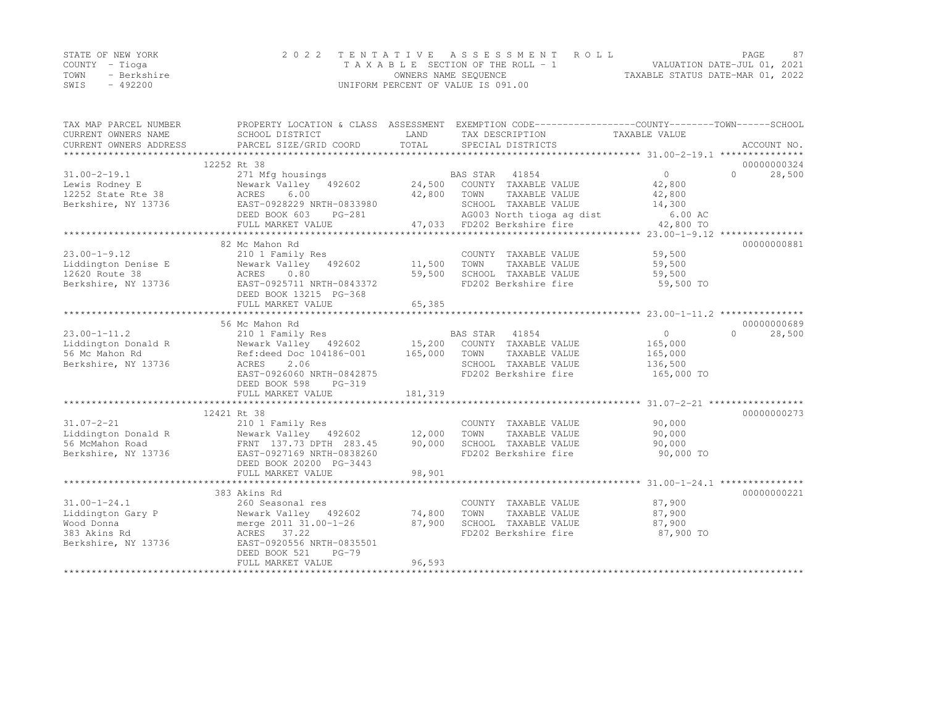|      | STATE OF NEW YORK | 2022 TENTATIVE ASSESSMENT ROLL     |                                  | PAGE.                       | 87 |
|------|-------------------|------------------------------------|----------------------------------|-----------------------------|----|
|      | COUNTY – Tioga    | TAXABLE SECTION OF THE ROLL - 1    |                                  | VALUATION DATE-JUL 01, 2021 |    |
| TOWN | - Berkshire       | OWNERS NAME SEOUENCE               | TAXABLE STATUS DATE-MAR 01, 2022 |                             |    |
| SWIS | $-492200$         | UNIFORM PERCENT OF VALUE IS 091.00 |                                  |                             |    |

| TAX MAP PARCEL NUMBER               | PROPERTY LOCATION & CLASS ASSESSMENT EXEMPTION CODE---------------COUNTY-------TOWN-----SCHOOL        |             |                                                                                                                    |                            |                     |
|-------------------------------------|-------------------------------------------------------------------------------------------------------|-------------|--------------------------------------------------------------------------------------------------------------------|----------------------------|---------------------|
| CURRENT OWNERS NAME                 | SCHOOL DISTRICT                                                                                       | LAND        | TAX DESCRIPTION                                                                                                    | TAXABLE VALUE              |                     |
| CURRENT OWNERS ADDRESS              | PARCEL SIZE/GRID COORD                                                                                | TOTAL       | SPECIAL DISTRICTS                                                                                                  |                            | ACCOUNT NO.         |
|                                     | 12252 Rt 38                                                                                           |             |                                                                                                                    |                            | 00000000324         |
| $31.00 - 2 - 19.1$                  | 271 Mfg housings                                                                                      |             |                                                                                                                    | $0 \qquad \qquad$          | $\bigcap$<br>28,500 |
|                                     | 31.00-2-19.1 271 Mfg housings<br>Lewis Rodney E Newark Valley 492602<br>12252 State Rte 38 ACRES 6.00 |             | BAS STAR 41854<br>24,500 COUNTY TAXABLE VALUE                                                                      | 42,800                     |                     |
|                                     |                                                                                                       | 42,800 TOWN | TAXABLE VALUE                                                                                                      | 42,800                     |                     |
| Berkshire, NY 13736                 | EAST-0928229 NRTH-0833980                                                                             |             | SCHOOL TAXABLE VALUE                                                                                               | 14,300                     |                     |
|                                     | $PG-281$<br>DEED BOOK 603                                                                             |             | 0833980 SCHOOL TAXABLE VALUE<br>G-281                   AG003 North tioga ag dist<br>47,033   FD202 Berkshire fire | 6.00 AC                    |                     |
|                                     | FULL MARKET VALUE                                                                                     |             |                                                                                                                    | 42,800 TO                  |                     |
|                                     |                                                                                                       |             |                                                                                                                    |                            |                     |
|                                     | 82 Mc Mahon Rd                                                                                        |             |                                                                                                                    |                            | 00000000881         |
| $23.00 - 1 - 9.12$                  | COUNTY Newark Valley 492602 11,500 TOWN<br>ACRES 0.80 192602 11,500 TOWN                              |             | COUNTY TAXABLE VALUE                                                                                               | 59,500                     |                     |
| 23.00-1-3.12<br>Liddington Denise E |                                                                                                       |             | TAXABLE VALUE                                                                                                      | 59,500                     |                     |
|                                     |                                                                                                       |             | SCHOOL TAXABLE VALUE                                                                                               | 59,500                     |                     |
| Berkshire, NY 13736                 | EAST-0925711 NRTH-0843372                                                                             |             | FD202 Berkshire fire                                                                                               | 59,500 TO                  |                     |
|                                     | DEED BOOK 13215 PG-368                                                                                |             |                                                                                                                    |                            |                     |
|                                     | FULL MARKET VALUE                                                                                     | 65, 385     |                                                                                                                    |                            |                     |
|                                     |                                                                                                       |             |                                                                                                                    |                            |                     |
|                                     | 56 Mc Mahon Rd                                                                                        |             |                                                                                                                    |                            | 00000000689         |
| $23.00 - 1 - 11.2$                  |                                                                                                       |             |                                                                                                                    | $\overline{0}$             | $\cap$<br>28,500    |
| Liddington Donald R                 |                                                                                                       |             |                                                                                                                    | 165,000                    |                     |
| 56 Mc Mahon Rd                      |                                                                                                       |             |                                                                                                                    | 165,000                    |                     |
| Berkshire, NY 13736                 | ACRES<br>2.06                                                                                         |             | SCHOOL TAXABLE VALUE 136,500                                                                                       |                            |                     |
|                                     | EAST-0926060 NRTH-0842875                                                                             |             | FD202 Berkshire fire                                                                                               | 165,000 TO                 |                     |
|                                     | DEED BOOK 598<br>PG-319                                                                               |             |                                                                                                                    |                            |                     |
|                                     | FULL MARKET VALUE                                                                                     | 181,319     |                                                                                                                    |                            |                     |
|                                     |                                                                                                       |             |                                                                                                                    |                            |                     |
|                                     | 12421 Rt 38                                                                                           |             |                                                                                                                    |                            | 00000000273         |
| $31.07 - 2 - 21$                    | 210 1 Family Res                                                                                      |             | COUNTY TAXABLE VALUE                                                                                               | 90,000                     |                     |
|                                     |                                                                                                       |             | TAXABLE VALUE                                                                                                      | 90,000                     |                     |
| 56 McMahon Road                     | FRNT 137.73 DPTH 283.45                                                                               | 90,000      | SCHOOL TAXABLE VALUE                                                                                               | 90,000                     |                     |
| Berkshire, NY 13736                 | EAST-0927169 NRTH-0838260<br>DEED BOOK 20200 PG-3443                                                  |             | FD202 Berkshire fire                                                                                               | 90,000 TO                  |                     |
|                                     | FULL MARKET VALUE                                                                                     | 98,901      |                                                                                                                    |                            |                     |
|                                     | **********************************                                                                    |             |                                                                                                                    |                            |                     |
|                                     | 383 Akins Rd                                                                                          |             |                                                                                                                    |                            | 00000000221         |
| $31.00 - 1 - 24.1$                  | 260 Seasonal res                                                                                      |             | COUNTY TAXABLE VALUE                                                                                               |                            |                     |
| Liddington Gary P                   | Newark Valley 492602 74,800                                                                           |             | TOWN<br>TAXABLE VALUE                                                                                              | 87,900<br>87.900<br>87,900 |                     |
| Wood Donna                          | merge 2011 31.00-1-26 87,900                                                                          |             | SCHOOL TAXABLE VALUE 87,900                                                                                        |                            |                     |
| 383 Akins Rd                        | ACRES 37.22                                                                                           |             | FD202 Berkshire fire                                                                                               | 87,900 TO                  |                     |
| Berkshire, NY 13736                 | EAST-0920556 NRTH-0835501                                                                             |             |                                                                                                                    |                            |                     |
|                                     | DEED BOOK 521<br>$PG-79$                                                                              |             |                                                                                                                    |                            |                     |
|                                     | FULL MARKET VALUE                                                                                     | 96,593      |                                                                                                                    |                            |                     |
|                                     |                                                                                                       |             |                                                                                                                    |                            |                     |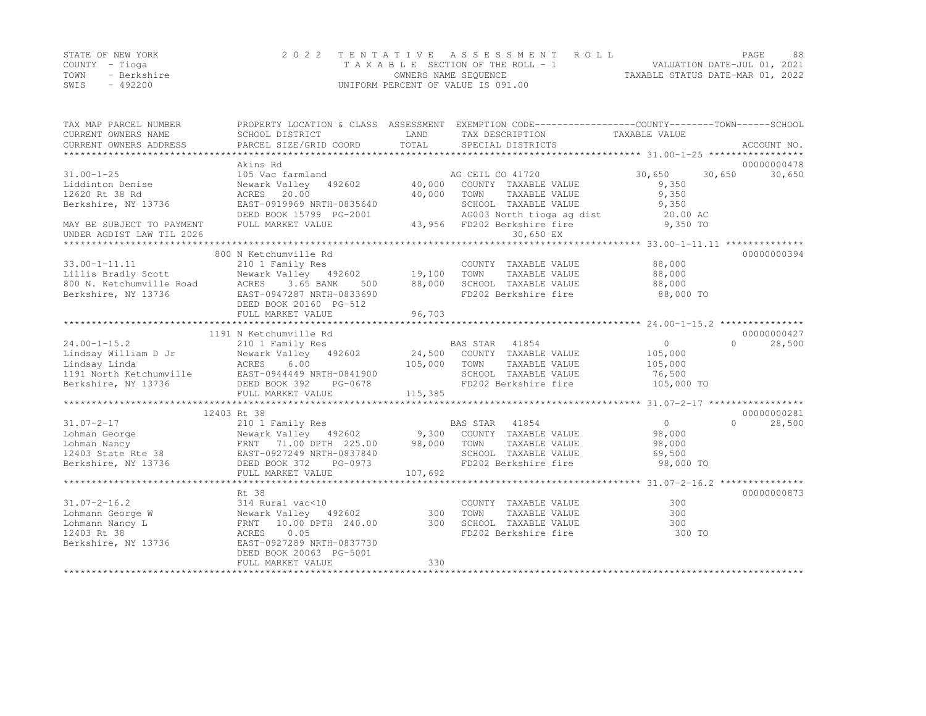|                | STATE OF NEW YORK | 2022 TENTATIVE ASSESSMENT ROLL     |                                  | PAGE | 88 |
|----------------|-------------------|------------------------------------|----------------------------------|------|----|
| COUNTY – Tioga |                   | TAXABLE SECTION OF THE ROLL - 1    | VALUATION DATE-JUL 01, 2021      |      |    |
| TOWN           | - Berkshire       | OWNERS NAME SEQUENCE               | TAXABLE STATUS DATE-MAR 01, 2022 |      |    |
| SWIS           | $-492200$         | UNIFORM PERCENT OF VALUE IS 091.00 |                                  |      |    |

| TAX MAP PARCEL NUMBER                                                                                                                                                                                                                                                                                                       |                                           |               | PROPERTY LOCATION & CLASS ASSESSMENT EXEMPTION CODE----------------COUNTY-------TOWN-----SCHOOL |                                                   |                     |
|-----------------------------------------------------------------------------------------------------------------------------------------------------------------------------------------------------------------------------------------------------------------------------------------------------------------------------|-------------------------------------------|---------------|-------------------------------------------------------------------------------------------------|---------------------------------------------------|---------------------|
| CURRENT OWNERS NAME<br>CURRENT OWNERS ADDRESS                                                                                                                                                                                                                                                                               | SCHOOL DISTRICT<br>PARCEL SIZE/GRID COORD | LAND<br>TOTAL | TAX DESCRIPTION<br>SPECIAL DISTRICTS                                                            | TAXABLE VALUE                                     | ACCOUNT NO.         |
|                                                                                                                                                                                                                                                                                                                             |                                           |               |                                                                                                 |                                                   |                     |
|                                                                                                                                                                                                                                                                                                                             | Akins Rd                                  |               |                                                                                                 |                                                   | 00000000478         |
| $31.00 - 1 - 25$                                                                                                                                                                                                                                                                                                            | 105 Vac farmland                          |               | AG CEIL CO 41720                                                                                | 30,650                                            | 30,650<br>30,650    |
| Liddinton Denise                                                                                                                                                                                                                                                                                                            | Newark Valley 492602                      | $40,000$ AG   | COUNTY TAXABLE VALUE                                                                            | 9,350                                             |                     |
| 12620 Rt 38 Rd                                                                                                                                                                                                                                                                                                              | ACRES 20.00                               | 40,000        | TOWN<br>TAXABLE VALUE                                                                           | 9,350                                             |                     |
| Berkshire, NY 13736                                                                                                                                                                                                                                                                                                         | EAST-0919969 NRTH-0835640                 |               | SCHOOL TAXABLE VALUE                                                                            | 9,350                                             |                     |
|                                                                                                                                                                                                                                                                                                                             | DEED BOOK 15799 PG-2001                   |               |                                                                                                 | 20.00 AC                                          |                     |
| MAY BE SUBJECT TO PAYMENT                                                                                                                                                                                                                                                                                                   | FULL MARKET VALUE                         |               | AG003 North tioga ag dist<br>FD202 Berkshire fire<br>43,956 FD202 Berkshire fire                | 9,350 TO                                          |                     |
| UNDER AGDIST LAW TIL 2026                                                                                                                                                                                                                                                                                                   |                                           |               | 30,650 EX                                                                                       |                                                   |                     |
|                                                                                                                                                                                                                                                                                                                             |                                           |               |                                                                                                 | ******************* 33.00-1-11.11 *************** |                     |
|                                                                                                                                                                                                                                                                                                                             | 800 N Ketchumville Rd                     |               |                                                                                                 |                                                   | 00000000394         |
| $33.00 - 1 - 11.11$                                                                                                                                                                                                                                                                                                         | 210 1 Family Res                          |               | COUNTY TAXABLE VALUE                                                                            | 88,000                                            |                     |
|                                                                                                                                                                                                                                                                                                                             | Newark Valley 492602 19,100               |               | TOWN<br>TAXABLE VALUE                                                                           | 88,000                                            |                     |
| Unilis Bradly Scott<br>Book and Mewark Valley 492602<br>800 N. Ketchumville Road<br>Berkshire, NY 13736<br>EAST-0947287 NRTH-0833690                                                                                                                                                                                        | 500                                       | 88,000        | SCHOOL TAXABLE VALUE                                                                            | 88,000                                            |                     |
|                                                                                                                                                                                                                                                                                                                             |                                           |               | FD202 Berkshire fire                                                                            | 88,000 TO                                         |                     |
|                                                                                                                                                                                                                                                                                                                             | DEED BOOK 20160 PG-512                    |               |                                                                                                 |                                                   |                     |
|                                                                                                                                                                                                                                                                                                                             | FULL MARKET VALUE                         | 96,703        |                                                                                                 |                                                   |                     |
|                                                                                                                                                                                                                                                                                                                             |                                           |               |                                                                                                 |                                                   |                     |
|                                                                                                                                                                                                                                                                                                                             | 1191 N Ketchumville Rd                    |               |                                                                                                 |                                                   | 00000000427         |
| $24.00 - 1 - 15.2$                                                                                                                                                                                                                                                                                                          | 210 1 Family Res                          |               | BAS STAR 41854                                                                                  | $\sim$ 0                                          | 28,500<br>$\bigcap$ |
| Eindsay William D Jr<br>Lindsay Linda<br>105,000<br>105,000<br>105,000<br>105,000<br>105,000<br>105,000<br>105,000<br>24,500<br>24,500<br>24,500<br>24,500<br>24,500<br>2602<br>24,500<br>2602<br>2602<br>26,000                                                                                                            |                                           |               | Newark Valley 492602 24,500 COUNTY TAXABLE VALUE                                                | 105,000                                           |                     |
|                                                                                                                                                                                                                                                                                                                             |                                           | 105,000 TOWN  | TAXABLE VALUE                                                                                   | 105,000                                           |                     |
|                                                                                                                                                                                                                                                                                                                             |                                           |               | SCHOOL TAXABLE VALUE                                                                            | 76,500                                            |                     |
| Berkshire, NY 13736                                                                                                                                                                                                                                                                                                         | DEED BOOK 392<br>PG-0678                  |               | FD202 Berkshire fire                                                                            | 105,000 TO                                        |                     |
|                                                                                                                                                                                                                                                                                                                             | FULL MARKET VALUE                         | 115,385       |                                                                                                 |                                                   |                     |
|                                                                                                                                                                                                                                                                                                                             | 12403 Rt 38                               |               |                                                                                                 |                                                   | 00000000281         |
| $31.07 - 2 - 17$                                                                                                                                                                                                                                                                                                            |                                           |               |                                                                                                 | $\overline{0}$                                    | $\Omega$<br>28,500  |
|                                                                                                                                                                                                                                                                                                                             |                                           |               |                                                                                                 | 98,000                                            |                     |
|                                                                                                                                                                                                                                                                                                                             |                                           |               |                                                                                                 | 98,000                                            |                     |
| $\begin{array}{cccccc} 31.07 - 2 - 17 & 210 & 1 & Family Res & BAS STAR & 41854 \\ Lohman George & Newark Valley & 492602 & 9,300 & COUNTY TAXABLE VALUE \\ Lohman Nancy & FRNT & 71.00 DPTH & 225.00 & 98,000 & TOWN & TAXABLE VALUE \\ 12403 State Rte 38 & EAST-0927249 NRTH-0837840 & SCHOOL TAXABLE VALUE \end{array}$ |                                           |               | SCHOOL TAXABLE VALUE                                                                            | 69,500                                            |                     |
| Berkshire, NY 13736                                                                                                                                                                                                                                                                                                         | DEED BOOK 372<br>PG-0973                  |               | FD202 Berkshire fire                                                                            | 98,000 TO                                         |                     |
|                                                                                                                                                                                                                                                                                                                             | FULL MARKET VALUE                         | 107,692       |                                                                                                 |                                                   |                     |
|                                                                                                                                                                                                                                                                                                                             |                                           |               |                                                                                                 |                                                   |                     |
|                                                                                                                                                                                                                                                                                                                             | Rt 38                                     |               |                                                                                                 |                                                   | 00000000873         |
| $31.07 - 2 - 16.2$                                                                                                                                                                                                                                                                                                          | 314 Rural vac<10                          |               | COUNTY TAXABLE VALUE                                                                            | 300                                               |                     |
|                                                                                                                                                                                                                                                                                                                             |                                           |               | TOWN<br>TAXABLE VALUE                                                                           | 300                                               |                     |
| Lohmann Nancy L                                                                                                                                                                                                                                                                                                             | FRNT 10.00 DPTH 240.00 300                |               | SCHOOL TAXABLE VALUE                                                                            | 300                                               |                     |
| 12403 Rt 38                                                                                                                                                                                                                                                                                                                 | 0.05<br>ACRES                             |               | FD202 Berkshire fire                                                                            | 300 TO                                            |                     |
| Berkshire, NY 13736                                                                                                                                                                                                                                                                                                         | EAST-0927289 NRTH-0837730                 |               |                                                                                                 |                                                   |                     |
|                                                                                                                                                                                                                                                                                                                             | DEED BOOK 20063 PG-5001                   |               |                                                                                                 |                                                   |                     |
|                                                                                                                                                                                                                                                                                                                             | FULL MARKET VALUE                         | 330           |                                                                                                 |                                                   |                     |
|                                                                                                                                                                                                                                                                                                                             |                                           |               |                                                                                                 |                                                   |                     |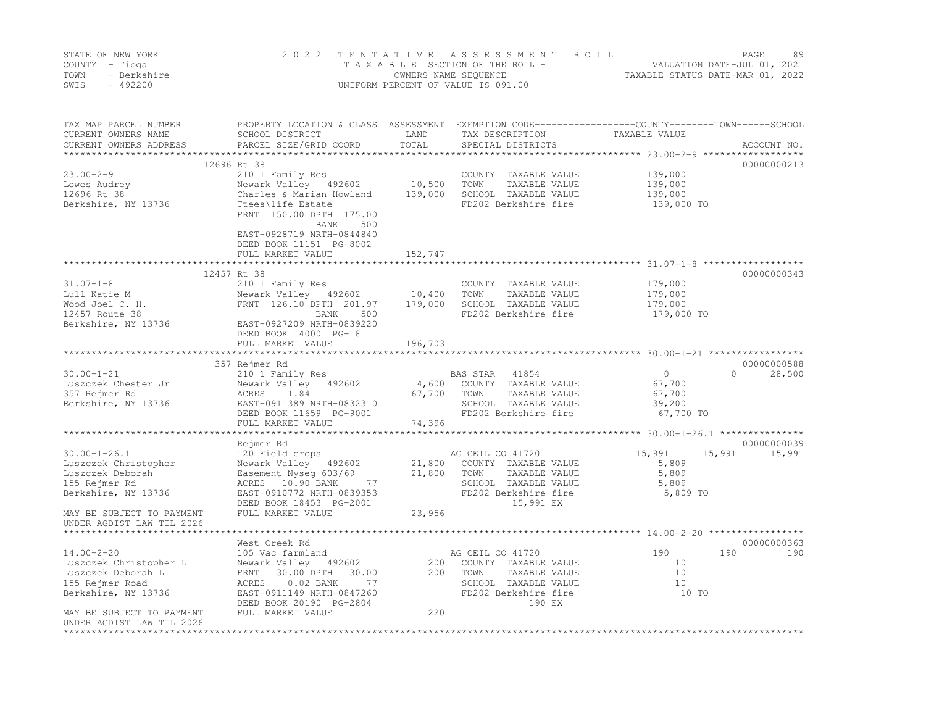|      | STATE OF NEW YORK | 2022 TENTATIVE ASSESSMENT ROLL     |                                  | PAGE.                       | 89 |
|------|-------------------|------------------------------------|----------------------------------|-----------------------------|----|
|      | COUNTY - Tioga    | TAXABLE SECTION OF THE ROLL - 1    |                                  | VALUATION DATE-JUL 01, 2021 |    |
| TOWN | - Berkshire       | OWNERS NAME SEOUENCE               | TAXABLE STATUS DATE-MAR 01, 2022 |                             |    |
| SWIS | $-492200$         | UNIFORM PERCENT OF VALUE IS 091.00 |                                  |                             |    |

| TAX MAP PARCEL NUMBER<br>CURRENT OWNERS NAME<br>CURRENT OWNERS ADDRESS | PROPERTY LOCATION & CLASS ASSESSMENT<br>SCHOOL DISTRICT<br>PARCEL SIZE/GRID COORD | LAND<br>TOTAL           | TAX DESCRIPTION<br>SPECIAL DISTRICTS  | EXEMPTION CODE-----------------COUNTY-------TOWN------SCHOOL<br>TAXABLE VALUE | ACCOUNT NO.      |
|------------------------------------------------------------------------|-----------------------------------------------------------------------------------|-------------------------|---------------------------------------|-------------------------------------------------------------------------------|------------------|
| *************************                                              |                                                                                   |                         |                                       |                                                                               |                  |
|                                                                        | 12696 Rt 38                                                                       |                         |                                       |                                                                               | 00000000213      |
| $23.00 - 2 - 9$                                                        | 210 1 Family Res                                                                  |                         | COUNTY TAXABLE VALUE                  | 139,000                                                                       |                  |
| Lowes Audrey                                                           | Newark Valley 492602                                                              | 10,500                  | TOWN<br>TAXABLE VALUE                 | 139,000                                                                       |                  |
| 12696 Rt 38                                                            | Charles & Marian Howland                                                          | 139,000                 | SCHOOL TAXABLE VALUE                  | 139,000                                                                       |                  |
| Berkshire, NY 13736                                                    | Ttees\life Estate<br>FRNT 150.00 DPTH 175.00<br>BANK<br>500                       |                         | FD202 Berkshire fire                  | 139,000 TO                                                                    |                  |
|                                                                        | EAST-0928719 NRTH-0844840<br>DEED BOOK 11151 PG-8002                              |                         |                                       |                                                                               |                  |
|                                                                        | FULL MARKET VALUE<br>*************************                                    | 152,747<br>************ |                                       |                                                                               |                  |
|                                                                        | 12457 Rt 38                                                                       |                         |                                       |                                                                               | 00000000343      |
| $31.07 - 1 - 8$                                                        | 210 1 Family Res                                                                  |                         | COUNTY TAXABLE VALUE                  | 179,000                                                                       |                  |
| Lull Katie M                                                           | Newark Valley 492602                                                              | 10,400                  | TOWN<br>TAXABLE VALUE                 | 179,000                                                                       |                  |
| Wood Joel C. H.                                                        | FRNT 126.10 DPTH 201.97                                                           | 179,000                 | SCHOOL TAXABLE VALUE                  | 179,000                                                                       |                  |
| 12457 Route 38                                                         | BANK<br>500                                                                       |                         | FD202 Berkshire fire                  | 179,000 TO                                                                    |                  |
| Berkshire, NY 13736                                                    | EAST-0927209 NRTH-0839220                                                         |                         |                                       |                                                                               |                  |
|                                                                        | DEED BOOK 14000 PG-18                                                             |                         |                                       |                                                                               |                  |
|                                                                        | FULL MARKET VALUE                                                                 | 196,703                 |                                       |                                                                               |                  |
|                                                                        |                                                                                   |                         |                                       |                                                                               |                  |
|                                                                        | 357 Rejmer Rd                                                                     |                         |                                       |                                                                               | 00000000588      |
| $30.00 - 1 - 21$                                                       | 210 1 Family Res                                                                  |                         | BAS STAR<br>41854                     | $\circ$                                                                       | 28,500<br>$\cap$ |
| Luszczek Chester Jr                                                    | Newark Valley 492602<br>1.84                                                      | 14,600<br>67,700        | COUNTY TAXABLE VALUE<br>TOWN          | 67,700                                                                        |                  |
| 357 Rejmer Rd<br>Berkshire, NY 13736                                   | ACRES<br>EAST-0911389 NRTH-0832310                                                |                         | TAXABLE VALUE<br>SCHOOL TAXABLE VALUE | 67,700<br>39,200                                                              |                  |
|                                                                        | DEED BOOK 11659 PG-9001                                                           |                         | FD202 Berkshire fire                  | 67,700 TO                                                                     |                  |
|                                                                        | FULL MARKET VALUE                                                                 | 74,396                  |                                       |                                                                               |                  |
|                                                                        |                                                                                   |                         |                                       |                                                                               |                  |
|                                                                        | Rejmer Rd                                                                         |                         |                                       |                                                                               | 00000000039      |
| $30.00 - 1 - 26.1$                                                     | 120 Field crops                                                                   |                         | AG CEIL CO 41720                      | 15,991<br>15,991                                                              | 15,991           |
| Luszczek Christopher                                                   | Newark Valley 492602                                                              | 21,800                  | COUNTY TAXABLE VALUE                  | 5,809                                                                         |                  |
| Luszczek Deborah                                                       | Easement Nyseq 603/69                                                             | 21,800                  | TOWN<br>TAXABLE VALUE                 | 5,809                                                                         |                  |
| 155 Rejmer Rd                                                          | ACRES 10.90 BANK<br>77                                                            |                         | SCHOOL TAXABLE VALUE                  | 5,809                                                                         |                  |
| Berkshire, NY 13736                                                    | EAST-0910772 NRTH-0839353                                                         |                         | FD202 Berkshire fire                  | 5,809 TO                                                                      |                  |
|                                                                        | DEED BOOK 18453 PG-2001                                                           |                         | 15,991 EX                             |                                                                               |                  |
| MAY BE SUBJECT TO PAYMENT<br>UNDER AGDIST LAW TIL 2026                 | FULL MARKET VALUE                                                                 | 23,956                  |                                       |                                                                               |                  |
|                                                                        | West Creek Rd                                                                     |                         |                                       |                                                                               | 00000000363      |
| $14.00 - 2 - 20$                                                       | 105 Vac farmland                                                                  |                         | AG CEIL CO 41720                      | 190                                                                           | 190<br>190       |
| Luszczek Christopher L                                                 | Newark Valley 492602                                                              | 200                     | COUNTY TAXABLE VALUE                  | 10                                                                            |                  |
| Luszczek Deborah L                                                     | 30.00 DPTH<br>30.00<br>FRNT                                                       | 200                     | TOWN<br>TAXABLE VALUE                 | 10                                                                            |                  |
| 155 Rejmer Road                                                        | 77<br>ACRES<br>$0.02$ BANK                                                        |                         | SCHOOL TAXABLE VALUE                  | 10                                                                            |                  |
| Berkshire, NY 13736                                                    | EAST-0911149 NRTH-0847260                                                         |                         | FD202 Berkshire fire                  | 10 TO                                                                         |                  |
|                                                                        | DEED BOOK 20190 PG-2804                                                           |                         | 190 EX                                |                                                                               |                  |
| MAY BE SUBJECT TO PAYMENT<br>UNDER AGDIST LAW TIL 2026                 | FULL MARKET VALUE                                                                 | 220                     |                                       |                                                                               |                  |
| *********************                                                  |                                                                                   |                         |                                       |                                                                               |                  |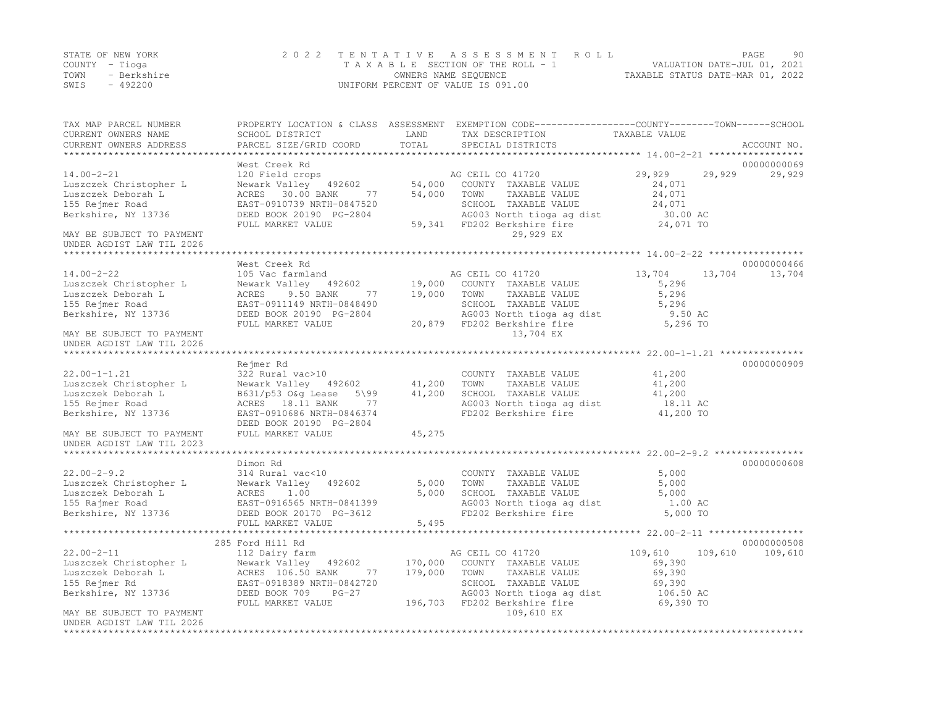|      | STATE OF NEW YORK | 2022 TENTATIVE ASSESSMENT ROLL     |                      |  |                                  | PAGE                        | 90 |
|------|-------------------|------------------------------------|----------------------|--|----------------------------------|-----------------------------|----|
|      | COUNTY – Tioga    | TAXABLE SECTION OF THE ROLL - 1    |                      |  |                                  | VALUATION DATE-JUL 01, 2021 |    |
| TOWN | - Berkshire       |                                    | OWNERS NAME SEOUENCE |  | TAXABLE STATUS DATE-MAR 01, 2022 |                             |    |
| SWIS | - 492200          | UNIFORM PERCENT OF VALUE IS 091.00 |                      |  |                                  |                             |    |

| TAX MAP PARCEL NUMBER                                  |                                            | LAND               | PROPERTY LOCATION & CLASS ASSESSMENT EXEMPTION CODE----------------COUNTY-------TOWN-----SCHOOL | TAXABLE VALUE                                      |             |
|--------------------------------------------------------|--------------------------------------------|--------------------|-------------------------------------------------------------------------------------------------|----------------------------------------------------|-------------|
| CURRENT OWNERS NAME<br>CURRENT OWNERS ADDRESS          | SCHOOL DISTRICT<br>PARCEL SIZE/GRID COORD  | TOTAL              | TAX DESCRIPTION<br>SPECIAL DISTRICTS                                                            |                                                    | ACCOUNT NO. |
|                                                        |                                            | ****************** |                                                                                                 | ******************** 14.00-2-21 ****************** |             |
|                                                        | West Creek Rd                              |                    |                                                                                                 |                                                    | 00000000069 |
| $14.00 - 2 - 21$                                       | 120 Field crops                            |                    | AG CEIL CO 41720                                                                                | 29,929<br>29,929                                   | 29,929      |
| Luszczek Christopher L                                 | Newark Valley 492602                       | 54,000             | COUNTY TAXABLE VALUE                                                                            | 24,071                                             |             |
| Luszczek Deborah L                                     | ACRES 30.00 BANK<br>77                     | 54,000             | TOWN<br>TAXABLE VALUE                                                                           | 24,071                                             |             |
| 155 Rejmer Road                                        | EAST-0910739 NRTH-0847520                  |                    | SCHOOL TAXABLE VALUE                                                                            | 24,071                                             |             |
| Berkshire, NY 13736                                    | DEED BOOK 20190 PG-2804                    |                    | AG003 North tioga ag dist                                                                       | 30.00 AC                                           |             |
|                                                        | FULL MARKET VALUE                          |                    | 59,341 FD202 Berkshire fire                                                                     | 24,071 TO                                          |             |
| MAY BE SUBJECT TO PAYMENT<br>UNDER AGDIST LAW TIL 2026 |                                            |                    | 29,929 EX                                                                                       |                                                    |             |
| ******************************                         |                                            |                    |                                                                                                 |                                                    |             |
|                                                        | West Creek Rd                              |                    |                                                                                                 |                                                    | 00000000466 |
| $14.00 - 2 - 22$                                       | 105 Vac farmland                           |                    | AG CEIL CO 41720                                                                                | 13,704<br>13,704                                   | 13,704      |
| Luszczek Christopher L                                 | Newark Valley 492602                       |                    | 19,000 COUNTY TAXABLE VALUE                                                                     | 5,296                                              |             |
| Luszczek Deborah L                                     | ACRES<br>9.50 BANK<br>77                   | 19,000             | TOWN<br>TAXABLE VALUE                                                                           | 5,296                                              |             |
| 155 Rejmer Road                                        | EAST-0911149 NRTH-0848490                  |                    | SCHOOL TAXABLE VALUE                                                                            | 5,296                                              |             |
| Berkshire, NY 13736                                    | DEED BOOK 20190 PG-2804                    |                    | AG003 North tioga ag dist                                                                       | 9.50 AC                                            |             |
|                                                        | FULL MARKET VALUE                          |                    | 20,879 FD202 Berkshire fire                                                                     | 5,296 TO                                           |             |
| MAY BE SUBJECT TO PAYMENT                              |                                            |                    | 13,704 EX                                                                                       |                                                    |             |
| UNDER AGDIST LAW TIL 2026                              |                                            |                    |                                                                                                 |                                                    |             |
| *****************************                          |                                            |                    |                                                                                                 |                                                    |             |
|                                                        | Rejmer Rd                                  |                    |                                                                                                 |                                                    | 00000000909 |
| $22.00 - 1 - 1.21$                                     | 322 Rural vac>10                           |                    | COUNTY TAXABLE VALUE                                                                            | 41,200                                             |             |
| Luszczek Christopher L                                 | Newark Valley 492602                       | 41,200             | TOWN<br>TAXABLE VALUE                                                                           | 41,200                                             |             |
| Luszczek Deborah L                                     | B631/p53 O&g Lease<br>$5\$ 99              | 41,200             | SCHOOL TAXABLE VALUE                                                                            | 41,200                                             |             |
| 155 Rejmer Road                                        | ACRES 18.11 BANK<br>77                     |                    | AG003 North tioga ag dist                                                                       | 18.11 AC                                           |             |
| Berkshire, NY 13736                                    | EAST-0910686 NRTH-0846374                  |                    | FD202 Berkshire fire                                                                            | 41,200 TO                                          |             |
|                                                        | DEED BOOK 20190 PG-2804                    |                    |                                                                                                 |                                                    |             |
| MAY BE SUBJECT TO PAYMENT                              | FULL MARKET VALUE                          | 45,275             |                                                                                                 |                                                    |             |
| UNDER AGDIST LAW TIL 2023                              |                                            |                    |                                                                                                 |                                                    |             |
| *************************                              |                                            |                    |                                                                                                 |                                                    |             |
|                                                        | Dimon Rd                                   |                    |                                                                                                 |                                                    | 00000000608 |
| $22.00 - 2 - 9.2$                                      | 314 Rural vac<10                           |                    | COUNTY TAXABLE VALUE                                                                            | 5,000                                              |             |
| Luszczek Christopher L                                 | Newark Valley<br>492602                    | 5,000              | TOWN<br>TAXABLE VALUE                                                                           | 5,000                                              |             |
| Luszczek Deborah L                                     | 1.00<br>ACRES<br>EAST-0916565 NRTH-0841399 | 5,000              | SCHOOL TAXABLE VALUE                                                                            | 5,000<br>1.00 AC                                   |             |
| 155 Rajmer Road<br>Berkshire, NY 13736                 | DEED BOOK 20170 PG-3612                    |                    | AG003 North tioga ag dist<br>FD202 Berkshire fire                                               | 5,000 TO                                           |             |
|                                                        | FULL MARKET VALUE                          | 5,495              |                                                                                                 |                                                    |             |
|                                                        |                                            |                    |                                                                                                 |                                                    |             |
|                                                        | 285 Ford Hill Rd                           |                    |                                                                                                 |                                                    | 00000000508 |
| $22.00 - 2 - 11$                                       | 112 Dairy farm                             |                    | AG CEIL CO 41720                                                                                | 109,610<br>109,610                                 | 109,610     |
| Luszczek Christopher L                                 | Newark Valley 492602                       | 170,000            | COUNTY TAXABLE VALUE                                                                            | 69,390                                             |             |
| Luszczek Deborah L                                     | ACRES 106.50 BANK<br>77                    | 179,000            | TOWN<br>TAXABLE VALUE                                                                           | 69,390                                             |             |
| 155 Rejmer Rd                                          | EAST-0918389 NRTH-0842720                  |                    | SCHOOL TAXABLE VALUE                                                                            | 69,390                                             |             |
| Berkshire, NY 13736                                    | $PG-27$<br>DEED BOOK 709                   |                    | AG003 North tioga ag dist                                                                       | 106.50 AC                                          |             |
|                                                        | FULL MARKET VALUE                          | 196,703            | FD202 Berkshire fire                                                                            | 69,390 TO                                          |             |
| MAY BE SUBJECT TO PAYMENT                              |                                            |                    | 109,610 EX                                                                                      |                                                    |             |
| UNDER AGDIST LAW TIL 2026                              |                                            |                    |                                                                                                 |                                                    |             |
| ********************                                   |                                            |                    |                                                                                                 |                                                    |             |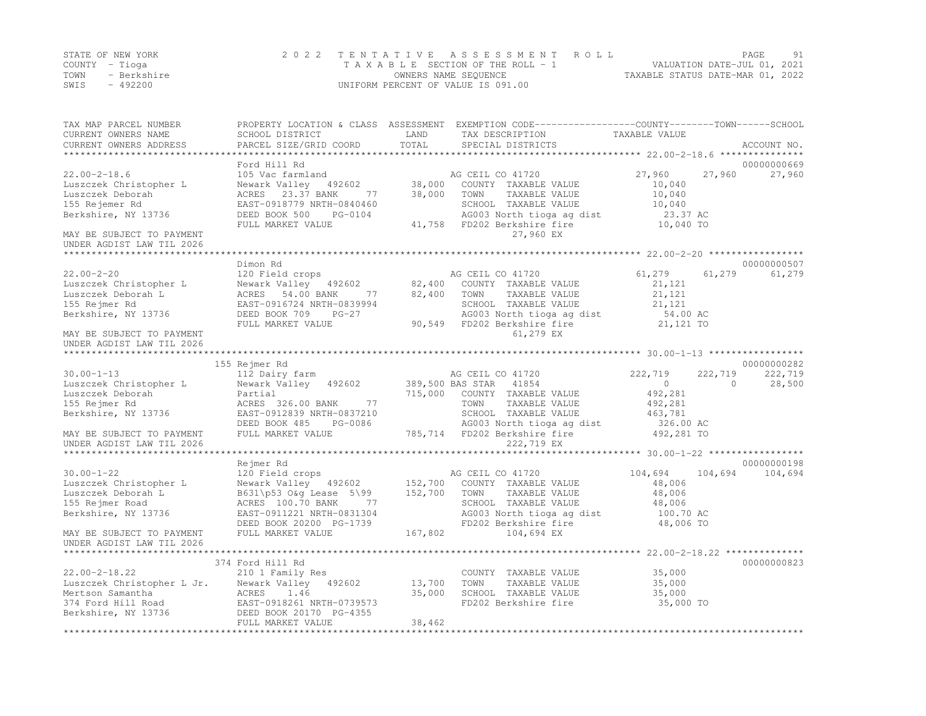|      | STATE OF NEW YORK | 2022 TENTATIVE ASSESSMENT ROLL     | PAGE                             | 91 |
|------|-------------------|------------------------------------|----------------------------------|----|
|      | COUNTY – Tioga    | TAXABLE SECTION OF THE ROLL - 1    | VALUATION DATE-JUL 01, 2021      |    |
| TOWN | - Berkshire       | OWNERS NAME SEQUENCE               | TAXABLE STATUS DATE-MAR 01, 2022 |    |
| SWIS | - 492200          | UNIFORM PERCENT OF VALUE IS 091.00 |                                  |    |

| TAX MAP PARCEL NUMBER<br>CURRENT OWNERS NAME<br>CURRENT OWNERS ADDRESS                                                                                             | SCHOOL DISTRICT<br>PARCEL SIZE/GRID COORD                                                                                                                                  | LAND<br>TOTAL                 | PROPERTY LOCATION & CLASS ASSESSMENT EXEMPTION CODE----------------COUNTY-------TOWN------SCHOOL<br>TAX DESCRIPTION<br>SPECIAL DISTRICTS                           | TAXABLE VALUE                                                           | ACCOUNT NO.                                  |
|--------------------------------------------------------------------------------------------------------------------------------------------------------------------|----------------------------------------------------------------------------------------------------------------------------------------------------------------------------|-------------------------------|--------------------------------------------------------------------------------------------------------------------------------------------------------------------|-------------------------------------------------------------------------|----------------------------------------------|
|                                                                                                                                                                    |                                                                                                                                                                            |                               |                                                                                                                                                                    |                                                                         |                                              |
| $22.00 - 2 - 18.6$<br>Luszczek Christopher L<br>Luszczek Deborah<br>155 Rejemer Rd<br>Berkshire, NY 13736<br>MAY BE SUBJECT TO PAYMENT                             | Ford Hill Rd<br>105 Vac farmland<br>Newark Valley 492602<br>77<br>ACRES 23.37 BANK<br>EAST-0918779 NRTH-0840460<br>DEED BOOK 500<br>PG-0104<br>FULL MARKET VALUE           | 38,000<br>38,000              | AG CEIL CO 41720<br>COUNTY TAXABLE VALUE<br>TOWN<br>TAXABLE VALUE<br>SCHOOL TAXABLE VALUE<br>AG003 North tioga ag dist<br>41,758 FD202 Berkshire fire<br>27,960 EX | 27,960<br>27,960<br>10,040<br>10,040<br>10,040<br>23.37 AC<br>10,040 TO | 00000000669<br>27,960                        |
| UNDER AGDIST LAW TIL 2026                                                                                                                                          |                                                                                                                                                                            |                               |                                                                                                                                                                    |                                                                         |                                              |
| $22.00 - 2 - 20$<br>Luszczek Christopher L<br>Luszczek Deborah L<br>155 Rejmer Rd<br>Berkshire, NY 13736<br>MAY BE SUBJECT TO PAYMENT<br>UNDER AGDIST LAW TIL 2026 | Dimon Rd<br>120 Field crops<br>Newark Valley 492602<br>ACRES 54.00 BANK<br>77<br>EAST-0916724 NRTH-0839994<br>DEED BOOK 709<br>$PG-27$<br>FULL MARKET VALUE                | 82,400<br>82,400              | AG CEIL CO 41720<br>COUNTY TAXABLE VALUE<br>TOWN<br>TAXABLE VALUE<br>SCHOOL TAXABLE VALUE<br>AG003 North tioga ag dist<br>90,549 FD202 Berkshire fire<br>61,279 EX | 61,279<br>61,279<br>21,121<br>21,121<br>21,121<br>54.00 AC<br>21,121 TO | 00000000507<br>61,279                        |
| *************************                                                                                                                                          |                                                                                                                                                                            |                               |                                                                                                                                                                    |                                                                         |                                              |
| $30.00 - 1 - 13$<br>Luszczek Christopher L<br>Luszczek Deborah<br>155 Rejmer Rd<br>Berkshire, NY 13736                                                             | 155 Rejmer Rd<br>112 Dairy farm<br>Newark Valley 492602<br>Partial<br>ACRES 326.00 BANK<br>77<br>EAST-0912839 NRTH-0837210<br>DEED BOOK 485<br>PG-0086                     |                               | AG CEIL CO 41720<br>389,500 BAS STAR 41854<br>715,000 COUNTY TAXABLE VALUE<br>TOWN<br>TAXABLE VALUE<br>SCHOOL TAXABLE VALUE<br>AG003 North tioga ag dist 326.00 AC | 222,719<br>222,719<br>$\circ$<br>492,281<br>492,281<br>463,781          | 00000000282<br>222,719<br>28,500<br>$\Omega$ |
| MAY BE SUBJECT TO PAYMENT                                                                                                                                          | FULL MARKET VALUE                                                                                                                                                          |                               | 785,714 FD202 Berkshire fire                                                                                                                                       | 492,281 TO                                                              |                                              |
| UNDER AGDIST LAW TIL 2026                                                                                                                                          |                                                                                                                                                                            |                               | 222,719 EX                                                                                                                                                         |                                                                         |                                              |
|                                                                                                                                                                    | Rejmer Rd                                                                                                                                                                  |                               |                                                                                                                                                                    |                                                                         | 00000000198                                  |
| $30.00 - 1 - 22$<br>Luszczek Christopher L<br>Luszczek Deborah L<br>155 Rejmer Road<br>Berkshire, NY 13736<br>MAY BE SUBJECT TO PAYMENT                            | 120 Field crops<br>Newark Valley 492602<br>B631\p53 O&g Lease 5\99<br>ACRES 100.70 BANK<br>77<br>EAST-0911221 NRTH-0831304<br>DEED BOOK 20200 PG-1739<br>FULL MARKET VALUE | 152,700<br>152,700<br>167,802 | AG CEIL CO 41720<br>COUNTY TAXABLE VALUE<br>TOWN<br>TAXABLE VALUE<br>SCHOOL TAXABLE VALUE<br>AG003 North tioga ag dist<br>FD202 Berkshire fire<br>104,694 EX       | 104,694<br>48,006<br>48,006<br>48,006<br>100.70 AC<br>48,006 TO         | 104,694 104,694                              |
| UNDER AGDIST LAW TIL 2026                                                                                                                                          |                                                                                                                                                                            |                               |                                                                                                                                                                    |                                                                         |                                              |
| $22.00 - 2 - 18.22$<br>Luszczek Christopher L Jr. Newark Valley<br>Mertson Samantha<br>374 Ford Hill Road<br>Berkshire, NY 13736                                   | 374 Ford Hill Rd<br>210 1 Family Res<br>492602<br>ACRES<br>1.46<br>EAST-0918261 NRTH-0739573<br>DEED BOOK 20170 PG-4355<br>FULL MARKET VALUE                               | 13,700<br>35,000<br>38,462    | COUNTY TAXABLE VALUE<br>TOWN<br>TAXABLE VALUE<br>SCHOOL TAXABLE VALUE<br>FD202 Berkshire fire                                                                      | 35,000<br>35,000<br>35,000<br>35,000 TO                                 | 00000000823                                  |
|                                                                                                                                                                    |                                                                                                                                                                            |                               |                                                                                                                                                                    |                                                                         |                                              |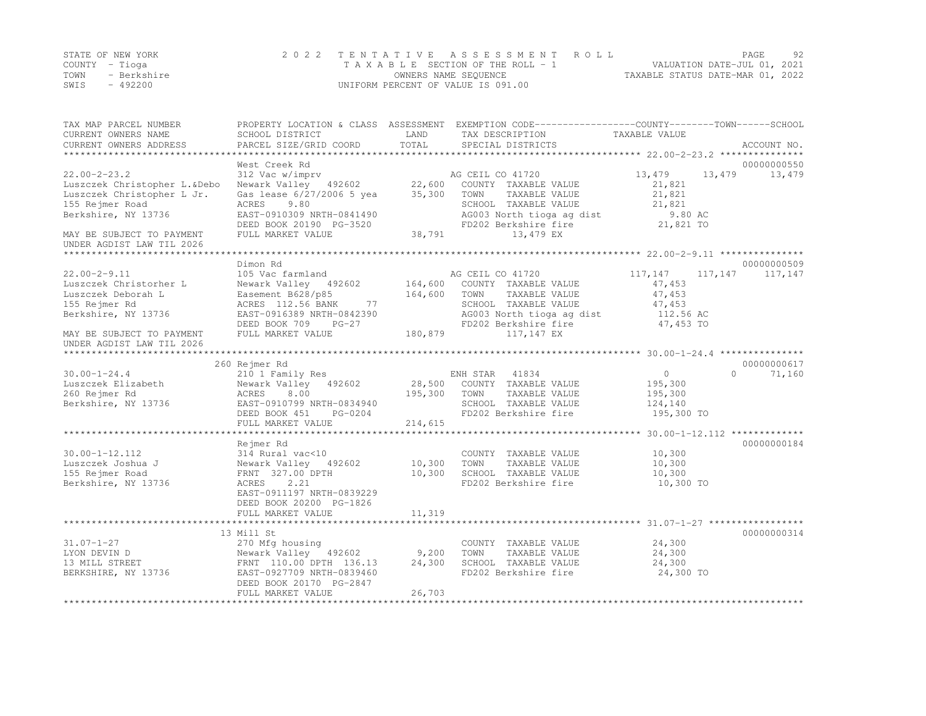|      | STATE OF NEW YORK | 2022 TENTATIVE ASSESSMENT ROLL     | PAGE                             | 92 |
|------|-------------------|------------------------------------|----------------------------------|----|
|      | COUNTY – Tioga    | TAXABLE SECTION OF THE ROLL - 1    | VALUATION DATE-JUL 01, 2021      |    |
| TOWN | - Berkshire       | OWNERS NAME SEQUENCE               | TAXABLE STATUS DATE-MAR 01, 2022 |    |
| SWIS | - 492200          | UNIFORM PERCENT OF VALUE IS 091.00 |                                  |    |

| TAX MAP PARCEL NUMBER<br>CURRENT OWNERS NAME                                                                               | SCHOOL DISTRICT                                                                                                                                                         | LAND                          | PROPERTY LOCATION & CLASS ASSESSMENT EXEMPTION CODE----------------COUNTY-------TOWN------SCHOOL<br>TAX DESCRIPTION                                          | TAXABLE VALUE                                                              |                     |
|----------------------------------------------------------------------------------------------------------------------------|-------------------------------------------------------------------------------------------------------------------------------------------------------------------------|-------------------------------|--------------------------------------------------------------------------------------------------------------------------------------------------------------|----------------------------------------------------------------------------|---------------------|
| CURRENT OWNERS ADDRESS                                                                                                     | PARCEL SIZE/GRID COORD                                                                                                                                                  | TOTAL                         | SPECIAL DISTRICTS                                                                                                                                            |                                                                            | ACCOUNT NO.         |
|                                                                                                                            | West Creek Rd                                                                                                                                                           |                               |                                                                                                                                                              |                                                                            | 00000000550         |
| $22.00 - 2 - 23.2$<br>Luszczek Christopher L.&Debo<br>Luszczek Christopher L Jr.<br>155 Rejmer Road<br>Berkshire, NY 13736 | 312 Vac w/imprv<br>Newark Valley 492602<br>Gas lease 6/27/2006 5 yea<br>9.80<br>ACRES<br>EAST-0910309 NRTH-0841490<br>DEED BOOK 20190 PG-3520                           | 22,600<br>35,300              | AG CEIL CO 41720<br>COUNTY TAXABLE VALUE<br>TOWN<br>TAXABLE VALUE<br>SCHOOL TAXABLE VALUE<br>AG003 North tioga ag dist<br>FD202 Berkshire fire               | 13,479<br>21,821<br>21,821<br>21,821<br>9.80 AC<br>21,821 TO               | 13,479 13,479       |
| MAY BE SUBJECT TO PAYMENT<br>UNDER AGDIST LAW TIL 2026                                                                     | FULL MARKET VALUE                                                                                                                                                       | 38,791                        | 13,479 EX                                                                                                                                                    |                                                                            |                     |
|                                                                                                                            | Dimon Rd                                                                                                                                                                |                               |                                                                                                                                                              |                                                                            | 00000000509         |
| $22.00 - 2 - 9.11$<br>Luszczek Christorher L<br>Luszczek Deborah L<br>155 Rejmer Rd<br>Berkshire, NY 13736                 | 105 Vac farmland<br>Newark Valley 492602<br>Easement B628/p85<br>77<br>ACRES 112.56 BANK<br>EAST-0916389 NRTH-0842390<br>DEED BOOK 709<br>$PG-27$<br>FULL MARKET VALUE  | 164,600<br>164,600<br>180,879 | AG CEIL CO 41720<br>COUNTY TAXABLE VALUE<br>TOWN<br>TAXABLE VALUE<br>SCHOOL TAXABLE VALUE<br>AG003 North tioga ag dist<br>FD202 Berkshire fire<br>117,147 EX | 117,147<br>117,147<br>47,453<br>47,453<br>47,453<br>112.56 AC<br>47,453 TO | 117,147             |
| MAY BE SUBJECT TO PAYMENT<br>UNDER AGDIST LAW TIL 2026                                                                     |                                                                                                                                                                         |                               |                                                                                                                                                              |                                                                            |                     |
|                                                                                                                            |                                                                                                                                                                         |                               |                                                                                                                                                              |                                                                            |                     |
|                                                                                                                            | 260 Rejmer Rd                                                                                                                                                           |                               |                                                                                                                                                              |                                                                            | 00000000617         |
| $30.00 - 1 - 24.4$                                                                                                         | 210 1 Family Res                                                                                                                                                        |                               | ENH STAR<br>41834                                                                                                                                            | $\circ$                                                                    | $\bigcap$<br>71,160 |
| Luszczek Elizabeth<br>260 Rejmer Rd<br>Berkshire, NY 13736                                                                 | Newark Valley 492602<br>ACRES<br>8.00<br>EAST-0910799 NRTH-0834940<br>DEED BOOK 451<br>PG-0204<br>FULL MARKET VALUE                                                     | 28,500<br>195,300<br>214,615  | COUNTY TAXABLE VALUE<br>TOWN<br>TAXABLE VALUE<br>SCHOOL TAXABLE VALUE<br>FD202 Berkshire fire                                                                | 195,300<br>195,300<br>124,140<br>195,300 TO                                |                     |
|                                                                                                                            |                                                                                                                                                                         |                               |                                                                                                                                                              |                                                                            |                     |
| $30.00 - 1 - 12.112$<br>Luszczek Joshua J<br>155 Rejmer Road<br>Berkshire, NY 13736                                        | Rejmer Rd<br>314 Rural vac<10<br>Newark Valley 492602<br>FRNT 327.00 DPTH<br>2.21<br>ACRES<br>EAST-0911197 NRTH-0839229<br>DEED BOOK 20200 PG-1826<br>FULL MARKET VALUE | 10,300<br>10,300<br>11,319    | COUNTY TAXABLE VALUE<br>TOWN<br>TAXABLE VALUE<br>SCHOOL TAXABLE VALUE<br>FD202 Berkshire fire                                                                | 10,300<br>10,300<br>10,300<br>10,300 TO                                    | 00000000184         |
|                                                                                                                            |                                                                                                                                                                         |                               |                                                                                                                                                              |                                                                            |                     |
| $31.07 - 1 - 27$<br>LYON DEVIN D<br>13 MILL STREET<br>BERKSHIRE, NY 13736                                                  | 13 Mill St<br>270 Mfg housing<br>Newark Valley 492602<br>FRNT 110.00 DPTH 136.13<br>EAST-0927709 NRTH-0839460<br>DEED BOOK 20170 PG-2847<br>FULL MARKET VALUE           | 9,200<br>24,300<br>26,703     | COUNTY TAXABLE VALUE<br>TOWN<br>TAXABLE VALUE<br>SCHOOL TAXABLE VALUE<br>FD202 Berkshire fire                                                                | 24,300<br>24,300<br>24,300<br>24,300 TO                                    | 00000000314         |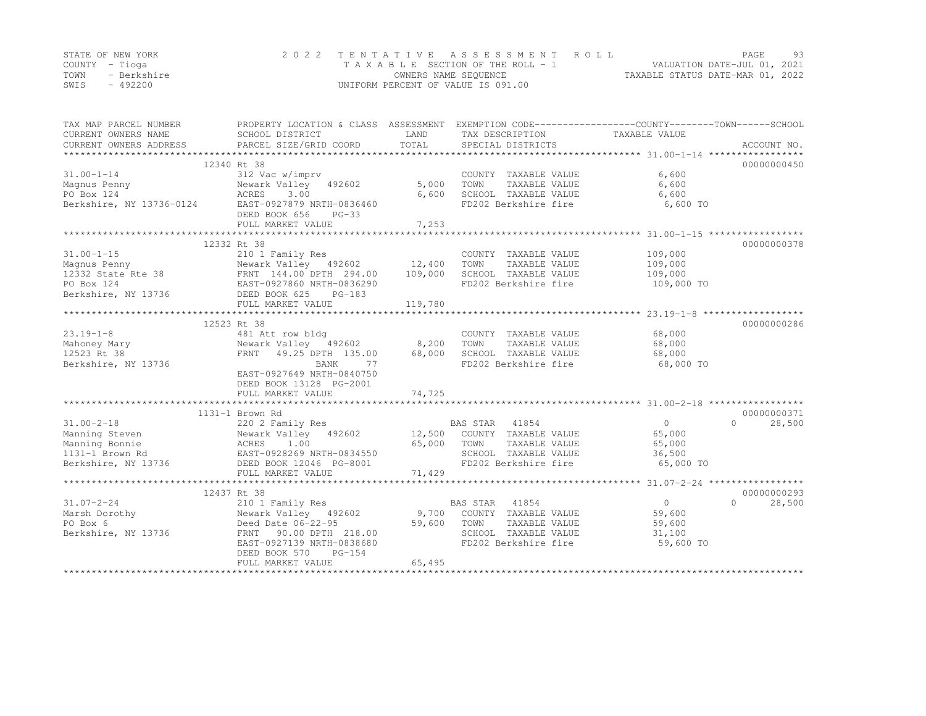|      | STATE OF NEW YORK | 2022 TENTATIVE ASSESSMENT ROLL     | PAGE.                            | 93 |
|------|-------------------|------------------------------------|----------------------------------|----|
|      | COUNTY – Tioga    | TAXABLE SECTION OF THE ROLL - 1    | VALUATION DATE-JUL 01, 2021      |    |
| TOWN | - Berkshire       | OWNERS NAME SEOUENCE               | TAXABLE STATUS DATE-MAR 01, 2022 |    |
| SWIS | $-492200$         | UNIFORM PERCENT OF VALUE IS 091.00 |                                  |    |

| 12340 Rt 38<br>00000000450<br>$31.00 - 1 - 14$<br>6,600<br>312 Vac w/imprv<br>COUNTY TAXABLE VALUE<br>TAXABLE VALUE<br>6,600<br>Newark Valley 492602<br>5,000<br>TOWN<br>Magnus Penny<br>PO Box 124<br>3.00<br>6,600<br>ACRES<br>6,600<br>SCHOOL TAXABLE VALUE<br>Berkshire, NY 13736-0124<br>EAST-0927879 NRTH-0836460<br>FD202 Berkshire fire<br>6,600 TO<br>DEED BOOK 656<br>$PG-33$<br>7,253<br>FULL MARKET VALUE<br>12332 Rt 38<br>00000000378<br>109,000<br>COUNTY TAXABLE VALUE<br>31.00-1-15<br>Magnus Penny<br>12332 State Rte 38<br>PO Box 124<br>PO Box 124<br>PO Box 124<br>PO Box 124<br>PO Box 124<br>PO Box 124<br>PO Box 124<br>PO Box 124<br>PO Box 124<br>PO Box 124<br>PO Box 124<br>PO Box 124<br>PO Box 124<br>PO Box 124<br>PO Box 1<br>TOWN<br>TAXABLE VALUE<br>109,000<br>SCHOOL TAXABLE VALUE<br>109,000<br>FD202 Berkshire fire<br>109,000 TO<br>Berkshire, NY 13736<br>DEED BOOK 625<br>$PG-183$<br>FULL MARKET VALUE<br>119,780<br>00000000286<br>12523 Rt 38<br>COUNTY TAXABLE VALUE<br>68,000<br>481 Att row bldg<br>TAXABLE VALUE<br>Newark Valley 492602<br>8,200<br>TOWN<br>68,000<br>FRNT 49.25 DPTH 135.00<br>68,000<br>SCHOOL TAXABLE VALUE<br>68,000<br>FD202 Berkshire fire<br>BANK<br>77<br>68,000 TO<br>EAST-0927649 NRTH-0840750<br>DEED BOOK 13128 PG-2001<br>74,725<br>FULL MARKET VALUE<br>1131-1 Brown Rd<br>00000000371<br>$\Omega$<br>$31.00 - 2 - 18$<br>220 2 Family Res<br>BAS STAR 41854<br>$\Omega$<br>28,500<br>COUNTY TAXABLE VALUE<br>Manning Steven<br>Newark Valley 492602<br>12,500<br>65,000<br>Manning Bonnie<br>65,000<br>TOWN<br>TAXABLE VALUE<br>65,000<br>ACRES 1.00<br>EAST-0928269 NRTH-0834550<br>CORPORAGE PG-8001<br>SCHOOL TAXABLE VALUE<br>1131-1 Brown Rd<br>36,500<br>Berkshire, NY 13736<br>FD202 Berkshire fire<br>DEED BOOK 12046 PG-8001<br>65,000 TO<br>71,429<br>FULL MARKET VALUE<br>12437 Rt 38<br>00000000293<br>BAS STAR 41854<br>$\overline{0}$<br>$\Omega$<br>28,500<br>$31.07 - 2 - 24$<br>210 1 Family Res<br>Marsh Dorothy<br>9,700 COUNTY TAXABLE VALUE<br>59,600<br>Newark Valley 492602<br>59,600<br>PO Box 6<br>Deed Date 06-22-95<br>TOWN<br>TAXABLE VALUE<br>59,600<br>Berkshire, NY 13736<br>FRNT 90.00 DPTH 218.00<br>SCHOOL TAXABLE VALUE<br>31,100<br>FD202 Berkshire fire<br>59,600 TO<br>EAST-0927139 NRTH-0838680<br>DEED BOOK 570<br>$PG-154$<br>65,495<br>FULL MARKET VALUE | TAX MAP PARCEL NUMBER<br>CURRENT OWNERS NAME<br>CURRENT OWNERS ADDRESS | PROPERTY LOCATION & CLASS ASSESSMENT EXEMPTION CODE----------------COUNTY-------TOWN-----SCHOOL<br>SCHOOL DISTRICT<br>PARCEL SIZE/GRID COORD | LAND<br>TOTAL | TAX DESCRIPTION<br>SPECIAL DISTRICTS | TAXABLE VALUE | ACCOUNT NO. |
|------------------------------------------------------------------------------------------------------------------------------------------------------------------------------------------------------------------------------------------------------------------------------------------------------------------------------------------------------------------------------------------------------------------------------------------------------------------------------------------------------------------------------------------------------------------------------------------------------------------------------------------------------------------------------------------------------------------------------------------------------------------------------------------------------------------------------------------------------------------------------------------------------------------------------------------------------------------------------------------------------------------------------------------------------------------------------------------------------------------------------------------------------------------------------------------------------------------------------------------------------------------------------------------------------------------------------------------------------------------------------------------------------------------------------------------------------------------------------------------------------------------------------------------------------------------------------------------------------------------------------------------------------------------------------------------------------------------------------------------------------------------------------------------------------------------------------------------------------------------------------------------------------------------------------------------------------------------------------------------------------------------------------------------------------------------------------------------------------------------------------------------------------------------------------------------------------------------------------------------------------------------------------------------------------------------------------------------------------------------------------------|------------------------------------------------------------------------|----------------------------------------------------------------------------------------------------------------------------------------------|---------------|--------------------------------------|---------------|-------------|
|                                                                                                                                                                                                                                                                                                                                                                                                                                                                                                                                                                                                                                                                                                                                                                                                                                                                                                                                                                                                                                                                                                                                                                                                                                                                                                                                                                                                                                                                                                                                                                                                                                                                                                                                                                                                                                                                                                                                                                                                                                                                                                                                                                                                                                                                                                                                                                                    |                                                                        |                                                                                                                                              |               |                                      |               |             |
|                                                                                                                                                                                                                                                                                                                                                                                                                                                                                                                                                                                                                                                                                                                                                                                                                                                                                                                                                                                                                                                                                                                                                                                                                                                                                                                                                                                                                                                                                                                                                                                                                                                                                                                                                                                                                                                                                                                                                                                                                                                                                                                                                                                                                                                                                                                                                                                    |                                                                        |                                                                                                                                              |               |                                      |               |             |
|                                                                                                                                                                                                                                                                                                                                                                                                                                                                                                                                                                                                                                                                                                                                                                                                                                                                                                                                                                                                                                                                                                                                                                                                                                                                                                                                                                                                                                                                                                                                                                                                                                                                                                                                                                                                                                                                                                                                                                                                                                                                                                                                                                                                                                                                                                                                                                                    |                                                                        |                                                                                                                                              |               |                                      |               |             |
|                                                                                                                                                                                                                                                                                                                                                                                                                                                                                                                                                                                                                                                                                                                                                                                                                                                                                                                                                                                                                                                                                                                                                                                                                                                                                                                                                                                                                                                                                                                                                                                                                                                                                                                                                                                                                                                                                                                                                                                                                                                                                                                                                                                                                                                                                                                                                                                    |                                                                        |                                                                                                                                              |               |                                      |               |             |
|                                                                                                                                                                                                                                                                                                                                                                                                                                                                                                                                                                                                                                                                                                                                                                                                                                                                                                                                                                                                                                                                                                                                                                                                                                                                                                                                                                                                                                                                                                                                                                                                                                                                                                                                                                                                                                                                                                                                                                                                                                                                                                                                                                                                                                                                                                                                                                                    |                                                                        |                                                                                                                                              |               |                                      |               |             |
|                                                                                                                                                                                                                                                                                                                                                                                                                                                                                                                                                                                                                                                                                                                                                                                                                                                                                                                                                                                                                                                                                                                                                                                                                                                                                                                                                                                                                                                                                                                                                                                                                                                                                                                                                                                                                                                                                                                                                                                                                                                                                                                                                                                                                                                                                                                                                                                    |                                                                        |                                                                                                                                              |               |                                      |               |             |
|                                                                                                                                                                                                                                                                                                                                                                                                                                                                                                                                                                                                                                                                                                                                                                                                                                                                                                                                                                                                                                                                                                                                                                                                                                                                                                                                                                                                                                                                                                                                                                                                                                                                                                                                                                                                                                                                                                                                                                                                                                                                                                                                                                                                                                                                                                                                                                                    |                                                                        |                                                                                                                                              |               |                                      |               |             |
|                                                                                                                                                                                                                                                                                                                                                                                                                                                                                                                                                                                                                                                                                                                                                                                                                                                                                                                                                                                                                                                                                                                                                                                                                                                                                                                                                                                                                                                                                                                                                                                                                                                                                                                                                                                                                                                                                                                                                                                                                                                                                                                                                                                                                                                                                                                                                                                    |                                                                        |                                                                                                                                              |               |                                      |               |             |
|                                                                                                                                                                                                                                                                                                                                                                                                                                                                                                                                                                                                                                                                                                                                                                                                                                                                                                                                                                                                                                                                                                                                                                                                                                                                                                                                                                                                                                                                                                                                                                                                                                                                                                                                                                                                                                                                                                                                                                                                                                                                                                                                                                                                                                                                                                                                                                                    |                                                                        |                                                                                                                                              |               |                                      |               |             |
|                                                                                                                                                                                                                                                                                                                                                                                                                                                                                                                                                                                                                                                                                                                                                                                                                                                                                                                                                                                                                                                                                                                                                                                                                                                                                                                                                                                                                                                                                                                                                                                                                                                                                                                                                                                                                                                                                                                                                                                                                                                                                                                                                                                                                                                                                                                                                                                    |                                                                        |                                                                                                                                              |               |                                      |               |             |
|                                                                                                                                                                                                                                                                                                                                                                                                                                                                                                                                                                                                                                                                                                                                                                                                                                                                                                                                                                                                                                                                                                                                                                                                                                                                                                                                                                                                                                                                                                                                                                                                                                                                                                                                                                                                                                                                                                                                                                                                                                                                                                                                                                                                                                                                                                                                                                                    |                                                                        |                                                                                                                                              |               |                                      |               |             |
|                                                                                                                                                                                                                                                                                                                                                                                                                                                                                                                                                                                                                                                                                                                                                                                                                                                                                                                                                                                                                                                                                                                                                                                                                                                                                                                                                                                                                                                                                                                                                                                                                                                                                                                                                                                                                                                                                                                                                                                                                                                                                                                                                                                                                                                                                                                                                                                    |                                                                        |                                                                                                                                              |               |                                      |               |             |
|                                                                                                                                                                                                                                                                                                                                                                                                                                                                                                                                                                                                                                                                                                                                                                                                                                                                                                                                                                                                                                                                                                                                                                                                                                                                                                                                                                                                                                                                                                                                                                                                                                                                                                                                                                                                                                                                                                                                                                                                                                                                                                                                                                                                                                                                                                                                                                                    |                                                                        |                                                                                                                                              |               |                                      |               |             |
|                                                                                                                                                                                                                                                                                                                                                                                                                                                                                                                                                                                                                                                                                                                                                                                                                                                                                                                                                                                                                                                                                                                                                                                                                                                                                                                                                                                                                                                                                                                                                                                                                                                                                                                                                                                                                                                                                                                                                                                                                                                                                                                                                                                                                                                                                                                                                                                    |                                                                        |                                                                                                                                              |               |                                      |               |             |
|                                                                                                                                                                                                                                                                                                                                                                                                                                                                                                                                                                                                                                                                                                                                                                                                                                                                                                                                                                                                                                                                                                                                                                                                                                                                                                                                                                                                                                                                                                                                                                                                                                                                                                                                                                                                                                                                                                                                                                                                                                                                                                                                                                                                                                                                                                                                                                                    |                                                                        |                                                                                                                                              |               |                                      |               |             |
|                                                                                                                                                                                                                                                                                                                                                                                                                                                                                                                                                                                                                                                                                                                                                                                                                                                                                                                                                                                                                                                                                                                                                                                                                                                                                                                                                                                                                                                                                                                                                                                                                                                                                                                                                                                                                                                                                                                                                                                                                                                                                                                                                                                                                                                                                                                                                                                    |                                                                        |                                                                                                                                              |               |                                      |               |             |
|                                                                                                                                                                                                                                                                                                                                                                                                                                                                                                                                                                                                                                                                                                                                                                                                                                                                                                                                                                                                                                                                                                                                                                                                                                                                                                                                                                                                                                                                                                                                                                                                                                                                                                                                                                                                                                                                                                                                                                                                                                                                                                                                                                                                                                                                                                                                                                                    |                                                                        |                                                                                                                                              |               |                                      |               |             |
|                                                                                                                                                                                                                                                                                                                                                                                                                                                                                                                                                                                                                                                                                                                                                                                                                                                                                                                                                                                                                                                                                                                                                                                                                                                                                                                                                                                                                                                                                                                                                                                                                                                                                                                                                                                                                                                                                                                                                                                                                                                                                                                                                                                                                                                                                                                                                                                    |                                                                        |                                                                                                                                              |               |                                      |               |             |
|                                                                                                                                                                                                                                                                                                                                                                                                                                                                                                                                                                                                                                                                                                                                                                                                                                                                                                                                                                                                                                                                                                                                                                                                                                                                                                                                                                                                                                                                                                                                                                                                                                                                                                                                                                                                                                                                                                                                                                                                                                                                                                                                                                                                                                                                                                                                                                                    | $23.19 - 1 - 8$                                                        |                                                                                                                                              |               |                                      |               |             |
|                                                                                                                                                                                                                                                                                                                                                                                                                                                                                                                                                                                                                                                                                                                                                                                                                                                                                                                                                                                                                                                                                                                                                                                                                                                                                                                                                                                                                                                                                                                                                                                                                                                                                                                                                                                                                                                                                                                                                                                                                                                                                                                                                                                                                                                                                                                                                                                    | Mahoney Mary                                                           |                                                                                                                                              |               |                                      |               |             |
|                                                                                                                                                                                                                                                                                                                                                                                                                                                                                                                                                                                                                                                                                                                                                                                                                                                                                                                                                                                                                                                                                                                                                                                                                                                                                                                                                                                                                                                                                                                                                                                                                                                                                                                                                                                                                                                                                                                                                                                                                                                                                                                                                                                                                                                                                                                                                                                    | 12523 Rt 38                                                            |                                                                                                                                              |               |                                      |               |             |
|                                                                                                                                                                                                                                                                                                                                                                                                                                                                                                                                                                                                                                                                                                                                                                                                                                                                                                                                                                                                                                                                                                                                                                                                                                                                                                                                                                                                                                                                                                                                                                                                                                                                                                                                                                                                                                                                                                                                                                                                                                                                                                                                                                                                                                                                                                                                                                                    | Berkshire, NY 13736                                                    |                                                                                                                                              |               |                                      |               |             |
|                                                                                                                                                                                                                                                                                                                                                                                                                                                                                                                                                                                                                                                                                                                                                                                                                                                                                                                                                                                                                                                                                                                                                                                                                                                                                                                                                                                                                                                                                                                                                                                                                                                                                                                                                                                                                                                                                                                                                                                                                                                                                                                                                                                                                                                                                                                                                                                    |                                                                        |                                                                                                                                              |               |                                      |               |             |
|                                                                                                                                                                                                                                                                                                                                                                                                                                                                                                                                                                                                                                                                                                                                                                                                                                                                                                                                                                                                                                                                                                                                                                                                                                                                                                                                                                                                                                                                                                                                                                                                                                                                                                                                                                                                                                                                                                                                                                                                                                                                                                                                                                                                                                                                                                                                                                                    |                                                                        |                                                                                                                                              |               |                                      |               |             |
|                                                                                                                                                                                                                                                                                                                                                                                                                                                                                                                                                                                                                                                                                                                                                                                                                                                                                                                                                                                                                                                                                                                                                                                                                                                                                                                                                                                                                                                                                                                                                                                                                                                                                                                                                                                                                                                                                                                                                                                                                                                                                                                                                                                                                                                                                                                                                                                    |                                                                        |                                                                                                                                              |               |                                      |               |             |
|                                                                                                                                                                                                                                                                                                                                                                                                                                                                                                                                                                                                                                                                                                                                                                                                                                                                                                                                                                                                                                                                                                                                                                                                                                                                                                                                                                                                                                                                                                                                                                                                                                                                                                                                                                                                                                                                                                                                                                                                                                                                                                                                                                                                                                                                                                                                                                                    |                                                                        |                                                                                                                                              |               |                                      |               |             |
|                                                                                                                                                                                                                                                                                                                                                                                                                                                                                                                                                                                                                                                                                                                                                                                                                                                                                                                                                                                                                                                                                                                                                                                                                                                                                                                                                                                                                                                                                                                                                                                                                                                                                                                                                                                                                                                                                                                                                                                                                                                                                                                                                                                                                                                                                                                                                                                    |                                                                        |                                                                                                                                              |               |                                      |               |             |
|                                                                                                                                                                                                                                                                                                                                                                                                                                                                                                                                                                                                                                                                                                                                                                                                                                                                                                                                                                                                                                                                                                                                                                                                                                                                                                                                                                                                                                                                                                                                                                                                                                                                                                                                                                                                                                                                                                                                                                                                                                                                                                                                                                                                                                                                                                                                                                                    |                                                                        |                                                                                                                                              |               |                                      |               |             |
|                                                                                                                                                                                                                                                                                                                                                                                                                                                                                                                                                                                                                                                                                                                                                                                                                                                                                                                                                                                                                                                                                                                                                                                                                                                                                                                                                                                                                                                                                                                                                                                                                                                                                                                                                                                                                                                                                                                                                                                                                                                                                                                                                                                                                                                                                                                                                                                    |                                                                        |                                                                                                                                              |               |                                      |               |             |
|                                                                                                                                                                                                                                                                                                                                                                                                                                                                                                                                                                                                                                                                                                                                                                                                                                                                                                                                                                                                                                                                                                                                                                                                                                                                                                                                                                                                                                                                                                                                                                                                                                                                                                                                                                                                                                                                                                                                                                                                                                                                                                                                                                                                                                                                                                                                                                                    |                                                                        |                                                                                                                                              |               |                                      |               |             |
|                                                                                                                                                                                                                                                                                                                                                                                                                                                                                                                                                                                                                                                                                                                                                                                                                                                                                                                                                                                                                                                                                                                                                                                                                                                                                                                                                                                                                                                                                                                                                                                                                                                                                                                                                                                                                                                                                                                                                                                                                                                                                                                                                                                                                                                                                                                                                                                    |                                                                        |                                                                                                                                              |               |                                      |               |             |
|                                                                                                                                                                                                                                                                                                                                                                                                                                                                                                                                                                                                                                                                                                                                                                                                                                                                                                                                                                                                                                                                                                                                                                                                                                                                                                                                                                                                                                                                                                                                                                                                                                                                                                                                                                                                                                                                                                                                                                                                                                                                                                                                                                                                                                                                                                                                                                                    |                                                                        |                                                                                                                                              |               |                                      |               |             |
|                                                                                                                                                                                                                                                                                                                                                                                                                                                                                                                                                                                                                                                                                                                                                                                                                                                                                                                                                                                                                                                                                                                                                                                                                                                                                                                                                                                                                                                                                                                                                                                                                                                                                                                                                                                                                                                                                                                                                                                                                                                                                                                                                                                                                                                                                                                                                                                    |                                                                        |                                                                                                                                              |               |                                      |               |             |
|                                                                                                                                                                                                                                                                                                                                                                                                                                                                                                                                                                                                                                                                                                                                                                                                                                                                                                                                                                                                                                                                                                                                                                                                                                                                                                                                                                                                                                                                                                                                                                                                                                                                                                                                                                                                                                                                                                                                                                                                                                                                                                                                                                                                                                                                                                                                                                                    |                                                                        |                                                                                                                                              |               |                                      |               |             |
|                                                                                                                                                                                                                                                                                                                                                                                                                                                                                                                                                                                                                                                                                                                                                                                                                                                                                                                                                                                                                                                                                                                                                                                                                                                                                                                                                                                                                                                                                                                                                                                                                                                                                                                                                                                                                                                                                                                                                                                                                                                                                                                                                                                                                                                                                                                                                                                    |                                                                        |                                                                                                                                              |               |                                      |               |             |
|                                                                                                                                                                                                                                                                                                                                                                                                                                                                                                                                                                                                                                                                                                                                                                                                                                                                                                                                                                                                                                                                                                                                                                                                                                                                                                                                                                                                                                                                                                                                                                                                                                                                                                                                                                                                                                                                                                                                                                                                                                                                                                                                                                                                                                                                                                                                                                                    |                                                                        |                                                                                                                                              |               |                                      |               |             |
|                                                                                                                                                                                                                                                                                                                                                                                                                                                                                                                                                                                                                                                                                                                                                                                                                                                                                                                                                                                                                                                                                                                                                                                                                                                                                                                                                                                                                                                                                                                                                                                                                                                                                                                                                                                                                                                                                                                                                                                                                                                                                                                                                                                                                                                                                                                                                                                    |                                                                        |                                                                                                                                              |               |                                      |               |             |
|                                                                                                                                                                                                                                                                                                                                                                                                                                                                                                                                                                                                                                                                                                                                                                                                                                                                                                                                                                                                                                                                                                                                                                                                                                                                                                                                                                                                                                                                                                                                                                                                                                                                                                                                                                                                                                                                                                                                                                                                                                                                                                                                                                                                                                                                                                                                                                                    |                                                                        |                                                                                                                                              |               |                                      |               |             |
|                                                                                                                                                                                                                                                                                                                                                                                                                                                                                                                                                                                                                                                                                                                                                                                                                                                                                                                                                                                                                                                                                                                                                                                                                                                                                                                                                                                                                                                                                                                                                                                                                                                                                                                                                                                                                                                                                                                                                                                                                                                                                                                                                                                                                                                                                                                                                                                    |                                                                        |                                                                                                                                              |               |                                      |               |             |
|                                                                                                                                                                                                                                                                                                                                                                                                                                                                                                                                                                                                                                                                                                                                                                                                                                                                                                                                                                                                                                                                                                                                                                                                                                                                                                                                                                                                                                                                                                                                                                                                                                                                                                                                                                                                                                                                                                                                                                                                                                                                                                                                                                                                                                                                                                                                                                                    |                                                                        |                                                                                                                                              |               |                                      |               |             |
|                                                                                                                                                                                                                                                                                                                                                                                                                                                                                                                                                                                                                                                                                                                                                                                                                                                                                                                                                                                                                                                                                                                                                                                                                                                                                                                                                                                                                                                                                                                                                                                                                                                                                                                                                                                                                                                                                                                                                                                                                                                                                                                                                                                                                                                                                                                                                                                    |                                                                        |                                                                                                                                              |               |                                      |               |             |
|                                                                                                                                                                                                                                                                                                                                                                                                                                                                                                                                                                                                                                                                                                                                                                                                                                                                                                                                                                                                                                                                                                                                                                                                                                                                                                                                                                                                                                                                                                                                                                                                                                                                                                                                                                                                                                                                                                                                                                                                                                                                                                                                                                                                                                                                                                                                                                                    |                                                                        |                                                                                                                                              |               |                                      |               |             |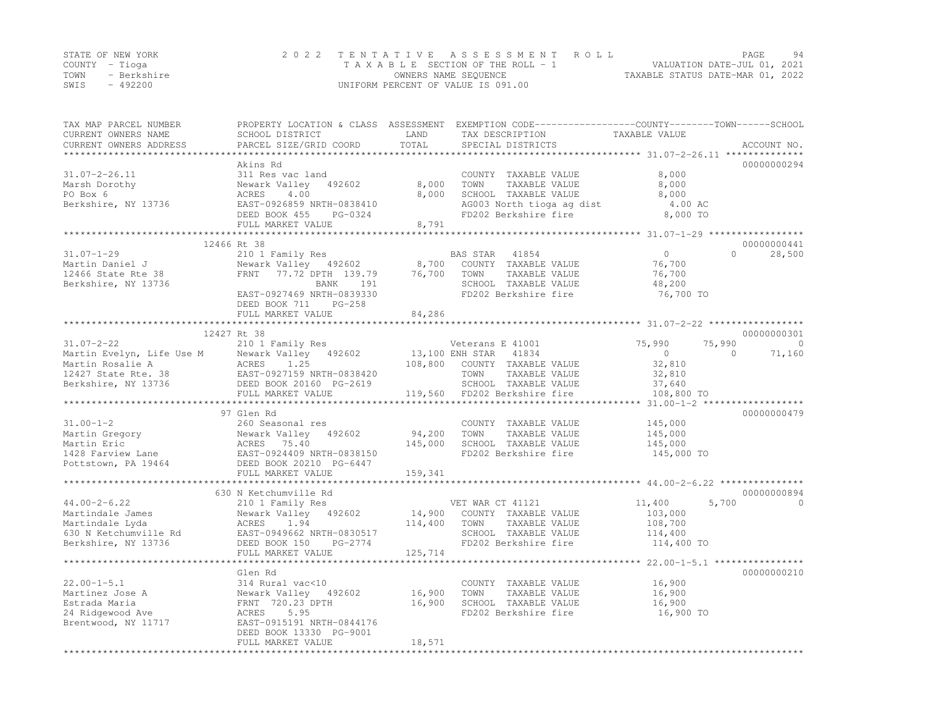|      | STATE OF NEW YORK | 2022 TENTATIVE ASSESSMENT ROLL     | PAGE                             | 94 |
|------|-------------------|------------------------------------|----------------------------------|----|
|      | COUNTY – Tioga    | TAXABLE SECTION OF THE ROLL - 1    | VALUATION DATE-JUL 01, 2021      |    |
| TOWN | - Berkshire       | OWNERS NAME SEQUENCE               | TAXABLE STATUS DATE-MAR 01, 2022 |    |
| SWIS | - 492200          | UNIFORM PERCENT OF VALUE IS 091.00 |                                  |    |

| TAX MAP PARCEL NUMBER<br>CURRENT OWNERS NAME<br>CURRENT OWNERS ADDRESS                                                                                                                                                                          | SCHOOL DISTRICT<br>PARCEL SIZE/GRID COORD                        | LAND<br>TOTAL | PROPERTY LOCATION & CLASS ASSESSMENT EXEMPTION CODE----------------COUNTY-------TOWN-----SCHOOL<br>TAX DESCRIPTION<br>SPECIAL DISTRICTS | TAXABLE VALUE                                 | ACCOUNT NO.              |
|-------------------------------------------------------------------------------------------------------------------------------------------------------------------------------------------------------------------------------------------------|------------------------------------------------------------------|---------------|-----------------------------------------------------------------------------------------------------------------------------------------|-----------------------------------------------|--------------------------|
|                                                                                                                                                                                                                                                 |                                                                  |               |                                                                                                                                         |                                               |                          |
|                                                                                                                                                                                                                                                 | Akins Rd                                                         |               |                                                                                                                                         |                                               | 00000000294              |
| $31.07 - 2 - 26.11$                                                                                                                                                                                                                             | 311 Res vac land                                                 |               | COUNTY TAXABLE VALUE                                                                                                                    | 8,000                                         |                          |
| Marsh Dorothy                                                                                                                                                                                                                                   | 492602<br>Newark Valley                                          |               | 8,000 TOWN<br>TAXABLE VALUE                                                                                                             | 8,000                                         |                          |
| PO Box 6                                                                                                                                                                                                                                        | ACRES 4.00                                                       | 8,000         | SCHOOL TAXABLE VALUE                                                                                                                    | 8,000                                         |                          |
| Berkshire, NY 13736                                                                                                                                                                                                                             | EAST-0926859 NRTH-0838410                                        |               | AG003 North tioga ag dist<br>FD202 Berkshire fire                                                                                       | 4.00 AC                                       |                          |
|                                                                                                                                                                                                                                                 | PG-0324<br>DEED BOOK 455                                         |               |                                                                                                                                         | 8,000 TO                                      |                          |
|                                                                                                                                                                                                                                                 | FULL MARKET VALUE                                                | 8,791         |                                                                                                                                         |                                               |                          |
|                                                                                                                                                                                                                                                 |                                                                  |               |                                                                                                                                         |                                               |                          |
|                                                                                                                                                                                                                                                 | 12466 Rt 38                                                      |               |                                                                                                                                         |                                               | 00000000441              |
| $31.07 - 1 - 29$                                                                                                                                                                                                                                | 210 1 Family Res                                                 |               | BAS STAR 41854                                                                                                                          | $\overline{0}$                                | 28,500<br>$\Omega$       |
| Martin Daniel J                                                                                                                                                                                                                                 | Newark Valley 492602 8,700 COUNTY TAXABLE VALUE                  |               |                                                                                                                                         | 76,700                                        |                          |
| 12466 State Rte 38<br>Berkshire. NY 13736                                                                                                                                                                                                       | FRNT 77.72 DPTH 139.79 76,700 TOWN<br>BANK 191 SCHOOL REARY 191  |               | TAXABLE VALUE                                                                                                                           | 76,700                                        |                          |
| Berkshire, NY 13736                                                                                                                                                                                                                             |                                                                  |               | SCHOOL TAXABLE VALUE                                                                                                                    | 48,200                                        |                          |
|                                                                                                                                                                                                                                                 | EAST-0927469 NRTH-0839330                                        |               | FD202 Berkshire fire                                                                                                                    | 76,700 TO                                     |                          |
|                                                                                                                                                                                                                                                 | PG-258<br>DEED BOOK 711                                          |               |                                                                                                                                         |                                               |                          |
|                                                                                                                                                                                                                                                 | FULL MARKET VALUE                                                | 84,286        |                                                                                                                                         |                                               |                          |
|                                                                                                                                                                                                                                                 |                                                                  |               |                                                                                                                                         |                                               |                          |
|                                                                                                                                                                                                                                                 | 12427 Rt 38                                                      |               |                                                                                                                                         |                                               | 00000000301              |
| $31.07 - 2 - 22$                                                                                                                                                                                                                                | 210 1 Family Res                                                 |               | Veterans E 41001                                                                                                                        | 75,990                                        | 75,990<br>$\overline{0}$ |
| Martin Evelyn, Life Use M (Newark Valley 492602 13,100 I<br>Martin Rosalie A (ACRES 1.25 108,800<br>12427 State Rte. 38 EAST-0927159 NRTH-0838420<br>Berkshire, NY 13736 DEED BOOK 20160 PG-2619<br>FIILL MARKET VALUE                          |                                                                  |               | 13,100 ENH STAR 41834<br>108,800 COUNTY TAXABLE                                                                                         | $\overline{0}$                                | $\Omega$<br>71,160       |
|                                                                                                                                                                                                                                                 |                                                                  |               | 108,800 COUNTY TAXABLE VALUE                                                                                                            | 32,810                                        |                          |
|                                                                                                                                                                                                                                                 |                                                                  |               | TOWN<br>TAXABLE VALUE                                                                                                                   | 32,810                                        |                          |
|                                                                                                                                                                                                                                                 |                                                                  |               | SCHOOL TAXABLE VALUE<br>119,560 FD202 Berkshire fire                                                                                    | 37,640                                        |                          |
|                                                                                                                                                                                                                                                 | FULL MARKET VALUE                                                |               |                                                                                                                                         | 108,800 TO                                    |                          |
|                                                                                                                                                                                                                                                 |                                                                  |               |                                                                                                                                         |                                               |                          |
|                                                                                                                                                                                                                                                 | 97 Glen Rd                                                       |               |                                                                                                                                         |                                               | 00000000479              |
| $31.00 - 1 - 2$                                                                                                                                                                                                                                 | 260 Seasonal res                                                 |               | COUNTY TAXABLE VALUE                                                                                                                    | 145,000                                       |                          |
|                                                                                                                                                                                                                                                 |                                                                  | 94,200        | TOWN<br>TAXABLE VALUE                                                                                                                   | 145,000                                       |                          |
|                                                                                                                                                                                                                                                 |                                                                  | 145,000       | SCHOOL TAXABLE VALUE                                                                                                                    | 145,000                                       |                          |
|                                                                                                                                                                                                                                                 |                                                                  |               | FD202 Berkshire fire                                                                                                                    | 145,000 TO                                    |                          |
| Martin Gregory<br>Martin Eric<br>1428 Farview Lane<br>1428 Farview Lane<br>1428 Farview Lane<br>15.40<br>2000 Meark Valley<br>2000 2021409 MRTH-0838150<br>2000 20210 PG-6447<br>2000 20210 PG-6447<br>2000 20210 PG-6447<br>2000 20210 PG-6447 |                                                                  |               |                                                                                                                                         |                                               |                          |
|                                                                                                                                                                                                                                                 | FULL MARKET VALUE                                                | 159,341       |                                                                                                                                         |                                               |                          |
|                                                                                                                                                                                                                                                 |                                                                  |               |                                                                                                                                         |                                               | 00000000894              |
|                                                                                                                                                                                                                                                 | 630 N Ketchumville Rd                                            |               |                                                                                                                                         |                                               | $\Omega$                 |
| $44.00 - 2 - 6.22$                                                                                                                                                                                                                              | 210 1 Family Res                                                 |               | VET WAR CT 41121<br>14,900 COUNTY TAXABLE VALUE                                                                                         | 11,400<br>103,000                             | 5,700                    |
| Martindale James                                                                                                                                                                                                                                | Newark Valley 492602                                             | 114,400       |                                                                                                                                         |                                               |                          |
| Martindale Lyda<br>Martindale Lyda<br>630 N Ketchumville Rd                                                                                                                                                                                     | ACRES 1.94                                                       |               | TOWN<br>TAXABLE VALUE                                                                                                                   | 108,700                                       |                          |
| Berkshire, NY 13736                                                                                                                                                                                                                             | EAST-0949662 NRTH-0830517                                        |               | SCHOOL TAXABLE VALUE<br>FD202 Berkshire fire                                                                                            | 114,400<br>114,400 TO                         |                          |
|                                                                                                                                                                                                                                                 | DEED BOOK 150<br>PG-2774<br>FULL MARKET VALUE                    |               |                                                                                                                                         |                                               |                          |
|                                                                                                                                                                                                                                                 |                                                                  | 125,714       |                                                                                                                                         | ****************** 22.00-1-5.1 ************** |                          |
|                                                                                                                                                                                                                                                 |                                                                  |               |                                                                                                                                         |                                               |                          |
| $22.00 - 1 - 5.1$                                                                                                                                                                                                                               | Glen Rd<br>314 Rural vac<10                                      |               | COUNTY TAXABLE VALUE                                                                                                                    | 16,900                                        | 00000000210              |
| Martinez Jose A                                                                                                                                                                                                                                 | SI4 Kural vackio<br>Newark Valley – 492602<br>FRNT – 720.23 DPTH |               | TOWN<br>TAXABLE VALUE                                                                                                                   |                                               |                          |
| Estrada Maria                                                                                                                                                                                                                                   |                                                                  | 16,900        | SCHOOL TAXABLE VALUE                                                                                                                    | 16,900<br>16,900                              |                          |
|                                                                                                                                                                                                                                                 |                                                                  | 16,900        |                                                                                                                                         |                                               |                          |
| 24 Ridgewood Ave                                                                                                                                                                                                                                | ACRES 5.95<br>EAST-0915191 NRTH-0844176                          |               | FD202 Berkshire fire                                                                                                                    | 16,900 TO                                     |                          |
| Brentwood, NY 11717                                                                                                                                                                                                                             |                                                                  |               |                                                                                                                                         |                                               |                          |
|                                                                                                                                                                                                                                                 | DEED BOOK 13330 PG-9001<br>FULL MARKET VALUE                     |               |                                                                                                                                         |                                               |                          |
|                                                                                                                                                                                                                                                 |                                                                  | 18,571        |                                                                                                                                         |                                               |                          |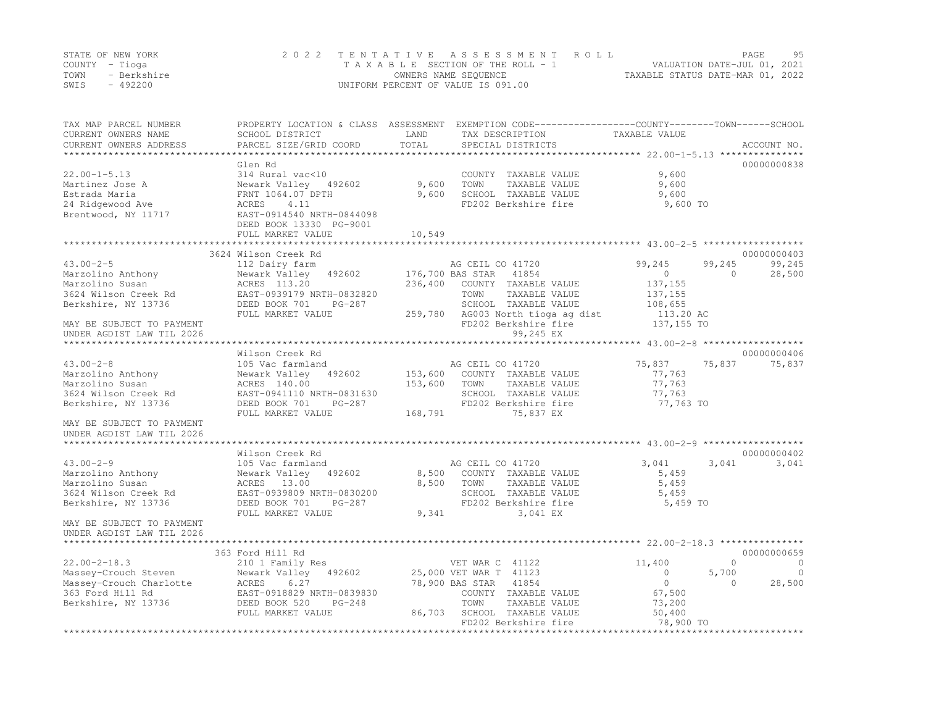|      | STATE OF NEW YORK | 2022 TENTATIVE ASSESSMENT ROLL     |                                  | PAGE | 95 |
|------|-------------------|------------------------------------|----------------------------------|------|----|
|      | COUNTY – Tioga    | TAXABLE SECTION OF THE ROLL - 1    | VALUATION DATE-JUL 01, 2021      |      |    |
| TOWN | - Berkshire       | OWNERS NAME SEQUENCE               | TAXABLE STATUS DATE-MAR 01, 2022 |      |    |
| SWIS | $-492200$         | UNIFORM PERCENT OF VALUE IS 091.00 |                                  |      |    |

| TAX MAP PARCEL NUMBER<br>CURRENT OWNERS NAME<br>CURRENT OWNERS ADDRESS | SCHOOL DISTRICT<br>PARCEL SIZE/GRID COORD | LAND<br>TOTAL | PROPERTY LOCATION & CLASS ASSESSMENT EXEMPTION CODE----------------COUNTY-------TOWN-----SCHOOL<br>TAX DESCRIPTION<br>SPECIAL DISTRICTS | TAXABLE VALUE                                      | ACCOUNT NO.            |
|------------------------------------------------------------------------|-------------------------------------------|---------------|-----------------------------------------------------------------------------------------------------------------------------------------|----------------------------------------------------|------------------------|
|                                                                        |                                           |               |                                                                                                                                         |                                                    |                        |
|                                                                        | Glen Rd                                   |               |                                                                                                                                         |                                                    | 00000000838            |
| $22.00 - 1 - 5.13$                                                     | 314 Rural vac<10                          |               | COUNTY TAXABLE VALUE                                                                                                                    | 9,600                                              |                        |
| Martinez Jose A                                                        | Newark Valley 492602                      | 9,600         | TOWN<br>TAXABLE VALUE                                                                                                                   | 9,600                                              |                        |
| Estrada Maria                                                          | FRNT 1064.07 DPTH                         | 9,600         | SCHOOL TAXABLE VALUE                                                                                                                    | 9,600                                              |                        |
| 24 Ridgewood Ave                                                       | ACRES<br>4.11                             |               | FD202 Berkshire fire                                                                                                                    | 9,600 TO                                           |                        |
| Brentwood, NY 11717                                                    | EAST-0914540 NRTH-0844098                 |               |                                                                                                                                         |                                                    |                        |
|                                                                        | DEED BOOK 13330 PG-9001                   |               |                                                                                                                                         |                                                    |                        |
|                                                                        | FULL MARKET VALUE                         | 10,549        |                                                                                                                                         |                                                    |                        |
|                                                                        |                                           |               |                                                                                                                                         |                                                    |                        |
|                                                                        | 3624 Wilson Creek Rd                      |               |                                                                                                                                         |                                                    | 00000000403            |
| $43.00 - 2 - 5$                                                        | 112 Dairy farm                            |               | AG CEIL CO 41720                                                                                                                        | 99,245                                             | 99,245<br>99,245       |
| Marzolino Anthony                                                      | Newark Valley<br>492602                   |               | 176,700 BAS STAR<br>41854                                                                                                               | $\circ$                                            | $\Omega$<br>28,500     |
| Marzolino Susan                                                        | ACRES 113.20                              | 236,400       | COUNTY TAXABLE VALUE                                                                                                                    | 137, 155                                           |                        |
| 3624 Wilson Creek Rd                                                   | EAST-0939179 NRTH-0832820                 |               | TOWN<br>TAXABLE VALUE                                                                                                                   | 137, 155                                           |                        |
| Berkshire, NY 13736                                                    | DEED BOOK 701<br>PG-287                   |               | SCHOOL TAXABLE VALUE                                                                                                                    | 108,655                                            |                        |
|                                                                        | FULL MARKET VALUE                         | 259,780       | AG003 North tioga ag dist                                                                                                               | 113.20 AC                                          |                        |
| MAY BE SUBJECT TO PAYMENT                                              |                                           |               | FD202 Berkshire fire                                                                                                                    | 137,155 TO                                         |                        |
| UNDER AGDIST LAW TIL 2026                                              |                                           |               | 99,245 EX                                                                                                                               |                                                    |                        |
|                                                                        |                                           |               | *************************** 43.00-2-8 ******************                                                                                |                                                    |                        |
|                                                                        | Wilson Creek Rd                           |               |                                                                                                                                         |                                                    | 00000000406            |
| $43.00 - 2 - 8$                                                        | 105 Vac farmland                          |               | AG CEIL CO 41720                                                                                                                        | 75,837                                             | 75,837<br>75,837       |
| Marzolino Anthony                                                      | Newark Valley 492602                      | 153,600       | COUNTY TAXABLE VALUE                                                                                                                    | 77,763                                             |                        |
| Marzolino Susan                                                        | ACRES 140.00                              | 153,600       | TOWN<br>TAXABLE VALUE                                                                                                                   | 77,763                                             |                        |
| 3624 Wilson Creek Rd                                                   | EAST-0941110 NRTH-0831630                 |               | SCHOOL TAXABLE VALUE                                                                                                                    | 77,763                                             |                        |
| Berkshire, NY 13736                                                    | DEED BOOK 701<br>PG-287                   |               | FD202 Berkshire fire                                                                                                                    | 77,763 TO                                          |                        |
|                                                                        | FULL MARKET VALUE                         | 168,791       | 75,837 EX                                                                                                                               |                                                    |                        |
| MAY BE SUBJECT TO PAYMENT<br>UNDER AGDIST LAW TIL 2026                 |                                           |               |                                                                                                                                         |                                                    |                        |
|                                                                        |                                           |               |                                                                                                                                         |                                                    |                        |
|                                                                        | Wilson Creek Rd                           |               |                                                                                                                                         |                                                    | 00000000402            |
| $43.00 - 2 - 9$                                                        | 105 Vac farmland                          |               | AG CEIL CO 41720                                                                                                                        | 3,041                                              | 3,041<br>3,041         |
| Marzolino Anthony                                                      | Newark Valley<br>492602                   | 8,500         | COUNTY TAXABLE VALUE                                                                                                                    | 5,459                                              |                        |
| Marzolino Susan                                                        | ACRES 13.00                               | 8,500         | TOWN<br>TAXABLE VALUE                                                                                                                   | 5,459                                              |                        |
| 3624 Wilson Creek Rd                                                   | EAST-0939809 NRTH-0830200                 |               | SCHOOL TAXABLE VALUE                                                                                                                    | 5,459                                              |                        |
| Berkshire, NY 13736                                                    | DEED BOOK 701<br>PG-287                   |               | FD202 Berkshire fire                                                                                                                    | 5,459 TO                                           |                        |
|                                                                        | FULL MARKET VALUE                         | 9,341         | 3,041 EX                                                                                                                                |                                                    |                        |
| MAY BE SUBJECT TO PAYMENT                                              |                                           |               |                                                                                                                                         |                                                    |                        |
| UNDER AGDIST LAW TIL 2026                                              |                                           |               |                                                                                                                                         |                                                    |                        |
|                                                                        |                                           |               |                                                                                                                                         |                                                    |                        |
|                                                                        | 363 Ford Hill Rd                          |               |                                                                                                                                         |                                                    | 00000000659            |
| $22.00 - 2 - 18.3$                                                     | 210 1 Family Res                          |               | VET WAR C 41122                                                                                                                         | 11,400                                             | $\mathbf 0$<br>$\circ$ |
| Massey-Crouch Steven                                                   | 492602<br>Newark Valley                   |               | 25,000 VET WAR T 41123                                                                                                                  | $\Omega$                                           | 5,700<br>$\Omega$      |
| Massey-Crouch Charlotte                                                | 6.27<br>ACRES                             |               | 78,900 BAS STAR<br>41854                                                                                                                | $\circ$                                            | 28,500<br>$\Omega$     |
| 363 Ford Hill Rd                                                       | EAST-0918829 NRTH-0839830                 |               | COUNTY TAXABLE VALUE                                                                                                                    | 67,500                                             |                        |
| Berkshire, NY 13736                                                    | DEED BOOK 520<br>$PG-248$                 |               | TOWN<br>TAXABLE VALUE                                                                                                                   | 73,200                                             |                        |
|                                                                        | FULL MARKET VALUE                         | 86,703        | SCHOOL TAXABLE VALUE                                                                                                                    | 50,400                                             |                        |
| ********************                                                   | ***********************************       |               | FD202 Berkshire fire<br>*********************************                                                                               | 78,900 TO<br>************************************* |                        |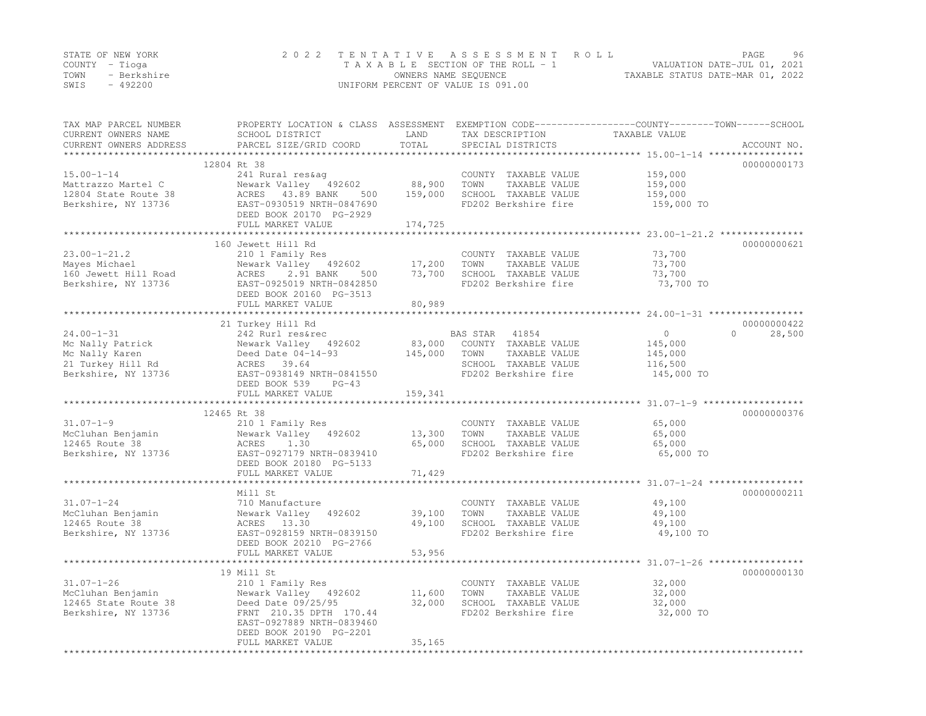|      | STATE OF NEW YORK | 2022 TENTATIVE ASSESSMENT ROLL     | PAGE                             | 96 |
|------|-------------------|------------------------------------|----------------------------------|----|
|      | COUNTY – Tioga    | TAXABLE SECTION OF THE ROLL - 1    | VALUATION DATE-JUL 01, 2021      |    |
| TOWN | - Berkshire       | OWNERS NAME SEQUENCE               | TAXABLE STATUS DATE-MAR 01, 2022 |    |
| SWIS | $-492200$         | UNIFORM PERCENT OF VALUE IS 091.00 |                                  |    |

| TAX MAP PARCEL NUMBER<br>CURRENT OWNERS NAME<br>CURRENT OWNERS ADDRESS | PROPERTY LOCATION & CLASS ASSESSMENT<br>SCHOOL DISTRICT<br>PARCEL SIZE/GRID COORD | LAND<br>TOTAL     | TAX DESCRIPTION<br>SPECIAL DISTRICTS         | EXEMPTION CODE-----------------COUNTY-------TOWN------SCHOOL<br>TAXABLE VALUE | ACCOUNT NO. |
|------------------------------------------------------------------------|-----------------------------------------------------------------------------------|-------------------|----------------------------------------------|-------------------------------------------------------------------------------|-------------|
|                                                                        |                                                                                   | * * * * * * * * * |                                              | *************************** 15.00-1-14 ******                                 |             |
|                                                                        | 12804 Rt 38                                                                       |                   |                                              |                                                                               | 00000000173 |
| $15.00 - 1 - 14$                                                       | 241 Rural res&aq                                                                  |                   | COUNTY TAXABLE VALUE                         | 159,000                                                                       |             |
| Mattrazzo Martel C                                                     | Newark Valley 492602                                                              | 88,900            | TOWN<br>TAXABLE VALUE                        | 159,000                                                                       |             |
| 12804 State Route 38                                                   | ACRES 43.89 BANK<br>500                                                           | 159,000           | SCHOOL TAXABLE VALUE                         | 159,000                                                                       |             |
| Berkshire, NY 13736                                                    | EAST-0930519 NRTH-0847690                                                         |                   | FD202 Berkshire fire                         | 159,000 TO                                                                    |             |
|                                                                        | DEED BOOK 20170 PG-2929                                                           |                   |                                              |                                                                               |             |
|                                                                        | FULL MARKET VALUE                                                                 | 174,725           |                                              |                                                                               |             |
|                                                                        |                                                                                   |                   |                                              |                                                                               |             |
|                                                                        | 160 Jewett Hill Rd                                                                |                   |                                              |                                                                               | 00000000621 |
| $23.00 - 1 - 21.2$                                                     | 210 1 Family Res                                                                  |                   | COUNTY TAXABLE VALUE                         | 73,700                                                                        |             |
| Mayes Michael                                                          | Newark Valley 492602                                                              | 17,200            | TOWN<br>TAXABLE VALUE                        | 73,700                                                                        |             |
| 160 Jewett Hill Road                                                   | ACRES<br>2.91 BANK<br>500                                                         | 73,700            | SCHOOL TAXABLE VALUE                         | 73,700                                                                        |             |
| Berkshire, NY 13736                                                    | EAST-0925019 NRTH-0842850                                                         |                   | FD202 Berkshire fire                         | 73,700 TO                                                                     |             |
|                                                                        | DEED BOOK 20160 PG-3513                                                           |                   |                                              |                                                                               |             |
|                                                                        | FULL MARKET VALUE                                                                 | 80,989            |                                              |                                                                               |             |
|                                                                        |                                                                                   |                   |                                              |                                                                               |             |
|                                                                        | 21 Turkey Hill Rd                                                                 |                   |                                              |                                                                               | 00000000422 |
| $24.00 - 1 - 31$                                                       | 242 Rurl res&rec                                                                  |                   | BAS STAR<br>41854                            | $\circ$<br>$\mathbf{0}$                                                       | 28,500      |
| Mc Nally Patrick                                                       | Newark Valley 492602                                                              | 83,000            | COUNTY TAXABLE VALUE                         | 145,000                                                                       |             |
| Mc Nally Karen                                                         | Deed Date $04-14-93$                                                              | 145,000           | TAXABLE VALUE<br>TOWN                        | 145,000                                                                       |             |
| 21 Turkey Hill Rd                                                      | ACRES 39.64                                                                       |                   | SCHOOL TAXABLE VALUE                         | 116,500                                                                       |             |
| Berkshire, NY 13736                                                    | EAST-0938149 NRTH-0841550                                                         |                   | FD202 Berkshire fire                         | 145,000 TO                                                                    |             |
|                                                                        | DEED BOOK 539<br>$PG-43$                                                          |                   |                                              |                                                                               |             |
|                                                                        | FULL MARKET VALUE                                                                 | 159,341           |                                              |                                                                               |             |
|                                                                        |                                                                                   |                   |                                              |                                                                               |             |
|                                                                        | 12465 Rt 38                                                                       |                   |                                              |                                                                               | 00000000376 |
| $31.07 - 1 - 9$                                                        | 210 1 Family Res                                                                  |                   | COUNTY TAXABLE VALUE                         | 65,000                                                                        |             |
| McCluhan Benjamin                                                      | Newark Valley 492602                                                              | 13,300            | TAXABLE VALUE<br>TOWN                        | 65,000                                                                        |             |
| 12465 Route 38                                                         | 1.30<br>ACRES                                                                     | 65,000            | SCHOOL TAXABLE VALUE                         | 65,000                                                                        |             |
| Berkshire, NY 13736                                                    | EAST-0927179 NRTH-0839410                                                         |                   | FD202 Berkshire fire                         | 65,000 TO                                                                     |             |
|                                                                        | DEED BOOK 20180 PG-5133                                                           |                   |                                              |                                                                               |             |
|                                                                        | FULL MARKET VALUE                                                                 | 71,429            |                                              |                                                                               |             |
|                                                                        |                                                                                   |                   |                                              |                                                                               |             |
|                                                                        | Mill St                                                                           |                   |                                              |                                                                               | 00000000211 |
| $31.07 - 1 - 24$                                                       | 710 Manufacture                                                                   |                   | COUNTY TAXABLE VALUE                         | 49,100                                                                        |             |
| McCluhan Benjamin                                                      | Newark Valley 492602                                                              | 39,100            | TAXABLE VALUE<br>TOWN                        | 49,100                                                                        |             |
| 12465 Route 38                                                         | ACRES 13.30                                                                       | 49,100            | SCHOOL TAXABLE VALUE                         | 49,100                                                                        |             |
| Berkshire, NY 13736                                                    | EAST-0928159 NRTH-0839150                                                         |                   | FD202 Berkshire fire                         | 49,100 TO                                                                     |             |
|                                                                        | DEED BOOK 20210 PG-2766                                                           |                   |                                              |                                                                               |             |
|                                                                        | FULL MARKET VALUE                                                                 | 53,956            |                                              |                                                                               |             |
|                                                                        | **************************                                                        |                   |                                              |                                                                               |             |
|                                                                        | 19 Mill St                                                                        |                   |                                              |                                                                               | 00000000130 |
| $31.07 - 1 - 26$                                                       | 210 1 Family Res                                                                  |                   | COUNTY TAXABLE VALUE                         | 32,000                                                                        |             |
|                                                                        |                                                                                   |                   |                                              |                                                                               |             |
| McCluhan Benjamin                                                      | Newark Valley 492602                                                              | 11,600<br>32,000  | TOWN<br>TAXABLE VALUE                        | 32,000                                                                        |             |
| 12465 State Route 38                                                   | Deed Date 09/25/95<br>FRNT 210.35 DPTH 170.44                                     |                   | SCHOOL TAXABLE VALUE<br>FD202 Berkshire fire | 32,000                                                                        |             |
| Berkshire, NY 13736                                                    |                                                                                   |                   |                                              | 32,000 TO                                                                     |             |
|                                                                        | EAST-0927889 NRTH-0839460                                                         |                   |                                              |                                                                               |             |
|                                                                        | DEED BOOK 20190 PG-2201                                                           |                   |                                              |                                                                               |             |
|                                                                        | FULL MARKET VALUE                                                                 | 35,165            |                                              |                                                                               |             |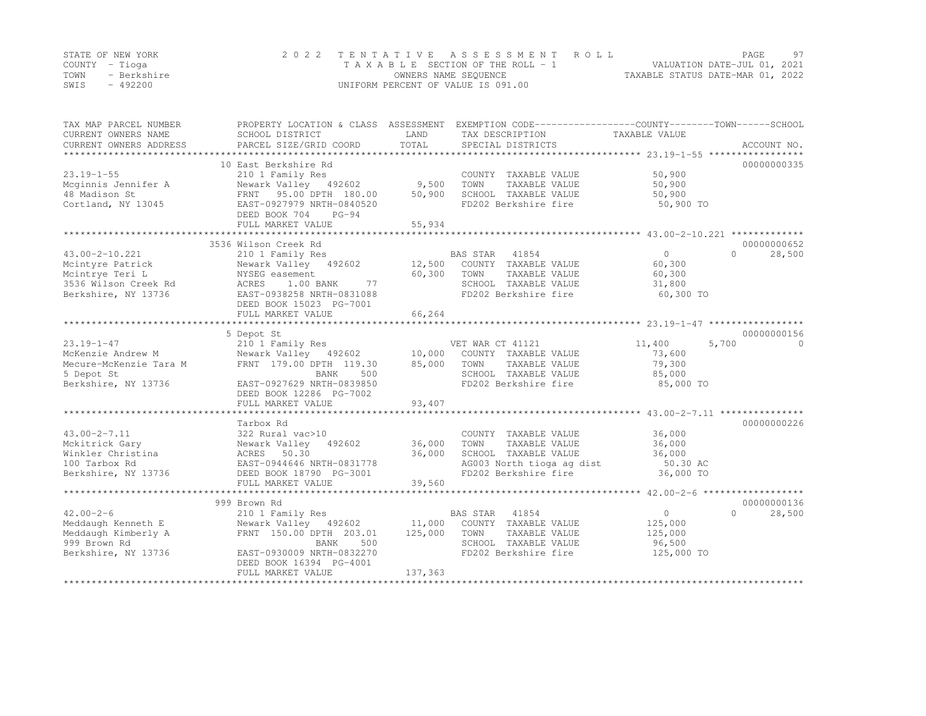|      | STATE OF NEW YORK | 2022 TENTATIVE ASSESSMENT ROLL     |                                  | PAGE. | 97 |
|------|-------------------|------------------------------------|----------------------------------|-------|----|
|      | COUNTY – Tioga    | TAXABLE SECTION OF THE ROLL - 1    | VALUATION DATE-JUL 01, 2021      |       |    |
| TOWN | - Berkshire       | OWNERS NAME SEQUENCE               | TAXABLE STATUS DATE-MAR 01, 2022 |       |    |
| SWIS | $-492200$         | UNIFORM PERCENT OF VALUE IS 091.00 |                                  |       |    |

| TAX MAP PARCEL NUMBER<br>CURRENT OWNERS NAME<br>CURRENT OWNERS ADDRESS | SCHOOL DISTRICT<br>PARCEL SIZE/GRID COORD | LAND<br>TOTAL | PROPERTY LOCATION & CLASS ASSESSMENT EXEMPTION CODE----------------COUNTY-------TOWN-----SCHOOL<br>TAX DESCRIPTION<br>SPECIAL DISTRICTS | TAXABLE VALUE | ACCOUNT NO.        |
|------------------------------------------------------------------------|-------------------------------------------|---------------|-----------------------------------------------------------------------------------------------------------------------------------------|---------------|--------------------|
|                                                                        |                                           |               |                                                                                                                                         |               |                    |
|                                                                        | 10 East Berkshire Rd                      |               |                                                                                                                                         |               | 00000000335        |
| $23.19 - 1 - 55$                                                       | 210 1 Family Res                          |               | COUNTY TAXABLE VALUE                                                                                                                    | 50,900        |                    |
| Mcginnis Jennifer A                                                    | Newark Valley 492602                      | 9,500         | TOWN<br>TAXABLE VALUE                                                                                                                   | 50,900        |                    |
| 48 Madison St                                                          | 95.00 DPTH 180.00<br>FRNT                 | 50,900        | SCHOOL TAXABLE VALUE                                                                                                                    | 50,900        |                    |
| Cortland, NY 13045                                                     | EAST-0927979 NRTH-0840520                 |               | FD202 Berkshire fire                                                                                                                    | 50,900 TO     |                    |
|                                                                        | DEED BOOK 704<br>$PG-94$                  |               |                                                                                                                                         |               |                    |
|                                                                        | FULL MARKET VALUE                         | 55,934        |                                                                                                                                         |               |                    |
|                                                                        |                                           |               |                                                                                                                                         |               | 00000000652        |
|                                                                        | 3536 Wilson Creek Rd                      |               |                                                                                                                                         | $\circ$       | $\Omega$           |
| 43.00-2-10.221                                                         | 210 1 Family Res                          |               | BAS STAR 41854                                                                                                                          |               | 28,500             |
| Mcintyre Patrick                                                       | Newark Valley 492602                      | 12,500        | COUNTY TAXABLE VALUE                                                                                                                    | 60,300        |                    |
| Mcintrye Teri L                                                        | NYSEG easement                            | 60,300        | TOWN<br>TAXABLE VALUE                                                                                                                   | 60,300        |                    |
| 3536 Wilson Creek Rd                                                   | ACRES<br>1.00 BANK<br>77                  |               | SCHOOL TAXABLE VALUE                                                                                                                    | 31,800        |                    |
| Berkshire, NY 13736                                                    | EAST-0938258 NRTH-0831088                 |               | FD202 Berkshire fire                                                                                                                    | 60,300 TO     |                    |
|                                                                        | DEED BOOK 15023 PG-7001                   |               |                                                                                                                                         |               |                    |
|                                                                        | FULL MARKET VALUE                         | 66,264        |                                                                                                                                         |               |                    |
|                                                                        |                                           |               |                                                                                                                                         |               |                    |
|                                                                        | 5 Depot St                                |               |                                                                                                                                         |               | 00000000156        |
| $23.19 - 1 - 47$                                                       | 210 1 Family Res                          |               | VET WAR CT 41121                                                                                                                        | 11,400        | 5,700<br>$\Omega$  |
| McKenzie Andrew M                                                      | Newark Valley 492602                      | 10,000        | COUNTY TAXABLE VALUE                                                                                                                    | 73,600        |                    |
| Mecure-McKenzie Tara M                                                 | FRNT 179.00 DPTH 119.30                   | 85,000        | TOWN<br>TAXABLE VALUE                                                                                                                   | 79,300        |                    |
| 5 Depot St                                                             | BANK<br>500                               |               | SCHOOL TAXABLE VALUE                                                                                                                    | 85,000        |                    |
| Berkshire, NY 13736                                                    | EAST-0927629 NRTH-0839850                 |               | FD202 Berkshire fire                                                                                                                    | 85,000 TO     |                    |
|                                                                        | DEED BOOK 12286 PG-7002                   |               |                                                                                                                                         |               |                    |
|                                                                        | FULL MARKET VALUE                         | 93,407        |                                                                                                                                         |               |                    |
|                                                                        |                                           |               |                                                                                                                                         |               |                    |
|                                                                        | Tarbox Rd                                 |               |                                                                                                                                         |               | 00000000226        |
| $43.00 - 2 - 7.11$                                                     | 322 Rural vac>10                          |               | COUNTY TAXABLE VALUE                                                                                                                    | 36,000        |                    |
| Mckitrick Gary                                                         | Newark Valley 492602                      | 36,000        | TOWN<br>TAXABLE VALUE                                                                                                                   | 36,000        |                    |
| Winkler Christina                                                      | ACRES 50.30                               | 36,000        | SCHOOL TAXABLE VALUE                                                                                                                    | 36,000        |                    |
| 100 Tarbox Rd                                                          | EAST-0944646 NRTH-0831778                 |               | AG003 North tioga ag dist                                                                                                               | 50.30 AC      |                    |
| Berkshire, NY 13736                                                    | DEED BOOK 18790 PG-3001                   |               | FD202 Berkshire fire                                                                                                                    | 36,000 TO     |                    |
|                                                                        | FULL MARKET VALUE                         | 39,560        |                                                                                                                                         |               |                    |
|                                                                        |                                           |               |                                                                                                                                         |               |                    |
|                                                                        | 999 Brown Rd                              |               |                                                                                                                                         |               | 00000000136        |
| $42.00 - 2 - 6$                                                        | 210 1 Family Res                          |               | BAS STAR<br>41854                                                                                                                       | $\circ$       | $\Omega$<br>28,500 |
| Meddaugh Kenneth E                                                     | Newark Valley 492602                      | 11,000        | COUNTY TAXABLE VALUE                                                                                                                    | 125,000       |                    |
| Meddaugh Kimberly A                                                    | FRNT 150.00 DPTH 203.01                   | 125,000       | TOWN<br>TAXABLE VALUE                                                                                                                   | 125,000       |                    |
| 999 Brown Rd                                                           | 500<br>BANK                               |               | SCHOOL TAXABLE VALUE                                                                                                                    | 96,500        |                    |
| Berkshire, NY 13736                                                    | EAST-0930009 NRTH-0832270                 |               | FD202 Berkshire fire                                                                                                                    | 125,000 TO    |                    |
|                                                                        | DEED BOOK 16394 PG-4001                   |               |                                                                                                                                         |               |                    |
|                                                                        | FULL MARKET VALUE                         | 137,363       |                                                                                                                                         |               |                    |
|                                                                        |                                           |               |                                                                                                                                         |               |                    |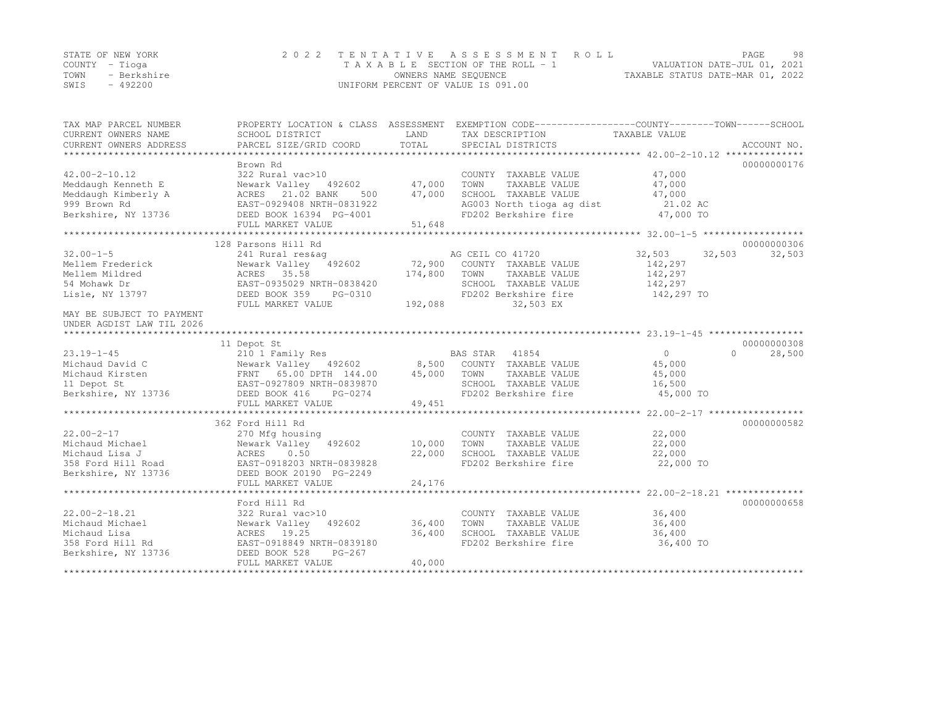|      | STATE OF NEW YORK | 2022 TENTATIVE ASSESSMENT ROLL     |                                  | PAGE. | 98 |
|------|-------------------|------------------------------------|----------------------------------|-------|----|
|      | COUNTY – Tioga    | TAXABLE SECTION OF THE ROLL - 1    | VALUATION DATE-JUL 01, 2021      |       |    |
| TOWN | - Berkshire       | OWNERS NAME SEQUENCE               | TAXABLE STATUS DATE-MAR 01, 2022 |       |    |
| SWIS | $-492200$         | UNIFORM PERCENT OF VALUE IS 091.00 |                                  |       |    |

| TAX MAP PARCEL NUMBER<br>CURRENT OWNERS NAME<br>CURRENT OWNERS ADDRESS                                  | PROPERTY LOCATION & CLASS ASSESSMENT<br>SCHOOL DISTRICT<br>PARCEL SIZE/GRID COORD                                                                                     | LAND<br>TOTAL              | EXEMPTION CODE-----------------COUNTY-------TOWN------SCHOOL<br>TAX DESCRIPTION<br>SPECIAL DISTRICTS                                  | TAXABLE VALUE                                                   | ACCOUNT NO.                     |
|---------------------------------------------------------------------------------------------------------|-----------------------------------------------------------------------------------------------------------------------------------------------------------------------|----------------------------|---------------------------------------------------------------------------------------------------------------------------------------|-----------------------------------------------------------------|---------------------------------|
| $42.00 - 2 - 10.12$<br>Meddaugh Kenneth E<br>Meddaugh Kimberly A<br>999 Brown Rd<br>Berkshire, NY 13736 | Brown Rd<br>322 Rural vac>10<br>Newark Valley 492602<br>ACRES 21.02 BANK<br>500<br>EAST-0929408 NRTH-0831922<br>DEED BOOK 16394 PG-4001<br>FULL MARKET VALUE          | 47,000<br>47,000<br>51,648 | COUNTY TAXABLE VALUE<br>TOWN<br>TAXABLE VALUE<br>SCHOOL TAXABLE VALUE<br>AG003 North tioga ag dist<br>FD202 Berkshire fire            | 47,000<br>47,000<br>47,000<br>21.02 AC<br>47,000 TO             | 00000000176                     |
|                                                                                                         |                                                                                                                                                                       |                            |                                                                                                                                       |                                                                 |                                 |
| $32.00 - 1 - 5$<br>Mellem Frederick<br>Mellem Mildred<br>54 Mohawk Dr<br>Lisle, NY 13797                | 128 Parsons Hill Rd<br>241 Rural res&ag<br>Newark Valley 492602<br>ACRES 35.58<br>EAST-0935029 NRTH-0838420<br>DEED BOOK 359<br>PG-0310<br>FULL MARKET VALUE          | 174,800<br>192,088         | AG CEIL CO 41720<br>72,900 COUNTY TAXABLE VALUE<br>TOWN<br>TAXABLE VALUE<br>SCHOOL TAXABLE VALUE<br>FD202 Berkshire fire<br>32,503 EX | 32,503<br>32,503<br>142,297<br>142,297<br>142,297<br>142,297 TO | 00000000306<br>32,503           |
| MAY BE SUBJECT TO PAYMENT<br>UNDER AGDIST LAW TIL 2026                                                  |                                                                                                                                                                       |                            |                                                                                                                                       |                                                                 |                                 |
| $23.19 - 1 - 45$<br>Michaud David C<br>Michaud Kirsten<br>11 Depot St<br>Berkshire, NY 13736            | 11 Depot St<br>210 1 Family Res<br>Newark Valley 492602 8,500<br>FRNT 65.00 DPTH 144.00<br>EAST-0927809 NRTH-0839870<br>DEED BOOK 416<br>PG-0274<br>FULL MARKET VALUE | 45,000<br>49,451           | BAS STAR 41854<br>COUNTY TAXABLE VALUE<br>TOWN<br>TAXABLE VALUE<br>SCHOOL TAXABLE VALUE<br>FD202 Berkshire fire                       | $\circ$<br>45,000<br>45,000<br>16,500<br>45,000 TO              | 00000000308<br>28,500<br>$\cap$ |
|                                                                                                         | 362 Ford Hill Rd                                                                                                                                                      |                            |                                                                                                                                       |                                                                 | 00000000582                     |
| $22.00 - 2 - 17$<br>Michaud Michael<br>Michaud Lisa J<br>358 Ford Hill Road<br>Berkshire, NY 13736      | 270 Mfg housing<br>Newark Valley<br>492602<br>ACRES<br>0.50<br>EAST-0918203 NRTH-0839828<br>DEED BOOK 20190 PG-2249<br>FULL MARKET VALUE                              | 10,000<br>22,000<br>24,176 | COUNTY TAXABLE VALUE<br>TOWN<br>TAXABLE VALUE<br>SCHOOL TAXABLE VALUE<br>FD202 Berkshire fire                                         | 22,000<br>22,000<br>22,000<br>22,000 TO                         |                                 |
|                                                                                                         |                                                                                                                                                                       |                            |                                                                                                                                       |                                                                 |                                 |
| $22.00 - 2 - 18.21$<br>Michaud Michael<br>Michaud Lisa<br>358 Ford Hill Rd<br>Berkshire, NY 13736       | Ford Hill Rd<br>322 Rural vac>10<br>Newark Valley<br>492602<br>ACRES<br>19.25<br>EAST-0918849 NRTH-0839180<br>DEED BOOK 528<br>$PG-267$<br>FULL MARKET VALUE          | 36,400<br>36,400<br>40,000 | COUNTY TAXABLE VALUE<br>TOWN<br>TAXABLE VALUE<br>SCHOOL TAXABLE VALUE<br>FD202 Berkshire fire                                         | 36,400<br>36,400<br>36,400<br>36,400 TO                         | 00000000658                     |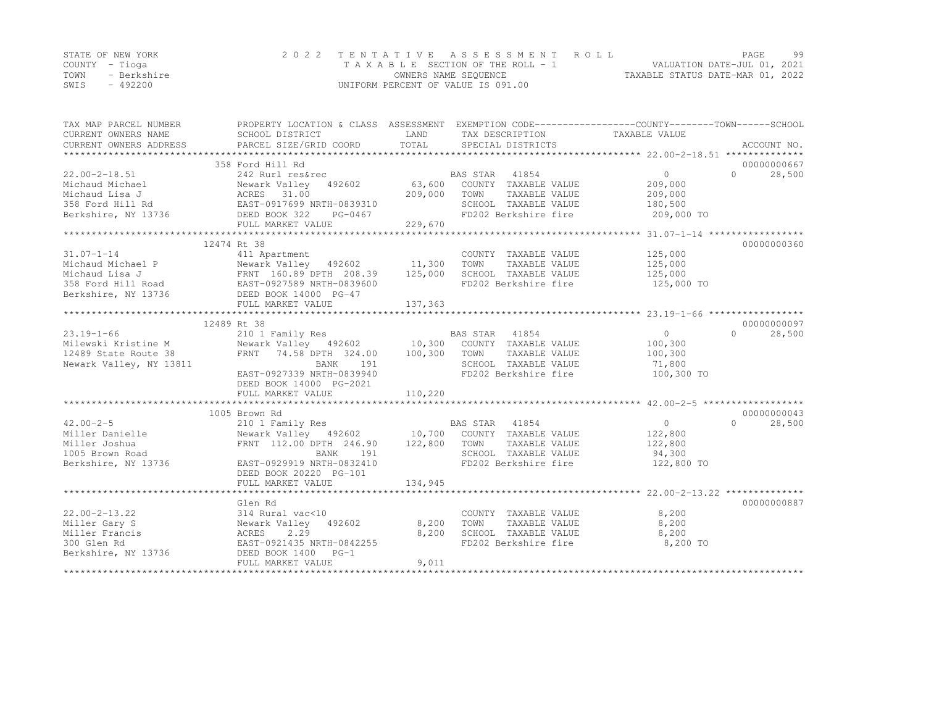|      | STATE OF NEW YORK | 2022 TENTATIVE ASSESSMENT ROLL     |                                  | PAGE. | 99 |
|------|-------------------|------------------------------------|----------------------------------|-------|----|
|      | COUNTY – Tioga    | TAXABLE SECTION OF THE ROLL - 1    | VALUATION DATE-JUL 01, 2021      |       |    |
| TOWN | - Berkshire       | OWNERS NAME SEQUENCE               | TAXABLE STATUS DATE-MAR 01, 2022 |       |    |
| SWIS | $-492200$         | UNIFORM PERCENT OF VALUE IS 091.00 |                                  |       |    |

| TAX MAP PARCEL NUMBER<br>CURRENT OWNERS NAME<br>CURRENT OWNERS ADDRESS | PROPERTY LOCATION & CLASS ASSESSMENT EXEMPTION CODE---------------COUNTY-------TOWN-----SCHOOL<br>SCHOOL DISTRICT<br>PARCEL SIZE/GRID COORD                                                                     | LAND<br>TOTAL | TAX DESCRIPTION<br>SPECIAL DISTRICTS<br>SPECIAL DISTRICTS |                                 | ACCOUNT NO.        |
|------------------------------------------------------------------------|-----------------------------------------------------------------------------------------------------------------------------------------------------------------------------------------------------------------|---------------|-----------------------------------------------------------|---------------------------------|--------------------|
|                                                                        |                                                                                                                                                                                                                 |               |                                                           |                                 |                    |
|                                                                        | 358 Ford Hill Rd                                                                                                                                                                                                |               |                                                           |                                 | 00000000667        |
| $22.00 - 2 - 18.51$                                                    |                                                                                                                                                                                                                 |               |                                                           | $\overline{0}$                  | $\Omega$<br>28,500 |
|                                                                        | 242 Rurl res&rec<br>Newark Valley 492602 63,600 COUNTY TAXABLE VALUE<br>ACRES 31.00 200.000 709.000 TOWN TAXABLE VALUE                                                                                          |               |                                                           | 209,000                         |                    |
|                                                                        |                                                                                                                                                                                                                 | 209,000       | TAXABLE VALUE<br>TOWN                                     | 209,000                         |                    |
|                                                                        |                                                                                                                                                                                                                 |               | SCHOOL TAXABLE VALUE                                      | 180,500                         |                    |
|                                                                        | Michaud Michael Mewark Valley 492602<br>Michaud Lisa J (ACRES 31.00<br>358 Ford Hill Rd (EAST-0917699 NRTH-0839310<br>Berkshire, NY 13736 (DEED BOOK 322 PG-0467)                                               | 229,670       | FD202 Berkshire fire                                      | 209,000 TO                      |                    |
|                                                                        | FULL MARKET VALUE                                                                                                                                                                                               |               |                                                           |                                 |                    |
|                                                                        |                                                                                                                                                                                                                 |               |                                                           |                                 |                    |
|                                                                        | 12474 Rt 38                                                                                                                                                                                                     |               |                                                           |                                 | 00000000360        |
| $31.07 - 1 - 14$                                                       | 411 Apartment                                                                                                                                                                                                   |               | COUNTY TAXABLE VALUE                                      | 125,000                         |                    |
|                                                                        |                                                                                                                                                                                                                 |               | TOWN TAXABLE VALUE                                        | 125,000<br>125,000              |                    |
|                                                                        |                                                                                                                                                                                                                 |               | SCHOOL TAXABLE VALUE                                      |                                 |                    |
|                                                                        | Michaud Michael P<br>Mewark Valley 492602 11,300<br>Michaud Lisa J<br>S58 Ford Hill Road<br>Berkshire, NY 13736<br>DEED BOOK 14000 PG-47<br>DEED BOOK 14000 PG-47<br>DEED BOOK 14000 PG-47<br>PULL MAPKET VALUE |               |                                                           | FD202 Berkshire fire 125,000 TO |                    |
|                                                                        |                                                                                                                                                                                                                 |               |                                                           |                                 |                    |
|                                                                        |                                                                                                                                                                                                                 |               |                                                           |                                 |                    |
|                                                                        |                                                                                                                                                                                                                 |               |                                                           |                                 |                    |
|                                                                        | 12489 Rt 38                                                                                                                                                                                                     |               |                                                           |                                 | 00000000097        |
| $23.19 - 1 - 66$                                                       | 210 1 Family Res                                                                                                                                                                                                |               | BAS STAR 41854                                            | $\circ$                         | $\Omega$<br>28,500 |
| Milewski Kristine M                                                    | Newark Valley (492602 10,300 COUNTY TAXABLE VALUE<br>FRNT 74.58 DPTH 324.00 100,300 TOWN TAXABLE VALUE                                                                                                          |               |                                                           | 100,300                         |                    |
| 12489 State Route 38                                                   |                                                                                                                                                                                                                 |               |                                                           | 100,300                         |                    |
| Newark Valley, NY 13811                                                | BANK 191                                                                                                                                                                                                        |               | SCHOOL TAXABLE VALUE                                      | 71,800                          |                    |
|                                                                        | EAST-0927339 NRTH-0839940                                                                                                                                                                                       |               | FD202 Berkshire fire                                      | 100,300 TO                      |                    |
|                                                                        | DEED BOOK 14000 PG-2021                                                                                                                                                                                         |               |                                                           |                                 |                    |
|                                                                        | FULL MARKET VALUE                                                                                                                                                                                               | 110,220       |                                                           |                                 |                    |
|                                                                        |                                                                                                                                                                                                                 |               |                                                           |                                 |                    |
|                                                                        | 1005 Brown Rd                                                                                                                                                                                                   |               |                                                           |                                 | 00000000043        |
| $42.00 - 2 - 5$                                                        |                                                                                                                                                                                                                 |               |                                                           | $\overline{0}$                  | $\Omega$<br>28,500 |
| Miller Danielle                                                        |                                                                                                                                                                                                                 |               |                                                           | 122,800                         |                    |
| Miller Joshua                                                          | FRNT 112.00 DPTH 246.90                                                                                                                                                                                         | 122,800       | TOWN                                                      | TAXABLE VALUE 122,800           |                    |
| 1005 Brown Road                                                        | BANK<br>191                                                                                                                                                                                                     |               | SCHOOL TAXABLE VALUE<br>FD202 Berkshire fire              | 94,300                          |                    |
| Berkshire, NY 13736                                                    | EAST-0929919 NRTH-0832410                                                                                                                                                                                       |               |                                                           | 122,800 TO                      |                    |
|                                                                        | DEED BOOK 20220 PG-101                                                                                                                                                                                          |               |                                                           |                                 |                    |
|                                                                        | FULL MARKET VALUE                                                                                                                                                                                               | 134,945       |                                                           |                                 |                    |
|                                                                        |                                                                                                                                                                                                                 |               |                                                           |                                 |                    |
|                                                                        | Glen Rd                                                                                                                                                                                                         |               |                                                           |                                 | 00000000887        |
| $22.00 - 2 - 13.22$                                                    | 314 Rural vac<10                                                                                                                                                                                                |               | COUNTY TAXABLE VALUE                                      | 8,200                           |                    |
| Miller Gary S                                                          | Newark Valley 492602                                                                                                                                                                                            | 8,200         | TAXABLE VALUE<br>TOWN                                     | 8,200                           |                    |
| Miller Francis                                                         | ACRES 2.29<br>EAST-0921435 NRTH-0842255                                                                                                                                                                         | 8,200         | SCHOOL TAXABLE VALUE                                      | 8,200                           |                    |
| 300 Glen Rd                                                            |                                                                                                                                                                                                                 |               | FD202 Berkshire fire                                      | 8,200 TO                        |                    |
| Berkshire, NY 13736 DEED BOOK 1400 PG-1                                |                                                                                                                                                                                                                 |               |                                                           |                                 |                    |
|                                                                        | FULL MARKET VALUE                                                                                                                                                                                               | 9,011         |                                                           |                                 |                    |
|                                                                        |                                                                                                                                                                                                                 |               |                                                           |                                 |                    |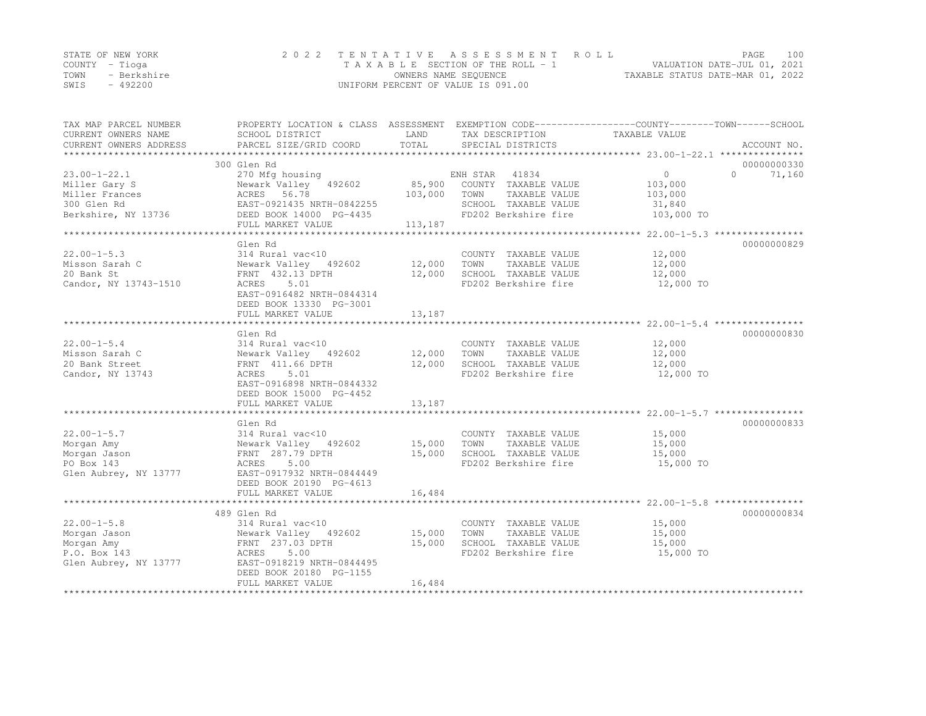|      | STATE OF NEW YORK | 2022 TENTATIVE ASSESSMENT ROLL     |                                  | PAGE. | 100 |
|------|-------------------|------------------------------------|----------------------------------|-------|-----|
|      | COUNTY – Tioga    | TAXABLE SECTION OF THE ROLL - 1    | VALUATION DATE-JUL 01, 2021      |       |     |
| TOWN | - Berkshire       | OWNERS NAME SEQUENCE               | TAXABLE STATUS DATE-MAR 01, 2022 |       |     |
| SWIS | - 492200          | UNIFORM PERCENT OF VALUE IS 091.00 |                                  |       |     |

| TAX MAP PARCEL NUMBER<br>CURRENT OWNERS NAME<br>CURRENT OWNERS ADDRESS                      | PROPERTY LOCATION & CLASS ASSESSMENT EXEMPTION CODE----------------COUNTY-------TOWN-----SCHOOL<br>SCHOOL DISTRICT<br>PARCEL SIZE/GRID COORD                              | LAND<br>TOTAL                | TAX DESCRIPTION<br>SPECIAL DISTRICTS                                                                               | TAXABLE VALUE                                   | ACCOUNT NO.                       |
|---------------------------------------------------------------------------------------------|---------------------------------------------------------------------------------------------------------------------------------------------------------------------------|------------------------------|--------------------------------------------------------------------------------------------------------------------|-------------------------------------------------|-----------------------------------|
| $23.00 - 1 - 22.1$<br>Miller Gary S<br>Miller Frances<br>300 Glen Rd<br>Berkshire, NY 13736 | 300 Glen Rd<br>270 Mfg housing<br>Newark Valley 492602<br>ACRES 56.78<br>EAST-0921435 NRTH-0842255<br>DEED BOOK 14000 PG-4435<br>FULL MARKET VALUE                        | 85,900<br>103,000<br>113,187 | 41834<br>ENH STAR<br>COUNTY TAXABLE VALUE<br>TOWN<br>TAXABLE VALUE<br>SCHOOL TAXABLE VALUE<br>FD202 Berkshire fire | 0<br>103,000<br>103,000<br>31,840<br>103,000 TO | 00000000330<br>$\Omega$<br>71,160 |
| $22.00 - 1 - 5.3$<br>Misson Sarah C<br>20 Bank St<br>Candor, NY 13743-1510                  | Glen Rd<br>314 Rural vac<10<br>Newark Valley 492602<br>FRNT 432.13 DPTH<br>ACRES<br>5.01<br>EAST-0916482 NRTH-0844314<br>DEED BOOK 13330 PG-3001<br>FULL MARKET VALUE     | 12,000<br>12,000<br>13,187   | COUNTY TAXABLE VALUE<br>TOWN<br>TAXABLE VALUE<br>SCHOOL TAXABLE VALUE<br>FD202 Berkshire fire                      | 12,000<br>12,000<br>12,000<br>12,000 TO         | 00000000829                       |
| $22.00 - 1 - 5.4$<br>Misson Sarah C<br>20 Bank Street<br>Candor, NY 13743                   | Glen Rd<br>314 Rural vac<10<br>Newark Valley 492602<br>FRNT 411.66 DPTH<br>ACRES<br>5.01<br>EAST-0916898 NRTH-0844332<br>DEED BOOK 15000 PG-4452<br>FULL MARKET VALUE     | 12,000<br>12,000<br>13,187   | COUNTY TAXABLE VALUE<br>TOWN<br>TAXABLE VALUE<br>SCHOOL TAXABLE VALUE<br>FD202 Berkshire fire                      | 12,000<br>12,000<br>12,000<br>12,000 TO         | 00000000830                       |
| $22.00 - 1 - 5.7$<br>Morgan Amy<br>Morgan Jason<br>PO Box 143<br>Glen Aubrey, NY 13777      | Glen Rd<br>314 Rural vac<10<br>Newark Valley 492602<br>FRNT 287.79 DPTH<br>ACRES<br>5.00<br>EAST-0917932 NRTH-0844449<br>DEED BOOK 20190 PG-4613<br>FULL MARKET VALUE     | 15,000<br>15,000<br>16,484   | COUNTY TAXABLE VALUE<br>TAXABLE VALUE<br>TOWN<br>SCHOOL TAXABLE VALUE<br>FD202 Berkshire fire                      | 15,000<br>15,000<br>15,000<br>15,000 TO         | 00000000833                       |
| $22.00 - 1 - 5.8$<br>Morgan Jason<br>Morgan Amy<br>P.O. Box 143<br>Glen Aubrey, NY 13777    | 489 Glen Rd<br>314 Rural vac<10<br>Newark Valley 492602<br>FRNT 237.03 DPTH<br>5.00<br>ACRES<br>EAST-0918219 NRTH-0844495<br>DEED BOOK 20180 PG-1155<br>FULL MARKET VALUE | 15,000<br>15,000<br>16,484   | COUNTY TAXABLE VALUE<br>TOWN<br>TAXABLE VALUE<br>SCHOOL TAXABLE VALUE<br>FD202 Berkshire fire                      | 15,000<br>15,000<br>15,000<br>15,000 TO         | 00000000834                       |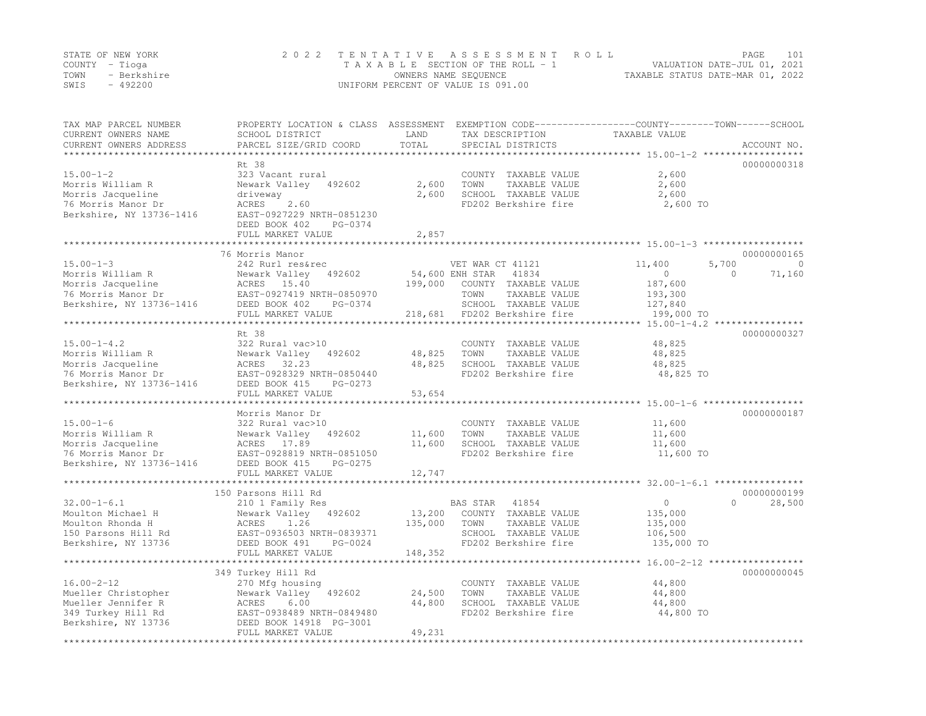|      | STATE OF NEW YORK | 2022 TENTATIVE ASSESSMENT ROLL     |                                  | PAGE | 101 |
|------|-------------------|------------------------------------|----------------------------------|------|-----|
|      | COUNTY – Tioga    | TAXABLE SECTION OF THE ROLL - 1    | VALUATION DATE-JUL 01, 2021      |      |     |
| TOWN | - Berkshire       | OWNERS NAME SEQUENCE               | TAXABLE STATUS DATE-MAR 01, 2022 |      |     |
| SWIS | - 492200          | UNIFORM PERCENT OF VALUE IS 091.00 |                                  |      |     |

| TAX MAP PARCEL NUMBER<br>CURRENT OWNERS NAME<br>CURRENT OWNERS ADDRESS                                       | PROPERTY LOCATION & CLASS ASSESSMENT<br>SCHOOL DISTRICT<br>PARCEL SIZE/GRID COORD                                                                               | LAND<br>TOTAL              | TAX DESCRIPTION<br>SPECIAL DISTRICTS                                                                                                          | EXEMPTION CODE-----------------COUNTY-------TOWN------SCHOOL<br>TAXABLE VALUE<br>********** 15.00-1-2 **** | ACCOUNT NO.                                   |
|--------------------------------------------------------------------------------------------------------------|-----------------------------------------------------------------------------------------------------------------------------------------------------------------|----------------------------|-----------------------------------------------------------------------------------------------------------------------------------------------|------------------------------------------------------------------------------------------------------------|-----------------------------------------------|
| $15.00 - 1 - 2$<br>Morris William R<br>Morris Jacqueline<br>76 Morris Manor Dr<br>Berkshire, NY 13736-1416   | Rt 38<br>323 Vacant rural<br>Newark Valley<br>492602<br>driveway<br>2.60<br>ACRES<br>EAST-0927229 NRTH-0851230<br>DEED BOOK 402<br>PG-0374<br>FULL MARKET VALUE | 2,600<br>2,600<br>2,857    | COUNTY TAXABLE VALUE<br>TAXABLE VALUE<br>TOWN<br>SCHOOL TAXABLE VALUE<br>FD202 Berkshire fire                                                 | 2,600<br>2,600<br>2,600<br>2,600 TO                                                                        | 00000000318                                   |
|                                                                                                              |                                                                                                                                                                 |                            |                                                                                                                                               |                                                                                                            |                                               |
| $15.00 - 1 - 3$<br>Morris William R<br>Morris Jacqueline<br>76 Morris Manor Dr<br>Berkshire, NY 13736-1416   | 76 Morris Manor<br>242 Rurl res&rec<br>Newark Valley<br>492602<br>ACRES<br>15.40<br>EAST-0927419 NRTH-0850970<br>DEED BOOK 402<br>PG-0374<br>FULL MARKET VALUE  | 199,000<br>218,681         | VET WAR CT 41121<br>54,600 ENH STAR<br>41834<br>COUNTY TAXABLE VALUE<br>TAXABLE VALUE<br>TOWN<br>SCHOOL TAXABLE VALUE<br>FD202 Berkshire fire | 11,400<br>5,700<br>$\circ$<br>187,600<br>193,300<br>127,840<br>199,000 TO                                  | 00000000165<br>$\Omega$<br>71,160<br>$\Omega$ |
|                                                                                                              | Rt 38                                                                                                                                                           |                            |                                                                                                                                               | $15.00 - 1 - 4.2$ ****************                                                                         | 00000000327                                   |
| $15.00 - 1 - 4.2$<br>Morris William R<br>Morris Jacqueline<br>76 Morris Manor Dr<br>Berkshire, NY 13736-1416 | 322 Rural vac>10<br>Newark Valley<br>492602<br>ACRES 32.23<br>EAST-0928329 NRTH-0850440<br>DEED BOOK 415<br>PG-0273                                             | 48,825<br>48,825           | COUNTY TAXABLE VALUE<br>TOWN<br>TAXABLE VALUE<br>SCHOOL TAXABLE VALUE<br>FD202 Berkshire fire                                                 | 48,825<br>48,825<br>48,825<br>48,825 TO                                                                    |                                               |
|                                                                                                              | FULL MARKET VALUE                                                                                                                                               | 53,654                     |                                                                                                                                               |                                                                                                            |                                               |
|                                                                                                              | ****************                                                                                                                                                |                            |                                                                                                                                               | ********** 15.00-1-6                                                                                       |                                               |
| $15.00 - 1 - 6$<br>Morris William R<br>Morris Jacqueline<br>76 Morris Manor Dr<br>Berkshire, NY 13736-1416   | Morris Manor Dr<br>322 Rural vac>10<br>492602<br>Newark Valley<br>ACRES<br>17.89<br>EAST-0928819 NRTH-0851050<br>DEED BOOK 415<br>PG-0275<br>FULL MARKET VALUE  | 11,600<br>11,600<br>12,747 | COUNTY TAXABLE VALUE<br>TOWN<br>TAXABLE VALUE<br>SCHOOL TAXABLE VALUE<br>FD202 Berkshire fire                                                 | 11,600<br>11,600<br>11,600<br>11,600 TO                                                                    | 00000000187                                   |
|                                                                                                              |                                                                                                                                                                 |                            |                                                                                                                                               |                                                                                                            |                                               |
|                                                                                                              | 150 Parsons Hill Rd                                                                                                                                             |                            |                                                                                                                                               |                                                                                                            | 00000000199                                   |
| $32.00 - 1 - 6.1$<br>Moulton Michael H<br>Moulton Rhonda H<br>150 Parsons Hill Rd<br>Berkshire, NY 13736     | 210 1 Family Res<br>Newark Valley<br>492602<br>ACRES<br>1.26<br>EAST-0936503 NRTH-0839371<br>DEED BOOK 491<br>PG-0024                                           | 13,200<br>135,000          | BAS STAR<br>41854<br>COUNTY TAXABLE VALUE<br>TOWN<br>TAXABLE VALUE<br>SCHOOL TAXABLE VALUE<br>FD202 Berkshire fire                            | $\circ$<br>135,000<br>135,000<br>106,500<br>135,000 TO                                                     | $\Omega$<br>28,500                            |
|                                                                                                              | FULL MARKET VALUE                                                                                                                                               | 148,352                    |                                                                                                                                               |                                                                                                            |                                               |
|                                                                                                              | ***********************<br>349 Turkey Hill Rd                                                                                                                   |                            |                                                                                                                                               | ******************** 16.00-2-12 ******************                                                         | 00000000045                                   |
| $16.00 - 2 - 12$<br>Mueller Christopher<br>Mueller Jennifer R<br>349 Turkey Hill Rd<br>Berkshire, NY 13736   | 270 Mfg housing<br>Newark Valley<br>492602<br>ACRES<br>6.00<br>EAST-0938489 NRTH-0849480<br>DEED BOOK 14918 PG-3001<br>FULL MARKET VALUE                        | 24,500<br>44,800<br>49,231 | COUNTY TAXABLE VALUE<br>TOWN<br>TAXABLE VALUE<br>SCHOOL TAXABLE VALUE<br>FD202 Berkshire fire                                                 | 44,800<br>44,800<br>44,800<br>44,800 TO                                                                    |                                               |
|                                                                                                              | **********************                                                                                                                                          | ***************            |                                                                                                                                               |                                                                                                            |                                               |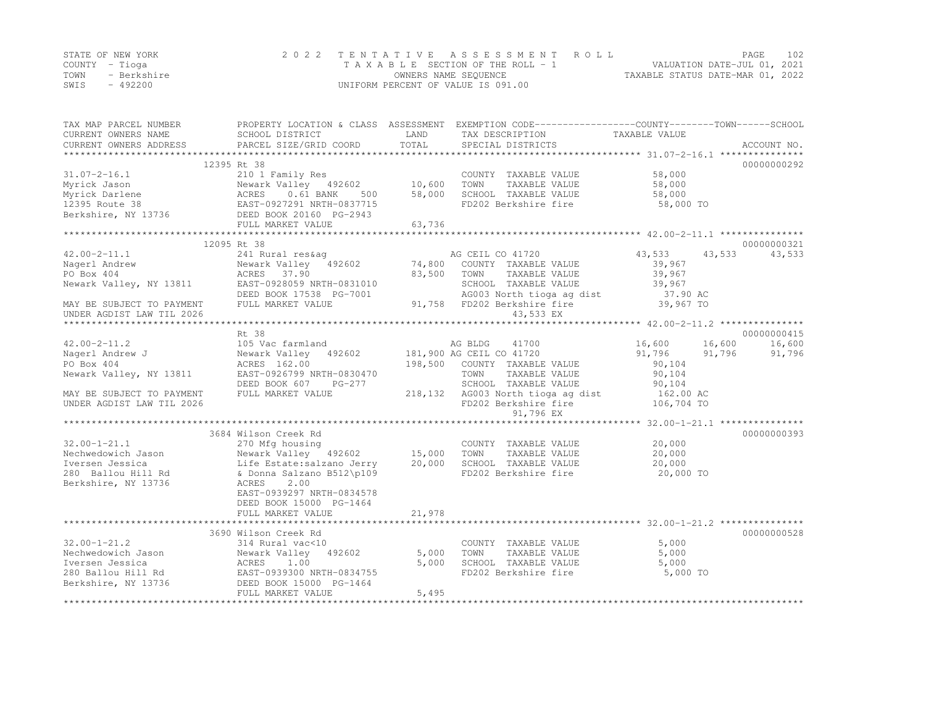|      | STATE OF NEW YORK | 2022 TENTATIVE ASSESSMENT ROLL     | PAGE                             | 102 |
|------|-------------------|------------------------------------|----------------------------------|-----|
|      | COUNTY – Tioga    | TAXABLE SECTION OF THE ROLL - 1    | VALUATION DATE-JUL 01, 2021      |     |
| TOWN | - Berkshire       | OWNERS NAME SEQUENCE               | TAXABLE STATUS DATE-MAR 01, 2022 |     |
| SWIS | $-492200$         | UNIFORM PERCENT OF VALUE IS 091.00 |                                  |     |

| TAX MAP PARCEL NUMBER<br>CURRENT OWNERS NAME<br>CURRENT OWNERS ADDRESS | SCHOOL DISTRICT<br>PARCEL SIZE/GRID COORD                | LAND<br>TOTAL | PROPERTY LOCATION & CLASS ASSESSMENT EXEMPTION CODE---------------COUNTY-------TOWN------SCHOOL<br>TAX DESCRIPTION<br>SPECIAL DISTRICTS | TAXABLE VALUE       | ACCOUNT NO. |
|------------------------------------------------------------------------|----------------------------------------------------------|---------------|-----------------------------------------------------------------------------------------------------------------------------------------|---------------------|-------------|
| **********************************                                     |                                                          |               |                                                                                                                                         |                     |             |
|                                                                        | 12395 Rt 38                                              |               |                                                                                                                                         |                     | 00000000292 |
| $31.07 - 2 - 16.1$                                                     | 210 1 Family Res                                         |               | COUNTY TAXABLE VALUE                                                                                                                    | 58,000              |             |
| Myrick Jason                                                           | Newark Valley 492602                                     | 10,600        | TOWN<br>TAXABLE VALUE                                                                                                                   | 58,000              |             |
| Myrick Darlene<br>12395 Route 38                                       | ACRES<br>$0.61$ BANK<br>500<br>EAST-0927291 NRTH-0837715 | 58,000        | SCHOOL TAXABLE VALUE<br>FD202 Berkshire fire                                                                                            | 58,000<br>58,000 TO |             |
| Berkshire, NY 13736                                                    | DEED BOOK 20160 PG-2943                                  |               |                                                                                                                                         |                     |             |
|                                                                        | FULL MARKET VALUE                                        | 63,736        |                                                                                                                                         |                     |             |
|                                                                        |                                                          |               |                                                                                                                                         |                     |             |
|                                                                        | 12095 Rt 38                                              |               |                                                                                                                                         |                     | 00000000321 |
| $42.00 - 2 - 11.1$                                                     | 241 Rural res&aq                                         |               | AG CEIL CO 41720                                                                                                                        | 43,533<br>43,533    | 43,533      |
| Nagerl Andrew                                                          | Newark Valley 492602                                     | 74,800        | COUNTY TAXABLE VALUE                                                                                                                    | 39,967              |             |
| PO Box 404                                                             | ACRES 37.90                                              | 83,500        | TOWN<br>TAXABLE VALUE                                                                                                                   | 39,967              |             |
| Newark Valley, NY 13811                                                | EAST-0928059 NRTH-0831010                                |               | SCHOOL TAXABLE VALUE                                                                                                                    | 39,967              |             |
|                                                                        | DEED BOOK 17538 PG-7001                                  |               | AG003 North tioga ag dist                                                                                                               | 37.90 AC            |             |
| MAY BE SUBJECT TO PAYMENT                                              | FULL MARKET VALUE                                        |               | 91,758 FD202 Berkshire fire                                                                                                             | 39,967 TO           |             |
| UNDER AGDIST LAW TIL 2026                                              |                                                          |               | 43,533 EX                                                                                                                               |                     |             |
|                                                                        | Rt 38                                                    |               |                                                                                                                                         |                     | 00000000415 |
| $42.00 - 2 - 11.2$                                                     | 105 Vac farmland                                         |               | AG BLDG<br>41700                                                                                                                        | 16,600<br>16,600    | 16,600      |
| Nagerl Andrew J                                                        | Newark Valley<br>492602                                  |               | 181,900 AG CEIL CO 41720                                                                                                                | 91,796<br>91,796    | 91,796      |
| PO Box 404                                                             | ACRES 162.00                                             |               | 198,500 COUNTY TAXABLE VALUE                                                                                                            | 90,104              |             |
| Newark Valley, NY 13811                                                | EAST-0926799 NRTH-0830470                                |               | TOWN<br>TAXABLE VALUE                                                                                                                   | 90,104              |             |
|                                                                        | DEED BOOK 607<br>$PG-277$                                |               | SCHOOL TAXABLE VALUE                                                                                                                    | 90,104              |             |
| MAY BE SUBJECT TO PAYMENT                                              | FULL MARKET VALUE                                        | 218,132       | AG003 North tioga ag dist                                                                                                               | 162.00 AC           |             |
| UNDER AGDIST LAW TIL 2026                                              |                                                          |               | FD202 Berkshire fire                                                                                                                    | 106,704 TO          |             |
|                                                                        |                                                          |               | 91,796 EX                                                                                                                               |                     |             |
|                                                                        |                                                          |               |                                                                                                                                         |                     |             |
| $32.00 - 1 - 21.1$                                                     | 3684 Wilson Creek Rd<br>270 Mfg housing                  |               | COUNTY TAXABLE VALUE                                                                                                                    | 20,000              | 00000000393 |
| Nechwedowich Jason                                                     | Newark Valley 492602                                     | 15,000        | TOWN<br>TAXABLE VALUE                                                                                                                   | 20,000              |             |
| Iversen Jessica                                                        | Life Estate: salzano Jerry                               | 20,000        | SCHOOL TAXABLE VALUE                                                                                                                    | 20,000              |             |
| 280 Ballou Hill Rd                                                     | & Donna Salzano B512\p109                                |               | FD202 Berkshire fire                                                                                                                    | 20,000 TO           |             |
| Berkshire, NY 13736                                                    | ACRES<br>2.00                                            |               |                                                                                                                                         |                     |             |
|                                                                        | EAST-0939297 NRTH-0834578                                |               |                                                                                                                                         |                     |             |
|                                                                        | DEED BOOK 15000 PG-1464                                  |               |                                                                                                                                         |                     |             |
|                                                                        | FULL MARKET VALUE                                        | 21,978        |                                                                                                                                         |                     |             |
|                                                                        |                                                          |               |                                                                                                                                         |                     |             |
|                                                                        | 3690 Wilson Creek Rd                                     |               |                                                                                                                                         |                     | 00000000528 |
| $32.00 - 1 - 21.2$                                                     | 314 Rural vac<10                                         |               | COUNTY TAXABLE VALUE                                                                                                                    | 5,000               |             |
| Nechwedowich Jason                                                     | Newark Valley 492602                                     | 5,000         | TOWN<br>TAXABLE VALUE                                                                                                                   | 5,000               |             |
| Iversen Jessica                                                        | 1.00<br>ACRES                                            | 5,000         | SCHOOL TAXABLE VALUE                                                                                                                    | 5,000               |             |
| 280 Ballou Hill Rd                                                     | EAST-0939300 NRTH-0834755                                |               | FD202 Berkshire fire                                                                                                                    | 5,000 TO            |             |
| Berkshire, NY 13736                                                    | DEED BOOK 15000 PG-1464                                  |               |                                                                                                                                         |                     |             |
|                                                                        | FULL MARKET VALUE                                        | 5,495         |                                                                                                                                         |                     |             |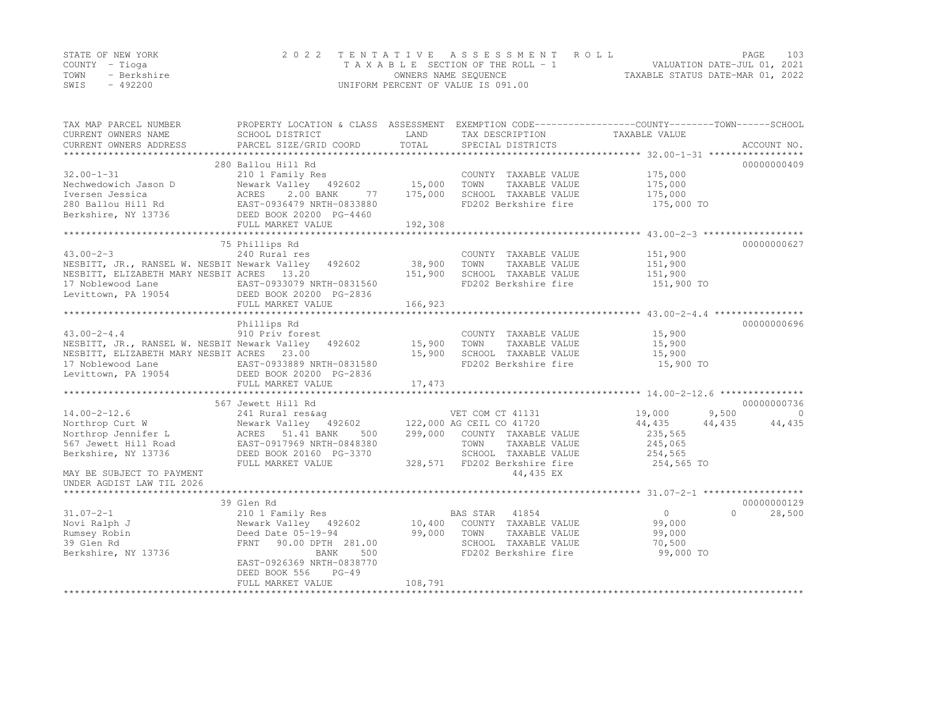|      | STATE OF NEW YORK | 2022 TENTATIVE ASSESSMENT ROLL     |                                  | PAGE. | 103 |
|------|-------------------|------------------------------------|----------------------------------|-------|-----|
|      | COUNTY – Tioga    | TAXABLE SECTION OF THE ROLL - 1    | VALUATION DATE-JUL 01, 2021      |       |     |
| TOWN | - Berkshire       | OWNERS NAME SEQUENCE               | TAXABLE STATUS DATE-MAR 01, 2022 |       |     |
| SWIS | - 492200          | UNIFORM PERCENT OF VALUE IS 091.00 |                                  |       |     |

| SCHOOL DISTRICT<br>PARCEL SIZE/GRID COORD                                                                                                                                                | LAND<br>TOTAL                                                                                                                                                                                                                                                                                                                                                                                                                                                                                                                                                      | TAX DESCRIPTION<br>SPECIAL DISTRICTS                                                          | TAXABLE VALUE                                                                                                                                                                                       | ACCOUNT NO.                                                                                                                             |
|------------------------------------------------------------------------------------------------------------------------------------------------------------------------------------------|--------------------------------------------------------------------------------------------------------------------------------------------------------------------------------------------------------------------------------------------------------------------------------------------------------------------------------------------------------------------------------------------------------------------------------------------------------------------------------------------------------------------------------------------------------------------|-----------------------------------------------------------------------------------------------|-----------------------------------------------------------------------------------------------------------------------------------------------------------------------------------------------------|-----------------------------------------------------------------------------------------------------------------------------------------|
|                                                                                                                                                                                          |                                                                                                                                                                                                                                                                                                                                                                                                                                                                                                                                                                    |                                                                                               |                                                                                                                                                                                                     |                                                                                                                                         |
| 210 1 Family Res<br>Newark Valley 492602                                                                                                                                                 |                                                                                                                                                                                                                                                                                                                                                                                                                                                                                                                                                                    | COUNTY TAXABLE VALUE<br>TOWN<br>TAXABLE VALUE                                                 | 175,000<br>175,000                                                                                                                                                                                  | 00000000409                                                                                                                             |
| DEED BOOK 20200 PG-4460                                                                                                                                                                  |                                                                                                                                                                                                                                                                                                                                                                                                                                                                                                                                                                    | FD202 Berkshire fire                                                                          | 175,000 TO                                                                                                                                                                                          |                                                                                                                                         |
|                                                                                                                                                                                          |                                                                                                                                                                                                                                                                                                                                                                                                                                                                                                                                                                    |                                                                                               |                                                                                                                                                                                                     |                                                                                                                                         |
|                                                                                                                                                                                          |                                                                                                                                                                                                                                                                                                                                                                                                                                                                                                                                                                    |                                                                                               |                                                                                                                                                                                                     |                                                                                                                                         |
| 240 Rural res<br>492602                                                                                                                                                                  | 38,900<br>151,900                                                                                                                                                                                                                                                                                                                                                                                                                                                                                                                                                  | COUNTY TAXABLE VALUE<br>TOWN<br>TAXABLE VALUE<br>SCHOOL TAXABLE VALUE<br>FD202 Berkshire fire | 151,900<br>151,900<br>151,900<br>151,900 TO                                                                                                                                                         | 00000000627                                                                                                                             |
|                                                                                                                                                                                          |                                                                                                                                                                                                                                                                                                                                                                                                                                                                                                                                                                    |                                                                                               |                                                                                                                                                                                                     |                                                                                                                                         |
|                                                                                                                                                                                          |                                                                                                                                                                                                                                                                                                                                                                                                                                                                                                                                                                    |                                                                                               |                                                                                                                                                                                                     | 00000000696                                                                                                                             |
| 910 Priv forest<br>492602<br>FULL MARKET VALUE<br>567 Jewett Hill Rd<br>241 Rural res&aq                                                                                                 | 15,900<br>17,473                                                                                                                                                                                                                                                                                                                                                                                                                                                                                                                                                   | COUNTY TAXABLE VALUE<br>TOWN<br>TAXABLE VALUE<br>SCHOOL TAXABLE VALUE<br>FD202 Berkshire fire | 15,900<br>15,900<br>15,900<br>15,900 TO<br>19,000                                                                                                                                                   | 00000000736<br>$\Omega$<br>44,435                                                                                                       |
| ACRES 51.41 BANK<br>500<br>EAST-0917969 NRTH-0848380<br>DEED BOOK 20160 PG-3370<br>FULL MARKET VALUE                                                                                     |                                                                                                                                                                                                                                                                                                                                                                                                                                                                                                                                                                    | TOWN<br>TAXABLE VALUE<br>SCHOOL TAXABLE VALUE<br>44,435 EX                                    | 235,565<br>245,065<br>254,565<br>254,565 TO                                                                                                                                                         |                                                                                                                                         |
|                                                                                                                                                                                          |                                                                                                                                                                                                                                                                                                                                                                                                                                                                                                                                                                    |                                                                                               |                                                                                                                                                                                                     |                                                                                                                                         |
|                                                                                                                                                                                          |                                                                                                                                                                                                                                                                                                                                                                                                                                                                                                                                                                    |                                                                                               |                                                                                                                                                                                                     | 00000000129                                                                                                                             |
| 210 1 Family Res<br>Newark Valley 492602<br>Deed Date 05-19-94<br>90.00 DPTH 281.00<br>FRNT<br>500<br>BANK<br>EAST-0926369 NRTH-0838770<br>DEED BOOK 556<br>$PG-49$<br>FULL MARKET VALUE | 99,000<br>108,791                                                                                                                                                                                                                                                                                                                                                                                                                                                                                                                                                  | 41854<br>TOWN<br>TAXABLE VALUE<br>SCHOOL TAXABLE VALUE<br>FD202 Berkshire fire                | $\overline{0}$<br>99,000<br>99,000<br>70,500<br>99,000 TO                                                                                                                                           | $\Omega$<br>28,500                                                                                                                      |
|                                                                                                                                                                                          | 280 Ballou Hill Rd<br>ACRES 2.00 BANK //<br>EAST-0936479 NRTH-0833880<br>77<br>FULL MARKET VALUE<br>75 Phillips Rd<br>NESBITT, JR., RANSEL W. NESBIT Newark Valley<br>NESBITT, ELIZABETH MARY NESBIT ACRES 13.20<br>17 Noblewood Lane EAST-0933079 NRTH-0831560<br>Levittown, PA 19054 DEED BOOK 20200 PG-2836<br>FULL MARKET VALUE<br>Phillips Rd<br>NESBITT, JR., RANSEL W. NESBIT Newark Valley<br>NESBITT, ELIZABETH MARY NESBIT ACRES 23.00<br>EAST-0933889 NRTH-0831580<br>Levittown, PA 19054 DEED BOOK 20200 PG-2836<br>Newark Valley 492602<br>39 Glen Rd | 175,000<br>192,308<br>166,923                                                                 | 15,000<br>SCHOOL TAXABLE VALUE<br>15,900<br>VET COM CT 41131<br>122,000 AG CEIL CO 41720<br>299,000 COUNTY TAXABLE VALUE<br>328,571 FD202 Berkshire fire<br>BAS STAR<br>10,400 COUNTY TAXABLE VALUE | PROPERTY LOCATION & CLASS ASSESSMENT EXEMPTION CODE----------------COUNTY-------TOWN-----SCHOOL<br>175,000<br>9,500<br>44,435<br>44,435 |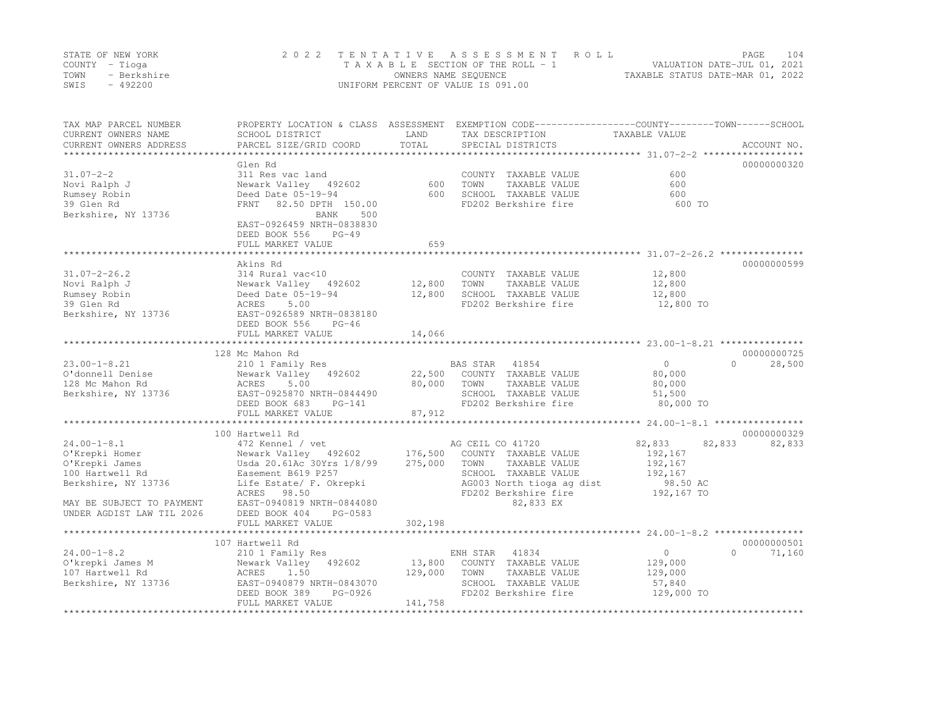|      | STATE OF NEW YORK | 2022 TENTATIVE ASSESSMENT ROLL     | PAGE.                            | 104 |
|------|-------------------|------------------------------------|----------------------------------|-----|
|      | COUNTY – Tioga    | TAXABLE SECTION OF THE ROLL - 1    | VALUATION DATE-JUL 01, 2021      |     |
| TOWN | - Berkshire       | OWNERS NAME SEQUENCE               | TAXABLE STATUS DATE-MAR 01, 2022 |     |
| SWIS | $-492200$         | UNIFORM PERCENT OF VALUE IS 091.00 |                                  |     |

| TAX MAP PARCEL NUMBER<br>CURRENT OWNERS NAME | SCHOOL DISTRICT                          | LAND<br>TOTAL | PROPERTY LOCATION & CLASS ASSESSMENT EXEMPTION CODE----------------COUNTY-------TOWN------SCHOOL<br>TAX DESCRIPTION | TAXABLE VALUE    | ACCOUNT NO.        |
|----------------------------------------------|------------------------------------------|---------------|---------------------------------------------------------------------------------------------------------------------|------------------|--------------------|
| CURRENT OWNERS ADDRESS                       | PARCEL SIZE/GRID COORD                   |               | SPECIAL DISTRICTS                                                                                                   |                  |                    |
|                                              | Glen Rd                                  |               |                                                                                                                     |                  | 00000000320        |
| $31.07 - 2 - 2$                              | 311 Res vac land                         |               | COUNTY TAXABLE VALUE                                                                                                | 600              |                    |
| Novi Ralph J                                 | Newark Valley 492602                     | 600           | TOWN<br>TAXABLE VALUE                                                                                               | 600              |                    |
| Rumsey Robin                                 | Deed Date 05-19-94                       | 600           | SCHOOL TAXABLE VALUE                                                                                                | 600              |                    |
| 39 Glen Rd                                   | 82.50 DPTH 150.00<br>FRNT                |               | FD202 Berkshire fire                                                                                                | 600 TO           |                    |
| Berkshire, NY 13736                          | 500<br>BANK                              |               |                                                                                                                     |                  |                    |
|                                              | EAST-0926459 NRTH-0838830                |               |                                                                                                                     |                  |                    |
|                                              | DEED BOOK 556<br>$PG-49$                 |               |                                                                                                                     |                  |                    |
|                                              | FULL MARKET VALUE                        | 659           |                                                                                                                     |                  |                    |
|                                              | Akins Rd                                 |               |                                                                                                                     |                  | 00000000599        |
| $31.07 - 2 - 26.2$                           | 314 Rural vac<10                         |               | COUNTY TAXABLE VALUE                                                                                                | 12,800           |                    |
| Novi Ralph J                                 | Newark Valley 492602                     | 12,800        | TAXABLE VALUE<br>TOWN                                                                                               | 12,800           |                    |
| Rumsey Robin                                 | Deed Date 05-19-94                       | 12,800        | SCHOOL TAXABLE VALUE                                                                                                | 12,800           |                    |
| 39 Glen Rd                                   | ACRES<br>5.00                            |               | FD202 Berkshire fire                                                                                                | 12,800 TO        |                    |
| Berkshire, NY 13736                          | EAST-0926589 NRTH-0838180                |               |                                                                                                                     |                  |                    |
|                                              | DEED BOOK 556<br>$PG-46$                 |               |                                                                                                                     |                  |                    |
|                                              | FULL MARKET VALUE                        | 14,066        |                                                                                                                     |                  |                    |
|                                              |                                          |               |                                                                                                                     |                  |                    |
|                                              | 128 Mc Mahon Rd                          |               |                                                                                                                     |                  | 00000000725        |
| $23.00 - 1 - 8.21$                           | 210 1 Family Res                         |               | BAS STAR<br>41854                                                                                                   | $\Omega$         | 28,500<br>$\cap$   |
| O'donnell Denise                             | Newark Valley<br>492602                  | 22,500        | COUNTY TAXABLE VALUE                                                                                                | 80,000           |                    |
| 128 Mc Mahon Rd                              | 5.00<br>ACRES                            | 80,000        | TAXABLE VALUE<br>TOWN                                                                                               | 80,000           |                    |
| Berkshire, NY 13736                          | EAST-0925870 NRTH-0844490                |               | SCHOOL TAXABLE VALUE                                                                                                | 51,500           |                    |
|                                              | DEED BOOK 683<br>$PG-141$                |               | FD202 Berkshire fire                                                                                                | 80,000 TO        |                    |
|                                              | FULL MARKET VALUE                        | 87,912        |                                                                                                                     |                  |                    |
|                                              |                                          |               |                                                                                                                     |                  | 00000000329        |
| $24.00 - 1 - 8.1$                            | 100 Hartwell Rd                          |               | AG CEIL CO 41720                                                                                                    | 82,833<br>82,833 | 82,833             |
| O'Krepki Homer                               | 472 Kennel / vet<br>Newark Valley 492602 | 176,500       | COUNTY TAXABLE VALUE                                                                                                | 192,167          |                    |
| O'Krepki James                               | Usda 20.61Ac 30Yrs 1/8/99                | 275,000       | TOWN<br>TAXABLE VALUE                                                                                               | 192,167          |                    |
| 100 Hartwell Rd                              | Easement B619 P257                       |               | SCHOOL TAXABLE VALUE                                                                                                | 192,167          |                    |
| Berkshire, NY 13736                          | Life Estate/ F. Okrepki                  |               | AG003 North tioga ag dist                                                                                           | 98.50 AC         |                    |
|                                              | ACRES<br>98.50                           |               | FD202 Berkshire fire                                                                                                | 192,167 TO       |                    |
| MAY BE SUBJECT TO PAYMENT                    | EAST-0940819 NRTH-0844080                |               | 82,833 EX                                                                                                           |                  |                    |
| UNDER AGDIST LAW TIL 2026                    | DEED BOOK 404<br>PG-0583                 |               |                                                                                                                     |                  |                    |
|                                              | FULL MARKET VALUE                        | 302,198       |                                                                                                                     |                  |                    |
|                                              |                                          |               |                                                                                                                     |                  |                    |
|                                              | 107 Hartwell Rd                          |               |                                                                                                                     |                  | 00000000501        |
| $24.00 - 1 - 8.2$                            | 210 1 Family Res                         |               | 41834<br>ENH STAR                                                                                                   | $\circ$          | $\Omega$<br>71,160 |
| O'krepki James M                             | 492602<br>Newark Valley                  | 13,800        | COUNTY TAXABLE VALUE                                                                                                | 129,000          |                    |
| 107 Hartwell Rd                              | ACRES<br>1.50                            | 129,000       | TOWN<br>TAXABLE VALUE                                                                                               | 129,000          |                    |
| Berkshire, NY 13736                          | EAST-0940879 NRTH-0843070                |               | SCHOOL TAXABLE VALUE                                                                                                | 57,840           |                    |
|                                              | PG-0926<br>DEED BOOK 389                 |               | FD202 Berkshire fire                                                                                                | 129,000 TO       |                    |
|                                              | FULL MARKET VALUE                        | 141,758       |                                                                                                                     |                  |                    |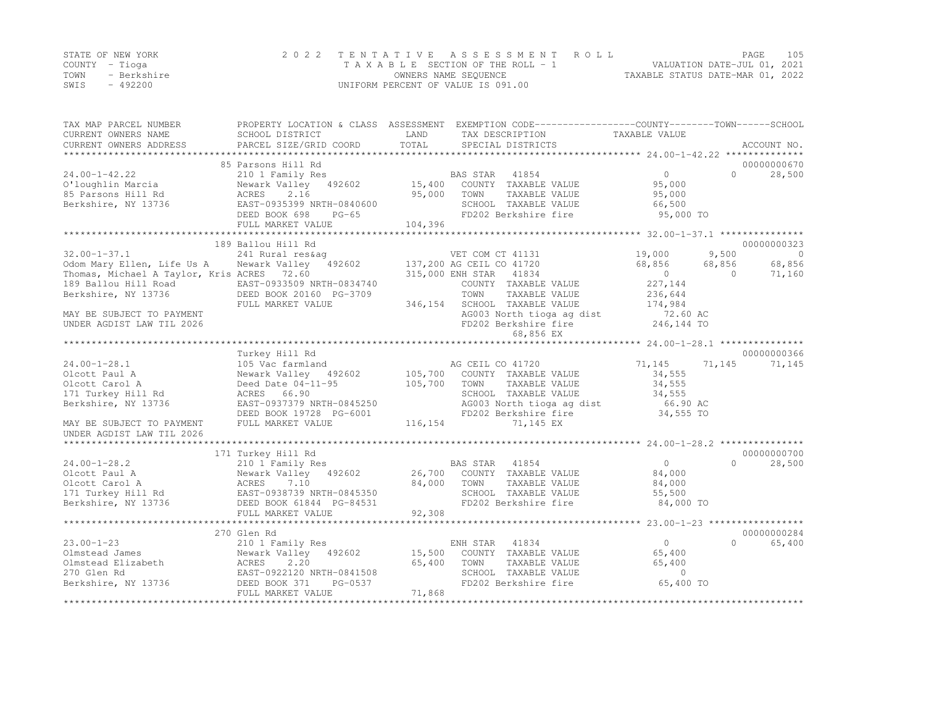|      | STATE OF NEW YORK | 2022 TENTATIVE ASSESSMENT ROLL     |                                  | PAGE. | 105 |
|------|-------------------|------------------------------------|----------------------------------|-------|-----|
|      | COUNTY – Tioga    | TAXABLE SECTION OF THE ROLL - 1    | VALUATION DATE-JUL 01, 2021      |       |     |
| TOWN | - Berkshire       | OWNERS NAME SEQUENCE               | TAXABLE STATUS DATE-MAR 01, 2022 |       |     |
| SWIS | - 492200          | UNIFORM PERCENT OF VALUE IS 091.00 |                                  |       |     |

| TAX MAP PARCEL NUMBER<br>CURRENT OWNERS NAME<br>CURRENT OWNERS ADDRESS | SCHOOL DISTRICT<br>PARCEL SIZE/GRID COORD     | LAND<br>TOTAL | PROPERTY LOCATION & CLASS ASSESSMENT EXEMPTION CODE---------------COUNTY-------TOWN-----SCHOOL<br>TAX DESCRIPTION<br>SPECIAL DISTRICTS | TAXABLE VALUE    | ACCOUNT NO.     |                          |
|------------------------------------------------------------------------|-----------------------------------------------|---------------|----------------------------------------------------------------------------------------------------------------------------------------|------------------|-----------------|--------------------------|
|                                                                        |                                               |               |                                                                                                                                        |                  |                 |                          |
|                                                                        | 85 Parsons Hill Rd                            |               |                                                                                                                                        |                  | 00000000670     |                          |
| $24.00 - 1 - 42.22$                                                    | 210 1 Family Res                              |               | BAS STAR 41854                                                                                                                         | $\overline{0}$   | $\cap$          | 28,500                   |
| O'loughlin Marcia                                                      | Newark Valley 492602                          | 15,400        | COUNTY TAXABLE VALUE                                                                                                                   | 95,000           |                 |                          |
| 85 Parsons Hill Rd                                                     | ACRES<br>2.16                                 | 95,000        | TOWN<br>TAXABLE VALUE                                                                                                                  | 95,000           |                 |                          |
| Berkshire, NY 13736                                                    | EAST-0935399 NRTH-0840600                     |               | SCHOOL TAXABLE VALUE                                                                                                                   | 66,500           |                 |                          |
|                                                                        | DEED BOOK 698<br>PG-65                        |               | FD202 Berkshire fire                                                                                                                   | 95,000 TO        |                 |                          |
|                                                                        | FULL MARKET VALUE                             | 104,396       |                                                                                                                                        |                  |                 |                          |
|                                                                        |                                               |               |                                                                                                                                        |                  |                 |                          |
|                                                                        | 189 Ballou Hill Rd                            |               |                                                                                                                                        |                  | 00000000323     |                          |
| $32.00 - 1 - 37.1$<br>Odom Mary Ellen, Life Us A                       | 241 Rural res&aq<br>Newark Valley 492602      |               | VET COM CT 41131<br>137,200 AG CEIL CO 41720                                                                                           | 19,000<br>68,856 | 9,500<br>68,856 | $\overline{0}$<br>68,856 |
| Thomas, Michael A Taylor, Kris ACRES 72.60                             |                                               |               | 315,000 ENH STAR 41834                                                                                                                 | $\overline{0}$   | $\Omega$        | 71,160                   |
| 189 Ballou Hill Road                                                   | EAST-0933509 NRTH-0834740                     |               | COUNTY TAXABLE VALUE                                                                                                                   | 227,144          |                 |                          |
| Berkshire, NY 13736                                                    | DEED BOOK 20160 PG-3709                       |               | TAXABLE VALUE<br>TOWN                                                                                                                  | 236,644          |                 |                          |
|                                                                        | FULL MARKET VALUE                             | 346,154       | SCHOOL TAXABLE VALUE                                                                                                                   | 174,984          |                 |                          |
| MAY BE SUBJECT TO PAYMENT                                              |                                               |               | AG003 North tioga ag dist                                                                                                              | 72.60 AC         |                 |                          |
| UNDER AGDIST LAW TIL 2026                                              |                                               |               | FD202 Berkshire fire                                                                                                                   | 246,144 TO       |                 |                          |
|                                                                        |                                               |               | 68,856 EX                                                                                                                              |                  |                 |                          |
|                                                                        |                                               |               |                                                                                                                                        |                  |                 |                          |
|                                                                        | Turkey Hill Rd                                |               |                                                                                                                                        |                  | 00000000366     |                          |
| $24.00 - 1 - 28.1$                                                     | 105 Vac farmland                              |               | AG CEIL CO 41720                                                                                                                       | 71,145           | 71,145          | 71,145                   |
| Olcott Paul A                                                          | Newark Valley 492602                          | 105,700       | COUNTY TAXABLE VALUE                                                                                                                   | 34,555           |                 |                          |
| Olcott Carol A                                                         | Deed Date 04-11-95                            | 105,700       | TOWN<br>TAXABLE VALUE                                                                                                                  | 34,555           |                 |                          |
| 171 Turkey Hill Rd                                                     | ACRES 66.90                                   |               | SCHOOL TAXABLE VALUE                                                                                                                   | 34,555           |                 |                          |
| Berkshire, NY 13736                                                    | EAST-0937379 NRTH-0845250                     |               | AG003 North tioga ag dist                                                                                                              | 66.90 AC         |                 |                          |
|                                                                        | DEED BOOK 19728 PG-6001                       |               | FD202 Berkshire fire                                                                                                                   | 34,555 TO        |                 |                          |
| MAY BE SUBJECT TO PAYMENT                                              | FULL MARKET VALUE                             | 116,154       | 71,145 EX                                                                                                                              |                  |                 |                          |
| UNDER AGDIST LAW TIL 2026                                              |                                               |               |                                                                                                                                        |                  |                 |                          |
|                                                                        |                                               |               |                                                                                                                                        |                  |                 |                          |
|                                                                        | 171 Turkey Hill Rd                            |               |                                                                                                                                        |                  | 00000000700     |                          |
| $24.00 - 1 - 28.2$                                                     | 210 1 Family Res                              |               | BAS STAR 41854                                                                                                                         | $\circ$          | $\bigcap$       | 28,500                   |
| Olcott Paul A                                                          | Newark Valley 492602                          |               | 26,700 COUNTY TAXABLE VALUE                                                                                                            | 84,000           |                 |                          |
| Olcott Carol A                                                         | ACRES<br>7.10                                 | 84,000        | TOWN<br>TAXABLE VALUE                                                                                                                  | 84,000           |                 |                          |
| 171 Turkey Hill Rd                                                     | EAST-0938739 NRTH-0845350                     |               | SCHOOL TAXABLE VALUE                                                                                                                   | 55,500           |                 |                          |
| Berkshire, NY 13736                                                    | DEED BOOK 61844 PG-84531<br>FULL MARKET VALUE |               | FD202 Berkshire fire                                                                                                                   | 84,000 TO        |                 |                          |
|                                                                        |                                               | 92,308        |                                                                                                                                        |                  |                 |                          |
|                                                                        | 270 Glen Rd                                   |               |                                                                                                                                        |                  | 00000000284     |                          |
| $23.00 - 1 - 23$                                                       | 210 1 Family Res                              |               | ENH STAR 41834                                                                                                                         | $\circ$          | $\cap$          | 65,400                   |
| Olmstead James                                                         | Newark Valley 492602                          | 15,500        | COUNTY TAXABLE VALUE                                                                                                                   | 65,400           |                 |                          |
| Olmstead Elizabeth                                                     | 2.20<br>ACRES                                 | 65,400        | TOWN<br>TAXABLE VALUE                                                                                                                  | 65,400           |                 |                          |
| 270 Glen Rd                                                            | EAST-0922120 NRTH-0841508                     |               | SCHOOL TAXABLE VALUE                                                                                                                   | $\circ$          |                 |                          |
| Berkshire, NY 13736                                                    | DEED BOOK 371<br>PG-0537                      |               | FD202 Berkshire fire                                                                                                                   | 65,400 TO        |                 |                          |
|                                                                        | FULL MARKET VALUE                             | 71,868        |                                                                                                                                        |                  |                 |                          |
|                                                                        |                                               |               |                                                                                                                                        |                  |                 |                          |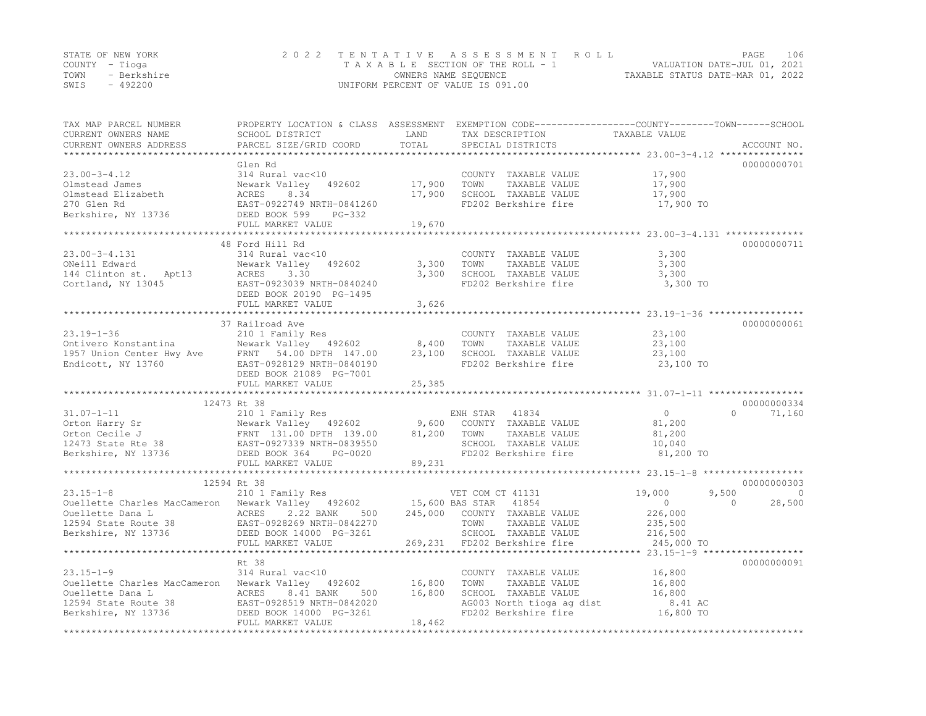| STATE OF NEW YORK |             | 2022 TENTATIVE ASSESSMENT ROLL     |                      |  |                                  | PAGE | 106 |
|-------------------|-------------|------------------------------------|----------------------|--|----------------------------------|------|-----|
| COUNTY – Tioga    |             | TAXABLE SECTION OF THE ROLL - 1    |                      |  | VALUATION DATE-JUL 01, 2021      |      |     |
| TOWN              | - Berkshire |                                    | OWNERS NAME SEOUENCE |  | TAXABLE STATUS DATE-MAR 01, 2022 |      |     |
| SWIS              | $-492200$   | UNIFORM PERCENT OF VALUE IS 091.00 |                      |  |                                  |      |     |

| TAX MAP PARCEL NUMBER<br>CURRENT OWNERS NAME                                                                                                                                                                                                            | SCHOOL DISTRICT             | LAND    | PROPERTY LOCATION & CLASS ASSESSMENT EXEMPTION CODE-----------------COUNTY-------TOWN-----SCHOOL<br>TAX DESCRIPTION | TAXABLE VALUE                       |                    |
|---------------------------------------------------------------------------------------------------------------------------------------------------------------------------------------------------------------------------------------------------------|-----------------------------|---------|---------------------------------------------------------------------------------------------------------------------|-------------------------------------|--------------------|
| CURRENT OWNERS ADDRESS<br>*************************                                                                                                                                                                                                     | PARCEL SIZE/GRID COORD      | TOTAL   | SPECIAL DISTRICTS                                                                                                   |                                     | ACCOUNT NO.        |
|                                                                                                                                                                                                                                                         | Glen Rd                     |         |                                                                                                                     |                                     | 00000000701        |
| $23.00 - 3 - 4.12$                                                                                                                                                                                                                                      | 314 Rural vac<10            |         | COUNTY TAXABLE VALUE                                                                                                | 17,900                              |                    |
| Olmstead James                                                                                                                                                                                                                                          | Newark Valley 492602        | 17,900  | TOWN<br>TAXABLE VALUE                                                                                               | 17,900                              |                    |
| Olmstead Elizabeth                                                                                                                                                                                                                                      | ACRES<br>8.34               | 17,900  | SCHOOL TAXABLE VALUE                                                                                                | 17,900                              |                    |
| 270 Glen Rd                                                                                                                                                                                                                                             | EAST-0922749 NRTH-0841260   |         | FD202 Berkshire fire                                                                                                | 17,900 TO                           |                    |
| Berkshire, NY 13736                                                                                                                                                                                                                                     | DEED BOOK 599<br>PG-332     |         |                                                                                                                     |                                     |                    |
|                                                                                                                                                                                                                                                         | FULL MARKET VALUE           | 19,670  |                                                                                                                     |                                     |                    |
|                                                                                                                                                                                                                                                         | *************************** |         |                                                                                                                     |                                     |                    |
|                                                                                                                                                                                                                                                         | 48 Ford Hill Rd             |         |                                                                                                                     |                                     | 00000000711        |
| $23.00 - 3 - 4.131$                                                                                                                                                                                                                                     | 314 Rural vac<10            |         | COUNTY TAXABLE VALUE                                                                                                | 3,300                               |                    |
| ONeill Edward                                                                                                                                                                                                                                           | 492602<br>Newark Valley     | 3,300   | TAXABLE VALUE<br>TOWN                                                                                               | 3,300                               |                    |
| 144 Clinton st. Apt13                                                                                                                                                                                                                                   | ACRES<br>3.30               | 3,300   | SCHOOL TAXABLE VALUE                                                                                                | 3,300                               |                    |
| Cortland, NY 13045                                                                                                                                                                                                                                      | EAST-0923039 NRTH-0840240   |         | FD202 Berkshire fire                                                                                                | 3,300 TO                            |                    |
|                                                                                                                                                                                                                                                         | DEED BOOK 20190 PG-1495     |         |                                                                                                                     |                                     |                    |
|                                                                                                                                                                                                                                                         | FULL MARKET VALUE           | 3,626   |                                                                                                                     |                                     |                    |
|                                                                                                                                                                                                                                                         |                             |         |                                                                                                                     |                                     |                    |
|                                                                                                                                                                                                                                                         | 37 Railroad Ave             |         |                                                                                                                     |                                     | 00000000061        |
| $23.19 - 1 - 36$                                                                                                                                                                                                                                        | 210 1 Family Res            |         | COUNTY TAXABLE VALUE                                                                                                | 23,100                              |                    |
| Ontivero Konstantina                                                                                                                                                                                                                                    | Newark Valley 492602        | 8,400   | TAXABLE VALUE<br>TOWN                                                                                               | 23,100                              |                    |
| 1957 Union Center Hwy Ave                                                                                                                                                                                                                               | FRNT 54.00 DPTH 147.00      | 23,100  | SCHOOL TAXABLE VALUE                                                                                                | 23,100                              |                    |
| Endicott, NY 13760                                                                                                                                                                                                                                      | EAST-0928129 NRTH-0840190   |         | FD202 Berkshire fire                                                                                                | 23,100 TO                           |                    |
|                                                                                                                                                                                                                                                         | DEED BOOK 21089 PG-7001     |         |                                                                                                                     |                                     |                    |
|                                                                                                                                                                                                                                                         | FULL MARKET VALUE           | 25,385  |                                                                                                                     |                                     |                    |
|                                                                                                                                                                                                                                                         |                             |         |                                                                                                                     |                                     |                    |
|                                                                                                                                                                                                                                                         | 12473 Rt 38                 |         |                                                                                                                     |                                     | 00000000334        |
|                                                                                                                                                                                                                                                         |                             |         | ENH STAR 41834                                                                                                      | $\overline{0}$                      | $\Omega$<br>71,160 |
|                                                                                                                                                                                                                                                         | Newark Valley 492602        | 9,600   | COUNTY TAXABLE VALUE                                                                                                | 81,200                              |                    |
|                                                                                                                                                                                                                                                         |                             | 81,200  | TOWN<br>TAXABLE VALUE                                                                                               | 81,200                              |                    |
|                                                                                                                                                                                                                                                         |                             |         | SCHOOL TAXABLE VALUE                                                                                                | 10,040                              |                    |
|                                                                                                                                                                                                                                                         |                             |         | FD202 Berkshire fire                                                                                                | 81,200 TO                           |                    |
| 31.07-1-11<br>Orton Harry Sr<br>Orton Cecile J<br>12473 State Rte 38<br>12473 State Rte 38<br>2273 State Rte 38<br>22839 NRTH-0839550<br>22839 NRTH-0839550<br>22887-0927339<br>22887-0827339<br>22887-082739<br>22887-082739<br>22887-0827<br>23887-08 | FULL MARKET VALUE           | 89,231  |                                                                                                                     |                                     |                    |
|                                                                                                                                                                                                                                                         |                             |         |                                                                                                                     |                                     |                    |
|                                                                                                                                                                                                                                                         | 12594 Rt 38                 |         |                                                                                                                     |                                     | 00000000303        |
| $23.15 - 1 - 8$                                                                                                                                                                                                                                         | 210 1 Family Res            |         | VET COM CT 41131                                                                                                    | 9,500<br>19,000                     | $\circ$            |
| Ouellette Charles MacCameron Newark Valley 492602                                                                                                                                                                                                       |                             |         | 15,600 BAS STAR<br>41854                                                                                            | $\circ$                             | 28,500<br>$\cap$   |
| Ouellette Dana L                                                                                                                                                                                                                                        | ACRES<br>2.22 BANK<br>500   | 245,000 | COUNTY TAXABLE VALUE                                                                                                | 226,000                             |                    |
| 12594 State Route 38                                                                                                                                                                                                                                    | EAST-0928269 NRTH-0842270   |         | TAXABLE VALUE<br>TOWN                                                                                               | 235,500                             |                    |
| Berkshire, NY 13736                                                                                                                                                                                                                                     | DEED BOOK 14000 PG-3261     |         | SCHOOL TAXABLE VALUE                                                                                                | 216,500                             |                    |
|                                                                                                                                                                                                                                                         | FULL MARKET VALUE           | 269,231 | FD202 Berkshire fire                                                                                                | 245,000 TO                          |                    |
|                                                                                                                                                                                                                                                         | *********************       |         |                                                                                                                     | ***** 23.15-1-9 ******************* |                    |
|                                                                                                                                                                                                                                                         | Rt 38                       |         |                                                                                                                     |                                     | 00000000091        |
| $23.15 - 1 - 9$                                                                                                                                                                                                                                         | 314 Rural vac<10            |         | COUNTY TAXABLE VALUE                                                                                                | 16,800                              |                    |
| Ouellette Charles MacCameron Newark Valley 492602                                                                                                                                                                                                       |                             | 16,800  | TOWN<br>TAXABLE VALUE                                                                                               | 16,800                              |                    |
| Ouellette Dana L                                                                                                                                                                                                                                        | ACRES<br>8.41 BANK<br>500   | 16,800  | SCHOOL TAXABLE VALUE                                                                                                | 16,800                              |                    |
| 12594 State Route 38                                                                                                                                                                                                                                    | EAST-0928519 NRTH-0842020   |         | AG003 North tioga ag dist                                                                                           | 8.41 AC                             |                    |
| Berkshire, NY 13736                                                                                                                                                                                                                                     | DEED BOOK 14000 PG-3261     |         | FD202 Berkshire fire                                                                                                | 16,800 TO                           |                    |
|                                                                                                                                                                                                                                                         | FULL MARKET VALUE           | 18,462  |                                                                                                                     |                                     |                    |
|                                                                                                                                                                                                                                                         |                             |         |                                                                                                                     |                                     |                    |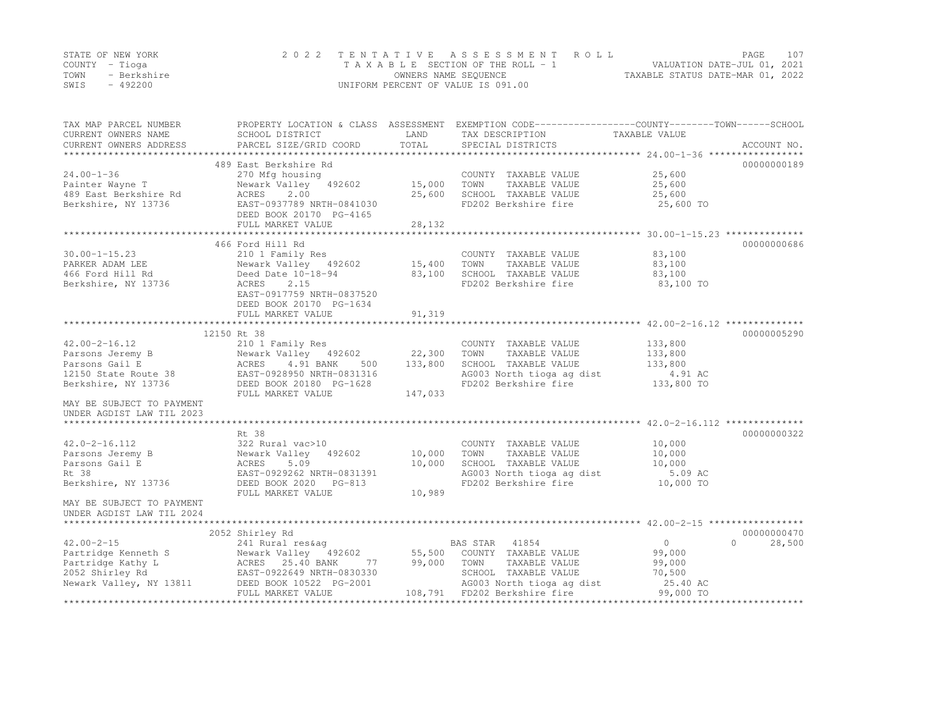|      | STATE OF NEW YORK | 2022 TENTATIVE ASSESSMENT ROLL     | PAGE.                            | 107 |
|------|-------------------|------------------------------------|----------------------------------|-----|
|      | COUNTY – Tioga    | TAXABLE SECTION OF THE ROLL - 1    | VALUATION DATE-JUL 01, 2021      |     |
| TOWN | - Berkshire       | OWNERS NAME SEQUENCE               | TAXABLE STATUS DATE-MAR 01, 2022 |     |
| SWIS | $-492200$         | UNIFORM PERCENT OF VALUE IS 091.00 |                                  |     |

| TAX MAP PARCEL NUMBER<br>CURRENT OWNERS NAME<br>CURRENT OWNERS ADDRESS | SCHOOL DISTRICT<br>PARCEL SIZE/GRID COORD | LAND<br>TOTAL | PROPERTY LOCATION & CLASS ASSESSMENT EXEMPTION CODE---------------COUNTY-------TOWN------SCHOOL<br>TAX DESCRIPTION<br>SPECIAL DISTRICTS | TAXABLE VALUE       | ACCOUNT NO. |
|------------------------------------------------------------------------|-------------------------------------------|---------------|-----------------------------------------------------------------------------------------------------------------------------------------|---------------------|-------------|
|                                                                        |                                           |               |                                                                                                                                         |                     |             |
|                                                                        | 489 East Berkshire Rd                     |               |                                                                                                                                         |                     | 00000000189 |
| $24.00 - 1 - 36$                                                       | 270 Mfg housing                           |               | COUNTY TAXABLE VALUE                                                                                                                    | 25,600              |             |
| Painter Wayne T                                                        | Newark Valley 492602                      | 15,000        | TOWN<br>TAXABLE VALUE                                                                                                                   | 25,600              |             |
| 489 East Berkshire Rd                                                  | 2.00<br>ACRES                             | 25,600        | SCHOOL TAXABLE VALUE                                                                                                                    | 25,600              |             |
| Berkshire, NY 13736                                                    | EAST-0937789 NRTH-0841030                 |               | FD202 Berkshire fire                                                                                                                    | 25,600 TO           |             |
|                                                                        | DEED BOOK 20170 PG-4165                   |               |                                                                                                                                         |                     |             |
|                                                                        | FULL MARKET VALUE                         | 28,132        |                                                                                                                                         |                     |             |
|                                                                        |                                           |               |                                                                                                                                         |                     |             |
|                                                                        | 466 Ford Hill Rd                          |               |                                                                                                                                         |                     | 00000000686 |
| $30.00 - 1 - 15.23$                                                    | 210 1 Family Res                          |               | COUNTY TAXABLE VALUE                                                                                                                    | 83,100              |             |
| PARKER ADAM LEE                                                        | Newark Valley 492602                      | 15,400        | TOWN<br>TAXABLE VALUE                                                                                                                   | 83,100              |             |
| 466 Ford Hill Rd                                                       | Deed Date 10-18-94                        | 83,100        | SCHOOL TAXABLE VALUE                                                                                                                    | 83,100              |             |
| Berkshire, NY 13736                                                    | ACRES<br>2.15                             |               | FD202 Berkshire fire                                                                                                                    | 83,100 TO           |             |
|                                                                        | EAST-0917759 NRTH-0837520                 |               |                                                                                                                                         |                     |             |
|                                                                        | DEED BOOK 20170 PG-1634                   |               |                                                                                                                                         |                     |             |
|                                                                        | FULL MARKET VALUE                         | 91,319        |                                                                                                                                         |                     |             |
|                                                                        |                                           |               |                                                                                                                                         |                     |             |
|                                                                        | 12150 Rt 38                               |               |                                                                                                                                         |                     | 00000005290 |
| $42.00 - 2 - 16.12$                                                    | 210 1 Family Res                          |               | COUNTY TAXABLE VALUE                                                                                                                    | 133,800             |             |
| Parsons Jeremy B                                                       | Newark Valley 492602                      | 22,300        | TOWN<br>TAXABLE VALUE                                                                                                                   | 133,800             |             |
| Parsons Gail E                                                         | ACRES<br>4.91 BANK<br>500                 | 133,800       | SCHOOL TAXABLE VALUE                                                                                                                    | 133,800             |             |
| 12150 State Route 38                                                   | EAST-0928950 NRTH-0831316                 |               | AG003 North tioga ag dist                                                                                                               | 4.91 AC             |             |
| Berkshire, NY 13736                                                    | DEED BOOK 20180 PG-1628                   |               | FD202 Berkshire fire                                                                                                                    | 133,800 TO          |             |
|                                                                        | FULL MARKET VALUE                         | 147,033       |                                                                                                                                         |                     |             |
| MAY BE SUBJECT TO PAYMENT                                              |                                           |               |                                                                                                                                         |                     |             |
| UNDER AGDIST LAW TIL 2023                                              |                                           |               |                                                                                                                                         |                     |             |
|                                                                        |                                           |               |                                                                                                                                         |                     |             |
|                                                                        | Rt. 38                                    |               |                                                                                                                                         |                     | 00000000322 |
| $42.0 - 2 - 16.112$                                                    | 322 Rural vac>10                          |               | COUNTY TAXABLE VALUE                                                                                                                    | 10,000              |             |
| Parsons Jeremy B                                                       | Newark Valley 492602                      | 10,000        | TOWN<br>TAXABLE VALUE                                                                                                                   | 10,000              |             |
| Parsons Gail E                                                         | ACRES<br>5.09                             | 10,000        | SCHOOL TAXABLE VALUE                                                                                                                    | 10,000              |             |
| Rt 38                                                                  | EAST-0929262 NRTH-0831391                 |               | AG003 North tioga ag dist                                                                                                               | 5.09 AC             |             |
| Berkshire, NY 13736                                                    | DEED BOOK 2020 PG-813                     |               | FD202 Berkshire fire                                                                                                                    | 10,000 TO           |             |
|                                                                        | FULL MARKET VALUE                         | 10,989        |                                                                                                                                         |                     |             |
| MAY BE SUBJECT TO PAYMENT                                              |                                           |               |                                                                                                                                         |                     |             |
| UNDER AGDIST LAW TIL 2024                                              |                                           |               |                                                                                                                                         |                     |             |
|                                                                        | 2052 Shirley Rd                           |               |                                                                                                                                         |                     | 00000000470 |
| $42.00 - 2 - 15$                                                       | 241 Rural res&aq                          |               | BAS STAR 41854                                                                                                                          | $\circ$<br>$\Omega$ | 28,500      |
| Partridge Kenneth S                                                    | Newark Valley 492602                      | 55,500        | COUNTY TAXABLE VALUE                                                                                                                    | 99,000              |             |
| Partridge Kathy L                                                      | ACRES 25.40 BANK<br>77                    | 99,000        | TOWN<br>TAXABLE VALUE                                                                                                                   | 99,000              |             |
| 2052 Shirley Rd                                                        | EAST-0922649 NRTH-0830330                 |               | SCHOOL TAXABLE VALUE                                                                                                                    | 70,500              |             |
| Newark Valley, NY 13811                                                | DEED BOOK 10522 PG-2001                   |               | AG003 North tioga ag dist                                                                                                               | 25.40 AC            |             |
|                                                                        | FULL MARKET VALUE                         |               | 108,791 FD202 Berkshire fire                                                                                                            | 99,000 TO           |             |
|                                                                        |                                           |               |                                                                                                                                         |                     |             |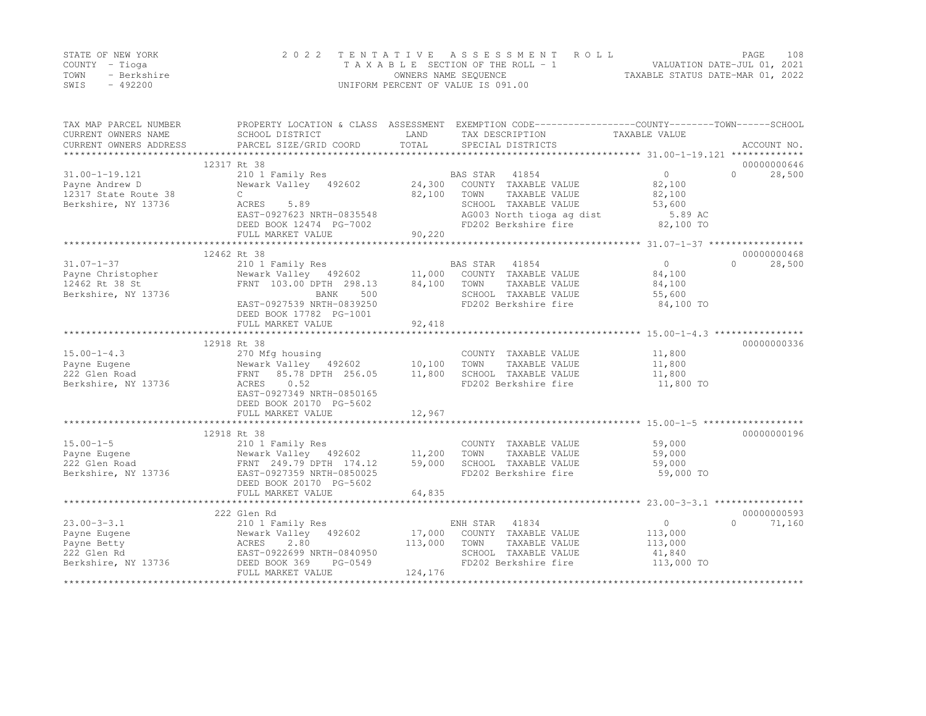|      | STATE OF NEW YORK | 2022 TENTATIVE ASSESSMENT ROLL     |                                  | PAGE                        | 108 |
|------|-------------------|------------------------------------|----------------------------------|-----------------------------|-----|
|      | COUNTY – Tioga    | TAXABLE SECTION OF THE ROLL - 1    |                                  | VALUATION DATE-JUL 01, 2021 |     |
| TOWN | - Berkshire       | OWNERS NAME SEOUENCE               | TAXABLE STATUS DATE-MAR 01, 2022 |                             |     |
| SWIS | $-492200$         | UNIFORM PERCENT OF VALUE IS 091.00 |                                  |                             |     |

| TAX MAP PARCEL NUMBER<br>CURRENT OWNERS NAME<br>CURRENT OWNERS ADDRESS | SCHOOL DISTRICT<br>PARCEL SIZE/GRID COORD                        | LAND<br>TOTAL | PROPERTY LOCATION & CLASS ASSESSMENT EXEMPTION CODE----------------COUNTY-------TOWN------SCHOOL<br>TAX DESCRIPTION<br>SPECIAL DISTRICTS | TAXABLE VALUE     | ACCOUNT NO.        |
|------------------------------------------------------------------------|------------------------------------------------------------------|---------------|------------------------------------------------------------------------------------------------------------------------------------------|-------------------|--------------------|
|                                                                        |                                                                  |               |                                                                                                                                          |                   |                    |
|                                                                        | 12317 Rt 38                                                      |               |                                                                                                                                          |                   | 00000000646        |
| $31.00 - 1 - 19.121$                                                   | 210 1 Family Res                                                 |               | BAS STAR<br>41854                                                                                                                        | $0 \qquad \qquad$ | 28,500<br>$\Omega$ |
| Payne Andrew D                                                         | Newark Valley 492602                                             | 24,300        | COUNTY TAXABLE VALUE                                                                                                                     | 82,100            |                    |
| 12317 State Route 38                                                   | $\mathbb{C}$                                                     | 82,100        | TAXABLE VALUE<br>TOWN                                                                                                                    | 82,100            |                    |
| Berkshire, NY 13736                                                    | ACRES<br>5.89                                                    |               | SCHOOL TAXABLE VALUE                                                                                                                     | 53,600            |                    |
|                                                                        | EAST-0927623 NRTH-0835548                                        |               | AG003 North tioga ag dist                                                                                                                | 5.89 AC           |                    |
|                                                                        | DEED BOOK 12474 PG-7002                                          |               | FD202 Berkshire fire                                                                                                                     | 82,100 TO         |                    |
|                                                                        | FULL MARKET VALUE                                                | 90,220        |                                                                                                                                          |                   |                    |
|                                                                        | 12462 Rt 38                                                      |               |                                                                                                                                          |                   | 00000000468        |
| $31.07 - 1 - 37$                                                       | 210 1 Family Res                                                 |               | BAS STAR 41854                                                                                                                           | $\circ$           | $\Omega$<br>28,500 |
| Payne Christopher                                                      |                                                                  |               | COUNTY TAXABLE VALUE                                                                                                                     | 84,100            |                    |
| 12462 Rt 38 St                                                         | Newark Valley 492602 11,000<br>FRNT 103.00 DPTH 298.13           | 84,100        | TOWN<br>TAXABLE VALUE                                                                                                                    | 84,100            |                    |
| Berkshire, NY 13736                                                    | BANK<br>500                                                      |               | SCHOOL TAXABLE VALUE                                                                                                                     | 55,600            |                    |
|                                                                        | EAST-0927539 NRTH-0839250                                        |               | FD202 Berkshire fire                                                                                                                     | 84,100 TO         |                    |
|                                                                        | DEED BOOK 17782 PG-1001                                          |               |                                                                                                                                          |                   |                    |
|                                                                        | FULL MARKET VALUE                                                | 92,418        |                                                                                                                                          |                   |                    |
|                                                                        |                                                                  |               |                                                                                                                                          |                   |                    |
|                                                                        | 12918 Rt 38                                                      |               |                                                                                                                                          |                   | 00000000336        |
| $15.00 - 1 - 4.3$                                                      | 270 Mfg housing                                                  |               | COUNTY TAXABLE VALUE                                                                                                                     | 11,800            |                    |
| Payne Eugene                                                           | Newark Valley 492602 10,100                                      |               | TOWN<br>TAXABLE VALUE                                                                                                                    | 11,800            |                    |
| 222 Glen Road                                                          | FRNT 85.78 DPTH 256.05                                           | 11,800        | SCHOOL TAXABLE VALUE                                                                                                                     | 11,800            |                    |
| Berkshire, NY 13736                                                    | 0.52<br>ACRES                                                    |               | FD202 Berkshire fire                                                                                                                     | 11,800 TO         |                    |
|                                                                        | EAST-0927349 NRTH-0850165                                        |               |                                                                                                                                          |                   |                    |
|                                                                        | DEED BOOK 20170 PG-5602                                          |               |                                                                                                                                          |                   |                    |
|                                                                        | FULL MARKET VALUE                                                | 12,967        |                                                                                                                                          |                   |                    |
|                                                                        |                                                                  |               |                                                                                                                                          |                   |                    |
|                                                                        | 12918 Rt 38                                                      |               |                                                                                                                                          |                   | 00000000196        |
| $15.00 - 1 - 5$                                                        | 210 1 Family Res                                                 |               | COUNTY TAXABLE VALUE                                                                                                                     | 59,000            |                    |
| Payne Eugene                                                           | Newark Valley 492602                                             | 11,200        | TOWN<br>TAXABLE VALUE                                                                                                                    | 59,000            |                    |
| 222 Glen Road                                                          | Newark Valley<br>FRNT 249.79 DPTH 174.12<br>------- NPTH-0850025 | 59,000        | SCHOOL TAXABLE VALUE                                                                                                                     | 59,000            |                    |
| Berkshire, NY 13736                                                    | EAST-0927359 NRTH-0850025                                        |               | FD202 Berkshire fire                                                                                                                     | 59,000 TO         |                    |
|                                                                        | DEED BOOK 20170 PG-5602                                          |               |                                                                                                                                          |                   |                    |
|                                                                        | FULL MARKET VALUE                                                | 64,835        |                                                                                                                                          |                   |                    |
|                                                                        |                                                                  |               |                                                                                                                                          |                   |                    |
|                                                                        | 222 Glen Rd                                                      |               |                                                                                                                                          |                   | 00000000593        |
| $23.00 - 3 - 3.1$                                                      | 210 1 Family Res                                                 |               | ENH STAR 41834                                                                                                                           | $\overline{0}$    | 71,160<br>$\cap$   |
| Payne Eugene                                                           | Newark Valley 492602                                             | 17,000        | COUNTY TAXABLE VALUE                                                                                                                     | 113,000           |                    |
| Payne Betty                                                            | 2.80<br>ACRES                                                    | 113,000       | TOWN<br>TAXABLE VALUE                                                                                                                    | 113,000           |                    |
| 222 Glen Rd                                                            | EAST-0922699 NRTH-0840950                                        |               | SCHOOL TAXABLE VALUE                                                                                                                     | 41,840            |                    |
| Berkshire, NY 13736                                                    | DEED BOOK 369<br>PG-0549                                         |               | FD202 Berkshire fire                                                                                                                     | 113,000 TO        |                    |
|                                                                        | FULL MARKET VALUE                                                | 124,176       |                                                                                                                                          |                   |                    |
|                                                                        |                                                                  |               |                                                                                                                                          |                   |                    |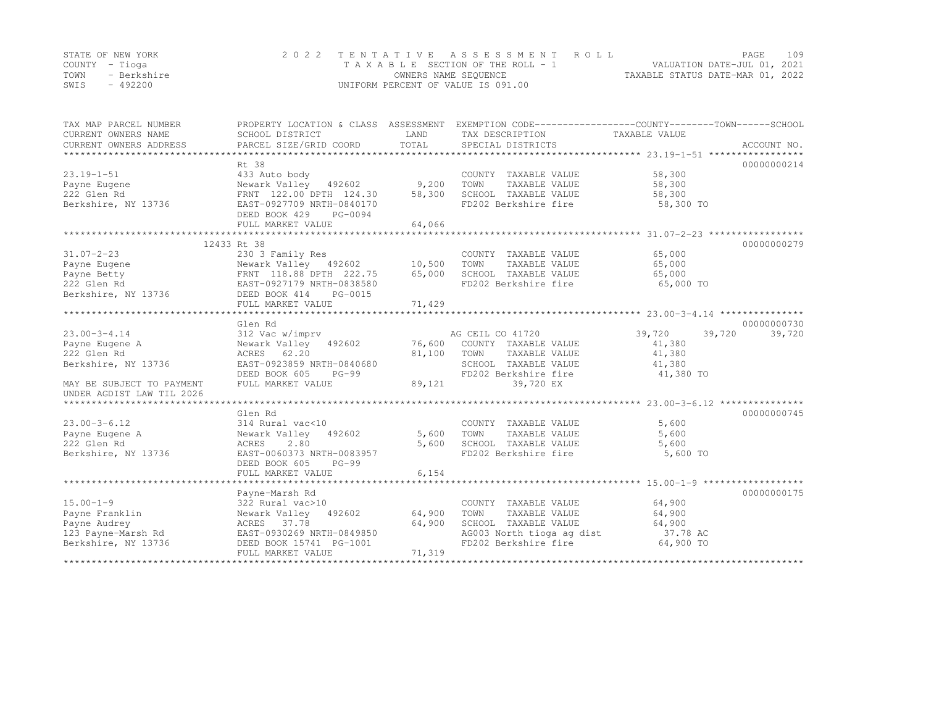|      | STATE OF NEW YORK | 2022 TENTATIVE ASSESSMENT ROLL     |                                  | PAGE. | 109 |
|------|-------------------|------------------------------------|----------------------------------|-------|-----|
|      | COUNTY – Tioga    | TAXABLE SECTION OF THE ROLL - 1    | VALUATION DATE-JUL 01, 2021      |       |     |
| TOWN | - Berkshire       | OWNERS NAME SEQUENCE               | TAXABLE STATUS DATE-MAR 01, 2022 |       |     |
| SWIS | - 492200          | UNIFORM PERCENT OF VALUE IS 091.00 |                                  |       |     |

| TAX MAP PARCEL NUMBER<br>CURRENT OWNERS NAME<br>CURRENT OWNERS ADDRESS                               | PROPERTY LOCATION & CLASS ASSESSMENT EXEMPTION CODE----------------COUNTY-------TOWN-----SCHOOL<br>SCHOOL DISTRICT<br>PARCEL SIZE/GRID COORD | LAND<br>TOTAL | TAX DESCRIPTION TAXABLE VALUE<br>SPECIAL DISTRICTS |                  | ACCOUNT NO. |
|------------------------------------------------------------------------------------------------------|----------------------------------------------------------------------------------------------------------------------------------------------|---------------|----------------------------------------------------|------------------|-------------|
|                                                                                                      |                                                                                                                                              |               |                                                    |                  |             |
|                                                                                                      | Rt 38                                                                                                                                        |               |                                                    |                  | 00000000214 |
| $23.19 - 1 - 51$                                                                                     | 433 Auto body                                                                                                                                |               | COUNTY TAXABLE VALUE                               | 58,300           |             |
| Payne Eugene                                                                                         | Newark Valley 492602 9,200                                                                                                                   |               | TOWN<br>TAXABLE VALUE                              | 58,300           |             |
| 222 Glen Rd                                                                                          | FRNT 122.00 DPTH 124.30                                                                                                                      | 58,300        | SCHOOL TAXABLE VALUE                               | 58,300           |             |
| Berkshire, NY 13736                                                                                  | --<br>EAST-0927709 NRTH-0840170                                                                                                              |               | FD202 Berkshire fire                               | 58,300 TO        |             |
|                                                                                                      | DEED BOOK 429<br>PG-0094                                                                                                                     |               |                                                    |                  |             |
|                                                                                                      | FULL MARKET VALUE                                                                                                                            | 64,066        |                                                    |                  |             |
|                                                                                                      |                                                                                                                                              |               |                                                    |                  |             |
|                                                                                                      | 12433 Rt 38                                                                                                                                  |               |                                                    |                  | 00000000279 |
| $31.07 - 2 - 23$                                                                                     | 230 3 Family Res                                                                                                                             |               | COUNTY TAXABLE VALUE                               | 65,000           |             |
| Payne Eugene                                                                                         | Newark Valley 492602                                                                                                                         | 10,500        | TAXABLE VALUE<br>TOWN                              | 65,000           |             |
| Payne Betty<br>Payne Betty<br>222 Glen Rd<br>Berkshire, NY 13736<br>BEED BOOK 414 PG-0015            |                                                                                                                                              | 65,000        | SCHOOL TAXABLE VALUE                               | 65,000           |             |
|                                                                                                      |                                                                                                                                              |               | FD202 Berkshire fire                               | 65,000 TO        |             |
|                                                                                                      |                                                                                                                                              |               |                                                    |                  |             |
|                                                                                                      | FULL MARKET VALUE                                                                                                                            | 71,429        |                                                    |                  |             |
|                                                                                                      |                                                                                                                                              |               |                                                    |                  |             |
|                                                                                                      | Glen Rd                                                                                                                                      |               |                                                    |                  | 00000000730 |
| $23.00 - 3 - 4.14$                                                                                   | 312 Vac w/imprv                                                                                                                              |               | AG CEIL CO 41720                                   | 39,720<br>39,720 | 39,720      |
| Payne Eugene A                                                                                       | Newark Valley 492602                                                                                                                         |               | 76,600 COUNTY TAXABLE VALUE                        | 41,380           |             |
| 222 Glen Rd                                                                                          | ACRES 62.20                                                                                                                                  | 81,100        | TOWN<br>TAXABLE VALUE                              | 41,380           |             |
| Berkshire, NY 13736                                                                                  | EAST-0923859 NRTH-0840680                                                                                                                    |               | SCHOOL TAXABLE VALUE                               | 41,380           |             |
|                                                                                                      | DEED BOOK 605<br>PG-99                                                                                                                       |               | FD202 Berkshire fire                               | 41,380 TO        |             |
| MAY BE SUBJECT TO PAYMENT                                                                            | FULL MARKET VALUE                                                                                                                            | 89,121        | 39,720 EX                                          |                  |             |
| UNDER AGDIST LAW TIL 2026                                                                            |                                                                                                                                              |               |                                                    |                  |             |
|                                                                                                      |                                                                                                                                              |               |                                                    |                  |             |
|                                                                                                      | Glen Rd                                                                                                                                      |               |                                                    |                  | 00000000745 |
| $23.00 - 3 - 6.12$                                                                                   | 314 Rural vac<10                                                                                                                             |               | COUNTY TAXABLE VALUE                               | 5,600            |             |
| Payne Eugene A                                                                                       | Newark Valley 492602                                                                                                                         | 5,600         | TAXABLE VALUE<br>TOWN                              | 5,600            |             |
| 222 Glen Rd                                                                                          | ACRES<br>2.80                                                                                                                                | 5,600         | SCHOOL TAXABLE VALUE                               | 5,600            |             |
| Berkshire, NY 13736                                                                                  | EAST-0060373 NRTH-0083957                                                                                                                    |               | FD202 Berkshire fire                               | 5,600 TO         |             |
|                                                                                                      | DEED BOOK 605<br>$PG-99$                                                                                                                     |               |                                                    |                  |             |
|                                                                                                      | FULL MARKET VALUE                                                                                                                            | 6,154         |                                                    |                  |             |
|                                                                                                      |                                                                                                                                              |               |                                                    |                  |             |
|                                                                                                      | Payne-Marsh Rd                                                                                                                               |               |                                                    |                  | 00000000175 |
| $15.00 - 1 - 9$                                                                                      | 322 Rural vac>10                                                                                                                             |               | COUNTY TAXABLE VALUE                               | 64,900           |             |
| Payne Franklin                                                                                       | Newark Valley 492602 64,900                                                                                                                  |               | TOWN<br>TAXABLE VALUE                              | 64,900           |             |
|                                                                                                      |                                                                                                                                              | 64,900        | SCHOOL TAXABLE VALUE                               | 64,900           |             |
| Payne Audrey<br>123 Payne-Marsh Rd<br>123 Payne-Marsh Rd<br>123 Payne-Marsh Rd<br>123 Payne-Marsh Rd |                                                                                                                                              |               | AG003 North tioga ag dist                          | 37.78 AC         |             |
| Berkshire, NY 13736                                                                                  | DEED BOOK 15741 PG-1001                                                                                                                      |               | FD202 Berkshire fire                               | 64,900 TO        |             |
|                                                                                                      | FULL MARKET VALUE                                                                                                                            | 71,319        |                                                    |                  |             |
|                                                                                                      |                                                                                                                                              |               |                                                    |                  |             |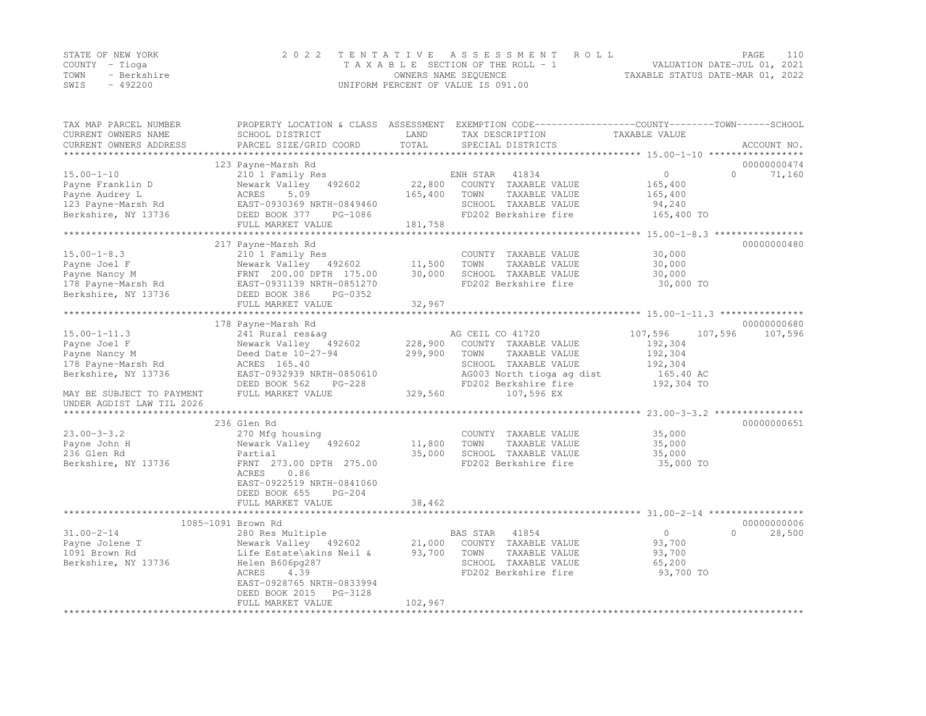|      | STATE OF NEW YORK | 2022 TENTATIVE ASSESSMENT ROLL     |                                  | PAGE | 110 |
|------|-------------------|------------------------------------|----------------------------------|------|-----|
|      | COUNTY – Tioga    | TAXABLE SECTION OF THE ROLL - 1    | VALUATION DATE-JUL 01, 2021      |      |     |
| TOWN | - Berkshire       | OWNERS NAME SEQUENCE               | TAXABLE STATUS DATE-MAR 01, 2022 |      |     |
| SWIS | - 492200          | UNIFORM PERCENT OF VALUE IS 091.00 |                                  |      |     |

| TAX MAP PARCEL NUMBER<br>CURRENT OWNERS NAME  | PROPERTY LOCATION & CLASS ASSESSMENT<br>SCHOOL DISTRICT   | LAND            | TAX DESCRIPTION                               | EXEMPTION CODE-----------------COUNTY-------TOWN------SCHOOL<br>TAXABLE VALUE |             |
|-----------------------------------------------|-----------------------------------------------------------|-----------------|-----------------------------------------------|-------------------------------------------------------------------------------|-------------|
| CURRENT OWNERS ADDRESS<br>******************* | PARCEL SIZE/GRID COORD                                    | TOTAL           | SPECIAL DISTRICTS                             |                                                                               | ACCOUNT NO. |
|                                               | 123 Payne-Marsh Rd                                        |                 |                                               |                                                                               | 00000000474 |
| $15.00 - 1 - 10$                              | 210 1 Family Res                                          |                 | 41834<br>ENH STAR                             | $\circ$<br>$\Omega$                                                           | 71,160      |
| Payne Franklin D                              | Newark Valley 492602                                      | 22,800          | COUNTY TAXABLE VALUE                          | 165,400                                                                       |             |
| Payne Audrey L                                | 5.09<br>ACRES                                             | 165,400         | TOWN<br>TAXABLE VALUE                         | 165,400                                                                       |             |
| 123 Payne-Marsh Rd                            | EAST-0930369 NRTH-0849460                                 |                 | SCHOOL TAXABLE VALUE                          | 94,240                                                                        |             |
| Berkshire, NY 13736                           | DEED BOOK 377<br>PG-1086                                  |                 | FD202 Berkshire fire                          | 165,400 TO                                                                    |             |
|                                               | FULL MARKET VALUE<br>************************************ | 181,758         |                                               |                                                                               |             |
|                                               |                                                           | *************** |                                               |                                                                               |             |
|                                               | 217 Payne-Marsh Rd                                        |                 |                                               |                                                                               | 00000000480 |
| $15.00 - 1 - 8.3$                             | 210 1 Family Res                                          | 11,500          | COUNTY TAXABLE VALUE<br>TOWN<br>TAXABLE VALUE | 30,000                                                                        |             |
| Payne Joel F<br>Payne Nancy M                 | Newark Valley 492602<br>FRNT 200.00 DPTH 175.00           | 30,000          | SCHOOL TAXABLE VALUE                          | 30,000<br>30,000                                                              |             |
| 178 Payne-Marsh Rd                            | EAST-0931139 NRTH-0851270                                 |                 | FD202 Berkshire fire                          | 30,000 TO                                                                     |             |
| Berkshire, NY 13736                           | DEED BOOK 386<br>PG-0352                                  |                 |                                               |                                                                               |             |
|                                               | FULL MARKET VALUE                                         | 32,967          |                                               |                                                                               |             |
|                                               | *******************************                           | **************  |                                               |                                                                               |             |
|                                               | 178 Payne-Marsh Rd                                        |                 |                                               |                                                                               | 00000000680 |
| $15.00 - 1 - 11.3$                            | 241 Rural res&aq                                          |                 | AG CEIL CO 41720                              | 107,596<br>107,596                                                            | 107,596     |
| Payne Joel F                                  | Newark Valley 492602                                      | 228,900         | COUNTY TAXABLE VALUE                          | 192,304                                                                       |             |
| Payne Nancy M                                 | Deed Date 10-27-94                                        | 299,900         | TOWN<br>TAXABLE VALUE                         | 192,304                                                                       |             |
| 178 Payne-Marsh Rd                            | ACRES 165.40                                              |                 | SCHOOL TAXABLE VALUE                          | 192,304                                                                       |             |
| Berkshire, NY 13736                           | EAST-0932939 NRTH-0850610                                 |                 | AG003 North tioga ag dist                     | 165.40 AC                                                                     |             |
|                                               | DEED BOOK 562<br>$PG-228$                                 |                 | FD202 Berkshire fire                          | 192,304 TO                                                                    |             |
| MAY BE SUBJECT TO PAYMENT                     | FULL MARKET VALUE                                         | 329,560         | 107,596 EX                                    |                                                                               |             |
| UNDER AGDIST LAW TIL 2026                     |                                                           |                 |                                               |                                                                               |             |
|                                               |                                                           |                 |                                               |                                                                               |             |
| $23.00 - 3 - 3.2$                             | 236 Glen Rd                                               |                 | COUNTY TAXABLE VALUE                          | 35,000                                                                        | 00000000651 |
| Payne John H                                  | 270 Mfg housing<br>Newark Valley 492602                   | 11,800          | TOWN<br>TAXABLE VALUE                         | 35,000                                                                        |             |
| 236 Glen Rd                                   | Partial                                                   | 35,000          | SCHOOL TAXABLE VALUE                          | 35,000                                                                        |             |
| Berkshire, NY 13736                           | FRNT 273.00 DPTH 275.00                                   |                 | FD202 Berkshire fire                          | 35,000 TO                                                                     |             |
|                                               | ACRES<br>0.86                                             |                 |                                               |                                                                               |             |
|                                               | EAST-0922519 NRTH-0841060                                 |                 |                                               |                                                                               |             |
|                                               | DEED BOOK 655<br>$PG-204$                                 |                 |                                               |                                                                               |             |
|                                               | FULL MARKET VALUE                                         | 38,462          |                                               |                                                                               |             |
|                                               | *******************************                           |                 |                                               |                                                                               |             |
|                                               | 1085-1091 Brown Rd                                        |                 |                                               |                                                                               | 00000000006 |
| $31.00 - 2 - 14$                              | 280 Res Multiple                                          |                 | BAS STAR<br>41854                             | $\circ$<br>$\Omega$                                                           | 28,500      |
| Payne Jolene T                                | Newark Valley 492602                                      | 21,000          | COUNTY TAXABLE VALUE                          | 93,700                                                                        |             |
| 1091 Brown Rd                                 | Life Estate\akins Neil &                                  | 93,700          | TOWN<br>TAXABLE VALUE                         | 93,700                                                                        |             |
| Berkshire, NY 13736                           | Helen B606pq287                                           |                 | SCHOOL TAXABLE VALUE                          | 65,200                                                                        |             |
|                                               | ACRES<br>4.39                                             |                 | FD202 Berkshire fire                          | 93,700 TO                                                                     |             |
|                                               | EAST-0928765 NRTH-0833994                                 |                 |                                               |                                                                               |             |
|                                               | DEED BOOK 2015<br>PG-3128<br>FULL MARKET VALUE            | 102,967         |                                               |                                                                               |             |
|                                               |                                                           |                 |                                               |                                                                               |             |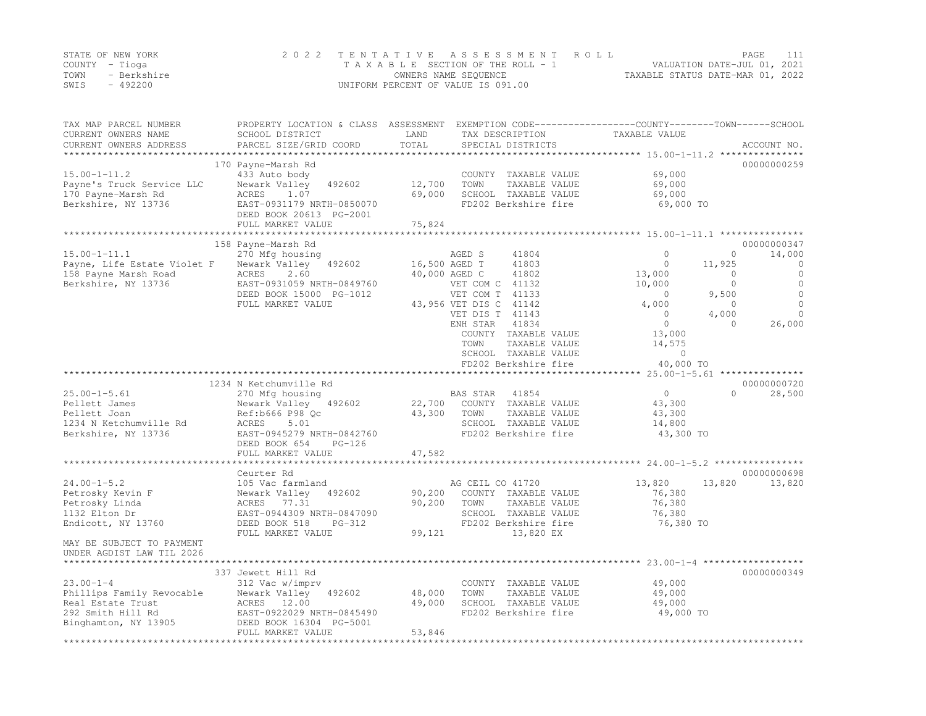|      | STATE OF NEW YORK | 2022 TENTATIVE ASSESSMENT ROLL     |                                  | PAGE |  |
|------|-------------------|------------------------------------|----------------------------------|------|--|
|      | COUNTY – Tioga    | TAXABLE SECTION OF THE ROLL - 1    | VALUATION DATE-JUL 01, 2021      |      |  |
| TOWN | - Berkshire       | OWNERS NAME SEQUENCE               | TAXABLE STATUS DATE-MAR 01, 2022 |      |  |
| SWIS | - 492200          | UNIFORM PERCENT OF VALUE IS 091.00 |                                  |      |  |

| TAX MAP PARCEL NUMBER<br>CURRENT OWNERS NAME<br>CURRENT OWNERS ADDRESS                                         | PROPERTY LOCATION & CLASS ASSESSMENT<br>SCHOOL DISTRICT<br>PARCEL SIZE/GRID COORD                                                                              | LAND<br>TOTAL              | TAX DESCRIPTION<br>SPECIAL DISTRICTS                                                                                                                                                                                                                                         | EXEMPTION CODE-----------------COUNTY-------TOWN------SCHOOL<br>TAXABLE VALUE                                                          | ACCOUNT NO.                                                                                                                                                                     |
|----------------------------------------------------------------------------------------------------------------|----------------------------------------------------------------------------------------------------------------------------------------------------------------|----------------------------|------------------------------------------------------------------------------------------------------------------------------------------------------------------------------------------------------------------------------------------------------------------------------|----------------------------------------------------------------------------------------------------------------------------------------|---------------------------------------------------------------------------------------------------------------------------------------------------------------------------------|
| *******************                                                                                            | 170 Payne-Marsh Rd                                                                                                                                             |                            |                                                                                                                                                                                                                                                                              |                                                                                                                                        | 00000000259                                                                                                                                                                     |
| $15.00 - 1 - 11.2$<br>Payne's Truck Service LLC<br>170 Payne-Marsh Rd<br>Berkshire, NY 13736                   | 433 Auto body<br>Newark Valley<br>492602<br>ACRES<br>1.07<br>EAST-0931179 NRTH-0850070<br>DEED BOOK 20613 PG-2001<br>FULL MARKET VALUE                         | 12,700<br>69,000<br>75,824 | COUNTY TAXABLE VALUE<br>TOWN<br>TAXABLE VALUE<br>SCHOOL TAXABLE VALUE<br>FD202 Berkshire fire                                                                                                                                                                                | 69,000<br>69,000<br>69,000<br>69,000 TO                                                                                                |                                                                                                                                                                                 |
|                                                                                                                | ***********************                                                                                                                                        |                            |                                                                                                                                                                                                                                                                              | ******************************** 15.00-1-11.1 ****************                                                                         |                                                                                                                                                                                 |
| $15.00 - 1 - 11.1$<br>Payne, Life Estate Violet F<br>158 Payne Marsh Road<br>Berkshire, NY 13736               | 158 Payne-Marsh Rd<br>270 Mfg housing<br>Newark Valley<br>492602<br>ACRES<br>2.60<br>EAST-0931059 NRTH-0849760<br>DEED BOOK 15000 PG-1012<br>FULL MARKET VALUE |                            | AGED S<br>41804<br>16,500 AGED T<br>41803<br>40,000 AGED C<br>41802<br>VET COM C 41132<br>VET COM T 41133<br>43,956 VET DIS C 41142<br>VET DIS T 41143<br>ENH STAR<br>41834<br>COUNTY TAXABLE VALUE<br>TOWN<br>TAXABLE VALUE<br>SCHOOL TAXABLE VALUE<br>FD202 Berkshire fire | $\circ$<br>$\mathbf{0}$<br>13,000<br>10,000<br>$\circ$<br>4,000<br>$\mathbf{0}$<br>$\circ$<br>13,000<br>14,575<br>$\circ$<br>40,000 TO | 00000000347<br>$\circ$<br>14,000<br>11,925<br>0<br>$\circ$<br>0<br>$\circ$<br>$\mathbf{0}$<br>$\circ$<br>9,500<br>$\circ$<br>$\circ$<br>$\Omega$<br>4,000<br>26,000<br>$\Omega$ |
|                                                                                                                |                                                                                                                                                                |                            |                                                                                                                                                                                                                                                                              |                                                                                                                                        |                                                                                                                                                                                 |
|                                                                                                                | 1234 N Ketchumville Rd                                                                                                                                         |                            |                                                                                                                                                                                                                                                                              |                                                                                                                                        | 00000000720                                                                                                                                                                     |
| $25.00 - 1 - 5.61$<br>Pellett James<br>Pellett Joan<br>1234 N Ketchumville Rd<br>Berkshire, NY 13736           | 270 Mfg housing<br>Newark Valley<br>492602<br>Ref:b666 P98 Qc<br>5.01<br>ACRES<br>EAST-0945279 NRTH-0842760<br>DEED BOOK 654<br>$PG-126$                       | 22,700<br>43,300           | BAS STAR<br>41854<br>COUNTY TAXABLE VALUE<br>TOWN<br>TAXABLE VALUE<br>SCHOOL TAXABLE VALUE<br>FD202 Berkshire fire                                                                                                                                                           | $\circ$<br>43,300<br>43,300<br>14,800<br>43,300 TO                                                                                     | 28,500<br>$\Omega$                                                                                                                                                              |
|                                                                                                                | FULL MARKET VALUE                                                                                                                                              | 47,582                     |                                                                                                                                                                                                                                                                              |                                                                                                                                        |                                                                                                                                                                                 |
|                                                                                                                | Ceurter Rd                                                                                                                                                     |                            |                                                                                                                                                                                                                                                                              |                                                                                                                                        | 00000000698                                                                                                                                                                     |
| $24.00 - 1 - 5.2$<br>Petrosky Kevin F<br>Petrosky Linda<br>1132 Elton Dr<br>Endicott, NY 13760                 | 105 Vac farmland<br>Newark Valley<br>492602<br>ACRES 77.31<br>EAST-0944309 NRTH-0847090<br>DEED BOOK 518<br>$PG-312$<br>FULL MARKET VALUE                      | 90,200<br>90,200<br>99,121 | AG CEIL CO 41720<br>COUNTY TAXABLE VALUE<br>TOWN<br>TAXABLE VALUE<br>SCHOOL TAXABLE VALUE<br>FD202 Berkshire fire<br>13,820 EX                                                                                                                                               | 13,820<br>76,380<br>76,380<br>76,380<br>76,380 TO                                                                                      | 13,820<br>13,820                                                                                                                                                                |
| MAY BE SUBJECT TO PAYMENT<br>UNDER AGDIST LAW TIL 2026                                                         |                                                                                                                                                                |                            |                                                                                                                                                                                                                                                                              |                                                                                                                                        |                                                                                                                                                                                 |
| $23.00 - 1 - 4$<br>Phillips Family Revocable<br>Real Estate Trust<br>292 Smith Hill Rd<br>Binghamton, NY 13905 | 337 Jewett Hill Rd<br>312 Vac w/imprv<br>Newark Valley<br>492602<br>ACRES 12.00<br>EAST-0922029 NRTH-0845490<br>DEED BOOK 16304 PG-5001<br>FULL MARKET VALUE   | 48,000<br>49,000<br>53,846 | COUNTY TAXABLE VALUE<br>TOWN<br>TAXABLE VALUE<br>SCHOOL TAXABLE VALUE<br>FD202 Berkshire fire                                                                                                                                                                                | 49,000<br>49,000<br>49,000<br>49,000 TO                                                                                                | 00000000349                                                                                                                                                                     |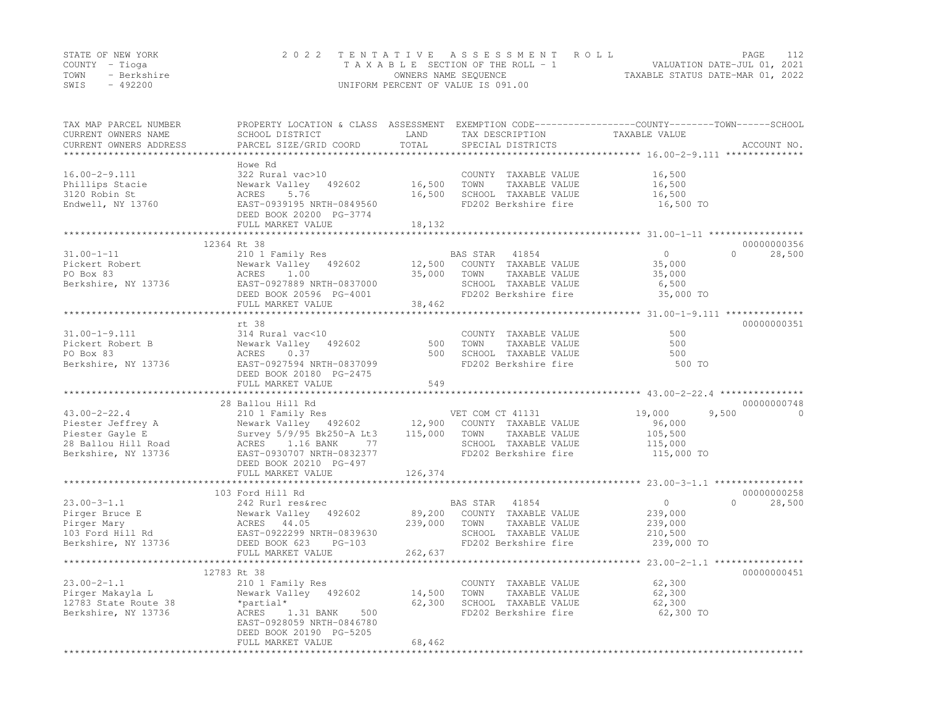|      | STATE OF NEW YORK | 2022 TENTATIVE ASSESSMENT ROLL     |                                  | PAGE |  |
|------|-------------------|------------------------------------|----------------------------------|------|--|
|      | COUNTY – Tioga    | TAXABLE SECTION OF THE ROLL - 1    | VALUATION DATE-JUL 01, 2021      |      |  |
| TOWN | - Berkshire       | OWNERS NAME SEQUENCE               | TAXABLE STATUS DATE-MAR 01, 2022 |      |  |
| SWIS | - 492200          | UNIFORM PERCENT OF VALUE IS 091.00 |                                  |      |  |

| SCHOOL DISTRICT<br>PARCEL SIZE/GRID COORD                                                                                                                                      | LAND<br>TOTAL                                                                                                                   | TAX DESCRIPTION<br>SPECIAL DISTRICTS                                                          | TAXABLE VALUE                                                                                                                                              | ACCOUNT NO.                                                                                                                                                                                                  |
|--------------------------------------------------------------------------------------------------------------------------------------------------------------------------------|---------------------------------------------------------------------------------------------------------------------------------|-----------------------------------------------------------------------------------------------|------------------------------------------------------------------------------------------------------------------------------------------------------------|--------------------------------------------------------------------------------------------------------------------------------------------------------------------------------------------------------------|
| Howe Rd<br>322 Rural vac>10<br>Newark Valley 492602<br>ACRES 5.76<br>EAST-0939195 NRTH-0849560<br>DEED BOOK 20200 PG-3774<br>FULL MARKET VALUE                                 | 16,500<br>18,132                                                                                                                | COUNTY TAXABLE VALUE<br>TAXABLE VALUE<br>TOWN<br>SCHOOL TAXABLE VALUE                         | 16,500<br>16,500<br>16,500<br>16,500 TO                                                                                                                    |                                                                                                                                                                                                              |
|                                                                                                                                                                                |                                                                                                                                 |                                                                                               |                                                                                                                                                            |                                                                                                                                                                                                              |
| 210 1 Family Res<br>Newark Valley 492602<br>ACRES<br>1.00<br>Berkshire, NY 13736<br>EAST-0927889 NRTH-0837000<br>DEED BOOK 20596 PG-4001                                       | 35,000                                                                                                                          | COUNTY TAXABLE VALUE<br>TOWN<br>TAXABLE VALUE<br>SCHOOL TAXABLE VALUE                         | $\overline{0}$<br>35,000<br>35,000<br>6,500<br>35,000 TO                                                                                                   | 00000000356<br>$\Omega$<br>28,500                                                                                                                                                                            |
|                                                                                                                                                                                |                                                                                                                                 |                                                                                               |                                                                                                                                                            |                                                                                                                                                                                                              |
| rt 38<br>314 Rural vac<10<br>Newark Valley 492602<br>ACRES<br>0.37<br>DEED BOOK 20180 PG-2475                                                                                  | 500<br>500                                                                                                                      | COUNTY TAXABLE VALUE<br>TOWN<br>TAXABLE VALUE<br>SCHOOL TAXABLE VALUE                         | 500<br>500<br>500<br>500 TO                                                                                                                                | 00000000351                                                                                                                                                                                                  |
|                                                                                                                                                                                |                                                                                                                                 |                                                                                               |                                                                                                                                                            |                                                                                                                                                                                                              |
| 28 Ballou Hill Rd<br>ACRES 1.16 BANK<br>77<br>EAST-0930707 NRTH-0832377                                                                                                        |                                                                                                                                 | TAXABLE VALUE                                                                                 | 19,000<br>9,500<br>96,000<br>105,500<br>115,000<br>115,000 TO                                                                                              | 00000000748<br>$\Omega$                                                                                                                                                                                      |
| FULL MARKET VALUE                                                                                                                                                              | 126,374                                                                                                                         |                                                                                               |                                                                                                                                                            |                                                                                                                                                                                                              |
| 103 Ford Hill Rd<br>242 Rurl res&rec<br>Newark Valley 492602<br>Newark Valley<br>ACRES 44.05<br>EAST-0922299 N<br>DEED BOOK 623<br>$PG-103$                                    | 239,000                                                                                                                         | COUNTY TAXABLE VALUE<br>TOWN<br>TAXABLE VALUE<br>SCHOOL TAXABLE VALUE<br>FD202 Berkshire fire | $\circ$<br>239,000<br>239,000<br>210,500<br>239,000 TO                                                                                                     | 00000000258<br>$\Omega$<br>28,500                                                                                                                                                                            |
|                                                                                                                                                                                |                                                                                                                                 |                                                                                               |                                                                                                                                                            |                                                                                                                                                                                                              |
| 12783 Rt 38<br>210 1 Family Res<br>Newark Valley 492602<br>*partial*<br>ACRES<br>1.31 BANK<br>500<br>EAST-0928059 NRTH-0846780<br>DEED BOOK 20190 PG-5205<br>FULL MARKET VALUE | 14,500<br>62,300<br>68,462                                                                                                      | COUNTY TAXABLE VALUE<br>TAXABLE VALUE<br>TOWN<br>SCHOOL TAXABLE VALUE                         | 62,300<br>62,300<br>62,300<br>62,300 TO                                                                                                                    | 00000000451                                                                                                                                                                                                  |
|                                                                                                                                                                                | 12364 Rt 38<br>FULL MARKET VALUE<br>FULL MARKET VALUE<br>DEED BOOK 20210 PG-497<br>FULL MARKET VALUE<br>*********************** | EAST-0927594 NRTH-0837099<br>549<br>262,637                                                   | PROPERTY LOCATION & CLASS ASSESSMENT<br>16,500<br>BAS STAR 41854<br>12,500<br>38,462<br>Survey 5/9/95 Bk250-A Lt3 115,000 TOWN<br>BAS STAR 41854<br>89,200 | EXEMPTION CODE-----------------COUNTY-------TOWN------SCHOOL<br>FD202 Berkshire fire<br>FD202 Berkshire fire<br>FD202 Berkshire fire<br>SCHOOL TAXABLE VALUE<br>FD202 Berkshire fire<br>FD202 Berkshire fire |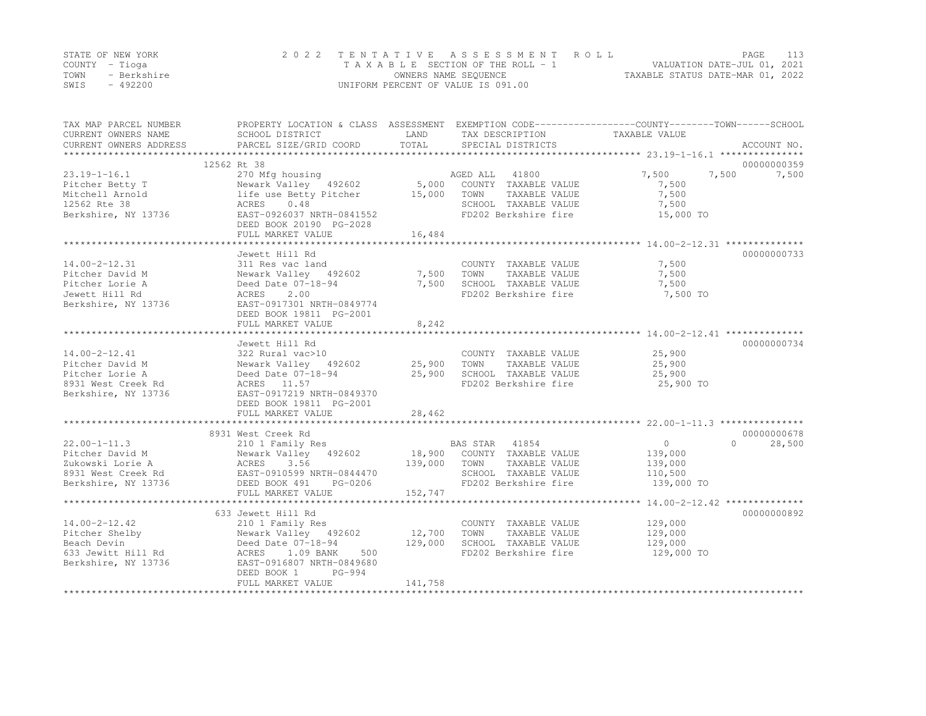|      | STATE OF NEW YORK | 2022 TENTATIVE ASSESSMENT ROLL     |                                  | PAGE                        | 113 |
|------|-------------------|------------------------------------|----------------------------------|-----------------------------|-----|
|      | COUNTY – Tioga    | TAXABLE SECTION OF THE ROLL - 1    |                                  | VALUATION DATE-JUL 01, 2021 |     |
| TOWN | - Berkshire       | OWNERS NAME SEOUENCE               | TAXABLE STATUS DATE-MAR 01, 2022 |                             |     |
| SWIS | $-492200$         | UNIFORM PERCENT OF VALUE IS 091.00 |                                  |                             |     |

| TOTAL<br>PARCEL SIZE/GRID COORD<br>SPECIAL DISTRICTS<br>ACCOUNT NO.<br>12562 Rt 38<br>00000000359<br>AGED ALL 41800<br>$23.19 - 1 - 16.1$<br>7,500<br>270 Mfg housing<br>7,500<br>7,500<br>Newark Valley 492602 5,000 COUNTY TAXABLE VALUE<br>Pitcher Betty T<br>7,500<br>7,500<br>Mitchell Arnold<br>life use Betty Pitcher<br>15,000 TOWN<br>TAXABLE VALUE<br>12562 Rte 38<br>0.48<br>SCHOOL TAXABLE VALUE<br>7,500<br>ACRES<br>EAST-0926037 NRTH-0841552<br>FD202 Berkshire fire<br>Berkshire, NY 13736<br>15,000 TO<br>DEED BOOK 20190 PG-2028<br>16,484<br>FULL MARKET VALUE<br>00000000733<br>Jewett Hill Rd<br>7,500<br>311 Res vac land<br>COUNTY TAXABLE VALUE<br>Newark Valley 492602 7,500 TOWN<br>TAXABLE VALUE<br>7,500<br>Deed Date 07-18-94<br>7,500<br>SCHOOL TAXABLE VALUE<br>7,500<br>2.00<br>FD202 Berkshire fire<br>7,500 TO<br>ACRES<br>EAST-0917301 NRTH-0849774<br>DEED BOOK 19811 PG-2001<br>8,242<br>FULL MARKET VALUE<br>00000000734<br>Jewett Hill Rd<br>25,900<br>$14.00 - 2 - 12.41$<br>322 Rural vac>10<br>COUNTY TAXABLE VALUE<br>Newark Valley 492602 25,900 TOWN<br>Pitcher David M<br>TAXABLE VALUE<br>25,900<br>25,900<br>SCHOOL TAXABLE VALUE<br>Pitcher Lorie A<br>Deed Date 07-18-94<br>25,900<br>8931 West Creek Rd<br>ACRES 11.57<br>FD202 Berkshire fire<br>25,900 TO<br>Berkshire, NY 13736<br>EAST-0917219 NRTH-0849370<br>DEED BOOK 19811 PG-2001<br>28,462<br>FULL MARKET VALUE<br>00000000678<br>8931 West Creek Rd<br>$22.00 - 1 - 11.3$<br>0<br>28,500<br>210 1 Family Res<br>BAS STAR 41854<br>18,900 COUNTY TAXABLE VALUE<br>$\cap$<br>Newark Valley 492602<br>Pitcher David M<br>139,000<br>139,000<br>TAXABLE VALUE<br>TOWN<br>139,000<br>SCHOOL TAXABLE VALUE<br>110,500<br>FD202 Berkshire fire<br>139,000 TO<br>152,747<br>FULL MARKET VALUE<br>633 Jewett Hill Rd<br>00000000892<br>210 1 Family Res<br>129,000<br>COUNTY TAXABLE VALUE<br>Newark Valley 492602<br>12,700<br>TOWN<br>TAXABLE VALUE<br>129,000<br>Deed Date 07-18-94<br>129,000<br>SCHOOL TAXABLE VALUE<br>129,000<br>129,000 TO<br>1.09 BANK<br>500<br>FD202 Berkshire fire<br>ACRES<br>EAST-0916807 NRTH-0849680<br>PG-994<br>DEED BOOK 1<br>141,758<br>FULL MARKET VALUE | TAX MAP PARCEL NUMBER<br>CURRENT OWNERS NAME | PROPERTY LOCATION & CLASS ASSESSMENT EXEMPTION CODE---------------COUNTY-------TOWN-----SCHOOL<br>SCHOOL DISTRICT | LAND | TAX DESCRIPTION | TAXABLE VALUE |  |
|----------------------------------------------------------------------------------------------------------------------------------------------------------------------------------------------------------------------------------------------------------------------------------------------------------------------------------------------------------------------------------------------------------------------------------------------------------------------------------------------------------------------------------------------------------------------------------------------------------------------------------------------------------------------------------------------------------------------------------------------------------------------------------------------------------------------------------------------------------------------------------------------------------------------------------------------------------------------------------------------------------------------------------------------------------------------------------------------------------------------------------------------------------------------------------------------------------------------------------------------------------------------------------------------------------------------------------------------------------------------------------------------------------------------------------------------------------------------------------------------------------------------------------------------------------------------------------------------------------------------------------------------------------------------------------------------------------------------------------------------------------------------------------------------------------------------------------------------------------------------------------------------------------------------------------------------------------------------------------------------------------------------------------------------------------------------------------------------------------------------------------------------------------------------------------------------------|----------------------------------------------|-------------------------------------------------------------------------------------------------------------------|------|-----------------|---------------|--|
|                                                                                                                                                                                                                                                                                                                                                                                                                                                                                                                                                                                                                                                                                                                                                                                                                                                                                                                                                                                                                                                                                                                                                                                                                                                                                                                                                                                                                                                                                                                                                                                                                                                                                                                                                                                                                                                                                                                                                                                                                                                                                                                                                                                                    | CURRENT OWNERS ADDRESS                       |                                                                                                                   |      |                 |               |  |
|                                                                                                                                                                                                                                                                                                                                                                                                                                                                                                                                                                                                                                                                                                                                                                                                                                                                                                                                                                                                                                                                                                                                                                                                                                                                                                                                                                                                                                                                                                                                                                                                                                                                                                                                                                                                                                                                                                                                                                                                                                                                                                                                                                                                    |                                              |                                                                                                                   |      |                 |               |  |
|                                                                                                                                                                                                                                                                                                                                                                                                                                                                                                                                                                                                                                                                                                                                                                                                                                                                                                                                                                                                                                                                                                                                                                                                                                                                                                                                                                                                                                                                                                                                                                                                                                                                                                                                                                                                                                                                                                                                                                                                                                                                                                                                                                                                    |                                              |                                                                                                                   |      |                 |               |  |
|                                                                                                                                                                                                                                                                                                                                                                                                                                                                                                                                                                                                                                                                                                                                                                                                                                                                                                                                                                                                                                                                                                                                                                                                                                                                                                                                                                                                                                                                                                                                                                                                                                                                                                                                                                                                                                                                                                                                                                                                                                                                                                                                                                                                    |                                              |                                                                                                                   |      |                 |               |  |
|                                                                                                                                                                                                                                                                                                                                                                                                                                                                                                                                                                                                                                                                                                                                                                                                                                                                                                                                                                                                                                                                                                                                                                                                                                                                                                                                                                                                                                                                                                                                                                                                                                                                                                                                                                                                                                                                                                                                                                                                                                                                                                                                                                                                    |                                              |                                                                                                                   |      |                 |               |  |
|                                                                                                                                                                                                                                                                                                                                                                                                                                                                                                                                                                                                                                                                                                                                                                                                                                                                                                                                                                                                                                                                                                                                                                                                                                                                                                                                                                                                                                                                                                                                                                                                                                                                                                                                                                                                                                                                                                                                                                                                                                                                                                                                                                                                    |                                              |                                                                                                                   |      |                 |               |  |
|                                                                                                                                                                                                                                                                                                                                                                                                                                                                                                                                                                                                                                                                                                                                                                                                                                                                                                                                                                                                                                                                                                                                                                                                                                                                                                                                                                                                                                                                                                                                                                                                                                                                                                                                                                                                                                                                                                                                                                                                                                                                                                                                                                                                    |                                              |                                                                                                                   |      |                 |               |  |
|                                                                                                                                                                                                                                                                                                                                                                                                                                                                                                                                                                                                                                                                                                                                                                                                                                                                                                                                                                                                                                                                                                                                                                                                                                                                                                                                                                                                                                                                                                                                                                                                                                                                                                                                                                                                                                                                                                                                                                                                                                                                                                                                                                                                    |                                              |                                                                                                                   |      |                 |               |  |
|                                                                                                                                                                                                                                                                                                                                                                                                                                                                                                                                                                                                                                                                                                                                                                                                                                                                                                                                                                                                                                                                                                                                                                                                                                                                                                                                                                                                                                                                                                                                                                                                                                                                                                                                                                                                                                                                                                                                                                                                                                                                                                                                                                                                    |                                              |                                                                                                                   |      |                 |               |  |
|                                                                                                                                                                                                                                                                                                                                                                                                                                                                                                                                                                                                                                                                                                                                                                                                                                                                                                                                                                                                                                                                                                                                                                                                                                                                                                                                                                                                                                                                                                                                                                                                                                                                                                                                                                                                                                                                                                                                                                                                                                                                                                                                                                                                    |                                              |                                                                                                                   |      |                 |               |  |
|                                                                                                                                                                                                                                                                                                                                                                                                                                                                                                                                                                                                                                                                                                                                                                                                                                                                                                                                                                                                                                                                                                                                                                                                                                                                                                                                                                                                                                                                                                                                                                                                                                                                                                                                                                                                                                                                                                                                                                                                                                                                                                                                                                                                    |                                              |                                                                                                                   |      |                 |               |  |
|                                                                                                                                                                                                                                                                                                                                                                                                                                                                                                                                                                                                                                                                                                                                                                                                                                                                                                                                                                                                                                                                                                                                                                                                                                                                                                                                                                                                                                                                                                                                                                                                                                                                                                                                                                                                                                                                                                                                                                                                                                                                                                                                                                                                    | $14.00 - 2 - 12.31$                          |                                                                                                                   |      |                 |               |  |
|                                                                                                                                                                                                                                                                                                                                                                                                                                                                                                                                                                                                                                                                                                                                                                                                                                                                                                                                                                                                                                                                                                                                                                                                                                                                                                                                                                                                                                                                                                                                                                                                                                                                                                                                                                                                                                                                                                                                                                                                                                                                                                                                                                                                    | Pitcher David M                              |                                                                                                                   |      |                 |               |  |
|                                                                                                                                                                                                                                                                                                                                                                                                                                                                                                                                                                                                                                                                                                                                                                                                                                                                                                                                                                                                                                                                                                                                                                                                                                                                                                                                                                                                                                                                                                                                                                                                                                                                                                                                                                                                                                                                                                                                                                                                                                                                                                                                                                                                    | Pitcher Lorie A                              |                                                                                                                   |      |                 |               |  |
|                                                                                                                                                                                                                                                                                                                                                                                                                                                                                                                                                                                                                                                                                                                                                                                                                                                                                                                                                                                                                                                                                                                                                                                                                                                                                                                                                                                                                                                                                                                                                                                                                                                                                                                                                                                                                                                                                                                                                                                                                                                                                                                                                                                                    | Jewett Hill Rd                               |                                                                                                                   |      |                 |               |  |
|                                                                                                                                                                                                                                                                                                                                                                                                                                                                                                                                                                                                                                                                                                                                                                                                                                                                                                                                                                                                                                                                                                                                                                                                                                                                                                                                                                                                                                                                                                                                                                                                                                                                                                                                                                                                                                                                                                                                                                                                                                                                                                                                                                                                    | Berkshire, NY 13736                          |                                                                                                                   |      |                 |               |  |
|                                                                                                                                                                                                                                                                                                                                                                                                                                                                                                                                                                                                                                                                                                                                                                                                                                                                                                                                                                                                                                                                                                                                                                                                                                                                                                                                                                                                                                                                                                                                                                                                                                                                                                                                                                                                                                                                                                                                                                                                                                                                                                                                                                                                    |                                              |                                                                                                                   |      |                 |               |  |
|                                                                                                                                                                                                                                                                                                                                                                                                                                                                                                                                                                                                                                                                                                                                                                                                                                                                                                                                                                                                                                                                                                                                                                                                                                                                                                                                                                                                                                                                                                                                                                                                                                                                                                                                                                                                                                                                                                                                                                                                                                                                                                                                                                                                    |                                              |                                                                                                                   |      |                 |               |  |
|                                                                                                                                                                                                                                                                                                                                                                                                                                                                                                                                                                                                                                                                                                                                                                                                                                                                                                                                                                                                                                                                                                                                                                                                                                                                                                                                                                                                                                                                                                                                                                                                                                                                                                                                                                                                                                                                                                                                                                                                                                                                                                                                                                                                    |                                              |                                                                                                                   |      |                 |               |  |
|                                                                                                                                                                                                                                                                                                                                                                                                                                                                                                                                                                                                                                                                                                                                                                                                                                                                                                                                                                                                                                                                                                                                                                                                                                                                                                                                                                                                                                                                                                                                                                                                                                                                                                                                                                                                                                                                                                                                                                                                                                                                                                                                                                                                    |                                              |                                                                                                                   |      |                 |               |  |
|                                                                                                                                                                                                                                                                                                                                                                                                                                                                                                                                                                                                                                                                                                                                                                                                                                                                                                                                                                                                                                                                                                                                                                                                                                                                                                                                                                                                                                                                                                                                                                                                                                                                                                                                                                                                                                                                                                                                                                                                                                                                                                                                                                                                    |                                              |                                                                                                                   |      |                 |               |  |
|                                                                                                                                                                                                                                                                                                                                                                                                                                                                                                                                                                                                                                                                                                                                                                                                                                                                                                                                                                                                                                                                                                                                                                                                                                                                                                                                                                                                                                                                                                                                                                                                                                                                                                                                                                                                                                                                                                                                                                                                                                                                                                                                                                                                    |                                              |                                                                                                                   |      |                 |               |  |
|                                                                                                                                                                                                                                                                                                                                                                                                                                                                                                                                                                                                                                                                                                                                                                                                                                                                                                                                                                                                                                                                                                                                                                                                                                                                                                                                                                                                                                                                                                                                                                                                                                                                                                                                                                                                                                                                                                                                                                                                                                                                                                                                                                                                    |                                              |                                                                                                                   |      |                 |               |  |
|                                                                                                                                                                                                                                                                                                                                                                                                                                                                                                                                                                                                                                                                                                                                                                                                                                                                                                                                                                                                                                                                                                                                                                                                                                                                                                                                                                                                                                                                                                                                                                                                                                                                                                                                                                                                                                                                                                                                                                                                                                                                                                                                                                                                    |                                              |                                                                                                                   |      |                 |               |  |
|                                                                                                                                                                                                                                                                                                                                                                                                                                                                                                                                                                                                                                                                                                                                                                                                                                                                                                                                                                                                                                                                                                                                                                                                                                                                                                                                                                                                                                                                                                                                                                                                                                                                                                                                                                                                                                                                                                                                                                                                                                                                                                                                                                                                    |                                              |                                                                                                                   |      |                 |               |  |
|                                                                                                                                                                                                                                                                                                                                                                                                                                                                                                                                                                                                                                                                                                                                                                                                                                                                                                                                                                                                                                                                                                                                                                                                                                                                                                                                                                                                                                                                                                                                                                                                                                                                                                                                                                                                                                                                                                                                                                                                                                                                                                                                                                                                    |                                              |                                                                                                                   |      |                 |               |  |
|                                                                                                                                                                                                                                                                                                                                                                                                                                                                                                                                                                                                                                                                                                                                                                                                                                                                                                                                                                                                                                                                                                                                                                                                                                                                                                                                                                                                                                                                                                                                                                                                                                                                                                                                                                                                                                                                                                                                                                                                                                                                                                                                                                                                    |                                              |                                                                                                                   |      |                 |               |  |
|                                                                                                                                                                                                                                                                                                                                                                                                                                                                                                                                                                                                                                                                                                                                                                                                                                                                                                                                                                                                                                                                                                                                                                                                                                                                                                                                                                                                                                                                                                                                                                                                                                                                                                                                                                                                                                                                                                                                                                                                                                                                                                                                                                                                    |                                              |                                                                                                                   |      |                 |               |  |
|                                                                                                                                                                                                                                                                                                                                                                                                                                                                                                                                                                                                                                                                                                                                                                                                                                                                                                                                                                                                                                                                                                                                                                                                                                                                                                                                                                                                                                                                                                                                                                                                                                                                                                                                                                                                                                                                                                                                                                                                                                                                                                                                                                                                    |                                              |                                                                                                                   |      |                 |               |  |
|                                                                                                                                                                                                                                                                                                                                                                                                                                                                                                                                                                                                                                                                                                                                                                                                                                                                                                                                                                                                                                                                                                                                                                                                                                                                                                                                                                                                                                                                                                                                                                                                                                                                                                                                                                                                                                                                                                                                                                                                                                                                                                                                                                                                    |                                              |                                                                                                                   |      |                 |               |  |
|                                                                                                                                                                                                                                                                                                                                                                                                                                                                                                                                                                                                                                                                                                                                                                                                                                                                                                                                                                                                                                                                                                                                                                                                                                                                                                                                                                                                                                                                                                                                                                                                                                                                                                                                                                                                                                                                                                                                                                                                                                                                                                                                                                                                    |                                              |                                                                                                                   |      |                 |               |  |
|                                                                                                                                                                                                                                                                                                                                                                                                                                                                                                                                                                                                                                                                                                                                                                                                                                                                                                                                                                                                                                                                                                                                                                                                                                                                                                                                                                                                                                                                                                                                                                                                                                                                                                                                                                                                                                                                                                                                                                                                                                                                                                                                                                                                    |                                              |                                                                                                                   |      |                 |               |  |
|                                                                                                                                                                                                                                                                                                                                                                                                                                                                                                                                                                                                                                                                                                                                                                                                                                                                                                                                                                                                                                                                                                                                                                                                                                                                                                                                                                                                                                                                                                                                                                                                                                                                                                                                                                                                                                                                                                                                                                                                                                                                                                                                                                                                    |                                              |                                                                                                                   |      |                 |               |  |
|                                                                                                                                                                                                                                                                                                                                                                                                                                                                                                                                                                                                                                                                                                                                                                                                                                                                                                                                                                                                                                                                                                                                                                                                                                                                                                                                                                                                                                                                                                                                                                                                                                                                                                                                                                                                                                                                                                                                                                                                                                                                                                                                                                                                    |                                              |                                                                                                                   |      |                 |               |  |
|                                                                                                                                                                                                                                                                                                                                                                                                                                                                                                                                                                                                                                                                                                                                                                                                                                                                                                                                                                                                                                                                                                                                                                                                                                                                                                                                                                                                                                                                                                                                                                                                                                                                                                                                                                                                                                                                                                                                                                                                                                                                                                                                                                                                    |                                              |                                                                                                                   |      |                 |               |  |
|                                                                                                                                                                                                                                                                                                                                                                                                                                                                                                                                                                                                                                                                                                                                                                                                                                                                                                                                                                                                                                                                                                                                                                                                                                                                                                                                                                                                                                                                                                                                                                                                                                                                                                                                                                                                                                                                                                                                                                                                                                                                                                                                                                                                    |                                              |                                                                                                                   |      |                 |               |  |
|                                                                                                                                                                                                                                                                                                                                                                                                                                                                                                                                                                                                                                                                                                                                                                                                                                                                                                                                                                                                                                                                                                                                                                                                                                                                                                                                                                                                                                                                                                                                                                                                                                                                                                                                                                                                                                                                                                                                                                                                                                                                                                                                                                                                    | $14.00 - 2 - 12.42$                          |                                                                                                                   |      |                 |               |  |
|                                                                                                                                                                                                                                                                                                                                                                                                                                                                                                                                                                                                                                                                                                                                                                                                                                                                                                                                                                                                                                                                                                                                                                                                                                                                                                                                                                                                                                                                                                                                                                                                                                                                                                                                                                                                                                                                                                                                                                                                                                                                                                                                                                                                    | Pitcher Shelby                               |                                                                                                                   |      |                 |               |  |
|                                                                                                                                                                                                                                                                                                                                                                                                                                                                                                                                                                                                                                                                                                                                                                                                                                                                                                                                                                                                                                                                                                                                                                                                                                                                                                                                                                                                                                                                                                                                                                                                                                                                                                                                                                                                                                                                                                                                                                                                                                                                                                                                                                                                    | Beach Devin                                  |                                                                                                                   |      |                 |               |  |
|                                                                                                                                                                                                                                                                                                                                                                                                                                                                                                                                                                                                                                                                                                                                                                                                                                                                                                                                                                                                                                                                                                                                                                                                                                                                                                                                                                                                                                                                                                                                                                                                                                                                                                                                                                                                                                                                                                                                                                                                                                                                                                                                                                                                    | 633 Jewitt Hill Rd                           |                                                                                                                   |      |                 |               |  |
|                                                                                                                                                                                                                                                                                                                                                                                                                                                                                                                                                                                                                                                                                                                                                                                                                                                                                                                                                                                                                                                                                                                                                                                                                                                                                                                                                                                                                                                                                                                                                                                                                                                                                                                                                                                                                                                                                                                                                                                                                                                                                                                                                                                                    | Berkshire, NY 13736                          |                                                                                                                   |      |                 |               |  |
|                                                                                                                                                                                                                                                                                                                                                                                                                                                                                                                                                                                                                                                                                                                                                                                                                                                                                                                                                                                                                                                                                                                                                                                                                                                                                                                                                                                                                                                                                                                                                                                                                                                                                                                                                                                                                                                                                                                                                                                                                                                                                                                                                                                                    |                                              |                                                                                                                   |      |                 |               |  |
|                                                                                                                                                                                                                                                                                                                                                                                                                                                                                                                                                                                                                                                                                                                                                                                                                                                                                                                                                                                                                                                                                                                                                                                                                                                                                                                                                                                                                                                                                                                                                                                                                                                                                                                                                                                                                                                                                                                                                                                                                                                                                                                                                                                                    |                                              |                                                                                                                   |      |                 |               |  |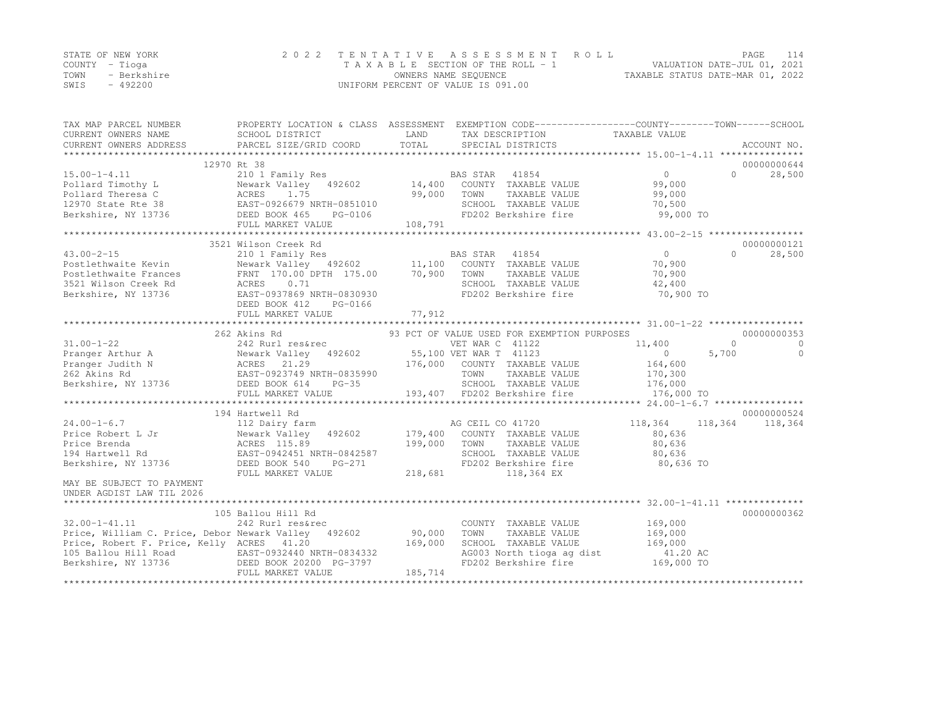|      | STATE OF NEW YORK | 2022 TENTATIVE ASSESSMENT ROLL     |                                  | PAGE | 114 |
|------|-------------------|------------------------------------|----------------------------------|------|-----|
|      | COUNTY – Tioga    | TAXABLE SECTION OF THE ROLL - 1    | VALUATION DATE-JUL 01, 2021      |      |     |
| TOWN | - Berkshire       | OWNERS NAME SEQUENCE               | TAXABLE STATUS DATE-MAR 01, 2022 |      |     |
| SWIS | - 492200          | UNIFORM PERCENT OF VALUE IS 091.00 |                                  |      |     |

| TAX MAP PARCEL NUMBER<br>CURRENT OWNERS NAME        | PROPERTY LOCATION & CLASS ASSESSMENT EXEMPTION CODE---------------COUNTY-------TOWN-----SCHOOL<br>SCHOOL DISTRICT                                                   | LAND                      | TAX DESCRIPTION                                            | TAXABLE VALUE     |                                   |
|-----------------------------------------------------|---------------------------------------------------------------------------------------------------------------------------------------------------------------------|---------------------------|------------------------------------------------------------|-------------------|-----------------------------------|
| CURRENT OWNERS ADDRESS                              | PARCEL SIZE/GRID COORD                                                                                                                                              | TOTAL                     | SPECIAL DISTRICTS                                          |                   | ACCOUNT NO.                       |
|                                                     |                                                                                                                                                                     |                           |                                                            |                   |                                   |
|                                                     | 12970 Rt 38                                                                                                                                                         |                           |                                                            | $0 \qquad \qquad$ | 00000000644<br>28,500<br>$\Omega$ |
|                                                     |                                                                                                                                                                     |                           |                                                            | 99,000            |                                   |
|                                                     |                                                                                                                                                                     |                           |                                                            | 99,000            |                                   |
|                                                     |                                                                                                                                                                     |                           |                                                            | 70,500            |                                   |
|                                                     |                                                                                                                                                                     | n-∪851010<br>PG-0106<br>- | SCHOOL TAXABLE VALUE<br>FD202 Berkshire fire               | 99,000 TO         |                                   |
|                                                     | FULL MARKET VALUE                                                                                                                                                   | 108,791                   |                                                            |                   |                                   |
|                                                     |                                                                                                                                                                     |                           |                                                            |                   |                                   |
|                                                     | 3521 Wilson Creek Rd                                                                                                                                                |                           |                                                            |                   | 00000000121                       |
| $43.00 - 2 - 15$                                    | 210 1 Family Res<br>Newark Valley 492602 11,100 COUNTY TAXABLE VALUE<br>FRNT 170.00 DPTH 175.00 70,900 TOWN TAXABLE VALUE<br>ACRES 0.0.71 175.00 TOWN TAXABLE VALUE |                           |                                                            | $\overline{0}$    | $\bigcap$<br>28,500               |
| Postlethwaite Kevin                                 |                                                                                                                                                                     |                           |                                                            | 70,900            |                                   |
| Postlethwaite Frances                               |                                                                                                                                                                     |                           |                                                            | 70,900            |                                   |
| 3521 Wilson Creek Rd                                |                                                                                                                                                                     |                           |                                                            | 42,400            |                                   |
| Berkshire, NY 13736                                 | EAST-0937869 NRTH-0830930                                                                                                                                           |                           | FD202 Berkshire fire                                       | 70,900 TO         |                                   |
|                                                     | DEED BOOK 412<br>PG-0166                                                                                                                                            |                           |                                                            |                   |                                   |
|                                                     |                                                                                                                                                                     |                           |                                                            |                   |                                   |
|                                                     |                                                                                                                                                                     |                           |                                                            |                   |                                   |
|                                                     | 262 Akins Rd                                                                                                                                                        |                           | 93 PCT OF VALUE USED FOR EXEMPTION PURPOSES                |                   | 00000000353                       |
|                                                     |                                                                                                                                                                     |                           |                                                            | 11,400            | $\Omega$<br>$\Omega$              |
|                                                     |                                                                                                                                                                     |                           |                                                            | $\overline{0}$    | 5,700<br>$\Omega$                 |
|                                                     |                                                                                                                                                                     |                           |                                                            | 164,600           |                                   |
|                                                     |                                                                                                                                                                     |                           |                                                            |                   |                                   |
|                                                     |                                                                                                                                                                     |                           | TOWN TAXABLE VALUE 170,300<br>SCHOOL TAXABLE VALUE 176,000 |                   |                                   |
|                                                     | FULL MARKET VALUE                                                                                                                                                   |                           | 193,407 FD202 Berkshire fire                               | 176,000 TO        |                                   |
|                                                     |                                                                                                                                                                     |                           |                                                            |                   |                                   |
|                                                     | 194 Hartwell Rd                                                                                                                                                     |                           |                                                            |                   | 00000000524                       |
|                                                     |                                                                                                                                                                     |                           |                                                            | 118,364           | 118,364<br>118,364                |
|                                                     |                                                                                                                                                                     |                           |                                                            | 80,636            |                                   |
|                                                     |                                                                                                                                                                     |                           | TAXABLE VALUE                                              | 80,636            |                                   |
|                                                     |                                                                                                                                                                     |                           | SCHOOL TAXABLE VALUE<br>FD202 Berkshire fire               | 80,636            |                                   |
|                                                     |                                                                                                                                                                     |                           |                                                            | 80,636 TO         |                                   |
|                                                     | FULL MARKET VALUE                                                                                                                                                   | 218,681                   | 118,364 EX                                                 |                   |                                   |
| MAY BE SUBJECT TO PAYMENT                           |                                                                                                                                                                     |                           |                                                            |                   |                                   |
| UNDER AGDIST LAW TIL 2026                           |                                                                                                                                                                     |                           |                                                            |                   |                                   |
| ****************************                        |                                                                                                                                                                     |                           |                                                            |                   |                                   |
|                                                     | 105 Ballou Hill Rd                                                                                                                                                  |                           |                                                            |                   | 00000000362                       |
| $32.00 - 1 - 41.11$                                 | 242 Rurl res&rec                                                                                                                                                    |                           | COUNTY TAXABLE VALUE                                       | 169,000           |                                   |
| Price, William C. Price, Debor Newark Valley 492602 |                                                                                                                                                                     | 90,000                    | TAXABLE VALUE<br>TOWN                                      | 169,000           |                                   |
| Price, Robert F. Price, Kelly ACRES 41.20           |                                                                                                                                                                     | 169,000                   | SCHOOL TAXABLE VALUE                                       | 169,000           |                                   |
|                                                     |                                                                                                                                                                     |                           | AG003 North tioga ag dist                                  | 41.20 AC          |                                   |
|                                                     |                                                                                                                                                                     |                           | FD202 Berkshire fire                                       | $169,000$ TO      |                                   |
|                                                     | FULL MARKET VALUE                                                                                                                                                   | 185,714                   |                                                            |                   |                                   |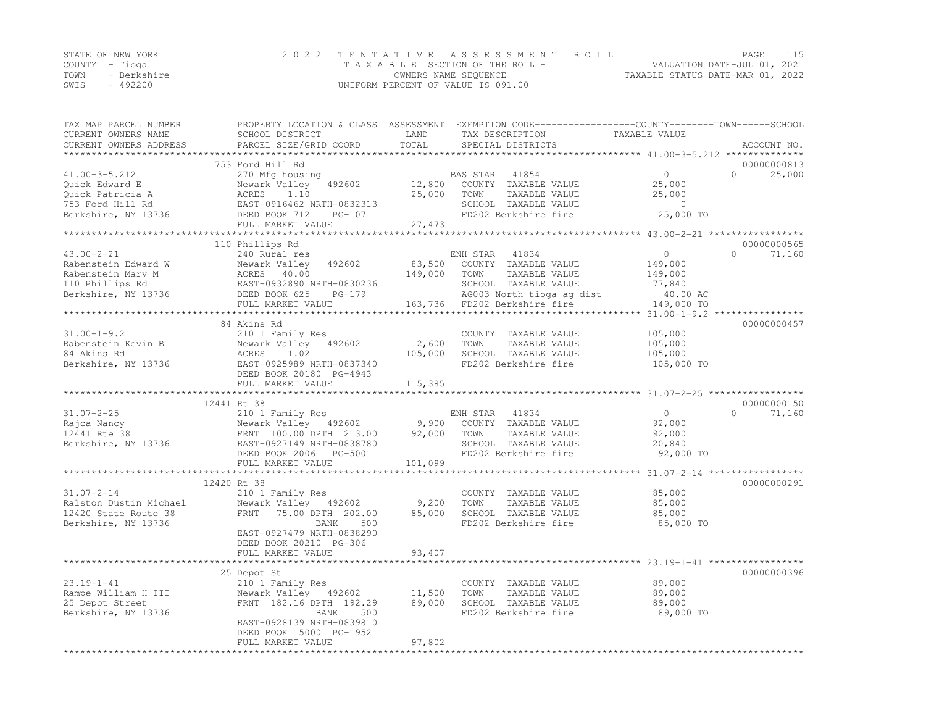|                | STATE OF NEW YORK | 2022 TENTATIVE ASSESSMENT ROLL     |                                  | PAGE | 115 |
|----------------|-------------------|------------------------------------|----------------------------------|------|-----|
| COUNTY – Tioga |                   | TAXABLE SECTION OF THE ROLL - 1    | VALUATION DATE-JUL 01, 2021      |      |     |
| TOWN           | - Berkshire       | OWNERS NAME SEQUENCE               | TAXABLE STATUS DATE-MAR 01, 2022 |      |     |
| SWIS           | $-492200$         | UNIFORM PERCENT OF VALUE IS 091.00 |                                  |      |     |

| TAX MAP PARCEL NUMBER<br>CURRENT OWNERS NAME | PROPERTY LOCATION & CLASS ASSESSMENT EXEMPTION CODE----------------COUNTY-------TOWN-----SCHOOL<br>SCHOOL DISTRICT | LAND             | TAX DESCRIPTION           | TAXABLE VALUE                        |                     |
|----------------------------------------------|--------------------------------------------------------------------------------------------------------------------|------------------|---------------------------|--------------------------------------|---------------------|
| CURRENT OWNERS ADDRESS                       | PARCEL SIZE/GRID COORD                                                                                             | TOTAL            | SPECIAL DISTRICTS         |                                      | ACCOUNT NO.         |
| ***********************                      |                                                                                                                    |                  |                           |                                      |                     |
|                                              | 753 Ford Hill Rd                                                                                                   |                  |                           |                                      | 00000000813         |
| $41.00 - 3 - 5.212$                          | 270 Mfg housing                                                                                                    |                  | BAS STAR<br>41854         | $\Omega$                             | $\Omega$<br>25,000  |
| Quick Edward E                               | 492602<br>Newark Valley                                                                                            | 12,800           | COUNTY TAXABLE VALUE      | 25,000                               |                     |
| Quick Patricia A                             | 1.10<br>ACRES                                                                                                      | 25,000           | TOWN<br>TAXABLE VALUE     | 25,000                               |                     |
| 753 Ford Hill Rd                             | EAST-0916462 NRTH-0832313                                                                                          |                  | SCHOOL TAXABLE VALUE      | $\overline{0}$                       |                     |
| Berkshire, NY 13736                          | DEED BOOK 712<br>$PG-107$                                                                                          |                  | FD202 Berkshire fire      | 25,000 TO                            |                     |
|                                              | FULL MARKET VALUE                                                                                                  | 27,473           |                           |                                      |                     |
|                                              | ********************                                                                                               |                  |                           |                                      |                     |
|                                              | 110 Phillips Rd                                                                                                    |                  |                           |                                      | 00000000565         |
| $43.00 - 2 - 21$                             | 240 Rural res                                                                                                      |                  | ENH STAR<br>41834         | $\overline{0}$                       | $\bigcap$<br>71,160 |
| Rabenstein Edward W                          | Newark Valley<br>492602                                                                                            | 83,500           | COUNTY TAXABLE VALUE      | 149,000                              |                     |
| Rabenstein Mary M                            | ACRES 40.00                                                                                                        | 149,000          | TAXABLE VALUE<br>TOWN     | 149,000                              |                     |
| 110 Phillips Rd                              | EAST-0932890 NRTH-0830236                                                                                          |                  | SCHOOL TAXABLE VALUE      | 77,840                               |                     |
| Berkshire, NY 13736                          | DEED BOOK 625<br>$PG-179$                                                                                          |                  | AG003 North tioga ag dist | 40.00 AC                             |                     |
|                                              | FULL MARKET VALUE                                                                                                  | 163,736          | FD202 Berkshire fire      | 149,000 TO                           |                     |
|                                              |                                                                                                                    |                  |                           |                                      |                     |
|                                              | 84 Akins Rd                                                                                                        |                  |                           |                                      | 00000000457         |
| $31.00 - 1 - 9.2$                            | 210 1 Family Res                                                                                                   |                  | COUNTY TAXABLE VALUE      | 105,000                              |                     |
| Rabenstein Kevin B                           | Newark Valley 492602                                                                                               | 12,600           | TOWN<br>TAXABLE VALUE     | 105,000                              |                     |
| 84 Akins Rd                                  | ACRES<br>1.02                                                                                                      | 105,000          | SCHOOL TAXABLE VALUE      | 105,000                              |                     |
| Berkshire, NY 13736                          | EAST-0925989 NRTH-0837340                                                                                          |                  | FD202 Berkshire fire      | 105,000 TO                           |                     |
|                                              | DEED BOOK 20180 PG-4943                                                                                            |                  |                           |                                      |                     |
|                                              | FULL MARKET VALUE                                                                                                  | 115,385          |                           |                                      |                     |
|                                              | 12441 Rt 38                                                                                                        |                  |                           |                                      | 00000000150         |
| $31.07 - 2 - 25$                             | 210 1 Family Res                                                                                                   |                  | 41834<br>ENH STAR         | $\Omega$                             | $\Omega$<br>71,160  |
| Rajca Nancy                                  |                                                                                                                    |                  | COUNTY TAXABLE VALUE      | 92,000                               |                     |
| 12441 Rte 38                                 | Newark Valley 492602                                                                                               | 9,900<br>92,000  | TOWN<br>TAXABLE VALUE     | 92,000                               |                     |
| Berkshire, NY 13736                          | FRNT 100.00 DPTH 213.00<br>EAST-0927149 NRTH-0838780                                                               |                  | SCHOOL TAXABLE VALUE      | 20,840                               |                     |
|                                              | DEED BOOK 2006 PG-5001                                                                                             |                  | FD202 Berkshire fire      | 92,000 TO                            |                     |
|                                              | FULL MARKET VALUE                                                                                                  | 101,099          |                           |                                      |                     |
|                                              | *******                                                                                                            |                  |                           | ********** 31.07-2-14                |                     |
|                                              | 12420 Rt 38                                                                                                        |                  |                           |                                      | 00000000291         |
| $31.07 - 2 - 14$                             | 210 1 Family Res                                                                                                   |                  | COUNTY TAXABLE VALUE      | 85,000                               |                     |
| Ralston Dustin Michael                       | Newark Valley 492602                                                                                               | 9,200            | TOWN<br>TAXABLE VALUE     | 85,000                               |                     |
| 12420 State Route 38                         | FRNT<br>75.00 DPTH 202.00                                                                                          | 85,000           | SCHOOL TAXABLE VALUE      | 85,000                               |                     |
| Berkshire, NY 13736                          | BANK<br>500                                                                                                        |                  | FD202 Berkshire fire      | 85,000 TO                            |                     |
|                                              | EAST-0927479 NRTH-0838290                                                                                          |                  |                           |                                      |                     |
|                                              | DEED BOOK 20210 PG-306                                                                                             |                  |                           |                                      |                     |
|                                              | FULL MARKET VALUE                                                                                                  | 93,407           |                           |                                      |                     |
|                                              | ****************                                                                                                   |                  |                           | ************ 23.19-1-41 ************ |                     |
|                                              | 25 Depot St                                                                                                        |                  |                           |                                      | 00000000396         |
| $23.19 - 1 - 41$                             | 210 1 Family Res                                                                                                   |                  | COUNTY TAXABLE VALUE      | 89,000                               |                     |
| Rampe William H III                          | Newark Valley 492602                                                                                               | 11,500           | TAXABLE VALUE<br>TOWN     | 89,000                               |                     |
| 25 Depot Street                              | FRNT 182.16 DPTH 192.29                                                                                            | 89,000           | SCHOOL TAXABLE VALUE      | 89,000                               |                     |
| Berkshire, NY 13736                          | BANK<br>500                                                                                                        |                  | FD202 Berkshire fire      | 89,000 TO                            |                     |
|                                              | EAST-0928139 NRTH-0839810                                                                                          |                  |                           |                                      |                     |
|                                              | DEED BOOK 15000 PG-1952                                                                                            |                  |                           |                                      |                     |
|                                              | FULL MARKET VALUE                                                                                                  | 97,802           |                           |                                      |                     |
|                                              | *********************                                                                                              | **************** |                           |                                      |                     |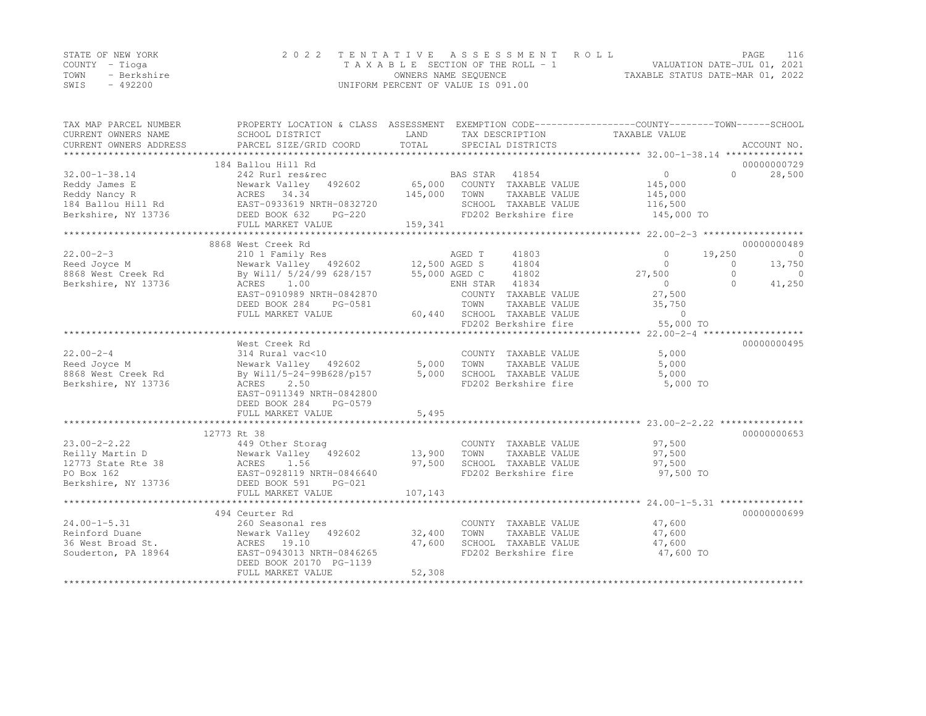|      | STATE OF NEW YORK | 2022 TENTATIVE ASSESSMENT ROLL     |                                  | PAGE                        | 116 |
|------|-------------------|------------------------------------|----------------------------------|-----------------------------|-----|
|      | COUNTY – Tioga    | TAXABLE SECTION OF THE ROLL - 1    |                                  | VALUATION DATE-JUL 01, 2021 |     |
| TOWN | - Berkshire       | OWNERS NAME SEQUENCE               | TAXABLE STATUS DATE-MAR 01, 2022 |                             |     |
| SWIS | - 492200          | UNIFORM PERCENT OF VALUE IS 091.00 |                                  |                             |     |

| 184 Ballou Hill Rd<br>00000000729<br>BAS STAR 41854<br>65,000 COUNTY TAXABLE VALUE<br>$\overline{0}$<br>28,500<br>$32.00 - 1 - 38.14$<br>242 Rurl res&rec<br>$\Omega$<br>Reddy James E<br>Newark Valley 492602 65,000<br>Reddy Nancy R<br>145,000<br>184 Ballou Hill Rd<br>Berkshire, NY 13736 DEED BOOK 632 PG-220<br>FULL MARKET VALUE 159.341<br>145,000<br>145,000<br>TOWN<br>TAXABLE VALUE<br>145,000<br>SCHOOL TAXABLE VALUE 116,500<br>FD202 Berkshire fire 145,000 TO<br>159,341<br>FULL MARKET VALUE<br>8868 West Creek Rd<br>00000000489<br>210 1 Family Res<br>AGED T<br>41803<br>$\circ$<br>19,250<br>$\overline{0}$<br>41804<br>$\Omega$<br>$\Omega$<br>13,750<br>8868 West Creek Rd<br>By Will/ 5/24/99 628/157 55,000 AGED C<br>41802<br>27,500<br>$\bigcirc$<br>$\Omega$<br>ACRES 1.00<br>ENH STAR 41834<br>$\Omega$<br>41,250<br>$\cap$<br>EAST-0910989 NRTH-0842870<br>COUNTY TAXABLE VALUE<br>27,500<br>DEED BOOK 284<br>TOWN<br>35,750<br>PG-0581<br>TAXABLE VALUE<br>60,440 SCHOOL TAXABLE VALUE<br>FULL MARKET VALUE<br>$\bigcirc$<br>FD202 Berkshire fire<br>55,000 TO<br>00000000495<br>West Creek Rd<br>$22.00 - 2 - 4$<br>5,000<br>314 Rural vac<10 (COUNT)<br>Newark Valley 492602 5,000 TOWN<br>COUNTY TAXABLE VALUE<br>TAXABLE VALUE<br>Reed Joyce M<br>5,000<br>5,000<br>SCHOOL TAXABLE VALUE<br>5,000<br>Berkshire, NY 13736<br>ACRES 2.50<br>FD202 Berkshire fire<br>5,000 TO<br>EAST-0911349 NRTH-0842800<br>DEED BOOK 284<br>PG-0579<br>5,495<br>FULL MARKET VALUE<br>12773 Rt 38<br>00000000653<br>$23.00 - 2 - 2.22$<br>449 Other Storag<br>97,500<br>COUNTY TAXABLE VALUE<br>Reilly Martin D<br>12773 State Rte 38 (ACRES 1.56 (ACRES 1.56 (ACRES 1.56 (ACRES 1.56 (ACRES 1.56 (ACRES 1.56 (ACRES 1.56 (ACRES 1.56 (ACRES 1.56 (ACRES 1.56 (ACRES 1.56 (ACRES 1.56 (ACRES 1.56 (ACRES 1.56 (ACRES 1.56 (ACRES<br>TAXABLE VALUE<br>97,500<br>SCHOOL TAXABLE VALUE<br>97,500<br>FD202 Berkshire fire<br>97,500 TO<br>FULL MARKET VALUE<br>107,143<br>00000000699<br>47,600<br>COUNTY TAXABLE VALUE<br>Example 260 Seasonal restant of Duane<br>260 Seasonal restation of Newark Valley<br>36 West Broad St.<br>260 Seasonal restant 292602<br>2010 EAST-0943013 NPT:<br>32,400<br>TAXABLE VALUE<br>TOWN<br>47,600<br>47,600<br>SCHOOL TAXABLE VALUE<br>47,600<br>FD202 Berkshire fire<br>47,600 TO<br>52,308 | TAX MAP PARCEL NUMBER<br>CURRENT OWNERS NAME | PROPERTY LOCATION & CLASS ASSESSMENT EXEMPTION CODE---------------COUNTY-------TOWN-----SCHOOL<br>SCHOOL DISTRICT | LAND | TAX DESCRIPTION | TAXABLE VALUE |  |
|-------------------------------------------------------------------------------------------------------------------------------------------------------------------------------------------------------------------------------------------------------------------------------------------------------------------------------------------------------------------------------------------------------------------------------------------------------------------------------------------------------------------------------------------------------------------------------------------------------------------------------------------------------------------------------------------------------------------------------------------------------------------------------------------------------------------------------------------------------------------------------------------------------------------------------------------------------------------------------------------------------------------------------------------------------------------------------------------------------------------------------------------------------------------------------------------------------------------------------------------------------------------------------------------------------------------------------------------------------------------------------------------------------------------------------------------------------------------------------------------------------------------------------------------------------------------------------------------------------------------------------------------------------------------------------------------------------------------------------------------------------------------------------------------------------------------------------------------------------------------------------------------------------------------------------------------------------------------------------------------------------------------------------------------------------------------------------------------------------------------------------------------------------------------------------------------------------------------------------------------------------------------------------------------------------------------------------------------------|----------------------------------------------|-------------------------------------------------------------------------------------------------------------------|------|-----------------|---------------|--|
|                                                                                                                                                                                                                                                                                                                                                                                                                                                                                                                                                                                                                                                                                                                                                                                                                                                                                                                                                                                                                                                                                                                                                                                                                                                                                                                                                                                                                                                                                                                                                                                                                                                                                                                                                                                                                                                                                                                                                                                                                                                                                                                                                                                                                                                                                                                                                 | CURRENT OWNERS ADDRESS                       |                                                                                                                   |      |                 |               |  |
|                                                                                                                                                                                                                                                                                                                                                                                                                                                                                                                                                                                                                                                                                                                                                                                                                                                                                                                                                                                                                                                                                                                                                                                                                                                                                                                                                                                                                                                                                                                                                                                                                                                                                                                                                                                                                                                                                                                                                                                                                                                                                                                                                                                                                                                                                                                                                 |                                              |                                                                                                                   |      |                 |               |  |
|                                                                                                                                                                                                                                                                                                                                                                                                                                                                                                                                                                                                                                                                                                                                                                                                                                                                                                                                                                                                                                                                                                                                                                                                                                                                                                                                                                                                                                                                                                                                                                                                                                                                                                                                                                                                                                                                                                                                                                                                                                                                                                                                                                                                                                                                                                                                                 |                                              |                                                                                                                   |      |                 |               |  |
|                                                                                                                                                                                                                                                                                                                                                                                                                                                                                                                                                                                                                                                                                                                                                                                                                                                                                                                                                                                                                                                                                                                                                                                                                                                                                                                                                                                                                                                                                                                                                                                                                                                                                                                                                                                                                                                                                                                                                                                                                                                                                                                                                                                                                                                                                                                                                 |                                              |                                                                                                                   |      |                 |               |  |
|                                                                                                                                                                                                                                                                                                                                                                                                                                                                                                                                                                                                                                                                                                                                                                                                                                                                                                                                                                                                                                                                                                                                                                                                                                                                                                                                                                                                                                                                                                                                                                                                                                                                                                                                                                                                                                                                                                                                                                                                                                                                                                                                                                                                                                                                                                                                                 |                                              |                                                                                                                   |      |                 |               |  |
|                                                                                                                                                                                                                                                                                                                                                                                                                                                                                                                                                                                                                                                                                                                                                                                                                                                                                                                                                                                                                                                                                                                                                                                                                                                                                                                                                                                                                                                                                                                                                                                                                                                                                                                                                                                                                                                                                                                                                                                                                                                                                                                                                                                                                                                                                                                                                 |                                              |                                                                                                                   |      |                 |               |  |
|                                                                                                                                                                                                                                                                                                                                                                                                                                                                                                                                                                                                                                                                                                                                                                                                                                                                                                                                                                                                                                                                                                                                                                                                                                                                                                                                                                                                                                                                                                                                                                                                                                                                                                                                                                                                                                                                                                                                                                                                                                                                                                                                                                                                                                                                                                                                                 |                                              |                                                                                                                   |      |                 |               |  |
|                                                                                                                                                                                                                                                                                                                                                                                                                                                                                                                                                                                                                                                                                                                                                                                                                                                                                                                                                                                                                                                                                                                                                                                                                                                                                                                                                                                                                                                                                                                                                                                                                                                                                                                                                                                                                                                                                                                                                                                                                                                                                                                                                                                                                                                                                                                                                 |                                              |                                                                                                                   |      |                 |               |  |
|                                                                                                                                                                                                                                                                                                                                                                                                                                                                                                                                                                                                                                                                                                                                                                                                                                                                                                                                                                                                                                                                                                                                                                                                                                                                                                                                                                                                                                                                                                                                                                                                                                                                                                                                                                                                                                                                                                                                                                                                                                                                                                                                                                                                                                                                                                                                                 |                                              |                                                                                                                   |      |                 |               |  |
|                                                                                                                                                                                                                                                                                                                                                                                                                                                                                                                                                                                                                                                                                                                                                                                                                                                                                                                                                                                                                                                                                                                                                                                                                                                                                                                                                                                                                                                                                                                                                                                                                                                                                                                                                                                                                                                                                                                                                                                                                                                                                                                                                                                                                                                                                                                                                 |                                              |                                                                                                                   |      |                 |               |  |
|                                                                                                                                                                                                                                                                                                                                                                                                                                                                                                                                                                                                                                                                                                                                                                                                                                                                                                                                                                                                                                                                                                                                                                                                                                                                                                                                                                                                                                                                                                                                                                                                                                                                                                                                                                                                                                                                                                                                                                                                                                                                                                                                                                                                                                                                                                                                                 | $22.00 - 2 - 3$                              |                                                                                                                   |      |                 |               |  |
|                                                                                                                                                                                                                                                                                                                                                                                                                                                                                                                                                                                                                                                                                                                                                                                                                                                                                                                                                                                                                                                                                                                                                                                                                                                                                                                                                                                                                                                                                                                                                                                                                                                                                                                                                                                                                                                                                                                                                                                                                                                                                                                                                                                                                                                                                                                                                 | Reed Joyce M                                 |                                                                                                                   |      |                 |               |  |
|                                                                                                                                                                                                                                                                                                                                                                                                                                                                                                                                                                                                                                                                                                                                                                                                                                                                                                                                                                                                                                                                                                                                                                                                                                                                                                                                                                                                                                                                                                                                                                                                                                                                                                                                                                                                                                                                                                                                                                                                                                                                                                                                                                                                                                                                                                                                                 |                                              |                                                                                                                   |      |                 |               |  |
|                                                                                                                                                                                                                                                                                                                                                                                                                                                                                                                                                                                                                                                                                                                                                                                                                                                                                                                                                                                                                                                                                                                                                                                                                                                                                                                                                                                                                                                                                                                                                                                                                                                                                                                                                                                                                                                                                                                                                                                                                                                                                                                                                                                                                                                                                                                                                 | Berkshire, NY 13736                          |                                                                                                                   |      |                 |               |  |
|                                                                                                                                                                                                                                                                                                                                                                                                                                                                                                                                                                                                                                                                                                                                                                                                                                                                                                                                                                                                                                                                                                                                                                                                                                                                                                                                                                                                                                                                                                                                                                                                                                                                                                                                                                                                                                                                                                                                                                                                                                                                                                                                                                                                                                                                                                                                                 |                                              |                                                                                                                   |      |                 |               |  |
|                                                                                                                                                                                                                                                                                                                                                                                                                                                                                                                                                                                                                                                                                                                                                                                                                                                                                                                                                                                                                                                                                                                                                                                                                                                                                                                                                                                                                                                                                                                                                                                                                                                                                                                                                                                                                                                                                                                                                                                                                                                                                                                                                                                                                                                                                                                                                 |                                              |                                                                                                                   |      |                 |               |  |
|                                                                                                                                                                                                                                                                                                                                                                                                                                                                                                                                                                                                                                                                                                                                                                                                                                                                                                                                                                                                                                                                                                                                                                                                                                                                                                                                                                                                                                                                                                                                                                                                                                                                                                                                                                                                                                                                                                                                                                                                                                                                                                                                                                                                                                                                                                                                                 |                                              |                                                                                                                   |      |                 |               |  |
|                                                                                                                                                                                                                                                                                                                                                                                                                                                                                                                                                                                                                                                                                                                                                                                                                                                                                                                                                                                                                                                                                                                                                                                                                                                                                                                                                                                                                                                                                                                                                                                                                                                                                                                                                                                                                                                                                                                                                                                                                                                                                                                                                                                                                                                                                                                                                 |                                              |                                                                                                                   |      |                 |               |  |
|                                                                                                                                                                                                                                                                                                                                                                                                                                                                                                                                                                                                                                                                                                                                                                                                                                                                                                                                                                                                                                                                                                                                                                                                                                                                                                                                                                                                                                                                                                                                                                                                                                                                                                                                                                                                                                                                                                                                                                                                                                                                                                                                                                                                                                                                                                                                                 |                                              |                                                                                                                   |      |                 |               |  |
|                                                                                                                                                                                                                                                                                                                                                                                                                                                                                                                                                                                                                                                                                                                                                                                                                                                                                                                                                                                                                                                                                                                                                                                                                                                                                                                                                                                                                                                                                                                                                                                                                                                                                                                                                                                                                                                                                                                                                                                                                                                                                                                                                                                                                                                                                                                                                 |                                              |                                                                                                                   |      |                 |               |  |
|                                                                                                                                                                                                                                                                                                                                                                                                                                                                                                                                                                                                                                                                                                                                                                                                                                                                                                                                                                                                                                                                                                                                                                                                                                                                                                                                                                                                                                                                                                                                                                                                                                                                                                                                                                                                                                                                                                                                                                                                                                                                                                                                                                                                                                                                                                                                                 |                                              |                                                                                                                   |      |                 |               |  |
|                                                                                                                                                                                                                                                                                                                                                                                                                                                                                                                                                                                                                                                                                                                                                                                                                                                                                                                                                                                                                                                                                                                                                                                                                                                                                                                                                                                                                                                                                                                                                                                                                                                                                                                                                                                                                                                                                                                                                                                                                                                                                                                                                                                                                                                                                                                                                 |                                              |                                                                                                                   |      |                 |               |  |
|                                                                                                                                                                                                                                                                                                                                                                                                                                                                                                                                                                                                                                                                                                                                                                                                                                                                                                                                                                                                                                                                                                                                                                                                                                                                                                                                                                                                                                                                                                                                                                                                                                                                                                                                                                                                                                                                                                                                                                                                                                                                                                                                                                                                                                                                                                                                                 |                                              |                                                                                                                   |      |                 |               |  |
|                                                                                                                                                                                                                                                                                                                                                                                                                                                                                                                                                                                                                                                                                                                                                                                                                                                                                                                                                                                                                                                                                                                                                                                                                                                                                                                                                                                                                                                                                                                                                                                                                                                                                                                                                                                                                                                                                                                                                                                                                                                                                                                                                                                                                                                                                                                                                 |                                              |                                                                                                                   |      |                 |               |  |
|                                                                                                                                                                                                                                                                                                                                                                                                                                                                                                                                                                                                                                                                                                                                                                                                                                                                                                                                                                                                                                                                                                                                                                                                                                                                                                                                                                                                                                                                                                                                                                                                                                                                                                                                                                                                                                                                                                                                                                                                                                                                                                                                                                                                                                                                                                                                                 |                                              |                                                                                                                   |      |                 |               |  |
|                                                                                                                                                                                                                                                                                                                                                                                                                                                                                                                                                                                                                                                                                                                                                                                                                                                                                                                                                                                                                                                                                                                                                                                                                                                                                                                                                                                                                                                                                                                                                                                                                                                                                                                                                                                                                                                                                                                                                                                                                                                                                                                                                                                                                                                                                                                                                 |                                              |                                                                                                                   |      |                 |               |  |
|                                                                                                                                                                                                                                                                                                                                                                                                                                                                                                                                                                                                                                                                                                                                                                                                                                                                                                                                                                                                                                                                                                                                                                                                                                                                                                                                                                                                                                                                                                                                                                                                                                                                                                                                                                                                                                                                                                                                                                                                                                                                                                                                                                                                                                                                                                                                                 |                                              |                                                                                                                   |      |                 |               |  |
|                                                                                                                                                                                                                                                                                                                                                                                                                                                                                                                                                                                                                                                                                                                                                                                                                                                                                                                                                                                                                                                                                                                                                                                                                                                                                                                                                                                                                                                                                                                                                                                                                                                                                                                                                                                                                                                                                                                                                                                                                                                                                                                                                                                                                                                                                                                                                 |                                              |                                                                                                                   |      |                 |               |  |
|                                                                                                                                                                                                                                                                                                                                                                                                                                                                                                                                                                                                                                                                                                                                                                                                                                                                                                                                                                                                                                                                                                                                                                                                                                                                                                                                                                                                                                                                                                                                                                                                                                                                                                                                                                                                                                                                                                                                                                                                                                                                                                                                                                                                                                                                                                                                                 |                                              |                                                                                                                   |      |                 |               |  |
|                                                                                                                                                                                                                                                                                                                                                                                                                                                                                                                                                                                                                                                                                                                                                                                                                                                                                                                                                                                                                                                                                                                                                                                                                                                                                                                                                                                                                                                                                                                                                                                                                                                                                                                                                                                                                                                                                                                                                                                                                                                                                                                                                                                                                                                                                                                                                 |                                              |                                                                                                                   |      |                 |               |  |
|                                                                                                                                                                                                                                                                                                                                                                                                                                                                                                                                                                                                                                                                                                                                                                                                                                                                                                                                                                                                                                                                                                                                                                                                                                                                                                                                                                                                                                                                                                                                                                                                                                                                                                                                                                                                                                                                                                                                                                                                                                                                                                                                                                                                                                                                                                                                                 |                                              |                                                                                                                   |      |                 |               |  |
|                                                                                                                                                                                                                                                                                                                                                                                                                                                                                                                                                                                                                                                                                                                                                                                                                                                                                                                                                                                                                                                                                                                                                                                                                                                                                                                                                                                                                                                                                                                                                                                                                                                                                                                                                                                                                                                                                                                                                                                                                                                                                                                                                                                                                                                                                                                                                 |                                              |                                                                                                                   |      |                 |               |  |
|                                                                                                                                                                                                                                                                                                                                                                                                                                                                                                                                                                                                                                                                                                                                                                                                                                                                                                                                                                                                                                                                                                                                                                                                                                                                                                                                                                                                                                                                                                                                                                                                                                                                                                                                                                                                                                                                                                                                                                                                                                                                                                                                                                                                                                                                                                                                                 |                                              |                                                                                                                   |      |                 |               |  |
|                                                                                                                                                                                                                                                                                                                                                                                                                                                                                                                                                                                                                                                                                                                                                                                                                                                                                                                                                                                                                                                                                                                                                                                                                                                                                                                                                                                                                                                                                                                                                                                                                                                                                                                                                                                                                                                                                                                                                                                                                                                                                                                                                                                                                                                                                                                                                 |                                              |                                                                                                                   |      |                 |               |  |
|                                                                                                                                                                                                                                                                                                                                                                                                                                                                                                                                                                                                                                                                                                                                                                                                                                                                                                                                                                                                                                                                                                                                                                                                                                                                                                                                                                                                                                                                                                                                                                                                                                                                                                                                                                                                                                                                                                                                                                                                                                                                                                                                                                                                                                                                                                                                                 |                                              |                                                                                                                   |      |                 |               |  |
|                                                                                                                                                                                                                                                                                                                                                                                                                                                                                                                                                                                                                                                                                                                                                                                                                                                                                                                                                                                                                                                                                                                                                                                                                                                                                                                                                                                                                                                                                                                                                                                                                                                                                                                                                                                                                                                                                                                                                                                                                                                                                                                                                                                                                                                                                                                                                 |                                              |                                                                                                                   |      |                 |               |  |
|                                                                                                                                                                                                                                                                                                                                                                                                                                                                                                                                                                                                                                                                                                                                                                                                                                                                                                                                                                                                                                                                                                                                                                                                                                                                                                                                                                                                                                                                                                                                                                                                                                                                                                                                                                                                                                                                                                                                                                                                                                                                                                                                                                                                                                                                                                                                                 |                                              |                                                                                                                   |      |                 |               |  |
|                                                                                                                                                                                                                                                                                                                                                                                                                                                                                                                                                                                                                                                                                                                                                                                                                                                                                                                                                                                                                                                                                                                                                                                                                                                                                                                                                                                                                                                                                                                                                                                                                                                                                                                                                                                                                                                                                                                                                                                                                                                                                                                                                                                                                                                                                                                                                 |                                              |                                                                                                                   |      |                 |               |  |
|                                                                                                                                                                                                                                                                                                                                                                                                                                                                                                                                                                                                                                                                                                                                                                                                                                                                                                                                                                                                                                                                                                                                                                                                                                                                                                                                                                                                                                                                                                                                                                                                                                                                                                                                                                                                                                                                                                                                                                                                                                                                                                                                                                                                                                                                                                                                                 |                                              |                                                                                                                   |      |                 |               |  |
|                                                                                                                                                                                                                                                                                                                                                                                                                                                                                                                                                                                                                                                                                                                                                                                                                                                                                                                                                                                                                                                                                                                                                                                                                                                                                                                                                                                                                                                                                                                                                                                                                                                                                                                                                                                                                                                                                                                                                                                                                                                                                                                                                                                                                                                                                                                                                 |                                              |                                                                                                                   |      |                 |               |  |
|                                                                                                                                                                                                                                                                                                                                                                                                                                                                                                                                                                                                                                                                                                                                                                                                                                                                                                                                                                                                                                                                                                                                                                                                                                                                                                                                                                                                                                                                                                                                                                                                                                                                                                                                                                                                                                                                                                                                                                                                                                                                                                                                                                                                                                                                                                                                                 |                                              |                                                                                                                   |      |                 |               |  |
|                                                                                                                                                                                                                                                                                                                                                                                                                                                                                                                                                                                                                                                                                                                                                                                                                                                                                                                                                                                                                                                                                                                                                                                                                                                                                                                                                                                                                                                                                                                                                                                                                                                                                                                                                                                                                                                                                                                                                                                                                                                                                                                                                                                                                                                                                                                                                 |                                              |                                                                                                                   |      |                 |               |  |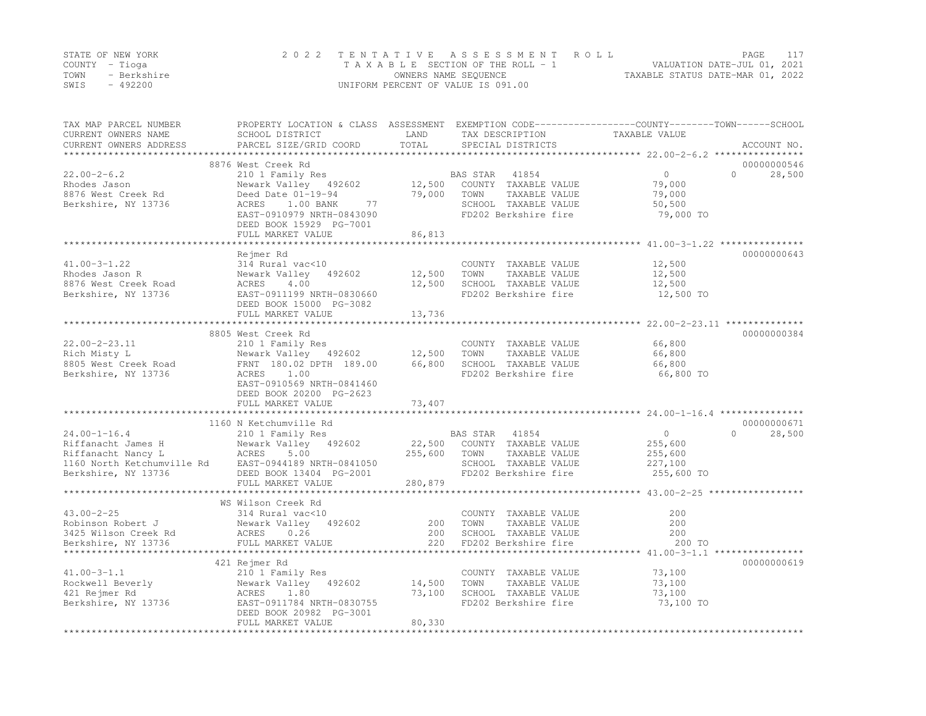|      | STATE OF NEW YORK | 2022 TENTATIVE ASSESSMENT ROLL     | PAGE                             |  |
|------|-------------------|------------------------------------|----------------------------------|--|
|      | COUNTY – Tioga    | TAXABLE SECTION OF THE ROLL - 1    | VALUATION DATE-JUL 01, 2021      |  |
| TOWN | - Berkshire       | OWNERS NAME SEQUENCE               | TAXABLE STATUS DATE-MAR 01, 2022 |  |
| SWIS | $-492200$         | UNIFORM PERCENT OF VALUE IS 091.00 |                                  |  |

| TAX MAP PARCEL NUMBER<br>CURRENT OWNERS NAME<br>CURRENT OWNERS ADDRESS                                              | PROPERTY LOCATION & CLASS ASSESSMENT EXEMPTION CODE----------------COUNTY-------TOWN-----SCHOOL<br>SCHOOL DISTRICT<br>PARCEL SIZE/GRID COORD        | LAND<br>TOTAL              | TAX DESCRIPTION<br>SPECIAL DISTRICTS                                                                            | TAXABLE VALUE                                          | ACCOUNT NO.                       |
|---------------------------------------------------------------------------------------------------------------------|-----------------------------------------------------------------------------------------------------------------------------------------------------|----------------------------|-----------------------------------------------------------------------------------------------------------------|--------------------------------------------------------|-----------------------------------|
| $22.00 - 2 - 6.2$                                                                                                   | 8876 West Creek Rd<br>210 1 Family Res                                                                                                              |                            | 41854<br>BAS STAR                                                                                               | $\overline{0}$                                         | 00000000546<br>$\Omega$<br>28,500 |
| Rhodes Jason<br>8876 West Creek Rd<br>Berkshire, NY 13736                                                           | Newark Valley 492602<br>Deed Date 01-19-94<br>1.00 BANK<br>ACRES<br>77<br>EAST-0910979 NRTH-0843090<br>DEED BOOK 15929 PG-7001<br>FULL MARKET VALUE | 12,500<br>79,000<br>86,813 | COUNTY TAXABLE VALUE<br>TAXABLE VALUE<br>TOWN<br>SCHOOL TAXABLE VALUE<br>FD202 Berkshire fire                   | 79,000<br>79,000<br>50,500<br>79,000 TO                |                                   |
|                                                                                                                     |                                                                                                                                                     |                            |                                                                                                                 | *************** 41.00-3-1.22 **************            |                                   |
| $41.00 - 3 - 1.22$<br>Rhodes Jason R<br>8876 West Creek Road<br>Berkshire, NY 13736                                 | Rejmer Rd<br>314 Rural vac<10<br>Newark Valley 492602<br>4.00<br>ACRES<br>EAST-0911199 NRTH-0830660<br>DEED BOOK 15000 PG-3082                      | 12,500<br>12,500           | COUNTY TAXABLE VALUE<br>TOWN<br>TAXABLE VALUE<br>SCHOOL TAXABLE VALUE<br>FD202 Berkshire fire                   | 12,500<br>12,500<br>12,500<br>12,500 TO                | 00000000643                       |
|                                                                                                                     | FULL MARKET VALUE                                                                                                                                   | 13,736                     |                                                                                                                 |                                                        |                                   |
|                                                                                                                     | ******************************                                                                                                                      |                            |                                                                                                                 | ****************** 22.00-2-23.11 **************        |                                   |
| $22.00 - 2 - 23.11$<br>Rich Misty L<br>8805 West Creek Road<br>Berkshire, NY 13736                                  | 8805 West Creek Rd<br>210 1 Family Res<br>Newark Valley 492602<br>FRNT 180.02 DPTH 189.00<br>1.00<br>ACRES<br>EAST-0910569 NRTH-0841460             | 12,500<br>66,800           | COUNTY TAXABLE VALUE<br>TOWN<br>TAXABLE VALUE<br>SCHOOL TAXABLE VALUE<br>FD202 Berkshire fire                   | 66,800<br>66,800<br>66,800<br>66,800 TO                | 00000000384                       |
|                                                                                                                     | DEED BOOK 20200 PG-2623<br>FULL MARKET VALUE                                                                                                        | 73,407                     |                                                                                                                 |                                                        |                                   |
|                                                                                                                     | 1160 N Ketchumville Rd                                                                                                                              |                            |                                                                                                                 |                                                        | 00000000671                       |
| $24.00 - 1 - 16.4$<br>Riffanacht James H<br>Riffanacht Nancy L<br>1160 North Ketchumville Rd<br>Berkshire, NY 13736 | 210 1 Family Res<br>Newark Valley 492602<br>ACRES<br>5.00<br>EAST-0944189 NRTH-0841050<br>DEED BOOK 13404 PG-2001                                   | 22,500<br>255,600          | BAS STAR 41854<br>COUNTY TAXABLE VALUE<br>TOWN<br>TAXABLE VALUE<br>SCHOOL TAXABLE VALUE<br>FD202 Berkshire fire | $\circ$<br>255,600<br>255,600<br>227,100<br>255,600 TO | 28,500<br>$\Omega$                |
|                                                                                                                     | FULL MARKET VALUE<br>*******************                                                                                                            | 280,879                    |                                                                                                                 |                                                        |                                   |
|                                                                                                                     | WS Wilson Creek Rd                                                                                                                                  |                            |                                                                                                                 | ******************* 43.00-2-25 **                      |                                   |
| $43.00 - 2 - 25$<br>Robinson Robert J<br>3425 Wilson Creek Rd<br>Berkshire, NY 13736                                | 314 Rural vac<10<br>Newark Valley 492602<br>ACRES<br>0.26<br>FULL MARKET VALUE                                                                      | 200<br>200<br>220          | COUNTY TAXABLE VALUE<br>TAXABLE VALUE<br>TOWN<br>SCHOOL TAXABLE VALUE<br>FD202 Berkshire fire                   | 200<br>200<br>200<br>200 TO                            |                                   |
|                                                                                                                     | 421 Rejmer Rd                                                                                                                                       |                            |                                                                                                                 |                                                        | 00000000619                       |
| $41.00 - 3 - 1.1$<br>Rockwell Beverly<br>421 Rejmer Rd<br>Berkshire, NY 13736                                       | 210 1 Family Res<br>Newark Valley 492602<br>ACRES<br>1.80<br>EAST-0911784 NRTH-0830755<br>DEED BOOK 20982 PG-3001<br>FULL MARKET VALUE              | 14,500<br>73,100<br>80,330 | COUNTY TAXABLE VALUE<br>TOWN<br>TAXABLE VALUE<br>SCHOOL TAXABLE VALUE<br>FD202 Berkshire fire                   | 73,100<br>73,100<br>73,100<br>73,100 TO                |                                   |
|                                                                                                                     |                                                                                                                                                     |                            |                                                                                                                 |                                                        |                                   |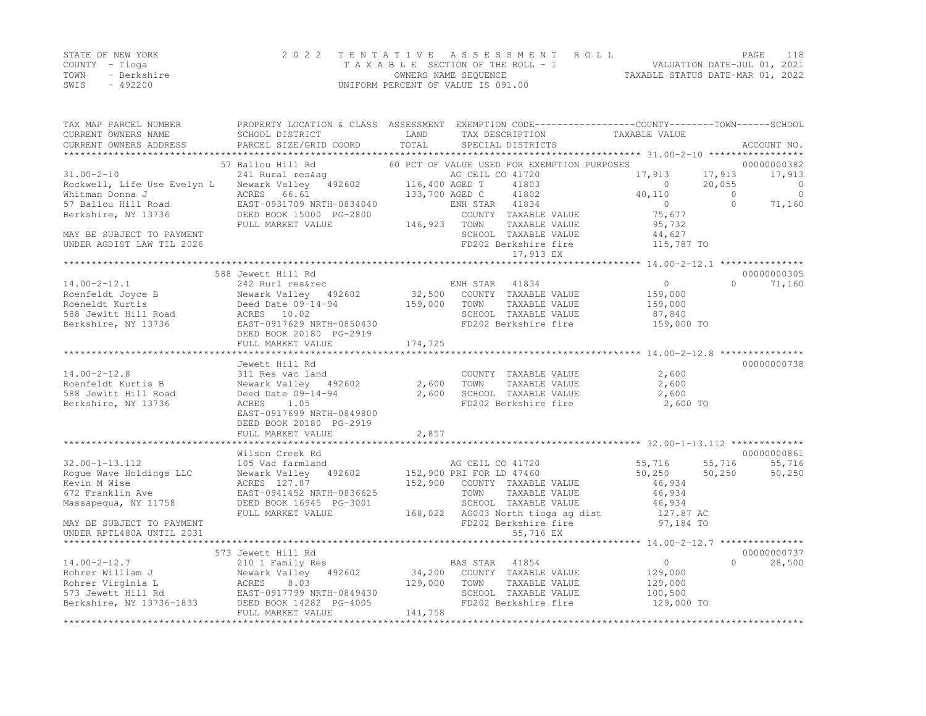|      | STATE OF NEW YORK | 2022 TENTATIVE ASSESSMENT ROLL     | PAGE                             | 118 |
|------|-------------------|------------------------------------|----------------------------------|-----|
|      | COUNTY – Tioga    | TAXABLE SECTION OF THE ROLL - 1    | VALUATION DATE-JUL 01, 2021      |     |
| TOWN | - Berkshire       | OWNERS NAME SEQUENCE               | TAXABLE STATUS DATE-MAR 01, 2022 |     |
| SWIS | $-492200$         | UNIFORM PERCENT OF VALUE IS 091.00 |                                  |     |

| TAX MAP PARCEL NUMBER                                | PROPERTY LOCATION & CLASS ASSESSMENT EXEMPTION CODE---------------COUNTY-------TOWN------SCHOOL |                |                                                                  |                                                                |           |             |
|------------------------------------------------------|-------------------------------------------------------------------------------------------------|----------------|------------------------------------------------------------------|----------------------------------------------------------------|-----------|-------------|
| CURRENT OWNERS NAME                                  | SCHOOL DISTRICT                                                                                 | LAND           | TAX DESCRIPTION                                                  | TAXABLE VALUE                                                  |           |             |
| CURRENT OWNERS ADDRESS<br>************************** | PARCEL SIZE/GRID COORD                                                                          | TOTAL          | SPECIAL DISTRICTS                                                |                                                                |           | ACCOUNT NO. |
|                                                      | 57 Ballou Hill Rd                                                                               |                | 60 PCT OF VALUE USED FOR EXEMPTION PURPOSES                      |                                                                |           | 00000000382 |
| $31.00 - 2 - 10$                                     | 241 Rural res&aq                                                                                |                | AG CEIL CO 41720                                                 | 17,913                                                         | 17,913    | 17,913      |
| Rockwell, Life Use Evelyn L                          | Newark Valley 492602                                                                            | 116,400 AGED T | 41803                                                            | $\Omega$                                                       | 20,055    | $\Omega$    |
| Whitman Donna J                                      | ACRES 66.61                                                                                     | 133,700 AGED C | 41802                                                            | 40,110                                                         | $\Omega$  | $\Omega$    |
| 57 Ballou Hill Road                                  | EAST-0931709 NRTH-0834040                                                                       |                | ENH STAR<br>41834                                                | $\Omega$                                                       | $\bigcap$ | 71,160      |
| Berkshire, NY 13736                                  | DEED BOOK 15000 PG-2800                                                                         |                | COUNTY TAXABLE VALUE                                             | 75,677                                                         |           |             |
|                                                      | FULL MARKET VALUE                                                                               | 146,923        | TOWN<br>TAXABLE VALUE                                            | 95,732                                                         |           |             |
| MAY BE SUBJECT TO PAYMENT                            |                                                                                                 |                | SCHOOL TAXABLE VALUE                                             | 44,627                                                         |           |             |
| UNDER AGDIST LAW TIL 2026                            |                                                                                                 |                | FD202 Berkshire fire                                             | 115,787 TO                                                     |           |             |
|                                                      |                                                                                                 |                | 17,913 EX                                                        |                                                                |           |             |
|                                                      |                                                                                                 |                |                                                                  |                                                                |           |             |
|                                                      | 588 Jewett Hill Rd                                                                              |                |                                                                  |                                                                |           | 00000000305 |
| $14.00 - 2 - 12.1$                                   | 242 Rurl res&rec                                                                                |                | ENH STAR 41834                                                   | $\overline{0}$                                                 | $\Omega$  | 71,160      |
| Roenfeldt Joyce B                                    | Newark Valley 492602                                                                            |                | 32,500 COUNTY TAXABLE VALUE                                      | 159,000                                                        |           |             |
| Roeneldt Kurtis                                      | Deed Date 09-14-94                                                                              | 159,000        | TOWN<br>TAXABLE VALUE                                            | 159,000                                                        |           |             |
| 588 Jewitt Hill Road                                 | ACRES 10.02                                                                                     |                | SCHOOL TAXABLE VALUE                                             | 87,840                                                         |           |             |
| Berkshire, NY 13736                                  | EAST-0917629 NRTH-0850430                                                                       |                | FD202 Berkshire fire                                             | 159,000 TO                                                     |           |             |
|                                                      | DEED BOOK 20180 PG-2919                                                                         |                |                                                                  |                                                                |           |             |
|                                                      | FULL MARKET VALUE                                                                               | 174,725        |                                                                  |                                                                |           |             |
|                                                      |                                                                                                 |                |                                                                  |                                                                |           |             |
|                                                      | Jewett Hill Rd                                                                                  |                |                                                                  |                                                                |           | 00000000738 |
| $14.00 - 2 - 12.8$                                   | 311 Res vac land                                                                                |                | COUNTY TAXABLE VALUE                                             | 2,600                                                          |           |             |
| Roenfeldt Kurtis B                                   | Newark Valley 492602                                                                            | 2,600          | TOWN<br>TAXABLE VALUE                                            | 2,600                                                          |           |             |
| 588 Jewitt Hill Road                                 | Deed Date 09-14-94                                                                              | 2,600          | SCHOOL TAXABLE VALUE                                             | 2,600                                                          |           |             |
| Berkshire, NY 13736                                  | ACRES<br>1.05                                                                                   |                | FD202 Berkshire fire                                             | 2,600 TO                                                       |           |             |
|                                                      | EAST-0917699 NRTH-0849800                                                                       |                |                                                                  |                                                                |           |             |
|                                                      | DEED BOOK 20180 PG-2919                                                                         |                |                                                                  |                                                                |           |             |
|                                                      | FULL MARKET VALUE<br>*****************************                                              | 2,857          | ***********************************32.00-1-13.112 ************** |                                                                |           |             |
|                                                      |                                                                                                 |                |                                                                  |                                                                |           |             |
|                                                      | Wilson Creek Rd                                                                                 |                |                                                                  |                                                                |           | 00000000861 |
| $32.00 - 1 - 13.112$                                 | 105 Vac farmland                                                                                |                | AG CEIL CO 41720                                                 | 55,716                                                         | 55,716    | 55,716      |
| Roque Wave Holdings LLC                              | Newark Valley 492602                                                                            |                | 152,900 PRI FOR LD 47460<br>152,900 COUNTY TAXABLE VALUE         | 50,250<br>46,934                                               | 50, 250   | 50,250      |
| Kevin M Wise                                         | ACRES 127.87                                                                                    |                | TOWN                                                             |                                                                |           |             |
| 672 Franklin Ave                                     | EAST-0941452 NRTH-0836625<br>DEED BOOK 16945 PG-3001                                            |                | TAXABLE VALUE<br>SCHOOL TAXABLE VALUE                            | 46,934<br>46,934                                               |           |             |
| Massapequa, NY 11758                                 | FULL MARKET VALUE                                                                               | 168,022        | AG003 North tioga ag dist                                        | 127.87 AC                                                      |           |             |
| MAY BE SUBJECT TO PAYMENT                            |                                                                                                 |                | FD202 Berkshire fire                                             | 97,184 TO                                                      |           |             |
| UNDER RPTL480A UNTIL 2031                            |                                                                                                 |                | 55,716 EX                                                        |                                                                |           |             |
|                                                      |                                                                                                 |                |                                                                  | ********************************* 14.00-2-12.7 *************** |           |             |
|                                                      | 573 Jewett Hill Rd                                                                              |                |                                                                  |                                                                |           | 00000000737 |
| $14.00 - 2 - 12.7$                                   | 210 1 Family Res                                                                                |                | BAS STAR<br>41854                                                | $\circ$                                                        | $\Omega$  | 28,500      |
| Rohrer William J                                     | Newark Valley<br>492602                                                                         | 34,200         | COUNTY TAXABLE VALUE                                             | 129,000                                                        |           |             |
| Rohrer Virginia L                                    | ACRES<br>8.03                                                                                   | 129,000        | TOWN<br>TAXABLE VALUE                                            | 129,000                                                        |           |             |
| 573 Jewett Hill Rd                                   | EAST-0917799 NRTH-0849430                                                                       |                | SCHOOL TAXABLE VALUE                                             | 100,500                                                        |           |             |
| Berkshire, NY 13736-1833                             | DEED BOOK 14282 PG-4005                                                                         |                | FD202 Berkshire fire                                             | 129,000 TO                                                     |           |             |
|                                                      | FULL MARKET VALUE                                                                               | 141,758        |                                                                  |                                                                |           |             |
|                                                      |                                                                                                 |                |                                                                  |                                                                |           |             |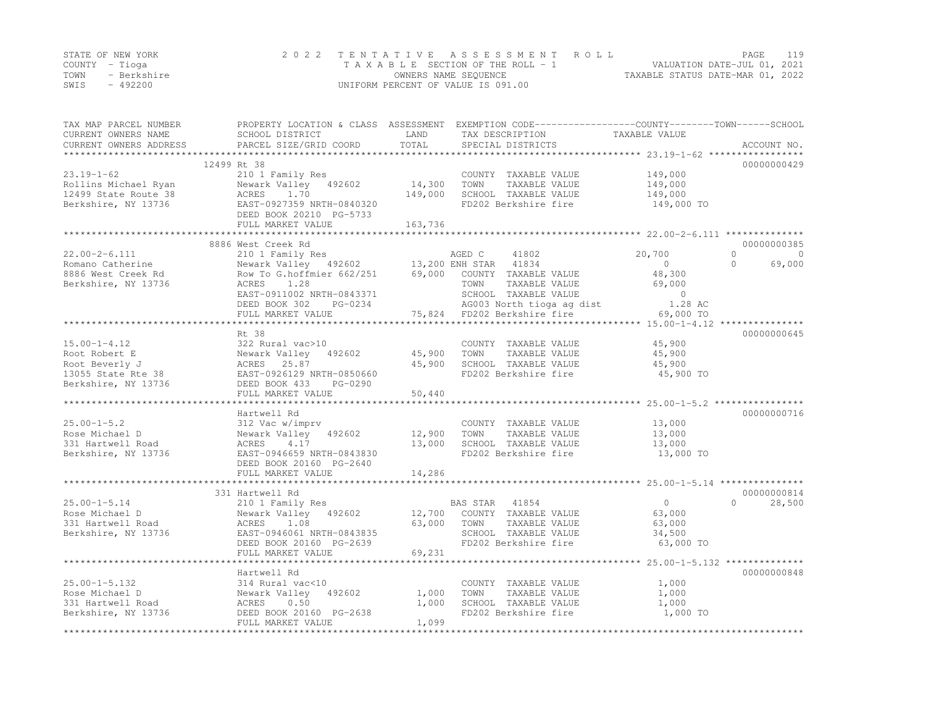|      | STATE OF NEW YORK | 2022 TENTATIVE ASSESSMENT ROLL     |                                  | PAGE                        | 119 |
|------|-------------------|------------------------------------|----------------------------------|-----------------------------|-----|
|      | COUNTY – Tioga    | TAXABLE SECTION OF THE ROLL - 1    |                                  | VALUATION DATE-JUL 01, 2021 |     |
| TOWN | - Berkshire       | OWNERS NAME SEQUENCE               | TAXABLE STATUS DATE-MAR 01, 2022 |                             |     |
| SWIS | - 492200          | UNIFORM PERCENT OF VALUE IS 091.00 |                                  |                             |     |

| TAX MAP PARCEL NUMBER<br>CURRENT OWNERS NAME<br>CURRENT OWNERS ADDRESS | PROPERTY LOCATION & CLASS ASSESSMENT EXEMPTION CODE---------------COUNTY-------TOWN-----SCHOOL<br>SCHOOL DISTRICT<br>PARCEL SIZE/GRID COORD | LAND<br>TOTAL    |                | TAX DESCRIPTION<br>SPECIAL DISTRICTS  | TAXABLE VALUE       |                      |
|------------------------------------------------------------------------|---------------------------------------------------------------------------------------------------------------------------------------------|------------------|----------------|---------------------------------------|---------------------|----------------------|
|                                                                        |                                                                                                                                             |                  |                |                                       |                     | ACCOUNT NO.          |
|                                                                        | 12499 Rt 38                                                                                                                                 |                  |                |                                       |                     | 00000000429          |
| $23.19 - 1 - 62$                                                       | 210 1 Family Res                                                                                                                            |                  |                | COUNTY TAXABLE VALUE                  | 149,000             |                      |
| Rollins Michael Ryan                                                   | Newark Valley 492602                                                                                                                        | 14,300           | TOWN           | TAXABLE VALUE                         | 149,000             |                      |
| 12499 State Route 38                                                   | ACRES<br>1.70                                                                                                                               | 149,000          |                | SCHOOL TAXABLE VALUE                  | 149,000             |                      |
| Berkshire, NY 13736                                                    | EAST-0927359 NRTH-0840320                                                                                                                   |                  |                | FD202 Berkshire fire                  | 149,000 TO          |                      |
|                                                                        | DEED BOOK 20210 PG-5733                                                                                                                     |                  |                |                                       |                     |                      |
|                                                                        | FULL MARKET VALUE                                                                                                                           | 163,736          |                |                                       |                     |                      |
|                                                                        | ***************************                                                                                                                 |                  |                |                                       |                     |                      |
|                                                                        | 8886 West Creek Rd                                                                                                                          |                  |                |                                       |                     | 00000000385          |
| $22.00 - 2 - 6.111$                                                    | 210 1 Family Res                                                                                                                            |                  | AGED C         | 41802                                 | 20,700              | $\Omega$<br>$\Omega$ |
| Romano Catherine                                                       | Newark Valley 492602 13,200 ENH STAR 41834                                                                                                  |                  |                |                                       | $\circ$             | $\bigcap$<br>69,000  |
| 8886 West Creek Rd                                                     | Row To G.hoffmier 662/251                                                                                                                   |                  |                | 69,000 COUNTY TAXABLE VALUE           | 48,300              |                      |
| Berkshire, NY 13736                                                    | ACRES<br>1.28                                                                                                                               |                  | TOWN           | TAXABLE VALUE                         | 69,000              |                      |
|                                                                        | EAST-0911002 NRTH-0843371                                                                                                                   |                  |                | SCHOOL TAXABLE VALUE                  | $\sim$ 0            |                      |
|                                                                        | DEED BOOK 302<br>PG-0234                                                                                                                    |                  |                | AG003 North tioga ag dist             | 1.28 AC             |                      |
|                                                                        | FULL MARKET VALUE                                                                                                                           |                  |                | 75,824 FD202 Berkshire fire           | 69,000 TO           |                      |
|                                                                        |                                                                                                                                             |                  |                |                                       |                     |                      |
|                                                                        | Rt 38                                                                                                                                       |                  |                |                                       |                     | 00000000645          |
| $15.00 - 1 - 4.12$                                                     | 322 Rural vac>10                                                                                                                            |                  |                | COUNTY TAXABLE VALUE                  | 45,900              |                      |
| Root Robert E                                                          | Newark Valley 492602                                                                                                                        | 45,900           | TOWN           | TAXABLE VALUE                         | 45,900              |                      |
| Root Beverly J                                                         | ACRES 25.87                                                                                                                                 | 45,900           |                | SCHOOL TAXABLE VALUE                  | 45,900              |                      |
| 13055 State Rte 38                                                     | EAST-0926129 NRTH-0850660                                                                                                                   |                  |                | FD202 Berkshire fire                  | 45,900 TO           |                      |
| Berkshire, NY 13736                                                    | DEED BOOK 433<br>PG-0290                                                                                                                    |                  |                |                                       |                     |                      |
|                                                                        | FULL MARKET VALUE                                                                                                                           | 50,440           |                |                                       |                     |                      |
|                                                                        |                                                                                                                                             |                  |                |                                       |                     |                      |
|                                                                        | Hartwell Rd                                                                                                                                 |                  |                |                                       |                     | 00000000716          |
| $25.00 - 1 - 5.2$                                                      | 312 Vac w/imprv                                                                                                                             |                  |                | COUNTY TAXABLE VALUE                  | 13,000              |                      |
| Rose Michael D                                                         | Newark Valley 492602<br>4.17                                                                                                                | 12,900<br>13,000 | TOWN           | TAXABLE VALUE<br>SCHOOL TAXABLE VALUE | 13,000              |                      |
| 331 Hartwell Road<br>Berkshire, NY 13736                               | ACRES<br>EAST-0946659 NRTH-0843830                                                                                                          |                  |                | FD202 Berkshire fire                  | 13,000<br>13,000 TO |                      |
|                                                                        | DEED BOOK 20160 PG-2640                                                                                                                     |                  |                |                                       |                     |                      |
|                                                                        | FULL MARKET VALUE                                                                                                                           | 14,286           |                |                                       |                     |                      |
|                                                                        |                                                                                                                                             |                  |                |                                       |                     |                      |
|                                                                        | 331 Hartwell Rd                                                                                                                             |                  |                |                                       |                     | 00000000814          |
| $25.00 - 1 - 5.14$                                                     | 210 1 Family Res                                                                                                                            |                  | BAS STAR 41854 |                                       | $\overline{0}$      | 28,500<br>$\Omega$   |
| Rose Michael D                                                         | Newark Valley 492602                                                                                                                        | 12,700           |                | COUNTY TAXABLE VALUE                  | 63,000              |                      |
| 331 Hartwell Road                                                      | ACRES 1.08                                                                                                                                  | 63,000           | TOWN           | TAXABLE VALUE                         | 63,000              |                      |
| Berkshire, NY 13736                                                    | EAST-0946061 NRTH-0843835                                                                                                                   |                  |                | SCHOOL TAXABLE VALUE                  | 34,500              |                      |
|                                                                        | DEED BOOK 20160 PG-2639                                                                                                                     |                  |                | FD202 Berkshire fire                  | 63,000 TO           |                      |
|                                                                        | FULL MARKET VALUE                                                                                                                           | 69,231           |                |                                       |                     |                      |
|                                                                        |                                                                                                                                             |                  |                |                                       |                     |                      |
|                                                                        | Hartwell Rd                                                                                                                                 |                  |                |                                       |                     | 00000000848          |
| $25.00 - 1 - 5.132$                                                    | 314 Rural vac<10                                                                                                                            |                  |                | COUNTY TAXABLE VALUE                  | 1,000               |                      |
| Rose Michael D                                                         | Newark Valley 492602                                                                                                                        | 1,000            | TOWN           | TAXABLE VALUE                         | 1,000               |                      |
| 331 Hartwell Road                                                      | 0.50<br>ACRES                                                                                                                               | 1,000            |                | SCHOOL TAXABLE VALUE                  | 1,000               |                      |
| Berkshire, NY 13736                                                    | DEED BOOK 20160 PG-2638                                                                                                                     |                  |                | FD202 Berkshire fire                  | 1,000 TO            |                      |
|                                                                        | FULL MARKET VALUE                                                                                                                           | 1,099            |                |                                       |                     |                      |
|                                                                        |                                                                                                                                             |                  |                |                                       |                     |                      |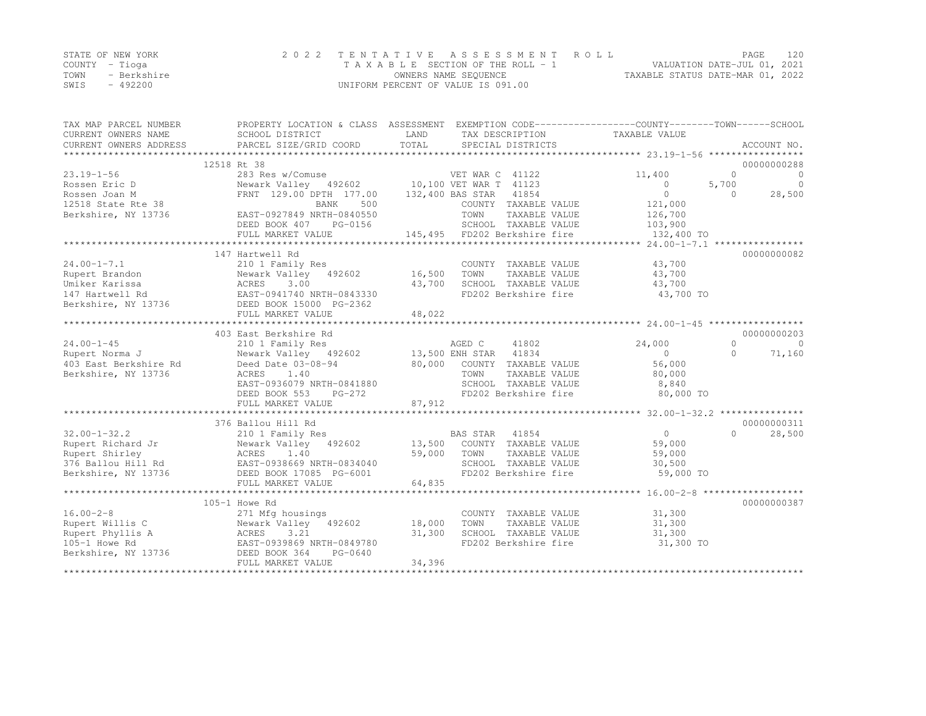|      | STATE OF NEW YORK | 2022 TENTATIVE ASSESSMENT ROLL     | 120<br>PAGE                      |
|------|-------------------|------------------------------------|----------------------------------|
|      | COUNTY – Tioga    | TAXABLE SECTION OF THE ROLL - 1    | VALUATION DATE-JUL 01, 2021      |
| TOWN | - Berkshire       | OWNERS NAME SEQUENCE               | TAXABLE STATUS DATE-MAR 01, 2022 |
| SWIS | - 492200          | UNIFORM PERCENT OF VALUE IS 091.00 |                                  |

| TAX MAP PARCEL NUMBER  | PROPERTY LOCATION & CLASS ASSESSMENT EXEMPTION CODE----------------COUNTY-------TOWN------SCHOOL                                                 |        |                                |                |            |             |
|------------------------|--------------------------------------------------------------------------------------------------------------------------------------------------|--------|--------------------------------|----------------|------------|-------------|
| CURRENT OWNERS NAME    | SCHOOL DISTRICT                                                                                                                                  | LAND   | TAX DESCRIPTION                | TAXABLE VALUE  |            |             |
| CURRENT OWNERS ADDRESS |                                                                                                                                                  |        |                                |                |            |             |
|                        |                                                                                                                                                  |        |                                |                |            |             |
|                        | 12518 Rt 38                                                                                                                                      |        |                                |                |            | 00000000288 |
| $23.19 - 1 - 56$       | 283 Res w/Comuse 51 VET WAR C 41122<br>Newark Valley 492602 10,100 VET WAR T 41123                                                               |        |                                | 11,400         | $\bigcirc$ | $\bigcirc$  |
| Rossen Eric D          |                                                                                                                                                  |        |                                | $\circ$        | 5,700      | $\circ$     |
| Rossen Joan M          | FRNT 129.00 DPTH 177.00 132,400 BAS STAR 41854                                                                                                   |        |                                | $\circ$        | $\Omega$   | 28,500      |
| 12518 State Rte 38     | 500<br>BANK                                                                                                                                      |        | COUNTY TAXABLE VALUE           | 121,000        |            |             |
| Berkshire, NY 13736    | EAST-0927849 NRTH-0840550                                                                                                                        |        | TOWN<br>TAXABLE VALUE          | 126,700        |            |             |
|                        | DEED BOOK 407<br>PG-0156                                                                                                                         |        | SCHOOL TAXABLE VALUE           | 103,900        |            |             |
|                        | FULL MARKET VALUE                                                                                                                                |        | 145,495 FD202 Berkshire fire   | 132,400 TO     |            |             |
|                        |                                                                                                                                                  |        |                                |                |            |             |
|                        | 147 Hartwell Rd                                                                                                                                  |        |                                |                |            | 00000000082 |
| $24.00 - 1 - 7.1$      | 210 1 Family Res                                                                                                                                 |        | COUNTY TAXABLE VALUE           | 43,700         |            |             |
| Rupert Brandon         | Newark Valley 492602                                                                                                                             | 16,500 | TOWN<br>TAXABLE VALUE          | 43,700         |            |             |
| Umiker Karissa         |                                                                                                                                                  | 43,700 | SCHOOL TAXABLE VALUE           | 43,700         |            |             |
| 147 Hartwell Rd        | ACRES 3.00<br>EAST-0941740 NRTH-0843330                                                                                                          |        | FD202 Berkshire fire           | 43,700 TO      |            |             |
|                        | Berkshire, NY 13736 DEED BOOK 15000 PG-2362                                                                                                      |        |                                |                |            |             |
|                        | FULL MARKET VALUE                                                                                                                                | 48,022 |                                |                |            |             |
|                        |                                                                                                                                                  |        |                                |                |            |             |
|                        | 403 East Berkshire Rd                                                                                                                            |        |                                |                |            | 00000000203 |
| $24.00 - 1 - 45$       | 210 1 Family Res                                                                                                                                 |        | AGED C<br>41802                | 24,000         | $\Omega$   | $\bigcirc$  |
| Rupert Norma J         | Newark Valley 492602 13,500 ENH STAR 41834                                                                                                       |        |                                | $\overline{0}$ | $\Omega$   | 71,160      |
| 403 East Berkshire Rd  | Deed Date 03-08-94                                                                                                                               |        | 80,000 COUNTY TAXABLE VALUE    | 56,000         |            |             |
| Berkshire, NY 13736    | ACRES<br>1.40                                                                                                                                    |        | TOWN<br>TAXABLE VALUE          | 80,000         |            |             |
|                        | EAST-0936079 NRTH-0841880                                                                                                                        |        | SCHOOL TAXABLE VALUE 8,840     |                |            |             |
|                        | DEED BOOK 553<br>PG-272                                                                                                                          |        | FD202 Berkshire fire 80,000 TO |                |            |             |
|                        | FULL MARKET VALUE                                                                                                                                | 87,912 |                                |                |            |             |
|                        |                                                                                                                                                  |        |                                |                |            |             |
|                        | 376 Ballou Hill Rd                                                                                                                               |        |                                |                |            | 00000000311 |
| $32.00 - 1 - 32.2$     | 210 1 Family Res                                                                                                                                 |        | BAS STAR 41854                 | $\overline{0}$ | $\Omega$   | 28,500      |
| Rupert Richard Jr      | Newark Valley 492602 13,500<br>Newark Valley 492602<br>ACRES 1.40<br>EAST-0938669 NRTH-0834040                                                   |        | COUNTY TAXABLE VALUE           | 59,000         |            |             |
| Rupert Shirley         |                                                                                                                                                  | 59,000 | TOWN<br>TAXABLE VALUE          | 59,000         |            |             |
| 376 Ballou Hill Rd     |                                                                                                                                                  |        | SCHOOL TAXABLE VALUE           | 30,500         |            |             |
| Berkshire, NY 13736    | DEED BOOK 17085 PG-6001                                                                                                                          |        | FD202 Berkshire fire           | 59,000 TO      |            |             |
|                        | FULL MARKET VALUE                                                                                                                                | 64,835 |                                |                |            |             |
|                        |                                                                                                                                                  |        |                                |                |            |             |
|                        | 105-1 Howe Rd                                                                                                                                    |        |                                |                |            | 00000000387 |
| $16.00 - 2 - 8$        | 271 Mfg housings                                                                                                                                 |        | COUNTY TAXABLE VALUE           | 31,300         |            |             |
| Rupert Willis C        | Newark Valley 492602 18,000                                                                                                                      |        | TOWN<br>TAXABLE VALUE          | 31,300         |            |             |
|                        |                                                                                                                                                  | 31,300 | SCHOOL TAXABLE VALUE           | 31,300         |            |             |
|                        | Rupert Willis C<br>Rupert Phyllis A<br>$\text{BCRES}$ 3.21<br>$\text{EAST}-0939869 \text{ NRTH}-0849780$<br>$\text{CAT}$ 2.4<br>$\text{DG}-0640$ |        | FD202 Berkshire fire           | 31,300 TO      |            |             |
| Berkshire, NY 13736    | DEED BOOK 364<br>PG-0640                                                                                                                         |        |                                |                |            |             |
|                        | FULL MARKET VALUE                                                                                                                                | 34,396 |                                |                |            |             |
|                        |                                                                                                                                                  |        |                                |                |            |             |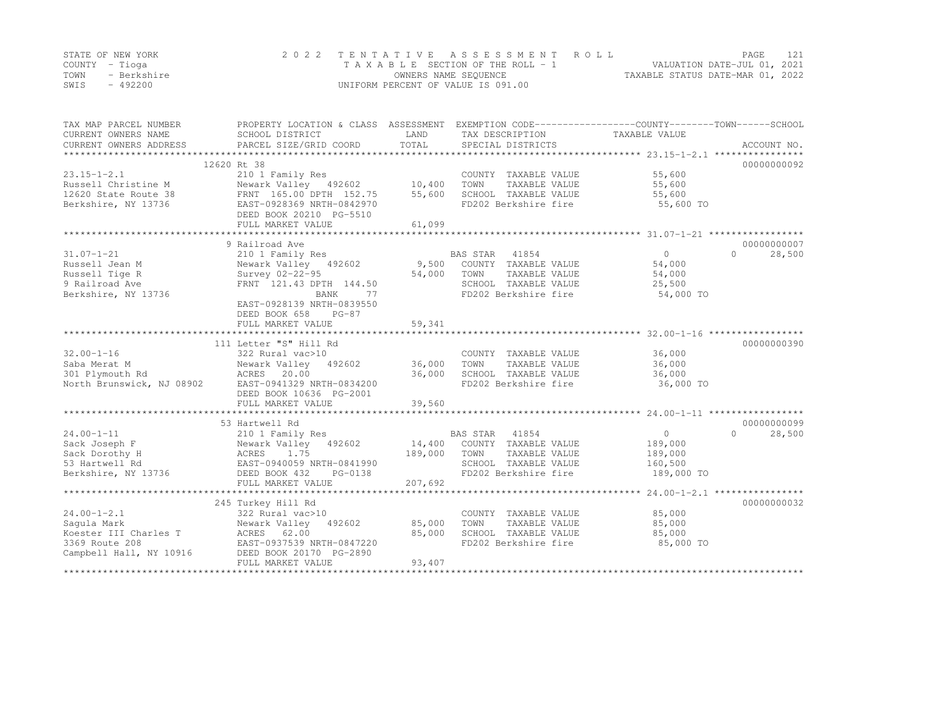|      | STATE OF NEW YORK | 2022 TENTATIVE ASSESSMENT ROLL     | PAGE                             |  |
|------|-------------------|------------------------------------|----------------------------------|--|
|      | COUNTY – Tioga    | TAXABLE SECTION OF THE ROLL - 1    | VALUATION DATE-JUL 01, 2021      |  |
| TOWN | - Berkshire       | OWNERS NAME SEQUENCE               | TAXABLE STATUS DATE-MAR 01, 2022 |  |
| SWIS | $-492200$         | UNIFORM PERCENT OF VALUE IS 091.00 |                                  |  |

| TAX MAP PARCEL NUMBER<br>CURRENT OWNERS NAME<br>CURRENT OWNERS ADDRESS | PROPERTY LOCATION & CLASS ASSESSMENT<br>SCHOOL DISTRICT<br>PARCEL SIZE/GRID COORD | LAND<br>TOTAL | TAX DESCRIPTION<br>SPECIAL DISTRICTS | EXEMPTION CODE-----------------COUNTY-------TOWN------SCHOOL<br>TAXABLE VALUE | ACCOUNT NO.        |
|------------------------------------------------------------------------|-----------------------------------------------------------------------------------|---------------|--------------------------------------|-------------------------------------------------------------------------------|--------------------|
|                                                                        | 12620 Rt 38                                                                       |               |                                      |                                                                               | 00000000092        |
| $23.15 - 1 - 2.1$                                                      | 210 1 Family Res                                                                  |               | COUNTY TAXABLE VALUE                 | 55,600                                                                        |                    |
| Russell Christine M                                                    | Newark Valley 492602                                                              | 10,400        | TOWN<br>TAXABLE VALUE                | 55,600                                                                        |                    |
| 12620 State Route 38                                                   | FRNT 165.00 DPTH 152.75                                                           | 55,600        | SCHOOL TAXABLE VALUE                 | 55,600                                                                        |                    |
| Berkshire, NY 13736                                                    | EAST-0928369 NRTH-0842970                                                         |               | FD202 Berkshire fire                 | 55,600 TO                                                                     |                    |
|                                                                        | DEED BOOK 20210 PG-5510                                                           |               |                                      |                                                                               |                    |
|                                                                        | FULL MARKET VALUE                                                                 | 61,099        |                                      |                                                                               |                    |
|                                                                        |                                                                                   |               |                                      |                                                                               |                    |
|                                                                        | 9 Railroad Ave                                                                    |               |                                      |                                                                               | 00000000007        |
| $31.07 - 1 - 21$                                                       | 210 1 Family Res                                                                  |               | BAS STAR<br>41854                    | $\circ$                                                                       | $\Omega$<br>28,500 |
| Russell Jean M                                                         | Newark Valley 492602                                                              |               | 9,500 COUNTY TAXABLE VALUE           | 54,000                                                                        |                    |
| Russell Tige R                                                         | Survey 02-22-95                                                                   | 54,000        | TOWN<br>TAXABLE VALUE                | 54,000                                                                        |                    |
| 9 Railroad Ave                                                         | FRNT 121.43 DPTH 144.50                                                           |               | SCHOOL TAXABLE VALUE                 | 25,500                                                                        |                    |
| Berkshire, NY 13736                                                    | BANK<br>77                                                                        |               | FD202 Berkshire fire                 | 54,000 TO                                                                     |                    |
|                                                                        | EAST-0928139 NRTH-0839550                                                         |               |                                      |                                                                               |                    |
|                                                                        | DEED BOOK 658<br>$PG-87$                                                          |               |                                      |                                                                               |                    |
|                                                                        | FULL MARKET VALUE                                                                 | 59,341        |                                      |                                                                               |                    |
|                                                                        |                                                                                   |               |                                      |                                                                               |                    |
|                                                                        | 111 Letter "S" Hill Rd                                                            |               |                                      |                                                                               | 00000000390        |
| $32.00 - 1 - 16$                                                       | 322 Rural vac>10                                                                  |               | COUNTY TAXABLE VALUE                 | 36,000                                                                        |                    |
| Saba Merat M                                                           | Newark Valley 492602                                                              | 36,000        | TOWN<br>TAXABLE VALUE                | 36,000                                                                        |                    |
| 301 Plymouth Rd                                                        | ACRES 20.00                                                                       | 36,000        | SCHOOL TAXABLE VALUE                 | 36,000                                                                        |                    |
| North Brunswick, NJ 08902                                              | EAST-0941329 NRTH-0834200                                                         |               | FD202 Berkshire fire                 | 36,000 TO                                                                     |                    |
|                                                                        | DEED BOOK 10636 PG-2001                                                           |               |                                      |                                                                               |                    |
|                                                                        | FULL MARKET VALUE                                                                 | 39,560        |                                      |                                                                               |                    |
|                                                                        |                                                                                   |               |                                      |                                                                               |                    |
|                                                                        | 53 Hartwell Rd                                                                    |               |                                      |                                                                               | 00000000099        |
| $24.00 - 1 - 11$                                                       | 210 1 Family Res                                                                  |               | BAS STAR 41854                       | $\circ$                                                                       | 28,500<br>$\Omega$ |
| Sack Joseph F                                                          | Newark Valley<br>492602                                                           | 14,400        | COUNTY TAXABLE VALUE                 | 189,000                                                                       |                    |
| Sack Dorothy H                                                         | ACRES<br>1.75                                                                     | 189,000       | TOWN<br>TAXABLE VALUE                | 189,000                                                                       |                    |
| 53 Hartwell Rd                                                         | EAST-0940059 NRTH-0841990                                                         |               | SCHOOL TAXABLE VALUE                 | 160,500                                                                       |                    |
| Berkshire, NY 13736                                                    | DEED BOOK 432<br>PG-0138                                                          |               | FD202 Berkshire fire                 | 189,000 TO                                                                    |                    |
|                                                                        | FULL MARKET VALUE                                                                 | 207,692       |                                      |                                                                               |                    |
|                                                                        |                                                                                   |               |                                      |                                                                               |                    |
|                                                                        | 245 Turkey Hill Rd                                                                |               |                                      |                                                                               | 00000000032        |
| $24.00 - 1 - 2.1$                                                      | 322 Rural vac>10                                                                  |               | COUNTY TAXABLE VALUE                 | 85,000                                                                        |                    |
| Saqula Mark                                                            | Newark Valley 492602                                                              | 85,000        | TOWN<br>TAXABLE VALUE                | 85,000                                                                        |                    |
| Koester III Charles T                                                  | ACRES 62.00                                                                       | 85,000        | SCHOOL TAXABLE VALUE                 | 85,000                                                                        |                    |
| 3369 Route 208                                                         | EAST-0937539 NRTH-0847220                                                         |               | FD202 Berkshire fire                 | 85,000 TO                                                                     |                    |
| Campbell Hall, NY 10916                                                | DEED BOOK 20170 PG-2890                                                           |               |                                      |                                                                               |                    |
|                                                                        | FULL MARKET VALUE                                                                 | 93,407        |                                      |                                                                               |                    |
|                                                                        |                                                                                   |               |                                      |                                                                               |                    |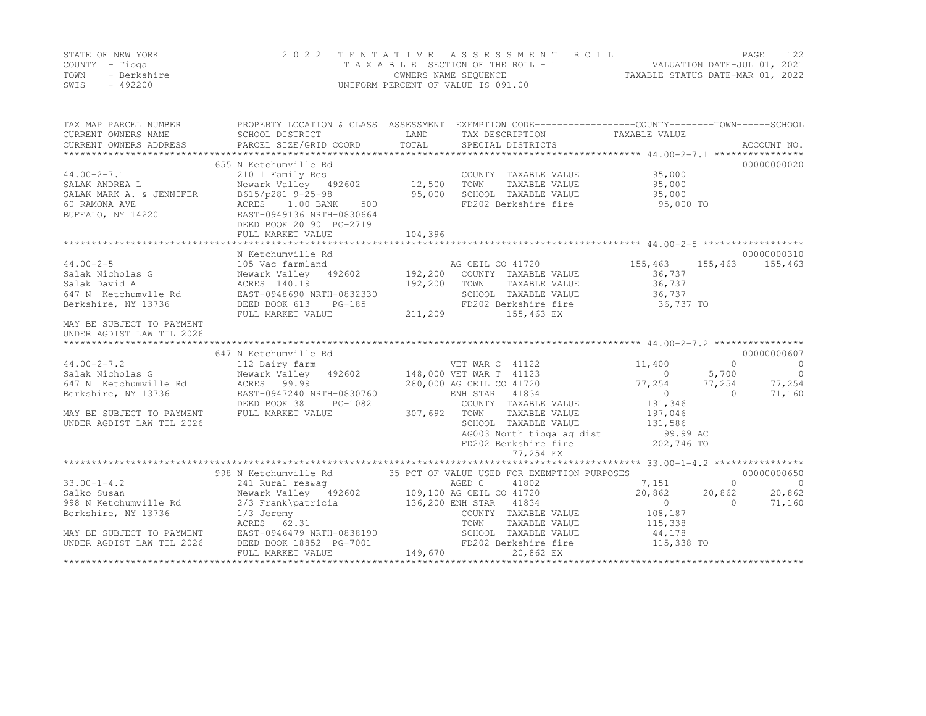|      | STATE OF NEW YORK | 2022 TENTATIVE ASSESSMENT ROLL     |                                  | PAGE                        | 122 |
|------|-------------------|------------------------------------|----------------------------------|-----------------------------|-----|
|      | COUNTY – Tioga    | TAXABLE SECTION OF THE ROLL - 1    |                                  | VALUATION DATE-JUL 01, 2021 |     |
| TOWN | - Berkshire       | OWNERS NAME SEQUENCE               | TAXABLE STATUS DATE-MAR 01, 2022 |                             |     |
| SWIS | - 492200          | UNIFORM PERCENT OF VALUE IS 091.00 |                                  |                             |     |

| TAX MAP PARCEL NUMBER<br>CURRENT OWNERS NAME                                                                                    | PROPERTY LOCATION & CLASS ASSESSMENT EXEMPTION CODE----------------COUNTY-------TOWN-----SCHOOL<br>SCHOOL DISTRICT                                 | LAND    | TAX DESCRIPTION TAXABLE VALUE                                                                                                                               |                                                 |                                                                   |
|---------------------------------------------------------------------------------------------------------------------------------|----------------------------------------------------------------------------------------------------------------------------------------------------|---------|-------------------------------------------------------------------------------------------------------------------------------------------------------------|-------------------------------------------------|-------------------------------------------------------------------|
| $44.00 - 2 - 7.1$<br>SALAK ANDREA L<br>SALAK MARK A. & JENNIFER<br>60 RAMONA AVE<br>BUFFALO, NY 14220 EAST-0949136 NRTH-0830664 | 655 N Ketchumville Rd<br>210 1 Family Res<br>Newark Valley 492602 12,500<br>B615/p281 9-25-98<br>ACRES 1.00 BANK<br>500<br>DEED BOOK 20190 PG-2719 | 95,000  | COUNTY TAXABLE VALUE<br>TOWN<br>TAXABLE VALUE<br>SCHOOL TAXABLE VALUE<br>FD202 Berkshire fire                                                               | 95,000<br>95,000<br>95,000<br>$95,000$ TO       | 00000000020                                                       |
|                                                                                                                                 | FULL MARKET VALUE                                                                                                                                  | 104,396 |                                                                                                                                                             |                                                 |                                                                   |
| $44.00 - 2 - 5$<br>Salak Nicholas G<br>Salak David A                                                                            | N Ketchumville Rd<br>ACRES 140.19                                                                                                                  | 192,200 | TOWN                                                                                                                                                        | 155,463<br>36,737                               | 00000000310<br>155,463 155,463                                    |
| 647 N Ketchumvlle Rd<br>Berkshire, NY 13736<br>MAY BE SUBJECT TO PAYMENT                                                        | EAST-0948690 NRTH-0832330<br>DEED BOOK 613<br>$PG-185$<br>FULL MARKET VALUE                                                                        | 211,209 | TOWN TAXABLE VALUE 36,737<br>SCHOOL TAXABLE VALUE 36,737<br>FD202 Berkshire fire 36,737 TO<br>155,463 EX                                                    |                                                 |                                                                   |
| UNDER AGDIST LAW TIL 2026                                                                                                       |                                                                                                                                                    |         |                                                                                                                                                             |                                                 |                                                                   |
|                                                                                                                                 |                                                                                                                                                    |         |                                                                                                                                                             |                                                 | 00000000607                                                       |
| $44.00 - 2 - 7.2$                                                                                                               | 647 N Ketchumville Rd<br>112 Dairy farm                                                                                                            |         | VET WAR C 41122                                                                                                                                             | 11,400                                          | $\Omega$<br>$\overline{0}$                                        |
| Salak Nicholas G<br>647 N Ketchumville Rd<br>Berkshire, NY 13736                                                                | Newark Valley 492602 148,000 VET WAR T 41123<br>ACRES 99.99<br>EAST-0947240 NRTH-0830760<br>DEED BOOK 381<br>PG-1082                               |         | 280,000 AG CEIL CO 41720<br>ENH STAR 41834<br>COUNTY TAXABLE VALUE                                                                                          | $\overline{0}$<br>77,254<br>$\Omega$<br>191,346 | $\overline{0}$<br>5,700<br>77,254<br>77,254<br>71,160<br>$\Omega$ |
| MAY BE SUBJECT TO PAYMENT<br>UNDER AGDIST LAW TIL 2026                                                                          | FULL MARKET VALUE                                                                                                                                  | 307,692 | TAXABLE VALUE<br>TOWN<br>SCHOOL TAXABLE VALUE<br>AG003 North tioga ag dist 99.99 AC<br>FD202 Berkshire fire 202,746 TO<br>FD202 Berkshire fire<br>77,254 EX | 197,046<br>131,586                              |                                                                   |
|                                                                                                                                 |                                                                                                                                                    |         |                                                                                                                                                             |                                                 |                                                                   |
|                                                                                                                                 | 998 N Ketchumville Rd 35 PCT OF VALUE USED FOR EXEMPTION PURPOSES                                                                                  |         |                                                                                                                                                             |                                                 | 00000000650                                                       |
| $33.00 - 1 - 4.2$                                                                                                               |                                                                                                                                                    |         |                                                                                                                                                             | 7,151                                           | $\circ$<br>$\overline{0}$                                         |
| Salko Susan<br>998 N Ketchumville Rd<br>Berkshire, NY 13736                                                                     | $1/3$ Jeremy<br>ACRES 62.31                                                                                                                        |         | COUNTY TAXABLE VALUE 108,187<br>TOWN                                                                                                                        | 20,862<br>$\Omega$<br>TAXABLE VALUE 115,338     | 20,862<br>20,862<br>$\bigcirc$<br>71,160                          |
| MAY BE SUBJECT TO PAYMENT<br>UNDER AGDIST LAW TIL 2026                                                                          | EAST-0946479 NRTH-0838190<br>DEED BOOK 18852 PG-7001<br>FULL MARKET VALUE                                                                          | 149,670 | SCHOOL TAXABLE VALUE<br>FD202 Berkshire fire 115,338 TO<br>20,862 EX                                                                                        | 44,178                                          |                                                                   |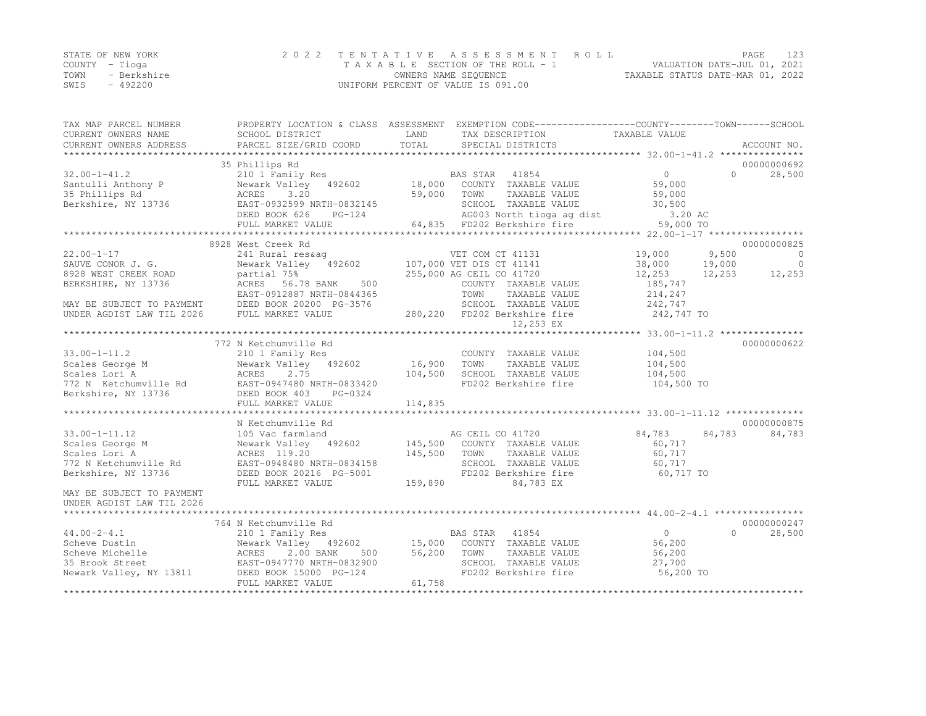|      | STATE OF NEW YORK | 2022 TENTATIVE ASSESSMENT ROLL     |                                  | PAGE |  |
|------|-------------------|------------------------------------|----------------------------------|------|--|
|      | COUNTY – Tioga    | TAXABLE SECTION OF THE ROLL - 1    | VALUATION DATE-JUL 01, 2021      |      |  |
| TOWN | - Berkshire       | OWNERS NAME SEOUENCE               | TAXABLE STATUS DATE-MAR 01, 2022 |      |  |
| SWIS | - 492200          | UNIFORM PERCENT OF VALUE IS 091.00 |                                  |      |  |

| TAX MAP PARCEL NUMBER                                  |                                                                                                                                                                                                                                        |             | PROPERTY LOCATION & CLASS ASSESSMENT EXEMPTION CODE-----------------COUNTY-------TOWN------SCHOOL |                       |          |                 |
|--------------------------------------------------------|----------------------------------------------------------------------------------------------------------------------------------------------------------------------------------------------------------------------------------------|-------------|---------------------------------------------------------------------------------------------------|-----------------------|----------|-----------------|
| CURRENT OWNERS NAME                                    | SCHOOL DISTRICT                                                                                                                                                                                                                        | LAND        | TAX DESCRIPTION                                                                                   | TAXABLE VALUE         |          |                 |
|                                                        |                                                                                                                                                                                                                                        |             |                                                                                                   |                       |          |                 |
|                                                        | 35 Phillips Rd                                                                                                                                                                                                                         |             |                                                                                                   |                       |          | 00000000692     |
| $32.00 - 1 - 41.2$                                     | 210 1 Family Res                                                                                                                                                                                                                       |             | BAS STAR 41854                                                                                    | $\sim$ 0              | $\Omega$ | 28,500          |
|                                                        |                                                                                                                                                                                                                                        |             | Newark Valley 492602 18,000 COUNTY TAXABLE VALUE 59,000                                           |                       |          |                 |
| Santulli Anthony P<br>35 Phillips Rd<br>35 Phillips Rd | ACRES<br>3.20                                                                                                                                                                                                                          | 59,000 TOWN | TAXABLE VALUE                                                                                     | 59,000                |          |                 |
|                                                        |                                                                                                                                                                                                                                        |             |                                                                                                   |                       |          |                 |
|                                                        |                                                                                                                                                                                                                                        |             |                                                                                                   |                       |          |                 |
|                                                        |                                                                                                                                                                                                                                        |             |                                                                                                   |                       |          |                 |
|                                                        | 35 PHITIPS Rd<br>Berkshire, NY 13736 EAST-0932599 NRTH-0832145 EAST-0932599 NRTH-0832145 EAST-0932599 NRTH-0832145<br>DEED BOOK 626 PG-124 AG003 North Lioga ag dist 51,200 AC<br>FULL MARKET VALUE 64,835 FD202 Berkshire fire 59,000 |             |                                                                                                   |                       |          |                 |
|                                                        | 8928 West Creek Rd<br>928 West Creek Rd<br>241 Rural res&ag<br>Newark Valley 492602 107,000 VET DIS CT 41141<br>107,000 VET DIS CT 41141<br>255,000 AG CEIL CO 41720                                                                   |             |                                                                                                   |                       |          | 00000000825     |
| $22.00 - 1 - 17$                                       |                                                                                                                                                                                                                                        |             |                                                                                                   | 19,000                | 9,500    | $\bigcirc$      |
| SAUVE CONOR J. G.                                      |                                                                                                                                                                                                                                        |             |                                                                                                   | 38,000                | 19,000   | $\overline{0}$  |
| 8928 WEST CREEK ROAD                                   | partial 75%                                                                                                                                                                                                                            |             |                                                                                                   | 12,253                |          | 12, 253 12, 253 |
| BERKSHIRE, NY 13736                                    | ACRES 56.78 BANK                                                                                                                                                                                                                       | 500         | COUNTY TAXABLE VALUE                                                                              | 185,747               |          |                 |
|                                                        | EAST-0912887 NRTH-0844365                                                                                                                                                                                                              |             | TOWN<br>TAXABLE VALUE                                                                             | 214,247               |          |                 |
|                                                        | MAY BE SUBJECT TO PAYMENT DEED BOOK 20200 PG-3576<br>UNDER AGDIST LAW TIL 2026 FULL MARKET VALUE                                                                                                                                       |             | 3-3576 SCHOOL TAXABLE VALUE<br>280,220 FD202 Berkshire fire                                       | 242,747<br>242,747 TO |          |                 |
|                                                        |                                                                                                                                                                                                                                        |             |                                                                                                   |                       |          |                 |
|                                                        |                                                                                                                                                                                                                                        |             | 12,253 EX                                                                                         |                       |          |                 |
|                                                        | 772 N Ketchumville Rd                                                                                                                                                                                                                  |             |                                                                                                   |                       |          | 00000000622     |
| $33.00 - 1 - 11.2$                                     | 210 1 Family Res                                                                                                                                                                                                                       |             | COUNTY TAXABLE VALUE                                                                              |                       |          |                 |
| Scales George M                                        | Newark Valley 492602 16,900                                                                                                                                                                                                            |             | TOWN<br>TAXABLE VALUE                                                                             | 104,500<br>104,500    |          |                 |
| Scales Lori A                                          |                                                                                                                                                                                                                                        | 104,500     | SCHOOL TAXABLE VALUE                                                                              | 104,500               |          |                 |
| 772 N Ketchumville Rd                                  |                                                                                                                                                                                                                                        |             | FD202 Berkshire fire                                                                              | 104,500 TO            |          |                 |
| Berkshire, NY 13736                                    |                                                                                                                                                                                                                                        |             |                                                                                                   |                       |          |                 |
|                                                        | Newall 1<br>ACRES 2.75<br>FAST-0947480 NRTH-0833420<br>FRED BOOK 403 PG-0324<br>FULL MARKET VALUE                                                                                                                                      | 114,835     |                                                                                                   |                       |          |                 |
|                                                        |                                                                                                                                                                                                                                        |             |                                                                                                   |                       |          |                 |
|                                                        | N Ketchumville Rd                                                                                                                                                                                                                      |             |                                                                                                   |                       |          | 00000000875     |
| $33.00 - 1 - 11.12$                                    | 105 Vac farmland                                                                                                                                                                                                                       |             | AG CEIL CO 41720                                                                                  | 84,783                | 84,783   | 84,783          |
| Scales George M                                        | Newark Valley (192602)<br>ACRES 119.20 145,500 COUNTY TAXABLE VALUE                                                                                                                                                                    |             |                                                                                                   | 60,717                |          |                 |
| Scales Lori A                                          |                                                                                                                                                                                                                                        |             | TAXABLE VALUE                                                                                     | 60,717                |          |                 |
| 772 N Ketchumville Rd                                  | EAST-0948480 NRTH-0834158                                                                                                                                                                                                              |             | SCHOOL TAXABLE VALUE                                                                              | 60, 717               |          |                 |
| Berkshire, NY 13736                                    | DEED BOOK 20216 PG-5001                                                                                                                                                                                                                |             | FD202 Berkshire fire                                                                              | 60,717 TO             |          |                 |
|                                                        | FULL MARKET VALUE                                                                                                                                                                                                                      | 159,890     | 84,783 EX                                                                                         |                       |          |                 |
| MAY BE SUBJECT TO PAYMENT<br>UNDER AGDIST LAW TIL 2026 |                                                                                                                                                                                                                                        |             |                                                                                                   |                       |          |                 |
|                                                        |                                                                                                                                                                                                                                        |             |                                                                                                   |                       |          |                 |
|                                                        | 764 N Ketchumville Rd                                                                                                                                                                                                                  |             |                                                                                                   |                       |          | 00000000247     |
| $44.00 - 2 - 4.1$                                      |                                                                                                                                                                                                                                        |             |                                                                                                   | 0                     | $\Omega$ | 28,500          |
| Scheve Dustin                                          |                                                                                                                                                                                                                                        |             |                                                                                                   | 56,200                |          |                 |
| ACRES<br>Scheve Michelle                               | 2.00 BANK                                                                                                                                                                                                                              | 500 56,200  | TOWN<br>TAXABLE VALUE                                                                             | 56,200                |          |                 |
| 35 Brook Street                                        |                                                                                                                                                                                                                                        |             | SCHOOL TAXABLE VALUE                                                                              | 27,700                |          |                 |
| Newark Valley, NY 13811                                | EAST-0947770 NRTH-0832900<br>13811 DEED BOOK 15000 PG-124                                                                                                                                                                              |             | FD202 Berkshire fire                                                                              | 56,200 TO             |          |                 |
|                                                        | FULL MARKET VALUE                                                                                                                                                                                                                      | 61,758      |                                                                                                   |                       |          |                 |
|                                                        |                                                                                                                                                                                                                                        |             |                                                                                                   |                       |          |                 |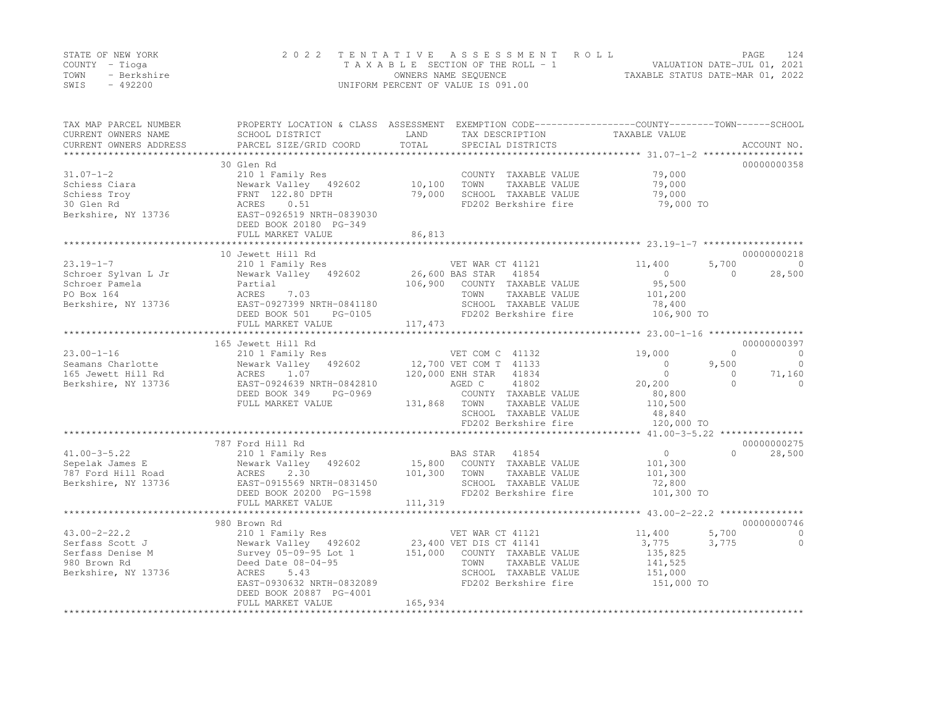|      | STATE OF NEW YORK | 2022 TENTATIVE ASSESSMENT ROLL     |                                  | PAGE | 124 |
|------|-------------------|------------------------------------|----------------------------------|------|-----|
|      | COUNTY – Tioga    | TAXABLE SECTION OF THE ROLL - 1    | VALUATION DATE-JUL 01, 2021      |      |     |
| TOWN | - Berkshire       | OWNERS NAME SEQUENCE               | TAXABLE STATUS DATE-MAR 01, 2022 |      |     |
| SWIS | $-492200$         | UNIFORM PERCENT OF VALUE IS 091.00 |                                  |      |     |

| TAX MAP PARCEL NUMBER<br>CURRENT OWNERS NAME<br>CURRENT OWNERS ADDRESS | PROPERTY LOCATION & CLASS ASSESSMENT EXEMPTION CODE----------------COUNTY-------TOWN------SCHOOL<br>SCHOOL DISTRICT<br>PARCEL SIZE/GRID COORD | LAND<br>TOTAL | TAX DESCRIPTION<br>SPECIAL DISTRICTS          | TAXABLE VALUE                      | ACCOUNT NO.              |
|------------------------------------------------------------------------|-----------------------------------------------------------------------------------------------------------------------------------------------|---------------|-----------------------------------------------|------------------------------------|--------------------------|
|                                                                        |                                                                                                                                               |               |                                               |                                    |                          |
|                                                                        | 30 Glen Rd                                                                                                                                    |               |                                               |                                    | 00000000358              |
| $31.07 - 1 - 2$                                                        | 210 1 Family Res                                                                                                                              |               | COUNTY TAXABLE VALUE                          | 79,000                             |                          |
| Schiess Ciara                                                          | Newark Valley 492602                                                                                                                          | 10,100        | TOWN<br>TAXABLE VALUE                         | 79,000                             |                          |
| Schiess Troy                                                           | FRNT 122.80 DPTH                                                                                                                              | 79,000        | SCHOOL TAXABLE VALUE                          | 79,000                             |                          |
| 30 Glen Rd<br>Berkshire, NY 13736                                      | ACRES<br>0.51<br>EAST-0926519 NRTH-0839030                                                                                                    |               | FD202 Berkshire fire                          | 79,000 TO                          |                          |
|                                                                        | DEED BOOK 20180 PG-349                                                                                                                        |               |                                               |                                    |                          |
|                                                                        | FULL MARKET VALUE                                                                                                                             | 86,813        |                                               |                                    |                          |
|                                                                        |                                                                                                                                               |               |                                               |                                    |                          |
|                                                                        | 10 Jewett Hill Rd                                                                                                                             |               |                                               |                                    | 00000000218              |
| $23.19 - 1 - 7$                                                        | 210 1 Family Res                                                                                                                              |               | VET WAR CT 41121                              | 11,400                             | 5,700<br>$\circ$         |
| Schroer Sylvan L Jr                                                    | Newark Valley 492602                                                                                                                          |               | 26,600 BAS STAR 41854                         | $\circ$                            | $\Omega$<br>28,500       |
| Schroer Pamela                                                         | Partial                                                                                                                                       | 106,900       | COUNTY TAXABLE VALUE                          | 95,500                             |                          |
| PO Box 164                                                             | 7.03<br>ACRES                                                                                                                                 |               | TAXABLE VALUE<br>TOWN                         | 101,200                            |                          |
| Berkshire, NY 13736                                                    | EAST-0927399 NRTH-0841180                                                                                                                     |               | SCHOOL TAXABLE VALUE                          | 78,400                             |                          |
|                                                                        | DEED BOOK 501<br>PG-0105                                                                                                                      |               | FD202 Berkshire fire                          | 106,900 TO                         |                          |
|                                                                        | FULL MARKET VALUE<br>**************************                                                                                               | 117,473       |                                               |                                    |                          |
|                                                                        | 165 Jewett Hill Rd                                                                                                                            |               |                                               |                                    | 00000000397              |
| $23.00 - 1 - 16$                                                       | 210 1 Family Res                                                                                                                              |               | VET COM C 41132                               | 19,000                             | $\mathbf{0}$<br>$\circ$  |
| Seamans Charlotte                                                      | Newark Valley 492602                                                                                                                          |               | 12,700 VET COM T 41133                        | $\circ$                            | $\circ$<br>9,500         |
| 165 Jewett Hill Rd                                                     | ACRES<br>1.07                                                                                                                                 |               | 120,000 ENH STAR<br>41834                     | $\Omega$                           | $\Omega$<br>71,160       |
| Berkshire, NY 13736                                                    | EAST-0924639 NRTH-0842810                                                                                                                     |               | AGED C<br>41802                               | 20,200                             | $\Omega$<br>$\mathbf{0}$ |
|                                                                        | DEED BOOK 349<br>PG-0969                                                                                                                      |               | COUNTY TAXABLE VALUE                          | 80,800                             |                          |
|                                                                        | FULL MARKET VALUE                                                                                                                             | 131,868       | TOWN<br>TAXABLE VALUE                         | 110,500                            |                          |
|                                                                        |                                                                                                                                               |               | SCHOOL TAXABLE VALUE                          | 48,840                             |                          |
|                                                                        |                                                                                                                                               |               | FD202 Berkshire fire                          | 120,000 TO                         |                          |
|                                                                        | 787 Ford Hill Rd                                                                                                                              |               |                                               | **** 41.00-3-5.22 **************** | 00000000275              |
| $41.00 - 3 - 5.22$                                                     | 210 1 Family Res                                                                                                                              |               | BAS STAR<br>41854                             | $\circ$                            | $\cap$<br>28,500         |
| Sepelak James E                                                        | Newark Valley 492602                                                                                                                          | 15,800        | COUNTY TAXABLE VALUE                          | 101,300                            |                          |
| 787 Ford Hill Road                                                     | ACRES<br>2.30                                                                                                                                 | 101,300       | TOWN<br>TAXABLE VALUE                         | 101,300                            |                          |
| Berkshire, NY 13736                                                    | EAST-0915569 NRTH-0831450                                                                                                                     |               | SCHOOL TAXABLE VALUE                          | 72,800                             |                          |
|                                                                        | DEED BOOK 20200 PG-1598                                                                                                                       |               | FD202 Berkshire fire                          | 101,300 TO                         |                          |
|                                                                        | FULL MARKET VALUE                                                                                                                             | 111,319       |                                               |                                    |                          |
|                                                                        |                                                                                                                                               |               |                                               |                                    |                          |
|                                                                        | 980 Brown Rd                                                                                                                                  |               |                                               |                                    | 00000000746              |
| $43.00 - 2 - 22.2$                                                     | 210 1 Family Res                                                                                                                              |               | VET WAR CT 41121                              | 11,400                             | 5,700<br>$\Omega$        |
| Serfass Scott J                                                        | Newark Valley 492602                                                                                                                          |               | 23,400 VET DIS CT 41141                       | 3,775                              | 3,775<br>$\circ$         |
| Serfass Denise M<br>980 Brown Rd                                       | Survey 05-09-95 Lot 1<br>Deed Date 08-04-95                                                                                                   | 151,000       | COUNTY TAXABLE VALUE<br>TAXABLE VALUE<br>TOWN | 135,825                            |                          |
| Berkshire, NY 13736                                                    | 5.43<br>ACRES                                                                                                                                 |               | SCHOOL TAXABLE VALUE                          | 141,525<br>151,000                 |                          |
|                                                                        | EAST-0930632 NRTH-0832089                                                                                                                     |               | FD202 Berkshire fire                          | 151,000 TO                         |                          |
|                                                                        | DEED BOOK 20887 PG-4001                                                                                                                       |               |                                               |                                    |                          |
|                                                                        | FULL MARKET VALUE                                                                                                                             | 165,934       |                                               |                                    |                          |
|                                                                        |                                                                                                                                               |               |                                               |                                    |                          |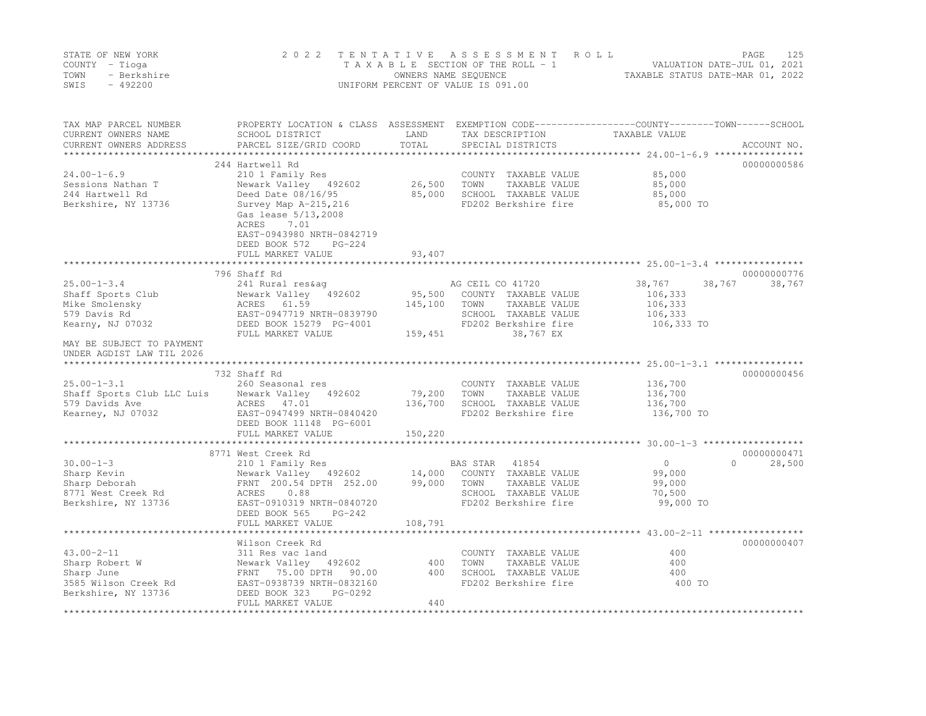|      | STATE OF NEW YORK | 2022 TENTATIVE ASSESSMENT ROLL     |                                  | PAGE                        | 125 |
|------|-------------------|------------------------------------|----------------------------------|-----------------------------|-----|
|      | COUNTY – Tioga    | TAXABLE SECTION OF THE ROLL - 1    |                                  | VALUATION DATE-JUL 01, 2021 |     |
| TOWN | - Berkshire       | OWNERS NAME SEQUENCE               | TAXABLE STATUS DATE-MAR 01, 2022 |                             |     |
| SWIS | - 492200          | UNIFORM PERCENT OF VALUE IS 091.00 |                                  |                             |     |

| TAX MAP PARCEL NUMBER<br>CURRENT OWNERS NAME<br>CURRENT OWNERS ADDRESS | PROPERTY LOCATION & CLASS ASSESSMENT<br>SCHOOL DISTRICT<br>PARCEL SIZE/GRID COORD                                        | LAND<br>TOTAL | TAX DESCRIPTION<br>SPECIAL DISTRICTS          | EXEMPTION CODE-----------------COUNTY-------TOWN------SCHOOL<br>TAXABLE VALUE | ACCOUNT NO.        |
|------------------------------------------------------------------------|--------------------------------------------------------------------------------------------------------------------------|---------------|-----------------------------------------------|-------------------------------------------------------------------------------|--------------------|
| ***********************                                                |                                                                                                                          |               |                                               |                                                                               |                    |
|                                                                        | 244 Hartwell Rd                                                                                                          |               |                                               |                                                                               | 00000000586        |
| $24.00 - 1 - 6.9$                                                      | 210 1 Family Res                                                                                                         |               | COUNTY TAXABLE VALUE                          | 85,000                                                                        |                    |
| Sessions Nathan T                                                      | Newark Valley 492602                                                                                                     | 26,500        | TOWN<br>TAXABLE VALUE                         | 85,000                                                                        |                    |
| 244 Hartwell Rd                                                        | Deed Date 08/16/95                                                                                                       | 85,000        | SCHOOL TAXABLE VALUE                          | 85,000                                                                        |                    |
| Berkshire, NY 13736                                                    | Survey Map A-215, 216<br>Gas lease 5/13, 2008<br>ACRES<br>7.01<br>EAST-0943980 NRTH-0842719<br>DEED BOOK 572<br>$PG-224$ |               | FD202 Berkshire fire                          | 85,000 TO                                                                     |                    |
|                                                                        | FULL MARKET VALUE                                                                                                        | 93,407        |                                               |                                                                               |                    |
|                                                                        |                                                                                                                          |               |                                               |                                                                               |                    |
|                                                                        | 796 Shaff Rd                                                                                                             |               |                                               |                                                                               | 00000000776        |
| $25.00 - 1 - 3.4$<br>Shaff Sports Club                                 | 241 Rural res&aq<br>Newark Valley<br>492602                                                                              | 95,500        | AG CEIL CO 41720<br>COUNTY TAXABLE VALUE      | 38,767<br>106,333                                                             | 38,767<br>38,767   |
| Mike Smolensky                                                         | ACRES 61.59                                                                                                              | 145,100       | TOWN<br>TAXABLE VALUE                         | 106,333                                                                       |                    |
| 579 Davis Rd                                                           | EAST-0947719 NRTH-0839790                                                                                                |               | SCHOOL TAXABLE VALUE                          | 106,333                                                                       |                    |
| Kearny, NJ 07032                                                       | DEED BOOK 15279 PG-4001                                                                                                  |               | FD202 Berkshire fire                          | 106,333 TO                                                                    |                    |
|                                                                        | FULL MARKET VALUE                                                                                                        | 159,451       | 38,767 EX                                     |                                                                               |                    |
| MAY BE SUBJECT TO PAYMENT<br>UNDER AGDIST LAW TIL 2026                 |                                                                                                                          |               |                                               |                                                                               |                    |
|                                                                        |                                                                                                                          |               |                                               |                                                                               |                    |
|                                                                        | 732 Shaff Rd                                                                                                             |               |                                               |                                                                               | 00000000456        |
| $25.00 - 1 - 3.1$                                                      | 260 Seasonal res                                                                                                         |               | COUNTY TAXABLE VALUE                          | 136,700                                                                       |                    |
| Shaff Sports Club LLC Luis                                             | Newark Valley 492602                                                                                                     | 79,200        | TOWN<br>TAXABLE VALUE                         | 136,700                                                                       |                    |
| 579 Davids Ave                                                         | ACRES 47.01                                                                                                              | 136,700       | SCHOOL TAXABLE VALUE                          | 136,700                                                                       |                    |
| Kearney, NJ 07032                                                      | EAST-0947499 NRTH-0840420<br>DEED BOOK 11148 PG-6001                                                                     |               | FD202 Berkshire fire                          | 136,700 TO                                                                    |                    |
|                                                                        | FULL MARKET VALUE                                                                                                        | 150,220       |                                               |                                                                               |                    |
|                                                                        | 8771 West Creek Rd                                                                                                       |               |                                               |                                                                               | 00000000471        |
| $30.00 - 1 - 3$                                                        | 210 1 Family Res                                                                                                         |               | 41854<br>BAS STAR                             | $\circ$                                                                       | 28,500<br>$\Omega$ |
| Sharp Kevin                                                            | Newark Valley 492602                                                                                                     | 14,000        | COUNTY TAXABLE VALUE                          | 99,000                                                                        |                    |
| Sharp Deborah                                                          | FRNT 200.54 DPTH 252.00                                                                                                  | 99,000        | TOWN<br>TAXABLE VALUE                         | 99,000                                                                        |                    |
| 8771 West Creek Rd                                                     | 0.88<br>ACRES                                                                                                            |               | SCHOOL TAXABLE VALUE                          | 70,500                                                                        |                    |
| Berkshire, NY 13736                                                    | EAST-0910319 NRTH-0840720                                                                                                |               | FD202 Berkshire fire                          | 99,000 TO                                                                     |                    |
|                                                                        | DEED BOOK 565<br>$PG-242$                                                                                                |               |                                               |                                                                               |                    |
|                                                                        | FULL MARKET VALUE                                                                                                        | 108,791       |                                               |                                                                               |                    |
|                                                                        |                                                                                                                          |               |                                               |                                                                               |                    |
| $43.00 - 2 - 11$                                                       | Wilson Creek Rd                                                                                                          |               |                                               | 400                                                                           | 00000000407        |
| Sharp Robert W                                                         | 311 Res vac land<br>Newark Valley 492602                                                                                 | 400           | COUNTY TAXABLE VALUE<br>TOWN<br>TAXABLE VALUE | 400                                                                           |                    |
| Sharp June                                                             | FRNT 75.00 DPTH<br>90.00                                                                                                 | 400           | SCHOOL TAXABLE VALUE                          | 400                                                                           |                    |
| 3585 Wilson Creek Rd                                                   | EAST-0938739 NRTH-0832160                                                                                                |               | FD202 Berkshire fire                          | 400 TO                                                                        |                    |
| Berkshire, NY 13736                                                    | DEED BOOK 323<br>PG-0292                                                                                                 |               |                                               |                                                                               |                    |
|                                                                        | FULL MARKET VALUE                                                                                                        | 440           |                                               |                                                                               |                    |
|                                                                        |                                                                                                                          |               |                                               |                                                                               |                    |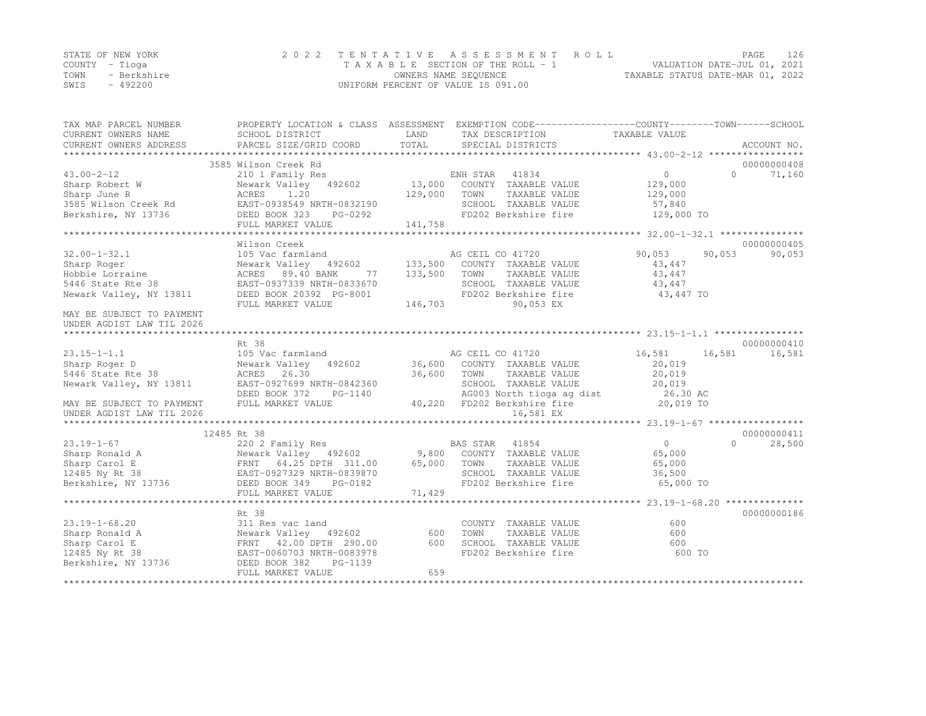|                | STATE OF NEW YORK | 2022 TENTATIVE ASSESSMENT ROLL     |                                  | PAGE | 126 |
|----------------|-------------------|------------------------------------|----------------------------------|------|-----|
| COUNTY – Tioga |                   | TAXABLE SECTION OF THE ROLL - 1    | VALUATION DATE-JUL 01, 2021      |      |     |
| TOWN           | - Berkshire       | OWNERS NAME SEQUENCE               | TAXABLE STATUS DATE-MAR 01, 2022 |      |     |
| SWIS           | $-492200$         | UNIFORM PERCENT OF VALUE IS 091.00 |                                  |      |     |

| TAX MAP PARCEL NUMBER<br>CURRENT OWNERS NAME<br>CURRENT OWNERS ADDRESS | PROPERTY LOCATION & CLASS ASSESSMENT EXEMPTION CODE---------------COUNTY-------TOWN------SCHOOL<br>SCHOOL DISTRICT<br>PARCEL SIZE/GRID COORD | LAND<br>TOTAL | TAX DESCRIPTION<br>SPECIAL DISTRICTS | TAXABLE VALUE    | ACCOUNT NO.        |
|------------------------------------------------------------------------|----------------------------------------------------------------------------------------------------------------------------------------------|---------------|--------------------------------------|------------------|--------------------|
|                                                                        |                                                                                                                                              |               |                                      |                  |                    |
|                                                                        | 3585 Wilson Creek Rd                                                                                                                         |               |                                      |                  | 00000000408        |
| $43.00 - 2 - 12$                                                       | 210 1 Family Res                                                                                                                             |               | ENH STAR<br>41834                    | $\overline{0}$   | 71,160<br>$\Omega$ |
| Sharp Robert W                                                         | Newark Valley 492602                                                                                                                         | 13,000        | COUNTY TAXABLE VALUE                 | 129,000          |                    |
| Sharp June R                                                           | ACRES<br>1.20                                                                                                                                | 129,000       | TOWN<br>TAXABLE VALUE                | 129,000          |                    |
| 3585 Wilson Creek Rd                                                   | EAST-0938549 NRTH-0832190                                                                                                                    |               | SCHOOL TAXABLE VALUE                 | 57,840           |                    |
| Berkshire, NY 13736                                                    | DEED BOOK 323<br>PG-0292                                                                                                                     |               | FD202 Berkshire fire                 | 129,000 TO       |                    |
|                                                                        | FULL MARKET VALUE                                                                                                                            | 141,758       |                                      |                  |                    |
|                                                                        |                                                                                                                                              |               |                                      |                  |                    |
|                                                                        | Wilson Creek                                                                                                                                 |               |                                      |                  | 00000000405        |
| $32.00 - 1 - 32.1$                                                     | 105 Vac farmland                                                                                                                             |               | AG CEIL CO 41720                     | 90,053<br>90,053 | 90,053             |
| Sharp Roger                                                            | Newark Valley 492602                                                                                                                         | 133,500       | COUNTY TAXABLE VALUE                 | 43,447           |                    |
| Hobbie Lorraine                                                        | ACRES 89.40 BANK<br>77                                                                                                                       | 133,500       | TAXABLE VALUE<br>TOWN                | 43,447           |                    |
| 5446 State Rte 38                                                      | EAST-0937339 NRTH-0833670                                                                                                                    |               | SCHOOL TAXABLE VALUE                 | 43,447           |                    |
| Newark Valley, NY 13811                                                | DEED BOOK 20392 PG-8001                                                                                                                      |               | FD202 Berkshire fire                 | 43,447 TO        |                    |
|                                                                        | FULL MARKET VALUE                                                                                                                            | 146,703       | 90,053 EX                            |                  |                    |
| MAY BE SUBJECT TO PAYMENT                                              |                                                                                                                                              |               |                                      |                  |                    |
| UNDER AGDIST LAW TIL 2026                                              |                                                                                                                                              |               |                                      |                  |                    |
|                                                                        |                                                                                                                                              |               |                                      |                  |                    |
|                                                                        | Rt 38                                                                                                                                        |               |                                      |                  | 00000000410        |
| $23.15 - 1 - 1.1$                                                      | 105 Vac farmland                                                                                                                             |               | AG CEIL CO 41720                     | 16,581<br>16,581 | 16,581             |
| Sharp Roger D                                                          | Newark Valley<br>492602                                                                                                                      | 36,600        | COUNTY TAXABLE VALUE                 | 20,019           |                    |
| 5446 State Rte 38                                                      | ACRES 26.30                                                                                                                                  | 36,600        | TOWN<br>TAXABLE VALUE                | 20,019           |                    |
| Newark Valley, NY 13811                                                | EAST-0927699 NRTH-0842360                                                                                                                    |               | SCHOOL TAXABLE VALUE                 | 20,019           |                    |
|                                                                        | DEED BOOK 372<br>PG-1140                                                                                                                     |               | AG003 North tioga ag dist            | 26.30 AC         |                    |
| MAY BE SUBJECT TO PAYMENT                                              | FULL MARKET VALUE                                                                                                                            |               | 40,220 FD202 Berkshire fire          | 20,019 TO        |                    |
| UNDER AGDIST LAW TIL 2026                                              |                                                                                                                                              |               | 16,581 EX                            |                  |                    |
|                                                                        |                                                                                                                                              |               |                                      |                  |                    |
|                                                                        | 12485 Rt 38                                                                                                                                  |               |                                      |                  | 00000000411        |
| $23.19 - 1 - 67$                                                       |                                                                                                                                              |               | BAS STAR<br>41854                    | $\overline{0}$   | $\Omega$<br>28,500 |
| Sharp Ronald A                                                         | 220 2 Family Res<br>Newark Valley   492602                                                                                                   |               | 9,800 COUNTY TAXABLE VALUE           | 65,000           |                    |
| Sharp Carol E                                                          | FRNT 64.25 DPTH 311.00                                                                                                                       | 65,000        | TAXABLE VALUE<br>TOWN                | 65,000           |                    |
| 12485 Ny Rt 38                                                         | EAST-0927329 NRTH-0839870                                                                                                                    |               | SCHOOL TAXABLE VALUE                 | 36,500           |                    |
| Berkshire, NY 13736                                                    | DEED BOOK 349<br>PG-0182                                                                                                                     |               | FD202 Berkshire fire                 | 65,000 TO        |                    |
|                                                                        | FULL MARKET VALUE                                                                                                                            | 71,429        |                                      |                  |                    |
|                                                                        |                                                                                                                                              |               |                                      |                  |                    |
|                                                                        | Rt 38                                                                                                                                        |               |                                      |                  | 00000000186        |
| $23.19 - 1 - 68.20$                                                    | 311 Res vac land                                                                                                                             |               | COUNTY TAXABLE VALUE                 | 600              |                    |
| Sharp Ronald A                                                         | Newark Valley 492602                                                                                                                         | 600           | TOWN<br>TAXABLE VALUE                | 600              |                    |
| Sharp Carol E                                                          | FRNT 42.00 DPTH 290.00                                                                                                                       | 600           | SCHOOL TAXABLE VALUE                 | 600              |                    |
| 12485 Ny Rt 38                                                         | EAST-0060703 NRTH-0083978                                                                                                                    |               | FD202 Berkshire fire                 | 600 TO           |                    |
| Berkshire, NY 13736                                                    |                                                                                                                                              |               |                                      |                  |                    |
|                                                                        |                                                                                                                                              |               |                                      |                  |                    |
|                                                                        | PG-1139<br>DEED BOOK 382<br>FULL MARKET VALUE                                                                                                | 659           |                                      |                  |                    |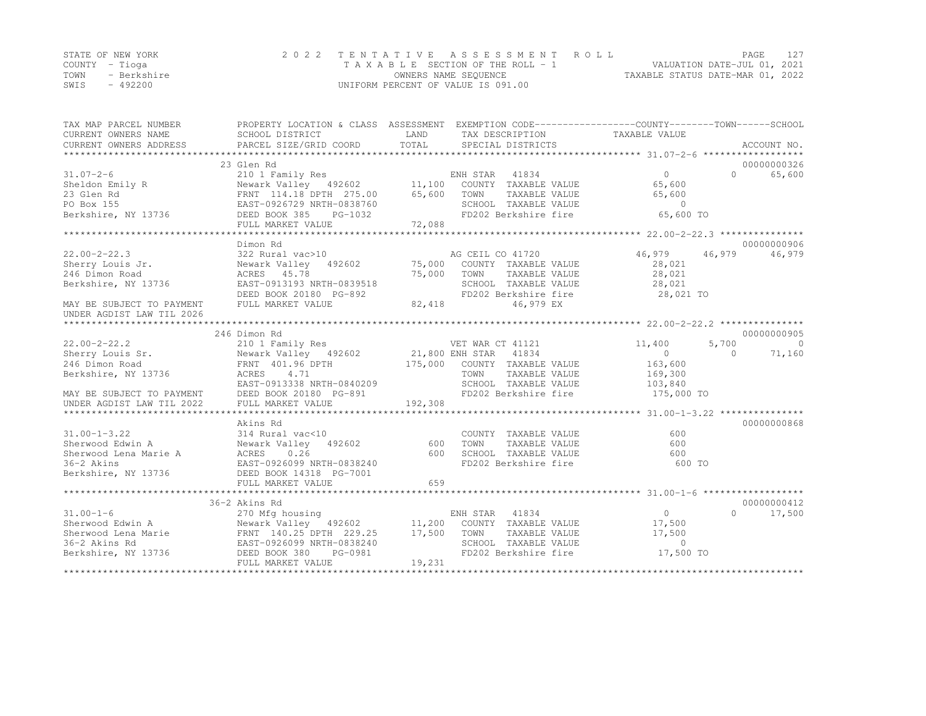|      | STATE OF NEW YORK | 2022 TENTATIVE ASSESSMENT ROLL     | PAGE                             |  |
|------|-------------------|------------------------------------|----------------------------------|--|
|      | COUNTY – Tioga    | TAXABLE SECTION OF THE ROLL - 1    | VALUATION DATE-JUL 01, 2021      |  |
| TOWN | - Berkshire       | OWNERS NAME SEQUENCE               | TAXABLE STATUS DATE-MAR 01, 2022 |  |
| SWIS | $-492200$         | UNIFORM PERCENT OF VALUE IS 091.00 |                                  |  |

| TAX MAP PARCEL NUMBER<br>CURRENT OWNERS NAME<br>CURRENT OWNERS ADDRESS | SCHOOL DISTRICT<br>PARCEL SIZE/GRID COORD                                                                                                                                                                                                                                      | LAND<br>TOTAL | TAX DESCRIPTION TAXABLE VALUE<br>SPECIAL DISTRICTS | PROPERTY LOCATION & CLASS ASSESSMENT EXEMPTION CODE----------------COUNTY-------TOWN------SCHOOL | ACCOUNT NO. |
|------------------------------------------------------------------------|--------------------------------------------------------------------------------------------------------------------------------------------------------------------------------------------------------------------------------------------------------------------------------|---------------|----------------------------------------------------|--------------------------------------------------------------------------------------------------|-------------|
|                                                                        |                                                                                                                                                                                                                                                                                |               |                                                    |                                                                                                  |             |
|                                                                        | 23 Glen Rd                                                                                                                                                                                                                                                                     |               |                                                    |                                                                                                  | 00000000326 |
| $31.07 - 2 - 6$                                                        | 210 1 Family Res                                                                                                                                                                                                                                                               |               | ENH STAR 41834                                     | $\Omega$<br>$\Omega$                                                                             | 65,600      |
|                                                                        |                                                                                                                                                                                                                                                                                |               |                                                    | 65,600                                                                                           |             |
|                                                                        |                                                                                                                                                                                                                                                                                |               |                                                    | 65,600                                                                                           |             |
|                                                                        |                                                                                                                                                                                                                                                                                |               |                                                    | $\sim$ 0                                                                                         |             |
|                                                                        | Sheldon Emily R<br>23 Glen Rd<br>23 Glen Rd<br>23 Glen Rd<br>23 Glen Rd<br>23 Glen Rd<br>23 Glen Rd<br>23 Glen Rd<br>23 Glen Rd<br>2492602<br>25.00<br>25.00<br>25.00<br>25.00<br>25.00<br>25.00<br>25.00<br>25.00<br>25.00<br>25.00<br>25.00<br>25.00<br>25.00<br>25.00<br>25 |               | FD202 Berkshire fire                               | 65,600 TO                                                                                        |             |
|                                                                        | FULL MARKET VALUE                                                                                                                                                                                                                                                              | 72,088        |                                                    |                                                                                                  |             |
|                                                                        |                                                                                                                                                                                                                                                                                |               |                                                    |                                                                                                  |             |
|                                                                        | Dimon Rd                                                                                                                                                                                                                                                                       |               |                                                    |                                                                                                  | 00000000906 |
| $22.00 - 2 - 22.3$                                                     | 322 Rural vac>10                                                                                                                                                                                                                                                               |               | AG CEIL CO 41720                                   | 46,979<br>46,979                                                                                 | 46,979      |
| Sherry Louis Jr.                                                       | Newark Valley 492602                                                                                                                                                                                                                                                           |               | 75,000 COUNTY TAXABLE VALUE                        | 28,021                                                                                           |             |
| 246 Dimon Road                                                         | ACRES 45.78                                                                                                                                                                                                                                                                    | 75,000        | TAXABLE VALUE<br>TOWN                              | 28,021                                                                                           |             |
| Berkshire, NY 13736                                                    | EAST-0913193 NRTH-0839518                                                                                                                                                                                                                                                      |               | SCHOOL TAXABLE VALUE                               | 28,021                                                                                           |             |
|                                                                        | DEED BOOK 20180 PG-892                                                                                                                                                                                                                                                         |               | FD202 Berkshire fire                               | 28,021 TO                                                                                        |             |
| MAY BE SUBJECT TO PAYMENT                                              | FULL MARKET VALUE                                                                                                                                                                                                                                                              | 82,418        | 46,979 EX                                          |                                                                                                  |             |
| UNDER AGDIST LAW TIL 2026                                              |                                                                                                                                                                                                                                                                                |               |                                                    |                                                                                                  |             |
|                                                                        |                                                                                                                                                                                                                                                                                |               |                                                    |                                                                                                  | 00000000905 |
| $22.00 - 2 - 22.2$                                                     | 246 Dimon Rd                                                                                                                                                                                                                                                                   |               |                                                    | 11,400<br>5,700                                                                                  | $\bigcirc$  |
|                                                                        |                                                                                                                                                                                                                                                                                |               |                                                    | $\circ$<br>$\bigcap$                                                                             | 71,160      |
| Sherry Louis Sr.<br>246 Dimon Road<br>246 Dimon Road                   |                                                                                                                                                                                                                                                                                |               |                                                    | 163,600                                                                                          |             |
| Berkshire, NY 13736                                                    | ACRES 4.71                                                                                                                                                                                                                                                                     |               | TOWN<br>TAXABLE VALUE                              |                                                                                                  |             |
|                                                                        |                                                                                                                                                                                                                                                                                |               | SCHOOL TAXABLE VALUE                               | 169,300<br>103,840                                                                               |             |
|                                                                        | $\frac{1}{2}$ EAST-0913338 NRTH-0840209                                                                                                                                                                                                                                        |               |                                                    |                                                                                                  |             |
|                                                                        |                                                                                                                                                                                                                                                                                |               |                                                    |                                                                                                  |             |
|                                                                        |                                                                                                                                                                                                                                                                                |               |                                                    |                                                                                                  |             |
|                                                                        | Akins Rd                                                                                                                                                                                                                                                                       |               |                                                    |                                                                                                  | 00000000868 |
| $31.00 - 1 - 3.22$                                                     | 314 Rural vac<10                                                                                                                                                                                                                                                               |               | COUNTY TAXABLE VALUE                               | 600                                                                                              |             |
| Sherwood Edwin A                                                       | 314 Rural vac<10<br>Newark Valley   492602                                                                                                                                                                                                                                     | 600           | TOWN<br>TAXABLE VALUE                              | 600                                                                                              |             |
|                                                                        | Sherwood Edwin A<br>Sherwood Lena Marie A<br>2020 NRTH-0838240<br>2020 NRTH-0838240<br>2021                                                                                                                                                                                    | 600           | SCHOOL TAXABLE VALUE                               | 600                                                                                              |             |
|                                                                        |                                                                                                                                                                                                                                                                                |               | FD202 Berkshire fire                               | 600 TO                                                                                           |             |
| Berkshire, NY 13736 DEED BOOK 14318 PG-7001                            |                                                                                                                                                                                                                                                                                |               |                                                    |                                                                                                  |             |
|                                                                        | FULL MARKET VALUE                                                                                                                                                                                                                                                              | 659           |                                                    |                                                                                                  |             |
|                                                                        |                                                                                                                                                                                                                                                                                |               |                                                    |                                                                                                  |             |
|                                                                        | 36-2 Akins Rd                                                                                                                                                                                                                                                                  |               |                                                    |                                                                                                  | 00000000412 |
| $31.00 - 1 - 6$                                                        | 270 Mfg housing                                                                                                                                                                                                                                                                |               | ENH STAR 41834                                     | $0 \qquad \qquad$<br>$\Omega$                                                                    | 17,500      |
| Sherwood Edwin A                                                       | Newark Valley 492602 11,200 COUNTY TAXABLE VALUE                                                                                                                                                                                                                               |               |                                                    | 17,500                                                                                           |             |
|                                                                        |                                                                                                                                                                                                                                                                                |               | TOWN<br>TAXABLE VALUE                              | 17,500                                                                                           |             |
|                                                                        |                                                                                                                                                                                                                                                                                |               |                                                    | $\Omega$                                                                                         |             |
|                                                                        | Sherwood Lena Marie<br>36-2 Akins Rd<br>36-2 Akins Rd<br>Berkshire, NY 13736<br>Berkshire, NY 13736<br>Berkshire, NY 13736<br>Berkshire, NY 13736<br>Berkshire, NY 13736<br>Berkshire, NY 13736<br>Berkshire, NY 13736<br>Berkshire, NY 13736                                  |               | SCHOOL TAXABLE VALUE<br>FD202 Berkshire fire       | 17,500 TO                                                                                        |             |
|                                                                        | FULL MARKET VALUE                                                                                                                                                                                                                                                              | 19,231        |                                                    |                                                                                                  |             |
|                                                                        |                                                                                                                                                                                                                                                                                |               |                                                    |                                                                                                  |             |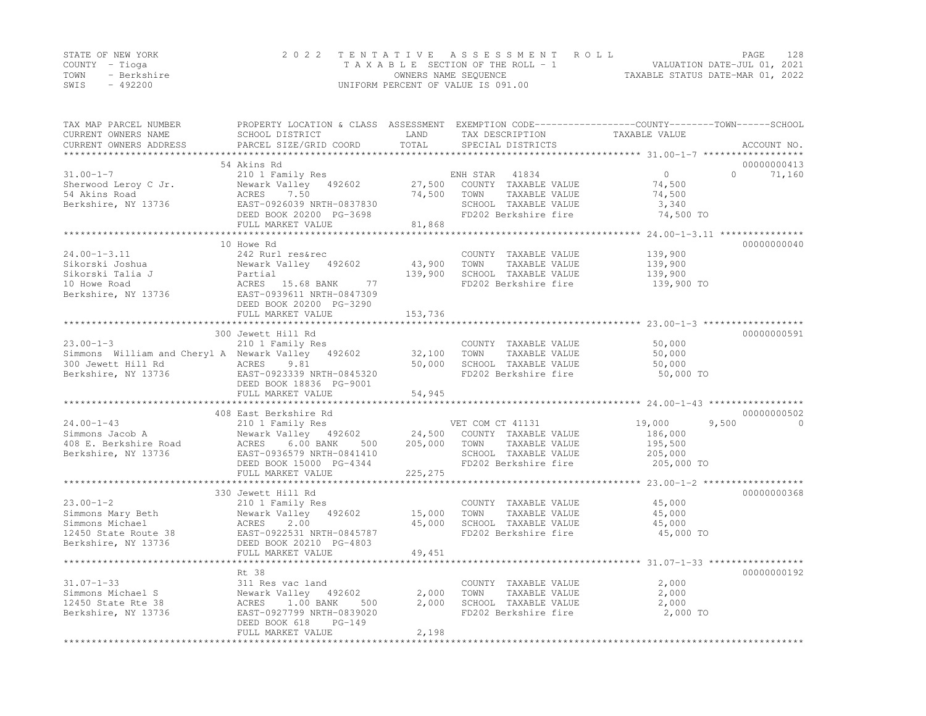|      | STATE OF NEW YORK | 2022 TENTATIVE ASSESSMENT ROLL     |                                  | PAGE | 128 |
|------|-------------------|------------------------------------|----------------------------------|------|-----|
|      | COUNTY – Tioga    | TAXABLE SECTION OF THE ROLL - 1    | VALUATION DATE-JUL 01, 2021      |      |     |
| TOWN | - Berkshire       | OWNERS NAME SEQUENCE               | TAXABLE STATUS DATE-MAR 01, 2022 |      |     |
| SWIS | - 492200          | UNIFORM PERCENT OF VALUE IS 091.00 |                                  |      |     |

| TAX MAP PARCEL NUMBER<br>CURRENT OWNERS NAME<br>CURRENT OWNERS ADDRESS | SCHOOL DISTRICT<br>PARCEL SIZE/GRID COORD            | LAND<br>TOTAL | TAX DESCRIPTION<br>SPECIAL DISTRICTS          | PROPERTY LOCATION & CLASS ASSESSMENT EXEMPTION CODE----------------COUNTY-------TOWN-----SCHOOL<br>TAXABLE VALUE | ACCOUNT NO. |
|------------------------------------------------------------------------|------------------------------------------------------|---------------|-----------------------------------------------|------------------------------------------------------------------------------------------------------------------|-------------|
|                                                                        |                                                      |               |                                               |                                                                                                                  |             |
| $31.00 - 1 - 7$                                                        | 54 Akins Rd                                          |               |                                               | $\circ$<br>$\Omega$                                                                                              | 00000000413 |
|                                                                        | 210 1 Family Res                                     | 27,500        | ENH STAR<br>41834                             | 74,500                                                                                                           | 71,160      |
| Sherwood Leroy C Jr.<br>54 Akins Road                                  | Newark Valley 492602<br>ACRES<br>7.50                | 74,500        | COUNTY TAXABLE VALUE<br>TOWN<br>TAXABLE VALUE | 74,500                                                                                                           |             |
| Berkshire, NY 13736                                                    | EAST-0926039 NRTH-0837830                            |               | SCHOOL TAXABLE VALUE                          | 3,340                                                                                                            |             |
|                                                                        | DEED BOOK 20200 PG-3698                              |               | FD202 Berkshire fire                          | 74,500 TO                                                                                                        |             |
|                                                                        | FULL MARKET VALUE                                    | 81,868        |                                               |                                                                                                                  |             |
|                                                                        |                                                      |               |                                               |                                                                                                                  |             |
|                                                                        | 10 Howe Rd                                           |               |                                               |                                                                                                                  | 00000000040 |
| $24.00 - 1 - 3.11$                                                     | 242 Rurl res&rec                                     |               | COUNTY TAXABLE VALUE                          | 139,900                                                                                                          |             |
| Sikorski Joshua                                                        | Newark Valley 492602                                 | 43,900        | TOWN<br>TAXABLE VALUE                         | 139,900                                                                                                          |             |
| Sikorski Talia J                                                       | Partial                                              | 139,900       | SCHOOL TAXABLE VALUE                          | 139,900                                                                                                          |             |
| 10 Howe Road                                                           | ACRES 15.68 BANK<br>77                               |               | FD202 Berkshire fire                          | 139,900 TO                                                                                                       |             |
| Berkshire, NY 13736                                                    | EAST-0939611 NRTH-0847309                            |               |                                               |                                                                                                                  |             |
|                                                                        | DEED BOOK 20200 PG-3290                              |               |                                               |                                                                                                                  |             |
|                                                                        | FULL MARKET VALUE                                    | 153,736       |                                               |                                                                                                                  |             |
|                                                                        |                                                      |               |                                               |                                                                                                                  |             |
|                                                                        | 300 Jewett Hill Rd                                   |               |                                               |                                                                                                                  | 00000000591 |
| $23.00 - 1 - 3$                                                        | 210 1 Family Res                                     |               | COUNTY TAXABLE VALUE                          | 50,000                                                                                                           |             |
| Simmons William and Cheryl A Newark Valley 492602                      |                                                      | 32,100        | TOWN<br>TAXABLE VALUE                         | 50,000                                                                                                           |             |
| 300 Jewett Hill Rd                                                     | ACRES<br>9.81                                        | 50,000        | SCHOOL TAXABLE VALUE                          | 50,000                                                                                                           |             |
| Berkshire, NY 13736                                                    | EAST-0923339 NRTH-0845320                            |               | FD202 Berkshire fire                          | 50,000 TO                                                                                                        |             |
|                                                                        | DEED BOOK 18836 PG-9001                              |               |                                               |                                                                                                                  |             |
|                                                                        | FULL MARKET VALUE                                    | 54,945        |                                               |                                                                                                                  |             |
|                                                                        |                                                      |               |                                               |                                                                                                                  |             |
|                                                                        | 408 East Berkshire Rd                                |               |                                               |                                                                                                                  | 00000000502 |
| $24.00 - 1 - 43$                                                       | 210 1 Family Res                                     |               | VET COM CT 41131                              | 19,000<br>9,500                                                                                                  | $\Omega$    |
| Simmons Jacob A                                                        | Newark Valley 492602                                 | 24,500        | COUNTY TAXABLE VALUE                          | 186,000                                                                                                          |             |
| 408 E. Berkshire Road                                                  | 6.00 BANK<br>ACRES<br>500                            | 205,000       | TOWN<br>TAXABLE VALUE                         | 195,500                                                                                                          |             |
| Berkshire, NY 13736                                                    | EAST-0936579 NRTH-0841410                            |               | SCHOOL TAXABLE VALUE                          | 205,000                                                                                                          |             |
|                                                                        | DEED BOOK 15000 PG-4344                              |               | FD202 Berkshire fire                          | 205,000 TO                                                                                                       |             |
|                                                                        | FULL MARKET VALUE                                    | 225,275       |                                               |                                                                                                                  |             |
|                                                                        |                                                      |               |                                               |                                                                                                                  |             |
|                                                                        | 330 Jewett Hill Rd                                   |               |                                               |                                                                                                                  | 00000000368 |
| $23.00 - 1 - 2$                                                        | 210 1 Family Res                                     |               | COUNTY TAXABLE VALUE                          | 45,000                                                                                                           |             |
| Simmons Mary Beth                                                      | Newark Valley 492602                                 | 15,000        | TOWN<br>TAXABLE VALUE                         | 45,000                                                                                                           |             |
| Simmons Michael                                                        | ACRES<br>2.00                                        | 45,000        | SCHOOL TAXABLE VALUE                          | 45,000                                                                                                           |             |
| 12450 State Route 38<br>Berkshire, NY 13736                            | EAST-0922531 NRTH-0845787<br>DEED BOOK 20210 PG-4803 |               | FD202 Berkshire fire                          | 45,000 TO                                                                                                        |             |
|                                                                        | FULL MARKET VALUE                                    | 49,451        |                                               |                                                                                                                  |             |
|                                                                        |                                                      |               |                                               |                                                                                                                  |             |
|                                                                        | Rt 38                                                |               |                                               |                                                                                                                  | 00000000192 |
| $31.07 - 1 - 33$                                                       | 311 Res vac land                                     |               | COUNTY TAXABLE VALUE                          | 2,000                                                                                                            |             |
| Simmons Michael S                                                      | Newark Valley 492602                                 | 2,000         | TOWN<br>TAXABLE VALUE                         | 2,000                                                                                                            |             |
| 12450 State Rte 38                                                     | ACRES<br>1.00 BANK<br>500                            | 2,000         | SCHOOL TAXABLE VALUE                          | 2,000                                                                                                            |             |
| Berkshire, NY 13736                                                    | EAST-0927799 NRTH-0839020                            |               | FD202 Berkshire fire                          | 2,000 TO                                                                                                         |             |
|                                                                        | DEED BOOK 618<br>$PG-149$                            |               |                                               |                                                                                                                  |             |
|                                                                        | FULL MARKET VALUE                                    | 2,198         |                                               |                                                                                                                  |             |
|                                                                        |                                                      |               |                                               |                                                                                                                  |             |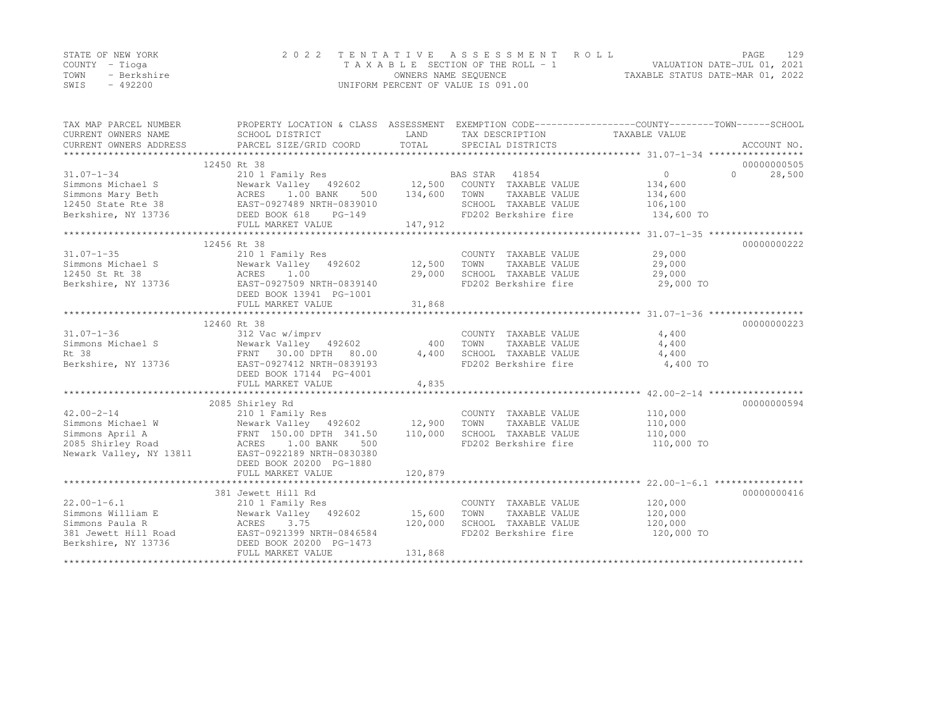|      | STATE OF NEW YORK | 2022 TENTATIVE ASSESSMENT ROLL     |                                  | PAGE | 129 |
|------|-------------------|------------------------------------|----------------------------------|------|-----|
|      | COUNTY – Tioga    | TAXABLE SECTION OF THE ROLL - 1    | VALUATION DATE-JUL 01, 2021      |      |     |
| TOWN | - Berkshire       | OWNERS NAME SEQUENCE               | TAXABLE STATUS DATE-MAR 01, 2022 |      |     |
| SWIS | - 492200          | UNIFORM PERCENT OF VALUE IS 091.00 |                                  |      |     |

| TAX MAP PARCEL NUMBER  | PROPERTY LOCATION & CLASS ASSESSMENT EXEMPTION CODE----------------COUNTY-------TOWN-----SCHOOL                                                                                                                                                 |         |                                                                                                                                                                   |                       |                    |
|------------------------|-------------------------------------------------------------------------------------------------------------------------------------------------------------------------------------------------------------------------------------------------|---------|-------------------------------------------------------------------------------------------------------------------------------------------------------------------|-----------------------|--------------------|
| CURRENT OWNERS NAME    | SCHOOL DISTRICT                                                                                                                                                                                                                                 | LAND    | TAX DESCRIPTION                                                                                                                                                   | TAXABLE VALUE         |                    |
| CURRENT OWNERS ADDRESS |                                                                                                                                                                                                                                                 |         |                                                                                                                                                                   |                       |                    |
|                        |                                                                                                                                                                                                                                                 |         |                                                                                                                                                                   |                       |                    |
|                        | 12450 Rt 38                                                                                                                                                                                                                                     |         |                                                                                                                                                                   |                       | 00000000505        |
| $31.07 - 1 - 34$       | 210 1 Family Res                                                                                                                                                                                                                                |         | BAS STAR 41854                                                                                                                                                    | 0                     | 28,500<br>$\Omega$ |
|                        |                                                                                                                                                                                                                                                 |         |                                                                                                                                                                   | 134,600               |                    |
|                        |                                                                                                                                                                                                                                                 |         |                                                                                                                                                                   | 134,600               |                    |
|                        |                                                                                                                                                                                                                                                 |         | SCHOOL TAXABLE VALUE 106,100                                                                                                                                      |                       |                    |
|                        | Simmons Michael S<br>Simmons Mary Beth<br>Simmons Mary Beth<br>12450 State Rte 38<br>12450 State Rte 38<br>12450 School TAXABLE VALUE<br>12450 School TAXABLE VALUE<br>12450 School TAXABLE VALUE<br>12450 School TAXABLE VALUE<br>12450 School |         | FD202 Berkshire fire 134,600 TO                                                                                                                                   |                       |                    |
|                        | FULL MARKET VALUE                                                                                                                                                                                                                               | 147,912 |                                                                                                                                                                   |                       |                    |
|                        |                                                                                                                                                                                                                                                 |         |                                                                                                                                                                   |                       |                    |
|                        | 12456 Rt 38                                                                                                                                                                                                                                     |         |                                                                                                                                                                   |                       | 00000000222        |
| $31.07 - 1 - 35$       | 210 1 Family Res                                                                                                                                                                                                                                |         | COUNTY TAXABLE VALUE 29,000                                                                                                                                       |                       |                    |
|                        | Simmons Michael S Mewark Valley 492602 12,500                                                                                                                                                                                                   |         | TOWN<br>TAXABLE VALUE                                                                                                                                             | 29,000                |                    |
| 12450 St Rt 38         | ACRES 1.00<br>3736 EAST-0927509 NRTH-0839140<br>DEED BOOK 13941 PG-1001                                                                                                                                                                         | 29,000  | SCHOOL TAXABLE VALUE                                                                                                                                              | 29,000                |                    |
| Berkshire, NY 13736    |                                                                                                                                                                                                                                                 |         | FD202 Berkshire fire                                                                                                                                              | 29,000 TO             |                    |
|                        | DEED BOOK 13941 PG-1001                                                                                                                                                                                                                         |         |                                                                                                                                                                   |                       |                    |
|                        |                                                                                                                                                                                                                                                 |         |                                                                                                                                                                   |                       |                    |
|                        |                                                                                                                                                                                                                                                 |         |                                                                                                                                                                   |                       |                    |
|                        | 12460 Rt 38                                                                                                                                                                                                                                     |         |                                                                                                                                                                   |                       | 00000000223        |
| $31.07 - 1 - 36$       | 312 Vac w/imprv                                                                                                                                                                                                                                 |         | COUNTY TAXABLE VALUE                                                                                                                                              | 4,400                 |                    |
|                        |                                                                                                                                                                                                                                                 | 400     | TOWN<br>$\begin{tabular}{lllllllll} \textsc{TONN} & \textsc{TAXABLE VALUE} & & & & 4,400 \\ \textsc{SCHOOL} & \textsc{TAXABLE VALUE} & & & & 4,400 \end{tabular}$ |                       |                    |
|                        |                                                                                                                                                                                                                                                 | 4,400   |                                                                                                                                                                   |                       |                    |
|                        |                                                                                                                                                                                                                                                 |         | FD202 Berkshire fire 4,400 TO                                                                                                                                     |                       |                    |
|                        | DEED BOOK 17144 PG-4001                                                                                                                                                                                                                         |         |                                                                                                                                                                   |                       |                    |
|                        | FULL MARKET VALUE                                                                                                                                                                                                                               | 4,835   |                                                                                                                                                                   |                       |                    |
|                        |                                                                                                                                                                                                                                                 |         |                                                                                                                                                                   |                       | 00000000594        |
| $42.00 - 2 - 14$       | 2085 Shirley Rd<br>210 1 Family Res                                                                                                                                                                                                             |         |                                                                                                                                                                   |                       |                    |
|                        |                                                                                                                                                                                                                                                 |         | COUNTY TAXABLE VALUE                                                                                                                                              | 110,000               |                    |
|                        |                                                                                                                                                                                                                                                 |         | TOWN<br>TAXABLE VALUE<br>SCHOOL TAXABLE VALUE                                                                                                                     | 110,000               |                    |
|                        |                                                                                                                                                                                                                                                 |         | FD202 Berkshire fire                                                                                                                                              | 110,000<br>110,000 TO |                    |
|                        | Newark Valley, NY 13811 EAST-0922189 NRTH-0830380                                                                                                                                                                                               |         |                                                                                                                                                                   |                       |                    |
|                        | DEED BOOK 20200 PG-1880                                                                                                                                                                                                                         |         |                                                                                                                                                                   |                       |                    |
|                        | FULL MARKET VALUE                                                                                                                                                                                                                               | 120,879 |                                                                                                                                                                   |                       |                    |
|                        |                                                                                                                                                                                                                                                 |         |                                                                                                                                                                   |                       |                    |
|                        | 381 Jewett Hill Rd                                                                                                                                                                                                                              |         |                                                                                                                                                                   |                       | 00000000416        |
| $22.00 - 1 - 6.1$      |                                                                                                                                                                                                                                                 |         |                                                                                                                                                                   | 120,000               |                    |
|                        | 210 1 Family Res<br>Simmons William E Newark Valley 492602 15,600                                                                                                                                                                               |         | COUNTY TAXABLE VALUE<br>TOWN<br>TAXABLE VALUE                                                                                                                     | 120,000               |                    |
|                        |                                                                                                                                                                                                                                                 | 120,000 | SCHOOL TAXABLE VALUE                                                                                                                                              | 120,000               |                    |
|                        |                                                                                                                                                                                                                                                 |         | FD202 Berkshire fire                                                                                                                                              | 120,000 TO            |                    |
|                        | Simmons Paula R<br>381 Jewett Hill Road<br>Berkshire, NY 13736<br>DEED BOOK 20200 PG-1473                                                                                                                                                       |         |                                                                                                                                                                   |                       |                    |
|                        | FULL MARKET VALUE                                                                                                                                                                                                                               | 131,868 |                                                                                                                                                                   |                       |                    |
|                        |                                                                                                                                                                                                                                                 |         |                                                                                                                                                                   |                       |                    |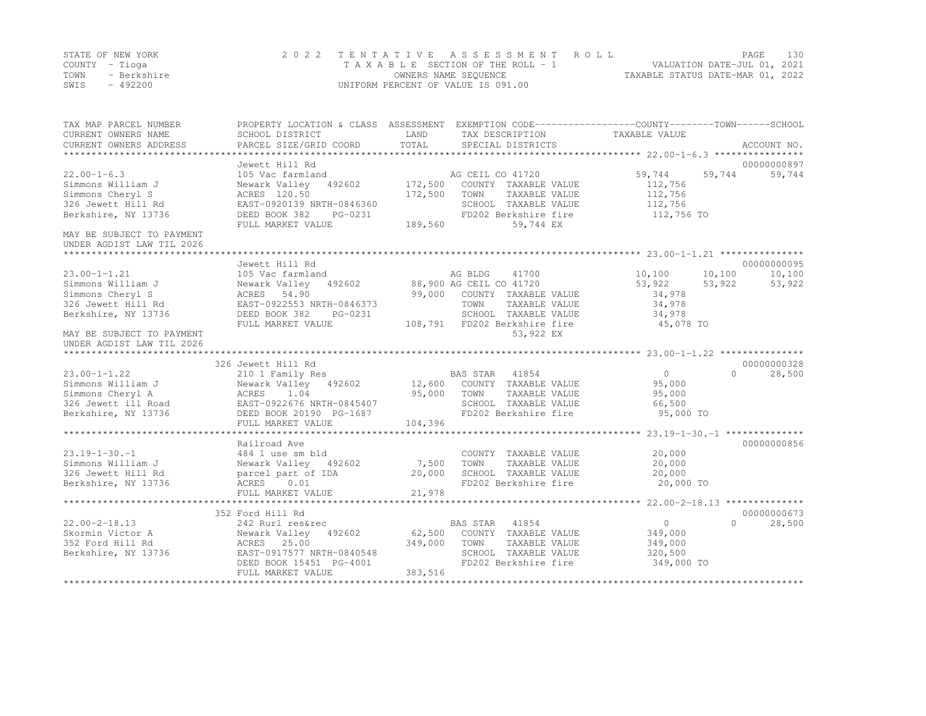|      | STATE OF NEW YORK | 2022 TENTATIVE ASSESSMENT ROLL     |                                  | PAGE.                       | 130 |
|------|-------------------|------------------------------------|----------------------------------|-----------------------------|-----|
|      | COUNTY – Tioga    | TAXABLE SECTION OF THE ROLL - 1    |                                  | VALUATION DATE-JUL 01, 2021 |     |
| TOWN | - Berkshire       | OWNERS NAME SEQUENCE               | TAXABLE STATUS DATE-MAR 01, 2022 |                             |     |
| SWIS | - 492200          | UNIFORM PERCENT OF VALUE IS 091.00 |                                  |                             |     |

| TAX MAP PARCEL NUMBER<br>CURRENT OWNERS NAME<br>CURRENT OWNERS ADDRESS | PROPERTY LOCATION & CLASS ASSESSMENT EXEMPTION CODE----------------COUNTY-------TOWN-----SCHOOL<br>SCHOOL DISTRICT<br>PARCEL SIZE/GRID COORD | LAND<br>TOTAL | TAX DESCRIPTION<br>SPECIAL DISTRICTS | TAXABLE VALUE    | ACCOUNT NO.        |
|------------------------------------------------------------------------|----------------------------------------------------------------------------------------------------------------------------------------------|---------------|--------------------------------------|------------------|--------------------|
|                                                                        |                                                                                                                                              |               |                                      |                  |                    |
|                                                                        | Jewett Hill Rd                                                                                                                               |               |                                      |                  | 00000000897        |
| $22.00 - 1 - 6.3$                                                      | 105 Vac farmland                                                                                                                             |               | AG CEIL CO 41720                     | 59,744<br>59,744 | 59,744             |
| Simmons William J                                                      | Newark Valley<br>492602                                                                                                                      | 172,500       | COUNTY TAXABLE VALUE                 | 112,756          |                    |
| Simmons Cheryl S                                                       | ACRES 120.50                                                                                                                                 | 172,500       | TOWN<br>TAXABLE VALUE                | 112,756          |                    |
| 326 Jewett Hill Rd                                                     | EAST-0920139 NRTH-0846360                                                                                                                    |               | SCHOOL TAXABLE VALUE                 | 112,756          |                    |
| Berkshire, NY 13736                                                    | DEED BOOK 382<br>PG-0231<br>FULL MARKET VALUE                                                                                                | 189,560       | FD202 Berkshire fire<br>59,744 EX    | 112,756 TO       |                    |
| MAY BE SUBJECT TO PAYMENT                                              |                                                                                                                                              |               |                                      |                  |                    |
| UNDER AGDIST LAW TIL 2026                                              |                                                                                                                                              |               |                                      |                  |                    |
|                                                                        |                                                                                                                                              |               |                                      |                  |                    |
|                                                                        | Jewett Hill Rd                                                                                                                               |               |                                      |                  | 00000000095        |
| $23.00 - 1 - 1.21$                                                     | 105 Vac farmland                                                                                                                             |               | 41700<br>AG BLDG                     | 10,100<br>10,100 | 10,100             |
| Simmons William J                                                      | Newark Valley<br>492602                                                                                                                      |               | 88,900 AG CEIL CO 41720              | 53,922<br>53,922 | 53,922             |
| Simmons Cheryl S                                                       | ACRES 54.90                                                                                                                                  | 99,000        | COUNTY TAXABLE VALUE                 | 34,978           |                    |
| 326 Jewett Hill Rd                                                     | EAST-0922553 NRTH-0846373                                                                                                                    |               | TOWN<br>TAXABLE VALUE                | 34,978           |                    |
| Berkshire, NY 13736                                                    | DEED BOOK 382<br>PG-0231                                                                                                                     |               | SCHOOL TAXABLE VALUE                 | 34,978           |                    |
|                                                                        | FULL MARKET VALUE                                                                                                                            | 108,791       | FD202 Berkshire fire                 | 45,078 TO        |                    |
| MAY BE SUBJECT TO PAYMENT<br>UNDER AGDIST LAW TIL 2026                 |                                                                                                                                              |               | 53,922 EX                            |                  |                    |
|                                                                        |                                                                                                                                              |               |                                      |                  |                    |
|                                                                        | 326 Jewett Hill Rd                                                                                                                           |               |                                      |                  | 00000000328        |
| $23.00 - 1 - 1.22$                                                     | 210 1 Family Res                                                                                                                             |               | BAS STAR 41854                       | $\Omega$         | $\Omega$<br>28,500 |
| Simmons William J                                                      | Newark Valley 492602                                                                                                                         | 12,600        | COUNTY TAXABLE VALUE                 | 95,000           |                    |
| Simmons Cheryl A                                                       |                                                                                                                                              | 95,000        | TOWN<br>TAXABLE VALUE                | 95,000           |                    |
| 326 Jewett ill Road                                                    |                                                                                                                                              |               | SCHOOL TAXABLE VALUE                 | 66,500           |                    |
| Berkshire, NY 13736                                                    | ACRES 1.04<br>EAST-0922676 NRTH-0845407<br>EAST-09200 PG-1687<br>DEED BOOK 20190 PG-1687                                                     |               | FD202 Berkshire fire                 | 95,000 TO        |                    |
|                                                                        | FULL MARKET VALUE                                                                                                                            | 104,396       |                                      |                  |                    |
|                                                                        |                                                                                                                                              |               |                                      |                  |                    |
|                                                                        | Railroad Ave                                                                                                                                 |               |                                      |                  | 00000000856        |
| $23.19 - 1 - 30. - 1$                                                  | 484 1 use sm bld                                                                                                                             |               | COUNTY TAXABLE VALUE                 | 20,000           |                    |
| Simmons William J                                                      | Newark Valley 492602                                                                                                                         | 7,500         | TOWN<br>TAXABLE VALUE                | 20,000           |                    |
| 326 Jewett Hill Rd                                                     | parcel part of IDA                                                                                                                           | 20,000        | SCHOOL TAXABLE VALUE                 | 20,000           |                    |
| Berkshire, NY 13736                                                    | ACRES<br>0.01                                                                                                                                |               | FD202 Berkshire fire                 | 20,000 TO        |                    |
|                                                                        | FULL MARKET VALUE                                                                                                                            | 21,978        |                                      |                  |                    |
|                                                                        |                                                                                                                                              |               |                                      |                  |                    |
|                                                                        | 352 Ford Hill Rd                                                                                                                             |               |                                      |                  | 00000000673        |
| $22.00 - 2 - 18.13$                                                    | 242 Rurl res&rec                                                                                                                             |               | BAS STAR 41854                       | $\overline{0}$   | $\Omega$<br>28,500 |
| Skormin Victor A                                                       | 492602<br>Newark Valley                                                                                                                      | 62,500        | COUNTY TAXABLE VALUE                 | 349,000          |                    |
| 352 Ford Hill Rd                                                       | ACRES 25.00                                                                                                                                  | 349,000       | TOWN<br>TAXABLE VALUE                | 349,000          |                    |
| Berkshire, NY 13736                                                    | EAST-0917577 NRTH-0840548                                                                                                                    |               | SCHOOL TAXABLE VALUE                 | 320,500          |                    |
|                                                                        | DEED BOOK 15451 PG-4001                                                                                                                      |               | FD202 Berkshire fire                 | 349,000 TO       |                    |
|                                                                        | FULL MARKET VALUE                                                                                                                            | 383,516       |                                      |                  |                    |
|                                                                        |                                                                                                                                              |               |                                      |                  |                    |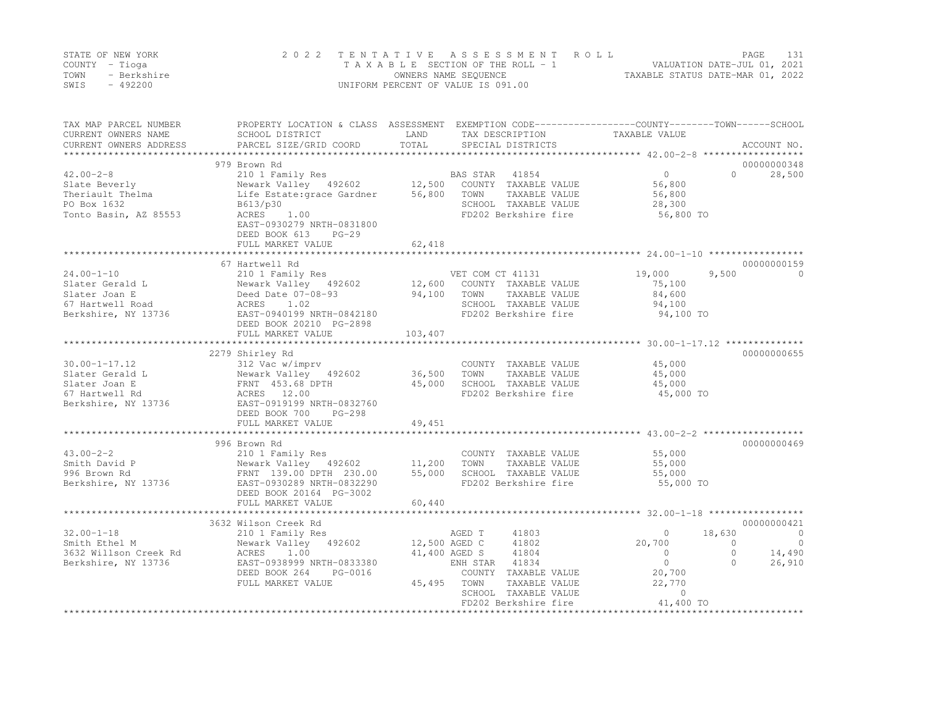|      | STATE OF NEW YORK | 2022 TENTATIVE ASSESSMENT ROLL     | 131<br>PAGE                      |
|------|-------------------|------------------------------------|----------------------------------|
|      | COUNTY – Tioga    | TAXABLE SECTION OF THE ROLL - 1    | VALUATION DATE-JUL 01, 2021      |
| TOWN | - Berkshire       | OWNERS NAME SEQUENCE               | TAXABLE STATUS DATE-MAR 01, 2022 |
| SWIS | - 492200          | UNIFORM PERCENT OF VALUE IS 091.00 |                                  |

| TOTAL<br>CURRENT OWNERS ADDRESS<br>PARCEL SIZE/GRID COORD<br>SPECIAL DISTRICTS<br>ACCOUNT NO.<br>**************<br>979 Brown Rd<br>00000000348<br>210 1 Family Res<br>41854<br>$\circ$<br>$\Omega$<br>28,500<br>BAS STAR<br>Newark Valley 492602<br>12,500<br>COUNTY TAXABLE VALUE<br>56,800<br>Theriault Thelma<br>56,800<br>TAXABLE VALUE<br>56,800<br>Life Estate: grace Gardner<br>TOWN<br>PO Box 1632<br>SCHOOL TAXABLE VALUE<br>B613/p30<br>28,300<br>1.00<br>56,800 TO<br>Tonto Basin, AZ 85553<br>ACRES<br>FD202 Berkshire fire<br>EAST-0930279 NRTH-0831800<br>DEED BOOK 613<br>$PG-29$<br>62,418<br>FULL MARKET VALUE<br>67 Hartwell Rd<br>00000000159<br>$24.00 - 1 - 10$<br>9,500<br>210 1 Family Res<br>VET COM CT 41131<br>19,000<br>$\Omega$<br>12,600<br>Slater Gerald L<br>Newark Valley 492602<br>COUNTY TAXABLE VALUE<br>75,100<br>Slater Joan E<br>94,100<br>84,600<br>Deed Date 07-08-93<br>TOWN<br>TAXABLE VALUE<br>SCHOOL TAXABLE VALUE<br>67 Hartwell Road<br>ACRES<br>1.02<br>94,100<br>EAST-0940199 NRTH-0842180<br>Berkshire, NY 13736<br>FD202 Berkshire fire<br>94,100 TO<br>DEED BOOK 20210 PG-2898<br>103,407<br>FULL MARKET VALUE<br>*************************<br>2279 Shirley Rd<br>00000000655<br>$30.00 - 1 - 17.12$<br>312 Vac w/imprv<br>COUNTY TAXABLE VALUE<br>45,000<br>Newark Valley 492602<br>36,500<br>TOWN<br>TAXABLE VALUE<br>45,000<br>FRNT 453.68 DPTH<br>45,000<br>SCHOOL TAXABLE VALUE<br>45,000<br>ACRES 12.00<br>FD202 Berkshire fire<br>45,000 TO<br>67 Hartwell Rd<br>EAST-0919199 NRTH-0832760<br>DEED BOOK 700<br>$PG-298$<br>49,451<br>FULL MARKET VALUE<br>00000000469<br>996 Brown Rd<br>$43.00 - 2 - 2$<br>210 1 Family Res<br>COUNTY TAXABLE VALUE<br>55,000<br>Newark Valley 492602<br>11,200<br>TAXABLE VALUE<br>Smith David P<br>TOWN<br>55,000<br>996 Brown Rd<br>FRNT 139.00 DPTH 230.00<br>55,000<br>SCHOOL TAXABLE VALUE<br>55,000<br>Berkshire, NY 13736<br>FD202 Berkshire fire<br>55,000 TO<br>EAST-0930289 NRTH-0832290<br>DEED BOOK 20164 PG-3002<br>60,440<br>FULL MARKET VALUE<br>3632 Wilson Creek Rd<br>00000000421<br>$32.00 - 1 - 18$<br>AGED T<br>41803<br>18,630<br>$\overline{0}$<br>210 1 Family Res<br>$\Omega$<br>Newark Valley 492602<br>12,500 AGED C<br>41802<br>20,700<br>$\overline{0}$<br>Smith Ethel M<br>$\circ$<br>1.00<br>41,400 AGED S<br>41804<br>$\Omega$<br>14,490<br>3632 Willson Creek Rd<br>ACRES<br>$\Omega$<br>$\Omega$<br>26,910<br>EAST-0938999 NRTH-0833380<br>41834<br>$\Omega$<br>ENH STAR<br>20,700<br>DEED BOOK 264<br>PG-0016<br>COUNTY TAXABLE VALUE<br>45,495<br>TOWN<br>TAXABLE VALUE<br>22,770<br>FULL MARKET VALUE<br>SCHOOL TAXABLE VALUE<br>$\circ$<br>41,400 TO<br>FD202 Berkshire fire<br>**************<br>***************************** | TAX MAP PARCEL NUMBER | PROPERTY LOCATION & CLASS ASSESSMENT EXEMPTION CODE----------------COUNTY-------TOWN------SCHOOL |      |                 |               |  |
|-------------------------------------------------------------------------------------------------------------------------------------------------------------------------------------------------------------------------------------------------------------------------------------------------------------------------------------------------------------------------------------------------------------------------------------------------------------------------------------------------------------------------------------------------------------------------------------------------------------------------------------------------------------------------------------------------------------------------------------------------------------------------------------------------------------------------------------------------------------------------------------------------------------------------------------------------------------------------------------------------------------------------------------------------------------------------------------------------------------------------------------------------------------------------------------------------------------------------------------------------------------------------------------------------------------------------------------------------------------------------------------------------------------------------------------------------------------------------------------------------------------------------------------------------------------------------------------------------------------------------------------------------------------------------------------------------------------------------------------------------------------------------------------------------------------------------------------------------------------------------------------------------------------------------------------------------------------------------------------------------------------------------------------------------------------------------------------------------------------------------------------------------------------------------------------------------------------------------------------------------------------------------------------------------------------------------------------------------------------------------------------------------------------------------------------------------------------------------------------------------------------------------------------------------------------------------------------------------------------------------------------------------------------------------------------------------------------------------------------------------------------------|-----------------------|--------------------------------------------------------------------------------------------------|------|-----------------|---------------|--|
|                                                                                                                                                                                                                                                                                                                                                                                                                                                                                                                                                                                                                                                                                                                                                                                                                                                                                                                                                                                                                                                                                                                                                                                                                                                                                                                                                                                                                                                                                                                                                                                                                                                                                                                                                                                                                                                                                                                                                                                                                                                                                                                                                                                                                                                                                                                                                                                                                                                                                                                                                                                                                                                                                                                                                                   | CURRENT OWNERS NAME   | SCHOOL DISTRICT                                                                                  | LAND | TAX DESCRIPTION | TAXABLE VALUE |  |
|                                                                                                                                                                                                                                                                                                                                                                                                                                                                                                                                                                                                                                                                                                                                                                                                                                                                                                                                                                                                                                                                                                                                                                                                                                                                                                                                                                                                                                                                                                                                                                                                                                                                                                                                                                                                                                                                                                                                                                                                                                                                                                                                                                                                                                                                                                                                                                                                                                                                                                                                                                                                                                                                                                                                                                   |                       |                                                                                                  |      |                 |               |  |
|                                                                                                                                                                                                                                                                                                                                                                                                                                                                                                                                                                                                                                                                                                                                                                                                                                                                                                                                                                                                                                                                                                                                                                                                                                                                                                                                                                                                                                                                                                                                                                                                                                                                                                                                                                                                                                                                                                                                                                                                                                                                                                                                                                                                                                                                                                                                                                                                                                                                                                                                                                                                                                                                                                                                                                   |                       |                                                                                                  |      |                 |               |  |
|                                                                                                                                                                                                                                                                                                                                                                                                                                                                                                                                                                                                                                                                                                                                                                                                                                                                                                                                                                                                                                                                                                                                                                                                                                                                                                                                                                                                                                                                                                                                                                                                                                                                                                                                                                                                                                                                                                                                                                                                                                                                                                                                                                                                                                                                                                                                                                                                                                                                                                                                                                                                                                                                                                                                                                   | $42.00 - 2 - 8$       |                                                                                                  |      |                 |               |  |
|                                                                                                                                                                                                                                                                                                                                                                                                                                                                                                                                                                                                                                                                                                                                                                                                                                                                                                                                                                                                                                                                                                                                                                                                                                                                                                                                                                                                                                                                                                                                                                                                                                                                                                                                                                                                                                                                                                                                                                                                                                                                                                                                                                                                                                                                                                                                                                                                                                                                                                                                                                                                                                                                                                                                                                   | Slate Beverly         |                                                                                                  |      |                 |               |  |
|                                                                                                                                                                                                                                                                                                                                                                                                                                                                                                                                                                                                                                                                                                                                                                                                                                                                                                                                                                                                                                                                                                                                                                                                                                                                                                                                                                                                                                                                                                                                                                                                                                                                                                                                                                                                                                                                                                                                                                                                                                                                                                                                                                                                                                                                                                                                                                                                                                                                                                                                                                                                                                                                                                                                                                   |                       |                                                                                                  |      |                 |               |  |
|                                                                                                                                                                                                                                                                                                                                                                                                                                                                                                                                                                                                                                                                                                                                                                                                                                                                                                                                                                                                                                                                                                                                                                                                                                                                                                                                                                                                                                                                                                                                                                                                                                                                                                                                                                                                                                                                                                                                                                                                                                                                                                                                                                                                                                                                                                                                                                                                                                                                                                                                                                                                                                                                                                                                                                   |                       |                                                                                                  |      |                 |               |  |
|                                                                                                                                                                                                                                                                                                                                                                                                                                                                                                                                                                                                                                                                                                                                                                                                                                                                                                                                                                                                                                                                                                                                                                                                                                                                                                                                                                                                                                                                                                                                                                                                                                                                                                                                                                                                                                                                                                                                                                                                                                                                                                                                                                                                                                                                                                                                                                                                                                                                                                                                                                                                                                                                                                                                                                   |                       |                                                                                                  |      |                 |               |  |
|                                                                                                                                                                                                                                                                                                                                                                                                                                                                                                                                                                                                                                                                                                                                                                                                                                                                                                                                                                                                                                                                                                                                                                                                                                                                                                                                                                                                                                                                                                                                                                                                                                                                                                                                                                                                                                                                                                                                                                                                                                                                                                                                                                                                                                                                                                                                                                                                                                                                                                                                                                                                                                                                                                                                                                   |                       |                                                                                                  |      |                 |               |  |
|                                                                                                                                                                                                                                                                                                                                                                                                                                                                                                                                                                                                                                                                                                                                                                                                                                                                                                                                                                                                                                                                                                                                                                                                                                                                                                                                                                                                                                                                                                                                                                                                                                                                                                                                                                                                                                                                                                                                                                                                                                                                                                                                                                                                                                                                                                                                                                                                                                                                                                                                                                                                                                                                                                                                                                   |                       |                                                                                                  |      |                 |               |  |
|                                                                                                                                                                                                                                                                                                                                                                                                                                                                                                                                                                                                                                                                                                                                                                                                                                                                                                                                                                                                                                                                                                                                                                                                                                                                                                                                                                                                                                                                                                                                                                                                                                                                                                                                                                                                                                                                                                                                                                                                                                                                                                                                                                                                                                                                                                                                                                                                                                                                                                                                                                                                                                                                                                                                                                   |                       |                                                                                                  |      |                 |               |  |
|                                                                                                                                                                                                                                                                                                                                                                                                                                                                                                                                                                                                                                                                                                                                                                                                                                                                                                                                                                                                                                                                                                                                                                                                                                                                                                                                                                                                                                                                                                                                                                                                                                                                                                                                                                                                                                                                                                                                                                                                                                                                                                                                                                                                                                                                                                                                                                                                                                                                                                                                                                                                                                                                                                                                                                   |                       |                                                                                                  |      |                 |               |  |
|                                                                                                                                                                                                                                                                                                                                                                                                                                                                                                                                                                                                                                                                                                                                                                                                                                                                                                                                                                                                                                                                                                                                                                                                                                                                                                                                                                                                                                                                                                                                                                                                                                                                                                                                                                                                                                                                                                                                                                                                                                                                                                                                                                                                                                                                                                                                                                                                                                                                                                                                                                                                                                                                                                                                                                   |                       |                                                                                                  |      |                 |               |  |
|                                                                                                                                                                                                                                                                                                                                                                                                                                                                                                                                                                                                                                                                                                                                                                                                                                                                                                                                                                                                                                                                                                                                                                                                                                                                                                                                                                                                                                                                                                                                                                                                                                                                                                                                                                                                                                                                                                                                                                                                                                                                                                                                                                                                                                                                                                                                                                                                                                                                                                                                                                                                                                                                                                                                                                   |                       |                                                                                                  |      |                 |               |  |
|                                                                                                                                                                                                                                                                                                                                                                                                                                                                                                                                                                                                                                                                                                                                                                                                                                                                                                                                                                                                                                                                                                                                                                                                                                                                                                                                                                                                                                                                                                                                                                                                                                                                                                                                                                                                                                                                                                                                                                                                                                                                                                                                                                                                                                                                                                                                                                                                                                                                                                                                                                                                                                                                                                                                                                   |                       |                                                                                                  |      |                 |               |  |
|                                                                                                                                                                                                                                                                                                                                                                                                                                                                                                                                                                                                                                                                                                                                                                                                                                                                                                                                                                                                                                                                                                                                                                                                                                                                                                                                                                                                                                                                                                                                                                                                                                                                                                                                                                                                                                                                                                                                                                                                                                                                                                                                                                                                                                                                                                                                                                                                                                                                                                                                                                                                                                                                                                                                                                   |                       |                                                                                                  |      |                 |               |  |
|                                                                                                                                                                                                                                                                                                                                                                                                                                                                                                                                                                                                                                                                                                                                                                                                                                                                                                                                                                                                                                                                                                                                                                                                                                                                                                                                                                                                                                                                                                                                                                                                                                                                                                                                                                                                                                                                                                                                                                                                                                                                                                                                                                                                                                                                                                                                                                                                                                                                                                                                                                                                                                                                                                                                                                   |                       |                                                                                                  |      |                 |               |  |
|                                                                                                                                                                                                                                                                                                                                                                                                                                                                                                                                                                                                                                                                                                                                                                                                                                                                                                                                                                                                                                                                                                                                                                                                                                                                                                                                                                                                                                                                                                                                                                                                                                                                                                                                                                                                                                                                                                                                                                                                                                                                                                                                                                                                                                                                                                                                                                                                                                                                                                                                                                                                                                                                                                                                                                   |                       |                                                                                                  |      |                 |               |  |
|                                                                                                                                                                                                                                                                                                                                                                                                                                                                                                                                                                                                                                                                                                                                                                                                                                                                                                                                                                                                                                                                                                                                                                                                                                                                                                                                                                                                                                                                                                                                                                                                                                                                                                                                                                                                                                                                                                                                                                                                                                                                                                                                                                                                                                                                                                                                                                                                                                                                                                                                                                                                                                                                                                                                                                   |                       |                                                                                                  |      |                 |               |  |
|                                                                                                                                                                                                                                                                                                                                                                                                                                                                                                                                                                                                                                                                                                                                                                                                                                                                                                                                                                                                                                                                                                                                                                                                                                                                                                                                                                                                                                                                                                                                                                                                                                                                                                                                                                                                                                                                                                                                                                                                                                                                                                                                                                                                                                                                                                                                                                                                                                                                                                                                                                                                                                                                                                                                                                   | Slater Gerald L       |                                                                                                  |      |                 |               |  |
|                                                                                                                                                                                                                                                                                                                                                                                                                                                                                                                                                                                                                                                                                                                                                                                                                                                                                                                                                                                                                                                                                                                                                                                                                                                                                                                                                                                                                                                                                                                                                                                                                                                                                                                                                                                                                                                                                                                                                                                                                                                                                                                                                                                                                                                                                                                                                                                                                                                                                                                                                                                                                                                                                                                                                                   | Slater Joan E         |                                                                                                  |      |                 |               |  |
|                                                                                                                                                                                                                                                                                                                                                                                                                                                                                                                                                                                                                                                                                                                                                                                                                                                                                                                                                                                                                                                                                                                                                                                                                                                                                                                                                                                                                                                                                                                                                                                                                                                                                                                                                                                                                                                                                                                                                                                                                                                                                                                                                                                                                                                                                                                                                                                                                                                                                                                                                                                                                                                                                                                                                                   |                       |                                                                                                  |      |                 |               |  |
|                                                                                                                                                                                                                                                                                                                                                                                                                                                                                                                                                                                                                                                                                                                                                                                                                                                                                                                                                                                                                                                                                                                                                                                                                                                                                                                                                                                                                                                                                                                                                                                                                                                                                                                                                                                                                                                                                                                                                                                                                                                                                                                                                                                                                                                                                                                                                                                                                                                                                                                                                                                                                                                                                                                                                                   | Berkshire, NY 13736   |                                                                                                  |      |                 |               |  |
|                                                                                                                                                                                                                                                                                                                                                                                                                                                                                                                                                                                                                                                                                                                                                                                                                                                                                                                                                                                                                                                                                                                                                                                                                                                                                                                                                                                                                                                                                                                                                                                                                                                                                                                                                                                                                                                                                                                                                                                                                                                                                                                                                                                                                                                                                                                                                                                                                                                                                                                                                                                                                                                                                                                                                                   |                       |                                                                                                  |      |                 |               |  |
|                                                                                                                                                                                                                                                                                                                                                                                                                                                                                                                                                                                                                                                                                                                                                                                                                                                                                                                                                                                                                                                                                                                                                                                                                                                                                                                                                                                                                                                                                                                                                                                                                                                                                                                                                                                                                                                                                                                                                                                                                                                                                                                                                                                                                                                                                                                                                                                                                                                                                                                                                                                                                                                                                                                                                                   |                       |                                                                                                  |      |                 |               |  |
|                                                                                                                                                                                                                                                                                                                                                                                                                                                                                                                                                                                                                                                                                                                                                                                                                                                                                                                                                                                                                                                                                                                                                                                                                                                                                                                                                                                                                                                                                                                                                                                                                                                                                                                                                                                                                                                                                                                                                                                                                                                                                                                                                                                                                                                                                                                                                                                                                                                                                                                                                                                                                                                                                                                                                                   |                       |                                                                                                  |      |                 |               |  |
|                                                                                                                                                                                                                                                                                                                                                                                                                                                                                                                                                                                                                                                                                                                                                                                                                                                                                                                                                                                                                                                                                                                                                                                                                                                                                                                                                                                                                                                                                                                                                                                                                                                                                                                                                                                                                                                                                                                                                                                                                                                                                                                                                                                                                                                                                                                                                                                                                                                                                                                                                                                                                                                                                                                                                                   |                       |                                                                                                  |      |                 |               |  |
|                                                                                                                                                                                                                                                                                                                                                                                                                                                                                                                                                                                                                                                                                                                                                                                                                                                                                                                                                                                                                                                                                                                                                                                                                                                                                                                                                                                                                                                                                                                                                                                                                                                                                                                                                                                                                                                                                                                                                                                                                                                                                                                                                                                                                                                                                                                                                                                                                                                                                                                                                                                                                                                                                                                                                                   |                       |                                                                                                  |      |                 |               |  |
|                                                                                                                                                                                                                                                                                                                                                                                                                                                                                                                                                                                                                                                                                                                                                                                                                                                                                                                                                                                                                                                                                                                                                                                                                                                                                                                                                                                                                                                                                                                                                                                                                                                                                                                                                                                                                                                                                                                                                                                                                                                                                                                                                                                                                                                                                                                                                                                                                                                                                                                                                                                                                                                                                                                                                                   |                       |                                                                                                  |      |                 |               |  |
|                                                                                                                                                                                                                                                                                                                                                                                                                                                                                                                                                                                                                                                                                                                                                                                                                                                                                                                                                                                                                                                                                                                                                                                                                                                                                                                                                                                                                                                                                                                                                                                                                                                                                                                                                                                                                                                                                                                                                                                                                                                                                                                                                                                                                                                                                                                                                                                                                                                                                                                                                                                                                                                                                                                                                                   |                       |                                                                                                  |      |                 |               |  |
|                                                                                                                                                                                                                                                                                                                                                                                                                                                                                                                                                                                                                                                                                                                                                                                                                                                                                                                                                                                                                                                                                                                                                                                                                                                                                                                                                                                                                                                                                                                                                                                                                                                                                                                                                                                                                                                                                                                                                                                                                                                                                                                                                                                                                                                                                                                                                                                                                                                                                                                                                                                                                                                                                                                                                                   |                       |                                                                                                  |      |                 |               |  |
|                                                                                                                                                                                                                                                                                                                                                                                                                                                                                                                                                                                                                                                                                                                                                                                                                                                                                                                                                                                                                                                                                                                                                                                                                                                                                                                                                                                                                                                                                                                                                                                                                                                                                                                                                                                                                                                                                                                                                                                                                                                                                                                                                                                                                                                                                                                                                                                                                                                                                                                                                                                                                                                                                                                                                                   |                       |                                                                                                  |      |                 |               |  |
|                                                                                                                                                                                                                                                                                                                                                                                                                                                                                                                                                                                                                                                                                                                                                                                                                                                                                                                                                                                                                                                                                                                                                                                                                                                                                                                                                                                                                                                                                                                                                                                                                                                                                                                                                                                                                                                                                                                                                                                                                                                                                                                                                                                                                                                                                                                                                                                                                                                                                                                                                                                                                                                                                                                                                                   |                       |                                                                                                  |      |                 |               |  |
|                                                                                                                                                                                                                                                                                                                                                                                                                                                                                                                                                                                                                                                                                                                                                                                                                                                                                                                                                                                                                                                                                                                                                                                                                                                                                                                                                                                                                                                                                                                                                                                                                                                                                                                                                                                                                                                                                                                                                                                                                                                                                                                                                                                                                                                                                                                                                                                                                                                                                                                                                                                                                                                                                                                                                                   |                       |                                                                                                  |      |                 |               |  |
|                                                                                                                                                                                                                                                                                                                                                                                                                                                                                                                                                                                                                                                                                                                                                                                                                                                                                                                                                                                                                                                                                                                                                                                                                                                                                                                                                                                                                                                                                                                                                                                                                                                                                                                                                                                                                                                                                                                                                                                                                                                                                                                                                                                                                                                                                                                                                                                                                                                                                                                                                                                                                                                                                                                                                                   |                       |                                                                                                  |      |                 |               |  |
|                                                                                                                                                                                                                                                                                                                                                                                                                                                                                                                                                                                                                                                                                                                                                                                                                                                                                                                                                                                                                                                                                                                                                                                                                                                                                                                                                                                                                                                                                                                                                                                                                                                                                                                                                                                                                                                                                                                                                                                                                                                                                                                                                                                                                                                                                                                                                                                                                                                                                                                                                                                                                                                                                                                                                                   |                       |                                                                                                  |      |                 |               |  |
|                                                                                                                                                                                                                                                                                                                                                                                                                                                                                                                                                                                                                                                                                                                                                                                                                                                                                                                                                                                                                                                                                                                                                                                                                                                                                                                                                                                                                                                                                                                                                                                                                                                                                                                                                                                                                                                                                                                                                                                                                                                                                                                                                                                                                                                                                                                                                                                                                                                                                                                                                                                                                                                                                                                                                                   |                       |                                                                                                  |      |                 |               |  |
|                                                                                                                                                                                                                                                                                                                                                                                                                                                                                                                                                                                                                                                                                                                                                                                                                                                                                                                                                                                                                                                                                                                                                                                                                                                                                                                                                                                                                                                                                                                                                                                                                                                                                                                                                                                                                                                                                                                                                                                                                                                                                                                                                                                                                                                                                                                                                                                                                                                                                                                                                                                                                                                                                                                                                                   | Berkshire, NY 13736   |                                                                                                  |      |                 |               |  |
|                                                                                                                                                                                                                                                                                                                                                                                                                                                                                                                                                                                                                                                                                                                                                                                                                                                                                                                                                                                                                                                                                                                                                                                                                                                                                                                                                                                                                                                                                                                                                                                                                                                                                                                                                                                                                                                                                                                                                                                                                                                                                                                                                                                                                                                                                                                                                                                                                                                                                                                                                                                                                                                                                                                                                                   |                       |                                                                                                  |      |                 |               |  |
|                                                                                                                                                                                                                                                                                                                                                                                                                                                                                                                                                                                                                                                                                                                                                                                                                                                                                                                                                                                                                                                                                                                                                                                                                                                                                                                                                                                                                                                                                                                                                                                                                                                                                                                                                                                                                                                                                                                                                                                                                                                                                                                                                                                                                                                                                                                                                                                                                                                                                                                                                                                                                                                                                                                                                                   |                       |                                                                                                  |      |                 |               |  |
|                                                                                                                                                                                                                                                                                                                                                                                                                                                                                                                                                                                                                                                                                                                                                                                                                                                                                                                                                                                                                                                                                                                                                                                                                                                                                                                                                                                                                                                                                                                                                                                                                                                                                                                                                                                                                                                                                                                                                                                                                                                                                                                                                                                                                                                                                                                                                                                                                                                                                                                                                                                                                                                                                                                                                                   |                       |                                                                                                  |      |                 |               |  |
|                                                                                                                                                                                                                                                                                                                                                                                                                                                                                                                                                                                                                                                                                                                                                                                                                                                                                                                                                                                                                                                                                                                                                                                                                                                                                                                                                                                                                                                                                                                                                                                                                                                                                                                                                                                                                                                                                                                                                                                                                                                                                                                                                                                                                                                                                                                                                                                                                                                                                                                                                                                                                                                                                                                                                                   |                       |                                                                                                  |      |                 |               |  |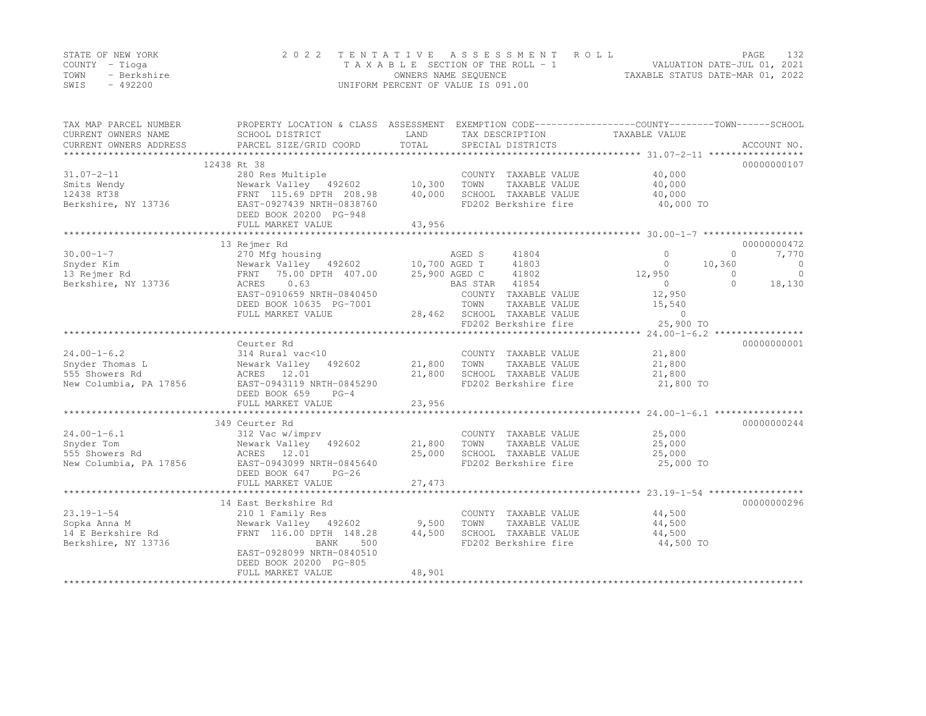|      | STATE OF NEW YORK | 2022 TENTATIVE ASSESSMENT ROLL     |                                  | PAGE                        | 132 |
|------|-------------------|------------------------------------|----------------------------------|-----------------------------|-----|
|      | COUNTY – Tioga    | TAXABLE SECTION OF THE ROLL - 1    |                                  | VALUATION DATE-JUL 01, 2021 |     |
| TOWN | - Berkshire       | OWNERS NAME SEOUENCE               | TAXABLE STATUS DATE-MAR 01, 2022 |                             |     |
| SWIS | $-492200$         | UNIFORM PERCENT OF VALUE IS 091.00 |                                  |                             |     |

| TAX MAP PARCEL NUMBER<br>CURRENT OWNERS NAME<br>CURRENT OWNERS ADDRESS | PROPERTY LOCATION & CLASS ASSESSMENT EXEMPTION CODE----------------COUNTY-------TOWN-----SCHOOL<br>SCHOOL DISTRICT<br>PARCEL SIZE/GRID COORD | LAND<br>TOTAL | TAX DESCRIPTION<br>SPECIAL DISTRICTS  | TAXABLE VALUE    | ACCOUNT NO.                             |
|------------------------------------------------------------------------|----------------------------------------------------------------------------------------------------------------------------------------------|---------------|---------------------------------------|------------------|-----------------------------------------|
|                                                                        |                                                                                                                                              |               |                                       |                  |                                         |
|                                                                        | 12438 Rt 38                                                                                                                                  |               |                                       |                  | 00000000107                             |
| $31.07 - 2 - 11$                                                       | 280 Res Multiple                                                                                                                             |               | COUNTY TAXABLE VALUE                  | 40,000           |                                         |
| Smits Wendy                                                            | Newark Valley 492602                                                                                                                         | 10,300        | TOWN<br>TAXABLE VALUE                 | 40,000           |                                         |
| 12438 RT38                                                             | FRNT 115.69 DPTH 208.98                                                                                                                      | 40,000        | SCHOOL TAXABLE VALUE                  | 40,000           |                                         |
| Berkshire, NY 13736                                                    | EAST-0927439 NRTH-0838760                                                                                                                    |               | FD202 Berkshire fire                  | 40,000 TO        |                                         |
|                                                                        | DEED BOOK 20200 PG-948                                                                                                                       |               |                                       |                  |                                         |
|                                                                        | FULL MARKET VALUE                                                                                                                            | 43,956        |                                       |                  |                                         |
|                                                                        | *******************************                                                                                                              |               |                                       |                  |                                         |
|                                                                        | 13 Rejmer Rd                                                                                                                                 |               |                                       |                  | 00000000472                             |
| $30.00 - 1 - 7$                                                        | 270 Mfg housing                                                                                                                              |               | AGED S<br>41804                       | $\Omega$         | $\Omega$<br>7,770                       |
| Snyder Kim                                                             | Newark Valley 492602 10,700 AGED T                                                                                                           |               | 41803                                 | $\circ$          | 10,360<br>$\overline{0}$                |
| 13 Rejmer Rd                                                           | 75.00 DPTH 407.00<br>FRNT                                                                                                                    | 25,900 AGED C | 41802                                 | 12,950           | $\circ$<br>$\Omega$                     |
| Berkshire, NY 13736                                                    | ACRES<br>0.63                                                                                                                                |               | BAS STAR 41854                        | $\overline{0}$   | $\bigcap$<br>18,130                     |
|                                                                        | EAST-0910659 NRTH-0840450                                                                                                                    |               | COUNTY TAXABLE VALUE                  | 12,950           |                                         |
|                                                                        | DEED BOOK 10635 PG-7001                                                                                                                      |               | TOWN<br>TAXABLE VALUE                 | 15,540           |                                         |
|                                                                        | FULL MARKET VALUE                                                                                                                            |               | 28,462 SCHOOL TAXABLE VALUE           | $\overline{0}$   |                                         |
|                                                                        | **************************************                                                                                                       |               | FD202 Berkshire fire                  | 25,900 TO        |                                         |
|                                                                        |                                                                                                                                              |               |                                       |                  | ********** 24.00-1-6.2 **************** |
| $24.00 - 1 - 6.2$                                                      | Ceurter Rd                                                                                                                                   |               |                                       |                  | 00000000001                             |
| Snyder Thomas L                                                        | 314 Rural vac<10                                                                                                                             | 21,800        | COUNTY TAXABLE VALUE<br>TOWN          | 21,800           |                                         |
| 555 Showers Rd                                                         | Newark Valley<br>492602<br>ACRES 12.01                                                                                                       | 21,800        | TAXABLE VALUE<br>SCHOOL TAXABLE VALUE | 21,800<br>21,800 |                                         |
| New Columbia, PA 17856                                                 | EAST-0943119 NRTH-0845290                                                                                                                    |               | FD202 Berkshire fire                  | 21,800 TO        |                                         |
|                                                                        | DEED BOOK 659<br>$PG-4$                                                                                                                      |               |                                       |                  |                                         |
|                                                                        | FULL MARKET VALUE                                                                                                                            | 23,956        |                                       |                  |                                         |
|                                                                        |                                                                                                                                              |               |                                       |                  |                                         |
|                                                                        | 349 Ceurter Rd                                                                                                                               |               |                                       |                  | 00000000244                             |
| $24.00 - 1 - 6.1$                                                      | 312 Vac w/imprv                                                                                                                              |               | COUNTY TAXABLE VALUE                  | 25,000           |                                         |
| Snyder Tom                                                             | Newark Valley 492602                                                                                                                         | 21,800        | TOWN<br>TAXABLE VALUE                 | 25,000           |                                         |
| 555 Showers Rd                                                         | ACRES 12.01                                                                                                                                  | 25,000        | SCHOOL TAXABLE VALUE                  | 25,000           |                                         |
| New Columbia, PA 17856                                                 | EAST-0943099 NRTH-0845640                                                                                                                    |               | FD202 Berkshire fire                  | 25,000 TO        |                                         |
|                                                                        | DEED BOOK 647<br>$PG-26$                                                                                                                     |               |                                       |                  |                                         |
|                                                                        |                                                                                                                                              |               |                                       |                  |                                         |
|                                                                        |                                                                                                                                              |               |                                       |                  |                                         |
|                                                                        | 14 East Berkshire Rd                                                                                                                         |               |                                       |                  | 00000000296                             |
| $23.19 - 1 - 54$                                                       | 210 1 Family Res                                                                                                                             |               | COUNTY TAXABLE VALUE                  | 44,500           |                                         |
| Sopka Anna M                                                           | Newark Valley 492602                                                                                                                         | 9,500         | TAXABLE VALUE<br>TOWN                 | 44,500           |                                         |
| 14 E Berkshire Rd                                                      | FRNT 116.00 DPTH 148.28                                                                                                                      | 44,500        | SCHOOL TAXABLE VALUE                  | 44,500           |                                         |
| Berkshire, NY 13736                                                    | <b>BANK</b><br>500                                                                                                                           |               | FD202 Berkshire fire                  | 44,500 TO        |                                         |
|                                                                        | EAST-0928099 NRTH-0840510                                                                                                                    |               |                                       |                  |                                         |
|                                                                        | DEED BOOK 20200 PG-805                                                                                                                       |               |                                       |                  |                                         |
|                                                                        | FULL MARKET VALUE                                                                                                                            | 48,901        |                                       |                  |                                         |
|                                                                        |                                                                                                                                              |               |                                       |                  |                                         |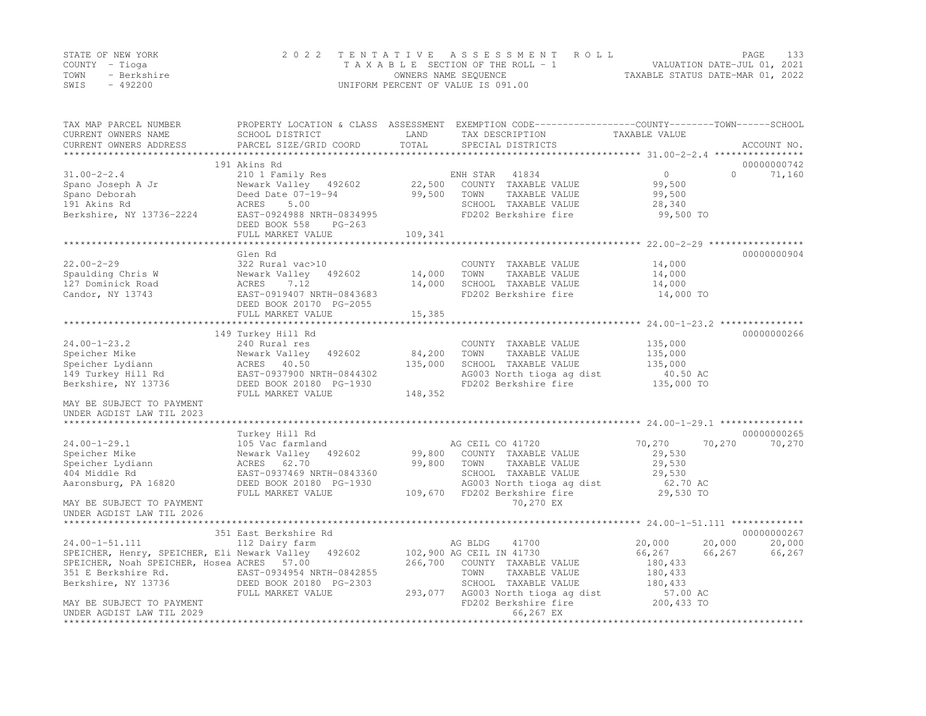|      | STATE OF NEW YORK | 2022 TENTATIVE ASSESSMENT ROLL     | PAGE                             | 133 |
|------|-------------------|------------------------------------|----------------------------------|-----|
|      | COUNTY – Tioga    | TAXABLE SECTION OF THE ROLL - 1    | VALUATION DATE-JUL 01, 2021      |     |
| TOWN | - Berkshire       | OWNERS NAME SEQUENCE               | TAXABLE STATUS DATE-MAR 01, 2022 |     |
| SWIS | $-492200$         | UNIFORM PERCENT OF VALUE IS 091.00 |                                  |     |

| 191 Akins Rd<br>00000000742<br>0<br>71,160<br>$31.00 - 2 - 2.4$<br>210 1 Family Res<br>ENH STAR<br>41834<br>$\Omega$<br>22,500 COUNTY TAXABLE VALUE<br>Newark Valley 492602<br>99,500<br>Spano Joseph A Jr<br>99,500<br>Deed Date 07-19-94<br>TOWN<br>TAXABLE VALUE<br>99,500<br>Spano Deborah<br>191 Akins Rd<br>ACRES<br>5.00<br>SCHOOL TAXABLE VALUE<br>28,340<br>FD202 Berkshire fire<br>99,500 TO<br>Berkshire, NY 13736-2224<br>EAST-0924988 NRTH-0834995<br>DEED BOOK 558<br>PG-263<br>109,341<br>FULL MARKET VALUE<br>Glen Rd<br>00000000904<br>$22.00 - 2 - 29$<br>322 Rural vac>10<br>COUNTY TAXABLE VALUE<br>14,000<br>14,000<br>TAXABLE VALUE<br>Spaulding Chris W<br>Newark Valley 492602<br>TOWN<br>14,000<br>7.12<br>14,000<br>SCHOOL TAXABLE VALUE<br>14,000<br>127 Dominick Road<br>ACRES<br>EAST-0919407 NRTH-0843683<br>FD202 Berkshire fire<br>Candor, NY 13743<br>14,000 TO<br>DEED BOOK 20170 PG-2055<br>15,385<br>FULL MARKET VALUE<br>149 Turkey Hill Rd<br>00000000266<br>$24.00 - 1 - 23.2$<br>135,000<br>240 Rural res<br>COUNTY TAXABLE VALUE<br>492602<br>Speicher Mike<br>Newark Valley<br>84,200<br>TOWN<br>TAXABLE VALUE<br>135,000<br>SCHOOL TAXABLE VALUE<br>Speicher Lydiann<br>135,000<br>135,000<br>ACRES 40.50<br>AG003 North tioga ag dist<br>149 Turkey Hill Rd<br>EAST-0937900 NRTH-0844302<br>40.50 AC<br>FD202 Berkshire fire<br>Berkshire, NY 13736<br>DEED BOOK 20180 PG-1930<br>135,000 TO<br>148,352<br>FULL MARKET VALUE<br>MAY BE SUBJECT TO PAYMENT<br>UNDER AGDIST LAW TIL 2023<br>00000000265<br>Turkey Hill Rd<br>$24.00 - 1 - 29.1$<br>70,270<br>70,270<br>105 Vac farmland<br>AG CEIL CO 41720<br>70,270<br>Speicher Mike<br>Newark Valley 492602<br>99,800<br>COUNTY TAXABLE VALUE<br>29,530<br>Speicher Lydiann<br>99,800<br>29,530<br>ACRES 62.70<br>TOWN<br>TAXABLE VALUE<br>404 Middle Rd<br>EAST-0937469 NRTH-0843360<br>SCHOOL TAXABLE VALUE<br>29,530<br>Aaronsburg, PA 16820<br>AG003 North tioga ag dist<br>DEED BOOK 20180 PG-1930<br>62.70 AC<br>29,530 TO<br>109,670 FD202 Berkshire fire<br>FULL MARKET VALUE<br>70,270 EX<br>MAY BE SUBJECT TO PAYMENT<br>UNDER AGDIST LAW TIL 2026<br>351 East Berkshire Rd<br>00000000267<br>24.00-1-51.111<br>20,000<br>20,000<br>112 Dairy farm<br>AG BLDG<br>41700<br>20,000<br>SPEICHER, Henry, SPEICHER, Eli Newark Valley 492602<br>102,900 AG CEIL IN 41730<br>66,267<br>66,267<br>66,267<br>SPEICHER, Noah SPEICHER, Hosea ACRES 57.00<br>266,700 COUNTY TAXABLE VALUE<br>180,433<br>351 E Berkshire Rd.<br>EAST-0934954 NRTH-0842855<br>DEED BOOK 20180 PG-2303<br>TOWN<br>TAXABLE VALUE<br>180,433<br>Berkshire, NY 13736<br>SCHOOL TAXABLE VALUE<br>180,433<br>293,077 AG003 North tioga ag dist<br>FULL MARKET VALUE<br>57.00 AC<br>200,433 TO<br>FD202 Berkshire fire<br>MAY BE SUBJECT TO PAYMENT<br>66,267 EX<br>UNDER AGDIST LAW TIL 2029<br>************** | TAX MAP PARCEL NUMBER<br>CURRENT OWNERS NAME<br>CURRENT OWNERS ADDRESS | SCHOOL DISTRICT<br>PARCEL SIZE/GRID COORD | LAND<br>TOTAL | PROPERTY LOCATION & CLASS ASSESSMENT EXEMPTION CODE----------------COUNTY-------TOWN------SCHOOL<br>TAX DESCRIPTION<br>SPECIAL DISTRICTS | TAXABLE VALUE | ACCOUNT NO. |
|-------------------------------------------------------------------------------------------------------------------------------------------------------------------------------------------------------------------------------------------------------------------------------------------------------------------------------------------------------------------------------------------------------------------------------------------------------------------------------------------------------------------------------------------------------------------------------------------------------------------------------------------------------------------------------------------------------------------------------------------------------------------------------------------------------------------------------------------------------------------------------------------------------------------------------------------------------------------------------------------------------------------------------------------------------------------------------------------------------------------------------------------------------------------------------------------------------------------------------------------------------------------------------------------------------------------------------------------------------------------------------------------------------------------------------------------------------------------------------------------------------------------------------------------------------------------------------------------------------------------------------------------------------------------------------------------------------------------------------------------------------------------------------------------------------------------------------------------------------------------------------------------------------------------------------------------------------------------------------------------------------------------------------------------------------------------------------------------------------------------------------------------------------------------------------------------------------------------------------------------------------------------------------------------------------------------------------------------------------------------------------------------------------------------------------------------------------------------------------------------------------------------------------------------------------------------------------------------------------------------------------------------------------------------------------------------------------------------------------------------------------------------------------------------------------------------------------------------------------------------------------------|------------------------------------------------------------------------|-------------------------------------------|---------------|------------------------------------------------------------------------------------------------------------------------------------------|---------------|-------------|
|                                                                                                                                                                                                                                                                                                                                                                                                                                                                                                                                                                                                                                                                                                                                                                                                                                                                                                                                                                                                                                                                                                                                                                                                                                                                                                                                                                                                                                                                                                                                                                                                                                                                                                                                                                                                                                                                                                                                                                                                                                                                                                                                                                                                                                                                                                                                                                                                                                                                                                                                                                                                                                                                                                                                                                                                                                                                                     | *************************                                              |                                           |               |                                                                                                                                          |               |             |
|                                                                                                                                                                                                                                                                                                                                                                                                                                                                                                                                                                                                                                                                                                                                                                                                                                                                                                                                                                                                                                                                                                                                                                                                                                                                                                                                                                                                                                                                                                                                                                                                                                                                                                                                                                                                                                                                                                                                                                                                                                                                                                                                                                                                                                                                                                                                                                                                                                                                                                                                                                                                                                                                                                                                                                                                                                                                                     |                                                                        |                                           |               |                                                                                                                                          |               |             |
|                                                                                                                                                                                                                                                                                                                                                                                                                                                                                                                                                                                                                                                                                                                                                                                                                                                                                                                                                                                                                                                                                                                                                                                                                                                                                                                                                                                                                                                                                                                                                                                                                                                                                                                                                                                                                                                                                                                                                                                                                                                                                                                                                                                                                                                                                                                                                                                                                                                                                                                                                                                                                                                                                                                                                                                                                                                                                     |                                                                        |                                           |               |                                                                                                                                          |               |             |
|                                                                                                                                                                                                                                                                                                                                                                                                                                                                                                                                                                                                                                                                                                                                                                                                                                                                                                                                                                                                                                                                                                                                                                                                                                                                                                                                                                                                                                                                                                                                                                                                                                                                                                                                                                                                                                                                                                                                                                                                                                                                                                                                                                                                                                                                                                                                                                                                                                                                                                                                                                                                                                                                                                                                                                                                                                                                                     |                                                                        |                                           |               |                                                                                                                                          |               |             |
|                                                                                                                                                                                                                                                                                                                                                                                                                                                                                                                                                                                                                                                                                                                                                                                                                                                                                                                                                                                                                                                                                                                                                                                                                                                                                                                                                                                                                                                                                                                                                                                                                                                                                                                                                                                                                                                                                                                                                                                                                                                                                                                                                                                                                                                                                                                                                                                                                                                                                                                                                                                                                                                                                                                                                                                                                                                                                     |                                                                        |                                           |               |                                                                                                                                          |               |             |
|                                                                                                                                                                                                                                                                                                                                                                                                                                                                                                                                                                                                                                                                                                                                                                                                                                                                                                                                                                                                                                                                                                                                                                                                                                                                                                                                                                                                                                                                                                                                                                                                                                                                                                                                                                                                                                                                                                                                                                                                                                                                                                                                                                                                                                                                                                                                                                                                                                                                                                                                                                                                                                                                                                                                                                                                                                                                                     |                                                                        |                                           |               |                                                                                                                                          |               |             |
|                                                                                                                                                                                                                                                                                                                                                                                                                                                                                                                                                                                                                                                                                                                                                                                                                                                                                                                                                                                                                                                                                                                                                                                                                                                                                                                                                                                                                                                                                                                                                                                                                                                                                                                                                                                                                                                                                                                                                                                                                                                                                                                                                                                                                                                                                                                                                                                                                                                                                                                                                                                                                                                                                                                                                                                                                                                                                     |                                                                        |                                           |               |                                                                                                                                          |               |             |
|                                                                                                                                                                                                                                                                                                                                                                                                                                                                                                                                                                                                                                                                                                                                                                                                                                                                                                                                                                                                                                                                                                                                                                                                                                                                                                                                                                                                                                                                                                                                                                                                                                                                                                                                                                                                                                                                                                                                                                                                                                                                                                                                                                                                                                                                                                                                                                                                                                                                                                                                                                                                                                                                                                                                                                                                                                                                                     |                                                                        |                                           |               |                                                                                                                                          |               |             |
|                                                                                                                                                                                                                                                                                                                                                                                                                                                                                                                                                                                                                                                                                                                                                                                                                                                                                                                                                                                                                                                                                                                                                                                                                                                                                                                                                                                                                                                                                                                                                                                                                                                                                                                                                                                                                                                                                                                                                                                                                                                                                                                                                                                                                                                                                                                                                                                                                                                                                                                                                                                                                                                                                                                                                                                                                                                                                     |                                                                        |                                           |               |                                                                                                                                          |               |             |
|                                                                                                                                                                                                                                                                                                                                                                                                                                                                                                                                                                                                                                                                                                                                                                                                                                                                                                                                                                                                                                                                                                                                                                                                                                                                                                                                                                                                                                                                                                                                                                                                                                                                                                                                                                                                                                                                                                                                                                                                                                                                                                                                                                                                                                                                                                                                                                                                                                                                                                                                                                                                                                                                                                                                                                                                                                                                                     |                                                                        |                                           |               |                                                                                                                                          |               |             |
|                                                                                                                                                                                                                                                                                                                                                                                                                                                                                                                                                                                                                                                                                                                                                                                                                                                                                                                                                                                                                                                                                                                                                                                                                                                                                                                                                                                                                                                                                                                                                                                                                                                                                                                                                                                                                                                                                                                                                                                                                                                                                                                                                                                                                                                                                                                                                                                                                                                                                                                                                                                                                                                                                                                                                                                                                                                                                     |                                                                        |                                           |               |                                                                                                                                          |               |             |
|                                                                                                                                                                                                                                                                                                                                                                                                                                                                                                                                                                                                                                                                                                                                                                                                                                                                                                                                                                                                                                                                                                                                                                                                                                                                                                                                                                                                                                                                                                                                                                                                                                                                                                                                                                                                                                                                                                                                                                                                                                                                                                                                                                                                                                                                                                                                                                                                                                                                                                                                                                                                                                                                                                                                                                                                                                                                                     |                                                                        |                                           |               |                                                                                                                                          |               |             |
|                                                                                                                                                                                                                                                                                                                                                                                                                                                                                                                                                                                                                                                                                                                                                                                                                                                                                                                                                                                                                                                                                                                                                                                                                                                                                                                                                                                                                                                                                                                                                                                                                                                                                                                                                                                                                                                                                                                                                                                                                                                                                                                                                                                                                                                                                                                                                                                                                                                                                                                                                                                                                                                                                                                                                                                                                                                                                     |                                                                        |                                           |               |                                                                                                                                          |               |             |
|                                                                                                                                                                                                                                                                                                                                                                                                                                                                                                                                                                                                                                                                                                                                                                                                                                                                                                                                                                                                                                                                                                                                                                                                                                                                                                                                                                                                                                                                                                                                                                                                                                                                                                                                                                                                                                                                                                                                                                                                                                                                                                                                                                                                                                                                                                                                                                                                                                                                                                                                                                                                                                                                                                                                                                                                                                                                                     |                                                                        |                                           |               |                                                                                                                                          |               |             |
|                                                                                                                                                                                                                                                                                                                                                                                                                                                                                                                                                                                                                                                                                                                                                                                                                                                                                                                                                                                                                                                                                                                                                                                                                                                                                                                                                                                                                                                                                                                                                                                                                                                                                                                                                                                                                                                                                                                                                                                                                                                                                                                                                                                                                                                                                                                                                                                                                                                                                                                                                                                                                                                                                                                                                                                                                                                                                     |                                                                        |                                           |               |                                                                                                                                          |               |             |
|                                                                                                                                                                                                                                                                                                                                                                                                                                                                                                                                                                                                                                                                                                                                                                                                                                                                                                                                                                                                                                                                                                                                                                                                                                                                                                                                                                                                                                                                                                                                                                                                                                                                                                                                                                                                                                                                                                                                                                                                                                                                                                                                                                                                                                                                                                                                                                                                                                                                                                                                                                                                                                                                                                                                                                                                                                                                                     |                                                                        |                                           |               |                                                                                                                                          |               |             |
|                                                                                                                                                                                                                                                                                                                                                                                                                                                                                                                                                                                                                                                                                                                                                                                                                                                                                                                                                                                                                                                                                                                                                                                                                                                                                                                                                                                                                                                                                                                                                                                                                                                                                                                                                                                                                                                                                                                                                                                                                                                                                                                                                                                                                                                                                                                                                                                                                                                                                                                                                                                                                                                                                                                                                                                                                                                                                     |                                                                        |                                           |               |                                                                                                                                          |               |             |
|                                                                                                                                                                                                                                                                                                                                                                                                                                                                                                                                                                                                                                                                                                                                                                                                                                                                                                                                                                                                                                                                                                                                                                                                                                                                                                                                                                                                                                                                                                                                                                                                                                                                                                                                                                                                                                                                                                                                                                                                                                                                                                                                                                                                                                                                                                                                                                                                                                                                                                                                                                                                                                                                                                                                                                                                                                                                                     |                                                                        |                                           |               |                                                                                                                                          |               |             |
|                                                                                                                                                                                                                                                                                                                                                                                                                                                                                                                                                                                                                                                                                                                                                                                                                                                                                                                                                                                                                                                                                                                                                                                                                                                                                                                                                                                                                                                                                                                                                                                                                                                                                                                                                                                                                                                                                                                                                                                                                                                                                                                                                                                                                                                                                                                                                                                                                                                                                                                                                                                                                                                                                                                                                                                                                                                                                     |                                                                        |                                           |               |                                                                                                                                          |               |             |
|                                                                                                                                                                                                                                                                                                                                                                                                                                                                                                                                                                                                                                                                                                                                                                                                                                                                                                                                                                                                                                                                                                                                                                                                                                                                                                                                                                                                                                                                                                                                                                                                                                                                                                                                                                                                                                                                                                                                                                                                                                                                                                                                                                                                                                                                                                                                                                                                                                                                                                                                                                                                                                                                                                                                                                                                                                                                                     |                                                                        |                                           |               |                                                                                                                                          |               |             |
|                                                                                                                                                                                                                                                                                                                                                                                                                                                                                                                                                                                                                                                                                                                                                                                                                                                                                                                                                                                                                                                                                                                                                                                                                                                                                                                                                                                                                                                                                                                                                                                                                                                                                                                                                                                                                                                                                                                                                                                                                                                                                                                                                                                                                                                                                                                                                                                                                                                                                                                                                                                                                                                                                                                                                                                                                                                                                     |                                                                        |                                           |               |                                                                                                                                          |               |             |
|                                                                                                                                                                                                                                                                                                                                                                                                                                                                                                                                                                                                                                                                                                                                                                                                                                                                                                                                                                                                                                                                                                                                                                                                                                                                                                                                                                                                                                                                                                                                                                                                                                                                                                                                                                                                                                                                                                                                                                                                                                                                                                                                                                                                                                                                                                                                                                                                                                                                                                                                                                                                                                                                                                                                                                                                                                                                                     |                                                                        |                                           |               |                                                                                                                                          |               |             |
|                                                                                                                                                                                                                                                                                                                                                                                                                                                                                                                                                                                                                                                                                                                                                                                                                                                                                                                                                                                                                                                                                                                                                                                                                                                                                                                                                                                                                                                                                                                                                                                                                                                                                                                                                                                                                                                                                                                                                                                                                                                                                                                                                                                                                                                                                                                                                                                                                                                                                                                                                                                                                                                                                                                                                                                                                                                                                     |                                                                        |                                           |               |                                                                                                                                          |               |             |
|                                                                                                                                                                                                                                                                                                                                                                                                                                                                                                                                                                                                                                                                                                                                                                                                                                                                                                                                                                                                                                                                                                                                                                                                                                                                                                                                                                                                                                                                                                                                                                                                                                                                                                                                                                                                                                                                                                                                                                                                                                                                                                                                                                                                                                                                                                                                                                                                                                                                                                                                                                                                                                                                                                                                                                                                                                                                                     |                                                                        |                                           |               |                                                                                                                                          |               |             |
|                                                                                                                                                                                                                                                                                                                                                                                                                                                                                                                                                                                                                                                                                                                                                                                                                                                                                                                                                                                                                                                                                                                                                                                                                                                                                                                                                                                                                                                                                                                                                                                                                                                                                                                                                                                                                                                                                                                                                                                                                                                                                                                                                                                                                                                                                                                                                                                                                                                                                                                                                                                                                                                                                                                                                                                                                                                                                     |                                                                        |                                           |               |                                                                                                                                          |               |             |
|                                                                                                                                                                                                                                                                                                                                                                                                                                                                                                                                                                                                                                                                                                                                                                                                                                                                                                                                                                                                                                                                                                                                                                                                                                                                                                                                                                                                                                                                                                                                                                                                                                                                                                                                                                                                                                                                                                                                                                                                                                                                                                                                                                                                                                                                                                                                                                                                                                                                                                                                                                                                                                                                                                                                                                                                                                                                                     |                                                                        |                                           |               |                                                                                                                                          |               |             |
|                                                                                                                                                                                                                                                                                                                                                                                                                                                                                                                                                                                                                                                                                                                                                                                                                                                                                                                                                                                                                                                                                                                                                                                                                                                                                                                                                                                                                                                                                                                                                                                                                                                                                                                                                                                                                                                                                                                                                                                                                                                                                                                                                                                                                                                                                                                                                                                                                                                                                                                                                                                                                                                                                                                                                                                                                                                                                     |                                                                        |                                           |               |                                                                                                                                          |               |             |
|                                                                                                                                                                                                                                                                                                                                                                                                                                                                                                                                                                                                                                                                                                                                                                                                                                                                                                                                                                                                                                                                                                                                                                                                                                                                                                                                                                                                                                                                                                                                                                                                                                                                                                                                                                                                                                                                                                                                                                                                                                                                                                                                                                                                                                                                                                                                                                                                                                                                                                                                                                                                                                                                                                                                                                                                                                                                                     |                                                                        |                                           |               |                                                                                                                                          |               |             |
|                                                                                                                                                                                                                                                                                                                                                                                                                                                                                                                                                                                                                                                                                                                                                                                                                                                                                                                                                                                                                                                                                                                                                                                                                                                                                                                                                                                                                                                                                                                                                                                                                                                                                                                                                                                                                                                                                                                                                                                                                                                                                                                                                                                                                                                                                                                                                                                                                                                                                                                                                                                                                                                                                                                                                                                                                                                                                     |                                                                        |                                           |               |                                                                                                                                          |               |             |
|                                                                                                                                                                                                                                                                                                                                                                                                                                                                                                                                                                                                                                                                                                                                                                                                                                                                                                                                                                                                                                                                                                                                                                                                                                                                                                                                                                                                                                                                                                                                                                                                                                                                                                                                                                                                                                                                                                                                                                                                                                                                                                                                                                                                                                                                                                                                                                                                                                                                                                                                                                                                                                                                                                                                                                                                                                                                                     |                                                                        |                                           |               |                                                                                                                                          |               |             |
|                                                                                                                                                                                                                                                                                                                                                                                                                                                                                                                                                                                                                                                                                                                                                                                                                                                                                                                                                                                                                                                                                                                                                                                                                                                                                                                                                                                                                                                                                                                                                                                                                                                                                                                                                                                                                                                                                                                                                                                                                                                                                                                                                                                                                                                                                                                                                                                                                                                                                                                                                                                                                                                                                                                                                                                                                                                                                     |                                                                        |                                           |               |                                                                                                                                          |               |             |
|                                                                                                                                                                                                                                                                                                                                                                                                                                                                                                                                                                                                                                                                                                                                                                                                                                                                                                                                                                                                                                                                                                                                                                                                                                                                                                                                                                                                                                                                                                                                                                                                                                                                                                                                                                                                                                                                                                                                                                                                                                                                                                                                                                                                                                                                                                                                                                                                                                                                                                                                                                                                                                                                                                                                                                                                                                                                                     |                                                                        |                                           |               |                                                                                                                                          |               |             |
|                                                                                                                                                                                                                                                                                                                                                                                                                                                                                                                                                                                                                                                                                                                                                                                                                                                                                                                                                                                                                                                                                                                                                                                                                                                                                                                                                                                                                                                                                                                                                                                                                                                                                                                                                                                                                                                                                                                                                                                                                                                                                                                                                                                                                                                                                                                                                                                                                                                                                                                                                                                                                                                                                                                                                                                                                                                                                     |                                                                        |                                           |               |                                                                                                                                          |               |             |
|                                                                                                                                                                                                                                                                                                                                                                                                                                                                                                                                                                                                                                                                                                                                                                                                                                                                                                                                                                                                                                                                                                                                                                                                                                                                                                                                                                                                                                                                                                                                                                                                                                                                                                                                                                                                                                                                                                                                                                                                                                                                                                                                                                                                                                                                                                                                                                                                                                                                                                                                                                                                                                                                                                                                                                                                                                                                                     |                                                                        |                                           |               |                                                                                                                                          |               |             |
|                                                                                                                                                                                                                                                                                                                                                                                                                                                                                                                                                                                                                                                                                                                                                                                                                                                                                                                                                                                                                                                                                                                                                                                                                                                                                                                                                                                                                                                                                                                                                                                                                                                                                                                                                                                                                                                                                                                                                                                                                                                                                                                                                                                                                                                                                                                                                                                                                                                                                                                                                                                                                                                                                                                                                                                                                                                                                     |                                                                        |                                           |               |                                                                                                                                          |               |             |
|                                                                                                                                                                                                                                                                                                                                                                                                                                                                                                                                                                                                                                                                                                                                                                                                                                                                                                                                                                                                                                                                                                                                                                                                                                                                                                                                                                                                                                                                                                                                                                                                                                                                                                                                                                                                                                                                                                                                                                                                                                                                                                                                                                                                                                                                                                                                                                                                                                                                                                                                                                                                                                                                                                                                                                                                                                                                                     |                                                                        |                                           |               |                                                                                                                                          |               |             |
|                                                                                                                                                                                                                                                                                                                                                                                                                                                                                                                                                                                                                                                                                                                                                                                                                                                                                                                                                                                                                                                                                                                                                                                                                                                                                                                                                                                                                                                                                                                                                                                                                                                                                                                                                                                                                                                                                                                                                                                                                                                                                                                                                                                                                                                                                                                                                                                                                                                                                                                                                                                                                                                                                                                                                                                                                                                                                     |                                                                        |                                           |               |                                                                                                                                          |               |             |
|                                                                                                                                                                                                                                                                                                                                                                                                                                                                                                                                                                                                                                                                                                                                                                                                                                                                                                                                                                                                                                                                                                                                                                                                                                                                                                                                                                                                                                                                                                                                                                                                                                                                                                                                                                                                                                                                                                                                                                                                                                                                                                                                                                                                                                                                                                                                                                                                                                                                                                                                                                                                                                                                                                                                                                                                                                                                                     |                                                                        |                                           |               |                                                                                                                                          |               |             |
|                                                                                                                                                                                                                                                                                                                                                                                                                                                                                                                                                                                                                                                                                                                                                                                                                                                                                                                                                                                                                                                                                                                                                                                                                                                                                                                                                                                                                                                                                                                                                                                                                                                                                                                                                                                                                                                                                                                                                                                                                                                                                                                                                                                                                                                                                                                                                                                                                                                                                                                                                                                                                                                                                                                                                                                                                                                                                     |                                                                        |                                           |               |                                                                                                                                          |               |             |
|                                                                                                                                                                                                                                                                                                                                                                                                                                                                                                                                                                                                                                                                                                                                                                                                                                                                                                                                                                                                                                                                                                                                                                                                                                                                                                                                                                                                                                                                                                                                                                                                                                                                                                                                                                                                                                                                                                                                                                                                                                                                                                                                                                                                                                                                                                                                                                                                                                                                                                                                                                                                                                                                                                                                                                                                                                                                                     |                                                                        |                                           |               |                                                                                                                                          |               |             |
|                                                                                                                                                                                                                                                                                                                                                                                                                                                                                                                                                                                                                                                                                                                                                                                                                                                                                                                                                                                                                                                                                                                                                                                                                                                                                                                                                                                                                                                                                                                                                                                                                                                                                                                                                                                                                                                                                                                                                                                                                                                                                                                                                                                                                                                                                                                                                                                                                                                                                                                                                                                                                                                                                                                                                                                                                                                                                     |                                                                        |                                           |               |                                                                                                                                          |               |             |
|                                                                                                                                                                                                                                                                                                                                                                                                                                                                                                                                                                                                                                                                                                                                                                                                                                                                                                                                                                                                                                                                                                                                                                                                                                                                                                                                                                                                                                                                                                                                                                                                                                                                                                                                                                                                                                                                                                                                                                                                                                                                                                                                                                                                                                                                                                                                                                                                                                                                                                                                                                                                                                                                                                                                                                                                                                                                                     |                                                                        |                                           |               |                                                                                                                                          |               |             |
|                                                                                                                                                                                                                                                                                                                                                                                                                                                                                                                                                                                                                                                                                                                                                                                                                                                                                                                                                                                                                                                                                                                                                                                                                                                                                                                                                                                                                                                                                                                                                                                                                                                                                                                                                                                                                                                                                                                                                                                                                                                                                                                                                                                                                                                                                                                                                                                                                                                                                                                                                                                                                                                                                                                                                                                                                                                                                     |                                                                        |                                           |               |                                                                                                                                          |               |             |
|                                                                                                                                                                                                                                                                                                                                                                                                                                                                                                                                                                                                                                                                                                                                                                                                                                                                                                                                                                                                                                                                                                                                                                                                                                                                                                                                                                                                                                                                                                                                                                                                                                                                                                                                                                                                                                                                                                                                                                                                                                                                                                                                                                                                                                                                                                                                                                                                                                                                                                                                                                                                                                                                                                                                                                                                                                                                                     |                                                                        |                                           |               |                                                                                                                                          |               |             |
|                                                                                                                                                                                                                                                                                                                                                                                                                                                                                                                                                                                                                                                                                                                                                                                                                                                                                                                                                                                                                                                                                                                                                                                                                                                                                                                                                                                                                                                                                                                                                                                                                                                                                                                                                                                                                                                                                                                                                                                                                                                                                                                                                                                                                                                                                                                                                                                                                                                                                                                                                                                                                                                                                                                                                                                                                                                                                     |                                                                        |                                           |               |                                                                                                                                          |               |             |
|                                                                                                                                                                                                                                                                                                                                                                                                                                                                                                                                                                                                                                                                                                                                                                                                                                                                                                                                                                                                                                                                                                                                                                                                                                                                                                                                                                                                                                                                                                                                                                                                                                                                                                                                                                                                                                                                                                                                                                                                                                                                                                                                                                                                                                                                                                                                                                                                                                                                                                                                                                                                                                                                                                                                                                                                                                                                                     |                                                                        |                                           |               |                                                                                                                                          |               |             |
|                                                                                                                                                                                                                                                                                                                                                                                                                                                                                                                                                                                                                                                                                                                                                                                                                                                                                                                                                                                                                                                                                                                                                                                                                                                                                                                                                                                                                                                                                                                                                                                                                                                                                                                                                                                                                                                                                                                                                                                                                                                                                                                                                                                                                                                                                                                                                                                                                                                                                                                                                                                                                                                                                                                                                                                                                                                                                     |                                                                        |                                           |               |                                                                                                                                          |               |             |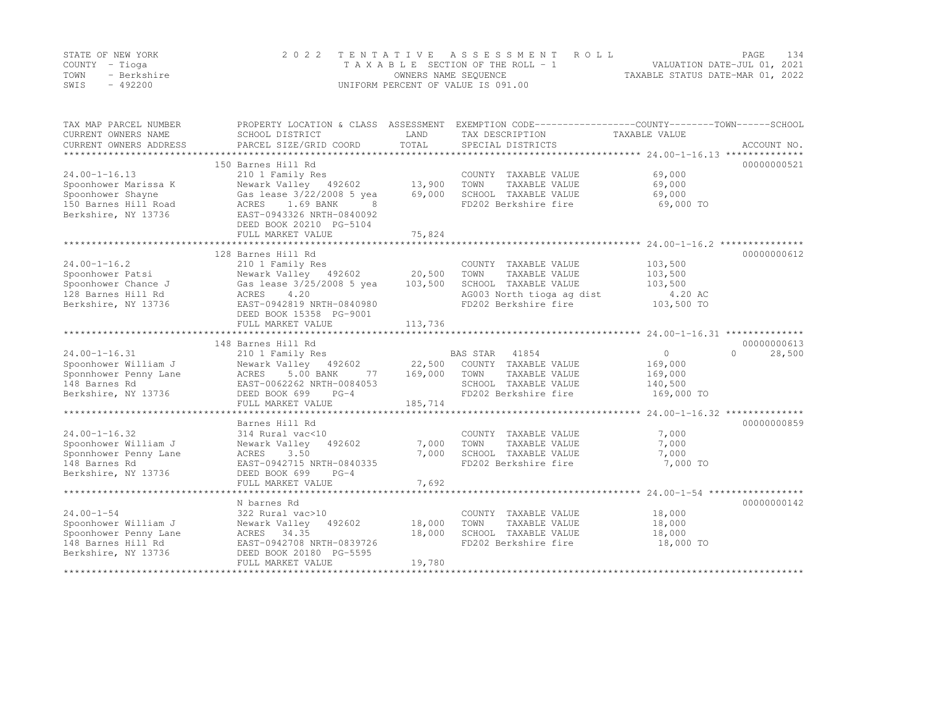|      | STATE OF NEW YORK | 2022 TENTATIVE ASSESSMENT ROLL     | PAGE                             | 134 |
|------|-------------------|------------------------------------|----------------------------------|-----|
|      | COUNTY – Tioga    | TAXABLE SECTION OF THE ROLL - 1    | VALUATION DATE-JUL 01, 2021      |     |
| TOWN | - Berkshire       | OWNERS NAME SEQUENCE               | TAXABLE STATUS DATE-MAR 01, 2022 |     |
| SWIS | $-492200$         | UNIFORM PERCENT OF VALUE IS 091.00 |                                  |     |

| TAX MAP PARCEL NUMBER<br>CURRENT OWNERS NAME<br>CURRENT OWNERS ADDRESS | SCHOOL DISTRICT<br>PARCEL SIZE/GRID COORD | LAND<br>TOTAL | PROPERTY LOCATION & CLASS ASSESSMENT EXEMPTION CODE----------------COUNTY-------TOWN------SCHOOL<br>TAX DESCRIPTION<br>SPECIAL DISTRICTS | TAXABLE VALUE  | ACCOUNT NO.        |
|------------------------------------------------------------------------|-------------------------------------------|---------------|------------------------------------------------------------------------------------------------------------------------------------------|----------------|--------------------|
|                                                                        |                                           |               |                                                                                                                                          |                |                    |
|                                                                        | 150 Barnes Hill Rd                        |               |                                                                                                                                          |                | 00000000521        |
| $24.00 - 1 - 16.13$                                                    | 210 1 Family Res                          |               | COUNTY TAXABLE VALUE                                                                                                                     | 69,000         |                    |
| Spoonhower Marissa K                                                   | Newark Valley 492602                      | 13,900        | TOWN<br>TAXABLE VALUE                                                                                                                    | 69,000         |                    |
| Spoonhower Shayne                                                      | Gas lease 3/22/2008 5 yea                 | 69,000        | SCHOOL TAXABLE VALUE                                                                                                                     | 69,000         |                    |
| 150 Barnes Hill Road                                                   | ACRES<br>1.69 BANK<br>8                   |               | FD202 Berkshire fire                                                                                                                     | 69,000 TO      |                    |
| Berkshire, NY 13736                                                    | EAST-0943326 NRTH-0840092                 |               |                                                                                                                                          |                |                    |
|                                                                        | DEED BOOK 20210 PG-5104                   |               |                                                                                                                                          |                |                    |
|                                                                        | FULL MARKET VALUE                         | 75,824        |                                                                                                                                          |                |                    |
|                                                                        |                                           |               |                                                                                                                                          |                |                    |
|                                                                        | 128 Barnes Hill Rd                        |               |                                                                                                                                          |                | 00000000612        |
| $24.00 - 1 - 16.2$                                                     | 210 1 Family Res                          |               | COUNTY TAXABLE VALUE                                                                                                                     | 103,500        |                    |
| Spoonhower Patsi                                                       | Newark Valley 492602                      | 20,500        | TOWN<br>TAXABLE VALUE                                                                                                                    | 103,500        |                    |
| Spoonhower Chance J                                                    | Gas lease 3/25/2008 5 yea                 | 103,500       | SCHOOL TAXABLE VALUE                                                                                                                     | 103,500        |                    |
| 128 Barnes Hill Rd                                                     | 4.20<br>ACRES                             |               | AG003 North tioga ag dist                                                                                                                | 4.20 AC        |                    |
| Berkshire, NY 13736                                                    | EAST-0942819 NRTH-0840980                 |               | FD202 Berkshire fire                                                                                                                     | 103,500 TO     |                    |
|                                                                        | DEED BOOK 15358 PG-9001                   |               |                                                                                                                                          |                |                    |
|                                                                        | FULL MARKET VALUE                         | 113,736       |                                                                                                                                          |                |                    |
|                                                                        | ***************************               |               |                                                                                                                                          |                |                    |
|                                                                        | 148 Barnes Hill Rd                        |               |                                                                                                                                          |                | 00000000613        |
| $24.00 - 1 - 16.31$                                                    | 210 1 Family Res                          |               | BAS STAR 41854                                                                                                                           | $\overline{0}$ | 28,500<br>$\Omega$ |
| Spoonhower William J                                                   | Newark Valley 492602                      | 22,500        | COUNTY TAXABLE VALUE                                                                                                                     | 169,000        |                    |
| Sponnhower Penny Lane                                                  | ACRES<br>5.00 BANK<br>77                  | 169,000       | TOWN<br>TAXABLE VALUE                                                                                                                    | 169,000        |                    |
| 148 Barnes Rd                                                          | EAST-0062262 NRTH-0084053                 |               | SCHOOL TAXABLE VALUE                                                                                                                     | 140,500        |                    |
| Berkshire, NY 13736                                                    | DEED BOOK 699<br>$PG-4$                   |               | FD202 Berkshire fire                                                                                                                     | 169,000 TO     |                    |
|                                                                        | FULL MARKET VALUE                         | 185,714       |                                                                                                                                          |                |                    |
|                                                                        |                                           |               |                                                                                                                                          |                |                    |
|                                                                        | Barnes Hill Rd                            |               |                                                                                                                                          |                | 00000000859        |
| $24.00 - 1 - 16.32$                                                    | 314 Rural vac<10                          |               | COUNTY TAXABLE VALUE                                                                                                                     | 7,000          |                    |
| Spoonhower William J                                                   | Newark Valley<br>492602                   | 7,000         | TOWN<br>TAXABLE VALUE                                                                                                                    | 7,000          |                    |
| Sponnhower Penny Lane                                                  | 3.50<br>ACRES                             | 7,000         | SCHOOL TAXABLE VALUE                                                                                                                     | 7,000          |                    |
| 148 Barnes Rd                                                          | EAST-0942715 NRTH-0840335                 |               | FD202 Berkshire fire                                                                                                                     | 7,000 TO       |                    |
| Berkshire, NY 13736                                                    | DEED BOOK 699<br>$PG-4$                   |               |                                                                                                                                          |                |                    |
|                                                                        | FULL MARKET VALUE                         | 7,692         |                                                                                                                                          |                |                    |
|                                                                        | ************************                  |               |                                                                                                                                          |                |                    |
|                                                                        | N barnes Rd                               |               |                                                                                                                                          |                | 00000000142        |
| $24.00 - 1 - 54$                                                       | 322 Rural vac>10                          |               | COUNTY TAXABLE VALUE                                                                                                                     | 18,000         |                    |
| Spoonhower William J                                                   | 492602<br>Newark Valley                   | 18,000        | TOWN<br>TAXABLE VALUE                                                                                                                    | 18,000         |                    |
| Spoonhower Penny Lane                                                  | ACRES 34.35                               | 18,000        | SCHOOL TAXABLE VALUE                                                                                                                     | 18,000         |                    |
| 148 Barnes Hill Rd                                                     | EAST-0942708 NRTH-0839726                 |               | FD202 Berkshire fire                                                                                                                     | 18,000 TO      |                    |
| Berkshire, NY 13736                                                    | DEED BOOK 20180 PG-5595                   |               |                                                                                                                                          |                |                    |
|                                                                        | FULL MARKET VALUE                         | 19,780        |                                                                                                                                          |                |                    |
|                                                                        |                                           |               |                                                                                                                                          |                |                    |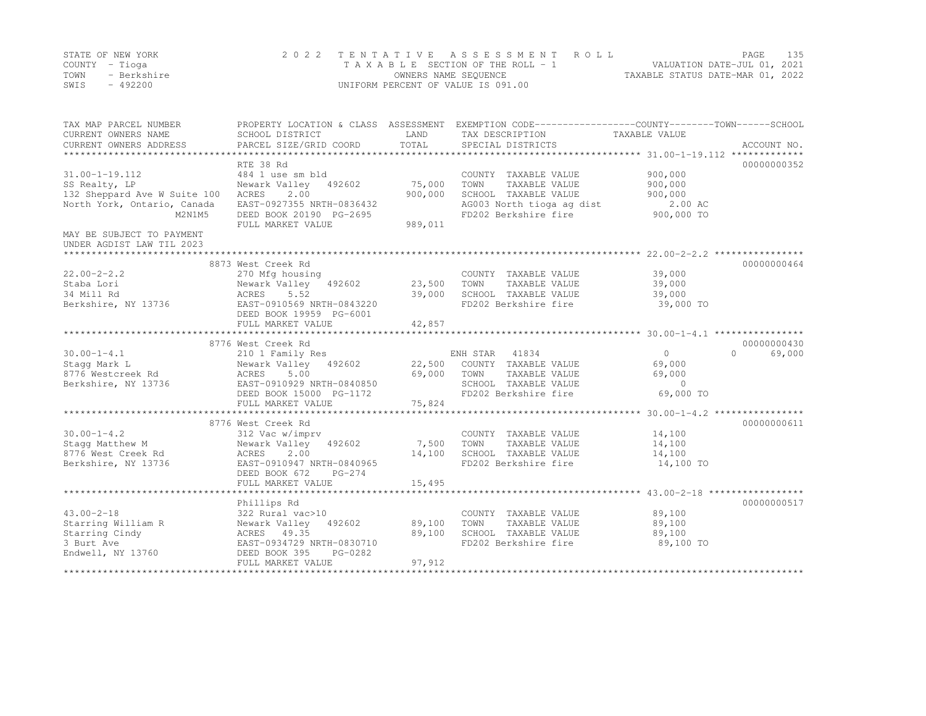|      | STATE OF NEW YORK | 2022 TENTATIVE ASSESSMENT ROLL     | PAGE.                            | 135 |
|------|-------------------|------------------------------------|----------------------------------|-----|
|      | COUNTY – Tioga    | TAXABLE SECTION OF THE ROLL - 1    | VALUATION DATE-JUL 01, 2021      |     |
| TOWN | - Berkshire       | OWNERS NAME SEQUENCE               | TAXABLE STATUS DATE-MAR 01, 2022 |     |
| SWIS | $-492200$         | UNIFORM PERCENT OF VALUE IS 091.00 |                                  |     |

| TAX MAP PARCEL NUMBER<br>CURRENT OWNERS NAME<br>CURRENT OWNERS ADDRESS | PROPERTY LOCATION & CLASS ASSESSMENT<br>SCHOOL DISTRICT<br>PARCEL SIZE/GRID COORD | LAND<br>TOTAL | EXEMPTION CODE-----------------COUNTY-------TOWN------SCHOOL<br>TAX DESCRIPTION<br>SPECIAL DISTRICTS | TAXABLE VALUE | ACCOUNT NO.      |
|------------------------------------------------------------------------|-----------------------------------------------------------------------------------|---------------|------------------------------------------------------------------------------------------------------|---------------|------------------|
|                                                                        |                                                                                   |               |                                                                                                      |               |                  |
|                                                                        | RTE 38 Rd                                                                         |               |                                                                                                      |               | 00000000352      |
| $31.00 - 1 - 19.112$                                                   | 484 1 use sm bld                                                                  |               | COUNTY TAXABLE VALUE                                                                                 | 900,000       |                  |
| SS Realty, LP                                                          | Newark Valley<br>492602                                                           | 75,000        | TOWN<br>TAXABLE VALUE                                                                                | 900,000       |                  |
| 132 Sheppard Ave W Suite 100                                           | 2.00<br>ACRES                                                                     | 900,000       | SCHOOL TAXABLE VALUE                                                                                 | 900,000       |                  |
| North York, Ontario, Canada                                            | EAST-0927355 NRTH-0836432                                                         |               | AG003 North tioga ag dist                                                                            | 2.00 AC       |                  |
| M2N1M5                                                                 | DEED BOOK 20190 PG-2695                                                           |               | FD202 Berkshire fire                                                                                 | 900,000 TO    |                  |
|                                                                        | FULL MARKET VALUE                                                                 | 989,011       |                                                                                                      |               |                  |
| MAY BE SUBJECT TO PAYMENT                                              |                                                                                   |               |                                                                                                      |               |                  |
| UNDER AGDIST LAW TIL 2023                                              |                                                                                   |               |                                                                                                      |               |                  |
|                                                                        |                                                                                   |               |                                                                                                      |               |                  |
|                                                                        | 8873 West Creek Rd                                                                |               |                                                                                                      |               | 00000000464      |
| $22.00 - 2 - 2.2$                                                      | 270 Mfg housing                                                                   |               | COUNTY TAXABLE VALUE                                                                                 | 39,000        |                  |
| Staba Lori                                                             | Newark Valley<br>492602                                                           | 23,500        | TOWN<br>TAXABLE VALUE                                                                                | 39,000        |                  |
| 34 Mill Rd                                                             | ACRES<br>5.52                                                                     | 39,000        | SCHOOL TAXABLE VALUE                                                                                 | 39,000        |                  |
| Berkshire, NY 13736                                                    | EAST-0910569 NRTH-0843220                                                         |               | FD202 Berkshire fire                                                                                 | 39,000 TO     |                  |
|                                                                        | DEED BOOK 19959 PG-6001                                                           |               |                                                                                                      |               |                  |
|                                                                        | FULL MARKET VALUE                                                                 | 42,857        |                                                                                                      |               |                  |
|                                                                        |                                                                                   |               |                                                                                                      |               |                  |
|                                                                        | 8776 West Creek Rd                                                                |               |                                                                                                      |               | 00000000430      |
| $30.00 - 1 - 4.1$                                                      | 210 1 Family Res                                                                  |               | ENH STAR<br>41834                                                                                    | $\Omega$      | 69,000<br>$\cap$ |
| Stagg Mark L                                                           | Newark Valley<br>492602                                                           | 22,500        | COUNTY TAXABLE VALUE                                                                                 | 69,000        |                  |
| 8776 Westcreek Rd                                                      | 5.00<br>ACRES                                                                     | 69,000        | TOWN<br>TAXABLE VALUE                                                                                | 69,000        |                  |
| Berkshire, NY 13736                                                    | EAST-0910929 NRTH-0840850                                                         |               | SCHOOL TAXABLE VALUE                                                                                 | $\circ$       |                  |
|                                                                        | DEED BOOK 15000 PG-1172                                                           |               | FD202 Berkshire fire                                                                                 | 69,000 TO     |                  |
|                                                                        | FULL MARKET VALUE                                                                 | 75,824        |                                                                                                      |               |                  |
|                                                                        |                                                                                   |               |                                                                                                      |               |                  |
|                                                                        | 8776 West Creek Rd                                                                |               |                                                                                                      |               | 00000000611      |
| $30.00 - 1 - 4.2$                                                      | 312 Vac w/imprv                                                                   |               | COUNTY TAXABLE VALUE                                                                                 | 14,100        |                  |
| Stagg Matthew M                                                        | 492602                                                                            | 7,500         | TOWN<br>TAXABLE VALUE                                                                                | 14,100        |                  |
| 8776 West Creek Rd                                                     | Newark Valley<br>2.00<br>ACRES                                                    | 14,100        | SCHOOL TAXABLE VALUE                                                                                 | 14,100        |                  |
|                                                                        | EAST-0910947 NRTH-0840965                                                         |               | FD202 Berkshire fire                                                                                 |               |                  |
| Berkshire, NY 13736                                                    | DEED BOOK 672<br>$PG-274$                                                         |               |                                                                                                      | 14,100 TO     |                  |
|                                                                        |                                                                                   | 15,495        |                                                                                                      |               |                  |
|                                                                        | FULL MARKET VALUE                                                                 |               |                                                                                                      |               |                  |
|                                                                        |                                                                                   |               |                                                                                                      |               |                  |
| $43.00 - 2 - 18$                                                       | Phillips Rd                                                                       |               |                                                                                                      |               | 00000000517      |
|                                                                        | 322 Rural vac>10                                                                  |               | COUNTY TAXABLE VALUE                                                                                 | 89,100        |                  |
| Starring William R                                                     | Newark Valley<br>492602                                                           | 89,100        | TOWN<br>TAXABLE VALUE                                                                                | 89,100        |                  |
| Starring Cindy                                                         | ACRES 49.35                                                                       | 89,100        | SCHOOL TAXABLE VALUE                                                                                 | 89,100        |                  |
| 3 Burt Ave                                                             | EAST-0934729 NRTH-0830710                                                         |               | FD202 Berkshire fire                                                                                 | 89,100 TO     |                  |
| Endwell, NY 13760                                                      | PG-0282<br>DEED BOOK 395                                                          |               |                                                                                                      |               |                  |
|                                                                        | FULL MARKET VALUE                                                                 | 97,912        |                                                                                                      |               |                  |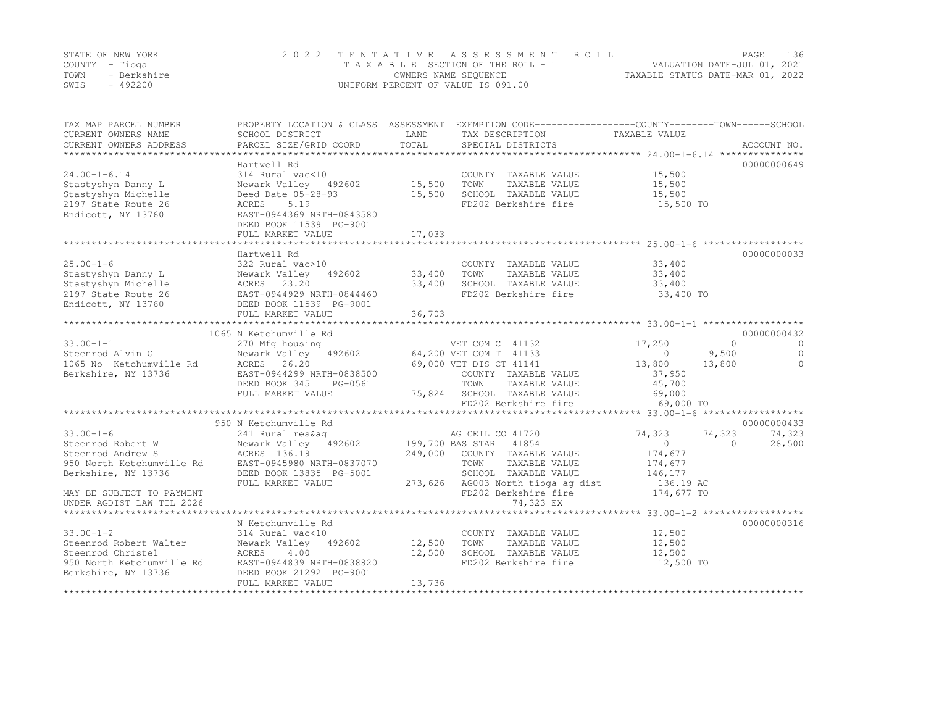|      | STATE OF NEW YORK | 2022 TENTATIVE ASSESSMENT ROLL     | PAGE                             | 136 |
|------|-------------------|------------------------------------|----------------------------------|-----|
|      | COUNTY – Tioga    | TAXABLE SECTION OF THE ROLL - 1    | VALUATION DATE-JUL 01, 2021      |     |
| TOWN | - Berkshire       | OWNERS NAME SEQUENCE               | TAXABLE STATUS DATE-MAR 01, 2022 |     |
| SWIS | $-492200$         | UNIFORM PERCENT OF VALUE IS 091.00 |                                  |     |

| TAX MAP PARCEL NUMBER<br>CURRENT OWNERS NAME<br>CURRENT OWNERS ADDRESS                                                                                                  | SCHOOL DISTRICT<br>PARCEL SIZE/GRID COORD                                                                                                                                             | LAND<br>TOTAL              | TAX DESCRIPTION<br>SPECIAL DISTRICTS                                                                                                                                                          | PROPERTY LOCATION & CLASS ASSESSMENT EXEMPTION CODE----------------COUNTY-------TOWN-----SCHOOL<br>TAXABLE VALUE | ACCOUNT NO.                                     |
|-------------------------------------------------------------------------------------------------------------------------------------------------------------------------|---------------------------------------------------------------------------------------------------------------------------------------------------------------------------------------|----------------------------|-----------------------------------------------------------------------------------------------------------------------------------------------------------------------------------------------|------------------------------------------------------------------------------------------------------------------|-------------------------------------------------|
| $24.00 - 1 - 6.14$<br>Stastyshyn Danny L<br>Stastyshyn Michelle<br>2197 State Route 26<br>Endicott, NY 13760                                                            | Hartwell Rd<br>314 Rural vac<10<br>Newark Valley 492602<br>Deed Date 05-28-93<br>5.19<br>ACRES<br>EAST-0944369 NRTH-0843580<br>DEED BOOK 11539 PG-9001<br>FULL MARKET VALUE           | 15,500<br>15,500<br>17,033 | COUNTY TAXABLE VALUE<br>TOWN<br>TAXABLE VALUE<br>SCHOOL TAXABLE VALUE<br>FD202 Berkshire fire                                                                                                 | 15,500<br>15,500<br>15,500<br>15,500 TO                                                                          | 00000000649                                     |
| $25.00 - 1 - 6$<br>Stastyshyn Danny L<br>Stastyshyn Michelle<br>2197 State Route 26<br>Endicott, NY 13760<br>**********************                                     | Hartwell Rd<br>322 Rural vac>10<br>Newark Valley<br>492602<br>ACRES 23.20<br>EAST-0944929 NRTH-0844460<br>DEED BOOK 11539 PG-9001<br>FULL MARKET VALUE                                | 33,400<br>33,400<br>36,703 | COUNTY TAXABLE VALUE<br>TOWN<br>TAXABLE VALUE<br>SCHOOL TAXABLE VALUE<br>FD202 Berkshire fire                                                                                                 | 33,400<br>33,400<br>33,400<br>33,400 TO                                                                          | 00000000033                                     |
| $33.00 - 1 - 1$<br>Steenrod Alvin G<br>1065 No Ketchumville Rd<br>Berkshire, NY 13736                                                                                   | 1065 N Ketchumville Rd<br>270 Mfg housing<br>Newark Valley 492602 64,200 VET COM T 41133<br>ACRES 26.20<br>EAST-0944299 NRTH-0838500<br>DEED BOOK 345<br>PG-0561<br>FULL MARKET VALUE |                            | VET COM C 41132<br>69,000 VET DIS CT 41141<br>COUNTY TAXABLE VALUE<br>TOWN<br>TAXABLE VALUE<br>75,824 SCHOOL TAXABLE VALUE<br>FD202 Berkshire fire<br>FD202 Berkshire fire                    | 17,250<br>$\Omega$<br>$\circ$<br>9,500<br>13,800<br>13,800<br>37,950<br>45,700<br>69,000<br>69,000 TO            | 00000000432<br>$\Omega$<br>$\Omega$<br>$\Omega$ |
| $33.00 - 1 - 6$<br>Steenrod Robert W<br>Steenrod Andrew S<br>950 North Ketchumville Rd<br>Berkshire, NY 13736<br>MAY BE SUBJECT TO PAYMENT<br>UNDER AGDIST LAW TIL 2026 | 950 N Ketchumville Rd<br>241 Rural res&ag<br>Newark Valley 492602<br>ACRES 136.19<br>EAST-0945980 NRTH-0837070<br>DEED BOOK 13835 PG-5001<br>FULL MARKET VALUE                        | 249,000                    | AG CEIL CO 41720<br>199,700 BAS STAR 41854<br>COUNTY TAXABLE VALUE<br>TOWN<br>TAXABLE VALUE<br>SCHOOL TAXABLE VALUE<br>273,626 AG003 North tioga ag dist<br>FD202 Berkshire fire<br>74,323 EX | 74,323<br>74,323<br>$\circ$<br>$\Omega$<br>174,677<br>174,677<br>146,177<br>136.19 AC<br>174,677 TO              | 00000000433<br>74,323<br>28,500                 |
| $33.00 - 1 - 2$<br>Steenrod Robert Walter<br>Steenrod Christel<br>950 North Ketchumville Rd<br>Berkshire, NY 13736                                                      | N Ketchumville Rd<br>314 Rural vac<10<br>Newark Valley<br>492602<br>ACRES<br>4.00<br>EAST-0944839 NRTH-0838820<br>DEED BOOK 21292 PG-9001<br>FULL MARKET VALUE                        | 12,500<br>12,500<br>13,736 | COUNTY TAXABLE VALUE<br>TOWN<br>TAXABLE VALUE<br>SCHOOL TAXABLE VALUE<br>FD202 Berkshire fire                                                                                                 | 12,500<br>12,500<br>12,500<br>12,500 TO                                                                          | 00000000316                                     |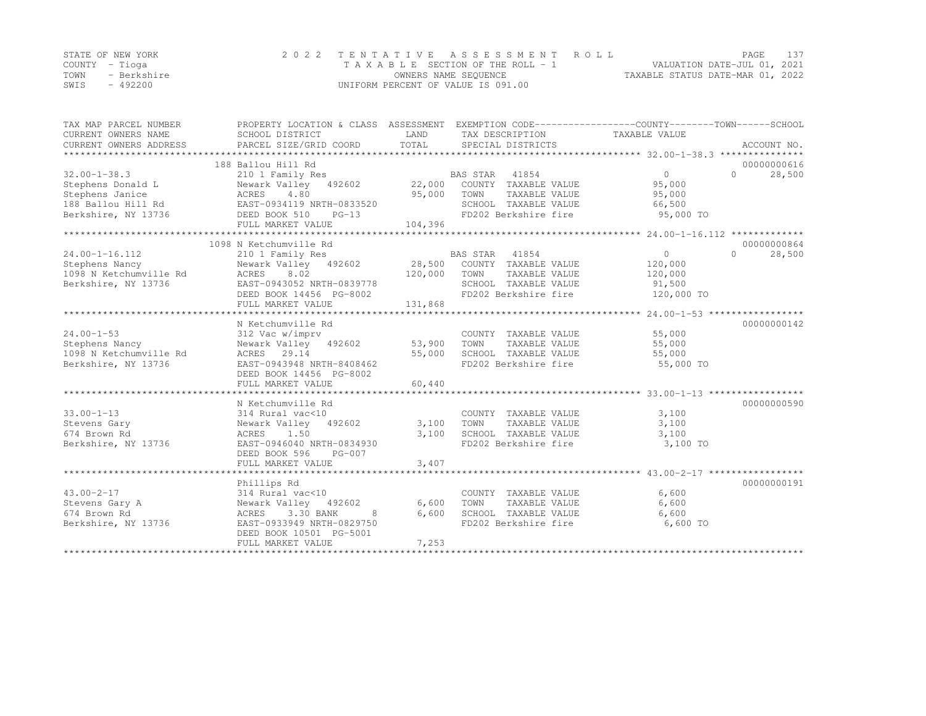|      | STATE OF NEW YORK | 2022 TENTATIVE ASSESSMENT ROLL     |                                  | PAGE |  |
|------|-------------------|------------------------------------|----------------------------------|------|--|
|      | COUNTY – Tioga    | TAXABLE SECTION OF THE ROLL - 1    | VALUATION DATE-JUL 01, 2021      |      |  |
| TOWN | - Berkshire       | OWNERS NAME SEQUENCE               | TAXABLE STATUS DATE-MAR 01, 2022 |      |  |
| SWIS | $-492200$         | UNIFORM PERCENT OF VALUE IS 091.00 |                                  |      |  |

| TAX MAP PARCEL NUMBER<br>CURRENT OWNERS NAME<br>CURRENT OWNERS ADDRESS                                  | PROPERTY LOCATION & CLASS ASSESSMENT<br>SCHOOL DISTRICT<br>PARCEL SIZE/GRID COORD                                                                                                                  | LAND<br>TOTAL                  | TAX DESCRIPTION<br>SPECIAL DISTRICTS                                                                            | EXEMPTION CODE-----------------COUNTY-------TOWN------SCHOOL<br>TAXABLE VALUE<br>ACCOUNT NO. |
|---------------------------------------------------------------------------------------------------------|----------------------------------------------------------------------------------------------------------------------------------------------------------------------------------------------------|--------------------------------|-----------------------------------------------------------------------------------------------------------------|----------------------------------------------------------------------------------------------|
| $32.00 - 1 - 38.3$<br>Stephens Donald L<br>Stephens Janice<br>188 Ballou Hill Rd<br>Berkshire, NY 13736 | 188 Ballou Hill Rd<br>210 1 Family Res<br>Newark Valley 492602<br>ACRES<br>4.80<br>EAST-0934119 NRTH-0833520<br>DEED BOOK 510<br>$PG-13$<br>FULL MARKET VALUE                                      | 22,000<br>95,000<br>104,396    | BAS STAR 41854<br>COUNTY TAXABLE VALUE<br>TOWN<br>TAXABLE VALUE<br>SCHOOL TAXABLE VALUE<br>FD202 Berkshire fire | 00000000616<br>$\circ$<br>$\bigcap$<br>28,500<br>95,000<br>95,000<br>66,500<br>95,000 TO     |
| $24.00 - 1 - 16.112$                                                                                    | 1098 N Ketchumville Rd<br>210 1 Family Res                                                                                                                                                         |                                | <b>BAS STAR</b><br>41854                                                                                        | 00000000864<br>$\circ$<br>$\bigcap$<br>28,500                                                |
| Stephens Nancy<br>1098 N Ketchumville Rd<br>Berkshire, NY 13736                                         | Newark Valley 492602<br>8.02<br>ACRES<br>EAST-0943052 NRTH-0839778<br>DEED BOOK 14456 PG-8002<br>FULL MARKET VALUE                                                                                 | 28,500<br>120,000<br>131,868   | COUNTY TAXABLE VALUE<br>TOWN<br>TAXABLE VALUE<br>SCHOOL TAXABLE VALUE<br>FD202 Berkshire fire                   | 120,000<br>120,000<br>91,500<br>120,000 TO                                                   |
|                                                                                                         |                                                                                                                                                                                                    |                                |                                                                                                                 |                                                                                              |
| $24.00 - 1 - 53$<br>Stephens Nancy<br>1098 N Ketchumville Rd<br>Berkshire, NY 13736                     | N Ketchumville Rd<br>312 Vac w/imprv<br>Newark Valley 492602<br>ACRES 29.14<br>EAST-0943948 NRTH-8408462<br>DEED BOOK 14456 PG-8002                                                                | 53,900<br>55,000               | COUNTY TAXABLE VALUE<br>TOWN<br>TAXABLE VALUE<br>SCHOOL TAXABLE VALUE<br>FD202 Berkshire fire                   | 00000000142<br>55,000<br>55,000<br>55,000<br>55,000 TO                                       |
|                                                                                                         | FULL MARKET VALUE                                                                                                                                                                                  | 60,440                         |                                                                                                                 |                                                                                              |
| $33.00 - 1 - 13$<br>Stevens Gary<br>674 Brown Rd<br>Berkshire, NY 13736                                 | ***************************<br>N Ketchumville Rd<br>314 Rural vac<10<br>Newark Valley 492602<br>1.50<br>ACRES<br>EAST-0946040 NRTH-0834930<br>$PG-007$<br>DEED BOOK 596                            | ************<br>3,100<br>3,100 | COUNTY TAXABLE VALUE<br>TOWN<br>TAXABLE VALUE<br>SCHOOL TAXABLE VALUE<br>FD202 Berkshire fire                   | 00000000590<br>3,100<br>3,100<br>3,100<br>3,100 TO                                           |
|                                                                                                         | FULL MARKET VALUE                                                                                                                                                                                  | 3,407                          |                                                                                                                 |                                                                                              |
|                                                                                                         |                                                                                                                                                                                                    |                                |                                                                                                                 | 00000000191                                                                                  |
| $43.00 - 2 - 17$<br>Stevens Gary A<br>674 Brown Rd<br>Berkshire, NY 13736                               | Phillips Rd<br>314 Rural vac<10<br>Newark Valley 492602<br>ACRES<br>3.30 BANK<br>8<br>EAST-0933949 NRTH-0829750<br>DEED BOOK 10501 PG-5001<br>FULL MARKET VALUE<br>******************************* | 6,600<br>6,600<br>7,253        | COUNTY TAXABLE VALUE<br>TOWN<br>TAXABLE VALUE<br>SCHOOL TAXABLE VALUE<br>FD202 Berkshire fire                   | 6,600<br>6,600<br>6,600<br>6,600 TO                                                          |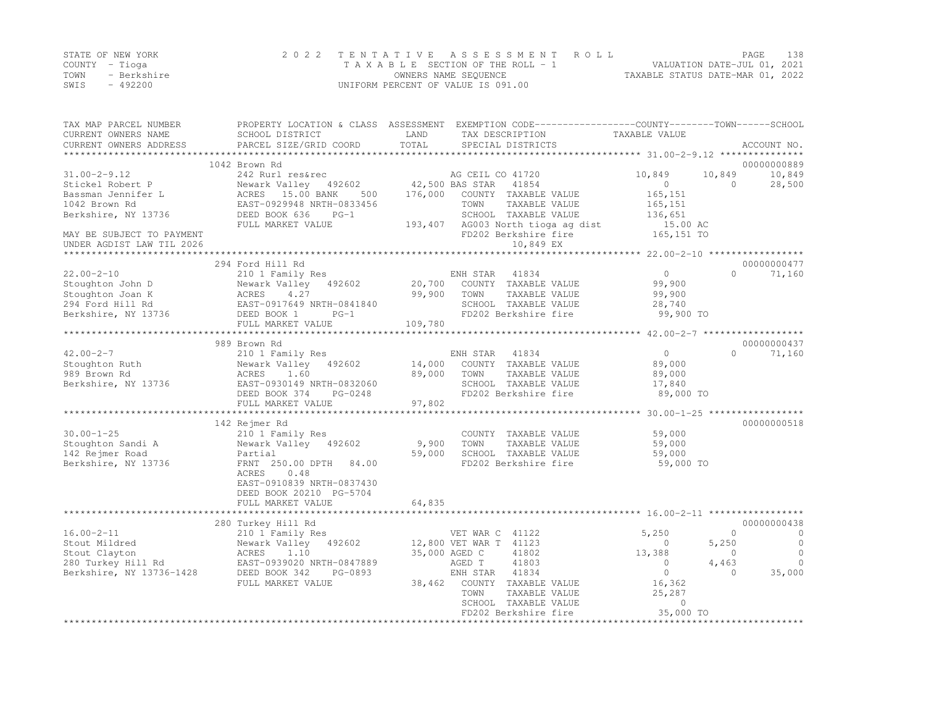|      | STATE OF NEW YORK | 2022 TENTATIVE ASSESSMENT ROLL     | 138<br>PAGE                      |
|------|-------------------|------------------------------------|----------------------------------|
|      | COUNTY – Tioga    | TAXABLE SECTION OF THE ROLL - 1    | VALUATION DATE-JUL 01, 2021      |
| TOWN | - Berkshire       | OWNERS NAME SEQUENCE               | TAXABLE STATUS DATE-MAR 01, 2022 |
| SWIS | - 492200          | UNIFORM PERCENT OF VALUE IS 091.00 |                                  |

| TAX MAP PARCEL NUMBER<br>CURRENT OWNERS NAME                                                         | SCHOOL DISTRICT                                                                                                                                           | LAND             | PROPERTY LOCATION & CLASS ASSESSMENT EXEMPTION CODE----------------COUNTY-------TOWN-----SCHOOL<br>TAX DESCRIPTION                      | TAXABLE VALUE                                                          |                                                    |                                                           |
|------------------------------------------------------------------------------------------------------|-----------------------------------------------------------------------------------------------------------------------------------------------------------|------------------|-----------------------------------------------------------------------------------------------------------------------------------------|------------------------------------------------------------------------|----------------------------------------------------|-----------------------------------------------------------|
| CURRENT OWNERS ADDRESS<br>*************************                                                  | PARCEL SIZE/GRID COORD                                                                                                                                    | TOTAL            | SPECIAL DISTRICTS                                                                                                                       |                                                                        |                                                    | ACCOUNT NO.                                               |
|                                                                                                      | 1042 Brown Rd                                                                                                                                             |                  |                                                                                                                                         |                                                                        |                                                    | 00000000889                                               |
| $31.00 - 2 - 9.12$<br>Stickel Robert P<br>Bassman Jennifer L                                         | 242 Rurl res&rec<br>Newark Valley 492602<br>ACRES 15.00 BANK<br>500                                                                                       | 176,000          | AG CEIL CO 41720<br>42,500 BAS STAR<br>41854<br>COUNTY TAXABLE VALUE                                                                    | 10,849<br>$\circ$<br>165, 151                                          | 10,849<br>$\Omega$                                 | 10,849<br>28,500                                          |
| 1042 Brown Rd<br>Berkshire, NY 13736<br>MAY BE SUBJECT TO PAYMENT                                    | EAST-0929948 NRTH-0833456<br>DEED BOOK 636<br>$PG-1$<br>FULL MARKET VALUE                                                                                 |                  | TAXABLE VALUE<br>TOWN<br>SCHOOL TAXABLE VALUE<br>193,407 AG003 North tioga ag dist<br>FD202 Berkshire fire                              | 165,151<br>136,651<br>15.00 AC<br>165,151 TO                           |                                                    |                                                           |
| UNDER AGDIST LAW TIL 2026                                                                            |                                                                                                                                                           |                  | 10,849 EX                                                                                                                               |                                                                        |                                                    |                                                           |
| ************************                                                                             |                                                                                                                                                           |                  |                                                                                                                                         |                                                                        |                                                    |                                                           |
|                                                                                                      | 294 Ford Hill Rd                                                                                                                                          |                  |                                                                                                                                         |                                                                        |                                                    | 00000000477                                               |
| $22.00 - 2 - 10$<br>Stoughton John D<br>Stoughton Joan K<br>294 Ford Hill Rd<br>Berkshire, NY 13736  | 210 1 Family Res<br>Newark Valley 492602<br>ACRES 4.27<br>EAST-0917649 NRTH-0841840<br>DEED BOOK 1<br>$PG-1$                                              | 20,700<br>99,900 | ENH STAR 41834<br>COUNTY TAXABLE VALUE<br>TOWN<br>TAXABLE VALUE<br>SCHOOL TAXABLE VALUE<br>FD202 Berkshire fire                         | $\overline{0}$<br>99,900<br>99,900<br>28,740<br>99,900 TO              | $\Omega$                                           | 71,160                                                    |
|                                                                                                      | FULL MARKET VALUE                                                                                                                                         | 109,780          |                                                                                                                                         |                                                                        |                                                    |                                                           |
|                                                                                                      |                                                                                                                                                           |                  |                                                                                                                                         |                                                                        |                                                    |                                                           |
|                                                                                                      | 989 Brown Rd                                                                                                                                              |                  |                                                                                                                                         | 0                                                                      | $\cap$                                             | 00000000437<br>71,160                                     |
| $42.00 - 2 - 7$<br>Stoughton Ruth<br>989 Brown Rd<br>Berkshire, NY 13736                             | 210 1 Family Res<br>Newark Valley 492602<br>ACRES<br>1.60<br>EAST-0930149 NRTH-0832060<br>DEED BOOK 374<br>$PG-0248$                                      | 14,000<br>89,000 | ENH STAR 41834<br>COUNTY TAXABLE VALUE<br>TOWN<br>TAXABLE VALUE<br>SCHOOL TAXABLE VALUE<br>FD202 Berkshire fire                         | 89,000<br>89,000<br>17,840<br>89,000 TO                                |                                                    |                                                           |
|                                                                                                      | FULL MARKET VALUE                                                                                                                                         | 97,802           |                                                                                                                                         |                                                                        |                                                    |                                                           |
|                                                                                                      |                                                                                                                                                           |                  |                                                                                                                                         |                                                                        |                                                    |                                                           |
|                                                                                                      | 142 Rejmer Rd                                                                                                                                             |                  |                                                                                                                                         |                                                                        |                                                    | 00000000518                                               |
| $30.00 - 1 - 25$<br>Stoughton Sandi A<br>142 Rejmer Road<br>Berkshire, NY 13736                      | 210 1 Family Res<br>Newark Valley 492602<br>Partial<br>FRNT 250.00 DPTH<br>84.00<br>ACRES<br>0.48<br>EAST-0910839 NRTH-0837430<br>DEED BOOK 20210 PG-5704 | 9,900<br>59,000  | COUNTY TAXABLE VALUE<br>TOWN<br>TAXABLE VALUE<br>SCHOOL TAXABLE VALUE<br>FD202 Berkshire fire                                           | 59,000<br>59,000<br>59,000<br>59,000 TO                                |                                                    |                                                           |
|                                                                                                      | FULL MARKET VALUE                                                                                                                                         | 64,835           |                                                                                                                                         |                                                                        |                                                    |                                                           |
|                                                                                                      |                                                                                                                                                           |                  |                                                                                                                                         |                                                                        |                                                    |                                                           |
|                                                                                                      | 280 Turkey Hill Rd                                                                                                                                        |                  |                                                                                                                                         |                                                                        |                                                    | 00000000438                                               |
| $16.00 - 2 - 11$<br>Stout Mildred<br>Stout Clayton<br>280 Turkey Hill Rd<br>Berkshire, NY 13736-1428 | 210 1 Family Res<br>Newark Valley 492602<br>ACRES<br>1.10<br>EAST-0939020 NRTH-0847889<br>DEED BOOK 342<br>PG-0893<br>FULL MARKET VALUE                   |                  | VET WAR C 41122<br>12,800 VET WAR T 41123<br>35,000 AGED C<br>41802<br>41803<br>AGED T<br>ENH STAR 41834<br>38,462 COUNTY TAXABLE VALUE | 5,250<br>$\circ$<br>13,388<br>$\Omega$<br>$\circ$<br>16,362            | $\Omega$<br>5,250<br>$\Omega$<br>4,463<br>$\Omega$ | $\mathbf{0}$<br>$\circ$<br>$\Omega$<br>$\Omega$<br>35,000 |
|                                                                                                      | ****************************                                                                                                                              |                  | TOWN<br>TAXABLE VALUE<br>SCHOOL TAXABLE VALUE<br>FD202 Berkshire fire<br>******************************                                 | 25,287<br>$\circ$<br>35,000 TO<br>************************************ |                                                    |                                                           |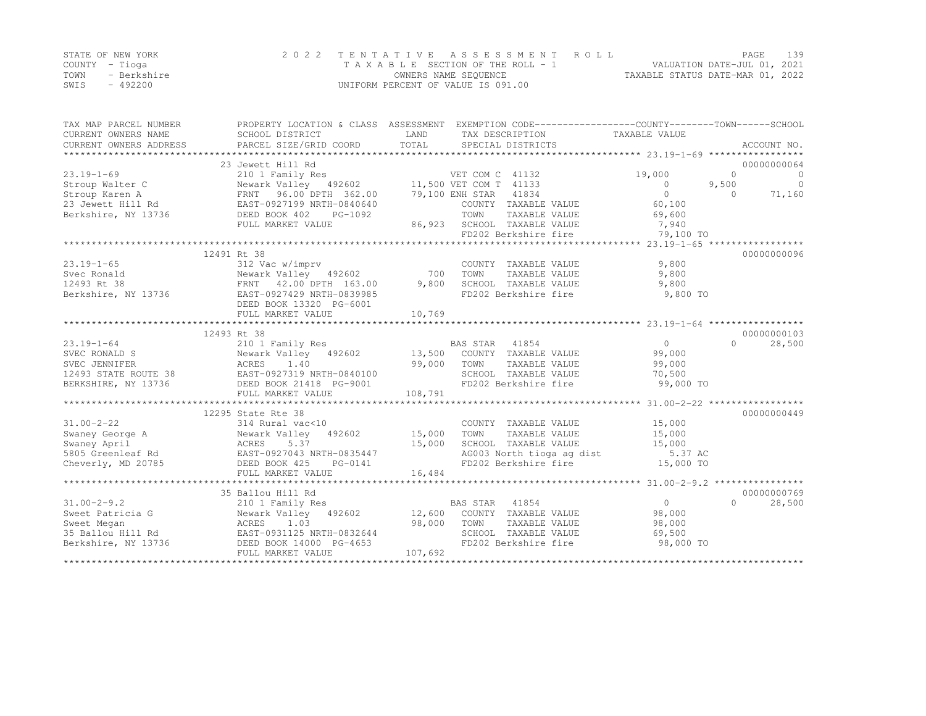|      | STATE OF NEW YORK | 2022 TENTATIVE ASSESSMENT ROLL     | PAGE                             | 139 |
|------|-------------------|------------------------------------|----------------------------------|-----|
|      | COUNTY – Tioga    | TAXABLE SECTION OF THE ROLL - 1    | VALUATION DATE-JUL 01, 2021      |     |
| TOWN | - Berkshire       | OWNERS NAME SEQUENCE               | TAXABLE STATUS DATE-MAR 01, 2022 |     |
| SWIS | $-492200$         | UNIFORM PERCENT OF VALUE IS 091.00 |                                  |     |

| TAX MAP PARCEL NUMBER<br>CURRENT OWNERS NAME<br>CURRENT OWNERS ADDRESS | SCHOOL DISTRICT<br>PARCEL SIZE/GRID COORD        | LAND<br>TOTAL  | PROPERTY LOCATION & CLASS ASSESSMENT EXEMPTION CODE---------------COUNTY-------TOWN-----SCHOOL<br>TAX DESCRIPTION TAXABLE VALUE<br>SPECIAL DISTRICTS |                | ACCOUNT NO.          |
|------------------------------------------------------------------------|--------------------------------------------------|----------------|------------------------------------------------------------------------------------------------------------------------------------------------------|----------------|----------------------|
|                                                                        | 23 Jewett Hill Rd                                |                |                                                                                                                                                      |                | 00000000064          |
| $23.19 - 1 - 69$                                                       | 210 1 Family Res                                 |                | VET COM C 41132                                                                                                                                      | 19,000         | $\Omega$<br>$\Omega$ |
| Stroup Walter C                                                        | Newark Valley 492602 11,500 VET COM T 41133      |                |                                                                                                                                                      | $\bigcirc$     | $\Omega$<br>9,500    |
| Stroup Karen A                                                         | FRNT 96.00 DPTH 362.00                           |                | 79,100 ENH STAR 41834                                                                                                                                | $\bigcirc$     | $\Omega$<br>71,160   |
| 23 Jewett Hill Rd                                                      | EAST-0927199 NRTH-0840640                        |                | COUNTY TAXABLE VALUE                                                                                                                                 | 60,100         |                      |
| Berkshire, NY 13736                                                    | DEED BOOK 402<br>PG-1092                         |                | TOWN<br>TAXABLE VALUE                                                                                                                                | 69,600         |                      |
|                                                                        | FULL MARKET VALUE                                |                | 86,923 SCHOOL TAXABLE VALUE                                                                                                                          | 7,940          |                      |
|                                                                        |                                                  |                | FD202 Berkshire fire                                                                                                                                 | 79,100 TO      |                      |
|                                                                        |                                                  |                |                                                                                                                                                      |                |                      |
|                                                                        | 12491 Rt 38                                      |                |                                                                                                                                                      |                | 00000000096          |
| $23.19 - 1 - 65$                                                       | 312 Vac w/imprv                                  |                | COUNTY TAXABLE VALUE                                                                                                                                 | 9,800          |                      |
| Svec Ronald                                                            | Newark Valley 492602                             | 700            | TOWN<br>TAXABLE VALUE                                                                                                                                | 9,800          |                      |
| 12493 Rt 38                                                            | FRNT 42.00 DPTH 163.00                           | 9,800          | SCHOOL TAXABLE VALUE                                                                                                                                 | 9,800          |                      |
| Berkshire, NY 13736                                                    | EAST-0927429 NRTH-0839985                        |                | FD202 Berkshire fire                                                                                                                                 | 9,800 TO       |                      |
|                                                                        | DEED BOOK 13320 PG-6001                          |                |                                                                                                                                                      |                |                      |
|                                                                        | FULL MARKET VALUE                                | 10,769         |                                                                                                                                                      |                |                      |
|                                                                        |                                                  |                |                                                                                                                                                      |                |                      |
|                                                                        | 12493 Rt 38                                      |                |                                                                                                                                                      |                | 00000000103          |
| $23.19 - 1 - 64$                                                       | 210 1 Family Res                                 |                | BAS STAR 41854                                                                                                                                       | $\overline{0}$ | $\bigcap$<br>28,500  |
| SVEC RONALD S                                                          | Newark Valley 492602                             |                | 13,500 COUNTY TAXABLE VALUE                                                                                                                          | 99,000         |                      |
| SVEC JENNIFER<br>12493 STATE ROUTE 38<br>BERKSHIRE, NY 13736           | ACRES<br>1.40                                    | 99,000         | TOWN<br>TAXABLE VALUE                                                                                                                                | 99,000         |                      |
|                                                                        | EAST-0927319 NRTH-0840100                        |                | SCHOOL TAXABLE VALUE                                                                                                                                 | 70,500         |                      |
| BERKSHIRE, NY 13736                                                    | DEED BOOK 21418 PG-9001                          |                | FD202 Berkshire fire                                                                                                                                 | 99,000 TO      |                      |
|                                                                        | FULL MARKET VALUE                                | 108,791        |                                                                                                                                                      |                |                      |
|                                                                        |                                                  |                |                                                                                                                                                      |                |                      |
|                                                                        | 12295 State Rte 38                               |                |                                                                                                                                                      |                | 00000000449          |
| $31.00 - 2 - 22$                                                       | 314 Rural vac<10                                 |                | COUNTY TAXABLE VALUE                                                                                                                                 | 15,000         |                      |
| Swaney George A                                                        | Newark Valley 492602<br>Newar}<br>ACRES          | 15,000         | TAXABLE VALUE<br>TOWN                                                                                                                                | 15,000         |                      |
| Swaney April                                                           | 5.37                                             | 15,000         | SCHOOL TAXABLE VALUE                                                                                                                                 | 15,000         |                      |
| 5805 Greenleaf Rd                                                      | EAST-0927043 NRTH-0835447                        |                | AG003 North tioga ag dist                                                                                                                            | 5.37 AC        |                      |
| Cheverly, MD 20785                                                     | DEED BOOK 425<br>PG-0141                         |                | FD202 Berkshire fire                                                                                                                                 | 15,000 TO      |                      |
|                                                                        | FULL MARKET VALUE                                | 16,484         |                                                                                                                                                      |                |                      |
|                                                                        | *****************************                    | ************** |                                                                                                                                                      |                |                      |
|                                                                        | 35 Ballou Hill Rd                                |                |                                                                                                                                                      |                | 00000000769          |
| $31.00 - 2 - 9.2$                                                      | 210 1 Family Res                                 |                | BAS STAR 41854                                                                                                                                       | $\overline{0}$ | 28,500<br>$\Omega$   |
| Sweet Patricia G                                                       | Newark Valley 492602 12,600 COUNTY TAXABLE VALUE |                |                                                                                                                                                      | 98,000         |                      |
| Sweet Megan                                                            | 1.03<br>ACRES                                    | 98,000         | TOWN<br>TAXABLE VALUE                                                                                                                                | 98,000         |                      |
| 35 Ballou Hill Rd                                                      | EAST-0931125 NRTH-0832644                        |                | SCHOOL TAXABLE VALUE                                                                                                                                 | 69,500         |                      |
| Berkshire, NY 13736                                                    | DEED BOOK 14000 PG-4653                          |                | FD202 Berkshire fire                                                                                                                                 | 98,000 TO      |                      |
|                                                                        | FULL MARKET VALUE                                | 107,692        |                                                                                                                                                      |                |                      |
|                                                                        |                                                  |                |                                                                                                                                                      |                |                      |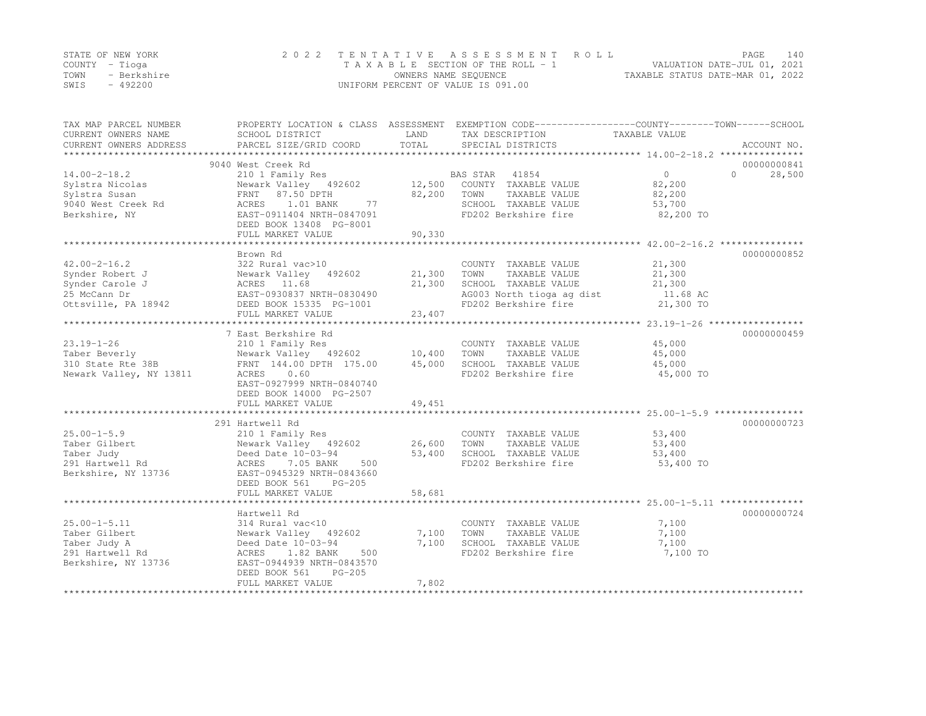|      | STATE OF NEW YORK | 2022 TENTATIVE ASSESSMENT ROLL     |                                  | PAGE                        | 140 |
|------|-------------------|------------------------------------|----------------------------------|-----------------------------|-----|
|      | COUNTY – Tioqa    | TAXABLE SECTION OF THE ROLL - 1    |                                  | VALUATION DATE-JUL 01, 2021 |     |
| TOWN | - Berkshire       | OWNERS NAME SEQUENCE               | TAXABLE STATUS DATE-MAR 01, 2022 |                             |     |
| SWIS | $-492200$         | UNIFORM PERCENT OF VALUE IS 091.00 |                                  |                             |     |

| TAX MAP PARCEL NUMBER<br>CURRENT OWNERS NAME | SCHOOL DISTRICT                        | LAND        | PROPERTY LOCATION & CLASS ASSESSMENT EXEMPTION CODE----------------COUNTY-------TOWN-----SCHOOL<br>TAX DESCRIPTION | TAXABLE VALUE |                                   |
|----------------------------------------------|----------------------------------------|-------------|--------------------------------------------------------------------------------------------------------------------|---------------|-----------------------------------|
| CURRENT OWNERS ADDRESS                       | PARCEL SIZE/GRID COORD                 | TOTAL       | SPECIAL DISTRICTS                                                                                                  |               | ACCOUNT NO.                       |
|                                              |                                        |             |                                                                                                                    |               |                                   |
|                                              | 9040 West Creek Rd<br>210 1 Family Res |             | BAS STAR 41854                                                                                                     | 0             | 00000000841<br>28,500<br>$\Omega$ |
| $14.00 - 2 - 18.2$                           | Newark Valley 492602                   | 12,500      | COUNTY TAXABLE VALUE                                                                                               | 82,200        |                                   |
| Sylstra Nicolas                              | FRNT 87.50 DPTH                        | 82,200 TOWN | TAXABLE VALUE                                                                                                      | 82,200        |                                   |
| Sylstra Susan                                | 1.01 BANK<br>77                        |             | SCHOOL TAXABLE VALUE                                                                                               | 53,700        |                                   |
| 9040 West Creek Rd                           | ACRES<br>EAST-0911404 NRTH-0847091     |             | FD202 Berkshire fire                                                                                               |               |                                   |
| Berkshire, NY                                | DEED BOOK 13408 PG-8001                |             |                                                                                                                    | 82,200 TO     |                                   |
|                                              | FULL MARKET VALUE                      | 90,330      |                                                                                                                    |               |                                   |
|                                              |                                        |             |                                                                                                                    |               |                                   |
|                                              | Brown Rd                               |             |                                                                                                                    |               | 00000000852                       |
| $42.00 - 2 - 16.2$                           | 322 Rural vac>10                       |             | COUNTY TAXABLE VALUE                                                                                               | 21,300        |                                   |
| Synder Robert J                              | Newark Valley 492602                   | 21,300      | TOWN<br>TAXABLE VALUE                                                                                              | 21,300        |                                   |
| Synder Carole J                              | ACRES 11.68                            | 21,300      | SCHOOL TAXABLE VALUE                                                                                               | 21,300        |                                   |
| 25 McCann Dr                                 | EAST-0930837 NRTH-0830490              |             | AG003 North tioga ag dist                                                                                          | 11.68 AC      |                                   |
| Ottsville, PA 18942                          | DEED BOOK 15335 PG-1001                |             | FD202 Berkshire fire                                                                                               | 21,300 TO     |                                   |
|                                              | FULL MARKET VALUE                      | 23,407      |                                                                                                                    |               |                                   |
|                                              |                                        |             |                                                                                                                    |               |                                   |
|                                              | 7 East Berkshire Rd                    |             |                                                                                                                    |               | 00000000459                       |
| $23.19 - 1 - 26$                             | 210 1 Family Res                       |             | COUNTY TAXABLE VALUE                                                                                               | 45,000        |                                   |
| Taber Beverly                                | Newark Valley 492602 10,400            |             | TOWN<br>TAXABLE VALUE                                                                                              | 45,000        |                                   |
| 310 State Rte 38B                            | FRNT 144.00 DPTH 175.00                | 45,000      | SCHOOL TAXABLE VALUE                                                                                               | 45,000        |                                   |
| Newark Valley, NY 13811                      | ACRES<br>0.60                          |             | FD202 Berkshire fire                                                                                               | 45,000 TO     |                                   |
|                                              | EAST-0927999 NRTH-0840740              |             |                                                                                                                    |               |                                   |
|                                              | DEED BOOK 14000 PG-2507                |             |                                                                                                                    |               |                                   |
|                                              | FULL MARKET VALUE                      | 49,451      |                                                                                                                    |               |                                   |
|                                              |                                        |             |                                                                                                                    |               |                                   |
|                                              | 291 Hartwell Rd                        |             |                                                                                                                    |               | 00000000723                       |
| $25.00 - 1 - 5.9$                            | 210 1 Family Res                       |             | COUNTY TAXABLE VALUE                                                                                               | 53,400        |                                   |
| Taber Gilbert                                | Newark Valley 492602                   | 26,600      | TAXABLE VALUE<br>TOWN                                                                                              | 53,400        |                                   |
| Taber Judy                                   | Deed Date 10-03-94                     | 53,400      | SCHOOL TAXABLE VALUE                                                                                               | 53,400        |                                   |
| 291 Hartwell Rd                              | 7.05 BANK<br>500<br>ACRES              |             | FD202 Berkshire fire                                                                                               | 53,400 TO     |                                   |
| Berkshire, NY 13736                          | EAST-0945329 NRTH-0843660              |             |                                                                                                                    |               |                                   |
|                                              | DEED BOOK 561<br>$PG-205$              |             |                                                                                                                    |               |                                   |
|                                              | FULL MARKET VALUE                      | 58,681      |                                                                                                                    |               |                                   |
|                                              |                                        |             |                                                                                                                    |               |                                   |
|                                              | Hartwell Rd                            |             |                                                                                                                    |               | 00000000724                       |
| $25.00 - 1 - 5.11$                           | 314 Rural vac<10                       |             | COUNTY TAXABLE VALUE                                                                                               | 7,100         |                                   |
| Taber Gilbert                                | Newark Valley 492602                   | 7,100       | TOWN<br>TAXABLE VALUE                                                                                              | 7,100         |                                   |
| Taber Judy A                                 | Deed Date 10-03-94                     | 7,100       | SCHOOL TAXABLE VALUE                                                                                               | 7,100         |                                   |
| 291 Hartwell Rd                              | 1.82 BANK<br>500<br>ACRES              |             | FD202 Berkshire fire                                                                                               | 7,100 TO      |                                   |
| Berkshire, NY 13736                          | EAST-0944939 NRTH-0843570              |             |                                                                                                                    |               |                                   |
|                                              | $PG-205$<br>DEED BOOK 561              |             |                                                                                                                    |               |                                   |
|                                              | FULL MARKET VALUE                      | 7,802       |                                                                                                                    |               |                                   |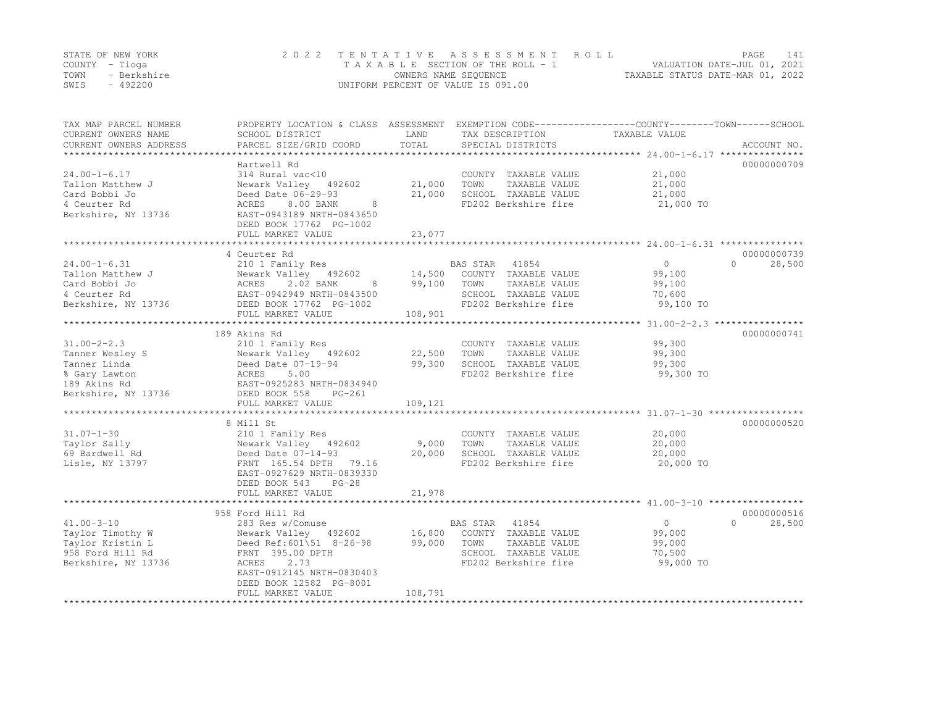| STATE OF NEW YORK |             | 2022 TENTATIVE ASSESSMENT ROLL     |                                  | PAGE                        | 141 |
|-------------------|-------------|------------------------------------|----------------------------------|-----------------------------|-----|
| COUNTY – Tioga    |             | TAXABLE SECTION OF THE ROLL - 1    |                                  | VALUATION DATE-JUL 01, 2021 |     |
| TOWN              | - Berkshire | OWNERS NAME SEQUENCE               | TAXABLE STATUS DATE-MAR 01, 2022 |                             |     |
| SWIS              | $-492200$   | UNIFORM PERCENT OF VALUE IS 091.00 |                                  |                             |     |

| TAX MAP PARCEL NUMBER<br>CURRENT OWNERS NAME<br>CURRENT OWNERS ADDRESS<br>**********************             | PROPERTY LOCATION & CLASS ASSESSMENT<br>SCHOOL DISTRICT<br>PARCEL SIZE/GRID COORD                                                                                                                          | LAND<br>TOTAL               | TAX DESCRIPTION<br>SPECIAL DISTRICTS                                                                               | EXEMPTION CODE-----------------COUNTY-------TOWN------SCHOOL<br>TAXABLE VALUE<br>ACCOUNT NO. |
|--------------------------------------------------------------------------------------------------------------|------------------------------------------------------------------------------------------------------------------------------------------------------------------------------------------------------------|-----------------------------|--------------------------------------------------------------------------------------------------------------------|----------------------------------------------------------------------------------------------|
| $24.00 - 1 - 6.17$<br>Tallon Matthew J<br>Card Bobbi Jo<br>4 Ceurter Rd<br>Berkshire, NY 13736               | Hartwell Rd<br>314 Rural vac<10<br>Newark Valley 492602<br>Deed Date 06-29-93<br>8.00 BANK<br>ACRES<br>8<br>EAST-0943189 NRTH-0843650<br>DEED BOOK 17762 PG-1002<br>FULL MARKET VALUE                      | 21,000<br>21,000<br>23,077  | COUNTY TAXABLE VALUE<br>TOWN<br>TAXABLE VALUE<br>SCHOOL TAXABLE VALUE<br>FD202 Berkshire fire                      | 00000000709<br>21,000<br>21,000<br>21,000<br>21,000 TO                                       |
|                                                                                                              |                                                                                                                                                                                                            |                             |                                                                                                                    |                                                                                              |
| $24.00 - 1 - 6.31$<br>Tallon Matthew J<br>Card Bobbi Jo<br>4 Ceurter Rd<br>Berkshire, NY 13736               | 4 Ceurter Rd<br>210 1 Family Res<br>Newark Valley 492602<br>ACRES<br>2.02 BANK<br>8<br>EAST-0942949 NRTH-0843500<br>DEED BOOK 17762 PG-1002<br>FULL MARKET VALUE                                           | 14,500<br>99,100<br>108,901 | BAS STAR 41854<br>COUNTY TAXABLE VALUE<br>TOWN<br>TAXABLE VALUE<br>SCHOOL TAXABLE VALUE<br>FD202 Berkshire fire    | 00000000739<br>$\circ$<br>$\Omega$<br>28,500<br>99,100<br>99,100<br>70,600<br>99,100 TO      |
|                                                                                                              | 189 Akins Rd                                                                                                                                                                                               |                             |                                                                                                                    | 00000000741                                                                                  |
| $31.00 - 2 - 2.3$<br>Tanner Wesley S<br>Tanner Linda<br>% Gary Lawton<br>189 Akins Rd<br>Berkshire, NY 13736 | 210 1 Family Res<br>Newark Valley 492602<br>Deed Date 07-19-94<br>ACRES<br>5.00<br>EAST-0925283 NRTH-0834940<br>DEED BOOK 558<br>$PG-261$<br>FULL MARKET VALUE                                             | 22,500<br>99,300<br>109,121 | COUNTY TAXABLE VALUE<br>TOWN<br>TAXABLE VALUE<br>SCHOOL TAXABLE VALUE<br>FD202 Berkshire fire                      | 99,300<br>99,300<br>99,300<br>99,300 TO                                                      |
|                                                                                                              | 8 Mill St                                                                                                                                                                                                  |                             |                                                                                                                    | 00000000520                                                                                  |
| $31.07 - 1 - 30$<br>Taylor Sally<br>69 Bardwell Rd<br>Lisle, NY 13797                                        | 210 1 Family Res<br>Newark Valley 492602<br>Deed Date 07-14-93<br>FRNT 165.54 DPTH<br>79.16<br>EAST-0927629 NRTH-0839330<br>DEED BOOK 543<br>$PG-28$                                                       | 9,000<br>20,000             | COUNTY TAXABLE VALUE<br>TOWN<br>TAXABLE VALUE<br>SCHOOL TAXABLE VALUE<br>FD202 Berkshire fire                      | 20,000<br>20,000<br>20,000<br>20,000 TO                                                      |
|                                                                                                              | FULL MARKET VALUE                                                                                                                                                                                          | 21,978                      |                                                                                                                    |                                                                                              |
|                                                                                                              | **********************************                                                                                                                                                                         |                             |                                                                                                                    |                                                                                              |
| $41.00 - 3 - 10$<br>Taylor Timothy W<br>Taylor Kristin L<br>958 Ford Hill Rd<br>Berkshire, NY 13736          | 958 Ford Hill Rd<br>283 Res w/Comuse<br>Newark Valley 492602<br>Deed Ref: 601\51 8-26-98<br>FRNT 395.00 DPTH<br>2.73<br>ACRES<br>EAST-0912145 NRTH-0830403<br>DEED BOOK 12582 PG-8001<br>FULL MARKET VALUE | 16,800<br>99,000<br>108,791 | BAS STAR<br>41854<br>COUNTY TAXABLE VALUE<br>TOWN<br>TAXABLE VALUE<br>SCHOOL TAXABLE VALUE<br>FD202 Berkshire fire | 00000000516<br>$\circ$<br>$\Omega$<br>28,500<br>99,000<br>99,000<br>70,500<br>99,000 TO      |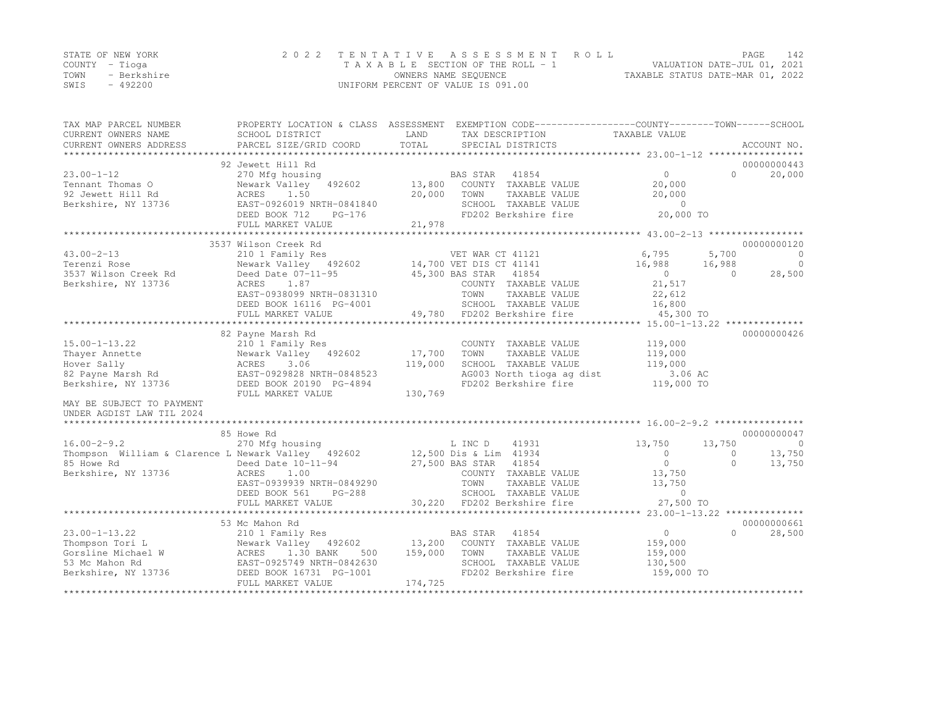|      | STATE OF NEW YORK | 2022 TENTATIVE ASSESSMENT ROLL     |                                  | PAGE | 142 |
|------|-------------------|------------------------------------|----------------------------------|------|-----|
|      | COUNTY – Tioga    | TAXABLE SECTION OF THE ROLL - 1    | VALUATION DATE-JUL 01, 2021      |      |     |
| TOWN | - Berkshire       | OWNERS NAME SEQUENCE               | TAXABLE STATUS DATE-MAR 01, 2022 |      |     |
| SWIS | - 492200          | UNIFORM PERCENT OF VALUE IS 091.00 |                                  |      |     |

| TAX MAP PARCEL NUMBER                              | PROPERTY LOCATION & CLASS ASSESSMENT EXEMPTION CODE---------------COUNTY-------TOWN-----SCHOOL |         |                        |                             |                |          |             |
|----------------------------------------------------|------------------------------------------------------------------------------------------------|---------|------------------------|-----------------------------|----------------|----------|-------------|
| CURRENT OWNERS NAME                                | SCHOOL DISTRICT                                                                                | LAND    |                        | TAX DESCRIPTION             | TAXABLE VALUE  |          |             |
| CURRENT OWNERS ADDRESS                             | PARCEL SIZE/GRID COORD                                                                         | TOTAL   |                        | SPECIAL DISTRICTS           |                |          | ACCOUNT NO. |
|                                                    |                                                                                                |         |                        |                             |                |          |             |
|                                                    | 92 Jewett Hill Rd                                                                              |         |                        |                             | 0              | $\cap$   | 00000000443 |
| $23.00 - 1 - 12$                                   | 270 Mfg housing                                                                                |         | BAS STAR               | 41854                       |                |          | 20,000      |
| Tennant Thomas O                                   | Newark Valley<br>492602                                                                        | 13,800  |                        | COUNTY TAXABLE VALUE        | 20,000         |          |             |
| 92 Jewett Hill Rd                                  | ACRES<br>1.50                                                                                  | 20,000  | TOWN                   | TAXABLE VALUE               | 20,000         |          |             |
| Berkshire, NY 13736                                | EAST-0926019 NRTH-0841840                                                                      |         |                        | SCHOOL TAXABLE VALUE        | $\bigcirc$     |          |             |
|                                                    | DEED BOOK 712<br>$PG-176$                                                                      |         |                        | FD202 Berkshire fire        | 20,000 TO      |          |             |
|                                                    | FULL MARKET VALUE                                                                              | 21,978  |                        |                             |                |          |             |
|                                                    |                                                                                                |         |                        |                             |                |          |             |
|                                                    | 3537 Wilson Creek Rd                                                                           |         |                        |                             |                |          | 00000000120 |
| $43.00 - 2 - 13$                                   | 210 1 Family Res                                                                               |         | VET WAR CT 41121       |                             | 6,795          | 5,700    | $\circ$     |
| Terenzi Rose                                       | Newark Valley 492602 14,700 VET DIS CT 41141                                                   |         |                        |                             | 16,988         | 16,988   | $\circ$     |
| 3537 Wilson Creek Rd                               | Deed Date 07-11-95                                                                             |         | 45,300 BAS STAR 41854  |                             | $\overline{0}$ | $\Omega$ | 28,500      |
| Berkshire, NY 13736                                | ACRES<br>1.87                                                                                  |         |                        | COUNTY TAXABLE VALUE        | 21,517         |          |             |
|                                                    | EAST-0938099 NRTH-0831310                                                                      |         | TOWN                   | TAXABLE VALUE               | 22,612         |          |             |
|                                                    | DEED BOOK 16116 PG-4001                                                                        |         |                        | SCHOOL TAXABLE VALUE        | 16,800         |          |             |
|                                                    | FULL MARKET VALUE                                                                              |         |                        | 49,780 FD202 Berkshire fire | 45,300 TO      |          |             |
|                                                    |                                                                                                |         |                        |                             |                |          |             |
|                                                    | 82 Payne Marsh Rd                                                                              |         |                        |                             |                |          | 00000000426 |
| $15.00 - 1 - 13.22$                                | 210 1 Family Res                                                                               |         |                        | COUNTY TAXABLE VALUE        | 119,000        |          |             |
| Thayer Annette                                     | Newark Valley 492602                                                                           | 17,700  | TOWN                   | TAXABLE VALUE               | 119,000        |          |             |
| Hover Sally                                        | 3.06<br>ACRES                                                                                  | 119,000 |                        | SCHOOL TAXABLE VALUE        | 119,000        |          |             |
| 82 Payne Marsh Rd                                  | EAST-0929828 NRTH-0848523                                                                      |         |                        | AG003 North tioga ag dist   | 3.06 AC        |          |             |
| Berkshire, NY 13736                                | DEED BOOK 20190 PG-4894                                                                        |         |                        | FD202 Berkshire fire        | 119,000 TO     |          |             |
|                                                    | FULL MARKET VALUE                                                                              | 130,769 |                        |                             |                |          |             |
| MAY BE SUBJECT TO PAYMENT                          |                                                                                                |         |                        |                             |                |          |             |
| UNDER AGDIST LAW TIL 2024                          |                                                                                                |         |                        |                             |                |          |             |
|                                                    |                                                                                                |         |                        |                             |                |          |             |
|                                                    | 85 Howe Rd                                                                                     |         |                        |                             |                |          | 00000000047 |
| $16.00 - 2 - 9.2$                                  | 270 Mfg housing                                                                                |         | L INC D                | 41931                       | 13,750         | 13,750   | $\circ$     |
| Thompson William & Clarence L Newark Valley 492602 |                                                                                                |         | 12,500 Dis & Lim 41934 |                             | $\circ$        | $\Omega$ | 13,750      |
| 85 Howe Rd                                         | Deed Date 10-11-94                                                                             |         | 27,500 BAS STAR        | 41854                       | $\overline{0}$ | $\Omega$ | 13,750      |
| Berkshire, NY 13736                                | ACRES<br>1.00                                                                                  |         |                        | COUNTY TAXABLE VALUE        | 13,750         |          |             |
|                                                    | EAST-0939939 NRTH-0849290                                                                      |         | TOWN                   | TAXABLE VALUE               | 13,750         |          |             |
|                                                    | DEED BOOK 561<br>$PG-288$                                                                      |         |                        | SCHOOL TAXABLE VALUE        | $\overline{0}$ |          |             |
|                                                    | FULL MARKET VALUE                                                                              |         |                        | 30,220 FD202 Berkshire fire | 27,500 TO      |          |             |
|                                                    | ****************************                                                                   |         |                        |                             |                |          |             |
|                                                    | 53 Mc Mahon Rd                                                                                 |         |                        |                             |                |          | 00000000661 |
| $23.00 - 1 - 13.22$                                | 210 1 Family Res                                                                               |         | BAS STAR               | 41854                       | $\circ$        | $\cap$   | 28,500      |
| Thompson Tori L                                    | Newark Valley 492602                                                                           | 13,200  |                        | COUNTY TAXABLE VALUE        | 159,000        |          |             |
| Gorsline Michael W                                 | 1.30 BANK<br>500<br>ACRES                                                                      | 159,000 | TOWN                   | TAXABLE VALUE               | 159,000        |          |             |
| 53 Mc Mahon Rd                                     | EAST-0925749 NRTH-0842630                                                                      |         |                        | SCHOOL TAXABLE VALUE        | 130,500        |          |             |
| Berkshire, NY 13736                                | DEED BOOK 16731 PG-1001                                                                        |         |                        | FD202 Berkshire fire        | 159,000 TO     |          |             |
|                                                    | FULL MARKET VALUE                                                                              | 174,725 |                        |                             |                |          |             |
|                                                    |                                                                                                |         |                        |                             |                |          |             |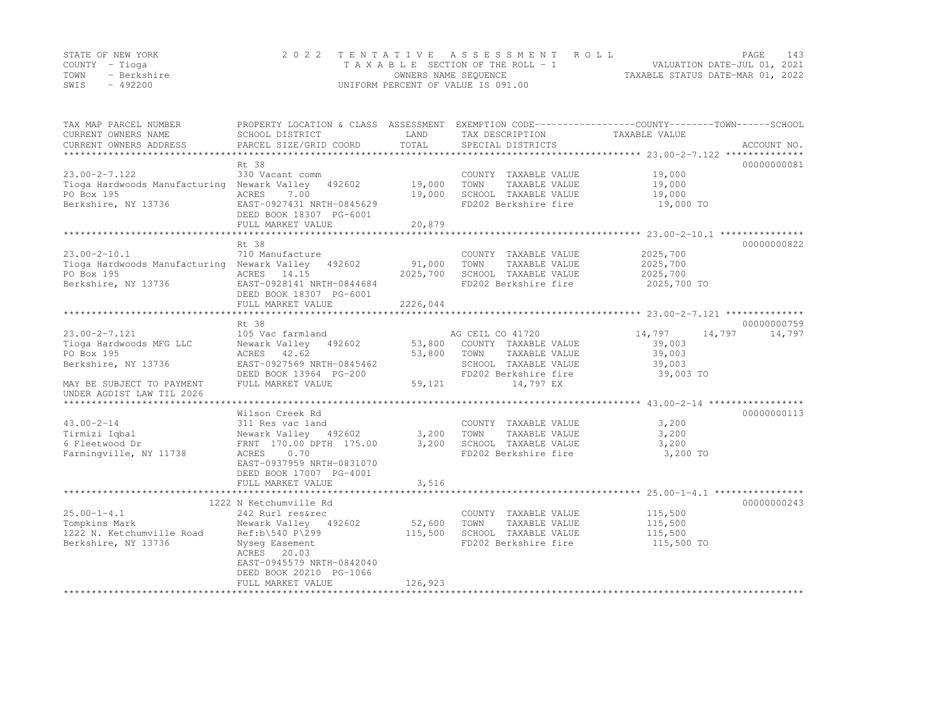|      | STATE OF NEW YORK | 2022 TENTATIVE ASSESSMENT ROLL     |                                  | PAGE | 143 |
|------|-------------------|------------------------------------|----------------------------------|------|-----|
|      | COUNTY – Tioga    | TAXABLE SECTION OF THE ROLL - 1    | VALUATION DATE-JUL 01, 2021      |      |     |
| TOWN | - Berkshire       | OWNERS NAME SEQUENCE               | TAXABLE STATUS DATE-MAR 01, 2022 |      |     |
| SWIS | - 492200          | UNIFORM PERCENT OF VALUE IS 091.00 |                                  |      |     |

| TAX MAP PARCEL NUMBER<br>CURRENT OWNERS NAME<br>CURRENT OWNERS ADDRESS | PROPERTY LOCATION & CLASS ASSESSMENT<br>SCHOOL DISTRICT<br>PARCEL SIZE/GRID COORD | LAND<br>TOTAL      | TAX DESCRIPTION<br>SPECIAL DISTRICTS         | EXEMPTION CODE-----------------COUNTY-------TOWN------SCHOOL<br>TAXABLE VALUE | ACCOUNT NO. |
|------------------------------------------------------------------------|-----------------------------------------------------------------------------------|--------------------|----------------------------------------------|-------------------------------------------------------------------------------|-------------|
|                                                                        |                                                                                   |                    |                                              |                                                                               |             |
|                                                                        | Rt 38                                                                             |                    |                                              |                                                                               | 00000000081 |
| $23.00 - 2 - 7.122$                                                    | 330 Vacant comm                                                                   |                    | COUNTY TAXABLE VALUE                         | 19,000                                                                        |             |
| Tioga Hardwoods Manufacturing Newark Valley                            | 492602                                                                            | 19,000             | TOWN<br>TAXABLE VALUE                        | 19,000                                                                        |             |
| PO Box 195                                                             | ACRES<br>7.00                                                                     | 19,000             | SCHOOL TAXABLE VALUE                         | 19,000                                                                        |             |
| Berkshire, NY 13736                                                    | EAST-0927431 NRTH-0845629<br>DEED BOOK 18307 PG-6001                              |                    | FD202 Berkshire fire                         | 19,000 TO                                                                     |             |
|                                                                        | FULL MARKET VALUE                                                                 | 20,879             |                                              |                                                                               |             |
|                                                                        |                                                                                   |                    |                                              |                                                                               |             |
|                                                                        | Rt 38                                                                             |                    |                                              |                                                                               | 00000000822 |
| $23.00 - 2 - 10.1$                                                     | 710 Manufacture                                                                   |                    | COUNTY TAXABLE VALUE                         | 2025,700                                                                      |             |
| Tioga Hardwoods Manufacturing Newark Valley 492602                     |                                                                                   | 91,000<br>2025,700 | TOWN<br>TAXABLE VALUE                        | 2025,700                                                                      |             |
| PO Box 195                                                             | ACRES 14.15                                                                       |                    | SCHOOL TAXABLE VALUE                         | 2025,700                                                                      |             |
| Berkshire, NY 13736                                                    | EAST-0928141 NRTH-0844684<br>DEED BOOK 18307 PG-6001                              |                    | FD202 Berkshire fire                         | 2025,700 TO                                                                   |             |
|                                                                        | FULL MARKET VALUE                                                                 | 2226,044           |                                              |                                                                               |             |
|                                                                        |                                                                                   |                    |                                              |                                                                               |             |
|                                                                        | Rt 38                                                                             |                    |                                              |                                                                               | 00000000759 |
| $23.00 - 2 - 7.121$                                                    | 105 Vac farmland                                                                  |                    | AG CEIL CO 41720                             | 14,797<br>14,797                                                              | 14,797      |
| Tioga Hardwoods MFG LLC                                                | Newark Valley 492602                                                              | 53,800             | COUNTY TAXABLE VALUE                         | 39,003                                                                        |             |
| PO Box 195                                                             | ACRES 42.62                                                                       | 53,800             | TOWN<br>TAXABLE VALUE                        | 39,003                                                                        |             |
| Berkshire, NY 13736                                                    | EAST-0927569 NRTH-0845462                                                         |                    | SCHOOL TAXABLE VALUE                         | 39,003                                                                        |             |
|                                                                        | DEED BOOK 13964 PG-200                                                            |                    | FD202 Berkshire fire                         | 39,003 TO                                                                     |             |
| MAY BE SUBJECT TO PAYMENT<br>UNDER AGDIST LAW TIL 2026                 | FULL MARKET VALUE                                                                 | 59,121             | 14,797 EX                                    |                                                                               |             |
|                                                                        |                                                                                   |                    |                                              |                                                                               |             |
|                                                                        | Wilson Creek Rd                                                                   |                    |                                              |                                                                               | 00000000113 |
| $43.00 - 2 - 14$                                                       | 311 Res vac land                                                                  |                    | COUNTY TAXABLE VALUE                         | 3,200                                                                         |             |
| Tirmizi Iqbal                                                          | Newark Valley 492602                                                              | 3,200              | TOWN<br>TAXABLE VALUE                        | 3,200                                                                         |             |
| 6 Fleetwood Dr                                                         | FRNT 170.00 DPTH 175.00                                                           | 3,200              | SCHOOL TAXABLE VALUE                         | 3,200                                                                         |             |
| Farmingville, NY 11738                                                 | 0.70<br>ACRES                                                                     |                    | FD202 Berkshire fire                         | 3,200 TO                                                                      |             |
|                                                                        | EAST-0937959 NRTH-0831070                                                         |                    |                                              |                                                                               |             |
|                                                                        | DEED BOOK 17007 PG-4001                                                           |                    |                                              |                                                                               |             |
|                                                                        | FULL MARKET VALUE                                                                 | 3,516              |                                              |                                                                               |             |
|                                                                        |                                                                                   |                    |                                              |                                                                               |             |
|                                                                        | 1222 N Ketchumville Rd                                                            |                    |                                              |                                                                               | 00000000243 |
| $25.00 - 1 - 4.1$                                                      | 242 Rurl res&rec                                                                  |                    | COUNTY TAXABLE VALUE                         | 115,500                                                                       |             |
| Tompkins Mark                                                          | Newark Valley 492602                                                              | 52,600             | TOWN<br>TAXABLE VALUE                        | 115,500                                                                       |             |
| 1222 N. Ketchumville Road<br>Berkshire, NY 13736                       | Ref:b\540 P\299                                                                   | 115,500            | SCHOOL TAXABLE VALUE<br>FD202 Berkshire fire | 115,500<br>115,500 TO                                                         |             |
|                                                                        | Nyseq Easement<br>ACRES 20.03                                                     |                    |                                              |                                                                               |             |
|                                                                        | EAST-0945579 NRTH-0842040                                                         |                    |                                              |                                                                               |             |
|                                                                        | DEED BOOK 20210 PG-1066                                                           |                    |                                              |                                                                               |             |
|                                                                        | FULL MARKET VALUE                                                                 | 126,923            |                                              |                                                                               |             |
|                                                                        |                                                                                   |                    | *******************************              |                                                                               |             |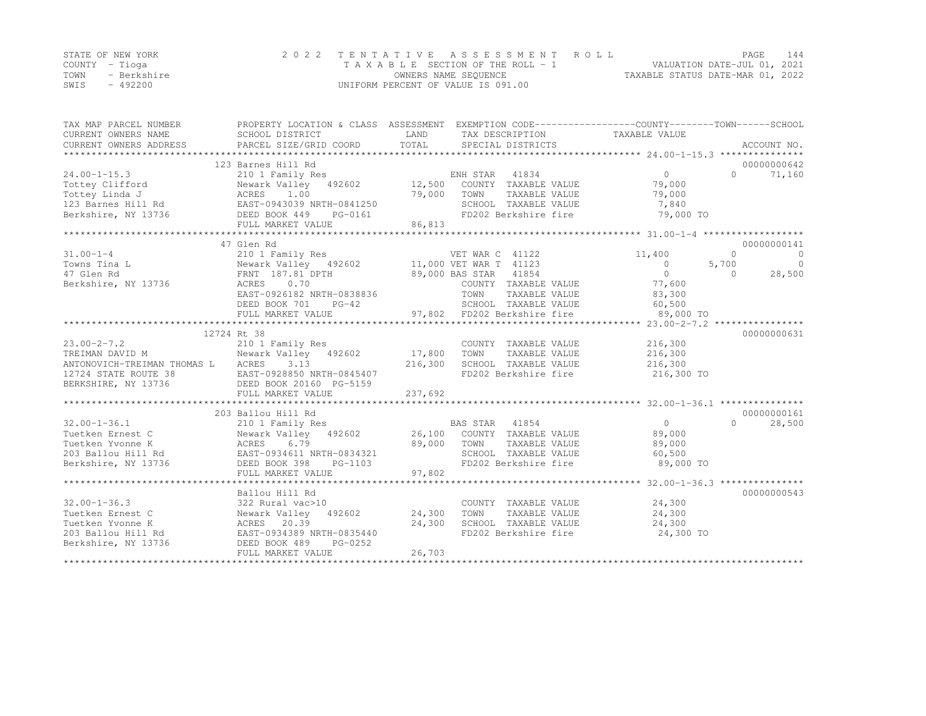|      | STATE OF NEW YORK | 2022 TENTATIVE ASSESSMENT ROLL     |                                  | PAGE | 144 |
|------|-------------------|------------------------------------|----------------------------------|------|-----|
|      | COUNTY – Tioga    | TAXABLE SECTION OF THE ROLL - 1    | VALUATION DATE-JUL 01, 2021      |      |     |
| TOWN | - Berkshire       | OWNERS NAME SEQUENCE               | TAXABLE STATUS DATE-MAR 01, 2022 |      |     |
| SWIS | $-492200$         | UNIFORM PERCENT OF VALUE IS 091.00 |                                  |      |     |

| CURRENT OWNERS ADDRESS<br>00000000642<br>123 Barnes Hill Rd<br>$24.00 - 1 - 15.3$<br>210 1 Family Res<br>ENH STAR 41834<br>$\Omega$<br>$\Omega$<br>71,160<br>Newark Valley 492602 12,500<br>Tottey Clifford<br>COUNTY TAXABLE VALUE<br>79,000<br>Tottey Linda J<br>ACRES 1.00<br>79,000<br>TOWN<br>TAXABLE VALUE<br>79,000<br>123 Barnes Hill Rd EAST-0943039 NRTH-0841250<br>SCHOOL TAXABLE VALUE<br>7,840<br>DEED BOOK 449<br>FD202 Berkshire fire<br>79,000 TO<br>PG-0161<br>86,813<br>FULL MARKET VALUE<br>47 Glen Rd<br>00000000141<br>$\circ$<br>$31.00 - 1 - 4$<br>VET WAR C 41122<br>$\overline{0}$<br>210 1 Family Res<br>11,400<br>5,700<br>$\overline{0}$<br>Towns Tina L<br>$\overline{0}$<br>$\overline{0}$<br>28,500<br>47 Glen Rd<br>$\Omega$<br>ACRES 0.70<br>77,600<br>Berkshire, NY 13736<br>COUNTY TAXABLE VALUE<br>TOWN     TAXABLE VALUE<br>83,300<br>EAST-0926182 NRTH-0838836<br>SCHOOL TAXABLE VALUE<br>DEED BOOK 701<br>$PG-42$<br>60, 500<br>12724 Rt 38<br>00000000631<br>$23.00 - 2 - 7.2$<br>210 1 Family Res<br>216,300<br>COUNTY TAXABLE VALUE<br>Newark Valley 492602 17,800<br>TOWN<br>TAXABLE VALUE<br>216,300<br>TREIMAN DAVID M<br>ANTONOVICH-TREIMAN THOMAS L ACRES<br>3.13<br>216,300<br>SCHOOL TAXABLE VALUE<br>216,300<br>FD202 Berkshire fire<br>12724 STATE ROUTE 38<br>EAST-0928850 NRTH-0845407<br>216,300 TO<br>BERKSHIRE, NY 13736<br>DEED BOOK 20160 PG-5159<br>237,692<br>FULL MARKET VALUE<br>203 Ballou Hill Rd<br>00000000161<br>$32.00 - 1 - 36.1$<br>BAS STAR 41854<br>28,500<br>210 1 Family Res<br>$\overline{0}$<br>$\cap$<br>Newark Valley 492602 26,100 COUNTY TAXABLE VALUE<br>Tuetken Ernest C<br>89,000<br>ACRES<br>6.79<br>89,000<br>89,000<br>Tuetken Yvonne K<br>TOWN<br>TAXABLE VALUE<br>EAST-0934611 NRTH-0834321<br>203 Ballou Hill Rd<br>SCHOOL TAXABLE VALUE<br>60,500<br>FD202 Berkshire fire<br>Berkshire, NY 13736<br>DEED BOOK 398<br>PG-1103<br>89,000 TO<br>97,802<br>FULL MARKET VALUE<br>Ballou Hill Rd<br>00000000543<br>24,300<br>322 Rural vac>10<br>COUNTY TAXABLE VALUE<br>Newark Valley 492602 24,300<br>TOWN<br>TAXABLE VALUE<br>24,300<br>24,300<br>SCHOOL TAXABLE VALUE<br>24,300<br>ACRES 20.33<br>EAST-0934389 NRTH-0835440<br>EAST-0934389 NRTH-0835440<br>FD202 Berkshire fire<br>24,300 TO<br>PG-0252<br>DEED BOOK 489<br>26,703<br>FULL MARKET VALUE | TAX MAP PARCEL NUMBER<br>CURRENT OWNERS NAME | PROPERTY LOCATION & CLASS ASSESSMENT EXEMPTION CODE---------------COUNTY-------TOWN-----SCHOOL<br>SCHOOL DISTRICT | LAND | TAX DESCRIPTION TAXABLE VALUE |  |
|--------------------------------------------------------------------------------------------------------------------------------------------------------------------------------------------------------------------------------------------------------------------------------------------------------------------------------------------------------------------------------------------------------------------------------------------------------------------------------------------------------------------------------------------------------------------------------------------------------------------------------------------------------------------------------------------------------------------------------------------------------------------------------------------------------------------------------------------------------------------------------------------------------------------------------------------------------------------------------------------------------------------------------------------------------------------------------------------------------------------------------------------------------------------------------------------------------------------------------------------------------------------------------------------------------------------------------------------------------------------------------------------------------------------------------------------------------------------------------------------------------------------------------------------------------------------------------------------------------------------------------------------------------------------------------------------------------------------------------------------------------------------------------------------------------------------------------------------------------------------------------------------------------------------------------------------------------------------------------------------------------------------------------------------------------------------------------------------------------------------------------------------------------------------------------------------------------------------------------------------------------------------------------------------------------------------------------------------------|----------------------------------------------|-------------------------------------------------------------------------------------------------------------------|------|-------------------------------|--|
|                                                                                                                                                                                                                                                                                                                                                                                                                                                                                                                                                                                                                                                                                                                                                                                                                                                                                                                                                                                                                                                                                                                                                                                                                                                                                                                                                                                                                                                                                                                                                                                                                                                                                                                                                                                                                                                                                                                                                                                                                                                                                                                                                                                                                                                                                                                                                  |                                              |                                                                                                                   |      |                               |  |
|                                                                                                                                                                                                                                                                                                                                                                                                                                                                                                                                                                                                                                                                                                                                                                                                                                                                                                                                                                                                                                                                                                                                                                                                                                                                                                                                                                                                                                                                                                                                                                                                                                                                                                                                                                                                                                                                                                                                                                                                                                                                                                                                                                                                                                                                                                                                                  |                                              |                                                                                                                   |      |                               |  |
|                                                                                                                                                                                                                                                                                                                                                                                                                                                                                                                                                                                                                                                                                                                                                                                                                                                                                                                                                                                                                                                                                                                                                                                                                                                                                                                                                                                                                                                                                                                                                                                                                                                                                                                                                                                                                                                                                                                                                                                                                                                                                                                                                                                                                                                                                                                                                  |                                              |                                                                                                                   |      |                               |  |
|                                                                                                                                                                                                                                                                                                                                                                                                                                                                                                                                                                                                                                                                                                                                                                                                                                                                                                                                                                                                                                                                                                                                                                                                                                                                                                                                                                                                                                                                                                                                                                                                                                                                                                                                                                                                                                                                                                                                                                                                                                                                                                                                                                                                                                                                                                                                                  |                                              |                                                                                                                   |      |                               |  |
|                                                                                                                                                                                                                                                                                                                                                                                                                                                                                                                                                                                                                                                                                                                                                                                                                                                                                                                                                                                                                                                                                                                                                                                                                                                                                                                                                                                                                                                                                                                                                                                                                                                                                                                                                                                                                                                                                                                                                                                                                                                                                                                                                                                                                                                                                                                                                  |                                              |                                                                                                                   |      |                               |  |
|                                                                                                                                                                                                                                                                                                                                                                                                                                                                                                                                                                                                                                                                                                                                                                                                                                                                                                                                                                                                                                                                                                                                                                                                                                                                                                                                                                                                                                                                                                                                                                                                                                                                                                                                                                                                                                                                                                                                                                                                                                                                                                                                                                                                                                                                                                                                                  |                                              |                                                                                                                   |      |                               |  |
|                                                                                                                                                                                                                                                                                                                                                                                                                                                                                                                                                                                                                                                                                                                                                                                                                                                                                                                                                                                                                                                                                                                                                                                                                                                                                                                                                                                                                                                                                                                                                                                                                                                                                                                                                                                                                                                                                                                                                                                                                                                                                                                                                                                                                                                                                                                                                  | Berkshire, NY 13736                          |                                                                                                                   |      |                               |  |
|                                                                                                                                                                                                                                                                                                                                                                                                                                                                                                                                                                                                                                                                                                                                                                                                                                                                                                                                                                                                                                                                                                                                                                                                                                                                                                                                                                                                                                                                                                                                                                                                                                                                                                                                                                                                                                                                                                                                                                                                                                                                                                                                                                                                                                                                                                                                                  |                                              |                                                                                                                   |      |                               |  |
|                                                                                                                                                                                                                                                                                                                                                                                                                                                                                                                                                                                                                                                                                                                                                                                                                                                                                                                                                                                                                                                                                                                                                                                                                                                                                                                                                                                                                                                                                                                                                                                                                                                                                                                                                                                                                                                                                                                                                                                                                                                                                                                                                                                                                                                                                                                                                  |                                              |                                                                                                                   |      |                               |  |
|                                                                                                                                                                                                                                                                                                                                                                                                                                                                                                                                                                                                                                                                                                                                                                                                                                                                                                                                                                                                                                                                                                                                                                                                                                                                                                                                                                                                                                                                                                                                                                                                                                                                                                                                                                                                                                                                                                                                                                                                                                                                                                                                                                                                                                                                                                                                                  |                                              |                                                                                                                   |      |                               |  |
|                                                                                                                                                                                                                                                                                                                                                                                                                                                                                                                                                                                                                                                                                                                                                                                                                                                                                                                                                                                                                                                                                                                                                                                                                                                                                                                                                                                                                                                                                                                                                                                                                                                                                                                                                                                                                                                                                                                                                                                                                                                                                                                                                                                                                                                                                                                                                  |                                              |                                                                                                                   |      |                               |  |
|                                                                                                                                                                                                                                                                                                                                                                                                                                                                                                                                                                                                                                                                                                                                                                                                                                                                                                                                                                                                                                                                                                                                                                                                                                                                                                                                                                                                                                                                                                                                                                                                                                                                                                                                                                                                                                                                                                                                                                                                                                                                                                                                                                                                                                                                                                                                                  |                                              |                                                                                                                   |      |                               |  |
|                                                                                                                                                                                                                                                                                                                                                                                                                                                                                                                                                                                                                                                                                                                                                                                                                                                                                                                                                                                                                                                                                                                                                                                                                                                                                                                                                                                                                                                                                                                                                                                                                                                                                                                                                                                                                                                                                                                                                                                                                                                                                                                                                                                                                                                                                                                                                  |                                              |                                                                                                                   |      |                               |  |
|                                                                                                                                                                                                                                                                                                                                                                                                                                                                                                                                                                                                                                                                                                                                                                                                                                                                                                                                                                                                                                                                                                                                                                                                                                                                                                                                                                                                                                                                                                                                                                                                                                                                                                                                                                                                                                                                                                                                                                                                                                                                                                                                                                                                                                                                                                                                                  |                                              |                                                                                                                   |      |                               |  |
|                                                                                                                                                                                                                                                                                                                                                                                                                                                                                                                                                                                                                                                                                                                                                                                                                                                                                                                                                                                                                                                                                                                                                                                                                                                                                                                                                                                                                                                                                                                                                                                                                                                                                                                                                                                                                                                                                                                                                                                                                                                                                                                                                                                                                                                                                                                                                  |                                              |                                                                                                                   |      |                               |  |
|                                                                                                                                                                                                                                                                                                                                                                                                                                                                                                                                                                                                                                                                                                                                                                                                                                                                                                                                                                                                                                                                                                                                                                                                                                                                                                                                                                                                                                                                                                                                                                                                                                                                                                                                                                                                                                                                                                                                                                                                                                                                                                                                                                                                                                                                                                                                                  |                                              |                                                                                                                   |      |                               |  |
|                                                                                                                                                                                                                                                                                                                                                                                                                                                                                                                                                                                                                                                                                                                                                                                                                                                                                                                                                                                                                                                                                                                                                                                                                                                                                                                                                                                                                                                                                                                                                                                                                                                                                                                                                                                                                                                                                                                                                                                                                                                                                                                                                                                                                                                                                                                                                  |                                              |                                                                                                                   |      |                               |  |
|                                                                                                                                                                                                                                                                                                                                                                                                                                                                                                                                                                                                                                                                                                                                                                                                                                                                                                                                                                                                                                                                                                                                                                                                                                                                                                                                                                                                                                                                                                                                                                                                                                                                                                                                                                                                                                                                                                                                                                                                                                                                                                                                                                                                                                                                                                                                                  |                                              |                                                                                                                   |      |                               |  |
|                                                                                                                                                                                                                                                                                                                                                                                                                                                                                                                                                                                                                                                                                                                                                                                                                                                                                                                                                                                                                                                                                                                                                                                                                                                                                                                                                                                                                                                                                                                                                                                                                                                                                                                                                                                                                                                                                                                                                                                                                                                                                                                                                                                                                                                                                                                                                  |                                              |                                                                                                                   |      |                               |  |
|                                                                                                                                                                                                                                                                                                                                                                                                                                                                                                                                                                                                                                                                                                                                                                                                                                                                                                                                                                                                                                                                                                                                                                                                                                                                                                                                                                                                                                                                                                                                                                                                                                                                                                                                                                                                                                                                                                                                                                                                                                                                                                                                                                                                                                                                                                                                                  |                                              |                                                                                                                   |      |                               |  |
|                                                                                                                                                                                                                                                                                                                                                                                                                                                                                                                                                                                                                                                                                                                                                                                                                                                                                                                                                                                                                                                                                                                                                                                                                                                                                                                                                                                                                                                                                                                                                                                                                                                                                                                                                                                                                                                                                                                                                                                                                                                                                                                                                                                                                                                                                                                                                  |                                              |                                                                                                                   |      |                               |  |
|                                                                                                                                                                                                                                                                                                                                                                                                                                                                                                                                                                                                                                                                                                                                                                                                                                                                                                                                                                                                                                                                                                                                                                                                                                                                                                                                                                                                                                                                                                                                                                                                                                                                                                                                                                                                                                                                                                                                                                                                                                                                                                                                                                                                                                                                                                                                                  |                                              |                                                                                                                   |      |                               |  |
|                                                                                                                                                                                                                                                                                                                                                                                                                                                                                                                                                                                                                                                                                                                                                                                                                                                                                                                                                                                                                                                                                                                                                                                                                                                                                                                                                                                                                                                                                                                                                                                                                                                                                                                                                                                                                                                                                                                                                                                                                                                                                                                                                                                                                                                                                                                                                  |                                              |                                                                                                                   |      |                               |  |
|                                                                                                                                                                                                                                                                                                                                                                                                                                                                                                                                                                                                                                                                                                                                                                                                                                                                                                                                                                                                                                                                                                                                                                                                                                                                                                                                                                                                                                                                                                                                                                                                                                                                                                                                                                                                                                                                                                                                                                                                                                                                                                                                                                                                                                                                                                                                                  |                                              |                                                                                                                   |      |                               |  |
|                                                                                                                                                                                                                                                                                                                                                                                                                                                                                                                                                                                                                                                                                                                                                                                                                                                                                                                                                                                                                                                                                                                                                                                                                                                                                                                                                                                                                                                                                                                                                                                                                                                                                                                                                                                                                                                                                                                                                                                                                                                                                                                                                                                                                                                                                                                                                  |                                              |                                                                                                                   |      |                               |  |
|                                                                                                                                                                                                                                                                                                                                                                                                                                                                                                                                                                                                                                                                                                                                                                                                                                                                                                                                                                                                                                                                                                                                                                                                                                                                                                                                                                                                                                                                                                                                                                                                                                                                                                                                                                                                                                                                                                                                                                                                                                                                                                                                                                                                                                                                                                                                                  |                                              |                                                                                                                   |      |                               |  |
|                                                                                                                                                                                                                                                                                                                                                                                                                                                                                                                                                                                                                                                                                                                                                                                                                                                                                                                                                                                                                                                                                                                                                                                                                                                                                                                                                                                                                                                                                                                                                                                                                                                                                                                                                                                                                                                                                                                                                                                                                                                                                                                                                                                                                                                                                                                                                  |                                              |                                                                                                                   |      |                               |  |
|                                                                                                                                                                                                                                                                                                                                                                                                                                                                                                                                                                                                                                                                                                                                                                                                                                                                                                                                                                                                                                                                                                                                                                                                                                                                                                                                                                                                                                                                                                                                                                                                                                                                                                                                                                                                                                                                                                                                                                                                                                                                                                                                                                                                                                                                                                                                                  |                                              |                                                                                                                   |      |                               |  |
|                                                                                                                                                                                                                                                                                                                                                                                                                                                                                                                                                                                                                                                                                                                                                                                                                                                                                                                                                                                                                                                                                                                                                                                                                                                                                                                                                                                                                                                                                                                                                                                                                                                                                                                                                                                                                                                                                                                                                                                                                                                                                                                                                                                                                                                                                                                                                  |                                              |                                                                                                                   |      |                               |  |
|                                                                                                                                                                                                                                                                                                                                                                                                                                                                                                                                                                                                                                                                                                                                                                                                                                                                                                                                                                                                                                                                                                                                                                                                                                                                                                                                                                                                                                                                                                                                                                                                                                                                                                                                                                                                                                                                                                                                                                                                                                                                                                                                                                                                                                                                                                                                                  |                                              |                                                                                                                   |      |                               |  |
|                                                                                                                                                                                                                                                                                                                                                                                                                                                                                                                                                                                                                                                                                                                                                                                                                                                                                                                                                                                                                                                                                                                                                                                                                                                                                                                                                                                                                                                                                                                                                                                                                                                                                                                                                                                                                                                                                                                                                                                                                                                                                                                                                                                                                                                                                                                                                  |                                              |                                                                                                                   |      |                               |  |
|                                                                                                                                                                                                                                                                                                                                                                                                                                                                                                                                                                                                                                                                                                                                                                                                                                                                                                                                                                                                                                                                                                                                                                                                                                                                                                                                                                                                                                                                                                                                                                                                                                                                                                                                                                                                                                                                                                                                                                                                                                                                                                                                                                                                                                                                                                                                                  |                                              |                                                                                                                   |      |                               |  |
|                                                                                                                                                                                                                                                                                                                                                                                                                                                                                                                                                                                                                                                                                                                                                                                                                                                                                                                                                                                                                                                                                                                                                                                                                                                                                                                                                                                                                                                                                                                                                                                                                                                                                                                                                                                                                                                                                                                                                                                                                                                                                                                                                                                                                                                                                                                                                  |                                              |                                                                                                                   |      |                               |  |
|                                                                                                                                                                                                                                                                                                                                                                                                                                                                                                                                                                                                                                                                                                                                                                                                                                                                                                                                                                                                                                                                                                                                                                                                                                                                                                                                                                                                                                                                                                                                                                                                                                                                                                                                                                                                                                                                                                                                                                                                                                                                                                                                                                                                                                                                                                                                                  |                                              |                                                                                                                   |      |                               |  |
|                                                                                                                                                                                                                                                                                                                                                                                                                                                                                                                                                                                                                                                                                                                                                                                                                                                                                                                                                                                                                                                                                                                                                                                                                                                                                                                                                                                                                                                                                                                                                                                                                                                                                                                                                                                                                                                                                                                                                                                                                                                                                                                                                                                                                                                                                                                                                  | $32.00 - 1 - 36.3$                           |                                                                                                                   |      |                               |  |
|                                                                                                                                                                                                                                                                                                                                                                                                                                                                                                                                                                                                                                                                                                                                                                                                                                                                                                                                                                                                                                                                                                                                                                                                                                                                                                                                                                                                                                                                                                                                                                                                                                                                                                                                                                                                                                                                                                                                                                                                                                                                                                                                                                                                                                                                                                                                                  | Tuetken Ernest C                             |                                                                                                                   |      |                               |  |
|                                                                                                                                                                                                                                                                                                                                                                                                                                                                                                                                                                                                                                                                                                                                                                                                                                                                                                                                                                                                                                                                                                                                                                                                                                                                                                                                                                                                                                                                                                                                                                                                                                                                                                                                                                                                                                                                                                                                                                                                                                                                                                                                                                                                                                                                                                                                                  | Tuetken Yvonne K                             |                                                                                                                   |      |                               |  |
|                                                                                                                                                                                                                                                                                                                                                                                                                                                                                                                                                                                                                                                                                                                                                                                                                                                                                                                                                                                                                                                                                                                                                                                                                                                                                                                                                                                                                                                                                                                                                                                                                                                                                                                                                                                                                                                                                                                                                                                                                                                                                                                                                                                                                                                                                                                                                  | 203 Ballou Hill Rd                           |                                                                                                                   |      |                               |  |
|                                                                                                                                                                                                                                                                                                                                                                                                                                                                                                                                                                                                                                                                                                                                                                                                                                                                                                                                                                                                                                                                                                                                                                                                                                                                                                                                                                                                                                                                                                                                                                                                                                                                                                                                                                                                                                                                                                                                                                                                                                                                                                                                                                                                                                                                                                                                                  | Berkshire, NY 13736                          |                                                                                                                   |      |                               |  |
|                                                                                                                                                                                                                                                                                                                                                                                                                                                                                                                                                                                                                                                                                                                                                                                                                                                                                                                                                                                                                                                                                                                                                                                                                                                                                                                                                                                                                                                                                                                                                                                                                                                                                                                                                                                                                                                                                                                                                                                                                                                                                                                                                                                                                                                                                                                                                  |                                              |                                                                                                                   |      |                               |  |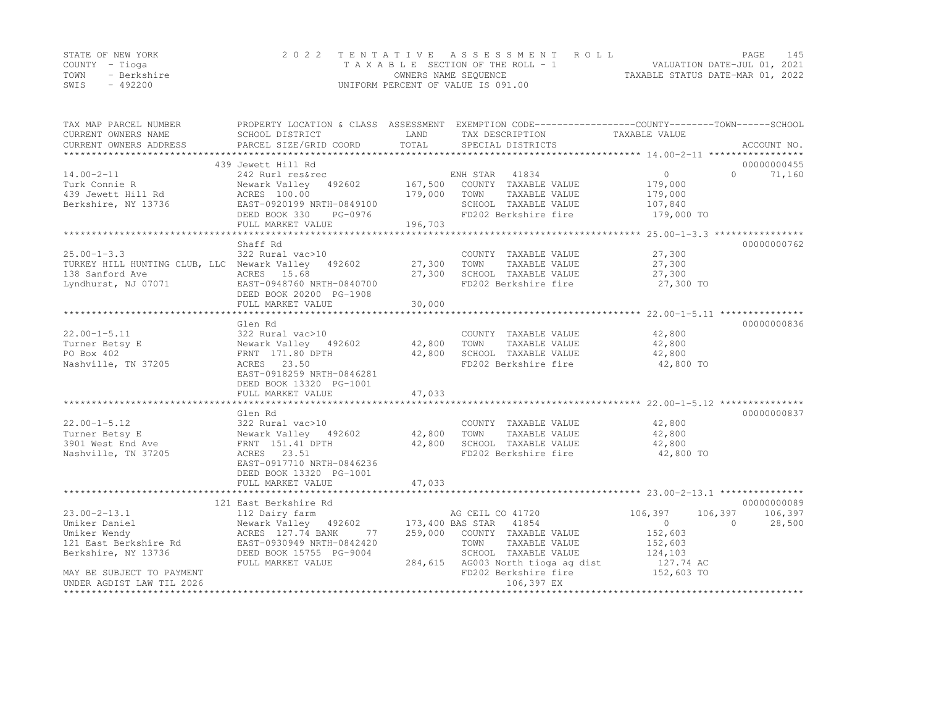|      | STATE OF NEW YORK | 2022 TENTATIVE ASSESSMENT ROLL     |                                  | PAGE | 145 |
|------|-------------------|------------------------------------|----------------------------------|------|-----|
|      | COUNTY – Tioga    | TAXABLE SECTION OF THE ROLL - 1    | VALUATION DATE-JUL 01, 2021      |      |     |
| TOWN | - Berkshire       | OWNERS NAME SEOUENCE               | TAXABLE STATUS DATE-MAR 01, 2022 |      |     |
| SWIS | - 492200          | UNIFORM PERCENT OF VALUE IS 091.00 |                                  |      |     |

| TAX MAP PARCEL NUMBER<br>CURRENT OWNERS NAME                                                                                                                                                                                                                                                                                                                                                                                                                                          | SCHOOL DISTRICT                                                                                                        | LAND         | PROPERTY LOCATION & CLASS ASSESSMENT EXEMPTION CODE-----------------COUNTY-------TOWN------SCHOOL<br>TAX DESCRIPTION | TAXABLE VALUE           |                      |
|---------------------------------------------------------------------------------------------------------------------------------------------------------------------------------------------------------------------------------------------------------------------------------------------------------------------------------------------------------------------------------------------------------------------------------------------------------------------------------------|------------------------------------------------------------------------------------------------------------------------|--------------|----------------------------------------------------------------------------------------------------------------------|-------------------------|----------------------|
| CURRENT OWNERS ADDRESS<br>$\begin{tabular}{lllllll} \textbf{CURENT} & \textbf{ADDRESS} & \textbf{PARCEL} & \textbf{SIZE/GRID COORD} & \textbf{TOTAL} & \textbf{SPECIAL} & \textbf{DISTRICTS} & \textbf{ACCOU} \\ \textbf{****}{\color{blue}\textbf{****}} & \textbf{PARCCD} & \textbf{PACCUL} & \textbf{SCEL} & \textbf{SCEL} & \textbf{SCEL} & \textbf{SCEL} & \textbf{PDCCIAL} & \textbf{SPECIAL} & \textbf{DISTRICTS} & \textbf{PECIAL} & \textbf{SPECIAL} \\ \textbf{14.00-2-11}$ |                                                                                                                        |              |                                                                                                                      |                         | ACCOUNT NO.          |
|                                                                                                                                                                                                                                                                                                                                                                                                                                                                                       |                                                                                                                        |              |                                                                                                                      |                         | ******               |
|                                                                                                                                                                                                                                                                                                                                                                                                                                                                                       | 439 Jewett Hill Rd                                                                                                     |              |                                                                                                                      |                         | 00000000455          |
| $14.00 - 2 - 11$                                                                                                                                                                                                                                                                                                                                                                                                                                                                      | 242 Rurl res&rec                                                                                                       |              | ENH STAR 41834                                                                                                       | 0                       | $\bigcap$<br>71,160  |
| Turk Connie R                                                                                                                                                                                                                                                                                                                                                                                                                                                                         | Newark Valley 492602                                                                                                   |              | 167,500 COUNTY TAXABLE VALUE                                                                                         | 179,000                 |                      |
| 439 Jewett Hill Rd                                                                                                                                                                                                                                                                                                                                                                                                                                                                    | ACRES 100.00                                                                                                           | 179,000 TOWN | TAXABLE VALUE                                                                                                        | 179,000                 |                      |
| Berkshire, NY 13736                                                                                                                                                                                                                                                                                                                                                                                                                                                                   | EAST-0920199 NRTH-0849100                                                                                              |              | SCHOOL TAXABLE VALUE                                                                                                 | 107,840                 |                      |
|                                                                                                                                                                                                                                                                                                                                                                                                                                                                                       | DEED BOOK 330<br>PG-0976                                                                                               |              | FD202 Berkshire fire 179,000 TO                                                                                      |                         |                      |
|                                                                                                                                                                                                                                                                                                                                                                                                                                                                                       | FULL MARKET VALUE                                                                                                      | 196, 703     |                                                                                                                      |                         |                      |
|                                                                                                                                                                                                                                                                                                                                                                                                                                                                                       | Shaff Rd                                                                                                               |              |                                                                                                                      |                         | 00000000762          |
| $25.00 - 1 - 3.3$                                                                                                                                                                                                                                                                                                                                                                                                                                                                     | 322 Rural vac>10                                                                                                       |              | COUNTY TAXABLE VALUE                                                                                                 | 27,300                  |                      |
| TURKEY HILL HUNTING CLUB, LLC Newark Valley 492602                                                                                                                                                                                                                                                                                                                                                                                                                                    |                                                                                                                        | 27,300       | TOWN<br>TAXABLE VALUE                                                                                                | 27,300                  |                      |
| 138 Sanford Ave                                                                                                                                                                                                                                                                                                                                                                                                                                                                       | ACRES 15.68                                                                                                            | 27,300       | SCHOOL TAXABLE VALUE                                                                                                 | 27,300                  |                      |
| Lyndhurst, NJ 07071                                                                                                                                                                                                                                                                                                                                                                                                                                                                   | EAST-0948760 NRTH-0840700                                                                                              |              | FD202 Berkshire fire                                                                                                 | 27,300 TO               |                      |
|                                                                                                                                                                                                                                                                                                                                                                                                                                                                                       | DEED BOOK 20200 PG-1908                                                                                                |              |                                                                                                                      |                         |                      |
|                                                                                                                                                                                                                                                                                                                                                                                                                                                                                       | FULL MARKET VALUE                                                                                                      | 30,000       |                                                                                                                      |                         |                      |
|                                                                                                                                                                                                                                                                                                                                                                                                                                                                                       |                                                                                                                        |              |                                                                                                                      |                         |                      |
|                                                                                                                                                                                                                                                                                                                                                                                                                                                                                       | Glen Rd                                                                                                                |              |                                                                                                                      |                         | 00000000836          |
| $22.00 - 1 - 5.11$                                                                                                                                                                                                                                                                                                                                                                                                                                                                    | 322 Rural vac>10                                                                                                       |              | COUNTY TAXABLE VALUE                                                                                                 | 42,800                  |                      |
| Turner Betsy E                                                                                                                                                                                                                                                                                                                                                                                                                                                                        | Newark Valley 492602 42,800                                                                                            |              | TOWN<br>TAXABLE VALUE                                                                                                | 42,800                  |                      |
| PO Box 402                                                                                                                                                                                                                                                                                                                                                                                                                                                                            | FRNT 171.80 DPTH                                                                                                       | 42,800       | SCHOOL TAXABLE VALUE                                                                                                 | 42,800                  |                      |
| Nashville, TN 37205                                                                                                                                                                                                                                                                                                                                                                                                                                                                   | ACRES 23.50                                                                                                            |              | FD202 Berkshire fire                                                                                                 | 42,800 TO               |                      |
|                                                                                                                                                                                                                                                                                                                                                                                                                                                                                       | EAST-0918259 NRTH-0846281                                                                                              |              |                                                                                                                      |                         |                      |
|                                                                                                                                                                                                                                                                                                                                                                                                                                                                                       | DEED BOOK 13320 PG-1001                                                                                                |              |                                                                                                                      |                         |                      |
|                                                                                                                                                                                                                                                                                                                                                                                                                                                                                       | FULL MARKET VALUE                                                                                                      | 47,033       |                                                                                                                      |                         |                      |
|                                                                                                                                                                                                                                                                                                                                                                                                                                                                                       |                                                                                                                        |              |                                                                                                                      |                         |                      |
|                                                                                                                                                                                                                                                                                                                                                                                                                                                                                       | Glen Rd                                                                                                                |              |                                                                                                                      |                         | 00000000837          |
| $22.00 - 1 - 5.12$                                                                                                                                                                                                                                                                                                                                                                                                                                                                    | 322 Rural vac>10                                                                                                       |              | COUNTY TAXABLE VALUE                                                                                                 | 42,800                  |                      |
| Turner Betsy E                                                                                                                                                                                                                                                                                                                                                                                                                                                                        |                                                                                                                        |              | TAXABLE VALUE                                                                                                        | 42,800                  |                      |
| 3901 West End Ave                                                                                                                                                                                                                                                                                                                                                                                                                                                                     | 322 Rural vac>10<br>Newark Valley   492602           42,800   TOWN<br>FRNT  151.41 DPTH                 42,800   SCHOC |              | SCHOOL TAXABLE VALUE                                                                                                 | 42,800                  |                      |
| Nashville, TN 37205                                                                                                                                                                                                                                                                                                                                                                                                                                                                   | ACRES 23.51                                                                                                            |              | FD202 Berkshire fire                                                                                                 | 42,800 TO               |                      |
|                                                                                                                                                                                                                                                                                                                                                                                                                                                                                       | EAST-0917710 NRTH-0846236                                                                                              |              |                                                                                                                      |                         |                      |
|                                                                                                                                                                                                                                                                                                                                                                                                                                                                                       | DEED BOOK 13320 PG-1001                                                                                                |              |                                                                                                                      |                         |                      |
|                                                                                                                                                                                                                                                                                                                                                                                                                                                                                       | FULL MARKET VALUE                                                                                                      | 47,033       |                                                                                                                      |                         |                      |
|                                                                                                                                                                                                                                                                                                                                                                                                                                                                                       |                                                                                                                        |              |                                                                                                                      |                         |                      |
|                                                                                                                                                                                                                                                                                                                                                                                                                                                                                       | 121 East Berkshire Rd                                                                                                  |              |                                                                                                                      |                         | 00000000089          |
| $23.00 - 2 - 13.1$                                                                                                                                                                                                                                                                                                                                                                                                                                                                    | 112 Dairy farm                                                                                                         |              | AG CEIL CO 41720                                                                                                     | 106,397<br>106,397      | 106,397              |
| Umiker Daniel                                                                                                                                                                                                                                                                                                                                                                                                                                                                         | Newark Valley 492602                                                                                                   |              | 173,400 BAS STAR 41854                                                                                               | $\overline{0}$          | $\bigcirc$<br>28,500 |
| Umiker Wendy                                                                                                                                                                                                                                                                                                                                                                                                                                                                          | ACRES 127.74 BANK<br>77                                                                                                | 259,000      | COUNTY TAXABLE VALUE                                                                                                 | 152,603                 |                      |
| 121 East Berkshire Rd                                                                                                                                                                                                                                                                                                                                                                                                                                                                 | EAST-0930949 NRTH-0842420                                                                                              |              | TOWN<br>TAXABLE VALUE                                                                                                | 152,603                 |                      |
| Berkshire, NY 13736                                                                                                                                                                                                                                                                                                                                                                                                                                                                   | DEED BOOK 15755 PG-9004                                                                                                |              | SCHOOL TAXABLE VALUE                                                                                                 | 124,103                 |                      |
|                                                                                                                                                                                                                                                                                                                                                                                                                                                                                       | FULL MARKET VALUE                                                                                                      |              | 284,615 AG003 North tioga ag dist                                                                                    | 127.74 AC<br>152,603 TO |                      |
| MAY BE SUBJECT TO PAYMENT                                                                                                                                                                                                                                                                                                                                                                                                                                                             |                                                                                                                        |              | FD202 Berkshire fire                                                                                                 |                         |                      |
| UNDER AGDIST LAW TIL 2026                                                                                                                                                                                                                                                                                                                                                                                                                                                             |                                                                                                                        |              | 106,397 EX                                                                                                           |                         |                      |
|                                                                                                                                                                                                                                                                                                                                                                                                                                                                                       |                                                                                                                        |              |                                                                                                                      |                         |                      |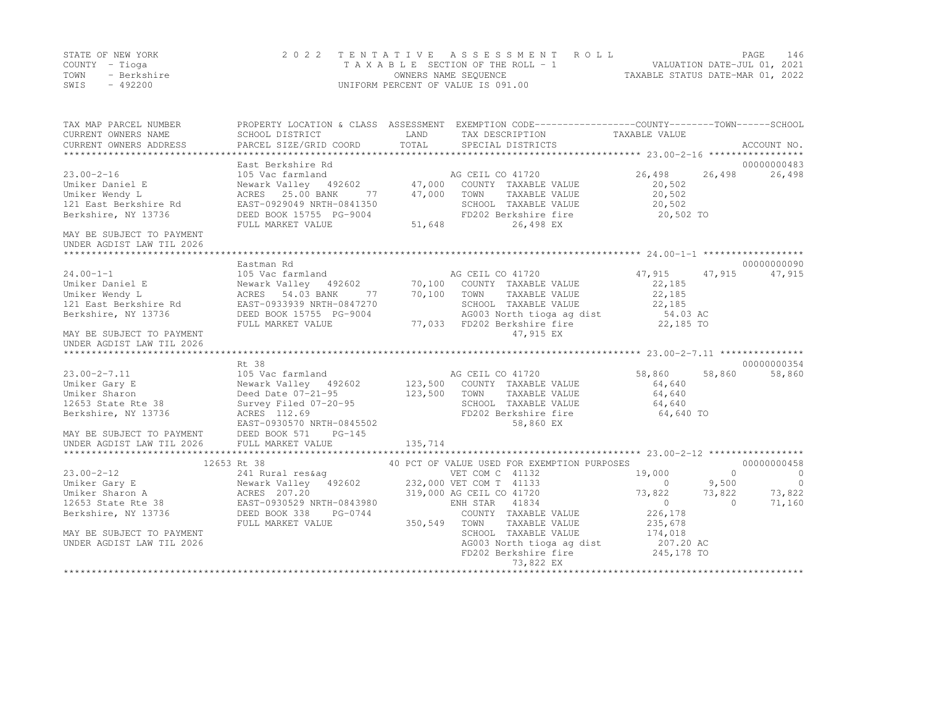|      | STATE OF NEW YORK | 2022 TENTATIVE ASSESSMENT ROLL     | PAGE.                            | 146 |
|------|-------------------|------------------------------------|----------------------------------|-----|
|      | COUNTY – Tioga    | TAXABLE SECTION OF THE ROLL - 1    | VALUATION DATE-JUL 01, 2021      |     |
| TOWN | - Berkshire       | OWNERS NAME SEQUENCE               | TAXABLE STATUS DATE-MAR 01, 2022 |     |
| SWIS | $-492200$         | UNIFORM PERCENT OF VALUE IS 091.00 |                                  |     |

| TAX MAP PARCEL NUMBER<br>CURRENT OWNERS NAME                             | SCHOOL DISTRICT                                                                                   | LAND           | PROPERTY LOCATION & CLASS ASSESSMENT EXEMPTION CODE---------------COUNTY-------TOWN-----SCHOOL<br>TAX DESCRIPTION TAXABLE VALUE |                    |                |                |
|--------------------------------------------------------------------------|---------------------------------------------------------------------------------------------------|----------------|---------------------------------------------------------------------------------------------------------------------------------|--------------------|----------------|----------------|
| CURRENT OWNERS ADDRESS                                                   | PARCEL SIZE/GRID COORD                                                                            | TOTAL          | SPECIAL DISTRICTS                                                                                                               |                    |                | ACCOUNT NO.    |
|                                                                          |                                                                                                   |                |                                                                                                                                 |                    |                | 00000000483    |
| $23.00 - 2 - 16$                                                         |                                                                                                   |                |                                                                                                                                 | 26,498             | 26,498         | 26,498         |
| Umiker Daniel E                                                          |                                                                                                   |                |                                                                                                                                 | 20,502             |                |                |
| Umiker Wendy L                                                           |                                                                                                   |                |                                                                                                                                 | 20,502             |                |                |
| 121 East Berkshire Rd                                                    | EAST-0929049 NRTH-0841350                                                                         |                | SCHOOL TAXABLE VALUE                                                                                                            | 20,502             |                |                |
| Berkshire, NY 13736                                                      | DEED BOOK 15755 PG-9004<br>FULL MARKET VALUE 51,648                                               |                | FD202 Berkshire fire                                                                                                            | 20,502 TO          |                |                |
| MAY BE SUBJECT TO PAYMENT                                                |                                                                                                   |                | 26,498 EX                                                                                                                       |                    |                |                |
| UNDER AGDIST LAW TIL 2026                                                |                                                                                                   |                |                                                                                                                                 |                    |                |                |
|                                                                          |                                                                                                   |                |                                                                                                                                 |                    |                |                |
|                                                                          | Eastman Rd                                                                                        |                |                                                                                                                                 |                    |                | 00000000090    |
| $24.00 - 1 - 1$                                                          | 105 Vac farmland                                                                                  |                | AG CEIL CO 41720                                                                                                                | 47,915             | 47,915         | 47,915         |
| Umiker Daniel E                                                          | Newark Valley 492602 70,100 COUNTY TAXABLE VALUE<br>ACRES 54.03 BANK 77 70,100 TOWN TAXABLE VALUE |                |                                                                                                                                 | 22,185             |                |                |
| Umiker Wendy L                                                           |                                                                                                   | 77 70,100 TOWN |                                                                                                                                 | 22,185             |                |                |
| 121 East Berkshire Rd                                                    | EAST-0933939 NRTH-0847270                                                                         |                | SCHOOL TAXABLE VALUE                                                                                                            | 22,185             |                |                |
| Berkshire, NY 13736                                                      | DEED BOOK 15755 PG-9004                                                                           |                | AG003 North tioga ag dist 54.03 AC                                                                                              |                    |                |                |
|                                                                          | FULL MARKET VALUE                                                                                 |                | 77,033 FD202 Berkshire fire                                                                                                     | 22,185 TO          |                |                |
| MAY BE SUBJECT TO PAYMENT                                                |                                                                                                   |                | 47,915 EX                                                                                                                       |                    |                |                |
| UNDER AGDIST LAW TIL 2026                                                |                                                                                                   |                |                                                                                                                                 |                    |                |                |
|                                                                          | Rt 38                                                                                             |                |                                                                                                                                 |                    |                | 00000000354    |
| 23.00-2-7.11<br>Carv E                                                   |                                                                                                   |                |                                                                                                                                 | 58,860             | 58,860         | 58,860         |
|                                                                          |                                                                                                   |                |                                                                                                                                 | 64,640             |                |                |
| Umiker Sharon                                                            |                                                                                                   |                | TAXABLE VALUE                                                                                                                   | 64,640             |                |                |
| 12653 State Rte 38                                                       |                                                                                                   |                |                                                                                                                                 | 64,640             |                |                |
| Berkshire, NY 13736                                                      |                                                                                                   |                | SCHOOL TAXABLE VALUE<br>FD202 Berkshire fire                                                                                    | $64,640$ TO        |                |                |
|                                                                          |                                                                                                   |                | 58,860 EX                                                                                                                       |                    |                |                |
|                                                                          |                                                                                                   |                |                                                                                                                                 |                    |                |                |
| MAY BE SUBJECT TO PAYMENT<br>UNDER AGDIST LAW TIL 2026 FULL MARKET VALUE |                                                                                                   | 135,714        |                                                                                                                                 |                    |                |                |
|                                                                          |                                                                                                   |                |                                                                                                                                 |                    |                |                |
|                                                                          | 12653 Rt 38                                                                                       |                | 40 PCT OF VALUE USED FOR EXEMPTION PURPOSES                                                                                     |                    |                | 00000000458    |
| $23.00 - 2 - 12$                                                         | 241 Rural res&ag                                                                                  |                | VET COM C 41132                                                                                                                 | 19,000             | $\overline{0}$ | $\sim$ 0       |
|                                                                          |                                                                                                   |                |                                                                                                                                 | $\overline{0}$     | 9,500          | $\overline{0}$ |
|                                                                          |                                                                                                   |                |                                                                                                                                 | $73,822$ $73,822$  |                | 73,822         |
| 12653 State Rte 38 EAST-0930529 NRTH-0843980                             |                                                                                                   |                | ENH STAR 41834                                                                                                                  | $\sim$ 0           | $\bigcap$      | 71,160         |
| Berkshire, NY 13736                                                      | DEED BOOK 338<br>PG-0744                                                                          |                | COUNTY TAXABLE VALUE                                                                                                            | 226,178<br>235,678 |                |                |
|                                                                          | FULL MARKET VALUE                                                                                 | $350,549$ TOWN | TAXABLE VALUE                                                                                                                   |                    |                |                |
| MAY BE SUBJECT TO PAYMENT                                                |                                                                                                   |                | SCHOOL TAXABLE VALUE                                                                                                            | 174,018            |                |                |
| UNDER AGDIST LAW TIL 2026                                                |                                                                                                   |                | AG003 North tioga ag dist 207.20 AC<br>FD202 Berkshire fire 245,178 TO                                                          |                    |                |                |
|                                                                          |                                                                                                   |                |                                                                                                                                 |                    |                |                |
|                                                                          |                                                                                                   |                | 73,822 EX                                                                                                                       |                    |                |                |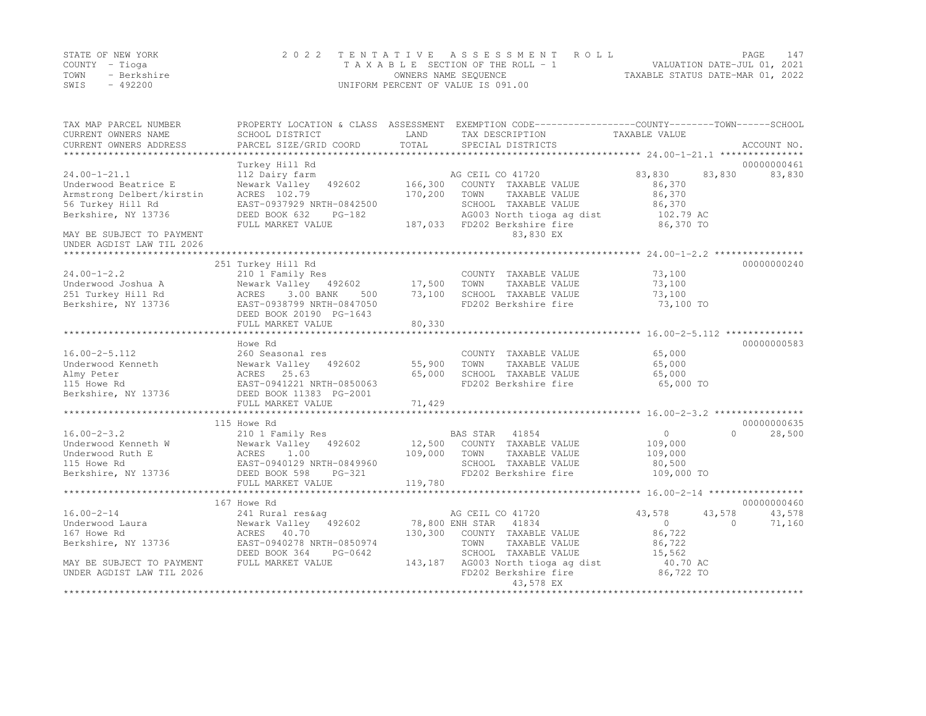|      | STATE OF NEW YORK | 2022 TENTATIVE ASSESSMENT ROLL     | PAGE.                            | 147 |
|------|-------------------|------------------------------------|----------------------------------|-----|
|      | COUNTY – Tioga    | TAXABLE SECTION OF THE ROLL - 1    | VALUATION DATE-JUL 01, 2021      |     |
| TOWN | - Berkshire       | OWNERS NAME SEQUENCE               | TAXABLE STATUS DATE-MAR 01, 2022 |     |
| SWIS | $-492200$         | UNIFORM PERCENT OF VALUE IS 091.00 |                                  |     |

| TAX MAP PARCEL NUMBER<br>CURRENT OWNERS NAME<br>CURRENT OWNERS ADDRESS | SCHOOL DISTRICT<br>PARCEL SIZE/GRID COORD | LAND<br>TOTAL | PROPERTY LOCATION & CLASS ASSESSMENT EXEMPTION CODE----------------COUNTY-------TOWN-----SCHOOL<br>TAX DESCRIPTION<br>SPECIAL DISTRICTS | TAXABLE VALUE | ACCOUNT NO.        |
|------------------------------------------------------------------------|-------------------------------------------|---------------|-----------------------------------------------------------------------------------------------------------------------------------------|---------------|--------------------|
|                                                                        |                                           |               |                                                                                                                                         |               |                    |
|                                                                        | Turkey Hill Rd                            |               |                                                                                                                                         |               | 00000000461        |
| $24.00 - 1 - 21.1$                                                     | 112 Dairy farm                            |               | AG CEIL CO 41720                                                                                                                        | 83,830        | 83,830<br>83,830   |
| Underwood Beatrice E                                                   | Newark Valley 492602                      | 166,300       | COUNTY TAXABLE VALUE                                                                                                                    | 86,370        |                    |
| Armstrong Delbert/kirstin                                              | ACRES 102.79                              | 170,200       | TOWN<br>TAXABLE VALUE                                                                                                                   | 86,370        |                    |
| 56 Turkey Hill Rd                                                      | EAST-0937929 NRTH-0842500                 |               | SCHOOL TAXABLE VALUE                                                                                                                    | 86,370        |                    |
| Berkshire, NY 13736                                                    | DEED BOOK 632<br>$PG-182$                 |               | AG003 North tioga ag dist                                                                                                               | 102.79 AC     |                    |
|                                                                        | FULL MARKET VALUE                         | 187,033       | FD202 Berkshire fire                                                                                                                    | 86,370 TO     |                    |
| MAY BE SUBJECT TO PAYMENT                                              |                                           |               | 83,830 EX                                                                                                                               |               |                    |
| UNDER AGDIST LAW TIL 2026                                              |                                           |               |                                                                                                                                         |               |                    |
|                                                                        |                                           |               |                                                                                                                                         |               |                    |
|                                                                        | 251 Turkey Hill Rd                        |               |                                                                                                                                         |               | 00000000240        |
| $24.00 - 1 - 2.2$                                                      | 210 1 Family Res                          |               | COUNTY TAXABLE VALUE                                                                                                                    | 73,100        |                    |
| Underwood Joshua A                                                     | Newark Valley 492602                      | 17,500        | TOWN<br>TAXABLE VALUE                                                                                                                   | 73,100        |                    |
| 251 Turkey Hill Rd                                                     | 3.00 BANK<br>ACRES<br>500                 | 73,100        | SCHOOL TAXABLE VALUE                                                                                                                    | 73,100        |                    |
| Berkshire, NY 13736                                                    | EAST-0938799 NRTH-0847050                 |               | FD202 Berkshire fire                                                                                                                    | 73,100 TO     |                    |
|                                                                        | DEED BOOK 20190 PG-1643                   |               |                                                                                                                                         |               |                    |
|                                                                        | FULL MARKET VALUE                         | 80,330        |                                                                                                                                         |               |                    |
|                                                                        |                                           |               |                                                                                                                                         |               |                    |
|                                                                        | Howe Rd                                   |               |                                                                                                                                         |               | 00000000583        |
| $16.00 - 2 - 5.112$                                                    | 260 Seasonal res                          |               | COUNTY TAXABLE VALUE                                                                                                                    | 65,000        |                    |
| Underwood Kenneth                                                      | Newark Valley 492602                      | 55,900        | TOWN<br>TAXABLE VALUE                                                                                                                   | 65,000        |                    |
| Almy Peter                                                             | ACRES 25.63                               | 65,000        | SCHOOL TAXABLE VALUE                                                                                                                    | 65,000        |                    |
| 115 Howe Rd                                                            | EAST-0941221 NRTH-0850063                 |               | FD202 Berkshire fire                                                                                                                    | 65,000 TO     |                    |
| Berkshire, NY 13736                                                    | DEED BOOK 11383 PG-2001                   |               |                                                                                                                                         |               |                    |
|                                                                        | FULL MARKET VALUE                         | 71,429        |                                                                                                                                         |               |                    |
|                                                                        |                                           |               |                                                                                                                                         |               |                    |
|                                                                        | 115 Howe Rd                               |               |                                                                                                                                         |               | 00000000635        |
| $16.00 - 2 - 3.2$                                                      | 210 1 Family Res                          |               | BAS STAR 41854                                                                                                                          | $\circ$       | $\cap$<br>28,500   |
| Underwood Kenneth W                                                    | Newark Valley 492602                      | 12,500        | COUNTY TAXABLE VALUE                                                                                                                    | 109,000       |                    |
| Underwood Ruth E                                                       |                                           | 109,000       | TOWN<br>TAXABLE VALUE                                                                                                                   | 109,000       |                    |
| 115 Howe Rd                                                            | ACRES 1.00<br>EAST-0940129 NRTH-0849960   |               | SCHOOL TAXABLE VALUE                                                                                                                    | 80,500        |                    |
| Berkshire, NY 13736                                                    | DEED BOOK 598<br>PG-321                   |               | FD202 Berkshire fire                                                                                                                    | 109,000 TO    |                    |
|                                                                        | FULL MARKET VALUE                         | 119,780       |                                                                                                                                         |               |                    |
|                                                                        |                                           |               |                                                                                                                                         |               |                    |
|                                                                        | 167 Howe Rd                               |               |                                                                                                                                         |               | 00000000460        |
| $16.00 - 2 - 14$                                                       | 241 Rural res&aq                          |               | AG CEIL CO 41720                                                                                                                        | 43,578        | 43,578<br>43,578   |
| Underwood Laura                                                        | Newark Valley 492602                      |               | 78,800 ENH STAR<br>41834                                                                                                                | $\Omega$      | $\Omega$<br>71,160 |
| 167 Howe Rd                                                            | ACRES 40.70                               | 130,300       | COUNTY TAXABLE VALUE                                                                                                                    | 86,722        |                    |
| Berkshire, NY 13736                                                    | EAST-0940278 NRTH-0850974                 |               | TOWN<br>TAXABLE VALUE                                                                                                                   | 86,722        |                    |
|                                                                        | DEED BOOK 364<br>PG-0642                  |               | SCHOOL TAXABLE VALUE                                                                                                                    | 15,562        |                    |
| MAY BE SUBJECT TO PAYMENT                                              | FULL MARKET VALUE                         | 143,187       | AG003 North tioga ag dist                                                                                                               | 40.70 AC      |                    |
| UNDER AGDIST LAW TIL 2026                                              |                                           |               | FD202 Berkshire fire                                                                                                                    | 86,722 TO     |                    |
|                                                                        |                                           |               | 43,578 EX                                                                                                                               |               |                    |
|                                                                        |                                           |               |                                                                                                                                         |               |                    |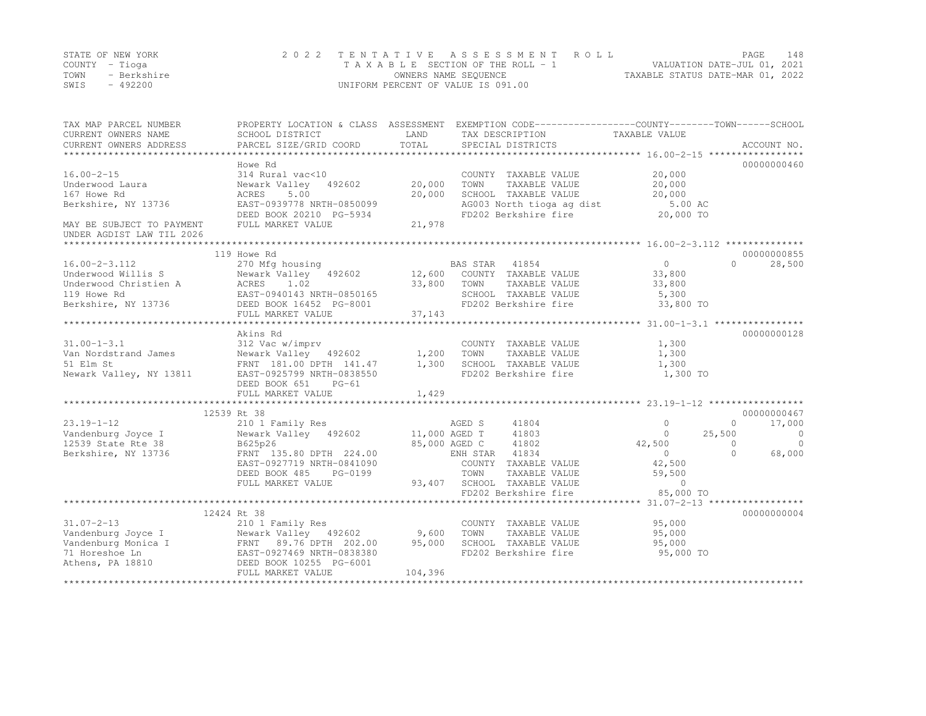|      | STATE OF NEW YORK | 2022 TENTATIVE ASSESSMENT ROLL     |                                  | PAGE. | 148 |
|------|-------------------|------------------------------------|----------------------------------|-------|-----|
|      | COUNTY – Tioga    | TAXABLE SECTION OF THE ROLL - 1    | VALUATION DATE-JUL 01, 2021      |       |     |
| TOWN | - Berkshire       | OWNERS NAME SEQUENCE               | TAXABLE STATUS DATE-MAR 01, 2022 |       |     |
| SWIS | - 492200          | UNIFORM PERCENT OF VALUE IS 091.00 |                                  |       |     |

| TAX MAP PARCEL NUMBER<br>CURRENT OWNERS NAME<br>CURRENT OWNERS ADDRESS | PROPERTY LOCATION & CLASS ASSESSMENT<br>SCHOOL DISTRICT<br>PARCEL SIZE/GRID COORD           | LAND<br>TOTAL    | TAX DESCRIPTION<br>SPECIAL DISTRICTS |               | EXEMPTION CODE-----------------COUNTY-------TOWN------SCHOOL<br>TAXABLE VALUE | ACCOUNT NO.         |
|------------------------------------------------------------------------|---------------------------------------------------------------------------------------------|------------------|--------------------------------------|---------------|-------------------------------------------------------------------------------|---------------------|
|                                                                        |                                                                                             |                  |                                      |               |                                                                               |                     |
| $16.00 - 2 - 15$                                                       | Howe Rd<br>314 Rural vac<10                                                                 |                  | COUNTY TAXABLE VALUE                 |               | 20,000                                                                        | 00000000460         |
| Underwood Laura<br>167 Howe Rd                                         | Newark Valley<br>492602<br>5.00<br>ACRES                                                    | 20,000<br>20,000 | TOWN<br>SCHOOL TAXABLE VALUE         | TAXABLE VALUE | 20,000<br>20,000                                                              |                     |
| Berkshire, NY 13736                                                    | EAST-0939778 NRTH-0850099                                                                   |                  | AG003 North tioga ag dist            |               | 5.00 AC                                                                       |                     |
| MAY BE SUBJECT TO PAYMENT                                              | DEED BOOK 20210 PG-5934<br>FULL MARKET VALUE                                                | 21,978           | FD202 Berkshire fire                 |               | 20,000 TO                                                                     |                     |
| UNDER AGDIST LAW TIL 2026                                              |                                                                                             |                  |                                      |               |                                                                               |                     |
|                                                                        |                                                                                             |                  |                                      |               |                                                                               |                     |
|                                                                        | 119 Howe Rd                                                                                 |                  |                                      |               |                                                                               | 00000000855         |
| $16.00 - 2 - 3.112$                                                    | 270 Mfg housing                                                                             |                  | BAS STAR<br>41854                    |               | $\Omega$                                                                      | 28,500<br>$\Omega$  |
| Underwood Willis S                                                     | Newark Valley 492602 12,600                                                                 |                  | COUNTY TAXABLE VALUE                 |               | 33,800                                                                        |                     |
| Underwood Christien A                                                  | ACRES 1.02<br>EAST-0940143 NRTH-0850165<br>DEED BOOK 16452 PG-8001                          | 33,800           | TOWN                                 | TAXABLE VALUE | 33,800                                                                        |                     |
| 119 Howe Rd                                                            |                                                                                             |                  | SCHOOL TAXABLE VALUE                 |               | 5,300                                                                         |                     |
| Berkshire, NY 13736                                                    |                                                                                             |                  | FD202 Berkshire fire                 |               | 33,800 TO                                                                     |                     |
|                                                                        | FULL MARKET VALUE                                                                           | 37,143           |                                      |               |                                                                               |                     |
|                                                                        |                                                                                             |                  |                                      |               |                                                                               |                     |
|                                                                        | Akins Rd                                                                                    |                  |                                      |               |                                                                               | 00000000128         |
| $31.00 - 1 - 3.1$                                                      | 312 Vac w/imprv                                                                             |                  | COUNTY TAXABLE VALUE                 |               | 1,300                                                                         |                     |
| Van Nordstrand James                                                   | Newark Valley 492602                                                                        | 1,200            | TOWN                                 | TAXABLE VALUE | 1,300                                                                         |                     |
| 51 Elm St                                                              | FRNT 181.00 DPTH 141.47                                                                     | 1,300            | SCHOOL TAXABLE VALUE                 |               | 1,300                                                                         |                     |
| Newark Valley, NY 13811                                                | EAST-0925799 NRTH-0838550<br>DEED BOOK 651<br>$PG-61$                                       |                  | FD202 Berkshire fire                 |               | 1,300 TO                                                                      |                     |
|                                                                        | FULL MARKET VALUE                                                                           | 1,429            |                                      |               |                                                                               |                     |
|                                                                        |                                                                                             |                  |                                      |               |                                                                               |                     |
|                                                                        | 12539 Rt 38                                                                                 |                  |                                      |               |                                                                               | 00000000467         |
| $23.19 - 1 - 12$                                                       | 210 1 Family Res                                                                            |                  | AGED S<br>41804                      |               | $\Omega$                                                                      | $\circ$<br>17,000   |
| Vandenburg Joyce I                                                     | Newark Valley 492602                                                                        | 11,000 AGED T    | 41803                                |               | 25,500<br>$\Omega$                                                            | $\bigcirc$          |
| 12539 State Rte 38                                                     | B625p26                                                                                     |                  | 85,000 AGED C<br>41802               |               | 42,500                                                                        | $\Omega$<br>$\circ$ |
| Berkshire, NY 13736                                                    | FRNT 135.80 DPTH 224.00                                                                     |                  | ENH STAR 41834                       |               | $\overline{0}$                                                                | $\Omega$<br>68,000  |
|                                                                        | EAST-0927719 NRTH-0841090                                                                   |                  | COUNTY TAXABLE VALUE                 |               | 42,500                                                                        |                     |
|                                                                        | DEED BOOK 485<br>PG-0199                                                                    |                  | TOWN                                 | TAXABLE VALUE | 59,500                                                                        |                     |
|                                                                        | FULL MARKET VALUE                                                                           |                  | 93,407 SCHOOL TAXABLE VALUE          |               | $\circ$                                                                       |                     |
|                                                                        |                                                                                             |                  | FD202 Berkshire fire                 |               | 85,000 TO                                                                     |                     |
|                                                                        |                                                                                             |                  |                                      |               |                                                                               |                     |
|                                                                        | 12424 Rt 38                                                                                 |                  |                                      |               |                                                                               | 00000000004         |
| $31.07 - 2 - 13$                                                       | 210 1 Family Res                                                                            |                  | COUNTY TAXABLE VALUE                 |               | 95,000                                                                        |                     |
| Vandenburg Joyce I                                                     | Newark Valley 492602 9,600                                                                  |                  | TOWN                                 | TAXABLE VALUE | 95,000                                                                        |                     |
| Vandenburg Monica I                                                    |                                                                                             | 95,000           | SCHOOL TAXABLE VALUE                 |               | 95,000                                                                        |                     |
| 71 Horeshoe Ln                                                         | Newark Valley<br>FRNT 89.76 DPTH 202.00<br>EAST-0927469 NRTH-0838380<br>----- 10255 PG-6001 |                  | FD202 Berkshire fire                 |               | 95,000 TO                                                                     |                     |
| Athens, PA 18810                                                       |                                                                                             |                  |                                      |               |                                                                               |                     |
|                                                                        | FULL MARKET VALUE                                                                           | 104,396          |                                      |               |                                                                               |                     |
|                                                                        |                                                                                             |                  |                                      |               |                                                                               |                     |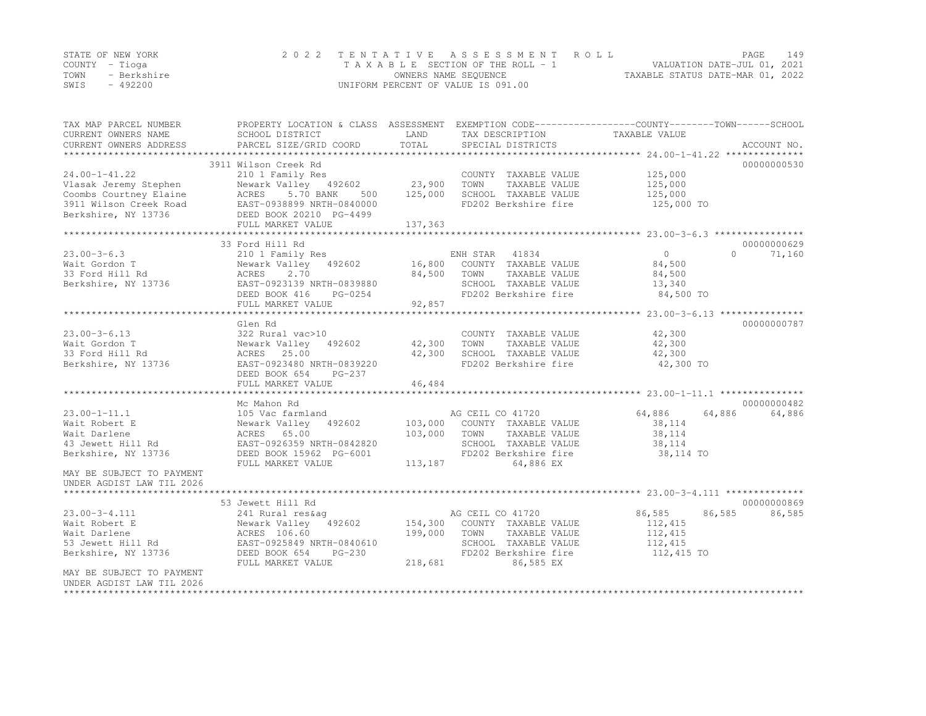|      | STATE OF NEW YORK | 2022 TENTATIVE ASSESSMENT ROLL     |                                  | PAGE. | 149 |
|------|-------------------|------------------------------------|----------------------------------|-------|-----|
|      | COUNTY – Tioga    | TAXABLE SECTION OF THE ROLL - 1    | VALUATION DATE-JUL 01, 2021      |       |     |
| TOWN | - Berkshire       | OWNERS NAME SEQUENCE               | TAXABLE STATUS DATE-MAR 01, 2022 |       |     |
| SWIS | - 492200          | UNIFORM PERCENT OF VALUE IS 091.00 |                                  |       |     |

| TAX MAP PARCEL NUMBER<br>CURRENT OWNERS NAME | SCHOOL DISTRICT           | LAND    | TAX DESCRIPTION       | PROPERTY LOCATION & CLASS ASSESSMENT EXEMPTION CODE----------------COUNTY-------TOWN------SCHOOL<br>TAXABLE VALUE |             |
|----------------------------------------------|---------------------------|---------|-----------------------|-------------------------------------------------------------------------------------------------------------------|-------------|
| CURRENT OWNERS ADDRESS                       | PARCEL SIZE/GRID COORD    | TOTAL   | SPECIAL DISTRICTS     |                                                                                                                   | ACCOUNT NO. |
|                                              |                           |         |                       |                                                                                                                   |             |
|                                              | 3911 Wilson Creek Rd      |         |                       |                                                                                                                   | 00000000530 |
| $24.00 - 1 - 41.22$                          | 210 1 Family Res          |         | COUNTY TAXABLE VALUE  | 125,000                                                                                                           |             |
| Vlasak Jeremy Stephen                        | Newark Valley 492602      | 23,900  | TOWN<br>TAXABLE VALUE | 125,000                                                                                                           |             |
| Coombs Courtney Elaine                       | ACRES<br>5.70 BANK<br>500 | 125,000 | SCHOOL TAXABLE VALUE  | 125,000                                                                                                           |             |
| 3911 Wilson Creek Road                       | EAST-0938899 NRTH-0840000 |         | FD202 Berkshire fire  | 125,000 TO                                                                                                        |             |
| Berkshire, NY 13736                          | DEED BOOK 20210 PG-4499   |         |                       |                                                                                                                   |             |
|                                              | FULL MARKET VALUE         | 137,363 |                       |                                                                                                                   |             |
|                                              |                           |         |                       |                                                                                                                   |             |
|                                              | 33 Ford Hill Rd           |         |                       |                                                                                                                   | 00000000629 |
| $23.00 - 3 - 6.3$                            | 210 1 Family Res          |         | ENH STAR 41834        | $\bigcirc$<br>$\Omega$                                                                                            | 71,160      |
| Wait Gordon T                                | Newark Valley 492602      | 16,800  | COUNTY TAXABLE VALUE  | 84,500                                                                                                            |             |
| 33 Ford Hill Rd                              | ACRES<br>2.70             | 84,500  | TOWN<br>TAXABLE VALUE | 84,500                                                                                                            |             |
| Berkshire, NY 13736                          | EAST-0923139 NRTH-0839880 |         | SCHOOL TAXABLE VALUE  | 13,340                                                                                                            |             |
|                                              | DEED BOOK 416<br>PG-0254  |         | FD202 Berkshire fire  | 84,500 TO                                                                                                         |             |
|                                              | FULL MARKET VALUE         | 92,857  |                       |                                                                                                                   |             |
|                                              |                           |         |                       |                                                                                                                   |             |
|                                              | Glen Rd                   |         |                       |                                                                                                                   | 00000000787 |
| $23.00 - 3 - 6.13$                           | 322 Rural vac>10          |         | COUNTY TAXABLE VALUE  | 42,300                                                                                                            |             |
| Wait Gordon T                                | Newark Valley 492602      | 42,300  | TOWN<br>TAXABLE VALUE | 42,300                                                                                                            |             |
| 33 Ford Hill Rd                              | ACRES 25.00               | 42,300  | SCHOOL TAXABLE VALUE  | 42,300                                                                                                            |             |
|                                              |                           |         |                       |                                                                                                                   |             |
| Berkshire, NY 13736                          | EAST-0923480 NRTH-0839220 |         | FD202 Berkshire fire  | 42,300 TO                                                                                                         |             |
|                                              | DEED BOOK 654<br>PG-237   |         |                       |                                                                                                                   |             |
|                                              | FULL MARKET VALUE         | 46,484  |                       |                                                                                                                   |             |
|                                              |                           |         |                       |                                                                                                                   |             |
|                                              | Mc Mahon Rd               |         |                       |                                                                                                                   | 00000000482 |
| $23.00 - 1 - 11.1$                           | 105 Vac farmland          |         | AG CEIL CO 41720      | 64,886<br>64,886                                                                                                  | 64,886      |
| Wait Robert E                                | Newark Valley 492602      | 103,000 | COUNTY TAXABLE VALUE  | 38,114                                                                                                            |             |
| Wait Darlene                                 | ACRES 65.00               | 103,000 | TOWN<br>TAXABLE VALUE | 38,114                                                                                                            |             |
| 43 Jewett Hill Rd                            | EAST-0926359 NRTH-0842820 |         | SCHOOL TAXABLE VALUE  | 38,114                                                                                                            |             |
| Berkshire, NY 13736                          | DEED BOOK 15962 PG-6001   |         | FD202 Berkshire fire  | 38,114 TO                                                                                                         |             |
|                                              | FULL MARKET VALUE         | 113,187 | 64,886 EX             |                                                                                                                   |             |
| MAY BE SUBJECT TO PAYMENT                    |                           |         |                       |                                                                                                                   |             |
| UNDER AGDIST LAW TIL 2026                    |                           |         |                       |                                                                                                                   |             |
|                                              |                           |         |                       |                                                                                                                   |             |
|                                              | 53 Jewett Hill Rd         |         |                       |                                                                                                                   | 00000000869 |
| $23.00 - 3 - 4.111$                          | 241 Rural res&ag          |         | AG CEIL CO 41720      | 86,585<br>86,585                                                                                                  | 86,585      |
| Wait Robert E                                | Newark Valley 492602      | 154,300 | COUNTY TAXABLE VALUE  | 112,415                                                                                                           |             |
| Wait Darlene                                 | ACRES 106.60              | 199,000 | TOWN<br>TAXABLE VALUE | 112,415                                                                                                           |             |
| 53 Jewett Hill Rd                            | EAST-0925849 NRTH-0840610 |         | SCHOOL TAXABLE VALUE  | 112,415                                                                                                           |             |
| Berkshire, NY 13736                          | DEED BOOK 654<br>$PG-230$ |         | FD202 Berkshire fire  | 112,415 TO                                                                                                        |             |
|                                              | FULL MARKET VALUE         | 218,681 | 86,585 EX             |                                                                                                                   |             |
| MAY BE SUBJECT TO PAYMENT                    |                           |         |                       |                                                                                                                   |             |
| UNDER AGDIST LAW TIL 2026                    |                           |         |                       |                                                                                                                   |             |

\*\*\*\*\*\*\*\*\*\*\*\*\*\*\*\*\*\*\*\*\*\*\*\*\*\*\*\*\*\*\*\*\*\*\*\*\*\*\*\*\*\*\*\*\*\*\*\*\*\*\*\*\*\*\*\*\*\*\*\*\*\*\*\*\*\*\*\*\*\*\*\*\*\*\*\*\*\*\*\*\*\*\*\*\*\*\*\*\*\*\*\*\*\*\*\*\*\*\*\*\*\*\*\*\*\*\*\*\*\*\*\*\*\*\*\*\*\*\*\*\*\*\*\*\*\*\*\*\*\*\*\*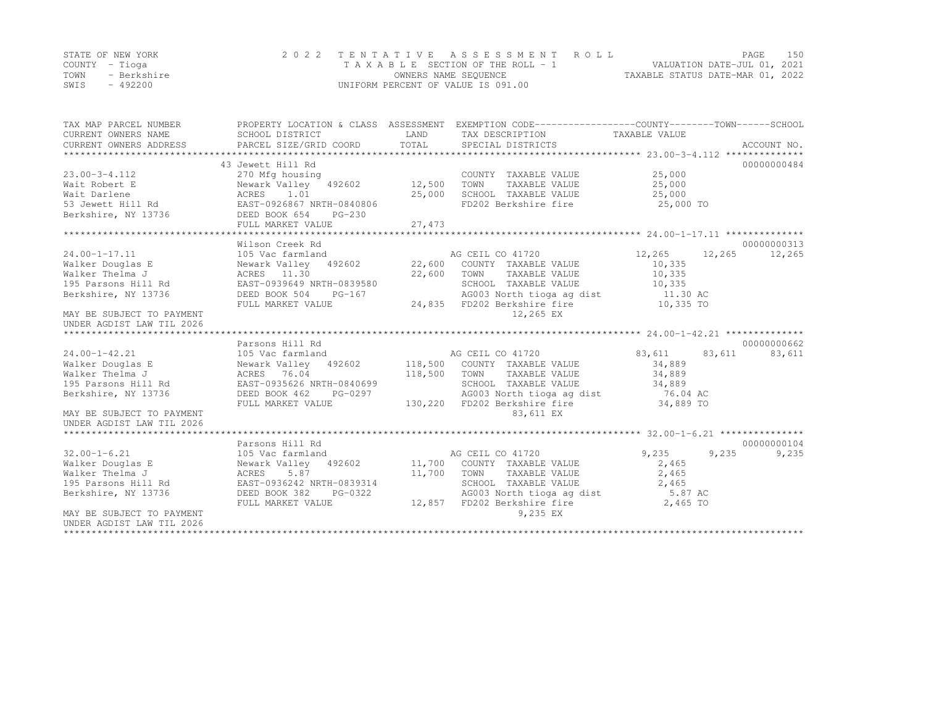|      | STATE OF NEW YORK | 2022 TENTATIVE ASSESSMENT ROLL     |                                  | PAGE | 150 |
|------|-------------------|------------------------------------|----------------------------------|------|-----|
|      | COUNTY – Tioga    | TAXABLE SECTION OF THE ROLL - 1    | VALUATION DATE-JUL 01, 2021      |      |     |
| TOWN | - Berkshire       | OWNERS NAME SEQUENCE               | TAXABLE STATUS DATE-MAR 01, 2022 |      |     |
| SWIS | - 492200          | UNIFORM PERCENT OF VALUE IS 091.00 |                                  |      |     |

| TAX MAP PARCEL NUMBER<br>CURRENT OWNERS NAME<br>CURRENT OWNERS ADDRESS                                                                                                                                                                                  | SCHOOL DISTRICT<br>PARCEL SIZE/GRID COORD                                                                                                                                                                                                                                                                             | LAND<br>TOTAL | PROPERTY LOCATION & CLASS ASSESSMENT EXEMPTION CODE---------------COUNTY-------TOWN-----SCHOOL<br>TAX DESCRIPTION TAXABLE VALUE<br>SPECIAL DISTRICTS                                |                                                                                                                     | ACCOUNT NO.                     |
|---------------------------------------------------------------------------------------------------------------------------------------------------------------------------------------------------------------------------------------------------------|-----------------------------------------------------------------------------------------------------------------------------------------------------------------------------------------------------------------------------------------------------------------------------------------------------------------------|---------------|-------------------------------------------------------------------------------------------------------------------------------------------------------------------------------------|---------------------------------------------------------------------------------------------------------------------|---------------------------------|
| $23.00 - 3 - 4.112$<br>Wait Robert E<br>Wewark Valley 492602 12,500<br>Wait Darlene Mewark Valley 492602 12,500<br>53 Jewett Hill Rd EAST-0926867 NRTH-0840806<br>Berkshire, NY 13736 DEED BOOK 654 PG-230                                              | 43 Jewett Hill Rd<br>270 Mfg housing                                                                                                                                                                                                                                                                                  |               | COUNTY TAXABLE VALUE<br>TOWN<br>TAXABLE VALUE<br>SCHOOL TAXABLE VALUE<br>FD202 Berkshire fire                                                                                       | 25,000<br>25,000<br>25,000<br>25,000 TO                                                                             | 00000000484                     |
|                                                                                                                                                                                                                                                         | FULL MARKET VALUE                                                                                                                                                                                                                                                                                                     | 27,473        |                                                                                                                                                                                     |                                                                                                                     |                                 |
|                                                                                                                                                                                                                                                         | Wilson Creek Rd                                                                                                                                                                                                                                                                                                       |               |                                                                                                                                                                                     |                                                                                                                     | 00000000313                     |
| $24.00 - 1 - 17.11$<br>Walker Douglas E<br>Walker Thelma J<br>195 Parsons Hill Rd<br>Berkshire, NY 13736<br>MAY BE SUBJECT TO PAYMENT<br>UNDER AGDIST LAW TIL 2026<br>$24.00 - 1 - 42.21$<br>Walker Douglas E<br>Walker Thelma J<br>195 Parsons Hill Rd | 105 Vac farmland<br>ACRES 11.30<br>Rd EAST-0939649 NRTH-0839580<br>736 DEED BOOK 504 PG-167<br>$PG-167$<br>DEED BOOK 504<br>FULL MARKET VALUE<br>Parsons Hill Rd<br>105 Vac farmland<br>Newark Valley 492602 118,500 COUNTY TAXABLE VALUE<br>ACRES 76.04<br>Rd EAST-0935626 NRTH-0840699<br>736 DEED BOOK 462 PG-0297 | 22,600 TOWN   | TAXABLE VALUE<br>SCHOOL TAXABLE VALUE<br>AG003 North tioga ag dist<br>24,835 FD202 Berkshire fire<br>12,265 EX<br>118,500 TOWN TAXABLE VALUE                                        | 12,265 12,265<br>10,335<br>10,335<br>10,335<br>11.30 AC<br>10,335 TO<br>83,611 83,611<br>34,889<br>34,889<br>34,889 | 12,265<br>00000000662<br>83,611 |
| Berkshire, NY 13736<br>MAY BE SUBJECT TO PAYMENT<br>UNDER AGDIST LAW TIL 2026                                                                                                                                                                           | FULL MARKET VALUE                                                                                                                                                                                                                                                                                                     |               | SCHOOL TAXABLE VALUE<br>AG003 North tioga ag dist<br>130,220 FD202 Berkshire fire<br>83,611 EX                                                                                      | 76.04 AC<br>34,889 TO                                                                                               |                                 |
|                                                                                                                                                                                                                                                         |                                                                                                                                                                                                                                                                                                                       |               |                                                                                                                                                                                     |                                                                                                                     |                                 |
| $32.00 - 1 - 6.21$<br>Walker Douglas E<br>Walker Thelma J<br>195 Parsons Hill Rd<br>Berkshire, NY 13736<br>MAY BE SUBJECT TO PAYMENT                                                                                                                    | Parsons Hill Rd<br>105 Vac farmland<br>Newark Valley 492602 11,700 COUNTY TAXABLE VALUE<br>PG-0322<br>DEED BOOK 382<br>FULL MARKET VALUE                                                                                                                                                                              |               | AG CEIL CO 41720<br>11,700 TOWN TAXABLE VALUE<br>SCHOOL TAXABLE VALUE<br>SCHOOL TAXABLE VALUE 2,465<br>AG003 North tioga ag dist 5.87 AC<br>12,857 FD202 Berkshire fire<br>9,235 EX | 9,235<br>2,465<br>2,465<br>2,465<br>2,465 TO                                                                        | 00000000104<br>9,235<br>9,235   |
| UNDER AGDIST LAW TIL 2026                                                                                                                                                                                                                               |                                                                                                                                                                                                                                                                                                                       |               |                                                                                                                                                                                     |                                                                                                                     |                                 |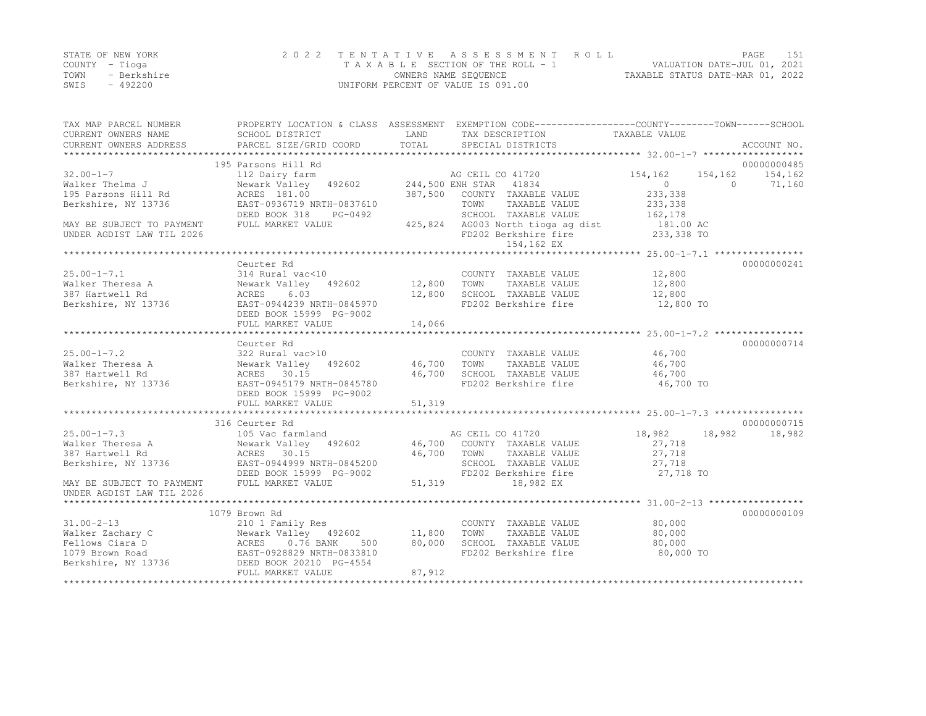|      | STATE OF NEW YORK | 2022 TENTATIVE ASSESSMENT ROLL     | PAGE                             |  |
|------|-------------------|------------------------------------|----------------------------------|--|
|      | COUNTY – Tioga    | TAXABLE SECTION OF THE ROLL - 1    | VALUATION DATE-JUL 01, 2021      |  |
| TOWN | - Berkshire       | OWNERS NAME SEQUENCE               | TAXABLE STATUS DATE-MAR 01, 2022 |  |
| SWIS | $-492200$         | UNIFORM PERCENT OF VALUE IS 091.00 |                                  |  |

| 195 Parsons Hill Rd<br>00000000485<br>AG CEIL CO 41720<br>244,500 ENH STAR 41834<br>244,500 ENH STAR 41834<br>154,162<br>112 Dairy farm<br>154,162<br>154,162<br>Newark Valley 492602<br>$\overline{0}$<br>Walker Thelma J<br>$\bigcap$<br>71,160<br>ACRES 181.00<br>387,500 COUNTY TAXABLE VALUE<br>233,338<br>EAST-0936719 NRTH-0837610<br>TOWN<br>TAXABLE VALUE<br>233,338<br>162,178<br>SCHOOL TAXABLE VALUE<br>DEED BOOK 318<br>PG-0492<br>425,824 AG003 North tioga ag dist<br>181.00 AC<br>233,338 TO<br>FULL MARKET VALUE<br>FD202 Berkshire fire<br>154,162 EX<br>00000000241<br>Ceurter Rd<br>$25.00 - 1 - 7.1$<br>314 Rural vac<10<br>12,800<br>COUNTY TAXABLE VALUE<br>12,800<br>Newark Valley 492602<br>12,800<br>Walker Theresa A<br>TOWN<br>TAXABLE VALUE<br>387 Hartwell Rd<br>6.03<br>12,800<br>SCHOOL TAXABLE VALUE<br>12,800<br>ACRES<br>Berkshire, NY 13736<br>EAST-0944239 NRTH-0845970<br>FD202 Berkshire fire<br>12,800 TO<br>DEED BOOK 15999 PG-9002<br>FULL MARKET VALUE<br>14,066<br>00000000714<br>Ceurter Rd<br>46,700<br>$25.00 - 1 - 7.2$<br>322 Rural vac>10<br>COUNTY TAXABLE VALUE<br>Newark Valley 492602 46,700<br>Walker Theresa A<br>TOWN<br>TAXABLE VALUE<br>46,700<br>46,700<br>SCHOOL TAXABLE VALUE<br>387 Hartwell Rd<br>ACRES 30.15<br>46,700<br>FD202 Berkshire fire<br>EAST-0945179 NRTH-0845780<br>Berkshire, NY 13736<br>46,700 TO<br>DEED BOOK 15999 PG-9002<br>51,319<br>FULL MARKET VALUE<br>00000000715<br>316 Ceurter Rd<br>$25.00 - 1 - 7.3$<br>18,982<br>18,982<br>105 Vac farmland<br>AG CEIL CO 41720<br>18,982<br>Newark Valley 492602<br>46,700 COUNTY TAXABLE VALUE<br>27,718<br>Walker Theresa A<br>ACRES 30.15<br>46,700 TOWN<br>TAXABLE VALUE<br>27,718<br>EAST-0944999 NRTH-0845200<br>SCHOOL TAXABLE VALUE<br>27,718<br>FD202 Berkshire fire<br>27,718 TO<br>DEED BOOK 15999 PG-9002<br>FULL MARKET VALUE<br>51,319<br>18,982 EX<br>1079 Brown Rd<br>00000000109<br>$31.00 - 2 - 13$<br>80,000<br>210 1 Family Res<br>COUNTY TAXABLE VALUE<br>Walker Zachary C<br>Newark Valley 492602 11,800<br>TOWN<br>TAXABLE VALUE<br>80,000<br>Fellows Ciara D<br>80,000<br>SCHOOL TAXABLE VALUE<br>80,000<br>500<br>FD202 Berkshire fire<br>1079 Brown Road<br>80,000 TO<br>Berkshire, NY 13736<br>DEED BOOK 20210 PG-4554 | TAX MAP PARCEL NUMBER<br>CURRENT OWNERS NAME | SCHOOL DISTRICT        | LAND   | PROPERTY LOCATION & CLASS ASSESSMENT EXEMPTION CODE---------------COUNTY-------TOWN-----SCHOOL<br>TAX DESCRIPTION | TAXABLE VALUE |             |
|---------------------------------------------------------------------------------------------------------------------------------------------------------------------------------------------------------------------------------------------------------------------------------------------------------------------------------------------------------------------------------------------------------------------------------------------------------------------------------------------------------------------------------------------------------------------------------------------------------------------------------------------------------------------------------------------------------------------------------------------------------------------------------------------------------------------------------------------------------------------------------------------------------------------------------------------------------------------------------------------------------------------------------------------------------------------------------------------------------------------------------------------------------------------------------------------------------------------------------------------------------------------------------------------------------------------------------------------------------------------------------------------------------------------------------------------------------------------------------------------------------------------------------------------------------------------------------------------------------------------------------------------------------------------------------------------------------------------------------------------------------------------------------------------------------------------------------------------------------------------------------------------------------------------------------------------------------------------------------------------------------------------------------------------------------------------------------------------------------------------------------------------------------------------------------------------------------------------------------------------------------------------------------|----------------------------------------------|------------------------|--------|-------------------------------------------------------------------------------------------------------------------|---------------|-------------|
|                                                                                                                                                                                                                                                                                                                                                                                                                                                                                                                                                                                                                                                                                                                                                                                                                                                                                                                                                                                                                                                                                                                                                                                                                                                                                                                                                                                                                                                                                                                                                                                                                                                                                                                                                                                                                                                                                                                                                                                                                                                                                                                                                                                                                                                                                 | CURRENT OWNERS ADDRESS                       | PARCEL SIZE/GRID COORD | TOTAL  | SPECIAL DISTRICTS                                                                                                 |               | ACCOUNT NO. |
|                                                                                                                                                                                                                                                                                                                                                                                                                                                                                                                                                                                                                                                                                                                                                                                                                                                                                                                                                                                                                                                                                                                                                                                                                                                                                                                                                                                                                                                                                                                                                                                                                                                                                                                                                                                                                                                                                                                                                                                                                                                                                                                                                                                                                                                                                 |                                              |                        |        |                                                                                                                   |               |             |
|                                                                                                                                                                                                                                                                                                                                                                                                                                                                                                                                                                                                                                                                                                                                                                                                                                                                                                                                                                                                                                                                                                                                                                                                                                                                                                                                                                                                                                                                                                                                                                                                                                                                                                                                                                                                                                                                                                                                                                                                                                                                                                                                                                                                                                                                                 | $32.00 - 1 - 7$                              |                        |        |                                                                                                                   |               |             |
|                                                                                                                                                                                                                                                                                                                                                                                                                                                                                                                                                                                                                                                                                                                                                                                                                                                                                                                                                                                                                                                                                                                                                                                                                                                                                                                                                                                                                                                                                                                                                                                                                                                                                                                                                                                                                                                                                                                                                                                                                                                                                                                                                                                                                                                                                 |                                              |                        |        |                                                                                                                   |               |             |
|                                                                                                                                                                                                                                                                                                                                                                                                                                                                                                                                                                                                                                                                                                                                                                                                                                                                                                                                                                                                                                                                                                                                                                                                                                                                                                                                                                                                                                                                                                                                                                                                                                                                                                                                                                                                                                                                                                                                                                                                                                                                                                                                                                                                                                                                                 | 195 Parsons Hill Rd                          |                        |        |                                                                                                                   |               |             |
|                                                                                                                                                                                                                                                                                                                                                                                                                                                                                                                                                                                                                                                                                                                                                                                                                                                                                                                                                                                                                                                                                                                                                                                                                                                                                                                                                                                                                                                                                                                                                                                                                                                                                                                                                                                                                                                                                                                                                                                                                                                                                                                                                                                                                                                                                 | Berkshire, NY 13736                          |                        |        |                                                                                                                   |               |             |
|                                                                                                                                                                                                                                                                                                                                                                                                                                                                                                                                                                                                                                                                                                                                                                                                                                                                                                                                                                                                                                                                                                                                                                                                                                                                                                                                                                                                                                                                                                                                                                                                                                                                                                                                                                                                                                                                                                                                                                                                                                                                                                                                                                                                                                                                                 |                                              |                        |        |                                                                                                                   |               |             |
|                                                                                                                                                                                                                                                                                                                                                                                                                                                                                                                                                                                                                                                                                                                                                                                                                                                                                                                                                                                                                                                                                                                                                                                                                                                                                                                                                                                                                                                                                                                                                                                                                                                                                                                                                                                                                                                                                                                                                                                                                                                                                                                                                                                                                                                                                 | MAY BE SUBJECT TO PAYMENT                    |                        |        |                                                                                                                   |               |             |
|                                                                                                                                                                                                                                                                                                                                                                                                                                                                                                                                                                                                                                                                                                                                                                                                                                                                                                                                                                                                                                                                                                                                                                                                                                                                                                                                                                                                                                                                                                                                                                                                                                                                                                                                                                                                                                                                                                                                                                                                                                                                                                                                                                                                                                                                                 | UNDER AGDIST LAW TIL 2026                    |                        |        |                                                                                                                   |               |             |
|                                                                                                                                                                                                                                                                                                                                                                                                                                                                                                                                                                                                                                                                                                                                                                                                                                                                                                                                                                                                                                                                                                                                                                                                                                                                                                                                                                                                                                                                                                                                                                                                                                                                                                                                                                                                                                                                                                                                                                                                                                                                                                                                                                                                                                                                                 |                                              |                        |        |                                                                                                                   |               |             |
|                                                                                                                                                                                                                                                                                                                                                                                                                                                                                                                                                                                                                                                                                                                                                                                                                                                                                                                                                                                                                                                                                                                                                                                                                                                                                                                                                                                                                                                                                                                                                                                                                                                                                                                                                                                                                                                                                                                                                                                                                                                                                                                                                                                                                                                                                 |                                              |                        |        |                                                                                                                   |               |             |
|                                                                                                                                                                                                                                                                                                                                                                                                                                                                                                                                                                                                                                                                                                                                                                                                                                                                                                                                                                                                                                                                                                                                                                                                                                                                                                                                                                                                                                                                                                                                                                                                                                                                                                                                                                                                                                                                                                                                                                                                                                                                                                                                                                                                                                                                                 |                                              |                        |        |                                                                                                                   |               |             |
|                                                                                                                                                                                                                                                                                                                                                                                                                                                                                                                                                                                                                                                                                                                                                                                                                                                                                                                                                                                                                                                                                                                                                                                                                                                                                                                                                                                                                                                                                                                                                                                                                                                                                                                                                                                                                                                                                                                                                                                                                                                                                                                                                                                                                                                                                 |                                              |                        |        |                                                                                                                   |               |             |
|                                                                                                                                                                                                                                                                                                                                                                                                                                                                                                                                                                                                                                                                                                                                                                                                                                                                                                                                                                                                                                                                                                                                                                                                                                                                                                                                                                                                                                                                                                                                                                                                                                                                                                                                                                                                                                                                                                                                                                                                                                                                                                                                                                                                                                                                                 |                                              |                        |        |                                                                                                                   |               |             |
|                                                                                                                                                                                                                                                                                                                                                                                                                                                                                                                                                                                                                                                                                                                                                                                                                                                                                                                                                                                                                                                                                                                                                                                                                                                                                                                                                                                                                                                                                                                                                                                                                                                                                                                                                                                                                                                                                                                                                                                                                                                                                                                                                                                                                                                                                 |                                              |                        |        |                                                                                                                   |               |             |
|                                                                                                                                                                                                                                                                                                                                                                                                                                                                                                                                                                                                                                                                                                                                                                                                                                                                                                                                                                                                                                                                                                                                                                                                                                                                                                                                                                                                                                                                                                                                                                                                                                                                                                                                                                                                                                                                                                                                                                                                                                                                                                                                                                                                                                                                                 |                                              |                        |        |                                                                                                                   |               |             |
|                                                                                                                                                                                                                                                                                                                                                                                                                                                                                                                                                                                                                                                                                                                                                                                                                                                                                                                                                                                                                                                                                                                                                                                                                                                                                                                                                                                                                                                                                                                                                                                                                                                                                                                                                                                                                                                                                                                                                                                                                                                                                                                                                                                                                                                                                 |                                              |                        |        |                                                                                                                   |               |             |
|                                                                                                                                                                                                                                                                                                                                                                                                                                                                                                                                                                                                                                                                                                                                                                                                                                                                                                                                                                                                                                                                                                                                                                                                                                                                                                                                                                                                                                                                                                                                                                                                                                                                                                                                                                                                                                                                                                                                                                                                                                                                                                                                                                                                                                                                                 |                                              |                        |        |                                                                                                                   |               |             |
|                                                                                                                                                                                                                                                                                                                                                                                                                                                                                                                                                                                                                                                                                                                                                                                                                                                                                                                                                                                                                                                                                                                                                                                                                                                                                                                                                                                                                                                                                                                                                                                                                                                                                                                                                                                                                                                                                                                                                                                                                                                                                                                                                                                                                                                                                 |                                              |                        |        |                                                                                                                   |               |             |
|                                                                                                                                                                                                                                                                                                                                                                                                                                                                                                                                                                                                                                                                                                                                                                                                                                                                                                                                                                                                                                                                                                                                                                                                                                                                                                                                                                                                                                                                                                                                                                                                                                                                                                                                                                                                                                                                                                                                                                                                                                                                                                                                                                                                                                                                                 |                                              |                        |        |                                                                                                                   |               |             |
|                                                                                                                                                                                                                                                                                                                                                                                                                                                                                                                                                                                                                                                                                                                                                                                                                                                                                                                                                                                                                                                                                                                                                                                                                                                                                                                                                                                                                                                                                                                                                                                                                                                                                                                                                                                                                                                                                                                                                                                                                                                                                                                                                                                                                                                                                 |                                              |                        |        |                                                                                                                   |               |             |
|                                                                                                                                                                                                                                                                                                                                                                                                                                                                                                                                                                                                                                                                                                                                                                                                                                                                                                                                                                                                                                                                                                                                                                                                                                                                                                                                                                                                                                                                                                                                                                                                                                                                                                                                                                                                                                                                                                                                                                                                                                                                                                                                                                                                                                                                                 |                                              |                        |        |                                                                                                                   |               |             |
|                                                                                                                                                                                                                                                                                                                                                                                                                                                                                                                                                                                                                                                                                                                                                                                                                                                                                                                                                                                                                                                                                                                                                                                                                                                                                                                                                                                                                                                                                                                                                                                                                                                                                                                                                                                                                                                                                                                                                                                                                                                                                                                                                                                                                                                                                 |                                              |                        |        |                                                                                                                   |               |             |
|                                                                                                                                                                                                                                                                                                                                                                                                                                                                                                                                                                                                                                                                                                                                                                                                                                                                                                                                                                                                                                                                                                                                                                                                                                                                                                                                                                                                                                                                                                                                                                                                                                                                                                                                                                                                                                                                                                                                                                                                                                                                                                                                                                                                                                                                                 |                                              |                        |        |                                                                                                                   |               |             |
|                                                                                                                                                                                                                                                                                                                                                                                                                                                                                                                                                                                                                                                                                                                                                                                                                                                                                                                                                                                                                                                                                                                                                                                                                                                                                                                                                                                                                                                                                                                                                                                                                                                                                                                                                                                                                                                                                                                                                                                                                                                                                                                                                                                                                                                                                 |                                              |                        |        |                                                                                                                   |               |             |
|                                                                                                                                                                                                                                                                                                                                                                                                                                                                                                                                                                                                                                                                                                                                                                                                                                                                                                                                                                                                                                                                                                                                                                                                                                                                                                                                                                                                                                                                                                                                                                                                                                                                                                                                                                                                                                                                                                                                                                                                                                                                                                                                                                                                                                                                                 |                                              |                        |        |                                                                                                                   |               |             |
|                                                                                                                                                                                                                                                                                                                                                                                                                                                                                                                                                                                                                                                                                                                                                                                                                                                                                                                                                                                                                                                                                                                                                                                                                                                                                                                                                                                                                                                                                                                                                                                                                                                                                                                                                                                                                                                                                                                                                                                                                                                                                                                                                                                                                                                                                 |                                              |                        |        |                                                                                                                   |               |             |
|                                                                                                                                                                                                                                                                                                                                                                                                                                                                                                                                                                                                                                                                                                                                                                                                                                                                                                                                                                                                                                                                                                                                                                                                                                                                                                                                                                                                                                                                                                                                                                                                                                                                                                                                                                                                                                                                                                                                                                                                                                                                                                                                                                                                                                                                                 |                                              |                        |        |                                                                                                                   |               |             |
|                                                                                                                                                                                                                                                                                                                                                                                                                                                                                                                                                                                                                                                                                                                                                                                                                                                                                                                                                                                                                                                                                                                                                                                                                                                                                                                                                                                                                                                                                                                                                                                                                                                                                                                                                                                                                                                                                                                                                                                                                                                                                                                                                                                                                                                                                 |                                              |                        |        |                                                                                                                   |               |             |
|                                                                                                                                                                                                                                                                                                                                                                                                                                                                                                                                                                                                                                                                                                                                                                                                                                                                                                                                                                                                                                                                                                                                                                                                                                                                                                                                                                                                                                                                                                                                                                                                                                                                                                                                                                                                                                                                                                                                                                                                                                                                                                                                                                                                                                                                                 | 387 Hartwell Rd                              |                        |        |                                                                                                                   |               |             |
|                                                                                                                                                                                                                                                                                                                                                                                                                                                                                                                                                                                                                                                                                                                                                                                                                                                                                                                                                                                                                                                                                                                                                                                                                                                                                                                                                                                                                                                                                                                                                                                                                                                                                                                                                                                                                                                                                                                                                                                                                                                                                                                                                                                                                                                                                 | Berkshire, NY 13736                          |                        |        |                                                                                                                   |               |             |
|                                                                                                                                                                                                                                                                                                                                                                                                                                                                                                                                                                                                                                                                                                                                                                                                                                                                                                                                                                                                                                                                                                                                                                                                                                                                                                                                                                                                                                                                                                                                                                                                                                                                                                                                                                                                                                                                                                                                                                                                                                                                                                                                                                                                                                                                                 |                                              |                        |        |                                                                                                                   |               |             |
|                                                                                                                                                                                                                                                                                                                                                                                                                                                                                                                                                                                                                                                                                                                                                                                                                                                                                                                                                                                                                                                                                                                                                                                                                                                                                                                                                                                                                                                                                                                                                                                                                                                                                                                                                                                                                                                                                                                                                                                                                                                                                                                                                                                                                                                                                 | MAY BE SUBJECT TO PAYMENT                    |                        |        |                                                                                                                   |               |             |
|                                                                                                                                                                                                                                                                                                                                                                                                                                                                                                                                                                                                                                                                                                                                                                                                                                                                                                                                                                                                                                                                                                                                                                                                                                                                                                                                                                                                                                                                                                                                                                                                                                                                                                                                                                                                                                                                                                                                                                                                                                                                                                                                                                                                                                                                                 | UNDER AGDIST LAW TIL 2026                    |                        |        |                                                                                                                   |               |             |
|                                                                                                                                                                                                                                                                                                                                                                                                                                                                                                                                                                                                                                                                                                                                                                                                                                                                                                                                                                                                                                                                                                                                                                                                                                                                                                                                                                                                                                                                                                                                                                                                                                                                                                                                                                                                                                                                                                                                                                                                                                                                                                                                                                                                                                                                                 |                                              |                        |        |                                                                                                                   |               |             |
|                                                                                                                                                                                                                                                                                                                                                                                                                                                                                                                                                                                                                                                                                                                                                                                                                                                                                                                                                                                                                                                                                                                                                                                                                                                                                                                                                                                                                                                                                                                                                                                                                                                                                                                                                                                                                                                                                                                                                                                                                                                                                                                                                                                                                                                                                 |                                              |                        |        |                                                                                                                   |               |             |
|                                                                                                                                                                                                                                                                                                                                                                                                                                                                                                                                                                                                                                                                                                                                                                                                                                                                                                                                                                                                                                                                                                                                                                                                                                                                                                                                                                                                                                                                                                                                                                                                                                                                                                                                                                                                                                                                                                                                                                                                                                                                                                                                                                                                                                                                                 |                                              |                        |        |                                                                                                                   |               |             |
|                                                                                                                                                                                                                                                                                                                                                                                                                                                                                                                                                                                                                                                                                                                                                                                                                                                                                                                                                                                                                                                                                                                                                                                                                                                                                                                                                                                                                                                                                                                                                                                                                                                                                                                                                                                                                                                                                                                                                                                                                                                                                                                                                                                                                                                                                 |                                              |                        |        |                                                                                                                   |               |             |
|                                                                                                                                                                                                                                                                                                                                                                                                                                                                                                                                                                                                                                                                                                                                                                                                                                                                                                                                                                                                                                                                                                                                                                                                                                                                                                                                                                                                                                                                                                                                                                                                                                                                                                                                                                                                                                                                                                                                                                                                                                                                                                                                                                                                                                                                                 |                                              |                        |        |                                                                                                                   |               |             |
|                                                                                                                                                                                                                                                                                                                                                                                                                                                                                                                                                                                                                                                                                                                                                                                                                                                                                                                                                                                                                                                                                                                                                                                                                                                                                                                                                                                                                                                                                                                                                                                                                                                                                                                                                                                                                                                                                                                                                                                                                                                                                                                                                                                                                                                                                 |                                              |                        |        |                                                                                                                   |               |             |
|                                                                                                                                                                                                                                                                                                                                                                                                                                                                                                                                                                                                                                                                                                                                                                                                                                                                                                                                                                                                                                                                                                                                                                                                                                                                                                                                                                                                                                                                                                                                                                                                                                                                                                                                                                                                                                                                                                                                                                                                                                                                                                                                                                                                                                                                                 |                                              |                        |        |                                                                                                                   |               |             |
|                                                                                                                                                                                                                                                                                                                                                                                                                                                                                                                                                                                                                                                                                                                                                                                                                                                                                                                                                                                                                                                                                                                                                                                                                                                                                                                                                                                                                                                                                                                                                                                                                                                                                                                                                                                                                                                                                                                                                                                                                                                                                                                                                                                                                                                                                 |                                              | FULL MARKET VALUE      | 87,912 |                                                                                                                   |               |             |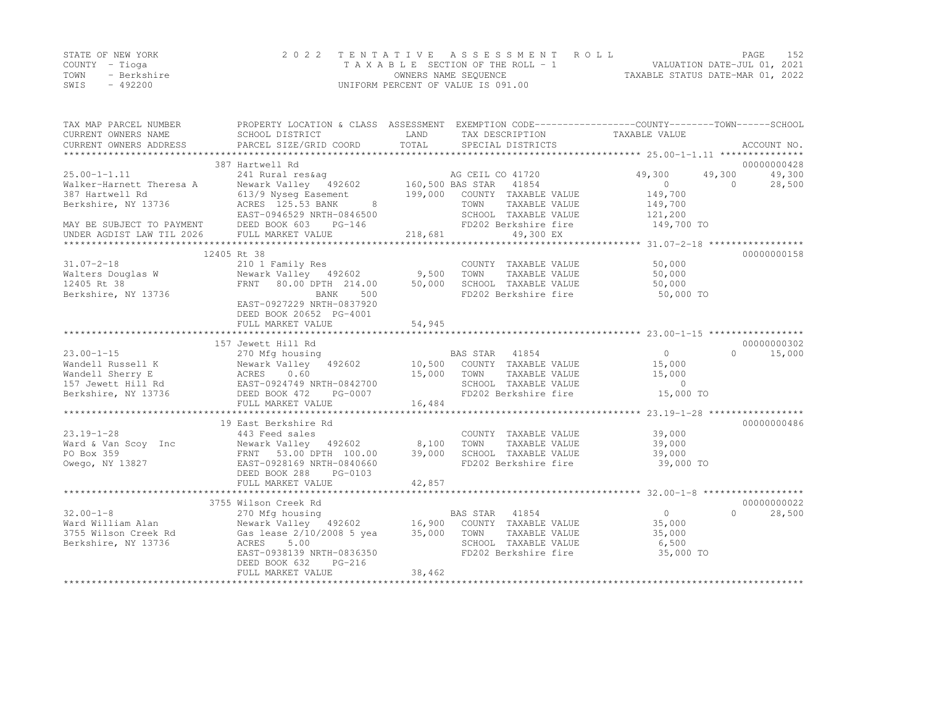|      | STATE OF NEW YORK | 2022 TENTATIVE ASSESSMENT ROLL     | 152<br>PAGE.                     |  |
|------|-------------------|------------------------------------|----------------------------------|--|
|      | COUNTY – Tioga    | TAXABLE SECTION OF THE ROLL - 1    | VALUATION DATE-JUL 01, 2021      |  |
| TOWN | - Berkshire       | OWNERS NAME SEQUENCE               | TAXABLE STATUS DATE-MAR 01, 2022 |  |
| SWIS | $-492200$         | UNIFORM PERCENT OF VALUE IS 091.00 |                                  |  |

| TAX MAP PARCEL NUMBER<br>CURRENT OWNERS NAME                                        | PROPERTY LOCATION & CLASS ASSESSMENT EXEMPTION CODE-----------------COUNTY-------TOWN------SCHOOL<br>SCHOOL DISTRICT  | LAND                                       | TAX DESCRIPTION       | TAXABLE VALUE  |                    |
|-------------------------------------------------------------------------------------|-----------------------------------------------------------------------------------------------------------------------|--------------------------------------------|-----------------------|----------------|--------------------|
| CURRENT OWNERS ADDRESS                                                              | PARCEL SIZE/GRID COORD                                                                                                | TOTAL                                      | SPECIAL DISTRICTS     |                | ACCOUNT NO.        |
|                                                                                     | 387 Hartwell Rd                                                                                                       |                                            |                       |                | 00000000428        |
| $25.00 - 1 - 1.11$                                                                  |                                                                                                                       |                                            | AG CEIL CO 41720      | 49,300         | 49,300<br>49,300   |
| Walker-Harnett Theresa A                                                            | 241 Rural res&ag                                     AG CEIL C<br>Newark Valley     492602           160,500 BAS STAR |                                            | 41854                 | $\bigcirc$     | 28,500<br>$\Omega$ |
| 387 Hartwell Rd                                                                     | 613/9 Nyseq Easement 199,000 COUNTY TAXABLE VALUE                                                                     |                                            |                       | 149,700        |                    |
| Berkshire, NY 13736                                                                 | ACRES 125.53 BANK                                                                                                     | $\begin{array}{c} 8 \\ 0 \\ 0 \end{array}$ | TOWN<br>TAXABLE VALUE | 149,700        |                    |
|                                                                                     | EAST-0946529 NRTH-0846500                                                                                             |                                            | SCHOOL TAXABLE VALUE  | 121,200        |                    |
| MAY BE SUBJECT TO PAYMENT DEED BOOK 603 INDER AGDIST LAW TIL 2026 FULL MARKET VALUE | $PG-146$                                                                                                              |                                            | FD202 Berkshire fire  | 149,700 TO     |                    |
|                                                                                     |                                                                                                                       | 218,681                                    | 49,300 EX             |                |                    |
|                                                                                     |                                                                                                                       |                                            |                       |                |                    |
|                                                                                     | 12405 Rt 38                                                                                                           |                                            |                       |                | 00000000158        |
| $31.07 - 2 - 18$                                                                    | 210 1 Family Res                                                                                                      |                                            | COUNTY TAXABLE VALUE  | 50,000         |                    |
| Walters Douglas W                                                                   | Newark Valley 492602                                                                                                  | 9,500                                      | TOWN<br>TAXABLE VALUE | 50,000         |                    |
| 12405 Rt 38                                                                         | 80.00 DPTH 214.00<br>FRNT                                                                                             | 50,000                                     | SCHOOL TAXABLE VALUE  | 50,000         |                    |
| Berkshire, NY 13736                                                                 | BANK<br>500                                                                                                           |                                            | FD202 Berkshire fire  | 50,000 TO      |                    |
|                                                                                     | EAST-0927229 NRTH-0837920                                                                                             |                                            |                       |                |                    |
|                                                                                     | DEED BOOK 20652 PG-4001                                                                                               |                                            |                       |                |                    |
|                                                                                     | FULL MARKET VALUE                                                                                                     | 54,945                                     |                       |                |                    |
|                                                                                     | 157 Jewett Hill Rd                                                                                                    |                                            |                       |                | 00000000302        |
| $23.00 - 1 - 15$                                                                    | 270 Mfg housing                                                                                                       |                                            | BAS STAR 41854        | 0              | $\Omega$<br>15,000 |
| Wandell Russell K                                                                   | Newark Valley 492602 10,500                                                                                           |                                            | COUNTY TAXABLE VALUE  | 15,000         |                    |
|                                                                                     |                                                                                                                       | 15,000                                     | TOWN<br>TAXABLE VALUE | 15,000         |                    |
|                                                                                     |                                                                                                                       |                                            | SCHOOL TAXABLE VALUE  | $\overline{0}$ |                    |
| Berkshire, NY 13736                                                                 | DEED BOOK 472<br>PG-0007                                                                                              |                                            | FD202 Berkshire fire  | 15,000 TO      |                    |
|                                                                                     | FULL MARKET VALUE                                                                                                     | 16,484                                     |                       |                |                    |
|                                                                                     |                                                                                                                       |                                            |                       |                |                    |
|                                                                                     | 19 East Berkshire Rd                                                                                                  |                                            |                       |                | 00000000486        |
| $23.19 - 1 - 28$                                                                    | 443 Feed sales                                                                                                        |                                            | COUNTY TAXABLE VALUE  | 39,000         |                    |
| Ward & Van Scoy Inc                                                                 |                                                                                                                       |                                            | TOWN<br>TAXABLE VALUE | 39,000         |                    |
| PO Box 359                                                                          | Newark Valley 492602 8,100<br>FRNT 53.00 DPTH 100.00 39,000                                                           |                                            | SCHOOL TAXABLE VALUE  | 39,000         |                    |
| Owego, NY 13827                                                                     | EAST-0928169 NRTH-0840660                                                                                             |                                            | FD202 Berkshire fire  | 39,000 TO      |                    |
|                                                                                     | DEED BOOK 288<br>PG-0103                                                                                              |                                            |                       |                |                    |
|                                                                                     | FULL MARKET VALUE                                                                                                     | 42,857                                     |                       |                |                    |
|                                                                                     |                                                                                                                       |                                            |                       |                |                    |
|                                                                                     | 3755 Wilson Creek Rd                                                                                                  |                                            |                       |                | 00000000022        |
| $32.00 - 1 - 8$                                                                     | 270 Mfg housing                                                                                                       |                                            | BAS STAR 41854        | $\circ$        | 28,500<br>$\cap$   |
| Ward William Alan                                                                   | Newark Valley 492602 16,900 COUNTY TAXABLE VALUE                                                                      |                                            |                       | 35,000         |                    |
| 3755 Wilson Creek Rd                                                                | Gas lease 2/10/2008 5 yea                                                                                             | 35,000                                     | TOWN<br>TAXABLE VALUE | 35,000         |                    |
| Berkshire, NY 13736                                                                 | 5.00<br>ACRES                                                                                                         |                                            | SCHOOL TAXABLE VALUE  | 6,500          |                    |
|                                                                                     | EAST-0938139 NRTH-0836350                                                                                             |                                            | FD202 Berkshire fire  | 35,000 TO      |                    |
|                                                                                     | DEED BOOK 632<br>$PG-216$                                                                                             | 38,462                                     |                       |                |                    |
|                                                                                     | FULL MARKET VALUE                                                                                                     |                                            |                       |                |                    |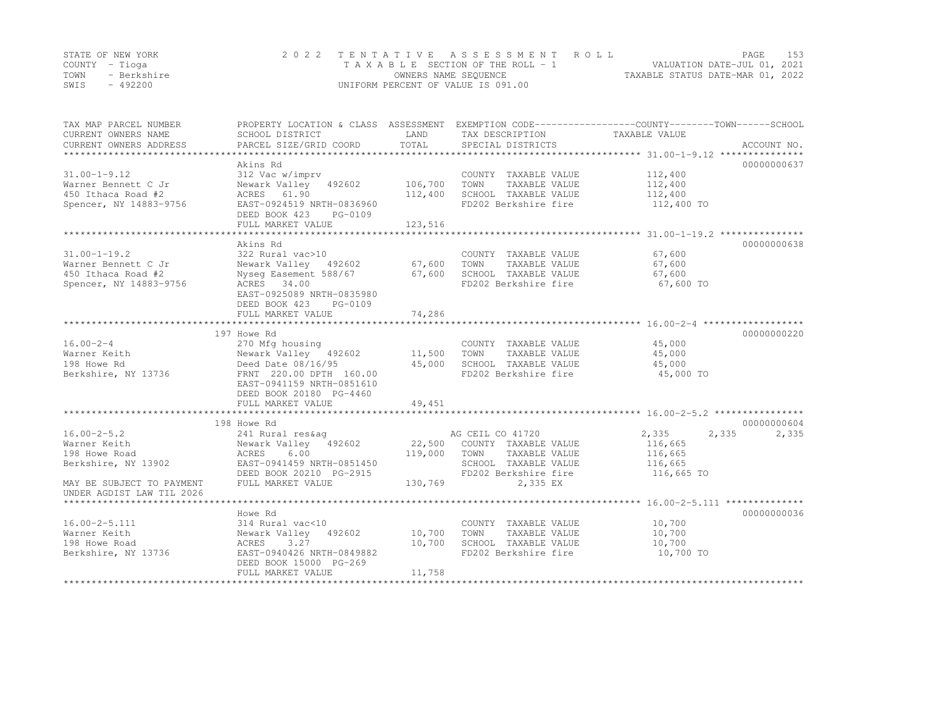|      | STATE OF NEW YORK | 2022 TENTATIVE ASSESSMENT ROLL     |                                  | PAGE | 153 |
|------|-------------------|------------------------------------|----------------------------------|------|-----|
|      | COUNTY – Tioga    | TAXABLE SECTION OF THE ROLL - 1    | VALUATION DATE-JUL 01, 2021      |      |     |
| TOWN | - Berkshire       | OWNERS NAME SEQUENCE               | TAXABLE STATUS DATE-MAR 01, 2022 |      |     |
| SWIS | - 492200          | UNIFORM PERCENT OF VALUE IS 091.00 |                                  |      |     |

| TAX MAP PARCEL NUMBER<br>CURRENT OWNERS NAME<br>CURRENT OWNERS ADDRESS                                 | PROPERTY LOCATION & CLASS ASSESSMENT EXEMPTION CODE----------------COUNTY-------TOWN-----SCHOOL<br>SCHOOL DISTRICT<br>PARCEL SIZE/GRID COORD                                         | LAND<br>TOTAL                 | TAX DESCRIPTION TAXABLE VALUE<br>SPECIAL DISTRICTS                                                                                   |                                                               | ACCOUNT NO.          |
|--------------------------------------------------------------------------------------------------------|--------------------------------------------------------------------------------------------------------------------------------------------------------------------------------------|-------------------------------|--------------------------------------------------------------------------------------------------------------------------------------|---------------------------------------------------------------|----------------------|
| $31.00 - 1 - 9.12$<br>Warner Bennett C Jr<br>450 Ithaca Road #2<br>Spencer, NY 14883-9756              | Akins Rd<br>312 Vac w/imprv<br>Newark Valley 492602<br>ACRES 61.90<br>EAST-0924519 NRTH-0836960<br>DEED BOOK 423<br>PG-0109<br>FULL MARKET VALUE                                     | 106,700<br>112,400<br>123,516 | COUNTY TAXABLE VALUE<br>TOWN<br>TAXABLE VALUE<br>SCHOOL TAXABLE VALUE<br>FD202 Berkshire fire                                        | 112,400<br>112,400<br>112,400<br>112,400 TO                   | 00000000637          |
|                                                                                                        |                                                                                                                                                                                      |                               |                                                                                                                                      |                                                               |                      |
| $31.00 - 1 - 19.2$<br>Warner Bennett C Jr<br>450 Ithaca Road #2<br>Spencer, NY 14883-9756              | Akins Rd<br>322 Rural vac>10<br>Nyseq Easement 588/67 67,600<br>ACRES 34.00<br>EAST-0925089 NRTH-0835980<br>DEED BOOK 423<br>PG-0109<br>FULL MARKET VALUE                            | 74,286                        | COUNTY TAXABLE VALUE<br>TOWN<br>TAXABLE VALUE<br>SCHOOL TAXABLE VALUE<br>FD202 Berkshire fire                                        | 67,600<br>67,600<br>67,600<br>67,600 TO                       | 00000000638          |
|                                                                                                        |                                                                                                                                                                                      |                               |                                                                                                                                      |                                                               |                      |
| $16.00 - 2 - 4$<br>Warner Keith<br>198 Howe Rd<br>Berkshire, NY 13736                                  | 197 Howe Rd<br>270 Mfg housing<br>Newark Valley 492602<br>Deed Date 08/16/95<br>FRNT 220.00 DPTH 160.00<br>EAST-0941159 NRTH-0851610<br>DEED BOOK 20180 PG-4460<br>FULL MARKET VALUE | 11,500<br>45,000<br>49,451    | COUNTY TAXABLE VALUE<br>TAXABLE VALUE<br>TOWN<br>SCHOOL TAXABLE VALUE<br>FD202 Berkshire fire                                        | 45,000<br>45,000<br>45,000<br>45,000 TO                       | 00000000220          |
|                                                                                                        |                                                                                                                                                                                      |                               |                                                                                                                                      |                                                               |                      |
| $16.00 - 2 - 5.2$<br>Warner Keith<br>198 Howe Road<br>Berkshire, NY 13902<br>MAY BE SUBJECT TO PAYMENT | 198 Howe Rd<br>241 Rural res&ag<br>Newark Valley 492602<br>ACRES<br>6.00<br>EAST-0941459 NRTH-0851450<br>DEED BOOK 20210 PG-2915<br>FULL MARKET VALUE                                | 119,000<br>130,769            | AG CEIL CO 41720<br>22,500 COUNTY TAXABLE VALUE<br>TOWN<br>TAXABLE VALUE<br>SCHOOL TAXABLE VALUE<br>FD202 Berkshire fire<br>2,335 EX | 2,335<br>2,335<br>116,665<br>116,665<br>116,665<br>116,665 TO | 00000000604<br>2,335 |
| UNDER AGDIST LAW TIL 2026                                                                              |                                                                                                                                                                                      |                               |                                                                                                                                      |                                                               |                      |
|                                                                                                        | Howe Rd                                                                                                                                                                              |                               |                                                                                                                                      |                                                               | 00000000036          |
| $16.00 - 2 - 5.111$<br>Warner Keith<br>198 Howe Road<br>Berkshire, NY 13736                            | 314 Rural vac<10<br>Newark Valley 492602<br>ACRES<br>3.27<br>EAST-0940426 NRTH-0849882<br>DEED BOOK 15000 PG-269<br>FULL MARKET VALUE                                                | 10,700<br>10,700<br>11,758    | COUNTY TAXABLE VALUE<br>TOWN<br>TAXABLE VALUE<br>SCHOOL TAXABLE VALUE<br>FD202 Berkshire fire                                        | 10,700<br>10,700<br>10,700<br>10,700 TO                       |                      |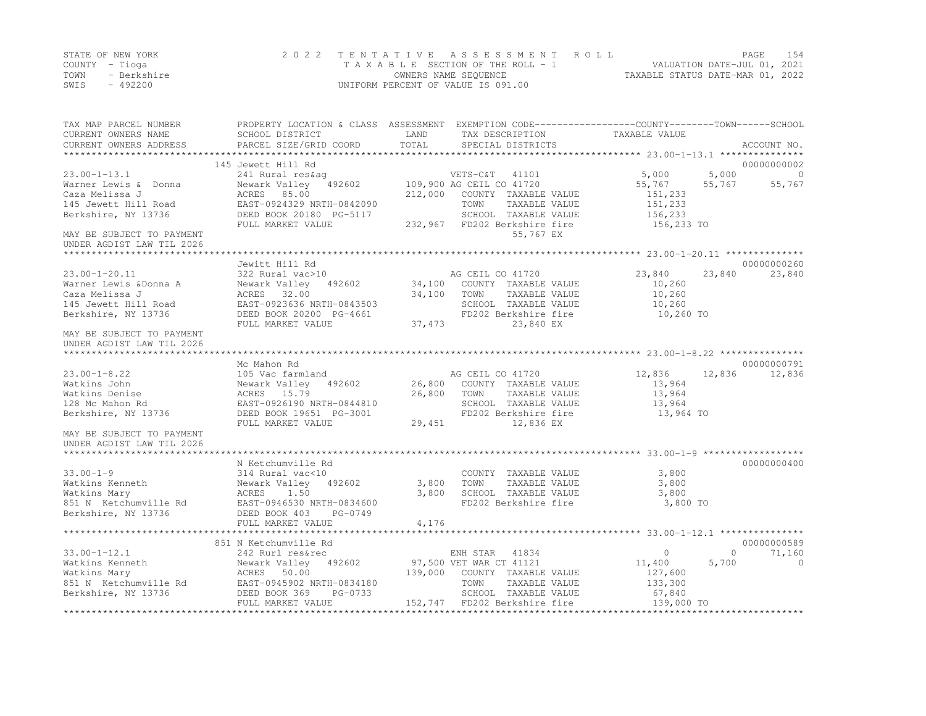|      | STATE OF NEW YORK | 2022 TENTATIVE ASSESSMENT ROLL     | PAGE                             | - 1.54 |
|------|-------------------|------------------------------------|----------------------------------|--------|
|      | COUNTY – Tioga    | TAXABLE SECTION OF THE ROLL - 1    | VALUATION DATE-JUL 01, 2021      |        |
| TOWN | - Berkshire       | OWNERS NAME SEQUENCE               | TAXABLE STATUS DATE-MAR 01, 2022 |        |
| SWIS | - 492200          | UNIFORM PERCENT OF VALUE IS 091.00 |                                  |        |

| TAX MAP PARCEL NUMBER<br>CURRENT OWNERS NAME                                                                                                                                                                                                                                                                                                                                                                                                                 | PROPERTY LOCATION & CLASS ASSESSMENT EXEMPTION CODE----------------COUNTY-------TOWN-----SCHOOL<br>SCHOOL DISTRICT | <b>LAND</b> | TAX DESCRIPTION                              | TAXABLE VALUE       |                          |
|--------------------------------------------------------------------------------------------------------------------------------------------------------------------------------------------------------------------------------------------------------------------------------------------------------------------------------------------------------------------------------------------------------------------------------------------------------------|--------------------------------------------------------------------------------------------------------------------|-------------|----------------------------------------------|---------------------|--------------------------|
| $\begin{minipage}{0.5cm} \begin{minipage}{0.5cm} \begin{minipage}{0.5cm} \begin{minipage}{0.5cm} \begin{minipage}{0.5cm} \begin{minipage}{0.5cm} \begin{minipage}{0.5cm} \begin{minipage}{0.5cm} \begin{minipage}{0.5cm} \begin{minipage}{0.5cm} \begin{minipage}{0.5cm} \begin{minipage}{0.5cm} \begin{minipage}{0.5cm} \begin{minipage}{0.5cm} \begin{minipage}{0.5cm} \begin{minipage}{0.5cm} \begin{minipage}{0.5cm} \begin{minipage}{0.5cm} \begin{min$ |                                                                                                                    |             |                                              |                     |                          |
|                                                                                                                                                                                                                                                                                                                                                                                                                                                              | 145 Jewett Hill Rd                                                                                                 |             |                                              |                     | 00000000002              |
| $23.00 - 1 - 13.1$                                                                                                                                                                                                                                                                                                                                                                                                                                           |                                                                                                                    |             |                                              | 5,000               | $5,000$ 0                |
| Warner Lewis & Donna                                                                                                                                                                                                                                                                                                                                                                                                                                         |                                                                                                                    |             |                                              | 55,767              | $55,767$ $55,767$        |
| Caza Melissa J                                                                                                                                                                                                                                                                                                                                                                                                                                               | ACRES 85.00                                                                                                        |             | 212,000 COUNTY TAXABLE VALUE                 | 151,233             |                          |
| 145 Jewett Hill Road                                                                                                                                                                                                                                                                                                                                                                                                                                         | EAST-0924329 NRTH-0842090                                                                                          |             | TOWN<br>TAXABLE VALUE                        | 151,233             |                          |
| Berkshire, NY 13736                                                                                                                                                                                                                                                                                                                                                                                                                                          | DEED BOOK 20180 PG-5117                                                                                            |             | SCHOOL TAXABLE VALUE                         | 156,233             |                          |
|                                                                                                                                                                                                                                                                                                                                                                                                                                                              | FULL MARKET VALUE                                                                                                  |             | 232,967 FD202 Berkshire fire 156,233 TO      |                     |                          |
| MAY BE SUBJECT TO PAYMENT                                                                                                                                                                                                                                                                                                                                                                                                                                    |                                                                                                                    |             | 55,767 EX                                    |                     |                          |
| UNDER AGDIST LAW TIL 2026                                                                                                                                                                                                                                                                                                                                                                                                                                    |                                                                                                                    |             |                                              |                     |                          |
|                                                                                                                                                                                                                                                                                                                                                                                                                                                              | Jewitt Hill Rd                                                                                                     |             |                                              |                     | 00000000260              |
| $23.00 - 1 - 20.11$                                                                                                                                                                                                                                                                                                                                                                                                                                          | 322 Rural vac>10<br>322 Rural vac>10<br>Newark Valley 492602 34,100 COUNTY TAXABLE VALUE                           |             |                                              | 23,840              | 23,840<br>23,840         |
| Warner Lewis &Donna A                                                                                                                                                                                                                                                                                                                                                                                                                                        |                                                                                                                    |             |                                              | 10,260              |                          |
| Caza Melissa J                                                                                                                                                                                                                                                                                                                                                                                                                                               | ACRES 32.00                                                                                                        |             | 34,100 TOWN TAXABLE VALUE                    | 10,260              |                          |
| 145 Jewett Hill Road                                                                                                                                                                                                                                                                                                                                                                                                                                         |                                                                                                                    |             | SCHOOL TAXABLE VALUE                         | 10,260              |                          |
| Berkshire, NY 13736                                                                                                                                                                                                                                                                                                                                                                                                                                          | EAST-0923636 NRTH-0843503<br>DEED BOOK 20200 PG-4661                                                               |             | FD202 Berkshire fire                         | 10,260 TO           |                          |
|                                                                                                                                                                                                                                                                                                                                                                                                                                                              | FULL MARKET VALUE                                                                                                  | 37,473      | 23,840 EX                                    |                     |                          |
| MAY BE SUBJECT TO PAYMENT                                                                                                                                                                                                                                                                                                                                                                                                                                    |                                                                                                                    |             |                                              |                     |                          |
| UNDER AGDIST LAW TIL 2026                                                                                                                                                                                                                                                                                                                                                                                                                                    |                                                                                                                    |             |                                              |                     |                          |
|                                                                                                                                                                                                                                                                                                                                                                                                                                                              |                                                                                                                    |             |                                              |                     |                          |
|                                                                                                                                                                                                                                                                                                                                                                                                                                                              | Mc Mahon Rd<br>105 Vac farmland and an AG CEIL CO 41720                                                            |             |                                              |                     | 00000000791              |
| $23.00 - 1 - 8.22$                                                                                                                                                                                                                                                                                                                                                                                                                                           |                                                                                                                    |             |                                              | 12,836              | 12,836 12,836            |
| Watkins John                                                                                                                                                                                                                                                                                                                                                                                                                                                 | Newark Valley 492602 26,800 COUNTY TAXABLE VALUE                                                                   |             |                                              | 13,964              |                          |
| Watkins Denise                                                                                                                                                                                                                                                                                                                                                                                                                                               | ACRES 15.79                                                                                                        |             | 26,800 TOWN TAXABLE VALUE                    | 13,964              |                          |
| 128 Mc Mahon Rd<br>Berkshire, NY 13736                                                                                                                                                                                                                                                                                                                                                                                                                       | EAST-0926190 NRTH-0844810                                                                                          |             | SCHOOL TAXABLE VALUE<br>FD202 Berkshire fire | 13,964<br>13,964 TO |                          |
|                                                                                                                                                                                                                                                                                                                                                                                                                                                              | DEED BOOK 19651 PG-3001<br>FULL MARKET VALUE                                                                       | 29,451      | 12,836 EX                                    |                     |                          |
| MAY BE SUBJECT TO PAYMENT                                                                                                                                                                                                                                                                                                                                                                                                                                    |                                                                                                                    |             |                                              |                     |                          |
| UNDER AGDIST LAW TIL 2026                                                                                                                                                                                                                                                                                                                                                                                                                                    |                                                                                                                    |             |                                              |                     |                          |
|                                                                                                                                                                                                                                                                                                                                                                                                                                                              |                                                                                                                    |             |                                              |                     |                          |
|                                                                                                                                                                                                                                                                                                                                                                                                                                                              | N Ketchumville Rd                                                                                                  |             |                                              |                     | 00000000400              |
| $33.00 - 1 - 9$                                                                                                                                                                                                                                                                                                                                                                                                                                              | 314 Rural vac<10                                                                                                   |             | COUNTY TAXABLE VALUE                         | 3,800               |                          |
| JJ.UU-1-2<br>Watkins Kenneth               Newark Valley<br>Watkins Marv                     ACRES     1.50                                                                                                                                                                                                                                                                                                                                                  | Newark Valley 492602 3,800                                                                                         |             | TOWN<br>TAXABLE VALUE                        | 3,800               |                          |
|                                                                                                                                                                                                                                                                                                                                                                                                                                                              |                                                                                                                    | 3,800       | SCHOOL TAXABLE VALUE                         | 3,800               |                          |
| 851 N Ketchumville Rd                                                                                                                                                                                                                                                                                                                                                                                                                                        | EAST-0946530 NRTH-0834600<br>DEED BOOK 403 PG-0749                                                                 |             | FD202 Berkshire fire                         | 3,800 TO            |                          |
| Berkshire, NY 13736                                                                                                                                                                                                                                                                                                                                                                                                                                          |                                                                                                                    |             |                                              |                     |                          |
|                                                                                                                                                                                                                                                                                                                                                                                                                                                              | FULL MARKET VALUE                                                                                                  | 4,176       |                                              |                     |                          |
|                                                                                                                                                                                                                                                                                                                                                                                                                                                              | 851 N Ketchumville Rd                                                                                              |             |                                              |                     | 00000000589              |
| $33.00 - 1 - 12.1$                                                                                                                                                                                                                                                                                                                                                                                                                                           | 242 Rurl res&rec                                                                                                   |             | ENH STAR 41834                               | $\circ$             | $\overline{0}$<br>71,160 |
|                                                                                                                                                                                                                                                                                                                                                                                                                                                              |                                                                                                                    |             |                                              | 11,400              | 5,700<br>$\sim$ 0        |
|                                                                                                                                                                                                                                                                                                                                                                                                                                                              |                                                                                                                    |             | 139,000 COUNTY TAXABLE VALUE                 | 127,600             |                          |
|                                                                                                                                                                                                                                                                                                                                                                                                                                                              |                                                                                                                    |             | TAXABLE VALUE                                | 133,300             |                          |
|                                                                                                                                                                                                                                                                                                                                                                                                                                                              |                                                                                                                    |             | SCHOOL TAXABLE VALUE                         | 67,840              |                          |
|                                                                                                                                                                                                                                                                                                                                                                                                                                                              | FULL MARKET VALUE                                                                                                  |             | 152,747 FD202 Berkshire fire 139,000 TO      |                     |                          |
|                                                                                                                                                                                                                                                                                                                                                                                                                                                              |                                                                                                                    |             |                                              |                     |                          |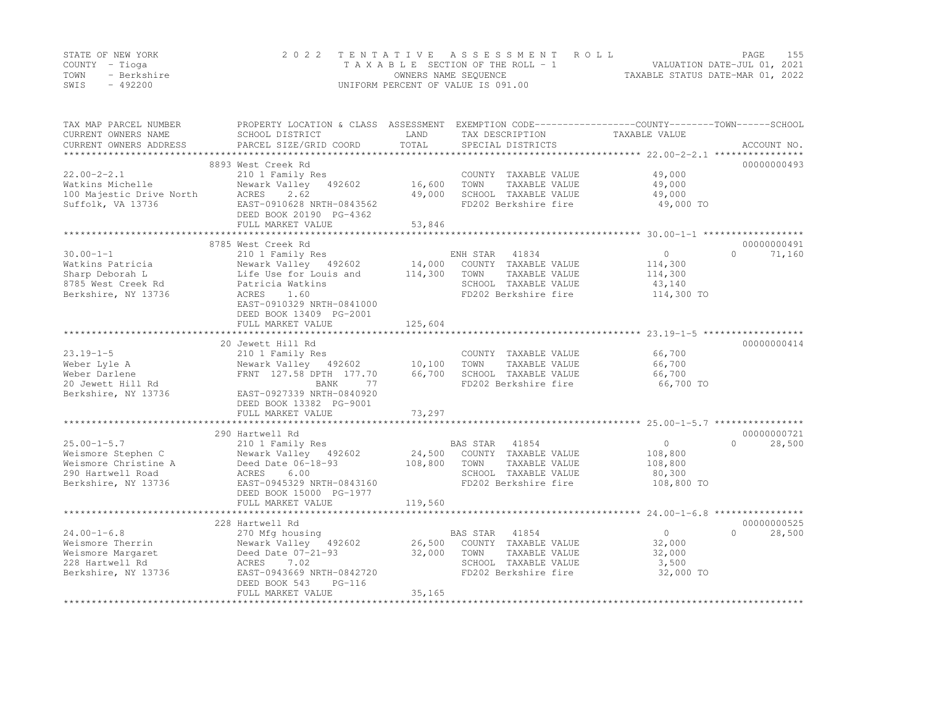|      | STATE OF NEW YORK | 2022 TENTATIVE ASSESSMENT ROLL     |                                  | PAGE                        | 155 |
|------|-------------------|------------------------------------|----------------------------------|-----------------------------|-----|
|      | COUNTY – Tioga    | TAXABLE SECTION OF THE ROLL - 1    |                                  | VALUATION DATE-JUL 01, 2021 |     |
| TOWN | - Berkshire       | OWNERS NAME SEOUENCE               | TAXABLE STATUS DATE-MAR 01, 2022 |                             |     |
| SWIS | $-492200$         | UNIFORM PERCENT OF VALUE IS 091.00 |                                  |                             |     |

| TAX MAP PARCEL NUMBER<br>CURRENT OWNERS NAME      | PROPERTY LOCATION & CLASS ASSESSMENT<br>SCHOOL DISTRICT | LAND    | EXEMPTION CODE-----------------COUNTY-------TOWN------SCHOOL<br>TAX DESCRIPTION | TAXABLE VALUE                     |                    |
|---------------------------------------------------|---------------------------------------------------------|---------|---------------------------------------------------------------------------------|-----------------------------------|--------------------|
| CURRENT OWNERS ADDRESS<br>*********************** | PARCEL SIZE/GRID COORD                                  | TOTAL   | SPECIAL DISTRICTS                                                               |                                   | ACCOUNT NO.        |
|                                                   | 8893 West Creek Rd                                      |         |                                                                                 |                                   | 00000000493        |
| $22.00 - 2 - 2.1$                                 | 210 1 Family Res                                        |         | COUNTY TAXABLE VALUE                                                            | 49,000                            |                    |
| Watkins Michelle                                  | Newark Valley 492602                                    | 16,600  | TOWN<br>TAXABLE VALUE                                                           | 49,000                            |                    |
| 100 Majestic Drive North                          | 2.62<br>ACRES                                           | 49,000  | SCHOOL TAXABLE VALUE                                                            | 49,000                            |                    |
| Suffolk, VA 13736                                 | EAST-0910628 NRTH-0843562                               |         | FD202 Berkshire fire                                                            | 49,000 TO                         |                    |
|                                                   | DEED BOOK 20190 PG-4362                                 |         |                                                                                 |                                   |                    |
|                                                   | FULL MARKET VALUE                                       | 53,846  |                                                                                 |                                   |                    |
|                                                   |                                                         |         |                                                                                 |                                   |                    |
|                                                   | 8785 West Creek Rd                                      |         |                                                                                 |                                   | 00000000491        |
| $30.00 - 1 - 1$                                   | 210 1 Family Res                                        |         | ENH STAR 41834                                                                  | $\Omega$                          | $\Omega$<br>71,160 |
| Watkins Patricia                                  | Newark Valley 492602                                    | 14,000  | COUNTY TAXABLE VALUE                                                            | 114,300                           |                    |
| Sharp Deborah L                                   | Life Use for Louis and                                  | 114,300 | TAXABLE VALUE<br>TOWN                                                           | 114,300                           |                    |
| 8785 West Creek Rd                                | Patricia Watkins                                        |         | SCHOOL TAXABLE VALUE                                                            | 43,140                            |                    |
| Berkshire, NY 13736                               | ACRES<br>1.60                                           |         | FD202 Berkshire fire                                                            | 114,300 TO                        |                    |
|                                                   | EAST-0910329 NRTH-0841000                               |         |                                                                                 |                                   |                    |
|                                                   | DEED BOOK 13409 PG-2001                                 |         |                                                                                 |                                   |                    |
|                                                   | FULL MARKET VALUE                                       | 125,604 |                                                                                 |                                   |                    |
|                                                   | 20 Jewett Hill Rd                                       |         |                                                                                 |                                   | 00000000414        |
| $23.19 - 1 - 5$                                   | 210 1 Family Res                                        |         | COUNTY TAXABLE VALUE                                                            | 66,700                            |                    |
| Weber Lyle A                                      | Newark Valley 492602                                    | 10,100  | TOWN<br>TAXABLE VALUE                                                           | 66,700                            |                    |
| Weber Darlene                                     | FRNT 127.58 DPTH 177.70                                 | 66,700  | SCHOOL TAXABLE VALUE                                                            | 66,700                            |                    |
| 20 Jewett Hill Rd                                 | BANK<br>77                                              |         | FD202 Berkshire fire                                                            | 66,700 TO                         |                    |
| Berkshire, NY 13736                               | EAST-0927339 NRTH-0840920                               |         |                                                                                 |                                   |                    |
|                                                   | DEED BOOK 13382 PG-9001                                 |         |                                                                                 |                                   |                    |
|                                                   | FULL MARKET VALUE                                       | 73,297  |                                                                                 |                                   |                    |
|                                                   |                                                         |         |                                                                                 |                                   |                    |
|                                                   | 290 Hartwell Rd                                         |         |                                                                                 |                                   | 00000000721        |
| $25.00 - 1 - 5.7$                                 | 210 1 Family Res                                        |         | BAS STAR<br>41854                                                               | $\circ$                           | $\Omega$<br>28,500 |
| Weismore Stephen C                                | Newark Valley 492602                                    |         | 24,500 COUNTY TAXABLE VALUE                                                     | 108,800                           |                    |
| Weismore Christine A                              | Deed Date 06-18-93                                      | 108,800 | TOWN<br>TAXABLE VALUE                                                           | 108,800                           |                    |
| 290 Hartwell Road                                 | 6.00<br>ACRES                                           |         | SCHOOL TAXABLE VALUE                                                            | 80,300                            |                    |
| Berkshire, NY 13736                               | EAST-0945329 NRTH-0843160                               |         | FD202 Berkshire fire                                                            | 108,800 TO                        |                    |
|                                                   | DEED BOOK 15000 PG-1977                                 |         |                                                                                 |                                   |                    |
|                                                   | FULL MARKET VALUE                                       | 119,560 |                                                                                 |                                   |                    |
|                                                   | ***************************                             |         |                                                                                 |                                   |                    |
|                                                   | 228 Hartwell Rd                                         |         |                                                                                 |                                   | 00000000525        |
| $24.00 - 1 - 6.8$                                 | 270 Mfg housing                                         |         | BAS STAR 41854                                                                  | $\circ$                           | $\Omega$<br>28,500 |
| Weismore Therrin                                  | Newark Valley 492602                                    | 26,500  | COUNTY TAXABLE VALUE                                                            | 32,000                            |                    |
| Weismore Margaret                                 | Deed Date 07-21-93                                      | 32,000  | TOWN<br>TAXABLE VALUE                                                           | 32,000                            |                    |
| 228 Hartwell Rd                                   | ACRES<br>7.02                                           |         | SCHOOL TAXABLE VALUE                                                            | 3,500                             |                    |
| Berkshire, NY 13736                               | EAST-0943669 NRTH-0842720                               |         | FD202 Berkshire fire                                                            | 32,000 TO                         |                    |
|                                                   | DEED BOOK 543<br>PG-116                                 |         |                                                                                 |                                   |                    |
| ********************                              | FULL MARKET VALUE                                       | 35,165  |                                                                                 | ********************************* |                    |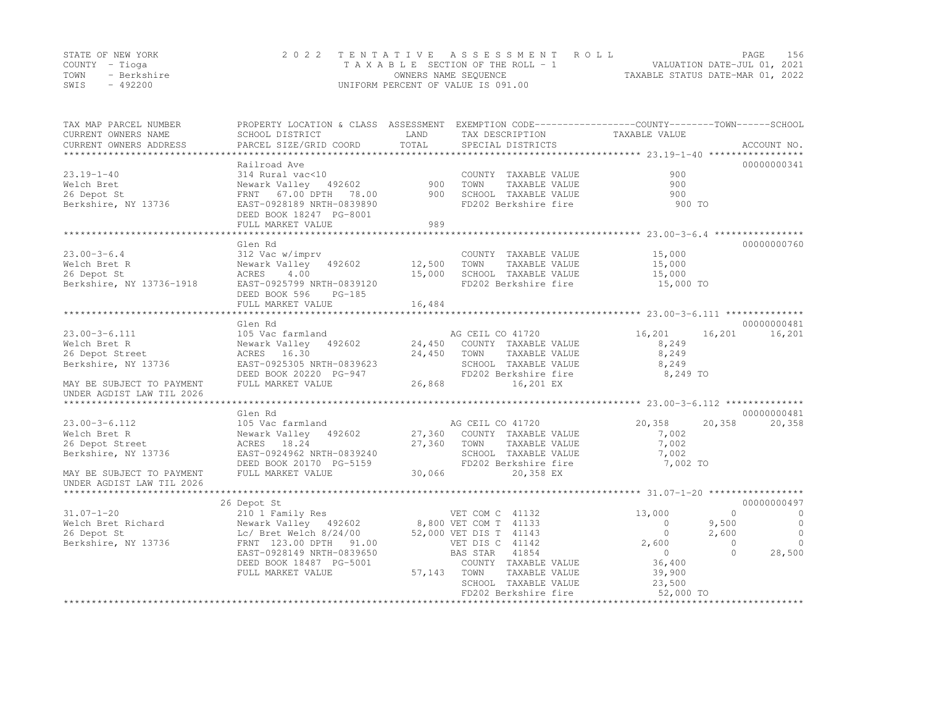|                | STATE OF NEW YORK | 2022 TENTATIVE ASSESSMENT ROLL     |                                  | PAGE | 156 |
|----------------|-------------------|------------------------------------|----------------------------------|------|-----|
| COUNTY – Tioga |                   | TAXABLE SECTION OF THE ROLL - 1    | VALUATION DATE-JUL 01, 2021      |      |     |
| TOWN           | - Berkshire       | OWNERS NAME SEQUENCE               | TAXABLE STATUS DATE-MAR 01, 2022 |      |     |
| SWIS           | $-492200$         | UNIFORM PERCENT OF VALUE IS 091.00 |                                  |      |     |

| TAX MAP PARCEL NUMBER<br>CURRENT OWNERS NAME<br>CURRENT OWNERS ADDRESS | PROPERTY LOCATION & CLASS ASSESSMENT<br>SCHOOL DISTRICT<br>PARCEL SIZE/GRID COORD | LAND<br>TOTAL | TAX DESCRIPTION<br>SPECIAL DISTRICTS | EXEMPTION CODE-----------------COUNTY-------TOWN------SCHOOL<br>TAXABLE VALUE | ACCOUNT NO. |
|------------------------------------------------------------------------|-----------------------------------------------------------------------------------|---------------|--------------------------------------|-------------------------------------------------------------------------------|-------------|
|                                                                        | Railroad Ave                                                                      |               |                                      |                                                                               | 00000000341 |
| $23.19 - 1 - 40$                                                       | 314 Rural vac<10                                                                  |               | COUNTY TAXABLE VALUE                 | 900                                                                           |             |
| Welch Bret                                                             | Newark Valley 492602                                                              | 900           | TOWN<br>TAXABLE VALUE                | 900                                                                           |             |
| 26 Depot St                                                            | FRNT 67.00 DPTH<br>78.00                                                          | 900           | SCHOOL TAXABLE VALUE                 | 900                                                                           |             |
| Berkshire, NY 13736                                                    | EAST-0928189 NRTH-0839890                                                         |               | FD202 Berkshire fire                 | 900 TO                                                                        |             |
|                                                                        | DEED BOOK 18247 PG-8001                                                           |               |                                      |                                                                               |             |
|                                                                        | FULL MARKET VALUE                                                                 | 989           |                                      |                                                                               |             |
|                                                                        |                                                                                   |               |                                      |                                                                               |             |
|                                                                        | Glen Rd                                                                           |               |                                      |                                                                               | 00000000760 |
| $23.00 - 3 - 6.4$                                                      | 312 Vac w/imprv                                                                   |               | COUNTY TAXABLE VALUE                 | 15,000                                                                        |             |
| Welch Bret R                                                           | Newark Valley<br>492602                                                           | 12,500        | TAXABLE VALUE<br>TOWN                | 15,000                                                                        |             |
| 26 Depot St                                                            | ACRES<br>4.00                                                                     | 15,000        | SCHOOL TAXABLE VALUE                 | 15,000                                                                        |             |
| Berkshire, NY 13736-1918                                               | EAST-0925799 NRTH-0839120                                                         |               | FD202 Berkshire fire                 | 15,000 TO                                                                     |             |
|                                                                        | DEED BOOK 596<br>$PG-185$                                                         |               |                                      |                                                                               |             |
|                                                                        | FULL MARKET VALUE                                                                 | 16,484        |                                      |                                                                               |             |
|                                                                        |                                                                                   |               |                                      |                                                                               | 00000000481 |
| $23.00 - 3 - 6.111$                                                    | Glen Rd<br>105 Vac farmland                                                       |               | AG CEIL CO 41720                     | 16,201<br>16,201                                                              | 16,201      |
| Welch Bret R                                                           | Newark Valley 492602                                                              | 24,450        | COUNTY TAXABLE VALUE                 | 8,249                                                                         |             |
| 26 Depot Street                                                        | 16.30                                                                             | 24,450        | TOWN<br>TAXABLE VALUE                | 8,249                                                                         |             |
| Berkshire, NY 13736                                                    | ACRES<br>EAST-0925305 NRTH-0839623                                                |               | SCHOOL TAXABLE VALUE                 | 8,249                                                                         |             |
|                                                                        | DEED BOOK 20220 PG-947                                                            |               | FD202 Berkshire fire                 | 8,249 TO                                                                      |             |
| MAY BE SUBJECT TO PAYMENT                                              | FULL MARKET VALUE                                                                 | 26,868        | 16,201 EX                            |                                                                               |             |
| UNDER AGDIST LAW TIL 2026                                              |                                                                                   |               |                                      |                                                                               |             |
|                                                                        |                                                                                   |               |                                      |                                                                               |             |
|                                                                        | Glen Rd                                                                           |               |                                      |                                                                               | 00000000481 |
| $23.00 - 3 - 6.112$                                                    | 105 Vac farmland                                                                  |               | AG CEIL CO 41720                     | 20,358<br>20,358                                                              | 20,358      |
| Welch Bret R                                                           | Newark Valley 492602                                                              | 27,360        | COUNTY TAXABLE VALUE                 | 7,002                                                                         |             |
| 26 Depot Street                                                        | ACRES 18.24                                                                       | 27,360        | TOWN<br>TAXABLE VALUE                | 7,002                                                                         |             |
| Berkshire, NY 13736                                                    | EAST-0924962 NRTH-0839240                                                         |               | SCHOOL TAXABLE VALUE                 | 7,002                                                                         |             |
|                                                                        | DEED BOOK 20170 PG-5159                                                           |               | FD202 Berkshire fire                 | 7,002 TO                                                                      |             |
| MAY BE SUBJECT TO PAYMENT                                              | FULL MARKET VALUE                                                                 | 30,066        | 20,358 EX                            |                                                                               |             |
| UNDER AGDIST LAW TIL 2026                                              |                                                                                   |               |                                      |                                                                               |             |
|                                                                        |                                                                                   |               |                                      |                                                                               |             |
|                                                                        | 26 Depot St                                                                       |               |                                      |                                                                               | 00000000497 |
| $31.07 - 1 - 20$                                                       | 210 1 Family Res                                                                  |               | VET COM C 41132                      | $\Omega$<br>13,000                                                            | $\Omega$    |
| Welch Bret Richard                                                     | Newark Valley 492602                                                              |               | 8,800 VET COM T 41133                | 9,500<br>$\Omega$                                                             | $\Omega$    |
| 26 Depot St                                                            | $Lc/$ Bret Welch $8/24/00$                                                        |               | 52,000 VET DIS T 41143               | 2,600<br>$\circ$                                                              | $\Omega$    |
| Berkshire, NY 13736                                                    | FRNT 123.00 DPTH<br>91.00                                                         |               | VET DIS C 41142                      | 2,600<br>$\Omega$                                                             | $\Omega$    |
|                                                                        | EAST-0928149 NRTH-0839650                                                         |               | 41854<br>BAS STAR                    | $\circ$<br>$\Omega$                                                           | 28,500      |
|                                                                        | DEED BOOK 18487 PG-5001                                                           |               | COUNTY TAXABLE VALUE                 | 36,400                                                                        |             |
|                                                                        | FULL MARKET VALUE                                                                 | 57,143        | TOWN<br>TAXABLE VALUE                | 39,900                                                                        |             |
|                                                                        |                                                                                   |               | SCHOOL TAXABLE VALUE                 | 23,500                                                                        |             |
|                                                                        |                                                                                   |               | FD202 Berkshire fire                 | 52,000 TO                                                                     |             |
|                                                                        |                                                                                   |               |                                      |                                                                               |             |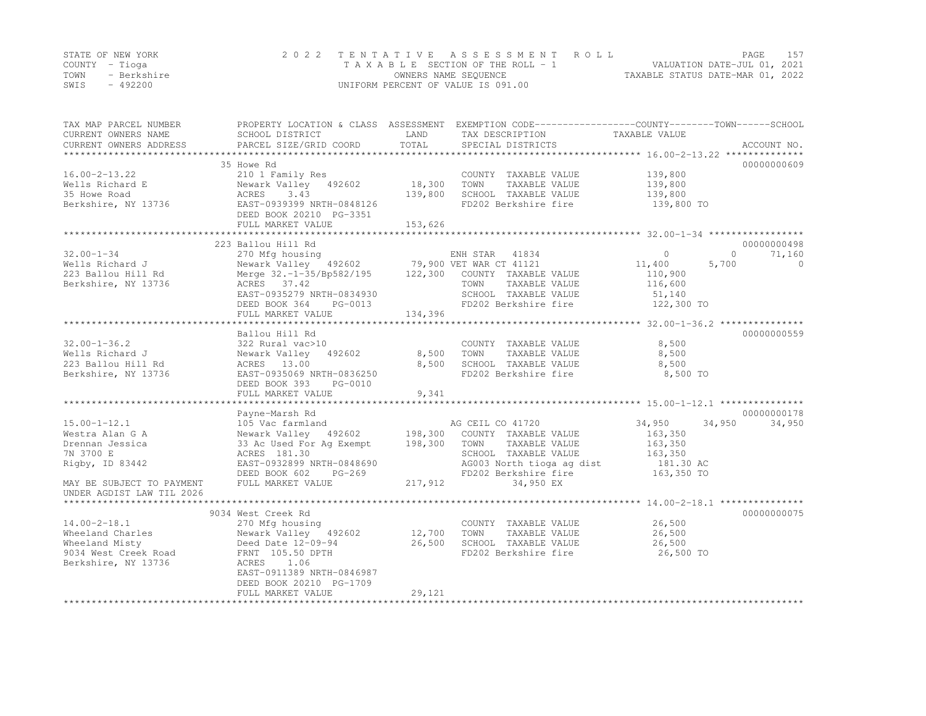| STATE OF NEW YORK |             | 2022 TENTATIVE ASSESSMENT ROLL     | PAGE                             | 157 |
|-------------------|-------------|------------------------------------|----------------------------------|-----|
| COUNTY – Tioga    |             | TAXABLE SECTION OF THE ROLL - 1    | VALUATION DATE-JUL 01, 2021      |     |
| TOWN              | - Berkshire | OWNERS NAME SEQUENCE               | TAXABLE STATUS DATE-MAR 01, 2022 |     |
| SWIS              | $-492200$   | UNIFORM PERCENT OF VALUE IS 091.00 |                                  |     |

| TAX MAP PARCEL NUMBER<br>CURRENT OWNERS NAME | SCHOOL DISTRICT                                                 | LAND    | PROPERTY LOCATION & CLASS ASSESSMENT EXEMPTION CODE---------------COUNTY-------TOWN------SCHOOL<br>TAX DESCRIPTION | TAXABLE VALUE    |                    |
|----------------------------------------------|-----------------------------------------------------------------|---------|--------------------------------------------------------------------------------------------------------------------|------------------|--------------------|
| CURRENT OWNERS ADDRESS                       | PARCEL SIZE/GRID COORD                                          | TOTAL   | SPECIAL DISTRICTS                                                                                                  |                  | ACCOUNT NO.        |
|                                              | 35 Howe Rd                                                      |         |                                                                                                                    |                  | 00000000609        |
| $16.00 - 2 - 13.22$                          | 210 1 Family Res                                                |         | COUNTY TAXABLE VALUE                                                                                               | 139,800          |                    |
| Wells Richard E                              | Newark Valley 492602                                            | 18,300  | TOWN<br>TAXABLE VALUE                                                                                              | 139,800          |                    |
| 35 Howe Road                                 | 3.43<br>ACRES                                                   | 139,800 | SCHOOL TAXABLE VALUE                                                                                               | 139,800          |                    |
| Berkshire, NY 13736                          | EAST-0939399 NRTH-0848126<br>DEED BOOK 20210 PG-3351            |         | FD202 Berkshire fire                                                                                               | 139,800 TO       |                    |
|                                              | FULL MARKET VALUE                                               | 153,626 |                                                                                                                    |                  |                    |
|                                              |                                                                 |         |                                                                                                                    |                  |                    |
|                                              | 223 Ballou Hill Rd                                              |         |                                                                                                                    |                  | 00000000498        |
| $32.00 - 1 - 34$                             | 270 Mfg housing<br>Newark Valley 492602 79,900 VET WAR CT 41121 |         |                                                                                                                    | $\Omega$         | $\Omega$<br>71,160 |
| Wells Richard J                              |                                                                 |         |                                                                                                                    | 11,400<br>5,700  | $\circ$            |
| 223 Ballou Hill Rd                           | Merge 32.-1-35/Bp582/195 122,300                                |         | COUNTY TAXABLE VALUE                                                                                               | 110,900          |                    |
| Berkshire, NY 13736                          | ACRES 37.42                                                     |         | TOWN<br>TAXABLE VALUE                                                                                              | 116,600          |                    |
|                                              | EAST-0935279 NRTH-0834930                                       |         | SCHOOL TAXABLE VALUE                                                                                               | 51,140           |                    |
|                                              | DEED BOOK 364<br>PG-0013                                        |         | FD202 Berkshire fire                                                                                               | 122,300 TO       |                    |
|                                              | FULL MARKET VALUE                                               | 134,396 |                                                                                                                    |                  |                    |
|                                              |                                                                 |         |                                                                                                                    |                  |                    |
|                                              | Ballou Hill Rd                                                  |         |                                                                                                                    |                  | 00000000559        |
| $32.00 - 1 - 36.2$                           | 322 Rural vac>10                                                |         | COUNTY TAXABLE VALUE                                                                                               | 8,500            |                    |
| Wells Richard J                              | Newark Valley<br>492602                                         | 8,500   | TOWN<br>TAXABLE VALUE                                                                                              | 8,500            |                    |
| 223 Ballou Hill Rd                           | ACRES 13.00                                                     | 8,500   | SCHOOL TAXABLE VALUE                                                                                               | 8,500            |                    |
| Berkshire, NY 13736                          | EAST-0935069 NRTH-0836250                                       |         | FD202 Berkshire fire                                                                                               | 8,500 TO         |                    |
|                                              | DEED BOOK 393<br>PG-0010                                        | 9,341   |                                                                                                                    |                  |                    |
|                                              | FULL MARKET VALUE                                               |         |                                                                                                                    |                  |                    |
|                                              | Payne-Marsh Rd                                                  |         |                                                                                                                    |                  | 00000000178        |
| $15.00 - 1 - 12.1$                           | 105 Vac farmland                                                |         | AG CEIL CO 41720                                                                                                   | 34,950<br>34,950 | 34,950             |
| Westra Alan G A                              | Newark Valley 492602                                            | 198,300 | COUNTY TAXABLE VALUE                                                                                               | 163,350          |                    |
| Drennan Jessica                              | 33 Ac Used For Aq Exempt                                        | 198,300 | TOWN<br>TAXABLE VALUE                                                                                              | 163,350          |                    |
| 7N 3700 E                                    | ACRES 181.30                                                    |         | SCHOOL TAXABLE VALUE                                                                                               | 163,350          |                    |
| Rigby, ID 83442                              | EAST-0932899 NRTH-0848690                                       |         | AG003 North tioga ag dist                                                                                          | 181.30 AC        |                    |
|                                              | DEED BOOK 602<br>PG-269                                         |         | FD202 Berkshire fire                                                                                               | 163,350 TO       |                    |
| MAY BE SUBJECT TO PAYMENT                    | FULL MARKET VALUE                                               | 217,912 | 34,950 EX                                                                                                          |                  |                    |
| UNDER AGDIST LAW TIL 2026                    |                                                                 |         |                                                                                                                    |                  |                    |
|                                              |                                                                 |         |                                                                                                                    |                  |                    |
|                                              | 9034 West Creek Rd                                              |         |                                                                                                                    |                  | 00000000075        |
| $14.00 - 2 - 18.1$                           | 270 Mfg housing                                                 |         | COUNTY TAXABLE VALUE                                                                                               | 26,500           |                    |
| Wheeland Charles                             | Newark Valley 492602                                            | 12,700  | TOWN<br>TAXABLE VALUE                                                                                              | 26,500           |                    |
| Wheeland Misty                               | Deed Date 12-09-94                                              | 26,500  | SCHOOL TAXABLE VALUE                                                                                               | 26,500           |                    |
| 9034 West Creek Road                         | FRNT 105.50 DPTH                                                |         | FD202 Berkshire fire                                                                                               | 26,500 TO        |                    |
| Berkshire, NY 13736                          | ACRES<br>1.06                                                   |         |                                                                                                                    |                  |                    |
|                                              | EAST-0911389 NRTH-0846987                                       |         |                                                                                                                    |                  |                    |
|                                              | DEED BOOK 20210 PG-1709                                         |         |                                                                                                                    |                  |                    |
|                                              | FULL MARKET VALUE                                               | 29,121  |                                                                                                                    |                  |                    |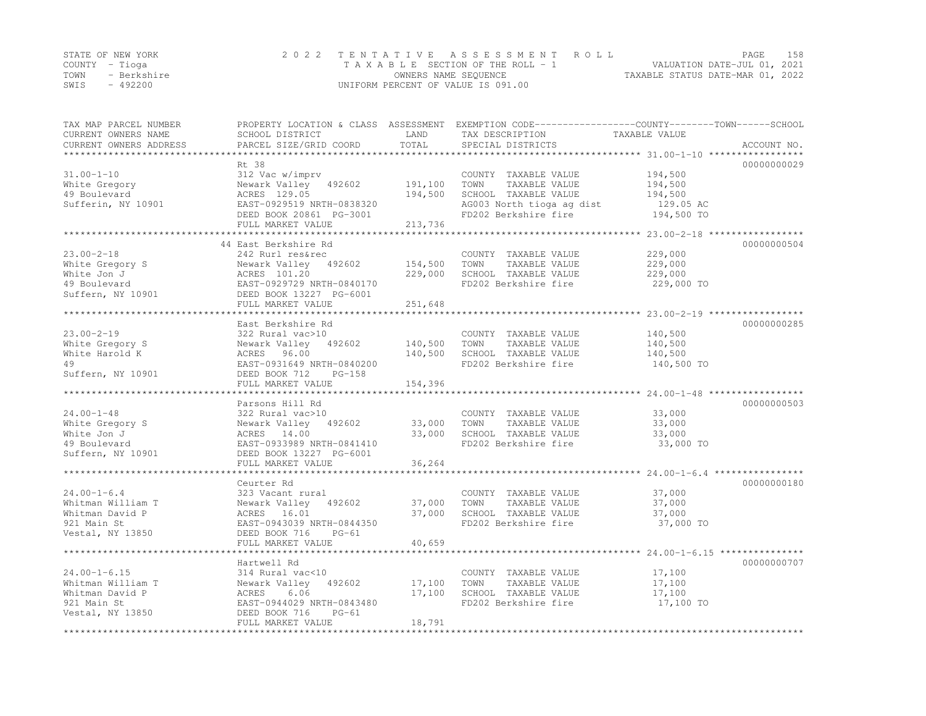|      | STATE OF NEW YORK | 2022 TENTATIVE ASSESSMENT ROLL                                 | PAGE | 158 |
|------|-------------------|----------------------------------------------------------------|------|-----|
|      | COUNTY – Tioga    | VALUATION DATE-JUL 01, 2021<br>TAXABLE SECTION OF THE ROLL - 1 |      |     |
| TOWN | - Berkshire       | TAXABLE STATUS DATE-MAR 01, 2022<br>OWNERS NAME SEQUENCE       |      |     |
| SWIS | $-492200$         | UNIFORM PERCENT OF VALUE IS 091.00                             |      |     |

| TAX MAP PARCEL NUMBER<br>CURRENT OWNERS NAME<br>CURRENT OWNERS ADDRESS | SCHOOL DISTRICT<br>PARCEL SIZE/GRID COORD | LAND<br>TOTAL | TAX DESCRIPTION<br>SPECIAL DISTRICTS | PROPERTY LOCATION & CLASS ASSESSMENT EXEMPTION CODE----------------COUNTY-------TOWN-----SCHOOL<br>TAXABLE VALUE<br>ACCOUNT NO. |
|------------------------------------------------------------------------|-------------------------------------------|---------------|--------------------------------------|---------------------------------------------------------------------------------------------------------------------------------|
| **********************                                                 |                                           |               |                                      |                                                                                                                                 |
|                                                                        | Rt 38                                     |               |                                      | 00000000029                                                                                                                     |
| $31.00 - 1 - 10$                                                       | 312 Vac w/imprv                           |               | COUNTY TAXABLE VALUE                 | 194,500                                                                                                                         |
| White Gregory                                                          | Newark Valley 492602                      | 191,100       | TOWN<br>TAXABLE VALUE                | 194,500                                                                                                                         |
| 49 Boulevard                                                           | ACRES 129.05                              | 194,500       | SCHOOL TAXABLE VALUE                 | 194,500                                                                                                                         |
| Sufferin, NY 10901                                                     | EAST-0929519 NRTH-0838320                 |               | AG003 North tioga ag dist            | 129.05 AC                                                                                                                       |
|                                                                        | DEED BOOK 20861 PG-3001                   |               | FD202 Berkshire fire                 | 194,500 TO                                                                                                                      |
|                                                                        | FULL MARKET VALUE                         | 213,736       |                                      |                                                                                                                                 |
|                                                                        |                                           |               |                                      |                                                                                                                                 |
| $23.00 - 2 - 18$                                                       | 44 East Berkshire Rd                      |               |                                      | 00000000504                                                                                                                     |
|                                                                        | 242 Rurl res&rec                          |               | COUNTY TAXABLE VALUE                 | 229,000                                                                                                                         |
| White Gregory S                                                        | Newark Valley<br>492602                   | 154,500       | TAXABLE VALUE<br>TOWN                | 229,000                                                                                                                         |
| White Jon J                                                            | ACRES 101.20                              | 229,000       | SCHOOL TAXABLE VALUE                 | 229,000                                                                                                                         |
| 49 Boulevard                                                           | EAST-0929729 NRTH-0840170                 |               | FD202 Berkshire fire                 | 229,000 TO                                                                                                                      |
| Suffern, NY 10901                                                      | DEED BOOK 13227 PG-6001                   |               |                                      |                                                                                                                                 |
|                                                                        | FULL MARKET VALUE                         | 251,648       |                                      | ********************************** 23.00-2-19 ***********                                                                       |
|                                                                        |                                           |               |                                      |                                                                                                                                 |
| $23.00 - 2 - 19$                                                       | East Berkshire Rd                         |               |                                      | 00000000285                                                                                                                     |
|                                                                        | 322 Rural vac>10                          |               | COUNTY TAXABLE VALUE                 | 140,500                                                                                                                         |
| White Gregory S                                                        | Newark Valley<br>492602                   | 140,500       | TOWN<br>TAXABLE VALUE                | 140,500                                                                                                                         |
| White Harold K                                                         | ACRES<br>96.00                            | 140,500       | SCHOOL TAXABLE VALUE                 | 140,500                                                                                                                         |
| 49                                                                     | EAST-0931649 NRTH-0840200                 |               | FD202 Berkshire fire                 | 140,500 TO                                                                                                                      |
| Suffern, NY 10901                                                      | DEED BOOK 712<br>$PG-158$                 |               |                                      |                                                                                                                                 |
|                                                                        | FULL MARKET VALUE                         | 154,396       |                                      |                                                                                                                                 |
|                                                                        | Parsons Hill Rd                           |               |                                      | 00000000503                                                                                                                     |
| $24.00 - 1 - 48$                                                       | 322 Rural vac>10                          |               | COUNTY TAXABLE VALUE                 | 33,000                                                                                                                          |
| White Gregory S                                                        | Newark Valley<br>492602                   | 33,000        | TOWN<br>TAXABLE VALUE                | 33,000                                                                                                                          |
| White Jon J                                                            | ACRES 14.00                               | 33,000        | SCHOOL TAXABLE VALUE                 | 33,000                                                                                                                          |
| 49 Boulevard                                                           | EAST-0933989 NRTH-0841410                 |               | FD202 Berkshire fire                 | 33,000 TO                                                                                                                       |
| Suffern, NY 10901                                                      | DEED BOOK 13227 PG-6001                   |               |                                      |                                                                                                                                 |
|                                                                        | FULL MARKET VALUE                         | 36,264        |                                      |                                                                                                                                 |
|                                                                        |                                           |               |                                      |                                                                                                                                 |
|                                                                        | Ceurter Rd                                |               |                                      | 00000000180                                                                                                                     |
| $24.00 - 1 - 6.4$                                                      | 323 Vacant rural                          |               | COUNTY TAXABLE VALUE                 | 37,000                                                                                                                          |
| Whitman William T                                                      | Newark Valley<br>492602                   | 37,000        | TOWN<br>TAXABLE VALUE                | 37,000                                                                                                                          |
| Whitman David P                                                        | ACRES 16.01                               | 37,000        | SCHOOL TAXABLE VALUE                 | 37,000                                                                                                                          |
| 921 Main St                                                            | EAST-0943039 NRTH-0844350                 |               | FD202 Berkshire fire                 | 37,000 TO                                                                                                                       |
| Vestal, NY 13850                                                       | DEED BOOK 716<br>$PG-61$                  |               |                                      |                                                                                                                                 |
|                                                                        | FULL MARKET VALUE                         | 40,659        |                                      |                                                                                                                                 |
|                                                                        |                                           |               |                                      |                                                                                                                                 |
|                                                                        | Hartwell Rd                               |               |                                      | 00000000707                                                                                                                     |
| $24.00 - 1 - 6.15$                                                     | 314 Rural vac<10                          |               | COUNTY TAXABLE VALUE                 | 17,100                                                                                                                          |
| Whitman William T                                                      | Newark Valley<br>492602                   | 17,100        | TAXABLE VALUE<br>TOWN                | 17,100                                                                                                                          |
| Whitman David P                                                        | ACRES<br>6.06                             | 17,100        | SCHOOL TAXABLE VALUE                 | 17,100                                                                                                                          |
| 921 Main St                                                            | EAST-0944029 NRTH-0843480                 |               | FD202 Berkshire fire                 | 17,100 TO                                                                                                                       |
| Vestal, NY 13850                                                       | DEED BOOK 716<br>$PG-61$                  |               |                                      |                                                                                                                                 |
|                                                                        | FULL MARKET VALUE                         | 18,791        |                                      |                                                                                                                                 |
|                                                                        |                                           |               |                                      |                                                                                                                                 |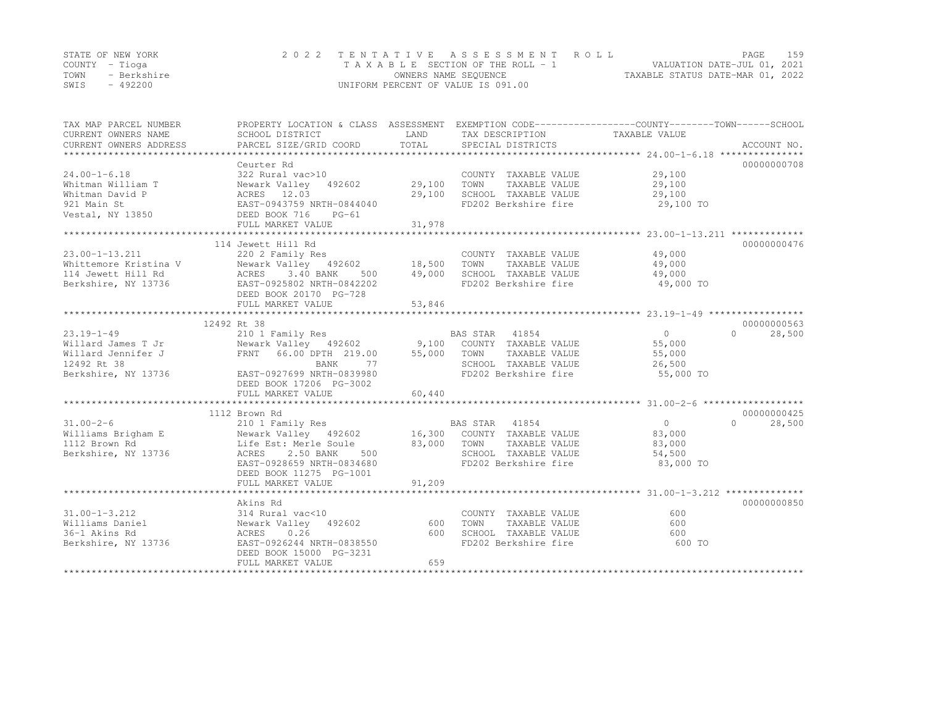|      | STATE OF NEW YORK | 2022 TENTATIVE ASSESSMENT ROLL     |                                  | PAGE | 159 |
|------|-------------------|------------------------------------|----------------------------------|------|-----|
|      | COUNTY – Tioga    | TAXABLE SECTION OF THE ROLL - 1    | VALUATION DATE-JUL 01, 2021      |      |     |
| TOWN | - Berkshire       | OWNERS NAME SEQUENCE               | TAXABLE STATUS DATE-MAR 01, 2022 |      |     |
| SWIS | - 492200          | UNIFORM PERCENT OF VALUE IS 091.00 |                                  |      |     |

| TAX MAP PARCEL NUMBER<br>CURRENT OWNERS NAME                                                                                                                                                                                                                  | SCHOOL DISTRICT                                                                                                                                                                       | LAND   | TAX DESCRIPTION TAXABLE VALUE                 | PROPERTY LOCATION & CLASS ASSESSMENT EXEMPTION CODE----------------COUNTY-------TOWN-----SCHOOL |                    |
|---------------------------------------------------------------------------------------------------------------------------------------------------------------------------------------------------------------------------------------------------------------|---------------------------------------------------------------------------------------------------------------------------------------------------------------------------------------|--------|-----------------------------------------------|-------------------------------------------------------------------------------------------------|--------------------|
| CURRENT OWNERS ADDRESS                                                                                                                                                                                                                                        | PARCEL SIZE/GRID COORD                                                                                                                                                                | TOTAL  | SPECIAL DISTRICTS                             |                                                                                                 | ACCOUNT NO.        |
|                                                                                                                                                                                                                                                               | Ceurter Rd                                                                                                                                                                            |        |                                               |                                                                                                 | 00000000708        |
| $24.00 - 1 - 6.18$                                                                                                                                                                                                                                            |                                                                                                                                                                                       |        |                                               | 29,100                                                                                          |                    |
|                                                                                                                                                                                                                                                               | 322 Rural vac>10                                                                                                                                                                      |        | COUNTY TAXABLE VALUE<br>TOWN<br>TAXABLE VALUE | 29,100                                                                                          |                    |
|                                                                                                                                                                                                                                                               | Newark Valley 492602 29,100                                                                                                                                                           | 29,100 | SCHOOL TAXABLE VALUE                          |                                                                                                 |                    |
|                                                                                                                                                                                                                                                               |                                                                                                                                                                                       |        |                                               | 29,100<br>FD202 Berkshire fire 29,100 TO                                                        |                    |
|                                                                                                                                                                                                                                                               |                                                                                                                                                                                       |        |                                               |                                                                                                 |                    |
| Whitman William T<br>Whitman David P<br>921 Main St<br>921 Main St<br>921 Main St<br>921 Main St<br>921 Main St<br>921 Main St<br>922 Main St<br>922 Main St<br>922 Main St<br>922 Main St<br>922 Main St<br>925 Main St<br>925 Main St<br>925 Main St<br>925 | FULL MARKET VALUE                                                                                                                                                                     | 31,978 |                                               |                                                                                                 |                    |
|                                                                                                                                                                                                                                                               |                                                                                                                                                                                       |        |                                               |                                                                                                 |                    |
|                                                                                                                                                                                                                                                               | 114 Jewett Hill Rd                                                                                                                                                                    |        |                                               |                                                                                                 | 00000000476        |
| $23.00 - 1 - 13.211$                                                                                                                                                                                                                                          | 220 2 Family Res                                                                                                                                                                      |        | COUNTY TAXABLE VALUE                          | 49,000                                                                                          |                    |
|                                                                                                                                                                                                                                                               |                                                                                                                                                                                       |        | TOWN<br>TAXABLE VALUE                         | 49,000                                                                                          |                    |
|                                                                                                                                                                                                                                                               |                                                                                                                                                                                       |        | SCHOOL TAXABLE VALUE                          | 49,000                                                                                          |                    |
| Whittemore Kristina V 192602 18,500<br>114 Jewett Hill Rd 192602 18,500<br>Berkshire, NY 13736 EAST-0925802 NRTH-0842202                                                                                                                                      |                                                                                                                                                                                       |        |                                               | FD202 Berkshire fire 49,000 TO                                                                  |                    |
|                                                                                                                                                                                                                                                               | DEED BOOK 20170 PG-728                                                                                                                                                                |        |                                               |                                                                                                 |                    |
|                                                                                                                                                                                                                                                               | FULL MARKET VALUE                                                                                                                                                                     | 53,846 |                                               |                                                                                                 |                    |
|                                                                                                                                                                                                                                                               |                                                                                                                                                                                       |        |                                               |                                                                                                 |                    |
|                                                                                                                                                                                                                                                               | 12492 Rt 38                                                                                                                                                                           |        |                                               |                                                                                                 | 00000000563        |
| $23.19 - 1 - 49$                                                                                                                                                                                                                                              | 210 1 Family Res                                                                                                                                                                      |        | BAS STAR 41854                                | 0                                                                                               | $\Omega$<br>28,500 |
| Willard James T Jr                                                                                                                                                                                                                                            |                                                                                                                                                                                       |        |                                               | 55,000                                                                                          |                    |
| Willard Jennifer J                                                                                                                                                                                                                                            |                                                                                                                                                                                       |        |                                               | 55,000                                                                                          |                    |
| 12492 Rt 38                                                                                                                                                                                                                                                   |                                                                                                                                                                                       |        | SCHOOL TAXABLE VALUE                          | 26,500                                                                                          |                    |
| Berkshire, NY 13736                                                                                                                                                                                                                                           | Newark Valley 492602 9,100 COUNTY TAXABLE VALUE<br>FRNT 66.00 DPTH 219.00 55,000 TOWN TAXABLE VALUE<br>BANK 77 SCHOOL TAXABLE VALUE<br>EAST-0927699 NRTH-0839980 FD202 Berkshire fire |        |                                               | 55,000 TO                                                                                       |                    |
|                                                                                                                                                                                                                                                               | DEED BOOK 17206 PG-3002                                                                                                                                                               |        |                                               |                                                                                                 |                    |
|                                                                                                                                                                                                                                                               | FULL MARKET VALUE                                                                                                                                                                     | 60,440 |                                               |                                                                                                 |                    |
| CONTROLLER Milliams Brigham E (210 1 Family Res)<br>Milliams Brigham E (210 1 Family Res)<br>Newark Valley (492602) (2000 16,300 COUNTY TAXABLE VALUE<br>112 Brown Rd (2.50 BANK) (2.50 BANK) (2.50 BANK) (2.50 BANK) (2.50 BANK) (2                          |                                                                                                                                                                                       |        |                                               |                                                                                                 |                    |
|                                                                                                                                                                                                                                                               |                                                                                                                                                                                       |        |                                               |                                                                                                 | 00000000425        |
|                                                                                                                                                                                                                                                               |                                                                                                                                                                                       |        |                                               | $0 \qquad \qquad$                                                                               | $\Omega$<br>28,500 |
|                                                                                                                                                                                                                                                               |                                                                                                                                                                                       |        |                                               | 83,000                                                                                          |                    |
|                                                                                                                                                                                                                                                               |                                                                                                                                                                                       |        | TAXABLE VALUE                                 | 83,000                                                                                          |                    |
|                                                                                                                                                                                                                                                               |                                                                                                                                                                                       |        | SCHOOL TAXABLE VALUE                          | 54,500                                                                                          |                    |
|                                                                                                                                                                                                                                                               | EAST-0928659 NRTH-0834680                                                                                                                                                             |        | FD202 Berkshire fire                          | 83,000 TO                                                                                       |                    |
|                                                                                                                                                                                                                                                               | DEED BOOK 11275 PG-1001                                                                                                                                                               |        |                                               |                                                                                                 |                    |
|                                                                                                                                                                                                                                                               | FULL MARKET VALUE                                                                                                                                                                     | 91,209 |                                               |                                                                                                 |                    |
|                                                                                                                                                                                                                                                               |                                                                                                                                                                                       |        |                                               |                                                                                                 |                    |
|                                                                                                                                                                                                                                                               | Akins Rd                                                                                                                                                                              |        |                                               |                                                                                                 | 00000000850        |
| $31.00 - 1 - 3.212$                                                                                                                                                                                                                                           | 314 Rural vac<10                                                                                                                                                                      |        | COUNTY TAXABLE VALUE                          | 600                                                                                             |                    |
| Williams Daniel                                                                                                                                                                                                                                               | Newark Valley 492602 600                                                                                                                                                              |        | TOWN                                          | TAXABLE VALUE<br>600                                                                            |                    |
| 36-1 Akins Rd                                                                                                                                                                                                                                                 | 0.26<br>ACRES                                                                                                                                                                         | 600    | SCHOOL TAXABLE VALUE<br>- 200 District fire   | 600                                                                                             |                    |
| Berkshire, NY 13736                                                                                                                                                                                                                                           | RUNDO<br>EAST-0926244 NRTH-0838550                                                                                                                                                    |        | FD202 Berkshire fire                          | 600 TO                                                                                          |                    |
|                                                                                                                                                                                                                                                               | DEED BOOK 15000 PG-3231                                                                                                                                                               |        |                                               |                                                                                                 |                    |
|                                                                                                                                                                                                                                                               | FULL MARKET VALUE                                                                                                                                                                     | 659    |                                               |                                                                                                 |                    |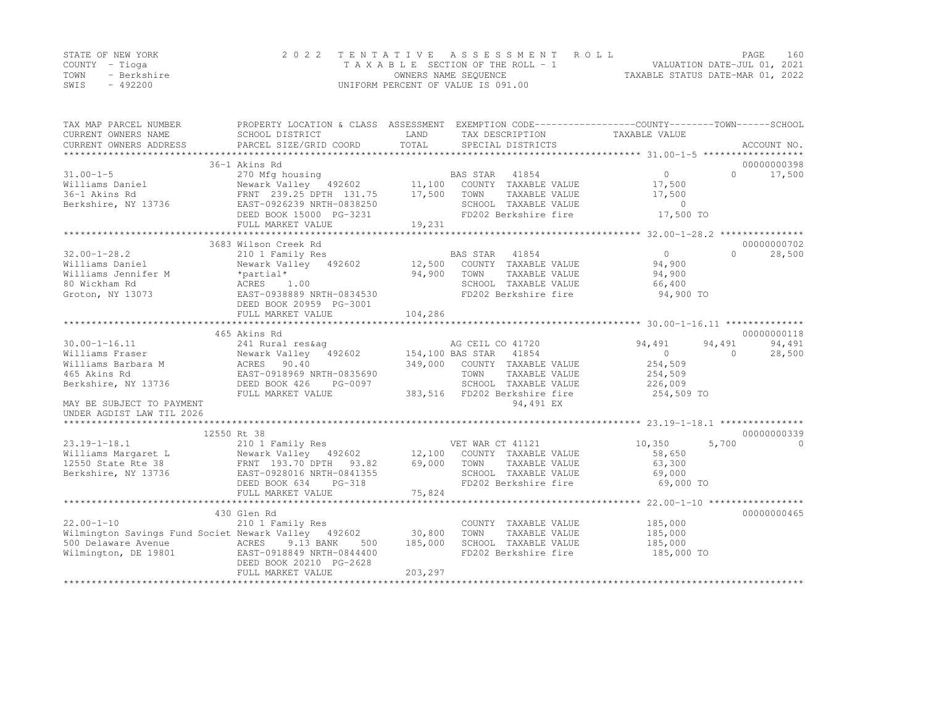|      | STATE OF NEW YORK | 2022 TENTATIVE ASSESSMENT ROLL     |                                  | PAGE | 160 |
|------|-------------------|------------------------------------|----------------------------------|------|-----|
|      | COUNTY – Tioga    | TAXABLE SECTION OF THE ROLL - 1    | VALUATION DATE-JUL 01, 2021      |      |     |
| TOWN | - Berkshire       | OWNERS NAME SEQUENCE               | TAXABLE STATUS DATE-MAR 01, 2022 |      |     |
| SWIS | - 492200          | UNIFORM PERCENT OF VALUE IS 091.00 |                                  |      |     |

| TAX MAP PARCEL NUMBER<br>CURRENT OWNERS NAME<br>CURRENT OWNERS ADDRESS                                                                                                                 | PROPERTY LOCATION & CLASS ASSESSMENT<br>SCHOOL DISTRICT<br>PARCEL SIZE/GRID COORD                                    | LAND<br>TOTAL | TAX DESCRIPTION<br>SPECIAL DISTRICTS                                 | EXEMPTION CODE-----------------COUNTY-------TOWN-----SCHOOL<br>TAXABLE VALUE | ACCOUNT NO.         |
|----------------------------------------------------------------------------------------------------------------------------------------------------------------------------------------|----------------------------------------------------------------------------------------------------------------------|---------------|----------------------------------------------------------------------|------------------------------------------------------------------------------|---------------------|
|                                                                                                                                                                                        |                                                                                                                      |               |                                                                      |                                                                              |                     |
|                                                                                                                                                                                        | 36-1 Akins Rd                                                                                                        |               |                                                                      |                                                                              | 00000000398         |
| $31.00 - 1 - 5$                                                                                                                                                                        | 270 Mfg housing<br>Newark Valley 492602 11,100 COUNTY TAXABLE VALUE                                                  |               |                                                                      | $\overline{0}$                                                               | 17,500<br>$\Omega$  |
| Williams Daniel                                                                                                                                                                        |                                                                                                                      |               |                                                                      | 17,500                                                                       |                     |
| 36-1 Akins Rd                                                                                                                                                                          | FRNT 239.25 DPTH 131.75                                                                                              | 17,500        | TOWN<br>TAXABLE VALUE                                                | 17,500                                                                       |                     |
| Berkshire, NY 13736                                                                                                                                                                    | EAST-0926239 NRTH-0838250                                                                                            |               | SCHOOL TAXABLE VALUE<br>SCHOOL TAXABLE VALUE<br>FD202 Berkshire fire | $\overline{0}$                                                               |                     |
|                                                                                                                                                                                        | DEED BOOK 15000 PG-3231                                                                                              |               |                                                                      | 17,500 TO                                                                    |                     |
|                                                                                                                                                                                        | FULL MARKET VALUE                                                                                                    | 19,231        |                                                                      |                                                                              |                     |
|                                                                                                                                                                                        |                                                                                                                      |               |                                                                      | ****************** 32.00-1-28.2 ****************                             |                     |
|                                                                                                                                                                                        | 3683 Wilson Creek Rd                                                                                                 |               |                                                                      |                                                                              | 00000000702         |
| $32.00 - 1 - 28.2$                                                                                                                                                                     | 210 1 Family Res                                                                                                     |               | BAS STAR 41854                                                       | $\overline{0}$                                                               | $\bigcap$<br>28,500 |
| Williams Daniel                                                                                                                                                                        |                                                                                                                      |               |                                                                      | 94,900                                                                       |                     |
| Williams Jennifer M *partial*<br>80 Wickham Rd * ACRES 1.00                                                                                                                            |                                                                                                                      | 94,900        | TOWN<br>TAXABLE VALUE                                                | 94,900                                                                       |                     |
|                                                                                                                                                                                        |                                                                                                                      |               | SCHOOL TAXABLE VALUE                                                 | 66,400                                                                       |                     |
| Groton, NY 13073                                                                                                                                                                       | EAST-0938889 NRTH-0834530                                                                                            |               | FD202 Berkshire fire                                                 | 94,900 TO                                                                    |                     |
|                                                                                                                                                                                        | DEED BOOK 20959 PG-3001                                                                                              |               |                                                                      |                                                                              |                     |
|                                                                                                                                                                                        | FULL MARKET VALUE                                                                                                    | 104,286       |                                                                      |                                                                              |                     |
|                                                                                                                                                                                        | 241 Rural res&ag<br>Newark Valley 492602 154,100 BAS STAR 41854<br>ACRES 90.40 349,000 COUNTY TAVADERS DEED BOOK 426 |               |                                                                      |                                                                              |                     |
|                                                                                                                                                                                        |                                                                                                                      |               |                                                                      |                                                                              | 00000000118         |
| $30.00 - 1 - 16.11$                                                                                                                                                                    |                                                                                                                      |               |                                                                      | 94,491                                                                       | 94,491<br>94,491    |
| Williams Fraser                                                                                                                                                                        |                                                                                                                      |               |                                                                      | $\Omega$                                                                     | $\Omega$<br>28,500  |
| Williams Barbara M                                                                                                                                                                     |                                                                                                                      |               | COUNTY TAXABLE VALUE                                                 | 254,509                                                                      |                     |
| 465 Akins Rd                                                                                                                                                                           |                                                                                                                      |               | TAXABLE VALUE                                                        | 254,509                                                                      |                     |
| Berkshire, NY 13736                                                                                                                                                                    |                                                                                                                      |               | SCHOOL TAXABLE VALUE                                                 | 226,009                                                                      |                     |
|                                                                                                                                                                                        | FULL MARKET VALUE                                                                                                    |               | 383,516 FD202 Berkshire fire                                         | 254,509 TO                                                                   |                     |
| MAY BE SUBJECT TO PAYMENT                                                                                                                                                              |                                                                                                                      |               | 94,491 EX                                                            |                                                                              |                     |
| UNDER AGDIST LAW TIL 2026                                                                                                                                                              |                                                                                                                      |               |                                                                      |                                                                              |                     |
|                                                                                                                                                                                        |                                                                                                                      |               |                                                                      |                                                                              |                     |
|                                                                                                                                                                                        | 12550 Rt 38                                                                                                          |               |                                                                      |                                                                              | 00000000339         |
|                                                                                                                                                                                        |                                                                                                                      |               |                                                                      | 10,350                                                                       | 5,700<br>$\Omega$   |
|                                                                                                                                                                                        |                                                                                                                      |               |                                                                      | 58,650                                                                       |                     |
| 23.19-1-18.1 210 1 Family Res<br>Williams Margaret L 210 1 Family Res<br>Williams Margaret L 23.70 DPTH 93.82 69,000 TOWN TAXABLE VALUE<br>Resolution NY 13336 2000 TOWN TAXABLE VALUE |                                                                                                                      |               | TAXABLE VALUE                                                        | 63,300                                                                       |                     |
| Berkshire, NY 13736                                                                                                                                                                    | EAST-0928016 NRTH-0841355                                                                                            |               | SCHOOL TAXABLE VALUE<br>FD202 Berkshire fire                         | 69,000                                                                       |                     |
|                                                                                                                                                                                        | DEED BOOK 634<br>PG-318                                                                                              |               |                                                                      | 69,000 TO                                                                    |                     |
|                                                                                                                                                                                        | FULL MARKET VALUE                                                                                                    | 75,824        |                                                                      |                                                                              |                     |
|                                                                                                                                                                                        |                                                                                                                      |               |                                                                      |                                                                              |                     |
|                                                                                                                                                                                        | 430 Glen Rd                                                                                                          |               |                                                                      |                                                                              | 00000000465         |
| $22.00 - 1 - 10$                                                                                                                                                                       | 210 1 Family Res                                                                                                     |               | COUNTY TAXABLE VALUE                                                 | 185,000                                                                      |                     |
| Wilmington Savings Fund Societ Newark Valley 492602 30,800                                                                                                                             |                                                                                                                      |               | TOWN<br>TAXABLE VALUE                                                | 185,000                                                                      |                     |
| 500 Delaware Avenue                                                                                                                                                                    | 500                                                                                                                  | 185,000       | SCHOOL TAXABLE VALUE                                                 | 185,000                                                                      |                     |
| Wilmington, DE 19801                                                                                                                                                                   | ACRES 9.13 BANK 500<br>EAST-0918849 NRTH-0844400                                                                     |               | FD202 Berkshire fire                                                 | 185,000 TO                                                                   |                     |
|                                                                                                                                                                                        | DEED BOOK 20210 PG-2628                                                                                              |               |                                                                      |                                                                              |                     |
|                                                                                                                                                                                        | FULL MARKET VALUE                                                                                                    | 203,297       |                                                                      |                                                                              |                     |
|                                                                                                                                                                                        |                                                                                                                      |               |                                                                      |                                                                              |                     |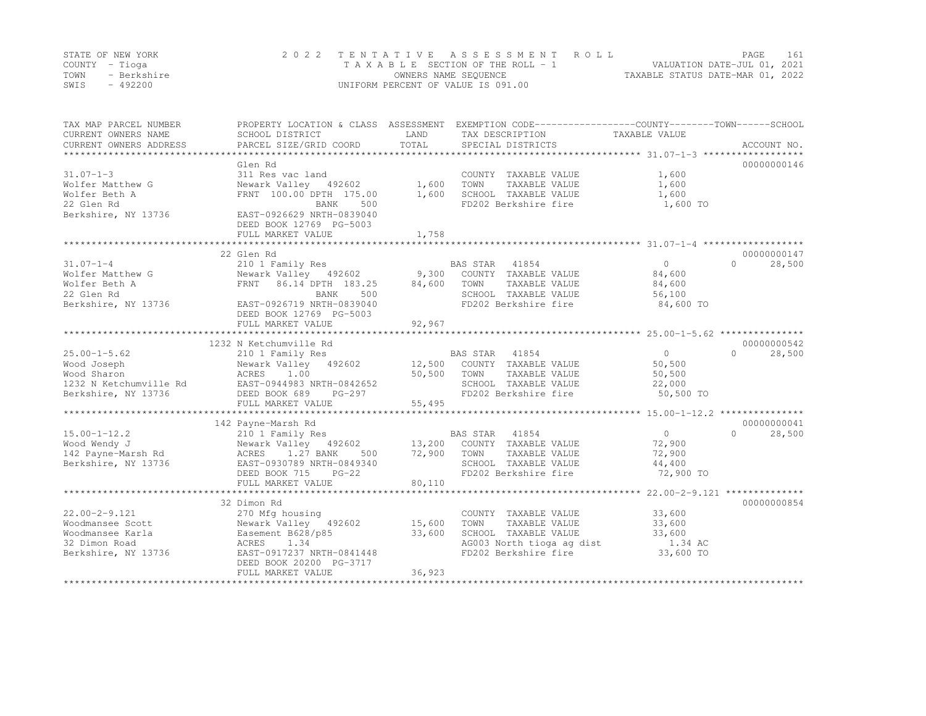|      | STATE OF NEW YORK | 2022 TENTATIVE ASSESSMENT ROLL     | PAGE.                            | 161 |
|------|-------------------|------------------------------------|----------------------------------|-----|
|      | COUNTY – Tioga    | TAXABLE SECTION OF THE ROLL - 1    | VALUATION DATE-JUL 01, 2021      |     |
| TOWN | - Berkshire       | OWNERS NAME SEQUENCE               | TAXABLE STATUS DATE-MAR 01, 2022 |     |
| SWIS | $-492200$         | UNIFORM PERCENT OF VALUE IS 091.00 |                                  |     |

| TAX MAP PARCEL NUMBER<br>CURRENT OWNERS NAME<br>CURRENT OWNERS ADDRESS | PROPERTY LOCATION & CLASS ASSESSMENT<br>SCHOOL DISTRICT<br>PARCEL SIZE/GRID COORD | LAND<br>TOTAL      | TAX DESCRIPTION<br>SPECIAL DISTRICTS | EXEMPTION CODE-----------------COUNTY-------TOWN-----SCHOOL<br>TAXABLE VALUE | ACCOUNT NO.           |
|------------------------------------------------------------------------|-----------------------------------------------------------------------------------|--------------------|--------------------------------------|------------------------------------------------------------------------------|-----------------------|
|                                                                        |                                                                                   |                    |                                      |                                                                              |                       |
|                                                                        | Glen Rd                                                                           |                    |                                      |                                                                              | 00000000146           |
| $31.07 - 1 - 3$                                                        | 311 Res vac land                                                                  | 1,600              | COUNTY TAXABLE VALUE                 | 1,600                                                                        |                       |
| Wolfer Matthew G                                                       | Newark Valley 492602                                                              |                    | TOWN<br>TAXABLE VALUE                | 1,600                                                                        |                       |
| Wolfer Beth A                                                          | FRNT 100.00 DPTH 175.00                                                           | 1,600              | SCHOOL TAXABLE VALUE                 | 1,600                                                                        |                       |
| 22 Glen Rd                                                             | BANK<br>500                                                                       |                    | FD202 Berkshire fire                 | 1,600 TO                                                                     |                       |
| Berkshire, NY 13736                                                    | EAST-0926629 NRTH-0839040<br>DEED BOOK 12769 PG-5003                              |                    |                                      |                                                                              |                       |
|                                                                        | FULL MARKET VALUE                                                                 | 1,758              |                                      |                                                                              |                       |
|                                                                        |                                                                                   |                    |                                      |                                                                              |                       |
| $31.07 - 1 - 4$                                                        | 22 Glen Rd                                                                        |                    | BAS STAR 41854                       | $\Omega$<br>$\bigcap$                                                        | 00000000147<br>28,500 |
| Wolfer Matthew G                                                       | 210 1 Family Res<br>Newark Valley 492602                                          | 9,300              | COUNTY TAXABLE VALUE                 | 84,600                                                                       |                       |
| Wolfer Beth A                                                          | FRNT 86.14 DPTH 183.25                                                            | 84,600             | TOWN<br>TAXABLE VALUE                | 84,600                                                                       |                       |
| 22 Glen Rd                                                             | BANK<br>500                                                                       |                    | SCHOOL TAXABLE VALUE                 | 56,100                                                                       |                       |
| Berkshire, NY 13736                                                    | EAST-0926719 NRTH-0839040                                                         |                    | FD202 Berkshire fire                 | 84,600 TO                                                                    |                       |
|                                                                        | DEED BOOK 12769 PG-5003                                                           |                    |                                      |                                                                              |                       |
|                                                                        | FULL MARKET VALUE                                                                 | 92,967             |                                      |                                                                              |                       |
|                                                                        | 1232 N Ketchumville Rd                                                            |                    |                                      |                                                                              | 00000000542           |
| $25.00 - 1 - 5.62$                                                     | 210 1 Family Res                                                                  |                    | BAS STAR 41854                       | $\overline{0}$<br>$\bigcap$                                                  | 28,500                |
| Wood Joseph                                                            | Newark Valley 492602                                                              | 12,500             | COUNTY TAXABLE VALUE                 | 50,500                                                                       |                       |
| Wood Sharon                                                            | ACRES 1.00                                                                        | 50,500             | TOWN<br>TAXABLE VALUE                | 50,500                                                                       |                       |
| 1232 N Ketchumville Rd                                                 | EAST-0944983 NRTH-0842652                                                         |                    | SCHOOL TAXABLE VALUE                 | 22,000                                                                       |                       |
| Berkshire, NY 13736                                                    | DEED BOOK 689<br>PG-297                                                           |                    | FD202 Berkshire fire                 | 50,500 TO                                                                    |                       |
|                                                                        | FULL MARKET VALUE                                                                 | 55,495             |                                      |                                                                              |                       |
|                                                                        |                                                                                   |                    |                                      |                                                                              |                       |
|                                                                        | 142 Payne-Marsh Rd                                                                |                    |                                      |                                                                              | 00000000041           |
| $15.00 - 1 - 12.2$                                                     | 210 1 Family Res                                                                  |                    | BAS STAR 41854                       | $\overline{0}$<br>$\Omega$                                                   | 28,500                |
| Wood Wendy J                                                           | Newark Valley 492602 13,200 COUNTY TAXABLE VALUE                                  |                    |                                      | 72,900                                                                       |                       |
| 142 Payne-Marsh Rd                                                     | ACRES 1.27 BANK<br>500                                                            | 72,900             | TOWN<br>TAXABLE VALUE                | 72,900                                                                       |                       |
| Berkshire, NY 13736                                                    | EAST-0930789 NRTH-0849340                                                         |                    | SCHOOL TAXABLE VALUE                 | 44,400                                                                       |                       |
|                                                                        | DEED BOOK 715<br>$PG-22$                                                          |                    | FD202 Berkshire fire                 | 72,900 TO                                                                    |                       |
|                                                                        | FULL MARKET VALUE                                                                 | 80,110             |                                      |                                                                              |                       |
|                                                                        | **************************                                                        | ****************** |                                      | ************************ 22.00-2-9.121 ***************                       |                       |
|                                                                        | 32 Dimon Rd                                                                       |                    |                                      |                                                                              | 00000000854           |
| $22.00 - 2 - 9.121$                                                    | 270 Mfg housing                                                                   |                    | COUNTY TAXABLE VALUE                 | 33,600                                                                       |                       |
| Woodmansee Scott                                                       | Newark Valley 492602                                                              | 15,600             | TOWN<br>TAXABLE VALUE                | 33,600                                                                       |                       |
| Woodmansee Karla                                                       | Easement B628/p85                                                                 | 33,600             | SCHOOL TAXABLE VALUE                 | 33,600                                                                       |                       |
| 32 Dimon Road                                                          | ACRES<br>1.34                                                                     |                    | AG003 North tioga ag dist            | 1.34 AC                                                                      |                       |
| Berkshire, NY 13736                                                    | EAST-0917237 NRTH-0841448                                                         |                    | FD202 Berkshire fire                 | 33,600 TO                                                                    |                       |
|                                                                        | DEED BOOK 20200 PG-3717                                                           |                    |                                      |                                                                              |                       |
|                                                                        | FULL MARKET VALUE                                                                 | 36,923             |                                      |                                                                              |                       |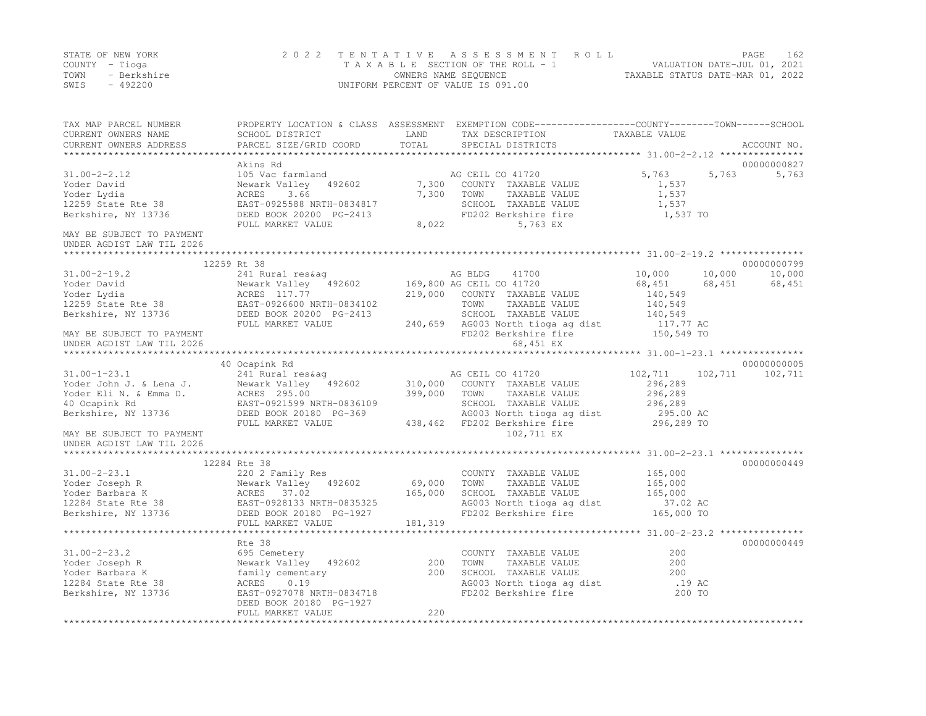|      | STATE OF NEW YORK | 2022 TENTATIVE ASSESSMENT ROLL     | 162<br>PAGE                      |
|------|-------------------|------------------------------------|----------------------------------|
|      | COUNTY – Tioga    | TAXABLE SECTION OF THE ROLL - 1    | VALUATION DATE-JUL 01, 2021      |
| TOWN | - Berkshire       | OWNERS NAME SEQUENCE               | TAXABLE STATUS DATE-MAR 01, 2022 |
| SWIS | - 492200          | UNIFORM PERCENT OF VALUE IS 091.00 |                                  |

| TAX MAP PARCEL NUMBER                                                                                     |                                    |         | PROPERTY LOCATION & CLASS ASSESSMENT EXEMPTION CODE----------------COUNTY-------TOWN------SCHOOL |                   |        |                 |
|-----------------------------------------------------------------------------------------------------------|------------------------------------|---------|--------------------------------------------------------------------------------------------------|-------------------|--------|-----------------|
| CURRENT OWNERS NAME                                                                                       | SCHOOL DISTRICT                    | LAND    | TAX DESCRIPTION                                                                                  | TAXABLE VALUE     |        |                 |
| CURRENT OWNERS ADDRESS                                                                                    | PARCEL SIZE/GRID COORD             | TOTAL   | SPECIAL DISTRICTS                                                                                |                   |        | ACCOUNT NO.     |
|                                                                                                           |                                    |         |                                                                                                  |                   |        |                 |
|                                                                                                           | Akins Rd                           |         |                                                                                                  | 5,763             |        | 00000000827     |
| $31.00 - 2 - 2.12$                                                                                        | 105 Vac farmland                   |         | AG CEIL CO 41720<br>7,300 COUNTY TAXABLE VALUE                                                   |                   | 5,763  | 5,763           |
| Yoder David                                                                                               | Newark Valley 492602<br>3.66       | 7,300   | TOWN                                                                                             | 1,537<br>1,537    |        |                 |
| Yoder Lydia                                                                                               | ACRES<br>EAST-0925588 NRTH-0834817 |         | TAXABLE VALUE<br>SCHOOL TAXABLE VALUE                                                            |                   |        |                 |
| 12259 State Rte 38                                                                                        | DEED BOOK 20200 PG-2413            |         | FD202 Berkshire fire                                                                             | 1,537<br>1,537 TO |        |                 |
| Berkshire, NY 13736                                                                                       | FULL MARKET VALUE                  | 8,022   | 5,763 EX                                                                                         |                   |        |                 |
| MAY BE SUBJECT TO PAYMENT                                                                                 |                                    |         |                                                                                                  |                   |        |                 |
| UNDER AGDIST LAW TIL 2026                                                                                 |                                    |         |                                                                                                  |                   |        |                 |
|                                                                                                           |                                    |         |                                                                                                  |                   |        |                 |
|                                                                                                           | 12259 Rt 38                        |         |                                                                                                  |                   |        | 00000000799     |
| $31.00 - 2 - 19.2$                                                                                        | 241 Rural res&aq                   |         | AG BLDG<br>41700                                                                                 | 10,000            | 10,000 | 10,000          |
| Yoder David                                                                                               | Newark Valley 492602               |         | 169,800 AG CEIL CO 41720                                                                         | 68,451            | 68,451 | 68,451          |
| $Y \cdot \text{oder}$ Lydia<br>12259 State Rte 38 EAST-0926600 NRTH-0834102                               |                                    |         | 219,000 COUNTY TAXABLE VALUE                                                                     | 140,549           |        |                 |
|                                                                                                           |                                    |         | TOWN<br>TAXABLE VALUE                                                                            | 140,549           |        |                 |
| Berkshire, NY 13736                                                                                       | DEED BOOK 20200 PG-2413            |         |                                                                                                  |                   |        |                 |
|                                                                                                           | FULL MARKET VALUE                  |         | SCHOOL TAXABLE VALUE 140,549<br>240,659 AG003 North tioga ag dist 117.77 AC                      |                   |        |                 |
| MAY BE SUBJECT TO PAYMENT                                                                                 |                                    |         | FD202 Berkshire fire                                                                             | 150,549 TO        |        |                 |
| UNDER AGDIST LAW TIL 2026                                                                                 |                                    |         | 68,451 EX                                                                                        |                   |        |                 |
|                                                                                                           |                                    |         |                                                                                                  |                   |        |                 |
|                                                                                                           | 40 Ocapink Rd                      |         |                                                                                                  |                   |        | 00000000005     |
| $31.00 - 1 - 23.1$                                                                                        | 241 Rural res&ag                   |         | AG CEIL CO 41720                                                                                 | 102,711           |        | 102,711 102,711 |
| Yoder John J. & Lena J.                                                                                   | Newark Valley 492602               | 310,000 | COUNTY TAXABLE VALUE                                                                             | 296,289           |        |                 |
| Yoder Eli N. & Emma D.                                                                                    | ACRES 295.00                       | 399,000 | TOWN<br>TAXABLE VALUE                                                                            | 296,289           |        |                 |
| 40 Ocapink Rd                                                                                             | EAST-0921599 NRTH-0836109          |         | SCHOOL TAXABLE VALUE                                                                             | 296,289           |        |                 |
| Berkshire, NY 13736                                                                                       | DEED BOOK 20180 PG-369             |         | AG003 North tioga ag dist                                                                        | 295.00 AC         |        |                 |
|                                                                                                           | FULL MARKET VALUE                  |         | 438,462 FD202 Berkshire fire                                                                     | 296,289 TO        |        |                 |
| MAY BE SUBJECT TO PAYMENT                                                                                 |                                    |         | 102,711 EX                                                                                       |                   |        |                 |
| UNDER AGDIST LAW TIL 2026                                                                                 |                                    |         |                                                                                                  |                   |        |                 |
|                                                                                                           | 12284 Rte 38                       |         |                                                                                                  |                   |        | 00000000449     |
| $31.00 - 2 - 23.1$                                                                                        | 220 2 Family Res                   |         | COUNTY TAXABLE VALUE                                                                             | 165,000           |        |                 |
|                                                                                                           |                                    | 69,000  | TOWN<br>TAXABLE VALUE                                                                            | 165,000           |        |                 |
|                                                                                                           |                                    | 165,000 | SCHOOL TAXABLE VALUE                                                                             | 165,000           |        |                 |
| Voder Joseph R<br>Yoder Barbara K<br>12284 State Rte 38<br>Berkshire, NY 13736<br>DEED BOOK 20180 PG-1927 |                                    |         | AG003 North tioga ag dist                                                                        | 37.02 AC          |        |                 |
|                                                                                                           |                                    |         | FD202 Berkshire fire                                                                             | $165,000$ TO      |        |                 |
|                                                                                                           | FULL MARKET VALUE                  | 181,319 |                                                                                                  |                   |        |                 |
|                                                                                                           |                                    |         |                                                                                                  |                   |        |                 |
|                                                                                                           | Rte 38                             |         |                                                                                                  |                   |        | 00000000449     |
| $31.00 - 2 - 23.2$                                                                                        | 695 Cemetery                       |         | COUNTY TAXABLE VALUE                                                                             | 200               |        |                 |
| Yoder Joseph R                                                                                            | Newark Valley 492602               | 200     | TOWN<br>TAXABLE VALUE                                                                            | 200               |        |                 |
| Yoder Barbara K                                                                                           | family cementary                   | 200     | SCHOOL TAXABLE VALUE                                                                             | 200               |        |                 |
| 12284 State Rte 38                                                                                        | ACRES<br>0.19                      |         | AG003 North tioga ag dist                                                                        | .19 AC            |        |                 |
| Berkshire, NY 13736                                                                                       | EAST-0927078 NRTH-0834718          |         | FD202 Berkshire fire                                                                             | 200 TO            |        |                 |
|                                                                                                           | DEED BOOK 20180 PG-1927            |         |                                                                                                  |                   |        |                 |
|                                                                                                           | FULL MARKET VALUE                  | 220     |                                                                                                  |                   |        |                 |
|                                                                                                           |                                    |         |                                                                                                  |                   |        |                 |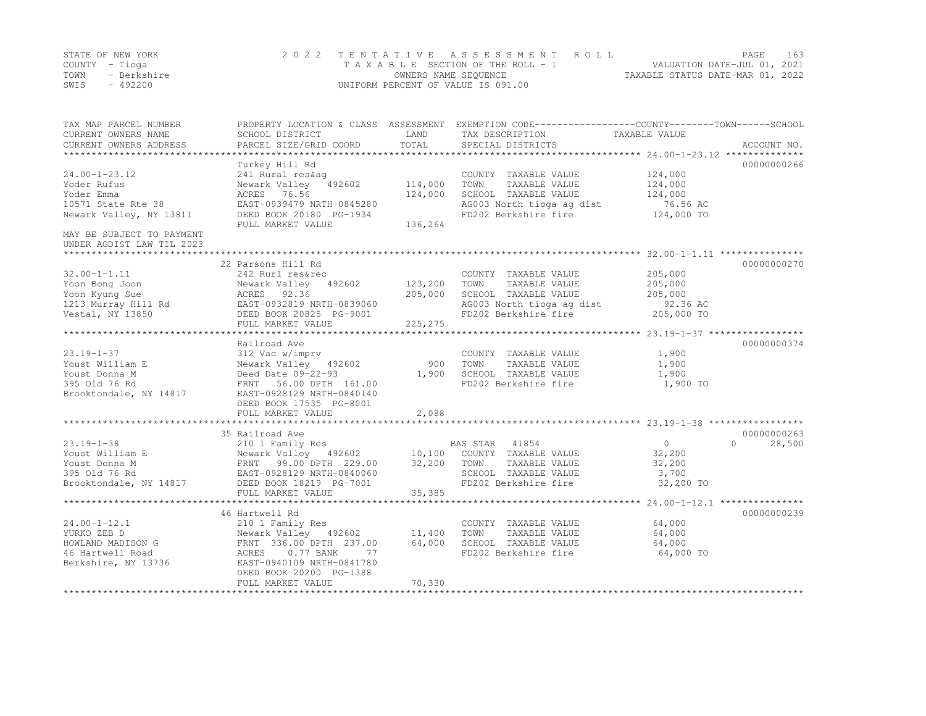|      | STATE OF NEW YORK | 2022 TENTATIVE ASSESSMENT ROLL     | PAGE.                            | 163 |
|------|-------------------|------------------------------------|----------------------------------|-----|
|      | COUNTY – Tioga    | TAXABLE SECTION OF THE ROLL - 1    | VALUATION DATE-JUL 01, 2021      |     |
| TOWN | - Berkshire       | OWNERS NAME SEQUENCE               | TAXABLE STATUS DATE-MAR 01, 2022 |     |
| SWIS | $-492200$         | UNIFORM PERCENT OF VALUE IS 091.00 |                                  |     |

| TAX MAP PARCEL NUMBER<br>CURRENT OWNERS NAME<br>CURRENT OWNERS ADDRESS | SCHOOL DISTRICT<br>PARCEL SIZE/GRID COORD                                       | LAND<br>TOTAL | PROPERTY LOCATION & CLASS ASSESSMENT EXEMPTION CODE----------------COUNTY-------TOWN------SCHOOL<br>TAX DESCRIPTION<br>SPECIAL DISTRICTS | TAXABLE VALUE  | ACCOUNT NO.        |
|------------------------------------------------------------------------|---------------------------------------------------------------------------------|---------------|------------------------------------------------------------------------------------------------------------------------------------------|----------------|--------------------|
|                                                                        |                                                                                 |               |                                                                                                                                          |                |                    |
|                                                                        | Turkey Hill Rd                                                                  |               |                                                                                                                                          |                | 00000000266        |
| $24.00 - 1 - 23.12$                                                    | 241 Rural res&aq                                                                |               | COUNTY TAXABLE VALUE                                                                                                                     | 124,000        |                    |
| Yoder Rufus                                                            | Newark Valley 492602                                                            | 114,000       | TOWN<br>TAXABLE VALUE                                                                                                                    | 124,000        |                    |
| Yoder Emma                                                             | ACRES 76.56                                                                     | 124,000       | SCHOOL TAXABLE VALUE                                                                                                                     | 124,000        |                    |
| 10571 State Rte 38                                                     | EAST-0939479 NRTH-0845280                                                       |               | AG003 North tioga ag dist                                                                                                                | 76.56 AC       |                    |
| Newark Valley, NY 13811                                                | DEED BOOK 20180 PG-1934                                                         |               | FD202 Berkshire fire                                                                                                                     | 124,000 TO     |                    |
|                                                                        | FULL MARKET VALUE                                                               | 136,264       |                                                                                                                                          |                |                    |
| MAY BE SUBJECT TO PAYMENT<br>UNDER AGDIST LAW TIL 2023                 |                                                                                 |               |                                                                                                                                          |                |                    |
|                                                                        |                                                                                 |               |                                                                                                                                          |                |                    |
|                                                                        | 22 Parsons Hill Rd                                                              |               |                                                                                                                                          |                | 00000000270        |
| $32.00 - 1 - 1.11$                                                     | 242 Rurl res&rec                                                                |               | COUNTY TAXABLE VALUE                                                                                                                     | 205,000        |                    |
| Yoon Bong Joon                                                         | Newark Valley 492602                                                            | 123,200       | TOWN<br>TAXABLE VALUE                                                                                                                    | 205,000        |                    |
| Yoon Kyung Sue                                                         | ACRES 92.36                                                                     | 205,000       | SCHOOL TAXABLE VALUE                                                                                                                     | 205,000        |                    |
| 1213 Murray Hill Rd                                                    |                                                                                 |               | AG003 North tioga ag dist                                                                                                                | 92.36 AC       |                    |
| Vestal, NY 13850                                                       | EAST-0932819 NRTH-0839060<br>DEED BOOK 20825 PG-9001<br>DEED BOOK 20825 PG-9001 |               | FD202 Berkshire fire                                                                                                                     | 205,000 TO     |                    |
|                                                                        | FULL MARKET VALUE                                                               | 225,275       |                                                                                                                                          |                |                    |
|                                                                        |                                                                                 |               |                                                                                                                                          |                |                    |
|                                                                        | Railroad Ave                                                                    |               |                                                                                                                                          |                | 00000000374        |
| $23.19 - 1 - 37$                                                       | 312 Vac w/imprv                                                                 |               | COUNTY TAXABLE VALUE                                                                                                                     | 1,900          |                    |
| Youst William E                                                        | Newark Valley 492602                                                            | 900           | TOWN<br>TAXABLE VALUE                                                                                                                    | 1,900          |                    |
| Youst Donna M                                                          | Deed Date 09-22-93                                                              | 1,900         | SCHOOL TAXABLE VALUE                                                                                                                     | 1,900          |                    |
| 395 Old 76 Rd                                                          | FRNT 56.00 DPTH 161.00                                                          |               | FD202 Berkshire fire                                                                                                                     | 1,900 TO       |                    |
| Brooktondale, NY 14817                                                 | EAST-0928129 NRTH-0840140                                                       |               |                                                                                                                                          |                |                    |
|                                                                        | DEED BOOK 17535 PG-8001                                                         |               |                                                                                                                                          |                |                    |
|                                                                        | FULL MARKET VALUE                                                               | 2,088         |                                                                                                                                          |                |                    |
|                                                                        |                                                                                 |               |                                                                                                                                          |                |                    |
|                                                                        | 35 Railroad Ave                                                                 |               |                                                                                                                                          |                | 00000000263        |
| $23.19 - 1 - 38$                                                       | 210 1 Family Res                                                                |               | BAS STAR 41854                                                                                                                           | $\overline{0}$ | $\Omega$<br>28,500 |
| Youst William E                                                        | Newark Valley 492602 10,100 COUNTY TAXABLE VALUE                                |               |                                                                                                                                          | 32,200         |                    |
| Youst Donna M                                                          |                                                                                 | 32,200        | TOWN<br>TAXABLE VALUE                                                                                                                    | 32,200         |                    |
| 395 Old 76 Rd                                                          | FRNT 99.00 DPTH 229.00<br>EAST-0928129 NRTH-0840060                             |               | SCHOOL TAXABLE VALUE                                                                                                                     | 3,700          |                    |
| Brooktondale, NY 14817                                                 | DEED BOOK 18219 PG-7001                                                         |               | FD202 Berkshire fire                                                                                                                     | 32,200 TO      |                    |
|                                                                        | FULL MARKET VALUE                                                               | 35,385        |                                                                                                                                          |                |                    |
|                                                                        |                                                                                 |               |                                                                                                                                          |                |                    |
|                                                                        | 46 Hartwell Rd                                                                  |               |                                                                                                                                          |                | 00000000239        |
| $24.00 - 1 - 12.1$                                                     | 210 1 Family Res                                                                |               | COUNTY TAXABLE VALUE                                                                                                                     | 64,000         |                    |
| YURKO ZEB D                                                            | Newark Valley 492602                                                            | 11,400        | TOWN<br>TAXABLE VALUE                                                                                                                    | 64,000         |                    |
| HOWLAND MADISON G                                                      | FRNT 336.00 DPTH 237.00                                                         | 64,000        | SCHOOL TAXABLE VALUE                                                                                                                     | 64,000         |                    |
| 46 Hartwell Road                                                       | ACRES<br>$0.77$ BANK<br>77                                                      |               | FD202 Berkshire fire                                                                                                                     | 64,000 TO      |                    |
| Berkshire, NY 13736                                                    | EAST-0940109 NRTH-0841780                                                       |               |                                                                                                                                          |                |                    |
|                                                                        | DEED BOOK 20200 PG-1388                                                         |               |                                                                                                                                          |                |                    |
|                                                                        | FULL MARKET VALUE                                                               | 70,330        |                                                                                                                                          |                |                    |
|                                                                        |                                                                                 |               |                                                                                                                                          |                |                    |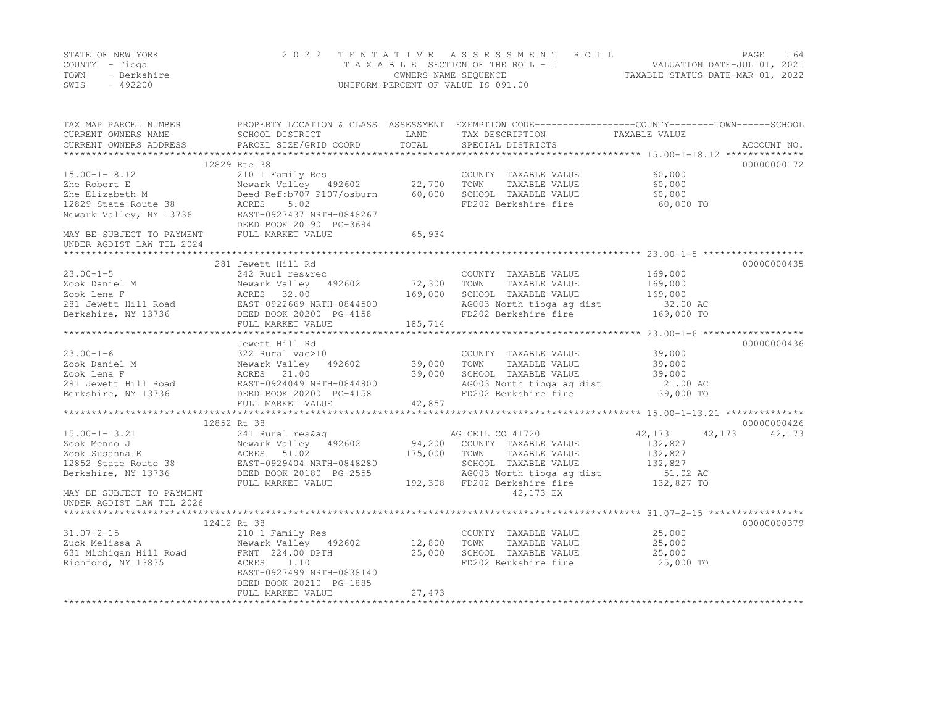|      | STATE OF NEW YORK | 2022 TENTATIVE ASSESSMENT ROLL     |                                  | PAGE                        | 164 |
|------|-------------------|------------------------------------|----------------------------------|-----------------------------|-----|
|      | COUNTY – Tioga    | TAXABLE SECTION OF THE ROLL - 1    |                                  | VALUATION DATE-JUL 01, 2021 |     |
| TOWN | - Berkshire       | OWNERS NAME SEQUENCE               | TAXABLE STATUS DATE-MAR 01, 2022 |                             |     |
| SWIS | - 492200          | UNIFORM PERCENT OF VALUE IS 091.00 |                                  |                             |     |

| TOTAL<br>PARCEL SIZE/GRID COORD<br>SPECIAL DISTRICTS<br>ACCOUNT NO.<br>12829 Rte 38<br>00000000172<br>$15.00 - 1 - 18.12$<br>210 1 Family Res<br>COUNTY TAXABLE VALUE<br>60,000<br>22,700<br>TOWN<br>Newark Valley 492602<br>TAXABLE VALUE<br>60,000<br>Zhe Robert E<br>Deed Ref:b707 P107/osburn<br>60,000<br>SCHOOL TAXABLE VALUE<br>Zhe Elizabeth M<br>60,000<br>12829 State Route 38<br>5.02<br>FD202 Berkshire fire<br>60,000 TO<br>ACRES<br>Newark Valley, NY 13736<br>EAST-0927437 NRTH-0848267<br>DEED BOOK 20190 PG-3694<br>MAY BE SUBJECT TO PAYMENT<br>FULL MARKET VALUE<br>65,934<br>00000000435<br>281 Jewett Hill Rd<br>169,000<br>COUNTY TAXABLE VALUE<br>242 Rurl res&rec<br>72,300<br>Newark Valley<br>492602<br>TOWN<br>TAXABLE VALUE<br>169,000<br>Zook Lena F<br>ACRES 32.00<br>169,000<br>SCHOOL TAXABLE VALUE<br>169,000<br>AG003 North tioga ag dist<br>32.00 AC<br>EAST-0922669 NRTH-0844500<br>FD202 Berkshire fire<br>Berkshire, NY 13736<br>DEED BOOK 20200 PG-4158<br>169,000 TO<br>185,714<br>FULL MARKET VALUE<br>*********<br>00000000436<br>Jewett Hill Rd<br>$23.00 - 1 - 6$<br>39,000<br>322 Rural vac>10<br>COUNTY TAXABLE VALUE<br>39,000<br>TOWN<br>Newark Valley 492602<br>TAXABLE VALUE<br>39,000<br>Zook Daniel M<br>39,000<br>SCHOOL TAXABLE VALUE<br>Zook Lena F<br>ACRES 21.00<br>39,000<br>281 Jewett Hill Road<br>EAST-0924049 NRTH-0844800<br>AG003 North tioga ag dist<br>21.00 AC<br>FD202 Berkshire fire<br>39,000 TO<br>Berkshire, NY 13736<br>DEED BOOK 20200 PG-4158<br>FULL MARKET VALUE<br>42,857<br>00000000426<br>12852 Rt 38<br>AG CEIL CO 41720<br>42,173<br>42,173<br>42,173<br>$15.00 - 1 - 13.21$<br>241 Rural res&aq<br>94,200 COUNTY TAXABLE VALUE<br>Newark Valley 192602<br>ACRES 51.02<br>132,827<br>Zook Menno J<br>175,000<br>Zook Susanna E<br>132,827<br>TOWN<br>TAXABLE VALUE<br>132,827<br>12852 State Route 38<br>EAST-0929404 NRTH-0848280<br>DEED BOOK 20180 PG-2555<br>SCHOOL TAXABLE VALUE<br>51.02 AC<br>Berkshire, NY 13736<br>DEED BOOK 20180 PG-2555<br>AG003 North tioga ag dist<br>192,308 FD202 Berkshire fire<br>132,827 TO<br>FULL MARKET VALUE<br>42,173 EX<br>MAY BE SUBJECT TO PAYMENT<br>UNDER AGDIST LAW TIL 2026<br>12412 Rt 38<br>00000000379<br>210 1 Family Res<br>25,000<br>COUNTY TAXABLE VALUE<br>Newark Valley 492602<br>12,800<br>TOWN<br>25,000<br>TAXABLE VALUE<br>631 Michigan Hill Road<br>25,000<br>FRNT 224.00 DPTH<br>SCHOOL TAXABLE VALUE<br>25,000<br>ACRES<br>1.10<br>FD202 Berkshire fire<br>25,000 TO<br>EAST-0927499 NRTH-0838140<br>DEED BOOK 20210 PG-1885<br>27,473<br>FULL MARKET VALUE | TAX MAP PARCEL NUMBER<br>CURRENT OWNERS NAME | SCHOOL DISTRICT | LAND | PROPERTY LOCATION & CLASS ASSESSMENT EXEMPTION CODE---------------COUNTY-------TOWN-----SCHOOL<br>TAX DESCRIPTION | TAXABLE VALUE |  |
|--------------------------------------------------------------------------------------------------------------------------------------------------------------------------------------------------------------------------------------------------------------------------------------------------------------------------------------------------------------------------------------------------------------------------------------------------------------------------------------------------------------------------------------------------------------------------------------------------------------------------------------------------------------------------------------------------------------------------------------------------------------------------------------------------------------------------------------------------------------------------------------------------------------------------------------------------------------------------------------------------------------------------------------------------------------------------------------------------------------------------------------------------------------------------------------------------------------------------------------------------------------------------------------------------------------------------------------------------------------------------------------------------------------------------------------------------------------------------------------------------------------------------------------------------------------------------------------------------------------------------------------------------------------------------------------------------------------------------------------------------------------------------------------------------------------------------------------------------------------------------------------------------------------------------------------------------------------------------------------------------------------------------------------------------------------------------------------------------------------------------------------------------------------------------------------------------------------------------------------------------------------------------------------------------------------------------------------------------------------------------------------------------------------------------------------------------------------------------------------------------------------------------------------------------------------------------------------------------------------|----------------------------------------------|-----------------|------|-------------------------------------------------------------------------------------------------------------------|---------------|--|
|                                                                                                                                                                                                                                                                                                                                                                                                                                                                                                                                                                                                                                                                                                                                                                                                                                                                                                                                                                                                                                                                                                                                                                                                                                                                                                                                                                                                                                                                                                                                                                                                                                                                                                                                                                                                                                                                                                                                                                                                                                                                                                                                                                                                                                                                                                                                                                                                                                                                                                                                                                                                              | CURRENT OWNERS ADDRESS                       |                 |      |                                                                                                                   |               |  |
|                                                                                                                                                                                                                                                                                                                                                                                                                                                                                                                                                                                                                                                                                                                                                                                                                                                                                                                                                                                                                                                                                                                                                                                                                                                                                                                                                                                                                                                                                                                                                                                                                                                                                                                                                                                                                                                                                                                                                                                                                                                                                                                                                                                                                                                                                                                                                                                                                                                                                                                                                                                                              |                                              |                 |      |                                                                                                                   |               |  |
|                                                                                                                                                                                                                                                                                                                                                                                                                                                                                                                                                                                                                                                                                                                                                                                                                                                                                                                                                                                                                                                                                                                                                                                                                                                                                                                                                                                                                                                                                                                                                                                                                                                                                                                                                                                                                                                                                                                                                                                                                                                                                                                                                                                                                                                                                                                                                                                                                                                                                                                                                                                                              |                                              |                 |      |                                                                                                                   |               |  |
|                                                                                                                                                                                                                                                                                                                                                                                                                                                                                                                                                                                                                                                                                                                                                                                                                                                                                                                                                                                                                                                                                                                                                                                                                                                                                                                                                                                                                                                                                                                                                                                                                                                                                                                                                                                                                                                                                                                                                                                                                                                                                                                                                                                                                                                                                                                                                                                                                                                                                                                                                                                                              |                                              |                 |      |                                                                                                                   |               |  |
|                                                                                                                                                                                                                                                                                                                                                                                                                                                                                                                                                                                                                                                                                                                                                                                                                                                                                                                                                                                                                                                                                                                                                                                                                                                                                                                                                                                                                                                                                                                                                                                                                                                                                                                                                                                                                                                                                                                                                                                                                                                                                                                                                                                                                                                                                                                                                                                                                                                                                                                                                                                                              |                                              |                 |      |                                                                                                                   |               |  |
|                                                                                                                                                                                                                                                                                                                                                                                                                                                                                                                                                                                                                                                                                                                                                                                                                                                                                                                                                                                                                                                                                                                                                                                                                                                                                                                                                                                                                                                                                                                                                                                                                                                                                                                                                                                                                                                                                                                                                                                                                                                                                                                                                                                                                                                                                                                                                                                                                                                                                                                                                                                                              |                                              |                 |      |                                                                                                                   |               |  |
|                                                                                                                                                                                                                                                                                                                                                                                                                                                                                                                                                                                                                                                                                                                                                                                                                                                                                                                                                                                                                                                                                                                                                                                                                                                                                                                                                                                                                                                                                                                                                                                                                                                                                                                                                                                                                                                                                                                                                                                                                                                                                                                                                                                                                                                                                                                                                                                                                                                                                                                                                                                                              |                                              |                 |      |                                                                                                                   |               |  |
|                                                                                                                                                                                                                                                                                                                                                                                                                                                                                                                                                                                                                                                                                                                                                                                                                                                                                                                                                                                                                                                                                                                                                                                                                                                                                                                                                                                                                                                                                                                                                                                                                                                                                                                                                                                                                                                                                                                                                                                                                                                                                                                                                                                                                                                                                                                                                                                                                                                                                                                                                                                                              |                                              |                 |      |                                                                                                                   |               |  |
|                                                                                                                                                                                                                                                                                                                                                                                                                                                                                                                                                                                                                                                                                                                                                                                                                                                                                                                                                                                                                                                                                                                                                                                                                                                                                                                                                                                                                                                                                                                                                                                                                                                                                                                                                                                                                                                                                                                                                                                                                                                                                                                                                                                                                                                                                                                                                                                                                                                                                                                                                                                                              |                                              |                 |      |                                                                                                                   |               |  |
|                                                                                                                                                                                                                                                                                                                                                                                                                                                                                                                                                                                                                                                                                                                                                                                                                                                                                                                                                                                                                                                                                                                                                                                                                                                                                                                                                                                                                                                                                                                                                                                                                                                                                                                                                                                                                                                                                                                                                                                                                                                                                                                                                                                                                                                                                                                                                                                                                                                                                                                                                                                                              | UNDER AGDIST LAW TIL 2024                    |                 |      |                                                                                                                   |               |  |
|                                                                                                                                                                                                                                                                                                                                                                                                                                                                                                                                                                                                                                                                                                                                                                                                                                                                                                                                                                                                                                                                                                                                                                                                                                                                                                                                                                                                                                                                                                                                                                                                                                                                                                                                                                                                                                                                                                                                                                                                                                                                                                                                                                                                                                                                                                                                                                                                                                                                                                                                                                                                              |                                              |                 |      |                                                                                                                   |               |  |
|                                                                                                                                                                                                                                                                                                                                                                                                                                                                                                                                                                                                                                                                                                                                                                                                                                                                                                                                                                                                                                                                                                                                                                                                                                                                                                                                                                                                                                                                                                                                                                                                                                                                                                                                                                                                                                                                                                                                                                                                                                                                                                                                                                                                                                                                                                                                                                                                                                                                                                                                                                                                              |                                              |                 |      |                                                                                                                   |               |  |
|                                                                                                                                                                                                                                                                                                                                                                                                                                                                                                                                                                                                                                                                                                                                                                                                                                                                                                                                                                                                                                                                                                                                                                                                                                                                                                                                                                                                                                                                                                                                                                                                                                                                                                                                                                                                                                                                                                                                                                                                                                                                                                                                                                                                                                                                                                                                                                                                                                                                                                                                                                                                              | $23.00 - 1 - 5$                              |                 |      |                                                                                                                   |               |  |
|                                                                                                                                                                                                                                                                                                                                                                                                                                                                                                                                                                                                                                                                                                                                                                                                                                                                                                                                                                                                                                                                                                                                                                                                                                                                                                                                                                                                                                                                                                                                                                                                                                                                                                                                                                                                                                                                                                                                                                                                                                                                                                                                                                                                                                                                                                                                                                                                                                                                                                                                                                                                              | Zook Daniel M                                |                 |      |                                                                                                                   |               |  |
|                                                                                                                                                                                                                                                                                                                                                                                                                                                                                                                                                                                                                                                                                                                                                                                                                                                                                                                                                                                                                                                                                                                                                                                                                                                                                                                                                                                                                                                                                                                                                                                                                                                                                                                                                                                                                                                                                                                                                                                                                                                                                                                                                                                                                                                                                                                                                                                                                                                                                                                                                                                                              |                                              |                 |      |                                                                                                                   |               |  |
|                                                                                                                                                                                                                                                                                                                                                                                                                                                                                                                                                                                                                                                                                                                                                                                                                                                                                                                                                                                                                                                                                                                                                                                                                                                                                                                                                                                                                                                                                                                                                                                                                                                                                                                                                                                                                                                                                                                                                                                                                                                                                                                                                                                                                                                                                                                                                                                                                                                                                                                                                                                                              | 281 Jewett Hill Road                         |                 |      |                                                                                                                   |               |  |
|                                                                                                                                                                                                                                                                                                                                                                                                                                                                                                                                                                                                                                                                                                                                                                                                                                                                                                                                                                                                                                                                                                                                                                                                                                                                                                                                                                                                                                                                                                                                                                                                                                                                                                                                                                                                                                                                                                                                                                                                                                                                                                                                                                                                                                                                                                                                                                                                                                                                                                                                                                                                              |                                              |                 |      |                                                                                                                   |               |  |
|                                                                                                                                                                                                                                                                                                                                                                                                                                                                                                                                                                                                                                                                                                                                                                                                                                                                                                                                                                                                                                                                                                                                                                                                                                                                                                                                                                                                                                                                                                                                                                                                                                                                                                                                                                                                                                                                                                                                                                                                                                                                                                                                                                                                                                                                                                                                                                                                                                                                                                                                                                                                              |                                              |                 |      |                                                                                                                   |               |  |
|                                                                                                                                                                                                                                                                                                                                                                                                                                                                                                                                                                                                                                                                                                                                                                                                                                                                                                                                                                                                                                                                                                                                                                                                                                                                                                                                                                                                                                                                                                                                                                                                                                                                                                                                                                                                                                                                                                                                                                                                                                                                                                                                                                                                                                                                                                                                                                                                                                                                                                                                                                                                              |                                              |                 |      |                                                                                                                   |               |  |
|                                                                                                                                                                                                                                                                                                                                                                                                                                                                                                                                                                                                                                                                                                                                                                                                                                                                                                                                                                                                                                                                                                                                                                                                                                                                                                                                                                                                                                                                                                                                                                                                                                                                                                                                                                                                                                                                                                                                                                                                                                                                                                                                                                                                                                                                                                                                                                                                                                                                                                                                                                                                              |                                              |                 |      |                                                                                                                   |               |  |
|                                                                                                                                                                                                                                                                                                                                                                                                                                                                                                                                                                                                                                                                                                                                                                                                                                                                                                                                                                                                                                                                                                                                                                                                                                                                                                                                                                                                                                                                                                                                                                                                                                                                                                                                                                                                                                                                                                                                                                                                                                                                                                                                                                                                                                                                                                                                                                                                                                                                                                                                                                                                              |                                              |                 |      |                                                                                                                   |               |  |
|                                                                                                                                                                                                                                                                                                                                                                                                                                                                                                                                                                                                                                                                                                                                                                                                                                                                                                                                                                                                                                                                                                                                                                                                                                                                                                                                                                                                                                                                                                                                                                                                                                                                                                                                                                                                                                                                                                                                                                                                                                                                                                                                                                                                                                                                                                                                                                                                                                                                                                                                                                                                              |                                              |                 |      |                                                                                                                   |               |  |
|                                                                                                                                                                                                                                                                                                                                                                                                                                                                                                                                                                                                                                                                                                                                                                                                                                                                                                                                                                                                                                                                                                                                                                                                                                                                                                                                                                                                                                                                                                                                                                                                                                                                                                                                                                                                                                                                                                                                                                                                                                                                                                                                                                                                                                                                                                                                                                                                                                                                                                                                                                                                              |                                              |                 |      |                                                                                                                   |               |  |
|                                                                                                                                                                                                                                                                                                                                                                                                                                                                                                                                                                                                                                                                                                                                                                                                                                                                                                                                                                                                                                                                                                                                                                                                                                                                                                                                                                                                                                                                                                                                                                                                                                                                                                                                                                                                                                                                                                                                                                                                                                                                                                                                                                                                                                                                                                                                                                                                                                                                                                                                                                                                              |                                              |                 |      |                                                                                                                   |               |  |
|                                                                                                                                                                                                                                                                                                                                                                                                                                                                                                                                                                                                                                                                                                                                                                                                                                                                                                                                                                                                                                                                                                                                                                                                                                                                                                                                                                                                                                                                                                                                                                                                                                                                                                                                                                                                                                                                                                                                                                                                                                                                                                                                                                                                                                                                                                                                                                                                                                                                                                                                                                                                              |                                              |                 |      |                                                                                                                   |               |  |
|                                                                                                                                                                                                                                                                                                                                                                                                                                                                                                                                                                                                                                                                                                                                                                                                                                                                                                                                                                                                                                                                                                                                                                                                                                                                                                                                                                                                                                                                                                                                                                                                                                                                                                                                                                                                                                                                                                                                                                                                                                                                                                                                                                                                                                                                                                                                                                                                                                                                                                                                                                                                              |                                              |                 |      |                                                                                                                   |               |  |
|                                                                                                                                                                                                                                                                                                                                                                                                                                                                                                                                                                                                                                                                                                                                                                                                                                                                                                                                                                                                                                                                                                                                                                                                                                                                                                                                                                                                                                                                                                                                                                                                                                                                                                                                                                                                                                                                                                                                                                                                                                                                                                                                                                                                                                                                                                                                                                                                                                                                                                                                                                                                              |                                              |                 |      |                                                                                                                   |               |  |
|                                                                                                                                                                                                                                                                                                                                                                                                                                                                                                                                                                                                                                                                                                                                                                                                                                                                                                                                                                                                                                                                                                                                                                                                                                                                                                                                                                                                                                                                                                                                                                                                                                                                                                                                                                                                                                                                                                                                                                                                                                                                                                                                                                                                                                                                                                                                                                                                                                                                                                                                                                                                              |                                              |                 |      |                                                                                                                   |               |  |
|                                                                                                                                                                                                                                                                                                                                                                                                                                                                                                                                                                                                                                                                                                                                                                                                                                                                                                                                                                                                                                                                                                                                                                                                                                                                                                                                                                                                                                                                                                                                                                                                                                                                                                                                                                                                                                                                                                                                                                                                                                                                                                                                                                                                                                                                                                                                                                                                                                                                                                                                                                                                              |                                              |                 |      |                                                                                                                   |               |  |
|                                                                                                                                                                                                                                                                                                                                                                                                                                                                                                                                                                                                                                                                                                                                                                                                                                                                                                                                                                                                                                                                                                                                                                                                                                                                                                                                                                                                                                                                                                                                                                                                                                                                                                                                                                                                                                                                                                                                                                                                                                                                                                                                                                                                                                                                                                                                                                                                                                                                                                                                                                                                              |                                              |                 |      |                                                                                                                   |               |  |
|                                                                                                                                                                                                                                                                                                                                                                                                                                                                                                                                                                                                                                                                                                                                                                                                                                                                                                                                                                                                                                                                                                                                                                                                                                                                                                                                                                                                                                                                                                                                                                                                                                                                                                                                                                                                                                                                                                                                                                                                                                                                                                                                                                                                                                                                                                                                                                                                                                                                                                                                                                                                              |                                              |                 |      |                                                                                                                   |               |  |
|                                                                                                                                                                                                                                                                                                                                                                                                                                                                                                                                                                                                                                                                                                                                                                                                                                                                                                                                                                                                                                                                                                                                                                                                                                                                                                                                                                                                                                                                                                                                                                                                                                                                                                                                                                                                                                                                                                                                                                                                                                                                                                                                                                                                                                                                                                                                                                                                                                                                                                                                                                                                              |                                              |                 |      |                                                                                                                   |               |  |
|                                                                                                                                                                                                                                                                                                                                                                                                                                                                                                                                                                                                                                                                                                                                                                                                                                                                                                                                                                                                                                                                                                                                                                                                                                                                                                                                                                                                                                                                                                                                                                                                                                                                                                                                                                                                                                                                                                                                                                                                                                                                                                                                                                                                                                                                                                                                                                                                                                                                                                                                                                                                              |                                              |                 |      |                                                                                                                   |               |  |
|                                                                                                                                                                                                                                                                                                                                                                                                                                                                                                                                                                                                                                                                                                                                                                                                                                                                                                                                                                                                                                                                                                                                                                                                                                                                                                                                                                                                                                                                                                                                                                                                                                                                                                                                                                                                                                                                                                                                                                                                                                                                                                                                                                                                                                                                                                                                                                                                                                                                                                                                                                                                              |                                              |                 |      |                                                                                                                   |               |  |
|                                                                                                                                                                                                                                                                                                                                                                                                                                                                                                                                                                                                                                                                                                                                                                                                                                                                                                                                                                                                                                                                                                                                                                                                                                                                                                                                                                                                                                                                                                                                                                                                                                                                                                                                                                                                                                                                                                                                                                                                                                                                                                                                                                                                                                                                                                                                                                                                                                                                                                                                                                                                              |                                              |                 |      |                                                                                                                   |               |  |
|                                                                                                                                                                                                                                                                                                                                                                                                                                                                                                                                                                                                                                                                                                                                                                                                                                                                                                                                                                                                                                                                                                                                                                                                                                                                                                                                                                                                                                                                                                                                                                                                                                                                                                                                                                                                                                                                                                                                                                                                                                                                                                                                                                                                                                                                                                                                                                                                                                                                                                                                                                                                              |                                              |                 |      |                                                                                                                   |               |  |
|                                                                                                                                                                                                                                                                                                                                                                                                                                                                                                                                                                                                                                                                                                                                                                                                                                                                                                                                                                                                                                                                                                                                                                                                                                                                                                                                                                                                                                                                                                                                                                                                                                                                                                                                                                                                                                                                                                                                                                                                                                                                                                                                                                                                                                                                                                                                                                                                                                                                                                                                                                                                              |                                              |                 |      |                                                                                                                   |               |  |
|                                                                                                                                                                                                                                                                                                                                                                                                                                                                                                                                                                                                                                                                                                                                                                                                                                                                                                                                                                                                                                                                                                                                                                                                                                                                                                                                                                                                                                                                                                                                                                                                                                                                                                                                                                                                                                                                                                                                                                                                                                                                                                                                                                                                                                                                                                                                                                                                                                                                                                                                                                                                              | $31.07 - 2 - 15$                             |                 |      |                                                                                                                   |               |  |
|                                                                                                                                                                                                                                                                                                                                                                                                                                                                                                                                                                                                                                                                                                                                                                                                                                                                                                                                                                                                                                                                                                                                                                                                                                                                                                                                                                                                                                                                                                                                                                                                                                                                                                                                                                                                                                                                                                                                                                                                                                                                                                                                                                                                                                                                                                                                                                                                                                                                                                                                                                                                              | Zuck Melissa A                               |                 |      |                                                                                                                   |               |  |
|                                                                                                                                                                                                                                                                                                                                                                                                                                                                                                                                                                                                                                                                                                                                                                                                                                                                                                                                                                                                                                                                                                                                                                                                                                                                                                                                                                                                                                                                                                                                                                                                                                                                                                                                                                                                                                                                                                                                                                                                                                                                                                                                                                                                                                                                                                                                                                                                                                                                                                                                                                                                              |                                              |                 |      |                                                                                                                   |               |  |
|                                                                                                                                                                                                                                                                                                                                                                                                                                                                                                                                                                                                                                                                                                                                                                                                                                                                                                                                                                                                                                                                                                                                                                                                                                                                                                                                                                                                                                                                                                                                                                                                                                                                                                                                                                                                                                                                                                                                                                                                                                                                                                                                                                                                                                                                                                                                                                                                                                                                                                                                                                                                              | Richford, NY 13835                           |                 |      |                                                                                                                   |               |  |
|                                                                                                                                                                                                                                                                                                                                                                                                                                                                                                                                                                                                                                                                                                                                                                                                                                                                                                                                                                                                                                                                                                                                                                                                                                                                                                                                                                                                                                                                                                                                                                                                                                                                                                                                                                                                                                                                                                                                                                                                                                                                                                                                                                                                                                                                                                                                                                                                                                                                                                                                                                                                              |                                              |                 |      |                                                                                                                   |               |  |
|                                                                                                                                                                                                                                                                                                                                                                                                                                                                                                                                                                                                                                                                                                                                                                                                                                                                                                                                                                                                                                                                                                                                                                                                                                                                                                                                                                                                                                                                                                                                                                                                                                                                                                                                                                                                                                                                                                                                                                                                                                                                                                                                                                                                                                                                                                                                                                                                                                                                                                                                                                                                              |                                              |                 |      |                                                                                                                   |               |  |
|                                                                                                                                                                                                                                                                                                                                                                                                                                                                                                                                                                                                                                                                                                                                                                                                                                                                                                                                                                                                                                                                                                                                                                                                                                                                                                                                                                                                                                                                                                                                                                                                                                                                                                                                                                                                                                                                                                                                                                                                                                                                                                                                                                                                                                                                                                                                                                                                                                                                                                                                                                                                              |                                              |                 |      |                                                                                                                   |               |  |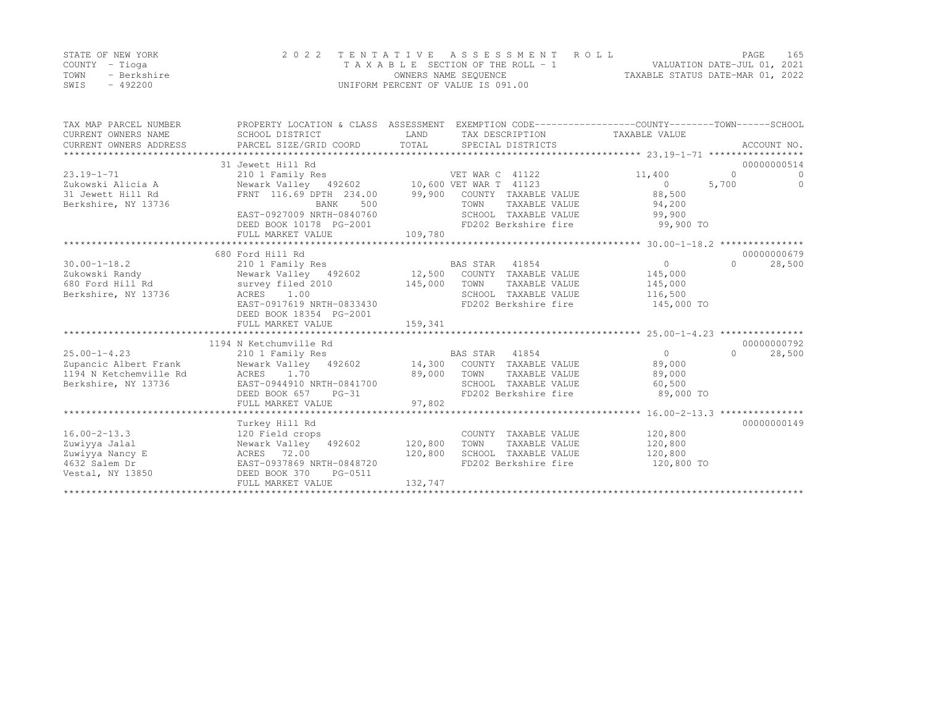|      | STATE OF NEW YORK | 2022 TENTATIVE ASSESSMENT ROLL     |                                  | <b>PAGE</b>                 | 165 |
|------|-------------------|------------------------------------|----------------------------------|-----------------------------|-----|
|      | COUNTY – Tioga    | TAXABLE SECTION OF THE ROLL - 1    |                                  | VALUATION DATE-JUL 01, 2021 |     |
| TOWN | - Berkshire       | OWNERS NAME SEQUENCE               | TAXABLE STATUS DATE-MAR 01, 2022 |                             |     |
| SWIS | - 492200          | UNIFORM PERCENT OF VALUE IS 091.00 |                                  |                             |     |

| TAX MAP PARCEL NUMBER<br>CURRENT OWNERS NAME<br>CURRENT OWNERS ADDRESS | PROPERTY LOCATION & CLASS ASSESSMENT EXEMPTION CODE----------------COUNTY-------TOWN-----SCHOOL<br>SCHOOL DISTRICT<br>PARCEL SIZE/GRID COORD | LAND<br>TOTAL |                | SPECIAL DISTRICTS    | TAX DESCRIPTION TAXABLE VALUE                         |          | ACCOUNT NO. |
|------------------------------------------------------------------------|----------------------------------------------------------------------------------------------------------------------------------------------|---------------|----------------|----------------------|-------------------------------------------------------|----------|-------------|
| *************************************                                  |                                                                                                                                              |               |                |                      |                                                       |          |             |
|                                                                        | 31 Jewett Hill Rd                                                                                                                            |               |                |                      |                                                       |          | 00000000514 |
| $23.19 - 1 - 71$                                                       | 210 1 Family Res<br>210 1 Family Res<br>Newark Valley 492602 10,600 VET WAR T 41123                                                          |               |                | VET WAR C 41122      | 11,400                                                | $\Omega$ | $\Omega$    |
| Zukowski Alicia A                                                      |                                                                                                                                              |               |                |                      | $\overline{0}$                                        | 5,700    | $\Omega$    |
| 31 Jewett Hill Rd                                                      | FRNT 116.69 DPTH 234.00 99,900 COUNTY TAXABLE VALUE                                                                                          |               |                |                      | 88,500                                                |          |             |
| Berkshire, NY 13736                                                    | 500<br><b>BANK</b>                                                                                                                           |               | TOWN           |                      | TAXABLE VALUE 94,200                                  |          |             |
|                                                                        | EAST-0927009 NRTH-0840760                                                                                                                    |               |                | SCHOOL TAXABLE VALUE | 99,900                                                |          |             |
|                                                                        | DEED BOOK 10178 PG-2001                                                                                                                      |               |                |                      | FD202 Berkshire fire 99,900 TO                        |          |             |
|                                                                        | FULL MARKET VALUE                                                                                                                            | 109,780       |                |                      |                                                       |          |             |
|                                                                        | ********************************                                                                                                             |               |                |                      |                                                       |          |             |
|                                                                        | 680 Ford Hill Rd                                                                                                                             |               |                |                      |                                                       |          | 00000000679 |
| $30.00 - 1 - 18.2$                                                     | 210 1 Family Res BAS STAR 41854<br>Newark Valley 492602 12,500 COUNTY TAXABLE VALUE                                                          |               |                |                      | $\overline{0}$                                        | $\Omega$ | 28,500      |
| Zukowski Randy                                                         |                                                                                                                                              |               |                |                      | 145,000                                               |          |             |
| 680 Ford Hill Rd                                                       | survey filed 2010                                                                                                                            | 145,000       | TOWN           | TAXABLE VALUE        | 145,000                                               |          |             |
| Berkshire, NY 13736                                                    | ACRES 1.00<br>ACRES 1.00<br>EAST-0917619 NRTH-0833430                                                                                        |               |                | SCHOOL TAXABLE VALUE | 116,500                                               |          |             |
|                                                                        |                                                                                                                                              |               |                | FD202 Berkshire fire | 145,000 TO                                            |          |             |
|                                                                        | DEED BOOK 18354 PG-2001                                                                                                                      |               |                |                      |                                                       |          |             |
|                                                                        | FULL MARKET VALUE                                                                                                                            | 159,341       |                |                      |                                                       |          |             |
|                                                                        |                                                                                                                                              |               |                |                      |                                                       |          |             |
|                                                                        | 1194 N Ketchumville Rd                                                                                                                       |               |                |                      |                                                       |          | 00000000792 |
| $25.00 - 1 - 4.23$                                                     | 210 1 Family Res                                                                                                                             |               | BAS STAR 41854 |                      | $\Omega$                                              | $\Omega$ | 28,500      |
| Zupancic Albert Frank                                                  | Newark Valley 492602 14,300 COUNTY TAXABLE VALUE                                                                                             |               |                |                      | 89,000                                                |          |             |
| 1194 N Ketchemville Rd                                                 | ACRES 1.70                                                                                                                                   | 89,000        | TOWN           | TAXABLE VALUE        | 89,000                                                |          |             |
| Berkshire, NY 13736                                                    | EAST-0944910 NRTH-0841700                                                                                                                    | 00            |                | SCHOOL TAXABLE VALUE | 60,500                                                |          |             |
|                                                                        | DEED BOOK 657 PG-31                                                                                                                          | 97,802        |                | FD202 Berkshire fire | 89,000 TO                                             |          |             |
|                                                                        | FULL MARKET VALUE                                                                                                                            |               |                |                      | ************************ 16.00-2-13.3 *************** |          |             |
|                                                                        |                                                                                                                                              |               |                |                      |                                                       |          | 00000000149 |
| $16.00 - 2 - 13.3$                                                     | Turkey Hill Rd<br>120 Field crops                                                                                                            |               |                |                      | COUNTY TAXABLE VALUE 120,800                          |          |             |
| Zuwiyya Jalal                                                          | Newark Valley 492602 120,800                                                                                                                 |               | TOWN           | TAXABLE VALUE        | 120,800                                               |          |             |
| Zuwiyya Nancy E                                                        | ACRES 72.00                                                                                                                                  | 120,800       |                |                      | SCHOOL TAXABLE VALUE 120,800                          |          |             |
| 4632 Salem Dr                                                          | EAST-0937869 NRTH-0848720                                                                                                                    |               |                |                      | FD202 Berkshire fire 120,800 TO                       |          |             |
| Vestal, NY 13850                                                       | DEED BOOK 370<br>PG-0511                                                                                                                     |               |                |                      |                                                       |          |             |
|                                                                        | FULL MARKET VALUE                                                                                                                            | 132,747       |                |                      |                                                       |          |             |
|                                                                        |                                                                                                                                              |               |                |                      |                                                       |          |             |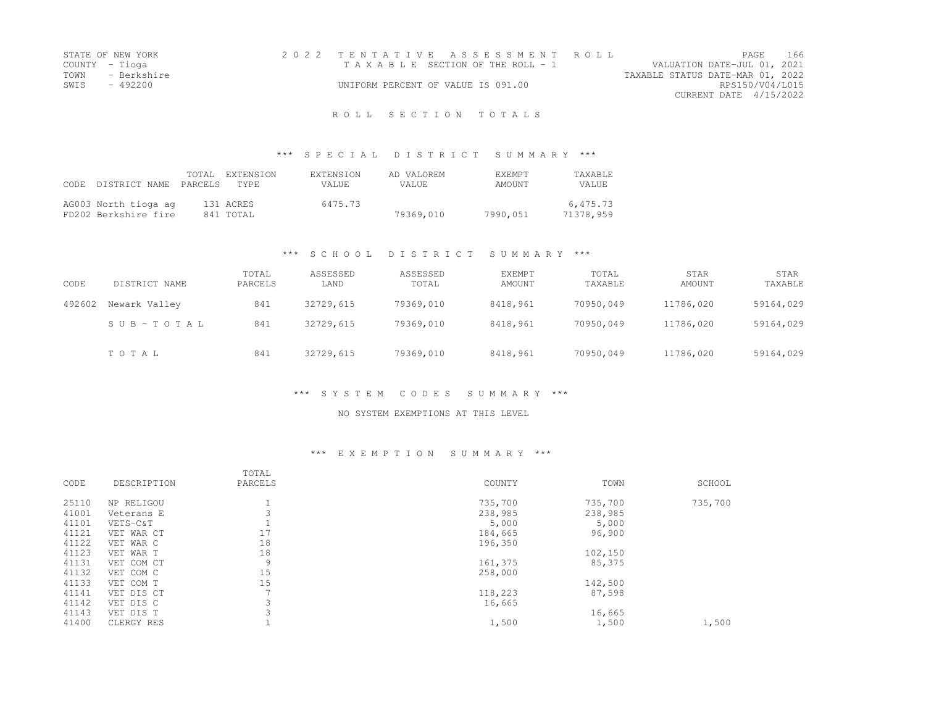| STATE OF NEW YORK   | 2022 TENTATIVE ASSESSMENT ROLL     |                                  | PAGE            | - 166 |
|---------------------|------------------------------------|----------------------------------|-----------------|-------|
| COUNTY – Tioga      | TAXABLE SECTION OF THE ROLL - 1    | VALUATION DATE-JUL 01, 2021      |                 |       |
| TOWN<br>- Berkshire |                                    | TAXABLE STATUS DATE-MAR 01, 2022 |                 |       |
| SWIS - 492200       | UNIFORM PERCENT OF VALUE IS 091.00 |                                  | RPS150/V04/L015 |       |
|                     |                                    | CURRENT DATE 4/15/2022           |                 |       |
|                     |                                    |                                  |                 |       |

## \*\*\* S P E C I A L D I S T R I C T S U M M A R Y \*\*\*

| CODE. | DISTRICT NAME PARCELS                        | TOTAL. | EXTENSION<br>TYPE <sup>1</sup> | EXTENSION<br>VALUE. | AD VALOREM<br>VALUE. | <b>EXEMPT</b><br>AMOUNT | <b>TAXABLE</b><br>VALUE. |
|-------|----------------------------------------------|--------|--------------------------------|---------------------|----------------------|-------------------------|--------------------------|
|       | AG003 North tioga ag<br>FD202 Berkshire fire |        | 131 ACRES<br>841 TOTAL         | 6475.73             | 79369,010            | 7990,051                | 6,475.73<br>71378,959    |

# \*\*\* S C H O O L D I S T R I C T S U M M A R Y \*\*\*

| CODE   | DISTRICT NAME | TOTAL<br>PARCELS | ASSESSED<br>LAND | ASSESSED<br>TOTAL | <b>EXEMPT</b><br>AMOUNT | TOTAL<br>TAXABLE | STAR<br>AMOUNT | STAR<br>TAXABLE |
|--------|---------------|------------------|------------------|-------------------|-------------------------|------------------|----------------|-----------------|
| 492602 | Newark Valley | 841              | 32729,615        | 79369,010         | 8418,961                | 70950,049        | 11786,020      | 59164,029       |
|        | SUB-TOTAL     | 841              | 32729,615        | 79369,010         | 8418,961                | 70950,049        | 11786,020      | 59164,029       |
|        | TOTAL         | 841              | 32729,615        | 79369,010         | 8418,961                | 70950,049        | 11786,020      | 59164,029       |

## \*\*\* S Y S T E M C O D E S S U M M A R Y \*\*\*

### NO SYSTEM EXEMPTIONS AT THIS LEVEL

### \*\*\* E X E M P T I O N S U M M A R Y \*\*\*

|       |             | TOTAL          |         |         |         |
|-------|-------------|----------------|---------|---------|---------|
| CODE  | DESCRIPTION | PARCELS        | COUNTY  | TOWN    | SCHOOL  |
| 25110 | NP RELIGOU  |                | 735,700 | 735,700 | 735,700 |
| 41001 | Veterans E  |                | 238,985 | 238,985 |         |
| 41101 | VETS-C&T    |                | 5,000   | 5,000   |         |
| 41121 | VET WAR CT  | 17             | 184,665 | 96,900  |         |
| 41122 | VET WAR C   | 18             | 196,350 |         |         |
| 41123 | VET WAR T   | 18             |         | 102,150 |         |
| 41131 | VET COM CT  | 9              | 161,375 | 85,375  |         |
| 41132 | VET COM C   | 15             | 258,000 |         |         |
| 41133 | VET COM T   | 15             |         | 142,500 |         |
| 41141 | VET DIS CT  | $\overline{ }$ | 118,223 | 87,598  |         |
| 41142 | VET DIS C   |                | 16,665  |         |         |
| 41143 | VET DIS T   | 3              |         | 16,665  |         |
| 41400 | CLERGY RES  |                | 1,500   | 1,500   | 1,500   |
|       |             |                |         |         |         |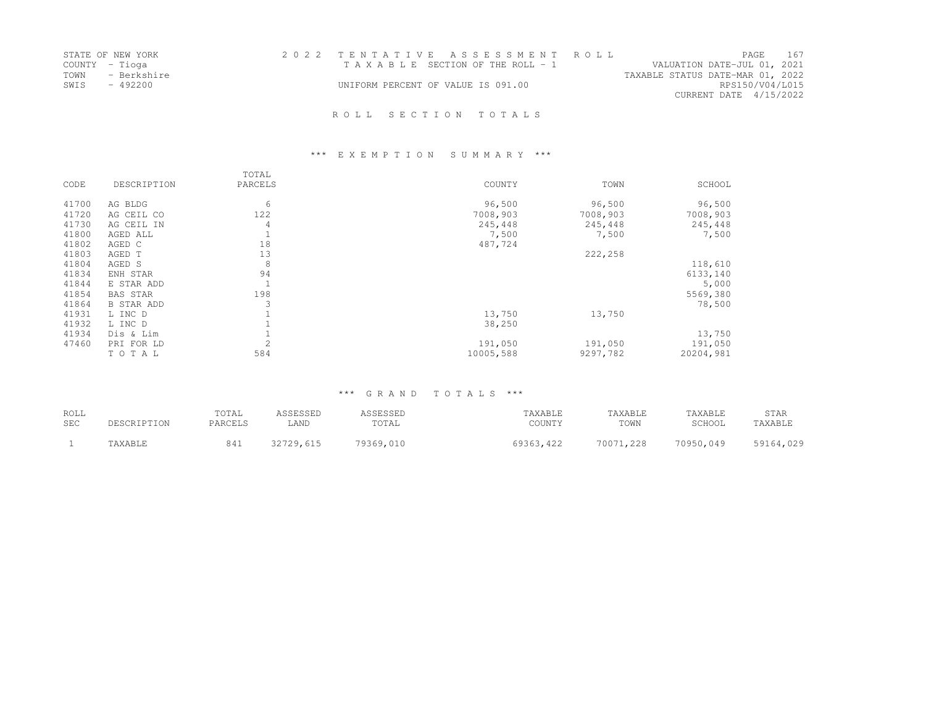|      | STATE OF NEW YORK | 2022 TENTATIVE ASSESSMENT ROLL     |  |                                  |                        | PAGE | 167 |
|------|-------------------|------------------------------------|--|----------------------------------|------------------------|------|-----|
|      | COUNTY - Tioga    | TAXABLE SECTION OF THE ROLL - 1    |  | VALUATION DATE-JUL 01, 2021      |                        |      |     |
|      | TOWN - Berkshire  |                                    |  | TAXABLE STATUS DATE-MAR 01, 2022 |                        |      |     |
| SWIS | - 492200          | UNIFORM PERCENT OF VALUE IS 091.00 |  |                                  | RPS150/V04/L015        |      |     |
|      |                   |                                    |  |                                  | CURRENT DATE 4/15/2022 |      |     |
|      |                   |                                    |  |                                  |                        |      |     |

# \*\*\* E X E M P T I O N S U M M A R Y \*\*\*

| CODE  | DESCRIPTION       | TOTAL<br>PARCELS | COUNTY    | TOWN     | SCHOOL    |
|-------|-------------------|------------------|-----------|----------|-----------|
| 41700 | AG BLDG           | 6                | 96,500    | 96,500   | 96,500    |
| 41720 | AG CEIL CO        | 122              | 7008,903  | 7008,903 | 7008,903  |
| 41730 | AG CEIL IN        | 4                | 245,448   | 245,448  | 245,448   |
| 41800 | AGED ALL          | L.               | 7,500     | 7,500    | 7,500     |
| 41802 | AGED C            | 18               | 487,724   |          |           |
| 41803 | AGED T            | 13               |           | 222,258  |           |
| 41804 | AGED S            | 8                |           |          | 118,610   |
| 41834 | ENH STAR          | 94               |           |          | 6133,140  |
| 41844 | E STAR ADD        | $\mathbf{1}$     |           |          | 5,000     |
| 41854 | <b>BAS STAR</b>   | 198              |           |          | 5569,380  |
| 41864 | <b>B STAR ADD</b> | 3                |           |          | 78,500    |
| 41931 | L INC D           |                  | 13,750    | 13,750   |           |
| 41932 | L INC D           |                  | 38,250    |          |           |
| 41934 | Dis & Lim         |                  |           |          | 13,750    |
| 47460 | PRI FOR LD        | $\overline{2}$   | 191,050   | 191,050  | 191,050   |
|       | TOTAL             | 584              | 10005,588 | 9297,782 | 20204,981 |

| ROLL<br><b>SEC</b> | PESCRIPTION | TOTAL<br>PARCELS | ASSESSED<br>LAND | SSESSED<br>TOTAL | TAXABLE<br>COUNTY | TAXABLE<br>TOWN | TAXABLE<br>SCHOOL | STAR<br>TAXABLE |
|--------------------|-------------|------------------|------------------|------------------|-------------------|-----------------|-------------------|-----------------|
|                    | 'AXABLE     | 841              | 32729.615        | 79369,010        | 69363,422         | 70071,228       | 70950,049         | 59164,029       |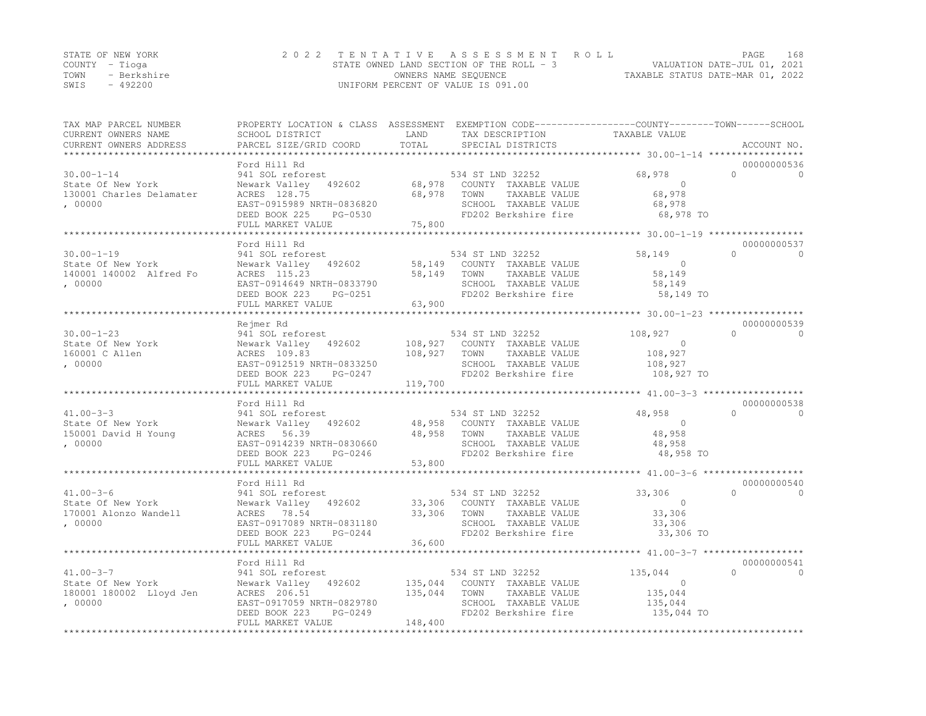|      | STATE OF NEW YORK | 2022 TENTATIVE ASSESSMENT ROLL                                          | PAGE | 168 |
|------|-------------------|-------------------------------------------------------------------------|------|-----|
|      | COUNTY – Tioga    | VALUATION DATE-JUL 01, 2021<br>STATE OWNED LAND SECTION OF THE ROLL - 3 |      |     |
| TOWN | - Berkshire       | TAXABLE STATUS DATE-MAR 01, 2022<br>OWNERS NAME SEQUENCE                |      |     |
| SWIS | $-492200$         | UNIFORM PERCENT OF VALUE IS 091.00                                      |      |     |

| TAX MAP PARCEL NUMBER<br>CURRENT OWNERS NAME<br>CURRENT OWNERS ADDRESS<br>************************* | PROPERTY LOCATION & CLASS ASSESSMENT EXEMPTION CODE---------------COUNTY-------TOWN-----SCHOOL<br>SCHOOL DISTRICT<br>PARCEL SIZE/GRID COORD | LAND<br>TOTAL | TAX DESCRIPTION<br>SPECIAL DISTRICTS            | TAXABLE VALUE        | ACCOUNT NO. |          |
|-----------------------------------------------------------------------------------------------------|---------------------------------------------------------------------------------------------------------------------------------------------|---------------|-------------------------------------------------|----------------------|-------------|----------|
|                                                                                                     | Ford Hill Rd                                                                                                                                |               |                                                 |                      | 00000000536 |          |
| $30.00 - 1 - 14$<br>State Of New York                                                               | 941 SOL reforest<br>Newark Valley 492602                                                                                                    |               | 534 ST LND 32252<br>68,978 COUNTY TAXABLE VALUE | 68,978<br>$\bigcirc$ | $\Omega$    | $\Omega$ |
| 130001 Charles Delamater                                                                            | ACRES 128.75                                                                                                                                | 68,978        | TAXABLE VALUE<br>TOWN                           | 68,978               |             |          |
| , 00000                                                                                             | EAST-0915989 NRTH-0836820                                                                                                                   |               | SCHOOL TAXABLE VALUE                            | 68,978               |             |          |
|                                                                                                     | DEED BOOK 225<br>PG-0530<br>FULL MARKET VALUE                                                                                               | 75,800        | FD202 Berkshire fire                            | 68,978 TO            |             |          |
|                                                                                                     |                                                                                                                                             |               |                                                 |                      |             |          |
|                                                                                                     | Ford Hill Rd                                                                                                                                |               |                                                 |                      | 00000000537 |          |
| $30.00 - 1 - 19$                                                                                    | 941 SOL reforest                                                                                                                            |               | 534 ST LND 32252                                | 58,149               | $\Omega$    | $\circ$  |
| State Of New York                                                                                   | Newark Valley 492602                                                                                                                        |               | 58,149 COUNTY TAXABLE VALUE                     | $\Omega$             |             |          |
| 140001 140002 Alfred Fo                                                                             | ACRES 115.23                                                                                                                                | 58,149        | TAXABLE VALUE<br>TOWN                           | 58,149               |             |          |
| , 00000                                                                                             | EAST-0914649 NRTH-0833790<br>DEED BOOK 223<br>PG-0251                                                                                       |               | SCHOOL TAXABLE VALUE<br>FD202 Berkshire fire    | 58,149<br>58,149 TO  |             |          |
|                                                                                                     | FULL MARKET VALUE                                                                                                                           | 63,900        |                                                 |                      |             |          |
|                                                                                                     | *************************                                                                                                                   |               |                                                 |                      |             |          |
|                                                                                                     | Rejmer Rd                                                                                                                                   |               |                                                 |                      | 00000000539 |          |
| $30.00 - 1 - 23$                                                                                    | 941 SOL reforest                                                                                                                            |               | 534 ST LND 32252                                | 108,927              | $\cap$      | $\Omega$ |
| State Of New York                                                                                   | Newark Valley 492602                                                                                                                        | 108,927       | COUNTY TAXABLE VALUE                            | $\overline{0}$       |             |          |
| 160001 C Allen                                                                                      | ACRES 109.83                                                                                                                                | 108,927       | TAXABLE VALUE<br>TOWN                           | 108,927              |             |          |
| ,00000                                                                                              | EAST-0912519 NRTH-0833250                                                                                                                   |               | SCHOOL TAXABLE VALUE                            | 108,927              |             |          |
|                                                                                                     | DEED BOOK 223<br>PG-0247                                                                                                                    |               | FD202 Berkshire fire                            | 108,927 TO           |             |          |
|                                                                                                     | FULL MARKET VALUE                                                                                                                           | 119,700       |                                                 |                      |             |          |
|                                                                                                     |                                                                                                                                             |               |                                                 |                      |             |          |
|                                                                                                     | Ford Hill Rd                                                                                                                                |               |                                                 |                      | 00000000538 |          |
| $41.00 - 3 - 3$                                                                                     | 941 SOL reforest                                                                                                                            |               | 534 ST LND 32252                                | 48,958               | $\Omega$    | $\Omega$ |
| State Of New York                                                                                   | 492602<br>Newark Valley                                                                                                                     |               | 48,958 COUNTY TAXABLE VALUE                     | $\Omega$             |             |          |
| 150001 David H Young                                                                                | ACRES 56.39                                                                                                                                 | 48,958        | TOWN<br>TAXABLE VALUE                           | 48,958               |             |          |
| , 00000                                                                                             | EAST-0914239 NRTH-0830660                                                                                                                   |               | SCHOOL TAXABLE VALUE                            | 48,958               |             |          |
|                                                                                                     | DEED BOOK 223<br>PG-0246                                                                                                                    |               | FD202 Berkshire fire                            | 48,958 TO            |             |          |
|                                                                                                     | FULL MARKET VALUE                                                                                                                           | 53,800        |                                                 |                      |             |          |
|                                                                                                     | Ford Hill Rd                                                                                                                                |               |                                                 |                      | 00000000540 |          |
| $41.00 - 3 - 6$                                                                                     | 941 SOL reforest                                                                                                                            |               | 534 ST LND 32252                                | 33,306               | $\cap$      | $\Omega$ |
| State Of New York                                                                                   | Newark Valley 492602                                                                                                                        |               | 33,306 COUNTY TAXABLE VALUE                     | $\Omega$             |             |          |
| 170001 Alonzo Wandell                                                                               | ACRES<br>78.54                                                                                                                              | 33,306        | TAXABLE VALUE<br>TOWN                           | 33,306               |             |          |
| . 00000                                                                                             | EAST-0917089 NRTH-0831180                                                                                                                   |               | SCHOOL TAXABLE VALUE                            | 33,306               |             |          |
|                                                                                                     | DEED BOOK 223<br>PG-0244                                                                                                                    |               | FD202 Berkshire fire                            | 33,306 TO            |             |          |
|                                                                                                     | FULL MARKET VALUE                                                                                                                           | 36,600        |                                                 |                      |             |          |
|                                                                                                     | ***********************                                                                                                                     | ************  |                                                 |                      |             |          |
|                                                                                                     | Ford Hill Rd                                                                                                                                |               |                                                 |                      | 00000000541 |          |
| $41.00 - 3 - 7$                                                                                     | 941 SOL reforest                                                                                                                            |               | 534 ST LND 32252                                | 135,044              | $\Omega$    | $\Omega$ |
| State Of New York                                                                                   | Newark Valley 492602                                                                                                                        | 135,044       | COUNTY TAXABLE VALUE                            | $\circ$              |             |          |
| 180001 180002 Lloyd Jen                                                                             | ACRES 206.51                                                                                                                                | 135,044       | TAXABLE VALUE<br>TOWN                           | 135,044              |             |          |
| , 00000                                                                                             | EAST-0917059 NRTH-0829780                                                                                                                   |               | SCHOOL TAXABLE VALUE                            | 135,044              |             |          |
|                                                                                                     | DEED BOOK 223<br>PG-0249                                                                                                                    |               | FD202 Berkshire fire                            | 135,044 TO           |             |          |
|                                                                                                     | FULL MARKET VALUE                                                                                                                           | 148,400       |                                                 |                      |             |          |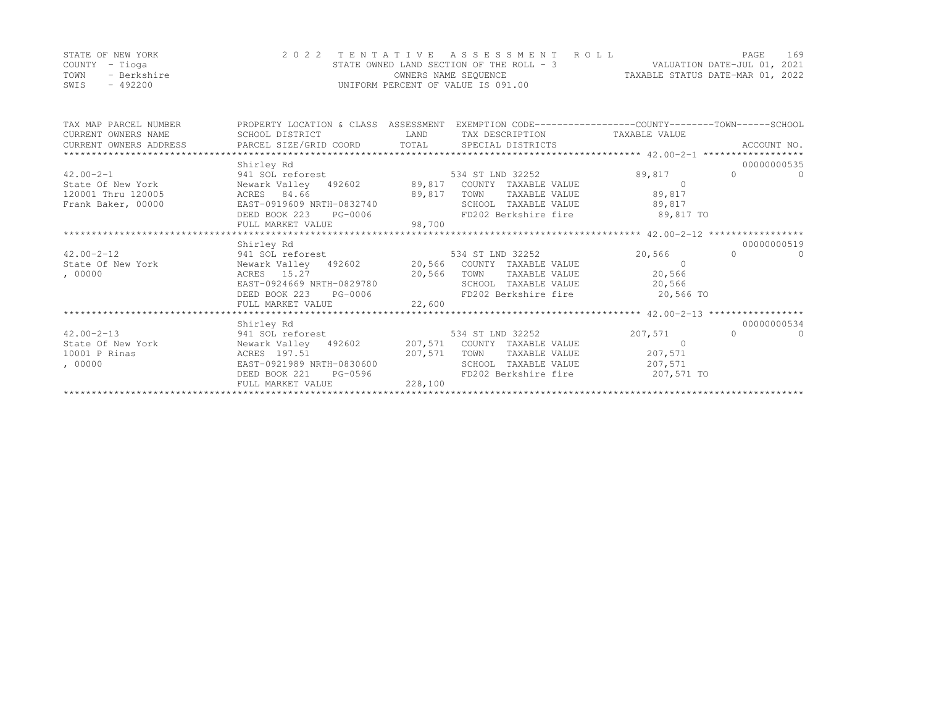|      | STATE OF NEW YORK | 2022 TENTATIVE ASSESSMENT ROLL           | <b>PAGE</b>                      | 169 |
|------|-------------------|------------------------------------------|----------------------------------|-----|
|      | COUNTY – Tioga    | STATE OWNED LAND SECTION OF THE ROLL - 3 | VALUATION DATE-JUL 01, 2021      |     |
| TOWN | - Berkshire       | OWNERS NAME SEOUENCE                     | TAXABLE STATUS DATE-MAR 01, 2022 |     |
| SWIS | - 492200          | UNIFORM PERCENT OF VALUE IS 091.00       |                                  |     |

| TAX MAP PARCEL NUMBER                                               | PROPERTY LOCATION & CLASS ASSESSMENT EXEMPTION CODE----------------COUNTY-------TOWN-----SCHOOL |                                 |                |                      |
|---------------------------------------------------------------------|-------------------------------------------------------------------------------------------------|---------------------------------|----------------|----------------------|
| CURRENT OWNERS NAME                                                 | SCHOOL DISTRICT<br><b>LAND</b>                                                                  | TAX DESCRIPTION TAXABLE VALUE   |                |                      |
|                                                                     |                                                                                                 |                                 |                | ACCOUNT NO.          |
|                                                                     |                                                                                                 |                                 |                |                      |
|                                                                     | Shirley Rd                                                                                      |                                 |                | 00000000535          |
|                                                                     |                                                                                                 |                                 | 89,817         | $\Omega$<br>$\Omega$ |
|                                                                     |                                                                                                 |                                 | $\overline{0}$ |                      |
| 120001 Thru 120005                                                  | ACRES 84.66<br>89,817                                                                           | TOWN TAXABLE VALUE              | 89,817         |                      |
| Frank Baker, 00000                                                  | EAST-0919609 NRTH-0832740                                                                       | SCHOOL TAXABLE VALUE 89,817     |                |                      |
|                                                                     | DEED BOOK 223 PG-0006                                                                           | FD202 Berkshire fire 39,817 TO  |                |                      |
|                                                                     | FULL MARKET VALUE 98,700                                                                        |                                 |                |                      |
|                                                                     |                                                                                                 |                                 |                |                      |
|                                                                     | Shirley Rd                                                                                      |                                 |                | 00000000519          |
|                                                                     |                                                                                                 |                                 | 20,566         | $\Omega$<br>$\Omega$ |
|                                                                     |                                                                                                 |                                 |                |                      |
| , 00000                                                             | ACRES 15.27 20,566<br>EAST-0924669 NRTH-0829780                                                 | TOWN TAXABLE VALUE              | 20,566         |                      |
|                                                                     |                                                                                                 | SCHOOL TAXABLE VALUE 20,566     |                |                      |
|                                                                     | DEED BOOK 223 PG-0006                                                                           | FD202 Berkshire fire 20,566 TO  |                |                      |
|                                                                     | 22,600<br>FULL MARKET VALUE                                                                     |                                 |                |                      |
|                                                                     |                                                                                                 |                                 |                |                      |
|                                                                     | Shirley Rd                                                                                      |                                 |                | 00000000534          |
| $42.00 - 2 - 13$                                                    | 941 SOL reforest 534 ST LND 32252                                                               |                                 | 207,571        | $\Omega$<br>$\cap$   |
| State Of New York Newark Valley 492602 207,571 COUNTY TAXABLE VALUE |                                                                                                 |                                 | $\bigcap$      |                      |
| 10001 P Rinas                                                       | ACRES 197.51<br>207,571                                                                         | TOWN TAXABLE VALUE 207,571      |                |                      |
| , 00000                                                             | EAST-0921989 NRTH-0830600                                                                       | SCHOOL TAXABLE VALUE 207,571    |                |                      |
|                                                                     | DEED BOOK 221<br>$PG-0596$                                                                      | FD202 Berkshire fire 207,571 TO |                |                      |
|                                                                     | FULL MARKET VALUE 228,100                                                                       |                                 |                |                      |
|                                                                     |                                                                                                 |                                 |                |                      |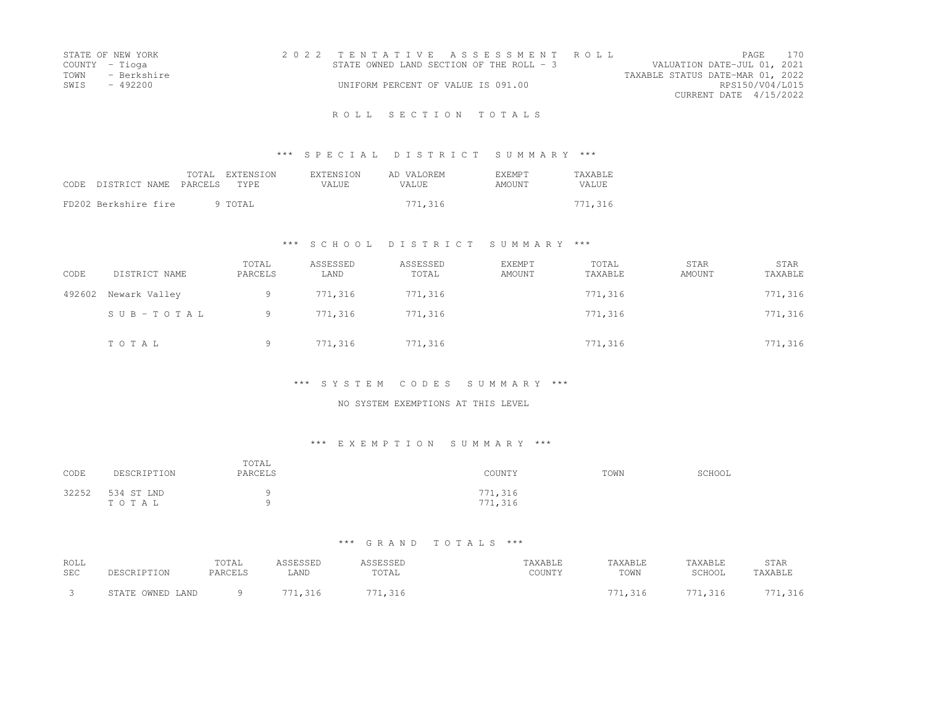|      | STATE OF NEW YORK | 2022 TENTATIVE ASSESSMENT ROLL           |  |                                  |                        | PAGE | 170 |
|------|-------------------|------------------------------------------|--|----------------------------------|------------------------|------|-----|
|      | COUNTY - Tioga    | STATE OWNED LAND SECTION OF THE ROLL - 3 |  | VALUATION DATE-JUL 01, 2021      |                        |      |     |
| TOWN | - Berkshire       |                                          |  | TAXABLE STATUS DATE-MAR 01, 2022 |                        |      |     |
| SWTS | - 492200          | UNIFORM PERCENT OF VALUE IS 091.00       |  |                                  | RPS150/V04/L015        |      |     |
|      |                   |                                          |  |                                  | CURRENT DATE 4/15/2022 |      |     |
|      |                   |                                          |  |                                  |                        |      |     |

# \*\*\* S P E C I A L D I S T R I C T S U M M A R Y \*\*\*

| CODE | DISTRICT NAME PARCELS | TOTAL EXTENSION<br>TYPE. | <b>EXTENSION</b><br>VALUE | AD VALOREM<br>VALUE. | EXEMPT<br><b>AMOUNT</b> | <b>TAXABLE</b><br>VALUE. |
|------|-----------------------|--------------------------|---------------------------|----------------------|-------------------------|--------------------------|
|      | FD202 Berkshire fire  | 9 TOTAL                  |                           | 771,316              |                         | 771,316                  |

### \*\*\* S C H O O L D I S T R I C T S U M M A R Y \*\*\*

| CODE   | DISTRICT NAME | TOTAL<br>PARCELS | ASSESSED<br>LAND | ASSESSED<br>TOTAL | <b>EXEMPT</b><br><b>AMOUNT</b> | TOTAL<br>TAXABLE | <b>STAR</b><br>AMOUNT | STAR<br>TAXABLE |
|--------|---------------|------------------|------------------|-------------------|--------------------------------|------------------|-----------------------|-----------------|
| 492602 | Newark Valley | 9.               | 771,316          | 771,316           |                                | 771,316          |                       | 771,316         |
|        | SUB-TOTAL     | 9                | 771.316          | 771,316           |                                | 771,316          |                       | 771,316         |
|        | TOTAL         | 9.               | 771,316          | 771,316           |                                | 771,316          |                       | 771,316         |

#### \*\*\* S Y S T E M C O D E S S U M M A R Y \*\*\*

#### NO SYSTEM EXEMPTIONS AT THIS LEVEL

## \*\*\* E X E M P T I O N S U M M A R Y \*\*\*

| CODE  | DESCRIPTION         | TOTAL<br>PARCELS | COUNTY             | TOWN | SCHOOL |
|-------|---------------------|------------------|--------------------|------|--------|
| 32252 | 534 ST LND<br>TOTAL |                  | 771,316<br>771,316 |      |        |

| ROLL<br>SEC | DESCRIPTION      | TOTAL<br>PARCELS | ASSESSED<br>LAND | <i><b>\SSESSED</b></i><br>TOTAL | TAXABLE<br>COUNTY | TAXABLE<br>TOWN | TAXABLE<br>SCHOOL | STAR<br>TAXABLE |
|-------------|------------------|------------------|------------------|---------------------------------|-------------------|-----------------|-------------------|-----------------|
|             | STATE OWNED LAND | Q                | 771.316          | 771,316                         |                   | 771,316         | 771,316           | 771,316         |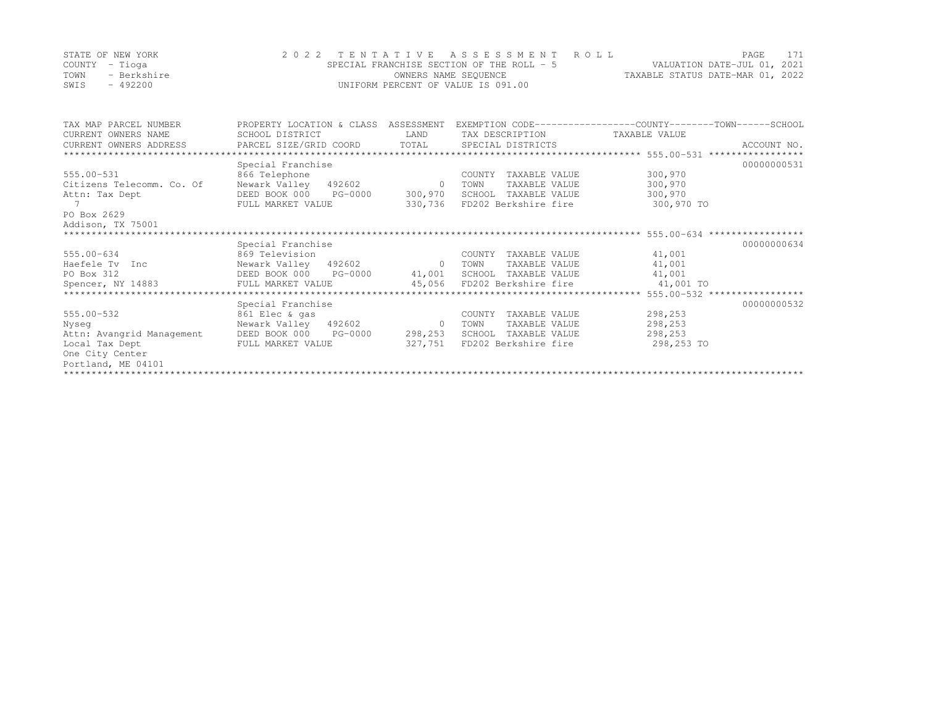| STATE OF NEW YORK   | 2022 TENTATIVE ASSESSMENT ROLL            | 171<br>PAGE                      |
|---------------------|-------------------------------------------|----------------------------------|
| COUNTY – Tioga      | SPECIAL FRANCHISE SECTION OF THE ROLL - 5 | VALUATION DATE-JUL 01, 2021      |
| TOWN<br>- Berkshire | OWNERS NAME SEOUENCE                      | TAXABLE STATUS DATE-MAR 01, 2022 |
| SWIS<br>$-492200$   | UNIFORM PERCENT OF VALUE IS 091.00        |                                  |

| TAX MAP PARCEL NUMBER                         | PROPERTY LOCATION & CLASS ASSESSMENT |                |                               | EXEMPTION CODE-----------------COUNTY-------TOWN------SCHOOL |             |
|-----------------------------------------------|--------------------------------------|----------------|-------------------------------|--------------------------------------------------------------|-------------|
| CURRENT OWNERS NAME                           | SCHOOL DISTRICT                      | LAND           | TAX DESCRIPTION TAXABLE VALUE |                                                              |             |
| CURRENT OWNERS ADDRESS PARCEL SIZE/GRID COORD |                                      | TOTAL          | SPECIAL DISTRICTS             |                                                              | ACCOUNT NO. |
|                                               |                                      |                |                               |                                                              |             |
|                                               | Special Franchise                    |                |                               |                                                              | 00000000531 |
| 555.00-531                                    | 866 Telephone                        |                | TAXABLE VALUE<br>COUNTY       | 300,970                                                      |             |
| Citizens Telecomm. Co. Of                     | Newark Valley 492602                 | $\overline{0}$ | TOWN<br>TAXABLE VALUE         | 300,970                                                      |             |
| Attn: Tax Dept                                | DEED BOOK 000 PG-0000                | 300,970        | SCHOOL TAXABLE VALUE          | 300,970                                                      |             |
| 7                                             | FULL MARKET VALUE                    | 330,736        | FD202 Berkshire fire          | 300,970 TO                                                   |             |
| PO Box 2629                                   |                                      |                |                               |                                                              |             |
| Addison, TX 75001                             |                                      |                |                               |                                                              |             |
|                                               |                                      |                |                               |                                                              |             |
|                                               | Special Franchise                    |                |                               |                                                              | 00000000634 |
| 555.00-634                                    | 869 Television                       |                | TAXABLE VALUE<br>COUNTY       | 41,001                                                       |             |
| Haefele Tv Inc                                | Newark Valley 492602 0               |                | TAXABLE VALUE<br>TOWN         | 41,001                                                       |             |
| PO Box 312                                    |                                      |                | SCHOOL TAXABLE VALUE          | 41,001                                                       |             |
|                                               |                                      |                |                               |                                                              |             |
|                                               |                                      |                |                               |                                                              |             |
|                                               | Special Franchise                    |                |                               |                                                              | 00000000532 |
| 555.00-532                                    | 861 Elec & gas                       |                | TAXABLE VALUE<br>COUNTY       | 298,253                                                      |             |
| Nyseq                                         | Newark Valley 492602 0               |                | TAXABLE VALUE<br>TOWN         | 298,253                                                      |             |
| Attn: Avangrid Management                     | DEED BOOK 000<br>PG-0000             | 298,253        | SCHOOL<br>TAXABLE VALUE       | 298,253                                                      |             |
| Local Tax Dept                                | FULL MARKET VALUE                    | 327,751        | FD202 Berkshire fire          | 298,253 TO                                                   |             |
| One City Center                               |                                      |                |                               |                                                              |             |
| Portland, ME 04101                            |                                      |                |                               |                                                              |             |
|                                               |                                      |                |                               |                                                              |             |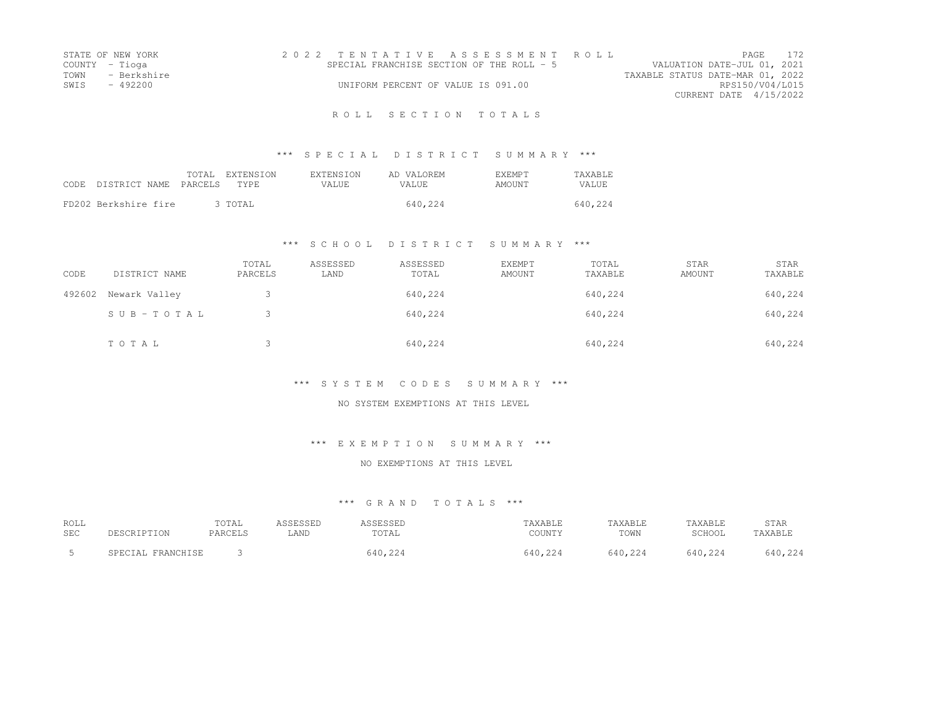|      | STATE OF NEW YORK | 2022 TENTATIVE ASSESSMENT ROLL            |  |  |                                  |                        | PAGE | 172 |
|------|-------------------|-------------------------------------------|--|--|----------------------------------|------------------------|------|-----|
|      | COUNTY - Tioga    | SPECIAL FRANCHISE SECTION OF THE ROLL - 5 |  |  | VALUATION DATE-JUL 01, 2021      |                        |      |     |
|      | TOWN - Berkshire  |                                           |  |  | TAXABLE STATUS DATE-MAR 01, 2022 |                        |      |     |
| SWIS | - 492200          | UNIFORM PERCENT OF VALUE IS 091.00        |  |  |                                  | RPS150/V04/L015        |      |     |
|      |                   |                                           |  |  |                                  | CURRENT DATE 4/15/2022 |      |     |
|      |                   |                                           |  |  |                                  |                        |      |     |

# \*\*\* S P E C I A L D I S T R I C T S U M M A R Y \*\*\*

| CODE. | DISTRICT NAME PARCELS | TOTAL | EXTENSION<br>TYPE. | EXTENSION<br>VALUE. | AD VALOREM<br>VALUE. | <b>F.XEMPT</b><br>AMOUNT | <b>TAXABLE</b><br>VALUE. |
|-------|-----------------------|-------|--------------------|---------------------|----------------------|--------------------------|--------------------------|
|       | FD202 Berkshire fire  |       | 3 TOTAL            |                     | 640.224              |                          | 640,224                  |

### \*\*\* S C H O O L D I S T R I C T S U M M A R Y \*\*\*

| CODE   | DISTRICT NAME | TOTAL<br>PARCELS | ASSESSED<br>LAND | ASSESSED<br>TOTAL | <b>EXEMPT</b><br>AMOUNT | TOTAL<br>TAXABLE | STAR<br>AMOUNT | STAR<br>TAXABLE |
|--------|---------------|------------------|------------------|-------------------|-------------------------|------------------|----------------|-----------------|
| 492602 | Newark Valley |                  |                  | 640,224           |                         | 640,224          |                | 640,224         |
|        | SUB-TOTAL     |                  |                  | 640,224           |                         | 640,224          |                | 640,224         |
|        | TOTAL         |                  |                  | 640,224           |                         | 640,224          |                | 640,224         |

#### \*\*\* S Y S T E M C O D E S S U M M A R Y \*\*\*

#### NO SYSTEM EXEMPTIONS AT THIS LEVEL

### \*\*\* E X E M P T I O N S U M M A R Y \*\*\*

### NO EXEMPTIONS AT THIS LEVEL

| ROLL<br>SEC | DESCRIPTION       | TOTAL<br>PARCELS | \SSESSED<br>LAND | <b>ASSESSED</b><br>TOTAL | TAXABLE<br>COUNTY | TAXABLE<br>TOWN | TAXABLE<br>SCHOOL | STAR<br>TAXABLE |
|-------------|-------------------|------------------|------------------|--------------------------|-------------------|-----------------|-------------------|-----------------|
|             | SPECIAL FRANCHISE |                  |                  | 640,224                  | 640.224           | 640,224         | 640.224           | 640,224         |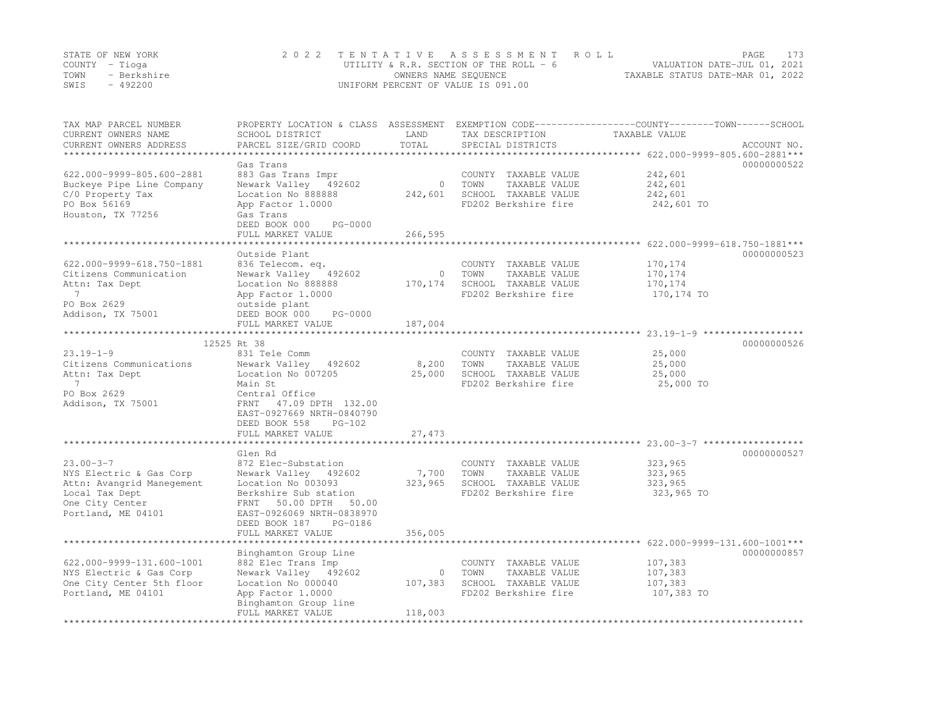|      | STATE OF NEW YORK | 2022 TENTATIVE ASSESSMENT ROLL           | PAGE.                            |  |
|------|-------------------|------------------------------------------|----------------------------------|--|
|      | COUNTY – Tioga    | UTILITY & R.R. SECTION OF THE ROLL - $6$ | VALUATION DATE-JUL 01, 2021      |  |
| TOWN | - Berkshire       | OWNERS NAME SEQUENCE                     | TAXABLE STATUS DATE-MAR 01, 2022 |  |
| SWIS | - 492200          | UNIFORM PERCENT OF VALUE IS 091.00       |                                  |  |

| TAX MAP PARCEL NUMBER<br>CURRENT OWNERS NAME         | PROPERTY LOCATION & CLASS ASSESSMENT EXEMPTION CODE----------------COUNTY-------TOWN------SCHOOL<br>SCHOOL DISTRICT | LAND           | TAX DESCRIPTION                       | TAXABLE VALUE      |             |
|------------------------------------------------------|---------------------------------------------------------------------------------------------------------------------|----------------|---------------------------------------|--------------------|-------------|
| CURRENT OWNERS ADDRESS                               | PARCEL SIZE/GRID COORD                                                                                              | TOTAL          | SPECIAL DISTRICTS                     |                    | ACCOUNT NO. |
| **************************                           |                                                                                                                     |                |                                       |                    |             |
|                                                      | Gas Trans                                                                                                           |                |                                       |                    | 00000000522 |
| 622.000-9999-805.600-2881                            | 883 Gas Trans Impr                                                                                                  |                | COUNTY TAXABLE VALUE                  | 242,601            |             |
| Buckeye Pipe Line Company                            | Newark Valley 492602                                                                                                | $\overline{0}$ | TOWN<br>TAXABLE VALUE                 | 242,601            |             |
| C/0 Property Tax                                     | Location No 888888                                                                                                  | 242,601        | SCHOOL TAXABLE VALUE                  | 242,601            |             |
| PO Box 56169                                         | App Factor 1.0000                                                                                                   |                | FD202 Berkshire fire                  | 242,601 TO         |             |
| Houston, TX 77256                                    | Gas Trans                                                                                                           |                |                                       |                    |             |
|                                                      | PG-0000<br>DEED BOOK 000                                                                                            |                |                                       |                    |             |
|                                                      | FULL MARKET VALUE                                                                                                   | 266,595        |                                       |                    |             |
|                                                      |                                                                                                                     |                |                                       |                    |             |
|                                                      | Outside Plant                                                                                                       |                |                                       |                    | 00000000523 |
| 622.000-9999-618.750-1881                            | 836 Telecom. eq.                                                                                                    |                | COUNTY TAXABLE VALUE                  | 170,174            |             |
| Citizens Communication                               | Newark Valley 492602                                                                                                | $\circ$        | TOWN<br>TAXABLE VALUE                 | 170,174            |             |
| Attn: Tax Dept                                       | Location No 888888                                                                                                  | 170,174        | SCHOOL TAXABLE VALUE                  | 170,174            |             |
| $7\phantom{0}$                                       | App Factor 1.0000                                                                                                   |                | FD202 Berkshire fire                  | 170,174 TO         |             |
| PO Box 2629                                          | outside plant                                                                                                       |                |                                       |                    |             |
| Addison, TX 75001                                    | PG-0000<br>DEED BOOK 000                                                                                            |                |                                       |                    |             |
|                                                      | FULL MARKET VALUE                                                                                                   | 187,004        |                                       |                    |             |
| *******************                                  |                                                                                                                     |                |                                       |                    |             |
|                                                      | 12525 Rt 38                                                                                                         |                |                                       |                    | 00000000526 |
| $23.19 - 1 - 9$                                      | 831 Tele Comm                                                                                                       |                | COUNTY TAXABLE VALUE                  | 25,000             |             |
| Citizens Communications                              | Newark Valley 492602                                                                                                | 8,200          | TOWN<br>TAXABLE VALUE                 | 25,000             |             |
| Attn: Tax Dept                                       | Location No 007205                                                                                                  | 25,000         | SCHOOL TAXABLE VALUE                  | 25,000             |             |
| $\overline{7}$                                       | Main St                                                                                                             |                | FD202 Berkshire fire                  | 25,000 TO          |             |
| PO Box 2629                                          | Central Office                                                                                                      |                |                                       |                    |             |
| Addison, TX 75001                                    | FRNT 47.09 DPTH 132.00                                                                                              |                |                                       |                    |             |
|                                                      | EAST-0927669 NRTH-0840790                                                                                           |                |                                       |                    |             |
|                                                      | DEED BOOK 558<br>$PG-102$                                                                                           |                |                                       |                    |             |
|                                                      | FULL MARKET VALUE                                                                                                   | 27,473         |                                       |                    |             |
|                                                      |                                                                                                                     |                |                                       |                    |             |
|                                                      | Glen Rd                                                                                                             |                |                                       |                    | 00000000527 |
| $23.00 - 3 - 7$                                      | 872 Elec-Substation                                                                                                 | 7,700          | COUNTY TAXABLE VALUE<br>TOWN          | 323,965<br>323,965 |             |
| NYS Electric & Gas Corp<br>Attn: Avangrid Manegement | Newark Valley 492602                                                                                                | 323,965        | TAXABLE VALUE<br>SCHOOL TAXABLE VALUE | 323,965            |             |
| Local Tax Dept                                       | Location No 003093<br>Berkshire Sub station                                                                         |                | FD202 Berkshire fire                  | 323,965 TO         |             |
| One City Center                                      | FRNT 50.00 DPTH<br>50.00                                                                                            |                |                                       |                    |             |
| Portland, ME 04101                                   | EAST-0926069 NRTH-0838970                                                                                           |                |                                       |                    |             |
|                                                      | DEED BOOK 187<br>PG-0186                                                                                            |                |                                       |                    |             |
|                                                      | FULL MARKET VALUE                                                                                                   | 356,005        |                                       |                    |             |
|                                                      |                                                                                                                     |                |                                       |                    |             |
|                                                      | Binghamton Group Line                                                                                               |                |                                       |                    | 00000000857 |
| 622.000-9999-131.600-1001                            | 882 Elec Trans Imp                                                                                                  |                | COUNTY TAXABLE VALUE                  | 107,383            |             |
| NYS Electric & Gas Corp                              | Newark Valley 492602                                                                                                | $\circ$        | TOWN<br>TAXABLE VALUE                 | 107,383            |             |
| One City Center 5th floor                            | Location No 000040                                                                                                  | 107,383        | SCHOOL TAXABLE VALUE                  | 107,383            |             |
| Portland, ME 04101                                   | App Factor 1.0000                                                                                                   |                | FD202 Berkshire fire                  | 107,383 TO         |             |
|                                                      | Binghamton Group line                                                                                               |                |                                       |                    |             |
|                                                      | FULL MARKET VALUE                                                                                                   | 118,003        |                                       |                    |             |
|                                                      |                                                                                                                     |                |                                       |                    |             |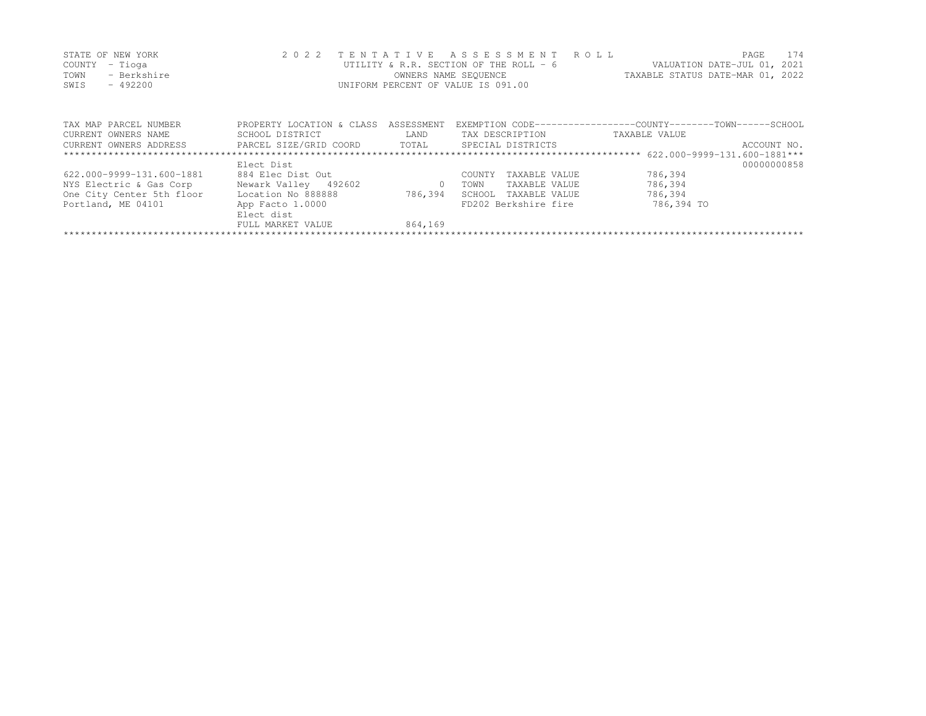| STATE OF NEW YORK   | 2022 TENTATIVE ASSESSMENT ROLL           |                                  | PAGE. | 174 |
|---------------------|------------------------------------------|----------------------------------|-------|-----|
| COUNTY – Tioga      | UTILITY & R.R. SECTION OF THE ROLL - $6$ | VALUATION DATE-JUL 01, 2021      |       |     |
| TOWN<br>- Berkshire | OWNERS NAME SEOUENCE                     | TAXABLE STATUS DATE-MAR 01, 2022 |       |     |
| SWIS<br>- 492200    | UNIFORM PERCENT OF VALUE IS 091.00       |                                  |       |     |
|                     |                                          |                                  |       |     |

| TAX MAP PARCEL NUMBER     | PROPERTY LOCATION & CLASS | ASSESSMENT |                         | EXEMPTION CODE-----------------COUNTY-------TOWN------SCHOOL |
|---------------------------|---------------------------|------------|-------------------------|--------------------------------------------------------------|
| CURRENT OWNERS NAME       | SCHOOL DISTRICT           | LAND       | TAX DESCRIPTION         | TAXABLE VALUE                                                |
| CURRENT OWNERS ADDRESS    | PARCEL SIZE/GRID COORD    | TOTAL      | SPECIAL DISTRICTS       | ACCOUNT NO.                                                  |
|                           |                           |            |                         |                                                              |
|                           | Elect Dist                |            |                         | 00000000858                                                  |
| 622.000-9999-131.600-1881 | 884 Elec Dist Out         |            | TAXABLE VALUE<br>COUNTY | 786,394                                                      |
| NYS Electric & Gas Corp   | Newark Valley 492602      |            | TAXABLE VALUE<br>TOWN   | 786,394                                                      |
| One City Center 5th floor | Location No 888888        | 786,394    | TAXABLE VALUE<br>SCHOOL | 786,394                                                      |
| Portland, ME 04101        | App Facto 1.0000          |            | FD202 Berkshire fire    | 786,394 TO                                                   |
|                           | Elect dist                |            |                         |                                                              |
|                           | FULL MARKET VALUE         | 864,169    |                         |                                                              |
|                           |                           |            |                         |                                                              |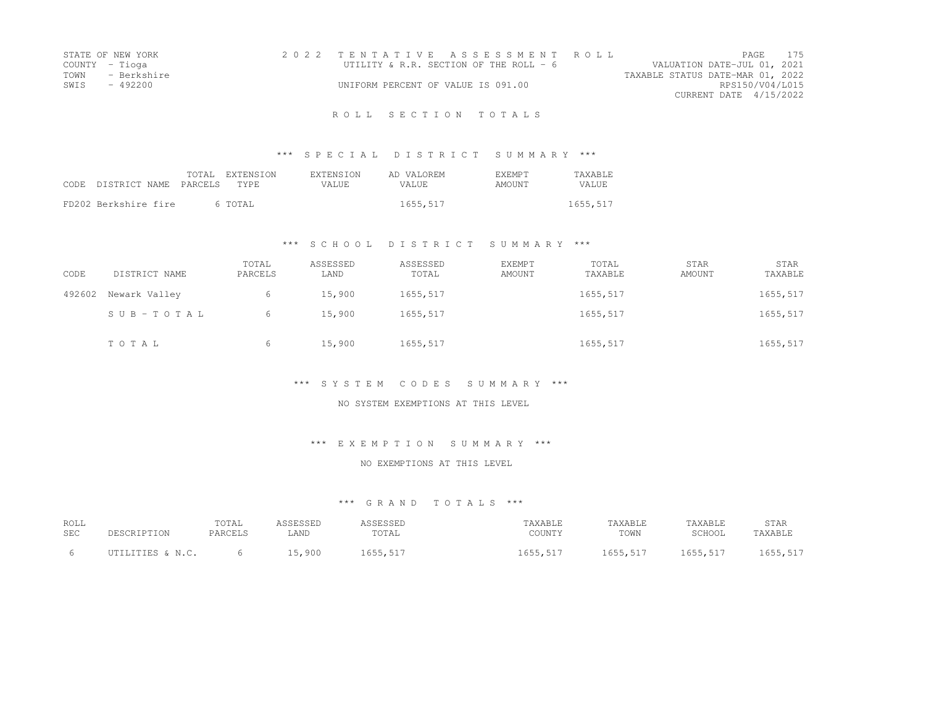|      | STATE OF NEW YORK |                                    | 2022 TENTATIVE ASSESSMENT ROLL          |                                  |                        | PAGE | 175 |
|------|-------------------|------------------------------------|-----------------------------------------|----------------------------------|------------------------|------|-----|
|      | COUNTY - Tioga    |                                    | UTILITY & R.R. SECTION OF THE ROLL $-6$ | VALUATION DATE-JUL 01, 2021      |                        |      |     |
|      | TOWN - Berkshire  |                                    |                                         | TAXABLE STATUS DATE-MAR 01, 2022 |                        |      |     |
| SWIS | - 492200          | UNIFORM PERCENT OF VALUE IS 091.00 |                                         |                                  | RPS150/V04/L015        |      |     |
|      |                   |                                    |                                         |                                  | CURRENT DATE 4/15/2022 |      |     |
|      |                   |                                    |                                         |                                  |                        |      |     |

# \*\*\* S P E C I A L D I S T R I C T S U M M A R Y \*\*\*

| CODE | DISTRICT NAME PARCELS | TOTAL EXTENSION<br>TYPE | <b>EXTENSION</b><br>VALUE. | AD VALOREM<br>VALUE. | <b>EXEMPT</b><br>AMOUNT | <b>TAXABLE</b><br><b>VALUE</b> |
|------|-----------------------|-------------------------|----------------------------|----------------------|-------------------------|--------------------------------|
|      | FD202 Berkshire fire  | 6 TOTAL                 |                            | 1655,517             |                         | 1655,517                       |

### \*\*\* S C H O O L D I S T R I C T S U M M A R Y \*\*\*

| CODE   | DISTRICT NAME | TOTAL<br>PARCELS | ASSESSED<br>LAND | ASSESSED<br>TOTAL | <b>EXEMPT</b><br>AMOUNT | TOTAL<br>TAXABLE | STAR<br>AMOUNT | STAR<br>TAXABLE |
|--------|---------------|------------------|------------------|-------------------|-------------------------|------------------|----------------|-----------------|
| 492602 | Newark Valley | 6                | 15,900           | 1655,517          |                         | 1655,517         |                | 1655,517        |
|        | SUB-TOTAL     | 6                | 15,900           | 1655,517          |                         | 1655,517         |                | 1655,517        |
|        | TOTAL         | 6                | 15,900           | 1655,517          |                         | 1655,517         |                | 1655,517        |

#### \*\*\* S Y S T E M C O D E S S U M M A R Y \*\*\*

#### NO SYSTEM EXEMPTIONS AT THIS LEVEL

### \*\*\* E X E M P T I O N S U M M A R Y \*\*\*

### NO EXEMPTIONS AT THIS LEVEL

| ROLL       | DESCRIPTION      | TOTAL          | ASSESSED | ASSESSED | TAXABLE  | TAXABLE  | TAXABLE  | STAR     |
|------------|------------------|----------------|----------|----------|----------|----------|----------|----------|
| <b>SEC</b> |                  | <b>PARCELS</b> | LAND     | TOTAL    | COUNTY   | TOWN     | SCHOOL   | TAXABLE  |
|            | UTILITIES & N.C. |                | 15,900   | 1655,517 | 1655,517 | 1655,517 | 1655,517 | 1655,517 |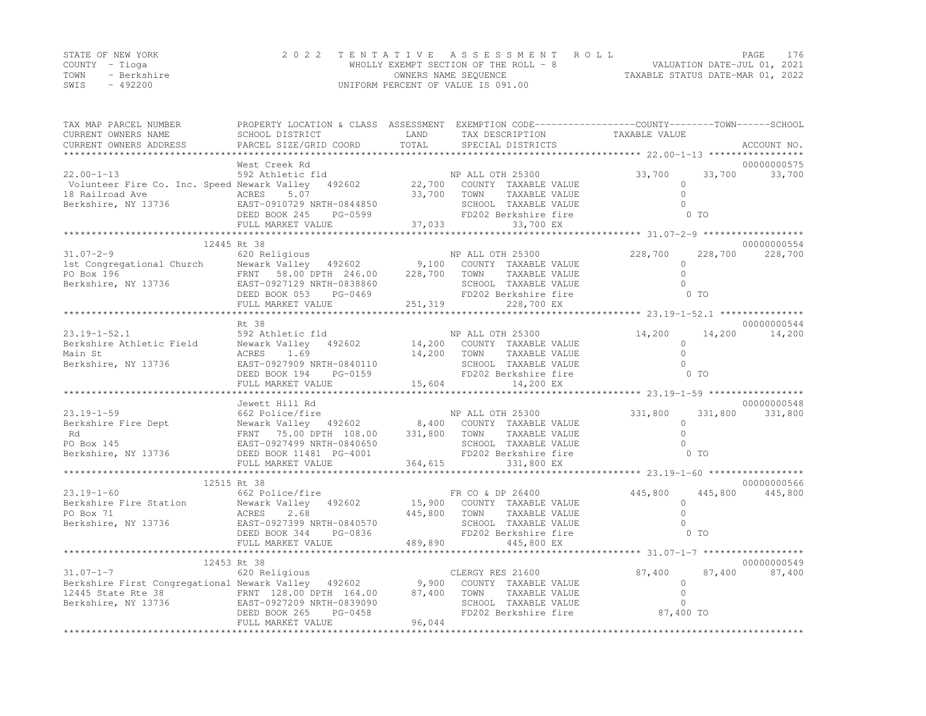|      | STATE OF NEW YORK | 2022 TENTATIVE ASSESSMENT ROLL        | <b>PAGE</b>                      | 176 |
|------|-------------------|---------------------------------------|----------------------------------|-----|
|      | COUNTY – Tioga    | WHOLLY EXEMPT SECTION OF THE ROLL - 8 | VALUATION DATE-JUL 01, 2021      |     |
| TOWN | - Berkshire       | OWNERS NAME SEQUENCE                  | TAXABLE STATUS DATE-MAR 01, 2022 |     |
| SWIS | - 492200          | UNIFORM PERCENT OF VALUE IS 091.00    |                                  |     |

| TAX MAP PARCEL NUMBER<br>CURRENT OWNERS NAME<br>CURRENT OWNERS ADDRESS                                                                                                                                                                                             | PROPERTY LOCATION & CLASS ASSESSMENT EXEMPTION CODE-----------------COUNTY-------TOWN------SCHOOL<br>SCHOOL DISTRICT<br>PARCEL SIZE/GRID COORD                    | LAND<br>TOTAL                                             | TAX DESCRIPTION<br>SPECIAL DISTRICTS                                                                                                        | TAXABLE VALUE                                    |                                                               | ACCOUNT NO.                    |
|--------------------------------------------------------------------------------------------------------------------------------------------------------------------------------------------------------------------------------------------------------------------|-------------------------------------------------------------------------------------------------------------------------------------------------------------------|-----------------------------------------------------------|---------------------------------------------------------------------------------------------------------------------------------------------|--------------------------------------------------|---------------------------------------------------------------|--------------------------------|
|                                                                                                                                                                                                                                                                    |                                                                                                                                                                   |                                                           |                                                                                                                                             |                                                  |                                                               |                                |
| 22.00-1-13<br>592 Athletic fld<br>592 Athletic fld<br>892 Athletic fld<br>892 Athletic fld<br>892 Athletic fld<br>892602<br>22,700 COUNTY TAXABLE VALUE<br>18 Railroad Ave $ACRES$ 5.07<br>Berkshire, NY 13736 EAST-0910729 NRTH-0844850                           | West Creek Rd<br>DEED BOOK 245<br>PG-0599<br>FULL MARKET VALUE                                                                                                    | 33,700<br>−0844850 SCH<br>PG−0599 PG−0599 PG−0599 PG−0599 | TAXABLE VALUE<br>TOWN<br>SCHOOL TAXABLE VALUE<br>FD202 Berkshire fire<br>33,700 EX                                                          | 33,700                                           | 33,700<br>$\circ$<br>$\Omega$<br>$\bigcirc$<br>0 <sub>T</sub> | 00000000575<br>33,700          |
|                                                                                                                                                                                                                                                                    |                                                                                                                                                                   |                                                           |                                                                                                                                             |                                                  |                                                               |                                |
| 12445 Rt 38<br>$31.07 - 2 - 9$<br>1st Congregational Church<br>1st Congregational Church<br>1st Congregational Church<br>1st Congregational Church<br>1st Newark Valley<br>192602<br>1946.00<br>1946.00<br>1957.00<br>19736<br>19857-0927129 NRTH-0838860          | 620 Religious<br>DEED BOOK 053<br>FULL MARKET VALUE                                                                                                               | 1-0838860<br>PG-0469<br>251, 319                          | NP ALL OTH 25300<br>COUNTY TAXABLE VALUE<br>TAXABLE VALUE<br>TOWN<br>SCHOOL TAXABLE VALUE<br>FD202 Berkshire fire<br>228,700 EX             | 228,700                                          | 228,700<br>$\Omega$<br>$\Omega$<br>$\Omega$<br>$0$ TO         | 00000000554<br>228,700         |
|                                                                                                                                                                                                                                                                    | Rt 38                                                                                                                                                             |                                                           |                                                                                                                                             | ****************** 23.19-1-52.1 **************** |                                                               | 00000000544                    |
| 23.19-1-52.1<br>Berkshire Athletic Field (Several Mewark Valley 492602) 14,200 COUNTY TAXABLE VALUE<br>Main St<br>Main St<br>Berkshire, NY 13736                                                                                                                   | ACRES 1.69<br>EAST-0927909 NRTH-0840110<br>DEED BOOK 194 PG-0159<br>FULL MARKET VALUE 15,604<br>FULL MARKET VALUE 15,604<br>FULL MARKET VALUE 15,604<br>14,200 EX |                                                           | TAXABLE VALUE<br>SCHOOL TAXABLE VALUE<br>FD202 Berkshire fire                                                                               | 14,200                                           | 14,200<br>$\Omega$<br>$\Omega$<br>$\bigcap$<br>0 <sub>T</sub> | 14,200                         |
|                                                                                                                                                                                                                                                                    |                                                                                                                                                                   |                                                           |                                                                                                                                             |                                                  |                                                               |                                |
| $23.19 - 1 - 59$<br>EXAMPLE The Dept<br>Newark Valley 492602 8,400 COUNTY TAXABLE VALUE<br>ROBOR 145<br>PO Box 145<br>Berkshire, NY 13736 DEED BOOK 11481 PG-4001 COUNTY TAXABLE VALUE<br>PO Box 145<br>Berkshire, NY 13736 DEED BOOK 11481 PG-4001 FD202 Berk     | Jewett Hill Rd<br>662 Police/fire<br>FULL MARKET VALUE                                                                                                            | 364,615                                                   | NP ALL OTH 25300<br>331,800 EX                                                                                                              | 331,800                                          | $\Omega$<br>$\Omega$<br>$\bigcap$<br>0 <sub>T</sub>           | 00000000548<br>331,800 331,800 |
| 12515 Rt 38                                                                                                                                                                                                                                                        |                                                                                                                                                                   |                                                           |                                                                                                                                             |                                                  |                                                               | 00000000566                    |
| $23.19 - 1 - 60$<br>23.19-1-60<br>Berkshire Fire Station Mewark Valley 492602 15,900<br>PO Box 71<br>Berkshire, NY 13736<br>Berkshire, NY 13736<br>DEED BOOK 3445,800<br>DEED BOOK 3445,800<br>CEED BOOK 3445,800<br>CEED BOOK 3445,800<br>CEED BOOK 349,890<br>CE | 662 Police/fire<br>FULL MARKET VALUE                                                                                                                              | 489,890                                                   | FR CO & DP 26400<br>15,900 COUNTY TAXABLE VALUE<br>445,800 TOWN TAXABLE VALUE<br>SCHOOL TAXABLE VALUE<br>FD202 Berkshire fire<br>445,800 EX | 445,800                                          | $\Omega$<br>$\bigcap$<br>$\cap$<br>0 TO                       | 445,800 445,800                |
|                                                                                                                                                                                                                                                                    |                                                                                                                                                                   |                                                           |                                                                                                                                             |                                                  |                                                               |                                |
| 12453 Rt 38<br>31.07-1-7<br>Berkshire First Congregational Newark Valley 492602 9,900<br>12445 State Rte 38 FRNT 128.00 DPTH 164.00<br>Berkshire, NY 13736 EAST-0927209 NRTH-0839090                                                                               | DEED BOOK 265<br>PG-0458<br>FULL MARKET VALUE                                                                                                                     | 87,400<br>96,044                                          | CLERGY RES 21600<br>COUNTY TAXABLE VALUE<br>TOWN<br>TAXABLE VALUE<br>SCHOOL TAXABLE VALUE<br>FD202 Berkshire fire                           | 87,400<br>87,400 TO                              | 87,400<br>$\circ$<br>$\Omega$<br>$\Omega$                     | 00000000549<br>87,400          |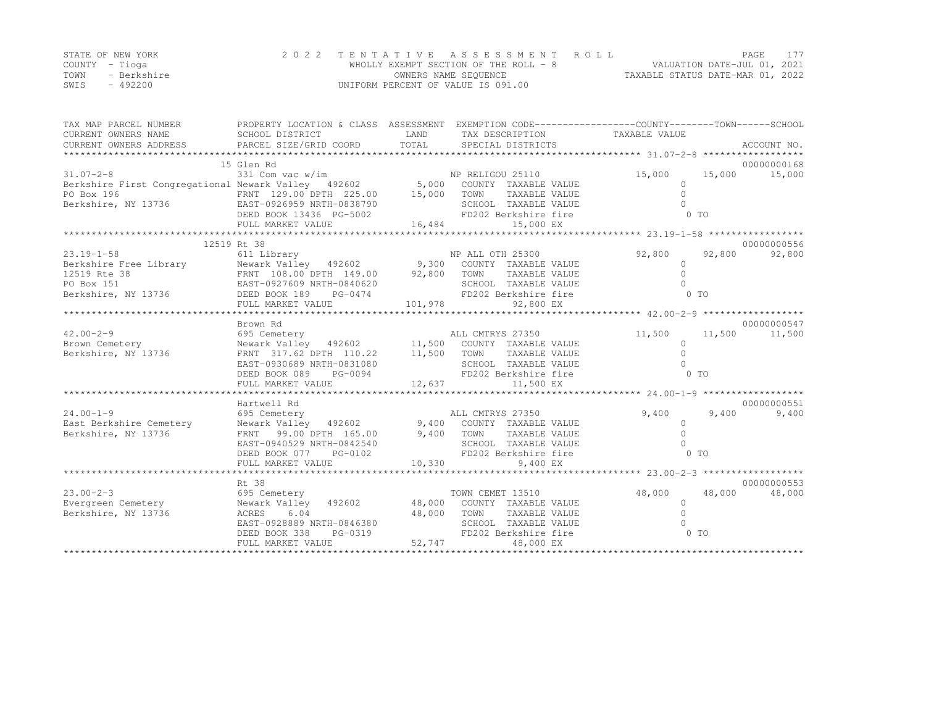| STATE OF NEW YORK |             | 2022 TENTATIVE ASSESSMENT ROLL        | PAGE.                            |  |
|-------------------|-------------|---------------------------------------|----------------------------------|--|
| COUNTY – Tioga    |             | WHOLLY EXEMPT SECTION OF THE ROLL - 8 | VALUATION DATE-JUL 01, 2021      |  |
| TOWN              | - Berkshire | OWNERS NAME SEQUENCE                  | TAXABLE STATUS DATE-MAR 01, 2022 |  |
| SWIS              | $-492200$   | UNIFORM PERCENT OF VALUE IS 091.00    |                                  |  |

| TAX MAP PARCEL NUMBER                                                                                                                                                                                                                                                                                                                                                                                                                                    | PROPERTY LOCATION & CLASS ASSESSMENT EXEMPTION CODE-----------------COUNTY-------TOWN------SCHOOL                  |                        |                                               |                     |                          |
|----------------------------------------------------------------------------------------------------------------------------------------------------------------------------------------------------------------------------------------------------------------------------------------------------------------------------------------------------------------------------------------------------------------------------------------------------------|--------------------------------------------------------------------------------------------------------------------|------------------------|-----------------------------------------------|---------------------|--------------------------|
|                                                                                                                                                                                                                                                                                                                                                                                                                                                          | 15 Glen Rd                                                                                                         |                        |                                               |                     | 00000000168              |
|                                                                                                                                                                                                                                                                                                                                                                                                                                                          |                                                                                                                    |                        |                                               | 15,000              | 15,000 15,000            |
| 31.07-2-8<br>331 Com vac w/im MP RELIGOU 25110<br>Berkshire First Congregational Newark Valley 492602 5,000 COUNTY TAXABLE VALUE                                                                                                                                                                                                                                                                                                                         |                                                                                                                    |                        |                                               | $\circ$             |                          |
|                                                                                                                                                                                                                                                                                                                                                                                                                                                          |                                                                                                                    |                        |                                               | $\Omega$            |                          |
|                                                                                                                                                                                                                                                                                                                                                                                                                                                          |                                                                                                                    |                        |                                               |                     |                          |
|                                                                                                                                                                                                                                                                                                                                                                                                                                                          |                                                                                                                    |                        |                                               | 0 <sub>T</sub>      |                          |
| PO Box 196 FRNT 129.00 DPTH 225.00 15,000 TOWN TAXABLE VALUE<br>Berkshire, NY 13736 EAST-0926959 NRTH-0838790 SCHOOL TAXABLE VALUE<br>DEED BOOK 13436 PG-5002 FD202 Berkshire fire<br>FULL MARKET VALUE 16,484 15,000 EX                                                                                                                                                                                                                                 |                                                                                                                    |                        |                                               |                     |                          |
|                                                                                                                                                                                                                                                                                                                                                                                                                                                          |                                                                                                                    |                        |                                               |                     |                          |
| $\begin{tabular}{lllllllllllllllllll} \multicolumn{4}{c}{12519\text{ RL}} & 12519\text{ RL} & 38 & & & & & \multicolumn{4}{c}{\text{NP ALL OTH 25300}} \\ \multicolumn{4}{c}{\text{Berkshire Free Library}} & 611\text{ Library} & 492602 & 9,300\text{ COUNTY TAXABLE VALUE} \\ \multicolumn{4}{c}{12519\text{ Rte 38}} & \multicolumn{4}{c}{\text{Newark Valley}} & 492602 & 9,300\text{ COUNTY TAXABLE VALUE} \\ \multicolumn{4}{c}{\text{PO Box 151$ |                                                                                                                    |                        |                                               |                     | 00000000556              |
|                                                                                                                                                                                                                                                                                                                                                                                                                                                          |                                                                                                                    |                        |                                               | 92,800              | 92,800<br>92,800         |
|                                                                                                                                                                                                                                                                                                                                                                                                                                                          |                                                                                                                    |                        |                                               | $\mathbf{0}$        |                          |
|                                                                                                                                                                                                                                                                                                                                                                                                                                                          |                                                                                                                    |                        |                                               | $\Omega$            |                          |
|                                                                                                                                                                                                                                                                                                                                                                                                                                                          |                                                                                                                    |                        |                                               | $\Omega$            |                          |
|                                                                                                                                                                                                                                                                                                                                                                                                                                                          |                                                                                                                    |                        |                                               | 0 <sub>T</sub>      |                          |
|                                                                                                                                                                                                                                                                                                                                                                                                                                                          |                                                                                                                    |                        |                                               |                     |                          |
|                                                                                                                                                                                                                                                                                                                                                                                                                                                          |                                                                                                                    |                        |                                               |                     |                          |
|                                                                                                                                                                                                                                                                                                                                                                                                                                                          | Brown Rd                                                                                                           |                        |                                               |                     | 00000000547              |
| 42.00-2-9<br>Brown Cemetery                                                                                                                                                                                                                                                                                                                                                                                                                              | سم سمين مرد مير<br>11,500 Cemetery 11,500 COUNTY TAXABLE VALUE<br>Newark Valley 492602 11,500 COUNTY TAXABLE VALUE |                        |                                               |                     | 11,500 11,500 11,500     |
| Brown Cemetery<br>Berkshire, NY 13736                                                                                                                                                                                                                                                                                                                                                                                                                    |                                                                                                                    |                        |                                               | $\Omega$            |                          |
|                                                                                                                                                                                                                                                                                                                                                                                                                                                          | FRNT 317.62 DPTH 110.22 11,500 TOWN                                                                                |                        | TAXABLE VALUE                                 | $\Omega$            |                          |
|                                                                                                                                                                                                                                                                                                                                                                                                                                                          | EAST-0930689 NRTH-0831080<br>DEED BOOK 089 PG-0094                                                                 |                        | SCHOOL TAXABLE VALUE                          | $\bigcap$           |                          |
|                                                                                                                                                                                                                                                                                                                                                                                                                                                          |                                                                                                                    |                        | FD202 Berkshire fire                          | 0 TO                |                          |
|                                                                                                                                                                                                                                                                                                                                                                                                                                                          | FULL MARKET VALUE                                                                                                  | 12,637                 | 11,500 EX                                     |                     |                          |
|                                                                                                                                                                                                                                                                                                                                                                                                                                                          |                                                                                                                    |                        |                                               |                     |                          |
|                                                                                                                                                                                                                                                                                                                                                                                                                                                          | Hartwell Rd                                                                                                        |                        |                                               |                     | 00000000551              |
| $24.00 - 1 - 9$                                                                                                                                                                                                                                                                                                                                                                                                                                          |                                                                                                                    |                        |                                               |                     | $9,400$ $9,400$<br>9,400 |
| East Berkshire Cemetery                                                                                                                                                                                                                                                                                                                                                                                                                                  |                                                                                                                    |                        |                                               | $\circ$             |                          |
| Berkshire, NY 13736                                                                                                                                                                                                                                                                                                                                                                                                                                      | FRNT 99.00 DPTH $165.00$ 9,400 TOWN TAXABLE VALUE                                                                  |                        |                                               | $\Omega$            |                          |
|                                                                                                                                                                                                                                                                                                                                                                                                                                                          | EAST-0940529 NRTH-0842540<br>EAST-0940529 NRTH-0842540<br>DEED BOOK 077 PG-0102                                    |                        | SCHOOL TAXABLE VALUE                          |                     |                          |
|                                                                                                                                                                                                                                                                                                                                                                                                                                                          |                                                                                                                    |                        | FD202 Berkshire fire                          | $0$ TO              |                          |
|                                                                                                                                                                                                                                                                                                                                                                                                                                                          |                                                                                                                    |                        |                                               |                     |                          |
|                                                                                                                                                                                                                                                                                                                                                                                                                                                          |                                                                                                                    |                        |                                               |                     |                          |
|                                                                                                                                                                                                                                                                                                                                                                                                                                                          | Rt 38                                                                                                              |                        |                                               |                     | 00000000553              |
| 695 Cemetery<br>$23.00 - 2 - 3$                                                                                                                                                                                                                                                                                                                                                                                                                          |                                                                                                                    |                        | TOWN CEMET 13510                              | 48,000 48,000       | 48,000                   |
|                                                                                                                                                                                                                                                                                                                                                                                                                                                          | 6.04                                                                                                               |                        |                                               | $\circ$<br>$\Omega$ |                          |
| Berkshire, NY 13736                                                                                                                                                                                                                                                                                                                                                                                                                                      | ACRES<br>EAST-0928889 NRTH-0846380                                                                                 | 48,000                 | TOWN<br>TAXABLE VALUE<br>SCHOOL TAXABLE VALUE |                     |                          |
|                                                                                                                                                                                                                                                                                                                                                                                                                                                          |                                                                                                                    |                        | FD202 Berkshire fire                          | 0 TO                |                          |
|                                                                                                                                                                                                                                                                                                                                                                                                                                                          | DEED BOOK 338<br>PG-0319<br>FULL MARKET VALUE                                                                      | 380 SCHO<br>19 52, 747 | 48,000 EX                                     |                     |                          |
|                                                                                                                                                                                                                                                                                                                                                                                                                                                          |                                                                                                                    |                        |                                               |                     |                          |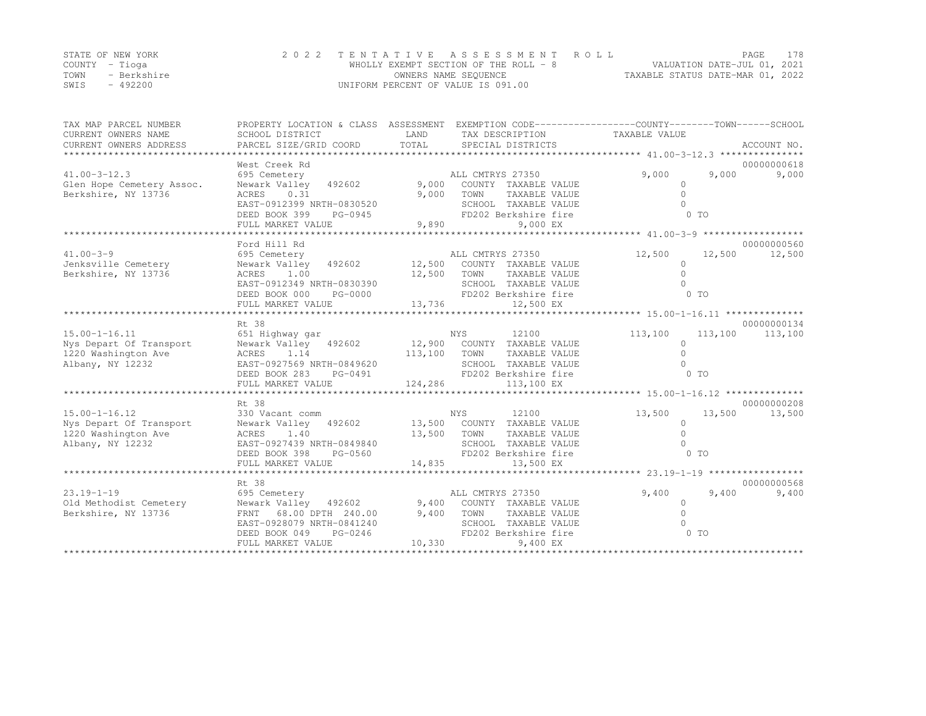|      | STATE OF NEW YORK | 2022 TENTATIVE ASSESSMENT ROLL        | <b>PAGE</b>                      | 178 |
|------|-------------------|---------------------------------------|----------------------------------|-----|
|      | COUNTY – Tioga    | WHOLLY EXEMPT SECTION OF THE ROLL - 8 | VALUATION DATE-JUL 01, 2021      |     |
| TOWN | - Berkshire       | OWNERS NAME SEQUENCE                  | TAXABLE STATUS DATE-MAR 01, 2022 |     |
| SWIS | - 492200          | UNIFORM PERCENT OF VALUE IS 091.00    |                                  |     |

| TAX MAP PARCEL NUMBER                   | PROPERTY LOCATION & CLASS ASSESSMENT EXEMPTION CODE-----------------COUNTY-------TOWN------SCHOOL                                                    |                        |                           |                     |                  |
|-----------------------------------------|------------------------------------------------------------------------------------------------------------------------------------------------------|------------------------|---------------------------|---------------------|------------------|
| CURRENT OWNERS NAME                     | SCHOOL DISTRICT                                                                                                                                      | LAND                   | TAX DESCRIPTION           | TAXABLE VALUE       |                  |
| CURRENT OWNERS ADDRESS                  |                                                                                                                                                      |                        |                           |                     |                  |
|                                         |                                                                                                                                                      |                        |                           |                     |                  |
|                                         | West Creek Rd                                                                                                                                        |                        |                           |                     | 00000000618      |
| $41.00 - 3 - 12.3$                      | 695 Cemetery                                                                                                                                         |                        | ALL CMTRYS 27350          | 9,000               | 9,000<br>9,000   |
| Glen Hope Cemetery Assoc.               | Newark Valley 492602 9,000                                                                                                                           |                        | COUNTY TAXABLE VALUE      | $\Omega$            |                  |
| Berkshire, NY 13736                     | ACRES 0.31                                                                                                                                           | 9,000                  | TOWN<br>TAXABLE VALUE     | $\Omega$            |                  |
|                                         | EAST-0912399 NRTH-0830520                                                                                                                            |                        | SCHOOL TAXABLE VALUE      |                     |                  |
|                                         | DEED BOOK 399<br>PG-0945                                                                                                                             |                        | FD202 Berkshire fire      | 0 TO                |                  |
|                                         | FULL MARKET VALUE                                                                                                                                    | 9,890                  | 9,000 EX                  |                     |                  |
|                                         |                                                                                                                                                      |                        |                           |                     |                  |
|                                         | Ford Hill Rd                                                                                                                                         |                        |                           |                     | 00000000560      |
| $41.00 - 3 - 9$                         | 695 Cemetery                                                                                                                                         |                        | ALL CMTRYS 27350          | 12,500              | 12,500<br>12,500 |
| Jenksville Cemetery                     | Newark Valley 492602 12,500 COUNTY TAXABLE VALUE                                                                                                     |                        |                           | $\circ$             |                  |
| Berkshire, NY 13736                     | ACRES 1.00                                                                                                                                           | 12,500                 | TOWN<br>TAXABLE VALUE     | $\Omega$            |                  |
|                                         | EAST-0912349 NRTH-0830390                                                                                                                            | SCHC<br>FD20<br>13,736 | SCHOOL TAXABLE VALUE      |                     |                  |
|                                         | DEED BOOK 000<br>PG-0000                                                                                                                             |                        | FD202 Berkshire fire      | $0$ TO              |                  |
|                                         | FULL MARKET VALUE                                                                                                                                    |                        | 12,500 EX                 |                     |                  |
|                                         |                                                                                                                                                      |                        |                           |                     |                  |
|                                         | Rt. 38                                                                                                                                               |                        | NYS<br>12100              |                     | 00000000134      |
| $15.00 - 1 - 16.11$                     | 651 Highway gar<br>Newark Valley 492602 12,900 COUNTY TAXABLE VALUE                                                                                  |                        |                           | 113,100<br>$\Omega$ | 113,100 113,100  |
| Nys Depart Of Transport                 | ACRES 1.14                                                                                                                                           |                        | TAXABLE VALUE             | $\Omega$            |                  |
| 1220 Washington Ave<br>Albany, NY 12232 | EAST-0927569 NRTH-0849620                                                                                                                            | 113,100 TOWN           | SCHOOL TAXABLE VALUE      | $\Omega$            |                  |
|                                         | VRTH-0849620<br>PG-0491<br>DEED BOOK 283                                                                                                             |                        | FD202 Berkshire fire      | 0 TO                |                  |
|                                         | FULL MARKET VALUE                                                                                                                                    | 124,286                | 113,100 EX                |                     |                  |
|                                         |                                                                                                                                                      |                        |                           |                     |                  |
|                                         | Rt 38                                                                                                                                                |                        |                           |                     | 00000000208      |
| $15.00 - 1 - 16.12$                     | 330 Vacant comm                                                                                                                                      | NYS                    | 12100                     | 13,500              | 13,500<br>13,500 |
| Nys Depart Of Transport                 | Newark Valley 492602 13,500 COUNTY TAXABLE VALUE                                                                                                     |                        |                           | $\circ$             |                  |
| 1220 Washington Ave                     | ACRES<br>1.40                                                                                                                                        |                        | 13,500 TOWN TAXABLE VALUE | $\Omega$            |                  |
| Albany, NY 12232                        | EAST-0927439 NRTH-0849840                                                                                                                            |                        | SCHOOL TAXABLE VALUE      | $\cap$              |                  |
|                                         | IRTH-0849840<br>PG-0560<br>DEED BOOK 398                                                                                                             |                        | FD202 Berkshire fire      | $0$ TO              |                  |
|                                         |                                                                                                                                                      |                        |                           |                     |                  |
|                                         |                                                                                                                                                      |                        |                           |                     |                  |
|                                         | Rt 38                                                                                                                                                |                        |                           |                     | 00000000568      |
| $23.19 - 1 - 19$                        | 695 Cemetery                                                                                                                                         |                        | ALL CMTRYS 27350          | 9,400               | 9,400<br>9,400   |
| Old Methodist Cemetery                  |                                                                                                                                                      |                        |                           | $\overline{0}$      |                  |
| Berkshire, NY 13736                     |                                                                                                                                                      |                        |                           | $\Omega$            |                  |
|                                         | Newark Valley 492602 9,400 COUNTY TAXABLE VALUE<br>FRNT 68.00 DPTH 240.00 9,400 TOWN TAXABLE VALUE<br>EAST-0928079 NRTH-0841240 SCHOOL TAXABLE VALUE |                        |                           |                     |                  |
|                                         | DEED BOOK 049<br>PG-0246                                                                                                                             | $46$ FD2(<br>$10,330$  | FD202 Berkshire fire      | O TO                |                  |
|                                         | FULL MARKET VALUE                                                                                                                                    |                        | 9,400 EX                  |                     |                  |
|                                         |                                                                                                                                                      |                        |                           |                     |                  |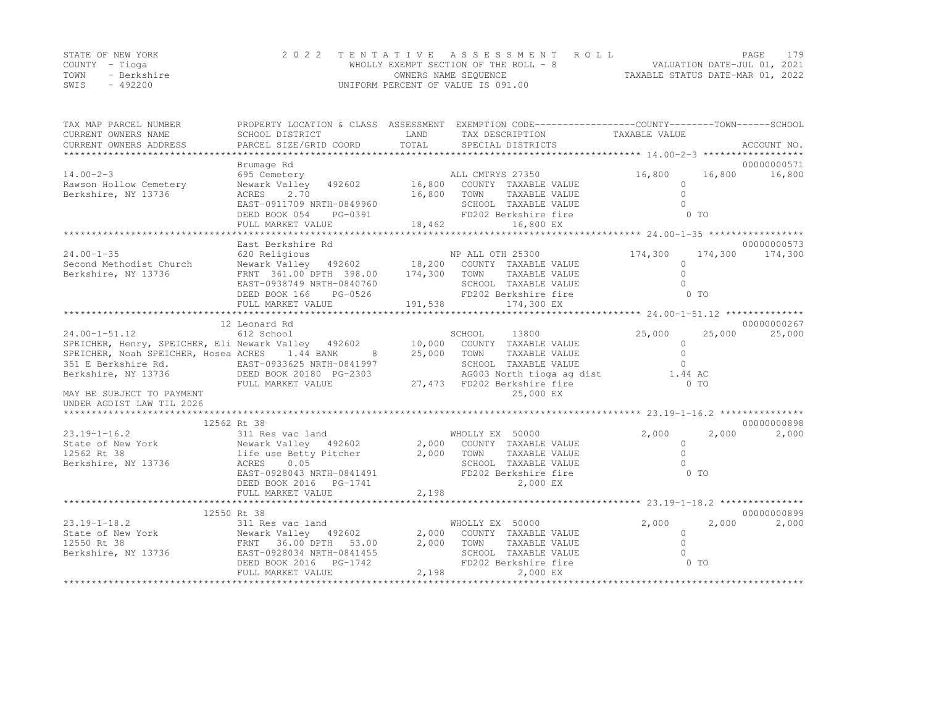|      | STATE OF NEW YORK | 2022 TENTATIVE ASSESSMENT ROLL        | PAGE                             | 179 |
|------|-------------------|---------------------------------------|----------------------------------|-----|
|      | COUNTY – Tioga    | WHOLLY EXEMPT SECTION OF THE ROLL - 8 | VALUATION DATE-JUL 01, 2021      |     |
| TOWN | - Berkshire       | OWNERS NAME SEOUENCE                  | TAXABLE STATUS DATE-MAR 01, 2022 |     |
| SWIS | - 492200          | UNIFORM PERCENT OF VALUE IS 091.00    |                                  |     |

| TAX MAP PARCEL NUMBER                                                                                                                                                                   | PROPERTY LOCATION & CLASS ASSESSMENT EXEMPTION CODE----------------COUNTY-------TOWN------SCHOOL                                                                                                                                                                                        |         |                                                   |                |                      |
|-----------------------------------------------------------------------------------------------------------------------------------------------------------------------------------------|-----------------------------------------------------------------------------------------------------------------------------------------------------------------------------------------------------------------------------------------------------------------------------------------|---------|---------------------------------------------------|----------------|----------------------|
| CURRENT OWNERS NAME                                                                                                                                                                     | SCHOOL DISTRICT                                                                                                                                                                                                                                                                         | LAND    | TAX DESCRIPTION                                   | TAXABLE VALUE  |                      |
| CURRENT OWNERS ADDRESS                                                                                                                                                                  | PARCEL SIZE/GRID COORD                                                                                                                                                                                                                                                                  | TOTAL   | SPECIAL DISTRICTS                                 |                | ACCOUNT NO.          |
|                                                                                                                                                                                         | Brumage Rd                                                                                                                                                                                                                                                                              |         |                                                   |                | 00000000571          |
| $14.00 - 2 - 3$                                                                                                                                                                         | 695 Cemetery                                                                                                                                                                                                                                                                            |         | ALL CMTRYS 27350                                  |                | 16,800 16,800 16,800 |
| Rawson Hollow Cemetery                                                                                                                                                                  | Newark Valley 492602 16,800 COUNTY TAXABLE VALUE                                                                                                                                                                                                                                        |         |                                                   | $\bigcirc$     |                      |
| Berkshire, NY 13736                                                                                                                                                                     | 2.70<br>16,800 TOWN<br>ACRES                                                                                                                                                                                                                                                            |         | TAXABLE VALUE                                     | $\Omega$       |                      |
|                                                                                                                                                                                         |                                                                                                                                                                                                                                                                                         |         |                                                   |                |                      |
|                                                                                                                                                                                         |                                                                                                                                                                                                                                                                                         |         |                                                   |                |                      |
|                                                                                                                                                                                         |                                                                                                                                                                                                                                                                                         |         |                                                   |                |                      |
|                                                                                                                                                                                         | ${\small \begin{array}{cccc} \text{EAST-0911709 NRTH-0849960} & \text{SCHOOL} & \text{TXABLE VALUE} & 0 \\ \text{DEED BOOK 054} & \text{PG-0391} & \text{FD202 Berkshire fire} & 0 & \text{TO} \\ \text{FULL MARKET VALUE} & 18,462 & 16,800 EX & 24,00-1-35 \end{array}} \label{eq:2}$ |         |                                                   |                |                      |
|                                                                                                                                                                                         | East Berkshire Rd                                                                                                                                                                                                                                                                       |         |                                                   |                | 00000000573          |
| $24.00 - 1 - 35$                                                                                                                                                                        | 620 Religious                                                                                                                                                                                                                                                                           |         | NP ALL OTH 25300                                  | 174,300        | 174,300 174,300      |
| $24.00-1-35$ 620 Religious MP ALL OTH 25300<br>Second Methodist Church Newark Valley 492602 18,200 COUNTY TAXABLE VALUE                                                                 |                                                                                                                                                                                                                                                                                         |         |                                                   | $\Omega$       |                      |
| Berkshire, NY 13736                                                                                                                                                                     | FRNT 361.00 DPTH 398.00 174,300 TOWN                                                                                                                                                                                                                                                    |         | TAXABLE VALUE                                     | $\circ$        |                      |
|                                                                                                                                                                                         | EAST-0938749 NRTH-0840760                                                                                                                                                                                                                                                               |         | SCHOOL TAXABLE VALUE                              | $\cap$         |                      |
|                                                                                                                                                                                         | PG-0526<br>DEED BOOK 166                                                                                                                                                                                                                                                                |         | FD202 Berkshire fire                              | 0 <sub>T</sub> |                      |
|                                                                                                                                                                                         | FULL MARKET VALUE                                                                                                                                                                                                                                                                       | 191,538 | 174,300 EX                                        |                |                      |
|                                                                                                                                                                                         |                                                                                                                                                                                                                                                                                         |         |                                                   |                |                      |
|                                                                                                                                                                                         | 12 Leonard Rd                                                                                                                                                                                                                                                                           |         |                                                   |                | 00000000267          |
| $24.00 - 1 - 51.12$                                                                                                                                                                     | 612 School                                                                                                                                                                                                                                                                              |         | SCHOOL<br>13800                                   | 25,000         | 25,000<br>25,000     |
| SPEICHER, Henry, SPEICHER, Eli Newark Valley 492602 10,000 COUNTY TAXABLE VALUE<br>SPEICHER, Noah SPEICHER, Hosea ACRES 1.44 BANK 8 25,000 TOWN TAXABLE VALUE                           |                                                                                                                                                                                                                                                                                         |         |                                                   | $\circ$        |                      |
|                                                                                                                                                                                         |                                                                                                                                                                                                                                                                                         |         |                                                   | $\Omega$       |                      |
|                                                                                                                                                                                         |                                                                                                                                                                                                                                                                                         |         | SCHOOL TAXABLE VALUE                              | $\Omega$       |                      |
|                                                                                                                                                                                         |                                                                                                                                                                                                                                                                                         |         | AG003 North tioga ag dist<br>FD202 Berkshire fire | 1.44 AC        |                      |
|                                                                                                                                                                                         |                                                                                                                                                                                                                                                                                         |         | 27,473 FD202 Berkshire fire                       | $0$ TO         |                      |
| MAY BE SUBJECT TO PAYMENT                                                                                                                                                               |                                                                                                                                                                                                                                                                                         |         | 25,000 EX                                         |                |                      |
| UNDER AGDIST LAW TIL 2026                                                                                                                                                               |                                                                                                                                                                                                                                                                                         |         |                                                   |                |                      |
|                                                                                                                                                                                         | 12562 Rt 38                                                                                                                                                                                                                                                                             |         |                                                   |                | 00000000898          |
| $23.19 - 1 - 16.2$                                                                                                                                                                      | 311 Res vac land                                                                                                                                                                                                                                                                        |         | WHOLLY EX 50000                                   | 2,000          | 2,000<br>2,000       |
|                                                                                                                                                                                         |                                                                                                                                                                                                                                                                                         |         |                                                   | $\circ$        |                      |
|                                                                                                                                                                                         |                                                                                                                                                                                                                                                                                         |         |                                                   | $\Omega$       |                      |
| State of New York Newark Valley 492602 2,000 COUNTY TAXABLE VALUE<br>12562 Rt 38 11fe use Betty Pitcher 2,000 TOWN TAXABLE VALUE<br>Berkshire, NY 13736 ACRES 0.05 SCHOOL TAXABLE VALUE |                                                                                                                                                                                                                                                                                         |         |                                                   | $\cap$         |                      |
|                                                                                                                                                                                         | EAST-0928043 NRTH-0841491                                                                                                                                                                                                                                                               |         | FD202 Berkshire fire                              | 0 <sub>T</sub> |                      |
|                                                                                                                                                                                         | DEED BOOK 2016    PG-1741                                                                                                                                                                                                                                                               |         | 2,000 EX                                          |                |                      |
|                                                                                                                                                                                         | FULL MARKET VALUE                                                                                                                                                                                                                                                                       | 2,198   |                                                   |                |                      |
|                                                                                                                                                                                         |                                                                                                                                                                                                                                                                                         |         |                                                   |                |                      |
|                                                                                                                                                                                         | 12550 Rt 38                                                                                                                                                                                                                                                                             |         |                                                   |                | 00000000899          |
| $23.19 - 1 - 18.2$                                                                                                                                                                      | 311 Res vac land                                                                                                                                                                                                                                                                        |         | WHOLLY EX 50000                                   | 2,000          | 2,000<br>2,000       |
|                                                                                                                                                                                         |                                                                                                                                                                                                                                                                                         |         | 2,000 COUNTY TAXABLE VALUE                        | $\Omega$       |                      |
|                                                                                                                                                                                         |                                                                                                                                                                                                                                                                                         |         | 2,000 TOWN TAXABLE VALUE                          | $\Omega$       |                      |
|                                                                                                                                                                                         |                                                                                                                                                                                                                                                                                         |         | SCHOOL TAXABLE VALUE                              | $\cap$         |                      |
|                                                                                                                                                                                         |                                                                                                                                                                                                                                                                                         |         | FD202 Berkshire fire                              | $0$ TO         |                      |
|                                                                                                                                                                                         | FULL MARKET VALUE                                                                                                                                                                                                                                                                       |         | 2,198<br>2,000 EX                                 |                |                      |
|                                                                                                                                                                                         |                                                                                                                                                                                                                                                                                         |         |                                                   |                |                      |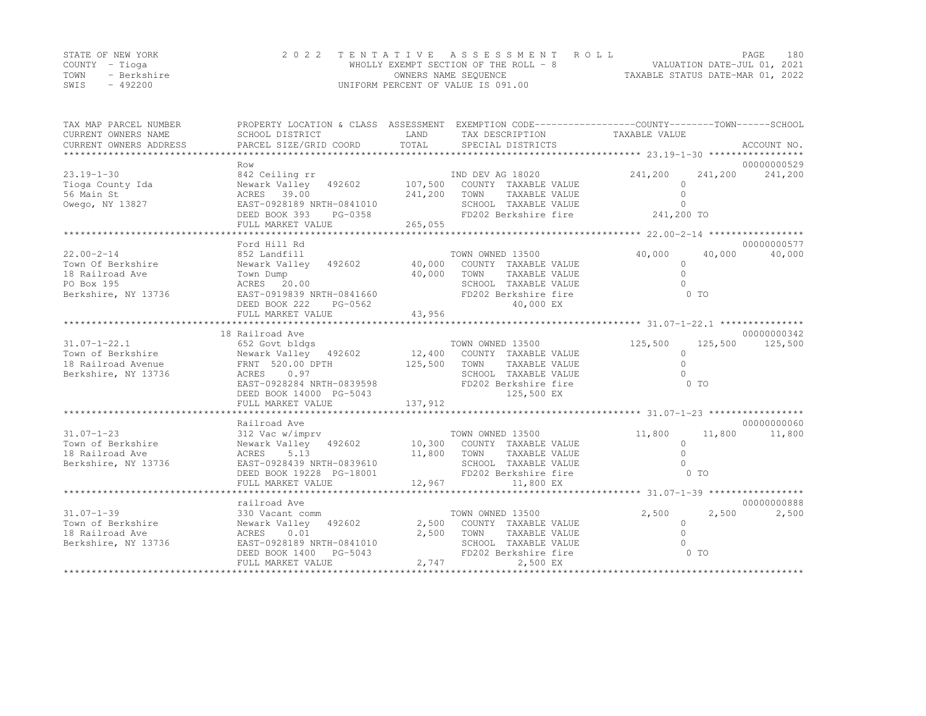| STATE OF NEW YORK |             |                                    | 2022 TENTATIVE ASSESSMENT ROLL        |                                  | PAGE | 180 |
|-------------------|-------------|------------------------------------|---------------------------------------|----------------------------------|------|-----|
| COUNTY – Tioga    |             |                                    | WHOLLY EXEMPT SECTION OF THE ROLL - 8 | VALUATION DATE-JUL 01, 2021      |      |     |
| TOWN              | - Berkshire |                                    | OWNERS NAME SEOUENCE                  | TAXABLE STATUS DATE-MAR 01, 2022 |      |     |
| SWIS              | $-492200$   | UNIFORM PERCENT OF VALUE IS 091.00 |                                       |                                  |      |     |

| TAX MAP PARCEL NUMBER<br>CURRENT OWNERS NAME | PROPERTY LOCATION & CLASS ASSESSMENT<br>SCHOOL DISTRICT | LAND    | EXEMPTION CODE-----------------COUNTY-------TOWN------SCHOOL<br>TAX DESCRIPTION TAXABLE VALUE |            |                      |
|----------------------------------------------|---------------------------------------------------------|---------|-----------------------------------------------------------------------------------------------|------------|----------------------|
| CURRENT OWNERS ADDRESS                       | PARCEL SIZE/GRID COORD                                  | TOTAL   | SPECIAL DISTRICTS                                                                             |            | ACCOUNT NO.          |
|                                              | Row                                                     |         |                                                                                               |            | 00000000529          |
| $23.19 - 1 - 30$                             | 842 Ceiling rr                                          |         | IND DEV AG 18020                                                                              | 241,200    | 241,200<br>241,200   |
| Tioga County Ida                             | Newark Valley 492602                                    | 107,500 | COUNTY TAXABLE VALUE                                                                          | $\Omega$   |                      |
| 56 Main St                                   | ACRES 39.00                                             | 241,200 | TAXABLE VALUE<br>TOWN                                                                         | $\Omega$   |                      |
| Owego, NY 13827                              | EAST-0928189 NRTH-0841010                               |         | SCHOOL TAXABLE VALUE                                                                          | $\Omega$   |                      |
|                                              | DEED BOOK 393<br>PG-0358                                |         | FD202 Berkshire fire                                                                          | 241,200 TO |                      |
|                                              | FULL MARKET VALUE                                       | 265,055 |                                                                                               |            |                      |
|                                              |                                                         |         |                                                                                               |            |                      |
|                                              | Ford Hill Rd                                            |         |                                                                                               |            | 00000000577          |
| $22.00 - 2 - 14$                             | 852 Landfill                                            |         | TOWN OWNED 13500                                                                              | 40,000     | 40,000<br>40,000     |
| Town Of Berkshire                            | Newark Valley 492602                                    | 40,000  | COUNTY TAXABLE VALUE                                                                          | $\circ$    |                      |
| 18 Railroad Ave                              | Town Dump                                               | 40,000  | TOWN<br>TAXABLE VALUE                                                                         | $\Omega$   |                      |
| PO Box 195                                   | ACRES 20.00                                             |         | SCHOOL TAXABLE VALUE                                                                          |            |                      |
| Berkshire, NY 13736                          | EAST-0919839 NRTH-0841660                               |         | FD202 Berkshire fire                                                                          | 0 TO       |                      |
|                                              | DEED BOOK 222<br>PG-0562                                |         | 40,000 EX                                                                                     |            |                      |
|                                              | FULL MARKET VALUE                                       | 43,956  |                                                                                               |            |                      |
|                                              |                                                         |         |                                                                                               |            |                      |
|                                              | 18 Railroad Ave                                         |         |                                                                                               |            | 00000000342          |
| $31.07 - 1 - 22.1$                           | 652 Govt bldgs                                          |         | TOWN OWNED 13500                                                                              | 125,500    | 125,500<br>125,500   |
| Town of Berkshire                            | Newark Valley 492602                                    | 12,400  | COUNTY TAXABLE VALUE                                                                          | $\Omega$   |                      |
| 18 Railroad Avenue                           | FRNT 520.00 DPTH                                        | 125,500 | TOWN<br>TAXABLE VALUE                                                                         | $\Omega$   |                      |
| Berkshire, NY 13736                          | ACRES 0.97                                              |         | SCHOOL TAXABLE VALUE                                                                          | $\cap$     |                      |
|                                              | EAST-0928284 NRTH-0839598                               |         | FD202 Berkshire fire                                                                          | 0 TO       |                      |
|                                              | DEED BOOK 14000 PG-5043                                 |         | 125,500 EX                                                                                    |            |                      |
|                                              | FULL MARKET VALUE                                       | 137,912 |                                                                                               |            |                      |
|                                              |                                                         |         |                                                                                               |            |                      |
|                                              | Railroad Ave                                            |         |                                                                                               |            | 00000000060          |
| $31.07 - 1 - 23$                             | 312 Vac w/imprv                                         |         | TOWN OWNED 13500                                                                              | 11,800     | 11,800<br>11,800     |
| Town of Berkshire                            | Newark Valley 492602 10,300 COUNTY TAXABLE VALUE        |         |                                                                                               | $\circ$    |                      |
| 18 Railroad Ave                              | ACRES<br>5.13                                           | 11,800  | TOWN<br>TAXABLE VALUE                                                                         | $\circ$    |                      |
| Berkshire, NY 13736                          | EAST-0928439 NRTH-0839610                               |         | SCHOOL TAXABLE VALUE                                                                          | $\Omega$   |                      |
|                                              | DEED BOOK 19228 PG-18001                                |         | FD202 Berkshire fire                                                                          | 0 TO       |                      |
|                                              | FULL MARKET VALUE                                       | 12,967  | 11,800 EX                                                                                     |            |                      |
|                                              |                                                         |         |                                                                                               |            |                      |
| $31.07 - 1 - 39$                             | railroad Ave                                            |         | TOWN OWNED 13500                                                                              | 2,500      | 00000000888<br>2,500 |
| Town of Berkshire                            | 330 Vacant comm                                         | 2,500   | COUNTY TAXABLE VALUE                                                                          |            | 2,500                |
|                                              | Newark Valley 492602                                    |         |                                                                                               | $\circ$    |                      |
| 18 Railroad Ave<br>Berkshire, NY 13736       | ACRES<br>0.01<br>EAST-0928189 NRTH-0841010              | 2,500   | TAXABLE VALUE<br>TOWN<br>SCHOOL TAXABLE VALUE                                                 | $\Omega$   |                      |
|                                              | DEED BOOK 1400 PG-5043                                  |         | FD202 Berkshire fire                                                                          | $0$ TO     |                      |
|                                              | FULL MARKET VALUE                                       | 2,747   | 2,500 EX                                                                                      |            |                      |
|                                              |                                                         |         |                                                                                               |            |                      |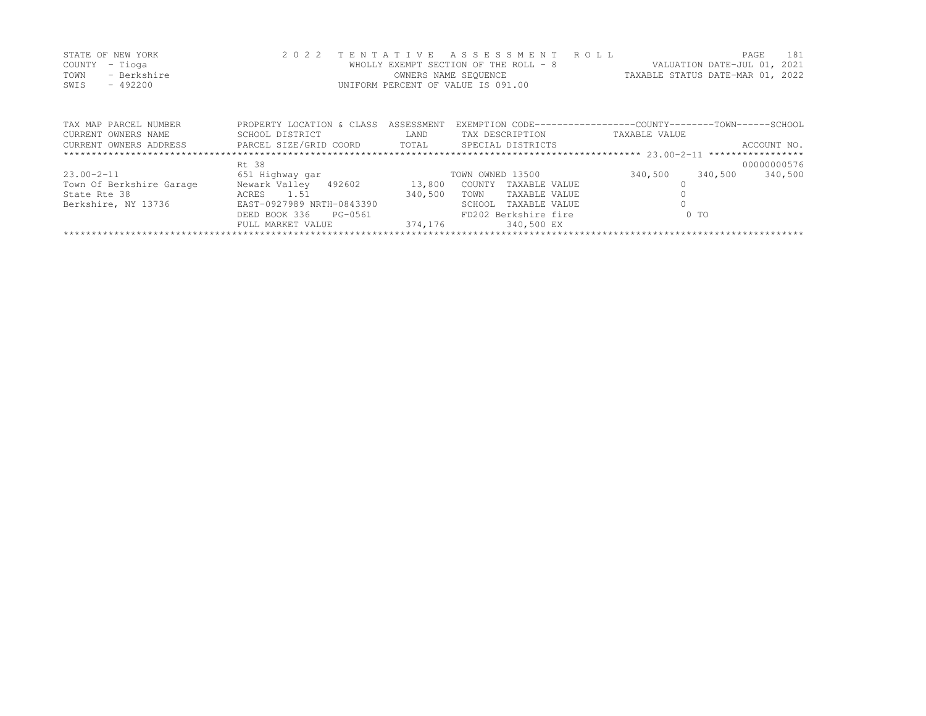|      | STATE OF NEW YORK | 2022 TENTATIVE ASSESSMENT ROLL        |                                  | PAGE | 181 |
|------|-------------------|---------------------------------------|----------------------------------|------|-----|
|      | COUNTY – Tioga    | WHOLLY EXEMPT SECTION OF THE ROLL - 8 | VALUATION DATE-JUL 01, 2021      |      |     |
| TOWN | - Berkshire       | OWNERS NAME SEOUENCE                  | TAXABLE STATUS DATE-MAR 01, 2022 |      |     |
| SWIS | - 492200          | UNIFORM PERCENT OF VALUE IS 091.00    |                                  |      |     |

| TAX MAP PARCEL NUMBER    | PROPERTY LOCATION & CLASS | ASSESSMENT |                         | EXEMPTION CODE-----------------COUNTY-------TOWN------SCHOOL |             |
|--------------------------|---------------------------|------------|-------------------------|--------------------------------------------------------------|-------------|
| CURRENT OWNERS NAME      | SCHOOL DISTRICT           | LAND       | TAX DESCRIPTION         | TAXABLE VALUE                                                |             |
| CURRENT OWNERS ADDRESS   | PARCEL SIZE/GRID COORD    | TOTAL      | SPECIAL DISTRICTS       |                                                              | ACCOUNT NO. |
|                          |                           |            |                         |                                                              |             |
|                          | Rt. 38                    |            |                         |                                                              | 00000000576 |
| $23.00 - 2 - 11$         | 651 Highway gar           |            | TOWN OWNED 13500        | 340,500<br>340,500                                           | 340,500     |
| Town Of Berkshire Garage | Newark Valley 492602      | 13,800     | TAXABLE VALUE<br>COUNTY |                                                              |             |
| State Rte 38             | ACRES 1.51                | 340,500    | TAXABLE VALUE<br>TOWN   |                                                              |             |
| Berkshire, NY 13736      | EAST-0927989 NRTH-0843390 |            | TAXABLE VALUE<br>SCHOOL |                                                              |             |
|                          | DEED BOOK 336<br>PG-0561  |            | FD202 Berkshire fire    | 0 <sub>0</sub>                                               |             |
|                          | FULL MARKET VALUE         | 374,176    | 340,500 EX              |                                                              |             |
|                          |                           |            |                         |                                                              |             |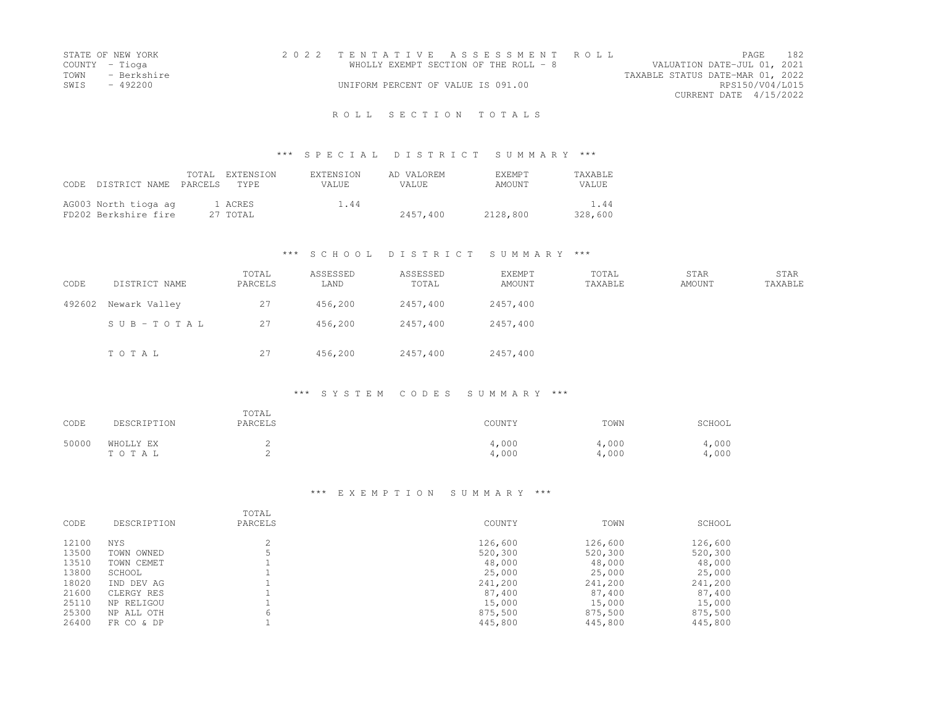| STATE OF NEW YORK | 2022 TENTATIVE ASSESSMENT ROLL        |                                  | PAGE.           | 182 |
|-------------------|---------------------------------------|----------------------------------|-----------------|-----|
| COUNTY - Tioga    | WHOLLY EXEMPT SECTION OF THE ROLL - 8 | VALUATION DATE-JUL 01, 2021      |                 |     |
| TOWN - Berkshire  |                                       | TAXABLE STATUS DATE-MAR 01, 2022 |                 |     |
| SWIS - 492200     | UNIFORM PERCENT OF VALUE IS 091.00    |                                  | RPS150/V04/L015 |     |
|                   |                                       | CURRENT DATE 4/15/2022           |                 |     |
|                   |                                       |                                  |                 |     |

#### R O L L S E C T I O N T O T A L S

#### \*\*\* S P E C I A L D I S T R I C T S U M M A R Y \*\*\*

| CODE. | DISTRICT NAME PARCELS                        | TOTAL. | EXTENSION<br>TYPE   | EXTENSION<br>VALUE. | AD VALOREM<br>VALUE. | <b>EXEMPT</b><br>AMOUNT | <b>TAXABLE</b><br><b>VALUE</b> |
|-------|----------------------------------------------|--------|---------------------|---------------------|----------------------|-------------------------|--------------------------------|
|       | AG003 North tioga ag<br>FD202 Berkshire fire |        | 1 ACRES<br>27 TOTAL | 1.44                | 2457,400             | 2128,800                | 1.44<br>328,600                |

# \*\*\* S C H O O L D I S T R I C T S U M M A R Y \*\*\*

| CODE   | DISTRICT NAME   | TOTAL<br>PARCELS | ASSESSED<br>LAND | ASSESSED<br>TOTAL | <b>EXEMPT</b><br>AMOUNT | TOTAL<br>TAXABLE | <b>STAR</b><br>AMOUNT | STAR<br>TAXABLE |
|--------|-----------------|------------------|------------------|-------------------|-------------------------|------------------|-----------------------|-----------------|
| 492602 | Newark Valley   | 27               | 456,200          | 2457,400          | 2457,400                |                  |                       |                 |
|        | $SUB - TO T AL$ | 27               | 456,200          | 2457,400          | 2457,400                |                  |                       |                 |
|        | TOTAL           | 27               | 456,200          | 2457,400          | 2457,400                |                  |                       |                 |

#### \*\*\* S Y S T E M C O D E S S U M M A R Y \*\*\*

| CODE  | DESCRIPTION        | TOTAL<br>PARCELS | COUNTY         | TOWN          | SCHOOL        |
|-------|--------------------|------------------|----------------|---------------|---------------|
| 50000 | WHOLLY EX<br>TOTAL |                  | 4,000<br>4,000 | ,000<br>4,000 | .000<br>.000. |

| CODE  | DESCRIPTION | TOTAL<br>PARCELS | COUNTY  | TOWN    | SCHOOL  |
|-------|-------------|------------------|---------|---------|---------|
|       |             |                  |         |         |         |
| 12100 | <b>NYS</b>  |                  | 126,600 | 126,600 | 126,600 |
| 13500 | TOWN OWNED  |                  | 520,300 | 520,300 | 520,300 |
| 13510 | TOWN CEMET  |                  | 48,000  | 48,000  | 48,000  |
| 13800 | SCHOOL      |                  | 25,000  | 25,000  | 25,000  |
| 18020 | IND DEV AG  |                  | 241,200 | 241,200 | 241,200 |
| 21600 | CLERGY RES  |                  | 87,400  | 87,400  | 87,400  |
| 25110 | NP RELIGOU  |                  | 15,000  | 15,000  | 15,000  |
| 25300 | NP ALL OTH  | 6                | 875,500 | 875,500 | 875,500 |
| 26400 | FR CO & DP  |                  | 445,800 | 445,800 | 445,800 |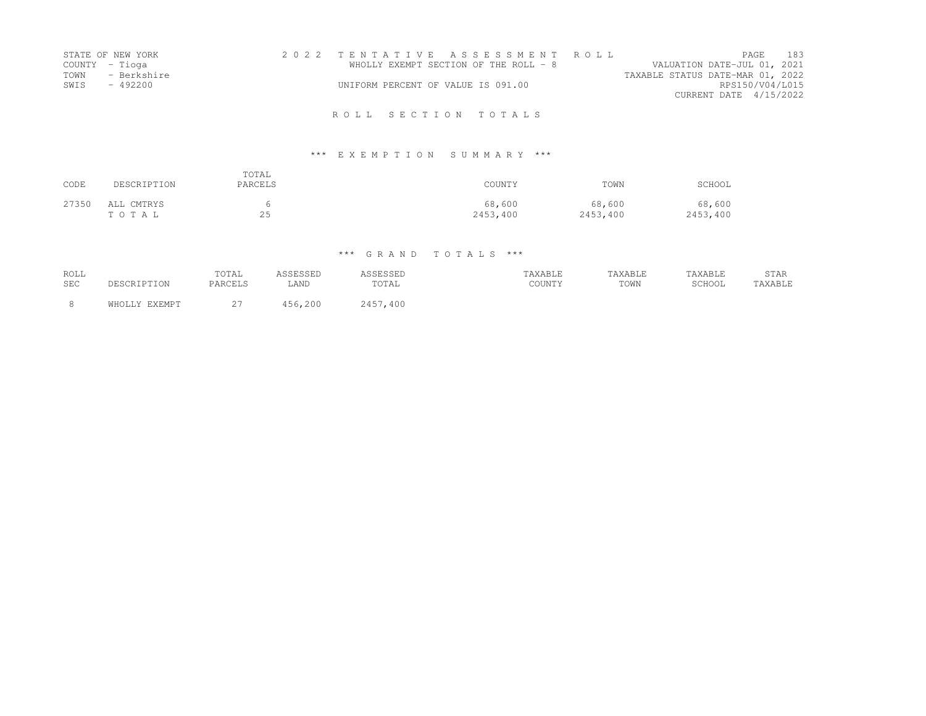|      | STATE OF NEW YORK | 2022 TENTATIVE ASSESSMENT ROLL        |  |                                  |                        | <b>PAGE</b> | 183 |
|------|-------------------|---------------------------------------|--|----------------------------------|------------------------|-------------|-----|
|      | COUNTY – Tioga    | WHOLLY EXEMPT SECTION OF THE ROLL - 8 |  | VALUATION DATE-JUL 01, 2021      |                        |             |     |
| TOWN | - Berkshire       |                                       |  | TAXABLE STATUS DATE-MAR 01, 2022 |                        |             |     |
| SWIS | - 492200          | UNIFORM PERCENT OF VALUE IS 091.00    |  |                                  | RPS150/V04/L015        |             |     |
|      |                   |                                       |  |                                  | CURRENT DATE 4/15/2022 |             |     |
|      |                   |                                       |  |                                  |                        |             |     |

R O L L S E C T I O N T O T A L S

# \*\*\* E X E M P T I O N S U M M A R Y \*\*\*

| CODE  | DESCRIPTION         | TOTAL<br>PARCELS | COUNTY             | TOWN               | SCHOOL             |
|-------|---------------------|------------------|--------------------|--------------------|--------------------|
| 27350 | ALL CMTRYS<br>TOTAL | 25               | 68,600<br>2453,400 | 68,600<br>2453,400 | 68,600<br>2453,400 |

# \*\*\* G R A N D T O T A L S \*\*\*

| <b>ROLL</b> |               | TOTAL                  | <b>SCRSCRP</b> |          | TAXABLE | TAXABLE | TAXABLE | STAR    |
|-------------|---------------|------------------------|----------------|----------|---------|---------|---------|---------|
| <b>SEC</b>  | DESCRIPTION   | PARCELS                | LAND           | TOTAL    | COUNTY  | TOWN    | SCHOOL  | TAXABLE |
| -8          | WHATTY FYFMDT | $\sim$ $-$<br><u>.</u> | ,200<br>156    | 2457,400 |         |         |         |         |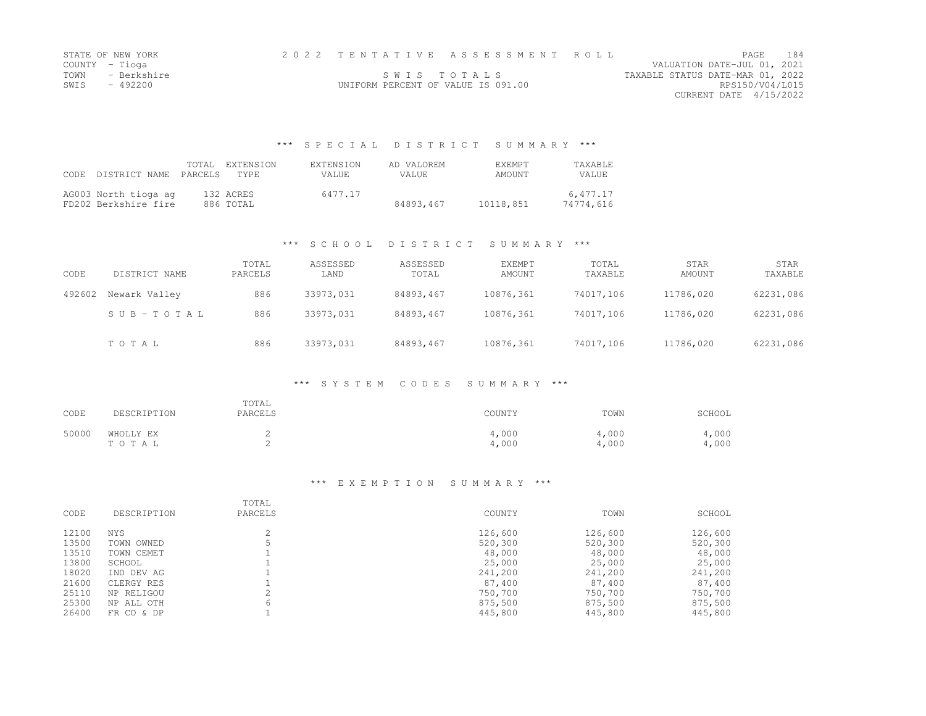| STATE OF NEW YORK   |                                    | 2022 TENTATIVE ASSESSMENT ROLL |                                  | PAGE.                       | 184 |
|---------------------|------------------------------------|--------------------------------|----------------------------------|-----------------------------|-----|
| COUNTY – Tioga      |                                    |                                |                                  | VALUATION DATE-JUL 01, 2021 |     |
| TOWN<br>- Berkshire |                                    | SWIS TOTALS                    | TAXABLE STATUS DATE-MAR 01, 2022 |                             |     |
| SWIS<br>- 492200    | UNIFORM PERCENT OF VALUE IS 091.00 |                                |                                  | RPS150/V04/L015             |     |
|                     |                                    |                                |                                  | CURRENT DATE 4/15/2022      |     |

#### \*\*\* S P E C I A L D I S T R I C T S U M M A R Y \*\*\*

| CODE. | DISTRICT NAME PARCELS                        | TOTAL. | EXTENSION<br>TYPE.     | <b>EXTENSION</b><br>VALUE. | AD VALOREM<br>VALUE. | <b>F.XFMPT</b><br>AMOUNT | <b>TAXABLE</b><br>VALUE. |
|-------|----------------------------------------------|--------|------------------------|----------------------------|----------------------|--------------------------|--------------------------|
|       | AG003 North tioga ag<br>FD202 Berkshire fire |        | 132 ACRES<br>886 TOTAL | 6477.17                    | 84893.467            | 10118,851                | 6.477.17<br>74774,616    |

# \*\*\* S C H O O L D I S T R I C T S U M M A R Y \*\*\*

| CODE   | DISTRICT NAME | TOTAL<br>PARCELS | ASSESSED<br>LAND | ASSESSED<br>TOTAL | <b>EXEMPT</b><br>AMOUNT | TOTAL<br>TAXABLE | STAR<br>AMOUNT | STAR<br>TAXABLE |
|--------|---------------|------------------|------------------|-------------------|-------------------------|------------------|----------------|-----------------|
| 492602 | Newark Valley | 886              | 33973,031        | 84893,467         | 10876,361               | 74017,106        | 11786,020      | 62231,086       |
|        | SUB-TOTAL     | 886              | 33973,031        | 84893,467         | 10876,361               | 74017,106        | 11786,020      | 62231,086       |
|        | TOTAL         | 886              | 33973.031        | 84893,467         | 10876,361               | 74017.106        | 11786,020      | 62231,086       |

#### \*\*\* S Y S T E M C O D E S S U M M A R Y \*\*\*

| CODE  | DESCRIPTION        | TOTAL<br>PARCELS | COUNTY         | TOWN           | SCHOOL         |
|-------|--------------------|------------------|----------------|----------------|----------------|
| 50000 | WHOLLY EX<br>TOTAL |                  | 4,000<br>4,000 | 4,000<br>4,000 | 4,000<br>4,000 |

| CODE  | DESCRIPTION   | TOTAL<br>PARCELS | COUNTY  | TOWN    | SCHOOL  |
|-------|---------------|------------------|---------|---------|---------|
| 12100 | <b>NYS</b>    |                  | 126,600 | 126,600 | 126,600 |
| 13500 | OWNED<br>TOWN |                  | 520,300 | 520,300 | 520,300 |
| 13510 | TOWN CEMET    |                  | 48,000  | 48,000  | 48,000  |
| 13800 | SCHOOL        |                  | 25,000  | 25,000  | 25,000  |
| 18020 | IND DEV AG    |                  | 241,200 | 241,200 | 241,200 |
| 21600 | CLERGY RES    |                  | 87,400  | 87,400  | 87,400  |
| 25110 | NP RELIGOU    |                  | 750,700 | 750,700 | 750,700 |
| 25300 | NP ALL OTH    | h                | 875,500 | 875,500 | 875,500 |
| 26400 | FR CO & DP    |                  | 445,800 | 445,800 | 445,800 |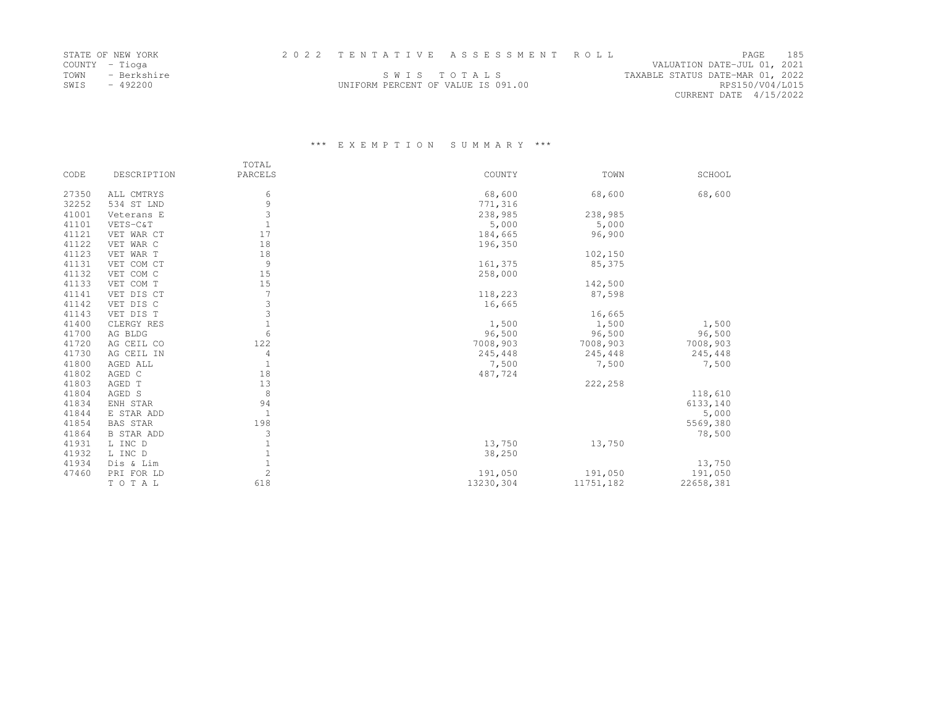| STATE OF NEW YORK   |                                    | 2022 TENTATIVE ASSESSMENT ROLL |                                  |                        | <b>PAGE</b> | 185 |
|---------------------|------------------------------------|--------------------------------|----------------------------------|------------------------|-------------|-----|
| COUNTY – Tioga      |                                    |                                | VALUATION DATE-JUL 01, 2021      |                        |             |     |
| TOWN<br>- Berkshire | SWIS TOTALS                        |                                | TAXABLE STATUS DATE-MAR 01, 2022 |                        |             |     |
| SWIS<br>- 492200    | UNIFORM PERCENT OF VALUE IS 091.00 |                                |                                  | RPS150/V04/L015        |             |     |
|                     |                                    |                                |                                  | CURRENT DATE 4/15/2022 |             |     |

|       |                   | TOTAL          |           |           |           |
|-------|-------------------|----------------|-----------|-----------|-----------|
| CODE  | DESCRIPTION       | PARCELS        | COUNTY    | TOWN      | SCHOOL    |
| 27350 | ALL CMTRYS        | 6              | 68,600    | 68,600    | 68,600    |
| 32252 | 534 ST LND        | 9              | 771,316   |           |           |
| 41001 | Veterans E        | 3              | 238,985   | 238,985   |           |
| 41101 | VETS-C&T          | $\mathbf{1}$   | 5,000     | 5,000     |           |
| 41121 | VET WAR CT        | 17             | 184,665   | 96,900    |           |
| 41122 | VET WAR C         | 18             | 196,350   |           |           |
| 41123 | VET WAR T         | 18             |           | 102,150   |           |
| 41131 | VET COM CT        | 9              | 161,375   | 85,375    |           |
| 41132 | VET COM C         | 15             | 258,000   |           |           |
| 41133 | VET COM T         | 15             |           | 142,500   |           |
| 41141 | VET DIS CT        | 7              | 118,223   | 87,598    |           |
| 41142 | VET DIS C         | 3              | 16,665    |           |           |
| 41143 | VET DIS T         | 3              |           | 16,665    |           |
| 41400 | CLERGY RES        | $\mathbf{1}$   | 1,500     | 1,500     | 1,500     |
| 41700 | AG BLDG           | 6              | 96,500    | 96,500    | 96,500    |
| 41720 | AG CEIL CO        | 122            | 7008,903  | 7008,903  | 7008,903  |
| 41730 | AG CEIL IN        | 4              | 245,448   | 245,448   | 245,448   |
| 41800 | AGED ALL          | $\mathbf{1}$   | 7,500     | 7,500     | 7,500     |
| 41802 | AGED C            | 18             | 487,724   |           |           |
| 41803 | AGED T            | 13             |           | 222,258   |           |
| 41804 | AGED S            | 8              |           |           | 118,610   |
| 41834 | ENH STAR          | 94             |           |           | 6133,140  |
| 41844 | E STAR ADD        | $\mathbf{1}$   |           |           | 5,000     |
| 41854 | <b>BAS STAR</b>   | 198            |           |           | 5569,380  |
| 41864 | <b>B STAR ADD</b> | 3              |           |           | 78,500    |
| 41931 | L INC D           | $\mathbf{1}$   | 13,750    | 13,750    |           |
| 41932 | L INC D           | $\mathbf{1}$   | 38,250    |           |           |
| 41934 | Dis & Lim         | $1\,$          |           |           | 13,750    |
| 47460 | PRI FOR LD        | $\overline{c}$ | 191,050   | 191,050   | 191,050   |
|       | TOTAL             | 618            | 13230,304 | 11751,182 | 22658,381 |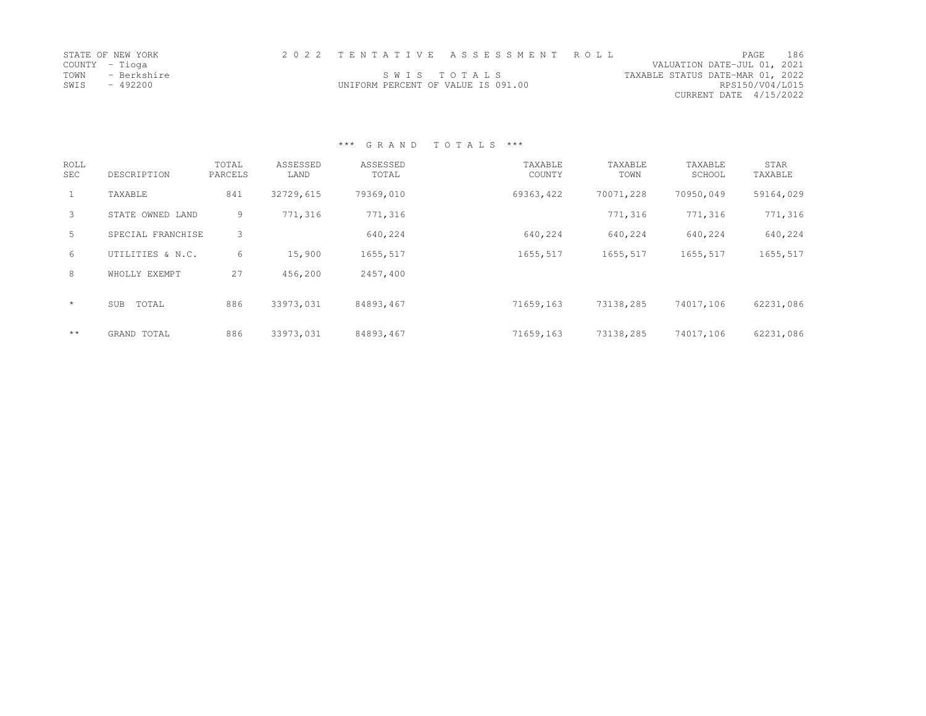| STATE OF NEW YORK   |                                    | 2022 TENTATIVE ASSESSMENT ROLL |                                  | <b>PAGE</b>            | 186 |
|---------------------|------------------------------------|--------------------------------|----------------------------------|------------------------|-----|
| COUNTY – Tioga      |                                    |                                | VALUATION DATE-JUL 01, 2021      |                        |     |
| TOWN<br>- Berkshire |                                    | SWIS TOTALS                    | TAXABLE STATUS DATE-MAR 01, 2022 |                        |     |
| SWIS<br>- 492200    | UNIFORM PERCENT OF VALUE IS 091.00 |                                |                                  | RPS150/V04/L015        |     |
|                     |                                    |                                |                                  | CURRENT DATE 4/15/2022 |     |

\*\*\* G R A N D T O T A L S \*\*\*

| <b>ROLL</b><br>SEC | DESCRIPTION       | TOTAL<br>PARCELS | ASSESSED<br>LAND | ASSESSED<br>TOTAL | TAXABLE<br>COUNTY | TAXABLE<br>TOWN | TAXABLE<br>SCHOOL | STAR<br>TAXABLE |
|--------------------|-------------------|------------------|------------------|-------------------|-------------------|-----------------|-------------------|-----------------|
| 1                  | TAXABLE           | 841              | 32729,615        | 79369,010         | 69363,422         | 70071,228       | 70950,049         | 59164,029       |
| 3                  | STATE OWNED LAND  | 9                | 771,316          | 771,316           |                   | 771,316         | 771,316           | 771,316         |
| 5                  | SPECIAL FRANCHISE | 3                |                  | 640,224           | 640,224           | 640,224         | 640,224           | 640,224         |
| 6                  | UTILITIES & N.C.  | 6                | 15,900           | 1655,517          | 1655,517          | 1655,517        | 1655,517          | 1655,517        |
| 8                  | WHOLLY EXEMPT     | 27               | 456,200          | 2457,400          |                   |                 |                   |                 |
| $\star$            | TOTAL<br>SUB      | 886              | 33973,031        | 84893,467         | 71659,163         | 73138,285       | 74017,106         | 62231,086       |
| $\star\star$       | GRAND TOTAL       | 886              | 33973,031        | 84893,467         | 71659,163         | 73138,285       | 74017,106         | 62231,086       |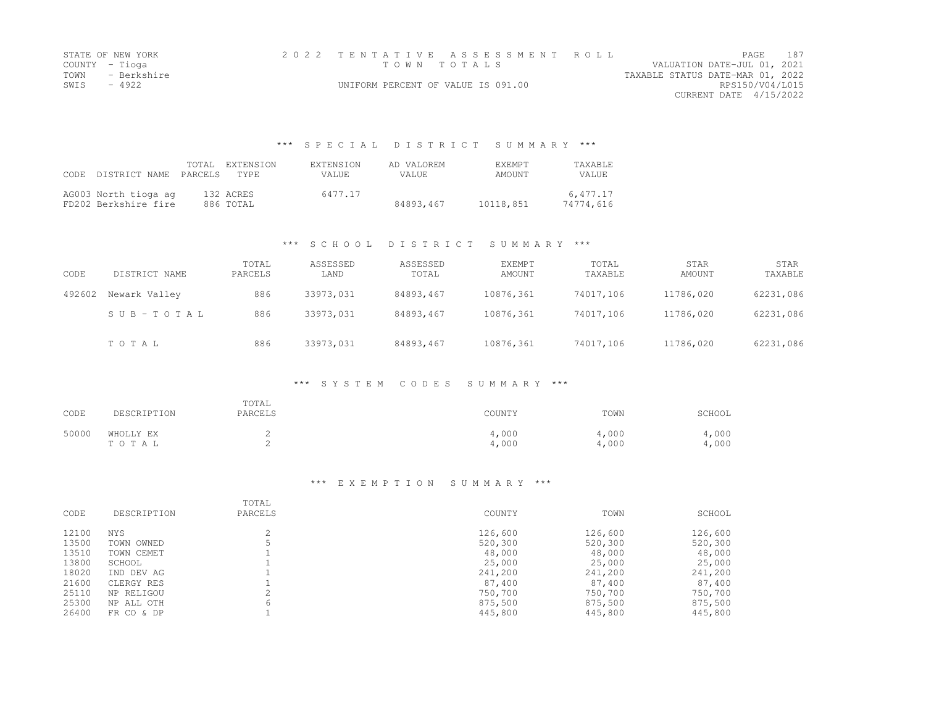| STATE OF NEW YORK   |                                    | 2022 TENTATIVE ASSESSMENT ROLL |                                  |                             | <b>PAGE 187</b> |
|---------------------|------------------------------------|--------------------------------|----------------------------------|-----------------------------|-----------------|
| COUNTY – Tioga      |                                    | TOWN TOTALS                    |                                  | VALUATION DATE-JUL 01, 2021 |                 |
| TOWN<br>- Berkshire |                                    |                                | TAXABLE STATUS DATE-MAR 01, 2022 |                             |                 |
| SWIS<br>- 4922      | UNIFORM PERCENT OF VALUE IS 091.00 |                                |                                  | RPS150/V04/L015             |                 |
|                     |                                    |                                |                                  | CURRENT DATE 4/15/2022      |                 |

#### \*\*\* S P E C I A L D I S T R I C T S U M M A R Y \*\*\*

| CODE. | DISTRICT NAME PARCELS                        | TOTAL | EXTENSION<br>TYPE.     | EXTENSION<br>VALUE. | AD VALOREM<br>VALUE. | <b>EXEMPT</b><br>AMOUNT | <b>TAXABLE</b><br><b>VALUE</b> |
|-------|----------------------------------------------|-------|------------------------|---------------------|----------------------|-------------------------|--------------------------------|
|       | AG003 North tioga ag<br>FD202 Berkshire fire |       | 132 ACRES<br>886 TOTAL | 6477.17             | 84893,467            | 10118,851               | 6.477.17<br>74774.616          |

# \*\*\* S C H O O L D I S T R I C T S U M M A R Y \*\*\*

| CODE   | DISTRICT NAME | TOTAL<br>PARCELS | ASSESSED<br>LAND | ASSESSED<br>TOTAL | <b>EXEMPT</b><br>AMOUNT | TOTAL<br>TAXABLE | STAR<br>AMOUNT | STAR<br>TAXABLE |
|--------|---------------|------------------|------------------|-------------------|-------------------------|------------------|----------------|-----------------|
| 492602 | Newark Valley | 886              | 33973,031        | 84893,467         | 10876,361               | 74017,106        | 11786,020      | 62231,086       |
|        | SUB-TOTAL     | 886              | 33973,031        | 84893,467         | 10876,361               | 74017,106        | 11786,020      | 62231,086       |
|        | TOTAL         | 886              | 33973,031        | 84893,467         | 10876,361               | 74017,106        | 11786,020      | 62231,086       |

#### \*\*\* S Y S T E M C O D E S S U M M A R Y \*\*\*

| CODE  | DESCRIPTION        | TOTAL<br>PARCELS | COUNTY         | TOWN           | SCHOOL         |
|-------|--------------------|------------------|----------------|----------------|----------------|
| 50000 | WHOLLY EX<br>TOTAL | ∼                | 4,000<br>4,000 | 4,000<br>4,000 | 4,000<br>4,000 |

| CODE  | DESCRIPTION   | TOTAL<br>PARCELS | COUNTY  | TOWN    | SCHOOL  |
|-------|---------------|------------------|---------|---------|---------|
| 12100 | NYS           |                  | 126,600 | 126,600 | 126,600 |
| 13500 | OWNED<br>TOWN |                  | 520,300 | 520,300 | 520,300 |
| 13510 | TOWN CEMET    |                  | 48,000  | 48,000  | 48,000  |
| 13800 | SCHOOL        |                  | 25,000  | 25,000  | 25,000  |
| 18020 | IND DEV AG    |                  | 241,200 | 241,200 | 241,200 |
| 21600 | CLERGY RES    |                  | 87,400  | 87,400  | 87,400  |
| 25110 | NP RELIGOU    |                  | 750,700 | 750,700 | 750,700 |
| 25300 | NP ALL OTH    | 6                | 875,500 | 875,500 | 875,500 |
| 26400 | FR CO & DP    |                  | 445,800 | 445,800 | 445,800 |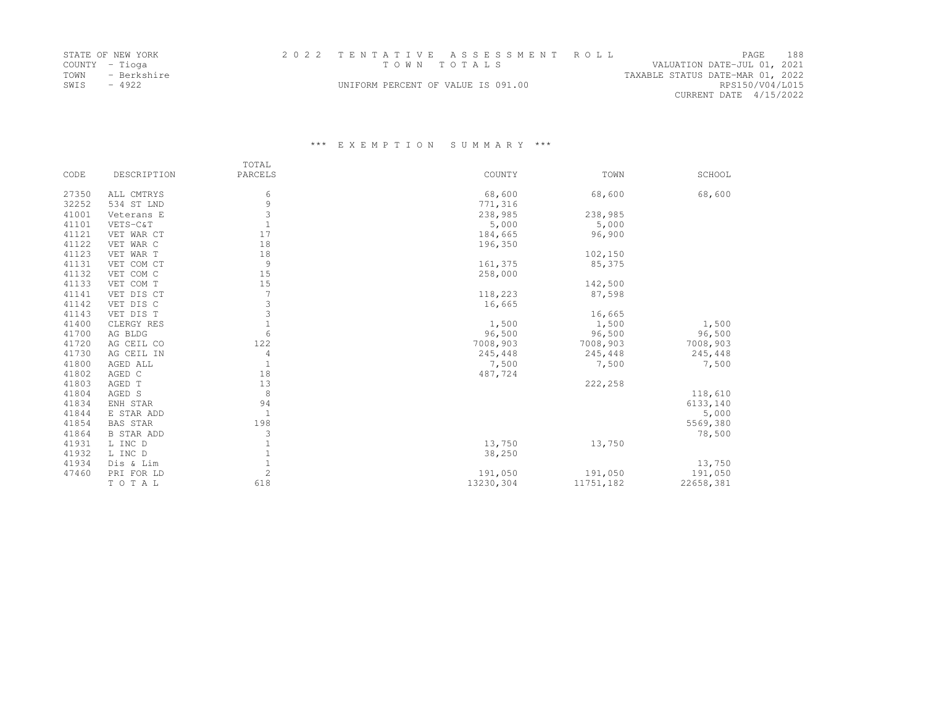|      | STATE OF NEW YORK |                                    | 2022 TENTATIVE ASSESSMENT ROLL |                                  |                        | PAGE. | 188 |
|------|-------------------|------------------------------------|--------------------------------|----------------------------------|------------------------|-------|-----|
|      | COUNTY - Tioga    |                                    | TOWN TOTALS                    | VALUATION DATE-JUL 01, 2021      |                        |       |     |
| TOWN | - Berkshire       |                                    |                                | TAXABLE STATUS DATE-MAR 01, 2022 |                        |       |     |
| SWIS | $-4922$           | UNIFORM PERCENT OF VALUE IS 091.00 |                                |                                  | RPS150/V04/L015        |       |     |
|      |                   |                                    |                                |                                  | CURRENT DATE 4/15/2022 |       |     |

|       |                   | TOTAL          |           |           |           |
|-------|-------------------|----------------|-----------|-----------|-----------|
| CODE  | DESCRIPTION       | PARCELS        | COUNTY    | TOWN      | SCHOOL    |
| 27350 | ALL CMTRYS        | 6              | 68,600    | 68,600    | 68,600    |
| 32252 | 534 ST LND        | 9              | 771,316   |           |           |
| 41001 | Veterans E        | 3              | 238,985   | 238,985   |           |
| 41101 | VETS-C&T          | $\mathbf{1}$   | 5,000     | 5,000     |           |
| 41121 | VET WAR CT        | 17             | 184,665   | 96,900    |           |
| 41122 | VET WAR C         | 18             | 196,350   |           |           |
| 41123 | VET WAR T         | 18             |           | 102,150   |           |
| 41131 | VET COM CT        | 9              | 161,375   | 85,375    |           |
| 41132 | VET COM C         | 15             | 258,000   |           |           |
| 41133 | VET COM T         | 15             |           | 142,500   |           |
| 41141 | VET DIS CT        | 7              | 118,223   | 87,598    |           |
| 41142 | VET DIS C         | 3              | 16,665    |           |           |
| 41143 | VET DIS T         | 3              |           | 16,665    |           |
| 41400 | CLERGY RES        | $\mathbf{1}$   | 1,500     | 1,500     | 1,500     |
| 41700 | AG BLDG           | 6              | 96,500    | 96,500    | 96,500    |
| 41720 | AG CEIL CO        | 122            | 7008,903  | 7008,903  | 7008,903  |
| 41730 | AG CEIL IN        | 4              | 245,448   | 245,448   | 245,448   |
| 41800 | AGED ALL          | $\mathbf{1}$   | 7,500     | 7,500     | 7,500     |
| 41802 | AGED C            | 18             | 487,724   |           |           |
| 41803 | AGED T            | 13             |           | 222,258   |           |
| 41804 | AGED S            | 8              |           |           | 118,610   |
| 41834 | ENH STAR          | 94             |           |           | 6133,140  |
| 41844 | E STAR ADD        | $\mathbf{1}$   |           |           | 5,000     |
| 41854 | <b>BAS STAR</b>   | 198            |           |           | 5569,380  |
| 41864 | <b>B STAR ADD</b> | 3              |           |           | 78,500    |
| 41931 | L INC D           | $\mathbf{1}$   | 13,750    | 13,750    |           |
| 41932 | L INC D           | $\mathbf{1}$   | 38,250    |           |           |
| 41934 | Dis & Lim         | $1\,$          |           |           | 13,750    |
| 47460 | PRI FOR LD        | $\overline{c}$ | 191,050   | 191,050   | 191,050   |
|       | TOTAL             | 618            | 13230,304 | 11751,182 | 22658,381 |